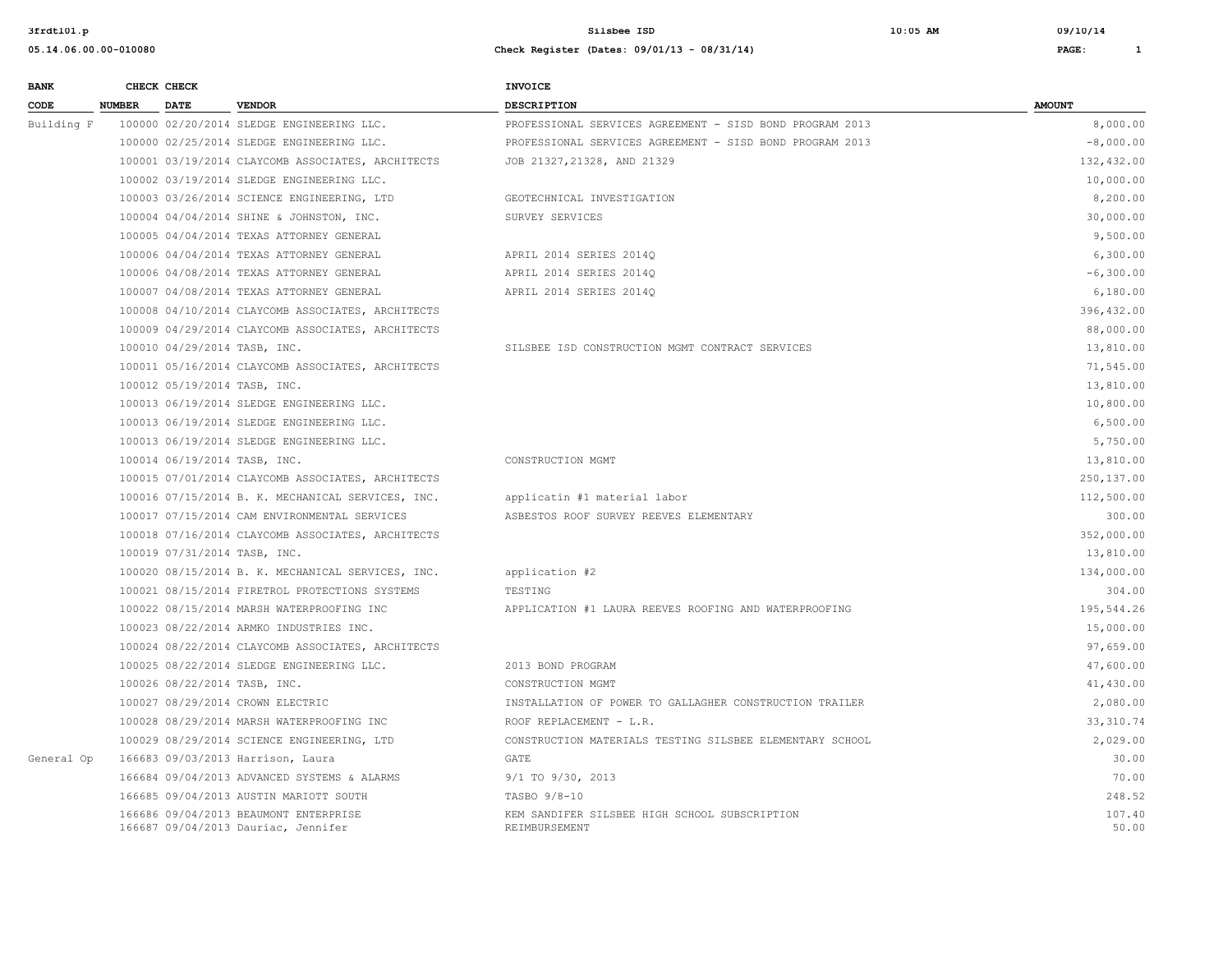| <b>BANK</b> |               | CHECK CHECK |                                                                              | <b>INVOICE</b>                                                 |                 |
|-------------|---------------|-------------|------------------------------------------------------------------------------|----------------------------------------------------------------|-----------------|
| CODE        | <b>NUMBER</b> | <b>DATE</b> | <b>VENDOR</b>                                                                | <b>DESCRIPTION</b>                                             | <b>AMOUNT</b>   |
| Building F  |               |             | 100000 02/20/2014 SLEDGE ENGINEERING LLC.                                    | PROFESSIONAL SERVICES AGREEMENT - SISD BOND PROGRAM 2013       | 8,000.00        |
|             |               |             | 100000 02/25/2014 SLEDGE ENGINEERING LLC.                                    | PROFESSIONAL SERVICES AGREEMENT - SISD BOND PROGRAM 2013       | $-8,000.00$     |
|             |               |             | 100001 03/19/2014 CLAYCOMB ASSOCIATES, ARCHITECTS                            | JOB 21327, 21328, AND 21329                                    | 132,432.00      |
|             |               |             | 100002 03/19/2014 SLEDGE ENGINEERING LLC.                                    |                                                                | 10,000.00       |
|             |               |             | 100003 03/26/2014 SCIENCE ENGINEERING, LTD                                   | GEOTECHNICAL INVESTIGATION                                     | 8,200.00        |
|             |               |             | 100004 04/04/2014 SHINE & JOHNSTON, INC.                                     | SURVEY SERVICES                                                | 30,000.00       |
|             |               |             | 100005 04/04/2014 TEXAS ATTORNEY GENERAL                                     |                                                                | 9,500.00        |
|             |               |             | 100006 04/04/2014 TEXAS ATTORNEY GENERAL                                     | APRIL 2014 SERIES 2014Q                                        | 6,300.00        |
|             |               |             | 100006 04/08/2014 TEXAS ATTORNEY GENERAL                                     | APRIL 2014 SERIES 20140                                        | $-6,300.00$     |
|             |               |             | 100007 04/08/2014 TEXAS ATTORNEY GENERAL                                     | APRIL 2014 SERIES 2014Q                                        | 6,180.00        |
|             |               |             | 100008 04/10/2014 CLAYCOMB ASSOCIATES, ARCHITECTS                            |                                                                | 396,432.00      |
|             |               |             | 100009 04/29/2014 CLAYCOMB ASSOCIATES, ARCHITECTS                            |                                                                | 88,000.00       |
|             |               |             | 100010 04/29/2014 TASB, INC.                                                 | SILSBEE ISD CONSTRUCTION MGMT CONTRACT SERVICES                | 13,810.00       |
|             |               |             | 100011 05/16/2014 CLAYCOMB ASSOCIATES, ARCHITECTS                            |                                                                | 71,545.00       |
|             |               |             | 100012 05/19/2014 TASB, INC.                                                 |                                                                | 13,810.00       |
|             |               |             | 100013 06/19/2014 SLEDGE ENGINEERING LLC.                                    |                                                                | 10,800.00       |
|             |               |             | 100013 06/19/2014 SLEDGE ENGINEERING LLC.                                    |                                                                | 6,500.00        |
|             |               |             | 100013 06/19/2014 SLEDGE ENGINEERING LLC.                                    |                                                                | 5,750.00        |
|             |               |             | 100014 06/19/2014 TASB, INC.                                                 | CONSTRUCTION MGMT                                              | 13,810.00       |
|             |               |             | 100015 07/01/2014 CLAYCOMB ASSOCIATES, ARCHITECTS                            |                                                                | 250,137.00      |
|             |               |             | 100016 07/15/2014 B. K. MECHANICAL SERVICES, INC.                            | applicatin #1 material labor                                   | 112,500.00      |
|             |               |             | 100017 07/15/2014 CAM ENVIRONMENTAL SERVICES                                 | ASBESTOS ROOF SURVEY REEVES ELEMENTARY                         | 300.00          |
|             |               |             | 100018 07/16/2014 CLAYCOMB ASSOCIATES, ARCHITECTS                            |                                                                | 352,000.00      |
|             |               |             | 100019 07/31/2014 TASB, INC.                                                 |                                                                | 13,810.00       |
|             |               |             | 100020 08/15/2014 B. K. MECHANICAL SERVICES, INC.                            | application #2                                                 | 134,000.00      |
|             |               |             | 100021 08/15/2014 FIRETROL PROTECTIONS SYSTEMS                               | TESTING                                                        | 304.00          |
|             |               |             | 100022 08/15/2014 MARSH WATERPROOFING INC                                    | APPLICATION #1 LAURA REEVES ROOFING AND WATERPROOFING          | 195,544.26      |
|             |               |             | 100023 08/22/2014 ARMKO INDUSTRIES INC.                                      |                                                                | 15,000.00       |
|             |               |             | 100024 08/22/2014 CLAYCOMB ASSOCIATES, ARCHITECTS                            |                                                                | 97,659.00       |
|             |               |             | 100025 08/22/2014 SLEDGE ENGINEERING LLC.                                    | 2013 BOND PROGRAM                                              | 47,600.00       |
|             |               |             | 100026 08/22/2014 TASB, INC.                                                 | CONSTRUCTION MGMT                                              | 41,430.00       |
|             |               |             | 100027 08/29/2014 CROWN ELECTRIC                                             | INSTALLATION OF POWER TO GALLAGHER CONSTRUCTION TRAILER        | 2,080.00        |
|             |               |             | 100028 08/29/2014 MARSH WATERPROOFING INC                                    | ROOF REPLACEMENT - L.R.                                        | 33, 310.74      |
|             |               |             | 100029 08/29/2014 SCIENCE ENGINEERING, LTD                                   | CONSTRUCTION MATERIALS TESTING SILSBEE ELEMENTARY SCHOOL       | 2,029.00        |
| General Op  |               |             | 166683 09/03/2013 Harrison, Laura                                            | GATE                                                           | 30.00           |
|             |               |             | 166684 09/04/2013 ADVANCED SYSTEMS & ALARMS                                  | 9/1 TO 9/30, 2013                                              | 70.00           |
|             |               |             | 166685 09/04/2013 AUSTIN MARIOTT SOUTH                                       | TASBO 9/8-10                                                   | 248.52          |
|             |               |             | 166686 09/04/2013 BEAUMONT ENTERPRISE<br>166687 09/04/2013 Dauriac, Jennifer | KEM SANDIFER SILSBEE HIGH SCHOOL SUBSCRIPTION<br>REIMBURSEMENT | 107.40<br>50.00 |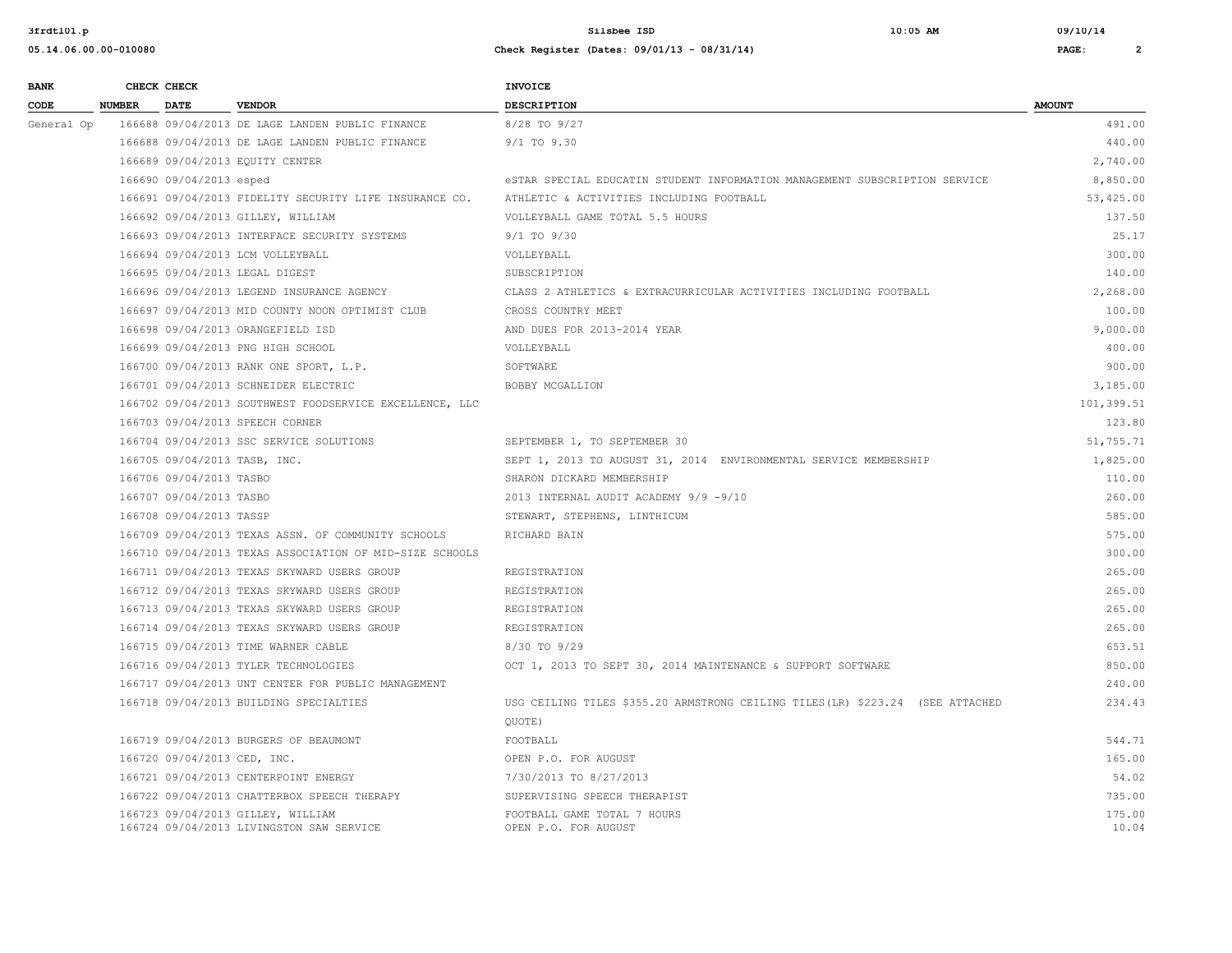| <b>BANK</b> |                    | CHECK CHECK                 |                                                                               | INVOICE                                                                        |                 |
|-------------|--------------------|-----------------------------|-------------------------------------------------------------------------------|--------------------------------------------------------------------------------|-----------------|
| CODE        | <b>NUMBER DATE</b> |                             | <b>VENDOR</b>                                                                 | <b>DESCRIPTION</b>                                                             | <b>AMOUNT</b>   |
| General Op  |                    |                             | 166688 09/04/2013 DE LAGE LANDEN PUBLIC FINANCE                               | 8/28 TO 9/27                                                                   | 491.00          |
|             |                    |                             | 166688 09/04/2013 DE LAGE LANDEN PUBLIC FINANCE                               | $9/1$ TO $9.30$                                                                | 440.00          |
|             |                    |                             | 166689 09/04/2013 EQUITY CENTER                                               |                                                                                | 2,740.00        |
|             |                    | 166690 09/04/2013 esped     |                                                                               | eSTAR SPECIAL EDUCATIN STUDENT INFORMATION MANAGEMENT SUBSCRIPTION SERVICE     | 8,850.00        |
|             |                    |                             | 166691 09/04/2013 FIDELITY SECURITY LIFE INSURANCE CO.                        | ATHLETIC & ACTIVITIES INCLUDING FOOTBALL                                       | 53,425.00       |
|             |                    |                             | 166692 09/04/2013 GILLEY, WILLIAM                                             | VOLLEYBALL GAME TOTAL 5.5 HOURS                                                | 137.50          |
|             |                    |                             | 166693 09/04/2013 INTERFACE SECURITY SYSTEMS                                  | $9/1$ TO $9/30$                                                                | 25.17           |
|             |                    |                             | 166694 09/04/2013 LCM VOLLEYBALL                                              | VOLLEYBALL                                                                     | 300.00          |
|             |                    |                             | 166695 09/04/2013 LEGAL DIGEST                                                | SUBSCRIPTION                                                                   | 140.00          |
|             |                    |                             | 166696 09/04/2013 LEGEND INSURANCE AGENCY                                     | CLASS 2 ATHLETICS & EXTRACURRICULAR ACTIVITIES INCLUDING FOOTBALL              | 2,268.00        |
|             |                    |                             | 166697 09/04/2013 MID COUNTY NOON OPTIMIST CLUB                               | CROSS COUNTRY MEET                                                             | 100.00          |
|             |                    |                             | 166698 09/04/2013 ORANGEFIELD ISD                                             | AND DUES FOR 2013-2014 YEAR                                                    | 9,000.00        |
|             |                    |                             | 166699 09/04/2013 PNG HIGH SCHOOL                                             | VOLLEYBALL                                                                     | 400.00          |
|             |                    |                             | 166700 09/04/2013 RANK ONE SPORT, L.P.                                        | SOFTWARE                                                                       | 900.00          |
|             |                    |                             | 166701 09/04/2013 SCHNEIDER ELECTRIC                                          | BOBBY MCGALLION                                                                | 3,185.00        |
|             |                    |                             | 166702 09/04/2013 SOUTHWEST FOODSERVICE EXCELLENCE, LLC                       |                                                                                | 101,399.51      |
|             |                    |                             | 166703 09/04/2013 SPEECH CORNER                                               |                                                                                | 123.80          |
|             |                    |                             | 166704 09/04/2013 SSC SERVICE SOLUTIONS                                       | SEPTEMBER 1, TO SEPTEMBER 30                                                   | 51,755.71       |
|             |                    |                             | 166705 09/04/2013 TASB, INC.                                                  | SEPT 1, 2013 TO AUGUST 31, 2014 ENVIRONMENTAL SERVICE MEMBERSHIP               | 1,825.00        |
|             |                    | 166706 09/04/2013 TASBO     |                                                                               | SHARON DICKARD MEMBERSHIP                                                      | 110.00          |
|             |                    | 166707 09/04/2013 TASBO     |                                                                               | 2013 INTERNAL AUDIT ACADEMY 9/9 -9/10                                          | 260.00          |
|             |                    | 166708 09/04/2013 TASSP     |                                                                               | STEWART, STEPHENS, LINTHICUM                                                   | 585.00          |
|             |                    |                             | 166709 09/04/2013 TEXAS ASSN. OF COMMUNITY SCHOOLS                            | RICHARD BAIN                                                                   | 575.00          |
|             |                    |                             | 166710 09/04/2013 TEXAS ASSOCIATION OF MID-SIZE SCHOOLS                       |                                                                                | 300.00          |
|             |                    |                             | 166711 09/04/2013 TEXAS SKYWARD USERS GROUP                                   | REGISTRATION                                                                   | 265.00          |
|             |                    |                             | 166712 09/04/2013 TEXAS SKYWARD USERS GROUP                                   | REGISTRATION                                                                   | 265.00          |
|             |                    |                             | 166713 09/04/2013 TEXAS SKYWARD USERS GROUP                                   | REGISTRATION                                                                   | 265.00          |
|             |                    |                             | 166714 09/04/2013 TEXAS SKYWARD USERS GROUP                                   | REGISTRATION                                                                   | 265.00          |
|             |                    |                             | 166715 09/04/2013 TIME WARNER CABLE                                           | 8/30 TO 9/29                                                                   | 653.51          |
|             |                    |                             | 166716 09/04/2013 TYLER TECHNOLOGIES                                          | OCT 1, 2013 TO SEPT 30, 2014 MAINTENANCE & SUPPORT SOFTWARE                    | 850.00          |
|             |                    |                             | 166717 09/04/2013 UNT CENTER FOR PUBLIC MANAGEMENT                            |                                                                                | 240.00          |
|             |                    |                             | 166718 09/04/2013 BUILDING SPECIALTIES                                        | USG CEILING TILES \$355.20 ARMSTRONG CEILING TILES (LR) \$223.24 (SEE ATTACHED | 234.43          |
|             |                    |                             |                                                                               | QUOTE)                                                                         |                 |
|             |                    |                             | 166719 09/04/2013 BURGERS OF BEAUMONT                                         | FOOTBALL                                                                       | 544.71          |
|             |                    | 166720 09/04/2013 CED, INC. |                                                                               | OPEN P.O. FOR AUGUST                                                           | 165.00          |
|             |                    |                             | 166721 09/04/2013 CENTERPOINT ENERGY                                          | 7/30/2013 TO 8/27/2013                                                         | 54.02           |
|             |                    |                             | 166722 09/04/2013 CHATTERBOX SPEECH THERAPY                                   | SUPERVISING SPEECH THERAPIST                                                   | 735.00          |
|             |                    |                             | 166723 09/04/2013 GILLEY, WILLIAM<br>166724 09/04/2013 LIVINGSTON SAW SERVICE | FOOTBALL GAME TOTAL 7 HOURS<br>OPEN P.O. FOR AUGUST                            | 175.00<br>10.04 |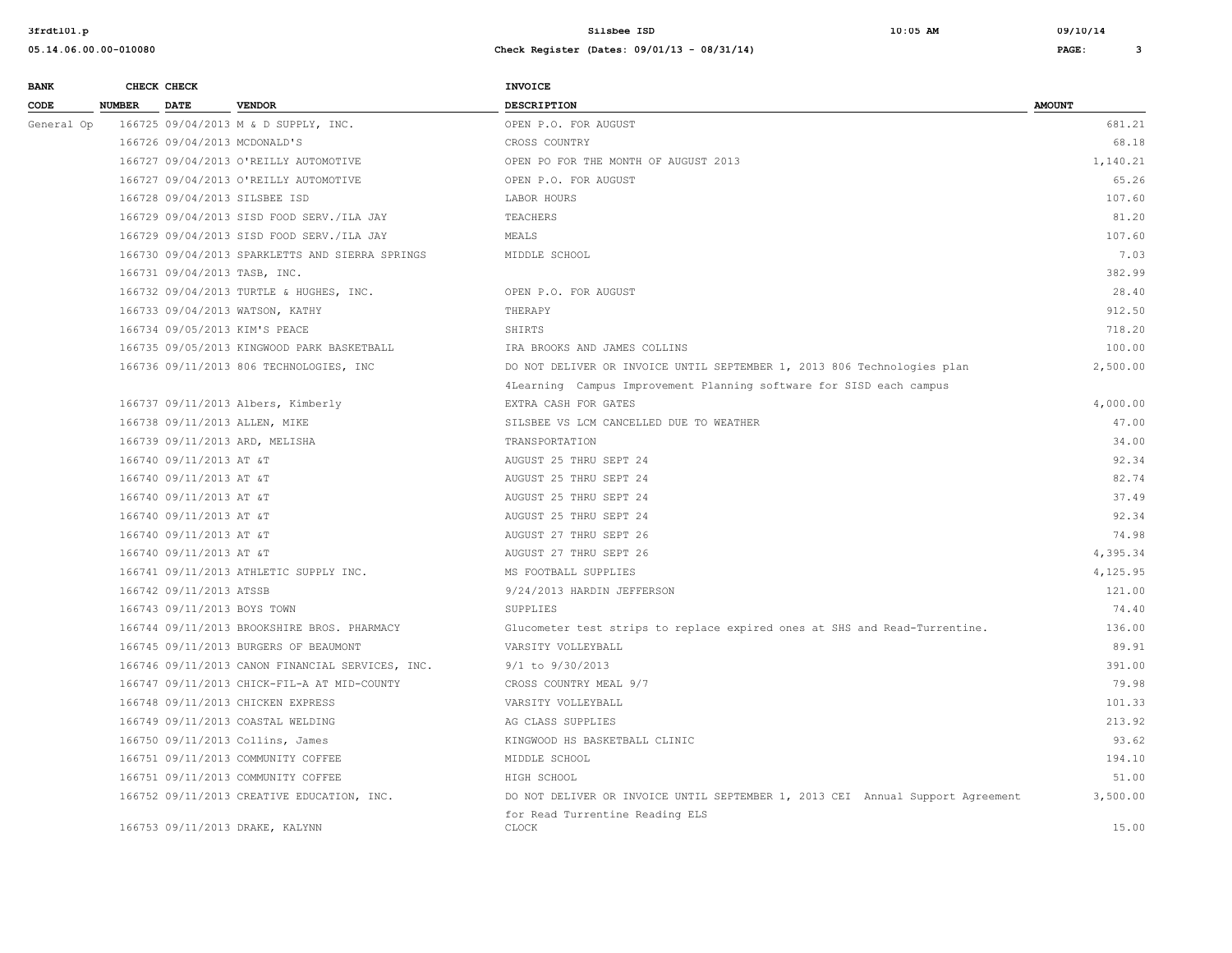| <b>BANK</b> |               | CHECK CHECK                  |                                                  | INVOICE                                                                        |               |
|-------------|---------------|------------------------------|--------------------------------------------------|--------------------------------------------------------------------------------|---------------|
| CODE        | <b>NUMBER</b> | <b>DATE</b>                  | <b>VENDOR</b>                                    | <b>DESCRIPTION</b>                                                             | <b>AMOUNT</b> |
| General Op  |               |                              | 166725 09/04/2013 M & D SUPPLY, INC.             | OPEN P.O. FOR AUGUST                                                           | 681.21        |
|             |               |                              | 166726 09/04/2013 MCDONALD'S                     | CROSS COUNTRY                                                                  | 68.18         |
|             |               |                              | 166727 09/04/2013 O'REILLY AUTOMOTIVE            | OPEN PO FOR THE MONTH OF AUGUST 2013                                           | 1,140.21      |
|             |               |                              | 166727 09/04/2013 O'REILLY AUTOMOTIVE            | OPEN P.O. FOR AUGUST                                                           | 65.26         |
|             |               |                              | 166728 09/04/2013 SILSBEE ISD                    | LABOR HOURS                                                                    | 107.60        |
|             |               |                              | 166729 09/04/2013 SISD FOOD SERV./ILA JAY        | TEACHERS                                                                       | 81.20         |
|             |               |                              | 166729 09/04/2013 SISD FOOD SERV./ILA JAY        | MEALS                                                                          | 107.60        |
|             |               |                              | 166730 09/04/2013 SPARKLETTS AND SIERRA SPRINGS  | MIDDLE SCHOOL                                                                  | 7.03          |
|             |               | 166731 09/04/2013 TASB, INC. |                                                  |                                                                                | 382.99        |
|             |               |                              | 166732 09/04/2013 TURTLE & HUGHES, INC.          | OPEN P.O. FOR AUGUST                                                           | 28.40         |
|             |               |                              | 166733 09/04/2013 WATSON, KATHY                  | THERAPY                                                                        | 912.50        |
|             |               |                              | 166734 09/05/2013 KIM'S PEACE                    | SHIRTS                                                                         | 718.20        |
|             |               |                              | 166735 09/05/2013 KINGWOOD PARK BASKETBALL       | IRA BROOKS AND JAMES COLLINS                                                   | 100.00        |
|             |               |                              | 166736 09/11/2013 806 TECHNOLOGIES, INC          | DO NOT DELIVER OR INVOICE UNTIL SEPTEMBER 1, 2013 806 Technologies plan        | 2,500.00      |
|             |               |                              |                                                  | 4Learning Campus Improvement Planning software for SISD each campus            |               |
|             |               |                              | 166737 09/11/2013 Albers, Kimberly               | EXTRA CASH FOR GATES                                                           | 4,000.00      |
|             |               |                              | 166738 09/11/2013 ALLEN, MIKE                    | SILSBEE VS LCM CANCELLED DUE TO WEATHER                                        | 47.00         |
|             |               |                              | 166739 09/11/2013 ARD, MELISHA                   | TRANSPORTATION                                                                 | 34.00         |
|             |               | 166740 09/11/2013 AT &T      |                                                  | AUGUST 25 THRU SEPT 24                                                         | 92.34         |
|             |               | 166740 09/11/2013 AT &T      |                                                  | AUGUST 25 THRU SEPT 24                                                         | 82.74         |
|             |               | 166740 09/11/2013 AT &T      |                                                  | AUGUST 25 THRU SEPT 24                                                         | 37.49         |
|             |               | 166740 09/11/2013 AT &T      |                                                  | AUGUST 25 THRU SEPT 24                                                         | 92.34         |
|             |               | 166740 09/11/2013 AT &T      |                                                  | AUGUST 27 THRU SEPT 26                                                         | 74.98         |
|             |               | 166740 09/11/2013 AT &T      |                                                  | AUGUST 27 THRU SEPT 26                                                         | 4,395.34      |
|             |               |                              | 166741 09/11/2013 ATHLETIC SUPPLY INC.           | MS FOOTBALL SUPPLIES                                                           | 4,125.95      |
|             |               | 166742 09/11/2013 ATSSB      |                                                  | 9/24/2013 HARDIN JEFFERSON                                                     | 121.00        |
|             |               | 166743 09/11/2013 BOYS TOWN  |                                                  | SUPPLIES                                                                       | 74.40         |
|             |               |                              | 166744 09/11/2013 BROOKSHIRE BROS. PHARMACY      | Glucometer test strips to replace expired ones at SHS and Read-Turrentine.     | 136.00        |
|             |               |                              | 166745 09/11/2013 BURGERS OF BEAUMONT            | VARSITY VOLLEYBALL                                                             | 89.91         |
|             |               |                              | 166746 09/11/2013 CANON FINANCIAL SERVICES, INC. | 9/1 to 9/30/2013                                                               | 391.00        |
|             |               |                              | 166747 09/11/2013 CHICK-FIL-A AT MID-COUNTY      | CROSS COUNTRY MEAL 9/7                                                         | 79.98         |
|             |               |                              | 166748 09/11/2013 CHICKEN EXPRESS                | VARSITY VOLLEYBALL                                                             | 101.33        |
|             |               |                              | 166749 09/11/2013 COASTAL WELDING                | AG CLASS SUPPLIES                                                              | 213.92        |
|             |               |                              | 166750 09/11/2013 Collins, James                 | KINGWOOD HS BASKETBALL CLINIC                                                  | 93.62         |
|             |               |                              | 166751 09/11/2013 COMMUNITY COFFEE               | MIDDLE SCHOOL                                                                  | 194.10        |
|             |               |                              | 166751 09/11/2013 COMMUNITY COFFEE               | HIGH SCHOOL                                                                    | 51.00         |
|             |               |                              | 166752 09/11/2013 CREATIVE EDUCATION, INC.       | DO NOT DELIVER OR INVOICE UNTIL SEPTEMBER 1, 2013 CEI Annual Support Agreement | 3,500.00      |
|             |               |                              |                                                  | for Read Turrentine Reading ELS                                                |               |
|             |               |                              | 166753 09/11/2013 DRAKE, KALYNN                  | CLOCK                                                                          | 15.00         |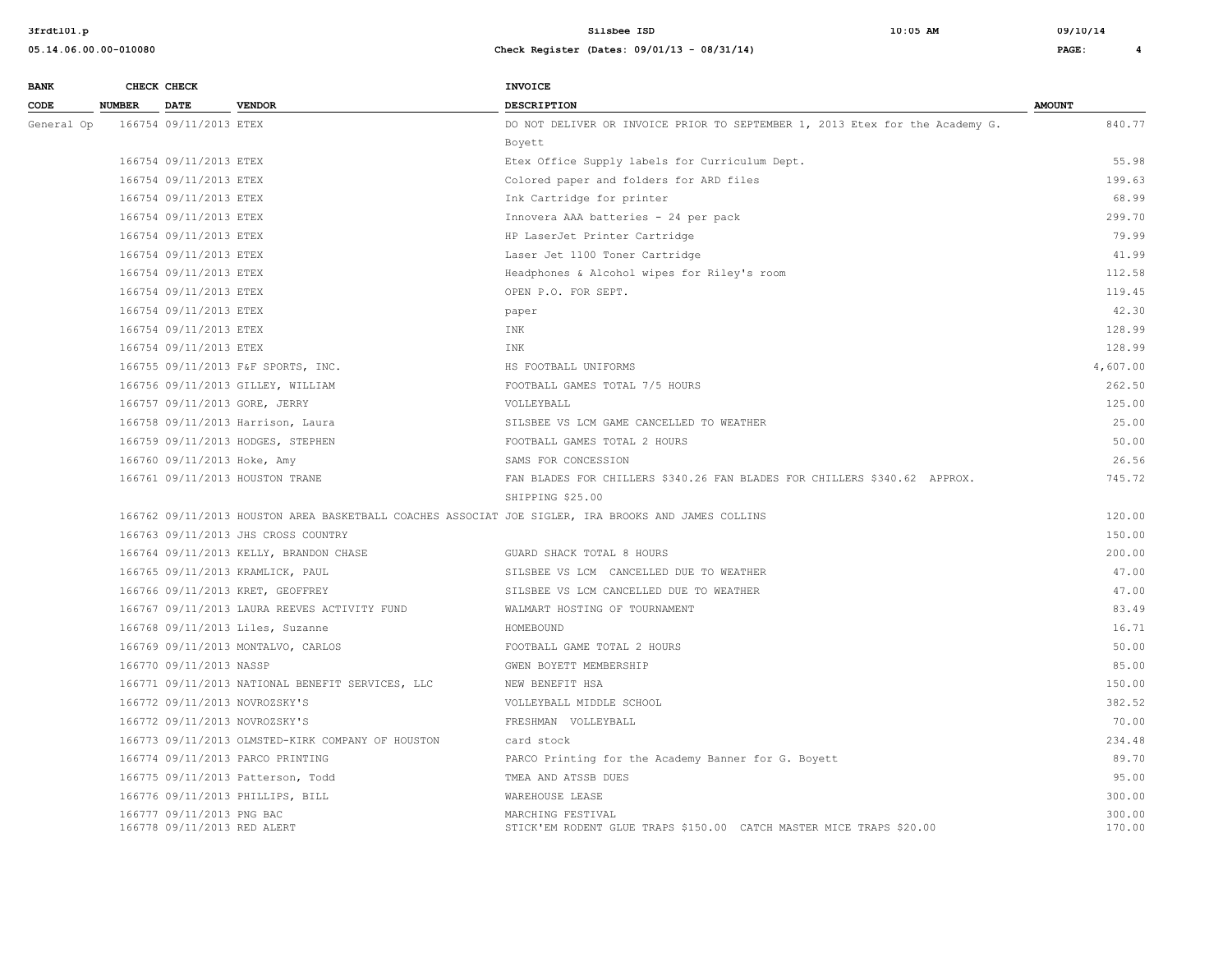| <b>BANK</b> |               | CHECK CHECK                                              |                                                   | <b>INVOICE</b>                                                                                      |                  |
|-------------|---------------|----------------------------------------------------------|---------------------------------------------------|-----------------------------------------------------------------------------------------------------|------------------|
| CODE        | <b>NUMBER</b> | <b>DATE</b>                                              | <b>VENDOR</b>                                     | <b>DESCRIPTION</b>                                                                                  | <b>AMOUNT</b>    |
| General Op  |               | 166754 09/11/2013 ETEX                                   |                                                   | DO NOT DELIVER OR INVOICE PRIOR TO SEPTEMBER 1, 2013 Etex for the Academy G.                        | 840.77           |
|             |               |                                                          |                                                   | Boyett                                                                                              |                  |
|             |               | 166754 09/11/2013 ETEX                                   |                                                   | Etex Office Supply labels for Curriculum Dept.                                                      | 55.98            |
|             |               | 166754 09/11/2013 ETEX                                   |                                                   | Colored paper and folders for ARD files                                                             | 199.63           |
|             |               | 166754 09/11/2013 ETEX                                   |                                                   | Ink Cartridge for printer                                                                           | 68.99            |
|             |               | 166754 09/11/2013 ETEX                                   |                                                   | Innovera AAA batteries - 24 per pack                                                                | 299.70           |
|             |               | 166754 09/11/2013 ETEX                                   |                                                   | HP LaserJet Printer Cartridge                                                                       | 79.99            |
|             |               | 166754 09/11/2013 ETEX                                   |                                                   | Laser Jet 1100 Toner Cartridge                                                                      | 41.99            |
|             |               | 166754 09/11/2013 ETEX                                   |                                                   | Headphones & Alcohol wipes for Riley's room                                                         | 112.58           |
|             |               | 166754 09/11/2013 ETEX                                   |                                                   | OPEN P.O. FOR SEPT.                                                                                 | 119.45           |
|             |               | 166754 09/11/2013 ETEX                                   |                                                   | paper                                                                                               | 42.30            |
|             |               | 166754 09/11/2013 ETEX                                   |                                                   | INK                                                                                                 | 128.99           |
|             |               | 166754 09/11/2013 ETEX                                   |                                                   | INK                                                                                                 | 128.99           |
|             |               |                                                          | 166755 09/11/2013 F&F SPORTS, INC.                | HS FOOTBALL UNIFORMS                                                                                | 4,607.00         |
|             |               |                                                          | 166756 09/11/2013 GILLEY, WILLIAM                 | FOOTBALL GAMES TOTAL 7/5 HOURS                                                                      | 262.50           |
|             |               |                                                          | 166757 09/11/2013 GORE, JERRY                     | VOLLEYBALL                                                                                          | 125.00           |
|             |               |                                                          | 166758 09/11/2013 Harrison, Laura                 | SILSBEE VS LCM GAME CANCELLED TO WEATHER                                                            | 25.00            |
|             |               |                                                          | 166759 09/11/2013 HODGES, STEPHEN                 | FOOTBALL GAMES TOTAL 2 HOURS                                                                        | 50.00            |
|             |               | 166760 09/11/2013 Hoke, Amy                              |                                                   | SAMS FOR CONCESSION                                                                                 | 26.56            |
|             |               |                                                          | 166761 09/11/2013 HOUSTON TRANE                   | FAN BLADES FOR CHILLERS \$340.26 FAN BLADES FOR CHILLERS \$340.62 APPROX.                           | 745.72           |
|             |               |                                                          |                                                   | SHIPPING \$25.00                                                                                    |                  |
|             |               |                                                          |                                                   | 166762 09/11/2013 HOUSTON AREA BASKETBALL COACHES ASSOCIAT JOE SIGLER, IRA BROOKS AND JAMES COLLINS | 120.00           |
|             |               |                                                          | 166763 09/11/2013 JHS CROSS COUNTRY               |                                                                                                     | 150.00           |
|             |               |                                                          | 166764 09/11/2013 KELLY, BRANDON CHASE            | GUARD SHACK TOTAL 8 HOURS                                                                           | 200.00           |
|             |               |                                                          | 166765 09/11/2013 KRAMLICK, PAUL                  | SILSBEE VS LCM CANCELLED DUE TO WEATHER                                                             | 47.00            |
|             |               |                                                          | 166766 09/11/2013 KRET, GEOFFREY                  | SILSBEE VS LCM CANCELLED DUE TO WEATHER                                                             | 47.00            |
|             |               |                                                          | 166767 09/11/2013 LAURA REEVES ACTIVITY FUND      | WALMART HOSTING OF TOURNAMENT                                                                       | 83.49            |
|             |               |                                                          | 166768 09/11/2013 Liles, Suzanne                  | HOMEBOUND                                                                                           | 16.71            |
|             |               |                                                          | 166769 09/11/2013 MONTALVO, CARLOS                | FOOTBALL GAME TOTAL 2 HOURS                                                                         | 50.00            |
|             |               | 166770 09/11/2013 NASSP                                  |                                                   | GWEN BOYETT MEMBERSHIP                                                                              | 85.00            |
|             |               |                                                          | 166771 09/11/2013 NATIONAL BENEFIT SERVICES, LLC  | NEW BENEFIT HSA                                                                                     | 150.00           |
|             |               |                                                          | 166772 09/11/2013 NOVROZSKY'S                     | VOLLEYBALL MIDDLE SCHOOL                                                                            | 382.52           |
|             |               |                                                          | 166772 09/11/2013 NOVROZSKY'S                     | FRESHMAN VOLLEYBALL                                                                                 | 70.00            |
|             |               |                                                          | 166773 09/11/2013 OLMSTED-KIRK COMPANY OF HOUSTON | card stock                                                                                          | 234.48           |
|             |               |                                                          | 166774 09/11/2013 PARCO PRINTING                  | PARCO Printing for the Academy Banner for G. Boyett                                                 | 89.70            |
|             |               |                                                          | 166775 09/11/2013 Patterson, Todd                 | TMEA AND ATSSB DUES                                                                                 | 95.00            |
|             |               |                                                          | 166776 09/11/2013 PHILLIPS, BILL                  | WAREHOUSE LEASE                                                                                     | 300.00           |
|             |               | 166777 09/11/2013 PNG BAC<br>166778 09/11/2013 RED ALERT |                                                   | MARCHING FESTIVAL<br>STICK'EM RODENT GLUE TRAPS \$150.00 CATCH MASTER MICE TRAPS \$20.00            | 300.00<br>170.00 |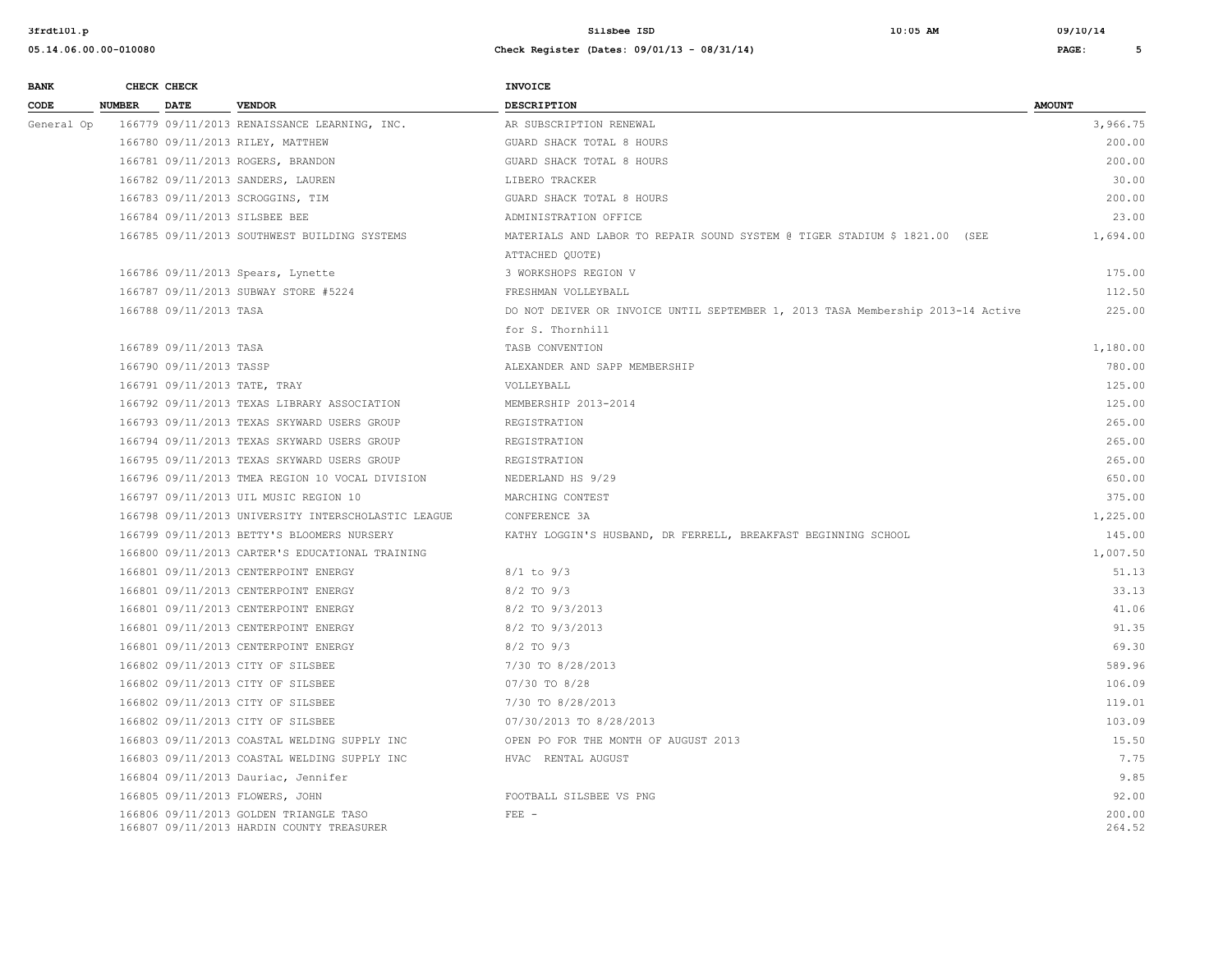| <b>BANK</b> |               | CHECK CHECK             |                                                                                     | <b>INVOICE</b>                                                                  |                  |
|-------------|---------------|-------------------------|-------------------------------------------------------------------------------------|---------------------------------------------------------------------------------|------------------|
| CODE        | <b>NUMBER</b> | <b>DATE</b>             | <b>VENDOR</b>                                                                       | <b>DESCRIPTION</b>                                                              | <b>AMOUNT</b>    |
| General Op  |               |                         | 166779 09/11/2013 RENAISSANCE LEARNING, INC.                                        | AR SUBSCRIPTION RENEWAL                                                         | 3,966.75         |
|             |               |                         | 166780 09/11/2013 RILEY, MATTHEW                                                    | GUARD SHACK TOTAL 8 HOURS                                                       | 200.00           |
|             |               |                         | 166781 09/11/2013 ROGERS, BRANDON                                                   | GUARD SHACK TOTAL 8 HOURS                                                       | 200.00           |
|             |               |                         | 166782 09/11/2013 SANDERS, LAUREN                                                   | LIBERO TRACKER                                                                  | 30.00            |
|             |               |                         | 166783 09/11/2013 SCROGGINS, TIM                                                    | GUARD SHACK TOTAL 8 HOURS                                                       | 200.00           |
|             |               |                         | 166784 09/11/2013 SILSBEE BEE                                                       | ADMINISTRATION OFFICE                                                           | 23.00            |
|             |               |                         | 166785 09/11/2013 SOUTHWEST BUILDING SYSTEMS                                        | MATERIALS AND LABOR TO REPAIR SOUND SYSTEM @ TIGER STADIUM \$ 1821.00 (SEE      | 1,694.00         |
|             |               |                         |                                                                                     | ATTACHED QUOTE)                                                                 |                  |
|             |               |                         | 166786 09/11/2013 Spears, Lynette                                                   | 3 WORKSHOPS REGION V                                                            | 175.00           |
|             |               |                         | 166787 09/11/2013 SUBWAY STORE #5224                                                | FRESHMAN VOLLEYBALL                                                             | 112.50           |
|             |               | 166788 09/11/2013 TASA  |                                                                                     | DO NOT DEIVER OR INVOICE UNTIL SEPTEMBER 1, 2013 TASA Membership 2013-14 Active | 225.00           |
|             |               |                         |                                                                                     | for S. Thornhill                                                                |                  |
|             |               | 166789 09/11/2013 TASA  |                                                                                     | TASB CONVENTION                                                                 | 1,180.00         |
|             |               | 166790 09/11/2013 TASSP |                                                                                     | ALEXANDER AND SAPP MEMBERSHIP                                                   | 780.00           |
|             |               |                         | 166791 09/11/2013 TATE, TRAY                                                        | VOLLEYBALL                                                                      | 125.00           |
|             |               |                         | 166792 09/11/2013 TEXAS LIBRARY ASSOCIATION                                         | MEMBERSHIP 2013-2014                                                            | 125.00           |
|             |               |                         | 166793 09/11/2013 TEXAS SKYWARD USERS GROUP                                         | REGISTRATION                                                                    | 265.00           |
|             |               |                         | 166794 09/11/2013 TEXAS SKYWARD USERS GROUP                                         | REGISTRATION                                                                    | 265.00           |
|             |               |                         | 166795 09/11/2013 TEXAS SKYWARD USERS GROUP                                         | REGISTRATION                                                                    | 265.00           |
|             |               |                         | 166796 09/11/2013 TMEA REGION 10 VOCAL DIVISION                                     | NEDERLAND HS 9/29                                                               | 650.00           |
|             |               |                         | 166797 09/11/2013 UIL MUSIC REGION 10                                               | MARCHING CONTEST                                                                | 375.00           |
|             |               |                         | 166798 09/11/2013 UNIVERSITY INTERSCHOLASTIC LEAGUE                                 | CONFERENCE 3A                                                                   | 1,225.00         |
|             |               |                         | 166799 09/11/2013 BETTY'S BLOOMERS NURSERY                                          | KATHY LOGGIN'S HUSBAND, DR FERRELL, BREAKFAST BEGINNING SCHOOL                  | 145.00           |
|             |               |                         | 166800 09/11/2013 CARTER'S EDUCATIONAL TRAINING                                     |                                                                                 | 1,007.50         |
|             |               |                         | 166801 09/11/2013 CENTERPOINT ENERGY                                                | $8/1$ to $9/3$                                                                  | 51.13            |
|             |               |                         | 166801 09/11/2013 CENTERPOINT ENERGY                                                | $8/2$ TO $9/3$                                                                  | 33.13            |
|             |               |                         | 166801 09/11/2013 CENTERPOINT ENERGY                                                | 8/2 TO 9/3/2013                                                                 | 41.06            |
|             |               |                         | 166801 09/11/2013 CENTERPOINT ENERGY                                                | 8/2 TO 9/3/2013                                                                 | 91.35            |
|             |               |                         | 166801 09/11/2013 CENTERPOINT ENERGY                                                | $8/2$ TO $9/3$                                                                  | 69.30            |
|             |               |                         | 166802 09/11/2013 CITY OF SILSBEE                                                   | 7/30 TO 8/28/2013                                                               | 589.96           |
|             |               |                         | 166802 09/11/2013 CITY OF SILSBEE                                                   | 07/30 TO 8/28                                                                   | 106.09           |
|             |               |                         | 166802 09/11/2013 CITY OF SILSBEE                                                   | 7/30 TO 8/28/2013                                                               | 119.01           |
|             |               |                         | 166802 09/11/2013 CITY OF SILSBEE                                                   | 07/30/2013 TO 8/28/2013                                                         | 103.09           |
|             |               |                         | 166803 09/11/2013 COASTAL WELDING SUPPLY INC                                        | OPEN PO FOR THE MONTH OF AUGUST 2013                                            | 15.50            |
|             |               |                         | 166803 09/11/2013 COASTAL WELDING SUPPLY INC                                        | HVAC RENTAL AUGUST                                                              | 7.75             |
|             |               |                         | 166804 09/11/2013 Dauriac, Jennifer                                                 |                                                                                 | 9.85             |
|             |               |                         | 166805 09/11/2013 FLOWERS, JOHN                                                     | FOOTBALL SILSBEE VS PNG                                                         | 92.00            |
|             |               |                         | 166806 09/11/2013 GOLDEN TRIANGLE TASO<br>166807 09/11/2013 HARDIN COUNTY TREASURER | $FEE -$                                                                         | 200.00<br>264.52 |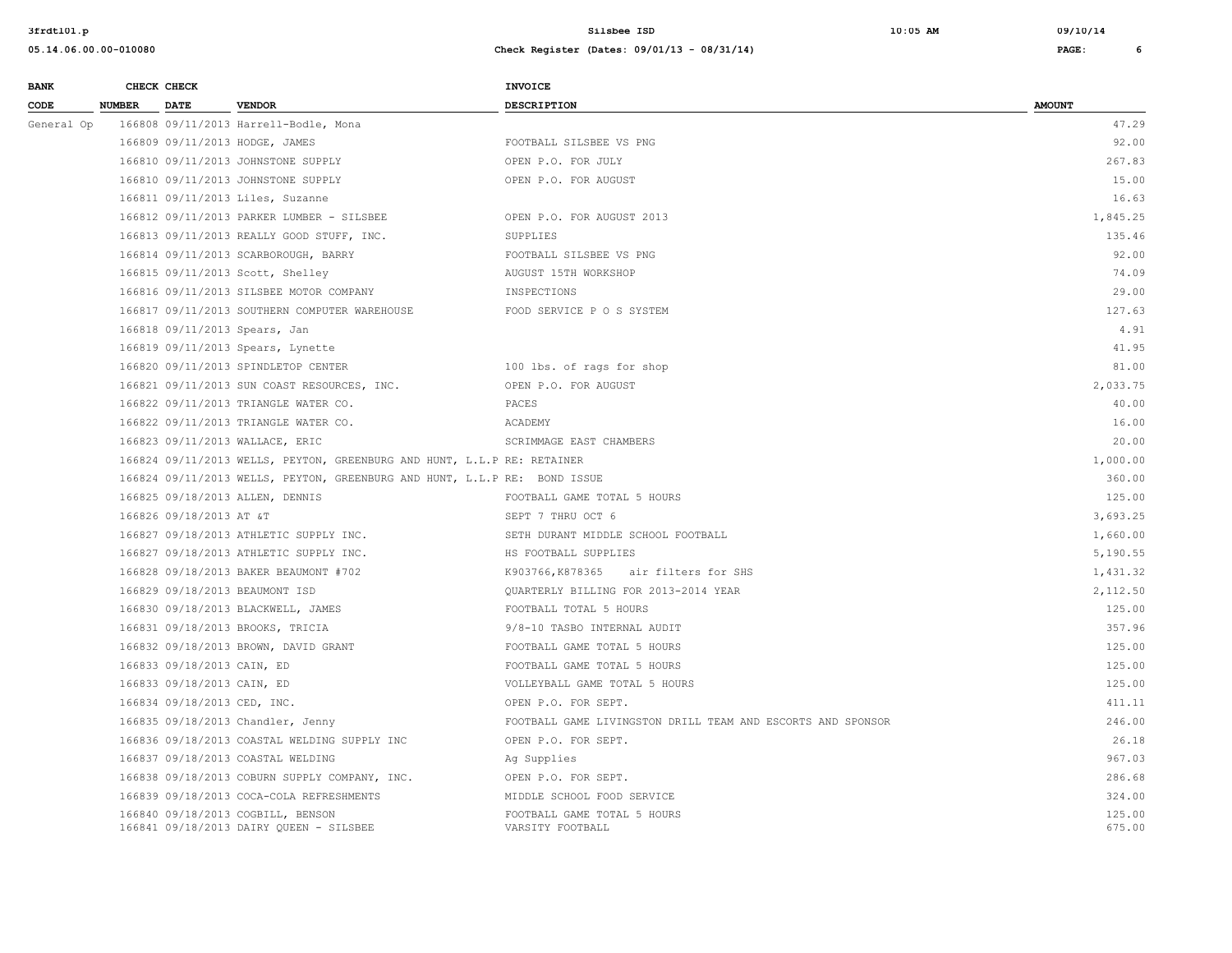| <b>BANK</b> |               | CHECK CHECK                 |                                                                              | <b>INVOICE</b>                                              |                  |
|-------------|---------------|-----------------------------|------------------------------------------------------------------------------|-------------------------------------------------------------|------------------|
| CODE        | <b>NUMBER</b> | <b>DATE</b>                 | <b>VENDOR</b>                                                                | <b>DESCRIPTION</b>                                          | <b>AMOUNT</b>    |
| General Op  |               |                             | 166808 09/11/2013 Harrell-Bodle, Mona                                        |                                                             | 47.29            |
|             |               |                             | 166809 09/11/2013 HODGE, JAMES                                               | FOOTBALL SILSBEE VS PNG                                     | 92.00            |
|             |               |                             | 166810 09/11/2013 JOHNSTONE SUPPLY                                           | OPEN P.O. FOR JULY                                          | 267.83           |
|             |               |                             | 166810 09/11/2013 JOHNSTONE SUPPLY                                           | OPEN P.O. FOR AUGUST                                        | 15.00            |
|             |               |                             | 166811 09/11/2013 Liles, Suzanne                                             |                                                             | 16.63            |
|             |               |                             | 166812 09/11/2013 PARKER LUMBER - SILSBEE                                    | OPEN P.O. FOR AUGUST 2013                                   | 1,845.25         |
|             |               |                             | 166813 09/11/2013 REALLY GOOD STUFF, INC.                                    | SUPPLIES                                                    | 135.46           |
|             |               |                             | 166814 09/11/2013 SCARBOROUGH, BARRY                                         | FOOTBALL SILSBEE VS PNG                                     | 92.00            |
|             |               |                             | 166815 09/11/2013 Scott, Shelley                                             | AUGUST 15TH WORKSHOP                                        | 74.09            |
|             |               |                             | 166816 09/11/2013 SILSBEE MOTOR COMPANY                                      | INSPECTIONS                                                 | 29.00            |
|             |               |                             | 166817 09/11/2013 SOUTHERN COMPUTER WAREHOUSE                                | FOOD SERVICE P O S SYSTEM                                   | 127.63           |
|             |               |                             | 166818 09/11/2013 Spears, Jan                                                |                                                             | 4.91             |
|             |               |                             | 166819 09/11/2013 Spears, Lynette                                            |                                                             | 41.95            |
|             |               |                             | 166820 09/11/2013 SPINDLETOP CENTER                                          | 100 lbs. of rags for shop                                   | 81.00            |
|             |               |                             | 166821 09/11/2013 SUN COAST RESOURCES, INC.                                  | OPEN P.O. FOR AUGUST                                        | 2,033.75         |
|             |               |                             | 166822 09/11/2013 TRIANGLE WATER CO.                                         | PACES                                                       | 40.00            |
|             |               |                             | 166822 09/11/2013 TRIANGLE WATER CO.                                         | ACADEMY                                                     | 16.00            |
|             |               |                             | 166823 09/11/2013 WALLACE, ERIC                                              | SCRIMMAGE EAST CHAMBERS                                     | 20.00            |
|             |               |                             | 166824 09/11/2013 WELLS, PEYTON, GREENBURG AND HUNT, L.L.P RE: RETAINER      |                                                             | 1,000.00         |
|             |               |                             | 166824 09/11/2013 WELLS, PEYTON, GREENBURG AND HUNT, L.L.P RE: BOND ISSUE    |                                                             | 360.00           |
|             |               |                             | 166825 09/18/2013 ALLEN, DENNIS                                              | FOOTBALL GAME TOTAL 5 HOURS                                 | 125.00           |
|             |               | 166826 09/18/2013 AT &T     |                                                                              | SEPT 7 THRU OCT 6                                           | 3,693.25         |
|             |               |                             | 166827 09/18/2013 ATHLETIC SUPPLY INC.                                       | SETH DURANT MIDDLE SCHOOL FOOTBALL                          | 1,660.00         |
|             |               |                             | 166827 09/18/2013 ATHLETIC SUPPLY INC.                                       | HS FOOTBALL SUPPLIES                                        | 5,190.55         |
|             |               |                             | 166828 09/18/2013 BAKER BEAUMONT #702                                        | K903766, K878365 air filters for SHS                        | 1,431.32         |
|             |               |                             | 166829 09/18/2013 BEAUMONT ISD                                               | QUARTERLY BILLING FOR 2013-2014 YEAR                        | 2,112.50         |
|             |               |                             | 166830 09/18/2013 BLACKWELL, JAMES                                           | FOOTBALL TOTAL 5 HOURS                                      | 125.00           |
|             |               |                             | 166831 09/18/2013 BROOKS, TRICIA                                             | 9/8-10 TASBO INTERNAL AUDIT                                 | 357.96           |
|             |               |                             | 166832 09/18/2013 BROWN, DAVID GRANT                                         | FOOTBALL GAME TOTAL 5 HOURS                                 | 125.00           |
|             |               | 166833 09/18/2013 CAIN, ED  |                                                                              | FOOTBALL GAME TOTAL 5 HOURS                                 | 125.00           |
|             |               | 166833 09/18/2013 CAIN, ED  |                                                                              | VOLLEYBALL GAME TOTAL 5 HOURS                               | 125.00           |
|             |               | 166834 09/18/2013 CED, INC. |                                                                              | OPEN P.O. FOR SEPT.                                         | 411.11           |
|             |               |                             | 166835 09/18/2013 Chandler, Jenny                                            | FOOTBALL GAME LIVINGSTON DRILL TEAM AND ESCORTS AND SPONSOR | 246.00           |
|             |               |                             | 166836 09/18/2013 COASTAL WELDING SUPPLY INC                                 | OPEN P.O. FOR SEPT.                                         | 26.18            |
|             |               |                             | 166837 09/18/2013 COASTAL WELDING                                            | Ag Supplies                                                 | 967.03           |
|             |               |                             | 166838 09/18/2013 COBURN SUPPLY COMPANY, INC.                                | OPEN P.O. FOR SEPT.                                         | 286.68           |
|             |               |                             | 166839 09/18/2013 COCA-COLA REFRESHMENTS                                     | MIDDLE SCHOOL FOOD SERVICE                                  | 324.00           |
|             |               |                             | 166840 09/18/2013 COGBILL, BENSON<br>166841 09/18/2013 DAIRY QUEEN - SILSBEE | FOOTBALL GAME TOTAL 5 HOURS<br>VARSITY FOOTBALL             | 125.00<br>675.00 |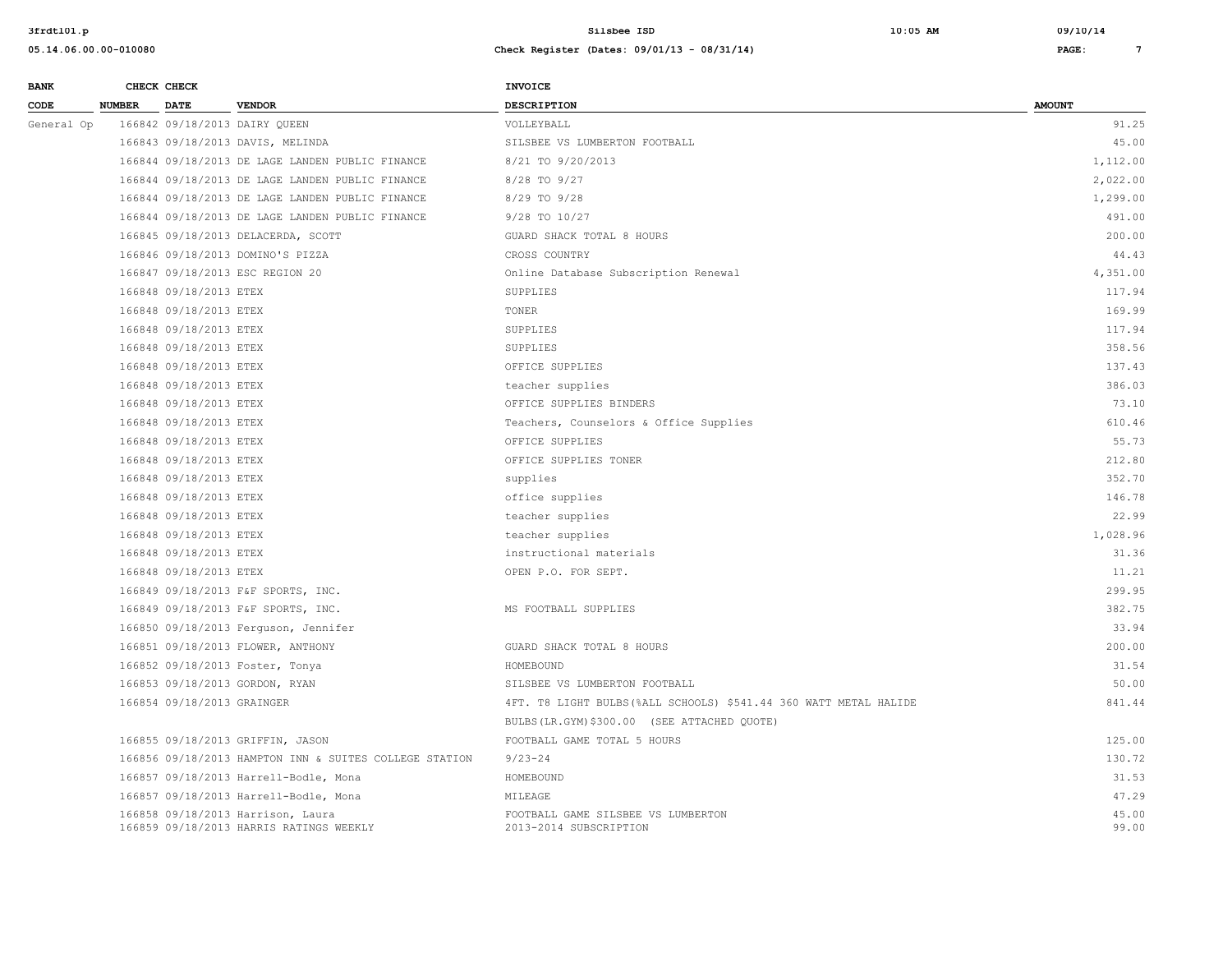| <b>BANK</b> |               | CHECK CHECK                |                                                                              | <b>INVOICE</b>                                                    |                |
|-------------|---------------|----------------------------|------------------------------------------------------------------------------|-------------------------------------------------------------------|----------------|
| CODE        | <b>NUMBER</b> | <b>DATE</b>                | <b>VENDOR</b>                                                                | <b>DESCRIPTION</b>                                                | <b>AMOUNT</b>  |
| General Op  |               |                            | 166842 09/18/2013 DAIRY QUEEN                                                | VOLLEYBALL                                                        | 91.25          |
|             |               |                            | 166843 09/18/2013 DAVIS, MELINDA                                             | SILSBEE VS LUMBERTON FOOTBALL                                     | 45.00          |
|             |               |                            | 166844 09/18/2013 DE LAGE LANDEN PUBLIC FINANCE                              | 8/21 TO 9/20/2013                                                 | 1,112.00       |
|             |               |                            | 166844 09/18/2013 DE LAGE LANDEN PUBLIC FINANCE                              | 8/28 TO 9/27                                                      | 2,022.00       |
|             |               |                            | 166844 09/18/2013 DE LAGE LANDEN PUBLIC FINANCE                              | 8/29 TO 9/28                                                      | 1,299.00       |
|             |               |                            | 166844 09/18/2013 DE LAGE LANDEN PUBLIC FINANCE                              | 9/28 TO 10/27                                                     | 491.00         |
|             |               |                            | 166845 09/18/2013 DELACERDA, SCOTT                                           | GUARD SHACK TOTAL 8 HOURS                                         | 200.00         |
|             |               |                            | 166846 09/18/2013 DOMINO'S PIZZA                                             | CROSS COUNTRY                                                     | 44.43          |
|             |               |                            | 166847 09/18/2013 ESC REGION 20                                              | Online Database Subscription Renewal                              | 4,351.00       |
|             |               | 166848 09/18/2013 ETEX     |                                                                              | SUPPLIES                                                          | 117.94         |
|             |               | 166848 09/18/2013 ETEX     |                                                                              | TONER                                                             | 169.99         |
|             |               | 166848 09/18/2013 ETEX     |                                                                              | SUPPLIES                                                          | 117.94         |
|             |               | 166848 09/18/2013 ETEX     |                                                                              | SUPPLIES                                                          | 358.56         |
|             |               | 166848 09/18/2013 ETEX     |                                                                              | OFFICE SUPPLIES                                                   | 137.43         |
|             |               | 166848 09/18/2013 ETEX     |                                                                              | teacher supplies                                                  | 386.03         |
|             |               | 166848 09/18/2013 ETEX     |                                                                              | OFFICE SUPPLIES BINDERS                                           | 73.10          |
|             |               | 166848 09/18/2013 ETEX     |                                                                              | Teachers, Counselors & Office Supplies                            | 610.46         |
|             |               | 166848 09/18/2013 ETEX     |                                                                              | OFFICE SUPPLIES                                                   | 55.73          |
|             |               | 166848 09/18/2013 ETEX     |                                                                              | OFFICE SUPPLIES TONER                                             | 212.80         |
|             |               | 166848 09/18/2013 ETEX     |                                                                              | supplies                                                          | 352.70         |
|             |               | 166848 09/18/2013 ETEX     |                                                                              | office supplies                                                   | 146.78         |
|             |               | 166848 09/18/2013 ETEX     |                                                                              | teacher supplies                                                  | 22.99          |
|             |               | 166848 09/18/2013 ETEX     |                                                                              | teacher supplies                                                  | 1,028.96       |
|             |               | 166848 09/18/2013 ETEX     |                                                                              | instructional materials                                           | 31.36          |
|             |               | 166848 09/18/2013 ETEX     |                                                                              | OPEN P.O. FOR SEPT.                                               | 11.21          |
|             |               |                            | 166849 09/18/2013 F&F SPORTS, INC.                                           |                                                                   | 299.95         |
|             |               |                            | 166849 09/18/2013 F&F SPORTS, INC.                                           | MS FOOTBALL SUPPLIES                                              | 382.75         |
|             |               |                            | 166850 09/18/2013 Ferguson, Jennifer                                         |                                                                   | 33.94          |
|             |               |                            | 166851 09/18/2013 FLOWER, ANTHONY                                            | GUARD SHACK TOTAL 8 HOURS                                         | 200.00         |
|             |               |                            | 166852 09/18/2013 Foster, Tonya                                              | HOMEBOUND                                                         | 31.54          |
|             |               |                            | 166853 09/18/2013 GORDON, RYAN                                               | SILSBEE VS LUMBERTON FOOTBALL                                     | 50.00          |
|             |               | 166854 09/18/2013 GRAINGER |                                                                              | 4FT. T8 LIGHT BULBS (%ALL SCHOOLS) \$541.44 360 WATT METAL HALIDE | 841.44         |
|             |               |                            |                                                                              | BULBS (LR.GYM) \$300.00 (SEE ATTACHED QUOTE)                      |                |
|             |               |                            | 166855 09/18/2013 GRIFFIN, JASON                                             | FOOTBALL GAME TOTAL 5 HOURS                                       | 125.00         |
|             |               |                            | 166856 09/18/2013 HAMPTON INN & SUITES COLLEGE STATION                       | $9/23 - 24$                                                       | 130.72         |
|             |               |                            | 166857 09/18/2013 Harrell-Bodle, Mona                                        | HOMEBOUND                                                         | 31.53          |
|             |               |                            | 166857 09/18/2013 Harrell-Bodle, Mona                                        | MILEAGE                                                           | 47.29          |
|             |               |                            | 166858 09/18/2013 Harrison, Laura<br>166859 09/18/2013 HARRIS RATINGS WEEKLY | FOOTBALL GAME SILSBEE VS LUMBERTON<br>2013-2014 SUBSCRIPTION      | 45.00<br>99.00 |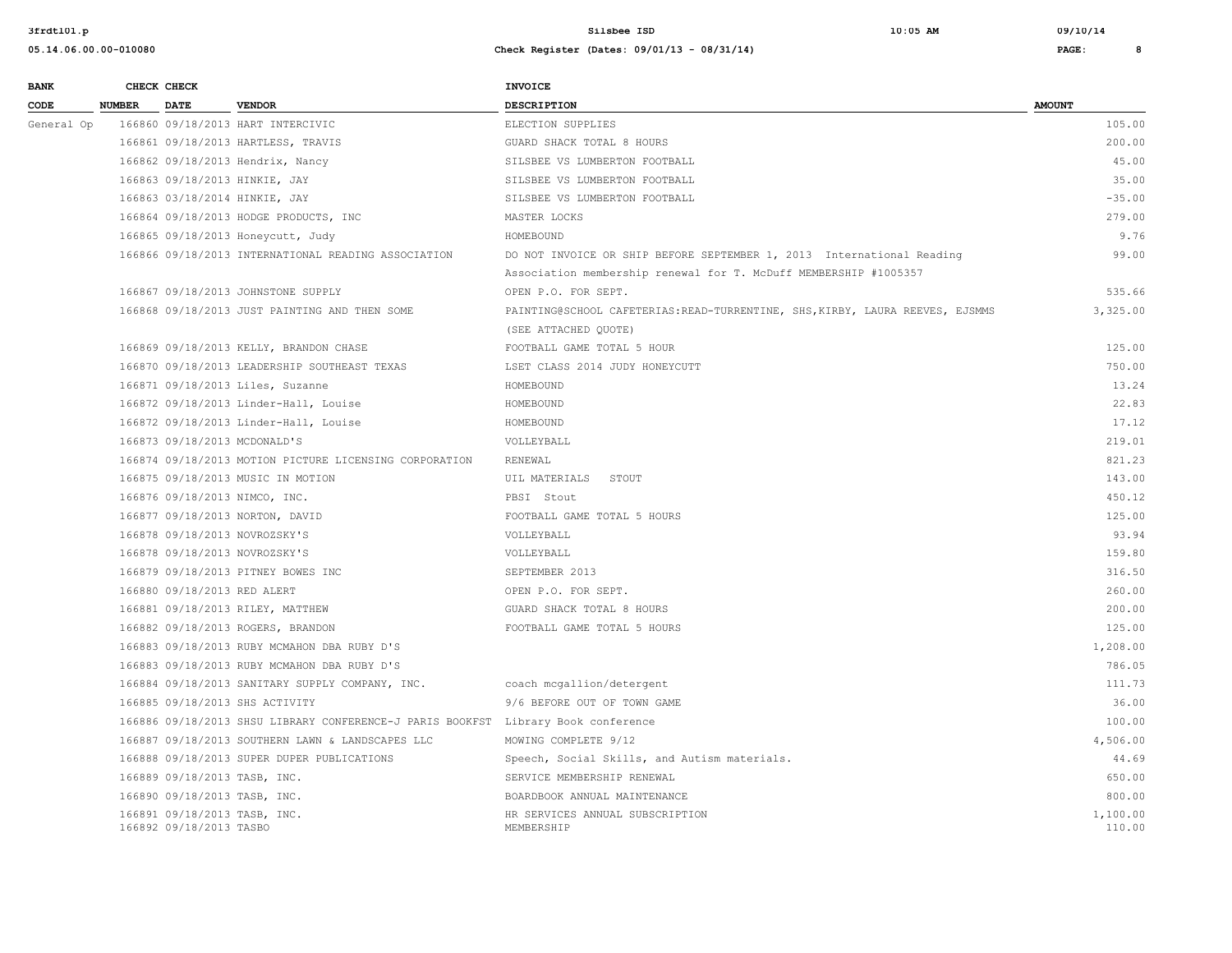| <b>BANK</b> |               | CHECK CHECK                                             |                                                                                   | <b>INVOICE</b>                                                               |                    |
|-------------|---------------|---------------------------------------------------------|-----------------------------------------------------------------------------------|------------------------------------------------------------------------------|--------------------|
| CODE        | <b>NUMBER</b> | <b>DATE</b>                                             | <b>VENDOR</b>                                                                     | <b>DESCRIPTION</b>                                                           | <b>AMOUNT</b>      |
| General Op  |               |                                                         | 166860 09/18/2013 HART INTERCIVIC                                                 | ELECTION SUPPLIES                                                            | 105.00             |
|             |               |                                                         | 166861 09/18/2013 HARTLESS, TRAVIS                                                | GUARD SHACK TOTAL 8 HOURS                                                    | 200.00             |
|             |               |                                                         | 166862 09/18/2013 Hendrix, Nancy                                                  | SILSBEE VS LUMBERTON FOOTBALL                                                | 45.00              |
|             |               |                                                         | 166863 09/18/2013 HINKIE, JAY                                                     | SILSBEE VS LUMBERTON FOOTBALL                                                | 35.00              |
|             |               |                                                         | 166863 03/18/2014 HINKIE, JAY                                                     | SILSBEE VS LUMBERTON FOOTBALL                                                | $-35.00$           |
|             |               |                                                         | 166864 09/18/2013 HODGE PRODUCTS, INC                                             | MASTER LOCKS                                                                 | 279.00             |
|             |               |                                                         | 166865 09/18/2013 Honeycutt, Judy                                                 | HOMEBOUND                                                                    | 9.76               |
|             |               |                                                         | 166866 09/18/2013 INTERNATIONAL READING ASSOCIATION                               | DO NOT INVOICE OR SHIP BEFORE SEPTEMBER 1, 2013 International Reading        | 99.00              |
|             |               |                                                         |                                                                                   | Association membership renewal for T. McDuff MEMBERSHIP #1005357             |                    |
|             |               |                                                         | 166867 09/18/2013 JOHNSTONE SUPPLY                                                | OPEN P.O. FOR SEPT.                                                          | 535.66             |
|             |               |                                                         | 166868 09/18/2013 JUST PAINTING AND THEN SOME                                     | PAINTING@SCHOOL CAFETERIAS:READ-TURRENTINE, SHS, KIRBY, LAURA REEVES, EJSMMS | 3,325.00           |
|             |               |                                                         |                                                                                   | (SEE ATTACHED QUOTE)                                                         |                    |
|             |               |                                                         | 166869 09/18/2013 KELLY, BRANDON CHASE                                            | FOOTBALL GAME TOTAL 5 HOUR                                                   | 125.00             |
|             |               |                                                         | 166870 09/18/2013 LEADERSHIP SOUTHEAST TEXAS                                      | LSET CLASS 2014 JUDY HONEYCUTT                                               | 750.00             |
|             |               |                                                         | 166871 09/18/2013 Liles, Suzanne                                                  | HOMEBOUND                                                                    | 13.24              |
|             |               |                                                         | 166872 09/18/2013 Linder-Hall, Louise                                             | HOMEBOUND                                                                    | 22.83              |
|             |               |                                                         | 166872 09/18/2013 Linder-Hall, Louise                                             | HOMEBOUND                                                                    | 17.12              |
|             |               |                                                         | 166873 09/18/2013 MCDONALD'S                                                      | VOLLEYBALL                                                                   | 219.01             |
|             |               |                                                         | 166874 09/18/2013 MOTION PICTURE LICENSING CORPORATION                            | RENEWAL                                                                      | 821.23             |
|             |               |                                                         | 166875 09/18/2013 MUSIC IN MOTION                                                 | UIL MATERIALS STOUT                                                          | 143.00             |
|             |               |                                                         | 166876 09/18/2013 NIMCO, INC.                                                     | PBSI Stout                                                                   | 450.12             |
|             |               |                                                         | 166877 09/18/2013 NORTON, DAVID                                                   | FOOTBALL GAME TOTAL 5 HOURS                                                  | 125.00             |
|             |               |                                                         | 166878 09/18/2013 NOVROZSKY'S                                                     | VOLLEYBALL                                                                   | 93.94              |
|             |               |                                                         | 166878 09/18/2013 NOVROZSKY'S                                                     | VOLLEYBALL                                                                   | 159.80             |
|             |               |                                                         | 166879 09/18/2013 PITNEY BOWES INC                                                | SEPTEMBER 2013                                                               | 316.50             |
|             |               | 166880 09/18/2013 RED ALERT                             |                                                                                   | OPEN P.O. FOR SEPT.                                                          | 260.00             |
|             |               |                                                         | 166881 09/18/2013 RILEY, MATTHEW                                                  | GUARD SHACK TOTAL 8 HOURS                                                    | 200.00             |
|             |               |                                                         | 166882 09/18/2013 ROGERS, BRANDON                                                 | FOOTBALL GAME TOTAL 5 HOURS                                                  | 125.00             |
|             |               |                                                         | 166883 09/18/2013 RUBY MCMAHON DBA RUBY D'S                                       |                                                                              | 1,208.00           |
|             |               |                                                         | 166883 09/18/2013 RUBY MCMAHON DBA RUBY D'S                                       |                                                                              | 786.05             |
|             |               |                                                         | 166884 09/18/2013 SANITARY SUPPLY COMPANY, INC.                                   | coach mcgallion/detergent                                                    | 111.73             |
|             |               |                                                         | 166885 09/18/2013 SHS ACTIVITY                                                    | 9/6 BEFORE OUT OF TOWN GAME                                                  | 36.00              |
|             |               |                                                         | 166886 09/18/2013 SHSU LIBRARY CONFERENCE-J PARIS BOOKFST Library Book conference |                                                                              | 100.00             |
|             |               |                                                         | 166887 09/18/2013 SOUTHERN LAWN & LANDSCAPES LLC                                  | MOWING COMPLETE 9/12                                                         | 4,506.00           |
|             |               |                                                         | 166888 09/18/2013 SUPER DUPER PUBLICATIONS                                        | Speech, Social Skills, and Autism materials.                                 | 44.69              |
|             |               | 166889 09/18/2013 TASB, INC.                            |                                                                                   | SERVICE MEMBERSHIP RENEWAL                                                   | 650.00             |
|             |               | 166890 09/18/2013 TASB, INC.                            |                                                                                   | BOARDBOOK ANNUAL MAINTENANCE                                                 | 800.00             |
|             |               | 166891 09/18/2013 TASB, INC.<br>166892 09/18/2013 TASBO |                                                                                   | HR SERVICES ANNUAL SUBSCRIPTION<br>MEMBERSHIP                                | 1,100.00<br>110.00 |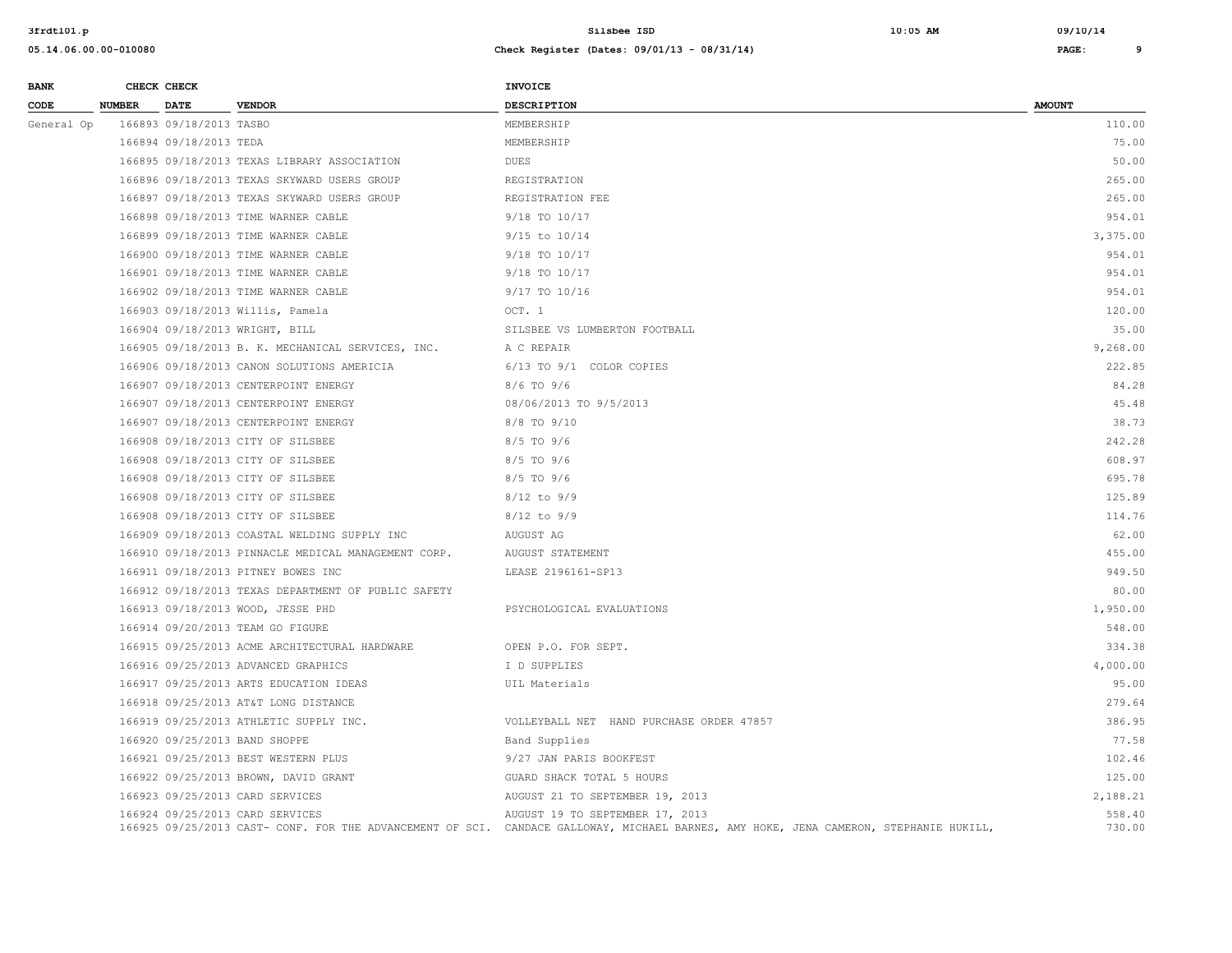| <b>BANK</b> |               | CHECK CHECK             |                                                     | <b>INVOICE</b>                                                                                                                                                           |                  |
|-------------|---------------|-------------------------|-----------------------------------------------------|--------------------------------------------------------------------------------------------------------------------------------------------------------------------------|------------------|
| CODE        | <b>NUMBER</b> | <b>DATE</b>             | <b>VENDOR</b>                                       | <b>DESCRIPTION</b>                                                                                                                                                       | <b>AMOUNT</b>    |
| General Op  |               | 166893 09/18/2013 TASBO |                                                     | MEMBERSHIP                                                                                                                                                               | 110.00           |
|             |               | 166894 09/18/2013 TEDA  |                                                     | MEMBERSHIP                                                                                                                                                               | 75.00            |
|             |               |                         | 166895 09/18/2013 TEXAS LIBRARY ASSOCIATION         | <b>DUES</b>                                                                                                                                                              | 50.00            |
|             |               |                         | 166896 09/18/2013 TEXAS SKYWARD USERS GROUP         | REGISTRATION                                                                                                                                                             | 265.00           |
|             |               |                         | 166897 09/18/2013 TEXAS SKYWARD USERS GROUP         | REGISTRATION FEE                                                                                                                                                         | 265.00           |
|             |               |                         | 166898 09/18/2013 TIME WARNER CABLE                 | 9/18 TO 10/17                                                                                                                                                            | 954.01           |
|             |               |                         | 166899 09/18/2013 TIME WARNER CABLE                 | $9/15$ to $10/14$                                                                                                                                                        | 3,375.00         |
|             |               |                         | 166900 09/18/2013 TIME WARNER CABLE                 | 9/18 TO 10/17                                                                                                                                                            | 954.01           |
|             |               |                         | 166901 09/18/2013 TIME WARNER CABLE                 | 9/18 TO 10/17                                                                                                                                                            | 954.01           |
|             |               |                         | 166902 09/18/2013 TIME WARNER CABLE                 | 9/17 TO 10/16                                                                                                                                                            | 954.01           |
|             |               |                         | 166903 09/18/2013 Willis, Pamela                    | OCT. 1                                                                                                                                                                   | 120.00           |
|             |               |                         | 166904 09/18/2013 WRIGHT, BILL                      | SILSBEE VS LUMBERTON FOOTBALL                                                                                                                                            | 35.00            |
|             |               |                         | 166905 09/18/2013 B. K. MECHANICAL SERVICES, INC.   | A C REPAIR                                                                                                                                                               | 9,268.00         |
|             |               |                         | 166906 09/18/2013 CANON SOLUTIONS AMERICIA          | 6/13 TO 9/1 COLOR COPIES                                                                                                                                                 | 222.85           |
|             |               |                         | 166907 09/18/2013 CENTERPOINT ENERGY                | 8/6 TO 9/6                                                                                                                                                               | 84.28            |
|             |               |                         | 166907 09/18/2013 CENTERPOINT ENERGY                | 08/06/2013 TO 9/5/2013                                                                                                                                                   | 45.48            |
|             |               |                         | 166907 09/18/2013 CENTERPOINT ENERGY                | 8/8 TO 9/10                                                                                                                                                              | 38.73            |
|             |               |                         | 166908 09/18/2013 CITY OF SILSBEE                   | $8/5$ TO $9/6$                                                                                                                                                           | 242.28           |
|             |               |                         | 166908 09/18/2013 CITY OF SILSBEE                   | $8/5$ TO $9/6$                                                                                                                                                           | 608.97           |
|             |               |                         | 166908 09/18/2013 CITY OF SILSBEE                   | 8/5 TO 9/6                                                                                                                                                               | 695.78           |
|             |               |                         | 166908 09/18/2013 CITY OF SILSBEE                   | 8/12 to 9/9                                                                                                                                                              | 125.89           |
|             |               |                         | 166908 09/18/2013 CITY OF SILSBEE                   | $8/12$ to $9/9$                                                                                                                                                          | 114.76           |
|             |               |                         | 166909 09/18/2013 COASTAL WELDING SUPPLY INC        | AUGUST AG                                                                                                                                                                | 62.00            |
|             |               |                         | 166910 09/18/2013 PINNACLE MEDICAL MANAGEMENT CORP. | AUGUST STATEMENT                                                                                                                                                         | 455.00           |
|             |               |                         | 166911 09/18/2013 PITNEY BOWES INC                  | LEASE 2196161-SP13                                                                                                                                                       | 949.50           |
|             |               |                         | 166912 09/18/2013 TEXAS DEPARTMENT OF PUBLIC SAFETY |                                                                                                                                                                          | 80.00            |
|             |               |                         | 166913 09/18/2013 WOOD, JESSE PHD                   | PSYCHOLOGICAL EVALUATIONS                                                                                                                                                | 1,950.00         |
|             |               |                         | 166914 09/20/2013 TEAM GO FIGURE                    |                                                                                                                                                                          | 548.00           |
|             |               |                         | 166915 09/25/2013 ACME ARCHITECTURAL HARDWARE       | OPEN P.O. FOR SEPT.                                                                                                                                                      | 334.38           |
|             |               |                         | 166916 09/25/2013 ADVANCED GRAPHICS                 | I D SUPPLIES                                                                                                                                                             | 4,000.00         |
|             |               |                         | 166917 09/25/2013 ARTS EDUCATION IDEAS              | UIL Materials                                                                                                                                                            | 95.00            |
|             |               |                         | 166918 09/25/2013 AT&T LONG DISTANCE                |                                                                                                                                                                          | 279.64           |
|             |               |                         | 166919 09/25/2013 ATHLETIC SUPPLY INC.              | VOLLEYBALL NET HAND PURCHASE ORDER 47857                                                                                                                                 | 386.95           |
|             |               |                         | 166920 09/25/2013 BAND SHOPPE                       | Band Supplies                                                                                                                                                            | 77.58            |
|             |               |                         | 166921 09/25/2013 BEST WESTERN PLUS                 | 9/27 JAN PARIS BOOKFEST                                                                                                                                                  | 102.46           |
|             |               |                         | 166922 09/25/2013 BROWN, DAVID GRANT                | GUARD SHACK TOTAL 5 HOURS                                                                                                                                                | 125.00           |
|             |               |                         | 166923 09/25/2013 CARD SERVICES                     | AUGUST 21 TO SEPTEMBER 19, 2013                                                                                                                                          | 2,188.21         |
|             |               |                         | 166924 09/25/2013 CARD SERVICES                     | AUGUST 19 TO SEPTEMBER 17, 2013<br>166925 09/25/2013 CAST- CONF. FOR THE ADVANCEMENT OF SCI. CANDACE GALLOWAY, MICHAEL BARNES, AMY HOKE, JENA CAMERON, STEPHANIE HUKILL, | 558.40<br>730.00 |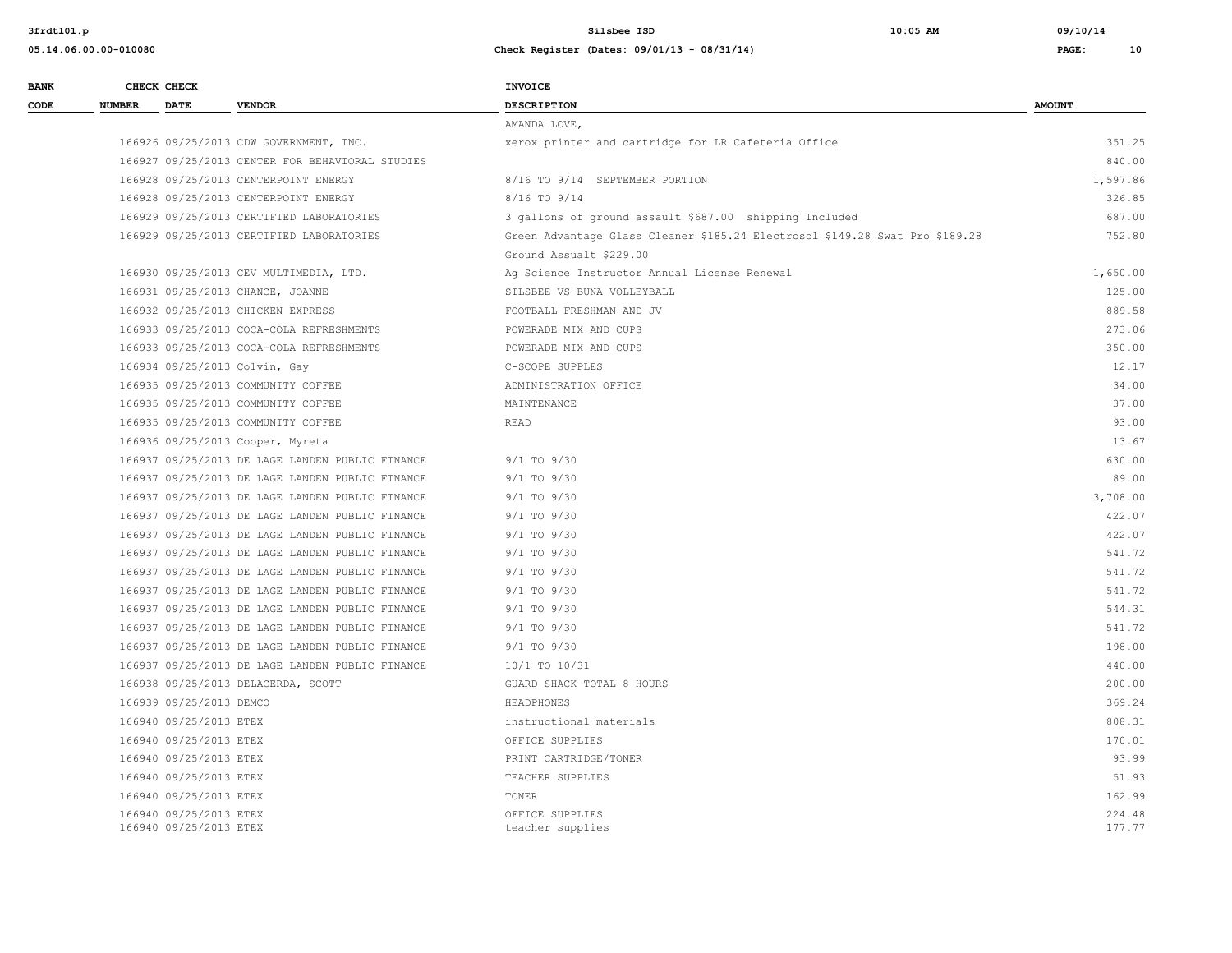| <b>BANK</b> |               | CHECK CHECK                                      |                                                 | <b>INVOICE</b>                                                               |                  |
|-------------|---------------|--------------------------------------------------|-------------------------------------------------|------------------------------------------------------------------------------|------------------|
| CODE        | <b>NUMBER</b> | <b>DATE</b>                                      | <b>VENDOR</b>                                   | <b>DESCRIPTION</b>                                                           | <b>AMOUNT</b>    |
|             |               |                                                  |                                                 | AMANDA LOVE,                                                                 |                  |
|             |               |                                                  | 166926 09/25/2013 CDW GOVERNMENT, INC.          | xerox printer and cartridge for LR Cafeteria Office                          | 351.25           |
|             |               |                                                  | 166927 09/25/2013 CENTER FOR BEHAVIORAL STUDIES |                                                                              | 840.00           |
|             |               |                                                  | 166928 09/25/2013 CENTERPOINT ENERGY            | 8/16 TO 9/14 SEPTEMBER PORTION                                               | 1,597.86         |
|             |               |                                                  | 166928 09/25/2013 CENTERPOINT ENERGY            | 8/16 TO 9/14                                                                 | 326.85           |
|             |               |                                                  | 166929 09/25/2013 CERTIFIED LABORATORIES        | 3 gallons of ground assault \$687.00 shipping Included                       | 687.00           |
|             |               |                                                  | 166929 09/25/2013 CERTIFIED LABORATORIES        | Green Advantage Glass Cleaner \$185.24 Electrosol \$149.28 Swat Pro \$189.28 | 752.80           |
|             |               |                                                  |                                                 | Ground Assualt \$229.00                                                      |                  |
|             |               |                                                  | 166930 09/25/2013 CEV MULTIMEDIA, LTD.          | Ag Science Instructor Annual License Renewal                                 | 1,650.00         |
|             |               |                                                  | 166931 09/25/2013 CHANCE, JOANNE                | SILSBEE VS BUNA VOLLEYBALL                                                   | 125.00           |
|             |               |                                                  | 166932 09/25/2013 CHICKEN EXPRESS               | FOOTBALL FRESHMAN AND JV                                                     | 889.58           |
|             |               |                                                  | 166933 09/25/2013 COCA-COLA REFRESHMENTS        | POWERADE MIX AND CUPS                                                        | 273.06           |
|             |               |                                                  | 166933 09/25/2013 COCA-COLA REFRESHMENTS        | POWERADE MIX AND CUPS                                                        | 350.00           |
|             |               |                                                  | 166934 09/25/2013 Colvin, Gay                   | C-SCOPE SUPPLES                                                              | 12.17            |
|             |               |                                                  | 166935 09/25/2013 COMMUNITY COFFEE              | ADMINISTRATION OFFICE                                                        | 34.00            |
|             |               |                                                  | 166935 09/25/2013 COMMUNITY COFFEE              | MAINTENANCE                                                                  | 37.00            |
|             |               |                                                  | 166935 09/25/2013 COMMUNITY COFFEE              | READ                                                                         | 93.00            |
|             |               |                                                  | 166936 09/25/2013 Cooper, Myreta                |                                                                              | 13.67            |
|             |               |                                                  | 166937 09/25/2013 DE LAGE LANDEN PUBLIC FINANCE | $9/1$ TO $9/30$                                                              | 630.00           |
|             |               |                                                  | 166937 09/25/2013 DE LAGE LANDEN PUBLIC FINANCE | 9/1 TO 9/30                                                                  | 89.00            |
|             |               |                                                  | 166937 09/25/2013 DE LAGE LANDEN PUBLIC FINANCE | $9/1$ TO $9/30$                                                              | 3,708.00         |
|             |               |                                                  | 166937 09/25/2013 DE LAGE LANDEN PUBLIC FINANCE | $9/1$ TO $9/30$                                                              | 422.07           |
|             |               |                                                  | 166937 09/25/2013 DE LAGE LANDEN PUBLIC FINANCE | 9/1 TO 9/30                                                                  | 422.07           |
|             |               |                                                  | 166937 09/25/2013 DE LAGE LANDEN PUBLIC FINANCE | 9/1 TO 9/30                                                                  | 541.72           |
|             |               |                                                  | 166937 09/25/2013 DE LAGE LANDEN PUBLIC FINANCE | 9/1 TO 9/30                                                                  | 541.72           |
|             |               |                                                  | 166937 09/25/2013 DE LAGE LANDEN PUBLIC FINANCE | $9/1$ TO $9/30$                                                              | 541.72           |
|             |               |                                                  | 166937 09/25/2013 DE LAGE LANDEN PUBLIC FINANCE | 9/1 TO 9/30                                                                  | 544.31           |
|             |               |                                                  | 166937 09/25/2013 DE LAGE LANDEN PUBLIC FINANCE | 9/1 TO 9/30                                                                  | 541.72           |
|             |               |                                                  | 166937 09/25/2013 DE LAGE LANDEN PUBLIC FINANCE | 9/1 TO 9/30                                                                  | 198.00           |
|             |               |                                                  | 166937 09/25/2013 DE LAGE LANDEN PUBLIC FINANCE | 10/1 TO 10/31                                                                | 440.00           |
|             |               |                                                  | 166938 09/25/2013 DELACERDA, SCOTT              | GUARD SHACK TOTAL 8 HOURS                                                    | 200.00           |
|             |               | 166939 09/25/2013 DEMCO                          |                                                 | HEADPHONES                                                                   | 369.24           |
|             |               | 166940 09/25/2013 ETEX                           |                                                 | instructional materials                                                      | 808.31           |
|             |               | 166940 09/25/2013 ETEX                           |                                                 | OFFICE SUPPLIES                                                              | 170.01           |
|             |               | 166940 09/25/2013 ETEX                           |                                                 | PRINT CARTRIDGE/TONER                                                        | 93.99            |
|             |               | 166940 09/25/2013 ETEX                           |                                                 | TEACHER SUPPLIES                                                             | 51.93            |
|             |               | 166940 09/25/2013 ETEX                           |                                                 | TONER                                                                        | 162.99           |
|             |               | 166940 09/25/2013 ETEX<br>166940 09/25/2013 ETEX |                                                 | OFFICE SUPPLIES<br>teacher supplies                                          | 224.48<br>177.77 |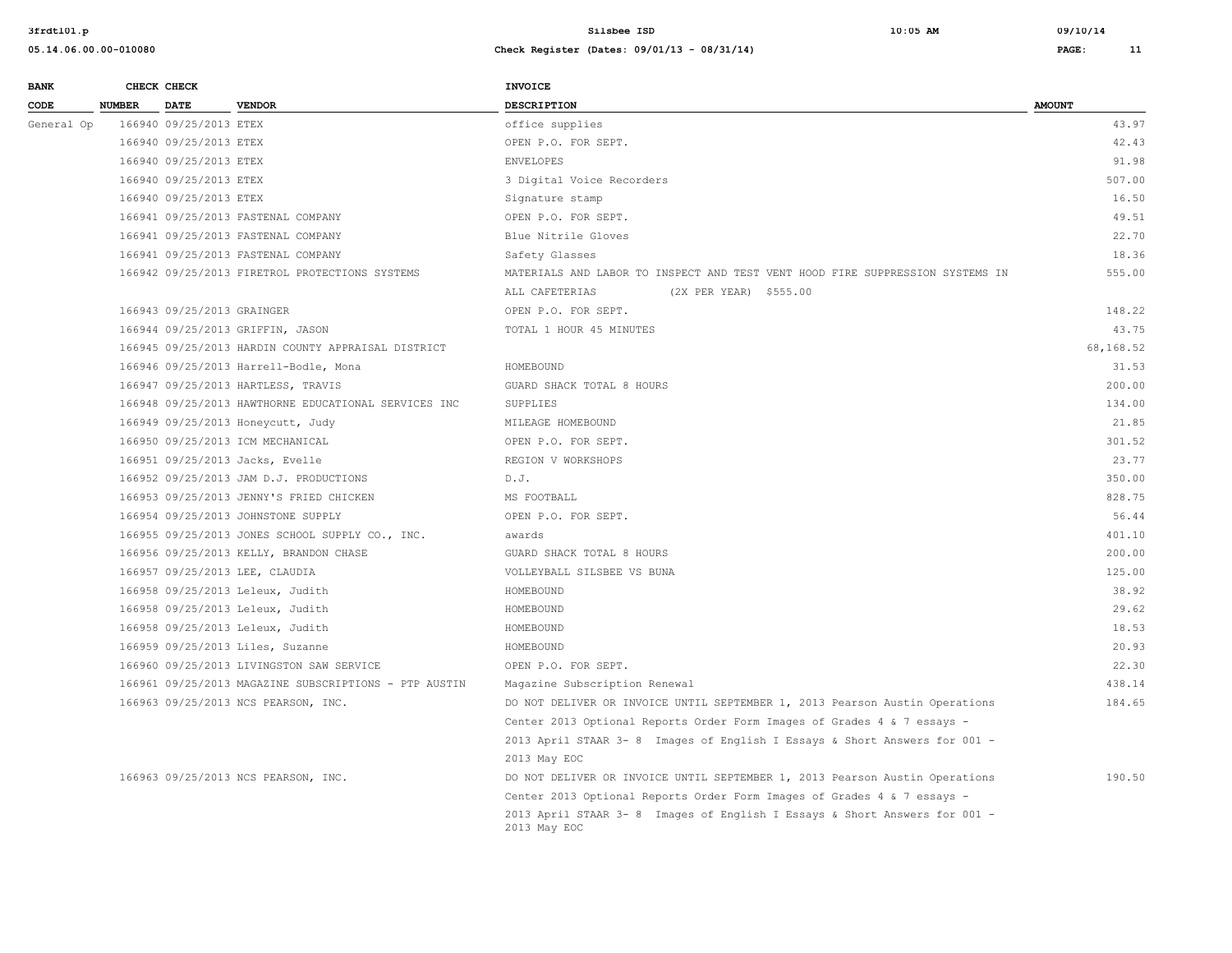|            |               | CHECK CHECK                |                                                       | <b>INVOICE</b>                                                                             |               |
|------------|---------------|----------------------------|-------------------------------------------------------|--------------------------------------------------------------------------------------------|---------------|
| CODE       | <b>NUMBER</b> | <b>DATE</b>                | <b>VENDOR</b>                                         | DESCRIPTION                                                                                | <b>AMOUNT</b> |
| General Op |               | 166940 09/25/2013 ETEX     |                                                       | office supplies                                                                            | 43.97         |
|            |               | 166940 09/25/2013 ETEX     |                                                       | OPEN P.O. FOR SEPT.                                                                        | 42.43         |
|            |               | 166940 09/25/2013 ETEX     |                                                       | <b>ENVELOPES</b>                                                                           | 91.98         |
|            |               | 166940 09/25/2013 ETEX     |                                                       | 3 Digital Voice Recorders                                                                  | 507.00        |
|            |               | 166940 09/25/2013 ETEX     |                                                       | Signature stamp                                                                            | 16.50         |
|            |               |                            | 166941 09/25/2013 FASTENAL COMPANY                    | OPEN P.O. FOR SEPT.                                                                        | 49.51         |
|            |               |                            | 166941 09/25/2013 FASTENAL COMPANY                    | Blue Nitrile Gloves                                                                        | 22.70         |
|            |               |                            | 166941 09/25/2013 FASTENAL COMPANY                    | Safety Glasses                                                                             | 18.36         |
|            |               |                            | 166942 09/25/2013 FIRETROL PROTECTIONS SYSTEMS        | MATERIALS AND LABOR TO INSPECT AND TEST VENT HOOD FIRE SUPPRESSION SYSTEMS IN              | 555.00        |
|            |               |                            |                                                       | ALL CAFETERIAS<br>(2X PER YEAR) \$555.00                                                   |               |
|            |               | 166943 09/25/2013 GRAINGER |                                                       | OPEN P.O. FOR SEPT.                                                                        | 148.22        |
|            |               |                            | 166944 09/25/2013 GRIFFIN, JASON                      | TOTAL 1 HOUR 45 MINUTES                                                                    | 43.75         |
|            |               |                            | 166945 09/25/2013 HARDIN COUNTY APPRAISAL DISTRICT    |                                                                                            | 68,168.52     |
|            |               |                            | 166946 09/25/2013 Harrell-Bodle, Mona                 | HOMEBOUND                                                                                  | 31.53         |
|            |               |                            | 166947 09/25/2013 HARTLESS, TRAVIS                    | GUARD SHACK TOTAL 8 HOURS                                                                  | 200.00        |
|            |               |                            | 166948 09/25/2013 HAWTHORNE EDUCATIONAL SERVICES INC  | SUPPLIES                                                                                   | 134.00        |
|            |               |                            | 166949 09/25/2013 Honeycutt, Judy                     | MILEAGE HOMEBOUND                                                                          | 21.85         |
|            |               |                            | 166950 09/25/2013 ICM MECHANICAL                      | OPEN P.O. FOR SEPT.                                                                        | 301.52        |
|            |               |                            | 166951 09/25/2013 Jacks, Evelle                       | REGION V WORKSHOPS                                                                         | 23.77         |
|            |               |                            | 166952 09/25/2013 JAM D.J. PRODUCTIONS                | D.J.                                                                                       | 350.00        |
|            |               |                            | 166953 09/25/2013 JENNY'S FRIED CHICKEN               | MS FOOTBALL                                                                                | 828.75        |
|            |               |                            | 166954 09/25/2013 JOHNSTONE SUPPLY                    | OPEN P.O. FOR SEPT.                                                                        | 56.44         |
|            |               |                            | 166955 09/25/2013 JONES SCHOOL SUPPLY CO., INC.       | awards                                                                                     | 401.10        |
|            |               |                            | 166956 09/25/2013 KELLY, BRANDON CHASE                | GUARD SHACK TOTAL 8 HOURS                                                                  | 200.00        |
|            |               |                            | 166957 09/25/2013 LEE, CLAUDIA                        | VOLLEYBALL SILSBEE VS BUNA                                                                 | 125.00        |
|            |               |                            | 166958 09/25/2013 Leleux, Judith                      | HOMEBOUND                                                                                  | 38.92         |
|            |               |                            | 166958 09/25/2013 Leleux, Judith                      | HOMEBOUND                                                                                  | 29.62         |
|            |               |                            | 166958 09/25/2013 Leleux, Judith                      | HOMEBOUND                                                                                  | 18.53         |
|            |               |                            | 166959 09/25/2013 Liles, Suzanne                      | HOMEBOUND                                                                                  | 20.93         |
|            |               |                            | 166960 09/25/2013 LIVINGSTON SAW SERVICE              | OPEN P.O. FOR SEPT.                                                                        | 22.30         |
|            |               |                            | 166961 09/25/2013 MAGAZINE SUBSCRIPTIONS - PTP AUSTIN | Magazine Subscription Renewal                                                              | 438.14        |
|            |               |                            | 166963 09/25/2013 NCS PEARSON, INC.                   | DO NOT DELIVER OR INVOICE UNTIL SEPTEMBER 1, 2013 Pearson Austin Operations                | 184.65        |
|            |               |                            |                                                       | Center 2013 Optional Reports Order Form Images of Grades 4 & 7 essays -                    |               |
|            |               |                            |                                                       | 2013 April STAAR 3- 8 Images of English I Essays & Short Answers for 001 -                 |               |
|            |               |                            |                                                       | 2013 May EOC                                                                               |               |
|            |               |                            | 166963 09/25/2013 NCS PEARSON, INC.                   | DO NOT DELIVER OR INVOICE UNTIL SEPTEMBER 1, 2013 Pearson Austin Operations                | 190.50        |
|            |               |                            |                                                       | Center 2013 Optional Reports Order Form Images of Grades 4 & 7 essays -                    |               |
|            |               |                            |                                                       | 2013 April STAAR 3- 8 Images of English I Essays & Short Answers for 001 -<br>2013 May EOC |               |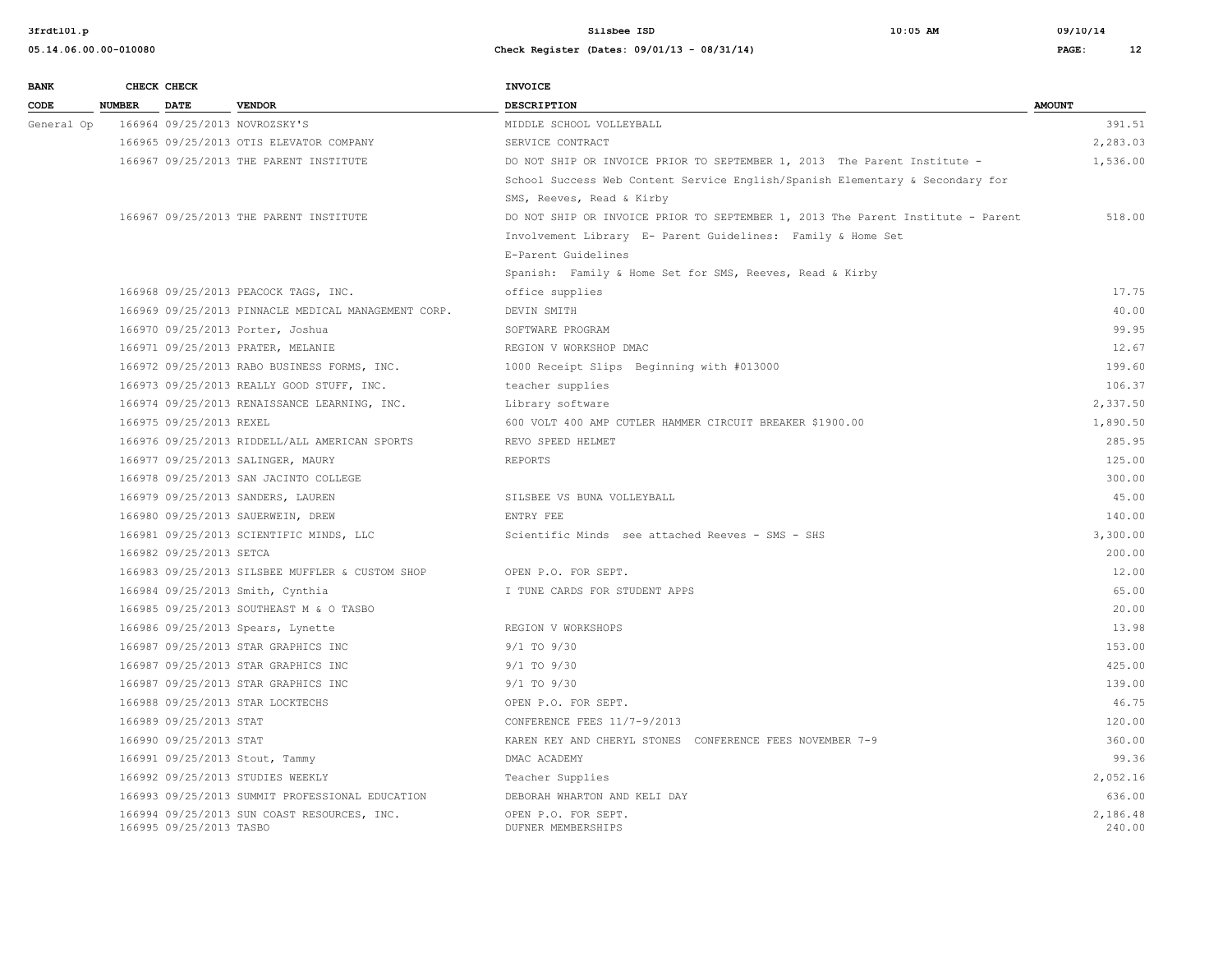| <b>BANK</b> |               | CHECK CHECK             |                                                     | INVOICE                                                                         |                    |
|-------------|---------------|-------------------------|-----------------------------------------------------|---------------------------------------------------------------------------------|--------------------|
| CODE        | <b>NUMBER</b> | <b>DATE</b>             | <b>VENDOR</b>                                       | <b>DESCRIPTION</b>                                                              | <b>AMOUNT</b>      |
| General Op  |               |                         | 166964 09/25/2013 NOVROZSKY'S                       | MIDDLE SCHOOL VOLLEYBALL                                                        | 391.51             |
|             |               |                         | 166965 09/25/2013 OTIS ELEVATOR COMPANY             | SERVICE CONTRACT                                                                | 2,283.03           |
|             |               |                         | 166967 09/25/2013 THE PARENT INSTITUTE              | DO NOT SHIP OR INVOICE PRIOR TO SEPTEMBER 1, 2013 The Parent Institute -        | 1,536.00           |
|             |               |                         |                                                     | School Success Web Content Service English/Spanish Elementary & Secondary for   |                    |
|             |               |                         |                                                     | SMS, Reeves, Read & Kirby                                                       |                    |
|             |               |                         | 166967 09/25/2013 THE PARENT INSTITUTE              | DO NOT SHIP OR INVOICE PRIOR TO SEPTEMBER 1, 2013 The Parent Institute - Parent | 518.00             |
|             |               |                         |                                                     | Involvement Library E- Parent Guidelines: Family & Home Set                     |                    |
|             |               |                         |                                                     | E-Parent Guidelines                                                             |                    |
|             |               |                         |                                                     | Spanish: Family & Home Set for SMS, Reeves, Read & Kirby                        |                    |
|             |               |                         | 166968 09/25/2013 PEACOCK TAGS, INC.                | office supplies                                                                 | 17.75              |
|             |               |                         | 166969 09/25/2013 PINNACLE MEDICAL MANAGEMENT CORP. | DEVIN SMITH                                                                     | 40.00              |
|             |               |                         | 166970 09/25/2013 Porter, Joshua                    | SOFTWARE PROGRAM                                                                | 99.95              |
|             |               |                         | 166971 09/25/2013 PRATER, MELANIE                   | REGION V WORKSHOP DMAC                                                          | 12.67              |
|             |               |                         | 166972 09/25/2013 RABO BUSINESS FORMS, INC.         | 1000 Receipt Slips Beginning with #013000                                       | 199.60             |
|             |               |                         | 166973 09/25/2013 REALLY GOOD STUFF, INC.           | teacher supplies                                                                | 106.37             |
|             |               |                         | 166974 09/25/2013 RENAISSANCE LEARNING, INC.        | Library software                                                                | 2,337.50           |
|             |               | 166975 09/25/2013 REXEL |                                                     | 600 VOLT 400 AMP CUTLER HAMMER CIRCUIT BREAKER \$1900.00                        | 1,890.50           |
|             |               |                         | 166976 09/25/2013 RIDDELL/ALL AMERICAN SPORTS       | REVO SPEED HELMET                                                               | 285.95             |
|             |               |                         | 166977 09/25/2013 SALINGER, MAURY                   | <b>REPORTS</b>                                                                  | 125.00             |
|             |               |                         | 166978 09/25/2013 SAN JACINTO COLLEGE               |                                                                                 | 300.00             |
|             |               |                         | 166979 09/25/2013 SANDERS, LAUREN                   | SILSBEE VS BUNA VOLLEYBALL                                                      | 45.00              |
|             |               |                         | 166980 09/25/2013 SAUERWEIN, DREW                   | ENTRY FEE                                                                       | 140.00             |
|             |               |                         | 166981 09/25/2013 SCIENTIFIC MINDS, LLC             | Scientific Minds see attached Reeves - SMS - SHS                                | 3,300.00           |
|             |               | 166982 09/25/2013 SETCA |                                                     |                                                                                 | 200.00             |
|             |               |                         | 166983 09/25/2013 SILSBEE MUFFLER & CUSTOM SHOP     | OPEN P.O. FOR SEPT.                                                             | 12.00              |
|             |               |                         | 166984 09/25/2013 Smith, Cynthia                    | I TUNE CARDS FOR STUDENT APPS                                                   | 65.00              |
|             |               |                         | 166985 09/25/2013 SOUTHEAST M & O TASBO             |                                                                                 | 20.00              |
|             |               |                         | 166986 09/25/2013 Spears, Lynette                   | REGION V WORKSHOPS                                                              | 13.98              |
|             |               |                         | 166987 09/25/2013 STAR GRAPHICS INC                 | 9/1 TO 9/30                                                                     | 153.00             |
|             |               |                         | 166987 09/25/2013 STAR GRAPHICS INC                 | $9/1$ TO $9/30$                                                                 | 425.00             |
|             |               |                         | 166987 09/25/2013 STAR GRAPHICS INC                 | 9/1 TO 9/30                                                                     | 139.00             |
|             |               |                         | 166988 09/25/2013 STAR LOCKTECHS                    | OPEN P.O. FOR SEPT.                                                             | 46.75              |
|             |               | 166989 09/25/2013 STAT  |                                                     | CONFERENCE FEES 11/7-9/2013                                                     | 120.00             |
|             |               | 166990 09/25/2013 STAT  |                                                     | KAREN KEY AND CHERYL STONES CONFERENCE FEES NOVEMBER 7-9                        | 360.00             |
|             |               |                         | 166991 09/25/2013 Stout, Tammy                      | DMAC ACADEMY                                                                    | 99.36              |
|             |               |                         | 166992 09/25/2013 STUDIES WEEKLY                    | Teacher Supplies                                                                | 2,052.16           |
|             |               |                         | 166993 09/25/2013 SUMMIT PROFESSIONAL EDUCATION     | DEBORAH WHARTON AND KELI DAY                                                    | 636.00             |
|             |               | 166995 09/25/2013 TASBO | 166994 09/25/2013 SUN COAST RESOURCES, INC.         | OPEN P.O. FOR SEPT.<br>DUFNER MEMBERSHIPS                                       | 2,186.48<br>240.00 |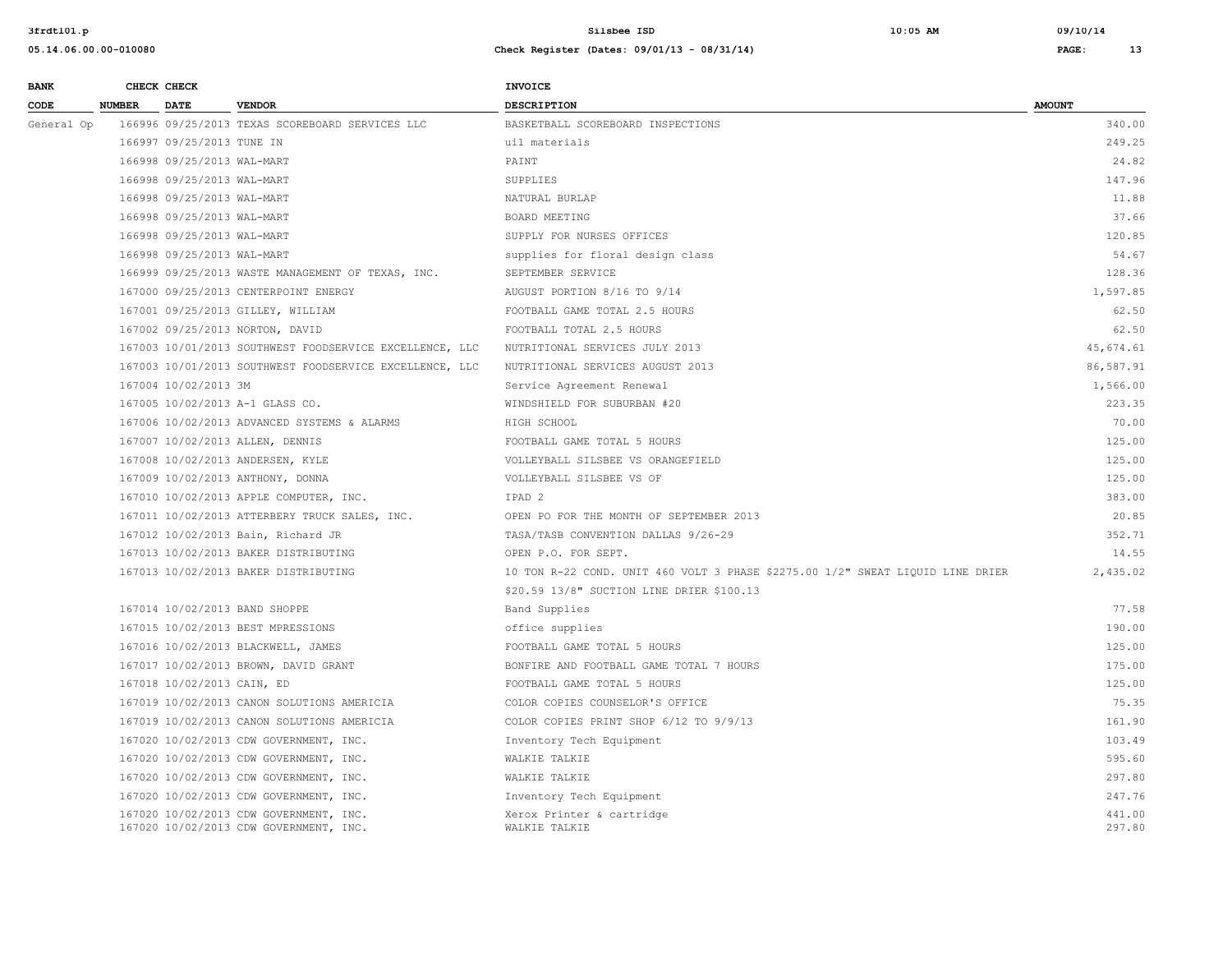| <b>BANK</b> |               | CHECK CHECK                |                                                                                  | <b>INVOICE</b>                                                                 |                  |
|-------------|---------------|----------------------------|----------------------------------------------------------------------------------|--------------------------------------------------------------------------------|------------------|
| CODE        | <b>NUMBER</b> | <b>DATE</b>                | <b>VENDOR</b>                                                                    | <b>DESCRIPTION</b>                                                             | <b>AMOUNT</b>    |
| General Op  |               |                            | 166996 09/25/2013 TEXAS SCOREBOARD SERVICES LLC                                  | BASKETBALL SCOREBOARD INSPECTIONS                                              | 340.00           |
|             |               | 166997 09/25/2013 TUNE IN  |                                                                                  | uil materials                                                                  | 249.25           |
|             |               | 166998 09/25/2013 WAL-MART |                                                                                  | PAINT                                                                          | 24.82            |
|             |               | 166998 09/25/2013 WAL-MART |                                                                                  | SUPPLIES                                                                       | 147.96           |
|             |               | 166998 09/25/2013 WAL-MART |                                                                                  | NATURAL BURLAP                                                                 | 11.88            |
|             |               | 166998 09/25/2013 WAL-MART |                                                                                  | BOARD MEETING                                                                  | 37.66            |
|             |               | 166998 09/25/2013 WAL-MART |                                                                                  | SUPPLY FOR NURSES OFFICES                                                      | 120.85           |
|             |               | 166998 09/25/2013 WAL-MART |                                                                                  | supplies for floral design class                                               | 54.67            |
|             |               |                            | 166999 09/25/2013 WASTE MANAGEMENT OF TEXAS, INC.                                | SEPTEMBER SERVICE                                                              | 128.36           |
|             |               |                            | 167000 09/25/2013 CENTERPOINT ENERGY                                             | AUGUST PORTION 8/16 TO 9/14                                                    | 1,597.85         |
|             |               |                            | 167001 09/25/2013 GILLEY, WILLIAM                                                | FOOTBALL GAME TOTAL 2.5 HOURS                                                  | 62.50            |
|             |               |                            | 167002 09/25/2013 NORTON, DAVID                                                  | FOOTBALL TOTAL 2.5 HOURS                                                       | 62.50            |
|             |               |                            | 167003 10/01/2013 SOUTHWEST FOODSERVICE EXCELLENCE, LLC                          | NUTRITIONAL SERVICES JULY 2013                                                 | 45,674.61        |
|             |               |                            | 167003 10/01/2013 SOUTHWEST FOODSERVICE EXCELLENCE, LLC                          | NUTRITIONAL SERVICES AUGUST 2013                                               | 86,587.91        |
|             |               | 167004 10/02/2013 3M       |                                                                                  | Service Agreement Renewal                                                      | 1,566.00         |
|             |               |                            | 167005 10/02/2013 A-1 GLASS CO.                                                  | WINDSHIELD FOR SUBURBAN #20                                                    | 223.35           |
|             |               |                            | 167006 10/02/2013 ADVANCED SYSTEMS & ALARMS                                      | HIGH SCHOOL                                                                    | 70.00            |
|             |               |                            | 167007 10/02/2013 ALLEN, DENNIS                                                  | FOOTBALL GAME TOTAL 5 HOURS                                                    | 125.00           |
|             |               |                            | 167008 10/02/2013 ANDERSEN, KYLE                                                 | VOLLEYBALL SILSBEE VS ORANGEFIELD                                              | 125.00           |
|             |               |                            | 167009 10/02/2013 ANTHONY, DONNA                                                 | VOLLEYBALL SILSBEE VS OF                                                       | 125.00           |
|             |               |                            | 167010 10/02/2013 APPLE COMPUTER, INC.                                           | IPAD <sub>2</sub>                                                              | 383.00           |
|             |               |                            | 167011 10/02/2013 ATTERBERY TRUCK SALES, INC.                                    | OPEN PO FOR THE MONTH OF SEPTEMBER 2013                                        | 20.85            |
|             |               |                            | 167012 10/02/2013 Bain, Richard JR                                               | TASA/TASB CONVENTION DALLAS 9/26-29                                            | 352.71           |
|             |               |                            | 167013 10/02/2013 BAKER DISTRIBUTING                                             | OPEN P.O. FOR SEPT.                                                            | 14.55            |
|             |               |                            | 167013 10/02/2013 BAKER DISTRIBUTING                                             | 10 TON R-22 COND. UNIT 460 VOLT 3 PHASE \$2275.00 1/2" SWEAT LIQUID LINE DRIER | 2,435.02         |
|             |               |                            |                                                                                  | \$20.59 13/8" SUCTION LINE DRIER \$100.13                                      |                  |
|             |               |                            | 167014 10/02/2013 BAND SHOPPE                                                    | Band Supplies                                                                  | 77.58            |
|             |               |                            | 167015 10/02/2013 BEST MPRESSIONS                                                | office supplies                                                                | 190.00           |
|             |               |                            | 167016 10/02/2013 BLACKWELL, JAMES                                               | FOOTBALL GAME TOTAL 5 HOURS                                                    | 125.00           |
|             |               |                            | 167017 10/02/2013 BROWN, DAVID GRANT                                             | BONFIRE AND FOOTBALL GAME TOTAL 7 HOURS                                        | 175.00           |
|             |               | 167018 10/02/2013 CAIN, ED |                                                                                  | FOOTBALL GAME TOTAL 5 HOURS                                                    | 125.00           |
|             |               |                            | 167019 10/02/2013 CANON SOLUTIONS AMERICIA                                       | COLOR COPIES COUNSELOR'S OFFICE                                                | 75.35            |
|             |               |                            | 167019 10/02/2013 CANON SOLUTIONS AMERICIA                                       | COLOR COPIES PRINT SHOP 6/12 TO 9/9/13                                         | 161.90           |
|             |               |                            | 167020 10/02/2013 CDW GOVERNMENT, INC.                                           | Inventory Tech Equipment                                                       | 103.49           |
|             |               |                            | 167020 10/02/2013 CDW GOVERNMENT, INC.                                           | WALKIE TALKIE                                                                  | 595.60           |
|             |               |                            | 167020 10/02/2013 CDW GOVERNMENT, INC.                                           | WALKIE TALKIE                                                                  | 297.80           |
|             |               |                            | 167020 10/02/2013 CDW GOVERNMENT, INC.                                           | Inventory Tech Equipment                                                       | 247.76           |
|             |               |                            | 167020 10/02/2013 CDW GOVERNMENT, INC.<br>167020 10/02/2013 CDW GOVERNMENT, INC. | Xerox Printer & cartridge<br>WALKIE TALKIE                                     | 441.00<br>297.80 |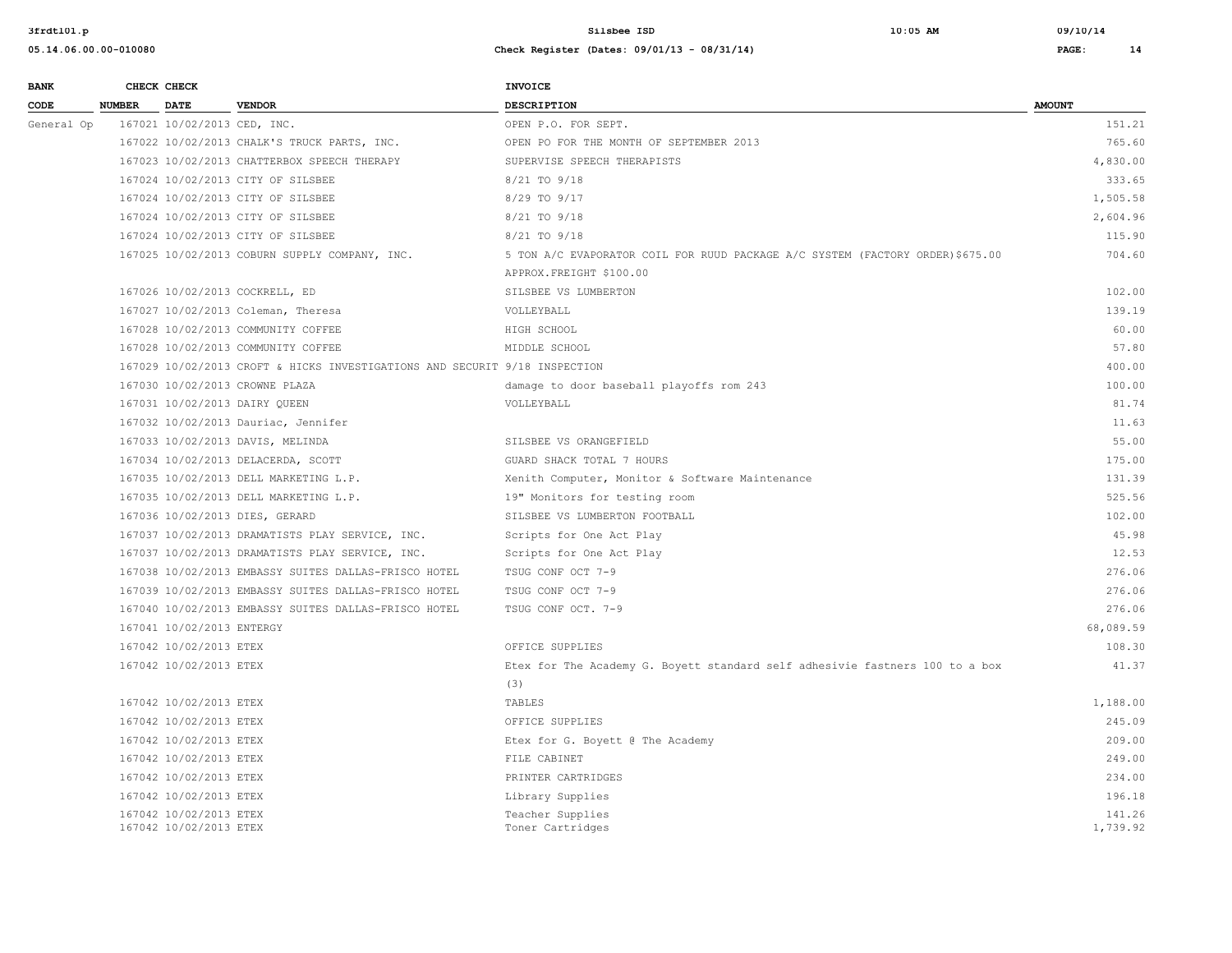| <b>BANK</b> |               | CHECK CHECK                 |                                                                            | INVOICE                                                                        |               |
|-------------|---------------|-----------------------------|----------------------------------------------------------------------------|--------------------------------------------------------------------------------|---------------|
| CODE        | <b>NUMBER</b> | <b>DATE</b>                 | <b>VENDOR</b>                                                              | <b>DESCRIPTION</b>                                                             | <b>AMOUNT</b> |
| General Op  |               | 167021 10/02/2013 CED, INC. |                                                                            | OPEN P.O. FOR SEPT.                                                            | 151.21        |
|             |               |                             | 167022 10/02/2013 CHALK'S TRUCK PARTS, INC.                                | OPEN PO FOR THE MONTH OF SEPTEMBER 2013                                        | 765.60        |
|             |               |                             | 167023 10/02/2013 CHATTERBOX SPEECH THERAPY                                | SUPERVISE SPEECH THERAPISTS                                                    | 4,830.00      |
|             |               |                             | 167024 10/02/2013 CITY OF SILSBEE                                          | 8/21 TO 9/18                                                                   | 333.65        |
|             |               |                             | 167024 10/02/2013 CITY OF SILSBEE                                          | 8/29 TO 9/17                                                                   | 1,505.58      |
|             |               |                             | 167024 10/02/2013 CITY OF SILSBEE                                          | 8/21 TO 9/18                                                                   | 2,604.96      |
|             |               |                             | 167024 10/02/2013 CITY OF SILSBEE                                          | 8/21 TO 9/18                                                                   | 115.90        |
|             |               |                             | 167025 10/02/2013 COBURN SUPPLY COMPANY, INC.                              | 5 TON A/C EVAPORATOR COIL FOR RUUD PACKAGE A/C SYSTEM (FACTORY ORDER) \$675.00 | 704.60        |
|             |               |                             |                                                                            | APPROX.FREIGHT \$100.00                                                        |               |
|             |               |                             | 167026 10/02/2013 COCKRELL, ED                                             | SILSBEE VS LUMBERTON                                                           | 102.00        |
|             |               |                             | 167027 10/02/2013 Coleman, Theresa                                         | VOLLEYBALL                                                                     | 139.19        |
|             |               |                             | 167028 10/02/2013 COMMUNITY COFFEE                                         | HIGH SCHOOL                                                                    | 60.00         |
|             |               |                             | 167028 10/02/2013 COMMUNITY COFFEE                                         | MIDDLE SCHOOL                                                                  | 57.80         |
|             |               |                             | 167029 10/02/2013 CROFT & HICKS INVESTIGATIONS AND SECURIT 9/18 INSPECTION |                                                                                | 400.00        |
|             |               |                             | 167030 10/02/2013 CROWNE PLAZA                                             | damage to door baseball playoffs rom 243                                       | 100.00        |
|             |               |                             | 167031 10/02/2013 DAIRY QUEEN                                              | VOLLEYBALL                                                                     | 81.74         |
|             |               |                             | 167032 10/02/2013 Dauriac, Jennifer                                        |                                                                                | 11.63         |
|             |               |                             | 167033 10/02/2013 DAVIS, MELINDA                                           | SILSBEE VS ORANGEFIELD                                                         | 55.00         |
|             |               |                             | 167034 10/02/2013 DELACERDA, SCOTT                                         | GUARD SHACK TOTAL 7 HOURS                                                      | 175.00        |
|             |               |                             | 167035 10/02/2013 DELL MARKETING L.P.                                      | Xenith Computer, Monitor & Software Maintenance                                | 131.39        |
|             |               |                             | 167035 10/02/2013 DELL MARKETING L.P.                                      | 19" Monitors for testing room                                                  | 525.56        |
|             |               |                             | 167036 10/02/2013 DIES, GERARD                                             | SILSBEE VS LUMBERTON FOOTBALL                                                  | 102.00        |
|             |               |                             | 167037 10/02/2013 DRAMATISTS PLAY SERVICE, INC.                            | Scripts for One Act Play                                                       | 45.98         |
|             |               |                             | 167037 10/02/2013 DRAMATISTS PLAY SERVICE, INC.                            | Scripts for One Act Play                                                       | 12.53         |
|             |               |                             | 167038 10/02/2013 EMBASSY SUITES DALLAS-FRISCO HOTEL                       | TSUG CONF OCT 7-9                                                              | 276.06        |
|             |               |                             | 167039 10/02/2013 EMBASSY SUITES DALLAS-FRISCO HOTEL                       | TSUG CONF OCT 7-9                                                              | 276.06        |
|             |               |                             | 167040 10/02/2013 EMBASSY SUITES DALLAS-FRISCO HOTEL                       | TSUG CONF OCT. 7-9                                                             | 276.06        |
|             |               | 167041 10/02/2013 ENTERGY   |                                                                            |                                                                                | 68,089.59     |
|             |               | 167042 10/02/2013 ETEX      |                                                                            | OFFICE SUPPLIES                                                                | 108.30        |
|             |               | 167042 10/02/2013 ETEX      |                                                                            | Etex for The Academy G. Boyett standard self adhesivie fastners 100 to a box   | 41.37         |
|             |               |                             |                                                                            | (3)                                                                            |               |
|             |               | 167042 10/02/2013 ETEX      |                                                                            | TABLES                                                                         | 1,188.00      |
|             |               | 167042 10/02/2013 ETEX      |                                                                            | OFFICE SUPPLIES                                                                | 245.09        |
|             |               | 167042 10/02/2013 ETEX      |                                                                            | Etex for G. Boyett @ The Academy                                               | 209.00        |
|             |               | 167042 10/02/2013 ETEX      |                                                                            | FILE CABINET                                                                   | 249.00        |
|             |               | 167042 10/02/2013 ETEX      |                                                                            | PRINTER CARTRIDGES                                                             | 234.00        |
|             |               | 167042 10/02/2013 ETEX      |                                                                            | Library Supplies                                                               | 196.18        |
|             |               | 167042 10/02/2013 ETEX      |                                                                            | Teacher Supplies                                                               | 141.26        |
|             |               | 167042 10/02/2013 ETEX      |                                                                            | Toner Cartridges                                                               | 1,739.92      |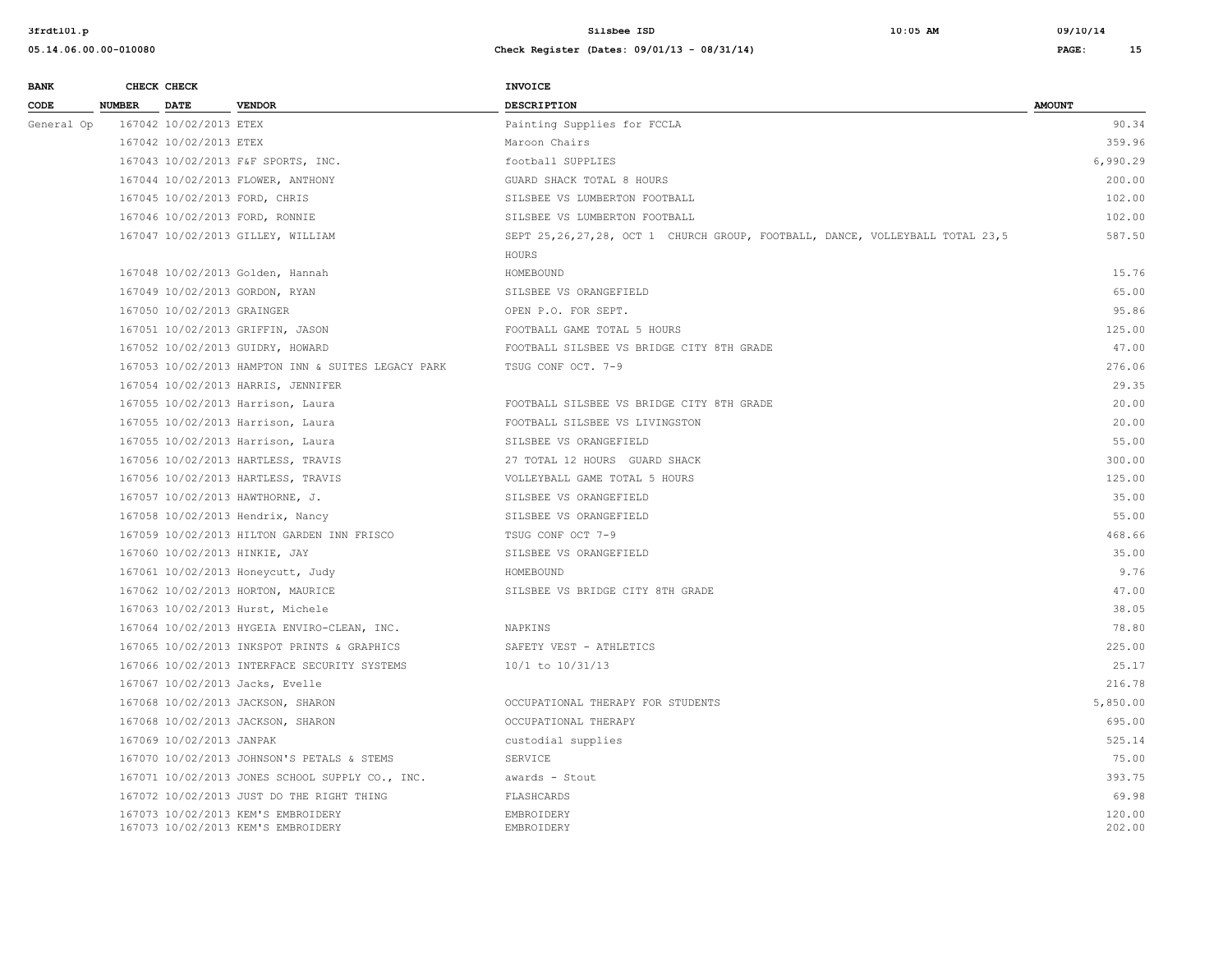| <b>BANK</b> |               | CHECK CHECK                |                                                                          | <b>INVOICE</b>                                                                        |                  |
|-------------|---------------|----------------------------|--------------------------------------------------------------------------|---------------------------------------------------------------------------------------|------------------|
| CODE        | <b>NUMBER</b> | <b>DATE</b>                | <b>VENDOR</b>                                                            | <b>DESCRIPTION</b>                                                                    | <b>AMOUNT</b>    |
| General Op  |               | 167042 10/02/2013 ETEX     |                                                                          | Painting Supplies for FCCLA                                                           | 90.34            |
|             |               | 167042 10/02/2013 ETEX     |                                                                          | Maroon Chairs                                                                         | 359.96           |
|             |               |                            | 167043 10/02/2013 F&F SPORTS, INC.                                       | football SUPPLIES                                                                     | 6,990.29         |
|             |               |                            | 167044 10/02/2013 FLOWER, ANTHONY                                        | GUARD SHACK TOTAL 8 HOURS                                                             | 200.00           |
|             |               |                            | 167045 10/02/2013 FORD, CHRIS                                            | SILSBEE VS LUMBERTON FOOTBALL                                                         | 102.00           |
|             |               |                            | 167046 10/02/2013 FORD, RONNIE                                           | SILSBEE VS LUMBERTON FOOTBALL                                                         | 102.00           |
|             |               |                            | 167047 10/02/2013 GILLEY, WILLIAM                                        | SEPT 25,26,27,28, OCT 1 CHURCH GROUP, FOOTBALL, DANCE, VOLLEYBALL TOTAL 23,5<br>HOURS | 587.50           |
|             |               |                            | 167048 10/02/2013 Golden, Hannah                                         | HOMEBOUND                                                                             | 15.76            |
|             |               |                            | 167049 10/02/2013 GORDON, RYAN                                           | SILSBEE VS ORANGEFIELD                                                                | 65.00            |
|             |               | 167050 10/02/2013 GRAINGER |                                                                          | OPEN P.O. FOR SEPT.                                                                   | 95.86            |
|             |               |                            | 167051 10/02/2013 GRIFFIN, JASON                                         | FOOTBALL GAME TOTAL 5 HOURS                                                           | 125.00           |
|             |               |                            | 167052 10/02/2013 GUIDRY, HOWARD                                         | FOOTBALL SILSBEE VS BRIDGE CITY 8TH GRADE                                             | 47.00            |
|             |               |                            | 167053 10/02/2013 HAMPTON INN & SUITES LEGACY PARK                       | TSUG CONF OCT. 7-9                                                                    | 276.06           |
|             |               |                            | 167054 10/02/2013 HARRIS, JENNIFER                                       |                                                                                       | 29.35            |
|             |               |                            | 167055 10/02/2013 Harrison, Laura                                        | FOOTBALL SILSBEE VS BRIDGE CITY 8TH GRADE                                             | 20.00            |
|             |               |                            | 167055 10/02/2013 Harrison, Laura                                        | FOOTBALL SILSBEE VS LIVINGSTON                                                        | 20.00            |
|             |               |                            | 167055 10/02/2013 Harrison, Laura                                        | SILSBEE VS ORANGEFIELD                                                                | 55.00            |
|             |               |                            | 167056 10/02/2013 HARTLESS, TRAVIS                                       | 27 TOTAL 12 HOURS GUARD SHACK                                                         | 300.00           |
|             |               |                            | 167056 10/02/2013 HARTLESS, TRAVIS                                       | VOLLEYBALL GAME TOTAL 5 HOURS                                                         | 125.00           |
|             |               |                            | 167057 10/02/2013 HAWTHORNE, J.                                          | SILSBEE VS ORANGEFIELD                                                                | 35.00            |
|             |               |                            | 167058 10/02/2013 Hendrix, Nancy                                         | SILSBEE VS ORANGEFIELD                                                                | 55.00            |
|             |               |                            | 167059 10/02/2013 HILTON GARDEN INN FRISCO                               | TSUG CONF OCT 7-9                                                                     | 468.66           |
|             |               |                            | 167060 10/02/2013 HINKIE, JAY                                            | SILSBEE VS ORANGEFIELD                                                                | 35.00            |
|             |               |                            | 167061 10/02/2013 Honeycutt, Judy                                        | HOMEBOUND                                                                             | 9.76             |
|             |               |                            | 167062 10/02/2013 HORTON, MAURICE                                        | SILSBEE VS BRIDGE CITY 8TH GRADE                                                      | 47.00            |
|             |               |                            | 167063 10/02/2013 Hurst, Michele                                         |                                                                                       | 38.05            |
|             |               |                            | 167064 10/02/2013 HYGEIA ENVIRO-CLEAN, INC.                              | NAPKINS                                                                               | 78.80            |
|             |               |                            | 167065 10/02/2013 INKSPOT PRINTS & GRAPHICS                              | SAFETY VEST - ATHLETICS                                                               | 225.00           |
|             |               |                            | 167066 10/02/2013 INTERFACE SECURITY SYSTEMS                             | 10/1 to 10/31/13                                                                      | 25.17            |
|             |               |                            | 167067 10/02/2013 Jacks, Evelle                                          |                                                                                       | 216.78           |
|             |               |                            | 167068 10/02/2013 JACKSON, SHARON                                        | OCCUPATIONAL THERAPY FOR STUDENTS                                                     | 5,850.00         |
|             |               |                            | 167068 10/02/2013 JACKSON, SHARON                                        | OCCUPATIONAL THERAPY                                                                  | 695.00           |
|             |               | 167069 10/02/2013 JANPAK   |                                                                          | custodial supplies                                                                    | 525.14           |
|             |               |                            | 167070 10/02/2013 JOHNSON'S PETALS & STEMS                               | SERVICE                                                                               | 75.00            |
|             |               |                            | 167071 10/02/2013 JONES SCHOOL SUPPLY CO., INC.                          | awards - Stout                                                                        | 393.75           |
|             |               |                            | 167072 10/02/2013 JUST DO THE RIGHT THING                                | FLASHCARDS                                                                            | 69.98            |
|             |               |                            | 167073 10/02/2013 KEM'S EMBROIDERY<br>167073 10/02/2013 KEM'S EMBROIDERY | EMBROIDERY<br>EMBROIDERY                                                              | 120.00<br>202.00 |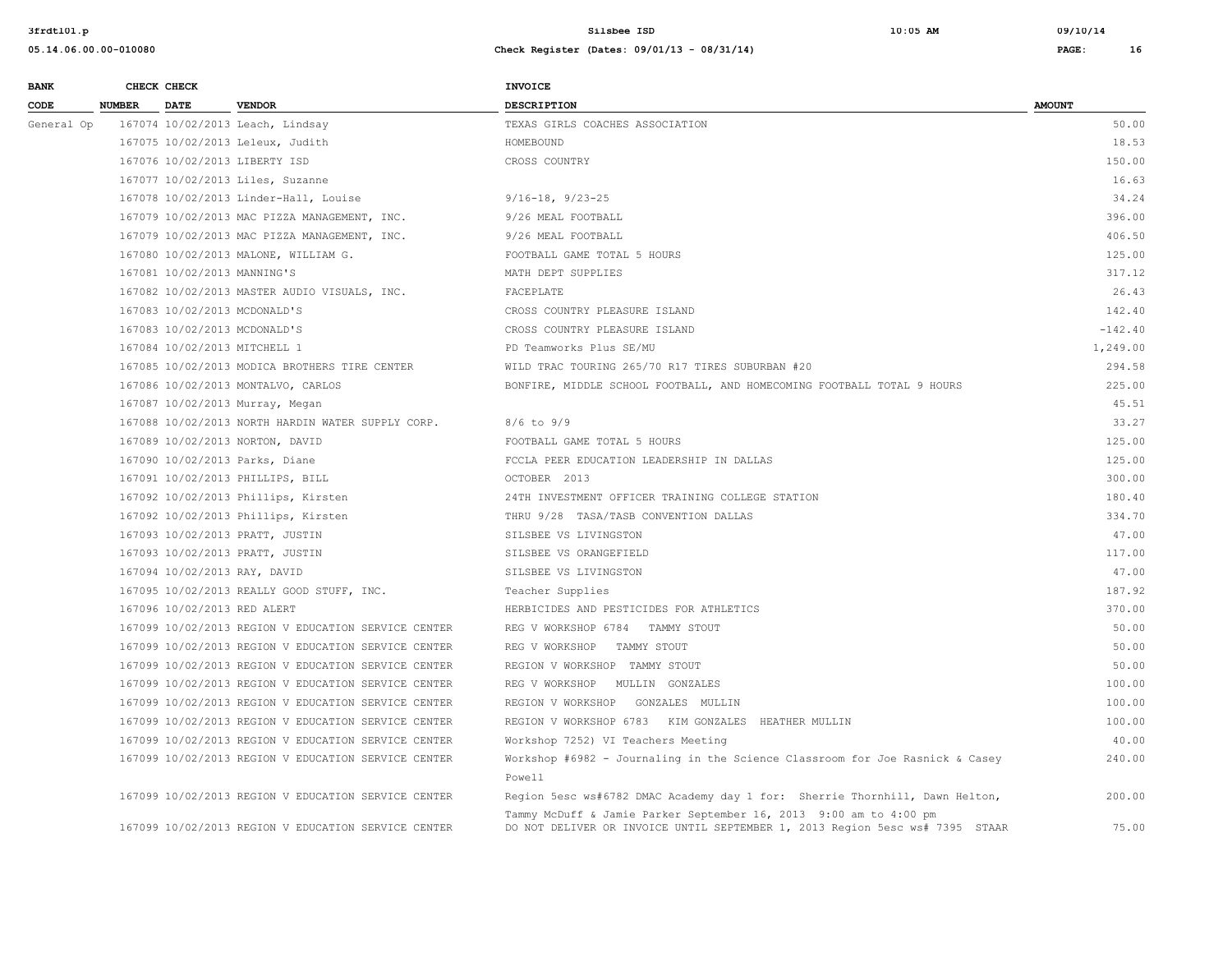| <b>BANK</b> |               | CHECK CHECK                 |                                                     | INVOICE                                                                                                                                           |               |
|-------------|---------------|-----------------------------|-----------------------------------------------------|---------------------------------------------------------------------------------------------------------------------------------------------------|---------------|
| CODE        | <b>NUMBER</b> | <b>DATE</b>                 | <b>VENDOR</b>                                       | <b>DESCRIPTION</b>                                                                                                                                | <b>AMOUNT</b> |
| General Op  |               |                             | 167074 10/02/2013 Leach, Lindsay                    | TEXAS GIRLS COACHES ASSOCIATION                                                                                                                   | 50.00         |
|             |               |                             | 167075 10/02/2013 Leleux, Judith                    | HOMEBOUND                                                                                                                                         | 18.53         |
|             |               |                             | 167076 10/02/2013 LIBERTY ISD                       | CROSS COUNTRY                                                                                                                                     | 150.00        |
|             |               |                             | 167077 10/02/2013 Liles, Suzanne                    |                                                                                                                                                   | 16.63         |
|             |               |                             | 167078 10/02/2013 Linder-Hall, Louise               | $9/16 - 18$ , $9/23 - 25$                                                                                                                         | 34.24         |
|             |               |                             | 167079 10/02/2013 MAC PIZZA MANAGEMENT, INC.        | 9/26 MEAL FOOTBALL                                                                                                                                | 396.00        |
|             |               |                             | 167079 10/02/2013 MAC PIZZA MANAGEMENT, INC.        | 9/26 MEAL FOOTBALL                                                                                                                                | 406.50        |
|             |               |                             | 167080 10/02/2013 MALONE, WILLIAM G.                | FOOTBALL GAME TOTAL 5 HOURS                                                                                                                       | 125.00        |
|             |               | 167081 10/02/2013 MANNING'S |                                                     | MATH DEPT SUPPLIES                                                                                                                                | 317.12        |
|             |               |                             | 167082 10/02/2013 MASTER AUDIO VISUALS, INC.        | FACEPLATE                                                                                                                                         | 26.43         |
|             |               |                             | 167083 10/02/2013 MCDONALD'S                        | CROSS COUNTRY PLEASURE ISLAND                                                                                                                     | 142.40        |
|             |               |                             | 167083 10/02/2013 MCDONALD'S                        | CROSS COUNTRY PLEASURE ISLAND                                                                                                                     | $-142.40$     |
|             |               |                             | 167084 10/02/2013 MITCHELL 1                        | PD Teamworks Plus SE/MU                                                                                                                           | 1,249.00      |
|             |               |                             | 167085 10/02/2013 MODICA BROTHERS TIRE CENTER       | WILD TRAC TOURING 265/70 R17 TIRES SUBURBAN #20                                                                                                   | 294.58        |
|             |               |                             | 167086 10/02/2013 MONTALVO, CARLOS                  | BONFIRE, MIDDLE SCHOOL FOOTBALL, AND HOMECOMING FOOTBALL TOTAL 9 HOURS                                                                            | 225.00        |
|             |               |                             | 167087 10/02/2013 Murray, Megan                     |                                                                                                                                                   | 45.51         |
|             |               |                             | 167088 10/02/2013 NORTH HARDIN WATER SUPPLY CORP.   | $8/6$ to $9/9$                                                                                                                                    | 33.27         |
|             |               |                             | 167089 10/02/2013 NORTON, DAVID                     | FOOTBALL GAME TOTAL 5 HOURS                                                                                                                       | 125.00        |
|             |               |                             | 167090 10/02/2013 Parks, Diane                      | FCCLA PEER EDUCATION LEADERSHIP IN DALLAS                                                                                                         | 125.00        |
|             |               |                             | 167091 10/02/2013 PHILLIPS, BILL                    | OCTOBER 2013                                                                                                                                      | 300.00        |
|             |               |                             | 167092 10/02/2013 Phillips, Kirsten                 | 24TH INVESTMENT OFFICER TRAINING COLLEGE STATION                                                                                                  | 180.40        |
|             |               |                             | 167092 10/02/2013 Phillips, Kirsten                 | THRU 9/28 TASA/TASB CONVENTION DALLAS                                                                                                             | 334.70        |
|             |               |                             | 167093 10/02/2013 PRATT, JUSTIN                     | SILSBEE VS LIVINGSTON                                                                                                                             | 47.00         |
|             |               |                             | 167093 10/02/2013 PRATT, JUSTIN                     | SILSBEE VS ORANGEFIELD                                                                                                                            | 117.00        |
|             |               |                             | 167094 10/02/2013 RAY, DAVID                        | SILSBEE VS LIVINGSTON                                                                                                                             | 47.00         |
|             |               |                             | 167095 10/02/2013 REALLY GOOD STUFF, INC.           | Teacher Supplies                                                                                                                                  | 187.92        |
|             |               | 167096 10/02/2013 RED ALERT |                                                     | HERBICIDES AND PESTICIDES FOR ATHLETICS                                                                                                           | 370.00        |
|             |               |                             | 167099 10/02/2013 REGION V EDUCATION SERVICE CENTER | REG V WORKSHOP 6784 TAMMY STOUT                                                                                                                   | 50.00         |
|             |               |                             | 167099 10/02/2013 REGION V EDUCATION SERVICE CENTER | REG V WORKSHOP TAMMY STOUT                                                                                                                        | 50.00         |
|             |               |                             | 167099 10/02/2013 REGION V EDUCATION SERVICE CENTER | REGION V WORKSHOP TAMMY STOUT                                                                                                                     | 50.00         |
|             |               |                             | 167099 10/02/2013 REGION V EDUCATION SERVICE CENTER | REG V WORKSHOP MULLIN GONZALES                                                                                                                    | 100.00        |
|             |               |                             | 167099 10/02/2013 REGION V EDUCATION SERVICE CENTER | REGION V WORKSHOP GONZALES MULLIN                                                                                                                 | 100.00        |
|             |               |                             | 167099 10/02/2013 REGION V EDUCATION SERVICE CENTER | REGION V WORKSHOP 6783 KIM GONZALES HEATHER MULLIN                                                                                                | 100.00        |
|             |               |                             | 167099 10/02/2013 REGION V EDUCATION SERVICE CENTER | Workshop 7252) VI Teachers Meeting                                                                                                                | 40.00         |
|             |               |                             | 167099 10/02/2013 REGION V EDUCATION SERVICE CENTER | Workshop #6982 - Journaling in the Science Classroom for Joe Rasnick & Casey<br>Powell                                                            | 240.00        |
|             |               |                             | 167099 10/02/2013 REGION V EDUCATION SERVICE CENTER | Region 5esc ws#6782 DMAC Academy day 1 for: Sherrie Thornhill, Dawn Helton,                                                                       | 200.00        |
|             |               |                             | 167099 10/02/2013 REGION V EDUCATION SERVICE CENTER | Tammy McDuff & Jamie Parker September 16, 2013 9:00 am to 4:00 pm<br>DO NOT DELIVER OR INVOICE UNTIL SEPTEMBER 1, 2013 Region 5esc ws# 7395 STAAR | 75.00         |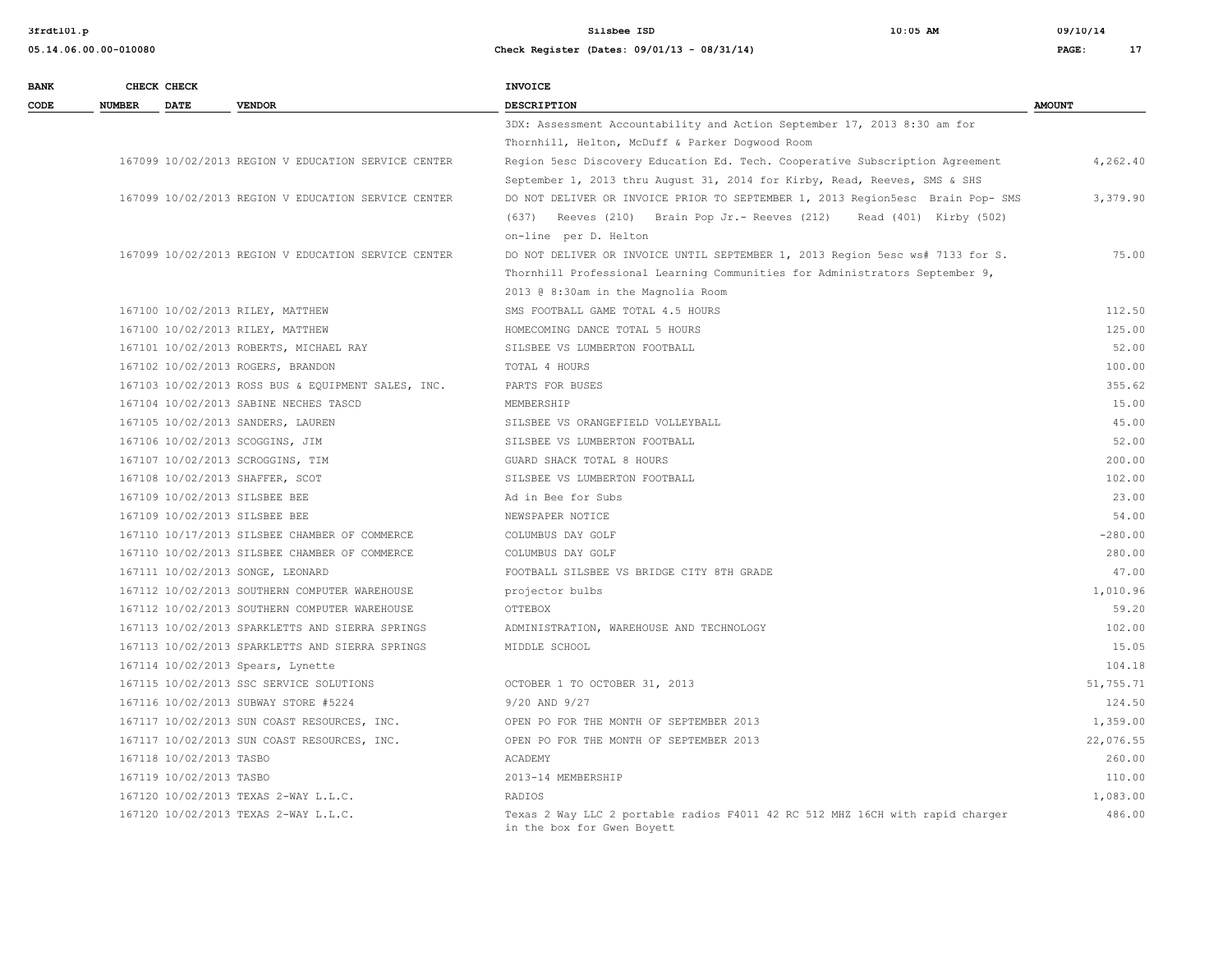| <b>BANK</b> |               | CHECK CHECK             |                                                     | <b>INVOICE</b>                                                                                              |               |
|-------------|---------------|-------------------------|-----------------------------------------------------|-------------------------------------------------------------------------------------------------------------|---------------|
| CODE        | <b>NUMBER</b> | <b>DATE</b>             | <b>VENDOR</b>                                       | <b>DESCRIPTION</b>                                                                                          | <b>AMOUNT</b> |
|             |               |                         |                                                     | 3DX: Assessment Accountability and Action September 17, 2013 8:30 am for                                    |               |
|             |               |                         |                                                     | Thornhill, Helton, McDuff & Parker Dogwood Room                                                             |               |
|             |               |                         | 167099 10/02/2013 REGION V EDUCATION SERVICE CENTER | Region 5esc Discovery Education Ed. Tech. Cooperative Subscription Agreement                                | 4,262.40      |
|             |               |                         |                                                     | September 1, 2013 thru August 31, 2014 for Kirby, Read, Reeves, SMS & SHS                                   |               |
|             |               |                         | 167099 10/02/2013 REGION V EDUCATION SERVICE CENTER | DO NOT DELIVER OR INVOICE PRIOR TO SEPTEMBER 1, 2013 Region5esc Brain Pop- SMS                              | 3,379.90      |
|             |               |                         |                                                     | (637) Reeves (210) Brain Pop Jr. - Reeves (212) Read (401) Kirby (502)                                      |               |
|             |               |                         |                                                     | on-line per D. Helton                                                                                       |               |
|             |               |                         | 167099 10/02/2013 REGION V EDUCATION SERVICE CENTER | DO NOT DELIVER OR INVOICE UNTIL SEPTEMBER 1, 2013 Region 5esc ws# 7133 for S.                               | 75.00         |
|             |               |                         |                                                     | Thornhill Professional Learning Communities for Administrators September 9,                                 |               |
|             |               |                         |                                                     | 2013 @ 8:30am in the Magnolia Room                                                                          |               |
|             |               |                         | 167100 10/02/2013 RILEY, MATTHEW                    | SMS FOOTBALL GAME TOTAL 4.5 HOURS                                                                           | 112.50        |
|             |               |                         | 167100 10/02/2013 RILEY, MATTHEW                    | HOMECOMING DANCE TOTAL 5 HOURS                                                                              | 125.00        |
|             |               |                         | 167101 10/02/2013 ROBERTS, MICHAEL RAY              | SILSBEE VS LUMBERTON FOOTBALL                                                                               | 52.00         |
|             |               |                         | 167102 10/02/2013 ROGERS, BRANDON                   | TOTAL 4 HOURS                                                                                               | 100.00        |
|             |               |                         | 167103 10/02/2013 ROSS BUS & EQUIPMENT SALES, INC.  | PARTS FOR BUSES                                                                                             | 355.62        |
|             |               |                         | 167104 10/02/2013 SABINE NECHES TASCD               | MEMBERSHIP                                                                                                  | 15.00         |
|             |               |                         | 167105 10/02/2013 SANDERS, LAUREN                   | SILSBEE VS ORANGEFIELD VOLLEYBALL                                                                           | 45.00         |
|             |               |                         | 167106 10/02/2013 SCOGGINS, JIM                     | SILSBEE VS LUMBERTON FOOTBALL                                                                               | 52.00         |
|             |               |                         | 167107 10/02/2013 SCROGGINS, TIM                    | GUARD SHACK TOTAL 8 HOURS                                                                                   | 200.00        |
|             |               |                         | 167108 10/02/2013 SHAFFER, SCOT                     | SILSBEE VS LUMBERTON FOOTBALL                                                                               | 102.00        |
|             |               |                         | 167109 10/02/2013 SILSBEE BEE                       | Ad in Bee for Subs                                                                                          | 23.00         |
|             |               |                         | 167109 10/02/2013 SILSBEE BEE                       | NEWSPAPER NOTICE                                                                                            | 54.00         |
|             |               |                         | 167110 10/17/2013 SILSBEE CHAMBER OF COMMERCE       | COLUMBUS DAY GOLF                                                                                           | $-280.00$     |
|             |               |                         | 167110 10/02/2013 SILSBEE CHAMBER OF COMMERCE       | COLUMBUS DAY GOLF                                                                                           | 280.00        |
|             |               |                         | 167111 10/02/2013 SONGE, LEONARD                    | FOOTBALL SILSBEE VS BRIDGE CITY 8TH GRADE                                                                   | 47.00         |
|             |               |                         | 167112 10/02/2013 SOUTHERN COMPUTER WAREHOUSE       | projector bulbs                                                                                             | 1,010.96      |
|             |               |                         | 167112 10/02/2013 SOUTHERN COMPUTER WAREHOUSE       | OTTEBOX                                                                                                     | 59.20         |
|             |               |                         | 167113 10/02/2013 SPARKLETTS AND SIERRA SPRINGS     | ADMINISTRATION, WAREHOUSE AND TECHNOLOGY                                                                    | 102.00        |
|             |               |                         | 167113 10/02/2013 SPARKLETTS AND SIERRA SPRINGS     | MIDDLE SCHOOL                                                                                               | 15.05         |
|             |               |                         | 167114 10/02/2013 Spears, Lynette                   |                                                                                                             | 104.18        |
|             |               |                         | 167115 10/02/2013 SSC SERVICE SOLUTIONS             | OCTOBER 1 TO OCTOBER 31, 2013                                                                               | 51,755.71     |
|             |               |                         | 167116 10/02/2013 SUBWAY STORE #5224                | $9/20$ AND $9/27$                                                                                           | 124.50        |
|             |               |                         | 167117 10/02/2013 SUN COAST RESOURCES, INC.         | OPEN PO FOR THE MONTH OF SEPTEMBER 2013                                                                     | 1,359.00      |
|             |               |                         | 167117 10/02/2013 SUN COAST RESOURCES, INC.         | OPEN PO FOR THE MONTH OF SEPTEMBER 2013                                                                     | 22,076.55     |
|             |               | 167118 10/02/2013 TASBO |                                                     | ACADEMY                                                                                                     | 260.00        |
|             |               | 167119 10/02/2013 TASBO |                                                     | 2013-14 MEMBERSHIP                                                                                          | 110.00        |
|             |               |                         | 167120 10/02/2013 TEXAS 2-WAY L.L.C.                | RADIOS                                                                                                      | 1,083.00      |
|             |               |                         | 167120 10/02/2013 TEXAS 2-WAY L.L.C.                | Texas 2 Way LLC 2 portable radios F4011 42 RC 512 MHZ 16CH with rapid charger<br>in the box for Gwen Boyett | 486.00        |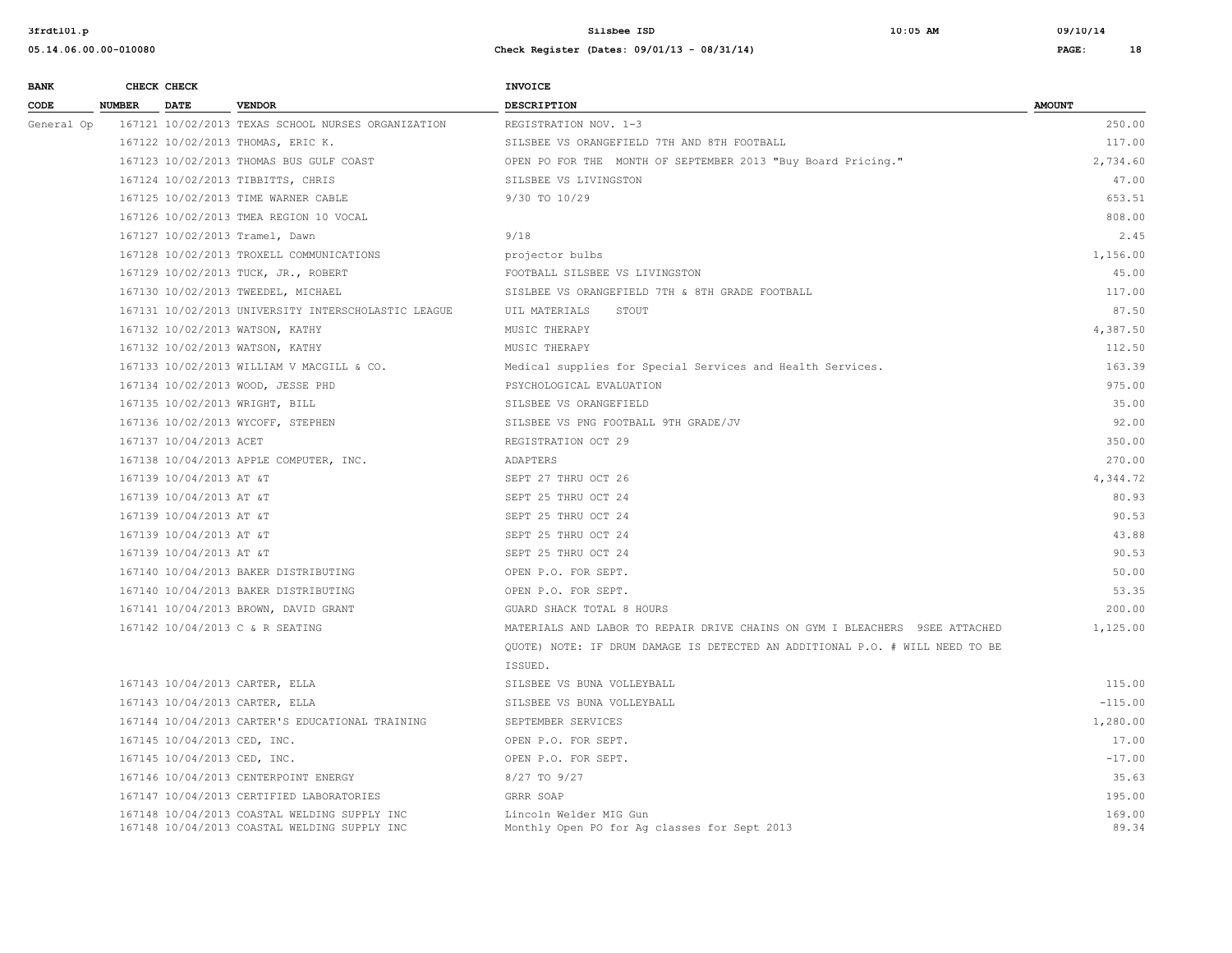| <b>BANK</b> |               | CHECK CHECK                 |                                                                                              | INVOICE                                                                      |                 |
|-------------|---------------|-----------------------------|----------------------------------------------------------------------------------------------|------------------------------------------------------------------------------|-----------------|
| CODE        | <b>NUMBER</b> | <b>DATE</b>                 | <b>VENDOR</b>                                                                                | <b>DESCRIPTION</b>                                                           | <b>AMOUNT</b>   |
| General Op  |               |                             | 167121 10/02/2013 TEXAS SCHOOL NURSES ORGANIZATION                                           | REGISTRATION NOV. 1-3                                                        | 250.00          |
|             |               |                             | 167122 10/02/2013 THOMAS, ERIC K.                                                            | SILSBEE VS ORANGEFIELD 7TH AND 8TH FOOTBALL                                  | 117.00          |
|             |               |                             | 167123 10/02/2013 THOMAS BUS GULF COAST                                                      | OPEN PO FOR THE MONTH OF SEPTEMBER 2013 "Buy Board Pricing."                 | 2,734.60        |
|             |               |                             | 167124 10/02/2013 TIBBITTS, CHRIS                                                            | SILSBEE VS LIVINGSTON                                                        | 47.00           |
|             |               |                             | 167125 10/02/2013 TIME WARNER CABLE                                                          | 9/30 TO 10/29                                                                | 653.51          |
|             |               |                             | 167126 10/02/2013 TMEA REGION 10 VOCAL                                                       |                                                                              | 808.00          |
|             |               |                             | 167127 10/02/2013 Tramel, Dawn                                                               | 9/18                                                                         | 2.45            |
|             |               |                             | 167128 10/02/2013 TROXELL COMMUNICATIONS                                                     | projector bulbs                                                              | 1,156.00        |
|             |               |                             | 167129 10/02/2013 TUCK, JR., ROBERT                                                          | FOOTBALL SILSBEE VS LIVINGSTON                                               | 45.00           |
|             |               |                             | 167130 10/02/2013 TWEEDEL, MICHAEL                                                           | SISLBEE VS ORANGEFIELD 7TH & 8TH GRADE FOOTBALL                              | 117.00          |
|             |               |                             | 167131 10/02/2013 UNIVERSITY INTERSCHOLASTIC LEAGUE                                          | UIL MATERIALS<br>STOUT                                                       | 87.50           |
|             |               |                             | 167132 10/02/2013 WATSON, KATHY                                                              | MUSIC THERAPY                                                                | 4,387.50        |
|             |               |                             | 167132 10/02/2013 WATSON, KATHY                                                              | MUSIC THERAPY                                                                | 112.50          |
|             |               |                             | 167133 10/02/2013 WILLIAM V MACGILL & CO.                                                    | Medical supplies for Special Services and Health Services.                   | 163.39          |
|             |               |                             | 167134 10/02/2013 WOOD, JESSE PHD                                                            | PSYCHOLOGICAL EVALUATION                                                     | 975.00          |
|             |               |                             | 167135 10/02/2013 WRIGHT, BILL                                                               | SILSBEE VS ORANGEFIELD                                                       | 35.00           |
|             |               |                             | 167136 10/02/2013 WYCOFF, STEPHEN                                                            | SILSBEE VS PNG FOOTBALL 9TH GRADE/JV                                         | 92.00           |
|             |               | 167137 10/04/2013 ACET      |                                                                                              | REGISTRATION OCT 29                                                          | 350.00          |
|             |               |                             | 167138 10/04/2013 APPLE COMPUTER, INC.                                                       | ADAPTERS                                                                     | 270.00          |
|             |               | 167139 10/04/2013 AT &T     |                                                                                              | SEPT 27 THRU OCT 26                                                          | 4,344.72        |
|             |               | 167139 10/04/2013 AT &T     |                                                                                              | SEPT 25 THRU OCT 24                                                          | 80.93           |
|             |               | 167139 10/04/2013 AT &T     |                                                                                              | SEPT 25 THRU OCT 24                                                          | 90.53           |
|             |               | 167139 10/04/2013 AT &T     |                                                                                              | SEPT 25 THRU OCT 24                                                          | 43.88           |
|             |               | 167139 10/04/2013 AT &T     |                                                                                              | SEPT 25 THRU OCT 24                                                          | 90.53           |
|             |               |                             | 167140 10/04/2013 BAKER DISTRIBUTING                                                         | OPEN P.O. FOR SEPT.                                                          | 50.00           |
|             |               |                             | 167140 10/04/2013 BAKER DISTRIBUTING                                                         | OPEN P.O. FOR SEPT.                                                          | 53.35           |
|             |               |                             | 167141 10/04/2013 BROWN, DAVID GRANT                                                         | GUARD SHACK TOTAL 8 HOURS                                                    | 200.00          |
|             |               |                             | 167142 10/04/2013 C & R SEATING                                                              | MATERIALS AND LABOR TO REPAIR DRIVE CHAINS ON GYM I BLEACHERS 9SEE ATTACHED  | 1,125.00        |
|             |               |                             |                                                                                              | QUOTE) NOTE: IF DRUM DAMAGE IS DETECTED AN ADDITIONAL P.O. # WILL NEED TO BE |                 |
|             |               |                             |                                                                                              | ISSUED.                                                                      |                 |
|             |               |                             | 167143 10/04/2013 CARTER, ELLA                                                               | SILSBEE VS BUNA VOLLEYBALL                                                   | 115.00          |
|             |               |                             | 167143 10/04/2013 CARTER, ELLA                                                               | SILSBEE VS BUNA VOLLEYBALL                                                   | $-115.00$       |
|             |               |                             | 167144 10/04/2013 CARTER'S EDUCATIONAL TRAINING                                              | SEPTEMBER SERVICES                                                           | 1,280.00        |
|             |               | 167145 10/04/2013 CED, INC. |                                                                                              | OPEN P.O. FOR SEPT.                                                          | 17.00           |
|             |               | 167145 10/04/2013 CED, INC. |                                                                                              | OPEN P.O. FOR SEPT.                                                          | $-17.00$        |
|             |               |                             | 167146 10/04/2013 CENTERPOINT ENERGY                                                         | 8/27 TO 9/27                                                                 | 35.63           |
|             |               |                             | 167147 10/04/2013 CERTIFIED LABORATORIES                                                     | GRRR SOAP                                                                    | 195.00          |
|             |               |                             | 167148 10/04/2013 COASTAL WELDING SUPPLY INC<br>167148 10/04/2013 COASTAL WELDING SUPPLY INC | Lincoln Welder MIG Gun<br>Monthly Open PO for Ag classes for Sept 2013       | 169.00<br>89.34 |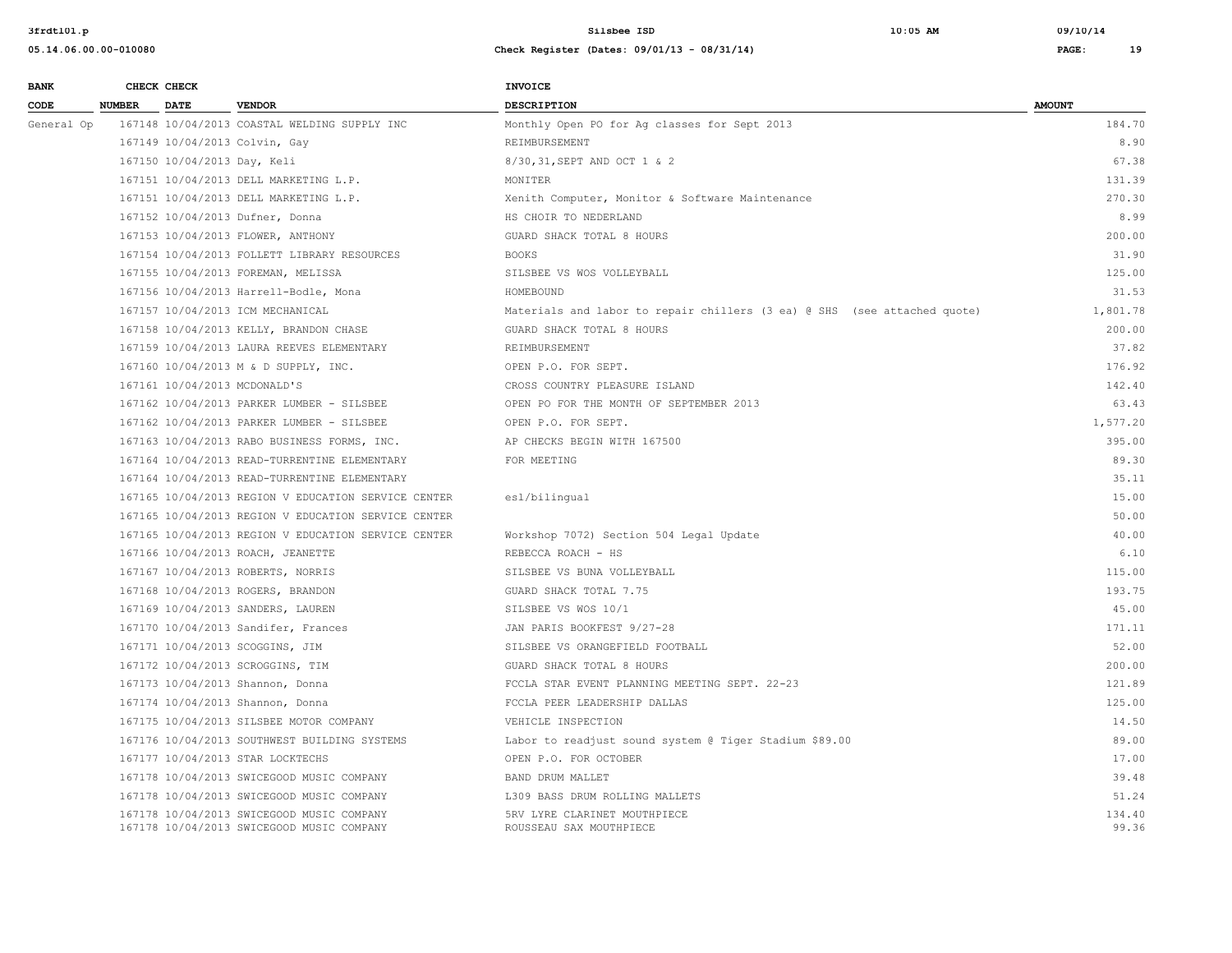| <b>BANK</b> |        | CHECK CHECK                 |                                                                                        | INVOICE                                                                  |                 |
|-------------|--------|-----------------------------|----------------------------------------------------------------------------------------|--------------------------------------------------------------------------|-----------------|
| CODE        | NUMBER | <b>DATE</b>                 | <b>VENDOR</b>                                                                          | <b>DESCRIPTION</b>                                                       | <b>AMOUNT</b>   |
| General Op  |        |                             | 167148 10/04/2013 COASTAL WELDING SUPPLY INC                                           | Monthly Open PO for Ag classes for Sept 2013                             | 184.70          |
|             |        |                             | 167149 10/04/2013 Colvin, Gay                                                          | REIMBURSEMENT                                                            | 8.90            |
|             |        | 167150 10/04/2013 Day, Keli |                                                                                        | 8/30, 31, SEPT AND OCT 1 & 2                                             | 67.38           |
|             |        |                             | 167151 10/04/2013 DELL MARKETING L.P.                                                  | MONITER                                                                  | 131.39          |
|             |        |                             | 167151 10/04/2013 DELL MARKETING L.P.                                                  | Xenith Computer, Monitor & Software Maintenance                          | 270.30          |
|             |        |                             | 167152 10/04/2013 Dufner, Donna                                                        | HS CHOIR TO NEDERLAND                                                    | 8.99            |
|             |        |                             | 167153 10/04/2013 FLOWER, ANTHONY                                                      | GUARD SHACK TOTAL 8 HOURS                                                | 200.00          |
|             |        |                             | 167154 10/04/2013 FOLLETT LIBRARY RESOURCES                                            | <b>BOOKS</b>                                                             | 31.90           |
|             |        |                             | 167155 10/04/2013 FOREMAN, MELISSA                                                     | SILSBEE VS WOS VOLLEYBALL                                                | 125.00          |
|             |        |                             | 167156 10/04/2013 Harrell-Bodle, Mona                                                  | HOMEBOUND                                                                | 31.53           |
|             |        |                             | 167157 10/04/2013 ICM MECHANICAL                                                       | Materials and labor to repair chillers (3 ea) @ SHS (see attached quote) | 1,801.78        |
|             |        |                             | 167158 10/04/2013 KELLY, BRANDON CHASE                                                 | GUARD SHACK TOTAL 8 HOURS                                                | 200.00          |
|             |        |                             | 167159 10/04/2013 LAURA REEVES ELEMENTARY                                              | REIMBURSEMENT                                                            | 37.82           |
|             |        |                             | 167160 10/04/2013 M & D SUPPLY, INC.                                                   | OPEN P.O. FOR SEPT.                                                      | 176.92          |
|             |        |                             | 167161 10/04/2013 MCDONALD'S                                                           | CROSS COUNTRY PLEASURE ISLAND                                            | 142.40          |
|             |        |                             | 167162 10/04/2013 PARKER LUMBER - SILSBEE                                              | OPEN PO FOR THE MONTH OF SEPTEMBER 2013                                  | 63.43           |
|             |        |                             | 167162 10/04/2013 PARKER LUMBER - SILSBEE                                              | OPEN P.O. FOR SEPT.                                                      | 1,577.20        |
|             |        |                             | 167163 10/04/2013 RABO BUSINESS FORMS, INC.                                            | AP CHECKS BEGIN WITH 167500                                              | 395.00          |
|             |        |                             | 167164 10/04/2013 READ-TURRENTINE ELEMENTARY                                           | FOR MEETING                                                              | 89.30           |
|             |        |                             | 167164 10/04/2013 READ-TURRENTINE ELEMENTARY                                           |                                                                          | 35.11           |
|             |        |                             | 167165 10/04/2013 REGION V EDUCATION SERVICE CENTER                                    | esl/bilingual                                                            | 15.00           |
|             |        |                             | 167165 10/04/2013 REGION V EDUCATION SERVICE CENTER                                    |                                                                          | 50.00           |
|             |        |                             | 167165 10/04/2013 REGION V EDUCATION SERVICE CENTER                                    | Workshop 7072) Section 504 Legal Update                                  | 40.00           |
|             |        |                             | 167166 10/04/2013 ROACH, JEANETTE                                                      | REBECCA ROACH - HS                                                       | 6.10            |
|             |        |                             | 167167 10/04/2013 ROBERTS, NORRIS                                                      | SILSBEE VS BUNA VOLLEYBALL                                               | 115.00          |
|             |        |                             | 167168 10/04/2013 ROGERS, BRANDON                                                      | GUARD SHACK TOTAL 7.75                                                   | 193.75          |
|             |        |                             | 167169 10/04/2013 SANDERS, LAUREN                                                      | SILSBEE VS WOS 10/1                                                      | 45.00           |
|             |        |                             | 167170 10/04/2013 Sandifer, Frances                                                    | JAN PARIS BOOKFEST 9/27-28                                               | 171.11          |
|             |        |                             | 167171 10/04/2013 SCOGGINS, JIM                                                        | SILSBEE VS ORANGEFIELD FOOTBALL                                          | 52.00           |
|             |        |                             | 167172 10/04/2013 SCROGGINS, TIM                                                       | GUARD SHACK TOTAL 8 HOURS                                                | 200.00          |
|             |        |                             | 167173 10/04/2013 Shannon, Donna                                                       | FCCLA STAR EVENT PLANNING MEETING SEPT. 22-23                            | 121.89          |
|             |        |                             | 167174 10/04/2013 Shannon, Donna                                                       | FCCLA PEER LEADERSHIP DALLAS                                             | 125.00          |
|             |        |                             | 167175 10/04/2013 SILSBEE MOTOR COMPANY                                                | VEHICLE INSPECTION                                                       | 14.50           |
|             |        |                             | 167176 10/04/2013 SOUTHWEST BUILDING SYSTEMS                                           | Labor to readjust sound system @ Tiger Stadium \$89.00                   | 89.00           |
|             |        |                             | 167177 10/04/2013 STAR LOCKTECHS                                                       | OPEN P.O. FOR OCTOBER                                                    | 17.00           |
|             |        |                             | 167178 10/04/2013 SWICEGOOD MUSIC COMPANY                                              | BAND DRUM MALLET                                                         | 39.48           |
|             |        |                             | 167178 10/04/2013 SWICEGOOD MUSIC COMPANY                                              | L309 BASS DRUM ROLLING MALLETS                                           | 51.24           |
|             |        |                             | 167178 10/04/2013 SWICEGOOD MUSIC COMPANY<br>167178 10/04/2013 SWICEGOOD MUSIC COMPANY | 5RV LYRE CLARINET MOUTHPIECE<br>ROUSSEAU SAX MOUTHPIECE                  | 134.40<br>99.36 |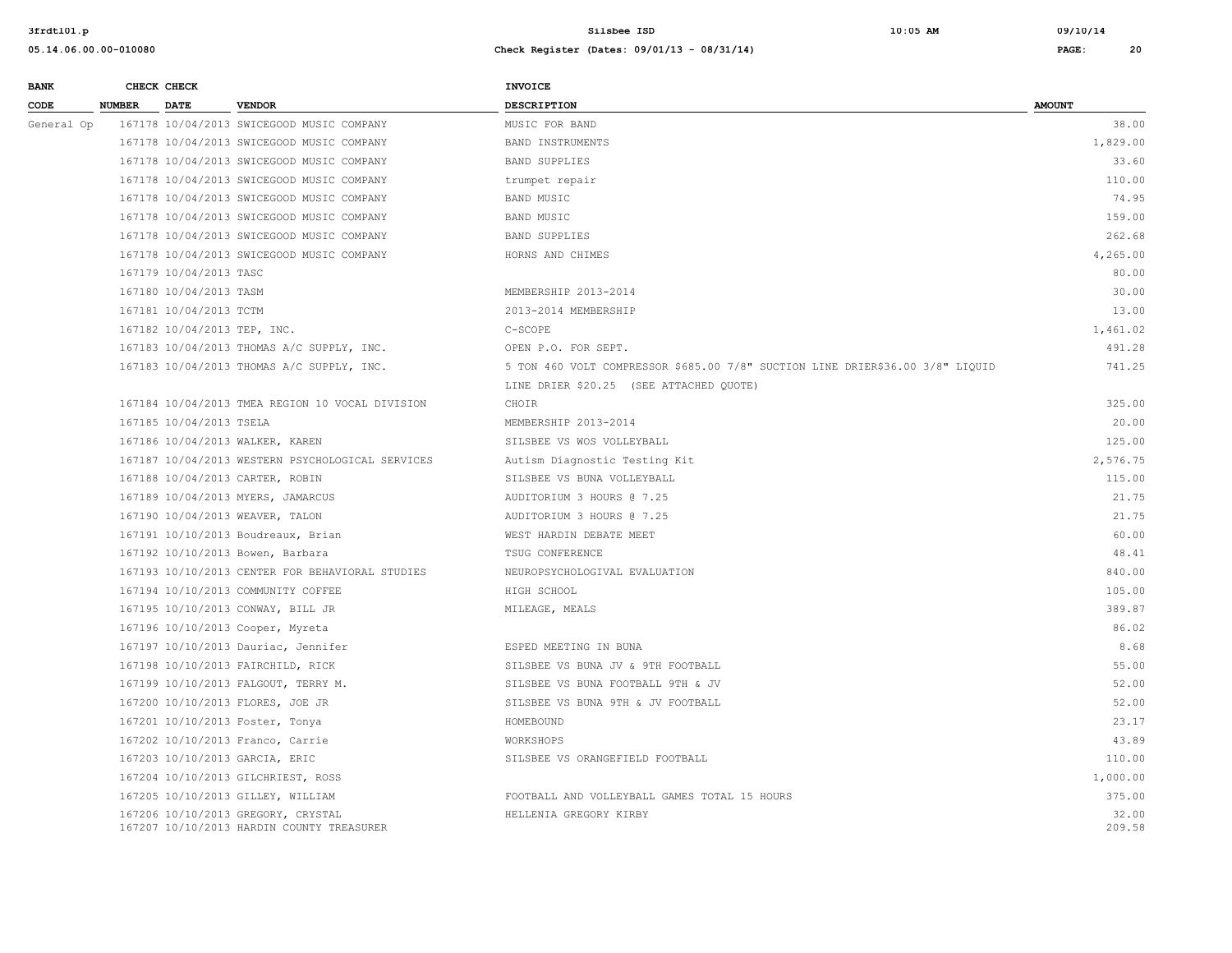| <b>BANK</b> |               | CHECK CHECK                 |                                                                                 | INVOICE                                                                       |                 |
|-------------|---------------|-----------------------------|---------------------------------------------------------------------------------|-------------------------------------------------------------------------------|-----------------|
| CODE        | <b>NUMBER</b> | <b>DATE</b>                 | <b>VENDOR</b>                                                                   | <b>DESCRIPTION</b>                                                            | <b>AMOUNT</b>   |
| General Op  |               |                             | 167178 10/04/2013 SWICEGOOD MUSIC COMPANY                                       | MUSIC FOR BAND                                                                | 38.00           |
|             |               |                             | 167178 10/04/2013 SWICEGOOD MUSIC COMPANY                                       | BAND INSTRUMENTS                                                              | 1,829.00        |
|             |               |                             | 167178 10/04/2013 SWICEGOOD MUSIC COMPANY                                       | <b>BAND SUPPLIES</b>                                                          | 33.60           |
|             |               |                             | 167178 10/04/2013 SWICEGOOD MUSIC COMPANY                                       | trumpet repair                                                                | 110.00          |
|             |               |                             | 167178 10/04/2013 SWICEGOOD MUSIC COMPANY                                       | BAND MUSIC                                                                    | 74.95           |
|             |               |                             | 167178 10/04/2013 SWICEGOOD MUSIC COMPANY                                       | BAND MUSIC                                                                    | 159.00          |
|             |               |                             | 167178 10/04/2013 SWICEGOOD MUSIC COMPANY                                       | <b>BAND SUPPLIES</b>                                                          | 262.68          |
|             |               |                             | 167178 10/04/2013 SWICEGOOD MUSIC COMPANY                                       | HORNS AND CHIMES                                                              | 4,265.00        |
|             |               | 167179 10/04/2013 TASC      |                                                                                 |                                                                               | 80.00           |
|             |               | 167180 10/04/2013 TASM      |                                                                                 | MEMBERSHIP 2013-2014                                                          | 30.00           |
|             |               | 167181 10/04/2013 TCTM      |                                                                                 | 2013-2014 MEMBERSHIP                                                          | 13.00           |
|             |               | 167182 10/04/2013 TEP, INC. |                                                                                 | C-SCOPE                                                                       | 1,461.02        |
|             |               |                             | 167183 10/04/2013 THOMAS A/C SUPPLY, INC.                                       | OPEN P.O. FOR SEPT.                                                           | 491.28          |
|             |               |                             | 167183 10/04/2013 THOMAS A/C SUPPLY, INC.                                       | 5 TON 460 VOLT COMPRESSOR \$685.00 7/8" SUCTION LINE DRIER\$36.00 3/8" LIQUID | 741.25          |
|             |               |                             |                                                                                 | LINE DRIER \$20.25 (SEE ATTACHED OUOTE)                                       |                 |
|             |               |                             | 167184 10/04/2013 TMEA REGION 10 VOCAL DIVISION                                 | CHOIR                                                                         | 325.00          |
|             |               | 167185 10/04/2013 TSELA     |                                                                                 | MEMBERSHIP 2013-2014                                                          | 20.00           |
|             |               |                             | 167186 10/04/2013 WALKER, KAREN                                                 | SILSBEE VS WOS VOLLEYBALL                                                     | 125.00          |
|             |               |                             | 167187 10/04/2013 WESTERN PSYCHOLOGICAL SERVICES                                | Autism Diagnostic Testing Kit                                                 | 2,576.75        |
|             |               |                             | 167188 10/04/2013 CARTER, ROBIN                                                 | SILSBEE VS BUNA VOLLEYBALL                                                    | 115.00          |
|             |               |                             | 167189 10/04/2013 MYERS, JAMARCUS                                               | AUDITORIUM 3 HOURS @ 7.25                                                     | 21.75           |
|             |               |                             | 167190 10/04/2013 WEAVER, TALON                                                 | AUDITORIUM 3 HOURS @ 7.25                                                     | 21.75           |
|             |               |                             | 167191 10/10/2013 Boudreaux, Brian                                              | WEST HARDIN DEBATE MEET                                                       | 60.00           |
|             |               |                             | 167192 10/10/2013 Bowen, Barbara                                                | TSUG CONFERENCE                                                               | 48.41           |
|             |               |                             | 167193 10/10/2013 CENTER FOR BEHAVIORAL STUDIES                                 | NEUROPSYCHOLOGIVAL EVALUATION                                                 | 840.00          |
|             |               |                             | 167194 10/10/2013 COMMUNITY COFFEE                                              | HIGH SCHOOL                                                                   | 105.00          |
|             |               |                             | 167195 10/10/2013 CONWAY, BILL JR                                               | MILEAGE, MEALS                                                                | 389.87          |
|             |               |                             | 167196 10/10/2013 Cooper, Myreta                                                |                                                                               | 86.02           |
|             |               |                             | 167197 10/10/2013 Dauriac, Jennifer                                             | ESPED MEETING IN BUNA                                                         | 8.68            |
|             |               |                             | 167198 10/10/2013 FAIRCHILD, RICK                                               | SILSBEE VS BUNA JV & 9TH FOOTBALL                                             | 55.00           |
|             |               |                             | 167199 10/10/2013 FALGOUT, TERRY M.                                             | SILSBEE VS BUNA FOOTBALL 9TH & JV                                             | 52.00           |
|             |               |                             | 167200 10/10/2013 FLORES, JOE JR                                                | SILSBEE VS BUNA 9TH & JV FOOTBALL                                             | 52.00           |
|             |               |                             | 167201 10/10/2013 Foster, Tonya                                                 | HOMEBOUND                                                                     | 23.17           |
|             |               |                             | 167202 10/10/2013 Franco, Carrie                                                | WORKSHOPS                                                                     | 43.89           |
|             |               |                             | 167203 10/10/2013 GARCIA, ERIC                                                  | SILSBEE VS ORANGEFIELD FOOTBALL                                               | 110.00          |
|             |               |                             | 167204 10/10/2013 GILCHRIEST, ROSS                                              |                                                                               | 1,000.00        |
|             |               |                             | 167205 10/10/2013 GILLEY, WILLIAM                                               | FOOTBALL AND VOLLEYBALL GAMES TOTAL 15 HOURS                                  | 375.00          |
|             |               |                             | 167206 10/10/2013 GREGORY, CRYSTAL<br>167207 10/10/2013 HARDIN COUNTY TREASURER | HELLENIA GREGORY KIRBY                                                        | 32.00<br>209.58 |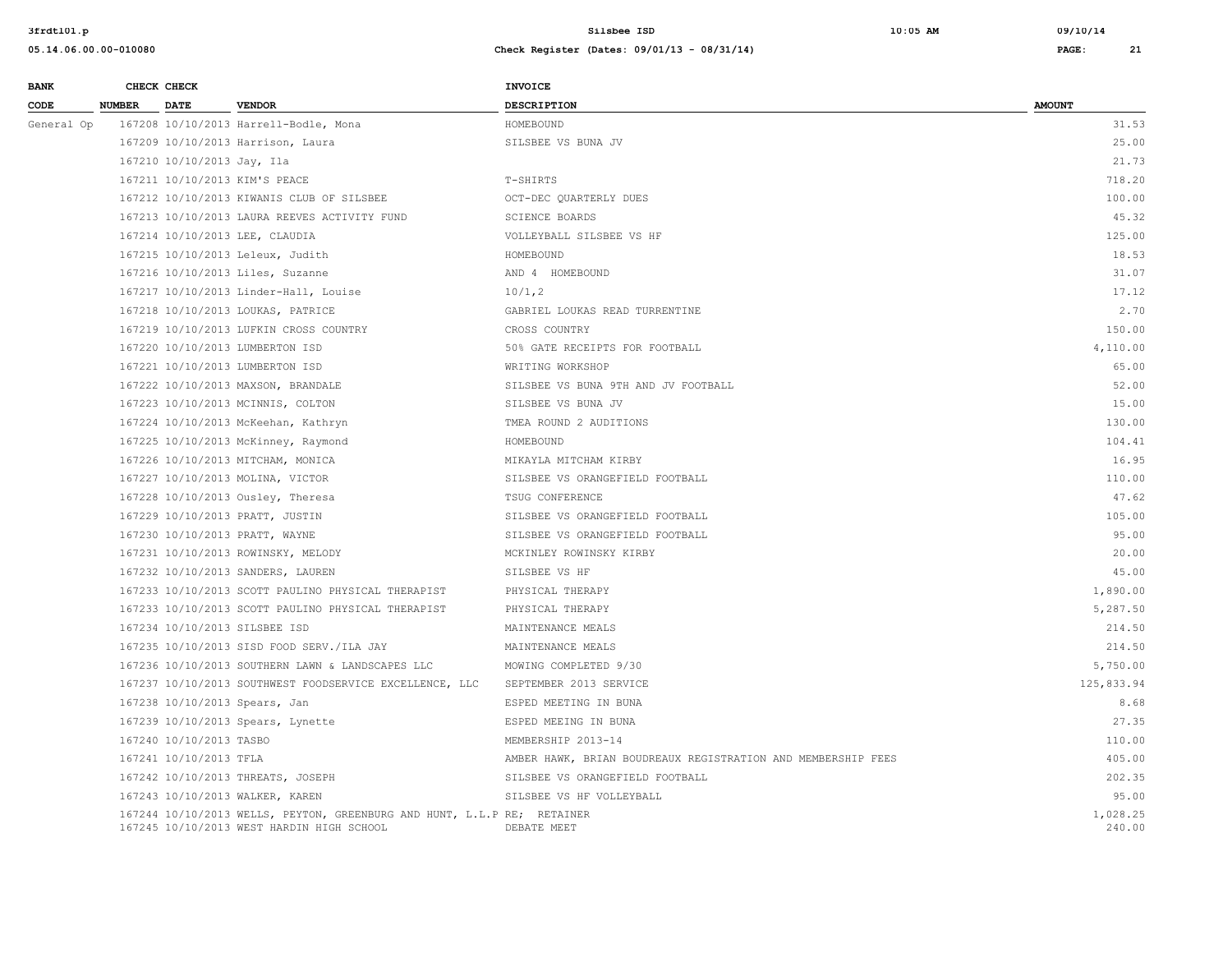**3frdtl01.p Silsbee ISD 10:05 AM 09/10/14**

# **BANK** CHECK CHECK **CHECK CODE NUMBER DATE VENDOR DESCRIPTION AMOUNT**  General Op  $167208$  10/10/2013 Harrell-Bodle, Mona  $163200000$  HOMEBOUND 167209 10/10/2013 Harrison, Laura SILSBEE VS BUNA JV 25.00 167210 10/10/2013 Jay, Ila 21.73 167211 10/10/2013 KIM'S PEACE T-SHIRTS 718.20 167212 10/10/2013 KIWANIS CLUB OF SILSBEE OCT-DEC QUARTERLY DUES 100.00 167213 10/10/2013 LAURA REEVES ACTIVITY FUND SCIENCE BOARDS 45.32 167214 10/10/2013 LEE, CLAUDIA VOLLEYBALL SILSBEE VS HF 125.00 167215 10/10/2013 Leleux, Judith 18.53 167216 10/10/2013 Liles, Suzanne AND 4 HOMEBOUND 31.07 167217 10/10/2013 Linder-Hall, Louise 10/1,2 17.12 17:12 17:12 167218 10/10/2013 LOUKAS, PATRICE GABRIEL LOUKAS READ TURRENTINE 2.70 167219 10/10/2013 LUFKIN CROSS COUNTRY CROSS COUNTRY 150.00 167220 10/10/2013 LUMBERTON ISD 50% GATE RECEIPTS FOR FOOTBALL 4,110.00 167221 10/10/2013 LUMBERTON ISD WRITING WORKSHOP 65.00 167222 10/10/2013 MAXSON, BRANDALE SILSBEE VS BUNA 9TH AND JV FOOTBALL 52.00 167223 10/10/2013 MCINNIS, COLTON SILSBEE VS BUNA JV 15.00 167224 10/10/2013 McKeehan, Kathryn TMEA ROUND 2 AUDITIONS 130.00 167225 10/10/2013 McKinney, Raymond HOMEBOUND 104.41 167226 10/10/2013 MITCHAM, MONICA MIKAYLA MITCHAM KIRBY 16.95 167227 10/10/2013 MOLINA, VICTOR SILSBEE VS ORANGEFIELD FOOTBALL 110.00 167228 10/10/2013 Ousley, Theresa 37.62 TSUG CONFERENCE 47.62 167229 10/10/2013 PRATT, JUSTIN SILSBEE VS ORANGEFIELD FOOTBALL 105.00 167230 10/10/2013 PRATT, WAYNE SILSBEE VS ORANGEFIELD FOOTBALL 95.00 167231 10/10/2013 ROWINSKY, MELODY MCKINLEY ROWINSKY KIRBY 20.00 167232 10/10/2013 SANDERS, LAUREN SILSBEE VS HF 45.00 167233 10/10/2013 SCOTT PAULINO PHYSICAL THERAPIST PHYSICAL THERAPY 1,890.00 167233 10/10/2013 SCOTT PAULINO PHYSICAL THERAPIST PHYSICAL THERAPY 5,287.50 167234 10/10/2013 SILSBEE ISD MAINTENANCE MEALS 214.50 167235 10/10/2013 SISD FOOD SERV./ILA JAY MAINTENANCE MEALS 214.50 167236 10/10/2013 SOUTHERN LAWN & LANDSCAPES LLC MOWING COMPLETED 9/30 5,750.00 167237 10/10/2013 SOUTHWEST FOODSERVICE EXCELLENCE, LLC SEPTEMBER 2013 SERVICE 125,833.94 167238 10/10/2013 Spears, Jan ESPED MEETING IN BUNA 8.68 167239 10/10/2013 Spears, Lynette The ESPED MEEING IN BUNA 27.35 167240 10/10/2013 TASBO 110.00 NEMBERSHIP 2013-14 110.00 NEMBERSHIP 2013-14 167241 10/10/2013 TFLA AMBER HAWK, BRIAN BOUDREAUX REGISTRATION AND MEMBERSHIP FEES 405.00 167242 10/10/2013 THREATS, JOSEPH SILSBEE VS ORANGEFIELD FOOTBALL 202.35 167243 10/10/2013 WALKER, KAREN SILSBEE VS HF VOLLEYBALL 95.00 167244 10/10/2013 WELLS, PEYTON, GREENBURG AND HUNT, L.L.P RE; RETAINER 1,028.25 167245 10/10/2013 WEST HARDIN HIGH SCHOOL DEBATE MEET 240.00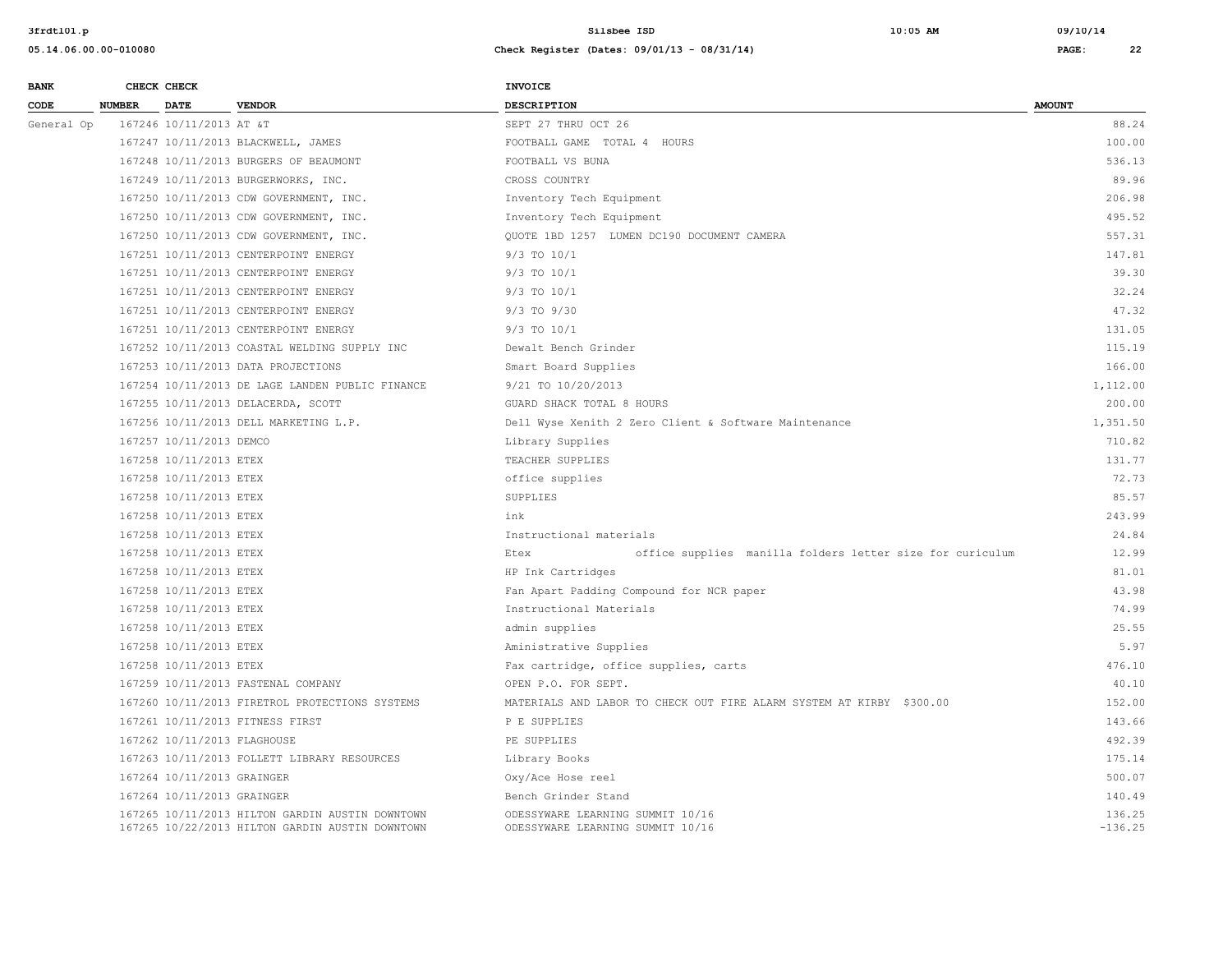| <b>BANK</b> |               | CHECK CHECK                 |                                                                                                    | <b>INVOICE</b>                                                       |                                                                      |                     |
|-------------|---------------|-----------------------------|----------------------------------------------------------------------------------------------------|----------------------------------------------------------------------|----------------------------------------------------------------------|---------------------|
| CODE        | <b>NUMBER</b> | <b>DATE</b>                 | <b>VENDOR</b>                                                                                      | <b>DESCRIPTION</b>                                                   |                                                                      | <b>AMOUNT</b>       |
| General Op  |               | 167246 10/11/2013 AT &T     |                                                                                                    | SEPT 27 THRU OCT 26                                                  |                                                                      | 88.24               |
|             |               |                             | 167247 10/11/2013 BLACKWELL, JAMES                                                                 | FOOTBALL GAME TOTAL 4 HOURS                                          |                                                                      | 100.00              |
|             |               |                             | 167248 10/11/2013 BURGERS OF BEAUMONT                                                              | FOOTBALL VS BUNA                                                     |                                                                      | 536.13              |
|             |               |                             | 167249 10/11/2013 BURGERWORKS, INC.                                                                | CROSS COUNTRY                                                        |                                                                      | 89.96               |
|             |               |                             | 167250 10/11/2013 CDW GOVERNMENT, INC.                                                             | Inventory Tech Equipment                                             |                                                                      | 206.98              |
|             |               |                             | 167250 10/11/2013 CDW GOVERNMENT, INC.                                                             | Inventory Tech Equipment                                             |                                                                      | 495.52              |
|             |               |                             | 167250 10/11/2013 CDW GOVERNMENT, INC.                                                             |                                                                      | QUOTE 1BD 1257 LUMEN DC190 DOCUMENT CAMERA                           | 557.31              |
|             |               |                             | 167251 10/11/2013 CENTERPOINT ENERGY                                                               | $9/3$ TO $10/1$                                                      |                                                                      | 147.81              |
|             |               |                             | 167251 10/11/2013 CENTERPOINT ENERGY                                                               | 9/3 TO 10/1                                                          |                                                                      | 39.30               |
|             |               |                             | 167251 10/11/2013 CENTERPOINT ENERGY                                                               | $9/3$ TO $10/1$                                                      |                                                                      | 32.24               |
|             |               |                             | 167251 10/11/2013 CENTERPOINT ENERGY                                                               | $9/3$ TO $9/30$                                                      |                                                                      | 47.32               |
|             |               |                             | 167251 10/11/2013 CENTERPOINT ENERGY                                                               | $9/3$ TO $10/1$                                                      |                                                                      | 131.05              |
|             |               |                             | 167252 10/11/2013 COASTAL WELDING SUPPLY INC                                                       | Dewalt Bench Grinder                                                 |                                                                      | 115.19              |
|             |               |                             | 167253 10/11/2013 DATA PROJECTIONS                                                                 | Smart Board Supplies                                                 |                                                                      | 166.00              |
|             |               |                             | 167254 10/11/2013 DE LAGE LANDEN PUBLIC FINANCE                                                    | 9/21 TO 10/20/2013                                                   |                                                                      | 1,112.00            |
|             |               |                             | 167255 10/11/2013 DELACERDA, SCOTT                                                                 | GUARD SHACK TOTAL 8 HOURS                                            |                                                                      | 200.00              |
|             |               |                             | 167256 10/11/2013 DELL MARKETING L.P.                                                              |                                                                      | Dell Wyse Xenith 2 Zero Client & Software Maintenance                | 1,351.50            |
|             |               | 167257 10/11/2013 DEMCO     |                                                                                                    | Library Supplies                                                     |                                                                      | 710.82              |
|             |               | 167258 10/11/2013 ETEX      |                                                                                                    | TEACHER SUPPLIES                                                     |                                                                      | 131.77              |
|             |               | 167258 10/11/2013 ETEX      |                                                                                                    | office supplies                                                      |                                                                      | 72.73               |
|             |               | 167258 10/11/2013 ETEX      |                                                                                                    | SUPPLIES                                                             |                                                                      | 85.57               |
|             |               | 167258 10/11/2013 ETEX      |                                                                                                    | ink                                                                  |                                                                      | 243.99              |
|             |               | 167258 10/11/2013 ETEX      |                                                                                                    | Instructional materials                                              |                                                                      | 24.84               |
|             |               | 167258 10/11/2013 ETEX      |                                                                                                    | Etex                                                                 | office supplies manilla folders letter size for curiculum            | 12.99               |
|             |               | 167258 10/11/2013 ETEX      |                                                                                                    | HP Ink Cartridges                                                    |                                                                      | 81.01               |
|             |               | 167258 10/11/2013 ETEX      |                                                                                                    |                                                                      | Fan Apart Padding Compound for NCR paper                             | 43.98               |
|             |               | 167258 10/11/2013 ETEX      |                                                                                                    | Instructional Materials                                              |                                                                      | 74.99               |
|             |               | 167258 10/11/2013 ETEX      |                                                                                                    | admin supplies                                                       |                                                                      | 25.55               |
|             |               | 167258 10/11/2013 ETEX      |                                                                                                    | Aministrative Supplies                                               |                                                                      | 5.97                |
|             |               | 167258 10/11/2013 ETEX      |                                                                                                    |                                                                      | Fax cartridge, office supplies, carts                                | 476.10              |
|             |               |                             | 167259 10/11/2013 FASTENAL COMPANY                                                                 | OPEN P.O. FOR SEPT.                                                  |                                                                      | 40.10               |
|             |               |                             | 167260 10/11/2013 FIRETROL PROTECTIONS SYSTEMS                                                     |                                                                      | MATERIALS AND LABOR TO CHECK OUT FIRE ALARM SYSTEM AT KIRBY \$300.00 | 152.00              |
|             |               |                             | 167261 10/11/2013 FITNESS FIRST                                                                    | P E SUPPLIES                                                         |                                                                      | 143.66              |
|             |               | 167262 10/11/2013 FLAGHOUSE |                                                                                                    | PE SUPPLIES                                                          |                                                                      | 492.39              |
|             |               |                             | 167263 10/11/2013 FOLLETT LIBRARY RESOURCES                                                        | Library Books                                                        |                                                                      | 175.14              |
|             |               | 167264 10/11/2013 GRAINGER  |                                                                                                    | Oxy/Ace Hose reel                                                    |                                                                      | 500.07              |
|             |               | 167264 10/11/2013 GRAINGER  |                                                                                                    | Bench Grinder Stand                                                  |                                                                      | 140.49              |
|             |               |                             | 167265 10/11/2013 HILTON GARDIN AUSTIN DOWNTOWN<br>167265 10/22/2013 HILTON GARDIN AUSTIN DOWNTOWN | ODESSYWARE LEARNING SUMMIT 10/16<br>ODESSYWARE LEARNING SUMMIT 10/16 |                                                                      | 136.25<br>$-136.25$ |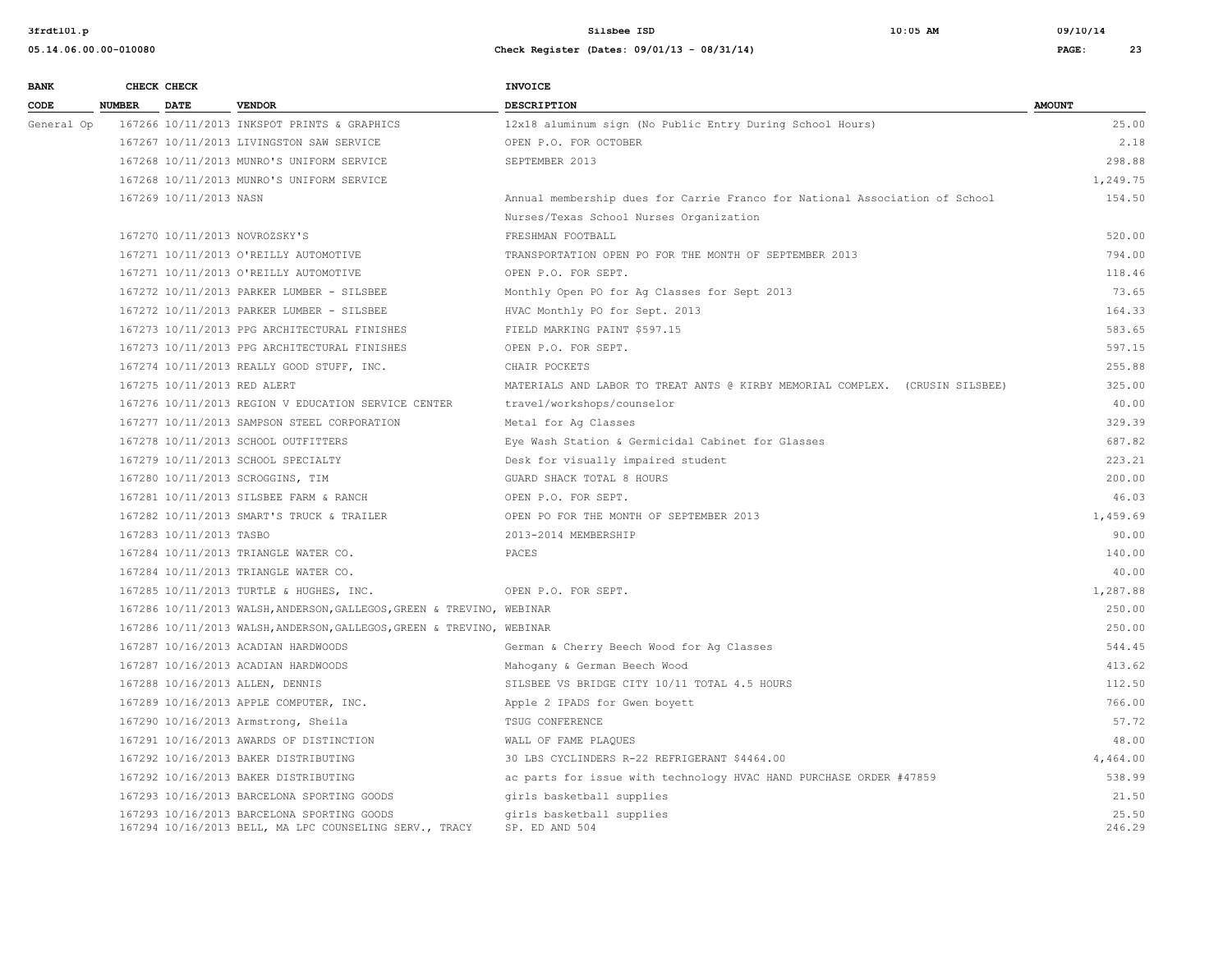| <b>BANK</b> |               | CHECK CHECK                 |                                                                                                      | INVOICE                                                                      |                 |
|-------------|---------------|-----------------------------|------------------------------------------------------------------------------------------------------|------------------------------------------------------------------------------|-----------------|
| CODE        | <b>NUMBER</b> | <b>DATE</b>                 | <b>VENDOR</b>                                                                                        | <b>DESCRIPTION</b>                                                           | <b>AMOUNT</b>   |
| General Op  |               |                             | 167266 10/11/2013 INKSPOT PRINTS & GRAPHICS                                                          | 12x18 aluminum sign (No Public Entry During School Hours)                    | 25.00           |
|             |               |                             | 167267 10/11/2013 LIVINGSTON SAW SERVICE                                                             | OPEN P.O. FOR OCTOBER                                                        | 2.18            |
|             |               |                             | 167268 10/11/2013 MUNRO'S UNIFORM SERVICE                                                            | SEPTEMBER 2013                                                               | 298.88          |
|             |               |                             | 167268 10/11/2013 MUNRO'S UNIFORM SERVICE                                                            |                                                                              | 1,249.75        |
|             |               | 167269 10/11/2013 NASN      |                                                                                                      | Annual membership dues for Carrie Franco for National Association of School  | 154.50          |
|             |               |                             |                                                                                                      | Nurses/Texas School Nurses Organization                                      |                 |
|             |               |                             | 167270 10/11/2013 NOVROZSKY'S                                                                        | FRESHMAN FOOTBALL                                                            | 520.00          |
|             |               |                             | 167271 10/11/2013 O'REILLY AUTOMOTIVE                                                                | TRANSPORTATION OPEN PO FOR THE MONTH OF SEPTEMBER 2013                       | 794.00          |
|             |               |                             | 167271 10/11/2013 O'REILLY AUTOMOTIVE                                                                | OPEN P.O. FOR SEPT.                                                          | 118.46          |
|             |               |                             | 167272 10/11/2013 PARKER LUMBER - SILSBEE                                                            | Monthly Open PO for Ag Classes for Sept 2013                                 | 73.65           |
|             |               |                             | 167272 10/11/2013 PARKER LUMBER - SILSBEE                                                            | HVAC Monthly PO for Sept. 2013                                               | 164.33          |
|             |               |                             | 167273 10/11/2013 PPG ARCHITECTURAL FINISHES                                                         | FIELD MARKING PAINT \$597.15                                                 | 583.65          |
|             |               |                             | 167273 10/11/2013 PPG ARCHITECTURAL FINISHES                                                         | OPEN P.O. FOR SEPT.                                                          | 597.15          |
|             |               |                             | 167274 10/11/2013 REALLY GOOD STUFF, INC.                                                            | CHAIR POCKETS                                                                | 255.88          |
|             |               | 167275 10/11/2013 RED ALERT |                                                                                                      | MATERIALS AND LABOR TO TREAT ANTS @ KIRBY MEMORIAL COMPLEX. (CRUSIN SILSBEE) | 325.00          |
|             |               |                             | 167276 10/11/2013 REGION V EDUCATION SERVICE CENTER                                                  | travel/workshops/counselor                                                   | 40.00           |
|             |               |                             | 167277 10/11/2013 SAMPSON STEEL CORPORATION                                                          | Metal for Aq Classes                                                         | 329.39          |
|             |               |                             | 167278 10/11/2013 SCHOOL OUTFITTERS                                                                  | Eye Wash Station & Germicidal Cabinet for Glasses                            | 687.82          |
|             |               |                             | 167279 10/11/2013 SCHOOL SPECIALTY                                                                   | Desk for visually impaired student                                           | 223.21          |
|             |               |                             | 167280 10/11/2013 SCROGGINS, TIM                                                                     | GUARD SHACK TOTAL 8 HOURS                                                    | 200.00          |
|             |               |                             | 167281 10/11/2013 SILSBEE FARM & RANCH                                                               | OPEN P.O. FOR SEPT.                                                          | 46.03           |
|             |               |                             | 167282 10/11/2013 SMART'S TRUCK & TRAILER                                                            | OPEN PO FOR THE MONTH OF SEPTEMBER 2013                                      | 1,459.69        |
|             |               | 167283 10/11/2013 TASBO     |                                                                                                      | 2013-2014 MEMBERSHIP                                                         | 90.00           |
|             |               |                             | 167284 10/11/2013 TRIANGLE WATER CO.                                                                 | PACES                                                                        | 140.00          |
|             |               |                             | 167284 10/11/2013 TRIANGLE WATER CO.                                                                 |                                                                              | 40.00           |
|             |               |                             | 167285 10/11/2013 TURTLE & HUGHES, INC.                                                              | OPEN P.O. FOR SEPT.                                                          | 1,287.88        |
|             |               |                             | 167286 10/11/2013 WALSH, ANDERSON, GALLEGOS, GREEN & TREVINO, WEBINAR                                |                                                                              | 250.00          |
|             |               |                             | 167286 10/11/2013 WALSH, ANDERSON, GALLEGOS, GREEN & TREVINO, WEBINAR                                |                                                                              | 250.00          |
|             |               |                             | 167287 10/16/2013 ACADIAN HARDWOODS                                                                  | German & Cherry Beech Wood for Aq Classes                                    | 544.45          |
|             |               |                             | 167287 10/16/2013 ACADIAN HARDWOODS                                                                  | Mahogany & German Beech Wood                                                 | 413.62          |
|             |               |                             | 167288 10/16/2013 ALLEN, DENNIS                                                                      | SILSBEE VS BRIDGE CITY 10/11 TOTAL 4.5 HOURS                                 | 112.50          |
|             |               |                             | 167289 10/16/2013 APPLE COMPUTER, INC.                                                               | Apple 2 IPADS for Gwen boyett                                                | 766.00          |
|             |               |                             | 167290 10/16/2013 Armstrong, Sheila                                                                  | TSUG CONFERENCE                                                              | 57.72           |
|             |               |                             | 167291 10/16/2013 AWARDS OF DISTINCTION                                                              | WALL OF FAME PLAQUES                                                         | 48.00           |
|             |               |                             | 167292 10/16/2013 BAKER DISTRIBUTING                                                                 | 30 LBS CYCLINDERS R-22 REFRIGERANT \$4464.00                                 | 4,464.00        |
|             |               |                             | 167292 10/16/2013 BAKER DISTRIBUTING                                                                 | ac parts for issue with technology HVAC HAND PURCHASE ORDER #47859           | 538.99          |
|             |               |                             | 167293 10/16/2013 BARCELONA SPORTING GOODS                                                           | girls basketball supplies                                                    | 21.50           |
|             |               |                             | 167293 10/16/2013 BARCELONA SPORTING GOODS<br>167294 10/16/2013 BELL, MA LPC COUNSELING SERV., TRACY | girls basketball supplies<br>SP. ED AND 504                                  | 25.50<br>246.29 |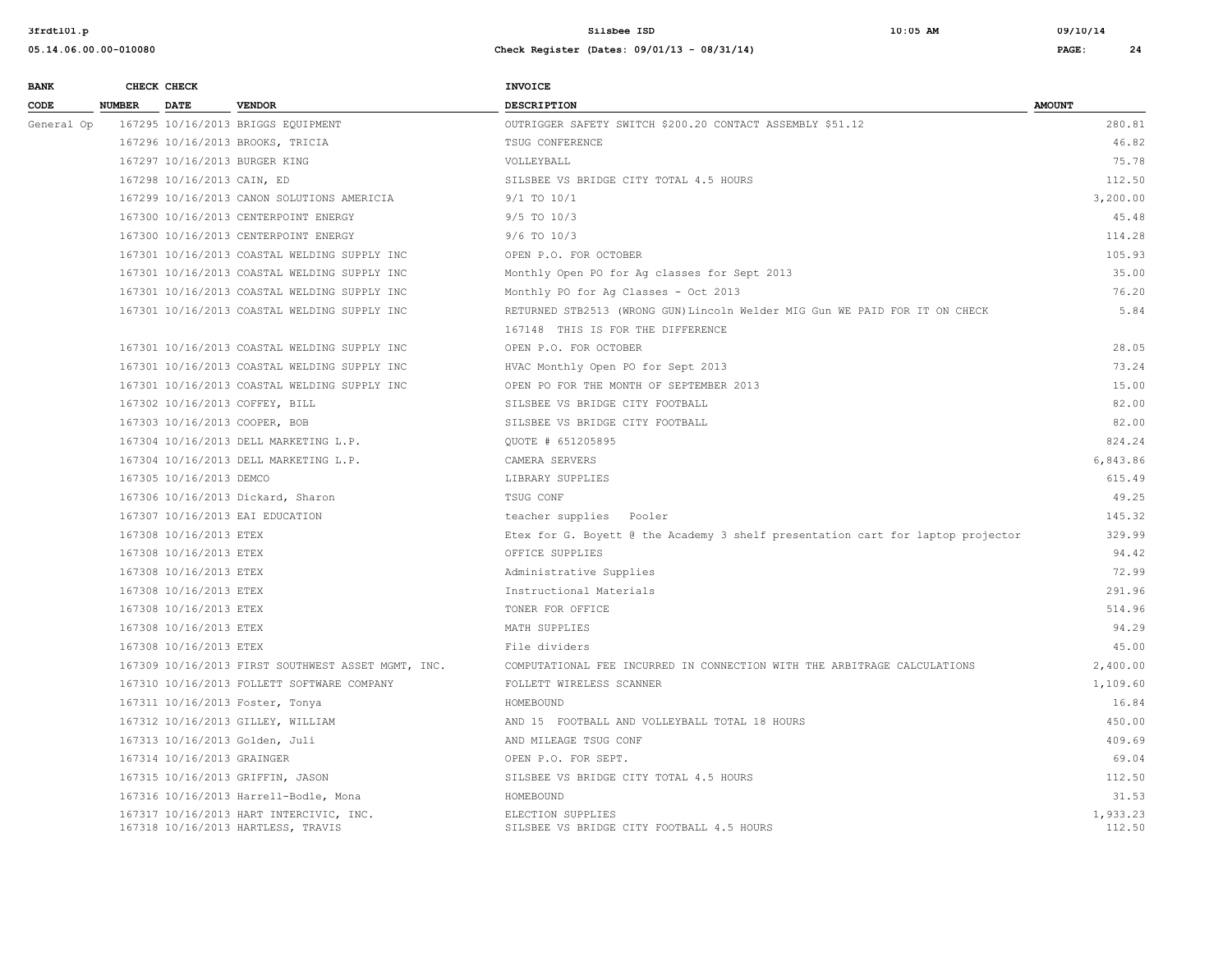| <b>BANK</b> |               | CHECK CHECK                |                                                                               | INVOICE                                                                         |                    |
|-------------|---------------|----------------------------|-------------------------------------------------------------------------------|---------------------------------------------------------------------------------|--------------------|
| CODE        | <b>NUMBER</b> | <b>DATE</b>                | <b>VENDOR</b>                                                                 | <b>DESCRIPTION</b>                                                              | <b>AMOUNT</b>      |
| General Op  |               |                            | 167295 10/16/2013 BRIGGS EQUIPMENT                                            | OUTRIGGER SAFETY SWITCH \$200.20 CONTACT ASSEMBLY \$51.12                       | 280.81             |
|             |               |                            | 167296 10/16/2013 BROOKS, TRICIA                                              | TSUG CONFERENCE                                                                 | 46.82              |
|             |               |                            | 167297 10/16/2013 BURGER KING                                                 | VOLLEYBALL                                                                      | 75.78              |
|             |               | 167298 10/16/2013 CAIN, ED |                                                                               | SILSBEE VS BRIDGE CITY TOTAL 4.5 HOURS                                          | 112.50             |
|             |               |                            | 167299 10/16/2013 CANON SOLUTIONS AMERICIA                                    | $9/1$ TO $10/1$                                                                 | 3,200.00           |
|             |               |                            | 167300 10/16/2013 CENTERPOINT ENERGY                                          | 9/5 TO 10/3                                                                     | 45.48              |
|             |               |                            | 167300 10/16/2013 CENTERPOINT ENERGY                                          | $9/6$ TO $10/3$                                                                 | 114.28             |
|             |               |                            | 167301 10/16/2013 COASTAL WELDING SUPPLY INC                                  | OPEN P.O. FOR OCTOBER                                                           | 105.93             |
|             |               |                            | 167301 10/16/2013 COASTAL WELDING SUPPLY INC                                  | Monthly Open PO for Ag classes for Sept 2013                                    | 35.00              |
|             |               |                            | 167301 10/16/2013 COASTAL WELDING SUPPLY INC                                  | Monthly PO for Ag Classes - Oct 2013                                            | 76.20              |
|             |               |                            | 167301 10/16/2013 COASTAL WELDING SUPPLY INC                                  | RETURNED STB2513 (WRONG GUN) Lincoln Welder MIG Gun WE PAID FOR IT ON CHECK     | 5.84               |
|             |               |                            |                                                                               | 167148 THIS IS FOR THE DIFFERENCE                                               |                    |
|             |               |                            | 167301 10/16/2013 COASTAL WELDING SUPPLY INC                                  | OPEN P.O. FOR OCTOBER                                                           | 28.05              |
|             |               |                            | 167301 10/16/2013 COASTAL WELDING SUPPLY INC                                  | HVAC Monthly Open PO for Sept 2013                                              | 73.24              |
|             |               |                            | 167301 10/16/2013 COASTAL WELDING SUPPLY INC                                  | OPEN PO FOR THE MONTH OF SEPTEMBER 2013                                         | 15.00              |
|             |               |                            | 167302 10/16/2013 COFFEY, BILL                                                | SILSBEE VS BRIDGE CITY FOOTBALL                                                 | 82.00              |
|             |               |                            | 167303 10/16/2013 COOPER, BOB                                                 | SILSBEE VS BRIDGE CITY FOOTBALL                                                 | 82.00              |
|             |               |                            | 167304 10/16/2013 DELL MARKETING L.P.                                         | OUOTE # 651205895                                                               | 824.24             |
|             |               |                            | 167304 10/16/2013 DELL MARKETING L.P.                                         | CAMERA SERVERS                                                                  | 6,843.86           |
|             |               | 167305 10/16/2013 DEMCO    |                                                                               | LIBRARY SUPPLIES                                                                | 615.49             |
|             |               |                            | 167306 10/16/2013 Dickard, Sharon                                             | TSUG CONF                                                                       | 49.25              |
|             |               |                            | 167307 10/16/2013 EAI EDUCATION                                               | teacher supplies Pooler                                                         | 145.32             |
|             |               | 167308 10/16/2013 ETEX     |                                                                               | Etex for G. Boyett @ the Academy 3 shelf presentation cart for laptop projector | 329.99             |
|             |               | 167308 10/16/2013 ETEX     |                                                                               | OFFICE SUPPLIES                                                                 | 94.42              |
|             |               | 167308 10/16/2013 ETEX     |                                                                               | Administrative Supplies                                                         | 72.99              |
|             |               | 167308 10/16/2013 ETEX     |                                                                               | Instructional Materials                                                         | 291.96             |
|             |               | 167308 10/16/2013 ETEX     |                                                                               | TONER FOR OFFICE                                                                | 514.96             |
|             |               | 167308 10/16/2013 ETEX     |                                                                               | MATH SUPPLIES                                                                   | 94.29              |
|             |               | 167308 10/16/2013 ETEX     |                                                                               | File dividers                                                                   | 45.00              |
|             |               |                            | 167309 10/16/2013 FIRST SOUTHWEST ASSET MGMT, INC.                            | COMPUTATIONAL FEE INCURRED IN CONNECTION WITH THE ARBITRAGE CALCULATIONS        | 2,400.00           |
|             |               |                            | 167310 10/16/2013 FOLLETT SOFTWARE COMPANY                                    | FOLLETT WIRELESS SCANNER                                                        | 1,109.60           |
|             |               |                            | 167311 10/16/2013 Foster, Tonya                                               | HOMEBOUND                                                                       | 16.84              |
|             |               |                            | 167312 10/16/2013 GILLEY, WILLIAM                                             | AND 15 FOOTBALL AND VOLLEYBALL TOTAL 18 HOURS                                   | 450.00             |
|             |               |                            | 167313 10/16/2013 Golden, Juli                                                | AND MILEAGE TSUG CONF                                                           | 409.69             |
|             |               | 167314 10/16/2013 GRAINGER |                                                                               | OPEN P.O. FOR SEPT.                                                             | 69.04              |
|             |               |                            | 167315 10/16/2013 GRIFFIN, JASON                                              | SILSBEE VS BRIDGE CITY TOTAL 4.5 HOURS                                          | 112.50             |
|             |               |                            | 167316 10/16/2013 Harrell-Bodle, Mona                                         | HOMEBOUND                                                                       | 31.53              |
|             |               |                            | 167317 10/16/2013 HART INTERCIVIC, INC.<br>167318 10/16/2013 HARTLESS, TRAVIS | ELECTION SUPPLIES<br>SILSBEE VS BRIDGE CITY FOOTBALL 4.5 HOURS                  | 1,933.23<br>112.50 |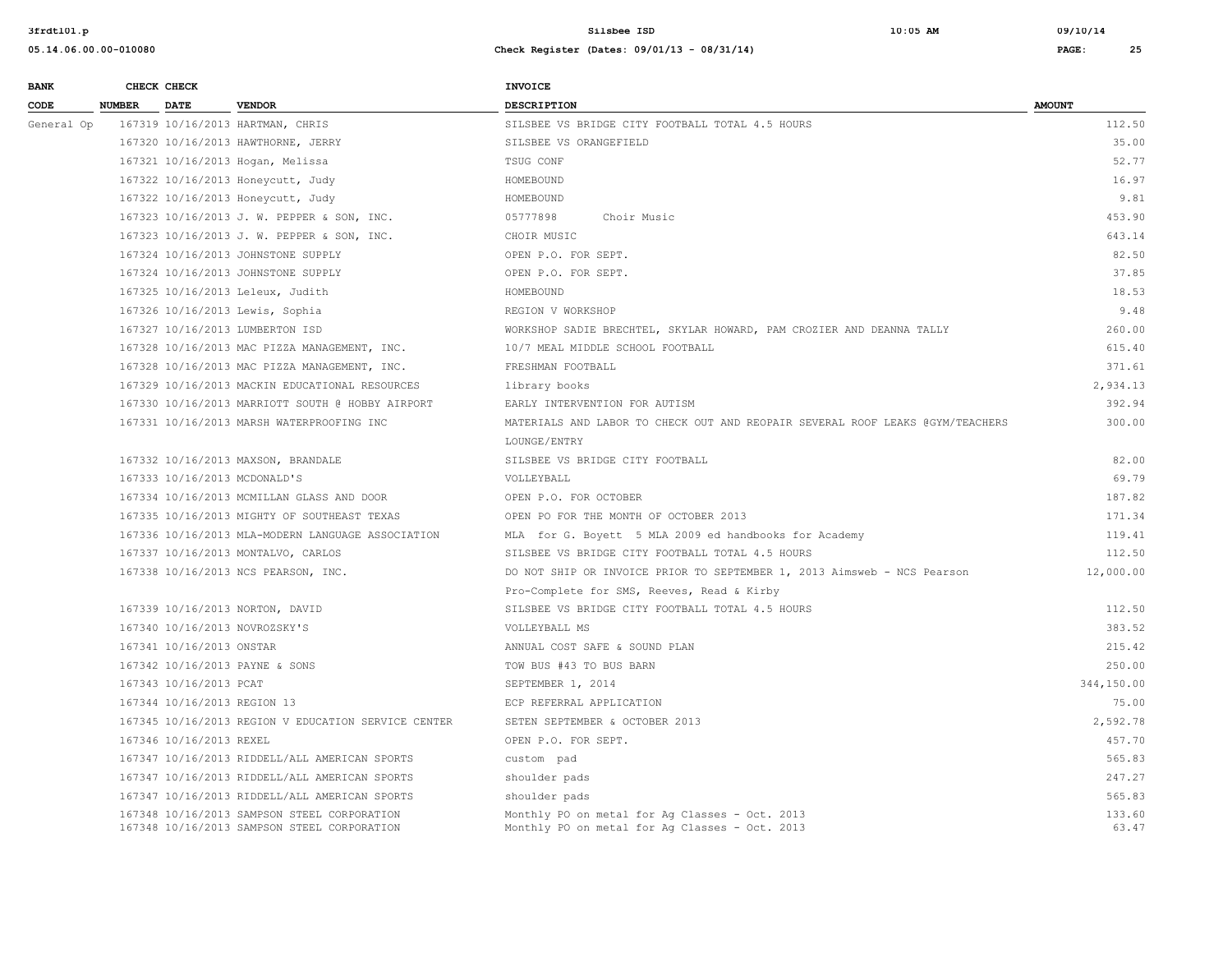| <b>BANK</b> | CHECK CHECK   |                          |                                                                                            | <b>INVOICE</b>                                                                                   |                 |
|-------------|---------------|--------------------------|--------------------------------------------------------------------------------------------|--------------------------------------------------------------------------------------------------|-----------------|
| <b>CODE</b> | <b>NUMBER</b> | <b>DATE</b>              | <b>VENDOR</b>                                                                              | <b>DESCRIPTION</b>                                                                               | <b>AMOUNT</b>   |
| General Op  |               |                          | 167319 10/16/2013 HARTMAN, CHRIS                                                           | SILSBEE VS BRIDGE CITY FOOTBALL TOTAL 4.5 HOURS                                                  | 112.50          |
|             |               |                          | 167320 10/16/2013 HAWTHORNE, JERRY                                                         | SILSBEE VS ORANGEFIELD                                                                           | 35.00           |
|             |               |                          | 167321 10/16/2013 Hogan, Melissa                                                           | TSUG CONF                                                                                        | 52.77           |
|             |               |                          | 167322 10/16/2013 Honeycutt, Judy                                                          | HOMEBOUND                                                                                        | 16.97           |
|             |               |                          | 167322 10/16/2013 Honeycutt, Judy                                                          | HOMEBOUND                                                                                        | 9.81            |
|             |               |                          | 167323 10/16/2013 J. W. PEPPER & SON, INC.                                                 | 05777898<br>Choir Music                                                                          | 453.90          |
|             |               |                          | 167323 10/16/2013 J. W. PEPPER & SON, INC.                                                 | CHOIR MUSIC                                                                                      | 643.14          |
|             |               |                          | 167324 10/16/2013 JOHNSTONE SUPPLY                                                         | OPEN P.O. FOR SEPT.                                                                              | 82.50           |
|             |               |                          | 167324 10/16/2013 JOHNSTONE SUPPLY                                                         | OPEN P.O. FOR SEPT.                                                                              | 37.85           |
|             |               |                          | 167325 10/16/2013 Leleux, Judith                                                           | HOMEBOUND                                                                                        | 18.53           |
|             |               |                          | 167326 10/16/2013 Lewis, Sophia                                                            | REGION V WORKSHOP                                                                                | 9.48            |
|             |               |                          | 167327 10/16/2013 LUMBERTON ISD                                                            | WORKSHOP SADIE BRECHTEL, SKYLAR HOWARD, PAM CROZIER AND DEANNA TALLY                             | 260.00          |
|             |               |                          | 167328 10/16/2013 MAC PIZZA MANAGEMENT, INC.                                               | 10/7 MEAL MIDDLE SCHOOL FOOTBALL                                                                 | 615.40          |
|             |               |                          | 167328 10/16/2013 MAC PIZZA MANAGEMENT, INC.                                               | FRESHMAN FOOTBALL                                                                                | 371.61          |
|             |               |                          | 167329 10/16/2013 MACKIN EDUCATIONAL RESOURCES                                             | library books                                                                                    | 2,934.13        |
|             |               |                          | 167330 10/16/2013 MARRIOTT SOUTH @ HOBBY AIRPORT                                           | EARLY INTERVENTION FOR AUTISM                                                                    | 392.94          |
|             |               |                          | 167331 10/16/2013 MARSH WATERPROOFING INC                                                  | MATERIALS AND LABOR TO CHECK OUT AND REOPAIR SEVERAL ROOF LEAKS @GYM/TEACHERS                    | 300.00          |
|             |               |                          |                                                                                            | LOUNGE/ENTRY                                                                                     |                 |
|             |               |                          | 167332 10/16/2013 MAXSON, BRANDALE                                                         | SILSBEE VS BRIDGE CITY FOOTBALL                                                                  | 82.00           |
|             |               |                          | 167333 10/16/2013 MCDONALD'S                                                               | VOLLEYBALL                                                                                       | 69.79           |
|             |               |                          | 167334 10/16/2013 MCMILLAN GLASS AND DOOR                                                  | OPEN P.O. FOR OCTOBER                                                                            | 187.82          |
|             |               |                          | 167335 10/16/2013 MIGHTY OF SOUTHEAST TEXAS                                                | OPEN PO FOR THE MONTH OF OCTOBER 2013                                                            | 171.34          |
|             |               |                          | 167336 10/16/2013 MLA-MODERN LANGUAGE ASSOCIATION                                          | MLA for G. Boyett 5 MLA 2009 ed handbooks for Academy                                            | 119.41          |
|             |               |                          | 167337 10/16/2013 MONTALVO, CARLOS                                                         | SILSBEE VS BRIDGE CITY FOOTBALL TOTAL 4.5 HOURS                                                  | 112.50          |
|             |               |                          | 167338 10/16/2013 NCS PEARSON, INC.                                                        | DO NOT SHIP OR INVOICE PRIOR TO SEPTEMBER 1, 2013 Aimsweb - NCS Pearson                          | 12,000.00       |
|             |               |                          |                                                                                            | Pro-Complete for SMS, Reeves, Read & Kirby                                                       |                 |
|             |               |                          | 167339 10/16/2013 NORTON, DAVID                                                            | SILSBEE VS BRIDGE CITY FOOTBALL TOTAL 4.5 HOURS                                                  | 112.50          |
|             |               |                          | 167340 10/16/2013 NOVROZSKY'S                                                              | VOLLEYBALL MS                                                                                    | 383.52          |
|             |               | 167341 10/16/2013 ONSTAR |                                                                                            | ANNUAL COST SAFE & SOUND PLAN                                                                    | 215.42          |
|             |               |                          | 167342 10/16/2013 PAYNE & SONS                                                             | TOW BUS #43 TO BUS BARN                                                                          | 250.00          |
|             |               | 167343 10/16/2013 PCAT   |                                                                                            | SEPTEMBER 1, 2014                                                                                | 344,150.00      |
|             |               |                          | 167344 10/16/2013 REGION 13                                                                | ECP REFERRAL APPLICATION                                                                         | 75.00           |
|             |               |                          | 167345 10/16/2013 REGION V EDUCATION SERVICE CENTER                                        | SETEN SEPTEMBER & OCTOBER 2013                                                                   | 2,592.78        |
|             |               | 167346 10/16/2013 REXEL  |                                                                                            | OPEN P.O. FOR SEPT.                                                                              | 457.70          |
|             |               |                          | 167347 10/16/2013 RIDDELL/ALL AMERICAN SPORTS                                              | custom pad                                                                                       | 565.83          |
|             |               |                          | 167347 10/16/2013 RIDDELL/ALL AMERICAN SPORTS                                              | shoulder pads                                                                                    | 247.27          |
|             |               |                          | 167347 10/16/2013 RIDDELL/ALL AMERICAN SPORTS                                              | shoulder pads                                                                                    | 565.83          |
|             |               |                          | 167348 10/16/2013 SAMPSON STEEL CORPORATION<br>167348 10/16/2013 SAMPSON STEEL CORPORATION | Monthly PO on metal for Ag Classes - Oct. 2013<br>Monthly PO on metal for Ag Classes - Oct. 2013 | 133.60<br>63.47 |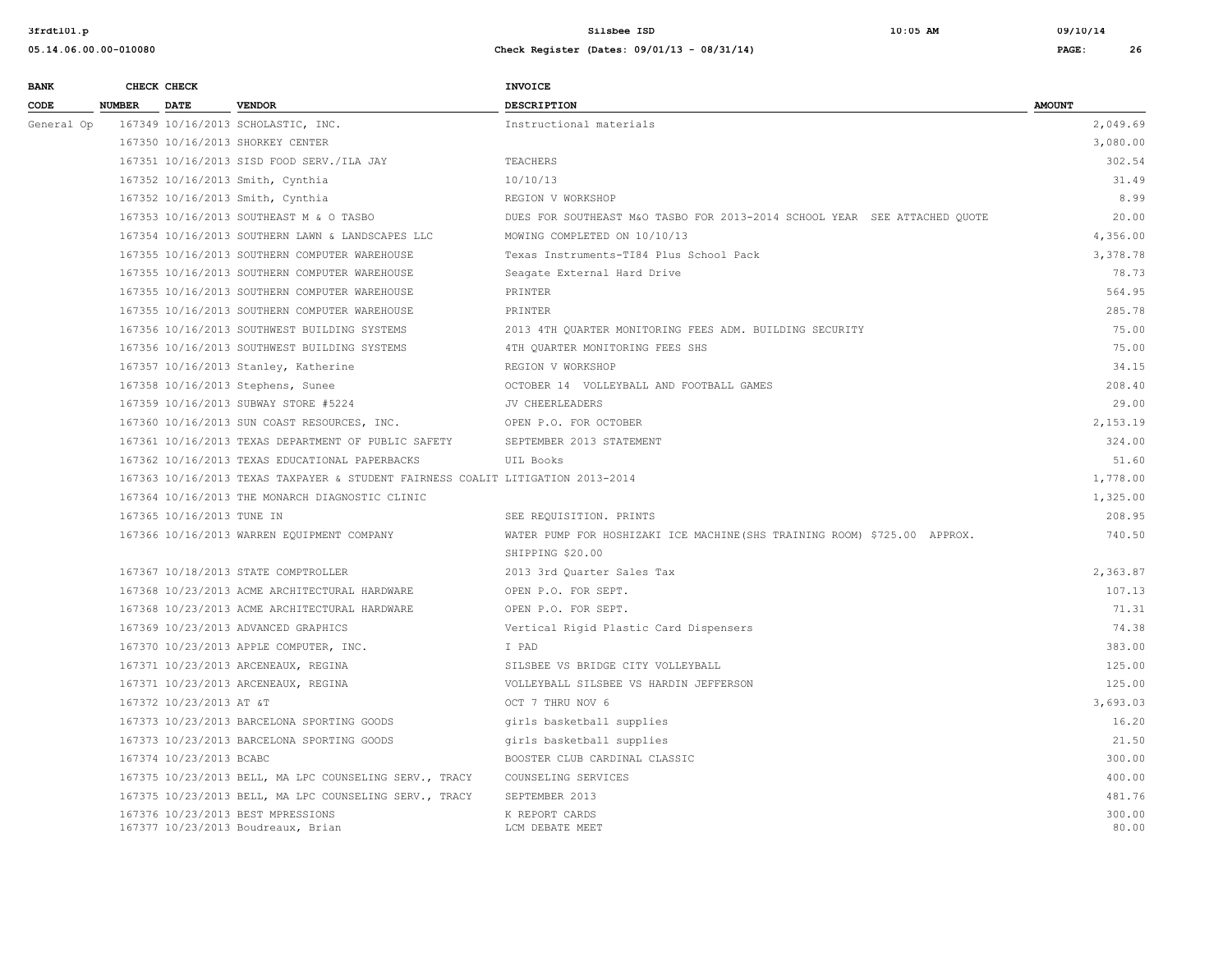| <b>BANK</b> |               | CHECK CHECK               |                                                                                 | <b>INVOICE</b>                                                            |                 |
|-------------|---------------|---------------------------|---------------------------------------------------------------------------------|---------------------------------------------------------------------------|-----------------|
| CODE        | <b>NUMBER</b> | <b>DATE</b>               | <b>VENDOR</b>                                                                   | <b>DESCRIPTION</b>                                                        | <b>AMOUNT</b>   |
| General Op  |               |                           | 167349 10/16/2013 SCHOLASTIC, INC.                                              | Instructional materials                                                   | 2,049.69        |
|             |               |                           | 167350 10/16/2013 SHORKEY CENTER                                                |                                                                           | 3,080.00        |
|             |               |                           | 167351 10/16/2013 SISD FOOD SERV./ILA JAY                                       | <b>TEACHERS</b>                                                           | 302.54          |
|             |               |                           | 167352 10/16/2013 Smith, Cynthia                                                | 10/10/13                                                                  | 31.49           |
|             |               |                           | 167352 10/16/2013 Smith, Cynthia                                                | REGION V WORKSHOP                                                         | 8.99            |
|             |               |                           | 167353 10/16/2013 SOUTHEAST M & O TASBO                                         | DUES FOR SOUTHEAST M&O TASBO FOR 2013-2014 SCHOOL YEAR SEE ATTACHED QUOTE | 20.00           |
|             |               |                           | 167354 10/16/2013 SOUTHERN LAWN & LANDSCAPES LLC                                | MOWING COMPLETED ON 10/10/13                                              | 4,356.00        |
|             |               |                           | 167355 10/16/2013 SOUTHERN COMPUTER WAREHOUSE                                   | Texas Instruments-TI84 Plus School Pack                                   | 3,378.78        |
|             |               |                           | 167355 10/16/2013 SOUTHERN COMPUTER WAREHOUSE                                   | Seagate External Hard Drive                                               | 78.73           |
|             |               |                           | 167355 10/16/2013 SOUTHERN COMPUTER WAREHOUSE                                   | PRINTER                                                                   | 564.95          |
|             |               |                           | 167355 10/16/2013 SOUTHERN COMPUTER WAREHOUSE                                   | PRINTER                                                                   | 285.78          |
|             |               |                           | 167356 10/16/2013 SOUTHWEST BUILDING SYSTEMS                                    | 2013 4TH OUARTER MONITORING FEES ADM. BUILDING SECURITY                   | 75.00           |
|             |               |                           | 167356 10/16/2013 SOUTHWEST BUILDING SYSTEMS                                    | 4TH QUARTER MONITORING FEES SHS                                           | 75.00           |
|             |               |                           | 167357 10/16/2013 Stanley, Katherine                                            | REGION V WORKSHOP                                                         | 34.15           |
|             |               |                           | 167358 10/16/2013 Stephens, Sunee                                               | OCTOBER 14 VOLLEYBALL AND FOOTBALL GAMES                                  | 208.40          |
|             |               |                           | 167359 10/16/2013 SUBWAY STORE #5224                                            | JV CHEERLEADERS                                                           | 29.00           |
|             |               |                           | 167360 10/16/2013 SUN COAST RESOURCES, INC.                                     | OPEN P.O. FOR OCTOBER                                                     | 2,153.19        |
|             |               |                           | 167361 10/16/2013 TEXAS DEPARTMENT OF PUBLIC SAFETY                             | SEPTEMBER 2013 STATEMENT                                                  | 324.00          |
|             |               |                           | 167362 10/16/2013 TEXAS EDUCATIONAL PAPERBACKS                                  | UIL Books                                                                 | 51.60           |
|             |               |                           | 167363 10/16/2013 TEXAS TAXPAYER & STUDENT FAIRNESS COALIT LITIGATION 2013-2014 |                                                                           | 1,778.00        |
|             |               |                           | 167364 10/16/2013 THE MONARCH DIAGNOSTIC CLINIC                                 |                                                                           | 1,325.00        |
|             |               | 167365 10/16/2013 TUNE IN |                                                                                 | SEE REQUISITION. PRINTS                                                   | 208.95          |
|             |               |                           | 167366 10/16/2013 WARREN EQUIPMENT COMPANY                                      | WATER PUMP FOR HOSHIZAKI ICE MACHINE (SHS TRAINING ROOM) \$725.00 APPROX. | 740.50          |
|             |               |                           |                                                                                 | SHIPPING \$20.00                                                          |                 |
|             |               |                           | 167367 10/18/2013 STATE COMPTROLLER                                             | 2013 3rd Quarter Sales Tax                                                | 2,363.87        |
|             |               |                           | 167368 10/23/2013 ACME ARCHITECTURAL HARDWARE                                   | OPEN P.O. FOR SEPT.                                                       | 107.13          |
|             |               |                           | 167368 10/23/2013 ACME ARCHITECTURAL HARDWARE                                   | OPEN P.O. FOR SEPT.                                                       | 71.31           |
|             |               |                           | 167369 10/23/2013 ADVANCED GRAPHICS                                             | Vertical Rigid Plastic Card Dispensers                                    | 74.38           |
|             |               |                           | 167370 10/23/2013 APPLE COMPUTER, INC.                                          | I PAD                                                                     | 383.00          |
|             |               |                           | 167371 10/23/2013 ARCENEAUX, REGINA                                             | SILSBEE VS BRIDGE CITY VOLLEYBALL                                         | 125.00          |
|             |               |                           | 167371 10/23/2013 ARCENEAUX, REGINA                                             | VOLLEYBALL SILSBEE VS HARDIN JEFFERSON                                    | 125.00          |
|             |               | 167372 10/23/2013 AT &T   |                                                                                 | OCT 7 THRU NOV 6                                                          | 3,693.03        |
|             |               |                           | 167373 10/23/2013 BARCELONA SPORTING GOODS                                      | girls basketball supplies                                                 | 16.20           |
|             |               |                           | 167373 10/23/2013 BARCELONA SPORTING GOODS                                      | girls basketball supplies                                                 | 21.50           |
|             |               | 167374 10/23/2013 BCABC   |                                                                                 | BOOSTER CLUB CARDINAL CLASSIC                                             | 300.00          |
|             |               |                           | 167375 10/23/2013 BELL, MA LPC COUNSELING SERV., TRACY                          | COUNSELING SERVICES                                                       | 400.00          |
|             |               |                           | 167375 10/23/2013 BELL, MA LPC COUNSELING SERV., TRACY                          | SEPTEMBER 2013                                                            | 481.76          |
|             |               |                           | 167376 10/23/2013 BEST MPRESSIONS<br>167377 10/23/2013 Boudreaux, Brian         | K REPORT CARDS<br>LCM DEBATE MEET                                         | 300.00<br>80.00 |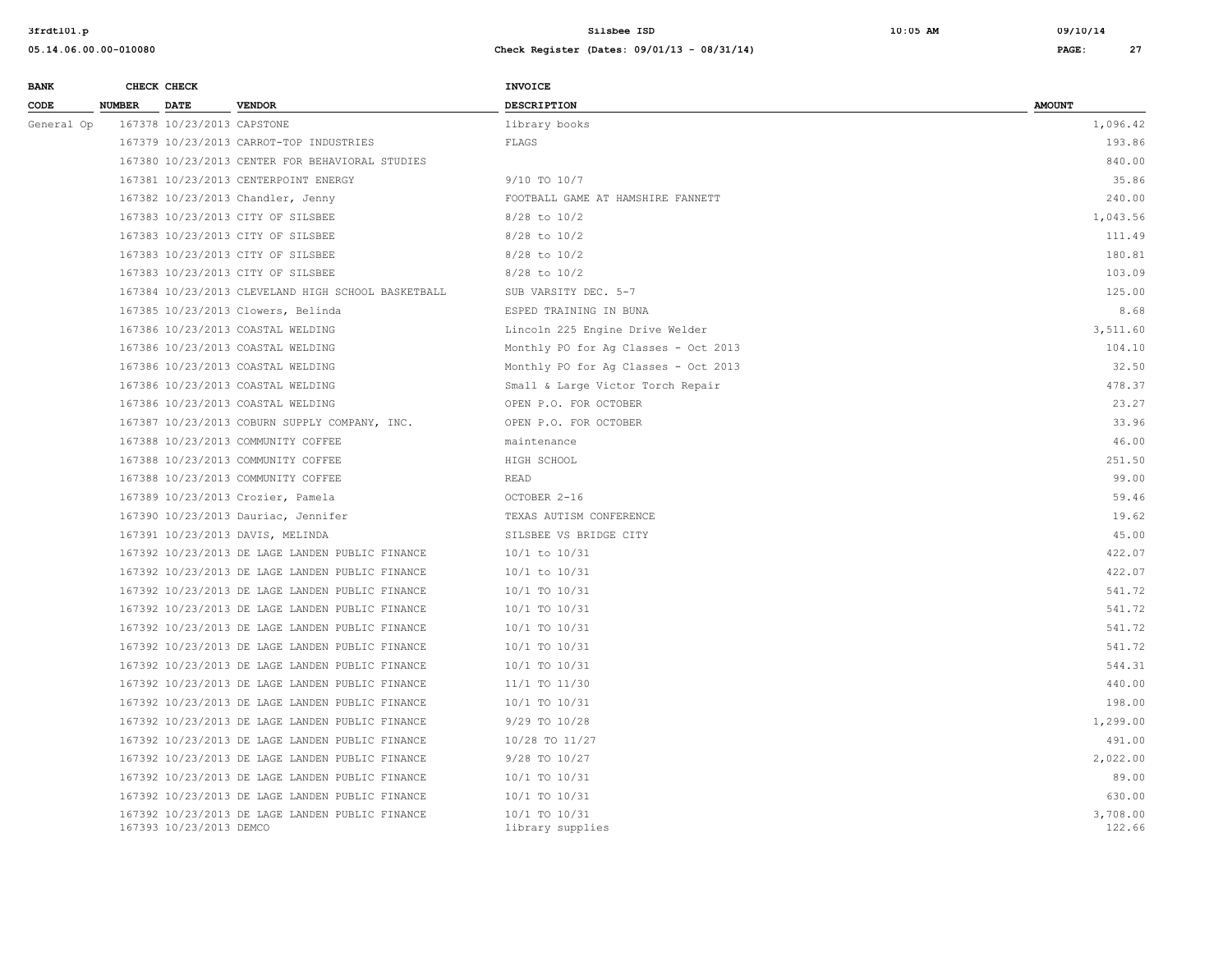| <b>BANK</b> |               | CHECK CHECK                |                                                    | <b>INVOICE</b>                       |                    |  |
|-------------|---------------|----------------------------|----------------------------------------------------|--------------------------------------|--------------------|--|
| CODE        | <b>NUMBER</b> | <b>DATE</b>                | <b>VENDOR</b>                                      | DESCRIPTION                          | <b>AMOUNT</b>      |  |
| General Op  |               | 167378 10/23/2013 CAPSTONE |                                                    | library books                        | 1,096.42           |  |
|             |               |                            | 167379 10/23/2013 CARROT-TOP INDUSTRIES            | FLAGS                                | 193.86             |  |
|             |               |                            | 167380 10/23/2013 CENTER FOR BEHAVIORAL STUDIES    |                                      | 840.00             |  |
|             |               |                            | 167381 10/23/2013 CENTERPOINT ENERGY               | 9/10 TO 10/7                         | 35.86              |  |
|             |               |                            | 167382 10/23/2013 Chandler, Jenny                  | FOOTBALL GAME AT HAMSHIRE FANNETT    | 240.00             |  |
|             |               |                            | 167383 10/23/2013 CITY OF SILSBEE                  | $8/28$ to $10/2$                     | 1,043.56           |  |
|             |               |                            | 167383 10/23/2013 CITY OF SILSBEE                  | $8/28$ to $10/2$                     | 111.49             |  |
|             |               |                            | 167383 10/23/2013 CITY OF SILSBEE                  | $8/28$ to $10/2$                     | 180.81             |  |
|             |               |                            | 167383 10/23/2013 CITY OF SILSBEE                  | $8/28$ to $10/2$                     | 103.09             |  |
|             |               |                            | 167384 10/23/2013 CLEVELAND HIGH SCHOOL BASKETBALL | SUB VARSITY DEC. 5-7                 | 125.00             |  |
|             |               |                            | 167385 10/23/2013 Clowers, Belinda                 | ESPED TRAINING IN BUNA               | 8.68               |  |
|             |               |                            | 167386 10/23/2013 COASTAL WELDING                  | Lincoln 225 Engine Drive Welder      | 3,511.60           |  |
|             |               |                            | 167386 10/23/2013 COASTAL WELDING                  | Monthly PO for Ag Classes - Oct 2013 | 104.10             |  |
|             |               |                            | 167386 10/23/2013 COASTAL WELDING                  | Monthly PO for Ag Classes - Oct 2013 | 32.50              |  |
|             |               |                            | 167386 10/23/2013 COASTAL WELDING                  | Small & Large Victor Torch Repair    | 478.37             |  |
|             |               |                            | 167386 10/23/2013 COASTAL WELDING                  | OPEN P.O. FOR OCTOBER                | 23.27              |  |
|             |               |                            | 167387 10/23/2013 COBURN SUPPLY COMPANY, INC.      | OPEN P.O. FOR OCTOBER                | 33.96              |  |
|             |               |                            | 167388 10/23/2013 COMMUNITY COFFEE                 | maintenance                          | 46.00              |  |
|             |               |                            | 167388 10/23/2013 COMMUNITY COFFEE                 | HIGH SCHOOL                          | 251.50             |  |
|             |               |                            | 167388 10/23/2013 COMMUNITY COFFEE                 | READ                                 | 99.00              |  |
|             |               |                            | 167389 10/23/2013 Crozier, Pamela                  | OCTOBER 2-16                         | 59.46              |  |
|             |               |                            | 167390 10/23/2013 Dauriac, Jennifer                | TEXAS AUTISM CONFERENCE              | 19.62              |  |
|             |               |                            | 167391 10/23/2013 DAVIS, MELINDA                   | SILSBEE VS BRIDGE CITY               | 45.00              |  |
|             |               |                            | 167392 10/23/2013 DE LAGE LANDEN PUBLIC FINANCE    | $10/1$ to $10/31$                    | 422.07             |  |
|             |               |                            | 167392 10/23/2013 DE LAGE LANDEN PUBLIC FINANCE    | $10/1$ to $10/31$                    | 422.07             |  |
|             |               |                            | 167392 10/23/2013 DE LAGE LANDEN PUBLIC FINANCE    | 10/1 TO 10/31                        | 541.72             |  |
|             |               |                            | 167392 10/23/2013 DE LAGE LANDEN PUBLIC FINANCE    | 10/1 TO 10/31                        | 541.72             |  |
|             |               |                            | 167392 10/23/2013 DE LAGE LANDEN PUBLIC FINANCE    | 10/1 TO 10/31                        | 541.72             |  |
|             |               |                            | 167392 10/23/2013 DE LAGE LANDEN PUBLIC FINANCE    | 10/1 TO 10/31                        | 541.72             |  |
|             |               |                            | 167392 10/23/2013 DE LAGE LANDEN PUBLIC FINANCE    | 10/1 TO 10/31                        | 544.31             |  |
|             |               |                            | 167392 10/23/2013 DE LAGE LANDEN PUBLIC FINANCE    | 11/1 TO 11/30                        | 440.00             |  |
|             |               |                            | 167392 10/23/2013 DE LAGE LANDEN PUBLIC FINANCE    | 10/1 TO 10/31                        | 198.00             |  |
|             |               |                            | 167392 10/23/2013 DE LAGE LANDEN PUBLIC FINANCE    | 9/29 TO 10/28                        | 1,299.00           |  |
|             |               |                            | 167392 10/23/2013 DE LAGE LANDEN PUBLIC FINANCE    | 10/28 TO 11/27                       | 491.00             |  |
|             |               |                            | 167392 10/23/2013 DE LAGE LANDEN PUBLIC FINANCE    | 9/28 TO 10/27                        | 2,022.00           |  |
|             |               |                            | 167392 10/23/2013 DE LAGE LANDEN PUBLIC FINANCE    | 10/1 TO 10/31                        | 89.00              |  |
|             |               |                            | 167392 10/23/2013 DE LAGE LANDEN PUBLIC FINANCE    | 10/1 TO 10/31                        | 630.00             |  |
|             |               | 167393 10/23/2013 DEMCO    | 167392 10/23/2013 DE LAGE LANDEN PUBLIC FINANCE    | 10/1 TO 10/31<br>library supplies    | 3,708.00<br>122.66 |  |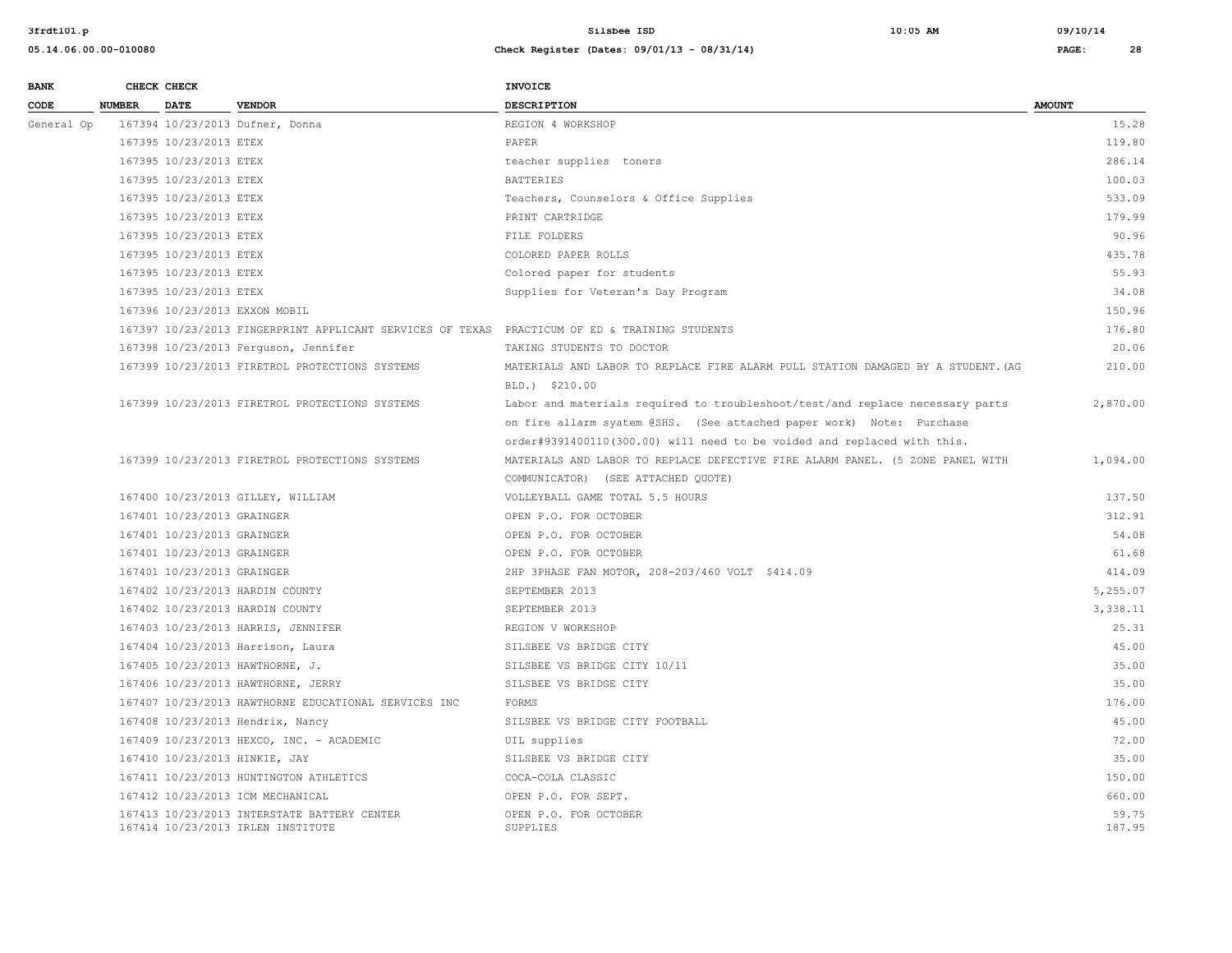| <b>BANK</b> |               | CHECK CHECK                |                                                                                  | <b>INVOICE</b>                                                                   |                 |
|-------------|---------------|----------------------------|----------------------------------------------------------------------------------|----------------------------------------------------------------------------------|-----------------|
| CODE        | <b>NUMBER</b> | <b>DATE</b>                | <b>VENDOR</b>                                                                    | <b>DESCRIPTION</b>                                                               | <b>AMOUNT</b>   |
| General Op  |               |                            | 167394 10/23/2013 Dufner, Donna                                                  | REGION 4 WORKSHOP                                                                | 15.28           |
|             |               | 167395 10/23/2013 ETEX     |                                                                                  | PAPER                                                                            | 119.80          |
|             |               | 167395 10/23/2013 ETEX     |                                                                                  | teacher supplies toners                                                          | 286.14          |
|             |               | 167395 10/23/2013 ETEX     |                                                                                  | <b>BATTERIES</b>                                                                 | 100.03          |
|             |               | 167395 10/23/2013 ETEX     |                                                                                  | Teachers, Counselors & Office Supplies                                           | 533.09          |
|             |               | 167395 10/23/2013 ETEX     |                                                                                  | PRINT CARTRIDGE                                                                  | 179.99          |
|             |               | 167395 10/23/2013 ETEX     |                                                                                  | FILE FOLDERS                                                                     | 90.96           |
|             |               | 167395 10/23/2013 ETEX     |                                                                                  | COLORED PAPER ROLLS                                                              | 435.78          |
|             |               | 167395 10/23/2013 ETEX     |                                                                                  | Colored paper for students                                                       | 55.93           |
|             |               | 167395 10/23/2013 ETEX     |                                                                                  | Supplies for Veteran's Day Program                                               | 34.08           |
|             |               |                            | 167396 10/23/2013 EXXON MOBIL                                                    |                                                                                  | 150.96          |
|             |               |                            | 167397 10/23/2013 FINGERPRINT APPLICANT SERVICES OF TEXAS                        | PRACTICUM OF ED & TRAINING STUDENTS                                              | 176.80          |
|             |               |                            | 167398 10/23/2013 Ferguson, Jennifer                                             | TAKING STUDENTS TO DOCTOR                                                        | 20.06           |
|             |               |                            | 167399 10/23/2013 FIRETROL PROTECTIONS SYSTEMS                                   | MATERIALS AND LABOR TO REPLACE FIRE ALARM PULL STATION DAMAGED BY A STUDENT. (AG | 210.00          |
|             |               |                            |                                                                                  | BLD.) \$210.00                                                                   |                 |
|             |               |                            | 167399 10/23/2013 FIRETROL PROTECTIONS SYSTEMS                                   | Labor and materials required to troubleshoot/test/and replace necessary parts    | 2,870.00        |
|             |               |                            |                                                                                  | on fire allarm syatem @SHS. (See attached paper work) Note: Purchase             |                 |
|             |               |                            |                                                                                  | order#9391400110(300.00) will need to be voided and replaced with this.          |                 |
|             |               |                            | 167399 10/23/2013 FIRETROL PROTECTIONS SYSTEMS                                   | MATERIALS AND LABOR TO REPLACE DEFECTIVE FIRE ALARM PANEL. (5 ZONE PANEL WITH    | 1,094.00        |
|             |               |                            |                                                                                  | COMMUNICATOR) (SEE ATTACHED QUOTE)                                               |                 |
|             |               |                            | 167400 10/23/2013 GILLEY, WILLIAM                                                | VOLLEYBALL GAME TOTAL 5.5 HOURS                                                  | 137.50          |
|             |               | 167401 10/23/2013 GRAINGER |                                                                                  | OPEN P.O. FOR OCTOBER                                                            | 312.91          |
|             |               | 167401 10/23/2013 GRAINGER |                                                                                  | OPEN P.O. FOR OCTOBER                                                            | 54.08           |
|             |               | 167401 10/23/2013 GRAINGER |                                                                                  | OPEN P.O. FOR OCTOBER                                                            | 61.68           |
|             |               | 167401 10/23/2013 GRAINGER |                                                                                  | 2HP 3PHASE FAN MOTOR, 208-203/460 VOLT \$414.09                                  | 414.09          |
|             |               |                            | 167402 10/23/2013 HARDIN COUNTY                                                  | SEPTEMBER 2013                                                                   | 5,255.07        |
|             |               |                            | 167402 10/23/2013 HARDIN COUNTY                                                  | SEPTEMBER 2013                                                                   | 3,338.11        |
|             |               |                            | 167403 10/23/2013 HARRIS, JENNIFER                                               | REGION V WORKSHOP                                                                | 25.31           |
|             |               |                            | 167404 10/23/2013 Harrison, Laura                                                | SILSBEE VS BRIDGE CITY                                                           | 45.00           |
|             |               |                            | 167405 10/23/2013 HAWTHORNE, J.                                                  | SILSBEE VS BRIDGE CITY 10/11                                                     | 35.00           |
|             |               |                            | 167406 10/23/2013 HAWTHORNE, JERRY                                               | SILSBEE VS BRIDGE CITY                                                           | 35.00           |
|             |               |                            | 167407 10/23/2013 HAWTHORNE EDUCATIONAL SERVICES INC                             | <b>FORMS</b>                                                                     | 176.00          |
|             |               |                            | 167408 10/23/2013 Hendrix, Nancy                                                 | SILSBEE VS BRIDGE CITY FOOTBALL                                                  | 45.00           |
|             |               |                            | 167409 10/23/2013 HEXCO, INC. - ACADEMIC                                         | UIL supplies                                                                     | 72.00           |
|             |               |                            | 167410 10/23/2013 HINKIE, JAY                                                    | SILSBEE VS BRIDGE CITY                                                           | 35.00           |
|             |               |                            | 167411 10/23/2013 HUNTINGTON ATHLETICS                                           | COCA-COLA CLASSIC                                                                | 150.00          |
|             |               |                            | 167412 10/23/2013 ICM MECHANICAL                                                 | OPEN P.O. FOR SEPT.                                                              | 660.00          |
|             |               |                            | 167413 10/23/2013 INTERSTATE BATTERY CENTER<br>167414 10/23/2013 IRLEN INSTITUTE | OPEN P.O. FOR OCTOBER<br><b>SUPPLIES</b>                                         | 59.75<br>187.95 |
|             |               |                            |                                                                                  |                                                                                  |                 |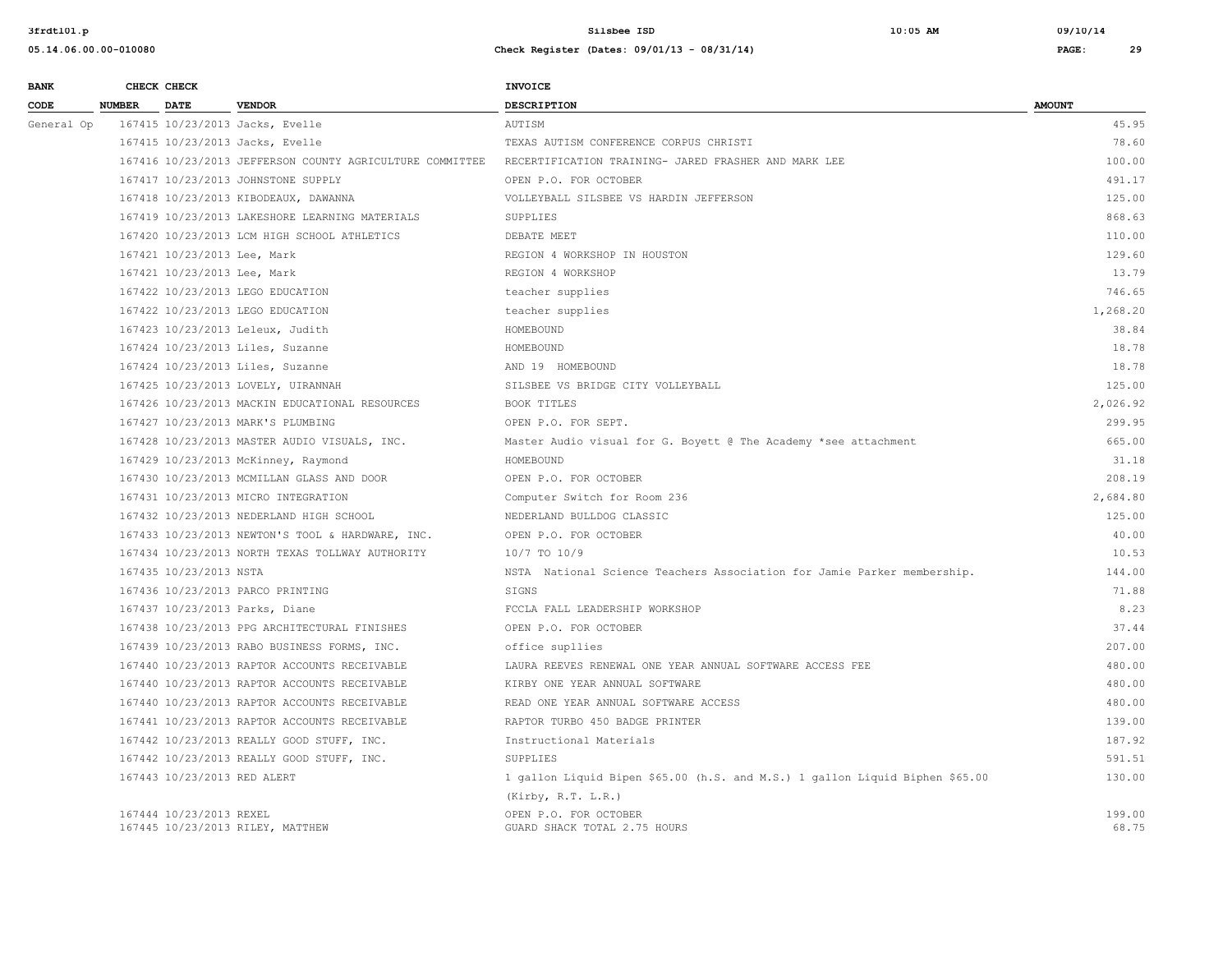| <b>BANK</b><br>CHECK CHECK |               |                             |                                                          | <b>INVOICE</b>                                                               |                 |
|----------------------------|---------------|-----------------------------|----------------------------------------------------------|------------------------------------------------------------------------------|-----------------|
| CODE                       | <b>NUMBER</b> | <b>DATE</b>                 | <b>VENDOR</b>                                            | <b>DESCRIPTION</b>                                                           | <b>AMOUNT</b>   |
| General Op                 |               |                             | 167415 10/23/2013 Jacks, Evelle                          | AUTISM                                                                       | 45.95           |
|                            |               |                             | 167415 10/23/2013 Jacks, Evelle                          | TEXAS AUTISM CONFERENCE CORPUS CHRISTI                                       | 78.60           |
|                            |               |                             | 167416 10/23/2013 JEFFERSON COUNTY AGRICULTURE COMMITTEE | RECERTIFICATION TRAINING- JARED FRASHER AND MARK LEE                         | 100.00          |
|                            |               |                             | 167417 10/23/2013 JOHNSTONE SUPPLY                       | OPEN P.O. FOR OCTOBER                                                        | 491.17          |
|                            |               |                             | 167418 10/23/2013 KIBODEAUX, DAWANNA                     | VOLLEYBALL SILSBEE VS HARDIN JEFFERSON                                       | 125.00          |
|                            |               |                             | 167419 10/23/2013 LAKESHORE LEARNING MATERIALS           | SUPPLIES                                                                     | 868.63          |
|                            |               |                             | 167420 10/23/2013 LCM HIGH SCHOOL ATHLETICS              | DEBATE MEET                                                                  | 110.00          |
|                            |               | 167421 10/23/2013 Lee, Mark |                                                          | REGION 4 WORKSHOP IN HOUSTON                                                 | 129.60          |
|                            |               | 167421 10/23/2013 Lee, Mark |                                                          | REGION 4 WORKSHOP                                                            | 13.79           |
|                            |               |                             | 167422 10/23/2013 LEGO EDUCATION                         | teacher supplies                                                             | 746.65          |
|                            |               |                             | 167422 10/23/2013 LEGO EDUCATION                         | teacher supplies                                                             | 1,268.20        |
|                            |               |                             | 167423 10/23/2013 Leleux, Judith                         | HOMEBOUND                                                                    | 38.84           |
|                            |               |                             | 167424 10/23/2013 Liles, Suzanne                         | HOMEBOUND                                                                    | 18.78           |
|                            |               |                             | 167424 10/23/2013 Liles, Suzanne                         | AND 19 HOMEBOUND                                                             | 18.78           |
|                            |               |                             | 167425 10/23/2013 LOVELY, UIRANNAH                       | SILSBEE VS BRIDGE CITY VOLLEYBALL                                            | 125.00          |
|                            |               |                             | 167426 10/23/2013 MACKIN EDUCATIONAL RESOURCES           | BOOK TITLES                                                                  | 2,026.92        |
|                            |               |                             | 167427 10/23/2013 MARK'S PLUMBING                        | OPEN P.O. FOR SEPT.                                                          | 299.95          |
|                            |               |                             | 167428 10/23/2013 MASTER AUDIO VISUALS, INC.             | Master Audio visual for G. Boyett @ The Academy *see attachment              | 665.00          |
|                            |               |                             | 167429 10/23/2013 McKinney, Raymond                      | HOMEBOUND                                                                    | 31.18           |
|                            |               |                             | 167430 10/23/2013 MCMILLAN GLASS AND DOOR                | OPEN P.O. FOR OCTOBER                                                        | 208.19          |
|                            |               |                             | 167431 10/23/2013 MICRO INTEGRATION                      | Computer Switch for Room 236                                                 | 2,684.80        |
|                            |               |                             | 167432 10/23/2013 NEDERLAND HIGH SCHOOL                  | NEDERLAND BULLDOG CLASSIC                                                    | 125.00          |
|                            |               |                             | 167433 10/23/2013 NEWTON'S TOOL & HARDWARE, INC.         | OPEN P.O. FOR OCTOBER                                                        | 40.00           |
|                            |               |                             | 167434 10/23/2013 NORTH TEXAS TOLLWAY AUTHORITY          | 10/7 TO 10/9                                                                 | 10.53           |
|                            |               | 167435 10/23/2013 NSTA      |                                                          | NSTA National Science Teachers Association for Jamie Parker membership.      | 144.00          |
|                            |               |                             | 167436 10/23/2013 PARCO PRINTING                         | SIGNS                                                                        | 71.88           |
|                            |               |                             | 167437 10/23/2013 Parks, Diane                           | FCCLA FALL LEADERSHIP WORKSHOP                                               | 8.23            |
|                            |               |                             | 167438 10/23/2013 PPG ARCHITECTURAL FINISHES             | OPEN P.O. FOR OCTOBER                                                        | 37.44           |
|                            |               |                             | 167439 10/23/2013 RABO BUSINESS FORMS, INC.              | office supllies                                                              | 207.00          |
|                            |               |                             | 167440 10/23/2013 RAPTOR ACCOUNTS RECEIVABLE             | LAURA REEVES RENEWAL ONE YEAR ANNUAL SOFTWARE ACCESS FEE                     | 480.00          |
|                            |               |                             | 167440 10/23/2013 RAPTOR ACCOUNTS RECEIVABLE             | KIRBY ONE YEAR ANNUAL SOFTWARE                                               | 480.00          |
|                            |               |                             | 167440 10/23/2013 RAPTOR ACCOUNTS RECEIVABLE             | READ ONE YEAR ANNUAL SOFTWARE ACCESS                                         | 480.00          |
|                            |               |                             | 167441 10/23/2013 RAPTOR ACCOUNTS RECEIVABLE             | RAPTOR TURBO 450 BADGE PRINTER                                               | 139.00          |
|                            |               |                             | 167442 10/23/2013 REALLY GOOD STUFF, INC.                | Instructional Materials                                                      | 187.92          |
|                            |               |                             | 167442 10/23/2013 REALLY GOOD STUFF, INC.                | SUPPLIES                                                                     | 591.51          |
|                            |               | 167443 10/23/2013 RED ALERT |                                                          | 1 gallon Liquid Bipen \$65.00 (h.S. and M.S.) 1 gallon Liquid Biphen \$65.00 | 130.00          |
|                            |               |                             |                                                          | (Kirby, R.T. L.R.)                                                           |                 |
|                            |               | 167444 10/23/2013 REXEL     | 167445 10/23/2013 RILEY, MATTHEW                         | OPEN P.O. FOR OCTOBER<br>GUARD SHACK TOTAL 2.75 HOURS                        | 199.00<br>68.75 |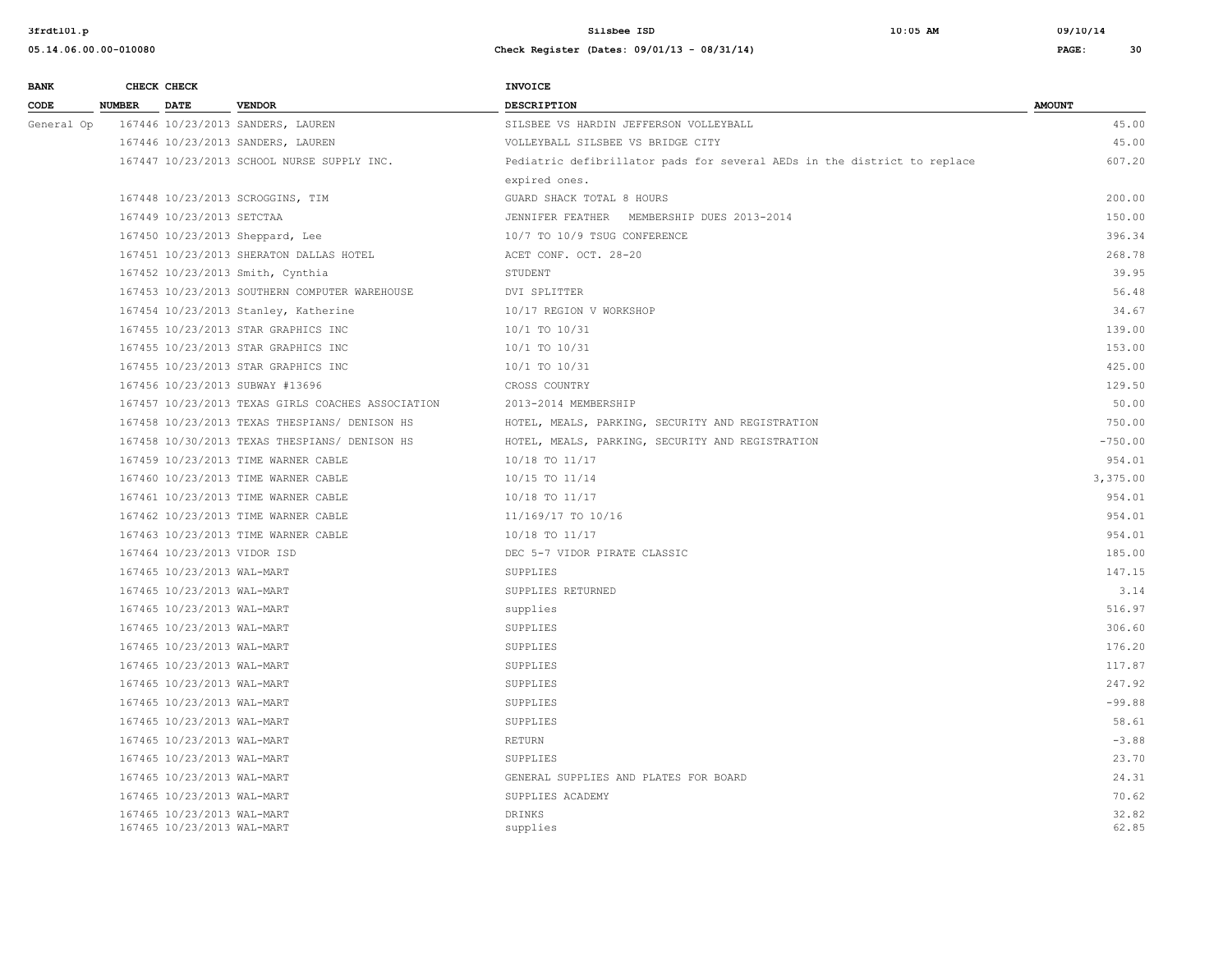| <b>BANK</b> |               | CHECK CHECK                                              |                                                   | <b>INVOICE</b>                                                           |                |
|-------------|---------------|----------------------------------------------------------|---------------------------------------------------|--------------------------------------------------------------------------|----------------|
| CODE        | <b>NUMBER</b> | <b>DATE</b>                                              | <b>VENDOR</b>                                     | DESCRIPTION                                                              | <b>AMOUNT</b>  |
| General Op  |               |                                                          | 167446 10/23/2013 SANDERS, LAUREN                 | SILSBEE VS HARDIN JEFFERSON VOLLEYBALL                                   | 45.00          |
|             |               |                                                          | 167446 10/23/2013 SANDERS, LAUREN                 | VOLLEYBALL SILSBEE VS BRIDGE CITY                                        | 45.00          |
|             |               |                                                          | 167447 10/23/2013 SCHOOL NURSE SUPPLY INC.        | Pediatric defibrillator pads for several AEDs in the district to replace | 607.20         |
|             |               |                                                          |                                                   | expired ones.                                                            |                |
|             |               |                                                          | 167448 10/23/2013 SCROGGINS, TIM                  | GUARD SHACK TOTAL 8 HOURS                                                | 200.00         |
|             |               | 167449 10/23/2013 SETCTAA                                |                                                   | JENNIFER FEATHER MEMBERSHIP DUES 2013-2014                               | 150.00         |
|             |               |                                                          | 167450 10/23/2013 Sheppard, Lee                   | 10/7 TO 10/9 TSUG CONFERENCE                                             | 396.34         |
|             |               |                                                          | 167451 10/23/2013 SHERATON DALLAS HOTEL           | ACET CONF. OCT. 28-20                                                    | 268.78         |
|             |               |                                                          | 167452 10/23/2013 Smith, Cynthia                  | STUDENT                                                                  | 39.95          |
|             |               |                                                          | 167453 10/23/2013 SOUTHERN COMPUTER WAREHOUSE     | DVI SPLITTER                                                             | 56.48          |
|             |               |                                                          | 167454 10/23/2013 Stanley, Katherine              | 10/17 REGION V WORKSHOP                                                  | 34.67          |
|             |               |                                                          | 167455 10/23/2013 STAR GRAPHICS INC               | 10/1 TO 10/31                                                            | 139.00         |
|             |               |                                                          | 167455 10/23/2013 STAR GRAPHICS INC               | 10/1 TO 10/31                                                            | 153.00         |
|             |               |                                                          | 167455 10/23/2013 STAR GRAPHICS INC               | 10/1 TO 10/31                                                            | 425.00         |
|             |               |                                                          | 167456 10/23/2013 SUBWAY #13696                   | CROSS COUNTRY                                                            | 129.50         |
|             |               |                                                          | 167457 10/23/2013 TEXAS GIRLS COACHES ASSOCIATION | 2013-2014 MEMBERSHIP                                                     | 50.00          |
|             |               |                                                          | 167458 10/23/2013 TEXAS THESPIANS/ DENISON HS     | HOTEL, MEALS, PARKING, SECURITY AND REGISTRATION                         | 750.00         |
|             |               |                                                          | 167458 10/30/2013 TEXAS THESPIANS/ DENISON HS     | HOTEL, MEALS, PARKING, SECURITY AND REGISTRATION                         | $-750.00$      |
|             |               |                                                          | 167459 10/23/2013 TIME WARNER CABLE               | 10/18 TO 11/17                                                           | 954.01         |
|             |               |                                                          | 167460 10/23/2013 TIME WARNER CABLE               | 10/15 TO 11/14                                                           | 3,375.00       |
|             |               |                                                          | 167461 10/23/2013 TIME WARNER CABLE               | 10/18 TO 11/17                                                           | 954.01         |
|             |               |                                                          | 167462 10/23/2013 TIME WARNER CABLE               | 11/169/17 TO 10/16                                                       | 954.01         |
|             |               |                                                          | 167463 10/23/2013 TIME WARNER CABLE               | 10/18 TO 11/17                                                           | 954.01         |
|             |               | 167464 10/23/2013 VIDOR ISD                              |                                                   | DEC 5-7 VIDOR PIRATE CLASSIC                                             | 185.00         |
|             |               | 167465 10/23/2013 WAL-MART                               |                                                   | SUPPLIES                                                                 | 147.15         |
|             |               | 167465 10/23/2013 WAL-MART                               |                                                   | SUPPLIES RETURNED                                                        | 3.14           |
|             |               | 167465 10/23/2013 WAL-MART                               |                                                   | supplies                                                                 | 516.97         |
|             |               | 167465 10/23/2013 WAL-MART                               |                                                   | SUPPLIES                                                                 | 306.60         |
|             |               | 167465 10/23/2013 WAL-MART                               |                                                   | SUPPLIES                                                                 | 176.20         |
|             |               | 167465 10/23/2013 WAL-MART                               |                                                   | SUPPLIES                                                                 | 117.87         |
|             |               | 167465 10/23/2013 WAL-MART                               |                                                   | SUPPLIES                                                                 | 247.92         |
|             |               | 167465 10/23/2013 WAL-MART                               |                                                   | SUPPLIES                                                                 | $-99.88$       |
|             |               | 167465 10/23/2013 WAL-MART                               |                                                   | SUPPLIES                                                                 | 58.61          |
|             |               | 167465 10/23/2013 WAL-MART                               |                                                   | <b>RETURN</b>                                                            | $-3.88$        |
|             |               | 167465 10/23/2013 WAL-MART                               |                                                   | SUPPLIES                                                                 | 23.70          |
|             |               | 167465 10/23/2013 WAL-MART                               |                                                   | GENERAL SUPPLIES AND PLATES FOR BOARD                                    | 24.31          |
|             |               | 167465 10/23/2013 WAL-MART                               |                                                   | SUPPLIES ACADEMY                                                         | 70.62          |
|             |               | 167465 10/23/2013 WAL-MART<br>167465 10/23/2013 WAL-MART |                                                   | <b>DRINKS</b><br>supplies                                                | 32.82<br>62.85 |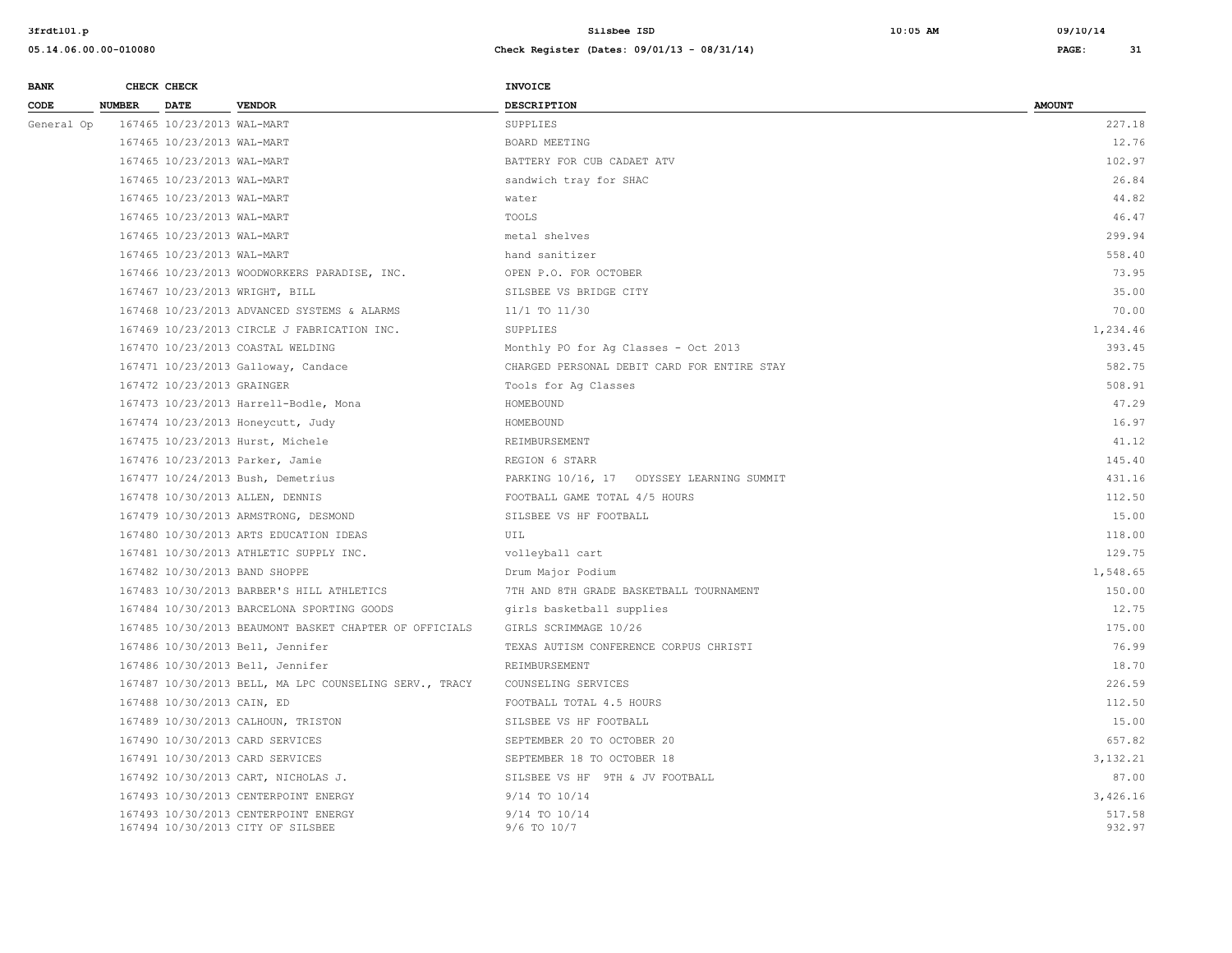| <b>BANK</b> |               | CHECK CHECK                |                                                                           | INVOICE                                     |                  |
|-------------|---------------|----------------------------|---------------------------------------------------------------------------|---------------------------------------------|------------------|
| <b>CODE</b> | <b>NUMBER</b> | <b>DATE</b>                | <b>VENDOR</b>                                                             | <b>DESCRIPTION</b>                          | <b>AMOUNT</b>    |
| General Op  |               | 167465 10/23/2013 WAL-MART |                                                                           | SUPPLIES                                    | 227.18           |
|             |               | 167465 10/23/2013 WAL-MART |                                                                           | BOARD MEETING                               | 12.76            |
|             |               | 167465 10/23/2013 WAL-MART |                                                                           | BATTERY FOR CUB CADAET ATV                  | 102.97           |
|             |               | 167465 10/23/2013 WAL-MART |                                                                           | sandwich tray for SHAC                      | 26.84            |
|             |               | 167465 10/23/2013 WAL-MART |                                                                           | water                                       | 44.82            |
|             |               | 167465 10/23/2013 WAL-MART |                                                                           | TOOLS                                       | 46.47            |
|             |               | 167465 10/23/2013 WAL-MART |                                                                           | metal shelves                               | 299.94           |
|             |               | 167465 10/23/2013 WAL-MART |                                                                           | hand sanitizer                              | 558.40           |
|             |               |                            | 167466 10/23/2013 WOODWORKERS PARADISE, INC.                              | OPEN P.O. FOR OCTOBER                       | 73.95            |
|             |               |                            | 167467 10/23/2013 WRIGHT, BILL                                            | SILSBEE VS BRIDGE CITY                      | 35.00            |
|             |               |                            | 167468 10/23/2013 ADVANCED SYSTEMS & ALARMS                               | 11/1 TO 11/30                               | 70.00            |
|             |               |                            | 167469 10/23/2013 CIRCLE J FABRICATION INC.                               | SUPPLIES                                    | 1,234.46         |
|             |               |                            | 167470 10/23/2013 COASTAL WELDING                                         | Monthly PO for Ag Classes - Oct 2013        | 393.45           |
|             |               |                            | 167471 10/23/2013 Galloway, Candace                                       | CHARGED PERSONAL DEBIT CARD FOR ENTIRE STAY | 582.75           |
|             |               | 167472 10/23/2013 GRAINGER |                                                                           | Tools for Ag Classes                        | 508.91           |
|             |               |                            | 167473 10/23/2013 Harrell-Bodle, Mona                                     | HOMEBOUND                                   | 47.29            |
|             |               |                            | 167474 10/23/2013 Honeycutt, Judy                                         | HOMEBOUND                                   | 16.97            |
|             |               |                            | 167475 10/23/2013 Hurst, Michele                                          | REIMBURSEMENT                               | 41.12            |
|             |               |                            | 167476 10/23/2013 Parker, Jamie                                           | REGION 6 STARR                              | 145.40           |
|             |               |                            | 167477 10/24/2013 Bush, Demetrius                                         | PARKING 10/16, 17 ODYSSEY LEARNING SUMMIT   | 431.16           |
|             |               |                            | 167478 10/30/2013 ALLEN, DENNIS                                           | FOOTBALL GAME TOTAL 4/5 HOURS               | 112.50           |
|             |               |                            | 167479 10/30/2013 ARMSTRONG, DESMOND                                      | SILSBEE VS HF FOOTBALL                      | 15.00            |
|             |               |                            | 167480 10/30/2013 ARTS EDUCATION IDEAS                                    | UIL                                         | 118.00           |
|             |               |                            | 167481 10/30/2013 ATHLETIC SUPPLY INC.                                    | volleyball cart                             | 129.75           |
|             |               |                            | 167482 10/30/2013 BAND SHOPPE                                             | Drum Major Podium                           | 1,548.65         |
|             |               |                            | 167483 10/30/2013 BARBER'S HILL ATHLETICS                                 | 7TH AND 8TH GRADE BASKETBALL TOURNAMENT     | 150.00           |
|             |               |                            | 167484 10/30/2013 BARCELONA SPORTING GOODS                                | girls basketball supplies                   | 12.75            |
|             |               |                            | 167485 10/30/2013 BEAUMONT BASKET CHAPTER OF OFFICIALS                    | GIRLS SCRIMMAGE 10/26                       | 175.00           |
|             |               |                            | 167486 10/30/2013 Bell, Jennifer                                          | TEXAS AUTISM CONFERENCE CORPUS CHRISTI      | 76.99            |
|             |               |                            | 167486 10/30/2013 Bell, Jennifer                                          | REIMBURSEMENT                               | 18.70            |
|             |               |                            | 167487 10/30/2013 BELL, MA LPC COUNSELING SERV., TRACY                    | COUNSELING SERVICES                         | 226.59           |
|             |               | 167488 10/30/2013 CAIN, ED |                                                                           | FOOTBALL TOTAL 4.5 HOURS                    | 112.50           |
|             |               |                            | 167489 10/30/2013 CALHOUN, TRISTON                                        | SILSBEE VS HF FOOTBALL                      | 15.00            |
|             |               |                            | 167490 10/30/2013 CARD SERVICES                                           | SEPTEMBER 20 TO OCTOBER 20                  | 657.82           |
|             |               |                            | 167491 10/30/2013 CARD SERVICES                                           | SEPTEMBER 18 TO OCTOBER 18                  | 3.132.21         |
|             |               |                            | 167492 10/30/2013 CART, NICHOLAS J.                                       | SILSBEE VS HF 9TH & JV FOOTBALL             | 87.00            |
|             |               |                            | 167493 10/30/2013 CENTERPOINT ENERGY                                      | 9/14 TO 10/14                               | 3,426.16         |
|             |               |                            | 167493 10/30/2013 CENTERPOINT ENERGY<br>167494 10/30/2013 CITY OF SILSBEE | 9/14 TO 10/14<br>9/6 TO 10/7                | 517.58<br>932.97 |
|             |               |                            |                                                                           |                                             |                  |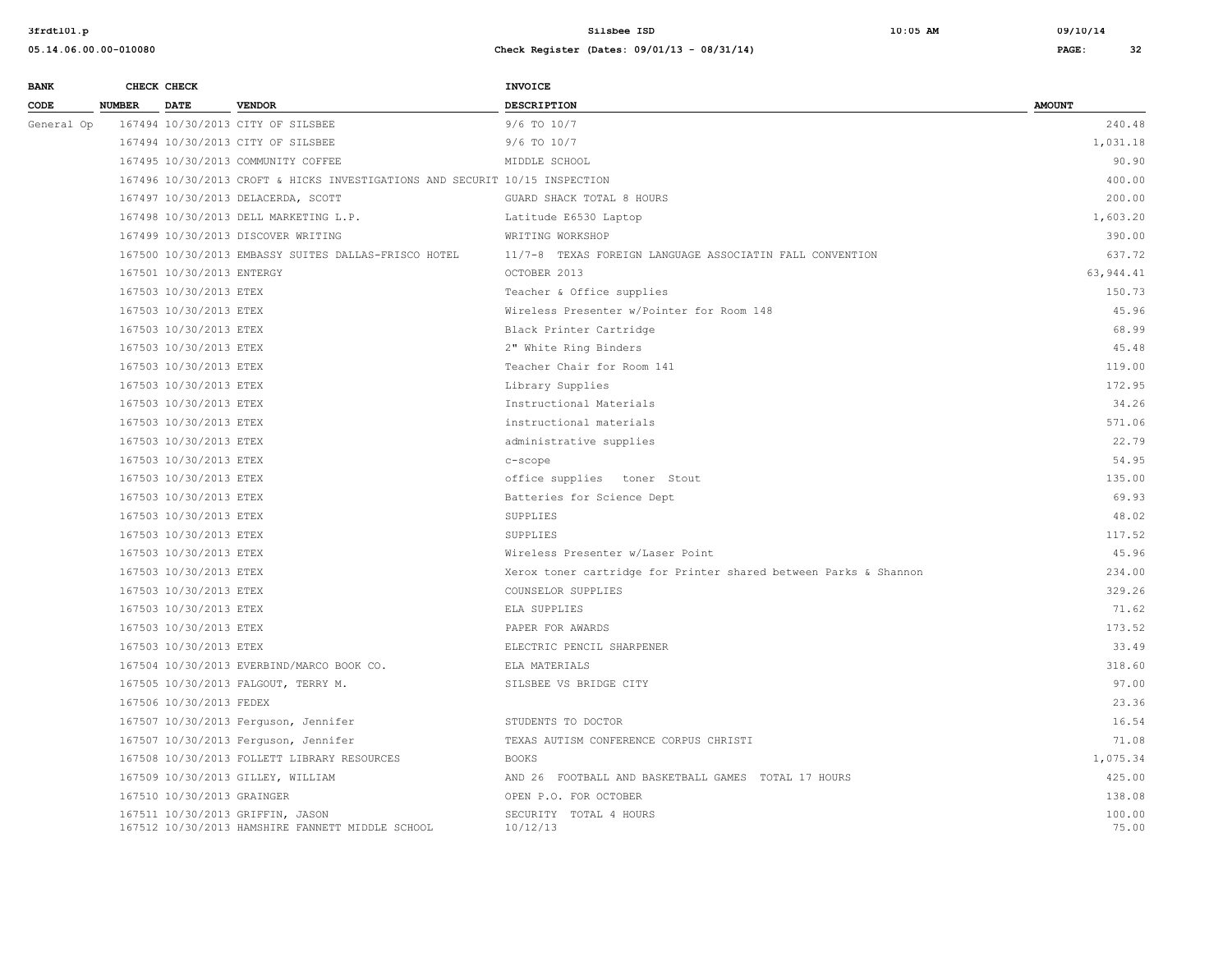| <b>BANK</b> |               | CHECK CHECK                |                                                                                      | <b>INVOICE</b>                                                   |                 |
|-------------|---------------|----------------------------|--------------------------------------------------------------------------------------|------------------------------------------------------------------|-----------------|
| <b>CODE</b> | <b>NUMBER</b> | <b>DATE</b>                | <b>VENDOR</b>                                                                        | <b>DESCRIPTION</b>                                               | <b>AMOUNT</b>   |
| General Op  |               |                            | 167494 10/30/2013 CITY OF SILSBEE                                                    | $9/6$ TO $10/7$                                                  | 240.48          |
|             |               |                            | 167494 10/30/2013 CITY OF SILSBEE                                                    | 9/6 TO 10/7                                                      | 1,031.18        |
|             |               |                            | 167495 10/30/2013 COMMUNITY COFFEE                                                   | MIDDLE SCHOOL                                                    | 90.90           |
|             |               |                            | 167496 10/30/2013 CROFT & HICKS INVESTIGATIONS AND SECURIT 10/15 INSPECTION          |                                                                  | 400.00          |
|             |               |                            | 167497 10/30/2013 DELACERDA, SCOTT                                                   | GUARD SHACK TOTAL 8 HOURS                                        | 200.00          |
|             |               |                            | 167498 10/30/2013 DELL MARKETING L.P.                                                | Latitude E6530 Laptop                                            | 1,603.20        |
|             |               |                            | 167499 10/30/2013 DISCOVER WRITING                                                   | WRITING WORKSHOP                                                 | 390.00          |
|             |               |                            | 167500 10/30/2013 EMBASSY SUITES DALLAS-FRISCO HOTEL                                 | 11/7-8 TEXAS FOREIGN LANGUAGE ASSOCIATIN FALL CONVENTION         | 637.72          |
|             |               | 167501 10/30/2013 ENTERGY  |                                                                                      | OCTOBER 2013                                                     | 63, 944.41      |
|             |               | 167503 10/30/2013 ETEX     |                                                                                      | Teacher & Office supplies                                        | 150.73          |
|             |               | 167503 10/30/2013 ETEX     |                                                                                      | Wireless Presenter w/Pointer for Room 148                        | 45.96           |
|             |               | 167503 10/30/2013 ETEX     |                                                                                      | Black Printer Cartridge                                          | 68.99           |
|             |               | 167503 10/30/2013 ETEX     |                                                                                      | 2" White Ring Binders                                            | 45.48           |
|             |               | 167503 10/30/2013 ETEX     |                                                                                      | Teacher Chair for Room 141                                       | 119.00          |
|             |               | 167503 10/30/2013 ETEX     |                                                                                      | Library Supplies                                                 | 172.95          |
|             |               | 167503 10/30/2013 ETEX     |                                                                                      | Instructional Materials                                          | 34.26           |
|             |               | 167503 10/30/2013 ETEX     |                                                                                      | instructional materials                                          | 571.06          |
|             |               | 167503 10/30/2013 ETEX     |                                                                                      | administrative supplies                                          | 22.79           |
|             |               | 167503 10/30/2013 ETEX     |                                                                                      | c-scope                                                          | 54.95           |
|             |               | 167503 10/30/2013 ETEX     |                                                                                      | office supplies toner Stout                                      | 135.00          |
|             |               | 167503 10/30/2013 ETEX     |                                                                                      | Batteries for Science Dept                                       | 69.93           |
|             |               | 167503 10/30/2013 ETEX     |                                                                                      | SUPPLIES                                                         | 48.02           |
|             |               | 167503 10/30/2013 ETEX     |                                                                                      | SUPPLIES                                                         | 117.52          |
|             |               | 167503 10/30/2013 ETEX     |                                                                                      | Wireless Presenter w/Laser Point                                 | 45.96           |
|             |               | 167503 10/30/2013 ETEX     |                                                                                      | Xerox toner cartridge for Printer shared between Parks & Shannon | 234.00          |
|             |               | 167503 10/30/2013 ETEX     |                                                                                      | COUNSELOR SUPPLIES                                               | 329.26          |
|             |               | 167503 10/30/2013 ETEX     |                                                                                      | ELA SUPPLIES                                                     | 71.62           |
|             |               | 167503 10/30/2013 ETEX     |                                                                                      | PAPER FOR AWARDS                                                 | 173.52          |
|             |               | 167503 10/30/2013 ETEX     |                                                                                      | ELECTRIC PENCIL SHARPENER                                        | 33.49           |
|             |               |                            | 167504 10/30/2013 EVERBIND/MARCO BOOK CO.                                            | ELA MATERIALS                                                    | 318.60          |
|             |               |                            | 167505 10/30/2013 FALGOUT, TERRY M.                                                  | SILSBEE VS BRIDGE CITY                                           | 97.00           |
|             |               | 167506 10/30/2013 FEDEX    |                                                                                      |                                                                  | 23.36           |
|             |               |                            | 167507 10/30/2013 Ferguson, Jennifer                                                 | STUDENTS TO DOCTOR                                               | 16.54           |
|             |               |                            | 167507 10/30/2013 Ferguson, Jennifer                                                 | TEXAS AUTISM CONFERENCE CORPUS CHRISTI                           | 71.08           |
|             |               |                            | 167508 10/30/2013 FOLLETT LIBRARY RESOURCES                                          | <b>BOOKS</b>                                                     | 1,075.34        |
|             |               |                            | 167509 10/30/2013 GILLEY, WILLIAM                                                    | AND 26 FOOTBALL AND BASKETBALL GAMES TOTAL 17 HOURS              | 425.00          |
|             |               | 167510 10/30/2013 GRAINGER |                                                                                      | OPEN P.O. FOR OCTOBER                                            | 138.08          |
|             |               |                            | 167511 10/30/2013 GRIFFIN, JASON<br>167512 10/30/2013 HAMSHIRE FANNETT MIDDLE SCHOOL | SECURITY TOTAL 4 HOURS<br>10/12/13                               | 100.00<br>75.00 |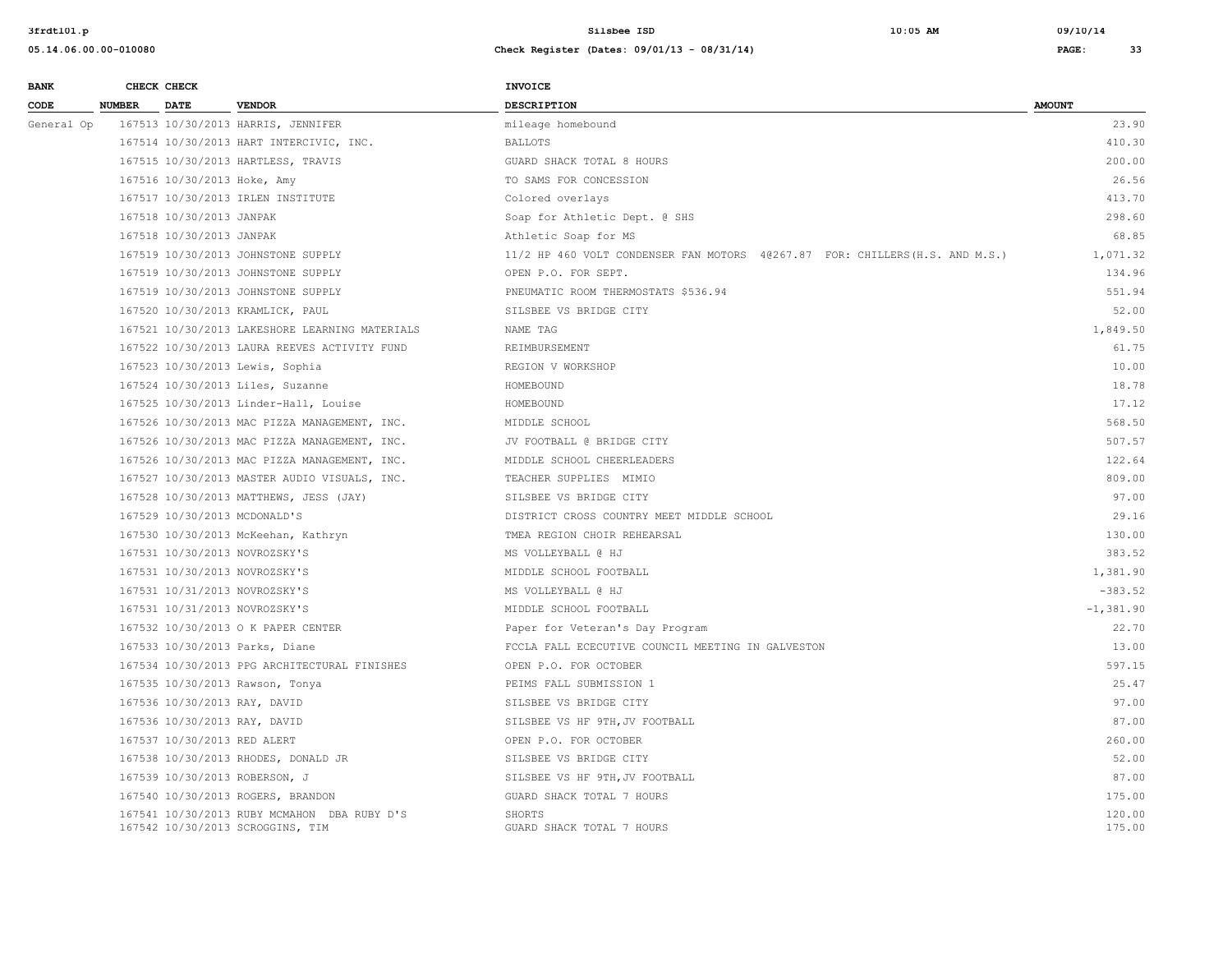|               |             |               | <b>INVOICE</b>                                                                                                                                                                                                                                                                                                                                                                                                                                                                                                                                                                                                                                                                                                                                                                                                                                                                                                                                                                                                                                                                                                                                                                                                                                                                                                                                                                                                                                                                                                                         |                  |
|---------------|-------------|---------------|----------------------------------------------------------------------------------------------------------------------------------------------------------------------------------------------------------------------------------------------------------------------------------------------------------------------------------------------------------------------------------------------------------------------------------------------------------------------------------------------------------------------------------------------------------------------------------------------------------------------------------------------------------------------------------------------------------------------------------------------------------------------------------------------------------------------------------------------------------------------------------------------------------------------------------------------------------------------------------------------------------------------------------------------------------------------------------------------------------------------------------------------------------------------------------------------------------------------------------------------------------------------------------------------------------------------------------------------------------------------------------------------------------------------------------------------------------------------------------------------------------------------------------------|------------------|
| <b>NUMBER</b> | <b>DATE</b> | <b>VENDOR</b> | <b>DESCRIPTION</b>                                                                                                                                                                                                                                                                                                                                                                                                                                                                                                                                                                                                                                                                                                                                                                                                                                                                                                                                                                                                                                                                                                                                                                                                                                                                                                                                                                                                                                                                                                                     | <b>AMOUNT</b>    |
| General Op    |             |               | mileage homebound                                                                                                                                                                                                                                                                                                                                                                                                                                                                                                                                                                                                                                                                                                                                                                                                                                                                                                                                                                                                                                                                                                                                                                                                                                                                                                                                                                                                                                                                                                                      | 23.90            |
|               |             |               | <b>BALLOTS</b>                                                                                                                                                                                                                                                                                                                                                                                                                                                                                                                                                                                                                                                                                                                                                                                                                                                                                                                                                                                                                                                                                                                                                                                                                                                                                                                                                                                                                                                                                                                         | 410.30           |
|               |             |               | GUARD SHACK TOTAL 8 HOURS                                                                                                                                                                                                                                                                                                                                                                                                                                                                                                                                                                                                                                                                                                                                                                                                                                                                                                                                                                                                                                                                                                                                                                                                                                                                                                                                                                                                                                                                                                              | 200.00           |
|               |             |               | TO SAMS FOR CONCESSION                                                                                                                                                                                                                                                                                                                                                                                                                                                                                                                                                                                                                                                                                                                                                                                                                                                                                                                                                                                                                                                                                                                                                                                                                                                                                                                                                                                                                                                                                                                 | 26.56            |
|               |             |               | Colored overlays                                                                                                                                                                                                                                                                                                                                                                                                                                                                                                                                                                                                                                                                                                                                                                                                                                                                                                                                                                                                                                                                                                                                                                                                                                                                                                                                                                                                                                                                                                                       | 413.70           |
|               |             |               | Soap for Athletic Dept. @ SHS                                                                                                                                                                                                                                                                                                                                                                                                                                                                                                                                                                                                                                                                                                                                                                                                                                                                                                                                                                                                                                                                                                                                                                                                                                                                                                                                                                                                                                                                                                          | 298.60           |
|               |             |               | Athletic Soap for MS                                                                                                                                                                                                                                                                                                                                                                                                                                                                                                                                                                                                                                                                                                                                                                                                                                                                                                                                                                                                                                                                                                                                                                                                                                                                                                                                                                                                                                                                                                                   | 68.85            |
|               |             |               | 11/2 HP 460 VOLT CONDENSER FAN MOTORS 40267.87 FOR: CHILLERS (H.S. AND M.S.)                                                                                                                                                                                                                                                                                                                                                                                                                                                                                                                                                                                                                                                                                                                                                                                                                                                                                                                                                                                                                                                                                                                                                                                                                                                                                                                                                                                                                                                           | 1,071.32         |
|               |             |               | OPEN P.O. FOR SEPT.                                                                                                                                                                                                                                                                                                                                                                                                                                                                                                                                                                                                                                                                                                                                                                                                                                                                                                                                                                                                                                                                                                                                                                                                                                                                                                                                                                                                                                                                                                                    | 134.96           |
|               |             |               | PNEUMATIC ROOM THERMOSTATS \$536.94                                                                                                                                                                                                                                                                                                                                                                                                                                                                                                                                                                                                                                                                                                                                                                                                                                                                                                                                                                                                                                                                                                                                                                                                                                                                                                                                                                                                                                                                                                    | 551.94           |
|               |             |               | SILSBEE VS BRIDGE CITY                                                                                                                                                                                                                                                                                                                                                                                                                                                                                                                                                                                                                                                                                                                                                                                                                                                                                                                                                                                                                                                                                                                                                                                                                                                                                                                                                                                                                                                                                                                 | 52.00            |
|               |             |               | NAME TAG                                                                                                                                                                                                                                                                                                                                                                                                                                                                                                                                                                                                                                                                                                                                                                                                                                                                                                                                                                                                                                                                                                                                                                                                                                                                                                                                                                                                                                                                                                                               | 1,849.50         |
|               |             |               | REIMBURSEMENT                                                                                                                                                                                                                                                                                                                                                                                                                                                                                                                                                                                                                                                                                                                                                                                                                                                                                                                                                                                                                                                                                                                                                                                                                                                                                                                                                                                                                                                                                                                          | 61.75            |
|               |             |               | REGION V WORKSHOP                                                                                                                                                                                                                                                                                                                                                                                                                                                                                                                                                                                                                                                                                                                                                                                                                                                                                                                                                                                                                                                                                                                                                                                                                                                                                                                                                                                                                                                                                                                      | 10.00            |
|               |             |               | HOMEBOUND                                                                                                                                                                                                                                                                                                                                                                                                                                                                                                                                                                                                                                                                                                                                                                                                                                                                                                                                                                                                                                                                                                                                                                                                                                                                                                                                                                                                                                                                                                                              | 18.78            |
|               |             |               | HOMEBOUND                                                                                                                                                                                                                                                                                                                                                                                                                                                                                                                                                                                                                                                                                                                                                                                                                                                                                                                                                                                                                                                                                                                                                                                                                                                                                                                                                                                                                                                                                                                              | 17.12            |
|               |             |               | MIDDLE SCHOOL                                                                                                                                                                                                                                                                                                                                                                                                                                                                                                                                                                                                                                                                                                                                                                                                                                                                                                                                                                                                                                                                                                                                                                                                                                                                                                                                                                                                                                                                                                                          | 568.50           |
|               |             |               | JV FOOTBALL @ BRIDGE CITY                                                                                                                                                                                                                                                                                                                                                                                                                                                                                                                                                                                                                                                                                                                                                                                                                                                                                                                                                                                                                                                                                                                                                                                                                                                                                                                                                                                                                                                                                                              | 507.57           |
|               |             |               | MIDDLE SCHOOL CHEERLEADERS                                                                                                                                                                                                                                                                                                                                                                                                                                                                                                                                                                                                                                                                                                                                                                                                                                                                                                                                                                                                                                                                                                                                                                                                                                                                                                                                                                                                                                                                                                             | 122.64           |
|               |             |               | TEACHER SUPPLIES MIMIO                                                                                                                                                                                                                                                                                                                                                                                                                                                                                                                                                                                                                                                                                                                                                                                                                                                                                                                                                                                                                                                                                                                                                                                                                                                                                                                                                                                                                                                                                                                 | 809.00           |
|               |             |               | SILSBEE VS BRIDGE CITY                                                                                                                                                                                                                                                                                                                                                                                                                                                                                                                                                                                                                                                                                                                                                                                                                                                                                                                                                                                                                                                                                                                                                                                                                                                                                                                                                                                                                                                                                                                 | 97.00            |
|               |             |               | DISTRICT CROSS COUNTRY MEET MIDDLE SCHOOL                                                                                                                                                                                                                                                                                                                                                                                                                                                                                                                                                                                                                                                                                                                                                                                                                                                                                                                                                                                                                                                                                                                                                                                                                                                                                                                                                                                                                                                                                              | 29.16            |
|               |             |               | TMEA REGION CHOIR REHEARSAL                                                                                                                                                                                                                                                                                                                                                                                                                                                                                                                                                                                                                                                                                                                                                                                                                                                                                                                                                                                                                                                                                                                                                                                                                                                                                                                                                                                                                                                                                                            | 130.00           |
|               |             |               | MS VOLLEYBALL @ HJ                                                                                                                                                                                                                                                                                                                                                                                                                                                                                                                                                                                                                                                                                                                                                                                                                                                                                                                                                                                                                                                                                                                                                                                                                                                                                                                                                                                                                                                                                                                     | 383.52           |
|               |             |               | MIDDLE SCHOOL FOOTBALL                                                                                                                                                                                                                                                                                                                                                                                                                                                                                                                                                                                                                                                                                                                                                                                                                                                                                                                                                                                                                                                                                                                                                                                                                                                                                                                                                                                                                                                                                                                 | 1,381.90         |
|               |             |               | MS VOLLEYBALL @ HJ                                                                                                                                                                                                                                                                                                                                                                                                                                                                                                                                                                                                                                                                                                                                                                                                                                                                                                                                                                                                                                                                                                                                                                                                                                                                                                                                                                                                                                                                                                                     | $-383.52$        |
|               |             |               | MIDDLE SCHOOL FOOTBALL                                                                                                                                                                                                                                                                                                                                                                                                                                                                                                                                                                                                                                                                                                                                                                                                                                                                                                                                                                                                                                                                                                                                                                                                                                                                                                                                                                                                                                                                                                                 | $-1, 381.90$     |
|               |             |               | Paper for Veteran's Day Program                                                                                                                                                                                                                                                                                                                                                                                                                                                                                                                                                                                                                                                                                                                                                                                                                                                                                                                                                                                                                                                                                                                                                                                                                                                                                                                                                                                                                                                                                                        | 22.70            |
|               |             |               | FCCLA FALL ECECUTIVE COUNCIL MEETING IN GALVESTON                                                                                                                                                                                                                                                                                                                                                                                                                                                                                                                                                                                                                                                                                                                                                                                                                                                                                                                                                                                                                                                                                                                                                                                                                                                                                                                                                                                                                                                                                      | 13.00            |
|               |             |               | OPEN P.O. FOR OCTOBER                                                                                                                                                                                                                                                                                                                                                                                                                                                                                                                                                                                                                                                                                                                                                                                                                                                                                                                                                                                                                                                                                                                                                                                                                                                                                                                                                                                                                                                                                                                  | 597.15           |
|               |             |               | PEIMS FALL SUBMISSION 1                                                                                                                                                                                                                                                                                                                                                                                                                                                                                                                                                                                                                                                                                                                                                                                                                                                                                                                                                                                                                                                                                                                                                                                                                                                                                                                                                                                                                                                                                                                | 25.47            |
|               |             |               | SILSBEE VS BRIDGE CITY                                                                                                                                                                                                                                                                                                                                                                                                                                                                                                                                                                                                                                                                                                                                                                                                                                                                                                                                                                                                                                                                                                                                                                                                                                                                                                                                                                                                                                                                                                                 | 97.00            |
|               |             |               | SILSBEE VS HF 9TH, JV FOOTBALL                                                                                                                                                                                                                                                                                                                                                                                                                                                                                                                                                                                                                                                                                                                                                                                                                                                                                                                                                                                                                                                                                                                                                                                                                                                                                                                                                                                                                                                                                                         | 87.00            |
|               |             |               | OPEN P.O. FOR OCTOBER                                                                                                                                                                                                                                                                                                                                                                                                                                                                                                                                                                                                                                                                                                                                                                                                                                                                                                                                                                                                                                                                                                                                                                                                                                                                                                                                                                                                                                                                                                                  | 260.00           |
|               |             |               | SILSBEE VS BRIDGE CITY                                                                                                                                                                                                                                                                                                                                                                                                                                                                                                                                                                                                                                                                                                                                                                                                                                                                                                                                                                                                                                                                                                                                                                                                                                                                                                                                                                                                                                                                                                                 | 52.00            |
|               |             |               | SILSBEE VS HF 9TH, JV FOOTBALL                                                                                                                                                                                                                                                                                                                                                                                                                                                                                                                                                                                                                                                                                                                                                                                                                                                                                                                                                                                                                                                                                                                                                                                                                                                                                                                                                                                                                                                                                                         | 87.00            |
|               |             |               | GUARD SHACK TOTAL 7 HOURS                                                                                                                                                                                                                                                                                                                                                                                                                                                                                                                                                                                                                                                                                                                                                                                                                                                                                                                                                                                                                                                                                                                                                                                                                                                                                                                                                                                                                                                                                                              | 175.00           |
|               |             |               | SHORTS<br>GUARD SHACK TOTAL 7 HOURS                                                                                                                                                                                                                                                                                                                                                                                                                                                                                                                                                                                                                                                                                                                                                                                                                                                                                                                                                                                                                                                                                                                                                                                                                                                                                                                                                                                                                                                                                                    | 120.00<br>175.00 |
|               |             | CHECK CHECK   | 167513 10/30/2013 HARRIS, JENNIFER<br>167514 10/30/2013 HART INTERCIVIC, INC.<br>167515 10/30/2013 HARTLESS, TRAVIS<br>167516 10/30/2013 Hoke, Amy<br>167517 10/30/2013 IRLEN INSTITUTE<br>167518 10/30/2013 JANPAK<br>167518 10/30/2013 JANPAK<br>167519 10/30/2013 JOHNSTONE SUPPLY<br>167519 10/30/2013 JOHNSTONE SUPPLY<br>167519 10/30/2013 JOHNSTONE SUPPLY<br>167520 10/30/2013 KRAMLICK, PAUL<br>167521 10/30/2013 LAKESHORE LEARNING MATERIALS<br>167522 10/30/2013 LAURA REEVES ACTIVITY FUND<br>167523 10/30/2013 Lewis, Sophia<br>167524 10/30/2013 Liles, Suzanne<br>167525 10/30/2013 Linder-Hall, Louise<br>167526 10/30/2013 MAC PIZZA MANAGEMENT, INC.<br>167526 10/30/2013 MAC PIZZA MANAGEMENT, INC.<br>167526 10/30/2013 MAC PIZZA MANAGEMENT, INC.<br>167527 10/30/2013 MASTER AUDIO VISUALS, INC.<br>167528 10/30/2013 MATTHEWS, JESS (JAY)<br>167529 10/30/2013 MCDONALD'S<br>167530 10/30/2013 McKeehan, Kathryn<br>167531 10/30/2013 NOVROZSKY'S<br>167531 10/30/2013 NOVROZSKY'S<br>167531 10/31/2013 NOVROZSKY'S<br>167531 10/31/2013 NOVROZSKY'S<br>167532 10/30/2013 O K PAPER CENTER<br>167533 10/30/2013 Parks, Diane<br>167534 10/30/2013 PPG ARCHITECTURAL FINISHES<br>167535 10/30/2013 Rawson, Tonya<br>167536 10/30/2013 RAY, DAVID<br>167536 10/30/2013 RAY, DAVID<br>167537 10/30/2013 RED ALERT<br>167538 10/30/2013 RHODES, DONALD JR<br>167539 10/30/2013 ROBERSON, J<br>167540 10/30/2013 ROGERS, BRANDON<br>167541 10/30/2013 RUBY MCMAHON DBA RUBY D'S<br>167542 10/30/2013 SCROGGINS, TIM |                  |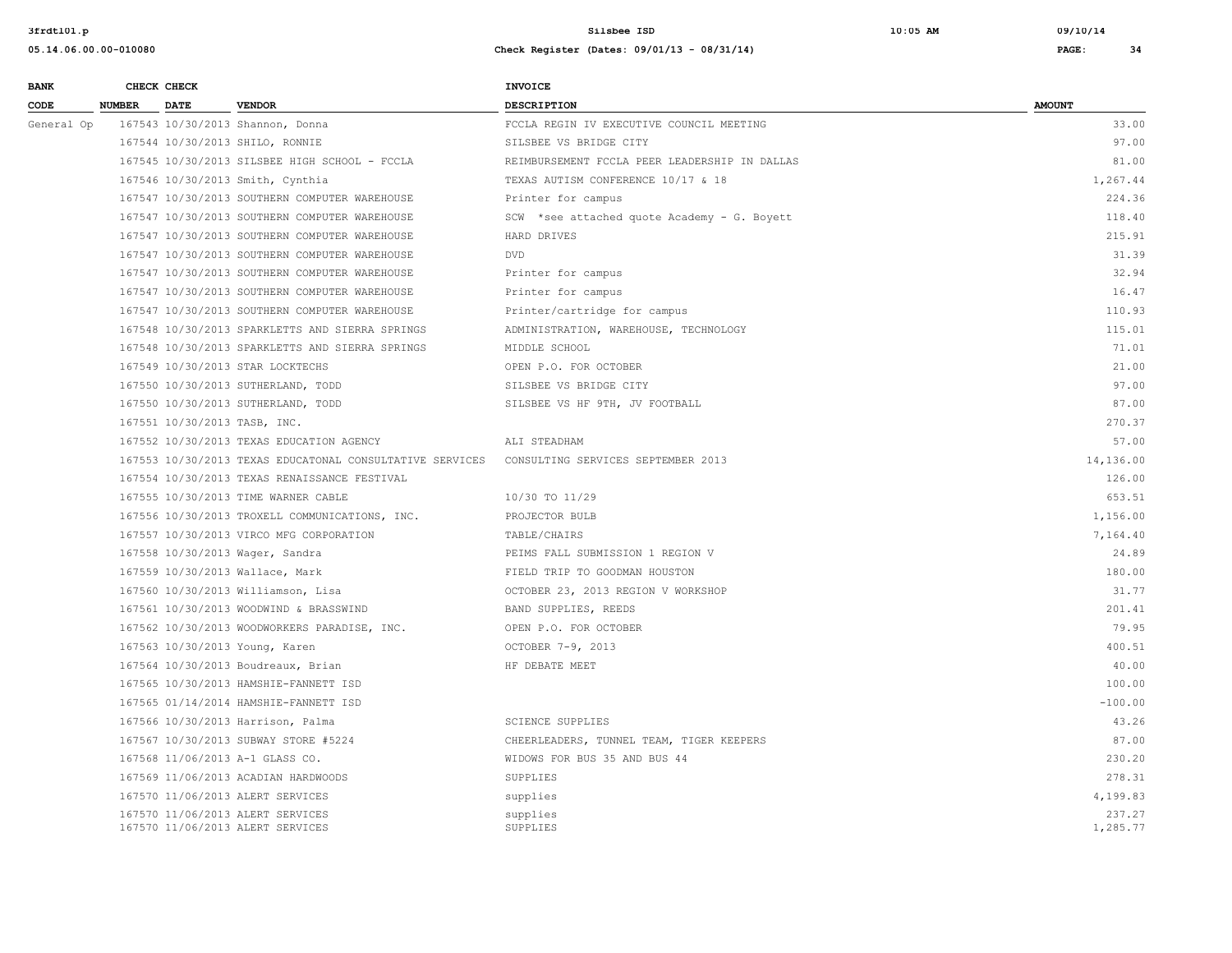| <b>BANK</b> |               | CHECK CHECK                  |                                                                      | <b>INVOICE</b>                                |                    |
|-------------|---------------|------------------------------|----------------------------------------------------------------------|-----------------------------------------------|--------------------|
| CODE        | <b>NUMBER</b> | <b>DATE</b>                  | <b>VENDOR</b>                                                        | <b>DESCRIPTION</b>                            | <b>AMOUNT</b>      |
| General Op  |               |                              | 167543 10/30/2013 Shannon, Donna                                     | FCCLA REGIN IV EXECUTIVE COUNCIL MEETING      | 33.00              |
|             |               |                              | 167544 10/30/2013 SHILO, RONNIE                                      | SILSBEE VS BRIDGE CITY                        | 97.00              |
|             |               |                              | 167545 10/30/2013 SILSBEE HIGH SCHOOL - FCCLA                        | REIMBURSEMENT FCCLA PEER LEADERSHIP IN DALLAS | 81.00              |
|             |               |                              | 167546 10/30/2013 Smith, Cynthia                                     | TEXAS AUTISM CONFERENCE 10/17 & 18            | 1,267.44           |
|             |               |                              | 167547 10/30/2013 SOUTHERN COMPUTER WAREHOUSE                        | Printer for campus                            | 224.36             |
|             |               |                              | 167547 10/30/2013 SOUTHERN COMPUTER WAREHOUSE                        | SCW *see attached quote Academy - G. Boyett   | 118.40             |
|             |               |                              | 167547 10/30/2013 SOUTHERN COMPUTER WAREHOUSE                        | HARD DRIVES                                   | 215.91             |
|             |               |                              | 167547 10/30/2013 SOUTHERN COMPUTER WAREHOUSE                        | <b>DVD</b>                                    | 31.39              |
|             |               |                              | 167547 10/30/2013 SOUTHERN COMPUTER WAREHOUSE                        | Printer for campus                            | 32.94              |
|             |               |                              | 167547 10/30/2013 SOUTHERN COMPUTER WAREHOUSE                        | Printer for campus                            | 16.47              |
|             |               |                              | 167547 10/30/2013 SOUTHERN COMPUTER WAREHOUSE                        | Printer/cartridge for campus                  | 110.93             |
|             |               |                              | 167548 10/30/2013 SPARKLETTS AND SIERRA SPRINGS                      | ADMINISTRATION, WAREHOUSE, TECHNOLOGY         | 115.01             |
|             |               |                              | 167548 10/30/2013 SPARKLETTS AND SIERRA SPRINGS                      | MIDDLE SCHOOL                                 | 71.01              |
|             |               |                              | 167549 10/30/2013 STAR LOCKTECHS                                     | OPEN P.O. FOR OCTOBER                         | 21.00              |
|             |               |                              | 167550 10/30/2013 SUTHERLAND, TODD                                   | SILSBEE VS BRIDGE CITY                        | 97.00              |
|             |               |                              | 167550 10/30/2013 SUTHERLAND, TODD                                   | SILSBEE VS HF 9TH, JV FOOTBALL                | 87.00              |
|             |               | 167551 10/30/2013 TASB, INC. |                                                                      |                                               | 270.37             |
|             |               |                              | 167552 10/30/2013 TEXAS EDUCATION AGENCY                             | ALI STEADHAM                                  | 57.00              |
|             |               |                              | 167553 10/30/2013 TEXAS EDUCATONAL CONSULTATIVE SERVICES             | CONSULTING SERVICES SEPTEMBER 2013            | 14,136.00          |
|             |               |                              | 167554 10/30/2013 TEXAS RENAISSANCE FESTIVAL                         |                                               | 126.00             |
|             |               |                              | 167555 10/30/2013 TIME WARNER CABLE                                  | 10/30 TO 11/29                                | 653.51             |
|             |               |                              | 167556 10/30/2013 TROXELL COMMUNICATIONS, INC.                       | PROJECTOR BULB                                | 1,156.00           |
|             |               |                              | 167557 10/30/2013 VIRCO MFG CORPORATION                              | TABLE/CHAIRS                                  | 7,164.40           |
|             |               |                              | 167558 10/30/2013 Wager, Sandra                                      | PEIMS FALL SUBMISSION 1 REGION V              | 24.89              |
|             |               |                              | 167559 10/30/2013 Wallace, Mark                                      | FIELD TRIP TO GOODMAN HOUSTON                 | 180.00             |
|             |               |                              | 167560 10/30/2013 Williamson, Lisa                                   | OCTOBER 23, 2013 REGION V WORKSHOP            | 31.77              |
|             |               |                              | 167561 10/30/2013 WOODWIND & BRASSWIND                               | BAND SUPPLIES, REEDS                          | 201.41             |
|             |               |                              | 167562 10/30/2013 WOODWORKERS PARADISE, INC.                         | OPEN P.O. FOR OCTOBER                         | 79.95              |
|             |               |                              | 167563 10/30/2013 Young, Karen                                       | OCTOBER 7-9, 2013                             | 400.51             |
|             |               |                              | 167564 10/30/2013 Boudreaux, Brian                                   | HF DEBATE MEET                                | 40.00              |
|             |               |                              | 167565 10/30/2013 HAMSHIE-FANNETT ISD                                |                                               | 100.00             |
|             |               |                              | 167565 01/14/2014 HAMSHIE-FANNETT ISD                                |                                               | $-100.00$          |
|             |               |                              | 167566 10/30/2013 Harrison, Palma                                    | <b>SCIENCE SUPPLIES</b>                       | 43.26              |
|             |               |                              | 167567 10/30/2013 SUBWAY STORE #5224                                 | CHEERLEADERS, TUNNEL TEAM, TIGER KEEPERS      | 87.00              |
|             |               |                              | 167568 11/06/2013 A-1 GLASS CO.                                      | WIDOWS FOR BUS 35 AND BUS 44                  | 230.20             |
|             |               |                              | 167569 11/06/2013 ACADIAN HARDWOODS                                  | SUPPLIES                                      | 278.31             |
|             |               |                              | 167570 11/06/2013 ALERT SERVICES                                     | supplies                                      | 4,199.83           |
|             |               |                              | 167570 11/06/2013 ALERT SERVICES<br>167570 11/06/2013 ALERT SERVICES | supplies<br>SUPPLIES                          | 237.27<br>1,285.77 |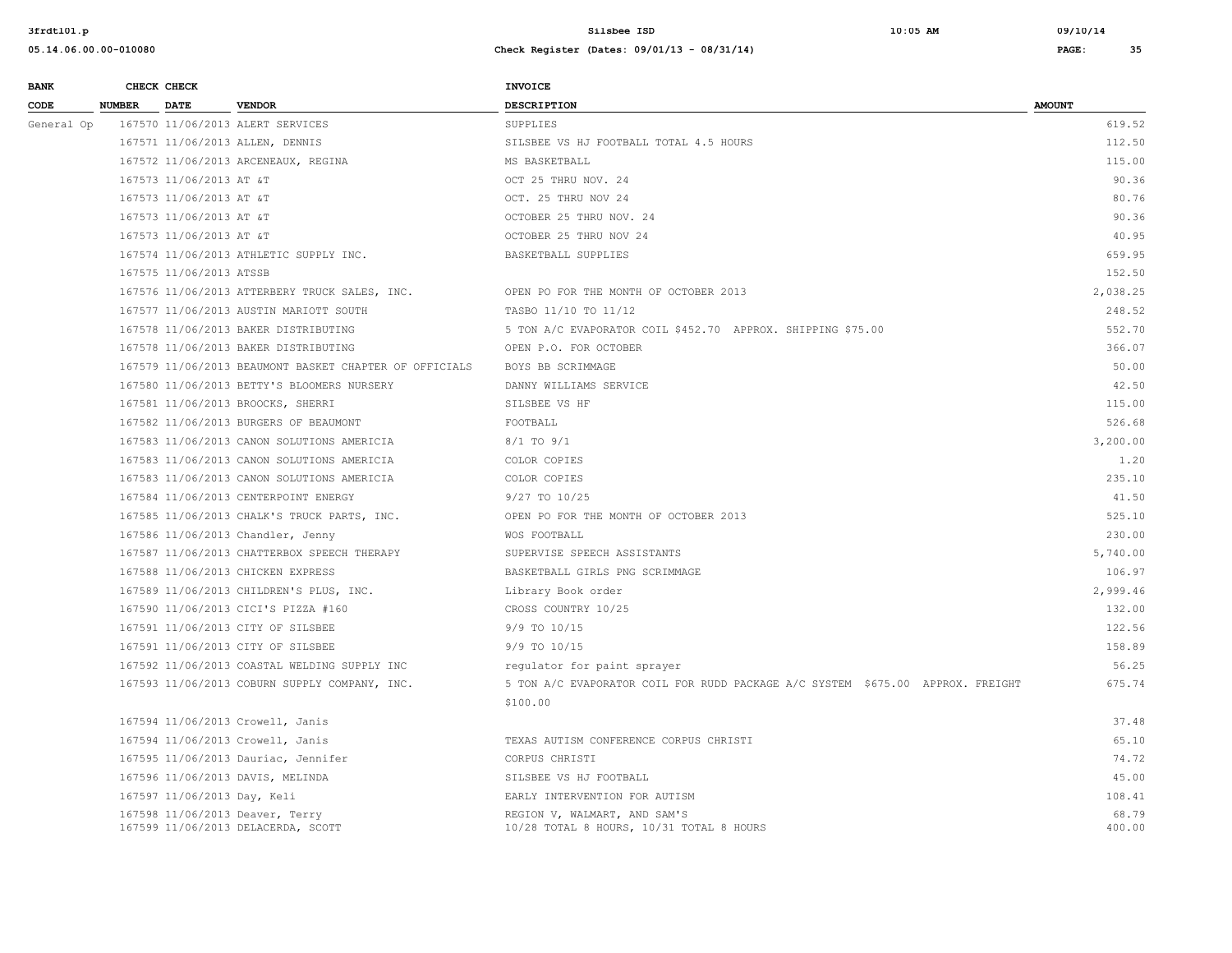| <b>BANK</b> |               | CHECK CHECK                 |                                                                       | <b>INVOICE</b>                                                                 |                 |
|-------------|---------------|-----------------------------|-----------------------------------------------------------------------|--------------------------------------------------------------------------------|-----------------|
| CODE        | <b>NUMBER</b> | <b>DATE</b>                 | <b>VENDOR</b>                                                         | <b>DESCRIPTION</b>                                                             | <b>AMOUNT</b>   |
| General Op  |               |                             | 167570 11/06/2013 ALERT SERVICES                                      | SUPPLIES                                                                       | 619.52          |
|             |               |                             | 167571 11/06/2013 ALLEN, DENNIS                                       | SILSBEE VS HJ FOOTBALL TOTAL 4.5 HOURS                                         | 112.50          |
|             |               |                             | 167572 11/06/2013 ARCENEAUX, REGINA                                   | MS BASKETBALL                                                                  | 115.00          |
|             |               | 167573 11/06/2013 AT &T     |                                                                       | OCT 25 THRU NOV. 24                                                            | 90.36           |
|             |               | 167573 11/06/2013 AT &T     |                                                                       | OCT. 25 THRU NOV 24                                                            | 80.76           |
|             |               | 167573 11/06/2013 AT &T     |                                                                       | OCTOBER 25 THRU NOV. 24                                                        | 90.36           |
|             |               | 167573 11/06/2013 AT &T     |                                                                       | OCTOBER 25 THRU NOV 24                                                         | 40.95           |
|             |               |                             | 167574 11/06/2013 ATHLETIC SUPPLY INC.                                | BASKETBALL SUPPLIES                                                            | 659.95          |
|             |               | 167575 11/06/2013 ATSSB     |                                                                       |                                                                                | 152.50          |
|             |               |                             | 167576 11/06/2013 ATTERBERY TRUCK SALES, INC.                         | OPEN PO FOR THE MONTH OF OCTOBER 2013                                          | 2,038.25        |
|             |               |                             | 167577 11/06/2013 AUSTIN MARIOTT SOUTH                                | TASBO 11/10 TO 11/12                                                           | 248.52          |
|             |               |                             | 167578 11/06/2013 BAKER DISTRIBUTING                                  | 5 TON A/C EVAPORATOR COIL \$452.70 APPROX. SHIPPING \$75.00                    | 552.70          |
|             |               |                             | 167578 11/06/2013 BAKER DISTRIBUTING                                  | OPEN P.O. FOR OCTOBER                                                          | 366.07          |
|             |               |                             | 167579 11/06/2013 BEAUMONT BASKET CHAPTER OF OFFICIALS                | BOYS BB SCRIMMAGE                                                              | 50.00           |
|             |               |                             | 167580 11/06/2013 BETTY'S BLOOMERS NURSERY                            | DANNY WILLIAMS SERVICE                                                         | 42.50           |
|             |               |                             | 167581 11/06/2013 BROOCKS, SHERRI                                     | SILSBEE VS HF                                                                  | 115.00          |
|             |               |                             | 167582 11/06/2013 BURGERS OF BEAUMONT                                 | FOOTBALL                                                                       | 526.68          |
|             |               |                             | 167583 11/06/2013 CANON SOLUTIONS AMERICIA                            | $8/1$ TO $9/1$                                                                 | 3,200.00        |
|             |               |                             | 167583 11/06/2013 CANON SOLUTIONS AMERICIA                            | COLOR COPIES                                                                   | 1.20            |
|             |               |                             | 167583 11/06/2013 CANON SOLUTIONS AMERICIA                            | COLOR COPIES                                                                   | 235.10          |
|             |               |                             | 167584 11/06/2013 CENTERPOINT ENERGY                                  | 9/27 TO 10/25                                                                  | 41.50           |
|             |               |                             | 167585 11/06/2013 CHALK'S TRUCK PARTS, INC.                           | OPEN PO FOR THE MONTH OF OCTOBER 2013                                          | 525.10          |
|             |               |                             | 167586 11/06/2013 Chandler, Jenny                                     | WOS FOOTBALL                                                                   | 230.00          |
|             |               |                             | 167587 11/06/2013 CHATTERBOX SPEECH THERAPY                           | SUPERVISE SPEECH ASSISTANTS                                                    | 5,740.00        |
|             |               |                             | 167588 11/06/2013 CHICKEN EXPRESS                                     | BASKETBALL GIRLS PNG SCRIMMAGE                                                 | 106.97          |
|             |               |                             | 167589 11/06/2013 CHILDREN'S PLUS, INC.                               | Library Book order                                                             | 2,999.46        |
|             |               |                             | 167590 11/06/2013 CICI'S PIZZA #160                                   | CROSS COUNTRY 10/25                                                            | 132.00          |
|             |               |                             | 167591 11/06/2013 CITY OF SILSBEE                                     | 9/9 TO 10/15                                                                   | 122.56          |
|             |               |                             | 167591 11/06/2013 CITY OF SILSBEE                                     | 9/9 TO 10/15                                                                   | 158.89          |
|             |               |                             | 167592 11/06/2013 COASTAL WELDING SUPPLY INC                          | regulator for paint sprayer                                                    | 56.25           |
|             |               |                             | 167593 11/06/2013 COBURN SUPPLY COMPANY, INC.                         | 5 TON A/C EVAPORATOR COIL FOR RUDD PACKAGE A/C SYSTEM \$675.00 APPROX. FREIGHT | 675.74          |
|             |               |                             |                                                                       | \$100.00                                                                       |                 |
|             |               |                             | 167594 11/06/2013 Crowell, Janis                                      |                                                                                | 37.48           |
|             |               |                             | 167594 11/06/2013 Crowell, Janis                                      | TEXAS AUTISM CONFERENCE CORPUS CHRISTI                                         | 65.10           |
|             |               |                             | 167595 11/06/2013 Dauriac, Jennifer                                   | CORPUS CHRISTI                                                                 | 74.72           |
|             |               |                             | 167596 11/06/2013 DAVIS, MELINDA                                      | SILSBEE VS HJ FOOTBALL                                                         | 45.00           |
|             |               | 167597 11/06/2013 Day, Keli |                                                                       | EARLY INTERVENTION FOR AUTISM                                                  | 108.41          |
|             |               |                             | 167598 11/06/2013 Deaver, Terry<br>167599 11/06/2013 DELACERDA, SCOTT | REGION V, WALMART, AND SAM'S<br>10/28 TOTAL 8 HOURS, 10/31 TOTAL 8 HOURS       | 68.79<br>400.00 |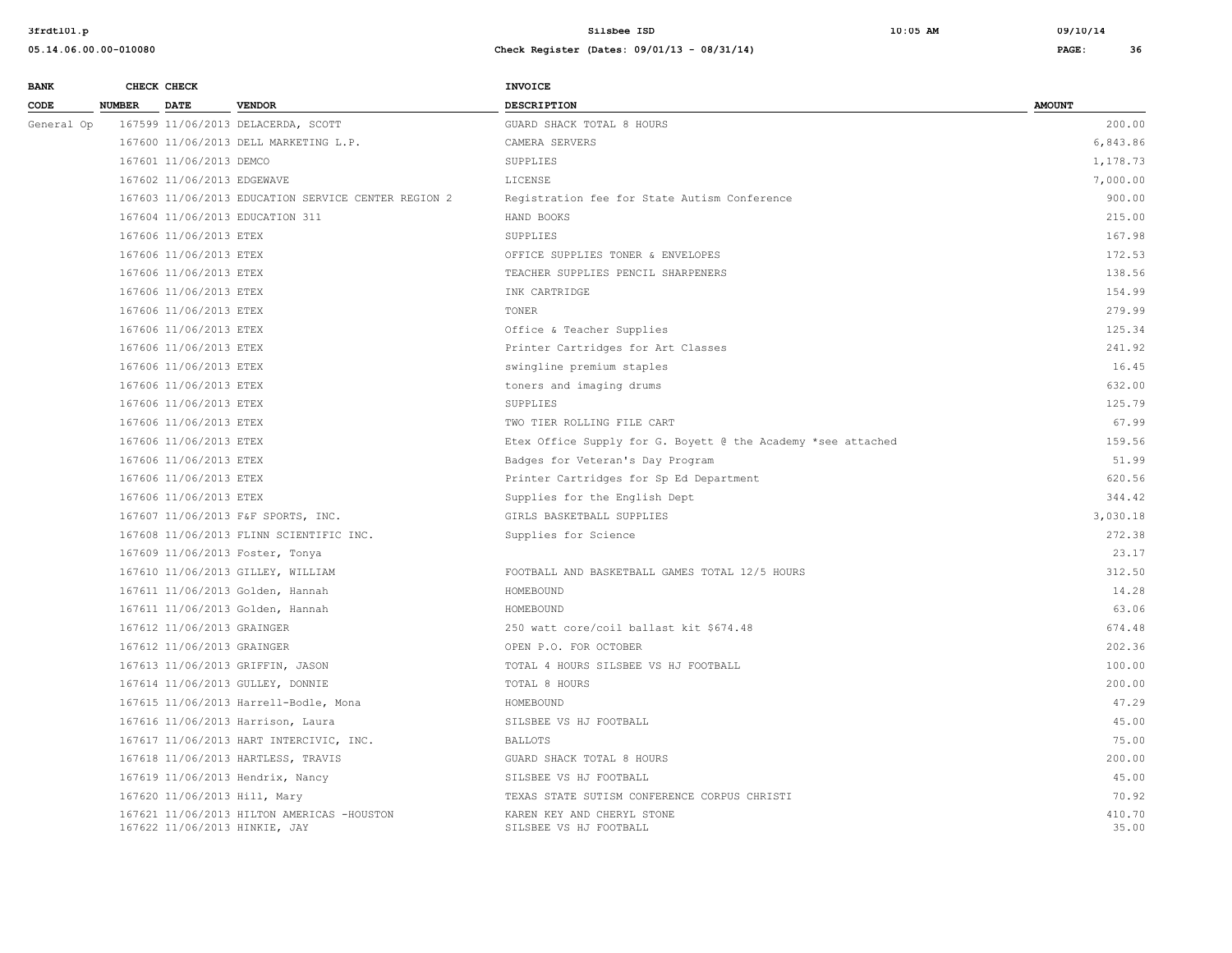| <b>BANK</b> |               | CHECK CHECK                |                                                                             | INVOICE                                                      |                 |
|-------------|---------------|----------------------------|-----------------------------------------------------------------------------|--------------------------------------------------------------|-----------------|
| CODE        | <b>NUMBER</b> | <b>DATE</b>                | <b>VENDOR</b>                                                               | <b>DESCRIPTION</b>                                           | <b>AMOUNT</b>   |
| General Op  |               |                            | 167599 11/06/2013 DELACERDA, SCOTT                                          | GUARD SHACK TOTAL 8 HOURS                                    | 200.00          |
|             |               |                            | 167600 11/06/2013 DELL MARKETING L.P.                                       | CAMERA SERVERS                                               | 6,843.86        |
|             |               | 167601 11/06/2013 DEMCO    |                                                                             | SUPPLIES                                                     | 1,178.73        |
|             |               | 167602 11/06/2013 EDGEWAVE |                                                                             | LICENSE                                                      | 7,000.00        |
|             |               |                            | 167603 11/06/2013 EDUCATION SERVICE CENTER REGION 2                         | Registration fee for State Autism Conference                 | 900.00          |
|             |               |                            | 167604 11/06/2013 EDUCATION 311                                             | HAND BOOKS                                                   | 215.00          |
|             |               | 167606 11/06/2013 ETEX     |                                                                             | SUPPLIES                                                     | 167.98          |
|             |               | 167606 11/06/2013 ETEX     |                                                                             | OFFICE SUPPLIES TONER & ENVELOPES                            | 172.53          |
|             |               | 167606 11/06/2013 ETEX     |                                                                             | TEACHER SUPPLIES PENCIL SHARPENERS                           | 138.56          |
|             |               | 167606 11/06/2013 ETEX     |                                                                             | INK CARTRIDGE                                                | 154.99          |
|             |               | 167606 11/06/2013 ETEX     |                                                                             | TONER                                                        | 279.99          |
|             |               | 167606 11/06/2013 ETEX     |                                                                             | Office & Teacher Supplies                                    | 125.34          |
|             |               | 167606 11/06/2013 ETEX     |                                                                             | Printer Cartridges for Art Classes                           | 241.92          |
|             |               | 167606 11/06/2013 ETEX     |                                                                             | swingline premium staples                                    | 16.45           |
|             |               | 167606 11/06/2013 ETEX     |                                                                             | toners and imaging drums                                     | 632.00          |
|             |               | 167606 11/06/2013 ETEX     |                                                                             | SUPPLIES                                                     | 125.79          |
|             |               | 167606 11/06/2013 ETEX     |                                                                             | TWO TIER ROLLING FILE CART                                   | 67.99           |
|             |               | 167606 11/06/2013 ETEX     |                                                                             | Etex Office Supply for G. Boyett @ the Academy *see attached | 159.56          |
|             |               | 167606 11/06/2013 ETEX     |                                                                             | Badges for Veteran's Day Program                             | 51.99           |
|             |               | 167606 11/06/2013 ETEX     |                                                                             | Printer Cartridges for Sp Ed Department                      | 620.56          |
|             |               | 167606 11/06/2013 ETEX     |                                                                             | Supplies for the English Dept                                | 344.42          |
|             |               |                            | 167607 11/06/2013 F&F SPORTS, INC.                                          | GIRLS BASKETBALL SUPPLIES                                    | 3,030.18        |
|             |               |                            | 167608 11/06/2013 FLINN SCIENTIFIC INC.                                     | Supplies for Science                                         | 272.38          |
|             |               |                            | 167609 11/06/2013 Foster, Tonya                                             |                                                              | 23.17           |
|             |               |                            | 167610 11/06/2013 GILLEY, WILLIAM                                           | FOOTBALL AND BASKETBALL GAMES TOTAL 12/5 HOURS               | 312.50          |
|             |               |                            | 167611 11/06/2013 Golden, Hannah                                            | HOMEBOUND                                                    | 14.28           |
|             |               |                            | 167611 11/06/2013 Golden, Hannah                                            | HOMEBOUND                                                    | 63.06           |
|             |               | 167612 11/06/2013 GRAINGER |                                                                             | 250 watt core/coil ballast kit \$674.48                      | 674.48          |
|             |               | 167612 11/06/2013 GRAINGER |                                                                             | OPEN P.O. FOR OCTOBER                                        | 202.36          |
|             |               |                            | 167613 11/06/2013 GRIFFIN, JASON                                            | TOTAL 4 HOURS SILSBEE VS HJ FOOTBALL                         | 100.00          |
|             |               |                            | 167614 11/06/2013 GULLEY, DONNIE                                            | TOTAL 8 HOURS                                                | 200.00          |
|             |               |                            | 167615 11/06/2013 Harrell-Bodle, Mona                                       | HOMEBOUND                                                    | 47.29           |
|             |               |                            | 167616 11/06/2013 Harrison, Laura                                           | SILSBEE VS HJ FOOTBALL                                       | 45.00           |
|             |               |                            | 167617 11/06/2013 HART INTERCIVIC, INC.                                     | <b>BALLOTS</b>                                               | 75.00           |
|             |               |                            | 167618 11/06/2013 HARTLESS, TRAVIS                                          | GUARD SHACK TOTAL 8 HOURS                                    | 200.00          |
|             |               |                            | 167619 11/06/2013 Hendrix, Nancy                                            | SILSBEE VS HJ FOOTBALL                                       | 45.00           |
|             |               |                            | 167620 11/06/2013 Hill, Mary                                                | TEXAS STATE SUTISM CONFERENCE CORPUS CHRISTI                 | 70.92           |
|             |               |                            | 167621 11/06/2013 HILTON AMERICAS -HOUSTON<br>167622 11/06/2013 HINKIE, JAY | KAREN KEY AND CHERYL STONE<br>SILSBEE VS HJ FOOTBALL         | 410.70<br>35.00 |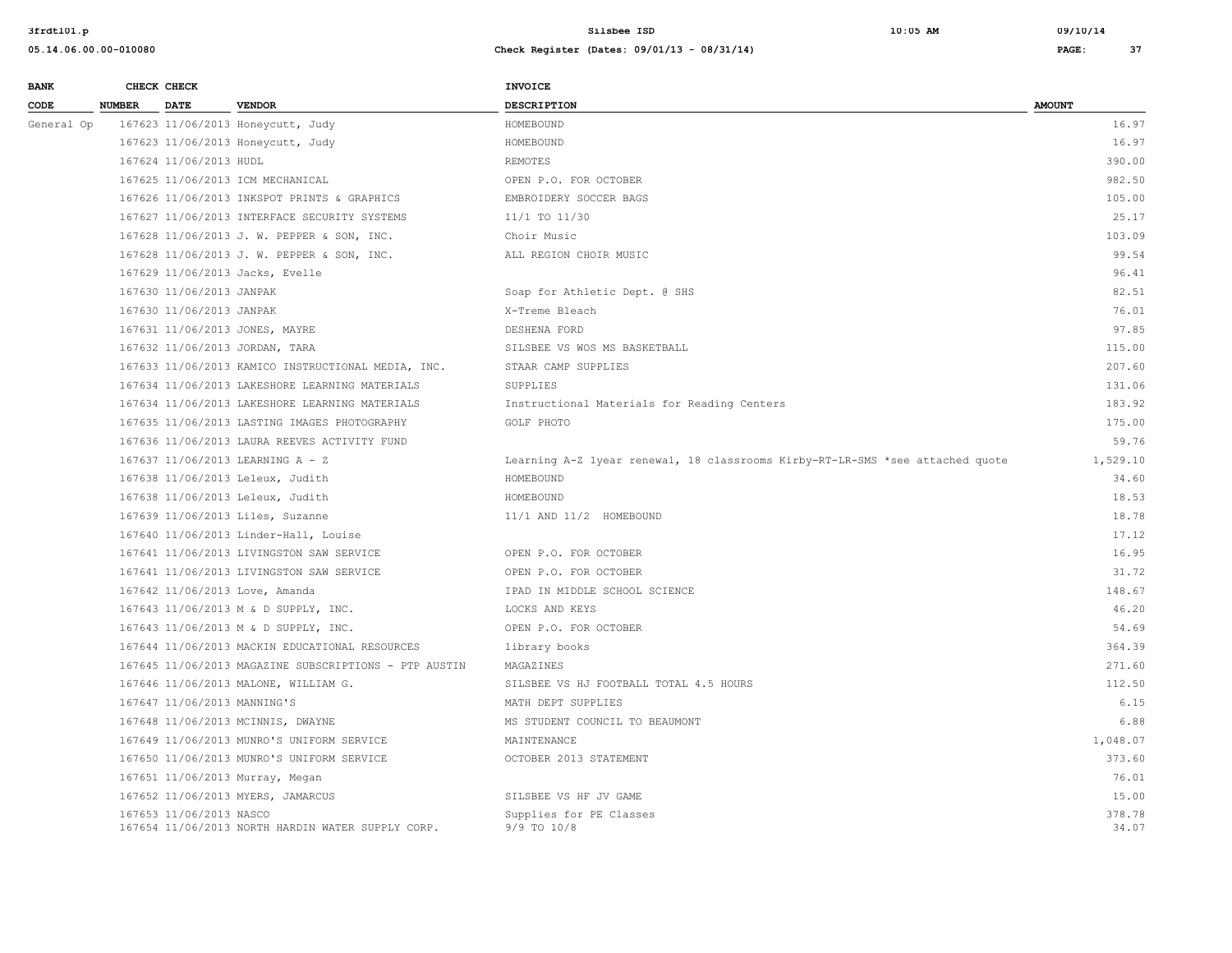| <b>BANK</b> |               | CHECK CHECK                 |                                                       | <b>INVOICE</b>                                                                |                 |
|-------------|---------------|-----------------------------|-------------------------------------------------------|-------------------------------------------------------------------------------|-----------------|
| CODE        | <b>NUMBER</b> | <b>DATE</b>                 | <b>VENDOR</b>                                         | DESCRIPTION                                                                   | <b>AMOUNT</b>   |
| General Op  |               |                             | 167623 11/06/2013 Honeycutt, Judy                     | HOMEBOUND                                                                     | 16.97           |
|             |               |                             | 167623 11/06/2013 Honeycutt, Judy                     | HOMEBOUND                                                                     | 16.97           |
|             |               | 167624 11/06/2013 HUDL      |                                                       | REMOTES                                                                       | 390.00          |
|             |               |                             | 167625 11/06/2013 ICM MECHANICAL                      | OPEN P.O. FOR OCTOBER                                                         | 982.50          |
|             |               |                             | 167626 11/06/2013 INKSPOT PRINTS & GRAPHICS           | EMBROIDERY SOCCER BAGS                                                        | 105.00          |
|             |               |                             | 167627 11/06/2013 INTERFACE SECURITY SYSTEMS          | 11/1 TO 11/30                                                                 | 25.17           |
|             |               |                             | 167628 11/06/2013 J. W. PEPPER & SON, INC.            | Choir Music                                                                   | 103.09          |
|             |               |                             | 167628 11/06/2013 J. W. PEPPER & SON, INC.            | ALL REGION CHOIR MUSIC                                                        | 99.54           |
|             |               |                             | 167629 11/06/2013 Jacks, Evelle                       |                                                                               | 96.41           |
|             |               | 167630 11/06/2013 JANPAK    |                                                       | Soap for Athletic Dept. @ SHS                                                 | 82.51           |
|             |               | 167630 11/06/2013 JANPAK    |                                                       | X-Treme Bleach                                                                | 76.01           |
|             |               |                             | 167631 11/06/2013 JONES, MAYRE                        | DESHENA FORD                                                                  | 97.85           |
|             |               |                             | 167632 11/06/2013 JORDAN, TARA                        | SILSBEE VS WOS MS BASKETBALL                                                  | 115.00          |
|             |               |                             | 167633 11/06/2013 KAMICO INSTRUCTIONAL MEDIA, INC.    | STAAR CAMP SUPPLIES                                                           | 207.60          |
|             |               |                             | 167634 11/06/2013 LAKESHORE LEARNING MATERIALS        | SUPPLIES                                                                      | 131.06          |
|             |               |                             | 167634 11/06/2013 LAKESHORE LEARNING MATERIALS        | Instructional Materials for Reading Centers                                   | 183.92          |
|             |               |                             | 167635 11/06/2013 LASTING IMAGES PHOTOGRAPHY          | GOLF PHOTO                                                                    | 175.00          |
|             |               |                             | 167636 11/06/2013 LAURA REEVES ACTIVITY FUND          |                                                                               | 59.76           |
|             |               |                             | 167637 11/06/2013 LEARNING A - Z                      | Learning A-Z lyear renewal, 18 classrooms Kirby-RT-LR-SMS *see attached quote | 1,529.10        |
|             |               |                             | 167638 11/06/2013 Leleux, Judith                      | HOMEBOUND                                                                     | 34.60           |
|             |               |                             | 167638 11/06/2013 Leleux, Judith                      | HOMEBOUND                                                                     | 18.53           |
|             |               |                             | 167639 11/06/2013 Liles, Suzanne                      | 11/1 AND 11/2 HOMEBOUND                                                       | 18.78           |
|             |               |                             | 167640 11/06/2013 Linder-Hall, Louise                 |                                                                               | 17.12           |
|             |               |                             | 167641 11/06/2013 LIVINGSTON SAW SERVICE              | OPEN P.O. FOR OCTOBER                                                         | 16.95           |
|             |               |                             | 167641 11/06/2013 LIVINGSTON SAW SERVICE              | OPEN P.O. FOR OCTOBER                                                         | 31.72           |
|             |               |                             | 167642 11/06/2013 Love, Amanda                        | IPAD IN MIDDLE SCHOOL SCIENCE                                                 | 148.67          |
|             |               |                             | 167643 11/06/2013 M & D SUPPLY, INC.                  | LOCKS AND KEYS                                                                | 46.20           |
|             |               |                             | 167643 11/06/2013 M & D SUPPLY, INC.                  | OPEN P.O. FOR OCTOBER                                                         | 54.69           |
|             |               |                             | 167644 11/06/2013 MACKIN EDUCATIONAL RESOURCES        | library books                                                                 | 364.39          |
|             |               |                             | 167645 11/06/2013 MAGAZINE SUBSCRIPTIONS - PTP AUSTIN | MAGAZINES                                                                     | 271.60          |
|             |               |                             | 167646 11/06/2013 MALONE, WILLIAM G.                  | SILSBEE VS HJ FOOTBALL TOTAL 4.5 HOURS                                        | 112.50          |
|             |               | 167647 11/06/2013 MANNING'S |                                                       | MATH DEPT SUPPLIES                                                            | 6.15            |
|             |               |                             | 167648 11/06/2013 MCINNIS, DWAYNE                     | MS STUDENT COUNCIL TO BEAUMONT                                                | 6.88            |
|             |               |                             | 167649 11/06/2013 MUNRO'S UNIFORM SERVICE             | MAINTENANCE                                                                   | 1,048.07        |
|             |               |                             | 167650 11/06/2013 MUNRO'S UNIFORM SERVICE             | OCTOBER 2013 STATEMENT                                                        | 373.60          |
|             |               |                             | 167651 11/06/2013 Murray, Megan                       |                                                                               | 76.01           |
|             |               |                             | 167652 11/06/2013 MYERS, JAMARCUS                     | SILSBEE VS HF JV GAME                                                         | 15.00           |
|             |               | 167653 11/06/2013 NASCO     | 167654 11/06/2013 NORTH HARDIN WATER SUPPLY CORP.     | Supplies for PE Classes<br>9/9 TO 10/8                                        | 378.78<br>34.07 |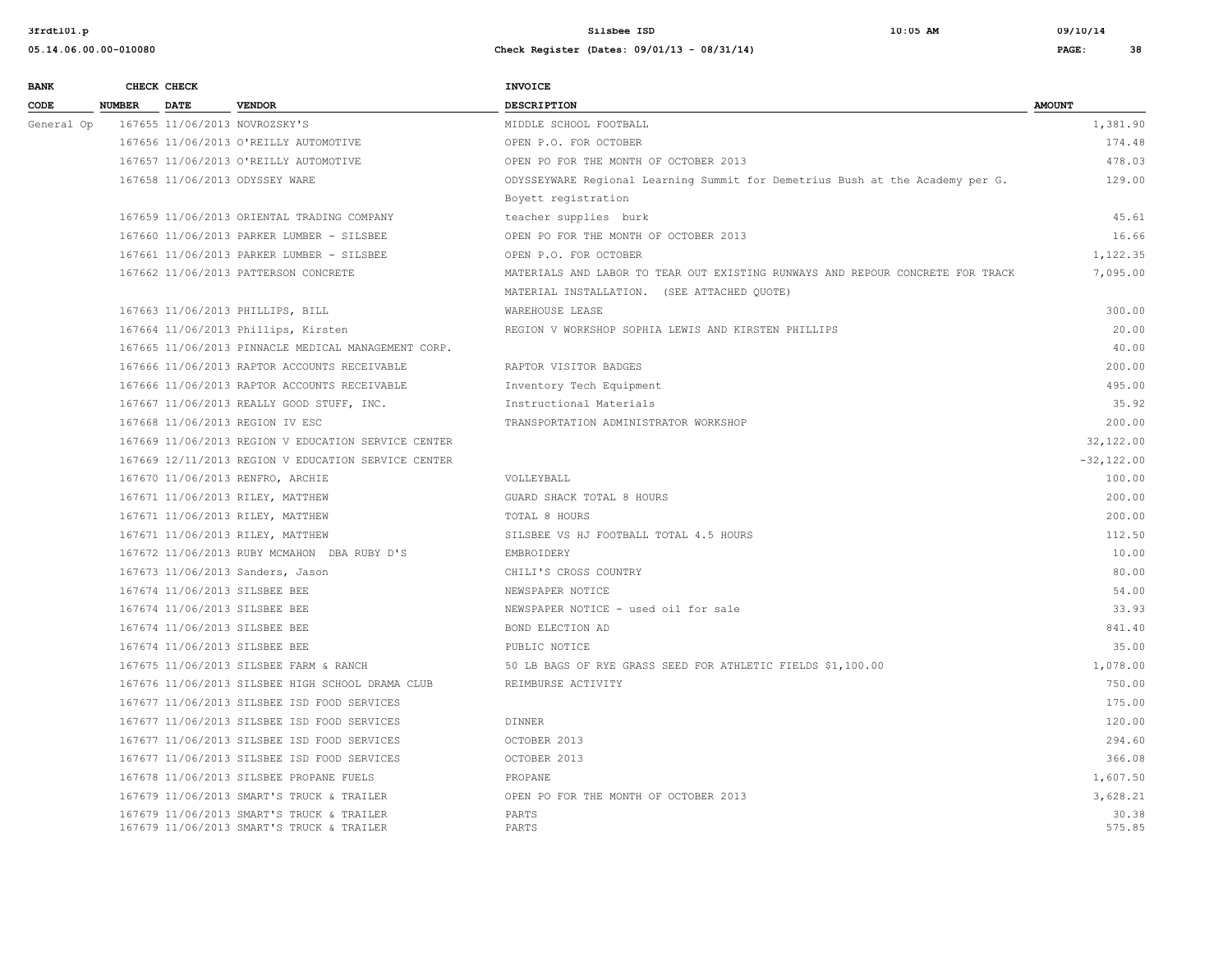| <b>BANK</b> |               | CHECK CHECK |                                                                                        | <b>INVOICE</b>                                                                 |                 |
|-------------|---------------|-------------|----------------------------------------------------------------------------------------|--------------------------------------------------------------------------------|-----------------|
| CODE        | <b>NUMBER</b> | DATE        | <b>VENDOR</b>                                                                          | DESCRIPTION                                                                    | <b>AMOUNT</b>   |
| General Op  |               |             | 167655 11/06/2013 NOVROZSKY'S                                                          | MIDDLE SCHOOL FOOTBALL                                                         | 1,381.90        |
|             |               |             | 167656 11/06/2013 O'REILLY AUTOMOTIVE                                                  | OPEN P.O. FOR OCTOBER                                                          | 174.48          |
|             |               |             | 167657 11/06/2013 O'REILLY AUTOMOTIVE                                                  | OPEN PO FOR THE MONTH OF OCTOBER 2013                                          | 478.03          |
|             |               |             | 167658 11/06/2013 ODYSSEY WARE                                                         | ODYSSEYWARE Regional Learning Summit for Demetrius Bush at the Academy per G.  | 129.00          |
|             |               |             |                                                                                        | Boyett registration                                                            |                 |
|             |               |             | 167659 11/06/2013 ORIENTAL TRADING COMPANY                                             | teacher supplies burk                                                          | 45.61           |
|             |               |             | 167660 11/06/2013 PARKER LUMBER - SILSBEE                                              | OPEN PO FOR THE MONTH OF OCTOBER 2013                                          | 16.66           |
|             |               |             | 167661 11/06/2013 PARKER LUMBER - SILSBEE                                              | OPEN P.O. FOR OCTOBER                                                          | 1,122.35        |
|             |               |             | 167662 11/06/2013 PATTERSON CONCRETE                                                   | MATERIALS AND LABOR TO TEAR OUT EXISTING RUNWAYS AND REPOUR CONCRETE FOR TRACK | 7,095.00        |
|             |               |             |                                                                                        | MATERIAL INSTALLATION. (SEE ATTACHED QUOTE)                                    |                 |
|             |               |             | 167663 11/06/2013 PHILLIPS, BILL                                                       | WAREHOUSE LEASE                                                                | 300.00          |
|             |               |             | 167664 11/06/2013 Phillips, Kirsten                                                    | REGION V WORKSHOP SOPHIA LEWIS AND KIRSTEN PHILLIPS                            | 20.00           |
|             |               |             | 167665 11/06/2013 PINNACLE MEDICAL MANAGEMENT CORP.                                    |                                                                                | 40.00           |
|             |               |             | 167666 11/06/2013 RAPTOR ACCOUNTS RECEIVABLE                                           | RAPTOR VISITOR BADGES                                                          | 200.00          |
|             |               |             | 167666 11/06/2013 RAPTOR ACCOUNTS RECEIVABLE                                           | Inventory Tech Equipment                                                       | 495.00          |
|             |               |             | 167667 11/06/2013 REALLY GOOD STUFF, INC.                                              | Instructional Materials                                                        | 35.92           |
|             |               |             | 167668 11/06/2013 REGION IV ESC                                                        | TRANSPORTATION ADMINISTRATOR WORKSHOP                                          | 200.00          |
|             |               |             | 167669 11/06/2013 REGION V EDUCATION SERVICE CENTER                                    |                                                                                | 32,122.00       |
|             |               |             | 167669 12/11/2013 REGION V EDUCATION SERVICE CENTER                                    |                                                                                | $-32, 122.00$   |
|             |               |             | 167670 11/06/2013 RENFRO, ARCHIE                                                       | VOLLEYBALL                                                                     | 100.00          |
|             |               |             | 167671 11/06/2013 RILEY, MATTHEW                                                       | GUARD SHACK TOTAL 8 HOURS                                                      | 200.00          |
|             |               |             | 167671 11/06/2013 RILEY, MATTHEW                                                       | TOTAL 8 HOURS                                                                  | 200.00          |
|             |               |             | 167671 11/06/2013 RILEY, MATTHEW                                                       | SILSBEE VS HJ FOOTBALL TOTAL 4.5 HOURS                                         | 112.50          |
|             |               |             | 167672 11/06/2013 RUBY MCMAHON DBA RUBY D'S                                            | EMBROIDERY                                                                     | 10.00           |
|             |               |             | 167673 11/06/2013 Sanders, Jason                                                       | CHILI'S CROSS COUNTRY                                                          | 80.00           |
|             |               |             | 167674 11/06/2013 SILSBEE BEE                                                          | NEWSPAPER NOTICE                                                               | 54.00           |
|             |               |             | 167674 11/06/2013 SILSBEE BEE                                                          | NEWSPAPER NOTICE - used oil for sale                                           | 33.93           |
|             |               |             | 167674 11/06/2013 SILSBEE BEE                                                          | BOND ELECTION AD                                                               | 841.40          |
|             |               |             | 167674 11/06/2013 SILSBEE BEE                                                          | PUBLIC NOTICE                                                                  | 35.00           |
|             |               |             | 167675 11/06/2013 SILSBEE FARM & RANCH                                                 | 50 LB BAGS OF RYE GRASS SEED FOR ATHLETIC FIELDS \$1,100.00                    | 1,078.00        |
|             |               |             | 167676 11/06/2013 SILSBEE HIGH SCHOOL DRAMA CLUB                                       | REIMBURSE ACTIVITY                                                             | 750.00          |
|             |               |             | 167677 11/06/2013 SILSBEE ISD FOOD SERVICES                                            |                                                                                | 175.00          |
|             |               |             | 167677 11/06/2013 SILSBEE ISD FOOD SERVICES                                            | <b>DINNER</b>                                                                  | 120.00          |
|             |               |             | 167677 11/06/2013 SILSBEE ISD FOOD SERVICES                                            | OCTOBER 2013                                                                   | 294.60          |
|             |               |             | 167677 11/06/2013 SILSBEE ISD FOOD SERVICES                                            | OCTOBER 2013                                                                   | 366.08          |
|             |               |             | 167678 11/06/2013 SILSBEE PROPANE FUELS                                                | PROPANE                                                                        | 1,607.50        |
|             |               |             | 167679 11/06/2013 SMART'S TRUCK & TRAILER                                              | OPEN PO FOR THE MONTH OF OCTOBER 2013                                          | 3,628.21        |
|             |               |             | 167679 11/06/2013 SMART'S TRUCK & TRAILER<br>167679 11/06/2013 SMART'S TRUCK & TRAILER | PARTS<br>PARTS                                                                 | 30.38<br>575.85 |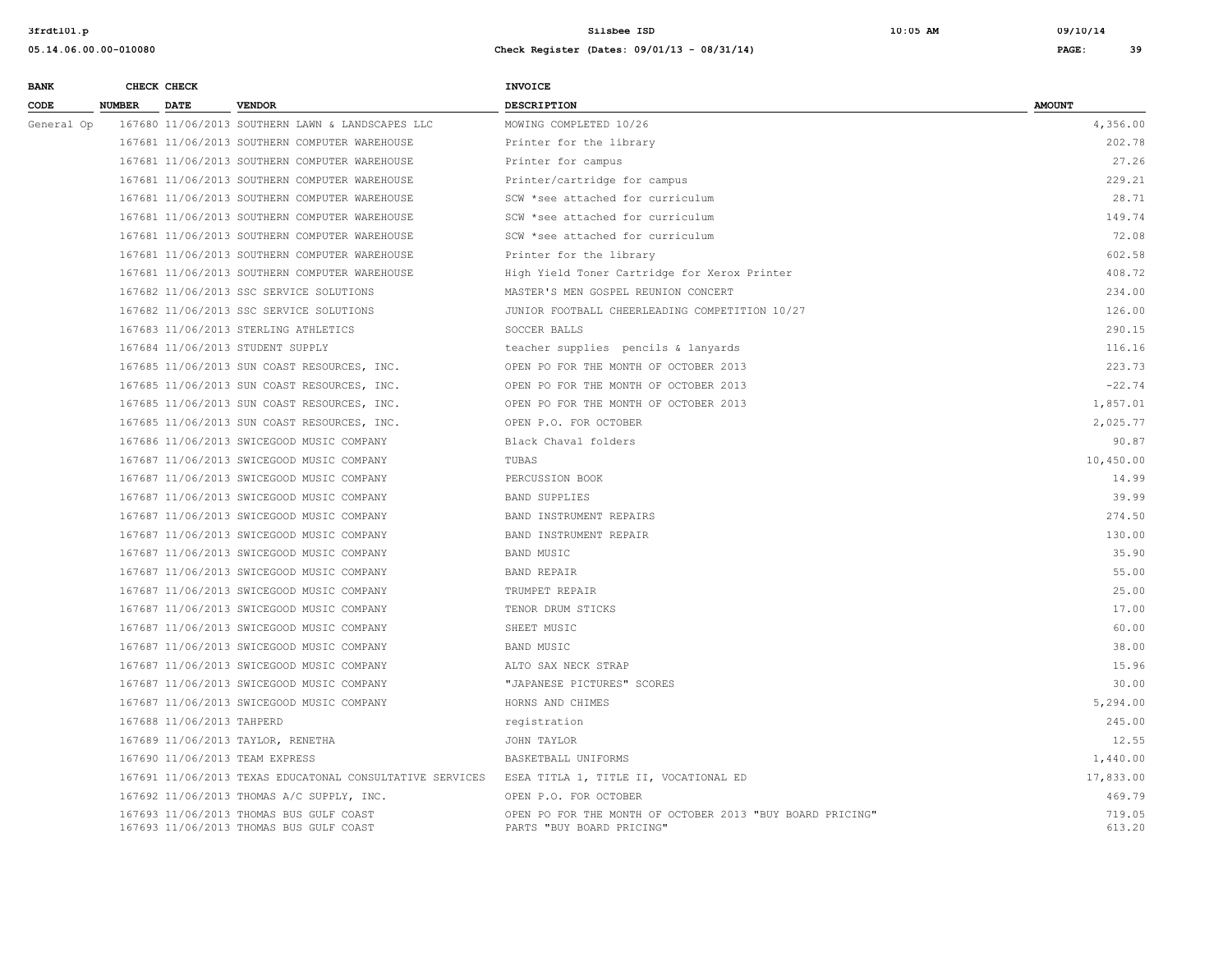| <b>BANK</b> | CHECK CHECK   |                           |                                                                                    | <b>INVOICE</b>                                                                         |                  |  |
|-------------|---------------|---------------------------|------------------------------------------------------------------------------------|----------------------------------------------------------------------------------------|------------------|--|
| CODE        | <b>NUMBER</b> | <b>DATE</b>               | <b>VENDOR</b>                                                                      | DESCRIPTION                                                                            | <b>AMOUNT</b>    |  |
| General Op  |               |                           | 167680 11/06/2013 SOUTHERN LAWN & LANDSCAPES LLC                                   | MOWING COMPLETED 10/26                                                                 | 4,356.00         |  |
|             |               |                           | 167681 11/06/2013 SOUTHERN COMPUTER WAREHOUSE                                      | Printer for the library                                                                | 202.78           |  |
|             |               |                           | 167681 11/06/2013 SOUTHERN COMPUTER WAREHOUSE                                      | Printer for campus                                                                     | 27.26            |  |
|             |               |                           | 167681 11/06/2013 SOUTHERN COMPUTER WAREHOUSE                                      | Printer/cartridge for campus                                                           | 229.21           |  |
|             |               |                           | 167681 11/06/2013 SOUTHERN COMPUTER WAREHOUSE                                      | SCW *see attached for curriculum                                                       | 28.71            |  |
|             |               |                           | 167681 11/06/2013 SOUTHERN COMPUTER WAREHOUSE                                      | SCW *see attached for curriculum                                                       | 149.74           |  |
|             |               |                           | 167681 11/06/2013 SOUTHERN COMPUTER WAREHOUSE                                      | SCW *see attached for curriculum                                                       | 72.08            |  |
|             |               |                           | 167681 11/06/2013 SOUTHERN COMPUTER WAREHOUSE                                      | Printer for the library                                                                | 602.58           |  |
|             |               |                           | 167681 11/06/2013 SOUTHERN COMPUTER WAREHOUSE                                      | High Yield Toner Cartridge for Xerox Printer                                           | 408.72           |  |
|             |               |                           | 167682 11/06/2013 SSC SERVICE SOLUTIONS                                            | MASTER'S MEN GOSPEL REUNION CONCERT                                                    | 234.00           |  |
|             |               |                           | 167682 11/06/2013 SSC SERVICE SOLUTIONS                                            | JUNIOR FOOTBALL CHEERLEADING COMPETITION 10/27                                         | 126.00           |  |
|             |               |                           | 167683 11/06/2013 STERLING ATHLETICS                                               | SOCCER BALLS                                                                           | 290.15           |  |
|             |               |                           | 167684 11/06/2013 STUDENT SUPPLY                                                   | teacher supplies pencils & lanyards                                                    | 116.16           |  |
|             |               |                           | 167685 11/06/2013 SUN COAST RESOURCES, INC.                                        | OPEN PO FOR THE MONTH OF OCTOBER 2013                                                  | 223.73           |  |
|             |               |                           | 167685 11/06/2013 SUN COAST RESOURCES, INC.                                        | OPEN PO FOR THE MONTH OF OCTOBER 2013                                                  | $-22.74$         |  |
|             |               |                           | 167685 11/06/2013 SUN COAST RESOURCES, INC.                                        | OPEN PO FOR THE MONTH OF OCTOBER 2013                                                  | 1,857.01         |  |
|             |               |                           | 167685 11/06/2013 SUN COAST RESOURCES, INC.                                        | OPEN P.O. FOR OCTOBER                                                                  | 2,025.77         |  |
|             |               |                           | 167686 11/06/2013 SWICEGOOD MUSIC COMPANY                                          | Black Chaval folders                                                                   | 90.87            |  |
|             |               |                           | 167687 11/06/2013 SWICEGOOD MUSIC COMPANY                                          | TUBAS                                                                                  | 10,450.00        |  |
|             |               |                           | 167687 11/06/2013 SWICEGOOD MUSIC COMPANY                                          | PERCUSSION BOOK                                                                        | 14.99            |  |
|             |               |                           | 167687 11/06/2013 SWICEGOOD MUSIC COMPANY                                          | <b>BAND SUPPLIES</b>                                                                   | 39.99            |  |
|             |               |                           | 167687 11/06/2013 SWICEGOOD MUSIC COMPANY                                          | BAND INSTRUMENT REPAIRS                                                                | 274.50           |  |
|             |               |                           | 167687 11/06/2013 SWICEGOOD MUSIC COMPANY                                          | BAND INSTRUMENT REPAIR                                                                 | 130.00           |  |
|             |               |                           | 167687 11/06/2013 SWICEGOOD MUSIC COMPANY                                          | BAND MUSIC                                                                             | 35.90            |  |
|             |               |                           | 167687 11/06/2013 SWICEGOOD MUSIC COMPANY                                          | <b>BAND REPAIR</b>                                                                     | 55.00            |  |
|             |               |                           | 167687 11/06/2013 SWICEGOOD MUSIC COMPANY                                          | TRUMPET REPAIR                                                                         | 25.00            |  |
|             |               |                           | 167687 11/06/2013 SWICEGOOD MUSIC COMPANY                                          | TENOR DRUM STICKS                                                                      | 17.00            |  |
|             |               |                           | 167687 11/06/2013 SWICEGOOD MUSIC COMPANY                                          | SHEET MUSIC                                                                            | 60.00            |  |
|             |               |                           | 167687 11/06/2013 SWICEGOOD MUSIC COMPANY                                          | BAND MUSIC                                                                             | 38.00            |  |
|             |               |                           | 167687 11/06/2013 SWICEGOOD MUSIC COMPANY                                          | ALTO SAX NECK STRAP                                                                    | 15.96            |  |
|             |               |                           | 167687 11/06/2013 SWICEGOOD MUSIC COMPANY                                          | "JAPANESE PICTURES" SCORES                                                             | 30.00            |  |
|             |               |                           | 167687 11/06/2013 SWICEGOOD MUSIC COMPANY                                          | HORNS AND CHIMES                                                                       | 5,294.00         |  |
|             |               | 167688 11/06/2013 TAHPERD |                                                                                    | registration                                                                           | 245.00           |  |
|             |               |                           | 167689 11/06/2013 TAYLOR, RENETHA                                                  | JOHN TAYLOR                                                                            | 12.55            |  |
|             |               |                           | 167690 11/06/2013 TEAM EXPRESS                                                     | BASKETBALL UNIFORMS                                                                    | 1,440.00         |  |
|             |               |                           | 167691 11/06/2013 TEXAS EDUCATONAL CONSULTATIVE SERVICES                           | ESEA TITLA 1, TITLE II, VOCATIONAL ED                                                  | 17,833.00        |  |
|             |               |                           | 167692 11/06/2013 THOMAS A/C SUPPLY, INC.                                          | OPEN P.O. FOR OCTOBER                                                                  | 469.79           |  |
|             |               |                           | 167693 11/06/2013 THOMAS BUS GULF COAST<br>167693 11/06/2013 THOMAS BUS GULF COAST | OPEN PO FOR THE MONTH OF OCTOBER 2013 "BUY BOARD PRICING"<br>PARTS "BUY BOARD PRICING" | 719.05<br>613.20 |  |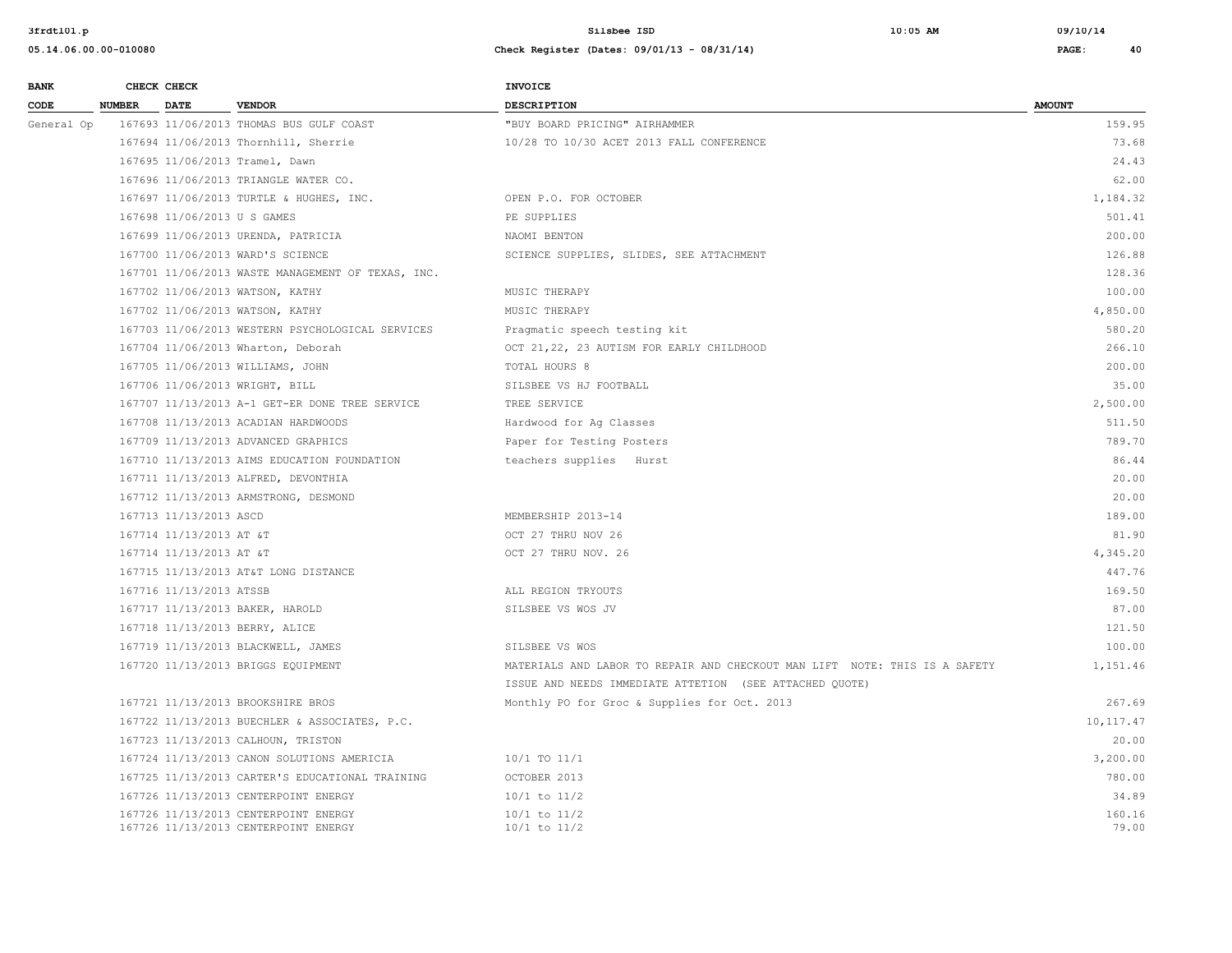| <b>BANK</b> |               | CHECK CHECK                 |                                                                              | <b>INVOICE</b>                                                             |                 |
|-------------|---------------|-----------------------------|------------------------------------------------------------------------------|----------------------------------------------------------------------------|-----------------|
| CODE        | <b>NUMBER</b> | <b>DATE</b>                 | <b>VENDOR</b>                                                                | <b>DESCRIPTION</b>                                                         | <b>AMOUNT</b>   |
| General Op  |               |                             | 167693 11/06/2013 THOMAS BUS GULF COAST                                      | "BUY BOARD PRICING" AIRHAMMER                                              | 159.95          |
|             |               |                             | 167694 11/06/2013 Thornhill, Sherrie                                         | 10/28 TO 10/30 ACET 2013 FALL CONFERENCE                                   | 73.68           |
|             |               |                             | 167695 11/06/2013 Tramel, Dawn                                               |                                                                            | 24.43           |
|             |               |                             | 167696 11/06/2013 TRIANGLE WATER CO.                                         |                                                                            | 62.00           |
|             |               |                             | 167697 11/06/2013 TURTLE & HUGHES, INC.                                      | OPEN P.O. FOR OCTOBER                                                      | 1,184.32        |
|             |               | 167698 11/06/2013 U S GAMES |                                                                              | PE SUPPLIES                                                                | 501.41          |
|             |               |                             | 167699 11/06/2013 URENDA, PATRICIA                                           | NAOMI BENTON                                                               | 200.00          |
|             |               |                             | 167700 11/06/2013 WARD'S SCIENCE                                             | SCIENCE SUPPLIES, SLIDES, SEE ATTACHMENT                                   | 126.88          |
|             |               |                             | 167701 11/06/2013 WASTE MANAGEMENT OF TEXAS, INC.                            |                                                                            | 128.36          |
|             |               |                             | 167702 11/06/2013 WATSON, KATHY                                              | MUSIC THERAPY                                                              | 100.00          |
|             |               |                             | 167702 11/06/2013 WATSON, KATHY                                              | MUSIC THERAPY                                                              | 4,850.00        |
|             |               |                             | 167703 11/06/2013 WESTERN PSYCHOLOGICAL SERVICES                             | Pragmatic speech testing kit                                               | 580.20          |
|             |               |                             | 167704 11/06/2013 Wharton, Deborah                                           | OCT 21, 22, 23 AUTISM FOR EARLY CHILDHOOD                                  | 266.10          |
|             |               |                             | 167705 11/06/2013 WILLIAMS, JOHN                                             | TOTAL HOURS 8                                                              | 200.00          |
|             |               |                             | 167706 11/06/2013 WRIGHT, BILL                                               | SILSBEE VS HJ FOOTBALL                                                     | 35.00           |
|             |               |                             | 167707 11/13/2013 A-1 GET-ER DONE TREE SERVICE                               | TREE SERVICE                                                               | 2,500.00        |
|             |               |                             | 167708 11/13/2013 ACADIAN HARDWOODS                                          | Hardwood for Aq Classes                                                    | 511.50          |
|             |               |                             | 167709 11/13/2013 ADVANCED GRAPHICS                                          | Paper for Testing Posters                                                  | 789.70          |
|             |               |                             | 167710 11/13/2013 AIMS EDUCATION FOUNDATION                                  | teachers supplies Hurst                                                    | 86.44           |
|             |               |                             | 167711 11/13/2013 ALFRED, DEVONTHIA                                          |                                                                            | 20.00           |
|             |               |                             | 167712 11/13/2013 ARMSTRONG, DESMOND                                         |                                                                            | 20.00           |
|             |               | 167713 11/13/2013 ASCD      |                                                                              | MEMBERSHIP 2013-14                                                         | 189.00          |
|             |               | 167714 11/13/2013 AT &T     |                                                                              | OCT 27 THRU NOV 26                                                         | 81.90           |
|             |               | 167714 11/13/2013 AT &T     |                                                                              | OCT 27 THRU NOV. 26                                                        | 4,345.20        |
|             |               |                             | 167715 11/13/2013 AT&T LONG DISTANCE                                         |                                                                            | 447.76          |
|             |               | 167716 11/13/2013 ATSSB     |                                                                              | ALL REGION TRYOUTS                                                         | 169.50          |
|             |               |                             | 167717 11/13/2013 BAKER, HAROLD                                              | SILSBEE VS WOS JV                                                          | 87.00           |
|             |               |                             | 167718 11/13/2013 BERRY, ALICE                                               |                                                                            | 121.50          |
|             |               |                             | 167719 11/13/2013 BLACKWELL, JAMES                                           | SILSBEE VS WOS                                                             | 100.00          |
|             |               |                             | 167720 11/13/2013 BRIGGS EQUIPMENT                                           | MATERIALS AND LABOR TO REPAIR AND CHECKOUT MAN LIFT NOTE: THIS IS A SAFETY | 1,151.46        |
|             |               |                             |                                                                              | ISSUE AND NEEDS IMMEDIATE ATTETION (SEE ATTACHED QUOTE)                    |                 |
|             |               |                             | 167721 11/13/2013 BROOKSHIRE BROS                                            | Monthly PO for Groc & Supplies for Oct. 2013                               | 267.69          |
|             |               |                             | 167722 11/13/2013 BUECHLER & ASSOCIATES, P.C.                                |                                                                            | 10, 117.47      |
|             |               |                             | 167723 11/13/2013 CALHOUN, TRISTON                                           |                                                                            | 20.00           |
|             |               |                             | 167724 11/13/2013 CANON SOLUTIONS AMERICIA                                   | $10/1$ TO $11/1$                                                           | 3,200.00        |
|             |               |                             | 167725 11/13/2013 CARTER'S EDUCATIONAL TRAINING                              | OCTOBER 2013                                                               | 780.00          |
|             |               |                             | 167726 11/13/2013 CENTERPOINT ENERGY                                         | $10/1$ to $11/2$                                                           | 34.89           |
|             |               |                             | 167726 11/13/2013 CENTERPOINT ENERGY<br>167726 11/13/2013 CENTERPOINT ENERGY | $10/1$ to $11/2$<br>$10/1$ to $11/2$                                       | 160.16<br>79.00 |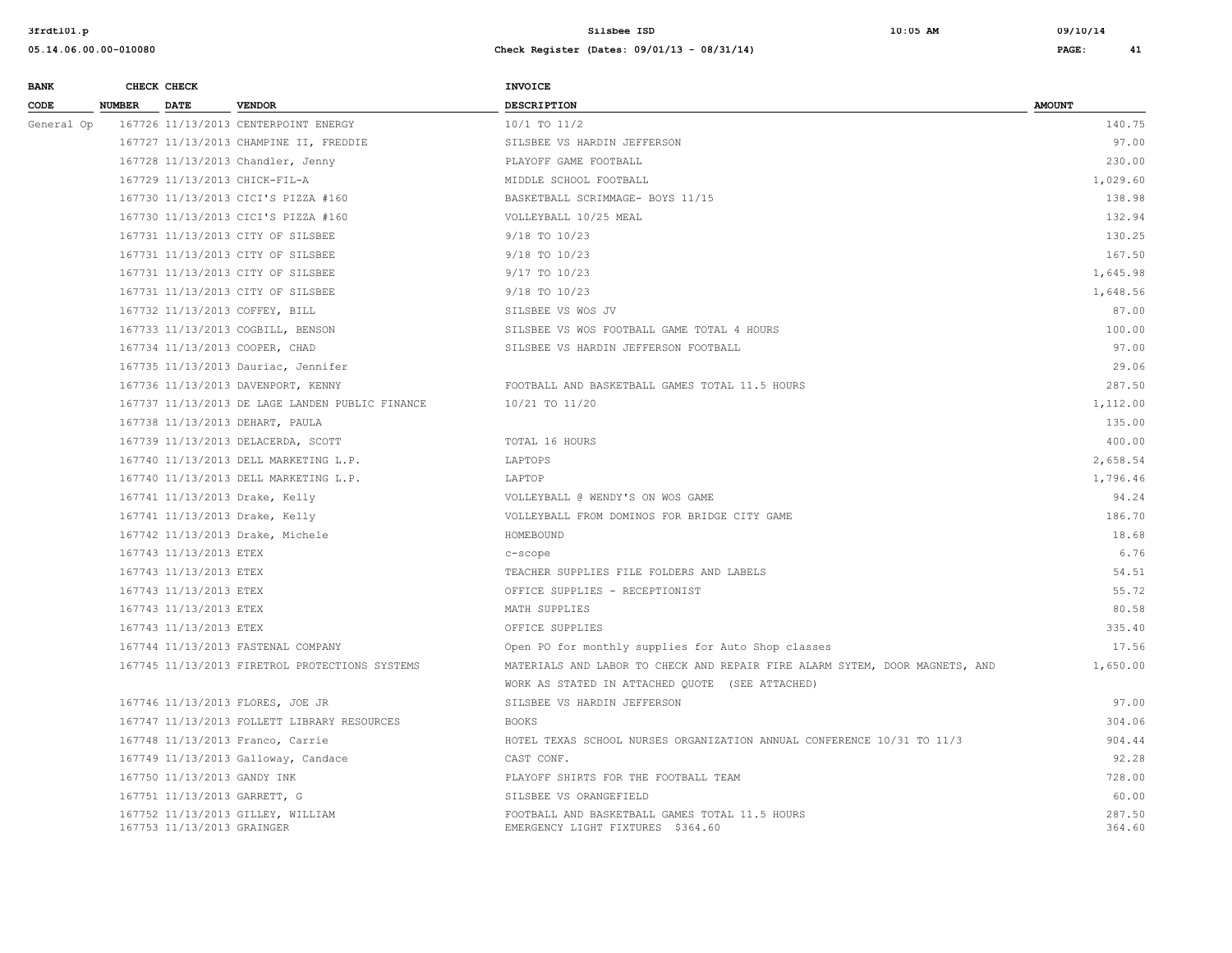| <b>BANK</b> |               | CHECK CHECK                 |                                                 | <b>INVOICE</b>                                                                      |                  |
|-------------|---------------|-----------------------------|-------------------------------------------------|-------------------------------------------------------------------------------------|------------------|
| CODE        | <b>NUMBER</b> | <b>DATE</b>                 | <b>VENDOR</b>                                   | <b>DESCRIPTION</b>                                                                  | <b>AMOUNT</b>    |
| General Op  |               |                             | 167726 11/13/2013 CENTERPOINT ENERGY            | $10/1$ TO $11/2$                                                                    | 140.75           |
|             |               |                             | 167727 11/13/2013 CHAMPINE II, FREDDIE          | SILSBEE VS HARDIN JEFFERSON                                                         | 97.00            |
|             |               |                             | 167728 11/13/2013 Chandler, Jenny               | PLAYOFF GAME FOOTBALL                                                               | 230.00           |
|             |               |                             | 167729 11/13/2013 CHICK-FIL-A                   | MIDDLE SCHOOL FOOTBALL                                                              | 1,029.60         |
|             |               |                             | 167730 11/13/2013 CICI'S PIZZA #160             | BASKETBALL SCRIMMAGE- BOYS 11/15                                                    | 138.98           |
|             |               |                             | 167730 11/13/2013 CICI'S PIZZA #160             | VOLLEYBALL 10/25 MEAL                                                               | 132.94           |
|             |               |                             | 167731 11/13/2013 CITY OF SILSBEE               | 9/18 TO 10/23                                                                       | 130.25           |
|             |               |                             | 167731 11/13/2013 CITY OF SILSBEE               | 9/18 TO 10/23                                                                       | 167.50           |
|             |               |                             | 167731 11/13/2013 CITY OF SILSBEE               | 9/17 TO 10/23                                                                       | 1,645.98         |
|             |               |                             | 167731 11/13/2013 CITY OF SILSBEE               | $9/18$ TO $10/23$                                                                   | 1,648.56         |
|             |               |                             | 167732 11/13/2013 COFFEY, BILL                  | SILSBEE VS WOS JV                                                                   | 87.00            |
|             |               |                             | 167733 11/13/2013 COGBILL, BENSON               | SILSBEE VS WOS FOOTBALL GAME TOTAL 4 HOURS                                          | 100.00           |
|             |               |                             | 167734 11/13/2013 COOPER, CHAD                  | SILSBEE VS HARDIN JEFFERSON FOOTBALL                                                | 97.00            |
|             |               |                             | 167735 11/13/2013 Dauriac, Jennifer             |                                                                                     | 29.06            |
|             |               |                             | 167736 11/13/2013 DAVENPORT, KENNY              | FOOTBALL AND BASKETBALL GAMES TOTAL 11.5 HOURS                                      | 287.50           |
|             |               |                             | 167737 11/13/2013 DE LAGE LANDEN PUBLIC FINANCE | 10/21 TO 11/20                                                                      | 1,112.00         |
|             |               |                             | 167738 11/13/2013 DEHART, PAULA                 |                                                                                     | 135.00           |
|             |               |                             | 167739 11/13/2013 DELACERDA, SCOTT              | TOTAL 16 HOURS                                                                      | 400.00           |
|             |               |                             | 167740 11/13/2013 DELL MARKETING L.P.           | LAPTOPS                                                                             | 2,658.54         |
|             |               |                             | 167740 11/13/2013 DELL MARKETING L.P.           | LAPTOP                                                                              | 1,796.46         |
|             |               |                             | 167741 11/13/2013 Drake, Kelly                  | VOLLEYBALL @ WENDY'S ON WOS GAME                                                    | 94.24            |
|             |               |                             | 167741 11/13/2013 Drake, Kelly                  | VOLLEYBALL FROM DOMINOS FOR BRIDGE CITY GAME                                        | 186.70           |
|             |               |                             | 167742 11/13/2013 Drake, Michele                | HOMEBOUND                                                                           | 18.68            |
|             |               | 167743 11/13/2013 ETEX      |                                                 | c-scope                                                                             | 6.76             |
|             |               | 167743 11/13/2013 ETEX      |                                                 | TEACHER SUPPLIES FILE FOLDERS AND LABELS                                            | 54.51            |
|             |               | 167743 11/13/2013 ETEX      |                                                 | OFFICE SUPPLIES - RECEPTIONIST                                                      | 55.72            |
|             |               | 167743 11/13/2013 ETEX      |                                                 | MATH SUPPLIES                                                                       | 80.58            |
|             |               | 167743 11/13/2013 ETEX      |                                                 | OFFICE SUPPLIES                                                                     | 335.40           |
|             |               |                             | 167744 11/13/2013 FASTENAL COMPANY              | Open PO for monthly supplies for Auto Shop classes                                  | 17.56            |
|             |               |                             | 167745 11/13/2013 FIRETROL PROTECTIONS SYSTEMS  | MATERIALS AND LABOR TO CHECK AND REPAIR FIRE ALARM SYTEM, DOOR MAGNETS, AND         | 1,650.00         |
|             |               |                             |                                                 | WORK AS STATED IN ATTACHED QUOTE (SEE ATTACHED)                                     |                  |
|             |               |                             | 167746 11/13/2013 FLORES, JOE JR                | SILSBEE VS HARDIN JEFFERSON                                                         | 97.00            |
|             |               |                             | 167747 11/13/2013 FOLLETT LIBRARY RESOURCES     | <b>BOOKS</b>                                                                        | 304.06           |
|             |               |                             | 167748 11/13/2013 Franco, Carrie                | HOTEL TEXAS SCHOOL NURSES ORGANIZATION ANNUAL CONFERENCE 10/31 TO 11/3              | 904.44           |
|             |               |                             | 167749 11/13/2013 Galloway, Candace             | CAST CONF.                                                                          | 92.28            |
|             |               | 167750 11/13/2013 GANDY INK |                                                 | PLAYOFF SHIRTS FOR THE FOOTBALL TEAM                                                | 728.00           |
|             |               |                             | 167751 11/13/2013 GARRETT, G                    | SILSBEE VS ORANGEFIELD                                                              | 60.00            |
|             |               | 167753 11/13/2013 GRAINGER  | 167752 11/13/2013 GILLEY, WILLIAM               | FOOTBALL AND BASKETBALL GAMES TOTAL 11.5 HOURS<br>EMERGENCY LIGHT FIXTURES \$364.60 | 287.50<br>364.60 |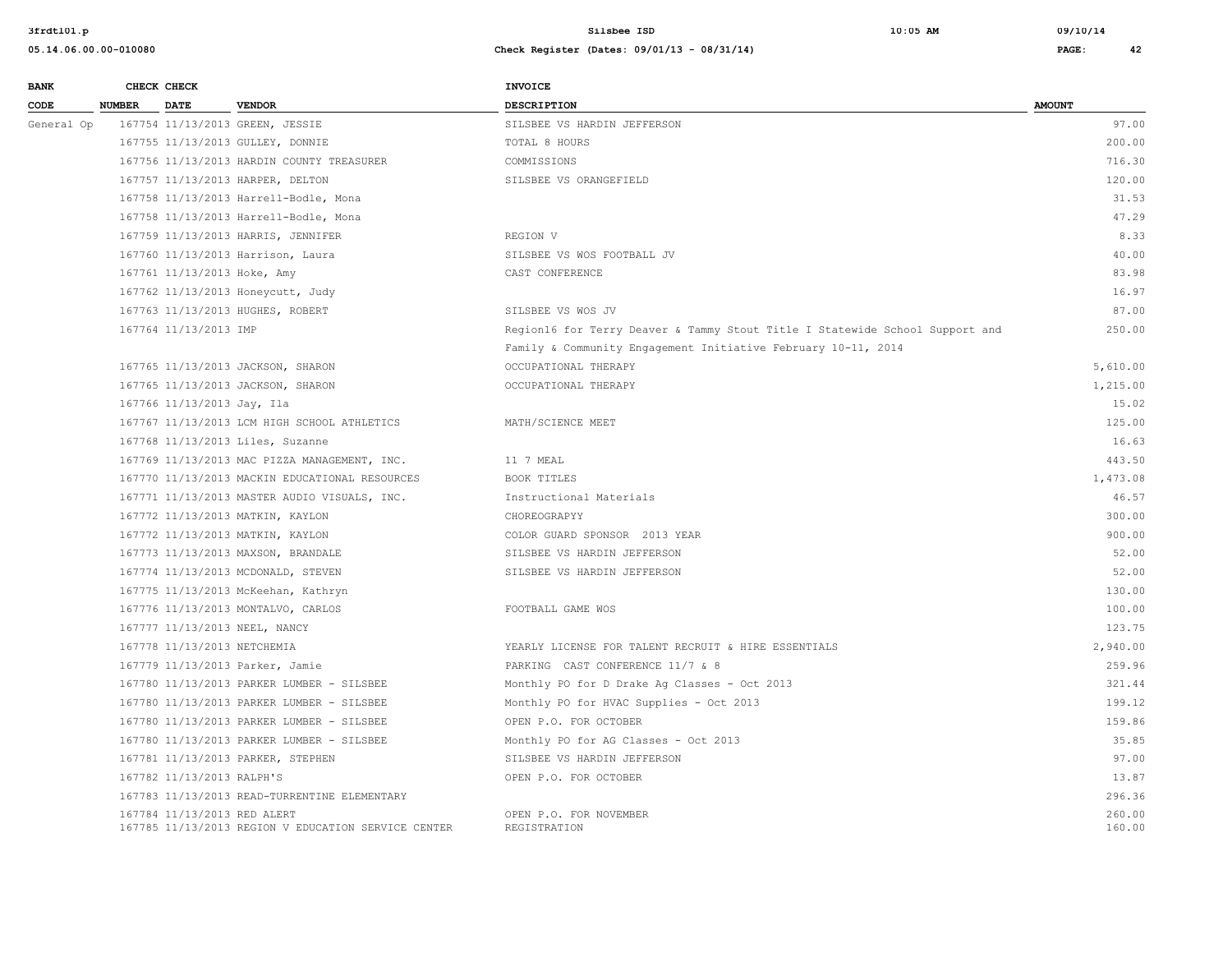| <b>BANK</b> |               | CHECK CHECK                 |                                                     | <b>INVOICE</b>                                                               |                  |
|-------------|---------------|-----------------------------|-----------------------------------------------------|------------------------------------------------------------------------------|------------------|
| CODE        | <b>NUMBER</b> | <b>DATE</b>                 | <b>VENDOR</b>                                       | <b>DESCRIPTION</b>                                                           | <b>AMOUNT</b>    |
| General Op  |               |                             | 167754 11/13/2013 GREEN, JESSIE                     | SILSBEE VS HARDIN JEFFERSON                                                  | 97.00            |
|             |               |                             | 167755 11/13/2013 GULLEY, DONNIE                    | TOTAL 8 HOURS                                                                | 200.00           |
|             |               |                             | 167756 11/13/2013 HARDIN COUNTY TREASURER           | COMMISSIONS                                                                  | 716.30           |
|             |               |                             | 167757 11/13/2013 HARPER, DELTON                    | SILSBEE VS ORANGEFIELD                                                       | 120.00           |
|             |               |                             | 167758 11/13/2013 Harrell-Bodle, Mona               |                                                                              | 31.53            |
|             |               |                             | 167758 11/13/2013 Harrell-Bodle, Mona               | REGION V                                                                     | 47.29            |
|             |               |                             | 167759 11/13/2013 HARRIS, JENNIFER                  |                                                                              | 8.33             |
|             |               |                             | 167760 11/13/2013 Harrison, Laura                   | SILSBEE VS WOS FOOTBALL JV                                                   | 40.00            |
|             |               | 167761 11/13/2013 Hoke, Amy |                                                     | CAST CONFERENCE                                                              | 83.98            |
|             |               |                             | 167762 11/13/2013 Honeycutt, Judy                   |                                                                              | 16.97            |
|             |               |                             | 167763 11/13/2013 HUGHES, ROBERT                    | SILSBEE VS WOS JV                                                            | 87.00            |
|             |               | 167764 11/13/2013 IMP       |                                                     | Region16 for Terry Deaver & Tammy Stout Title I Statewide School Support and | 250.00           |
|             |               |                             |                                                     | Family & Community Engagement Initiative February 10-11, 2014                |                  |
|             |               |                             | 167765 11/13/2013 JACKSON, SHARON                   | OCCUPATIONAL THERAPY                                                         | 5,610.00         |
|             |               |                             | 167765 11/13/2013 JACKSON, SHARON                   | OCCUPATIONAL THERAPY                                                         | 1,215.00         |
|             |               | 167766 11/13/2013 Jay, Ila  |                                                     |                                                                              | 15.02            |
|             |               |                             | 167767 11/13/2013 LCM HIGH SCHOOL ATHLETICS         | MATH/SCIENCE MEET                                                            | 125.00           |
|             |               |                             | 167768 11/13/2013 Liles, Suzanne                    |                                                                              | 16.63            |
|             |               |                             | 167769 11/13/2013 MAC PIZZA MANAGEMENT, INC.        | 11 7 MEAL                                                                    | 443.50           |
|             |               |                             | 167770 11/13/2013 MACKIN EDUCATIONAL RESOURCES      | BOOK TITLES                                                                  | 1,473.08         |
|             |               |                             | 167771 11/13/2013 MASTER AUDIO VISUALS, INC.        | Instructional Materials                                                      | 46.57            |
|             |               |                             | 167772 11/13/2013 MATKIN, KAYLON                    | CHOREOGRAPYY                                                                 | 300.00           |
|             |               |                             | 167772 11/13/2013 MATKIN, KAYLON                    | COLOR GUARD SPONSOR 2013 YEAR                                                | 900.00           |
|             |               |                             | 167773 11/13/2013 MAXSON, BRANDALE                  | SILSBEE VS HARDIN JEFFERSON                                                  | 52.00            |
|             |               |                             | 167774 11/13/2013 MCDONALD, STEVEN                  | SILSBEE VS HARDIN JEFFERSON                                                  | 52.00            |
|             |               |                             | 167775 11/13/2013 McKeehan, Kathryn                 |                                                                              | 130.00           |
|             |               |                             | 167776 11/13/2013 MONTALVO, CARLOS                  | FOOTBALL GAME WOS                                                            | 100.00           |
|             |               |                             | 167777 11/13/2013 NEEL, NANCY                       |                                                                              | 123.75           |
|             |               | 167778 11/13/2013 NETCHEMIA |                                                     | YEARLY LICENSE FOR TALENT RECRUIT & HIRE ESSENTIALS                          | 2,940.00         |
|             |               |                             | 167779 11/13/2013 Parker, Jamie                     | PARKING CAST CONFERENCE 11/7 & 8                                             | 259.96           |
|             |               |                             | 167780 11/13/2013 PARKER LUMBER - SILSBEE           | Monthly PO for D Drake Ag Classes - Oct 2013                                 | 321.44           |
|             |               |                             | 167780 11/13/2013 PARKER LUMBER - SILSBEE           | Monthly PO for HVAC Supplies - Oct 2013                                      | 199.12           |
|             |               |                             | 167780 11/13/2013 PARKER LUMBER - SILSBEE           | OPEN P.O. FOR OCTOBER                                                        | 159.86           |
|             |               |                             | 167780 11/13/2013 PARKER LUMBER - SILSBEE           | Monthly PO for AG Classes - Oct 2013                                         | 35.85            |
|             |               |                             | 167781 11/13/2013 PARKER, STEPHEN                   | SILSBEE VS HARDIN JEFFERSON                                                  | 97.00            |
|             |               | 167782 11/13/2013 RALPH'S   |                                                     | OPEN P.O. FOR OCTOBER                                                        | 13.87            |
|             |               |                             | 167783 11/13/2013 READ-TURRENTINE ELEMENTARY        |                                                                              | 296.36           |
|             |               | 167784 11/13/2013 RED ALERT | 167785 11/13/2013 REGION V EDUCATION SERVICE CENTER | OPEN P.O. FOR NOVEMBER<br>REGISTRATION                                       | 260.00<br>160.00 |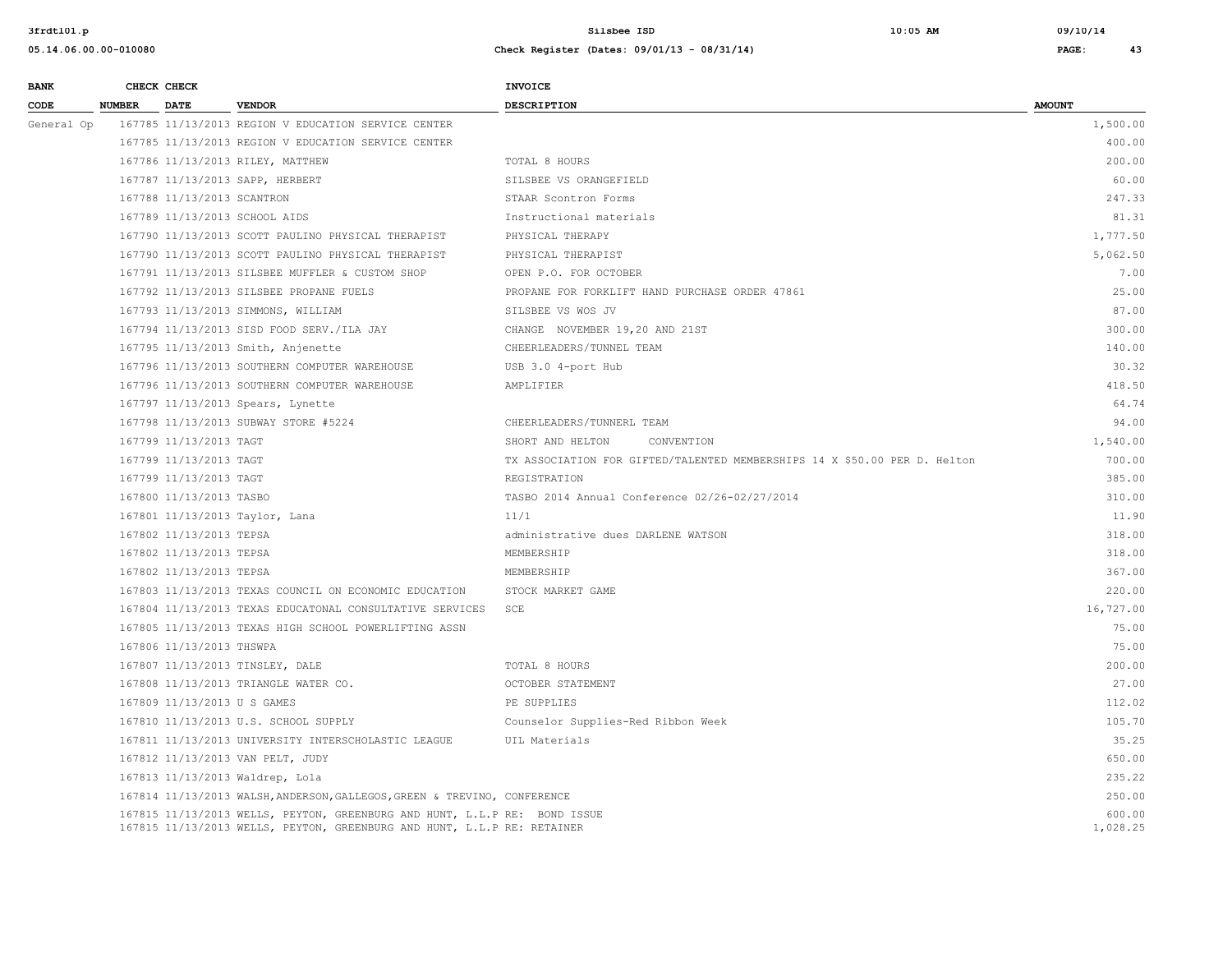| <b>BANK</b> |               | CHECK CHECK                 |                                                                                                                                                      | <b>INVOICE</b>                                                            |                    |
|-------------|---------------|-----------------------------|------------------------------------------------------------------------------------------------------------------------------------------------------|---------------------------------------------------------------------------|--------------------|
| CODE        | <b>NUMBER</b> | <b>DATE</b>                 | <b>VENDOR</b>                                                                                                                                        | <b>DESCRIPTION</b>                                                        | <b>AMOUNT</b>      |
| General Op  |               |                             | 167785 11/13/2013 REGION V EDUCATION SERVICE CENTER                                                                                                  |                                                                           | 1,500.00           |
|             |               |                             | 167785 11/13/2013 REGION V EDUCATION SERVICE CENTER                                                                                                  |                                                                           | 400.00             |
|             |               |                             | 167786 11/13/2013 RILEY, MATTHEW                                                                                                                     | TOTAL 8 HOURS                                                             | 200.00             |
|             |               |                             | 167787 11/13/2013 SAPP, HERBERT                                                                                                                      | SILSBEE VS ORANGEFIELD                                                    | 60.00              |
|             |               | 167788 11/13/2013 SCANTRON  |                                                                                                                                                      | STAAR Scontron Forms                                                      | 247.33             |
|             |               |                             | 167789 11/13/2013 SCHOOL AIDS                                                                                                                        | Instructional materials                                                   | 81.31              |
|             |               |                             | 167790 11/13/2013 SCOTT PAULINO PHYSICAL THERAPIST                                                                                                   | PHYSICAL THERAPY                                                          | 1,777.50           |
|             |               |                             | 167790 11/13/2013 SCOTT PAULINO PHYSICAL THERAPIST                                                                                                   | PHYSICAL THERAPIST                                                        | 5,062.50           |
|             |               |                             | 167791 11/13/2013 SILSBEE MUFFLER & CUSTOM SHOP                                                                                                      | OPEN P.O. FOR OCTOBER                                                     | 7.00               |
|             |               |                             | 167792 11/13/2013 SILSBEE PROPANE FUELS                                                                                                              | PROPANE FOR FORKLIFT HAND PURCHASE ORDER 47861                            | 25.00              |
|             |               |                             | 167793 11/13/2013 SIMMONS, WILLIAM                                                                                                                   | SILSBEE VS WOS JV                                                         | 87.00              |
|             |               |                             | 167794 11/13/2013 SISD FOOD SERV./ILA JAY                                                                                                            | CHANGE NOVEMBER 19,20 AND 21ST                                            | 300.00             |
|             |               |                             | 167795 11/13/2013 Smith, Anjenette                                                                                                                   | CHEERLEADERS/TUNNEL TEAM                                                  | 140.00             |
|             |               |                             | 167796 11/13/2013 SOUTHERN COMPUTER WAREHOUSE                                                                                                        | USB 3.0 4-port Hub                                                        | 30.32              |
|             |               |                             | 167796 11/13/2013 SOUTHERN COMPUTER WAREHOUSE                                                                                                        | AMPLIFIER                                                                 | 418.50             |
|             |               |                             | 167797 11/13/2013 Spears, Lynette                                                                                                                    |                                                                           | 64.74              |
|             |               |                             | 167798 11/13/2013 SUBWAY STORE #5224                                                                                                                 | CHEERLEADERS/TUNNERL TEAM                                                 | 94.00              |
|             |               | 167799 11/13/2013 TAGT      |                                                                                                                                                      | SHORT AND HELTON<br>CONVENTION                                            | 1,540.00           |
|             |               | 167799 11/13/2013 TAGT      |                                                                                                                                                      | TX ASSOCIATION FOR GIFTED/TALENTED MEMBERSHIPS 14 X \$50.00 PER D. Helton | 700.00             |
|             |               | 167799 11/13/2013 TAGT      |                                                                                                                                                      | REGISTRATION                                                              | 385.00             |
|             |               | 167800 11/13/2013 TASBO     |                                                                                                                                                      | TASBO 2014 Annual Conference 02/26-02/27/2014                             | 310.00             |
|             |               |                             | 167801 11/13/2013 Taylor, Lana                                                                                                                       | 11/1                                                                      | 11.90              |
|             |               | 167802 11/13/2013 TEPSA     |                                                                                                                                                      | administrative dues DARLENE WATSON                                        | 318.00             |
|             |               | 167802 11/13/2013 TEPSA     |                                                                                                                                                      | MEMBERSHIP                                                                | 318.00             |
|             |               | 167802 11/13/2013 TEPSA     |                                                                                                                                                      | MEMBERSHIP                                                                | 367.00             |
|             |               |                             | 167803 11/13/2013 TEXAS COUNCIL ON ECONOMIC EDUCATION                                                                                                | STOCK MARKET GAME                                                         | 220.00             |
|             |               |                             | 167804 11/13/2013 TEXAS EDUCATONAL CONSULTATIVE SERVICES                                                                                             | SCE                                                                       | 16,727.00          |
|             |               |                             | 167805 11/13/2013 TEXAS HIGH SCHOOL POWERLIFTING ASSN                                                                                                |                                                                           | 75.00              |
|             |               | 167806 11/13/2013 THSWPA    |                                                                                                                                                      |                                                                           | 75.00              |
|             |               |                             | 167807 11/13/2013 TINSLEY, DALE                                                                                                                      | TOTAL 8 HOURS                                                             | 200.00             |
|             |               |                             | 167808 11/13/2013 TRIANGLE WATER CO.                                                                                                                 | OCTOBER STATEMENT                                                         | 27.00              |
|             |               | 167809 11/13/2013 U S GAMES |                                                                                                                                                      | PE SUPPLIES                                                               | 112.02             |
|             |               |                             | 167810 11/13/2013 U.S. SCHOOL SUPPLY                                                                                                                 | Counselor Supplies-Red Ribbon Week                                        | 105.70             |
|             |               |                             | 167811 11/13/2013 UNIVERSITY INTERSCHOLASTIC LEAGUE                                                                                                  | UIL Materials                                                             | 35.25              |
|             |               |                             | 167812 11/13/2013 VAN PELT, JUDY                                                                                                                     |                                                                           | 650.00             |
|             |               |                             | 167813 11/13/2013 Waldrep, Lola                                                                                                                      |                                                                           | 235.22             |
|             |               |                             | 167814 11/13/2013 WALSH, ANDERSON, GALLEGOS, GREEN & TREVINO, CONFERENCE                                                                             |                                                                           | 250.00             |
|             |               |                             | 167815 11/13/2013 WELLS, PEYTON, GREENBURG AND HUNT, L.L.P RE: BOND ISSUE<br>167815 11/13/2013 WELLS, PEYTON, GREENBURG AND HUNT, L.L.P RE: RETAINER |                                                                           | 600.00<br>1,028.25 |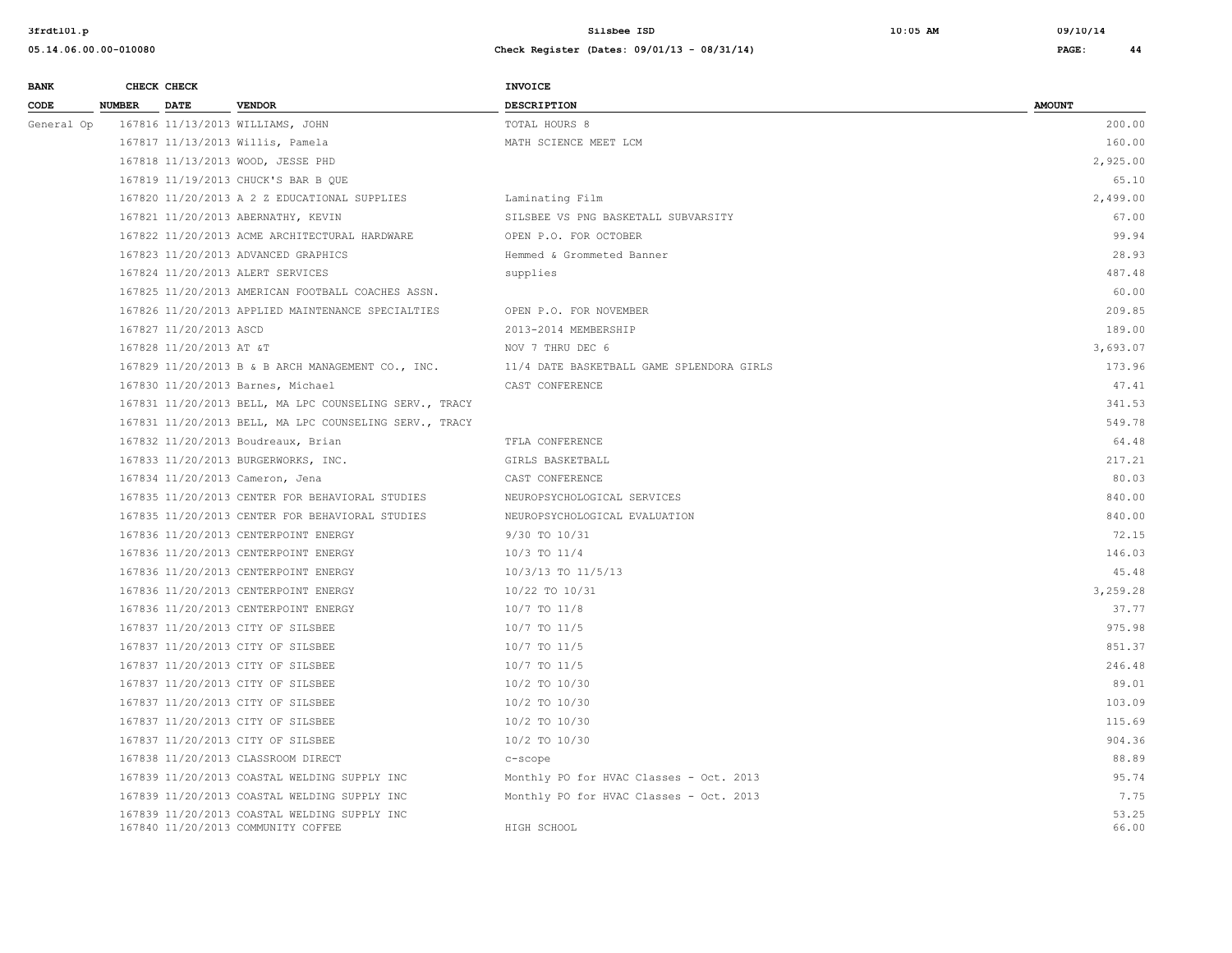| <b>BANK</b> |               | CHECK CHECK             |                                                                                    | <b>INVOICE</b>                            |                |
|-------------|---------------|-------------------------|------------------------------------------------------------------------------------|-------------------------------------------|----------------|
| CODE        | <b>NUMBER</b> | <b>DATE</b>             | <b>VENDOR</b>                                                                      | DESCRIPTION                               | <b>AMOUNT</b>  |
| General Op  |               |                         | 167816 11/13/2013 WILLIAMS, JOHN                                                   | TOTAL HOURS 8                             | 200.00         |
|             |               |                         | 167817 11/13/2013 Willis, Pamela                                                   | MATH SCIENCE MEET LCM                     | 160.00         |
|             |               |                         | 167818 11/13/2013 WOOD, JESSE PHD                                                  |                                           | 2,925.00       |
|             |               |                         | 167819 11/19/2013 CHUCK'S BAR B OUE                                                |                                           | 65.10          |
|             |               |                         | 167820 11/20/2013 A 2 Z EDUCATIONAL SUPPLIES                                       | Laminating Film                           | 2,499.00       |
|             |               |                         | 167821 11/20/2013 ABERNATHY, KEVIN                                                 | SILSBEE VS PNG BASKETALL SUBVARSITY       | 67.00          |
|             |               |                         | 167822 11/20/2013 ACME ARCHITECTURAL HARDWARE                                      | OPEN P.O. FOR OCTOBER                     | 99.94          |
|             |               |                         | 167823 11/20/2013 ADVANCED GRAPHICS                                                | Hemmed & Grommeted Banner                 | 28.93          |
|             |               |                         | 167824 11/20/2013 ALERT SERVICES                                                   | supplies                                  | 487.48         |
|             |               |                         | 167825 11/20/2013 AMERICAN FOOTBALL COACHES ASSN.                                  |                                           | 60.00          |
|             |               |                         | 167826 11/20/2013 APPLIED MAINTENANCE SPECIALTIES                                  | OPEN P.O. FOR NOVEMBER                    | 209.85         |
|             |               | 167827 11/20/2013 ASCD  |                                                                                    | 2013-2014 MEMBERSHIP                      | 189.00         |
|             |               | 167828 11/20/2013 AT &T |                                                                                    | NOV 7 THRU DEC 6                          | 3,693.07       |
|             |               |                         | 167829 11/20/2013 B & B ARCH MANAGEMENT CO., INC.                                  | 11/4 DATE BASKETBALL GAME SPLENDORA GIRLS | 173.96         |
|             |               |                         | 167830 11/20/2013 Barnes, Michael                                                  | CAST CONFERENCE                           | 47.41          |
|             |               |                         | 167831 11/20/2013 BELL, MA LPC COUNSELING SERV., TRACY                             |                                           | 341.53         |
|             |               |                         | 167831 11/20/2013 BELL, MA LPC COUNSELING SERV., TRACY                             |                                           | 549.78         |
|             |               |                         | 167832 11/20/2013 Boudreaux, Brian                                                 | TFLA CONFERENCE                           | 64.48          |
|             |               |                         | 167833 11/20/2013 BURGERWORKS, INC.                                                | GIRLS BASKETBALL                          | 217.21         |
|             |               |                         | 167834 11/20/2013 Cameron, Jena                                                    | CAST CONFERENCE                           | 80.03          |
|             |               |                         | 167835 11/20/2013 CENTER FOR BEHAVIORAL STUDIES                                    | NEUROPSYCHOLOGICAL SERVICES               | 840.00         |
|             |               |                         | 167835 11/20/2013 CENTER FOR BEHAVIORAL STUDIES                                    | NEUROPSYCHOLOGICAL EVALUATION             | 840.00         |
|             |               |                         | 167836 11/20/2013 CENTERPOINT ENERGY                                               | 9/30 TO 10/31                             | 72.15          |
|             |               |                         | 167836 11/20/2013 CENTERPOINT ENERGY                                               | $10/3$ TO $11/4$                          | 146.03         |
|             |               |                         | 167836 11/20/2013 CENTERPOINT ENERGY                                               | 10/3/13 TO 11/5/13                        | 45.48          |
|             |               |                         | 167836 11/20/2013 CENTERPOINT ENERGY                                               | 10/22 TO 10/31                            | 3,259.28       |
|             |               |                         | 167836 11/20/2013 CENTERPOINT ENERGY                                               | $10/7$ TO $11/8$                          | 37.77          |
|             |               |                         | 167837 11/20/2013 CITY OF SILSBEE                                                  | 10/7 TO 11/5                              | 975.98         |
|             |               |                         | 167837 11/20/2013 CITY OF SILSBEE                                                  | $10/7$ TO $11/5$                          | 851.37         |
|             |               |                         | 167837 11/20/2013 CITY OF SILSBEE                                                  | $10/7$ TO $11/5$                          | 246.48         |
|             |               |                         | 167837 11/20/2013 CITY OF SILSBEE                                                  | 10/2 TO 10/30                             | 89.01          |
|             |               |                         | 167837 11/20/2013 CITY OF SILSBEE                                                  | 10/2 TO 10/30                             | 103.09         |
|             |               |                         | 167837 11/20/2013 CITY OF SILSBEE                                                  | 10/2 TO 10/30                             | 115.69         |
|             |               |                         | 167837 11/20/2013 CITY OF SILSBEE                                                  | 10/2 TO 10/30                             | 904.36         |
|             |               |                         | 167838 11/20/2013 CLASSROOM DIRECT                                                 | c-scope                                   | 88.89          |
|             |               |                         | 167839 11/20/2013 COASTAL WELDING SUPPLY INC                                       | Monthly PO for HVAC Classes - Oct. 2013   | 95.74          |
|             |               |                         | 167839 11/20/2013 COASTAL WELDING SUPPLY INC                                       | Monthly PO for HVAC Classes - Oct. 2013   | 7.75           |
|             |               |                         | 167839 11/20/2013 COASTAL WELDING SUPPLY INC<br>167840 11/20/2013 COMMUNITY COFFEE | HIGH SCHOOL                               | 53.25<br>66.00 |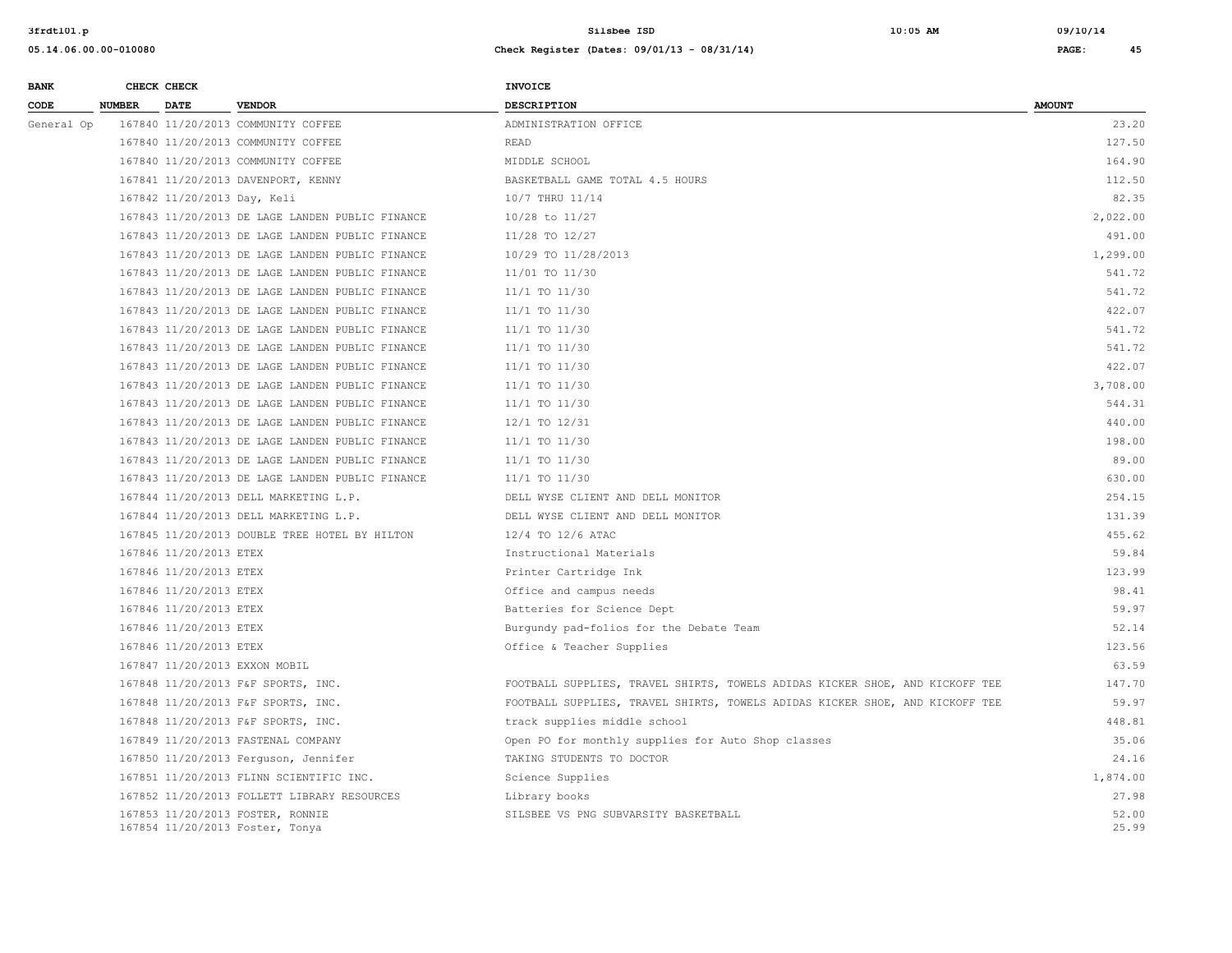| <b>BANK</b> |               | CHECK CHECK                 |                                                                     | <b>INVOICE</b>                                                               |                |
|-------------|---------------|-----------------------------|---------------------------------------------------------------------|------------------------------------------------------------------------------|----------------|
| CODE        | <b>NUMBER</b> | <b>DATE</b>                 | <b>VENDOR</b>                                                       | <b>DESCRIPTION</b>                                                           | <b>AMOUNT</b>  |
| General Op  |               |                             | 167840 11/20/2013 COMMUNITY COFFEE                                  | ADMINISTRATION OFFICE                                                        | 23.20          |
|             |               |                             | 167840 11/20/2013 COMMUNITY COFFEE                                  | READ                                                                         | 127.50         |
|             |               |                             | 167840 11/20/2013 COMMUNITY COFFEE                                  | MIDDLE SCHOOL                                                                | 164.90         |
|             |               |                             | 167841 11/20/2013 DAVENPORT, KENNY                                  | BASKETBALL GAME TOTAL 4.5 HOURS                                              | 112.50         |
|             |               | 167842 11/20/2013 Day, Keli |                                                                     | 10/7 THRU 11/14                                                              | 82.35          |
|             |               |                             | 167843 11/20/2013 DE LAGE LANDEN PUBLIC FINANCE                     | 10/28 to 11/27                                                               | 2,022.00       |
|             |               |                             | 167843 11/20/2013 DE LAGE LANDEN PUBLIC FINANCE                     | 11/28 TO 12/27                                                               | 491.00         |
|             |               |                             | 167843 11/20/2013 DE LAGE LANDEN PUBLIC FINANCE                     | 10/29 TO 11/28/2013                                                          | 1,299.00       |
|             |               |                             | 167843 11/20/2013 DE LAGE LANDEN PUBLIC FINANCE                     | 11/01 TO 11/30                                                               | 541.72         |
|             |               |                             | 167843 11/20/2013 DE LAGE LANDEN PUBLIC FINANCE                     | 11/1 TO 11/30                                                                | 541.72         |
|             |               |                             | 167843 11/20/2013 DE LAGE LANDEN PUBLIC FINANCE                     | 11/1 TO 11/30                                                                | 422.07         |
|             |               |                             | 167843 11/20/2013 DE LAGE LANDEN PUBLIC FINANCE                     | 11/1 TO 11/30                                                                | 541.72         |
|             |               |                             | 167843 11/20/2013 DE LAGE LANDEN PUBLIC FINANCE                     | 11/1 TO 11/30                                                                | 541.72         |
|             |               |                             | 167843 11/20/2013 DE LAGE LANDEN PUBLIC FINANCE                     | 11/1 TO 11/30                                                                | 422.07         |
|             |               |                             | 167843 11/20/2013 DE LAGE LANDEN PUBLIC FINANCE                     | 11/1 TO 11/30                                                                | 3,708.00       |
|             |               |                             | 167843 11/20/2013 DE LAGE LANDEN PUBLIC FINANCE                     | 11/1 TO 11/30                                                                | 544.31         |
|             |               |                             | 167843 11/20/2013 DE LAGE LANDEN PUBLIC FINANCE                     | 12/1 TO 12/31                                                                | 440.00         |
|             |               |                             | 167843 11/20/2013 DE LAGE LANDEN PUBLIC FINANCE                     | 11/1 TO 11/30                                                                | 198.00         |
|             |               |                             | 167843 11/20/2013 DE LAGE LANDEN PUBLIC FINANCE                     | 11/1 TO 11/30                                                                | 89.00          |
|             |               |                             | 167843 11/20/2013 DE LAGE LANDEN PUBLIC FINANCE                     | 11/1 TO 11/30                                                                | 630.00         |
|             |               |                             | 167844 11/20/2013 DELL MARKETING L.P.                               | DELL WYSE CLIENT AND DELL MONITOR                                            | 254.15         |
|             |               |                             | 167844 11/20/2013 DELL MARKETING L.P.                               | DELL WYSE CLIENT AND DELL MONITOR                                            | 131.39         |
|             |               |                             | 167845 11/20/2013 DOUBLE TREE HOTEL BY HILTON                       | 12/4 TO 12/6 ATAC                                                            | 455.62         |
|             |               | 167846 11/20/2013 ETEX      |                                                                     | Instructional Materials                                                      | 59.84          |
|             |               | 167846 11/20/2013 ETEX      |                                                                     | Printer Cartridge Ink                                                        | 123.99         |
|             |               | 167846 11/20/2013 ETEX      |                                                                     | Office and campus needs                                                      | 98.41          |
|             |               | 167846 11/20/2013 ETEX      |                                                                     | Batteries for Science Dept                                                   | 59.97          |
|             |               | 167846 11/20/2013 ETEX      |                                                                     | Burgundy pad-folios for the Debate Team                                      | 52.14          |
|             |               | 167846 11/20/2013 ETEX      |                                                                     | Office & Teacher Supplies                                                    | 123.56         |
|             |               |                             | 167847 11/20/2013 EXXON MOBIL                                       |                                                                              | 63.59          |
|             |               |                             | 167848 11/20/2013 F&F SPORTS, INC.                                  | FOOTBALL SUPPLIES, TRAVEL SHIRTS, TOWELS ADIDAS KICKER SHOE, AND KICKOFF TEE | 147.70         |
|             |               |                             | 167848 11/20/2013 F&F SPORTS, INC.                                  | FOOTBALL SUPPLIES, TRAVEL SHIRTS, TOWELS ADIDAS KICKER SHOE, AND KICKOFF TEE | 59.97          |
|             |               |                             | 167848 11/20/2013 F&F SPORTS, INC.                                  | track supplies middle school                                                 | 448.81         |
|             |               |                             | 167849 11/20/2013 FASTENAL COMPANY                                  | Open PO for monthly supplies for Auto Shop classes                           | 35.06          |
|             |               |                             | 167850 11/20/2013 Ferguson, Jennifer                                | TAKING STUDENTS TO DOCTOR                                                    | 24.16          |
|             |               |                             | 167851 11/20/2013 FLINN SCIENTIFIC INC.                             | Science Supplies                                                             | 1,874.00       |
|             |               |                             | 167852 11/20/2013 FOLLETT LIBRARY RESOURCES                         | Library books                                                                | 27.98          |
|             |               |                             | 167853 11/20/2013 FOSTER, RONNIE<br>167854 11/20/2013 Foster, Tonya | SILSBEE VS PNG SUBVARSITY BASKETBALL                                         | 52.00<br>25.99 |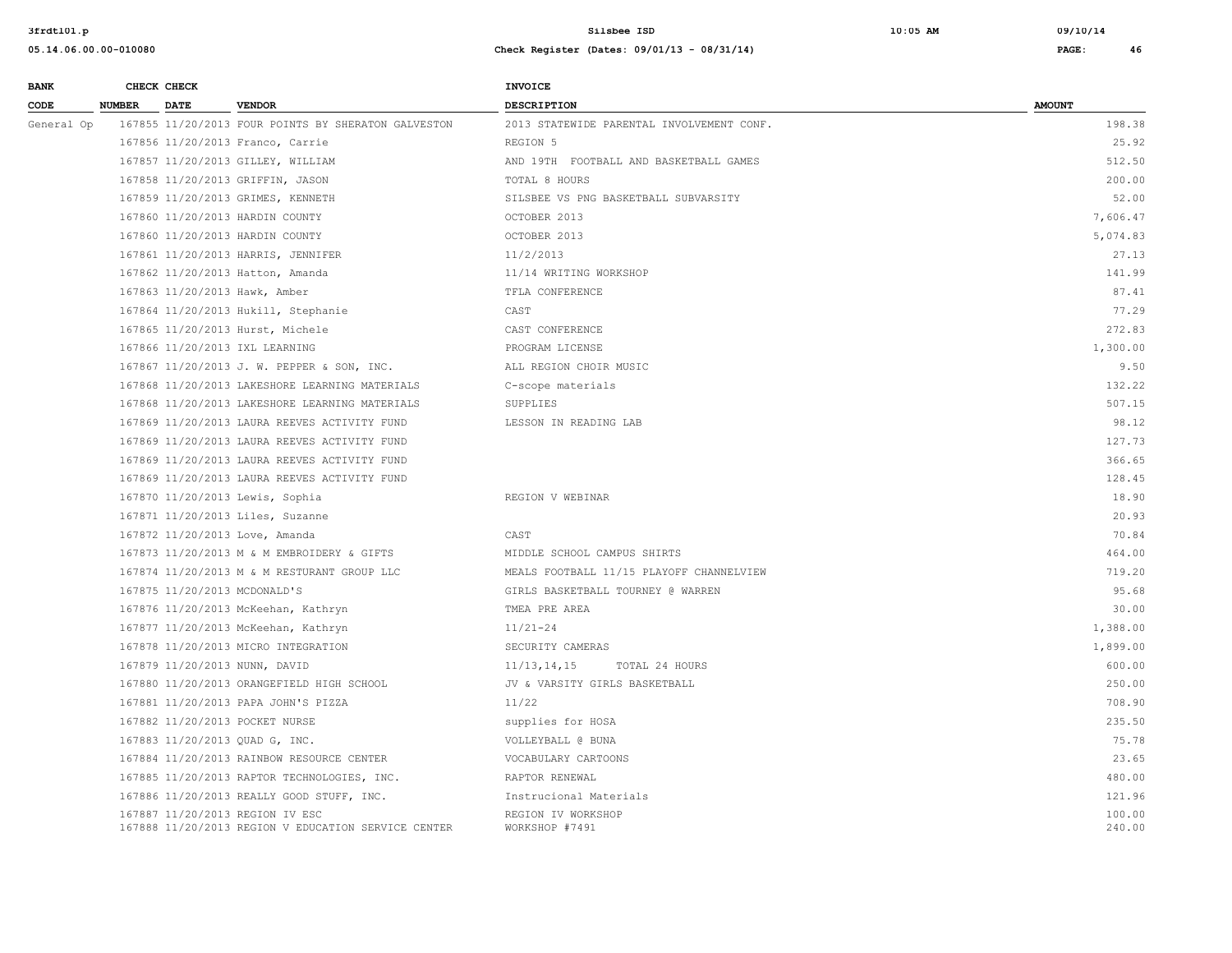| <b>BANK</b> |               | CHECK CHECK |                                                                                        | <b>INVOICE</b>                            |                  |
|-------------|---------------|-------------|----------------------------------------------------------------------------------------|-------------------------------------------|------------------|
| CODE        | <b>NUMBER</b> | <b>DATE</b> | <b>VENDOR</b>                                                                          | <b>DESCRIPTION</b>                        | <b>AMOUNT</b>    |
| General Op  |               |             | 167855 11/20/2013 FOUR POINTS BY SHERATON GALVESTON                                    | 2013 STATEWIDE PARENTAL INVOLVEMENT CONF. | 198.38           |
|             |               |             | 167856 11/20/2013 Franco, Carrie                                                       | REGION 5                                  | 25.92            |
|             |               |             | 167857 11/20/2013 GILLEY, WILLIAM                                                      | AND 19TH FOOTBALL AND BASKETBALL GAMES    | 512.50           |
|             |               |             | 167858 11/20/2013 GRIFFIN, JASON                                                       | TOTAL 8 HOURS                             | 200.00           |
|             |               |             | 167859 11/20/2013 GRIMES, KENNETH                                                      | SILSBEE VS PNG BASKETBALL SUBVARSITY      | 52.00            |
|             |               |             | 167860 11/20/2013 HARDIN COUNTY                                                        | OCTOBER 2013                              | 7,606.47         |
|             |               |             | 167860 11/20/2013 HARDIN COUNTY                                                        | OCTOBER 2013                              | 5,074.83         |
|             |               |             | 167861 11/20/2013 HARRIS, JENNIFER                                                     | 11/2/2013                                 | 27.13            |
|             |               |             | 167862 11/20/2013 Hatton, Amanda                                                       | 11/14 WRITING WORKSHOP                    | 141.99           |
|             |               |             | 167863 11/20/2013 Hawk, Amber                                                          | TFLA CONFERENCE                           | 87.41            |
|             |               |             | 167864 11/20/2013 Hukill, Stephanie                                                    | CAST                                      | 77.29            |
|             |               |             | 167865 11/20/2013 Hurst, Michele                                                       | CAST CONFERENCE                           | 272.83           |
|             |               |             | 167866 11/20/2013 IXL LEARNING                                                         | PROGRAM LICENSE                           | 1,300.00         |
|             |               |             | 167867 11/20/2013 J. W. PEPPER & SON, INC.                                             | ALL REGION CHOIR MUSIC                    | 9.50             |
|             |               |             | 167868 11/20/2013 LAKESHORE LEARNING MATERIALS                                         | C-scope materials                         | 132.22           |
|             |               |             | 167868 11/20/2013 LAKESHORE LEARNING MATERIALS                                         | SUPPLIES                                  | 507.15           |
|             |               |             | 167869 11/20/2013 LAURA REEVES ACTIVITY FUND                                           | LESSON IN READING LAB                     | 98.12            |
|             |               |             | 167869 11/20/2013 LAURA REEVES ACTIVITY FUND                                           |                                           | 127.73           |
|             |               |             | 167869 11/20/2013 LAURA REEVES ACTIVITY FUND                                           |                                           | 366.65           |
|             |               |             | 167869 11/20/2013 LAURA REEVES ACTIVITY FUND                                           |                                           | 128.45           |
|             |               |             | 167870 11/20/2013 Lewis, Sophia                                                        | REGION V WEBINAR                          | 18.90            |
|             |               |             | 167871 11/20/2013 Liles, Suzanne                                                       |                                           | 20.93            |
|             |               |             | 167872 11/20/2013 Love, Amanda                                                         | CAST                                      | 70.84            |
|             |               |             | 167873 11/20/2013 M & M EMBROIDERY & GIFTS                                             | MIDDLE SCHOOL CAMPUS SHIRTS               | 464.00           |
|             |               |             | 167874 11/20/2013 M & M RESTURANT GROUP LLC                                            | MEALS FOOTBALL 11/15 PLAYOFF CHANNELVIEW  | 719.20           |
|             |               |             | 167875 11/20/2013 MCDONALD'S                                                           | GIRLS BASKETBALL TOURNEY @ WARREN         | 95.68            |
|             |               |             | 167876 11/20/2013 McKeehan, Kathryn                                                    | TMEA PRE AREA                             | 30.00            |
|             |               |             | 167877 11/20/2013 McKeehan, Kathryn                                                    | $11/21 - 24$                              | 1,388.00         |
|             |               |             | 167878 11/20/2013 MICRO INTEGRATION                                                    | SECURITY CAMERAS                          | 1,899.00         |
|             |               |             | 167879 11/20/2013 NUNN, DAVID                                                          | 11/13, 14, 15<br>TOTAL 24 HOURS           | 600.00           |
|             |               |             | 167880 11/20/2013 ORANGEFIELD HIGH SCHOOL                                              | JV & VARSITY GIRLS BASKETBALL             | 250.00           |
|             |               |             | 167881 11/20/2013 PAPA JOHN'S PIZZA                                                    | 11/22                                     | 708.90           |
|             |               |             | 167882 11/20/2013 POCKET NURSE                                                         | supplies for HOSA                         | 235.50           |
|             |               |             | 167883 11/20/2013 QUAD G, INC.                                                         | VOLLEYBALL @ BUNA                         | 75.78            |
|             |               |             | 167884 11/20/2013 RAINBOW RESOURCE CENTER                                              | VOCABULARY CARTOONS                       | 23.65            |
|             |               |             | 167885 11/20/2013 RAPTOR TECHNOLOGIES, INC.                                            | RAPTOR RENEWAL                            | 480.00           |
|             |               |             | 167886 11/20/2013 REALLY GOOD STUFF, INC.                                              | Instrucional Materials                    | 121.96           |
|             |               |             | 167887 11/20/2013 REGION IV ESC<br>167888 11/20/2013 REGION V EDUCATION SERVICE CENTER | REGION IV WORKSHOP<br>WORKSHOP #7491      | 100.00<br>240.00 |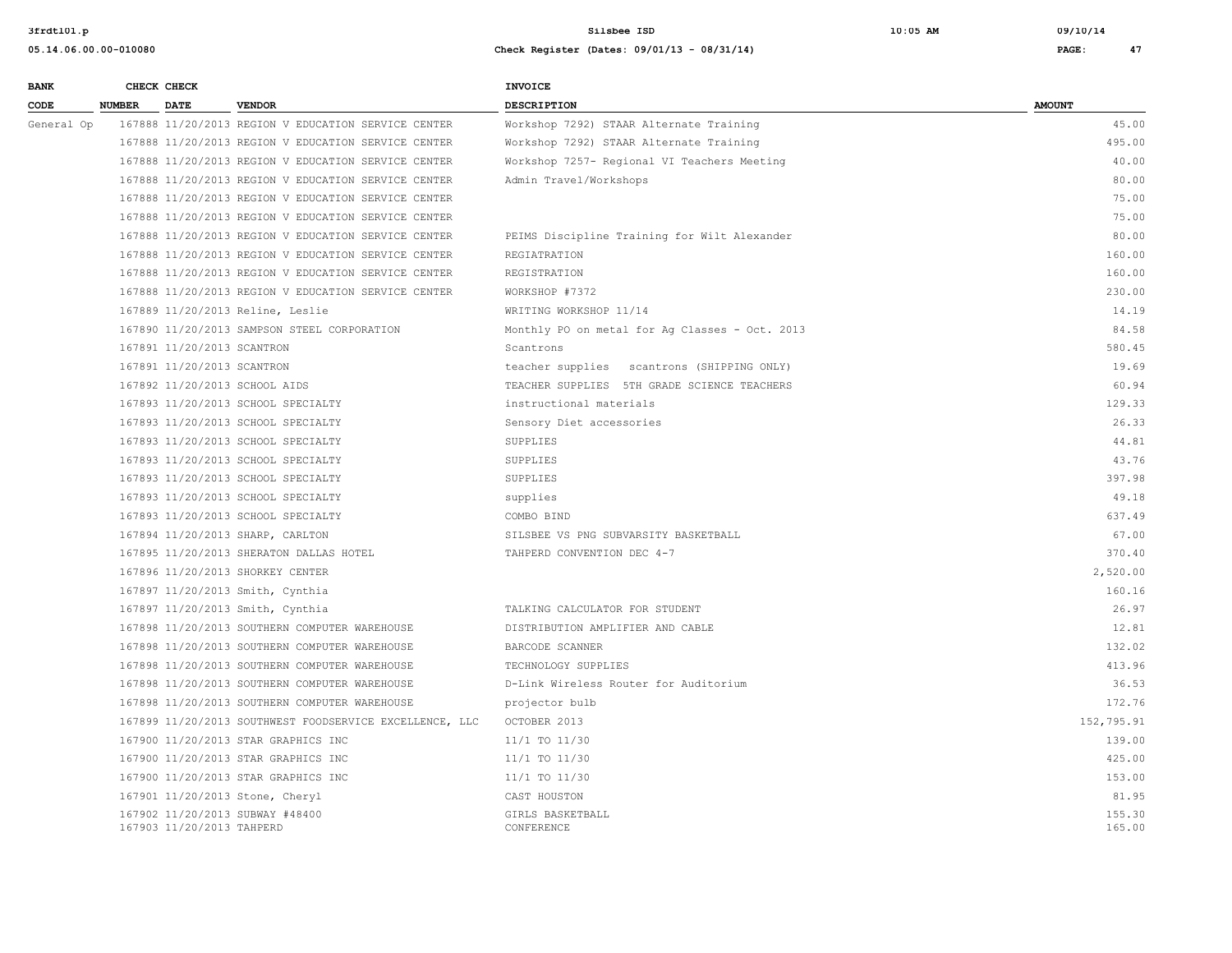| <b>BANK</b> | CHECK CHECK                  |                                                         | <b>INVOICE</b>                                 |                  |
|-------------|------------------------------|---------------------------------------------------------|------------------------------------------------|------------------|
| CODE        | <b>NUMBER</b><br><b>DATE</b> | <b>VENDOR</b>                                           | <b>DESCRIPTION</b>                             | <b>AMOUNT</b>    |
| General Op  |                              | 167888 11/20/2013 REGION V EDUCATION SERVICE CENTER     | Workshop 7292) STAAR Alternate Training        | 45.00            |
|             |                              | 167888 11/20/2013 REGION V EDUCATION SERVICE CENTER     | Workshop 7292) STAAR Alternate Training        | 495.00           |
|             |                              | 167888 11/20/2013 REGION V EDUCATION SERVICE CENTER     | Workshop 7257- Regional VI Teachers Meeting    | 40.00            |
|             |                              | 167888 11/20/2013 REGION V EDUCATION SERVICE CENTER     | Admin Travel/Workshops                         | 80.00            |
|             |                              | 167888 11/20/2013 REGION V EDUCATION SERVICE CENTER     |                                                | 75.00            |
|             |                              | 167888 11/20/2013 REGION V EDUCATION SERVICE CENTER     |                                                | 75.00            |
|             |                              | 167888 11/20/2013 REGION V EDUCATION SERVICE CENTER     | PEIMS Discipline Training for Wilt Alexander   | 80.00            |
|             |                              | 167888 11/20/2013 REGION V EDUCATION SERVICE CENTER     | REGIATRATION                                   | 160.00           |
|             |                              | 167888 11/20/2013 REGION V EDUCATION SERVICE CENTER     | REGISTRATION                                   | 160.00           |
|             |                              | 167888 11/20/2013 REGION V EDUCATION SERVICE CENTER     | WORKSHOP #7372                                 | 230.00           |
|             |                              | 167889 11/20/2013 Reline, Leslie                        | WRITING WORKSHOP 11/14                         | 14.19            |
|             |                              | 167890 11/20/2013 SAMPSON STEEL CORPORATION             | Monthly PO on metal for Ag Classes - Oct. 2013 | 84.58            |
|             | 167891 11/20/2013 SCANTRON   |                                                         | Scantrons                                      | 580.45           |
|             | 167891 11/20/2013 SCANTRON   |                                                         | teacher supplies scantrons (SHIPPING ONLY)     | 19.69            |
|             |                              | 167892 11/20/2013 SCHOOL AIDS                           | TEACHER SUPPLIES 5TH GRADE SCIENCE TEACHERS    | 60.94            |
|             |                              | 167893 11/20/2013 SCHOOL SPECIALTY                      | instructional materials                        | 129.33           |
|             |                              | 167893 11/20/2013 SCHOOL SPECIALTY                      | Sensory Diet accessories                       | 26.33            |
|             |                              | 167893 11/20/2013 SCHOOL SPECIALTY                      | SUPPLIES                                       | 44.81            |
|             |                              | 167893 11/20/2013 SCHOOL SPECIALTY                      | SUPPLIES                                       | 43.76            |
|             |                              | 167893 11/20/2013 SCHOOL SPECIALTY                      | SUPPLIES                                       | 397.98           |
|             |                              | 167893 11/20/2013 SCHOOL SPECIALTY                      | supplies                                       | 49.18            |
|             |                              | 167893 11/20/2013 SCHOOL SPECIALTY                      | COMBO BIND                                     | 637.49           |
|             |                              | 167894 11/20/2013 SHARP, CARLTON                        | SILSBEE VS PNG SUBVARSITY BASKETBALL           | 67.00            |
|             |                              | 167895 11/20/2013 SHERATON DALLAS HOTEL                 | TAHPERD CONVENTION DEC 4-7                     | 370.40           |
|             |                              | 167896 11/20/2013 SHORKEY CENTER                        |                                                | 2,520.00         |
|             |                              | 167897 11/20/2013 Smith, Cynthia                        |                                                | 160.16           |
|             |                              | 167897 11/20/2013 Smith, Cynthia                        | TALKING CALCULATOR FOR STUDENT                 | 26.97            |
|             |                              | 167898 11/20/2013 SOUTHERN COMPUTER WAREHOUSE           | DISTRIBUTION AMPLIFIER AND CABLE               | 12.81            |
|             |                              | 167898 11/20/2013 SOUTHERN COMPUTER WAREHOUSE           | BARCODE SCANNER                                | 132.02           |
|             |                              | 167898 11/20/2013 SOUTHERN COMPUTER WAREHOUSE           | TECHNOLOGY SUPPLIES                            | 413.96           |
|             |                              | 167898 11/20/2013 SOUTHERN COMPUTER WAREHOUSE           | D-Link Wireless Router for Auditorium          | 36.53            |
|             |                              | 167898 11/20/2013 SOUTHERN COMPUTER WAREHOUSE           | projector bulb                                 | 172.76           |
|             |                              | 167899 11/20/2013 SOUTHWEST FOODSERVICE EXCELLENCE, LLC | OCTOBER 2013                                   | 152,795.91       |
|             |                              | 167900 11/20/2013 STAR GRAPHICS INC                     | 11/1 TO 11/30                                  | 139.00           |
|             |                              | 167900 11/20/2013 STAR GRAPHICS INC                     | 11/1 TO 11/30                                  | 425.00           |
|             |                              | 167900 11/20/2013 STAR GRAPHICS INC                     | 11/1 TO 11/30                                  | 153.00           |
|             |                              | 167901 11/20/2013 Stone, Cheryl                         | CAST HOUSTON                                   | 81.95            |
|             | 167903 11/20/2013 TAHPERD    | 167902 11/20/2013 SUBWAY #48400                         | GIRLS BASKETBALL<br>CONFERENCE                 | 155.30<br>165.00 |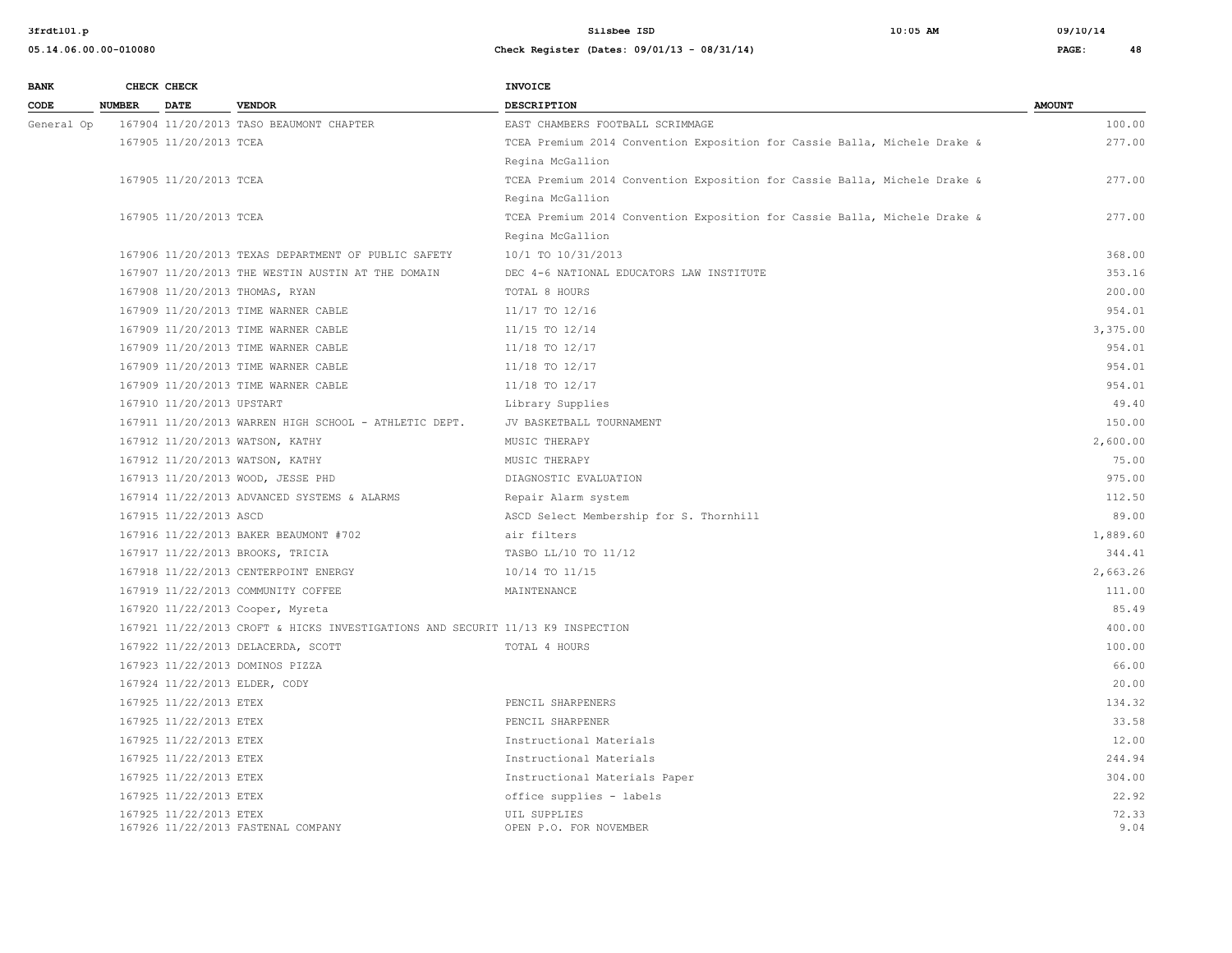| <b>BANK</b> |               | CHECK CHECK               |                                                                                | <b>INVOICE</b>                                                            |               |
|-------------|---------------|---------------------------|--------------------------------------------------------------------------------|---------------------------------------------------------------------------|---------------|
| CODE        | <b>NUMBER</b> | <b>DATE</b>               | <b>VENDOR</b>                                                                  | <b>DESCRIPTION</b>                                                        | <b>AMOUNT</b> |
| General Op  |               |                           | 167904 11/20/2013 TASO BEAUMONT CHAPTER                                        | EAST CHAMBERS FOOTBALL SCRIMMAGE                                          | 100.00        |
|             |               | 167905 11/20/2013 TCEA    |                                                                                | TCEA Premium 2014 Convention Exposition for Cassie Balla, Michele Drake & | 277.00        |
|             |               |                           |                                                                                | Regina McGallion                                                          |               |
|             |               | 167905 11/20/2013 TCEA    |                                                                                | TCEA Premium 2014 Convention Exposition for Cassie Balla, Michele Drake & | 277.00        |
|             |               |                           |                                                                                | Regina McGallion                                                          |               |
|             |               | 167905 11/20/2013 TCEA    |                                                                                | TCEA Premium 2014 Convention Exposition for Cassie Balla, Michele Drake & | 277.00        |
|             |               |                           |                                                                                | Regina McGallion                                                          |               |
|             |               |                           | 167906 11/20/2013 TEXAS DEPARTMENT OF PUBLIC SAFETY                            | 10/1 TO 10/31/2013                                                        | 368.00        |
|             |               |                           | 167907 11/20/2013 THE WESTIN AUSTIN AT THE DOMAIN                              | DEC 4-6 NATIONAL EDUCATORS LAW INSTITUTE                                  | 353.16        |
|             |               |                           | 167908 11/20/2013 THOMAS, RYAN                                                 | TOTAL 8 HOURS                                                             | 200.00        |
|             |               |                           | 167909 11/20/2013 TIME WARNER CABLE                                            | 11/17 TO 12/16                                                            | 954.01        |
|             |               |                           | 167909 11/20/2013 TIME WARNER CABLE                                            | 11/15 TO 12/14                                                            | 3,375.00      |
|             |               |                           | 167909 11/20/2013 TIME WARNER CABLE                                            | 11/18 TO 12/17                                                            | 954.01        |
|             |               |                           | 167909 11/20/2013 TIME WARNER CABLE                                            | 11/18 TO 12/17                                                            | 954.01        |
|             |               |                           | 167909 11/20/2013 TIME WARNER CABLE                                            | 11/18 TO 12/17                                                            | 954.01        |
|             |               | 167910 11/20/2013 UPSTART |                                                                                | Library Supplies                                                          | 49.40         |
|             |               |                           | 167911 11/20/2013 WARREN HIGH SCHOOL - ATHLETIC DEPT.                          | JV BASKETBALL TOURNAMENT                                                  | 150.00        |
|             |               |                           | 167912 11/20/2013 WATSON, KATHY                                                | MUSIC THERAPY                                                             | 2,600.00      |
|             |               |                           | 167912 11/20/2013 WATSON, KATHY                                                | MUSIC THERAPY                                                             | 75.00         |
|             |               |                           | 167913 11/20/2013 WOOD, JESSE PHD                                              | DIAGNOSTIC EVALUATION                                                     | 975.00        |
|             |               |                           | 167914 11/22/2013 ADVANCED SYSTEMS & ALARMS                                    | Repair Alarm system                                                       | 112.50        |
|             |               | 167915 11/22/2013 ASCD    |                                                                                | ASCD Select Membership for S. Thornhill                                   | 89.00         |
|             |               |                           | 167916 11/22/2013 BAKER BEAUMONT #702                                          | air filters                                                               | 1,889.60      |
|             |               |                           | 167917 11/22/2013 BROOKS, TRICIA                                               | TASBO LL/10 TO 11/12                                                      | 344.41        |
|             |               |                           | 167918 11/22/2013 CENTERPOINT ENERGY                                           | 10/14 TO 11/15                                                            | 2,663.26      |
|             |               |                           | 167919 11/22/2013 COMMUNITY COFFEE                                             | MAINTENANCE                                                               | 111.00        |
|             |               |                           | 167920 11/22/2013 Cooper, Myreta                                               |                                                                           | 85.49         |
|             |               |                           | 167921 11/22/2013 CROFT & HICKS INVESTIGATIONS AND SECURIT 11/13 K9 INSPECTION |                                                                           | 400.00        |
|             |               |                           | 167922 11/22/2013 DELACERDA, SCOTT                                             | TOTAL 4 HOURS                                                             | 100.00        |
|             |               |                           | 167923 11/22/2013 DOMINOS PIZZA                                                |                                                                           | 66.00         |
|             |               |                           | 167924 11/22/2013 ELDER, CODY                                                  |                                                                           | 20.00         |
|             |               | 167925 11/22/2013 ETEX    |                                                                                | PENCIL SHARPENERS                                                         | 134.32        |
|             |               | 167925 11/22/2013 ETEX    |                                                                                | PENCIL SHARPENER                                                          | 33.58         |
|             |               | 167925 11/22/2013 ETEX    |                                                                                | Instructional Materials                                                   | 12.00         |
|             |               | 167925 11/22/2013 ETEX    |                                                                                | Instructional Materials                                                   | 244.94        |
|             |               | 167925 11/22/2013 ETEX    |                                                                                | Instructional Materials Paper                                             | 304.00        |
|             |               | 167925 11/22/2013 ETEX    |                                                                                | office supplies - labels                                                  | 22.92         |
|             |               | 167925 11/22/2013 ETEX    | 167926 11/22/2013 FASTENAL COMPANY                                             | UIL SUPPLIES<br>OPEN P.O. FOR NOVEMBER                                    | 72.33<br>9.04 |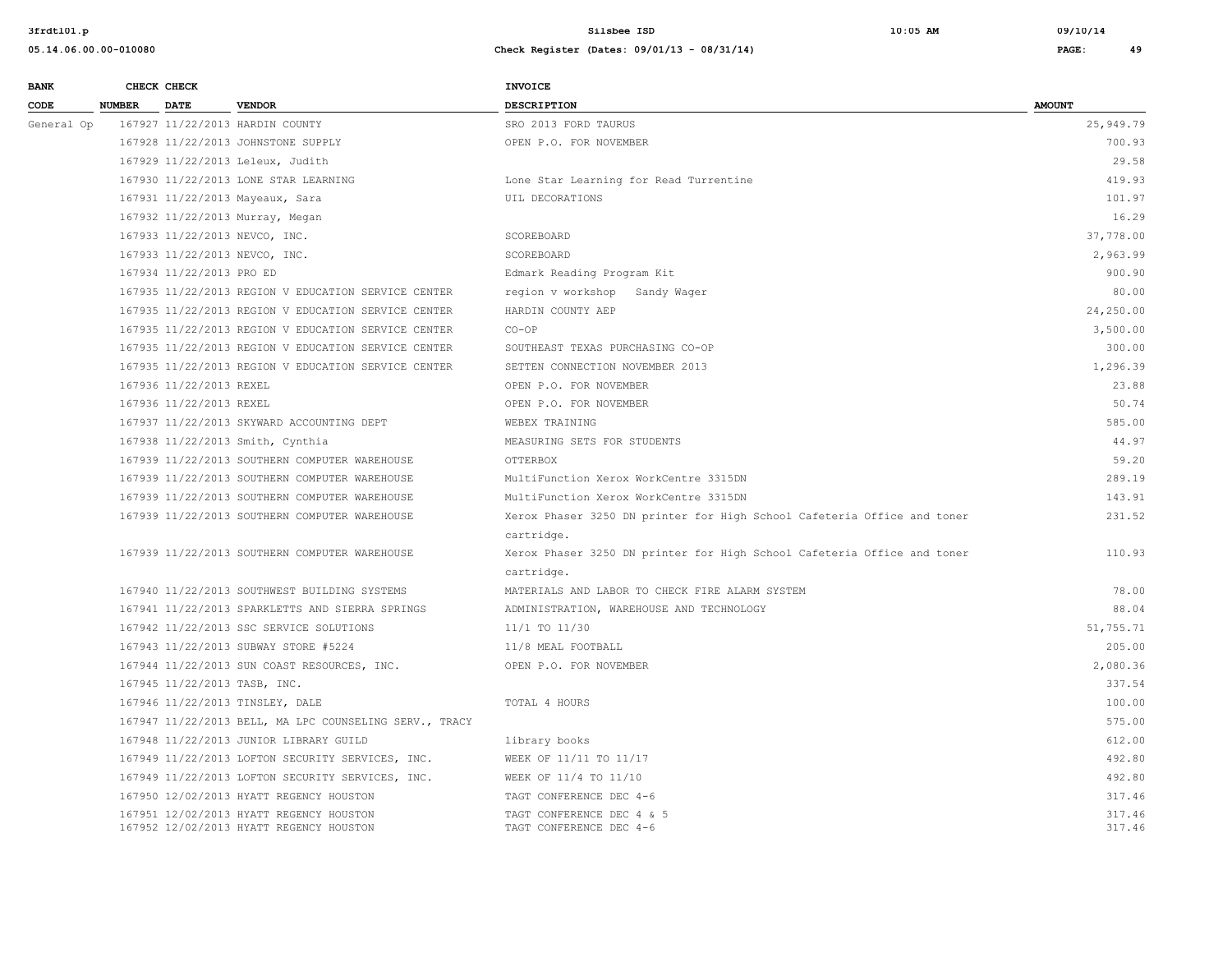| <b>BANK</b> |               | CHECK CHECK              |                                                                                    | <b>INVOICE</b>                                                          |                  |
|-------------|---------------|--------------------------|------------------------------------------------------------------------------------|-------------------------------------------------------------------------|------------------|
| CODE        | <b>NUMBER</b> | <b>DATE</b>              | <b>VENDOR</b>                                                                      | <b>DESCRIPTION</b>                                                      | <b>AMOUNT</b>    |
| General Op  |               |                          | 167927 11/22/2013 HARDIN COUNTY                                                    | SRO 2013 FORD TAURUS                                                    | 25,949.79        |
|             |               |                          | 167928 11/22/2013 JOHNSTONE SUPPLY                                                 | OPEN P.O. FOR NOVEMBER                                                  | 700.93           |
|             |               |                          | 167929 11/22/2013 Leleux, Judith                                                   |                                                                         | 29.58            |
|             |               |                          | 167930 11/22/2013 LONE STAR LEARNING                                               | Lone Star Learning for Read Turrentine                                  | 419.93           |
|             |               |                          | 167931 11/22/2013 Mayeaux, Sara                                                    | UIL DECORATIONS                                                         | 101.97           |
|             |               |                          | 167932 11/22/2013 Murray, Megan                                                    |                                                                         | 16.29            |
|             |               |                          | 167933 11/22/2013 NEVCO, INC.                                                      | SCOREBOARD                                                              | 37,778.00        |
|             |               |                          | 167933 11/22/2013 NEVCO, INC.                                                      | SCOREBOARD                                                              | 2,963.99         |
|             |               | 167934 11/22/2013 PRO ED |                                                                                    | Edmark Reading Program Kit                                              | 900.90           |
|             |               |                          | 167935 11/22/2013 REGION V EDUCATION SERVICE CENTER                                | region v workshop Sandy Wager                                           | 80.00            |
|             |               |                          | 167935 11/22/2013 REGION V EDUCATION SERVICE CENTER                                | HARDIN COUNTY AEP                                                       | 24,250.00        |
|             |               |                          | 167935 11/22/2013 REGION V EDUCATION SERVICE CENTER                                | $CO-OP$                                                                 | 3,500.00         |
|             |               |                          | 167935 11/22/2013 REGION V EDUCATION SERVICE CENTER                                | SOUTHEAST TEXAS PURCHASING CO-OP                                        | 300.00           |
|             |               |                          | 167935 11/22/2013 REGION V EDUCATION SERVICE CENTER                                | SETTEN CONNECTION NOVEMBER 2013                                         | 1,296.39         |
|             |               | 167936 11/22/2013 REXEL  |                                                                                    | OPEN P.O. FOR NOVEMBER                                                  | 23.88            |
|             |               | 167936 11/22/2013 REXEL  |                                                                                    | OPEN P.O. FOR NOVEMBER                                                  | 50.74            |
|             |               |                          | 167937 11/22/2013 SKYWARD ACCOUNTING DEPT                                          | WEBEX TRAINING                                                          | 585.00           |
|             |               |                          | 167938 11/22/2013 Smith, Cynthia                                                   | MEASURING SETS FOR STUDENTS                                             | 44.97            |
|             |               |                          | 167939 11/22/2013 SOUTHERN COMPUTER WAREHOUSE                                      | OTTERBOX                                                                | 59.20            |
|             |               |                          | 167939 11/22/2013 SOUTHERN COMPUTER WAREHOUSE                                      | MultiFunction Xerox WorkCentre 3315DN                                   | 289.19           |
|             |               |                          | 167939 11/22/2013 SOUTHERN COMPUTER WAREHOUSE                                      | MultiFunction Xerox WorkCentre 3315DN                                   | 143.91           |
|             |               |                          | 167939 11/22/2013 SOUTHERN COMPUTER WAREHOUSE                                      | Xerox Phaser 3250 DN printer for High School Cafeteria Office and toner | 231.52           |
|             |               |                          |                                                                                    | cartridge.                                                              |                  |
|             |               |                          | 167939 11/22/2013 SOUTHERN COMPUTER WAREHOUSE                                      | Xerox Phaser 3250 DN printer for High School Cafeteria Office and toner | 110.93           |
|             |               |                          |                                                                                    | cartridge.                                                              |                  |
|             |               |                          | 167940 11/22/2013 SOUTHWEST BUILDING SYSTEMS                                       | MATERIALS AND LABOR TO CHECK FIRE ALARM SYSTEM                          | 78.00            |
|             |               |                          | 167941 11/22/2013 SPARKLETTS AND SIERRA SPRINGS                                    | ADMINISTRATION, WAREHOUSE AND TECHNOLOGY                                | 88.04            |
|             |               |                          | 167942 11/22/2013 SSC SERVICE SOLUTIONS                                            | 11/1 TO 11/30                                                           | 51,755.71        |
|             |               |                          | 167943 11/22/2013 SUBWAY STORE #5224                                               | 11/8 MEAL FOOTBALL                                                      | 205.00           |
|             |               |                          | 167944 11/22/2013 SUN COAST RESOURCES, INC.                                        | OPEN P.O. FOR NOVEMBER                                                  | 2,080.36         |
|             |               |                          | 167945 11/22/2013 TASB, INC.                                                       |                                                                         | 337.54           |
|             |               |                          | 167946 11/22/2013 TINSLEY, DALE                                                    | TOTAL 4 HOURS                                                           | 100.00           |
|             |               |                          | 167947 11/22/2013 BELL, MA LPC COUNSELING SERV., TRACY                             |                                                                         | 575.00           |
|             |               |                          | 167948 11/22/2013 JUNIOR LIBRARY GUILD                                             | library books                                                           | 612.00           |
|             |               |                          | 167949 11/22/2013 LOFTON SECURITY SERVICES, INC.                                   | WEEK OF 11/11 TO 11/17                                                  | 492.80           |
|             |               |                          | 167949 11/22/2013 LOFTON SECURITY SERVICES, INC.                                   | WEEK OF 11/4 TO 11/10                                                   | 492.80           |
|             |               |                          | 167950 12/02/2013 HYATT REGENCY HOUSTON                                            | TAGT CONFERENCE DEC 4-6                                                 | 317.46           |
|             |               |                          | 167951 12/02/2013 HYATT REGENCY HOUSTON<br>167952 12/02/2013 HYATT REGENCY HOUSTON | TAGT CONFERENCE DEC 4 & 5<br>TAGT CONFERENCE DEC 4-6                    | 317.46<br>317.46 |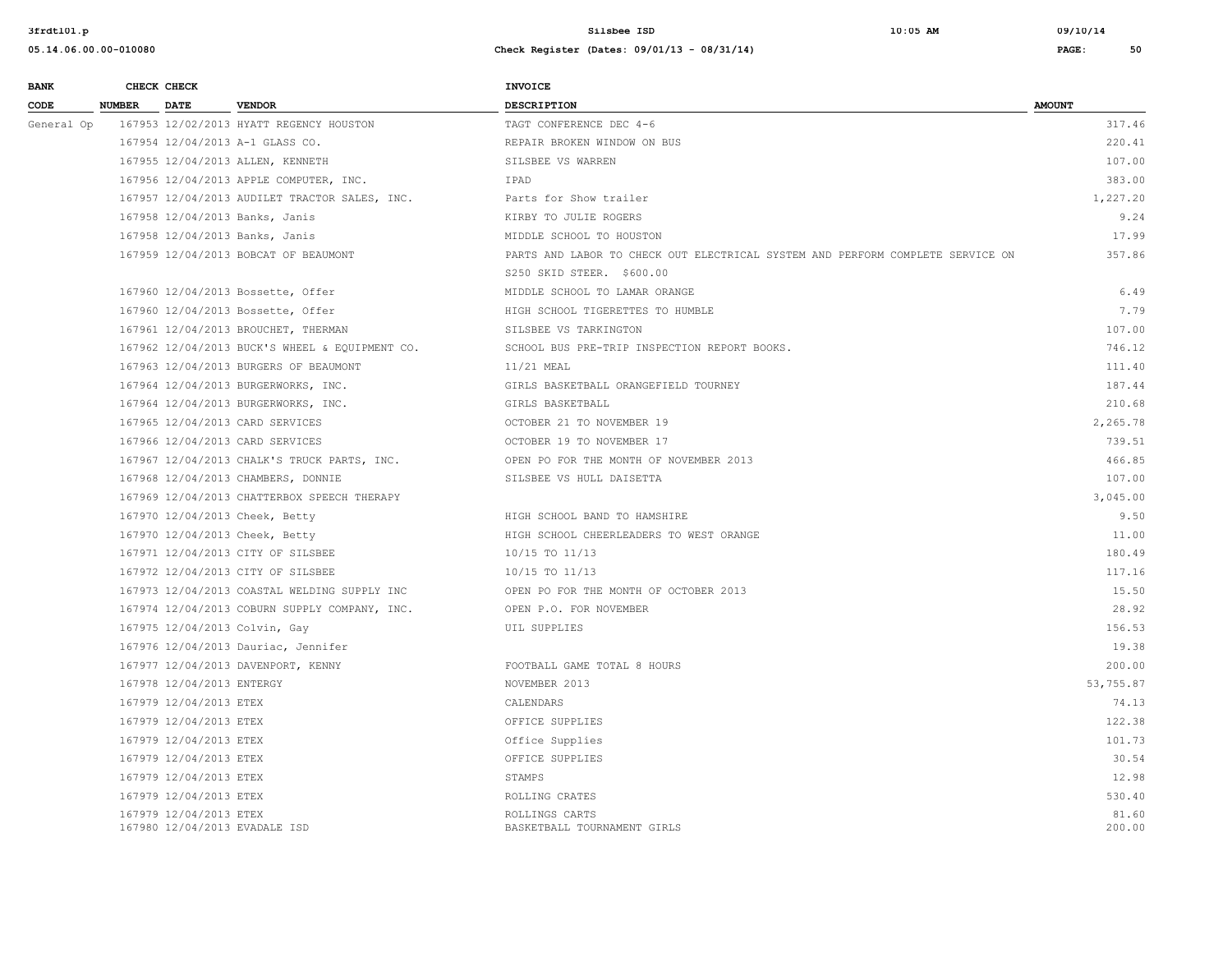| <b>BANK</b> |               | CHECK CHECK               |                                                | <b>INVOICE</b>                                                                                              |                 |
|-------------|---------------|---------------------------|------------------------------------------------|-------------------------------------------------------------------------------------------------------------|-----------------|
| CODE        | <b>NUMBER</b> | <b>DATE</b>               | <b>VENDOR</b>                                  | <b>DESCRIPTION</b>                                                                                          | <b>AMOUNT</b>   |
| General Op  |               |                           | 167953 12/02/2013 HYATT REGENCY HOUSTON        | TAGT CONFERENCE DEC 4-6                                                                                     | 317.46          |
|             |               |                           | 167954 12/04/2013 A-1 GLASS CO.                | REPAIR BROKEN WINDOW ON BUS                                                                                 | 220.41          |
|             |               |                           | 167955 12/04/2013 ALLEN, KENNETH               | SILSBEE VS WARREN                                                                                           | 107.00          |
|             |               |                           | 167956 12/04/2013 APPLE COMPUTER, INC.         | IPAD                                                                                                        | 383.00          |
|             |               |                           | 167957 12/04/2013 AUDILET TRACTOR SALES, INC.  | Parts for Show trailer                                                                                      | 1,227.20        |
|             |               |                           | 167958 12/04/2013 Banks, Janis                 | KIRBY TO JULIE ROGERS                                                                                       | 9.24            |
|             |               |                           | 167958 12/04/2013 Banks, Janis                 | MIDDLE SCHOOL TO HOUSTON                                                                                    | 17.99           |
|             |               |                           | 167959 12/04/2013 BOBCAT OF BEAUMONT           | PARTS AND LABOR TO CHECK OUT ELECTRICAL SYSTEM AND PERFORM COMPLETE SERVICE ON<br>S250 SKID STEER. \$600.00 | 357.86          |
|             |               |                           | 167960 12/04/2013 Bossette, Offer              | MIDDLE SCHOOL TO LAMAR ORANGE                                                                               | 6.49            |
|             |               |                           | 167960 12/04/2013 Bossette, Offer              | HIGH SCHOOL TIGERETTES TO HUMBLE                                                                            | 7.79            |
|             |               |                           | 167961 12/04/2013 BROUCHET, THERMAN            | SILSBEE VS TARKINGTON                                                                                       | 107.00          |
|             |               |                           | 167962 12/04/2013 BUCK'S WHEEL & EQUIPMENT CO. | SCHOOL BUS PRE-TRIP INSPECTION REPORT BOOKS.                                                                | 746.12          |
|             |               |                           | 167963 12/04/2013 BURGERS OF BEAUMONT          | 11/21 MEAL                                                                                                  | 111.40          |
|             |               |                           | 167964 12/04/2013 BURGERWORKS, INC.            | GIRLS BASKETBALL ORANGEFIELD TOURNEY                                                                        | 187.44          |
|             |               |                           | 167964 12/04/2013 BURGERWORKS, INC.            | GIRLS BASKETBALL                                                                                            | 210.68          |
|             |               |                           | 167965 12/04/2013 CARD SERVICES                | OCTOBER 21 TO NOVEMBER 19                                                                                   | 2,265.78        |
|             |               |                           | 167966 12/04/2013 CARD SERVICES                | OCTOBER 19 TO NOVEMBER 17                                                                                   | 739.51          |
|             |               |                           | 167967 12/04/2013 CHALK'S TRUCK PARTS, INC.    | OPEN PO FOR THE MONTH OF NOVEMBER 2013                                                                      | 466.85          |
|             |               |                           | 167968 12/04/2013 CHAMBERS, DONNIE             | SILSBEE VS HULL DAISETTA                                                                                    | 107.00          |
|             |               |                           | 167969 12/04/2013 CHATTERBOX SPEECH THERAPY    |                                                                                                             | 3,045.00        |
|             |               |                           | 167970 12/04/2013 Cheek, Betty                 | HIGH SCHOOL BAND TO HAMSHIRE                                                                                | 9.50            |
|             |               |                           | 167970 12/04/2013 Cheek, Betty                 | HIGH SCHOOL CHEERLEADERS TO WEST ORANGE                                                                     | 11.00           |
|             |               |                           | 167971 12/04/2013 CITY OF SILSBEE              | 10/15 TO 11/13                                                                                              | 180.49          |
|             |               |                           | 167972 12/04/2013 CITY OF SILSBEE              | 10/15 TO 11/13                                                                                              | 117.16          |
|             |               |                           | 167973 12/04/2013 COASTAL WELDING SUPPLY INC   | OPEN PO FOR THE MONTH OF OCTOBER 2013                                                                       | 15.50           |
|             |               |                           | 167974 12/04/2013 COBURN SUPPLY COMPANY, INC.  | OPEN P.O. FOR NOVEMBER                                                                                      | 28.92           |
|             |               |                           | 167975 12/04/2013 Colvin, Gay                  | UIL SUPPLIES                                                                                                | 156.53          |
|             |               |                           | 167976 12/04/2013 Dauriac, Jennifer            |                                                                                                             | 19.38           |
|             |               |                           | 167977 12/04/2013 DAVENPORT, KENNY             | FOOTBALL GAME TOTAL 8 HOURS                                                                                 | 200.00          |
|             |               | 167978 12/04/2013 ENTERGY |                                                | NOVEMBER 2013                                                                                               | 53,755.87       |
|             |               | 167979 12/04/2013 ETEX    |                                                | CALENDARS                                                                                                   | 74.13           |
|             |               | 167979 12/04/2013 ETEX    |                                                | OFFICE SUPPLIES                                                                                             | 122.38          |
|             |               | 167979 12/04/2013 ETEX    |                                                | Office Supplies                                                                                             | 101.73          |
|             |               | 167979 12/04/2013 ETEX    |                                                | OFFICE SUPPLIES                                                                                             | 30.54           |
|             |               | 167979 12/04/2013 ETEX    |                                                | STAMPS                                                                                                      | 12.98           |
|             |               | 167979 12/04/2013 ETEX    |                                                | ROLLING CRATES                                                                                              | 530.40          |
|             |               | 167979 12/04/2013 ETEX    | 167980 12/04/2013 EVADALE ISD                  | ROLLINGS CARTS<br>BASKETBALL TOURNAMENT GIRLS                                                               | 81.60<br>200.00 |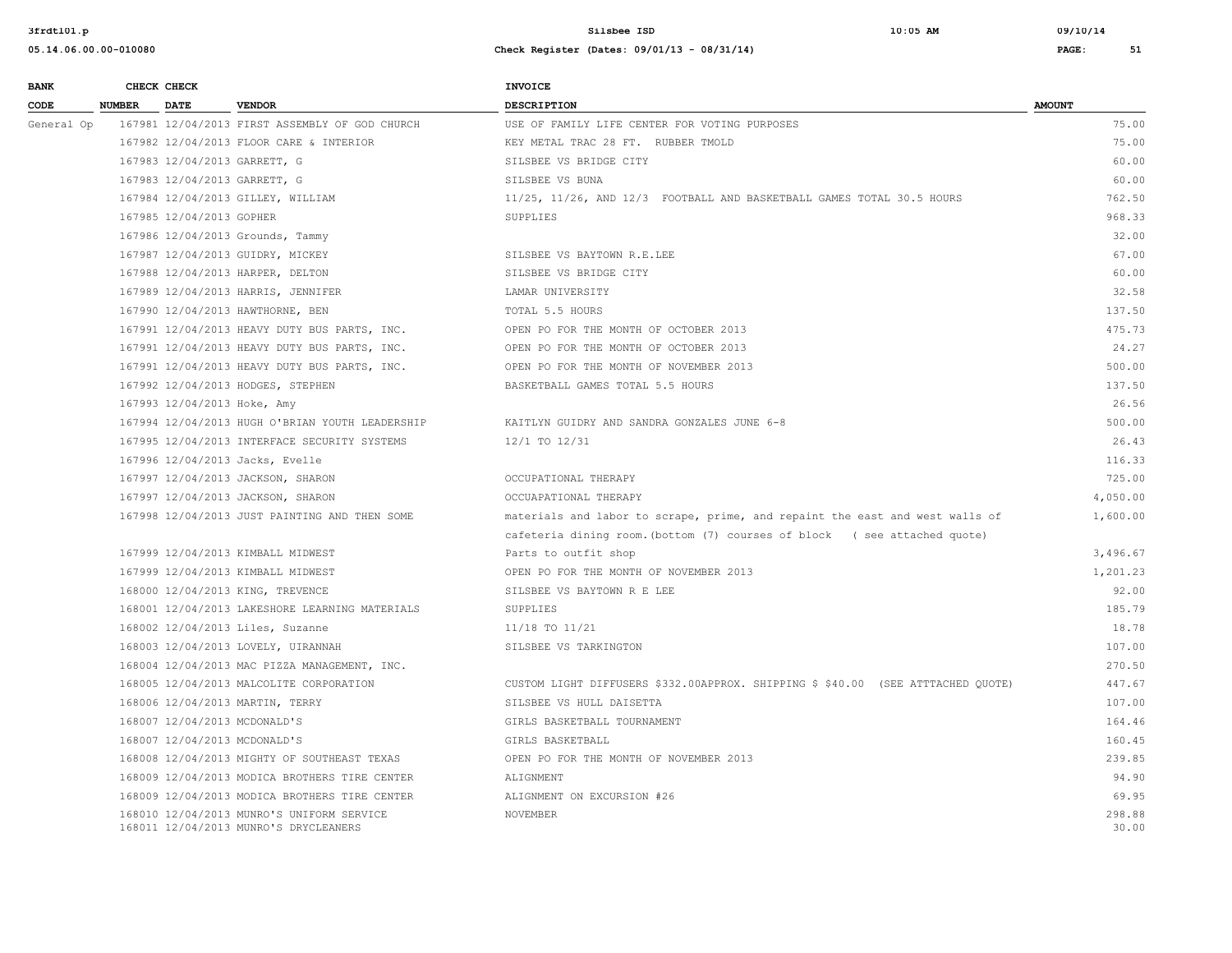| <b>BANK</b> |               | CHECK CHECK                 |                                                                                    | <b>INVOICE</b>                                                                   |                 |
|-------------|---------------|-----------------------------|------------------------------------------------------------------------------------|----------------------------------------------------------------------------------|-----------------|
| CODE        | <b>NUMBER</b> | <b>DATE</b>                 | <b>VENDOR</b>                                                                      | DESCRIPTION                                                                      | <b>AMOUNT</b>   |
| General Op  |               |                             | 167981 12/04/2013 FIRST ASSEMBLY OF GOD CHURCH                                     | USE OF FAMILY LIFE CENTER FOR VOTING PURPOSES                                    | 75.00           |
|             |               |                             | 167982 12/04/2013 FLOOR CARE & INTERIOR                                            | KEY METAL TRAC 28 FT. RUBBER TMOLD                                               | 75.00           |
|             |               |                             | 167983 12/04/2013 GARRETT, G                                                       | SILSBEE VS BRIDGE CITY                                                           | 60.00           |
|             |               |                             | 167983 12/04/2013 GARRETT, G                                                       | SILSBEE VS BUNA                                                                  | 60.00           |
|             |               |                             | 167984 12/04/2013 GILLEY, WILLIAM                                                  | 11/25, 11/26, AND 12/3 FOOTBALL AND BASKETBALL GAMES TOTAL 30.5 HOURS            | 762.50          |
|             |               | 167985 12/04/2013 GOPHER    |                                                                                    | SUPPLIES                                                                         | 968.33          |
|             |               |                             | 167986 12/04/2013 Grounds, Tammy                                                   |                                                                                  | 32.00           |
|             |               |                             | 167987 12/04/2013 GUIDRY, MICKEY                                                   | SILSBEE VS BAYTOWN R.E.LEE                                                       | 67.00           |
|             |               |                             | 167988 12/04/2013 HARPER, DELTON                                                   | SILSBEE VS BRIDGE CITY                                                           | 60.00           |
|             |               |                             | 167989 12/04/2013 HARRIS, JENNIFER                                                 | LAMAR UNIVERSITY                                                                 | 32.58           |
|             |               |                             | 167990 12/04/2013 HAWTHORNE, BEN                                                   | TOTAL 5.5 HOURS                                                                  | 137.50          |
|             |               |                             | 167991 12/04/2013 HEAVY DUTY BUS PARTS, INC.                                       | OPEN PO FOR THE MONTH OF OCTOBER 2013                                            | 475.73          |
|             |               |                             | 167991 12/04/2013 HEAVY DUTY BUS PARTS, INC.                                       | OPEN PO FOR THE MONTH OF OCTOBER 2013                                            | 24.27           |
|             |               |                             | 167991 12/04/2013 HEAVY DUTY BUS PARTS, INC.                                       | OPEN PO FOR THE MONTH OF NOVEMBER 2013                                           | 500.00          |
|             |               |                             | 167992 12/04/2013 HODGES, STEPHEN                                                  | BASKETBALL GAMES TOTAL 5.5 HOURS                                                 | 137.50          |
|             |               | 167993 12/04/2013 Hoke, Amy |                                                                                    |                                                                                  | 26.56           |
|             |               |                             | 167994 12/04/2013 HUGH O'BRIAN YOUTH LEADERSHIP                                    | KAITLYN GUIDRY AND SANDRA GONZALES JUNE 6-8                                      | 500.00          |
|             |               |                             | 167995 12/04/2013 INTERFACE SECURITY SYSTEMS                                       | 12/1 TO 12/31                                                                    | 26.43           |
|             |               |                             | 167996 12/04/2013 Jacks, Evelle                                                    |                                                                                  | 116.33          |
|             |               |                             | 167997 12/04/2013 JACKSON, SHARON                                                  | OCCUPATIONAL THERAPY                                                             | 725.00          |
|             |               |                             | 167997 12/04/2013 JACKSON, SHARON                                                  | OCCUAPATIONAL THERAPY                                                            | 4,050.00        |
|             |               |                             | 167998 12/04/2013 JUST PAINTING AND THEN SOME                                      | materials and labor to scrape, prime, and repaint the east and west walls of     | 1,600.00        |
|             |               |                             |                                                                                    | cafeteria dining room. (bottom (7) courses of block (see attached quote)         |                 |
|             |               |                             | 167999 12/04/2013 KIMBALL MIDWEST                                                  | Parts to outfit shop                                                             | 3,496.67        |
|             |               |                             | 167999 12/04/2013 KIMBALL MIDWEST                                                  | OPEN PO FOR THE MONTH OF NOVEMBER 2013                                           | 1,201.23        |
|             |               |                             | 168000 12/04/2013 KING, TREVENCE                                                   | SILSBEE VS BAYTOWN R E LEE                                                       | 92.00           |
|             |               |                             | 168001 12/04/2013 LAKESHORE LEARNING MATERIALS                                     | SUPPLIES                                                                         | 185.79          |
|             |               |                             | 168002 12/04/2013 Liles, Suzanne                                                   | 11/18 TO 11/21                                                                   | 18.78           |
|             |               |                             | 168003 12/04/2013 LOVELY, UIRANNAH                                                 | SILSBEE VS TARKINGTON                                                            | 107.00          |
|             |               |                             | 168004 12/04/2013 MAC PIZZA MANAGEMENT, INC.                                       |                                                                                  | 270.50          |
|             |               |                             | 168005 12/04/2013 MALCOLITE CORPORATION                                            | CUSTOM LIGHT DIFFUSERS \$332.00APPROX. SHIPPING \$ \$40.00 (SEE ATTTACHED OUOTE) | 447.67          |
|             |               |                             | 168006 12/04/2013 MARTIN, TERRY                                                    | SILSBEE VS HULL DAISETTA                                                         | 107.00          |
|             |               |                             | 168007 12/04/2013 MCDONALD'S                                                       | GIRLS BASKETBALL TOURNAMENT                                                      | 164.46          |
|             |               |                             | 168007 12/04/2013 MCDONALD'S                                                       | GIRLS BASKETBALL                                                                 | 160.45          |
|             |               |                             | 168008 12/04/2013 MIGHTY OF SOUTHEAST TEXAS                                        | OPEN PO FOR THE MONTH OF NOVEMBER 2013                                           | 239.85          |
|             |               |                             | 168009 12/04/2013 MODICA BROTHERS TIRE CENTER                                      | ALIGNMENT                                                                        | 94.90           |
|             |               |                             | 168009 12/04/2013 MODICA BROTHERS TIRE CENTER                                      | ALIGNMENT ON EXCURSION #26                                                       | 69.95           |
|             |               |                             | 168010 12/04/2013 MUNRO'S UNIFORM SERVICE<br>168011 12/04/2013 MUNRO'S DRYCLEANERS | <b>NOVEMBER</b>                                                                  | 298.88<br>30.00 |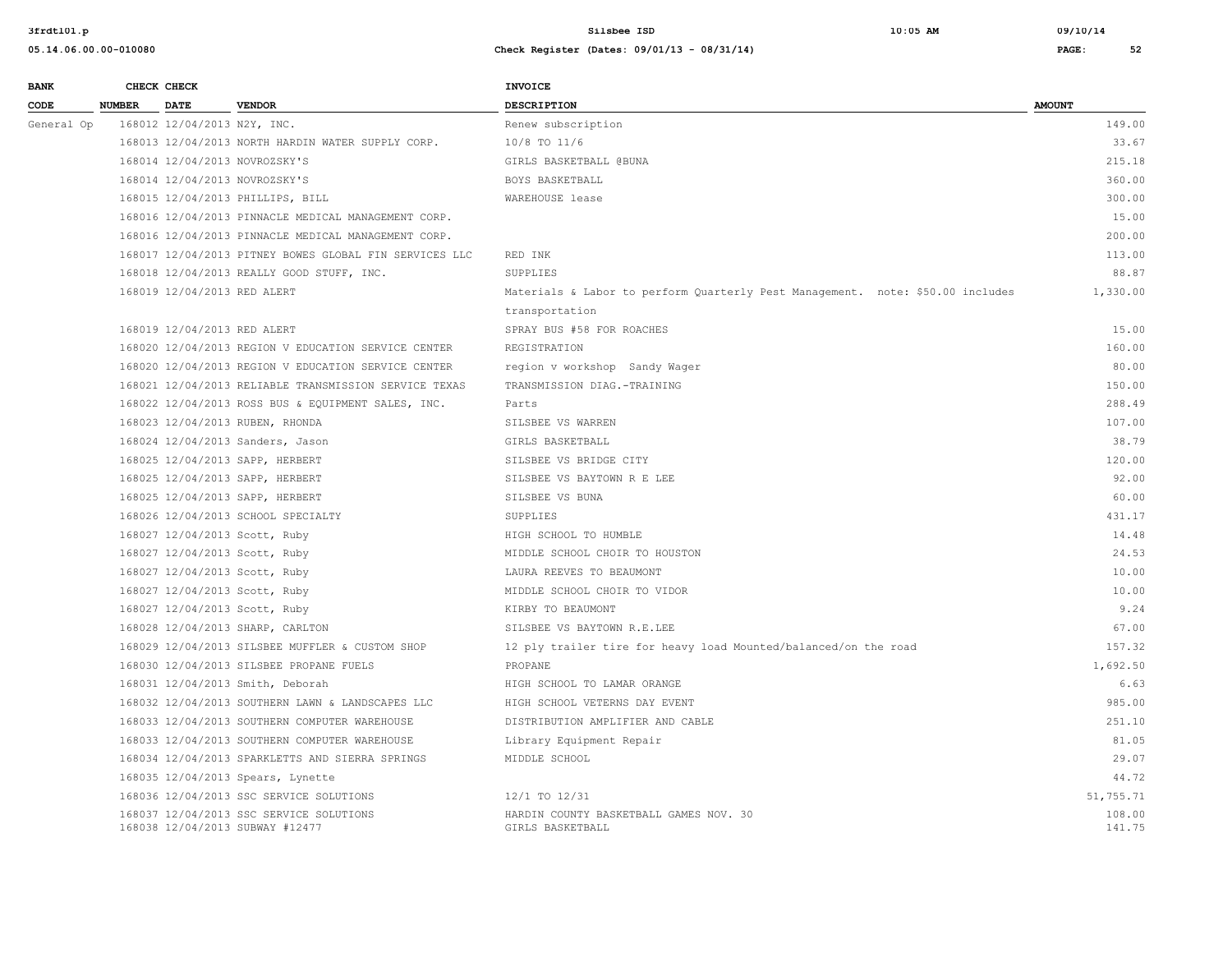| <b>BANK</b> |        | CHECK CHECK                 |                                                                            | <b>INVOICE</b>                                                                 |                  |
|-------------|--------|-----------------------------|----------------------------------------------------------------------------|--------------------------------------------------------------------------------|------------------|
| CODE        | NUMBER | <b>DATE</b>                 | <b>VENDOR</b>                                                              | <b>DESCRIPTION</b>                                                             | <b>AMOUNT</b>    |
| General Op  |        | 168012 12/04/2013 N2Y, INC. |                                                                            | Renew subscription                                                             | 149.00           |
|             |        |                             | 168013 12/04/2013 NORTH HARDIN WATER SUPPLY CORP.                          | 10/8 TO 11/6                                                                   | 33.67            |
|             |        |                             | 168014 12/04/2013 NOVROZSKY'S                                              | GIRLS BASKETBALL @BUNA                                                         | 215.18           |
|             |        |                             | 168014 12/04/2013 NOVROZSKY'S                                              | BOYS BASKETBALL                                                                | 360.00           |
|             |        |                             | 168015 12/04/2013 PHILLIPS, BILL                                           | WAREHOUSE lease                                                                | 300.00           |
|             |        |                             | 168016 12/04/2013 PINNACLE MEDICAL MANAGEMENT CORP.                        |                                                                                | 15.00            |
|             |        |                             | 168016 12/04/2013 PINNACLE MEDICAL MANAGEMENT CORP.                        |                                                                                | 200.00           |
|             |        |                             | 168017 12/04/2013 PITNEY BOWES GLOBAL FIN SERVICES LLC                     | RED INK                                                                        | 113.00           |
|             |        |                             | 168018 12/04/2013 REALLY GOOD STUFF, INC.                                  | SUPPLIES                                                                       | 88.87            |
|             |        | 168019 12/04/2013 RED ALERT |                                                                            | Materials & Labor to perform Quarterly Pest Management. note: \$50.00 includes | 1,330.00         |
|             |        |                             |                                                                            | transportation                                                                 |                  |
|             |        | 168019 12/04/2013 RED ALERT |                                                                            | SPRAY BUS #58 FOR ROACHES                                                      | 15.00            |
|             |        |                             | 168020 12/04/2013 REGION V EDUCATION SERVICE CENTER                        | REGISTRATION                                                                   | 160.00           |
|             |        |                             | 168020 12/04/2013 REGION V EDUCATION SERVICE CENTER                        | region v workshop Sandy Wager                                                  | 80.00            |
|             |        |                             | 168021 12/04/2013 RELIABLE TRANSMISSION SERVICE TEXAS                      | TRANSMISSION DIAG. - TRAINING                                                  | 150.00           |
|             |        |                             | 168022 12/04/2013 ROSS BUS & EQUIPMENT SALES, INC.                         | Parts                                                                          | 288.49           |
|             |        |                             | 168023 12/04/2013 RUBEN, RHONDA                                            | SILSBEE VS WARREN                                                              | 107.00           |
|             |        |                             | 168024 12/04/2013 Sanders, Jason                                           | GIRLS BASKETBALL                                                               | 38.79            |
|             |        |                             | 168025 12/04/2013 SAPP, HERBERT                                            | SILSBEE VS BRIDGE CITY                                                         | 120.00           |
|             |        |                             | 168025 12/04/2013 SAPP, HERBERT                                            | SILSBEE VS BAYTOWN R E LEE                                                     | 92.00            |
|             |        |                             | 168025 12/04/2013 SAPP, HERBERT                                            | SILSBEE VS BUNA                                                                | 60.00            |
|             |        |                             | 168026 12/04/2013 SCHOOL SPECIALTY                                         | SUPPLIES                                                                       | 431.17           |
|             |        |                             | 168027 12/04/2013 Scott, Ruby                                              | HIGH SCHOOL TO HUMBLE                                                          | 14.48            |
|             |        |                             | 168027 12/04/2013 Scott, Ruby                                              | MIDDLE SCHOOL CHOIR TO HOUSTON                                                 | 24.53            |
|             |        |                             | 168027 12/04/2013 Scott, Ruby                                              | LAURA REEVES TO BEAUMONT                                                       | 10.00            |
|             |        |                             | 168027 12/04/2013 Scott, Ruby                                              | MIDDLE SCHOOL CHOIR TO VIDOR                                                   | 10.00            |
|             |        |                             | 168027 12/04/2013 Scott, Ruby                                              | KIRBY TO BEAUMONT                                                              | 9.24             |
|             |        |                             | 168028 12/04/2013 SHARP, CARLTON                                           | SILSBEE VS BAYTOWN R.E.LEE                                                     | 67.00            |
|             |        |                             | 168029 12/04/2013 SILSBEE MUFFLER & CUSTOM SHOP                            | 12 ply trailer tire for heavy load Mounted/balanced/on the road                | 157.32           |
|             |        |                             | 168030 12/04/2013 SILSBEE PROPANE FUELS                                    | PROPANE                                                                        | 1,692.50         |
|             |        |                             | 168031 12/04/2013 Smith, Deborah                                           | HIGH SCHOOL TO LAMAR ORANGE                                                    | 6.63             |
|             |        |                             | 168032 12/04/2013 SOUTHERN LAWN & LANDSCAPES LLC                           | HIGH SCHOOL VETERNS DAY EVENT                                                  | 985.00           |
|             |        |                             | 168033 12/04/2013 SOUTHERN COMPUTER WAREHOUSE                              | DISTRIBUTION AMPLIFIER AND CABLE                                               | 251.10           |
|             |        |                             | 168033 12/04/2013 SOUTHERN COMPUTER WAREHOUSE                              | Library Equipment Repair                                                       | 81.05            |
|             |        |                             | 168034 12/04/2013 SPARKLETTS AND SIERRA SPRINGS                            | MIDDLE SCHOOL                                                                  | 29.07            |
|             |        |                             | 168035 12/04/2013 Spears, Lynette                                          |                                                                                | 44.72            |
|             |        |                             | 168036 12/04/2013 SSC SERVICE SOLUTIONS                                    | 12/1 TO 12/31                                                                  | 51,755.71        |
|             |        |                             | 168037 12/04/2013 SSC SERVICE SOLUTIONS<br>168038 12/04/2013 SUBWAY #12477 | HARDIN COUNTY BASKETBALL GAMES NOV. 30<br>GIRLS BASKETBALL                     | 108.00<br>141.75 |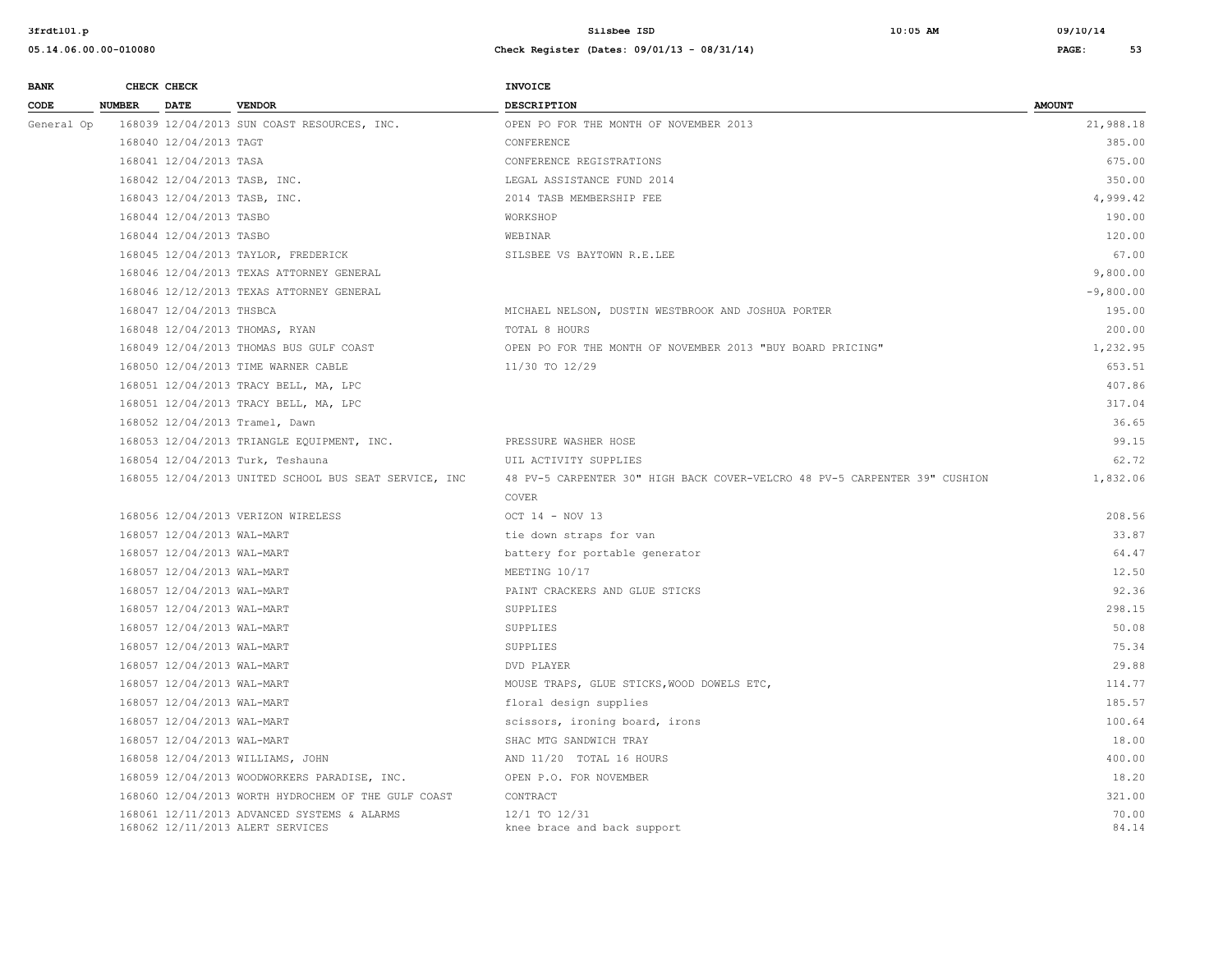| <b>BANK</b> |               | CHECK CHECK                  |                                                                                 | <b>INVOICE</b>                                                             |                |
|-------------|---------------|------------------------------|---------------------------------------------------------------------------------|----------------------------------------------------------------------------|----------------|
| CODE        | <b>NUMBER</b> | <b>DATE</b>                  | <b>VENDOR</b>                                                                   | <b>DESCRIPTION</b>                                                         | <b>AMOUNT</b>  |
| General Op  |               |                              | 168039 12/04/2013 SUN COAST RESOURCES, INC.                                     | OPEN PO FOR THE MONTH OF NOVEMBER 2013                                     | 21,988.18      |
|             |               | 168040 12/04/2013 TAGT       |                                                                                 | CONFERENCE                                                                 | 385.00         |
|             |               | 168041 12/04/2013 TASA       |                                                                                 | CONFERENCE REGISTRATIONS                                                   | 675.00         |
|             |               | 168042 12/04/2013 TASB, INC. |                                                                                 | LEGAL ASSISTANCE FUND 2014                                                 | 350.00         |
|             |               | 168043 12/04/2013 TASB, INC. |                                                                                 | 2014 TASB MEMBERSHIP FEE                                                   | 4,999.42       |
|             |               | 168044 12/04/2013 TASBO      |                                                                                 | WORKSHOP                                                                   | 190.00         |
|             |               | 168044 12/04/2013 TASBO      |                                                                                 | WEBINAR                                                                    | 120.00         |
|             |               |                              | 168045 12/04/2013 TAYLOR, FREDERICK                                             | SILSBEE VS BAYTOWN R.E.LEE                                                 | 67.00          |
|             |               |                              | 168046 12/04/2013 TEXAS ATTORNEY GENERAL                                        |                                                                            | 9,800.00       |
|             |               |                              | 168046 12/12/2013 TEXAS ATTORNEY GENERAL                                        |                                                                            | $-9,800.00$    |
|             |               | 168047 12/04/2013 THSBCA     |                                                                                 | MICHAEL NELSON, DUSTIN WESTBROOK AND JOSHUA PORTER                         | 195.00         |
|             |               |                              | 168048 12/04/2013 THOMAS, RYAN                                                  | TOTAL 8 HOURS                                                              | 200.00         |
|             |               |                              | 168049 12/04/2013 THOMAS BUS GULF COAST                                         | OPEN PO FOR THE MONTH OF NOVEMBER 2013 "BUY BOARD PRICING"                 | 1,232.95       |
|             |               |                              | 168050 12/04/2013 TIME WARNER CABLE                                             | 11/30 TO 12/29                                                             | 653.51         |
|             |               |                              | 168051 12/04/2013 TRACY BELL, MA, LPC                                           |                                                                            | 407.86         |
|             |               |                              | 168051 12/04/2013 TRACY BELL, MA, LPC                                           |                                                                            | 317.04         |
|             |               |                              | 168052 12/04/2013 Tramel, Dawn                                                  |                                                                            | 36.65          |
|             |               |                              | 168053 12/04/2013 TRIANGLE EQUIPMENT, INC.                                      | PRESSURE WASHER HOSE                                                       | 99.15          |
|             |               |                              | 168054 12/04/2013 Turk, Teshauna                                                | UIL ACTIVITY SUPPLIES                                                      | 62.72          |
|             |               |                              | 168055 12/04/2013 UNITED SCHOOL BUS SEAT SERVICE, INC                           | 48 PV-5 CARPENTER 30" HIGH BACK COVER-VELCRO 48 PV-5 CARPENTER 39" CUSHION | 1,832.06       |
|             |               |                              |                                                                                 | COVER                                                                      |                |
|             |               |                              | 168056 12/04/2013 VERIZON WIRELESS                                              | OCT 14 - NOV 13                                                            | 208.56         |
|             |               | 168057 12/04/2013 WAL-MART   |                                                                                 | tie down straps for van                                                    | 33.87          |
|             |               | 168057 12/04/2013 WAL-MART   |                                                                                 | battery for portable generator                                             | 64.47          |
|             |               | 168057 12/04/2013 WAL-MART   |                                                                                 | MEETING 10/17                                                              | 12.50          |
|             |               | 168057 12/04/2013 WAL-MART   |                                                                                 | PAINT CRACKERS AND GLUE STICKS                                             | 92.36          |
|             |               | 168057 12/04/2013 WAL-MART   |                                                                                 | SUPPLIES                                                                   | 298.15         |
|             |               | 168057 12/04/2013 WAL-MART   |                                                                                 | SUPPLIES                                                                   | 50.08          |
|             |               | 168057 12/04/2013 WAL-MART   |                                                                                 | SUPPLIES                                                                   | 75.34          |
|             |               | 168057 12/04/2013 WAL-MART   |                                                                                 | DVD PLAYER                                                                 | 29.88          |
|             |               | 168057 12/04/2013 WAL-MART   |                                                                                 | MOUSE TRAPS, GLUE STICKS, WOOD DOWELS ETC,                                 | 114.77         |
|             |               | 168057 12/04/2013 WAL-MART   |                                                                                 | floral design supplies                                                     | 185.57         |
|             |               | 168057 12/04/2013 WAL-MART   |                                                                                 | scissors, ironing board, irons                                             | 100.64         |
|             |               | 168057 12/04/2013 WAL-MART   |                                                                                 | SHAC MTG SANDWICH TRAY                                                     | 18.00          |
|             |               |                              | 168058 12/04/2013 WILLIAMS, JOHN                                                | AND 11/20 TOTAL 16 HOURS                                                   | 400.00         |
|             |               |                              | 168059 12/04/2013 WOODWORKERS PARADISE, INC.                                    | OPEN P.O. FOR NOVEMBER                                                     | 18.20          |
|             |               |                              | 168060 12/04/2013 WORTH HYDROCHEM OF THE GULF COAST                             | CONTRACT                                                                   | 321.00         |
|             |               |                              | 168061 12/11/2013 ADVANCED SYSTEMS & ALARMS<br>168062 12/11/2013 ALERT SERVICES | 12/1 TO 12/31<br>knee brace and back support                               | 70.00<br>84.14 |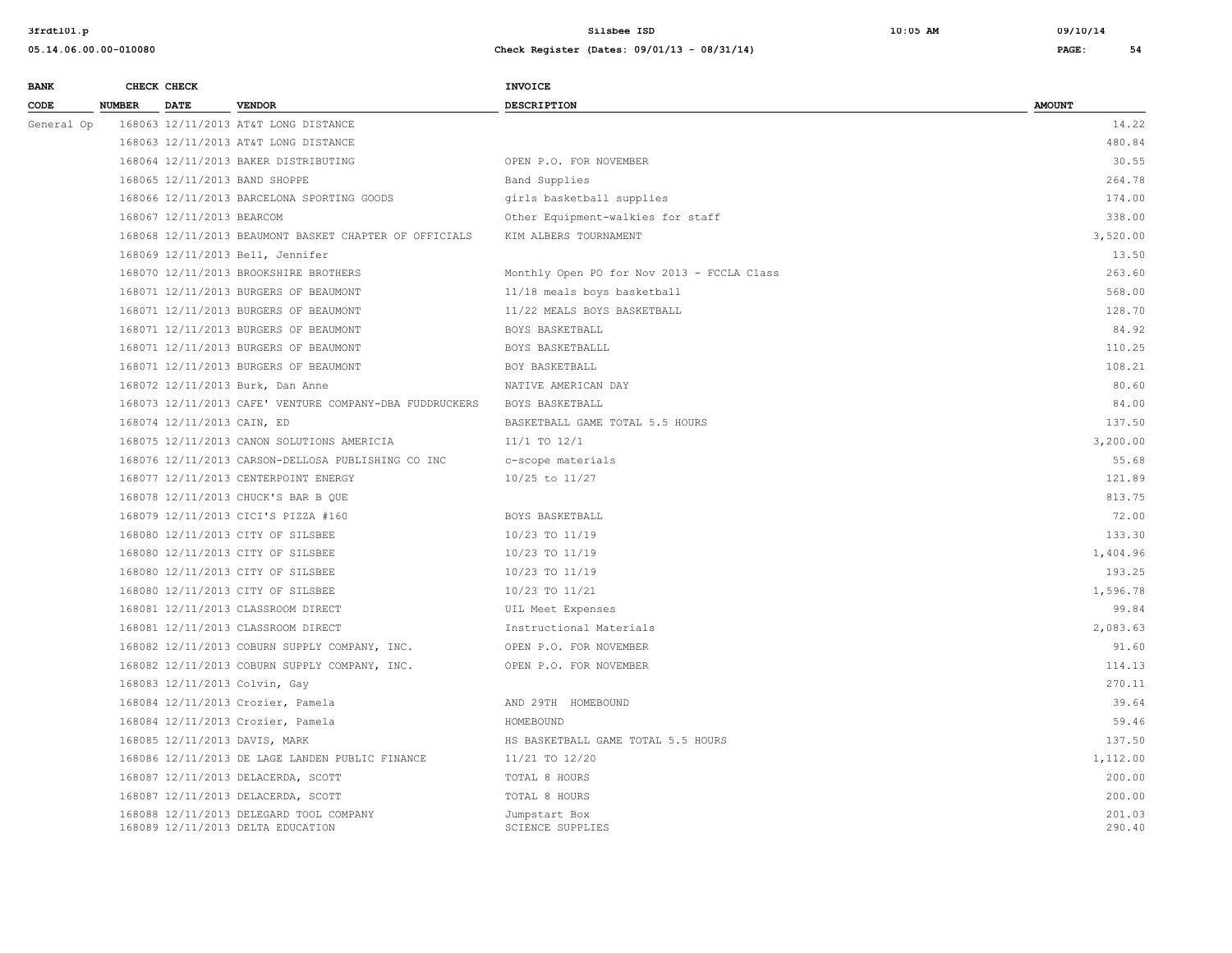| <b>BANK</b> |               | CHECK CHECK                |                                                                              | <b>INVOICE</b>                             |                  |
|-------------|---------------|----------------------------|------------------------------------------------------------------------------|--------------------------------------------|------------------|
| <b>CODE</b> | <b>NUMBER</b> | <b>DATE</b>                | <b>VENDOR</b>                                                                | <b>DESCRIPTION</b>                         | <b>AMOUNT</b>    |
| General Op  |               |                            | 168063 12/11/2013 AT&T LONG DISTANCE                                         |                                            | 14.22            |
|             |               |                            | 168063 12/11/2013 AT&T LONG DISTANCE                                         |                                            | 480.84           |
|             |               |                            | 168064 12/11/2013 BAKER DISTRIBUTING                                         | OPEN P.O. FOR NOVEMBER                     | 30.55            |
|             |               |                            | 168065 12/11/2013 BAND SHOPPE                                                | Band Supplies                              | 264.78           |
|             |               |                            | 168066 12/11/2013 BARCELONA SPORTING GOODS                                   | girls basketball supplies                  | 174.00           |
|             |               | 168067 12/11/2013 BEARCOM  |                                                                              | Other Equipment-walkies for staff          | 338.00           |
|             |               |                            | 168068 12/11/2013 BEAUMONT BASKET CHAPTER OF OFFICIALS                       | KIM ALBERS TOURNAMENT                      | 3,520.00         |
|             |               |                            | 168069 12/11/2013 Bell, Jennifer                                             |                                            | 13.50            |
|             |               |                            | 168070 12/11/2013 BROOKSHIRE BROTHERS                                        | Monthly Open PO for Nov 2013 - FCCLA Class | 263.60           |
|             |               |                            | 168071 12/11/2013 BURGERS OF BEAUMONT                                        | 11/18 meals boys basketball                | 568.00           |
|             |               |                            | 168071 12/11/2013 BURGERS OF BEAUMONT                                        | 11/22 MEALS BOYS BASKETBALL                | 128.70           |
|             |               |                            | 168071 12/11/2013 BURGERS OF BEAUMONT                                        | BOYS BASKETBALL                            | 84.92            |
|             |               |                            | 168071 12/11/2013 BURGERS OF BEAUMONT                                        | BOYS BASKETBALLL                           | 110.25           |
|             |               |                            | 168071 12/11/2013 BURGERS OF BEAUMONT                                        | BOY BASKETBALL                             | 108.21           |
|             |               |                            | 168072 12/11/2013 Burk, Dan Anne                                             | NATIVE AMERICAN DAY                        | 80.60            |
|             |               |                            | 168073 12/11/2013 CAFE' VENTURE COMPANY-DBA FUDDRUCKERS                      | BOYS BASKETBALL                            | 84.00            |
|             |               | 168074 12/11/2013 CAIN, ED |                                                                              | BASKETBALL GAME TOTAL 5.5 HOURS            | 137.50           |
|             |               |                            | 168075 12/11/2013 CANON SOLUTIONS AMERICIA                                   | $11/1$ TO $12/1$                           | 3,200.00         |
|             |               |                            | 168076 12/11/2013 CARSON-DELLOSA PUBLISHING CO INC                           | c-scope materials                          | 55.68            |
|             |               |                            | 168077 12/11/2013 CENTERPOINT ENERGY                                         | 10/25 to 11/27                             | 121.89           |
|             |               |                            | 168078 12/11/2013 CHUCK'S BAR B QUE                                          |                                            | 813.75           |
|             |               |                            | 168079 12/11/2013 CICI'S PIZZA #160                                          | BOYS BASKETBALL                            | 72.00            |
|             |               |                            | 168080 12/11/2013 CITY OF SILSBEE                                            | 10/23 TO 11/19                             | 133.30           |
|             |               |                            | 168080 12/11/2013 CITY OF SILSBEE                                            | 10/23 TO 11/19                             | 1,404.96         |
|             |               |                            | 168080 12/11/2013 CITY OF SILSBEE                                            | 10/23 TO 11/19                             | 193.25           |
|             |               |                            | 168080 12/11/2013 CITY OF SILSBEE                                            | 10/23 TO 11/21                             | 1,596.78         |
|             |               |                            | 168081 12/11/2013 CLASSROOM DIRECT                                           | UIL Meet Expenses                          | 99.84            |
|             |               |                            | 168081 12/11/2013 CLASSROOM DIRECT                                           | Instructional Materials                    | 2,083.63         |
|             |               |                            | 168082 12/11/2013 COBURN SUPPLY COMPANY, INC.                                | OPEN P.O. FOR NOVEMBER                     | 91.60            |
|             |               |                            | 168082 12/11/2013 COBURN SUPPLY COMPANY, INC.                                | OPEN P.O. FOR NOVEMBER                     | 114.13           |
|             |               |                            | 168083 12/11/2013 Colvin, Gay                                                |                                            | 270.11           |
|             |               |                            | 168084 12/11/2013 Crozier, Pamela                                            | AND 29TH HOMEBOUND                         | 39.64            |
|             |               |                            | 168084 12/11/2013 Crozier, Pamela                                            | HOMEBOUND                                  | 59.46            |
|             |               |                            | 168085 12/11/2013 DAVIS, MARK                                                | HS BASKETBALL GAME TOTAL 5.5 HOURS         | 137.50           |
|             |               |                            | 168086 12/11/2013 DE LAGE LANDEN PUBLIC FINANCE                              | 11/21 TO 12/20                             | 1,112.00         |
|             |               |                            | 168087 12/11/2013 DELACERDA, SCOTT                                           | TOTAL 8 HOURS                              | 200.00           |
|             |               |                            | 168087 12/11/2013 DELACERDA, SCOTT                                           | TOTAL 8 HOURS                              | 200.00           |
|             |               |                            | 168088 12/11/2013 DELEGARD TOOL COMPANY<br>168089 12/11/2013 DELTA EDUCATION | Jumpstart Box<br><b>SCIENCE SUPPLIES</b>   | 201.03<br>290.40 |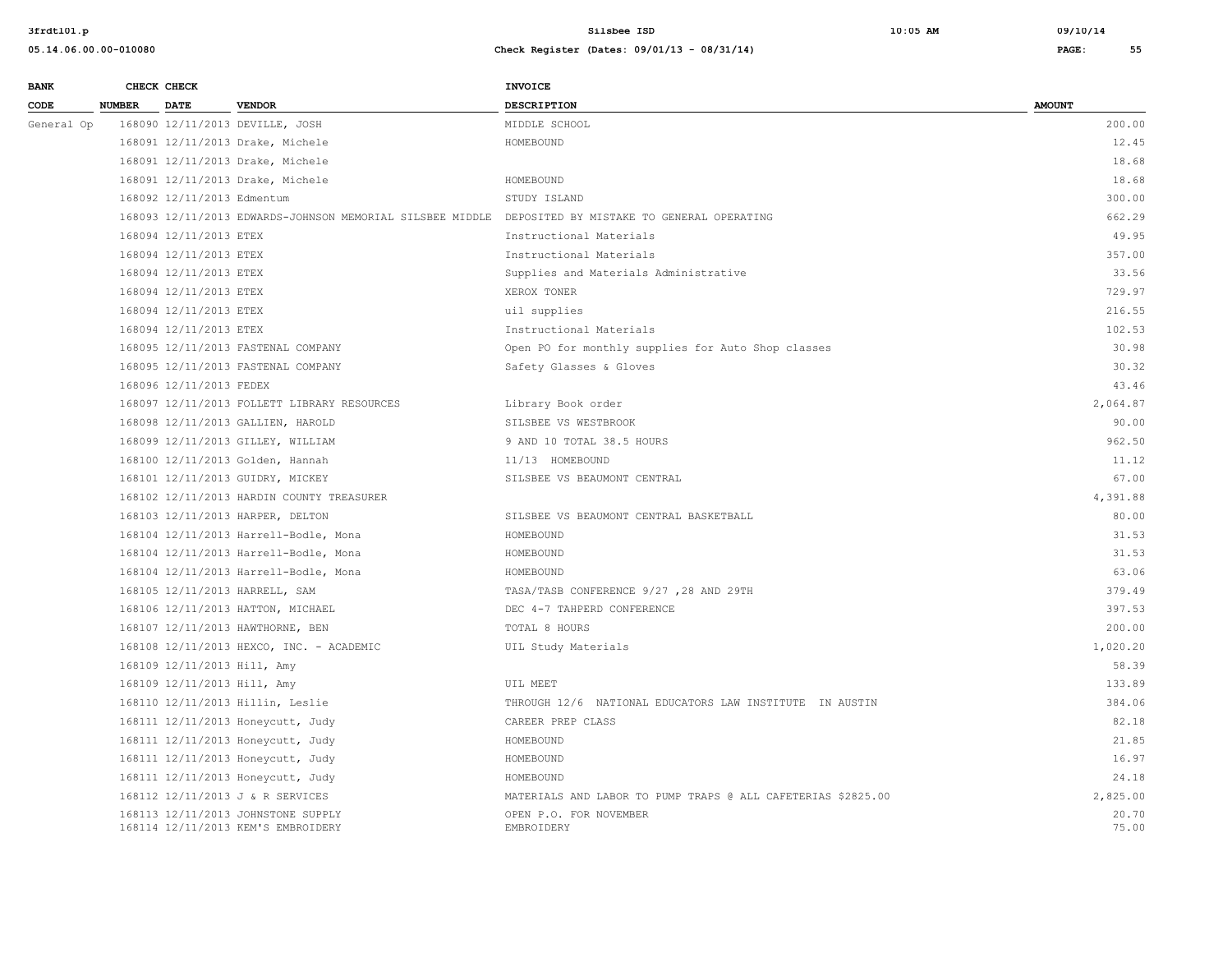| <b>BANK</b> |               | CHECK CHECK                 |                                                                          | <b>INVOICE</b>                                               |                |
|-------------|---------------|-----------------------------|--------------------------------------------------------------------------|--------------------------------------------------------------|----------------|
| CODE        | <b>NUMBER</b> | <b>DATE</b>                 | <b>VENDOR</b>                                                            | <b>DESCRIPTION</b>                                           | <b>AMOUNT</b>  |
| General Op  |               |                             | 168090 12/11/2013 DEVILLE, JOSH                                          | MIDDLE SCHOOL                                                | 200.00         |
|             |               |                             | 168091 12/11/2013 Drake, Michele                                         | HOMEBOUND                                                    | 12.45          |
|             |               |                             | 168091 12/11/2013 Drake, Michele                                         |                                                              | 18.68          |
|             |               |                             | 168091 12/11/2013 Drake, Michele                                         | HOMEBOUND                                                    | 18.68          |
|             |               | 168092 12/11/2013 Edmentum  |                                                                          | STUDY ISLAND                                                 | 300.00         |
|             |               |                             | 168093 12/11/2013 EDWARDS-JOHNSON MEMORIAL SILSBEE MIDDLE                | DEPOSITED BY MISTAKE TO GENERAL OPERATING                    | 662.29         |
|             |               | 168094 12/11/2013 ETEX      |                                                                          | Instructional Materials                                      | 49.95          |
|             |               | 168094 12/11/2013 ETEX      |                                                                          | Instructional Materials                                      | 357.00         |
|             |               | 168094 12/11/2013 ETEX      |                                                                          | Supplies and Materials Administrative                        | 33.56          |
|             |               | 168094 12/11/2013 ETEX      |                                                                          | XEROX TONER                                                  | 729.97         |
|             |               | 168094 12/11/2013 ETEX      |                                                                          | uil supplies                                                 | 216.55         |
|             |               | 168094 12/11/2013 ETEX      |                                                                          | Instructional Materials                                      | 102.53         |
|             |               |                             | 168095 12/11/2013 FASTENAL COMPANY                                       | Open PO for monthly supplies for Auto Shop classes           | 30.98          |
|             |               |                             | 168095 12/11/2013 FASTENAL COMPANY                                       | Safety Glasses & Gloves                                      | 30.32          |
|             |               | 168096 12/11/2013 FEDEX     |                                                                          |                                                              | 43.46          |
|             |               |                             | 168097 12/11/2013 FOLLETT LIBRARY RESOURCES                              | Library Book order                                           | 2,064.87       |
|             |               |                             | 168098 12/11/2013 GALLIEN, HAROLD                                        | SILSBEE VS WESTBROOK                                         | 90.00          |
|             |               |                             | 168099 12/11/2013 GILLEY, WILLIAM                                        | 9 AND 10 TOTAL 38.5 HOURS                                    | 962.50         |
|             |               |                             | 168100 12/11/2013 Golden, Hannah                                         | 11/13 HOMEBOUND                                              | 11.12          |
|             |               |                             | 168101 12/11/2013 GUIDRY, MICKEY                                         | SILSBEE VS BEAUMONT CENTRAL                                  | 67.00          |
|             |               |                             | 168102 12/11/2013 HARDIN COUNTY TREASURER                                |                                                              | 4,391.88       |
|             |               |                             | 168103 12/11/2013 HARPER, DELTON                                         | SILSBEE VS BEAUMONT CENTRAL BASKETBALL                       | 80.00          |
|             |               |                             | 168104 12/11/2013 Harrell-Bodle, Mona                                    | HOMEBOUND                                                    | 31.53          |
|             |               |                             | 168104 12/11/2013 Harrell-Bodle, Mona                                    | HOMEBOUND                                                    | 31.53          |
|             |               |                             | 168104 12/11/2013 Harrell-Bodle, Mona                                    | HOMEBOUND                                                    | 63.06          |
|             |               |                             | 168105 12/11/2013 HARRELL, SAM                                           | TASA/TASB CONFERENCE 9/27, 28 AND 29TH                       | 379.49         |
|             |               |                             | 168106 12/11/2013 HATTON, MICHAEL                                        | DEC 4-7 TAHPERD CONFERENCE                                   | 397.53         |
|             |               |                             | 168107 12/11/2013 HAWTHORNE, BEN                                         | TOTAL 8 HOURS                                                | 200.00         |
|             |               |                             | 168108 12/11/2013 HEXCO, INC. - ACADEMIC                                 | UIL Study Materials                                          | 1,020.20       |
|             |               | 168109 12/11/2013 Hill, Amy |                                                                          |                                                              | 58.39          |
|             |               | 168109 12/11/2013 Hill, Amy |                                                                          | UIL MEET                                                     | 133.89         |
|             |               |                             | 168110 12/11/2013 Hillin, Leslie                                         | THROUGH 12/6 NATIONAL EDUCATORS LAW INSTITUTE IN AUSTIN      | 384.06         |
|             |               |                             | 168111 12/11/2013 Honeycutt, Judy                                        | CAREER PREP CLASS                                            | 82.18          |
|             |               |                             | 168111 12/11/2013 Honeycutt, Judy                                        | HOMEBOUND                                                    | 21.85          |
|             |               |                             | 168111 12/11/2013 Honeycutt, Judy                                        | HOMEBOUND                                                    | 16.97          |
|             |               |                             | 168111 12/11/2013 Honeycutt, Judy                                        | HOMEBOUND                                                    | 24.18          |
|             |               |                             | 168112 12/11/2013 J & R SERVICES                                         | MATERIALS AND LABOR TO PUMP TRAPS @ ALL CAFETERIAS \$2825.00 | 2,825.00       |
|             |               |                             | 168113 12/11/2013 JOHNSTONE SUPPLY<br>168114 12/11/2013 KEM'S EMBROIDERY | OPEN P.O. FOR NOVEMBER<br>EMBROIDERY                         | 20.70<br>75.00 |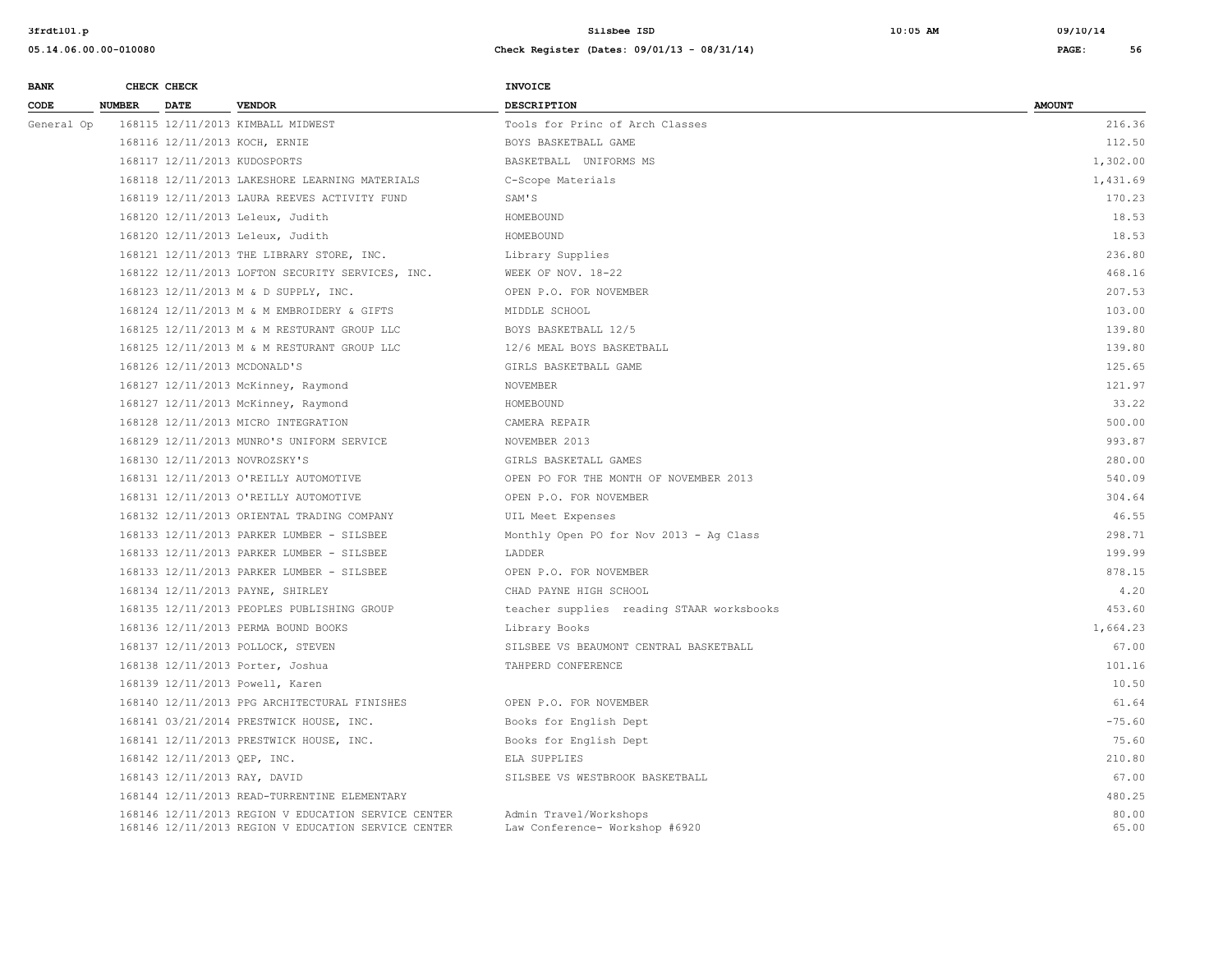| <b>BANK</b> | CHECK CHECK                  |                                                                                                            | <b>INVOICE</b>                                           |                |  |
|-------------|------------------------------|------------------------------------------------------------------------------------------------------------|----------------------------------------------------------|----------------|--|
| <b>CODE</b> | <b>NUMBER</b><br><b>DATE</b> | <b>VENDOR</b>                                                                                              | <b>DESCRIPTION</b>                                       | <b>AMOUNT</b>  |  |
| General Op  |                              | 168115 12/11/2013 KIMBALL MIDWEST                                                                          | Tools for Princ of Arch Classes                          | 216.36         |  |
|             |                              | 168116 12/11/2013 KOCH, ERNIE                                                                              | BOYS BASKETBALL GAME                                     | 112.50         |  |
|             |                              | 168117 12/11/2013 KUDOSPORTS                                                                               | BASKETBALL UNIFORMS MS                                   | 1,302.00       |  |
|             |                              | 168118 12/11/2013 LAKESHORE LEARNING MATERIALS                                                             | C-Scope Materials                                        | 1,431.69       |  |
|             |                              | 168119 12/11/2013 LAURA REEVES ACTIVITY FUND                                                               | SAM'S                                                    | 170.23         |  |
|             |                              | 168120 12/11/2013 Leleux, Judith                                                                           | HOMEBOUND                                                | 18.53          |  |
|             |                              | 168120 12/11/2013 Leleux, Judith                                                                           | HOMEBOUND                                                | 18.53          |  |
|             |                              | 168121 12/11/2013 THE LIBRARY STORE, INC.                                                                  | Library Supplies                                         | 236.80         |  |
|             |                              | 168122 12/11/2013 LOFTON SECURITY SERVICES, INC.                                                           | WEEK OF NOV. 18-22                                       | 468.16         |  |
|             |                              | 168123 12/11/2013 M & D SUPPLY, INC.                                                                       | OPEN P.O. FOR NOVEMBER                                   | 207.53         |  |
|             |                              | 168124 12/11/2013 M & M EMBROIDERY & GIFTS                                                                 | MIDDLE SCHOOL                                            | 103.00         |  |
|             |                              | 168125 12/11/2013 M & M RESTURANT GROUP LLC                                                                | BOYS BASKETBALL 12/5                                     | 139.80         |  |
|             |                              | 168125 12/11/2013 M & M RESTURANT GROUP LLC                                                                | 12/6 MEAL BOYS BASKETBALL                                | 139.80         |  |
|             |                              | 168126 12/11/2013 MCDONALD'S                                                                               | GIRLS BASKETBALL GAME                                    | 125.65         |  |
|             |                              | 168127 12/11/2013 McKinney, Raymond                                                                        | <b>NOVEMBER</b>                                          | 121.97         |  |
|             |                              | 168127 12/11/2013 McKinney, Raymond                                                                        | HOMEBOUND                                                | 33.22          |  |
|             |                              | 168128 12/11/2013 MICRO INTEGRATION                                                                        | CAMERA REPAIR                                            | 500.00         |  |
|             |                              | 168129 12/11/2013 MUNRO'S UNIFORM SERVICE                                                                  | NOVEMBER 2013                                            | 993.87         |  |
|             |                              | 168130 12/11/2013 NOVROZSKY'S                                                                              | GIRLS BASKETALL GAMES                                    | 280.00         |  |
|             |                              | 168131 12/11/2013 O'REILLY AUTOMOTIVE                                                                      | OPEN PO FOR THE MONTH OF NOVEMBER 2013                   | 540.09         |  |
|             |                              | 168131 12/11/2013 O'REILLY AUTOMOTIVE                                                                      | OPEN P.O. FOR NOVEMBER                                   | 304.64         |  |
|             |                              | 168132 12/11/2013 ORIENTAL TRADING COMPANY                                                                 | UIL Meet Expenses                                        | 46.55          |  |
|             |                              | 168133 12/11/2013 PARKER LUMBER - SILSBEE                                                                  | Monthly Open PO for Nov 2013 - Ag Class                  | 298.71         |  |
|             |                              | 168133 12/11/2013 PARKER LUMBER - SILSBEE                                                                  | LADDER                                                   | 199.99         |  |
|             |                              | 168133 12/11/2013 PARKER LUMBER - SILSBEE                                                                  | OPEN P.O. FOR NOVEMBER                                   | 878.15         |  |
|             |                              | 168134 12/11/2013 PAYNE, SHIRLEY                                                                           | CHAD PAYNE HIGH SCHOOL                                   | 4.20           |  |
|             |                              | 168135 12/11/2013 PEOPLES PUBLISHING GROUP                                                                 | teacher supplies reading STAAR worksbooks                | 453.60         |  |
|             |                              | 168136 12/11/2013 PERMA BOUND BOOKS                                                                        | Library Books                                            | 1,664.23       |  |
|             |                              | 168137 12/11/2013 POLLOCK, STEVEN                                                                          | SILSBEE VS BEAUMONT CENTRAL BASKETBALL                   | 67.00          |  |
|             |                              | 168138 12/11/2013 Porter, Joshua                                                                           | TAHPERD CONFERENCE                                       | 101.16         |  |
|             |                              | 168139 12/11/2013 Powell, Karen                                                                            |                                                          | 10.50          |  |
|             |                              | 168140 12/11/2013 PPG ARCHITECTURAL FINISHES                                                               | OPEN P.O. FOR NOVEMBER                                   | 61.64          |  |
|             |                              | 168141 03/21/2014 PRESTWICK HOUSE, INC.                                                                    | Books for English Dept                                   | $-75.60$       |  |
|             |                              | 168141 12/11/2013 PRESTWICK HOUSE, INC.                                                                    | Books for English Dept                                   | 75.60          |  |
|             |                              | 168142 12/11/2013 QEP, INC.                                                                                | ELA SUPPLIES                                             | 210.80         |  |
|             |                              | 168143 12/11/2013 RAY, DAVID                                                                               | SILSBEE VS WESTBROOK BASKETBALL                          | 67.00          |  |
|             |                              | 168144 12/11/2013 READ-TURRENTINE ELEMENTARY                                                               |                                                          | 480.25         |  |
|             |                              | 168146 12/11/2013 REGION V EDUCATION SERVICE CENTER<br>168146 12/11/2013 REGION V EDUCATION SERVICE CENTER | Admin Travel/Workshops<br>Law Conference- Workshop #6920 | 80.00<br>65.00 |  |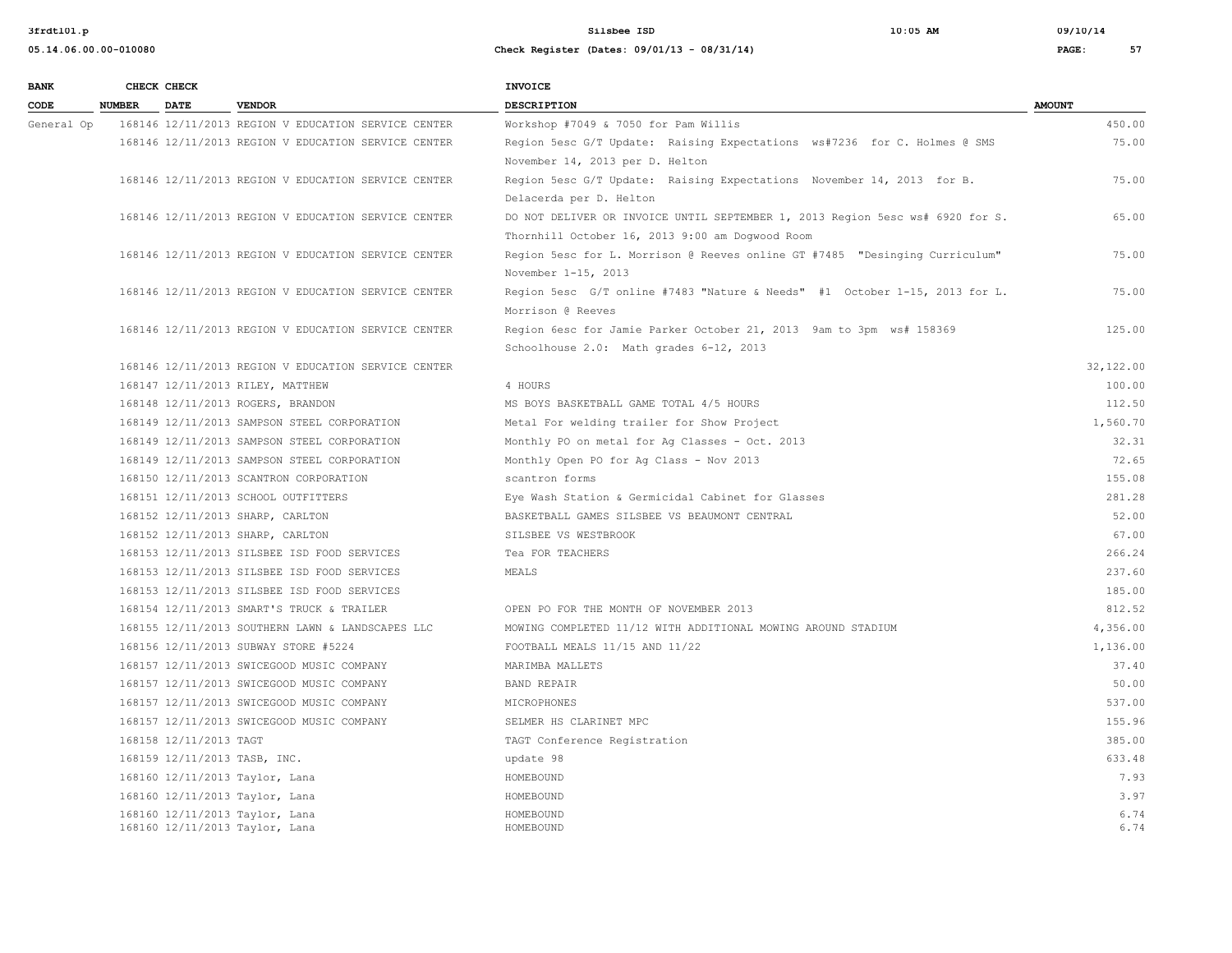| <b>BANK</b> |               | CHECK CHECK                                         | <b>INVOICE</b>                                                                |               |
|-------------|---------------|-----------------------------------------------------|-------------------------------------------------------------------------------|---------------|
| CODE        | <b>NUMBER</b> | <b>DATE</b><br><b>VENDOR</b>                        | <b>DESCRIPTION</b>                                                            | <b>AMOUNT</b> |
| General Op  |               | 168146 12/11/2013 REGION V EDUCATION SERVICE CENTER | Workshop #7049 & 7050 for Pam Willis                                          | 450.00        |
|             |               | 168146 12/11/2013 REGION V EDUCATION SERVICE CENTER | Region 5esc G/T Update: Raising Expectations ws#7236 for C. Holmes @ SMS      | 75.00         |
|             |               |                                                     | November 14, 2013 per D. Helton                                               |               |
|             |               | 168146 12/11/2013 REGION V EDUCATION SERVICE CENTER | Region 5esc G/T Update: Raising Expectations November 14, 2013 for B.         | 75.00         |
|             |               |                                                     | Delacerda per D. Helton                                                       |               |
|             |               | 168146 12/11/2013 REGION V EDUCATION SERVICE CENTER | DO NOT DELIVER OR INVOICE UNTIL SEPTEMBER 1, 2013 Region 5esc ws# 6920 for S. | 65.00         |
|             |               |                                                     | Thornhill October 16, 2013 9:00 am Dogwood Room                               |               |
|             |               | 168146 12/11/2013 REGION V EDUCATION SERVICE CENTER | Region 5esc for L. Morrison @ Reeves online GT #7485 "Desinging Curriculum"   | 75.00         |
|             |               |                                                     | November 1-15, 2013                                                           |               |
|             |               | 168146 12/11/2013 REGION V EDUCATION SERVICE CENTER | Region 5esc G/T online #7483 "Nature & Needs" #1 October 1-15, 2013 for L.    | 75.00         |
|             |               |                                                     | Morrison @ Reeves                                                             |               |
|             |               | 168146 12/11/2013 REGION V EDUCATION SERVICE CENTER | Region 6esc for Jamie Parker October 21, 2013 9am to 3pm ws# 158369           | 125.00        |
|             |               |                                                     | Schoolhouse 2.0: Math grades 6-12, 2013                                       |               |
|             |               | 168146 12/11/2013 REGION V EDUCATION SERVICE CENTER |                                                                               | 32,122.00     |
|             |               | 168147 12/11/2013 RILEY, MATTHEW                    | 4 HOURS                                                                       | 100.00        |
|             |               | 168148 12/11/2013 ROGERS, BRANDON                   | MS BOYS BASKETBALL GAME TOTAL 4/5 HOURS                                       | 112.50        |
|             |               | 168149 12/11/2013 SAMPSON STEEL CORPORATION         | Metal For welding trailer for Show Project                                    | 1,560.70      |
|             |               | 168149 12/11/2013 SAMPSON STEEL CORPORATION         | Monthly PO on metal for Ag Classes - Oct. 2013                                | 32.31         |
|             |               | 168149 12/11/2013 SAMPSON STEEL CORPORATION         | Monthly Open PO for Ag Class - Nov 2013                                       | 72.65         |
|             |               | 168150 12/11/2013 SCANTRON CORPORATION              | scantron forms                                                                | 155.08        |
|             |               | 168151 12/11/2013 SCHOOL OUTFITTERS                 | Eye Wash Station & Germicidal Cabinet for Glasses                             | 281.28        |
|             |               | 168152 12/11/2013 SHARP, CARLTON                    | BASKETBALL GAMES SILSBEE VS BEAUMONT CENTRAL                                  | 52.00         |
|             |               | 168152 12/11/2013 SHARP, CARLTON                    | SILSBEE VS WESTBROOK                                                          | 67.00         |
|             |               | 168153 12/11/2013 SILSBEE ISD FOOD SERVICES         | Tea FOR TEACHERS                                                              | 266.24        |
|             |               | 168153 12/11/2013 SILSBEE ISD FOOD SERVICES         | MEALS                                                                         | 237.60        |
|             |               | 168153 12/11/2013 SILSBEE ISD FOOD SERVICES         |                                                                               | 185.00        |
|             |               | 168154 12/11/2013 SMART'S TRUCK & TRAILER           | OPEN PO FOR THE MONTH OF NOVEMBER 2013                                        | 812.52        |
|             |               | 168155 12/11/2013 SOUTHERN LAWN & LANDSCAPES LLC    | MOWING COMPLETED 11/12 WITH ADDITIONAL MOWING AROUND STADIUM                  | 4,356.00      |
|             |               | 168156 12/11/2013 SUBWAY STORE #5224                | FOOTBALL MEALS 11/15 AND 11/22                                                | 1,136.00      |
|             |               | 168157 12/11/2013 SWICEGOOD MUSIC COMPANY           | MARIMBA MALLETS                                                               | 37.40         |
|             |               | 168157 12/11/2013 SWICEGOOD MUSIC COMPANY           | <b>BAND REPAIR</b>                                                            | 50.00         |
|             |               | 168157 12/11/2013 SWICEGOOD MUSIC COMPANY           | MICROPHONES                                                                   | 537.00        |
|             |               | 168157 12/11/2013 SWICEGOOD MUSIC COMPANY           | SELMER HS CLARINET MPC                                                        | 155.96        |
|             |               | 168158 12/11/2013 TAGT                              | TAGT Conference Registration                                                  | 385.00        |
|             |               | 168159 12/11/2013 TASB, INC.                        | update 98                                                                     | 633.48        |
|             |               | 168160 12/11/2013 Taylor, Lana                      | HOMEBOUND                                                                     | 7.93          |
|             |               | 168160 12/11/2013 Taylor, Lana                      | HOMEBOUND                                                                     | 3.97          |
|             |               | 168160 12/11/2013 Taylor, Lana                      | HOMEBOUND                                                                     | 6.74          |
|             |               | 168160 12/11/2013 Taylor, Lana                      | HOMEBOUND                                                                     | 6.74          |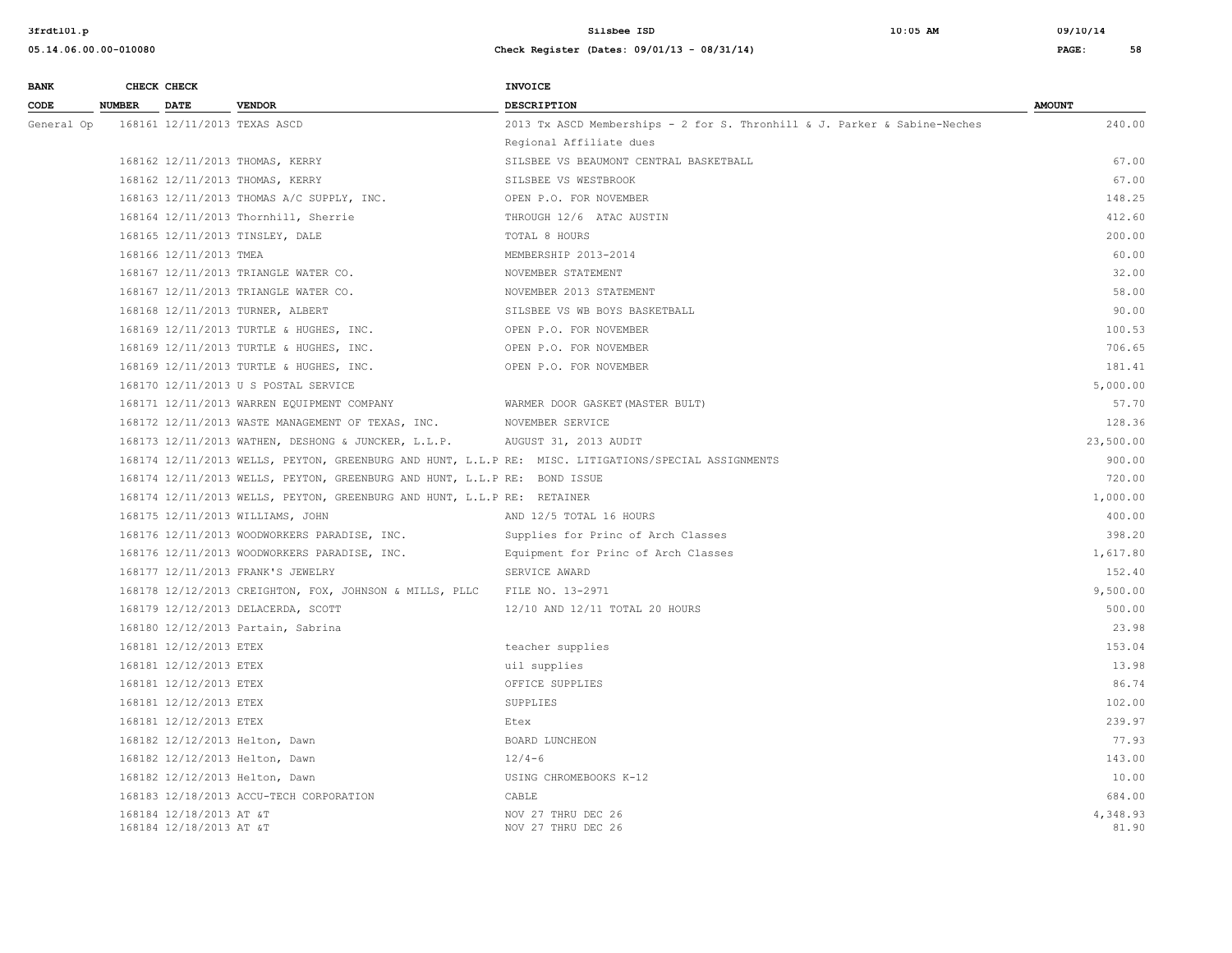| 05.14.06.00.00-010080 |               |                                                    | Check Register (Dates: 09/01/13 - 08/31/14)                               | 58<br>PAGE:                                                                                          |                   |
|-----------------------|---------------|----------------------------------------------------|---------------------------------------------------------------------------|------------------------------------------------------------------------------------------------------|-------------------|
| <b>BANK</b>           |               | CHECK CHECK                                        |                                                                           | <b>INVOICE</b>                                                                                       |                   |
| CODE                  | <b>NUMBER</b> | <b>DATE</b>                                        | <b>VENDOR</b>                                                             | <b>DESCRIPTION</b>                                                                                   | <b>AMOUNT</b>     |
| General Op            |               |                                                    | 168161 12/11/2013 TEXAS ASCD                                              | 2013 Tx ASCD Memberships - 2 for S. Thronhill & J. Parker & Sabine-Neches                            | 240.00            |
|                       |               |                                                    |                                                                           | Regional Affiliate dues                                                                              |                   |
|                       |               |                                                    | 168162 12/11/2013 THOMAS, KERRY                                           | SILSBEE VS BEAUMONT CENTRAL BASKETBALL                                                               | 67.00             |
|                       |               |                                                    | 168162 12/11/2013 THOMAS, KERRY                                           | SILSBEE VS WESTBROOK                                                                                 | 67.00             |
|                       |               |                                                    | 168163 12/11/2013 THOMAS A/C SUPPLY, INC.                                 | OPEN P.O. FOR NOVEMBER                                                                               | 148.25            |
|                       |               |                                                    | 168164 12/11/2013 Thornhill, Sherrie                                      | THROUGH 12/6 ATAC AUSTIN                                                                             | 412.60            |
|                       |               |                                                    | 168165 12/11/2013 TINSLEY, DALE                                           | TOTAL 8 HOURS                                                                                        | 200.00            |
|                       |               | 168166 12/11/2013 TMEA                             |                                                                           | MEMBERSHIP 2013-2014                                                                                 | 60.00             |
|                       |               |                                                    | 168167 12/11/2013 TRIANGLE WATER CO.                                      | NOVEMBER STATEMENT                                                                                   | 32.00             |
|                       |               |                                                    | 168167 12/11/2013 TRIANGLE WATER CO.                                      | NOVEMBER 2013 STATEMENT                                                                              | 58.00             |
|                       |               |                                                    | 168168 12/11/2013 TURNER, ALBERT                                          | SILSBEE VS WB BOYS BASKETBALL                                                                        | 90.00             |
|                       |               |                                                    | 168169 12/11/2013 TURTLE & HUGHES, INC.                                   | OPEN P.O. FOR NOVEMBER                                                                               | 100.53            |
|                       |               |                                                    | 168169 12/11/2013 TURTLE & HUGHES, INC.                                   | OPEN P.O. FOR NOVEMBER                                                                               | 706.65            |
|                       |               |                                                    | 168169 12/11/2013 TURTLE & HUGHES, INC.                                   | OPEN P.O. FOR NOVEMBER                                                                               | 181.41            |
|                       |               |                                                    | 168170 12/11/2013 U S POSTAL SERVICE                                      |                                                                                                      | 5,000.00          |
|                       |               |                                                    | 168171 12/11/2013 WARREN EQUIPMENT COMPANY                                | WARMER DOOR GASKET (MASTER BULT)                                                                     | 57.70             |
|                       |               |                                                    | 168172 12/11/2013 WASTE MANAGEMENT OF TEXAS, INC.                         | NOVEMBER SERVICE                                                                                     | 128.36            |
|                       |               |                                                    | 168173 12/11/2013 WATHEN, DESHONG & JUNCKER, L.L.P.                       | AUGUST 31, 2013 AUDIT                                                                                | 23,500.00         |
|                       |               |                                                    |                                                                           | 168174 12/11/2013 WELLS, PEYTON, GREENBURG AND HUNT, L.L.P RE: MISC. LITIGATIONS/SPECIAL ASSIGNMENTS | 900.00            |
|                       |               |                                                    | 168174 12/11/2013 WELLS, PEYTON, GREENBURG AND HUNT, L.L.P RE: BOND ISSUE |                                                                                                      | 720.00            |
|                       |               |                                                    | 168174 12/11/2013 WELLS, PEYTON, GREENBURG AND HUNT, L.L.P RE: RETAINER   |                                                                                                      | 1,000.00          |
|                       |               |                                                    | 168175 12/11/2013 WILLIAMS, JOHN                                          | AND 12/5 TOTAL 16 HOURS                                                                              | 400.00            |
|                       |               |                                                    | 168176 12/11/2013 WOODWORKERS PARADISE, INC.                              | Supplies for Princ of Arch Classes                                                                   | 398.20            |
|                       |               |                                                    | 168176 12/11/2013 WOODWORKERS PARADISE, INC.                              | Equipment for Princ of Arch Classes                                                                  | 1,617.80          |
|                       |               |                                                    | 168177 12/11/2013 FRANK'S JEWELRY                                         | SERVICE AWARD                                                                                        | 152.40            |
|                       |               |                                                    | 168178 12/12/2013 CREIGHTON, FOX, JOHNSON & MILLS, PLLC                   | FILE NO. 13-2971                                                                                     | 9,500.00          |
|                       |               |                                                    | 168179 12/12/2013 DELACERDA, SCOTT                                        | 12/10 AND 12/11 TOTAL 20 HOURS                                                                       | 500.00            |
|                       |               |                                                    | 168180 12/12/2013 Partain, Sabrina                                        |                                                                                                      | 23.98             |
|                       |               | 168181 12/12/2013 ETEX                             |                                                                           | teacher supplies                                                                                     | 153.04            |
|                       |               | 168181 12/12/2013 ETEX                             |                                                                           | uil supplies                                                                                         | 13.98             |
|                       |               | 168181 12/12/2013 ETEX                             |                                                                           | OFFICE SUPPLIES                                                                                      | 86.74             |
|                       |               | 168181 12/12/2013 ETEX                             |                                                                           | SUPPLIES                                                                                             | 102.00            |
|                       |               | 168181 12/12/2013 ETEX                             |                                                                           | Etex                                                                                                 | 239.97            |
|                       |               |                                                    | 168182 12/12/2013 Helton, Dawn                                            | BOARD LUNCHEON                                                                                       | 77.93             |
|                       |               |                                                    | 168182 12/12/2013 Helton, Dawn                                            | $12/4-6$                                                                                             | 143.00            |
|                       |               |                                                    | 168182 12/12/2013 Helton, Dawn                                            | USING CHROMEBOOKS K-12                                                                               | 10.00             |
|                       |               |                                                    | 168183 12/18/2013 ACCU-TECH CORPORATION                                   | CABLE                                                                                                | 684.00            |
|                       |               | 168184 12/18/2013 AT &T<br>168184 12/18/2013 AT &T |                                                                           | NOV 27 THRU DEC 26<br>NOV 27 THRU DEC 26                                                             | 4,348.93<br>81.90 |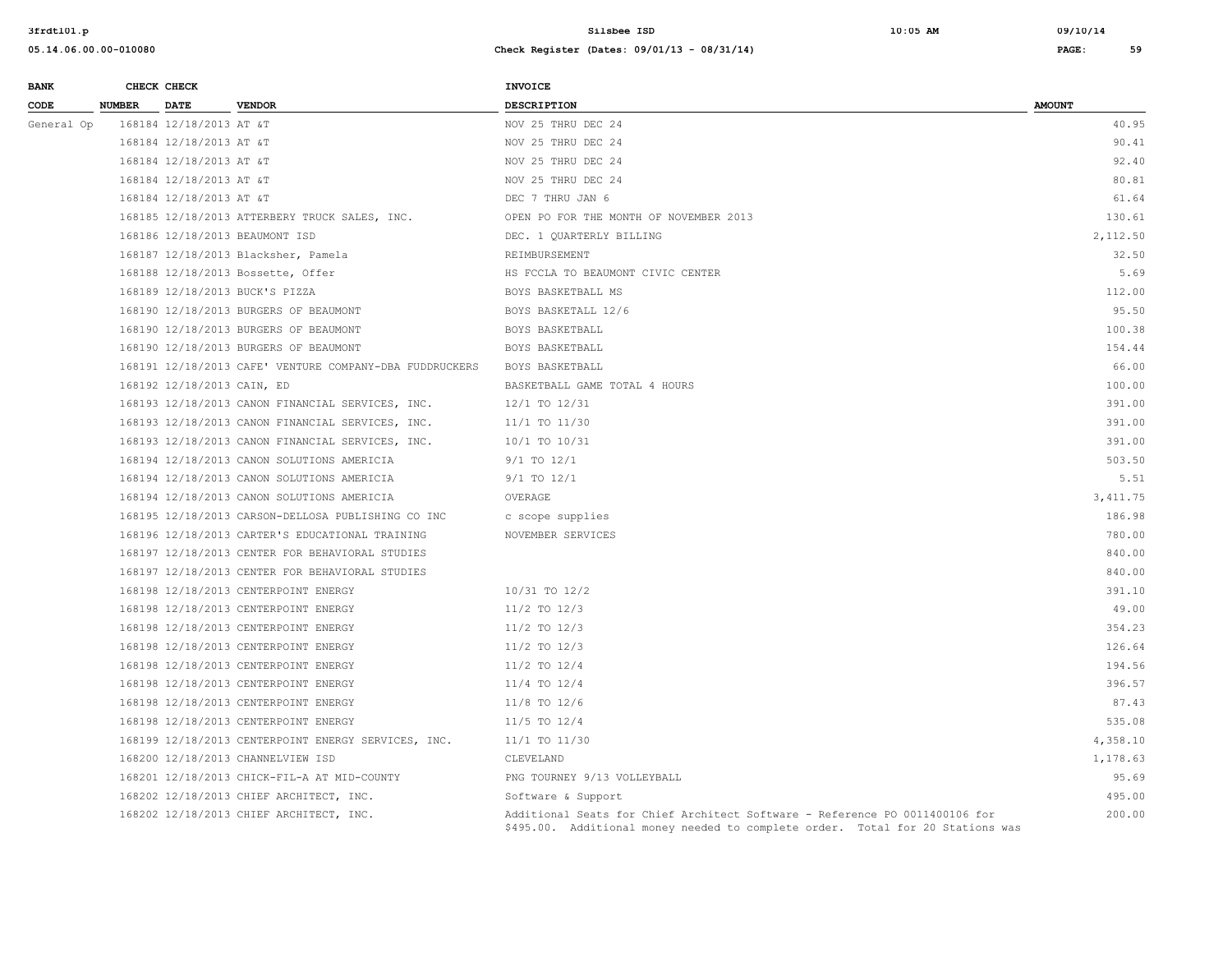| <b>BANK</b> |               | CHECK CHECK                |                                                         | <b>INVOICE</b>                                                                                                                                                |               |
|-------------|---------------|----------------------------|---------------------------------------------------------|---------------------------------------------------------------------------------------------------------------------------------------------------------------|---------------|
| CODE        | <b>NUMBER</b> | <b>DATE</b>                | <b>VENDOR</b>                                           | <b>DESCRIPTION</b>                                                                                                                                            | <b>AMOUNT</b> |
| General Op  |               | 168184 12/18/2013 AT &T    |                                                         | NOV 25 THRU DEC 24                                                                                                                                            | 40.95         |
|             |               | 168184 12/18/2013 AT &T    |                                                         | NOV 25 THRU DEC 24                                                                                                                                            | 90.41         |
|             |               | 168184 12/18/2013 AT &T    |                                                         | NOV 25 THRU DEC 24                                                                                                                                            | 92.40         |
|             |               | 168184 12/18/2013 AT &T    |                                                         | NOV 25 THRU DEC 24                                                                                                                                            | 80.81         |
|             |               | 168184 12/18/2013 AT &T    |                                                         | DEC 7 THRU JAN 6                                                                                                                                              | 61.64         |
|             |               |                            | 168185 12/18/2013 ATTERBERY TRUCK SALES, INC.           | OPEN PO FOR THE MONTH OF NOVEMBER 2013                                                                                                                        | 130.61        |
|             |               |                            | 168186 12/18/2013 BEAUMONT ISD                          | DEC. 1 QUARTERLY BILLING                                                                                                                                      | 2,112.50      |
|             |               |                            | 168187 12/18/2013 Blacksher, Pamela                     | REIMBURSEMENT                                                                                                                                                 | 32.50         |
|             |               |                            | 168188 12/18/2013 Bossette, Offer                       | HS FCCLA TO BEAUMONT CIVIC CENTER                                                                                                                             | 5.69          |
|             |               |                            | 168189 12/18/2013 BUCK'S PIZZA                          | BOYS BASKETBALL MS                                                                                                                                            | 112.00        |
|             |               |                            | 168190 12/18/2013 BURGERS OF BEAUMONT                   | BOYS BASKETALL 12/6                                                                                                                                           | 95.50         |
|             |               |                            | 168190 12/18/2013 BURGERS OF BEAUMONT                   | BOYS BASKETBALL                                                                                                                                               | 100.38        |
|             |               |                            | 168190 12/18/2013 BURGERS OF BEAUMONT                   | BOYS BASKETBALL                                                                                                                                               | 154.44        |
|             |               |                            | 168191 12/18/2013 CAFE' VENTURE COMPANY-DBA FUDDRUCKERS | BOYS BASKETBALL                                                                                                                                               | 66.00         |
|             |               | 168192 12/18/2013 CAIN, ED |                                                         | BASKETBALL GAME TOTAL 4 HOURS                                                                                                                                 | 100.00        |
|             |               |                            | 168193 12/18/2013 CANON FINANCIAL SERVICES, INC.        | 12/1 TO 12/31                                                                                                                                                 | 391.00        |
|             |               |                            | 168193 12/18/2013 CANON FINANCIAL SERVICES, INC.        | 11/1 TO 11/30                                                                                                                                                 | 391.00        |
|             |               |                            | 168193 12/18/2013 CANON FINANCIAL SERVICES, INC.        | 10/1 TO 10/31                                                                                                                                                 | 391.00        |
|             |               |                            | 168194 12/18/2013 CANON SOLUTIONS AMERICIA              | $9/1$ TO $12/1$                                                                                                                                               | 503.50        |
|             |               |                            | 168194 12/18/2013 CANON SOLUTIONS AMERICIA              | $9/1$ TO $12/1$                                                                                                                                               | 5.51          |
|             |               |                            | 168194 12/18/2013 CANON SOLUTIONS AMERICIA              | OVERAGE                                                                                                                                                       | 3, 411.75     |
|             |               |                            | 168195 12/18/2013 CARSON-DELLOSA PUBLISHING CO INC      | c scope supplies                                                                                                                                              | 186.98        |
|             |               |                            | 168196 12/18/2013 CARTER'S EDUCATIONAL TRAINING         | NOVEMBER SERVICES                                                                                                                                             | 780.00        |
|             |               |                            | 168197 12/18/2013 CENTER FOR BEHAVIORAL STUDIES         |                                                                                                                                                               | 840.00        |
|             |               |                            | 168197 12/18/2013 CENTER FOR BEHAVIORAL STUDIES         |                                                                                                                                                               | 840.00        |
|             |               |                            | 168198 12/18/2013 CENTERPOINT ENERGY                    | 10/31 TO 12/2                                                                                                                                                 | 391.10        |
|             |               |                            | 168198 12/18/2013 CENTERPOINT ENERGY                    | $11/2$ TO $12/3$                                                                                                                                              | 49.00         |
|             |               |                            | 168198 12/18/2013 CENTERPOINT ENERGY                    | $11/2$ TO $12/3$                                                                                                                                              | 354.23        |
|             |               |                            | 168198 12/18/2013 CENTERPOINT ENERGY                    | $11/2$ TO $12/3$                                                                                                                                              | 126.64        |
|             |               |                            | 168198 12/18/2013 CENTERPOINT ENERGY                    | $11/2$ TO $12/4$                                                                                                                                              | 194.56        |
|             |               |                            | 168198 12/18/2013 CENTERPOINT ENERGY                    | $11/4$ TO $12/4$                                                                                                                                              | 396.57        |
|             |               |                            | 168198 12/18/2013 CENTERPOINT ENERGY                    | 11/8 TO 12/6                                                                                                                                                  | 87.43         |
|             |               |                            | 168198 12/18/2013 CENTERPOINT ENERGY                    | $11/5$ TO $12/4$                                                                                                                                              | 535.08        |
|             |               |                            | 168199 12/18/2013 CENTERPOINT ENERGY SERVICES, INC.     | 11/1 TO 11/30                                                                                                                                                 | 4,358.10      |
|             |               |                            | 168200 12/18/2013 CHANNELVIEW ISD                       | CLEVELAND                                                                                                                                                     | 1,178.63      |
|             |               |                            | 168201 12/18/2013 CHICK-FIL-A AT MID-COUNTY             | PNG TOURNEY 9/13 VOLLEYBALL                                                                                                                                   | 95.69         |
|             |               |                            | 168202 12/18/2013 CHIEF ARCHITECT, INC.                 | Software & Support                                                                                                                                            | 495.00        |
|             |               |                            | 168202 12/18/2013 CHIEF ARCHITECT, INC.                 | Additional Seats for Chief Architect Software - Reference PO 0011400106 for<br>\$495.00. Additional money needed to complete order. Total for 20 Stations was | 200.00        |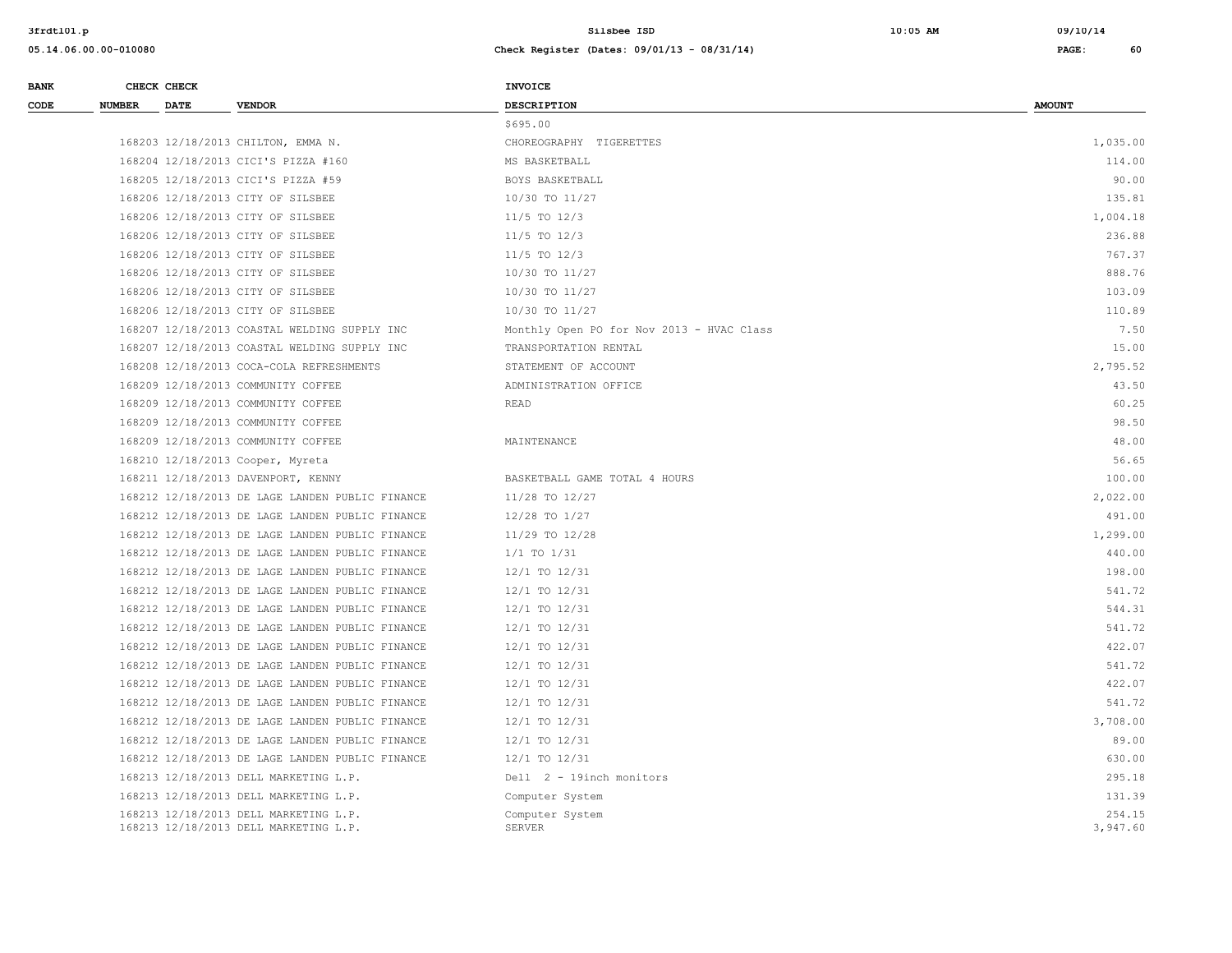| <b>BANK</b> |               | CHECK CHECK |                                                                                | INVOICE                                   |                    |
|-------------|---------------|-------------|--------------------------------------------------------------------------------|-------------------------------------------|--------------------|
| CODE        | <b>NUMBER</b> | <b>DATE</b> | <b>VENDOR</b>                                                                  | <b>DESCRIPTION</b>                        | <b>AMOUNT</b>      |
|             |               |             |                                                                                | \$695.00                                  |                    |
|             |               |             | 168203 12/18/2013 CHILTON, EMMA N.                                             | CHOREOGRAPHY TIGERETTES                   | 1,035.00           |
|             |               |             | 168204 12/18/2013 CICI'S PIZZA #160                                            | MS BASKETBALL                             | 114.00             |
|             |               |             | 168205 12/18/2013 CICI'S PIZZA #59                                             | BOYS BASKETBALL                           | 90.00              |
|             |               |             | 168206 12/18/2013 CITY OF SILSBEE                                              | 10/30 TO 11/27                            | 135.81             |
|             |               |             | 168206 12/18/2013 CITY OF SILSBEE                                              | 11/5 TO 12/3                              | 1,004.18           |
|             |               |             | 168206 12/18/2013 CITY OF SILSBEE                                              | 11/5 TO 12/3                              | 236.88             |
|             |               |             | 168206 12/18/2013 CITY OF SILSBEE                                              | $11/5$ TO $12/3$                          | 767.37             |
|             |               |             | 168206 12/18/2013 CITY OF SILSBEE                                              | 10/30 TO 11/27                            | 888.76             |
|             |               |             | 168206 12/18/2013 CITY OF SILSBEE                                              | 10/30 TO 11/27                            | 103.09             |
|             |               |             | 168206 12/18/2013 CITY OF SILSBEE                                              | 10/30 TO 11/27                            | 110.89             |
|             |               |             | 168207 12/18/2013 COASTAL WELDING SUPPLY INC                                   | Monthly Open PO for Nov 2013 - HVAC Class | 7.50               |
|             |               |             | 168207 12/18/2013 COASTAL WELDING SUPPLY INC                                   | TRANSPORTATION RENTAL                     | 15.00              |
|             |               |             | 168208 12/18/2013 COCA-COLA REFRESHMENTS                                       | STATEMENT OF ACCOUNT                      | 2,795.52           |
|             |               |             | 168209 12/18/2013 COMMUNITY COFFEE                                             | ADMINISTRATION OFFICE                     | 43.50              |
|             |               |             | 168209 12/18/2013 COMMUNITY COFFEE                                             | READ                                      | 60.25              |
|             |               |             | 168209 12/18/2013 COMMUNITY COFFEE                                             |                                           | 98.50              |
|             |               |             | 168209 12/18/2013 COMMUNITY COFFEE                                             | MAINTENANCE                               | 48.00              |
|             |               |             | 168210 12/18/2013 Cooper, Myreta                                               |                                           | 56.65              |
|             |               |             | 168211 12/18/2013 DAVENPORT, KENNY                                             | BASKETBALL GAME TOTAL 4 HOURS             | 100.00             |
|             |               |             | 168212 12/18/2013 DE LAGE LANDEN PUBLIC FINANCE                                | 11/28 TO 12/27                            | 2,022.00           |
|             |               |             | 168212 12/18/2013 DE LAGE LANDEN PUBLIC FINANCE                                | 12/28 TO 1/27                             | 491.00             |
|             |               |             | 168212 12/18/2013 DE LAGE LANDEN PUBLIC FINANCE                                | 11/29 TO 12/28                            | 1,299.00           |
|             |               |             | 168212 12/18/2013 DE LAGE LANDEN PUBLIC FINANCE                                | $1/1$ TO $1/31$                           | 440.00             |
|             |               |             | 168212 12/18/2013 DE LAGE LANDEN PUBLIC FINANCE                                | 12/1 TO 12/31                             | 198.00             |
|             |               |             | 168212 12/18/2013 DE LAGE LANDEN PUBLIC FINANCE                                | 12/1 TO 12/31                             | 541.72             |
|             |               |             | 168212 12/18/2013 DE LAGE LANDEN PUBLIC FINANCE                                | 12/1 TO 12/31                             | 544.31             |
|             |               |             | 168212 12/18/2013 DE LAGE LANDEN PUBLIC FINANCE                                | 12/1 TO 12/31                             | 541.72             |
|             |               |             | 168212 12/18/2013 DE LAGE LANDEN PUBLIC FINANCE                                | 12/1 TO 12/31                             | 422.07             |
|             |               |             | 168212 12/18/2013 DE LAGE LANDEN PUBLIC FINANCE                                | 12/1 TO 12/31                             | 541.72             |
|             |               |             | 168212 12/18/2013 DE LAGE LANDEN PUBLIC FINANCE                                | 12/1 TO 12/31                             | 422.07             |
|             |               |             | 168212 12/18/2013 DE LAGE LANDEN PUBLIC FINANCE                                | 12/1 TO 12/31                             | 541.72             |
|             |               |             | 168212 12/18/2013 DE LAGE LANDEN PUBLIC FINANCE                                | 12/1 TO 12/31                             | 3,708.00           |
|             |               |             | 168212 12/18/2013 DE LAGE LANDEN PUBLIC FINANCE                                | 12/1 TO 12/31                             | 89.00              |
|             |               |             | 168212 12/18/2013 DE LAGE LANDEN PUBLIC FINANCE                                | 12/1 TO 12/31                             | 630.00             |
|             |               |             | 168213 12/18/2013 DELL MARKETING L.P.                                          | Dell 2 - 19inch monitors                  | 295.18             |
|             |               |             | 168213 12/18/2013 DELL MARKETING L.P.                                          | Computer System                           | 131.39             |
|             |               |             | 168213 12/18/2013 DELL MARKETING L.P.<br>168213 12/18/2013 DELL MARKETING L.P. | Computer System<br><b>SERVER</b>          | 254.15<br>3,947.60 |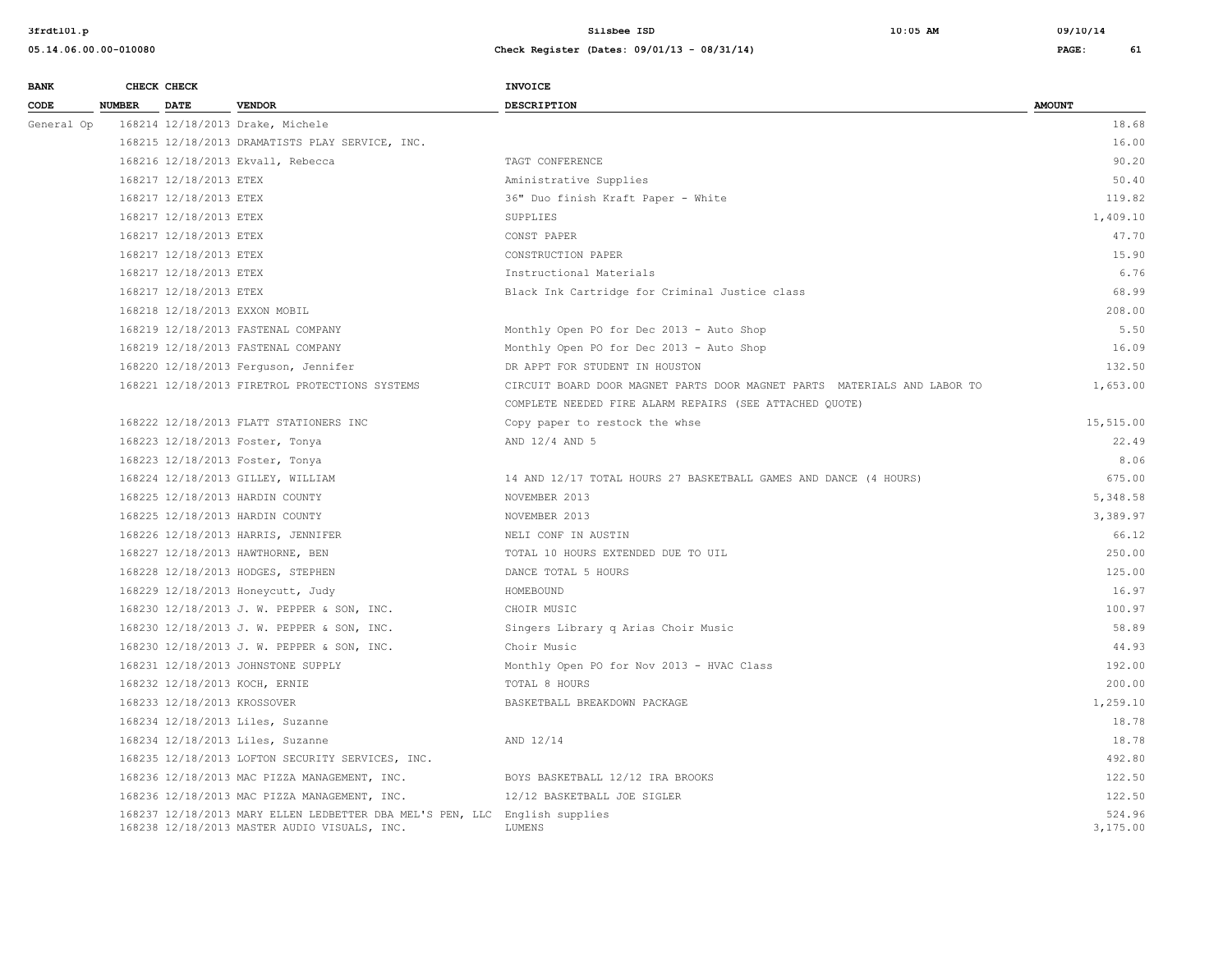| <b>BANK</b> |               | CHECK CHECK                 |                                                                                                                            | <b>INVOICE</b>                                                           |                    |
|-------------|---------------|-----------------------------|----------------------------------------------------------------------------------------------------------------------------|--------------------------------------------------------------------------|--------------------|
| CODE        | <b>NUMBER</b> | <b>DATE</b>                 | <b>VENDOR</b>                                                                                                              | <b>DESCRIPTION</b>                                                       | <b>AMOUNT</b>      |
| General Op  |               |                             | 168214 12/18/2013 Drake, Michele                                                                                           |                                                                          | 18.68              |
|             |               |                             | 168215 12/18/2013 DRAMATISTS PLAY SERVICE, INC.                                                                            |                                                                          | 16.00              |
|             |               |                             | 168216 12/18/2013 Ekvall, Rebecca                                                                                          | TAGT CONFERENCE                                                          | 90.20              |
|             |               | 168217 12/18/2013 ETEX      |                                                                                                                            | Aministrative Supplies                                                   | 50.40              |
|             |               | 168217 12/18/2013 ETEX      |                                                                                                                            | 36" Duo finish Kraft Paper - White                                       | 119.82             |
|             |               | 168217 12/18/2013 ETEX      |                                                                                                                            | SUPPLIES                                                                 | 1,409.10           |
|             |               | 168217 12/18/2013 ETEX      |                                                                                                                            | CONST PAPER                                                              | 47.70              |
|             |               | 168217 12/18/2013 ETEX      |                                                                                                                            | CONSTRUCTION PAPER                                                       | 15.90              |
|             |               | 168217 12/18/2013 ETEX      |                                                                                                                            | Instructional Materials                                                  | 6.76               |
|             |               | 168217 12/18/2013 ETEX      |                                                                                                                            | Black Ink Cartridge for Criminal Justice class                           | 68.99              |
|             |               |                             | 168218 12/18/2013 EXXON MOBIL                                                                                              |                                                                          | 208.00             |
|             |               |                             | 168219 12/18/2013 FASTENAL COMPANY                                                                                         | Monthly Open PO for Dec 2013 - Auto Shop                                 | 5.50               |
|             |               |                             | 168219 12/18/2013 FASTENAL COMPANY                                                                                         | Monthly Open PO for Dec 2013 - Auto Shop                                 | 16.09              |
|             |               |                             | 168220 12/18/2013 Ferguson, Jennifer                                                                                       | DR APPT FOR STUDENT IN HOUSTON                                           | 132.50             |
|             |               |                             | 168221 12/18/2013 FIRETROL PROTECTIONS SYSTEMS                                                                             | CIRCUIT BOARD DOOR MAGNET PARTS DOOR MAGNET PARTS MATERIALS AND LABOR TO | 1,653.00           |
|             |               |                             |                                                                                                                            | COMPLETE NEEDED FIRE ALARM REPAIRS (SEE ATTACHED QUOTE)                  |                    |
|             |               |                             | 168222 12/18/2013 FLATT STATIONERS INC                                                                                     | Copy paper to restock the whse                                           | 15,515.00          |
|             |               |                             | 168223 12/18/2013 Foster, Tonya                                                                                            | AND 12/4 AND 5                                                           | 22.49              |
|             |               |                             | 168223 12/18/2013 Foster, Tonya                                                                                            |                                                                          | 8.06               |
|             |               |                             | 168224 12/18/2013 GILLEY, WILLIAM                                                                                          | 14 AND 12/17 TOTAL HOURS 27 BASKETBALL GAMES AND DANCE (4 HOURS)         | 675.00             |
|             |               |                             | 168225 12/18/2013 HARDIN COUNTY                                                                                            | NOVEMBER 2013                                                            | 5,348.58           |
|             |               |                             | 168225 12/18/2013 HARDIN COUNTY                                                                                            | NOVEMBER 2013                                                            | 3,389.97           |
|             |               |                             | 168226 12/18/2013 HARRIS, JENNIFER                                                                                         | NELI CONF IN AUSTIN                                                      | 66.12              |
|             |               |                             | 168227 12/18/2013 HAWTHORNE, BEN                                                                                           | TOTAL 10 HOURS EXTENDED DUE TO UIL                                       | 250.00             |
|             |               |                             | 168228 12/18/2013 HODGES, STEPHEN                                                                                          | DANCE TOTAL 5 HOURS                                                      | 125.00             |
|             |               |                             | 168229 12/18/2013 Honeycutt, Judy                                                                                          | HOMEBOUND                                                                | 16.97              |
|             |               |                             | 168230 12/18/2013 J. W. PEPPER & SON, INC.                                                                                 | CHOIR MUSIC                                                              | 100.97             |
|             |               |                             | 168230 12/18/2013 J. W. PEPPER & SON, INC.                                                                                 | Singers Library q Arias Choir Music                                      | 58.89              |
|             |               |                             | 168230 12/18/2013 J. W. PEPPER & SON, INC.                                                                                 | Choir Music                                                              | 44.93              |
|             |               |                             | 168231 12/18/2013 JOHNSTONE SUPPLY                                                                                         | Monthly Open PO for Nov 2013 - HVAC Class                                | 192.00             |
|             |               |                             | 168232 12/18/2013 KOCH, ERNIE                                                                                              | TOTAL 8 HOURS                                                            | 200.00             |
|             |               | 168233 12/18/2013 KROSSOVER |                                                                                                                            | BASKETBALL BREAKDOWN PACKAGE                                             | 1,259.10           |
|             |               |                             | 168234 12/18/2013 Liles, Suzanne                                                                                           |                                                                          | 18.78              |
|             |               |                             | 168234 12/18/2013 Liles, Suzanne                                                                                           | AND 12/14                                                                | 18.78              |
|             |               |                             | 168235 12/18/2013 LOFTON SECURITY SERVICES, INC.                                                                           |                                                                          | 492.80             |
|             |               |                             | 168236 12/18/2013 MAC PIZZA MANAGEMENT, INC.                                                                               | BOYS BASKETBALL 12/12 IRA BROOKS                                         | 122.50             |
|             |               |                             | 168236 12/18/2013 MAC PIZZA MANAGEMENT, INC.                                                                               | 12/12 BASKETBALL JOE SIGLER                                              | 122.50             |
|             |               |                             | 168237 12/18/2013 MARY ELLEN LEDBETTER DBA MEL'S PEN, LLC English supplies<br>168238 12/18/2013 MASTER AUDIO VISUALS, INC. | LUMENS                                                                   | 524.96<br>3,175.00 |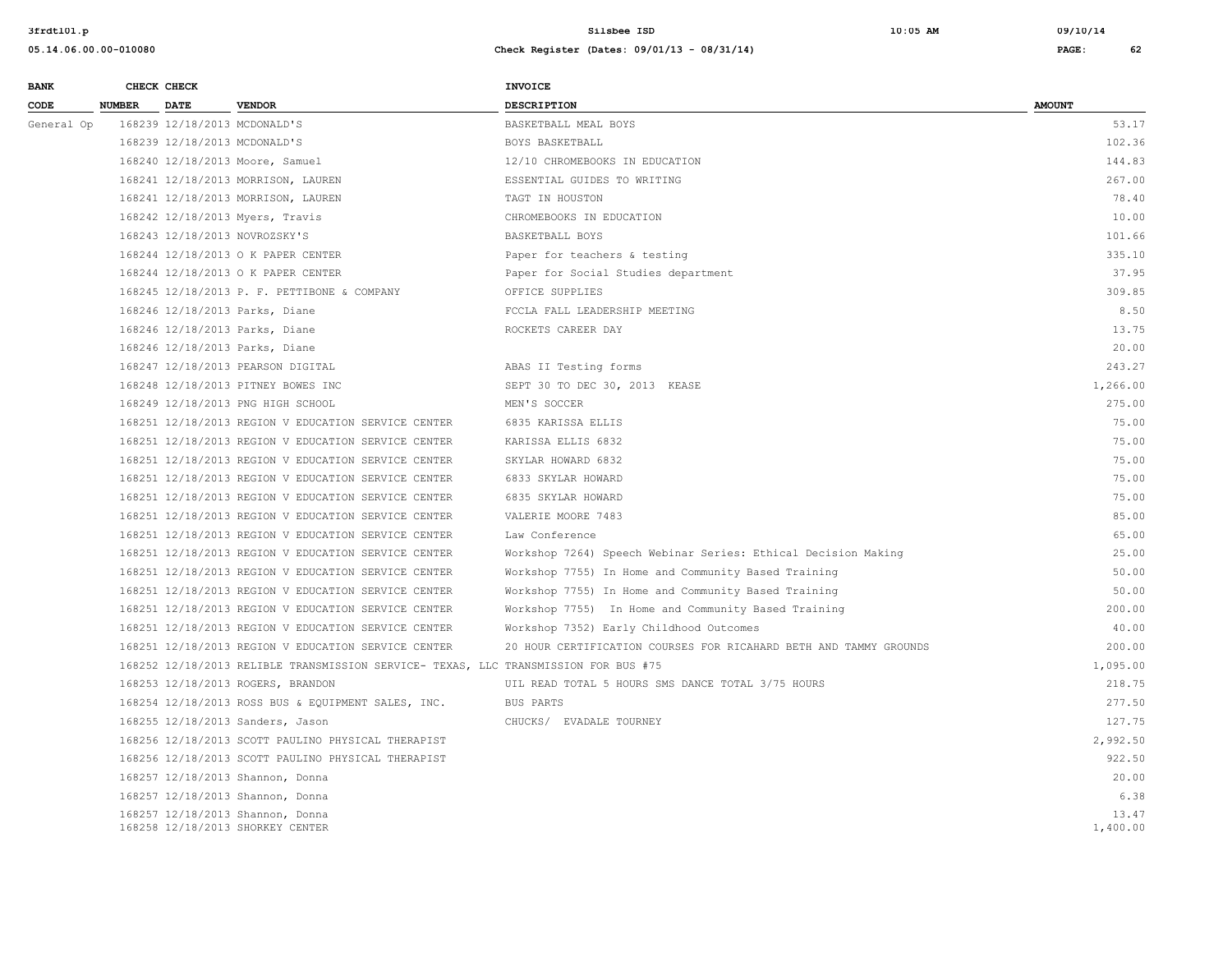| <b>BANK</b> |               | CHECK CHECK |                                                                                     | <b>INVOICE</b>                                                    |                   |
|-------------|---------------|-------------|-------------------------------------------------------------------------------------|-------------------------------------------------------------------|-------------------|
| CODE        | <b>NUMBER</b> | <b>DATE</b> | <b>VENDOR</b>                                                                       | <b>DESCRIPTION</b>                                                | <b>AMOUNT</b>     |
| General Op  |               |             | 168239 12/18/2013 MCDONALD'S                                                        | BASKETBALL MEAL BOYS                                              | 53.17             |
|             |               |             | 168239 12/18/2013 MCDONALD'S                                                        | BOYS BASKETBALL                                                   | 102.36            |
|             |               |             | 168240 12/18/2013 Moore, Samuel                                                     | 12/10 CHROMEBOOKS IN EDUCATION                                    | 144.83            |
|             |               |             | 168241 12/18/2013 MORRISON, LAUREN                                                  | ESSENTIAL GUIDES TO WRITING                                       | 267.00            |
|             |               |             | 168241 12/18/2013 MORRISON, LAUREN                                                  | TAGT IN HOUSTON                                                   | 78.40             |
|             |               |             | 168242 12/18/2013 Myers, Travis                                                     | CHROMEBOOKS IN EDUCATION                                          | 10.00             |
|             |               |             | 168243 12/18/2013 NOVROZSKY'S                                                       | BASKETBALL BOYS                                                   | 101.66            |
|             |               |             | 168244 12/18/2013 O K PAPER CENTER                                                  | Paper for teachers & testing                                      | 335.10            |
|             |               |             | 168244 12/18/2013 O K PAPER CENTER                                                  | Paper for Social Studies department                               | 37.95             |
|             |               |             | 168245 12/18/2013 P. F. PETTIBONE & COMPANY                                         | OFFICE SUPPLIES                                                   | 309.85            |
|             |               |             | 168246 12/18/2013 Parks, Diane                                                      | FCCLA FALL LEADERSHIP MEETING                                     | 8.50              |
|             |               |             | 168246 12/18/2013 Parks, Diane                                                      | ROCKETS CAREER DAY                                                | 13.75             |
|             |               |             | 168246 12/18/2013 Parks, Diane                                                      |                                                                   | 20.00             |
|             |               |             | 168247 12/18/2013 PEARSON DIGITAL                                                   | ABAS II Testing forms                                             | 243.27            |
|             |               |             | 168248 12/18/2013 PITNEY BOWES INC                                                  | SEPT 30 TO DEC 30, 2013 KEASE                                     | 1,266.00          |
|             |               |             | 168249 12/18/2013 PNG HIGH SCHOOL                                                   | MEN'S SOCCER                                                      | 275.00            |
|             |               |             | 168251 12/18/2013 REGION V EDUCATION SERVICE CENTER                                 | 6835 KARISSA ELLIS                                                | 75.00             |
|             |               |             | 168251 12/18/2013 REGION V EDUCATION SERVICE CENTER                                 | KARISSA ELLIS 6832                                                | 75.00             |
|             |               |             | 168251 12/18/2013 REGION V EDUCATION SERVICE CENTER                                 | SKYLAR HOWARD 6832                                                | 75.00             |
|             |               |             | 168251 12/18/2013 REGION V EDUCATION SERVICE CENTER                                 | 6833 SKYLAR HOWARD                                                | 75.00             |
|             |               |             | 168251 12/18/2013 REGION V EDUCATION SERVICE CENTER                                 | 6835 SKYLAR HOWARD                                                | 75.00             |
|             |               |             | 168251 12/18/2013 REGION V EDUCATION SERVICE CENTER                                 | VALERIE MOORE 7483                                                | 85.00             |
|             |               |             | 168251 12/18/2013 REGION V EDUCATION SERVICE CENTER                                 | Law Conference                                                    | 65.00             |
|             |               |             | 168251 12/18/2013 REGION V EDUCATION SERVICE CENTER                                 | Workshop 7264) Speech Webinar Series: Ethical Decision Making     | 25.00             |
|             |               |             | 168251 12/18/2013 REGION V EDUCATION SERVICE CENTER                                 | Workshop 7755) In Home and Community Based Training               | 50.00             |
|             |               |             | 168251 12/18/2013 REGION V EDUCATION SERVICE CENTER                                 | Workshop 7755) In Home and Community Based Training               | 50.00             |
|             |               |             | 168251 12/18/2013 REGION V EDUCATION SERVICE CENTER                                 | Workshop 7755) In Home and Community Based Training               | 200.00            |
|             |               |             | 168251 12/18/2013 REGION V EDUCATION SERVICE CENTER                                 | Workshop 7352) Early Childhood Outcomes                           | 40.00             |
|             |               |             | 168251 12/18/2013 REGION V EDUCATION SERVICE CENTER                                 | 20 HOUR CERTIFICATION COURSES FOR RICAHARD BETH AND TAMMY GROUNDS | 200.00            |
|             |               |             | 168252 12/18/2013 RELIBLE TRANSMISSION SERVICE- TEXAS, LLC TRANSMISSION FOR BUS #75 |                                                                   | 1,095.00          |
|             |               |             | 168253 12/18/2013 ROGERS, BRANDON                                                   | UIL READ TOTAL 5 HOURS SMS DANCE TOTAL 3/75 HOURS                 | 218.75            |
|             |               |             | 168254 12/18/2013 ROSS BUS & EQUIPMENT SALES, INC.                                  | BUS PARTS                                                         | 277.50            |
|             |               |             | 168255 12/18/2013 Sanders, Jason                                                    | CHUCKS/ EVADALE TOURNEY                                           | 127.75            |
|             |               |             | 168256 12/18/2013 SCOTT PAULINO PHYSICAL THERAPIST                                  |                                                                   | 2,992.50          |
|             |               |             | 168256 12/18/2013 SCOTT PAULINO PHYSICAL THERAPIST                                  |                                                                   | 922.50            |
|             |               |             | 168257 12/18/2013 Shannon, Donna                                                    |                                                                   | 20.00             |
|             |               |             | 168257 12/18/2013 Shannon, Donna                                                    |                                                                   | 6.38              |
|             |               |             | 168257 12/18/2013 Shannon, Donna<br>168258 12/18/2013 SHORKEY CENTER                |                                                                   | 13.47<br>1,400.00 |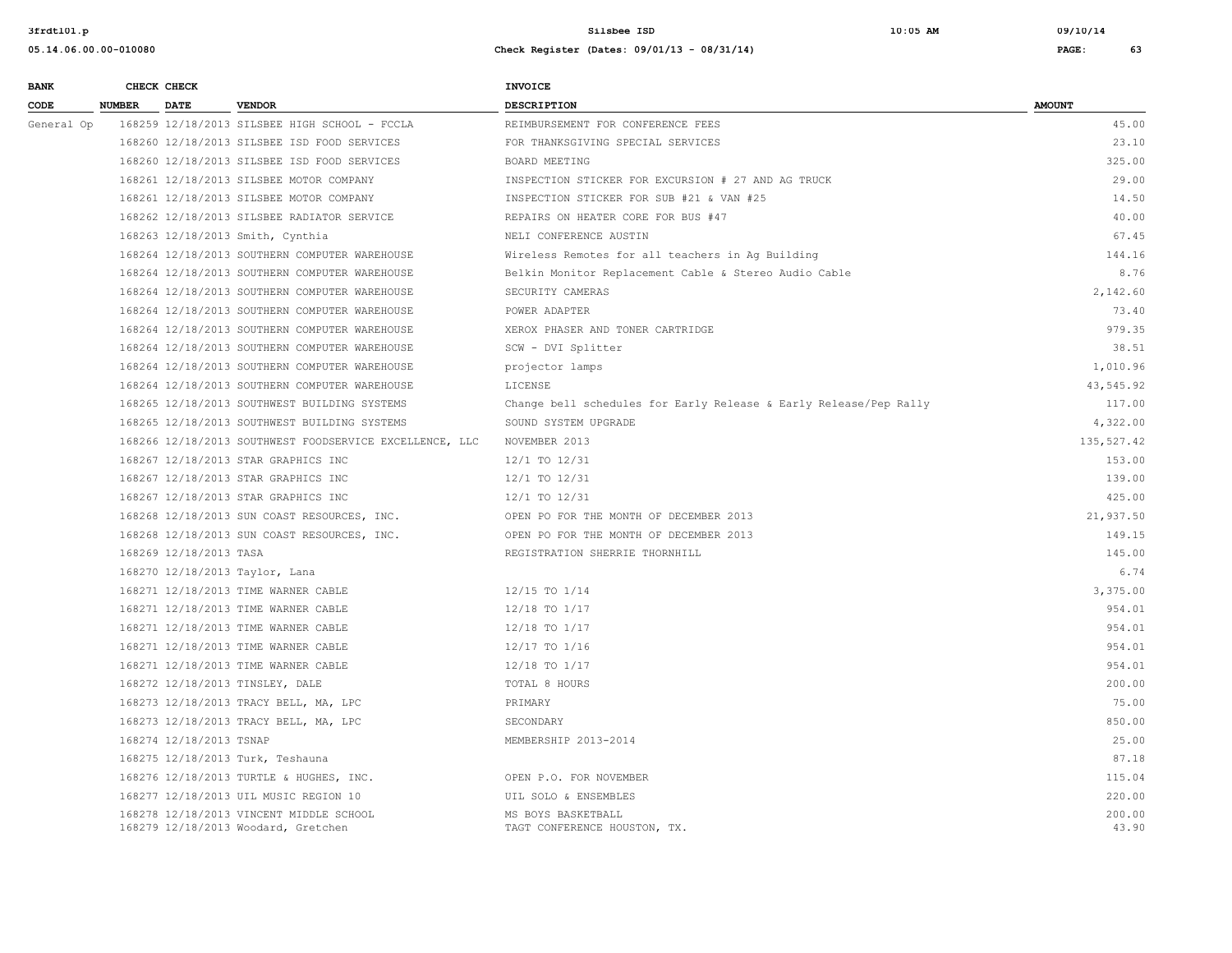| <b>BANK</b> |               | CHECK CHECK             |                                                                                | <b>INVOICE</b>                                                    |                 |
|-------------|---------------|-------------------------|--------------------------------------------------------------------------------|-------------------------------------------------------------------|-----------------|
| CODE        | <b>NUMBER</b> | <b>DATE</b>             | <b>VENDOR</b>                                                                  | <b>DESCRIPTION</b>                                                | <b>AMOUNT</b>   |
| General Op  |               |                         | 168259 12/18/2013 SILSBEE HIGH SCHOOL - FCCLA                                  | REIMBURSEMENT FOR CONFERENCE FEES                                 | 45.00           |
|             |               |                         | 168260 12/18/2013 SILSBEE ISD FOOD SERVICES                                    | FOR THANKSGIVING SPECIAL SERVICES                                 | 23.10           |
|             |               |                         | 168260 12/18/2013 SILSBEE ISD FOOD SERVICES                                    | BOARD MEETING                                                     | 325.00          |
|             |               |                         | 168261 12/18/2013 SILSBEE MOTOR COMPANY                                        | INSPECTION STICKER FOR EXCURSION # 27 AND AG TRUCK                | 29.00           |
|             |               |                         | 168261 12/18/2013 SILSBEE MOTOR COMPANY                                        | INSPECTION STICKER FOR SUB #21 & VAN #25                          | 14.50           |
|             |               |                         | 168262 12/18/2013 SILSBEE RADIATOR SERVICE                                     | REPAIRS ON HEATER CORE FOR BUS #47                                | 40.00           |
|             |               |                         | 168263 12/18/2013 Smith, Cynthia                                               | NELI CONFERENCE AUSTIN                                            | 67.45           |
|             |               |                         | 168264 12/18/2013 SOUTHERN COMPUTER WAREHOUSE                                  | Wireless Remotes for all teachers in Ag Building                  | 144.16          |
|             |               |                         | 168264 12/18/2013 SOUTHERN COMPUTER WAREHOUSE                                  | Belkin Monitor Replacement Cable & Stereo Audio Cable             | 8.76            |
|             |               |                         | 168264 12/18/2013 SOUTHERN COMPUTER WAREHOUSE                                  | SECURITY CAMERAS                                                  | 2,142.60        |
|             |               |                         | 168264 12/18/2013 SOUTHERN COMPUTER WAREHOUSE                                  | POWER ADAPTER                                                     | 73.40           |
|             |               |                         | 168264 12/18/2013 SOUTHERN COMPUTER WAREHOUSE                                  | XEROX PHASER AND TONER CARTRIDGE                                  | 979.35          |
|             |               |                         | 168264 12/18/2013 SOUTHERN COMPUTER WAREHOUSE                                  | SCW - DVI Splitter                                                | 38.51           |
|             |               |                         | 168264 12/18/2013 SOUTHERN COMPUTER WAREHOUSE                                  | projector lamps                                                   | 1,010.96        |
|             |               |                         | 168264 12/18/2013 SOUTHERN COMPUTER WAREHOUSE                                  | LICENSE                                                           | 43,545.92       |
|             |               |                         | 168265 12/18/2013 SOUTHWEST BUILDING SYSTEMS                                   | Change bell schedules for Early Release & Early Release/Pep Rally | 117.00          |
|             |               |                         | 168265 12/18/2013 SOUTHWEST BUILDING SYSTEMS                                   | SOUND SYSTEM UPGRADE                                              | 4,322.00        |
|             |               |                         | 168266 12/18/2013 SOUTHWEST FOODSERVICE EXCELLENCE, LLC                        | NOVEMBER 2013                                                     | 135,527.42      |
|             |               |                         | 168267 12/18/2013 STAR GRAPHICS INC                                            | 12/1 TO 12/31                                                     | 153.00          |
|             |               |                         | 168267 12/18/2013 STAR GRAPHICS INC                                            | 12/1 TO 12/31                                                     | 139.00          |
|             |               |                         | 168267 12/18/2013 STAR GRAPHICS INC                                            | 12/1 TO 12/31                                                     | 425.00          |
|             |               |                         | 168268 12/18/2013 SUN COAST RESOURCES, INC.                                    | OPEN PO FOR THE MONTH OF DECEMBER 2013                            | 21,937.50       |
|             |               |                         | 168268 12/18/2013 SUN COAST RESOURCES, INC.                                    | OPEN PO FOR THE MONTH OF DECEMBER 2013                            | 149.15          |
|             |               | 168269 12/18/2013 TASA  |                                                                                | REGISTRATION SHERRIE THORNHILL                                    | 145.00          |
|             |               |                         | 168270 12/18/2013 Taylor, Lana                                                 |                                                                   | 6.74            |
|             |               |                         | 168271 12/18/2013 TIME WARNER CABLE                                            | 12/15 TO 1/14                                                     | 3,375.00        |
|             |               |                         | 168271 12/18/2013 TIME WARNER CABLE                                            | 12/18 TO 1/17                                                     | 954.01          |
|             |               |                         | 168271 12/18/2013 TIME WARNER CABLE                                            | 12/18 TO 1/17                                                     | 954.01          |
|             |               |                         | 168271 12/18/2013 TIME WARNER CABLE                                            | 12/17 TO 1/16                                                     | 954.01          |
|             |               |                         | 168271 12/18/2013 TIME WARNER CABLE                                            | 12/18 TO 1/17                                                     | 954.01          |
|             |               |                         | 168272 12/18/2013 TINSLEY, DALE                                                | TOTAL 8 HOURS                                                     | 200.00          |
|             |               |                         | 168273 12/18/2013 TRACY BELL, MA, LPC                                          | PRIMARY                                                           | 75.00           |
|             |               |                         | 168273 12/18/2013 TRACY BELL, MA, LPC                                          | SECONDARY                                                         | 850.00          |
|             |               | 168274 12/18/2013 TSNAP |                                                                                | MEMBERSHIP 2013-2014                                              | 25.00           |
|             |               |                         | 168275 12/18/2013 Turk, Teshauna                                               |                                                                   | 87.18           |
|             |               |                         | 168276 12/18/2013 TURTLE & HUGHES, INC.                                        | OPEN P.O. FOR NOVEMBER                                            | 115.04          |
|             |               |                         | 168277 12/18/2013 UIL MUSIC REGION 10                                          | UIL SOLO & ENSEMBLES                                              | 220.00          |
|             |               |                         | 168278 12/18/2013 VINCENT MIDDLE SCHOOL<br>168279 12/18/2013 Woodard, Gretchen | MS BOYS BASKETBALL<br>TAGT CONFERENCE HOUSTON, TX.                | 200.00<br>43.90 |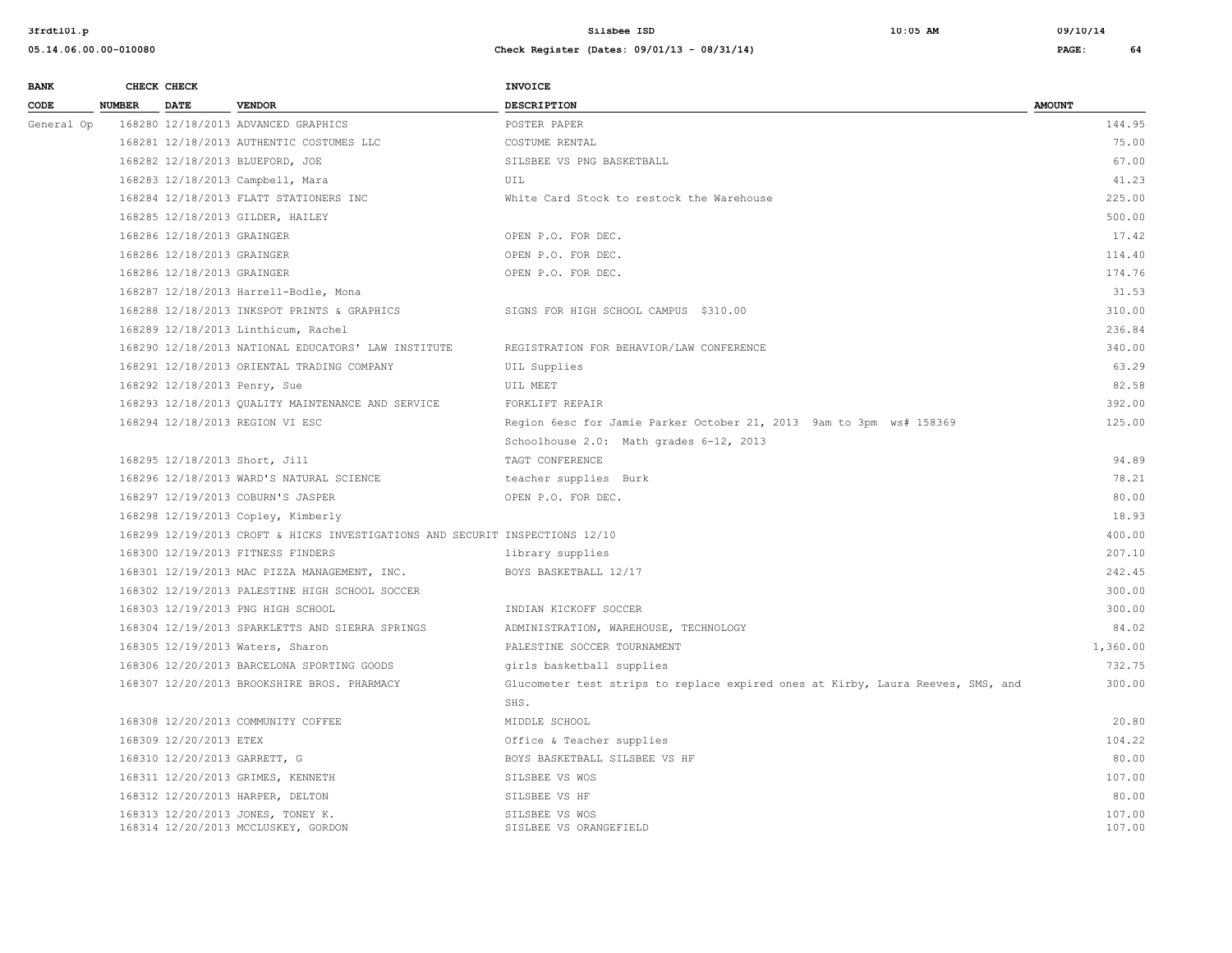| <b>BANK</b> |               | CHECK CHECK                |                                                                              | <b>INVOICE</b>                                                                  |                  |
|-------------|---------------|----------------------------|------------------------------------------------------------------------------|---------------------------------------------------------------------------------|------------------|
| CODE        | <b>NUMBER</b> | <b>DATE</b>                | <b>VENDOR</b>                                                                | <b>DESCRIPTION</b>                                                              | <b>AMOUNT</b>    |
| General Op  |               |                            | 168280 12/18/2013 ADVANCED GRAPHICS                                          | POSTER PAPER                                                                    | 144.95           |
|             |               |                            | 168281 12/18/2013 AUTHENTIC COSTUMES LLC                                     | COSTUME RENTAL                                                                  | 75.00            |
|             |               |                            | 168282 12/18/2013 BLUEFORD, JOE                                              | SILSBEE VS PNG BASKETBALL                                                       | 67.00            |
|             |               |                            | 168283 12/18/2013 Campbell, Mara                                             | UIL                                                                             | 41.23            |
|             |               |                            | 168284 12/18/2013 FLATT STATIONERS INC                                       | White Card Stock to restock the Warehouse                                       | 225.00           |
|             |               |                            | 168285 12/18/2013 GILDER, HAILEY                                             |                                                                                 | 500.00           |
|             |               | 168286 12/18/2013 GRAINGER |                                                                              | OPEN P.O. FOR DEC.                                                              | 17.42            |
|             |               | 168286 12/18/2013 GRAINGER |                                                                              | OPEN P.O. FOR DEC.                                                              | 114.40           |
|             |               | 168286 12/18/2013 GRAINGER |                                                                              | OPEN P.O. FOR DEC.                                                              | 174.76           |
|             |               |                            | 168287 12/18/2013 Harrell-Bodle, Mona                                        |                                                                                 | 31.53            |
|             |               |                            | 168288 12/18/2013 INKSPOT PRINTS & GRAPHICS                                  | SIGNS FOR HIGH SCHOOL CAMPUS \$310.00                                           | 310.00           |
|             |               |                            | 168289 12/18/2013 Linthicum, Rachel                                          |                                                                                 | 236.84           |
|             |               |                            | 168290 12/18/2013 NATIONAL EDUCATORS' LAW INSTITUTE                          | REGISTRATION FOR BEHAVIOR/LAW CONFERENCE                                        | 340.00           |
|             |               |                            | 168291 12/18/2013 ORIENTAL TRADING COMPANY                                   | UIL Supplies                                                                    | 63.29            |
|             |               |                            | 168292 12/18/2013 Penry, Sue                                                 | UIL MEET                                                                        | 82.58            |
|             |               |                            | 168293 12/18/2013 OUALITY MAINTENANCE AND SERVICE                            | FORKLIFT REPAIR                                                                 | 392.00           |
|             |               |                            | 168294 12/18/2013 REGION VI ESC                                              | Region 6esc for Jamie Parker October 21, 2013 9am to 3pm ws# 158369             | 125.00           |
|             |               |                            |                                                                              | Schoolhouse 2.0: Math grades 6-12, 2013                                         |                  |
|             |               |                            | 168295 12/18/2013 Short, Jill                                                | TAGT CONFERENCE                                                                 | 94.89            |
|             |               |                            | 168296 12/18/2013 WARD'S NATURAL SCIENCE                                     | teacher supplies Burk                                                           | 78.21            |
|             |               |                            | 168297 12/19/2013 COBURN'S JASPER                                            | OPEN P.O. FOR DEC.                                                              | 80.00            |
|             |               |                            | 168298 12/19/2013 Copley, Kimberly                                           |                                                                                 | 18.93            |
|             |               |                            | 168299 12/19/2013 CROFT & HICKS INVESTIGATIONS AND SECURIT INSPECTIONS 12/10 |                                                                                 | 400.00           |
|             |               |                            | 168300 12/19/2013 FITNESS FINDERS                                            | library supplies                                                                | 207.10           |
|             |               |                            | 168301 12/19/2013 MAC PIZZA MANAGEMENT, INC.                                 | BOYS BASKETBALL 12/17                                                           | 242.45           |
|             |               |                            | 168302 12/19/2013 PALESTINE HIGH SCHOOL SOCCER                               |                                                                                 | 300.00           |
|             |               |                            | 168303 12/19/2013 PNG HIGH SCHOOL                                            | INDIAN KICKOFF SOCCER                                                           | 300.00           |
|             |               |                            | 168304 12/19/2013 SPARKLETTS AND SIERRA SPRINGS                              | ADMINISTRATION, WAREHOUSE, TECHNOLOGY                                           | 84.02            |
|             |               |                            | 168305 12/19/2013 Waters, Sharon                                             | PALESTINE SOCCER TOURNAMENT                                                     | 1,360.00         |
|             |               |                            | 168306 12/20/2013 BARCELONA SPORTING GOODS                                   | girls basketball supplies                                                       | 732.75           |
|             |               |                            | 168307 12/20/2013 BROOKSHIRE BROS. PHARMACY                                  | Glucometer test strips to replace expired ones at Kirby, Laura Reeves, SMS, and | 300.00           |
|             |               |                            |                                                                              | SHS.                                                                            |                  |
|             |               |                            | 168308 12/20/2013 COMMUNITY COFFEE                                           | MIDDLE SCHOOL                                                                   | 20.80            |
|             |               | 168309 12/20/2013 ETEX     |                                                                              | Office & Teacher supplies                                                       | 104.22           |
|             |               |                            | 168310 12/20/2013 GARRETT, G                                                 | BOYS BASKETBALL SILSBEE VS HF                                                   | 80.00            |
|             |               |                            | 168311 12/20/2013 GRIMES, KENNETH                                            | SILSBEE VS WOS                                                                  | 107.00           |
|             |               |                            | 168312 12/20/2013 HARPER, DELTON                                             | SILSBEE VS HF                                                                   | 80.00            |
|             |               |                            | 168313 12/20/2013 JONES, TONEY K.<br>168314 12/20/2013 MCCLUSKEY, GORDON     | SILSBEE VS WOS<br>SISLBEE VS ORANGEFIELD                                        | 107.00<br>107.00 |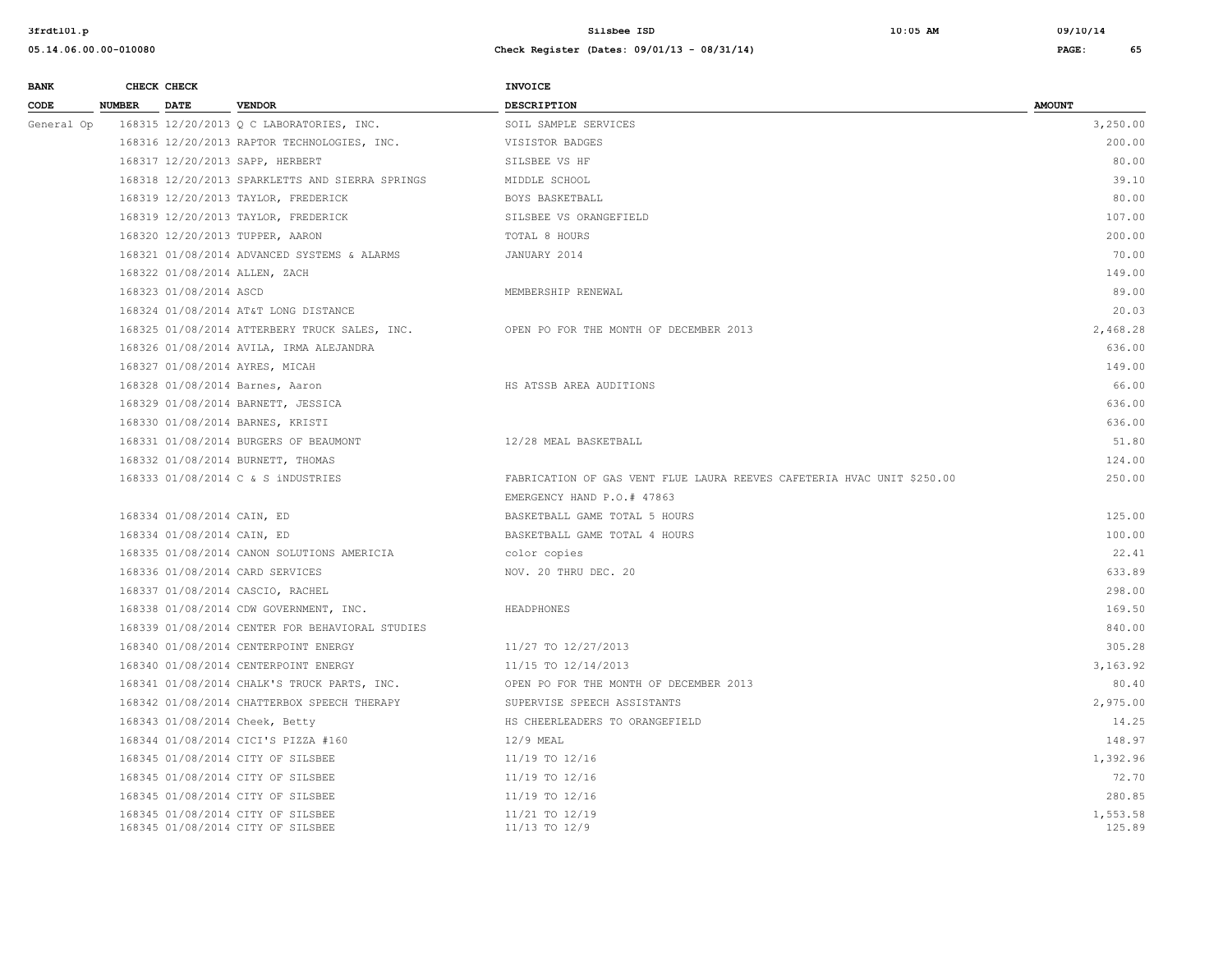| 3frdt101.p            |               |                            |                                                                        | $10:05$ AM<br>Silsbee ISD                                              | 09/10/14           |
|-----------------------|---------------|----------------------------|------------------------------------------------------------------------|------------------------------------------------------------------------|--------------------|
| 05.14.06.00.00-010080 |               |                            |                                                                        | Check Register (Dates: 09/01/13 - 08/31/14)                            | PAGE:<br>65        |
| <b>BANK</b>           |               | CHECK CHECK                |                                                                        | <b>INVOICE</b>                                                         |                    |
| CODE                  | <b>NUMBER</b> | <b>DATE</b>                | <b>VENDOR</b>                                                          | <b>DESCRIPTION</b>                                                     | <b>AMOUNT</b>      |
| General Op            |               |                            | 168315 12/20/2013 Q C LABORATORIES, INC.                               | SOIL SAMPLE SERVICES                                                   | 3,250.00           |
|                       |               |                            | 168316 12/20/2013 RAPTOR TECHNOLOGIES, INC.                            | VISISTOR BADGES                                                        | 200.00             |
|                       |               |                            | 168317 12/20/2013 SAPP, HERBERT                                        | SILSBEE VS HF                                                          | 80.00              |
|                       |               |                            | 168318 12/20/2013 SPARKLETTS AND SIERRA SPRINGS                        | MIDDLE SCHOOL                                                          | 39.10              |
|                       |               |                            | 168319 12/20/2013 TAYLOR, FREDERICK                                    | BOYS BASKETBALL                                                        | 80.00              |
|                       |               |                            | 168319 12/20/2013 TAYLOR, FREDERICK                                    | SILSBEE VS ORANGEFIELD                                                 | 107.00             |
|                       |               |                            | 168320 12/20/2013 TUPPER, AARON                                        | TOTAL 8 HOURS                                                          | 200.00             |
|                       |               |                            | 168321 01/08/2014 ADVANCED SYSTEMS & ALARMS                            | JANUARY 2014                                                           | 70.00              |
|                       |               |                            | 168322 01/08/2014 ALLEN, ZACH                                          |                                                                        | 149.00             |
|                       |               | 168323 01/08/2014 ASCD     |                                                                        | MEMBERSHIP RENEWAL                                                     | 89.00              |
|                       |               |                            | 168324 01/08/2014 AT&T LONG DISTANCE                                   |                                                                        | 20.03              |
|                       |               |                            | 168325 01/08/2014 ATTERBERY TRUCK SALES, INC.                          | OPEN PO FOR THE MONTH OF DECEMBER 2013                                 | 2,468.28           |
|                       |               |                            | 168326 01/08/2014 AVILA, IRMA ALEJANDRA                                |                                                                        | 636.00             |
|                       |               |                            | 168327 01/08/2014 AYRES, MICAH                                         |                                                                        | 149.00             |
|                       |               |                            | 168328 01/08/2014 Barnes, Aaron                                        | HS ATSSB AREA AUDITIONS                                                | 66.00              |
|                       |               |                            | 168329 01/08/2014 BARNETT, JESSICA                                     |                                                                        | 636.00             |
|                       |               |                            | 168330 01/08/2014 BARNES, KRISTI                                       |                                                                        | 636.00             |
|                       |               |                            | 168331 01/08/2014 BURGERS OF BEAUMONT                                  | 12/28 MEAL BASKETBALL                                                  | 51.80              |
|                       |               |                            | 168332 01/08/2014 BURNETT, THOMAS                                      |                                                                        | 124.00             |
|                       |               |                            | 168333 01/08/2014 C & S iNDUSTRIES                                     | FABRICATION OF GAS VENT FLUE LAURA REEVES CAFETERIA HVAC UNIT \$250.00 | 250.00             |
|                       |               |                            |                                                                        | EMERGENCY HAND P.O.# 47863                                             |                    |
|                       |               | 168334 01/08/2014 CAIN, ED |                                                                        | BASKETBALL GAME TOTAL 5 HOURS                                          | 125.00             |
|                       |               | 168334 01/08/2014 CAIN, ED |                                                                        | BASKETBALL GAME TOTAL 4 HOURS                                          | 100.00             |
|                       |               |                            | 168335 01/08/2014 CANON SOLUTIONS AMERICIA                             | color copies                                                           | 22.41              |
|                       |               |                            | 168336 01/08/2014 CARD SERVICES                                        | NOV. 20 THRU DEC. 20                                                   | 633.89             |
|                       |               |                            | 168337 01/08/2014 CASCIO, RACHEL                                       |                                                                        | 298.00             |
|                       |               |                            | 168338 01/08/2014 CDW GOVERNMENT, INC.                                 | HEADPHONES                                                             | 169.50             |
|                       |               |                            | 168339 01/08/2014 CENTER FOR BEHAVIORAL STUDIES                        |                                                                        | 840.00             |
|                       |               |                            | 168340 01/08/2014 CENTERPOINT ENERGY                                   | 11/27 TO 12/27/2013                                                    | 305.28             |
|                       |               |                            | 168340 01/08/2014 CENTERPOINT ENERGY                                   | 11/15 TO 12/14/2013                                                    | 3,163.92           |
|                       |               |                            | 168341 01/08/2014 CHALK'S TRUCK PARTS, INC.                            | OPEN PO FOR THE MONTH OF DECEMBER 2013                                 | 80.40              |
|                       |               |                            | 168342 01/08/2014 CHATTERBOX SPEECH THERAPY                            | SUPERVISE SPEECH ASSISTANTS                                            | 2,975.00           |
|                       |               |                            | 168343 01/08/2014 Cheek, Betty                                         | HS CHEERLEADERS TO ORANGEFIELD                                         | 14.25              |
|                       |               |                            | 168344 01/08/2014 CICI'S PIZZA #160                                    | 12/9 MEAL                                                              | 148.97             |
|                       |               |                            | 168345 01/08/2014 CITY OF SILSBEE                                      | 11/19 TO 12/16                                                         | 1,392.96           |
|                       |               |                            | 168345 01/08/2014 CITY OF SILSBEE                                      | 11/19 TO 12/16                                                         | 72.70              |
|                       |               |                            | 168345 01/08/2014 CITY OF SILSBEE                                      | 11/19 TO 12/16                                                         | 280.85             |
|                       |               |                            | 168345 01/08/2014 CITY OF SILSBEE<br>168345 01/08/2014 CITY OF SILSBEE | 11/21 TO 12/19<br>11/13 TO 12/9                                        | 1,553.58<br>125.89 |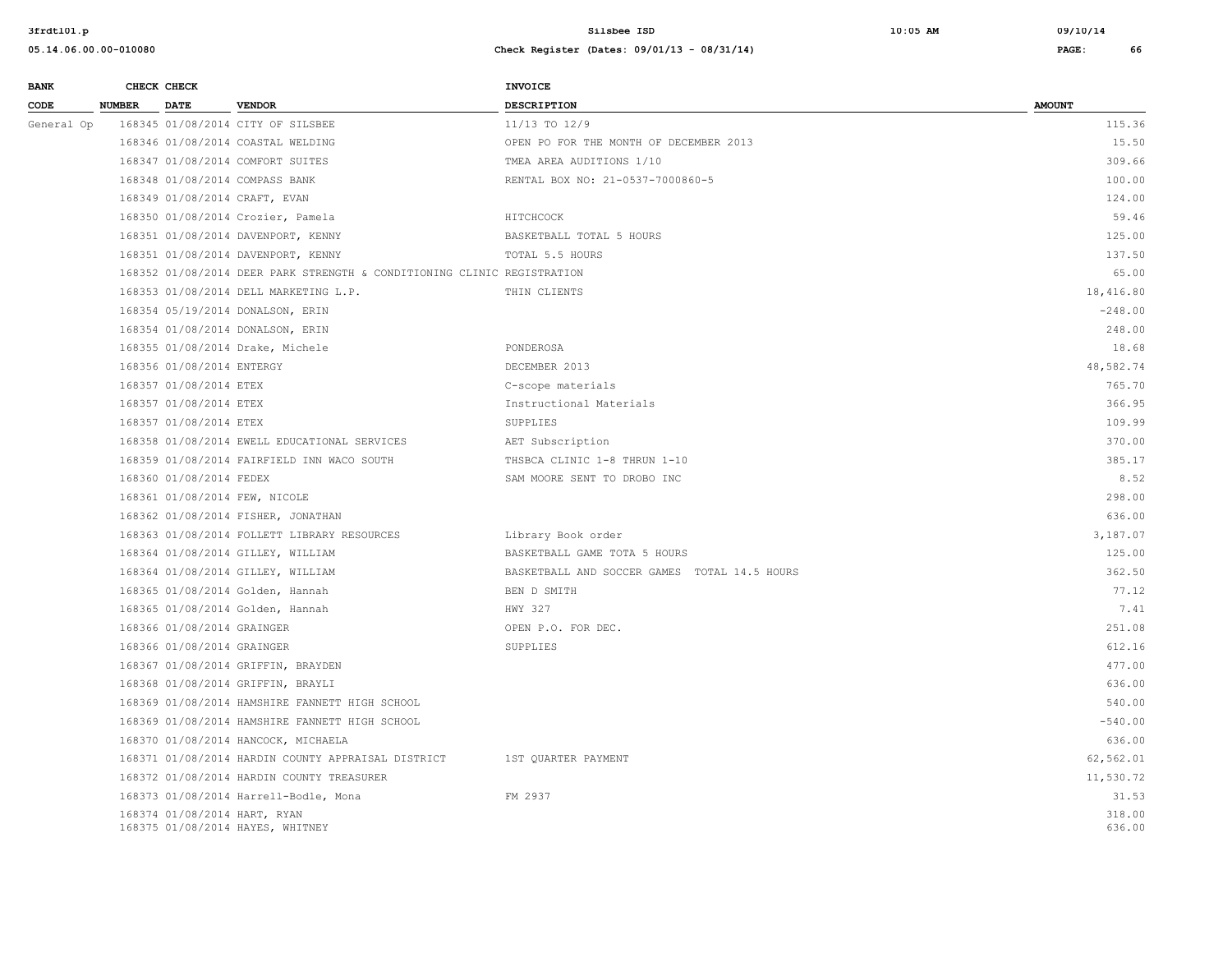| <b>BANK</b><br>CODE |               | CHECK CHECK                | <b>VENDOR</b>                                                           | <b>INVOICE</b>                               |                  |
|---------------------|---------------|----------------------------|-------------------------------------------------------------------------|----------------------------------------------|------------------|
|                     | <b>NUMBER</b> | <b>DATE</b>                |                                                                         | <b>DESCRIPTION</b>                           | <b>AMOUNT</b>    |
| General Op          |               |                            | 168345 01/08/2014 CITY OF SILSBEE                                       | 11/13 TO 12/9                                | 115.36           |
|                     |               |                            | 168346 01/08/2014 COASTAL WELDING                                       | OPEN PO FOR THE MONTH OF DECEMBER 2013       | 15.50            |
|                     |               |                            | 168347 01/08/2014 COMFORT SUITES                                        | TMEA AREA AUDITIONS 1/10                     | 309.66           |
|                     |               |                            | 168348 01/08/2014 COMPASS BANK                                          | RENTAL BOX NO: 21-0537-7000860-5             | 100.00           |
|                     |               |                            | 168349 01/08/2014 CRAFT, EVAN                                           |                                              | 124.00           |
|                     |               |                            | 168350 01/08/2014 Crozier, Pamela                                       | HITCHCOCK                                    | 59.46            |
|                     |               |                            | 168351 01/08/2014 DAVENPORT, KENNY                                      | BASKETBALL TOTAL 5 HOURS                     | 125.00           |
|                     |               |                            | 168351 01/08/2014 DAVENPORT, KENNY                                      | TOTAL 5.5 HOURS                              | 137.50           |
|                     |               |                            | 168352 01/08/2014 DEER PARK STRENGTH & CONDITIONING CLINIC REGISTRATION |                                              | 65.00            |
|                     |               |                            | 168353 01/08/2014 DELL MARKETING L.P.                                   | THIN CLIENTS                                 | 18,416.80        |
|                     |               |                            | 168354 05/19/2014 DONALSON, ERIN                                        |                                              | $-248.00$        |
|                     |               |                            | 168354 01/08/2014 DONALSON, ERIN                                        |                                              | 248.00           |
|                     |               |                            | 168355 01/08/2014 Drake, Michele                                        | PONDEROSA                                    | 18.68            |
|                     |               | 168356 01/08/2014 ENTERGY  |                                                                         | DECEMBER 2013                                | 48,582.74        |
|                     |               | 168357 01/08/2014 ETEX     |                                                                         | C-scope materials                            | 765.70           |
|                     |               | 168357 01/08/2014 ETEX     |                                                                         | Instructional Materials                      | 366.95           |
|                     |               | 168357 01/08/2014 ETEX     |                                                                         | SUPPLIES                                     | 109.99           |
|                     |               |                            | 168358 01/08/2014 EWELL EDUCATIONAL SERVICES                            | AET Subscription                             | 370.00           |
|                     |               |                            | 168359 01/08/2014 FAIRFIELD INN WACO SOUTH                              | THSBCA CLINIC 1-8 THRUN 1-10                 | 385.17           |
|                     |               | 168360 01/08/2014 FEDEX    |                                                                         | SAM MOORE SENT TO DROBO INC                  | 8.52             |
|                     |               |                            | 168361 01/08/2014 FEW, NICOLE                                           |                                              | 298.00           |
|                     |               |                            | 168362 01/08/2014 FISHER, JONATHAN                                      |                                              | 636.00           |
|                     |               |                            | 168363 01/08/2014 FOLLETT LIBRARY RESOURCES                             | Library Book order                           | 3,187.07         |
|                     |               |                            | 168364 01/08/2014 GILLEY, WILLIAM                                       | BASKETBALL GAME TOTA 5 HOURS                 | 125.00           |
|                     |               |                            | 168364 01/08/2014 GILLEY, WILLIAM                                       | BASKETBALL AND SOCCER GAMES TOTAL 14.5 HOURS | 362.50           |
|                     |               |                            | 168365 01/08/2014 Golden, Hannah                                        | BEN D SMITH                                  | 77.12            |
|                     |               |                            | 168365 01/08/2014 Golden, Hannah                                        | HWY 327                                      | 7.41             |
|                     |               | 168366 01/08/2014 GRAINGER |                                                                         | OPEN P.O. FOR DEC.                           | 251.08           |
|                     |               | 168366 01/08/2014 GRAINGER |                                                                         | <b>SUPPLIES</b>                              | 612.16           |
|                     |               |                            | 168367 01/08/2014 GRIFFIN, BRAYDEN                                      |                                              | 477.00           |
|                     |               |                            | 168368 01/08/2014 GRIFFIN, BRAYLI                                       |                                              | 636.00           |
|                     |               |                            | 168369 01/08/2014 HAMSHIRE FANNETT HIGH SCHOOL                          |                                              | 540.00           |
|                     |               |                            | 168369 01/08/2014 HAMSHIRE FANNETT HIGH SCHOOL                          |                                              | $-540.00$        |
|                     |               |                            | 168370 01/08/2014 HANCOCK, MICHAELA                                     |                                              | 636.00           |
|                     |               |                            | 168371 01/08/2014 HARDIN COUNTY APPRAISAL DISTRICT                      | 1ST QUARTER PAYMENT                          | 62,562.01        |
|                     |               |                            | 168372 01/08/2014 HARDIN COUNTY TREASURER                               |                                              | 11,530.72        |
|                     |               |                            | 168373 01/08/2014 Harrell-Bodle, Mona                                   | FM 2937                                      | 31.53            |
|                     |               |                            | 168374 01/08/2014 HART, RYAN<br>168375 01/08/2014 HAYES, WHITNEY        |                                              | 318.00<br>636.00 |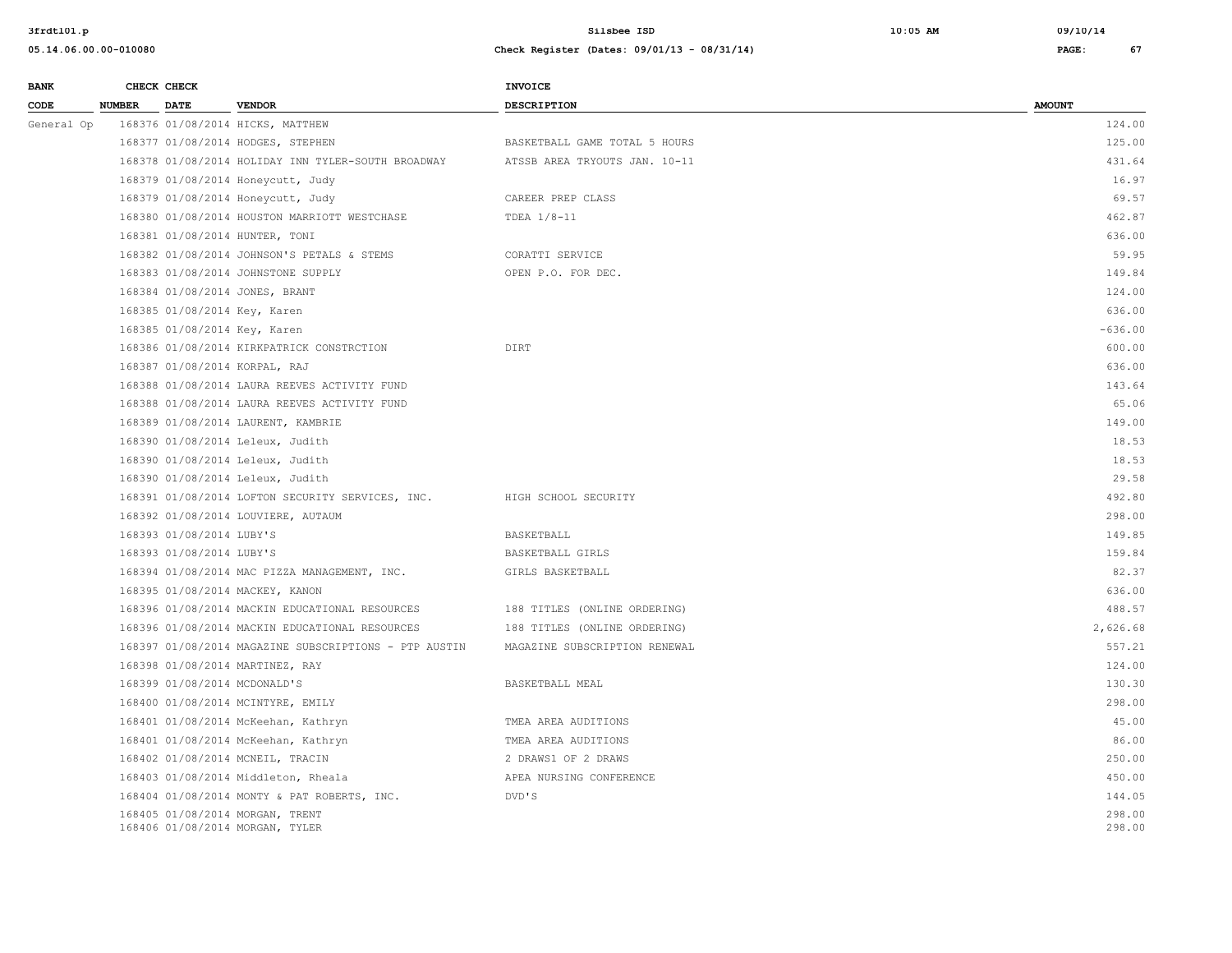| <b>BANK</b> |               | CHECK CHECK              |                                                                    | <b>INVOICE</b>                |                  |
|-------------|---------------|--------------------------|--------------------------------------------------------------------|-------------------------------|------------------|
| <b>CODE</b> | <b>NUMBER</b> | <b>DATE</b>              | <b>VENDOR</b>                                                      | <b>DESCRIPTION</b>            | <b>AMOUNT</b>    |
| General Op  |               |                          | 168376 01/08/2014 HICKS, MATTHEW                                   |                               | 124.00           |
|             |               |                          | 168377 01/08/2014 HODGES, STEPHEN                                  | BASKETBALL GAME TOTAL 5 HOURS | 125.00           |
|             |               |                          | 168378 01/08/2014 HOLIDAY INN TYLER-SOUTH BROADWAY                 | ATSSB AREA TRYOUTS JAN. 10-11 | 431.64           |
|             |               |                          | 168379 01/08/2014 Honeycutt, Judy                                  |                               | 16.97            |
|             |               |                          | 168379 01/08/2014 Honeycutt, Judy                                  | CAREER PREP CLASS             | 69.57            |
|             |               |                          | 168380 01/08/2014 HOUSTON MARRIOTT WESTCHASE                       | TDEA 1/8-11                   | 462.87           |
|             |               |                          | 168381 01/08/2014 HUNTER, TONI                                     |                               | 636.00           |
|             |               |                          | 168382 01/08/2014 JOHNSON'S PETALS & STEMS                         | CORATTI SERVICE               | 59.95            |
|             |               |                          | 168383 01/08/2014 JOHNSTONE SUPPLY                                 | OPEN P.O. FOR DEC.            | 149.84           |
|             |               |                          | 168384 01/08/2014 JONES, BRANT                                     |                               | 124.00           |
|             |               |                          | 168385 01/08/2014 Key, Karen                                       |                               | 636.00           |
|             |               |                          | 168385 01/08/2014 Key, Karen                                       |                               | $-636.00$        |
|             |               |                          | 168386 01/08/2014 KIRKPATRICK CONSTRCTION                          | DIRT                          | 600.00           |
|             |               |                          | 168387 01/08/2014 KORPAL, RAJ                                      |                               | 636.00           |
|             |               |                          | 168388 01/08/2014 LAURA REEVES ACTIVITY FUND                       |                               | 143.64           |
|             |               |                          | 168388 01/08/2014 LAURA REEVES ACTIVITY FUND                       |                               | 65.06            |
|             |               |                          | 168389 01/08/2014 LAURENT, KAMBRIE                                 |                               | 149.00           |
|             |               |                          | 168390 01/08/2014 Leleux, Judith                                   |                               | 18.53            |
|             |               |                          | 168390 01/08/2014 Leleux, Judith                                   |                               | 18.53            |
|             |               |                          | 168390 01/08/2014 Leleux, Judith                                   |                               | 29.58            |
|             |               |                          | 168391 01/08/2014 LOFTON SECURITY SERVICES, INC.                   | HIGH SCHOOL SECURITY          | 492.80           |
|             |               |                          | 168392 01/08/2014 LOUVIERE, AUTAUM                                 |                               | 298.00           |
|             |               | 168393 01/08/2014 LUBY'S |                                                                    | BASKETBALL                    | 149.85           |
|             |               | 168393 01/08/2014 LUBY'S |                                                                    | BASKETBALL GIRLS              | 159.84           |
|             |               |                          | 168394 01/08/2014 MAC PIZZA MANAGEMENT, INC.                       | GIRLS BASKETBALL              | 82.37            |
|             |               |                          | 168395 01/08/2014 MACKEY, KANON                                    |                               | 636.00           |
|             |               |                          | 168396 01/08/2014 MACKIN EDUCATIONAL RESOURCES                     | 188 TITLES (ONLINE ORDERING)  | 488.57           |
|             |               |                          | 168396 01/08/2014 MACKIN EDUCATIONAL RESOURCES                     | 188 TITLES (ONLINE ORDERING)  | 2,626.68         |
|             |               |                          | 168397 01/08/2014 MAGAZINE SUBSCRIPTIONS - PTP AUSTIN              | MAGAZINE SUBSCRIPTION RENEWAL | 557.21           |
|             |               |                          | 168398 01/08/2014 MARTINEZ, RAY                                    |                               | 124.00           |
|             |               |                          | 168399 01/08/2014 MCDONALD'S                                       | BASKETBALL MEAL               | 130.30           |
|             |               |                          | 168400 01/08/2014 MCINTYRE, EMILY                                  |                               | 298.00           |
|             |               |                          | 168401 01/08/2014 McKeehan, Kathryn                                | TMEA AREA AUDITIONS           | 45.00            |
|             |               |                          | 168401 01/08/2014 McKeehan, Kathryn                                | TMEA AREA AUDITIONS           | 86.00            |
|             |               |                          | 168402 01/08/2014 MCNEIL, TRACIN                                   | 2 DRAWS1 OF 2 DRAWS           | 250.00           |
|             |               |                          | 168403 01/08/2014 Middleton, Rheala                                | APEA NURSING CONFERENCE       | 450.00           |
|             |               |                          | 168404 01/08/2014 MONTY & PAT ROBERTS, INC.                        | DVD'S                         | 144.05           |
|             |               |                          | 168405 01/08/2014 MORGAN, TRENT<br>168406 01/08/2014 MORGAN, TYLER |                               | 298.00<br>298.00 |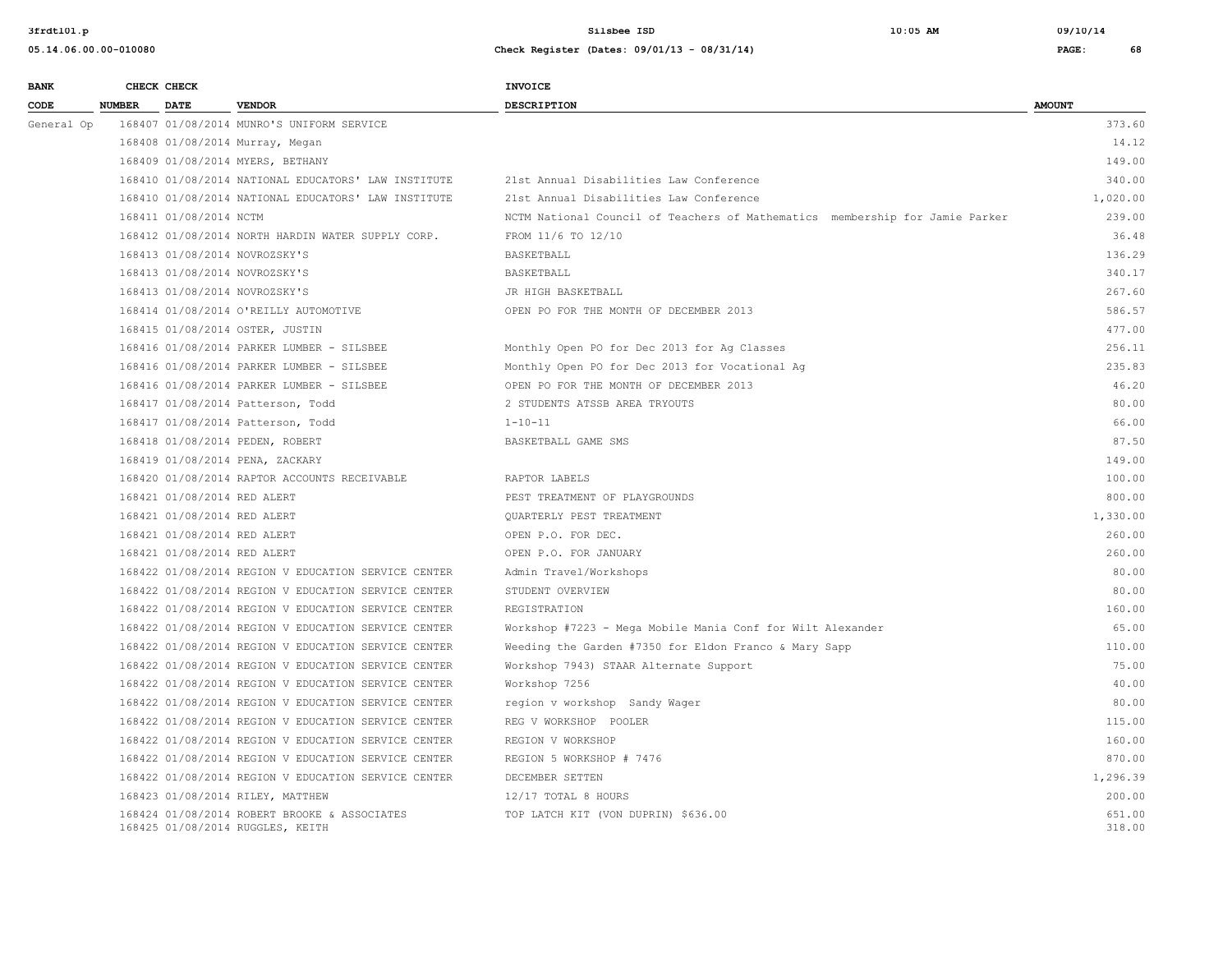| <b>BANK</b> | CHECK CHECK   |                        |                                                                                  | <b>INVOICE</b>                                                               |                  |
|-------------|---------------|------------------------|----------------------------------------------------------------------------------|------------------------------------------------------------------------------|------------------|
| CODE        | <b>NUMBER</b> | <b>DATE</b>            | <b>VENDOR</b>                                                                    | <b>DESCRIPTION</b>                                                           | <b>AMOUNT</b>    |
| General Op  |               |                        | 168407 01/08/2014 MUNRO'S UNIFORM SERVICE                                        |                                                                              | 373.60           |
|             |               |                        | 168408 01/08/2014 Murray, Megan                                                  |                                                                              | 14.12            |
|             |               |                        | 168409 01/08/2014 MYERS, BETHANY                                                 |                                                                              | 149.00           |
|             |               |                        | 168410 01/08/2014 NATIONAL EDUCATORS' LAW INSTITUTE                              | 21st Annual Disabilities Law Conference                                      | 340.00           |
|             |               |                        | 168410 01/08/2014 NATIONAL EDUCATORS' LAW INSTITUTE                              | 21st Annual Disabilities Law Conference                                      | 1,020.00         |
|             |               | 168411 01/08/2014 NCTM |                                                                                  | NCTM National Council of Teachers of Mathematics membership for Jamie Parker | 239.00           |
|             |               |                        | 168412 01/08/2014 NORTH HARDIN WATER SUPPLY CORP.                                | FROM 11/6 TO 12/10                                                           | 36.48            |
|             |               |                        | 168413 01/08/2014 NOVROZSKY'S                                                    | BASKETBALL                                                                   | 136.29           |
|             |               |                        | 168413 01/08/2014 NOVROZSKY'S                                                    | BASKETBALL                                                                   | 340.17           |
|             |               |                        | 168413 01/08/2014 NOVROZSKY'S                                                    | JR HIGH BASKETBALL                                                           | 267.60           |
|             |               |                        | 168414 01/08/2014 O'REILLY AUTOMOTIVE                                            | OPEN PO FOR THE MONTH OF DECEMBER 2013                                       | 586.57           |
|             |               |                        | 168415 01/08/2014 OSTER, JUSTIN                                                  |                                                                              | 477.00           |
|             |               |                        | 168416 01/08/2014 PARKER LUMBER - SILSBEE                                        | Monthly Open PO for Dec 2013 for Ag Classes                                  | 256.11           |
|             |               |                        | 168416 01/08/2014 PARKER LUMBER - SILSBEE                                        | Monthly Open PO for Dec 2013 for Vocational Ag                               | 235.83           |
|             |               |                        | 168416 01/08/2014 PARKER LUMBER - SILSBEE                                        | OPEN PO FOR THE MONTH OF DECEMBER 2013                                       | 46.20            |
|             |               |                        | 168417 01/08/2014 Patterson, Todd                                                | 2 STUDENTS ATSSB AREA TRYOUTS                                                | 80.00            |
|             |               |                        | 168417 01/08/2014 Patterson, Todd                                                | $1 - 10 - 11$                                                                | 66.00            |
|             |               |                        | 168418 01/08/2014 PEDEN, ROBERT                                                  | BASKETBALL GAME SMS                                                          | 87.50            |
|             |               |                        | 168419 01/08/2014 PENA, ZACKARY                                                  |                                                                              | 149.00           |
|             |               |                        | 168420 01/08/2014 RAPTOR ACCOUNTS RECEIVABLE                                     | RAPTOR LABELS                                                                | 100.00           |
|             |               |                        | 168421 01/08/2014 RED ALERT                                                      | PEST TREATMENT OF PLAYGROUNDS                                                | 800.00           |
|             |               |                        | 168421 01/08/2014 RED ALERT                                                      | OUARTERLY PEST TREATMENT                                                     | 1,330.00         |
|             |               |                        | 168421 01/08/2014 RED ALERT                                                      | OPEN P.O. FOR DEC.                                                           | 260.00           |
|             |               |                        | 168421 01/08/2014 RED ALERT                                                      | OPEN P.O. FOR JANUARY                                                        | 260.00           |
|             |               |                        | 168422 01/08/2014 REGION V EDUCATION SERVICE CENTER                              | Admin Travel/Workshops                                                       | 80.00            |
|             |               |                        | 168422 01/08/2014 REGION V EDUCATION SERVICE CENTER                              | STUDENT OVERVIEW                                                             | 80.00            |
|             |               |                        | 168422 01/08/2014 REGION V EDUCATION SERVICE CENTER                              | REGISTRATION                                                                 | 160.00           |
|             |               |                        | 168422 01/08/2014 REGION V EDUCATION SERVICE CENTER                              | Workshop #7223 - Mega Mobile Mania Conf for Wilt Alexander                   | 65.00            |
|             |               |                        | 168422 01/08/2014 REGION V EDUCATION SERVICE CENTER                              | Weeding the Garden #7350 for Eldon Franco & Mary Sapp                        | 110.00           |
|             |               |                        | 168422 01/08/2014 REGION V EDUCATION SERVICE CENTER                              | Workshop 7943) STAAR Alternate Support                                       | 75.00            |
|             |               |                        | 168422 01/08/2014 REGION V EDUCATION SERVICE CENTER                              | Workshop 7256                                                                | 40.00            |
|             |               |                        | 168422 01/08/2014 REGION V EDUCATION SERVICE CENTER                              | region v workshop Sandy Wager                                                | 80.00            |
|             |               |                        | 168422 01/08/2014 REGION V EDUCATION SERVICE CENTER                              | REG V WORKSHOP POOLER                                                        | 115.00           |
|             |               |                        | 168422 01/08/2014 REGION V EDUCATION SERVICE CENTER                              | REGION V WORKSHOP                                                            | 160.00           |
|             |               |                        | 168422 01/08/2014 REGION V EDUCATION SERVICE CENTER                              | REGION 5 WORKSHOP # 7476                                                     | 870.00           |
|             |               |                        | 168422 01/08/2014 REGION V EDUCATION SERVICE CENTER                              | DECEMBER SETTEN                                                              | 1,296.39         |
|             |               |                        | 168423 01/08/2014 RILEY, MATTHEW                                                 | 12/17 TOTAL 8 HOURS                                                          | 200.00           |
|             |               |                        | 168424 01/08/2014 ROBERT BROOKE & ASSOCIATES<br>168425 01/08/2014 RUGGLES, KEITH | TOP LATCH KIT (VON DUPRIN) \$636.00                                          | 651.00<br>318.00 |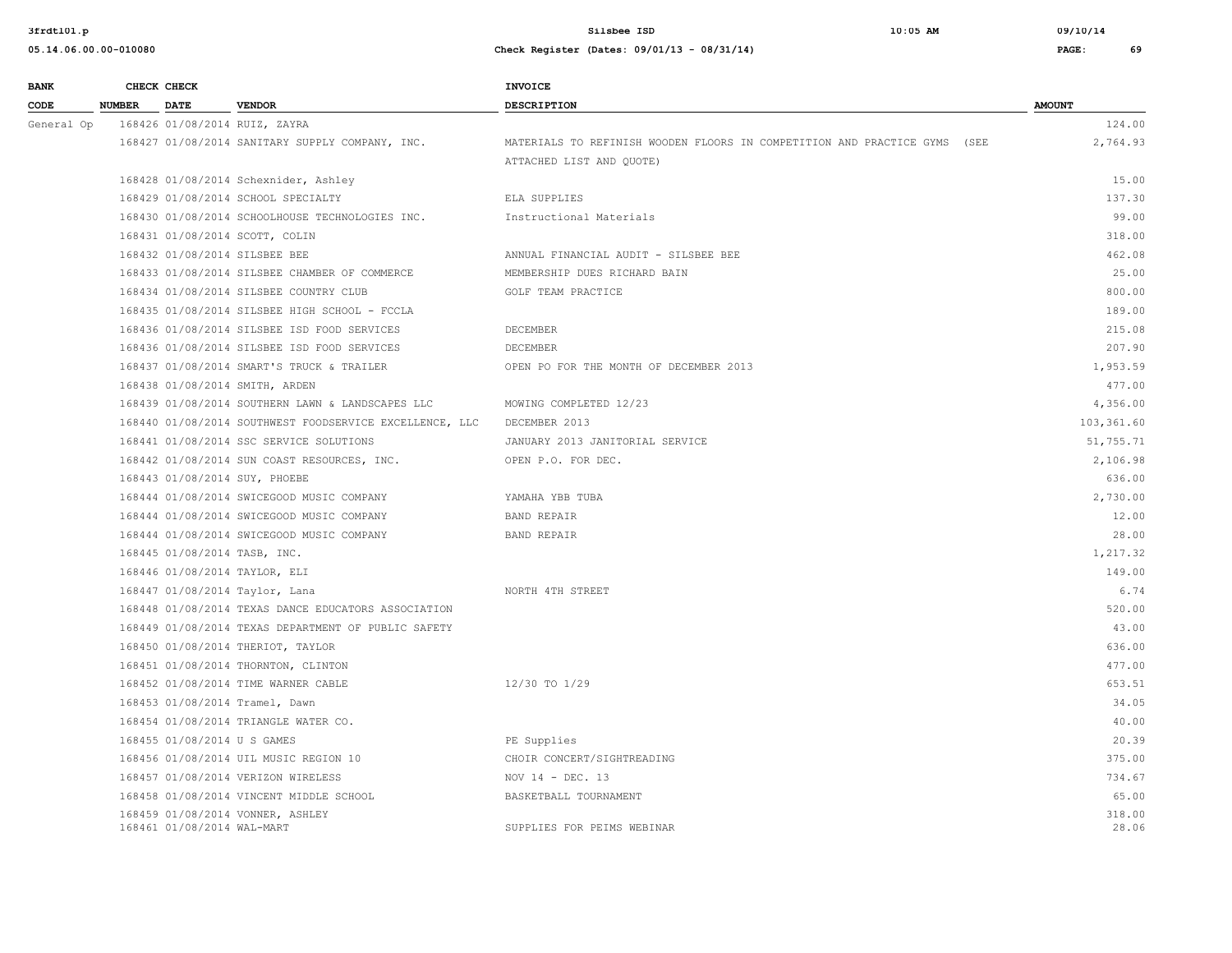| <b>BANK</b> |             | CHECK CHECK                 |                                                         | INVOICE                                                                   |                 |
|-------------|-------------|-----------------------------|---------------------------------------------------------|---------------------------------------------------------------------------|-----------------|
| CODE        | NUMBER DATE |                             | <b>VENDOR</b>                                           | <b>DESCRIPTION</b>                                                        | <b>AMOUNT</b>   |
| General Op  |             |                             | 168426 01/08/2014 RUIZ, ZAYRA                           |                                                                           | 124.00          |
|             |             |                             | 168427 01/08/2014 SANITARY SUPPLY COMPANY, INC.         | MATERIALS TO REFINISH WOODEN FLOORS IN COMPETITION AND PRACTICE GYMS (SEE | 2,764.93        |
|             |             |                             |                                                         | ATTACHED LIST AND QUOTE)                                                  |                 |
|             |             |                             | 168428 01/08/2014 Schexnider, Ashley                    |                                                                           | 15.00           |
|             |             |                             | 168429 01/08/2014 SCHOOL SPECIALTY                      | ELA SUPPLIES                                                              | 137.30          |
|             |             |                             | 168430 01/08/2014 SCHOOLHOUSE TECHNOLOGIES INC.         | Instructional Materials                                                   | 99.00           |
|             |             |                             | 168431 01/08/2014 SCOTT, COLIN                          |                                                                           | 318.00          |
|             |             |                             | 168432 01/08/2014 SILSBEE BEE                           | ANNUAL FINANCIAL AUDIT - SILSBEE BEE                                      | 462.08          |
|             |             |                             | 168433 01/08/2014 SILSBEE CHAMBER OF COMMERCE           | MEMBERSHIP DUES RICHARD BAIN                                              | 25.00           |
|             |             |                             | 168434 01/08/2014 SILSBEE COUNTRY CLUB                  | GOLF TEAM PRACTICE                                                        | 800.00          |
|             |             |                             | 168435 01/08/2014 SILSBEE HIGH SCHOOL - FCCLA           |                                                                           | 189.00          |
|             |             |                             | 168436 01/08/2014 SILSBEE ISD FOOD SERVICES             | DECEMBER                                                                  | 215.08          |
|             |             |                             | 168436 01/08/2014 SILSBEE ISD FOOD SERVICES             | DECEMBER                                                                  | 207.90          |
|             |             |                             | 168437 01/08/2014 SMART'S TRUCK & TRAILER               | OPEN PO FOR THE MONTH OF DECEMBER 2013                                    | 1,953.59        |
|             |             |                             | 168438 01/08/2014 SMITH, ARDEN                          |                                                                           | 477.00          |
|             |             |                             | 168439 01/08/2014 SOUTHERN LAWN & LANDSCAPES LLC        | MOWING COMPLETED 12/23                                                    | 4,356.00        |
|             |             |                             | 168440 01/08/2014 SOUTHWEST FOODSERVICE EXCELLENCE, LLC | DECEMBER 2013                                                             | 103,361.60      |
|             |             |                             | 168441 01/08/2014 SSC SERVICE SOLUTIONS                 | JANUARY 2013 JANITORIAL SERVICE                                           | 51,755.71       |
|             |             |                             | 168442 01/08/2014 SUN COAST RESOURCES, INC.             | OPEN P.O. FOR DEC.                                                        | 2,106.98        |
|             |             |                             | 168443 01/08/2014 SUY, PHOEBE                           |                                                                           | 636.00          |
|             |             |                             | 168444 01/08/2014 SWICEGOOD MUSIC COMPANY               | YAMAHA YBB TUBA                                                           | 2,730.00        |
|             |             |                             | 168444 01/08/2014 SWICEGOOD MUSIC COMPANY               | BAND REPAIR                                                               | 12.00           |
|             |             |                             | 168444 01/08/2014 SWICEGOOD MUSIC COMPANY               | <b>BAND REPAIR</b>                                                        | 28.00           |
|             |             |                             | 168445 01/08/2014 TASB, INC.                            |                                                                           | 1,217.32        |
|             |             |                             | 168446 01/08/2014 TAYLOR, ELI                           |                                                                           | 149.00          |
|             |             |                             | 168447 01/08/2014 Taylor, Lana                          | NORTH 4TH STREET                                                          | 6.74            |
|             |             |                             | 168448 01/08/2014 TEXAS DANCE EDUCATORS ASSOCIATION     |                                                                           | 520.00          |
|             |             |                             | 168449 01/08/2014 TEXAS DEPARTMENT OF PUBLIC SAFETY     |                                                                           | 43.00           |
|             |             |                             | 168450 01/08/2014 THERIOT, TAYLOR                       |                                                                           | 636.00          |
|             |             |                             | 168451 01/08/2014 THORNTON, CLINTON                     |                                                                           | 477.00          |
|             |             |                             | 168452 01/08/2014 TIME WARNER CABLE                     | 12/30 TO 1/29                                                             | 653.51          |
|             |             |                             | 168453 01/08/2014 Tramel, Dawn                          |                                                                           | 34.05           |
|             |             |                             | 168454 01/08/2014 TRIANGLE WATER CO.                    |                                                                           | 40.00           |
|             |             | 168455 01/08/2014 U S GAMES |                                                         | PE Supplies                                                               | 20.39           |
|             |             |                             | 168456 01/08/2014 UIL MUSIC REGION 10                   | CHOIR CONCERT/SIGHTREADING                                                | 375.00          |
|             |             |                             | 168457 01/08/2014 VERIZON WIRELESS                      | NOV $14$ - DEC. 13                                                        | 734.67          |
|             |             |                             | 168458 01/08/2014 VINCENT MIDDLE SCHOOL                 | BASKETBALL TOURNAMENT                                                     | 65.00           |
|             |             | 168461 01/08/2014 WAL-MART  | 168459 01/08/2014 VONNER, ASHLEY                        | SUPPLIES FOR PEIMS WEBINAR                                                | 318.00<br>28.06 |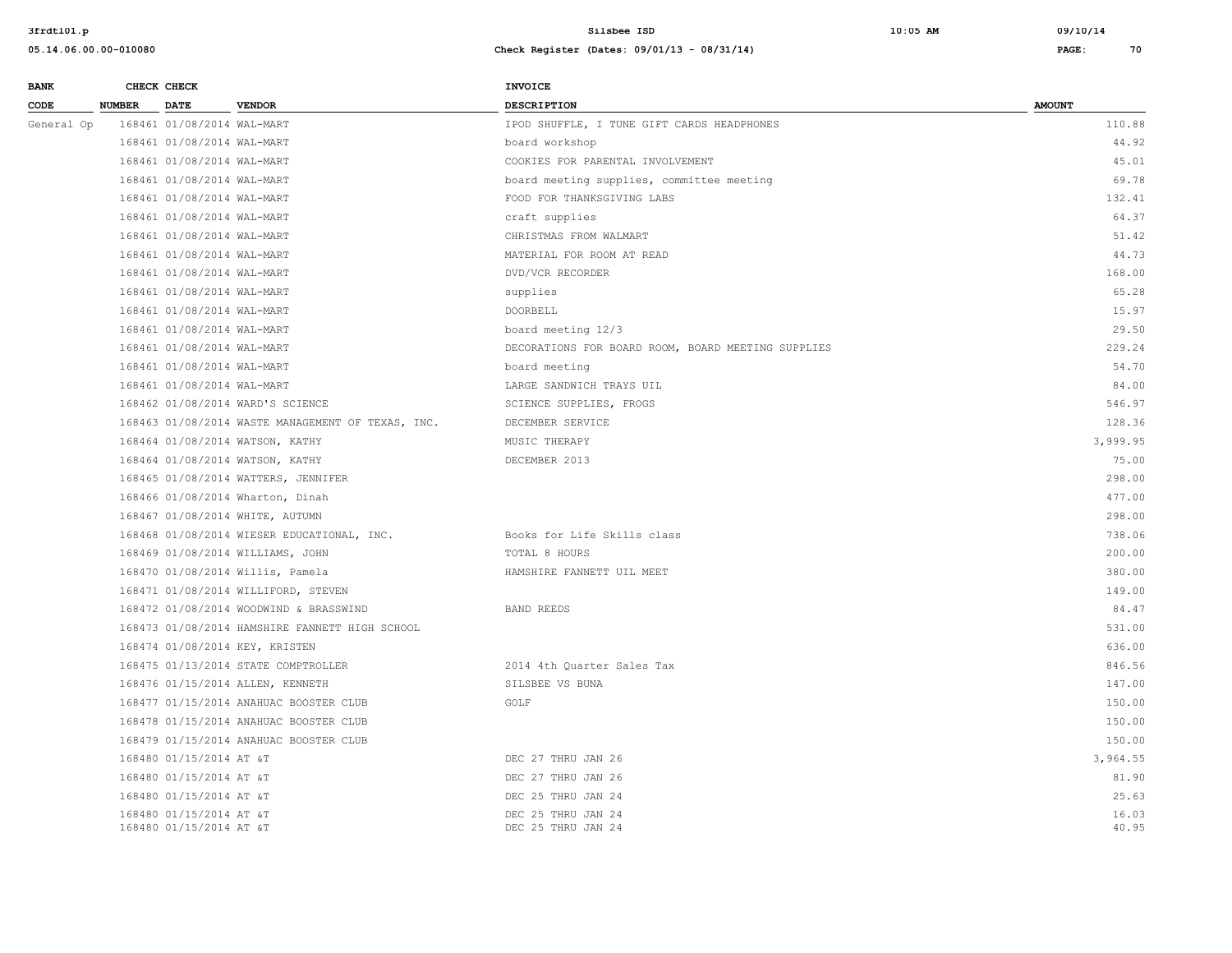| <b>BANK</b> |               | CHECK CHECK                                        |                                                   | INVOICE                                            |                |
|-------------|---------------|----------------------------------------------------|---------------------------------------------------|----------------------------------------------------|----------------|
| <b>CODE</b> | <b>NUMBER</b> | <b>DATE</b>                                        | <b>VENDOR</b>                                     | <b>DESCRIPTION</b>                                 | <b>AMOUNT</b>  |
| General Op  |               | 168461 01/08/2014 WAL-MART                         |                                                   | IPOD SHUFFLE, I TUNE GIFT CARDS HEADPHONES         | 110.88         |
|             |               | 168461 01/08/2014 WAL-MART                         |                                                   | board workshop                                     | 44.92          |
|             |               | 168461 01/08/2014 WAL-MART                         |                                                   | COOKIES FOR PARENTAL INVOLVEMENT                   | 45.01          |
|             |               | 168461 01/08/2014 WAL-MART                         |                                                   | board meeting supplies, committee meeting          | 69.78          |
|             |               | 168461 01/08/2014 WAL-MART                         |                                                   | FOOD FOR THANKSGIVING LABS                         | 132.41         |
|             |               | 168461 01/08/2014 WAL-MART                         |                                                   | craft supplies                                     | 64.37          |
|             |               | 168461 01/08/2014 WAL-MART                         |                                                   | CHRISTMAS FROM WALMART                             | 51.42          |
|             |               | 168461 01/08/2014 WAL-MART                         |                                                   | MATERIAL FOR ROOM AT READ                          | 44.73          |
|             |               | 168461 01/08/2014 WAL-MART                         |                                                   | DVD/VCR RECORDER                                   | 168.00         |
|             |               | 168461 01/08/2014 WAL-MART                         |                                                   | supplies                                           | 65.28          |
|             |               | 168461 01/08/2014 WAL-MART                         |                                                   | <b>DOORBELL</b>                                    | 15.97          |
|             |               | 168461 01/08/2014 WAL-MART                         |                                                   | board meeting 12/3                                 | 29.50          |
|             |               | 168461 01/08/2014 WAL-MART                         |                                                   | DECORATIONS FOR BOARD ROOM, BOARD MEETING SUPPLIES | 229.24         |
|             |               | 168461 01/08/2014 WAL-MART                         |                                                   | board meeting                                      | 54.70          |
|             |               | 168461 01/08/2014 WAL-MART                         |                                                   | LARGE SANDWICH TRAYS UIL                           | 84.00          |
|             |               |                                                    | 168462 01/08/2014 WARD'S SCIENCE                  | SCIENCE SUPPLIES, FROGS                            | 546.97         |
|             |               |                                                    | 168463 01/08/2014 WASTE MANAGEMENT OF TEXAS, INC. | DECEMBER SERVICE                                   | 128.36         |
|             |               |                                                    | 168464 01/08/2014 WATSON, KATHY                   | MUSIC THERAPY                                      | 3,999.95       |
|             |               |                                                    | 168464 01/08/2014 WATSON, KATHY                   | DECEMBER 2013                                      | 75.00          |
|             |               |                                                    | 168465 01/08/2014 WATTERS, JENNIFER               |                                                    | 298.00         |
|             |               |                                                    | 168466 01/08/2014 Wharton, Dinah                  |                                                    | 477.00         |
|             |               |                                                    | 168467 01/08/2014 WHITE, AUTUMN                   |                                                    | 298.00         |
|             |               |                                                    | 168468 01/08/2014 WIESER EDUCATIONAL, INC.        | Books for Life Skills class                        | 738.06         |
|             |               |                                                    | 168469 01/08/2014 WILLIAMS, JOHN                  | TOTAL 8 HOURS                                      | 200.00         |
|             |               |                                                    | 168470 01/08/2014 Willis, Pamela                  | HAMSHIRE FANNETT UIL MEET                          | 380.00         |
|             |               |                                                    | 168471 01/08/2014 WILLIFORD, STEVEN               |                                                    | 149.00         |
|             |               |                                                    | 168472 01/08/2014 WOODWIND & BRASSWIND            | BAND REEDS                                         | 84.47          |
|             |               |                                                    | 168473 01/08/2014 HAMSHIRE FANNETT HIGH SCHOOL    |                                                    | 531.00         |
|             |               |                                                    | 168474 01/08/2014 KEY, KRISTEN                    |                                                    | 636.00         |
|             |               |                                                    | 168475 01/13/2014 STATE COMPTROLLER               | 2014 4th Quarter Sales Tax                         | 846.56         |
|             |               |                                                    | 168476 01/15/2014 ALLEN, KENNETH                  | SILSBEE VS BUNA                                    | 147.00         |
|             |               |                                                    | 168477 01/15/2014 ANAHUAC BOOSTER CLUB            | GOLF                                               | 150.00         |
|             |               |                                                    | 168478 01/15/2014 ANAHUAC BOOSTER CLUB            |                                                    | 150.00         |
|             |               |                                                    | 168479 01/15/2014 ANAHUAC BOOSTER CLUB            |                                                    | 150.00         |
|             |               | 168480 01/15/2014 AT &T                            |                                                   | DEC 27 THRU JAN 26                                 | 3,964.55       |
|             |               | 168480 01/15/2014 AT &T                            |                                                   | DEC 27 THRU JAN 26                                 | 81.90          |
|             |               | 168480 01/15/2014 AT &T                            |                                                   | DEC 25 THRU JAN 24                                 | 25.63          |
|             |               | 168480 01/15/2014 AT &T<br>168480 01/15/2014 AT &T |                                                   | DEC 25 THRU JAN 24<br>DEC 25 THRU JAN 24           | 16.03<br>40.95 |
|             |               |                                                    |                                                   |                                                    |                |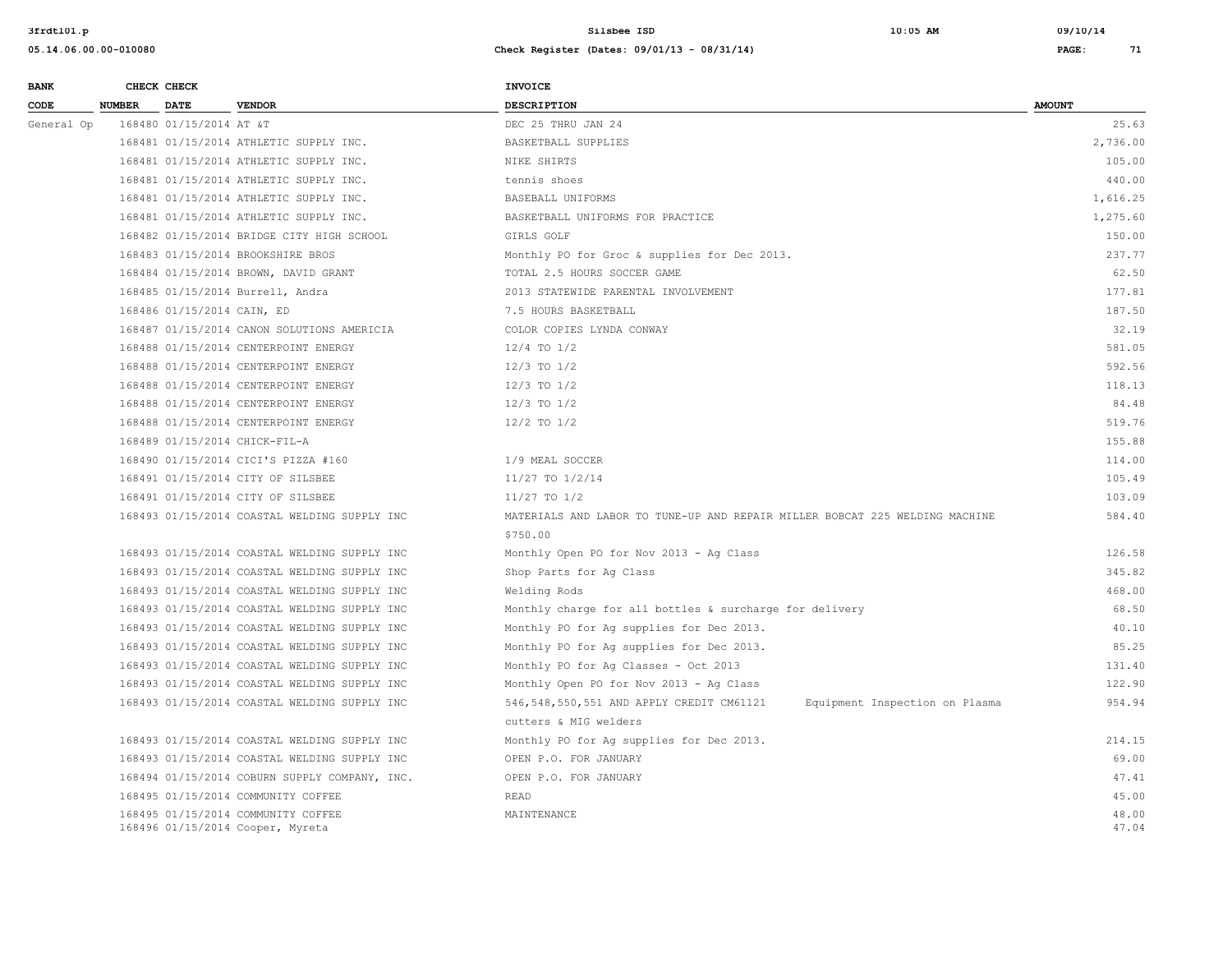| <b>BANK</b> |               | CHECK CHECK                |                                                                        | INVOICE                                                                       |                |
|-------------|---------------|----------------------------|------------------------------------------------------------------------|-------------------------------------------------------------------------------|----------------|
| CODE        | <b>NUMBER</b> | <b>DATE</b>                | <b>VENDOR</b>                                                          | <b>DESCRIPTION</b>                                                            | <b>AMOUNT</b>  |
| General Op  |               | 168480 01/15/2014 AT &T    |                                                                        | DEC 25 THRU JAN 24                                                            | 25.63          |
|             |               |                            | 168481 01/15/2014 ATHLETIC SUPPLY INC.                                 | BASKETBALL SUPPLIES                                                           | 2,736.00       |
|             |               |                            | 168481 01/15/2014 ATHLETIC SUPPLY INC.                                 | NIKE SHIRTS                                                                   | 105.00         |
|             |               |                            | 168481 01/15/2014 ATHLETIC SUPPLY INC.                                 | tennis shoes                                                                  | 440.00         |
|             |               |                            | 168481 01/15/2014 ATHLETIC SUPPLY INC.                                 | BASEBALL UNIFORMS                                                             | 1,616.25       |
|             |               |                            | 168481 01/15/2014 ATHLETIC SUPPLY INC.                                 | BASKETBALL UNIFORMS FOR PRACTICE                                              | 1,275.60       |
|             |               |                            | 168482 01/15/2014 BRIDGE CITY HIGH SCHOOL                              | GIRLS GOLF                                                                    | 150.00         |
|             |               |                            | 168483 01/15/2014 BROOKSHIRE BROS                                      | Monthly PO for Groc & supplies for Dec 2013.                                  | 237.77         |
|             |               |                            | 168484 01/15/2014 BROWN, DAVID GRANT                                   | TOTAL 2.5 HOURS SOCCER GAME                                                   | 62.50          |
|             |               |                            | 168485 01/15/2014 Burrell, Andra                                       | 2013 STATEWIDE PARENTAL INVOLVEMENT                                           | 177.81         |
|             |               | 168486 01/15/2014 CAIN, ED |                                                                        | 7.5 HOURS BASKETBALL                                                          | 187.50         |
|             |               |                            | 168487 01/15/2014 CANON SOLUTIONS AMERICIA                             | COLOR COPIES LYNDA CONWAY                                                     | 32.19          |
|             |               |                            | 168488 01/15/2014 CENTERPOINT ENERGY                                   | $12/4$ TO $1/2$                                                               | 581.05         |
|             |               |                            | 168488 01/15/2014 CENTERPOINT ENERGY                                   | $12/3$ TO $1/2$                                                               | 592.56         |
|             |               |                            | 168488 01/15/2014 CENTERPOINT ENERGY                                   | $12/3$ TO $1/2$                                                               | 118.13         |
|             |               |                            | 168488 01/15/2014 CENTERPOINT ENERGY                                   | $12/3$ TO $1/2$                                                               | 84.48          |
|             |               |                            | 168488 01/15/2014 CENTERPOINT ENERGY                                   | $12/2$ TO $1/2$                                                               | 519.76         |
|             |               |                            | 168489 01/15/2014 CHICK-FIL-A                                          |                                                                               | 155.88         |
|             |               |                            | 168490 01/15/2014 CICI'S PIZZA #160                                    | 1/9 MEAL SOCCER                                                               | 114.00         |
|             |               |                            | 168491 01/15/2014 CITY OF SILSBEE                                      | 11/27 TO 1/2/14                                                               | 105.49         |
|             |               |                            | 168491 01/15/2014 CITY OF SILSBEE                                      | $11/27$ TO $1/2$                                                              | 103.09         |
|             |               |                            | 168493 01/15/2014 COASTAL WELDING SUPPLY INC                           | MATERIALS AND LABOR TO TUNE-UP AND REPAIR MILLER BOBCAT 225 WELDING MACHINE   | 584.40         |
|             |               |                            |                                                                        | \$750.00                                                                      |                |
|             |               |                            | 168493 01/15/2014 COASTAL WELDING SUPPLY INC                           | Monthly Open PO for Nov 2013 - Ag Class                                       | 126.58         |
|             |               |                            | 168493 01/15/2014 COASTAL WELDING SUPPLY INC                           | Shop Parts for Aq Class                                                       | 345.82         |
|             |               |                            | 168493 01/15/2014 COASTAL WELDING SUPPLY INC                           | Welding Rods                                                                  | 468.00         |
|             |               |                            | 168493 01/15/2014 COASTAL WELDING SUPPLY INC                           | Monthly charge for all bottles & surcharge for delivery                       | 68.50          |
|             |               |                            | 168493 01/15/2014 COASTAL WELDING SUPPLY INC                           | Monthly PO for Ag supplies for Dec 2013.                                      | 40.10          |
|             |               |                            | 168493 01/15/2014 COASTAL WELDING SUPPLY INC                           | Monthly PO for Ag supplies for Dec 2013.                                      | 85.25          |
|             |               |                            | 168493 01/15/2014 COASTAL WELDING SUPPLY INC                           | Monthly PO for Aq Classes - Oct 2013                                          | 131.40         |
|             |               |                            | 168493 01/15/2014 COASTAL WELDING SUPPLY INC                           | Monthly Open PO for Nov 2013 - Ag Class                                       | 122.90         |
|             |               |                            | 168493 01/15/2014 COASTAL WELDING SUPPLY INC                           | 546, 548, 550, 551 AND APPLY CREDIT CM61121<br>Equipment Inspection on Plasma | 954.94         |
|             |               |                            |                                                                        | cutters & MIG welders                                                         |                |
|             |               |                            | 168493 01/15/2014 COASTAL WELDING SUPPLY INC                           | Monthly PO for Ag supplies for Dec 2013.                                      | 214.15         |
|             |               |                            | 168493 01/15/2014 COASTAL WELDING SUPPLY INC                           | OPEN P.O. FOR JANUARY                                                         | 69.00          |
|             |               |                            | 168494 01/15/2014 COBURN SUPPLY COMPANY, INC.                          | OPEN P.O. FOR JANUARY                                                         | 47.41          |
|             |               |                            | 168495 01/15/2014 COMMUNITY COFFEE                                     | <b>READ</b>                                                                   | 45.00          |
|             |               |                            | 168495 01/15/2014 COMMUNITY COFFEE<br>168496 01/15/2014 Cooper, Myreta | MAINTENANCE                                                                   | 48.00<br>47.04 |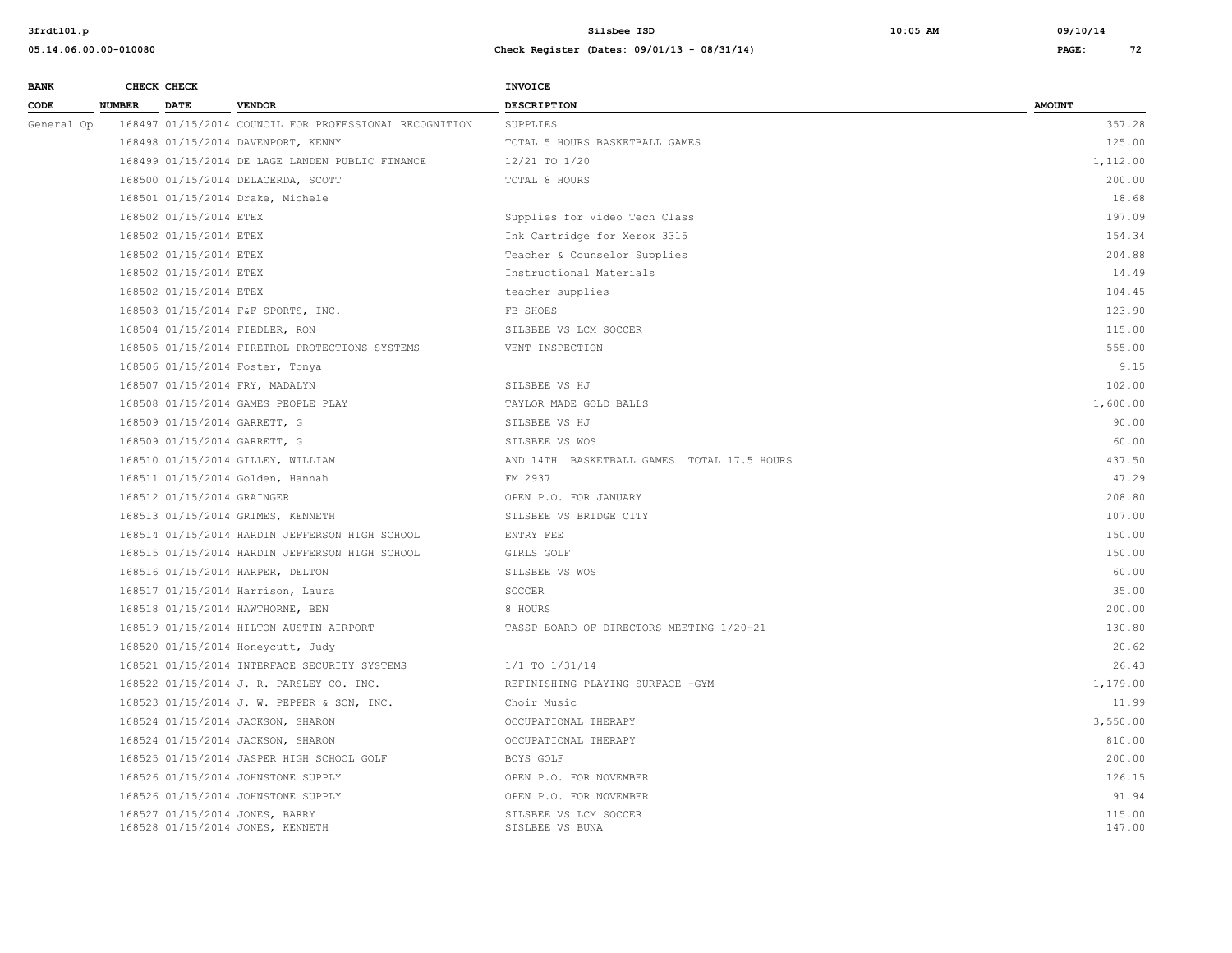| <b>BANK</b> |               | CHECK CHECK                |                                                                    | INVOICE                                    |                  |
|-------------|---------------|----------------------------|--------------------------------------------------------------------|--------------------------------------------|------------------|
| CODE        | <b>NUMBER</b> | <b>DATE</b>                | <b>VENDOR</b>                                                      | <b>DESCRIPTION</b>                         | <b>AMOUNT</b>    |
| General Op  |               |                            | 168497 01/15/2014 COUNCIL FOR PROFESSIONAL RECOGNITION             | <b>SUPPLIES</b>                            | 357.28           |
|             |               |                            | 168498 01/15/2014 DAVENPORT, KENNY                                 | TOTAL 5 HOURS BASKETBALL GAMES             | 125.00           |
|             |               |                            | 168499 01/15/2014 DE LAGE LANDEN PUBLIC FINANCE                    | 12/21 TO 1/20                              | 1,112.00         |
|             |               |                            | 168500 01/15/2014 DELACERDA, SCOTT                                 | TOTAL 8 HOURS                              | 200.00           |
|             |               |                            | 168501 01/15/2014 Drake, Michele                                   |                                            | 18.68            |
|             |               | 168502 01/15/2014 ETEX     |                                                                    | Supplies for Video Tech Class              | 197.09           |
|             |               | 168502 01/15/2014 ETEX     |                                                                    | Ink Cartridge for Xerox 3315               | 154.34           |
|             |               | 168502 01/15/2014 ETEX     |                                                                    | Teacher & Counselor Supplies               | 204.88           |
|             |               | 168502 01/15/2014 ETEX     |                                                                    | Instructional Materials                    | 14.49            |
|             |               | 168502 01/15/2014 ETEX     |                                                                    | teacher supplies                           | 104.45           |
|             |               |                            | 168503 01/15/2014 F&F SPORTS, INC.                                 | FB SHOES                                   | 123.90           |
|             |               |                            | 168504 01/15/2014 FIEDLER, RON                                     | SILSBEE VS LCM SOCCER                      | 115.00           |
|             |               |                            | 168505 01/15/2014 FIRETROL PROTECTIONS SYSTEMS                     | VENT INSPECTION                            | 555.00           |
|             |               |                            | 168506 01/15/2014 Foster, Tonya                                    |                                            | 9.15             |
|             |               |                            | 168507 01/15/2014 FRY, MADALYN                                     | SILSBEE VS HJ                              | 102.00           |
|             |               |                            | 168508 01/15/2014 GAMES PEOPLE PLAY                                | TAYLOR MADE GOLD BALLS                     | 1,600.00         |
|             |               |                            | 168509 01/15/2014 GARRETT, G                                       | SILSBEE VS HJ                              | 90.00            |
|             |               |                            | 168509 01/15/2014 GARRETT, G                                       | SILSBEE VS WOS                             | 60.00            |
|             |               |                            | 168510 01/15/2014 GILLEY, WILLIAM                                  | AND 14TH BASKETBALL GAMES TOTAL 17.5 HOURS | 437.50           |
|             |               |                            | 168511 01/15/2014 Golden, Hannah                                   | FM 2937                                    | 47.29            |
|             |               | 168512 01/15/2014 GRAINGER |                                                                    | OPEN P.O. FOR JANUARY                      | 208.80           |
|             |               |                            | 168513 01/15/2014 GRIMES, KENNETH                                  | SILSBEE VS BRIDGE CITY                     | 107.00           |
|             |               |                            | 168514 01/15/2014 HARDIN JEFFERSON HIGH SCHOOL                     | ENTRY FEE                                  | 150.00           |
|             |               |                            | 168515 01/15/2014 HARDIN JEFFERSON HIGH SCHOOL                     | GIRLS GOLF                                 | 150.00           |
|             |               |                            | 168516 01/15/2014 HARPER, DELTON                                   | SILSBEE VS WOS                             | 60.00            |
|             |               |                            | 168517 01/15/2014 Harrison, Laura                                  | SOCCER                                     | 35.00            |
|             |               |                            | 168518 01/15/2014 HAWTHORNE, BEN                                   | 8 HOURS                                    | 200.00           |
|             |               |                            | 168519 01/15/2014 HILTON AUSTIN AIRPORT                            | TASSP BOARD OF DIRECTORS MEETING 1/20-21   | 130.80           |
|             |               |                            | 168520 01/15/2014 Honeycutt, Judy                                  |                                            | 20.62            |
|             |               |                            | 168521 01/15/2014 INTERFACE SECURITY SYSTEMS                       | $1/1$ TO $1/31/14$                         | 26.43            |
|             |               |                            | 168522 01/15/2014 J. R. PARSLEY CO. INC.                           | REFINISHING PLAYING SURFACE -GYM           | 1,179.00         |
|             |               |                            | 168523 01/15/2014 J. W. PEPPER & SON, INC.                         | Choir Music                                | 11.99            |
|             |               |                            | 168524 01/15/2014 JACKSON, SHARON                                  | OCCUPATIONAL THERAPY                       | 3,550.00         |
|             |               |                            | 168524 01/15/2014 JACKSON, SHARON                                  | OCCUPATIONAL THERAPY                       | 810.00           |
|             |               |                            | 168525 01/15/2014 JASPER HIGH SCHOOL GOLF                          | BOYS GOLF                                  | 200.00           |
|             |               |                            | 168526 01/15/2014 JOHNSTONE SUPPLY                                 | OPEN P.O. FOR NOVEMBER                     | 126.15           |
|             |               |                            | 168526 01/15/2014 JOHNSTONE SUPPLY                                 | OPEN P.O. FOR NOVEMBER                     | 91.94            |
|             |               |                            | 168527 01/15/2014 JONES, BARRY<br>168528 01/15/2014 JONES, KENNETH | SILSBEE VS LCM SOCCER<br>SISLBEE VS BUNA   | 115.00<br>147.00 |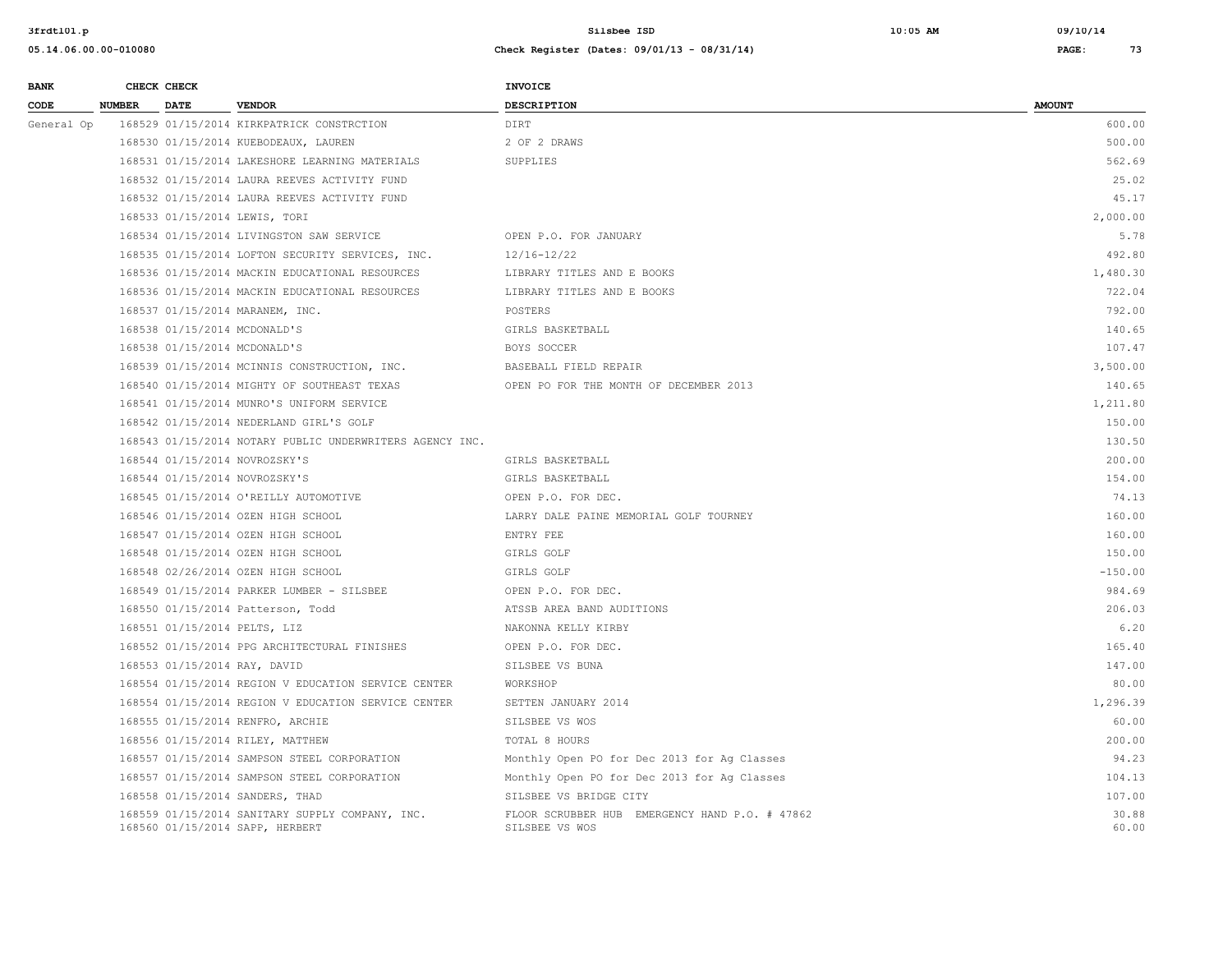| <b>BANK</b> |               | CHECK CHECK |                                                                                    | <b>INVOICE</b>                                                   |                |
|-------------|---------------|-------------|------------------------------------------------------------------------------------|------------------------------------------------------------------|----------------|
| CODE        | <b>NUMBER</b> | <b>DATE</b> | <b>VENDOR</b>                                                                      | <b>DESCRIPTION</b>                                               | <b>AMOUNT</b>  |
| General Op  |               |             | 168529 01/15/2014 KIRKPATRICK CONSTRCTION                                          | <b>DIRT</b>                                                      | 600.00         |
|             |               |             | 168530 01/15/2014 KUEBODEAUX, LAUREN                                               | 2 OF 2 DRAWS                                                     | 500.00         |
|             |               |             | 168531 01/15/2014 LAKESHORE LEARNING MATERIALS                                     | SUPPLIES                                                         | 562.69         |
|             |               |             | 168532 01/15/2014 LAURA REEVES ACTIVITY FUND                                       |                                                                  | 25.02          |
|             |               |             | 168532 01/15/2014 LAURA REEVES ACTIVITY FUND                                       |                                                                  | 45.17          |
|             |               |             | 168533 01/15/2014 LEWIS, TORI                                                      |                                                                  | 2,000.00       |
|             |               |             | 168534 01/15/2014 LIVINGSTON SAW SERVICE                                           | OPEN P.O. FOR JANUARY                                            | 5.78           |
|             |               |             | 168535 01/15/2014 LOFTON SECURITY SERVICES, INC.                                   | $12/16 - 12/22$                                                  | 492.80         |
|             |               |             | 168536 01/15/2014 MACKIN EDUCATIONAL RESOURCES                                     | LIBRARY TITLES AND E BOOKS                                       | 1,480.30       |
|             |               |             | 168536 01/15/2014 MACKIN EDUCATIONAL RESOURCES                                     | LIBRARY TITLES AND E BOOKS                                       | 722.04         |
|             |               |             | 168537 01/15/2014 MARANEM, INC.                                                    | POSTERS                                                          | 792.00         |
|             |               |             | 168538 01/15/2014 MCDONALD'S                                                       | GIRLS BASKETBALL                                                 | 140.65         |
|             |               |             | 168538 01/15/2014 MCDONALD'S                                                       | BOYS SOCCER                                                      | 107.47         |
|             |               |             | 168539 01/15/2014 MCINNIS CONSTRUCTION, INC.                                       | BASEBALL FIELD REPAIR                                            | 3,500.00       |
|             |               |             | 168540 01/15/2014 MIGHTY OF SOUTHEAST TEXAS                                        | OPEN PO FOR THE MONTH OF DECEMBER 2013                           | 140.65         |
|             |               |             | 168541 01/15/2014 MUNRO'S UNIFORM SERVICE                                          |                                                                  | 1,211.80       |
|             |               |             | 168542 01/15/2014 NEDERLAND GIRL'S GOLF                                            |                                                                  | 150.00         |
|             |               |             | 168543 01/15/2014 NOTARY PUBLIC UNDERWRITERS AGENCY INC.                           |                                                                  | 130.50         |
|             |               |             | 168544 01/15/2014 NOVROZSKY'S                                                      | GIRLS BASKETBALL                                                 | 200.00         |
|             |               |             | 168544 01/15/2014 NOVROZSKY'S                                                      | GIRLS BASKETBALL                                                 | 154.00         |
|             |               |             | 168545 01/15/2014 O'REILLY AUTOMOTIVE                                              | OPEN P.O. FOR DEC.                                               | 74.13          |
|             |               |             | 168546 01/15/2014 OZEN HIGH SCHOOL                                                 | LARRY DALE PAINE MEMORIAL GOLF TOURNEY                           | 160.00         |
|             |               |             | 168547 01/15/2014 OZEN HIGH SCHOOL                                                 | ENTRY FEE                                                        | 160.00         |
|             |               |             | 168548 01/15/2014 OZEN HIGH SCHOOL                                                 | GIRLS GOLF                                                       | 150.00         |
|             |               |             | 168548 02/26/2014 OZEN HIGH SCHOOL                                                 | GIRLS GOLF                                                       | $-150.00$      |
|             |               |             | 168549 01/15/2014 PARKER LUMBER - SILSBEE                                          | OPEN P.O. FOR DEC.                                               | 984.69         |
|             |               |             | 168550 01/15/2014 Patterson, Todd                                                  | ATSSB AREA BAND AUDITIONS                                        | 206.03         |
|             |               |             | 168551 01/15/2014 PELTS, LIZ                                                       | NAKONNA KELLY KIRBY                                              | 6.20           |
|             |               |             | 168552 01/15/2014 PPG ARCHITECTURAL FINISHES                                       | OPEN P.O. FOR DEC.                                               | 165.40         |
|             |               |             | 168553 01/15/2014 RAY, DAVID                                                       | SILSBEE VS BUNA                                                  | 147.00         |
|             |               |             | 168554 01/15/2014 REGION V EDUCATION SERVICE CENTER                                | WORKSHOP                                                         | 80.00          |
|             |               |             | 168554 01/15/2014 REGION V EDUCATION SERVICE CENTER                                | SETTEN JANUARY 2014                                              | 1,296.39       |
|             |               |             | 168555 01/15/2014 RENFRO, ARCHIE                                                   | SILSBEE VS WOS                                                   | 60.00          |
|             |               |             | 168556 01/15/2014 RILEY, MATTHEW                                                   | TOTAL 8 HOURS                                                    | 200.00         |
|             |               |             | 168557 01/15/2014 SAMPSON STEEL CORPORATION                                        | Monthly Open PO for Dec 2013 for Aq Classes                      | 94.23          |
|             |               |             | 168557 01/15/2014 SAMPSON STEEL CORPORATION                                        | Monthly Open PO for Dec 2013 for Ag Classes                      | 104.13         |
|             |               |             | 168558 01/15/2014 SANDERS, THAD                                                    | SILSBEE VS BRIDGE CITY                                           | 107.00         |
|             |               |             | 168559 01/15/2014 SANITARY SUPPLY COMPANY, INC.<br>168560 01/15/2014 SAPP, HERBERT | FLOOR SCRUBBER HUB EMERGENCY HAND P.O. # 47862<br>SILSBEE VS WOS | 30.88<br>60.00 |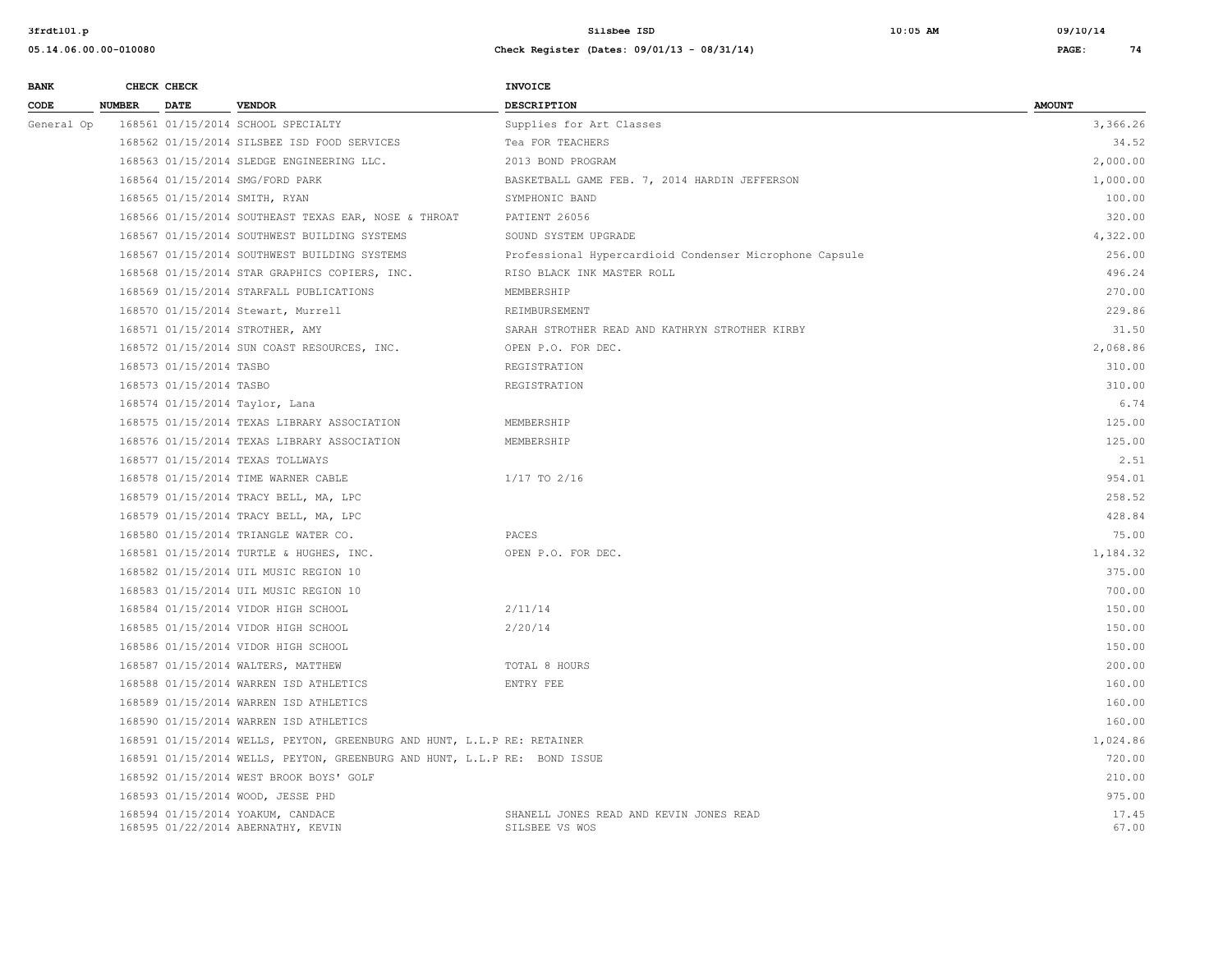| <b>BANK</b> |               | CHECK CHECK             |                                                                           | <b>INVOICE</b>                                            |                |
|-------------|---------------|-------------------------|---------------------------------------------------------------------------|-----------------------------------------------------------|----------------|
| CODE        | <b>NUMBER</b> | <b>DATE</b>             | <b>VENDOR</b>                                                             | <b>DESCRIPTION</b>                                        | <b>AMOUNT</b>  |
| General Op  |               |                         | 168561 01/15/2014 SCHOOL SPECIALTY                                        | Supplies for Art Classes                                  | 3,366.26       |
|             |               |                         | 168562 01/15/2014 SILSBEE ISD FOOD SERVICES                               | Tea FOR TEACHERS                                          | 34.52          |
|             |               |                         | 168563 01/15/2014 SLEDGE ENGINEERING LLC.                                 | 2013 BOND PROGRAM                                         | 2,000.00       |
|             |               |                         | 168564 01/15/2014 SMG/FORD PARK                                           | BASKETBALL GAME FEB. 7, 2014 HARDIN JEFFERSON             | 1,000.00       |
|             |               |                         | 168565 01/15/2014 SMITH, RYAN                                             | SYMPHONIC BAND                                            | 100.00         |
|             |               |                         | 168566 01/15/2014 SOUTHEAST TEXAS EAR, NOSE & THROAT                      | PATIENT 26056                                             | 320.00         |
|             |               |                         | 168567 01/15/2014 SOUTHWEST BUILDING SYSTEMS                              | SOUND SYSTEM UPGRADE                                      | 4,322.00       |
|             |               |                         | 168567 01/15/2014 SOUTHWEST BUILDING SYSTEMS                              | Professional Hypercardioid Condenser Microphone Capsule   | 256.00         |
|             |               |                         | 168568 01/15/2014 STAR GRAPHICS COPIERS, INC.                             | RISO BLACK INK MASTER ROLL                                | 496.24         |
|             |               |                         | 168569 01/15/2014 STARFALL PUBLICATIONS                                   | MEMBERSHIP                                                | 270.00         |
|             |               |                         | 168570 01/15/2014 Stewart, Murrell                                        | REIMBURSEMENT                                             | 229.86         |
|             |               |                         | 168571 01/15/2014 STROTHER, AMY                                           | SARAH STROTHER READ AND KATHRYN STROTHER KIRBY            | 31.50          |
|             |               |                         | 168572 01/15/2014 SUN COAST RESOURCES, INC.                               | OPEN P.O. FOR DEC.                                        | 2,068.86       |
|             |               | 168573 01/15/2014 TASBO |                                                                           | REGISTRATION                                              | 310.00         |
|             |               | 168573 01/15/2014 TASBO |                                                                           | REGISTRATION                                              | 310.00         |
|             |               |                         | 168574 01/15/2014 Taylor, Lana                                            |                                                           | 6.74           |
|             |               |                         | 168575 01/15/2014 TEXAS LIBRARY ASSOCIATION                               | MEMBERSHIP                                                | 125.00         |
|             |               |                         | 168576 01/15/2014 TEXAS LIBRARY ASSOCIATION                               | MEMBERSHIP                                                | 125.00         |
|             |               |                         | 168577 01/15/2014 TEXAS TOLLWAYS                                          |                                                           | 2.51           |
|             |               |                         | 168578 01/15/2014 TIME WARNER CABLE                                       | $1/17$ TO $2/16$                                          | 954.01         |
|             |               |                         | 168579 01/15/2014 TRACY BELL, MA, LPC                                     |                                                           | 258.52         |
|             |               |                         | 168579 01/15/2014 TRACY BELL, MA, LPC                                     |                                                           | 428.84         |
|             |               |                         | 168580 01/15/2014 TRIANGLE WATER CO.                                      | PACES                                                     | 75.00          |
|             |               |                         | 168581 01/15/2014 TURTLE & HUGHES, INC.                                   | OPEN P.O. FOR DEC.                                        | 1,184.32       |
|             |               |                         | 168582 01/15/2014 UIL MUSIC REGION 10                                     |                                                           | 375.00         |
|             |               |                         | 168583 01/15/2014 UIL MUSIC REGION 10                                     |                                                           | 700.00         |
|             |               |                         | 168584 01/15/2014 VIDOR HIGH SCHOOL                                       | 2/11/14                                                   | 150.00         |
|             |               |                         | 168585 01/15/2014 VIDOR HIGH SCHOOL                                       | 2/20/14                                                   | 150.00         |
|             |               |                         | 168586 01/15/2014 VIDOR HIGH SCHOOL                                       |                                                           | 150.00         |
|             |               |                         | 168587 01/15/2014 WALTERS, MATTHEW                                        | TOTAL 8 HOURS                                             | 200.00         |
|             |               |                         | 168588 01/15/2014 WARREN ISD ATHLETICS                                    | ENTRY FEE                                                 | 160.00         |
|             |               |                         | 168589 01/15/2014 WARREN ISD ATHLETICS                                    |                                                           | 160.00         |
|             |               |                         | 168590 01/15/2014 WARREN ISD ATHLETICS                                    |                                                           | 160.00         |
|             |               |                         | 168591 01/15/2014 WELLS, PEYTON, GREENBURG AND HUNT, L.L.P RE: RETAINER   |                                                           | 1,024.86       |
|             |               |                         | 168591 01/15/2014 WELLS, PEYTON, GREENBURG AND HUNT, L.L.P RE: BOND ISSUE |                                                           | 720.00         |
|             |               |                         | 168592 01/15/2014 WEST BROOK BOYS' GOLF                                   |                                                           | 210.00         |
|             |               |                         | 168593 01/15/2014 WOOD, JESSE PHD                                         |                                                           | 975.00         |
|             |               |                         | 168594 01/15/2014 YOAKUM, CANDACE<br>168595 01/22/2014 ABERNATHY, KEVIN   | SHANELL JONES READ AND KEVIN JONES READ<br>SILSBEE VS WOS | 17.45<br>67.00 |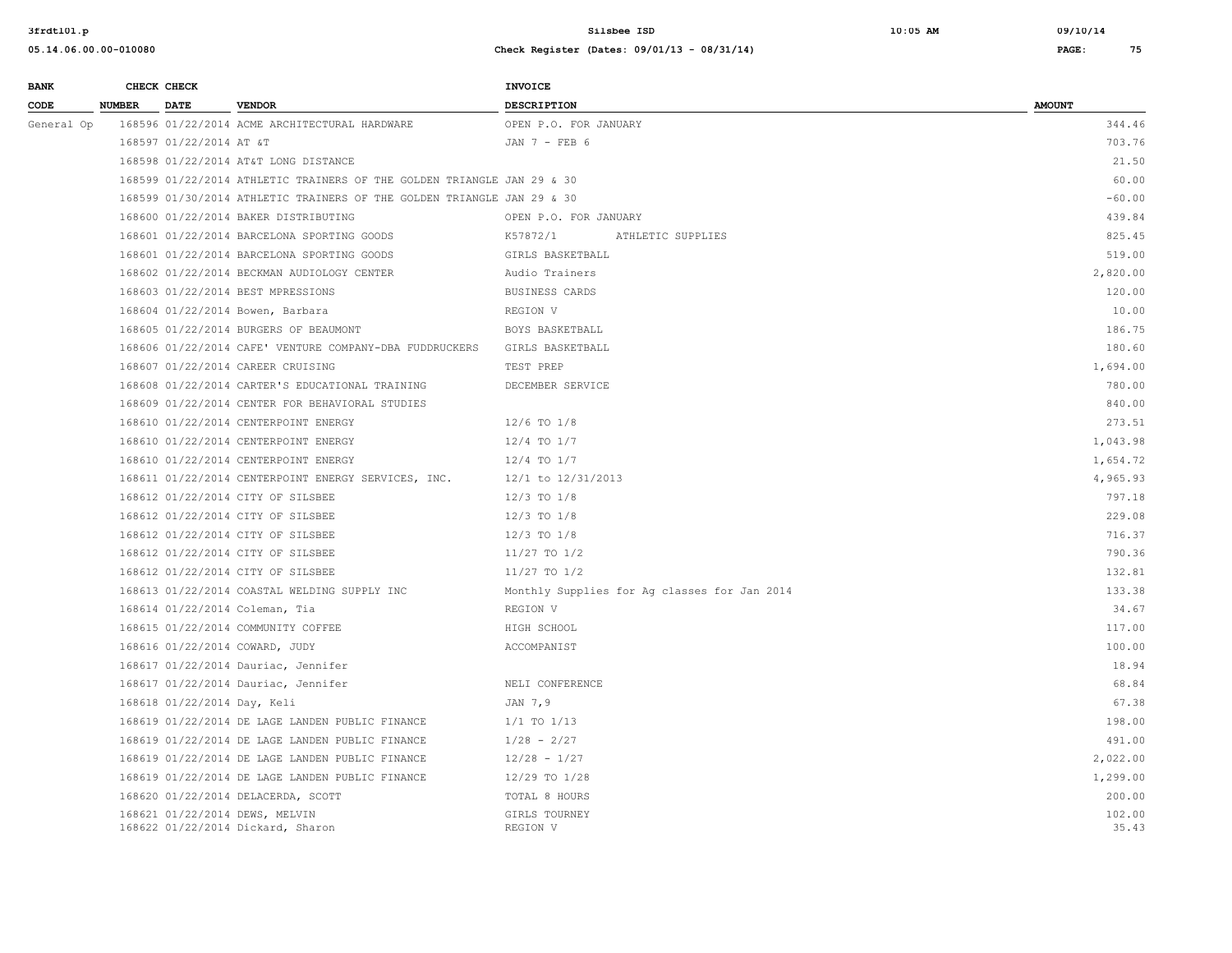| <b>BANK</b> |               | CHECK CHECK                 |                                                                        | <b>INVOICE</b>                               |                 |
|-------------|---------------|-----------------------------|------------------------------------------------------------------------|----------------------------------------------|-----------------|
| CODE        | <b>NUMBER</b> | <b>DATE</b>                 | <b>VENDOR</b>                                                          | <b>DESCRIPTION</b>                           | <b>AMOUNT</b>   |
| General Op  |               |                             | 168596 01/22/2014 ACME ARCHITECTURAL HARDWARE                          | OPEN P.O. FOR JANUARY                        | 344.46          |
|             |               | 168597 01/22/2014 AT &T     |                                                                        | JAN 7 - FEB 6                                | 703.76          |
|             |               |                             | 168598 01/22/2014 AT&T LONG DISTANCE                                   |                                              | 21.50           |
|             |               |                             | 168599 01/22/2014 ATHLETIC TRAINERS OF THE GOLDEN TRIANGLE JAN 29 & 30 |                                              | 60.00           |
|             |               |                             | 168599 01/30/2014 ATHLETIC TRAINERS OF THE GOLDEN TRIANGLE JAN 29 & 30 |                                              | $-60.00$        |
|             |               |                             | 168600 01/22/2014 BAKER DISTRIBUTING                                   | OPEN P.O. FOR JANUARY                        | 439.84          |
|             |               |                             | 168601 01/22/2014 BARCELONA SPORTING GOODS                             | K57872/1<br>ATHLETIC SUPPLIES                | 825.45          |
|             |               |                             | 168601 01/22/2014 BARCELONA SPORTING GOODS                             | GIRLS BASKETBALL                             | 519.00          |
|             |               |                             | 168602 01/22/2014 BECKMAN AUDIOLOGY CENTER                             | Audio Trainers                               | 2,820.00        |
|             |               |                             | 168603 01/22/2014 BEST MPRESSIONS                                      | BUSINESS CARDS                               | 120.00          |
|             |               |                             | 168604 01/22/2014 Bowen, Barbara                                       | REGION V                                     | 10.00           |
|             |               |                             | 168605 01/22/2014 BURGERS OF BEAUMONT                                  | BOYS BASKETBALL                              | 186.75          |
|             |               |                             | 168606 01/22/2014 CAFE' VENTURE COMPANY-DBA FUDDRUCKERS                | GIRLS BASKETBALL                             | 180.60          |
|             |               |                             | 168607 01/22/2014 CAREER CRUISING                                      | TEST PREP                                    | 1,694.00        |
|             |               |                             | 168608 01/22/2014 CARTER'S EDUCATIONAL TRAINING                        | DECEMBER SERVICE                             | 780.00          |
|             |               |                             | 168609 01/22/2014 CENTER FOR BEHAVIORAL STUDIES                        |                                              | 840.00          |
|             |               |                             | 168610 01/22/2014 CENTERPOINT ENERGY                                   | $12/6$ TO $1/8$                              | 273.51          |
|             |               |                             | 168610 01/22/2014 CENTERPOINT ENERGY                                   | $12/4$ TO $1/7$                              | 1,043.98        |
|             |               |                             | 168610 01/22/2014 CENTERPOINT ENERGY                                   | $12/4$ TO $1/7$                              | 1,654.72        |
|             |               |                             | 168611 01/22/2014 CENTERPOINT ENERGY SERVICES, INC.                    | 12/1 to 12/31/2013                           | 4,965.93        |
|             |               |                             | 168612 01/22/2014 CITY OF SILSBEE                                      | $12/3$ TO $1/8$                              | 797.18          |
|             |               |                             | 168612 01/22/2014 CITY OF SILSBEE                                      | $12/3$ TO $1/8$                              | 229.08          |
|             |               |                             | 168612 01/22/2014 CITY OF SILSBEE                                      | $12/3$ TO $1/8$                              | 716.37          |
|             |               |                             | 168612 01/22/2014 CITY OF SILSBEE                                      | $11/27$ TO $1/2$                             | 790.36          |
|             |               |                             | 168612 01/22/2014 CITY OF SILSBEE                                      | $11/27$ TO $1/2$                             | 132.81          |
|             |               |                             | 168613 01/22/2014 COASTAL WELDING SUPPLY INC                           | Monthly Supplies for Ag classes for Jan 2014 | 133.38          |
|             |               |                             | 168614 01/22/2014 Coleman, Tia                                         | REGION V                                     | 34.67           |
|             |               |                             | 168615 01/22/2014 COMMUNITY COFFEE                                     | HIGH SCHOOL                                  | 117.00          |
|             |               |                             | 168616 01/22/2014 COWARD, JUDY                                         | ACCOMPANIST                                  | 100.00          |
|             |               |                             | 168617 01/22/2014 Dauriac, Jennifer                                    |                                              | 18.94           |
|             |               |                             | 168617 01/22/2014 Dauriac, Jennifer                                    | NELI CONFERENCE                              | 68.84           |
|             |               | 168618 01/22/2014 Day, Keli |                                                                        | JAN 7,9                                      | 67.38           |
|             |               |                             | 168619 01/22/2014 DE LAGE LANDEN PUBLIC FINANCE                        | $1/1$ TO $1/13$                              | 198.00          |
|             |               |                             | 168619 01/22/2014 DE LAGE LANDEN PUBLIC FINANCE                        | $1/28 - 2/27$                                | 491.00          |
|             |               |                             | 168619 01/22/2014 DE LAGE LANDEN PUBLIC FINANCE                        | $12/28 - 1/27$                               | 2,022.00        |
|             |               |                             | 168619 01/22/2014 DE LAGE LANDEN PUBLIC FINANCE                        | 12/29 TO 1/28                                | 1,299.00        |
|             |               |                             | 168620 01/22/2014 DELACERDA, SCOTT                                     | TOTAL 8 HOURS                                | 200.00          |
|             |               |                             | 168621 01/22/2014 DEWS, MELVIN<br>168622 01/22/2014 Dickard, Sharon    | GIRLS TOURNEY<br>REGION V                    | 102.00<br>35.43 |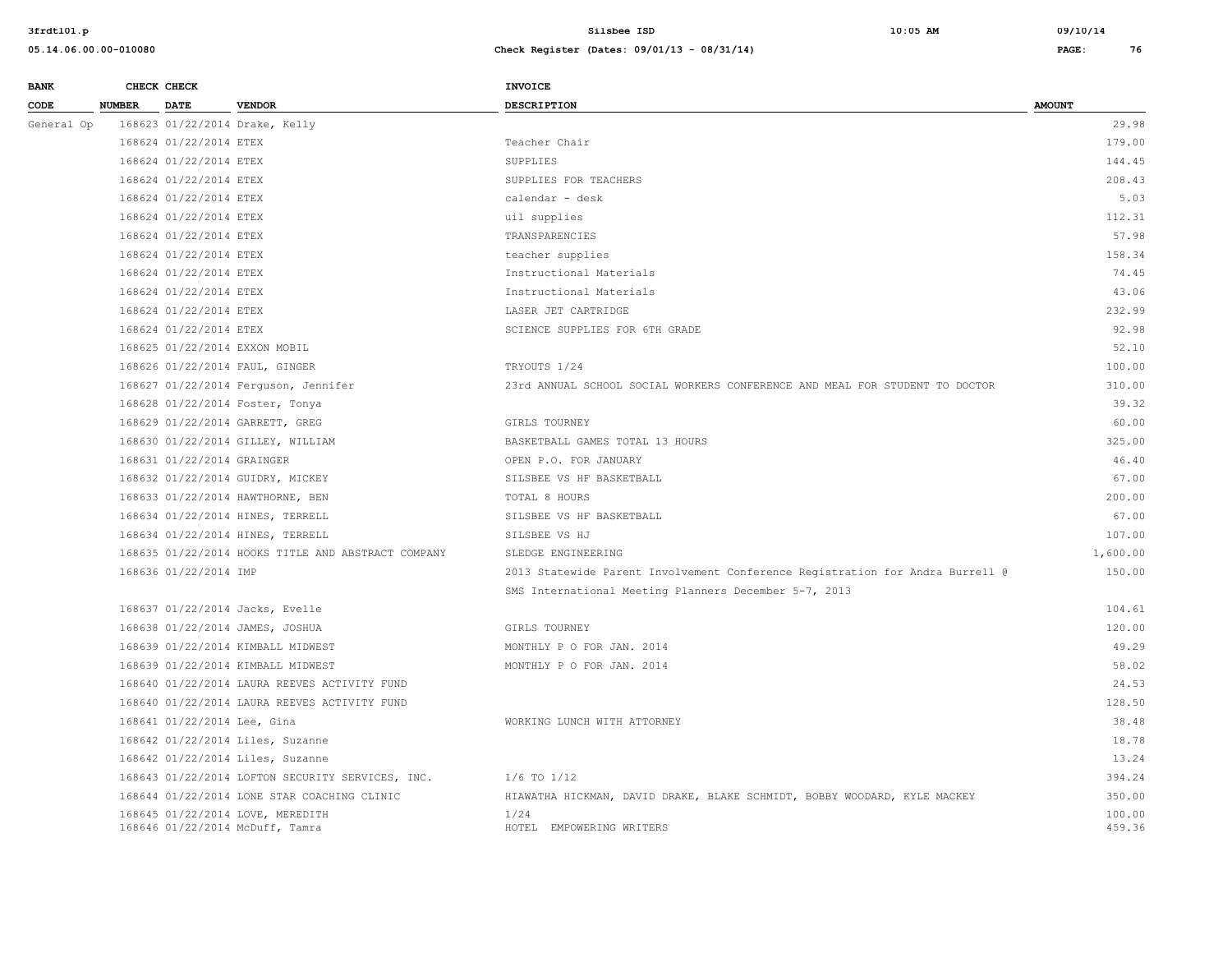| <b>BANK</b> |               | CHECK CHECK                 |                                                                     | <b>INVOICE</b>                                                                |                  |
|-------------|---------------|-----------------------------|---------------------------------------------------------------------|-------------------------------------------------------------------------------|------------------|
| CODE        | <b>NUMBER</b> | <b>DATE</b>                 | <b>VENDOR</b>                                                       | <b>DESCRIPTION</b>                                                            | <b>AMOUNT</b>    |
| General Op  |               |                             | 168623 01/22/2014 Drake, Kelly                                      |                                                                               | 29.98            |
|             |               | 168624 01/22/2014 ETEX      |                                                                     | Teacher Chair                                                                 | 179.00           |
|             |               | 168624 01/22/2014 ETEX      |                                                                     | SUPPLIES                                                                      | 144.45           |
|             |               | 168624 01/22/2014 ETEX      |                                                                     | SUPPLIES FOR TEACHERS                                                         | 208.43           |
|             |               | 168624 01/22/2014 ETEX      |                                                                     | calendar - desk                                                               | 5.03             |
|             |               | 168624 01/22/2014 ETEX      |                                                                     | uil supplies                                                                  | 112.31           |
|             |               | 168624 01/22/2014 ETEX      |                                                                     | TRANSPARENCIES                                                                | 57.98            |
|             |               | 168624 01/22/2014 ETEX      |                                                                     | teacher supplies                                                              | 158.34           |
|             |               | 168624 01/22/2014 ETEX      |                                                                     | Instructional Materials                                                       | 74.45            |
|             |               | 168624 01/22/2014 ETEX      |                                                                     | Instructional Materials                                                       | 43.06            |
|             |               | 168624 01/22/2014 ETEX      |                                                                     | LASER JET CARTRIDGE                                                           | 232.99           |
|             |               | 168624 01/22/2014 ETEX      |                                                                     | SCIENCE SUPPLIES FOR 6TH GRADE                                                | 92.98            |
|             |               |                             | 168625 01/22/2014 EXXON MOBIL                                       |                                                                               | 52.10            |
|             |               |                             | 168626 01/22/2014 FAUL, GINGER                                      | TRYOUTS 1/24                                                                  | 100.00           |
|             |               |                             | 168627 01/22/2014 Ferguson, Jennifer                                | 23rd ANNUAL SCHOOL SOCIAL WORKERS CONFERENCE AND MEAL FOR STUDENT TO DOCTOR   | 310.00           |
|             |               |                             | 168628 01/22/2014 Foster, Tonya                                     |                                                                               | 39.32            |
|             |               |                             | 168629 01/22/2014 GARRETT, GREG                                     | GIRLS TOURNEY                                                                 | 60.00            |
|             |               |                             | 168630 01/22/2014 GILLEY, WILLIAM                                   | BASKETBALL GAMES TOTAL 13 HOURS                                               | 325.00           |
|             |               | 168631 01/22/2014 GRAINGER  |                                                                     | OPEN P.O. FOR JANUARY                                                         | 46.40            |
|             |               |                             | 168632 01/22/2014 GUIDRY, MICKEY                                    | SILSBEE VS HF BASKETBALL                                                      | 67.00            |
|             |               |                             | 168633 01/22/2014 HAWTHORNE, BEN                                    | TOTAL 8 HOURS                                                                 | 200.00           |
|             |               |                             | 168634 01/22/2014 HINES, TERRELL                                    | SILSBEE VS HF BASKETBALL                                                      | 67.00            |
|             |               |                             | 168634 01/22/2014 HINES, TERRELL                                    | SILSBEE VS HJ                                                                 | 107.00           |
|             |               |                             | 168635 01/22/2014 HOOKS TITLE AND ABSTRACT COMPANY                  | SLEDGE ENGINEERING                                                            | 1,600.00         |
|             |               | 168636 01/22/2014 IMP       |                                                                     | 2013 Statewide Parent Involvement Conference Registration for Andra Burrell @ | 150.00           |
|             |               |                             |                                                                     | SMS International Meeting Planners December 5-7, 2013                         |                  |
|             |               |                             | 168637 01/22/2014 Jacks, Evelle                                     |                                                                               | 104.61           |
|             |               |                             | 168638 01/22/2014 JAMES, JOSHUA                                     | GIRLS TOURNEY                                                                 | 120.00           |
|             |               |                             | 168639 01/22/2014 KIMBALL MIDWEST                                   | MONTHLY P O FOR JAN. 2014                                                     | 49.29            |
|             |               |                             | 168639 01/22/2014 KIMBALL MIDWEST                                   | MONTHLY P O FOR JAN. 2014                                                     | 58.02            |
|             |               |                             | 168640 01/22/2014 LAURA REEVES ACTIVITY FUND                        |                                                                               | 24.53            |
|             |               |                             | 168640 01/22/2014 LAURA REEVES ACTIVITY FUND                        |                                                                               | 128.50           |
|             |               | 168641 01/22/2014 Lee, Gina |                                                                     | WORKING LUNCH WITH ATTORNEY                                                   | 38.48            |
|             |               |                             | 168642 01/22/2014 Liles, Suzanne                                    |                                                                               | 18.78            |
|             |               |                             | 168642 01/22/2014 Liles, Suzanne                                    |                                                                               | 13.24            |
|             |               |                             | 168643 01/22/2014 LOFTON SECURITY SERVICES, INC.                    | $1/6$ TO $1/12$                                                               | 394.24           |
|             |               |                             | 168644 01/22/2014 LONE STAR COACHING CLINIC                         | HIAWATHA HICKMAN, DAVID DRAKE, BLAKE SCHMIDT, BOBBY WOODARD, KYLE MACKEY      | 350.00           |
|             |               |                             | 168645 01/22/2014 LOVE, MEREDITH<br>168646 01/22/2014 McDuff, Tamra | 1/24<br>HOTEL EMPOWERING WRITERS                                              | 100.00<br>459.36 |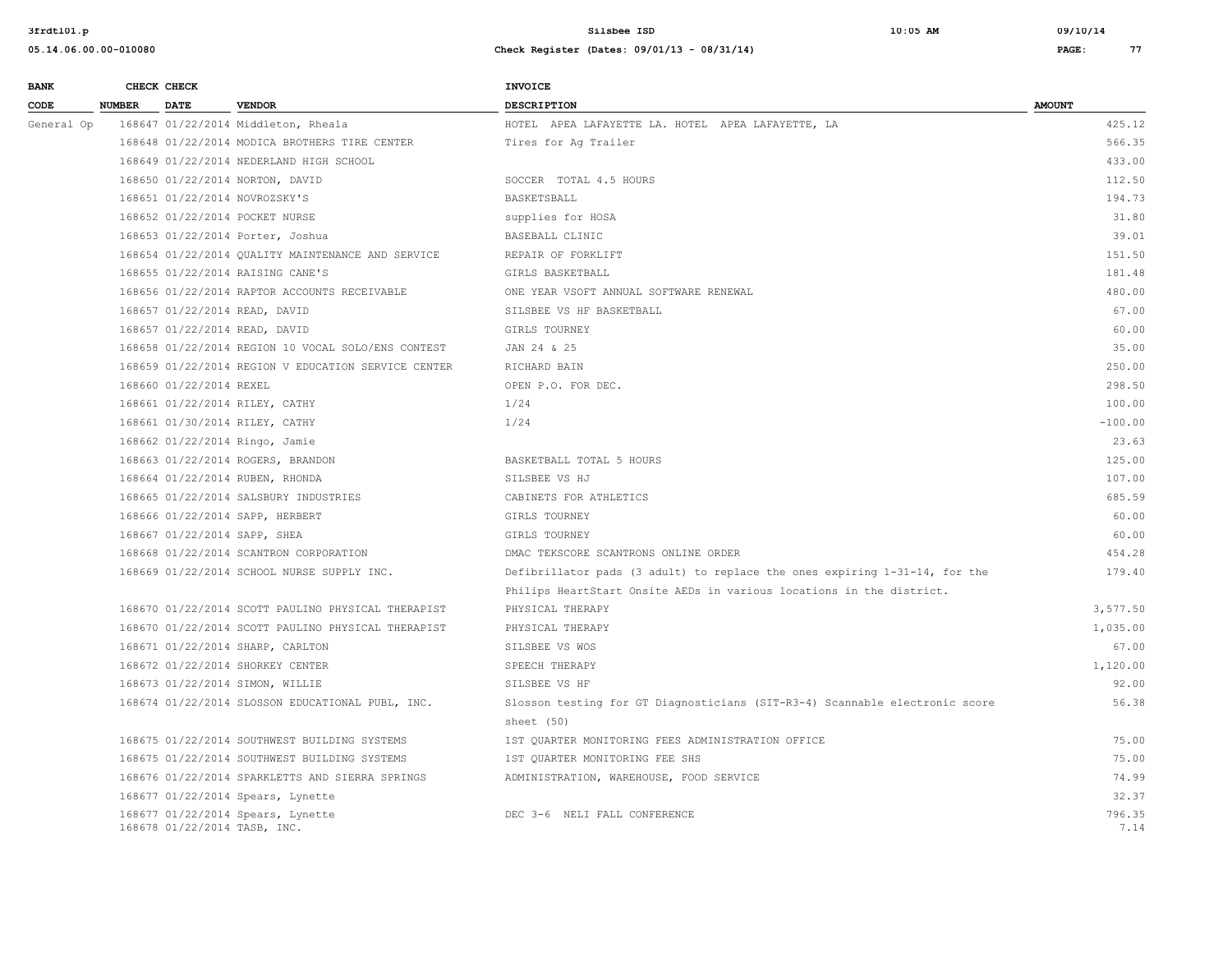| <b>BANK</b> |               | CHECK CHECK |                                               | <b>INVOICE</b>                                    |               |
|-------------|---------------|-------------|-----------------------------------------------|---------------------------------------------------|---------------|
| CODE        | <b>NUMBER</b> | <b>DATE</b> | <b>VENDOR</b>                                 | <b>DESCRIPTION</b>                                | <b>AMOUNT</b> |
| General Op  |               |             | 168647 01/22/2014 Middleton, Rheala           | HOTEL APEA LAFAYETTE LA. HOTEL APEA LAFAYETTE, LA | 425.12        |
|             |               |             | 168648 01/22/2014 MODICA BROTHERS TIRE CENTER | Tires for Ag Trailer                              | 566.35        |

| 168648 01/22/2014 MODICA BROTHERS TIRE CENTER       | Tires for Aq Trailer                                                        | 566.35    |
|-----------------------------------------------------|-----------------------------------------------------------------------------|-----------|
| 168649 01/22/2014 NEDERLAND HIGH SCHOOL             |                                                                             | 433.00    |
| 168650 01/22/2014 NORTON, DAVID                     | SOCCER TOTAL 4.5 HOURS                                                      | 112.50    |
| 168651 01/22/2014 NOVROZSKY'S                       | BASKETSBALL                                                                 | 194.73    |
| 168652 01/22/2014 POCKET NURSE                      | supplies for HOSA                                                           | 31.80     |
| 168653 01/22/2014 Porter, Joshua                    | BASEBALL CLINIC                                                             | 39.01     |
| 168654 01/22/2014 QUALITY MAINTENANCE AND SERVICE   | REPAIR OF FORKLIFT                                                          | 151.50    |
| 168655 01/22/2014 RAISING CANE'S                    | GIRLS BASKETBALL                                                            | 181.48    |
| 168656 01/22/2014 RAPTOR ACCOUNTS RECEIVABLE        | ONE YEAR VSOFT ANNUAL SOFTWARE RENEWAL                                      | 480.00    |
| 168657 01/22/2014 READ, DAVID                       | SILSBEE VS HF BASKETBALL                                                    | 67.00     |
| 168657 01/22/2014 READ, DAVID                       | GIRLS TOURNEY                                                               | 60.00     |
| 168658 01/22/2014 REGION 10 VOCAL SOLO/ENS CONTEST  | JAN 24 & 25                                                                 | 35.00     |
| 168659 01/22/2014 REGION V EDUCATION SERVICE CENTER | RICHARD BAIN                                                                | 250.00    |
| 168660 01/22/2014 REXEL                             | OPEN P.O. FOR DEC.                                                          | 298.50    |
| 168661 01/22/2014 RILEY, CATHY                      | 1/24                                                                        | 100.00    |
| 168661 01/30/2014 RILEY, CATHY                      | 1/24                                                                        | $-100.00$ |
| 168662 01/22/2014 Ringo, Jamie                      |                                                                             | 23.63     |
| 168663 01/22/2014 ROGERS, BRANDON                   | BASKETBALL TOTAL 5 HOURS                                                    | 125.00    |
| 168664 01/22/2014 RUBEN, RHONDA                     | SILSBEE VS HJ                                                               | 107.00    |
| 168665 01/22/2014 SALSBURY INDUSTRIES               | CABINETS FOR ATHLETICS                                                      | 685.59    |
| 168666 01/22/2014 SAPP, HERBERT                     | GIRLS TOURNEY                                                               | 60.00     |
| 168667 01/22/2014 SAPP, SHEA                        | GIRLS TOURNEY                                                               | 60.00     |
| 168668 01/22/2014 SCANTRON CORPORATION              | DMAC TEKSCORE SCANTRONS ONLINE ORDER                                        | 454.28    |
| 168669 01/22/2014 SCHOOL NURSE SUPPLY INC.          | Defibrillator pads (3 adult) to replace the ones expiring 1-31-14, for the  | 179.40    |
|                                                     | Philips HeartStart Onsite AEDs in various locations in the district.        |           |
| 168670 01/22/2014 SCOTT PAULINO PHYSICAL THERAPIST  | PHYSICAL THERAPY                                                            | 3,577.50  |
| 168670 01/22/2014 SCOTT PAULINO PHYSICAL THERAPIST  | PHYSICAL THERAPY                                                            | 1,035.00  |
| 168671 01/22/2014 SHARP, CARLTON                    | SILSBEE VS WOS                                                              | 67.00     |
| 168672 01/22/2014 SHORKEY CENTER                    | SPEECH THERAPY                                                              | 1,120.00  |
| 168673 01/22/2014 SIMON, WILLIE                     | SILSBEE VS HF                                                               | 92.00     |
| 168674 01/22/2014 SLOSSON EDUCATIONAL PUBL, INC.    | Slosson testing for GT Diagnosticians (SIT-R3-4) Scannable electronic score | 56.38     |
|                                                     | sheet (50)                                                                  |           |
| 168675 01/22/2014 SOUTHWEST BUILDING SYSTEMS        | 1ST QUARTER MONITORING FEES ADMINISTRATION OFFICE                           | 75.00     |
| 168675 01/22/2014 SOUTHWEST BUILDING SYSTEMS        | 1ST QUARTER MONITORING FEE SHS                                              | 75.00     |
| 168676 01/22/2014 SPARKLETTS AND SIERRA SPRINGS     | ADMINISTRATION, WAREHOUSE, FOOD SERVICE                                     | 74.99     |
| 168677 01/22/2014 Spears, Lynette                   |                                                                             | 32.37     |
| 168677 01/22/2014 Spears, Lynette                   | DEC 3-6 NELI FALL CONFERENCE                                                | 796.35    |
| 168678 01/22/2014 TASB, INC.                        |                                                                             | 7.14      |
|                                                     |                                                                             |           |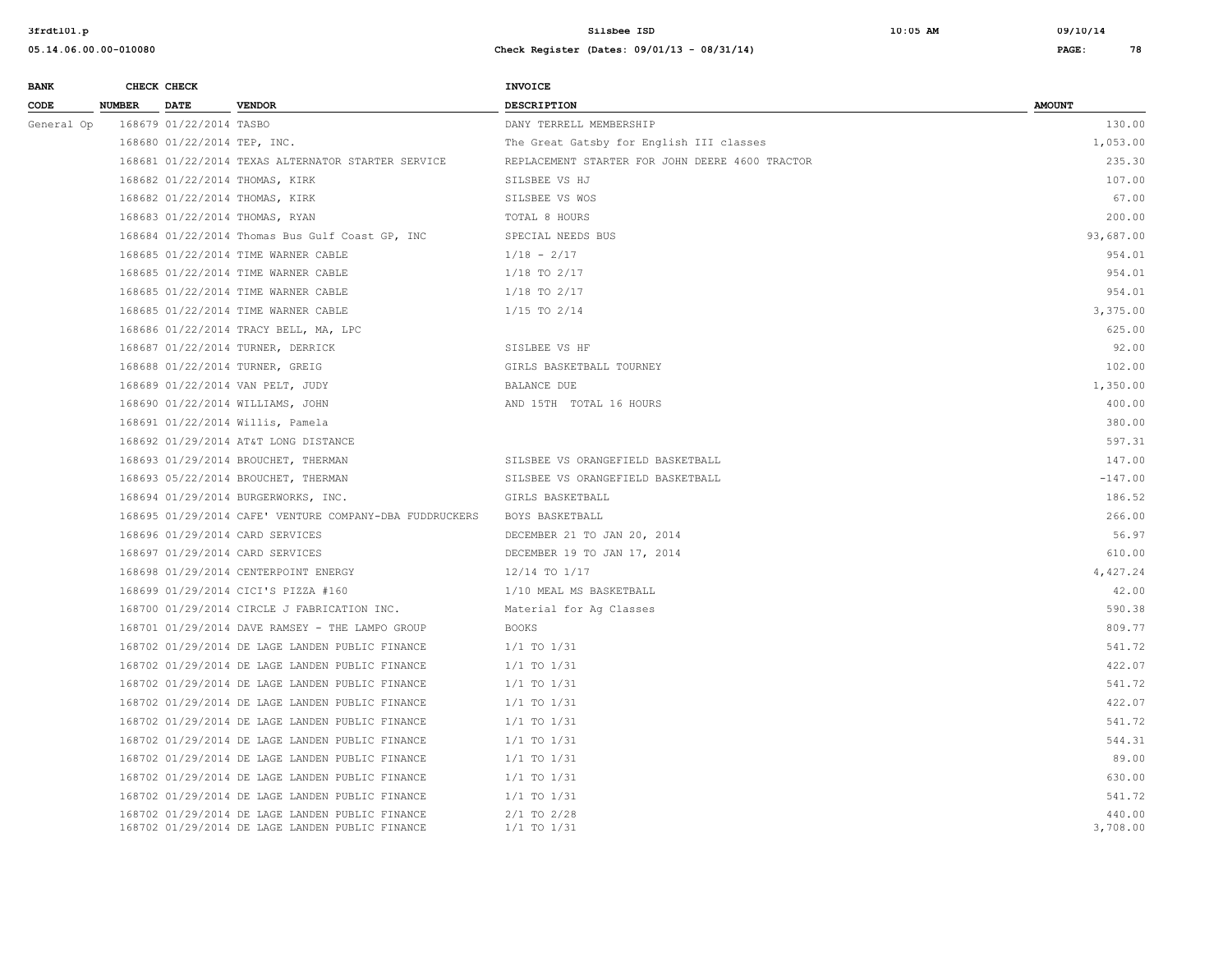| 05.14.06.00.00-010080 |               |                             | Check Register (Dates: 09/01/13 - 08/31/14)        | 78<br>PAGE:                                     |               |
|-----------------------|---------------|-----------------------------|----------------------------------------------------|-------------------------------------------------|---------------|
| <b>BANK</b>           |               | CHECK CHECK                 | <b>INVOICE</b>                                     |                                                 |               |
| CODE                  | <b>NUMBER</b> | <b>DATE</b>                 | <b>VENDOR</b>                                      | <b>DESCRIPTION</b>                              | <b>AMOUNT</b> |
| General Op            |               | 168679 01/22/2014 TASBO     |                                                    | DANY TERRELL MEMBERSHIP                         | 130.00        |
|                       |               | 168680 01/22/2014 TEP, INC. |                                                    | The Great Gatsby for English III classes        | 1,053.00      |
|                       |               |                             | 168681 01/22/2014 TEXAS ALTERNATOR STARTER SERVICE | REPLACEMENT STARTER FOR JOHN DEERE 4600 TRACTOR | 235.30        |
|                       |               |                             | 168682 01/22/2014 THOMAS, KIRK                     | SILSBEE VS HJ                                   | 107.00        |
|                       |               |                             | 168682 01/22/2014 THOMAS, KIRK                     | SILSBEE VS WOS                                  | 67.00         |
|                       |               |                             | 168683 01/22/2014 THOMAS, RYAN                     | TOTAL 8 HOURS                                   | 200.00        |
|                       |               |                             | 168684 01/22/2014 Thomas Bus Gulf Coast GP, INC    | SPECIAL NEEDS BUS                               | 93,687.00     |
|                       |               |                             | 168685 01/22/2014 TIME WARNER CABLE                | $1/18 - 2/17$                                   | 954.01        |
|                       |               |                             | 168685 01/22/2014 TIME WARNER CABLE                | $1/18$ TO $2/17$                                | 954.01        |
|                       |               |                             | 168685 01/22/2014 TIME WARNER CARLE                | $1/18$ TO $2/17$                                | 954 01        |

| 168681 01/22/2014 TEXAS ALTERNATOR STARTER SERVICE      | REPLACEMENT STARTER FOR JOHN DEERE 4600 TRACTOR | 235.30    |
|---------------------------------------------------------|-------------------------------------------------|-----------|
| 168682 01/22/2014 THOMAS, KIRK                          | SILSBEE VS HJ                                   | 107.00    |
| 168682 01/22/2014 THOMAS, KIRK                          | SILSBEE VS WOS                                  | 67.00     |
| 168683 01/22/2014 THOMAS, RYAN                          | TOTAL 8 HOURS                                   | 200.00    |
| 168684 01/22/2014 Thomas Bus Gulf Coast GP, INC         | SPECIAL NEEDS BUS                               | 93,687.00 |
| 168685 01/22/2014 TIME WARNER CABLE                     | $1/18 - 2/17$                                   | 954.01    |
| 168685 01/22/2014 TIME WARNER CABLE                     | $1/18$ TO $2/17$                                | 954.01    |
| 168685 01/22/2014 TIME WARNER CABLE                     | $1/18$ TO $2/17$                                | 954.01    |
| 168685 01/22/2014 TIME WARNER CABLE                     | $1/15$ TO $2/14$                                | 3,375.00  |
| 168686 01/22/2014 TRACY BELL, MA, LPC                   |                                                 | 625.00    |
| 168687 01/22/2014 TURNER, DERRICK                       | SISLBEE VS HF                                   | 92.00     |
| 168688 01/22/2014 TURNER, GREIG                         | GIRLS BASKETBALL TOURNEY                        | 102.00    |
| 168689 01/22/2014 VAN PELT, JUDY                        | BALANCE DUE                                     | 1,350.00  |
| 168690 01/22/2014 WILLIAMS, JOHN                        | AND 15TH TOTAL 16 HOURS                         | 400.00    |
| 168691 01/22/2014 Willis, Pamela                        |                                                 | 380.00    |
| 168692 01/29/2014 AT&T LONG DISTANCE                    |                                                 | 597.31    |
| 168693 01/29/2014 BROUCHET, THERMAN                     | SILSBEE VS ORANGEFIELD BASKETBALL               | 147.00    |
| 168693 05/22/2014 BROUCHET, THERMAN                     | SILSBEE VS ORANGEFIELD BASKETBALL               | $-147.00$ |
| 168694 01/29/2014 BURGERWORKS, INC.                     | GIRLS BASKETBALL                                | 186.52    |
| 168695 01/29/2014 CAFE' VENTURE COMPANY-DBA FUDDRUCKERS | BOYS BASKETBALL                                 | 266.00    |
| 168696 01/29/2014 CARD SERVICES                         | DECEMBER 21 TO JAN 20, 2014                     | 56.97     |
| 168697 01/29/2014 CARD SERVICES                         | DECEMBER 19 TO JAN 17, 2014                     | 610.00    |
| 168698 01/29/2014 CENTERPOINT ENERGY                    | 12/14 TO 1/17                                   | 4,427.24  |
| 168699 01/29/2014 CICI'S PIZZA #160                     | 1/10 MEAL MS BASKETBALL                         | 42.00     |
| 168700 01/29/2014 CIRCLE J FABRICATION INC.             | Material for Ag Classes                         | 590.38    |
| 168701 01/29/2014 DAVE RAMSEY - THE LAMPO GROUP         | <b>BOOKS</b>                                    | 809.77    |
| 168702 01/29/2014 DE LAGE LANDEN PUBLIC FINANCE         | $1/1$ TO $1/31$                                 | 541.72    |
| 168702 01/29/2014 DE LAGE LANDEN PUBLIC FINANCE         | $1/1$ TO $1/31$                                 | 422.07    |
| 168702 01/29/2014 DE LAGE LANDEN PUBLIC FINANCE         | $1/1$ TO $1/31$                                 | 541.72    |
| 168702 01/29/2014 DE LAGE LANDEN PUBLIC FINANCE         | $1/1$ TO $1/31$                                 | 422.07    |
| 168702 01/29/2014 DE LAGE LANDEN PUBLIC FINANCE         | $1/1$ TO $1/31$                                 | 541.72    |
| 168702 01/29/2014 DE LAGE LANDEN PUBLIC FINANCE         | $1/1$ TO $1/31$                                 | 544.31    |
| 168702 01/29/2014 DE LAGE LANDEN PUBLIC FINANCE         | $1/1$ TO $1/31$                                 | 89.00     |
| 168702 01/29/2014 DE LAGE LANDEN PUBLIC FINANCE         | $1/1$ TO $1/31$                                 | 630.00    |
| 168702 01/29/2014 DE LAGE LANDEN PUBLIC FINANCE         | $1/1$ TO $1/31$                                 | 541.72    |
| 168702 01/29/2014 DE LAGE LANDEN PUBLIC FINANCE         | $2/1$ TO $2/28$                                 | 440.00    |
| 168702 01/29/2014 DE LAGE LANDEN PUBLIC FINANCE         | $1/1$ TO $1/31$                                 | 3,708.00  |
|                                                         |                                                 |           |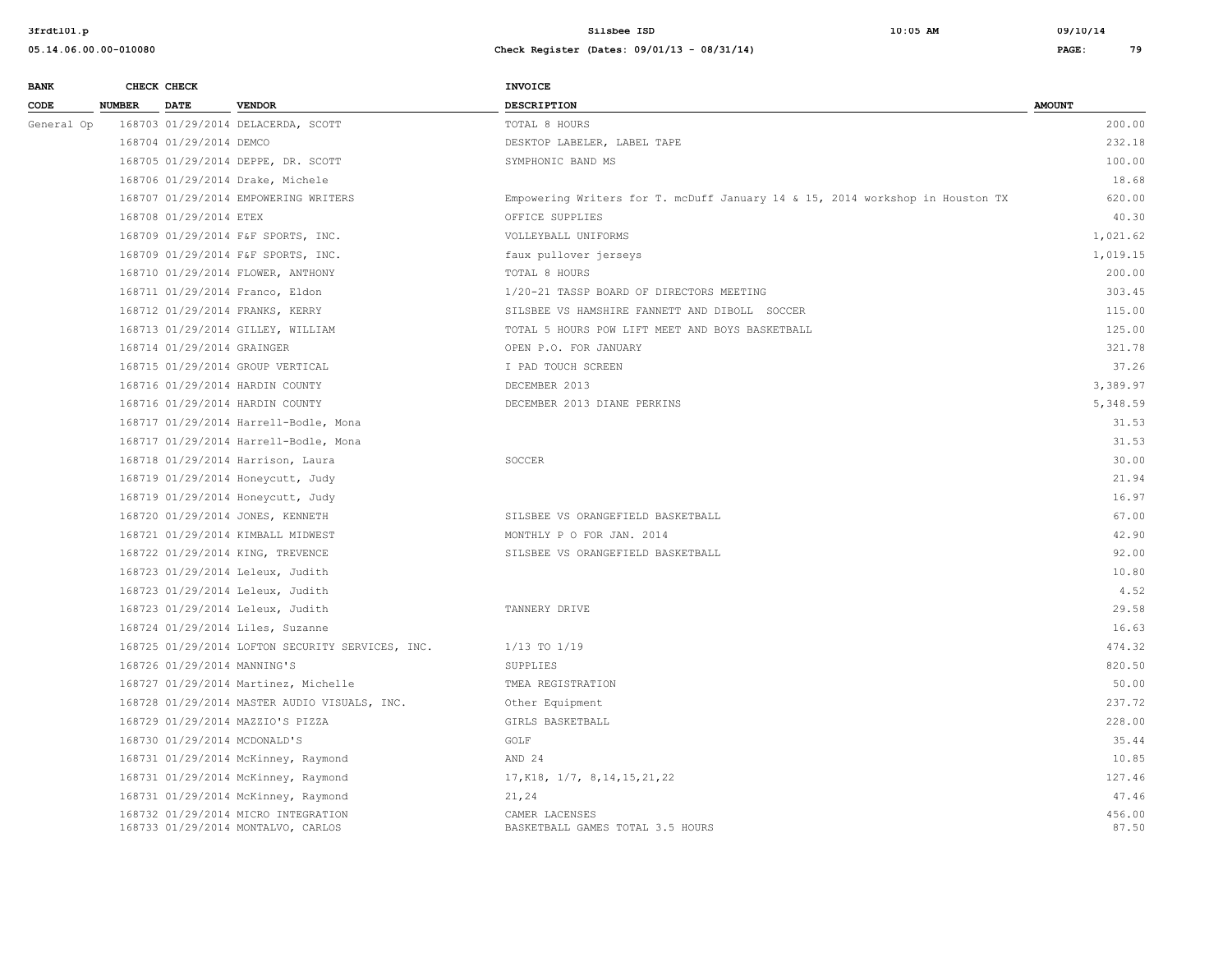| <b>BANK</b> |               | CHECK CHECK                  |                                                                           | <b>INVOICE</b>                                                                |                 |
|-------------|---------------|------------------------------|---------------------------------------------------------------------------|-------------------------------------------------------------------------------|-----------------|
| CODE        | <b>NUMBER</b> | <b>DATE</b>                  | <b>VENDOR</b>                                                             | <b>DESCRIPTION</b>                                                            | <b>AMOUNT</b>   |
| General Op  |               |                              | 168703 01/29/2014 DELACERDA, SCOTT                                        | TOTAL 8 HOURS                                                                 | 200.00          |
|             |               | 168704 01/29/2014 DEMCO      |                                                                           | DESKTOP LABELER, LABEL TAPE                                                   | 232.18          |
|             |               |                              | 168705 01/29/2014 DEPPE, DR. SCOTT                                        | SYMPHONIC BAND MS                                                             | 100.00          |
|             |               |                              | 168706 01/29/2014 Drake, Michele                                          |                                                                               | 18.68           |
|             |               |                              | 168707 01/29/2014 EMPOWERING WRITERS                                      | Empowering Writers for T. mcDuff January 14 & 15, 2014 workshop in Houston TX | 620.00          |
|             |               | 168708 01/29/2014 ETEX       |                                                                           | OFFICE SUPPLIES                                                               | 40.30           |
|             |               |                              | 168709 01/29/2014 F&F SPORTS, INC.                                        | VOLLEYBALL UNIFORMS                                                           | 1,021.62        |
|             |               |                              | 168709 01/29/2014 F&F SPORTS, INC.                                        | faux pullover jerseys                                                         | 1,019.15        |
|             |               |                              | 168710 01/29/2014 FLOWER, ANTHONY                                         | TOTAL 8 HOURS                                                                 | 200.00          |
|             |               |                              | 168711 01/29/2014 Franco, Eldon                                           | 1/20-21 TASSP BOARD OF DIRECTORS MEETING                                      | 303.45          |
|             |               |                              | 168712 01/29/2014 FRANKS, KERRY                                           | SILSBEE VS HAMSHIRE FANNETT AND DIBOLL SOCCER                                 | 115.00          |
|             |               |                              | 168713 01/29/2014 GILLEY, WILLIAM                                         | TOTAL 5 HOURS POW LIFT MEET AND BOYS BASKETBALL                               | 125.00          |
|             |               | 168714 01/29/2014 GRAINGER   |                                                                           | OPEN P.O. FOR JANUARY                                                         | 321.78          |
|             |               |                              | 168715 01/29/2014 GROUP VERTICAL                                          | I PAD TOUCH SCREEN                                                            | 37.26           |
|             |               |                              | 168716 01/29/2014 HARDIN COUNTY                                           | DECEMBER 2013                                                                 | 3,389.97        |
|             |               |                              | 168716 01/29/2014 HARDIN COUNTY                                           | DECEMBER 2013 DIANE PERKINS                                                   | 5,348.59        |
|             |               |                              | 168717 01/29/2014 Harrell-Bodle, Mona                                     |                                                                               | 31.53           |
|             |               |                              | 168717 01/29/2014 Harrell-Bodle, Mona                                     |                                                                               | 31.53           |
|             |               |                              | 168718 01/29/2014 Harrison, Laura                                         | SOCCER                                                                        | 30.00           |
|             |               |                              | 168719 01/29/2014 Honeycutt, Judy                                         |                                                                               | 21.94           |
|             |               |                              | 168719 01/29/2014 Honeycutt, Judy                                         |                                                                               | 16.97           |
|             |               |                              | 168720 01/29/2014 JONES, KENNETH                                          | SILSBEE VS ORANGEFIELD BASKETBALL                                             | 67.00           |
|             |               |                              | 168721 01/29/2014 KIMBALL MIDWEST                                         | MONTHLY P O FOR JAN. 2014                                                     | 42.90           |
|             |               |                              | 168722 01/29/2014 KING, TREVENCE                                          | SILSBEE VS ORANGEFIELD BASKETBALL                                             | 92.00           |
|             |               |                              | 168723 01/29/2014 Leleux, Judith                                          |                                                                               | 10.80           |
|             |               |                              | 168723 01/29/2014 Leleux, Judith                                          |                                                                               | 4.52            |
|             |               |                              | 168723 01/29/2014 Leleux, Judith                                          | TANNERY DRIVE                                                                 | 29.58           |
|             |               |                              | 168724 01/29/2014 Liles, Suzanne                                          |                                                                               | 16.63           |
|             |               |                              | 168725 01/29/2014 LOFTON SECURITY SERVICES, INC.                          | $1/13$ TO $1/19$                                                              | 474.32          |
|             |               | 168726 01/29/2014 MANNING'S  |                                                                           | SUPPLIES                                                                      | 820.50          |
|             |               |                              | 168727 01/29/2014 Martinez, Michelle                                      | TMEA REGISTRATION                                                             | 50.00           |
|             |               |                              | 168728 01/29/2014 MASTER AUDIO VISUALS, INC.                              | Other Equipment                                                               | 237.72          |
|             |               |                              | 168729 01/29/2014 MAZZIO'S PIZZA                                          | GIRLS BASKETBALL                                                              | 228.00          |
|             |               | 168730 01/29/2014 MCDONALD'S |                                                                           | GOLF                                                                          | 35.44           |
|             |               |                              | 168731 01/29/2014 McKinney, Raymond                                       | AND 24                                                                        | 10.85           |
|             |               |                              | 168731 01/29/2014 McKinney, Raymond                                       | 17, K18, 1/7, 8, 14, 15, 21, 22                                               | 127.46          |
|             |               |                              | 168731 01/29/2014 McKinney, Raymond                                       | 21,24                                                                         | 47.46           |
|             |               |                              | 168732 01/29/2014 MICRO INTEGRATION<br>168733 01/29/2014 MONTALVO, CARLOS | CAMER LACENSES<br>BASKETBALL GAMES TOTAL 3.5 HOURS                            | 456.00<br>87.50 |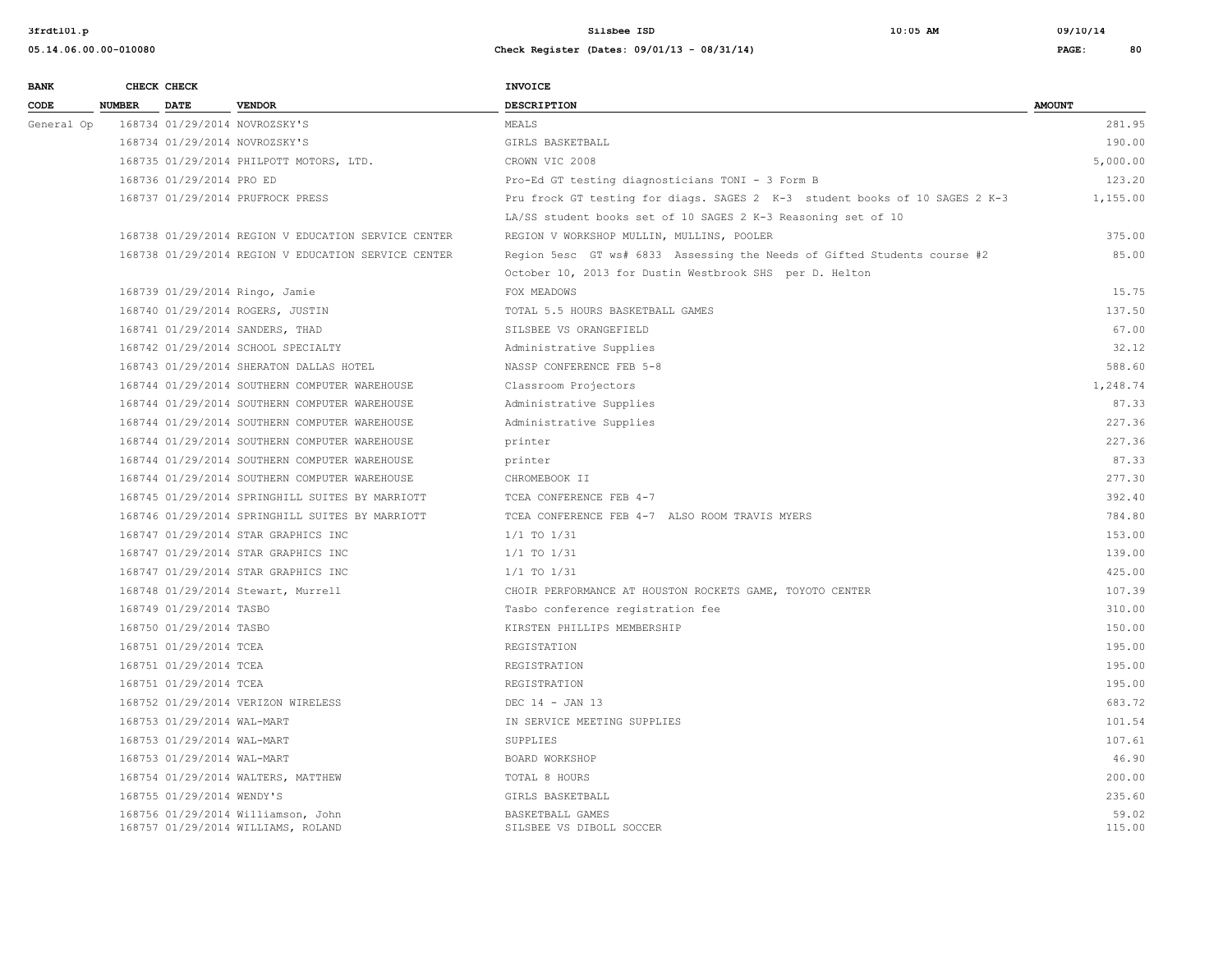| <b>BANK</b> |               | CHECK CHECK                |                                                                          | <b>INVOICE</b>                                                              |                 |
|-------------|---------------|----------------------------|--------------------------------------------------------------------------|-----------------------------------------------------------------------------|-----------------|
| CODE        | <b>NUMBER</b> | <b>DATE</b>                | <b>VENDOR</b>                                                            | DESCRIPTION                                                                 | <b>AMOUNT</b>   |
| General Op  |               |                            | 168734 01/29/2014 NOVROZSKY'S                                            | MEALS                                                                       | 281.95          |
|             |               |                            | 168734 01/29/2014 NOVROZSKY'S                                            | GIRLS BASKETBALL                                                            | 190.00          |
|             |               |                            | 168735 01/29/2014 PHILPOTT MOTORS, LTD.                                  | CROWN VIC 2008                                                              | 5,000.00        |
|             |               | 168736 01/29/2014 PRO ED   |                                                                          | Pro-Ed GT testing diagnosticians TONI - 3 Form B                            | 123.20          |
|             |               |                            | 168737 01/29/2014 PRUFROCK PRESS                                         | Pru frock GT testing for diags. SAGES 2 K-3 student books of 10 SAGES 2 K-3 | 1,155.00        |
|             |               |                            |                                                                          | LA/SS student books set of 10 SAGES 2 K-3 Reasoning set of 10               |                 |
|             |               |                            | 168738 01/29/2014 REGION V EDUCATION SERVICE CENTER                      | REGION V WORKSHOP MULLIN, MULLINS, POOLER                                   | 375.00          |
|             |               |                            | 168738 01/29/2014 REGION V EDUCATION SERVICE CENTER                      | Region 5esc GT ws# 6833 Assessing the Needs of Gifted Students course #2    | 85.00           |
|             |               |                            |                                                                          | October 10, 2013 for Dustin Westbrook SHS per D. Helton                     |                 |
|             |               |                            | 168739 01/29/2014 Ringo, Jamie                                           | FOX MEADOWS                                                                 | 15.75           |
|             |               |                            | 168740 01/29/2014 ROGERS, JUSTIN                                         | TOTAL 5.5 HOURS BASKETBALL GAMES                                            | 137.50          |
|             |               |                            | 168741 01/29/2014 SANDERS, THAD                                          | SILSBEE VS ORANGEFIELD                                                      | 67.00           |
|             |               |                            | 168742 01/29/2014 SCHOOL SPECIALTY                                       | Administrative Supplies                                                     | 32.12           |
|             |               |                            | 168743 01/29/2014 SHERATON DALLAS HOTEL                                  | NASSP CONFERENCE FEB 5-8                                                    | 588.60          |
|             |               |                            | 168744 01/29/2014 SOUTHERN COMPUTER WAREHOUSE                            | Classroom Projectors                                                        | 1,248.74        |
|             |               |                            | 168744 01/29/2014 SOUTHERN COMPUTER WAREHOUSE                            | Administrative Supplies                                                     | 87.33           |
|             |               |                            | 168744 01/29/2014 SOUTHERN COMPUTER WAREHOUSE                            | Administrative Supplies                                                     | 227.36          |
|             |               |                            | 168744 01/29/2014 SOUTHERN COMPUTER WAREHOUSE                            | printer                                                                     | 227.36          |
|             |               |                            | 168744 01/29/2014 SOUTHERN COMPUTER WAREHOUSE                            | printer                                                                     | 87.33           |
|             |               |                            | 168744 01/29/2014 SOUTHERN COMPUTER WAREHOUSE                            | CHROMEBOOK II                                                               | 277.30          |
|             |               |                            | 168745 01/29/2014 SPRINGHILL SUITES BY MARRIOTT                          | TCEA CONFERENCE FEB 4-7                                                     | 392.40          |
|             |               |                            | 168746 01/29/2014 SPRINGHILL SUITES BY MARRIOTT                          | TCEA CONFERENCE FEB 4-7 ALSO ROOM TRAVIS MYERS                              | 784.80          |
|             |               |                            | 168747 01/29/2014 STAR GRAPHICS INC                                      | $1/1$ TO $1/31$                                                             | 153.00          |
|             |               |                            | 168747 01/29/2014 STAR GRAPHICS INC                                      | $1/1$ TO $1/31$                                                             | 139.00          |
|             |               |                            | 168747 01/29/2014 STAR GRAPHICS INC                                      | $1/1$ TO $1/31$                                                             | 425.00          |
|             |               |                            | 168748 01/29/2014 Stewart, Murrell                                       | CHOIR PERFORMANCE AT HOUSTON ROCKETS GAME, TOYOTO CENTER                    | 107.39          |
|             |               | 168749 01/29/2014 TASBO    |                                                                          | Tasbo conference registration fee                                           | 310.00          |
|             |               | 168750 01/29/2014 TASBO    |                                                                          | KIRSTEN PHILLIPS MEMBERSHIP                                                 | 150.00          |
|             |               | 168751 01/29/2014 TCEA     |                                                                          | REGISTATION                                                                 | 195.00          |
|             |               | 168751 01/29/2014 TCEA     |                                                                          | REGISTRATION                                                                | 195.00          |
|             |               | 168751 01/29/2014 TCEA     |                                                                          | REGISTRATION                                                                | 195.00          |
|             |               |                            | 168752 01/29/2014 VERIZON WIRELESS                                       | DEC $14 - JAN$ 13                                                           | 683.72          |
|             |               | 168753 01/29/2014 WAL-MART |                                                                          | IN SERVICE MEETING SUPPLIES                                                 | 101.54          |
|             |               | 168753 01/29/2014 WAL-MART |                                                                          | SUPPLIES                                                                    | 107.61          |
|             |               | 168753 01/29/2014 WAL-MART |                                                                          | BOARD WORKSHOP                                                              | 46.90           |
|             |               |                            | 168754 01/29/2014 WALTERS, MATTHEW                                       | TOTAL 8 HOURS                                                               | 200.00          |
|             |               | 168755 01/29/2014 WENDY'S  |                                                                          | GIRLS BASKETBALL                                                            | 235.60          |
|             |               |                            | 168756 01/29/2014 Williamson, John<br>168757 01/29/2014 WILLIAMS, ROLAND | BASKETBALL GAMES<br>SILSBEE VS DIBOLL SOCCER                                | 59.02<br>115.00 |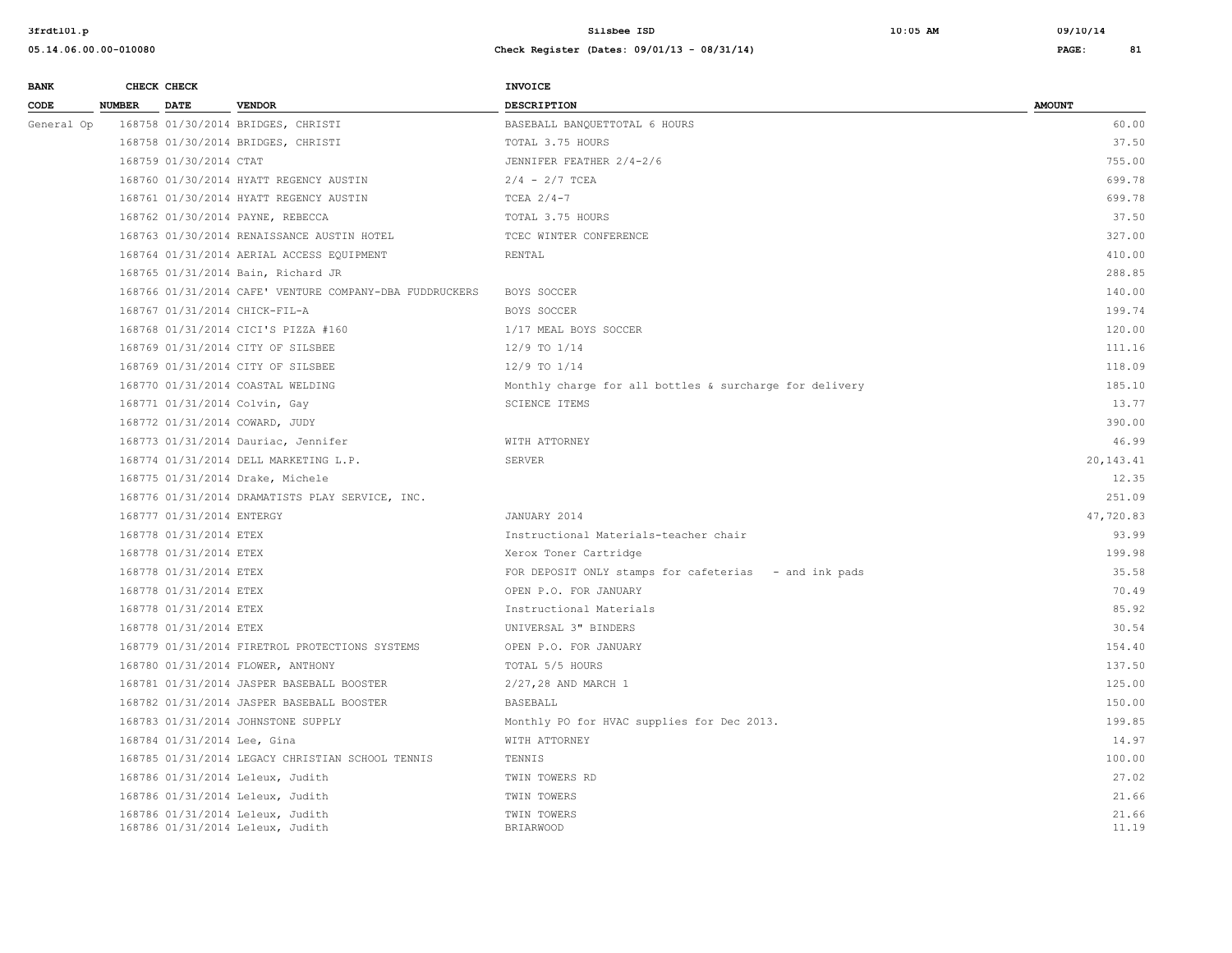| <b>BANK</b> |               | CHECK CHECK                 |                                                                      | <b>INVOICE</b>                                          |                |
|-------------|---------------|-----------------------------|----------------------------------------------------------------------|---------------------------------------------------------|----------------|
| CODE        | <b>NUMBER</b> | <b>DATE</b>                 | <b>VENDOR</b>                                                        | DESCRIPTION                                             | <b>AMOUNT</b>  |
| General Op  |               |                             | 168758 01/30/2014 BRIDGES, CHRISTI                                   | BASEBALL BANQUETTOTAL 6 HOURS                           | 60.00          |
|             |               |                             | 168758 01/30/2014 BRIDGES, CHRISTI                                   | TOTAL 3.75 HOURS                                        | 37.50          |
|             |               | 168759 01/30/2014 CTAT      |                                                                      | JENNIFER FEATHER 2/4-2/6                                | 755.00         |
|             |               |                             | 168760 01/30/2014 HYATT REGENCY AUSTIN                               | $2/4 - 2/7$ TCEA                                        | 699.78         |
|             |               |                             | 168761 01/30/2014 HYATT REGENCY AUSTIN                               | TCEA $2/4-7$                                            | 699.78         |
|             |               |                             | 168762 01/30/2014 PAYNE, REBECCA                                     | TOTAL 3.75 HOURS                                        | 37.50          |
|             |               |                             | 168763 01/30/2014 RENAISSANCE AUSTIN HOTEL                           | TCEC WINTER CONFERENCE                                  | 327.00         |
|             |               |                             | 168764 01/31/2014 AERIAL ACCESS EQUIPMENT                            | RENTAL                                                  | 410.00         |
|             |               |                             | 168765 01/31/2014 Bain, Richard JR                                   |                                                         | 288.85         |
|             |               |                             | 168766 01/31/2014 CAFE' VENTURE COMPANY-DBA FUDDRUCKERS              | BOYS SOCCER                                             | 140.00         |
|             |               |                             | 168767 01/31/2014 CHICK-FIL-A                                        | BOYS SOCCER                                             | 199.74         |
|             |               |                             | 168768 01/31/2014 CICI'S PIZZA #160                                  | 1/17 MEAL BOYS SOCCER                                   | 120.00         |
|             |               |                             | 168769 01/31/2014 CITY OF SILSBEE                                    | $12/9$ TO $1/14$                                        | 111.16         |
|             |               |                             | 168769 01/31/2014 CITY OF SILSBEE                                    | $12/9$ TO $1/14$                                        | 118.09         |
|             |               |                             | 168770 01/31/2014 COASTAL WELDING                                    | Monthly charge for all bottles & surcharge for delivery | 185.10         |
|             |               |                             | 168771 01/31/2014 Colvin, Gay                                        | <b>SCIENCE ITEMS</b>                                    | 13.77          |
|             |               |                             | 168772 01/31/2014 COWARD, JUDY                                       |                                                         | 390.00         |
|             |               |                             | 168773 01/31/2014 Dauriac, Jennifer                                  | WITH ATTORNEY                                           | 46.99          |
|             |               |                             | 168774 01/31/2014 DELL MARKETING L.P.                                | <b>SERVER</b>                                           | 20, 143. 41    |
|             |               |                             | 168775 01/31/2014 Drake, Michele                                     |                                                         | 12.35          |
|             |               |                             | 168776 01/31/2014 DRAMATISTS PLAY SERVICE, INC.                      |                                                         | 251.09         |
|             |               | 168777 01/31/2014 ENTERGY   |                                                                      | JANUARY 2014                                            | 47,720.83      |
|             |               | 168778 01/31/2014 ETEX      |                                                                      | Instructional Materials-teacher chair                   | 93.99          |
|             |               | 168778 01/31/2014 ETEX      |                                                                      | Xerox Toner Cartridge                                   | 199.98         |
|             |               | 168778 01/31/2014 ETEX      |                                                                      | FOR DEPOSIT ONLY stamps for cafeterias - and ink pads   | 35.58          |
|             |               | 168778 01/31/2014 ETEX      |                                                                      | OPEN P.O. FOR JANUARY                                   | 70.49          |
|             |               | 168778 01/31/2014 ETEX      |                                                                      | Instructional Materials                                 | 85.92          |
|             |               | 168778 01/31/2014 ETEX      |                                                                      | UNIVERSAL 3" BINDERS                                    | 30.54          |
|             |               |                             | 168779 01/31/2014 FIRETROL PROTECTIONS SYSTEMS                       | OPEN P.O. FOR JANUARY                                   | 154.40         |
|             |               |                             | 168780 01/31/2014 FLOWER, ANTHONY                                    | TOTAL 5/5 HOURS                                         | 137.50         |
|             |               |                             | 168781 01/31/2014 JASPER BASEBALL BOOSTER                            | 2/27,28 AND MARCH 1                                     | 125.00         |
|             |               |                             | 168782 01/31/2014 JASPER BASEBALL BOOSTER                            | BASEBALL                                                | 150.00         |
|             |               |                             | 168783 01/31/2014 JOHNSTONE SUPPLY                                   | Monthly PO for HVAC supplies for Dec 2013.              | 199.85         |
|             |               | 168784 01/31/2014 Lee, Gina |                                                                      | WITH ATTORNEY                                           | 14.97          |
|             |               |                             | 168785 01/31/2014 LEGACY CHRISTIAN SCHOOL TENNIS                     | TENNIS                                                  | 100.00         |
|             |               |                             | 168786 01/31/2014 Leleux, Judith                                     | TWIN TOWERS RD                                          | 27.02          |
|             |               |                             | 168786 01/31/2014 Leleux, Judith                                     | TWIN TOWERS                                             | 21.66          |
|             |               |                             | 168786 01/31/2014 Leleux, Judith<br>168786 01/31/2014 Leleux, Judith | TWIN TOWERS<br><b>BRIARWOOD</b>                         | 21.66<br>11.19 |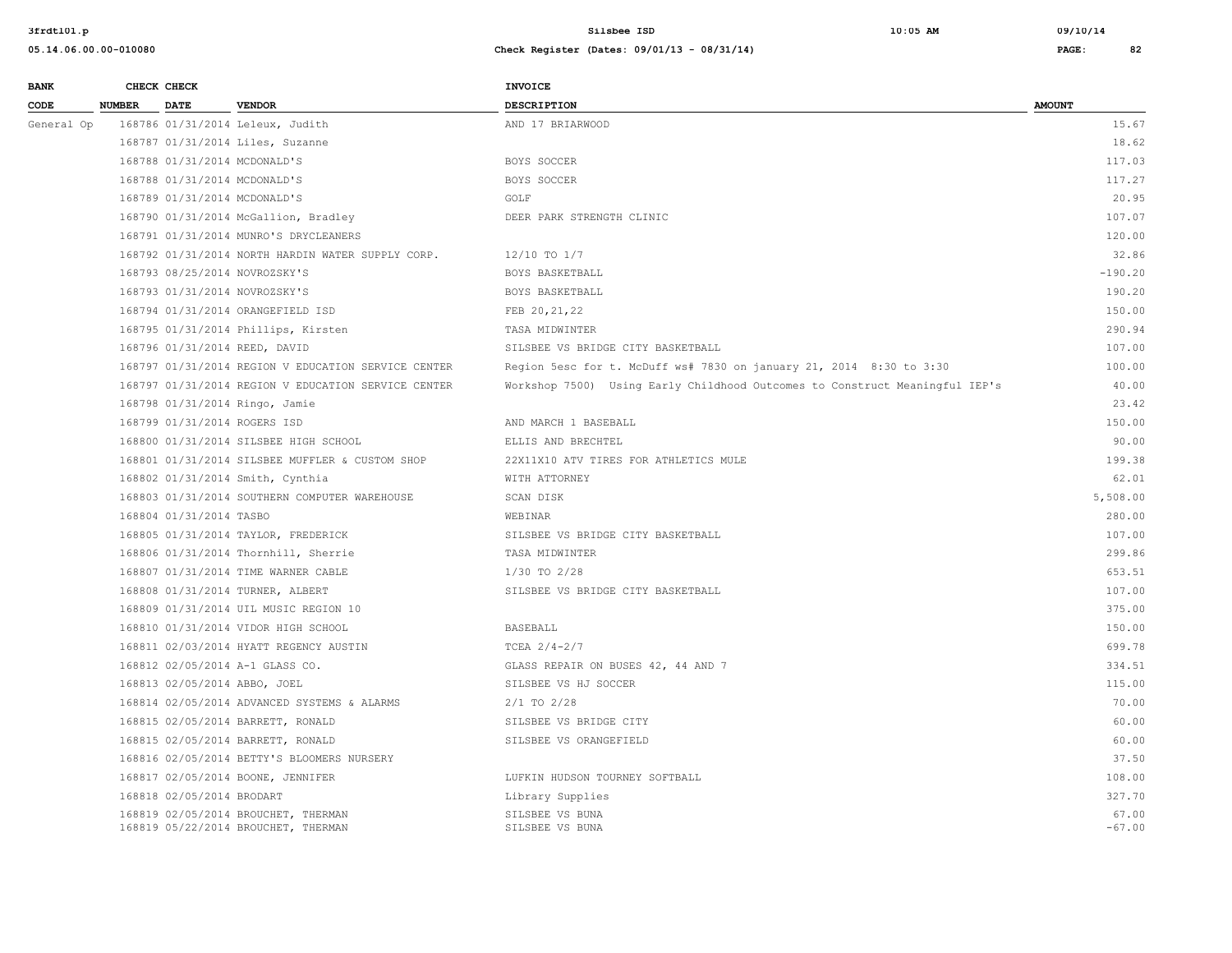| <b>BANK</b> |               | CHECK CHECK               |                                                                            | <b>INVOICE</b>                                                              |                   |
|-------------|---------------|---------------------------|----------------------------------------------------------------------------|-----------------------------------------------------------------------------|-------------------|
| CODE        | <b>NUMBER</b> | <b>DATE</b>               | <b>VENDOR</b>                                                              | <b>DESCRIPTION</b>                                                          | <b>AMOUNT</b>     |
| General Op  |               |                           | 168786 01/31/2014 Leleux, Judith                                           | AND 17 BRIARWOOD                                                            | 15.67             |
|             |               |                           | 168787 01/31/2014 Liles, Suzanne                                           |                                                                             | 18.62             |
|             |               |                           | 168788 01/31/2014 MCDONALD'S                                               | BOYS SOCCER                                                                 | 117.03            |
|             |               |                           | 168788 01/31/2014 MCDONALD'S                                               | BOYS SOCCER                                                                 | 117.27            |
|             |               |                           | 168789 01/31/2014 MCDONALD'S                                               | GOLF                                                                        | 20.95             |
|             |               |                           | 168790 01/31/2014 McGallion, Bradley                                       | DEER PARK STRENGTH CLINIC                                                   | 107.07            |
|             |               |                           | 168791 01/31/2014 MUNRO'S DRYCLEANERS                                      |                                                                             | 120.00            |
|             |               |                           | 168792 01/31/2014 NORTH HARDIN WATER SUPPLY CORP.                          | 12/10 TO 1/7                                                                | 32.86             |
|             |               |                           | 168793 08/25/2014 NOVROZSKY'S                                              | BOYS BASKETBALL                                                             | $-190.20$         |
|             |               |                           | 168793 01/31/2014 NOVROZSKY'S                                              | BOYS BASKETBALL                                                             | 190.20            |
|             |               |                           | 168794 01/31/2014 ORANGEFIELD ISD                                          | FEB 20, 21, 22                                                              | 150.00            |
|             |               |                           | 168795 01/31/2014 Phillips, Kirsten                                        | TASA MIDWINTER                                                              | 290.94            |
|             |               |                           | 168796 01/31/2014 REED, DAVID                                              | SILSBEE VS BRIDGE CITY BASKETBALL                                           | 107.00            |
|             |               |                           | 168797 01/31/2014 REGION V EDUCATION SERVICE CENTER                        | Region 5esc for t. McDuff ws# 7830 on january 21, 2014 8:30 to 3:30         | 100.00            |
|             |               |                           | 168797 01/31/2014 REGION V EDUCATION SERVICE CENTER                        | Workshop 7500) Using Early Childhood Outcomes to Construct Meaningful IEP's | 40.00             |
|             |               |                           | 168798 01/31/2014 Ringo, Jamie                                             |                                                                             | 23.42             |
|             |               |                           | 168799 01/31/2014 ROGERS ISD                                               | AND MARCH 1 BASEBALL                                                        | 150.00            |
|             |               |                           | 168800 01/31/2014 SILSBEE HIGH SCHOOL                                      | ELLIS AND BRECHTEL                                                          | 90.00             |
|             |               |                           | 168801 01/31/2014 SILSBEE MUFFLER & CUSTOM SHOP                            | 22X11X10 ATV TIRES FOR ATHLETICS MULE                                       | 199.38            |
|             |               |                           | 168802 01/31/2014 Smith, Cynthia                                           | WITH ATTORNEY                                                               | 62.01             |
|             |               |                           | 168803 01/31/2014 SOUTHERN COMPUTER WAREHOUSE                              | SCAN DISK                                                                   | 5,508.00          |
|             |               | 168804 01/31/2014 TASBO   |                                                                            | WEBINAR                                                                     | 280.00            |
|             |               |                           | 168805 01/31/2014 TAYLOR, FREDERICK                                        | SILSBEE VS BRIDGE CITY BASKETBALL                                           | 107.00            |
|             |               |                           | 168806 01/31/2014 Thornhill, Sherrie                                       | TASA MIDWINTER                                                              | 299.86            |
|             |               |                           | 168807 01/31/2014 TIME WARNER CABLE                                        | $1/30$ TO $2/28$                                                            | 653.51            |
|             |               |                           | 168808 01/31/2014 TURNER, ALBERT                                           | SILSBEE VS BRIDGE CITY BASKETBALL                                           | 107.00            |
|             |               |                           | 168809 01/31/2014 UIL MUSIC REGION 10                                      |                                                                             | 375.00            |
|             |               |                           | 168810 01/31/2014 VIDOR HIGH SCHOOL                                        | <b>BASEBALL</b>                                                             | 150.00            |
|             |               |                           | 168811 02/03/2014 HYATT REGENCY AUSTIN                                     | TCEA 2/4-2/7                                                                | 699.78            |
|             |               |                           | 168812 02/05/2014 A-1 GLASS CO.                                            | GLASS REPAIR ON BUSES 42, 44 AND 7                                          | 334.51            |
|             |               |                           | 168813 02/05/2014 ABBO, JOEL                                               | SILSBEE VS HJ SOCCER                                                        | 115.00            |
|             |               |                           | 168814 02/05/2014 ADVANCED SYSTEMS & ALARMS                                | $2/1$ TO $2/28$                                                             | 70.00             |
|             |               |                           | 168815 02/05/2014 BARRETT, RONALD                                          | SILSBEE VS BRIDGE CITY                                                      | 60.00             |
|             |               |                           | 168815 02/05/2014 BARRETT, RONALD                                          | SILSBEE VS ORANGEFIELD                                                      | 60.00             |
|             |               |                           | 168816 02/05/2014 BETTY'S BLOOMERS NURSERY                                 |                                                                             | 37.50             |
|             |               |                           | 168817 02/05/2014 BOONE, JENNIFER                                          | LUFKIN HUDSON TOURNEY SOFTBALL                                              | 108.00            |
|             |               | 168818 02/05/2014 BRODART |                                                                            | Library Supplies                                                            | 327.70            |
|             |               |                           | 168819 02/05/2014 BROUCHET, THERMAN<br>168819 05/22/2014 BROUCHET, THERMAN | SILSBEE VS BUNA<br>SILSBEE VS BUNA                                          | 67.00<br>$-67.00$ |
|             |               |                           |                                                                            |                                                                             |                   |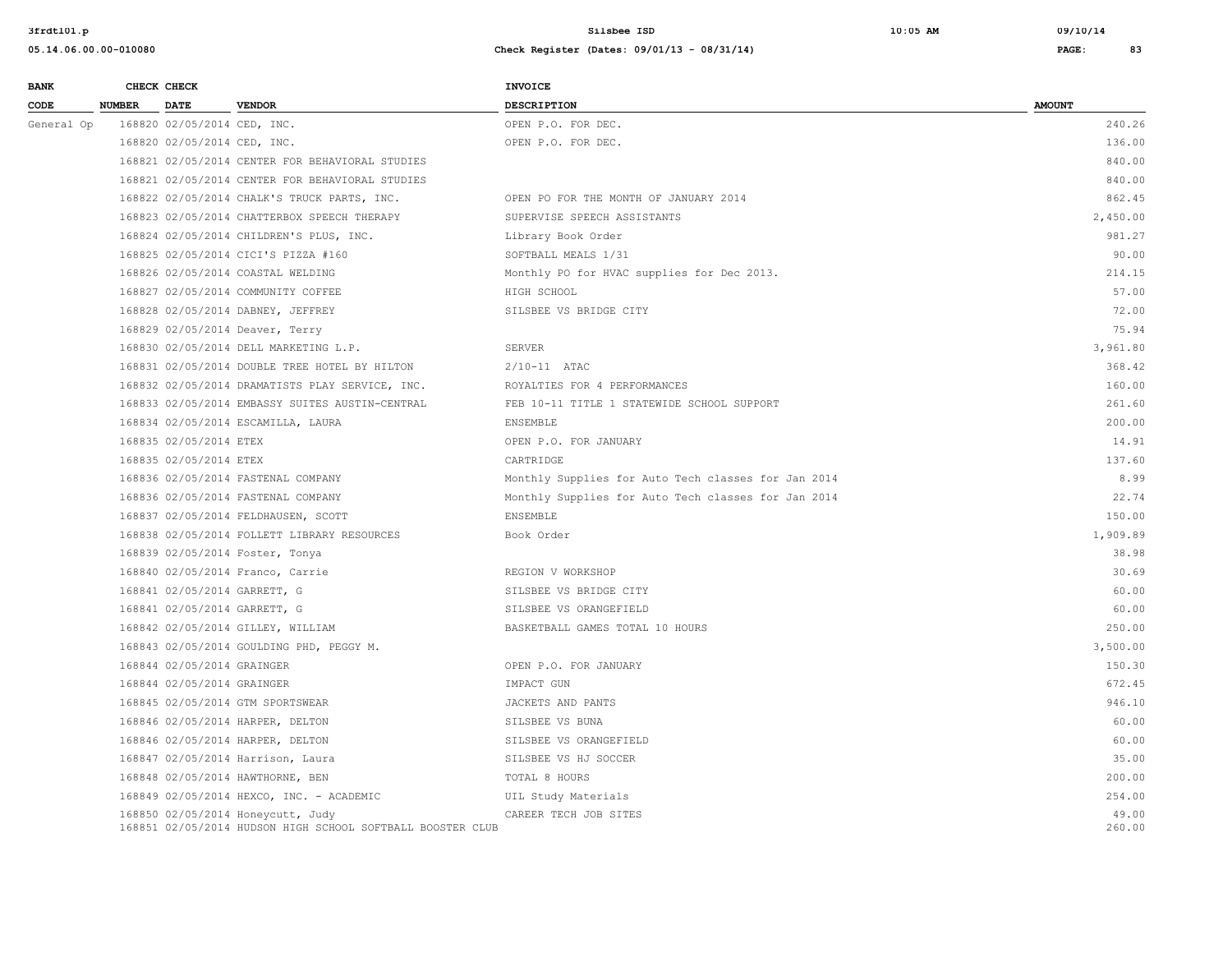| <b>BANK</b> |               | CHECK CHECK                 |                                                                                                 | <b>INVOICE</b>                                      |                 |
|-------------|---------------|-----------------------------|-------------------------------------------------------------------------------------------------|-----------------------------------------------------|-----------------|
| CODE        | <b>NUMBER</b> | <b>DATE</b>                 | <b>VENDOR</b>                                                                                   | DESCRIPTION                                         | <b>AMOUNT</b>   |
| General Op  |               | 168820 02/05/2014 CED, INC. |                                                                                                 | OPEN P.O. FOR DEC.                                  | 240.26          |
|             |               | 168820 02/05/2014 CED, INC. |                                                                                                 | OPEN P.O. FOR DEC.                                  | 136.00          |
|             |               |                             | 168821 02/05/2014 CENTER FOR BEHAVIORAL STUDIES                                                 |                                                     | 840.00          |
|             |               |                             | 168821 02/05/2014 CENTER FOR BEHAVIORAL STUDIES                                                 |                                                     | 840.00          |
|             |               |                             | 168822 02/05/2014 CHALK'S TRUCK PARTS, INC.                                                     | OPEN PO FOR THE MONTH OF JANUARY 2014               | 862.45          |
|             |               |                             | 168823 02/05/2014 CHATTERBOX SPEECH THERAPY                                                     | SUPERVISE SPEECH ASSISTANTS                         | 2,450.00        |
|             |               |                             | 168824 02/05/2014 CHILDREN'S PLUS, INC.                                                         | Library Book Order                                  | 981.27          |
|             |               |                             | 168825 02/05/2014 CICI'S PIZZA #160                                                             | SOFTBALL MEALS 1/31                                 | 90.00           |
|             |               |                             | 168826 02/05/2014 COASTAL WELDING                                                               | Monthly PO for HVAC supplies for Dec 2013.          | 214.15          |
|             |               |                             | 168827 02/05/2014 COMMUNITY COFFEE                                                              | HIGH SCHOOL                                         | 57.00           |
|             |               |                             | 168828 02/05/2014 DABNEY, JEFFREY                                                               | SILSBEE VS BRIDGE CITY                              | 72.00           |
|             |               |                             | 168829 02/05/2014 Deaver, Terry                                                                 |                                                     | 75.94           |
|             |               |                             | 168830 02/05/2014 DELL MARKETING L.P.                                                           | <b>SERVER</b>                                       | 3,961.80        |
|             |               |                             | 168831 02/05/2014 DOUBLE TREE HOTEL BY HILTON                                                   | 2/10-11 ATAC                                        | 368.42          |
|             |               |                             | 168832 02/05/2014 DRAMATISTS PLAY SERVICE, INC.                                                 | ROYALTIES FOR 4 PERFORMANCES                        | 160.00          |
|             |               |                             | 168833 02/05/2014 EMBASSY SUITES AUSTIN-CENTRAL                                                 | FEB 10-11 TITLE 1 STATEWIDE SCHOOL SUPPORT          | 261.60          |
|             |               |                             | 168834 02/05/2014 ESCAMILLA, LAURA                                                              | <b>ENSEMBLE</b>                                     | 200.00          |
|             |               | 168835 02/05/2014 ETEX      |                                                                                                 | OPEN P.O. FOR JANUARY                               | 14.91           |
|             |               | 168835 02/05/2014 ETEX      |                                                                                                 | CARTRIDGE                                           | 137.60          |
|             |               |                             | 168836 02/05/2014 FASTENAL COMPANY                                                              | Monthly Supplies for Auto Tech classes for Jan 2014 | 8.99            |
|             |               |                             | 168836 02/05/2014 FASTENAL COMPANY                                                              | Monthly Supplies for Auto Tech classes for Jan 2014 | 22.74           |
|             |               |                             | 168837 02/05/2014 FELDHAUSEN, SCOTT                                                             | <b>ENSEMBLE</b>                                     | 150.00          |
|             |               |                             | 168838 02/05/2014 FOLLETT LIBRARY RESOURCES                                                     | Book Order                                          | 1,909.89        |
|             |               |                             | 168839 02/05/2014 Foster, Tonya                                                                 |                                                     | 38.98           |
|             |               |                             | 168840 02/05/2014 Franco, Carrie                                                                | REGION V WORKSHOP                                   | 30.69           |
|             |               |                             | 168841 02/05/2014 GARRETT, G                                                                    | SILSBEE VS BRIDGE CITY                              | 60.00           |
|             |               |                             | 168841 02/05/2014 GARRETT, G                                                                    | SILSBEE VS ORANGEFIELD                              | 60.00           |
|             |               |                             | 168842 02/05/2014 GILLEY, WILLIAM                                                               | BASKETBALL GAMES TOTAL 10 HOURS                     | 250.00          |
|             |               |                             | 168843 02/05/2014 GOULDING PHD, PEGGY M.                                                        |                                                     | 3,500.00        |
|             |               | 168844 02/05/2014 GRAINGER  |                                                                                                 | OPEN P.O. FOR JANUARY                               | 150.30          |
|             |               | 168844 02/05/2014 GRAINGER  |                                                                                                 | IMPACT GUN                                          | 672.45          |
|             |               |                             | 168845 02/05/2014 GTM SPORTSWEAR                                                                | JACKETS AND PANTS                                   | 946.10          |
|             |               |                             | 168846 02/05/2014 HARPER, DELTON                                                                | SILSBEE VS BUNA                                     | 60.00           |
|             |               |                             | 168846 02/05/2014 HARPER, DELTON                                                                | SILSBEE VS ORANGEFIELD                              | 60.00           |
|             |               |                             | 168847 02/05/2014 Harrison, Laura                                                               | SILSBEE VS HJ SOCCER                                | 35.00           |
|             |               |                             | 168848 02/05/2014 HAWTHORNE, BEN                                                                | TOTAL 8 HOURS                                       | 200.00          |
|             |               |                             | 168849 02/05/2014 HEXCO, INC. - ACADEMIC                                                        | UIL Study Materials                                 | 254.00          |
|             |               |                             | 168850 02/05/2014 Honeycutt, Judy<br>168851 02/05/2014 HUDSON HIGH SCHOOL SOFTBALL BOOSTER CLUB | CAREER TECH JOB SITES                               | 49.00<br>260.00 |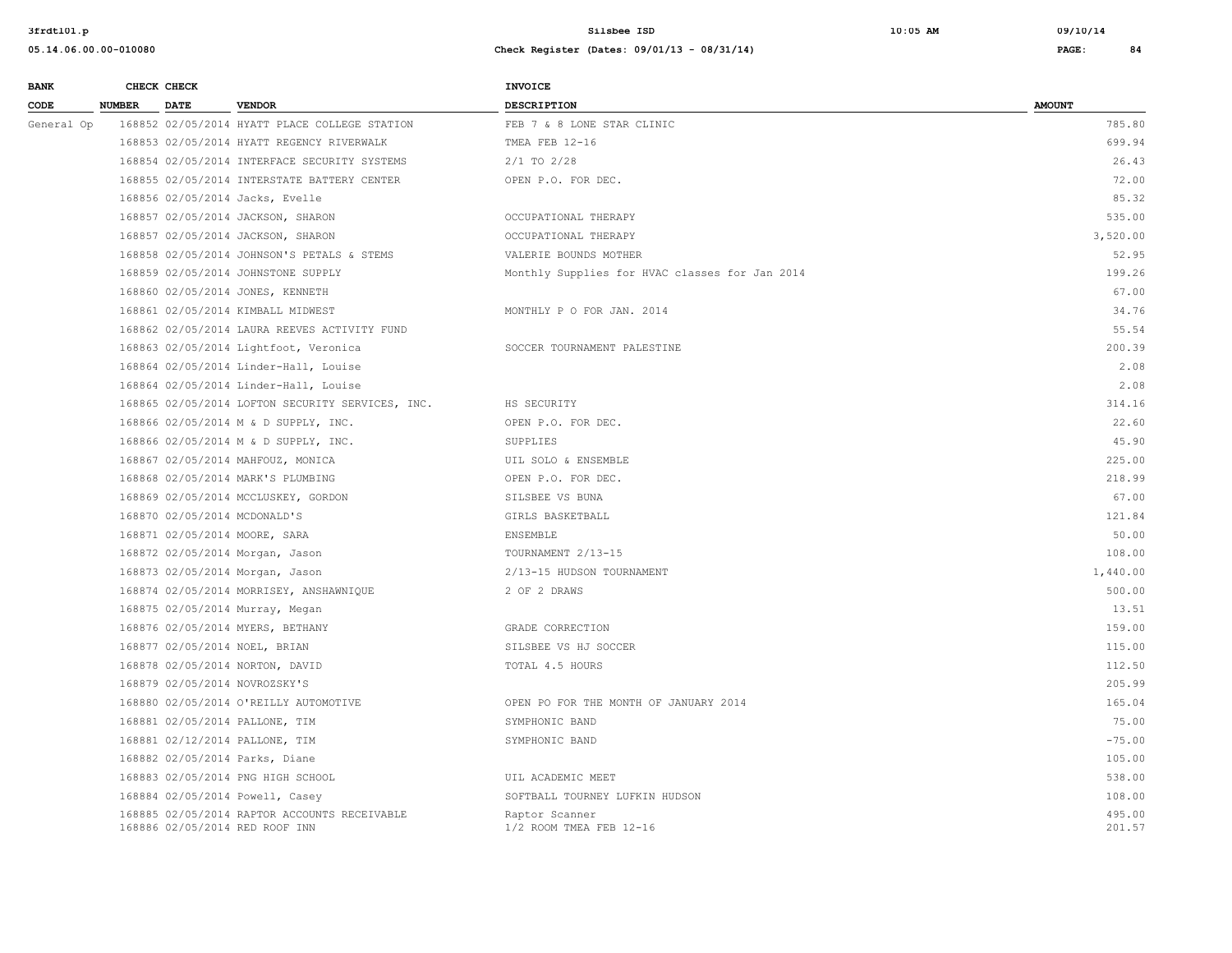| <b>BANK</b> |                    | CHECK CHECK |                                                                                | INVOICE                                        |                  |
|-------------|--------------------|-------------|--------------------------------------------------------------------------------|------------------------------------------------|------------------|
| CODE        | <b>NUMBER DATE</b> |             | <b>VENDOR</b>                                                                  | <b>DESCRIPTION</b>                             | <b>AMOUNT</b>    |
| General Op  |                    |             | 168852 02/05/2014 HYATT PLACE COLLEGE STATION                                  | FEB 7 & 8 LONE STAR CLINIC                     | 785.80           |
|             |                    |             | 168853 02/05/2014 HYATT REGENCY RIVERWALK                                      | TMEA FEB 12-16                                 | 699.94           |
|             |                    |             | 168854 02/05/2014 INTERFACE SECURITY SYSTEMS                                   | $2/1$ TO $2/28$                                | 26.43            |
|             |                    |             | 168855 02/05/2014 INTERSTATE BATTERY CENTER                                    | OPEN P.O. FOR DEC.                             | 72.00            |
|             |                    |             | 168856 02/05/2014 Jacks, Evelle                                                |                                                | 85.32            |
|             |                    |             | 168857 02/05/2014 JACKSON, SHARON                                              | OCCUPATIONAL THERAPY                           | 535.00           |
|             |                    |             | 168857 02/05/2014 JACKSON, SHARON                                              | OCCUPATIONAL THERAPY                           | 3,520.00         |
|             |                    |             | 168858 02/05/2014 JOHNSON'S PETALS & STEMS                                     | VALERIE BOUNDS MOTHER                          | 52.95            |
|             |                    |             | 168859 02/05/2014 JOHNSTONE SUPPLY                                             | Monthly Supplies for HVAC classes for Jan 2014 | 199.26           |
|             |                    |             | 168860 02/05/2014 JONES, KENNETH                                               |                                                | 67.00            |
|             |                    |             | 168861 02/05/2014 KIMBALL MIDWEST                                              | MONTHLY P O FOR JAN. 2014                      | 34.76            |
|             |                    |             | 168862 02/05/2014 LAURA REEVES ACTIVITY FUND                                   |                                                | 55.54            |
|             |                    |             | 168863 02/05/2014 Lightfoot, Veronica                                          | SOCCER TOURNAMENT PALESTINE                    | 200.39           |
|             |                    |             | 168864 02/05/2014 Linder-Hall, Louise                                          |                                                | 2.08             |
|             |                    |             | 168864 02/05/2014 Linder-Hall, Louise                                          |                                                | 2.08             |
|             |                    |             | 168865 02/05/2014 LOFTON SECURITY SERVICES, INC.                               | HS SECURITY                                    | 314.16           |
|             |                    |             | 168866 02/05/2014 M & D SUPPLY, INC.                                           | OPEN P.O. FOR DEC.                             | 22.60            |
|             |                    |             | 168866 02/05/2014 M & D SUPPLY, INC.                                           | SUPPLIES                                       | 45.90            |
|             |                    |             | 168867 02/05/2014 MAHFOUZ, MONICA                                              | UIL SOLO & ENSEMBLE                            | 225.00           |
|             |                    |             | 168868 02/05/2014 MARK'S PLUMBING                                              | OPEN P.O. FOR DEC.                             | 218.99           |
|             |                    |             | 168869 02/05/2014 MCCLUSKEY, GORDON                                            | SILSBEE VS BUNA                                | 67.00            |
|             |                    |             | 168870 02/05/2014 MCDONALD'S                                                   | GIRLS BASKETBALL                               | 121.84           |
|             |                    |             | 168871 02/05/2014 MOORE, SARA                                                  | ENSEMBLE                                       | 50.00            |
|             |                    |             | 168872 02/05/2014 Morgan, Jason                                                | TOURNAMENT 2/13-15                             | 108.00           |
|             |                    |             | 168873 02/05/2014 Morgan, Jason                                                | 2/13-15 HUDSON TOURNAMENT                      | 1,440.00         |
|             |                    |             | 168874 02/05/2014 MORRISEY, ANSHAWNIQUE                                        | 2 OF 2 DRAWS                                   | 500.00           |
|             |                    |             | 168875 02/05/2014 Murray, Megan                                                |                                                | 13.51            |
|             |                    |             | 168876 02/05/2014 MYERS, BETHANY                                               | GRADE CORRECTION                               | 159.00           |
|             |                    |             | 168877 02/05/2014 NOEL, BRIAN                                                  | SILSBEE VS HJ SOCCER                           | 115.00           |
|             |                    |             | 168878 02/05/2014 NORTON, DAVID                                                | TOTAL 4.5 HOURS                                | 112.50           |
|             |                    |             | 168879 02/05/2014 NOVROZSKY'S                                                  |                                                | 205.99           |
|             |                    |             | 168880 02/05/2014 O'REILLY AUTOMOTIVE                                          | OPEN PO FOR THE MONTH OF JANUARY 2014          | 165.04           |
|             |                    |             | 168881 02/05/2014 PALLONE, TIM                                                 | SYMPHONIC BAND                                 | 75.00            |
|             |                    |             | 168881 02/12/2014 PALLONE, TIM                                                 | SYMPHONIC BAND                                 | $-75.00$         |
|             |                    |             | 168882 02/05/2014 Parks, Diane                                                 |                                                | 105.00           |
|             |                    |             | 168883 02/05/2014 PNG HIGH SCHOOL                                              | UIL ACADEMIC MEET                              | 538.00           |
|             |                    |             | 168884 02/05/2014 Powell, Casey                                                | SOFTBALL TOURNEY LUFKIN HUDSON                 | 108.00           |
|             |                    |             | 168885 02/05/2014 RAPTOR ACCOUNTS RECEIVABLE<br>168886 02/05/2014 RED ROOF INN | Raptor Scanner<br>1/2 ROOM TMEA FEB 12-16      | 495.00<br>201.57 |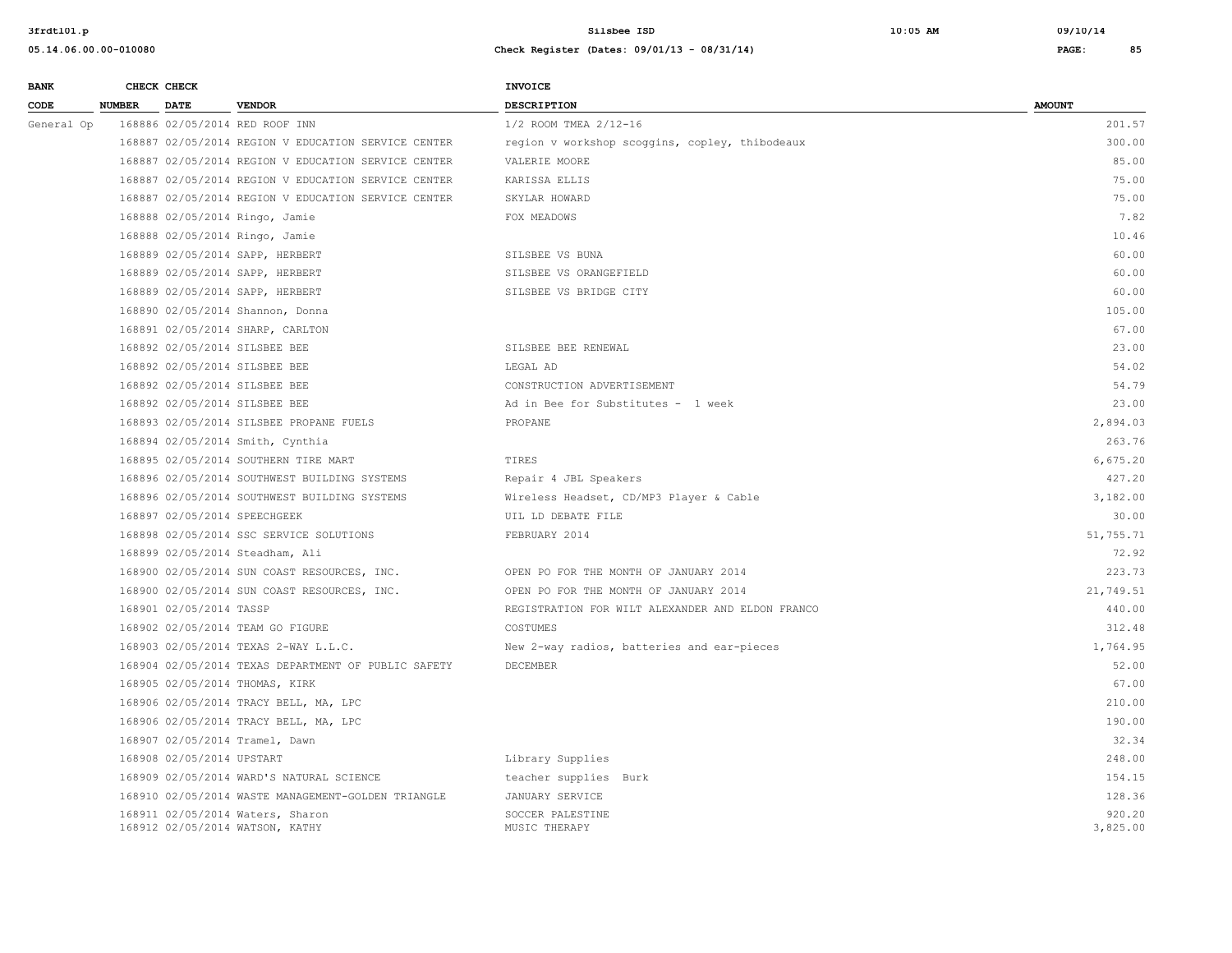| <b>BANK</b> |               | CHECK CHECK               |                                                                     | <b>INVOICE</b>                                   |                    |
|-------------|---------------|---------------------------|---------------------------------------------------------------------|--------------------------------------------------|--------------------|
| CODE        | <b>NUMBER</b> | <b>DATE</b>               | <b>VENDOR</b>                                                       | <b>DESCRIPTION</b>                               | <b>AMOUNT</b>      |
| General Op  |               |                           | 168886 02/05/2014 RED ROOF INN                                      | 1/2 ROOM TMEA 2/12-16                            | 201.57             |
|             |               |                           | 168887 02/05/2014 REGION V EDUCATION SERVICE CENTER                 | region v workshop scoggins, copley, thibodeaux   | 300.00             |
|             |               |                           | 168887 02/05/2014 REGION V EDUCATION SERVICE CENTER                 | VALERIE MOORE                                    | 85.00              |
|             |               |                           | 168887 02/05/2014 REGION V EDUCATION SERVICE CENTER                 | KARISSA ELLIS                                    | 75.00              |
|             |               |                           | 168887 02/05/2014 REGION V EDUCATION SERVICE CENTER                 | SKYLAR HOWARD                                    | 75.00              |
|             |               |                           | 168888 02/05/2014 Ringo, Jamie                                      | FOX MEADOWS                                      | 7.82               |
|             |               |                           | 168888 02/05/2014 Ringo, Jamie                                      |                                                  | 10.46              |
|             |               |                           | 168889 02/05/2014 SAPP, HERBERT                                     | SILSBEE VS BUNA                                  | 60.00              |
|             |               |                           | 168889 02/05/2014 SAPP, HERBERT                                     | SILSBEE VS ORANGEFIELD                           | 60.00              |
|             |               |                           | 168889 02/05/2014 SAPP, HERBERT                                     | SILSBEE VS BRIDGE CITY                           | 60.00              |
|             |               |                           | 168890 02/05/2014 Shannon, Donna                                    |                                                  | 105.00             |
|             |               |                           | 168891 02/05/2014 SHARP, CARLTON                                    |                                                  | 67.00              |
|             |               |                           | 168892 02/05/2014 SILSBEE BEE                                       | SILSBEE BEE RENEWAL                              | 23.00              |
|             |               |                           | 168892 02/05/2014 SILSBEE BEE                                       | LEGAL AD                                         | 54.02              |
|             |               |                           | 168892 02/05/2014 SILSBEE BEE                                       | CONSTRUCTION ADVERTISEMENT                       | 54.79              |
|             |               |                           | 168892 02/05/2014 SILSBEE BEE                                       | Ad in Bee for Substitutes - 1 week               | 23.00              |
|             |               |                           | 168893 02/05/2014 SILSBEE PROPANE FUELS                             | PROPANE                                          | 2,894.03           |
|             |               |                           | 168894 02/05/2014 Smith, Cynthia                                    |                                                  | 263.76             |
|             |               |                           | 168895 02/05/2014 SOUTHERN TIRE MART                                | TIRES                                            | 6,675.20           |
|             |               |                           | 168896 02/05/2014 SOUTHWEST BUILDING SYSTEMS                        | Repair 4 JBL Speakers                            | 427.20             |
|             |               |                           | 168896 02/05/2014 SOUTHWEST BUILDING SYSTEMS                        | Wireless Headset, CD/MP3 Player & Cable          | 3,182.00           |
|             |               |                           | 168897 02/05/2014 SPEECHGEEK                                        | UIL LD DEBATE FILE                               | 30.00              |
|             |               |                           | 168898 02/05/2014 SSC SERVICE SOLUTIONS                             | FEBRUARY 2014                                    | 51,755.71          |
|             |               |                           | 168899 02/05/2014 Steadham, Ali                                     |                                                  | 72.92              |
|             |               |                           | 168900 02/05/2014 SUN COAST RESOURCES, INC.                         | OPEN PO FOR THE MONTH OF JANUARY 2014            | 223.73             |
|             |               |                           | 168900 02/05/2014 SUN COAST RESOURCES, INC.                         | OPEN PO FOR THE MONTH OF JANUARY 2014            | 21,749.51          |
|             |               | 168901 02/05/2014 TASSP   |                                                                     | REGISTRATION FOR WILT ALEXANDER AND ELDON FRANCO | 440.00             |
|             |               |                           | 168902 02/05/2014 TEAM GO FIGURE                                    | COSTUMES                                         | 312.48             |
|             |               |                           | 168903 02/05/2014 TEXAS 2-WAY L.L.C.                                | New 2-way radios, batteries and ear-pieces       | 1,764.95           |
|             |               |                           | 168904 02/05/2014 TEXAS DEPARTMENT OF PUBLIC SAFETY                 | DECEMBER                                         | 52.00              |
|             |               |                           | 168905 02/05/2014 THOMAS, KIRK                                      |                                                  | 67.00              |
|             |               |                           | 168906 02/05/2014 TRACY BELL, MA, LPC                               |                                                  | 210.00             |
|             |               |                           | 168906 02/05/2014 TRACY BELL, MA, LPC                               |                                                  | 190.00             |
|             |               |                           | 168907 02/05/2014 Tramel, Dawn                                      |                                                  | 32.34              |
|             |               | 168908 02/05/2014 UPSTART |                                                                     | Library Supplies                                 | 248.00             |
|             |               |                           | 168909 02/05/2014 WARD'S NATURAL SCIENCE                            | teacher supplies Burk                            | 154.15             |
|             |               |                           | 168910 02/05/2014 WASTE MANAGEMENT-GOLDEN TRIANGLE                  | JANUARY SERVICE                                  | 128.36             |
|             |               |                           | 168911 02/05/2014 Waters, Sharon<br>168912 02/05/2014 WATSON, KATHY | SOCCER PALESTINE<br>MUSIC THERAPY                | 920.20<br>3,825.00 |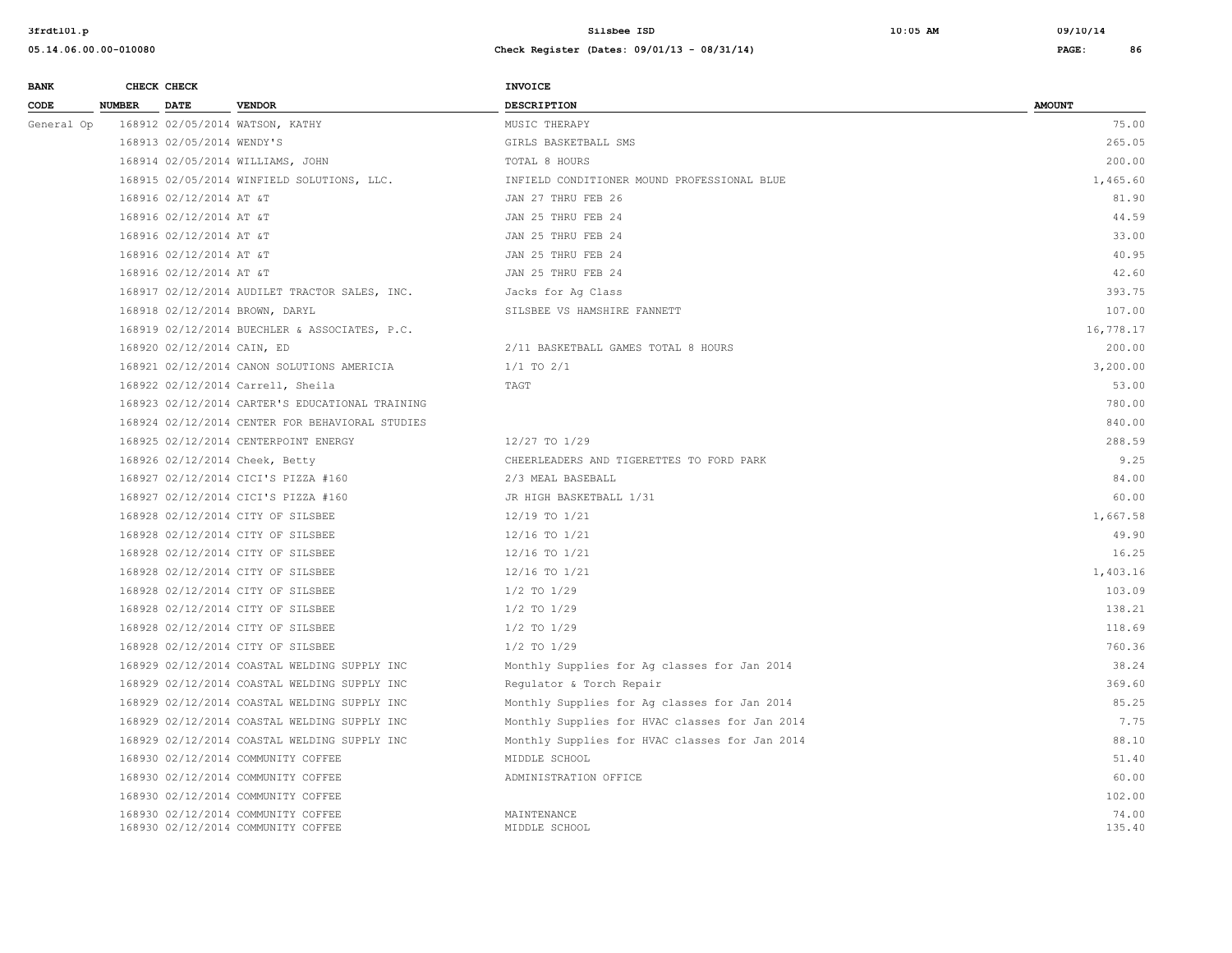| <b>BANK</b> |               | CHECK CHECK                |                                                                          | INVOICE                                        |                 |
|-------------|---------------|----------------------------|--------------------------------------------------------------------------|------------------------------------------------|-----------------|
| CODE        | <b>NUMBER</b> | <b>DATE</b>                | <b>VENDOR</b>                                                            | <b>DESCRIPTION</b>                             | <b>AMOUNT</b>   |
| General Op  |               |                            | 168912 02/05/2014 WATSON, KATHY                                          | MUSIC THERAPY                                  | 75.00           |
|             |               | 168913 02/05/2014 WENDY'S  |                                                                          | GIRLS BASKETBALL SMS                           | 265.05          |
|             |               |                            | 168914 02/05/2014 WILLIAMS, JOHN                                         | TOTAL 8 HOURS                                  | 200.00          |
|             |               |                            | 168915 02/05/2014 WINFIELD SOLUTIONS, LLC.                               | INFIELD CONDITIONER MOUND PROFESSIONAL BLUE    | 1,465.60        |
|             |               | 168916 02/12/2014 AT &T    |                                                                          | JAN 27 THRU FEB 26                             | 81.90           |
|             |               | 168916 02/12/2014 AT &T    |                                                                          | JAN 25 THRU FEB 24                             | 44.59           |
|             |               | 168916 02/12/2014 AT &T    |                                                                          | JAN 25 THRU FEB 24                             | 33.00           |
|             |               | 168916 02/12/2014 AT &T    |                                                                          | JAN 25 THRU FEB 24                             | 40.95           |
|             |               | 168916 02/12/2014 AT &T    |                                                                          | JAN 25 THRU FEB 24                             | 42.60           |
|             |               |                            | 168917 02/12/2014 AUDILET TRACTOR SALES, INC.                            | Jacks for Ag Class                             | 393.75          |
|             |               |                            | 168918 02/12/2014 BROWN, DARYL                                           | SILSBEE VS HAMSHIRE FANNETT                    | 107.00          |
|             |               |                            | 168919 02/12/2014 BUECHLER & ASSOCIATES, P.C.                            |                                                | 16,778.17       |
|             |               | 168920 02/12/2014 CAIN, ED |                                                                          | 2/11 BASKETBALL GAMES TOTAL 8 HOURS            | 200.00          |
|             |               |                            | 168921 02/12/2014 CANON SOLUTIONS AMERICIA                               | $1/1$ TO $2/1$                                 | 3,200.00        |
|             |               |                            | 168922 02/12/2014 Carrell, Sheila                                        | TAGT                                           | 53.00           |
|             |               |                            | 168923 02/12/2014 CARTER'S EDUCATIONAL TRAINING                          |                                                | 780.00          |
|             |               |                            | 168924 02/12/2014 CENTER FOR BEHAVIORAL STUDIES                          |                                                | 840.00          |
|             |               |                            | 168925 02/12/2014 CENTERPOINT ENERGY                                     | 12/27 TO 1/29                                  | 288.59          |
|             |               |                            | 168926 02/12/2014 Cheek, Betty                                           | CHEERLEADERS AND TIGERETTES TO FORD PARK       | 9.25            |
|             |               |                            | 168927 02/12/2014 CICI'S PIZZA #160                                      | 2/3 MEAL BASEBALL                              | 84.00           |
|             |               |                            | 168927 02/12/2014 CICI'S PIZZA #160                                      | JR HIGH BASKETBALL 1/31                        | 60.00           |
|             |               |                            | 168928 02/12/2014 CITY OF SILSBEE                                        | 12/19 TO 1/21                                  | 1,667.58        |
|             |               |                            | 168928 02/12/2014 CITY OF SILSBEE                                        | 12/16 TO 1/21                                  | 49.90           |
|             |               |                            | 168928 02/12/2014 CITY OF SILSBEE                                        | 12/16 TO 1/21                                  | 16.25           |
|             |               |                            | 168928 02/12/2014 CITY OF SILSBEE                                        | 12/16 TO 1/21                                  | 1,403.16        |
|             |               |                            | 168928 02/12/2014 CITY OF SILSBEE                                        | $1/2$ TO $1/29$                                | 103.09          |
|             |               |                            | 168928 02/12/2014 CITY OF SILSBEE                                        | $1/2$ TO $1/29$                                | 138.21          |
|             |               |                            | 168928 02/12/2014 CITY OF SILSBEE                                        | $1/2$ TO $1/29$                                | 118.69          |
|             |               |                            | 168928 02/12/2014 CITY OF SILSBEE                                        | $1/2$ TO $1/29$                                | 760.36          |
|             |               |                            | 168929 02/12/2014 COASTAL WELDING SUPPLY INC                             | Monthly Supplies for Ag classes for Jan 2014   | 38.24           |
|             |               |                            | 168929 02/12/2014 COASTAL WELDING SUPPLY INC                             | Requlator & Torch Repair                       | 369.60          |
|             |               |                            | 168929 02/12/2014 COASTAL WELDING SUPPLY INC                             | Monthly Supplies for Ag classes for Jan 2014   | 85.25           |
|             |               |                            | 168929 02/12/2014 COASTAL WELDING SUPPLY INC                             | Monthly Supplies for HVAC classes for Jan 2014 | 7.75            |
|             |               |                            | 168929 02/12/2014 COASTAL WELDING SUPPLY INC                             | Monthly Supplies for HVAC classes for Jan 2014 | 88.10           |
|             |               |                            | 168930 02/12/2014 COMMUNITY COFFEE                                       | MIDDLE SCHOOL                                  | 51.40           |
|             |               |                            | 168930 02/12/2014 COMMUNITY COFFEE                                       | ADMINISTRATION OFFICE                          | 60.00           |
|             |               |                            | 168930 02/12/2014 COMMUNITY COFFEE                                       |                                                | 102.00          |
|             |               |                            | 168930 02/12/2014 COMMUNITY COFFEE<br>168930 02/12/2014 COMMUNITY COFFEE | MAINTENANCE<br>MIDDLE SCHOOL                   | 74.00<br>135.40 |
|             |               |                            |                                                                          |                                                |                 |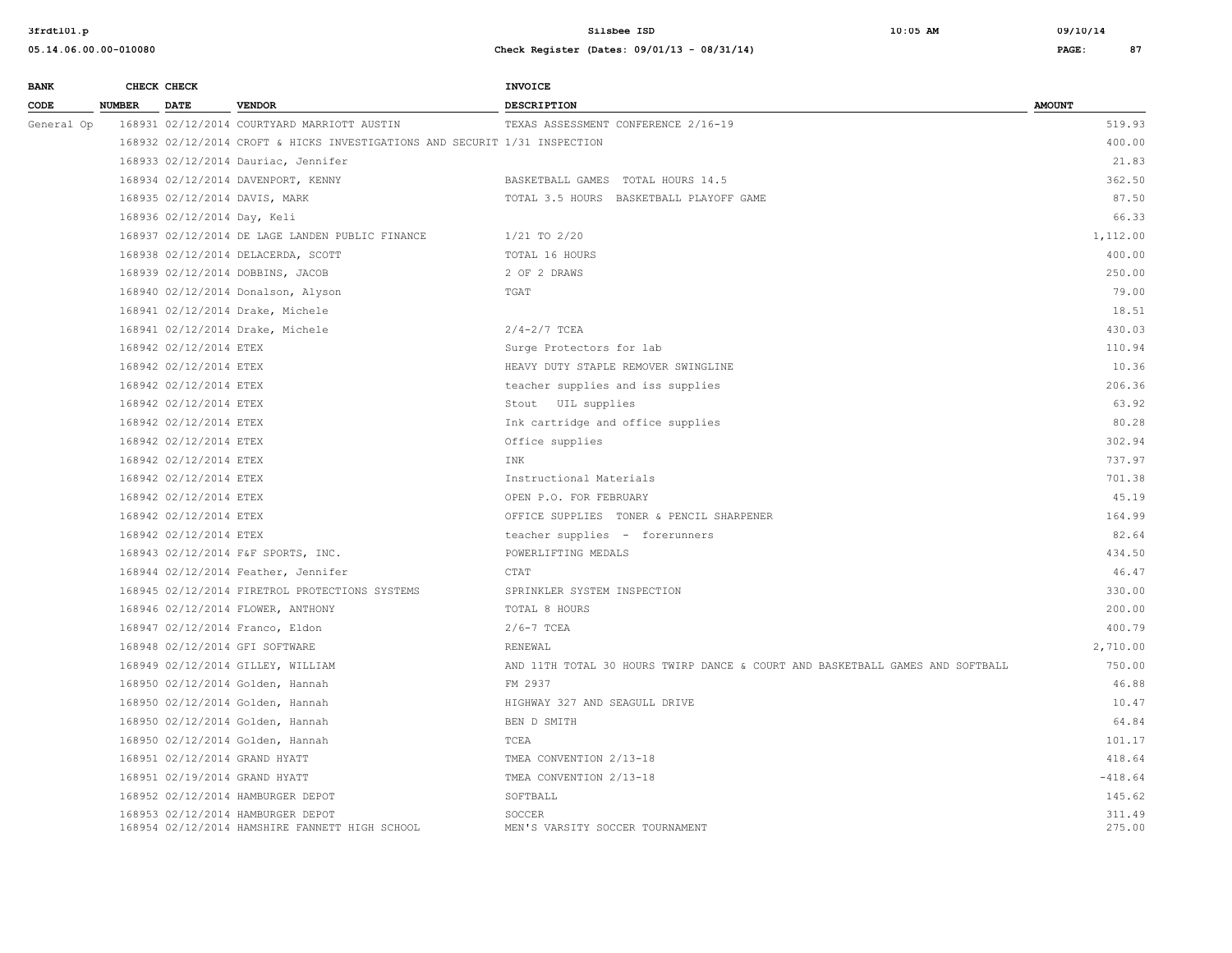| <b>BANK</b> |               | CHECK CHECK                 |                                                                                     | <b>INVOICE</b>                                                                |                  |
|-------------|---------------|-----------------------------|-------------------------------------------------------------------------------------|-------------------------------------------------------------------------------|------------------|
| CODE        | <b>NUMBER</b> | <b>DATE</b>                 | <b>VENDOR</b>                                                                       | <b>DESCRIPTION</b>                                                            | <b>AMOUNT</b>    |
| General Op  |               |                             | 168931 02/12/2014 COURTYARD MARRIOTT AUSTIN                                         | TEXAS ASSESSMENT CONFERENCE 2/16-19                                           | 519.93           |
|             |               |                             | 168932 02/12/2014 CROFT & HICKS INVESTIGATIONS AND SECURIT 1/31 INSPECTION          |                                                                               | 400.00           |
|             |               |                             | 168933 02/12/2014 Dauriac, Jennifer                                                 |                                                                               | 21.83            |
|             |               |                             | 168934 02/12/2014 DAVENPORT, KENNY                                                  | BASKETBALL GAMES TOTAL HOURS 14.5                                             | 362.50           |
|             |               |                             | 168935 02/12/2014 DAVIS, MARK                                                       | TOTAL 3.5 HOURS BASKETBALL PLAYOFF GAME                                       | 87.50            |
|             |               | 168936 02/12/2014 Day, Keli |                                                                                     |                                                                               | 66.33            |
|             |               |                             | 168937 02/12/2014 DE LAGE LANDEN PUBLIC FINANCE                                     | 1/21 TO 2/20                                                                  | 1,112.00         |
|             |               |                             | 168938 02/12/2014 DELACERDA, SCOTT                                                  | TOTAL 16 HOURS                                                                | 400.00           |
|             |               |                             | 168939 02/12/2014 DOBBINS, JACOB                                                    | 2 OF 2 DRAWS                                                                  | 250.00           |
|             |               |                             | 168940 02/12/2014 Donalson, Alyson                                                  | TGAT                                                                          | 79.00            |
|             |               |                             | 168941 02/12/2014 Drake, Michele                                                    |                                                                               | 18.51            |
|             |               |                             | 168941 02/12/2014 Drake, Michele                                                    | $2/4 - 2/7$ TCEA                                                              | 430.03           |
|             |               | 168942 02/12/2014 ETEX      |                                                                                     | Surge Protectors for lab                                                      | 110.94           |
|             |               | 168942 02/12/2014 ETEX      |                                                                                     | HEAVY DUTY STAPLE REMOVER SWINGLINE                                           | 10.36            |
|             |               | 168942 02/12/2014 ETEX      |                                                                                     | teacher supplies and iss supplies                                             | 206.36           |
|             |               | 168942 02/12/2014 ETEX      |                                                                                     | Stout UIL supplies                                                            | 63.92            |
|             |               | 168942 02/12/2014 ETEX      |                                                                                     | Ink cartridge and office supplies                                             | 80.28            |
|             |               | 168942 02/12/2014 ETEX      |                                                                                     | Office supplies                                                               | 302.94           |
|             |               | 168942 02/12/2014 ETEX      |                                                                                     | INK                                                                           | 737.97           |
|             |               | 168942 02/12/2014 ETEX      |                                                                                     | Instructional Materials                                                       | 701.38           |
|             |               | 168942 02/12/2014 ETEX      |                                                                                     | OPEN P.O. FOR FEBRUARY                                                        | 45.19            |
|             |               | 168942 02/12/2014 ETEX      |                                                                                     | OFFICE SUPPLIES TONER & PENCIL SHARPENER                                      | 164.99           |
|             |               | 168942 02/12/2014 ETEX      |                                                                                     | teacher supplies - forerunners                                                | 82.64            |
|             |               |                             | 168943 02/12/2014 F&F SPORTS, INC.                                                  | POWERLIFTING MEDALS                                                           | 434.50           |
|             |               |                             | 168944 02/12/2014 Feather, Jennifer                                                 | CTAT                                                                          | 46.47            |
|             |               |                             | 168945 02/12/2014 FIRETROL PROTECTIONS SYSTEMS                                      | SPRINKLER SYSTEM INSPECTION                                                   | 330.00           |
|             |               |                             | 168946 02/12/2014 FLOWER, ANTHONY                                                   | TOTAL 8 HOURS                                                                 | 200.00           |
|             |               |                             | 168947 02/12/2014 Franco, Eldon                                                     | $2/6 - 7$ TCEA                                                                | 400.79           |
|             |               |                             | 168948 02/12/2014 GFI SOFTWARE                                                      | RENEWAL                                                                       | 2,710.00         |
|             |               |                             | 168949 02/12/2014 GILLEY, WILLIAM                                                   | AND 11TH TOTAL 30 HOURS TWIRP DANCE & COURT AND BASKETBALL GAMES AND SOFTBALL | 750.00           |
|             |               |                             | 168950 02/12/2014 Golden, Hannah                                                    | FM 2937                                                                       | 46.88            |
|             |               |                             | 168950 02/12/2014 Golden, Hannah                                                    | HIGHWAY 327 AND SEAGULL DRIVE                                                 | 10.47            |
|             |               |                             | 168950 02/12/2014 Golden, Hannah                                                    | BEN D SMITH                                                                   | 64.84            |
|             |               |                             | 168950 02/12/2014 Golden, Hannah                                                    | TCEA                                                                          | 101.17           |
|             |               |                             | 168951 02/12/2014 GRAND HYATT                                                       | TMEA CONVENTION 2/13-18                                                       | 418.64           |
|             |               |                             | 168951 02/19/2014 GRAND HYATT                                                       | TMEA CONVENTION 2/13-18                                                       | $-418.64$        |
|             |               |                             | 168952 02/12/2014 HAMBURGER DEPOT                                                   | SOFTBALL                                                                      | 145.62           |
|             |               |                             | 168953 02/12/2014 HAMBURGER DEPOT<br>168954 02/12/2014 HAMSHIRE FANNETT HIGH SCHOOL | SOCCER<br>MEN'S VARSITY SOCCER TOURNAMENT                                     | 311.49<br>275.00 |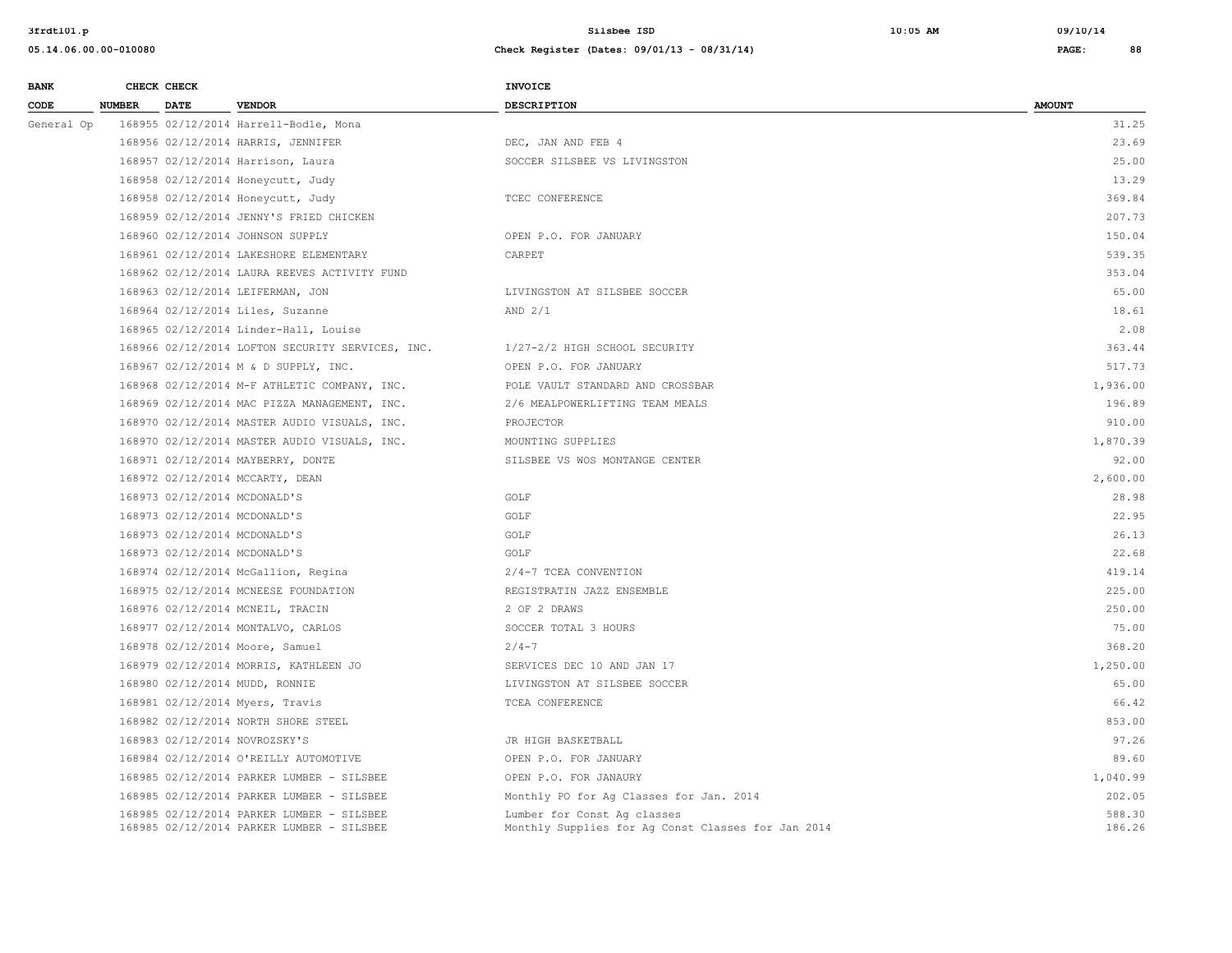| <b>BANK</b> |               | CHECK CHECK |                                                                                        | <b>INVOICE</b>                                                                    |                  |
|-------------|---------------|-------------|----------------------------------------------------------------------------------------|-----------------------------------------------------------------------------------|------------------|
| CODE        | <b>NUMBER</b> | <b>DATE</b> | <b>VENDOR</b>                                                                          | <b>DESCRIPTION</b>                                                                | <b>AMOUNT</b>    |
| General Op  |               |             | 168955 02/12/2014 Harrell-Bodle, Mona                                                  |                                                                                   | 31.25            |
|             |               |             | 168956 02/12/2014 HARRIS, JENNIFER                                                     | DEC, JAN AND FEB 4                                                                | 23.69            |
|             |               |             | 168957 02/12/2014 Harrison, Laura                                                      | SOCCER SILSBEE VS LIVINGSTON                                                      | 25.00            |
|             |               |             | 168958 02/12/2014 Honeycutt, Judy                                                      |                                                                                   | 13.29            |
|             |               |             | 168958 02/12/2014 Honeycutt, Judy                                                      | TCEC CONFERENCE                                                                   | 369.84           |
|             |               |             | 168959 02/12/2014 JENNY'S FRIED CHICKEN                                                |                                                                                   | 207.73           |
|             |               |             | 168960 02/12/2014 JOHNSON SUPPLY                                                       | OPEN P.O. FOR JANUARY                                                             | 150.04           |
|             |               |             | 168961 02/12/2014 LAKESHORE ELEMENTARY                                                 | CARPET                                                                            | 539.35           |
|             |               |             | 168962 02/12/2014 LAURA REEVES ACTIVITY FUND                                           |                                                                                   | 353.04           |
|             |               |             | 168963 02/12/2014 LEIFERMAN, JON                                                       | LIVINGSTON AT SILSBEE SOCCER                                                      | 65.00            |
|             |               |             | 168964 02/12/2014 Liles, Suzanne                                                       | AND $2/1$                                                                         | 18.61            |
|             |               |             | 168965 02/12/2014 Linder-Hall, Louise                                                  |                                                                                   | 2.08             |
|             |               |             | 168966 02/12/2014 LOFTON SECURITY SERVICES, INC.                                       | 1/27-2/2 HIGH SCHOOL SECURITY                                                     | 363.44           |
|             |               |             | 168967 02/12/2014 M & D SUPPLY, INC.                                                   | OPEN P.O. FOR JANUARY                                                             | 517.73           |
|             |               |             | 168968 02/12/2014 M-F ATHLETIC COMPANY, INC.                                           | POLE VAULT STANDARD AND CROSSBAR                                                  | 1,936.00         |
|             |               |             | 168969 02/12/2014 MAC PIZZA MANAGEMENT, INC.                                           | 2/6 MEALPOWERLIFTING TEAM MEALS                                                   | 196.89           |
|             |               |             | 168970 02/12/2014 MASTER AUDIO VISUALS, INC.                                           | PROJECTOR                                                                         | 910.00           |
|             |               |             | 168970 02/12/2014 MASTER AUDIO VISUALS, INC.                                           | MOUNTING SUPPLIES                                                                 | 1,870.39         |
|             |               |             | 168971 02/12/2014 MAYBERRY, DONTE                                                      | SILSBEE VS WOS MONTANGE CENTER                                                    | 92.00            |
|             |               |             | 168972 02/12/2014 MCCARTY, DEAN                                                        |                                                                                   | 2,600.00         |
|             |               |             | 168973 02/12/2014 MCDONALD'S                                                           | GOLF                                                                              | 28.98            |
|             |               |             | 168973 02/12/2014 MCDONALD'S                                                           | GOLF                                                                              | 22.95            |
|             |               |             | 168973 02/12/2014 MCDONALD'S                                                           | GOLF                                                                              | 26.13            |
|             |               |             | 168973 02/12/2014 MCDONALD'S                                                           | GOLF                                                                              | 22.68            |
|             |               |             | 168974 02/12/2014 McGallion, Regina                                                    | 2/4-7 TCEA CONVENTION                                                             | 419.14           |
|             |               |             | 168975 02/12/2014 MCNEESE FOUNDATION                                                   | REGISTRATIN JAZZ ENSEMBLE                                                         | 225.00           |
|             |               |             | 168976 02/12/2014 MCNEIL, TRACIN                                                       | 2 OF 2 DRAWS                                                                      | 250.00           |
|             |               |             | 168977 02/12/2014 MONTALVO, CARLOS                                                     | SOCCER TOTAL 3 HOURS                                                              | 75.00            |
|             |               |             | 168978 02/12/2014 Moore, Samuel                                                        | $2/4 - 7$                                                                         | 368.20           |
|             |               |             | 168979 02/12/2014 MORRIS, KATHLEEN JO                                                  | SERVICES DEC 10 AND JAN 17                                                        | 1,250.00         |
|             |               |             | 168980 02/12/2014 MUDD, RONNIE                                                         | LIVINGSTON AT SILSBEE SOCCER                                                      | 65.00            |
|             |               |             | 168981 02/12/2014 Myers, Travis                                                        | TCEA CONFERENCE                                                                   | 66.42            |
|             |               |             | 168982 02/12/2014 NORTH SHORE STEEL                                                    |                                                                                   | 853.00           |
|             |               |             | 168983 02/12/2014 NOVROZSKY'S                                                          | JR HIGH BASKETBALL                                                                | 97.26            |
|             |               |             | 168984 02/12/2014 O'REILLY AUTOMOTIVE                                                  | OPEN P.O. FOR JANUARY                                                             | 89.60            |
|             |               |             | 168985 02/12/2014 PARKER LUMBER - SILSBEE                                              | OPEN P.O. FOR JANAURY                                                             | 1,040.99         |
|             |               |             | 168985 02/12/2014 PARKER LUMBER - SILSBEE                                              | Monthly PO for Ag Classes for Jan. 2014                                           | 202.05           |
|             |               |             | 168985 02/12/2014 PARKER LUMBER - SILSBEE<br>168985 02/12/2014 PARKER LUMBER - SILSBEE | Lumber for Const Ag classes<br>Monthly Supplies for Ag Const Classes for Jan 2014 | 588.30<br>186.26 |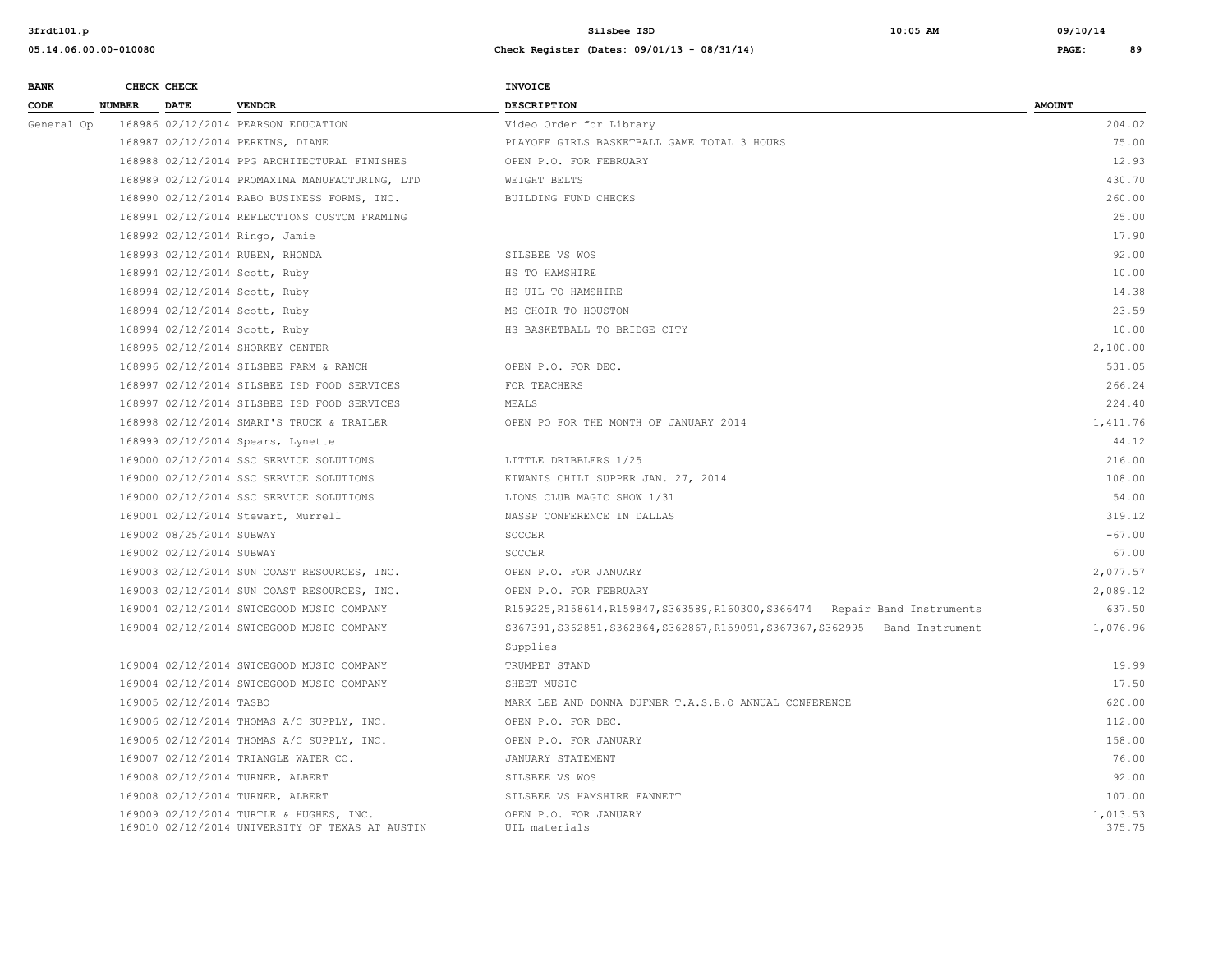| <b>BANK</b> |               | CHECK CHECK              |                                                                                            | <b>INVOICE</b>                                                                |                    |
|-------------|---------------|--------------------------|--------------------------------------------------------------------------------------------|-------------------------------------------------------------------------------|--------------------|
| CODE        | <b>NUMBER</b> | <b>DATE</b>              | <b>VENDOR</b>                                                                              | <b>DESCRIPTION</b>                                                            | <b>AMOUNT</b>      |
| General Op  |               |                          | 168986 02/12/2014 PEARSON EDUCATION                                                        | Video Order for Library                                                       | 204.02             |
|             |               |                          | 168987 02/12/2014 PERKINS, DIANE                                                           | PLAYOFF GIRLS BASKETBALL GAME TOTAL 3 HOURS                                   | 75.00              |
|             |               |                          | 168988 02/12/2014 PPG ARCHITECTURAL FINISHES                                               | OPEN P.O. FOR FEBRUARY                                                        | 12.93              |
|             |               |                          | 168989 02/12/2014 PROMAXIMA MANUFACTURING, LTD                                             | WEIGHT BELTS                                                                  | 430.70             |
|             |               |                          | 168990 02/12/2014 RABO BUSINESS FORMS, INC.                                                | BUILDING FUND CHECKS                                                          | 260.00             |
|             |               |                          | 168991 02/12/2014 REFLECTIONS CUSTOM FRAMING                                               |                                                                               | 25.00              |
|             |               |                          | 168992 02/12/2014 Ringo, Jamie                                                             |                                                                               | 17.90              |
|             |               |                          | 168993 02/12/2014 RUBEN, RHONDA                                                            | SILSBEE VS WOS                                                                | 92.00              |
|             |               |                          | 168994 02/12/2014 Scott, Ruby                                                              | HS TO HAMSHIRE                                                                | 10.00              |
|             |               |                          | 168994 02/12/2014 Scott, Ruby                                                              | HS UIL TO HAMSHIRE                                                            | 14.38              |
|             |               |                          | 168994 02/12/2014 Scott, Ruby                                                              | MS CHOIR TO HOUSTON                                                           | 23.59              |
|             |               |                          | 168994 02/12/2014 Scott, Ruby                                                              | HS BASKETBALL TO BRIDGE CITY                                                  | 10.00              |
|             |               |                          | 168995 02/12/2014 SHORKEY CENTER                                                           |                                                                               | 2,100.00           |
|             |               |                          | 168996 02/12/2014 SILSBEE FARM & RANCH                                                     | OPEN P.O. FOR DEC.                                                            | 531.05             |
|             |               |                          | 168997 02/12/2014 SILSBEE ISD FOOD SERVICES                                                | FOR TEACHERS                                                                  | 266.24             |
|             |               |                          | 168997 02/12/2014 SILSBEE ISD FOOD SERVICES                                                | MEALS                                                                         | 224.40             |
|             |               |                          | 168998 02/12/2014 SMART'S TRUCK & TRAILER                                                  | OPEN PO FOR THE MONTH OF JANUARY 2014                                         | 1,411.76           |
|             |               |                          | 168999 02/12/2014 Spears, Lynette                                                          |                                                                               | 44.12              |
|             |               |                          | 169000 02/12/2014 SSC SERVICE SOLUTIONS                                                    | LITTLE DRIBBLERS 1/25                                                         | 216.00             |
|             |               |                          | 169000 02/12/2014 SSC SERVICE SOLUTIONS                                                    | KIWANIS CHILI SUPPER JAN. 27, 2014                                            | 108.00             |
|             |               |                          | 169000 02/12/2014 SSC SERVICE SOLUTIONS                                                    | LIONS CLUB MAGIC SHOW 1/31                                                    | 54.00              |
|             |               |                          | 169001 02/12/2014 Stewart, Murrell                                                         | NASSP CONFERENCE IN DALLAS                                                    | 319.12             |
|             |               | 169002 08/25/2014 SUBWAY |                                                                                            | SOCCER                                                                        | $-67.00$           |
|             |               | 169002 02/12/2014 SUBWAY |                                                                                            | SOCCER                                                                        | 67.00              |
|             |               |                          | 169003 02/12/2014 SUN COAST RESOURCES, INC.                                                | OPEN P.O. FOR JANUARY                                                         | 2,077.57           |
|             |               |                          | 169003 02/12/2014 SUN COAST RESOURCES, INC.                                                | OPEN P.O. FOR FEBRUARY                                                        | 2,089.12           |
|             |               |                          | 169004 02/12/2014 SWICEGOOD MUSIC COMPANY                                                  | R159225, R158614, R159847, S363589, R160300, S366474 Repair Band Instruments  | 637.50             |
|             |               |                          | 169004 02/12/2014 SWICEGOOD MUSIC COMPANY                                                  | S367391, S362851, S362864, S362867, R159091, S367367, S362995 Band Instrument | 1,076.96           |
|             |               |                          |                                                                                            | Supplies                                                                      |                    |
|             |               |                          | 169004 02/12/2014 SWICEGOOD MUSIC COMPANY                                                  | TRUMPET STAND                                                                 | 19.99              |
|             |               |                          | 169004 02/12/2014 SWICEGOOD MUSIC COMPANY                                                  | SHEET MUSIC                                                                   | 17.50              |
|             |               | 169005 02/12/2014 TASBO  |                                                                                            | MARK LEE AND DONNA DUFNER T.A.S.B.O ANNUAL CONFERENCE                         | 620.00             |
|             |               |                          | 169006 02/12/2014 THOMAS A/C SUPPLY, INC.                                                  | OPEN P.O. FOR DEC.                                                            | 112.00             |
|             |               |                          | 169006 02/12/2014 THOMAS A/C SUPPLY, INC.                                                  | OPEN P.O. FOR JANUARY                                                         | 158.00             |
|             |               |                          | 169007 02/12/2014 TRIANGLE WATER CO.                                                       | JANUARY STATEMENT                                                             | 76.00              |
|             |               |                          | 169008 02/12/2014 TURNER, ALBERT                                                           | SILSBEE VS WOS                                                                | 92.00              |
|             |               |                          | 169008 02/12/2014 TURNER, ALBERT                                                           | SILSBEE VS HAMSHIRE FANNETT                                                   | 107.00             |
|             |               |                          | 169009 02/12/2014 TURTLE & HUGHES, INC.<br>169010 02/12/2014 UNIVERSITY OF TEXAS AT AUSTIN | OPEN P.O. FOR JANUARY<br>UIL materials                                        | 1,013.53<br>375.75 |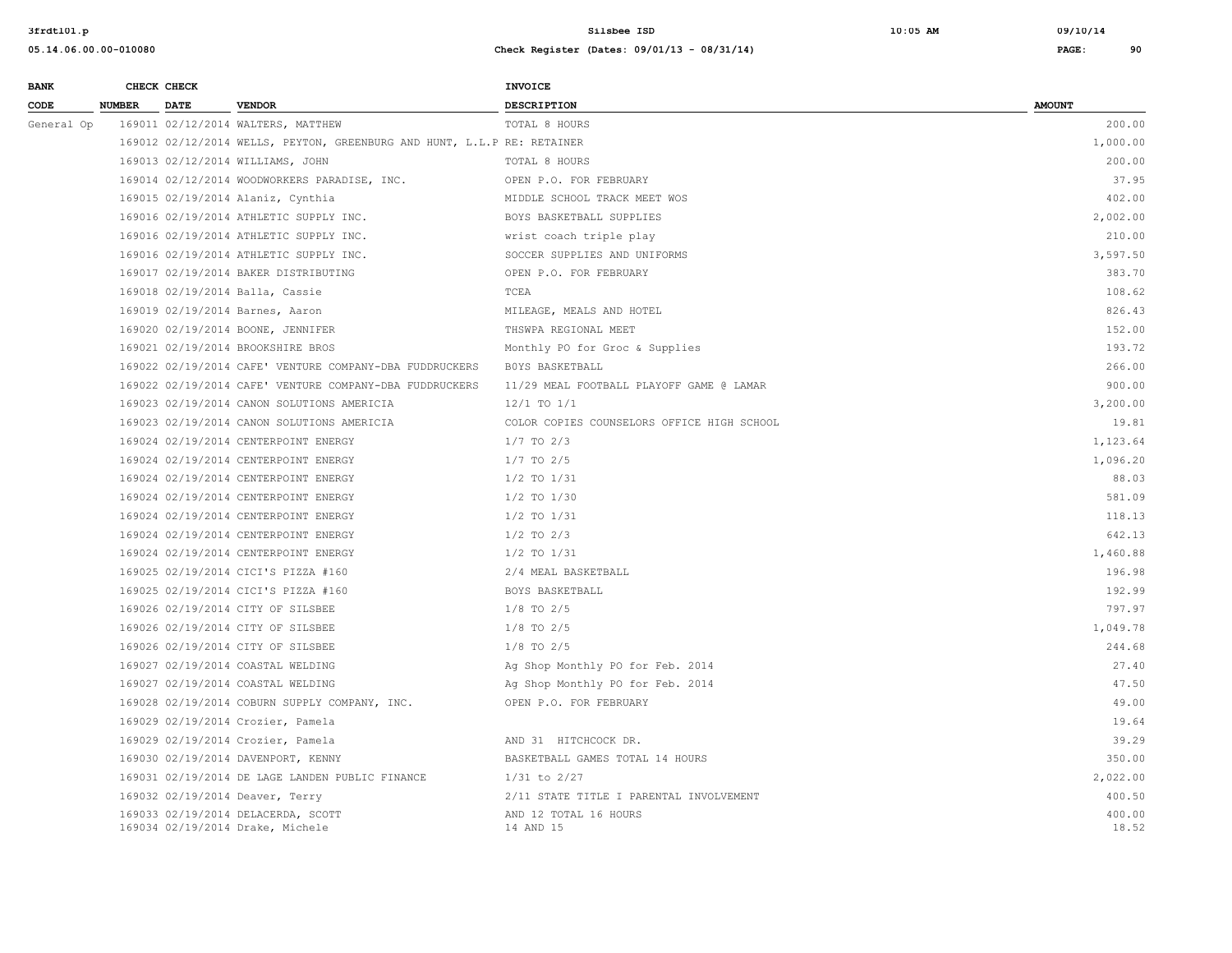| <b>BANK</b> |               | CHECK CHECK |                                                                         | INVOICE                                    |                 |
|-------------|---------------|-------------|-------------------------------------------------------------------------|--------------------------------------------|-----------------|
| CODE        | <b>NUMBER</b> | <b>DATE</b> | <b>VENDOR</b>                                                           | <b>DESCRIPTION</b>                         | <b>AMOUNT</b>   |
| General Op  |               |             | 169011 02/12/2014 WALTERS, MATTHEW                                      | TOTAL 8 HOURS                              | 200.00          |
|             |               |             | 169012 02/12/2014 WELLS, PEYTON, GREENBURG AND HUNT, L.L.P RE: RETAINER |                                            | 1,000.00        |
|             |               |             | 169013 02/12/2014 WILLIAMS, JOHN                                        | TOTAL 8 HOURS                              | 200.00          |
|             |               |             | 169014 02/12/2014 WOODWORKERS PARADISE, INC.                            | OPEN P.O. FOR FEBRUARY                     | 37.95           |
|             |               |             | 169015 02/19/2014 Alaniz, Cynthia                                       | MIDDLE SCHOOL TRACK MEET WOS               | 402.00          |
|             |               |             | 169016 02/19/2014 ATHLETIC SUPPLY INC.                                  | BOYS BASKETBALL SUPPLIES                   | 2,002.00        |
|             |               |             | 169016 02/19/2014 ATHLETIC SUPPLY INC.                                  | wrist coach triple play                    | 210.00          |
|             |               |             | 169016 02/19/2014 ATHLETIC SUPPLY INC.                                  | SOCCER SUPPLIES AND UNIFORMS               | 3,597.50        |
|             |               |             | 169017 02/19/2014 BAKER DISTRIBUTING                                    | OPEN P.O. FOR FEBRUARY                     | 383.70          |
|             |               |             | 169018 02/19/2014 Balla, Cassie                                         | TCEA                                       | 108.62          |
|             |               |             | 169019 02/19/2014 Barnes, Aaron                                         | MILEAGE, MEALS AND HOTEL                   | 826.43          |
|             |               |             | 169020 02/19/2014 BOONE, JENNIFER                                       | THSWPA REGIONAL MEET                       | 152.00          |
|             |               |             | 169021 02/19/2014 BROOKSHIRE BROS                                       | Monthly PO for Groc & Supplies             | 193.72          |
|             |               |             | 169022 02/19/2014 CAFE' VENTURE COMPANY-DBA FUDDRUCKERS                 | BOYS BASKETBALL                            | 266.00          |
|             |               |             | 169022 02/19/2014 CAFE' VENTURE COMPANY-DBA FUDDRUCKERS                 | 11/29 MEAL FOOTBALL PLAYOFF GAME @ LAMAR   | 900.00          |
|             |               |             | 169023 02/19/2014 CANON SOLUTIONS AMERICIA                              | $12/1$ TO $1/1$                            | 3,200.00        |
|             |               |             | 169023 02/19/2014 CANON SOLUTIONS AMERICIA                              | COLOR COPIES COUNSELORS OFFICE HIGH SCHOOL | 19.81           |
|             |               |             | 169024 02/19/2014 CENTERPOINT ENERGY                                    | $1/7$ TO $2/3$                             | 1,123.64        |
|             |               |             | 169024 02/19/2014 CENTERPOINT ENERGY                                    | $1/7$ TO $2/5$                             | 1,096.20        |
|             |               |             | 169024 02/19/2014 CENTERPOINT ENERGY                                    | $1/2$ TO $1/31$                            | 88.03           |
|             |               |             | 169024 02/19/2014 CENTERPOINT ENERGY                                    | $1/2$ TO $1/30$                            | 581.09          |
|             |               |             | 169024 02/19/2014 CENTERPOINT ENERGY                                    | $1/2$ TO $1/31$                            | 118.13          |
|             |               |             | 169024 02/19/2014 CENTERPOINT ENERGY                                    | $1/2$ TO $2/3$                             | 642.13          |
|             |               |             | 169024 02/19/2014 CENTERPOINT ENERGY                                    | $1/2$ TO $1/31$                            | 1,460.88        |
|             |               |             | 169025 02/19/2014 CICI'S PIZZA #160                                     | 2/4 MEAL BASKETBALL                        | 196.98          |
|             |               |             | 169025 02/19/2014 CICI'S PIZZA #160                                     | BOYS BASKETBALL                            | 192.99          |
|             |               |             | 169026 02/19/2014 CITY OF SILSBEE                                       | $1/8$ TO $2/5$                             | 797.97          |
|             |               |             | 169026 02/19/2014 CITY OF SILSBEE                                       | $1/8$ TO $2/5$                             | 1,049.78        |
|             |               |             | 169026 02/19/2014 CITY OF SILSBEE                                       | $1/8$ TO $2/5$                             | 244.68          |
|             |               |             | 169027 02/19/2014 COASTAL WELDING                                       | Ag Shop Monthly PO for Feb. 2014           | 27.40           |
|             |               |             | 169027 02/19/2014 COASTAL WELDING                                       | Ag Shop Monthly PO for Feb. 2014           | 47.50           |
|             |               |             | 169028 02/19/2014 COBURN SUPPLY COMPANY, INC.                           | OPEN P.O. FOR FEBRUARY                     | 49.00           |
|             |               |             | 169029 02/19/2014 Crozier, Pamela                                       |                                            | 19.64           |
|             |               |             | 169029 02/19/2014 Crozier, Pamela                                       | AND 31 HITCHCOCK DR.                       | 39.29           |
|             |               |             | 169030 02/19/2014 DAVENPORT, KENNY                                      | BASKETBALL GAMES TOTAL 14 HOURS            | 350.00          |
|             |               |             | 169031 02/19/2014 DE LAGE LANDEN PUBLIC FINANCE                         | 1/31 to 2/27                               | 2,022.00        |
|             |               |             | 169032 02/19/2014 Deaver, Terry                                         | 2/11 STATE TITLE I PARENTAL INVOLVEMENT    | 400.50          |
|             |               |             | 169033 02/19/2014 DELACERDA, SCOTT<br>169034 02/19/2014 Drake, Michele  | AND 12 TOTAL 16 HOURS<br>14 AND 15         | 400.00<br>18.52 |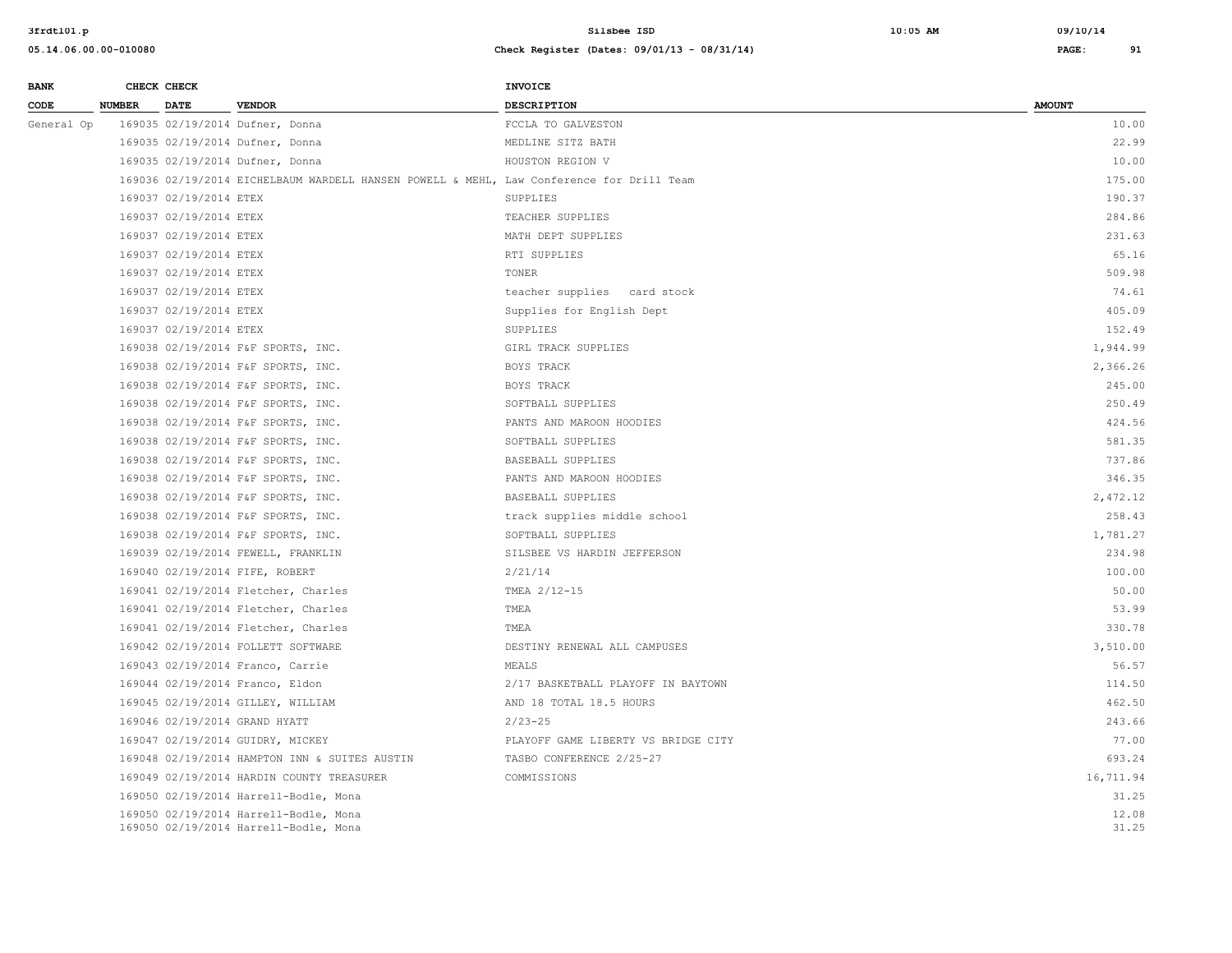| <b>BANK</b> |               | CHECK CHECK            |                                                                                          | <b>INVOICE</b>                      |                |
|-------------|---------------|------------------------|------------------------------------------------------------------------------------------|-------------------------------------|----------------|
| CODE        | <b>NUMBER</b> | <b>DATE</b>            | <b>VENDOR</b>                                                                            | <b>DESCRIPTION</b>                  | <b>AMOUNT</b>  |
| General Op  |               |                        | 169035 02/19/2014 Dufner, Donna                                                          | FCCLA TO GALVESTON                  | 10.00          |
|             |               |                        | 169035 02/19/2014 Dufner, Donna                                                          | MEDLINE SITZ BATH                   | 22.99          |
|             |               |                        | 169035 02/19/2014 Dufner, Donna                                                          | HOUSTON REGION V                    | 10.00          |
|             |               |                        | 169036 02/19/2014 EICHELBAUM WARDELL HANSEN POWELL & MEHL, Law Conference for Drill Team |                                     | 175.00         |
|             |               | 169037 02/19/2014 ETEX |                                                                                          | SUPPLIES                            | 190.37         |
|             |               | 169037 02/19/2014 ETEX |                                                                                          | TEACHER SUPPLIES                    | 284.86         |
|             |               | 169037 02/19/2014 ETEX |                                                                                          | MATH DEPT SUPPLIES                  | 231.63         |
|             |               | 169037 02/19/2014 ETEX |                                                                                          | RTI SUPPLIES                        | 65.16          |
|             |               | 169037 02/19/2014 ETEX |                                                                                          | TONER                               | 509.98         |
|             |               | 169037 02/19/2014 ETEX |                                                                                          | teacher supplies card stock         | 74.61          |
|             |               | 169037 02/19/2014 ETEX |                                                                                          | Supplies for English Dept           | 405.09         |
|             |               | 169037 02/19/2014 ETEX |                                                                                          | SUPPLIES                            | 152.49         |
|             |               |                        | 169038 02/19/2014 F&F SPORTS, INC.                                                       | GIRL TRACK SUPPLIES                 | 1,944.99       |
|             |               |                        | 169038 02/19/2014 F&F SPORTS, INC.                                                       | BOYS TRACK                          | 2,366.26       |
|             |               |                        | 169038 02/19/2014 F&F SPORTS, INC.                                                       | BOYS TRACK                          | 245.00         |
|             |               |                        | 169038 02/19/2014 F&F SPORTS, INC.                                                       | SOFTBALL SUPPLIES                   | 250.49         |
|             |               |                        | 169038 02/19/2014 F&F SPORTS, INC.                                                       | PANTS AND MAROON HOODIES            | 424.56         |
|             |               |                        | 169038 02/19/2014 F&F SPORTS, INC.                                                       | SOFTBALL SUPPLIES                   | 581.35         |
|             |               |                        | 169038 02/19/2014 F&F SPORTS, INC.                                                       | BASEBALL SUPPLIES                   | 737.86         |
|             |               |                        | 169038 02/19/2014 F&F SPORTS, INC.                                                       | PANTS AND MAROON HOODIES            | 346.35         |
|             |               |                        | 169038 02/19/2014 F&F SPORTS, INC.                                                       | BASEBALL SUPPLIES                   | 2,472.12       |
|             |               |                        | 169038 02/19/2014 F&F SPORTS, INC.                                                       | track supplies middle school        | 258.43         |
|             |               |                        | 169038 02/19/2014 F&F SPORTS, INC.                                                       | SOFTBALL SUPPLIES                   | 1,781.27       |
|             |               |                        | 169039 02/19/2014 FEWELL, FRANKLIN                                                       | SILSBEE VS HARDIN JEFFERSON         | 234.98         |
|             |               |                        | 169040 02/19/2014 FIFE, ROBERT                                                           | 2/21/14                             | 100.00         |
|             |               |                        | 169041 02/19/2014 Fletcher, Charles                                                      | TMEA 2/12-15                        | 50.00          |
|             |               |                        | 169041 02/19/2014 Fletcher, Charles                                                      | TMEA                                | 53.99          |
|             |               |                        | 169041 02/19/2014 Fletcher, Charles                                                      | TMEA                                | 330.78         |
|             |               |                        | 169042 02/19/2014 FOLLETT SOFTWARE                                                       | DESTINY RENEWAL ALL CAMPUSES        | 3,510.00       |
|             |               |                        | 169043 02/19/2014 Franco, Carrie                                                         | MEALS                               | 56.57          |
|             |               |                        | 169044 02/19/2014 Franco, Eldon                                                          | 2/17 BASKETBALL PLAYOFF IN BAYTOWN  | 114.50         |
|             |               |                        | 169045 02/19/2014 GILLEY, WILLIAM                                                        | AND 18 TOTAL 18.5 HOURS             | 462.50         |
|             |               |                        | 169046 02/19/2014 GRAND HYATT                                                            | $2/23 - 25$                         | 243.66         |
|             |               |                        | 169047 02/19/2014 GUIDRY, MICKEY                                                         | PLAYOFF GAME LIBERTY VS BRIDGE CITY | 77.00          |
|             |               |                        | 169048 02/19/2014 HAMPTON INN & SUITES AUSTIN                                            | TASBO CONFERENCE 2/25-27            | 693.24         |
|             |               |                        | 169049 02/19/2014 HARDIN COUNTY TREASURER                                                | COMMISSIONS                         | 16,711.94      |
|             |               |                        | 169050 02/19/2014 Harrell-Bodle, Mona                                                    |                                     | 31.25          |
|             |               |                        | 169050 02/19/2014 Harrell-Bodle, Mona<br>169050 02/19/2014 Harrell-Bodle, Mona           |                                     | 12.08<br>31.25 |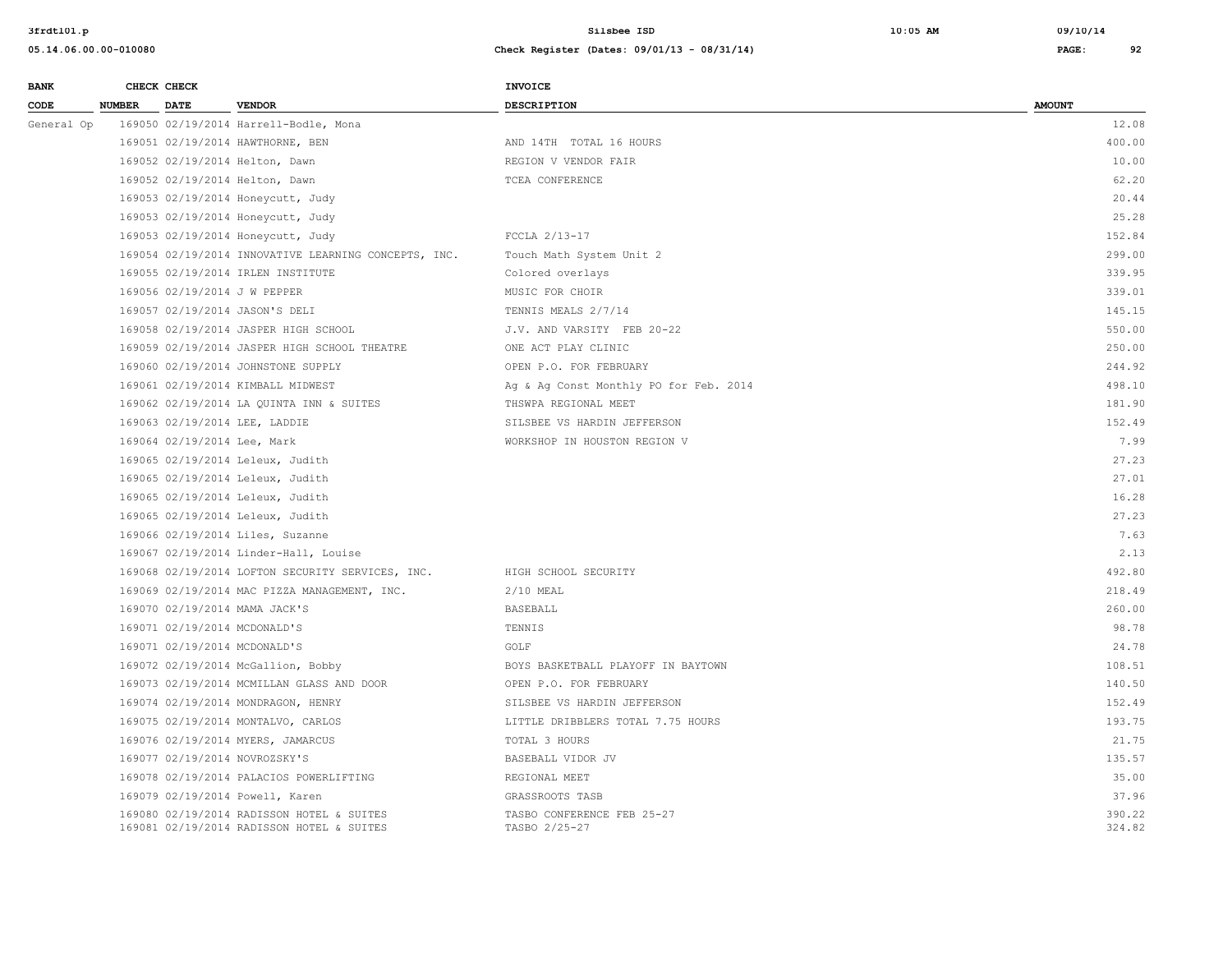| <b>BANK</b> |               | CHECK CHECK                 |                                                                                        | INVOICE                                     |                  |
|-------------|---------------|-----------------------------|----------------------------------------------------------------------------------------|---------------------------------------------|------------------|
| CODE        | <b>NUMBER</b> | <b>DATE</b>                 | <b>VENDOR</b>                                                                          | <b>DESCRIPTION</b>                          | <b>AMOUNT</b>    |
| General Op  |               |                             | 169050 02/19/2014 Harrell-Bodle, Mona                                                  |                                             | 12.08            |
|             |               |                             | 169051 02/19/2014 HAWTHORNE, BEN                                                       | AND 14TH TOTAL 16 HOURS                     | 400.00           |
|             |               |                             | 169052 02/19/2014 Helton, Dawn                                                         | REGION V VENDOR FAIR                        | 10.00            |
|             |               |                             | 169052 02/19/2014 Helton, Dawn                                                         | TCEA CONFERENCE                             | 62.20            |
|             |               |                             | 169053 02/19/2014 Honeycutt, Judy                                                      |                                             | 20.44            |
|             |               |                             | 169053 02/19/2014 Honeycutt, Judy                                                      |                                             | 25.28            |
|             |               |                             | 169053 02/19/2014 Honeycutt, Judy                                                      | FCCLA 2/13-17                               | 152.84           |
|             |               |                             | 169054 02/19/2014 INNOVATIVE LEARNING CONCEPTS, INC.                                   | Touch Math System Unit 2                    | 299.00           |
|             |               |                             | 169055 02/19/2014 IRLEN INSTITUTE                                                      | Colored overlays                            | 339.95           |
|             |               |                             | 169056 02/19/2014 J W PEPPER                                                           | MUSIC FOR CHOIR                             | 339.01           |
|             |               |                             | 169057 02/19/2014 JASON'S DELI                                                         | TENNIS MEALS 2/7/14                         | 145.15           |
|             |               |                             | 169058 02/19/2014 JASPER HIGH SCHOOL                                                   | J.V. AND VARSITY FEB 20-22                  | 550.00           |
|             |               |                             | 169059 02/19/2014 JASPER HIGH SCHOOL THEATRE                                           | ONE ACT PLAY CLINIC                         | 250.00           |
|             |               |                             | 169060 02/19/2014 JOHNSTONE SUPPLY                                                     | OPEN P.O. FOR FEBRUARY                      | 244.92           |
|             |               |                             | 169061 02/19/2014 KIMBALL MIDWEST                                                      | Ag & Ag Const Monthly PO for Feb. 2014      | 498.10           |
|             |               |                             | 169062 02/19/2014 LA QUINTA INN & SUITES                                               | THSWPA REGIONAL MEET                        | 181.90           |
|             |               |                             | 169063 02/19/2014 LEE, LADDIE                                                          | SILSBEE VS HARDIN JEFFERSON                 | 152.49           |
|             |               | 169064 02/19/2014 Lee, Mark |                                                                                        | WORKSHOP IN HOUSTON REGION V                | 7.99             |
|             |               |                             | 169065 02/19/2014 Leleux, Judith                                                       |                                             | 27.23            |
|             |               |                             | 169065 02/19/2014 Leleux, Judith                                                       |                                             | 27.01            |
|             |               |                             | 169065 02/19/2014 Leleux, Judith                                                       |                                             | 16.28            |
|             |               |                             | 169065 02/19/2014 Leleux, Judith                                                       |                                             | 27.23            |
|             |               |                             | 169066 02/19/2014 Liles, Suzanne                                                       |                                             | 7.63             |
|             |               |                             | 169067 02/19/2014 Linder-Hall, Louise                                                  |                                             | 2.13             |
|             |               |                             | 169068 02/19/2014 LOFTON SECURITY SERVICES, INC.                                       | HIGH SCHOOL SECURITY                        | 492.80           |
|             |               |                             | 169069 02/19/2014 MAC PIZZA MANAGEMENT, INC.                                           | $2/10$ MEAL                                 | 218.49           |
|             |               |                             | 169070 02/19/2014 MAMA JACK'S                                                          | <b>BASEBALL</b>                             | 260.00           |
|             |               |                             | 169071 02/19/2014 MCDONALD'S                                                           | TENNIS                                      | 98.78            |
|             |               |                             | 169071 02/19/2014 MCDONALD'S                                                           | GOLF                                        | 24.78            |
|             |               |                             | 169072 02/19/2014 McGallion, Bobby                                                     | BOYS BASKETBALL PLAYOFF IN BAYTOWN          | 108.51           |
|             |               |                             | 169073 02/19/2014 MCMILLAN GLASS AND DOOR                                              | OPEN P.O. FOR FEBRUARY                      | 140.50           |
|             |               |                             | 169074 02/19/2014 MONDRAGON, HENRY                                                     | SILSBEE VS HARDIN JEFFERSON                 | 152.49           |
|             |               |                             | 169075 02/19/2014 MONTALVO, CARLOS                                                     | LITTLE DRIBBLERS TOTAL 7.75 HOURS           | 193.75           |
|             |               |                             | 169076 02/19/2014 MYERS, JAMARCUS                                                      | TOTAL 3 HOURS                               | 21.75            |
|             |               |                             | 169077 02/19/2014 NOVROZSKY'S                                                          | BASEBALL VIDOR JV                           | 135.57           |
|             |               |                             | 169078 02/19/2014 PALACIOS POWERLIFTING                                                | REGIONAL MEET                               | 35.00            |
|             |               |                             | 169079 02/19/2014 Powell, Karen                                                        | GRASSROOTS TASB                             | 37.96            |
|             |               |                             | 169080 02/19/2014 RADISSON HOTEL & SUITES<br>169081 02/19/2014 RADISSON HOTEL & SUITES | TASBO CONFERENCE FEB 25-27<br>TASBO 2/25-27 | 390.22<br>324.82 |
|             |               |                             |                                                                                        |                                             |                  |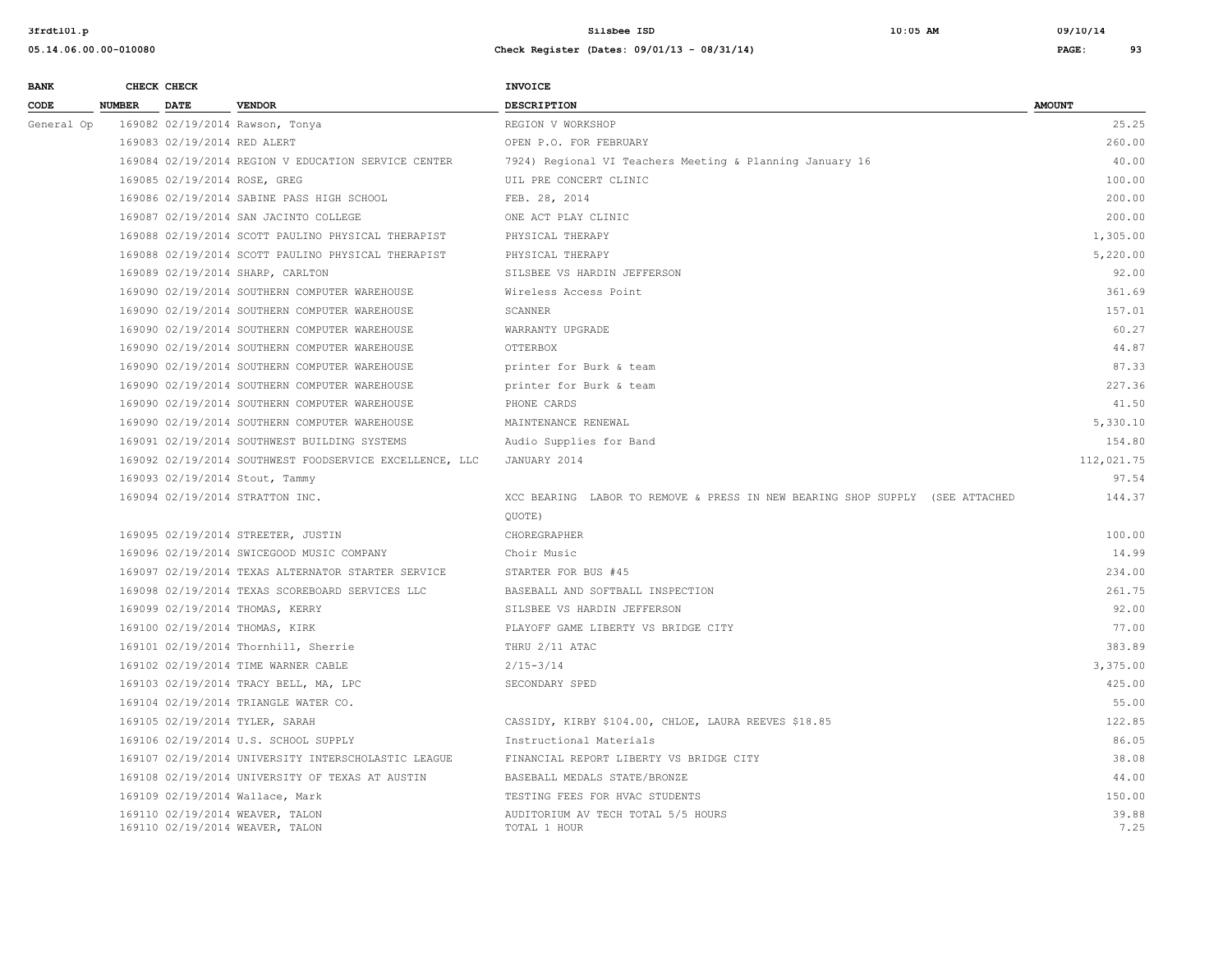| <b>BANK</b> |               | CHECK CHECK                 |                                                                    | <b>INVOICE</b>                                                               |               |
|-------------|---------------|-----------------------------|--------------------------------------------------------------------|------------------------------------------------------------------------------|---------------|
| CODE        | <b>NUMBER</b> | DATE                        | <b>VENDOR</b>                                                      | <b>DESCRIPTION</b>                                                           | <b>AMOUNT</b> |
| General Op  |               |                             | 169082 02/19/2014 Rawson, Tonya                                    | REGION V WORKSHOP                                                            | 25.25         |
|             |               | 169083 02/19/2014 RED ALERT |                                                                    | OPEN P.O. FOR FEBRUARY                                                       | 260.00        |
|             |               |                             | 169084 02/19/2014 REGION V EDUCATION SERVICE CENTER                | 7924) Regional VI Teachers Meeting & Planning January 16                     | 40.00         |
|             |               |                             | 169085 02/19/2014 ROSE, GREG                                       | UIL PRE CONCERT CLINIC                                                       | 100.00        |
|             |               |                             | 169086 02/19/2014 SABINE PASS HIGH SCHOOL                          | FEB. 28, 2014                                                                | 200.00        |
|             |               |                             | 169087 02/19/2014 SAN JACINTO COLLEGE                              | ONE ACT PLAY CLINIC                                                          | 200.00        |
|             |               |                             | 169088 02/19/2014 SCOTT PAULINO PHYSICAL THERAPIST                 | PHYSICAL THERAPY                                                             | 1,305.00      |
|             |               |                             | 169088 02/19/2014 SCOTT PAULINO PHYSICAL THERAPIST                 | PHYSICAL THERAPY                                                             | 5,220.00      |
|             |               |                             | 169089 02/19/2014 SHARP, CARLTON                                   | SILSBEE VS HARDIN JEFFERSON                                                  | 92.00         |
|             |               |                             | 169090 02/19/2014 SOUTHERN COMPUTER WAREHOUSE                      | Wireless Access Point                                                        | 361.69        |
|             |               |                             | 169090 02/19/2014 SOUTHERN COMPUTER WAREHOUSE                      | SCANNER                                                                      | 157.01        |
|             |               |                             | 169090 02/19/2014 SOUTHERN COMPUTER WAREHOUSE                      | WARRANTY UPGRADE                                                             | 60.27         |
|             |               |                             | 169090 02/19/2014 SOUTHERN COMPUTER WAREHOUSE                      | OTTERBOX                                                                     | 44.87         |
|             |               |                             | 169090 02/19/2014 SOUTHERN COMPUTER WAREHOUSE                      | printer for Burk & team                                                      | 87.33         |
|             |               |                             | 169090 02/19/2014 SOUTHERN COMPUTER WAREHOUSE                      | printer for Burk & team                                                      | 227.36        |
|             |               |                             | 169090 02/19/2014 SOUTHERN COMPUTER WAREHOUSE                      | PHONE CARDS                                                                  | 41.50         |
|             |               |                             | 169090 02/19/2014 SOUTHERN COMPUTER WAREHOUSE                      | MAINTENANCE RENEWAL                                                          | 5,330.10      |
|             |               |                             | 169091 02/19/2014 SOUTHWEST BUILDING SYSTEMS                       | Audio Supplies for Band                                                      | 154.80        |
|             |               |                             | 169092 02/19/2014 SOUTHWEST FOODSERVICE EXCELLENCE, LLC            | JANUARY 2014                                                                 | 112,021.75    |
|             |               |                             | 169093 02/19/2014 Stout, Tammy                                     |                                                                              | 97.54         |
|             |               |                             | 169094 02/19/2014 STRATTON INC.                                    | XCC BEARING LABOR TO REMOVE & PRESS IN NEW BEARING SHOP SUPPLY (SEE ATTACHED | 144.37        |
|             |               |                             |                                                                    | QUOTE)                                                                       |               |
|             |               |                             | 169095 02/19/2014 STREETER, JUSTIN                                 | CHOREGRAPHER                                                                 | 100.00        |
|             |               |                             | 169096 02/19/2014 SWICEGOOD MUSIC COMPANY                          | Choir Music                                                                  | 14.99         |
|             |               |                             | 169097 02/19/2014 TEXAS ALTERNATOR STARTER SERVICE                 | STARTER FOR BUS #45                                                          | 234.00        |
|             |               |                             | 169098 02/19/2014 TEXAS SCOREBOARD SERVICES LLC                    | BASEBALL AND SOFTBALL INSPECTION                                             | 261.75        |
|             |               |                             | 169099 02/19/2014 THOMAS, KERRY                                    | SILSBEE VS HARDIN JEFFERSON                                                  | 92.00         |
|             |               |                             | 169100 02/19/2014 THOMAS, KIRK                                     | PLAYOFF GAME LIBERTY VS BRIDGE CITY                                          | 77.00         |
|             |               |                             | 169101 02/19/2014 Thornhill, Sherrie                               | THRU 2/11 ATAC                                                               | 383.89        |
|             |               |                             | 169102 02/19/2014 TIME WARNER CABLE                                | $2/15 - 3/14$                                                                | 3,375.00      |
|             |               |                             | 169103 02/19/2014 TRACY BELL, MA, LPC                              | SECONDARY SPED                                                               | 425.00        |
|             |               |                             | 169104 02/19/2014 TRIANGLE WATER CO.                               |                                                                              | 55.00         |
|             |               |                             | 169105 02/19/2014 TYLER, SARAH                                     | CASSIDY, KIRBY \$104.00, CHLOE, LAURA REEVES \$18.85                         | 122.85        |
|             |               |                             | 169106 02/19/2014 U.S. SCHOOL SUPPLY                               | Instructional Materials                                                      | 86.05         |
|             |               |                             | 169107 02/19/2014 UNIVERSITY INTERSCHOLASTIC LEAGUE                | FINANCIAL REPORT LIBERTY VS BRIDGE CITY                                      | 38.08         |
|             |               |                             | 169108 02/19/2014 UNIVERSITY OF TEXAS AT AUSTIN                    | BASEBALL MEDALS STATE/BRONZE                                                 | 44.00         |
|             |               |                             | 169109 02/19/2014 Wallace, Mark                                    | TESTING FEES FOR HVAC STUDENTS                                               | 150.00        |
|             |               |                             | 169110 02/19/2014 WEAVER, TALON<br>169110 02/19/2014 WEAVER, TALON | AUDITORIUM AV TECH TOTAL 5/5 HOURS<br>TOTAL 1 HOUR                           | 39.88<br>7.25 |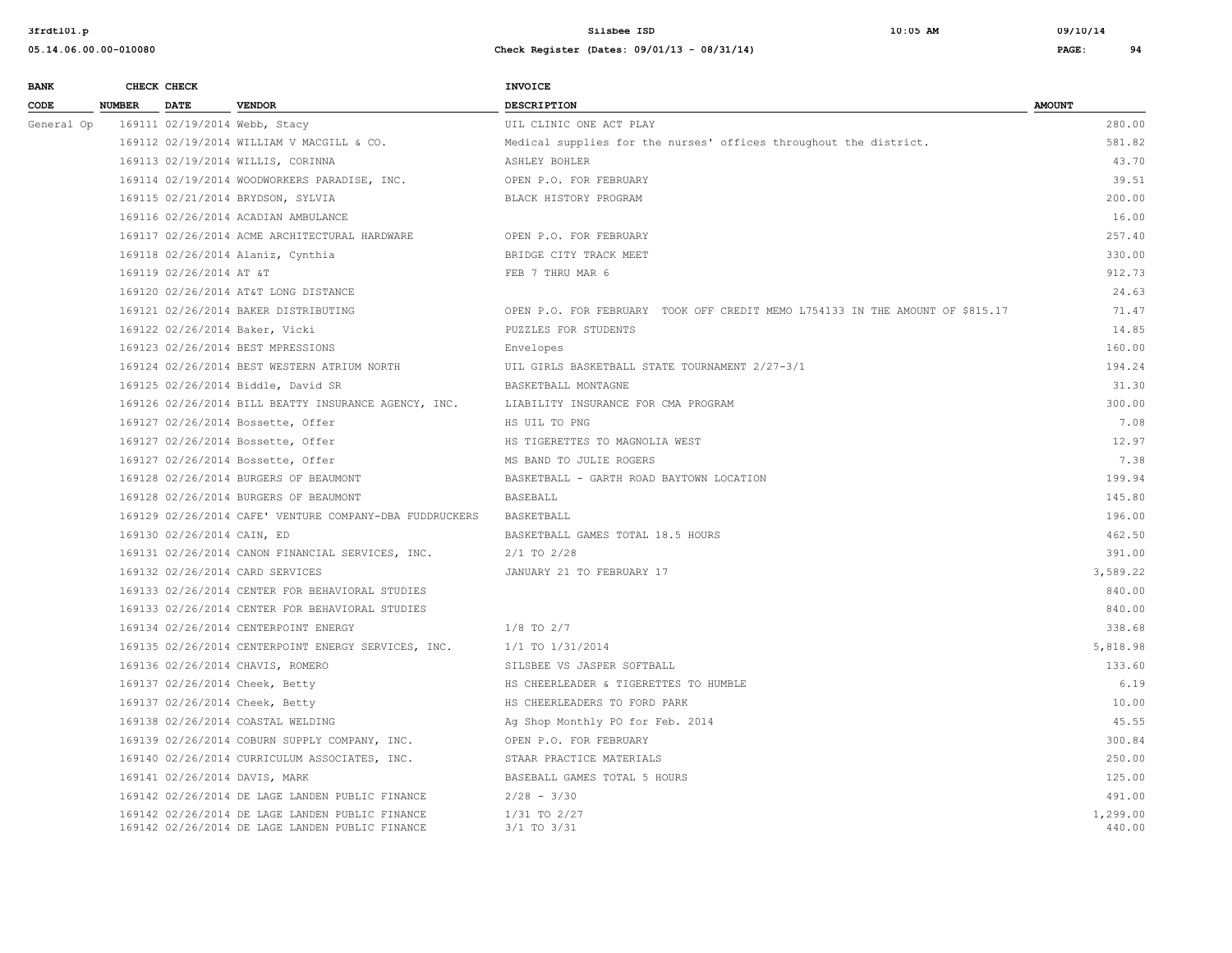| <b>BANK</b> |               | CHECK CHECK                |                                                                                                    | <b>INVOICE</b>                                                                |                    |
|-------------|---------------|----------------------------|----------------------------------------------------------------------------------------------------|-------------------------------------------------------------------------------|--------------------|
| CODE        | <b>NUMBER</b> | <b>DATE</b>                | <b>VENDOR</b>                                                                                      | <b>DESCRIPTION</b>                                                            | <b>AMOUNT</b>      |
| General Op  |               |                            | 169111 02/19/2014 Webb, Stacy                                                                      | UIL CLINIC ONE ACT PLAY                                                       | 280.00             |
|             |               |                            | 169112 02/19/2014 WILLIAM V MACGILL & CO.                                                          | Medical supplies for the nurses' offices throughout the district.             | 581.82             |
|             |               |                            | 169113 02/19/2014 WILLIS, CORINNA                                                                  | ASHLEY BOHLER                                                                 | 43.70              |
|             |               |                            | 169114 02/19/2014 WOODWORKERS PARADISE, INC.                                                       | OPEN P.O. FOR FEBRUARY                                                        | 39.51              |
|             |               |                            | 169115 02/21/2014 BRYDSON, SYLVIA                                                                  | BLACK HISTORY PROGRAM                                                         | 200.00             |
|             |               |                            | 169116 02/26/2014 ACADIAN AMBULANCE                                                                |                                                                               | 16.00              |
|             |               |                            | 169117 02/26/2014 ACME ARCHITECTURAL HARDWARE                                                      | OPEN P.O. FOR FEBRUARY                                                        | 257.40             |
|             |               |                            | 169118 02/26/2014 Alaniz, Cynthia                                                                  | BRIDGE CITY TRACK MEET                                                        | 330.00             |
|             |               | 169119 02/26/2014 AT &T    |                                                                                                    | FEB 7 THRU MAR 6                                                              | 912.73             |
|             |               |                            | 169120 02/26/2014 AT&T LONG DISTANCE                                                               |                                                                               | 24.63              |
|             |               |                            | 169121 02/26/2014 BAKER DISTRIBUTING                                                               | OPEN P.O. FOR FEBRUARY TOOK OFF CREDIT MEMO L754133 IN THE AMOUNT OF \$815.17 | 71.47              |
|             |               |                            | 169122 02/26/2014 Baker, Vicki                                                                     | PUZZLES FOR STUDENTS                                                          | 14.85              |
|             |               |                            | 169123 02/26/2014 BEST MPRESSIONS                                                                  | Envelopes                                                                     | 160.00             |
|             |               |                            | 169124 02/26/2014 BEST WESTERN ATRIUM NORTH                                                        | UIL GIRLS BASKETBALL STATE TOURNAMENT 2/27-3/1                                | 194.24             |
|             |               |                            | 169125 02/26/2014 Biddle, David SR                                                                 | BASKETBALL MONTAGNE                                                           | 31.30              |
|             |               |                            | 169126 02/26/2014 BILL BEATTY INSURANCE AGENCY, INC.                                               | LIABILITY INSURANCE FOR CMA PROGRAM                                           | 300.00             |
|             |               |                            | 169127 02/26/2014 Bossette, Offer                                                                  | HS UIL TO PNG                                                                 | 7.08               |
|             |               |                            | 169127 02/26/2014 Bossette, Offer                                                                  | HS TIGERETTES TO MAGNOLIA WEST                                                | 12.97              |
|             |               |                            | 169127 02/26/2014 Bossette, Offer                                                                  | MS BAND TO JULIE ROGERS                                                       | 7.38               |
|             |               |                            | 169128 02/26/2014 BURGERS OF BEAUMONT                                                              | BASKETBALL - GARTH ROAD BAYTOWN LOCATION                                      | 199.94             |
|             |               |                            | 169128 02/26/2014 BURGERS OF BEAUMONT                                                              | <b>BASEBALL</b>                                                               | 145.80             |
|             |               |                            | 169129 02/26/2014 CAFE' VENTURE COMPANY-DBA FUDDRUCKERS                                            | BASKETBALL                                                                    | 196.00             |
|             |               | 169130 02/26/2014 CAIN, ED |                                                                                                    | BASKETBALL GAMES TOTAL 18.5 HOURS                                             | 462.50             |
|             |               |                            | 169131 02/26/2014 CANON FINANCIAL SERVICES, INC.                                                   | $2/1$ TO $2/28$                                                               | 391.00             |
|             |               |                            | 169132 02/26/2014 CARD SERVICES                                                                    | JANUARY 21 TO FEBRUARY 17                                                     | 3,589.22           |
|             |               |                            | 169133 02/26/2014 CENTER FOR BEHAVIORAL STUDIES                                                    |                                                                               | 840.00             |
|             |               |                            | 169133 02/26/2014 CENTER FOR BEHAVIORAL STUDIES                                                    |                                                                               | 840.00             |
|             |               |                            | 169134 02/26/2014 CENTERPOINT ENERGY                                                               | $1/8$ TO $2/7$                                                                | 338.68             |
|             |               |                            | 169135 02/26/2014 CENTERPOINT ENERGY SERVICES, INC.                                                | 1/1 TO 1/31/2014                                                              | 5,818.98           |
|             |               |                            | 169136 02/26/2014 CHAVIS, ROMERO                                                                   | SILSBEE VS JASPER SOFTBALL                                                    | 133.60             |
|             |               |                            | 169137 02/26/2014 Cheek, Betty                                                                     | HS CHEERLEADER & TIGERETTES TO HUMBLE                                         | 6.19               |
|             |               |                            | 169137 02/26/2014 Cheek, Betty                                                                     | HS CHEERLEADERS TO FORD PARK                                                  | 10.00              |
|             |               |                            | 169138 02/26/2014 COASTAL WELDING                                                                  | Ag Shop Monthly PO for Feb. 2014                                              | 45.55              |
|             |               |                            | 169139 02/26/2014 COBURN SUPPLY COMPANY, INC.                                                      | OPEN P.O. FOR FEBRUARY                                                        | 300.84             |
|             |               |                            | 169140 02/26/2014 CURRICULUM ASSOCIATES, INC.                                                      | STAAR PRACTICE MATERIALS                                                      | 250.00             |
|             |               |                            | 169141 02/26/2014 DAVIS, MARK                                                                      | BASEBALL GAMES TOTAL 5 HOURS                                                  | 125.00             |
|             |               |                            | 169142 02/26/2014 DE LAGE LANDEN PUBLIC FINANCE                                                    | $2/28 - 3/30$                                                                 | 491.00             |
|             |               |                            | 169142 02/26/2014 DE LAGE LANDEN PUBLIC FINANCE<br>169142 02/26/2014 DE LAGE LANDEN PUBLIC FINANCE | 1/31 TO 2/27<br>3/1 TO 3/31                                                   | 1,299.00<br>440.00 |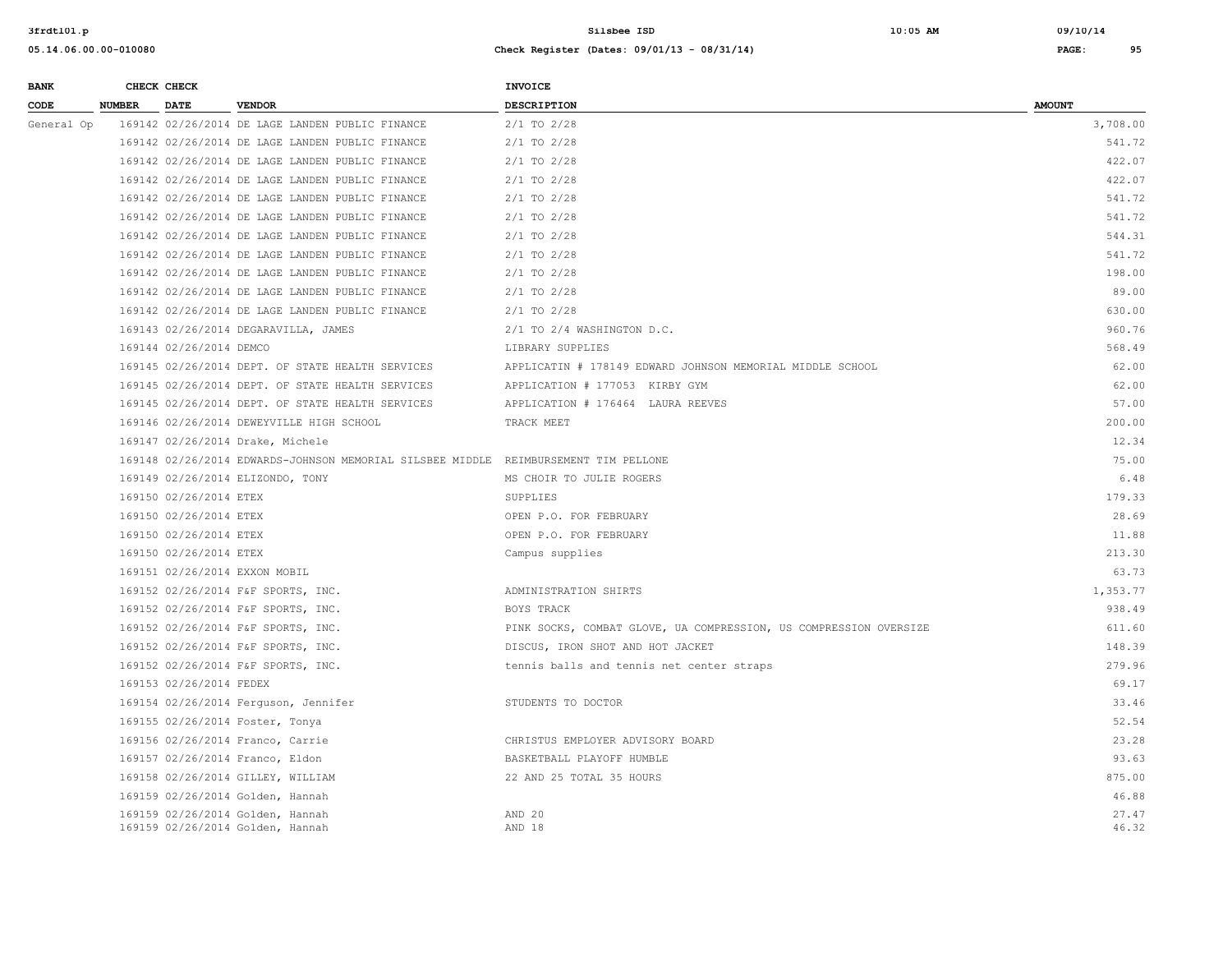| <b>BANK</b> |               | CHECK CHECK             |                                                                                     | <b>INVOICE</b>                                                    |                |  |
|-------------|---------------|-------------------------|-------------------------------------------------------------------------------------|-------------------------------------------------------------------|----------------|--|
| CODE        | <b>NUMBER</b> | <b>DATE</b>             | <b>VENDOR</b>                                                                       | <b>DESCRIPTION</b>                                                | <b>AMOUNT</b>  |  |
| General Op  |               |                         | 169142 02/26/2014 DE LAGE LANDEN PUBLIC FINANCE                                     | $2/1$ TO $2/28$                                                   | 3,708.00       |  |
|             |               |                         | 169142 02/26/2014 DE LAGE LANDEN PUBLIC FINANCE                                     | $2/1$ TO $2/28$                                                   | 541.72         |  |
|             |               |                         | 169142 02/26/2014 DE LAGE LANDEN PUBLIC FINANCE                                     | $2/1$ TO $2/28$                                                   | 422.07         |  |
|             |               |                         | 169142 02/26/2014 DE LAGE LANDEN PUBLIC FINANCE                                     | $2/1$ TO $2/28$                                                   | 422.07         |  |
|             |               |                         | 169142 02/26/2014 DE LAGE LANDEN PUBLIC FINANCE                                     | $2/1$ TO $2/28$                                                   | 541.72         |  |
|             |               |                         | 169142 02/26/2014 DE LAGE LANDEN PUBLIC FINANCE                                     | $2/1$ TO $2/28$                                                   | 541.72         |  |
|             |               |                         | 169142 02/26/2014 DE LAGE LANDEN PUBLIC FINANCE                                     | $2/1$ TO $2/28$                                                   | 544.31         |  |
|             |               |                         | 169142 02/26/2014 DE LAGE LANDEN PUBLIC FINANCE                                     | $2/1$ TO $2/28$                                                   | 541.72         |  |
|             |               |                         | 169142 02/26/2014 DE LAGE LANDEN PUBLIC FINANCE                                     | $2/1$ TO $2/28$                                                   | 198.00         |  |
|             |               |                         | 169142 02/26/2014 DE LAGE LANDEN PUBLIC FINANCE                                     | $2/1$ TO $2/28$                                                   | 89.00          |  |
|             |               |                         | 169142 02/26/2014 DE LAGE LANDEN PUBLIC FINANCE                                     | $2/1$ TO $2/28$                                                   | 630.00         |  |
|             |               |                         | 169143 02/26/2014 DEGARAVILLA, JAMES                                                | $2/1$ TO $2/4$ WASHINGTON D.C.                                    | 960.76         |  |
|             |               | 169144 02/26/2014 DEMCO |                                                                                     | LIBRARY SUPPLIES                                                  | 568.49         |  |
|             |               |                         | 169145 02/26/2014 DEPT. OF STATE HEALTH SERVICES                                    | APPLICATIN # 178149 EDWARD JOHNSON MEMORIAL MIDDLE SCHOOL         | 62.00          |  |
|             |               |                         | 169145 02/26/2014 DEPT. OF STATE HEALTH SERVICES                                    | APPLICATION # 177053 KIRBY GYM                                    | 62.00          |  |
|             |               |                         | 169145 02/26/2014 DEPT. OF STATE HEALTH SERVICES                                    | APPLICATION # 176464 LAURA REEVES                                 | 57.00          |  |
|             |               |                         | 169146 02/26/2014 DEWEYVILLE HIGH SCHOOL                                            | TRACK MEET                                                        | 200.00         |  |
|             |               |                         | 169147 02/26/2014 Drake, Michele                                                    |                                                                   | 12.34          |  |
|             |               |                         | 169148 02/26/2014 EDWARDS-JOHNSON MEMORIAL SILSBEE MIDDLE REIMBURSEMENT TIM PELLONE |                                                                   | 75.00          |  |
|             |               |                         | 169149 02/26/2014 ELIZONDO, TONY                                                    | MS CHOIR TO JULIE ROGERS                                          | 6.48           |  |
|             |               | 169150 02/26/2014 ETEX  |                                                                                     | SUPPLIES                                                          | 179.33         |  |
|             |               | 169150 02/26/2014 ETEX  |                                                                                     | OPEN P.O. FOR FEBRUARY                                            | 28.69          |  |
|             |               | 169150 02/26/2014 ETEX  |                                                                                     | OPEN P.O. FOR FEBRUARY                                            | 11.88          |  |
|             |               | 169150 02/26/2014 ETEX  |                                                                                     | Campus supplies                                                   | 213.30         |  |
|             |               |                         | 169151 02/26/2014 EXXON MOBIL                                                       |                                                                   | 63.73          |  |
|             |               |                         | 169152 02/26/2014 F&F SPORTS, INC.                                                  | ADMINISTRATION SHIRTS                                             | 1,353.77       |  |
|             |               |                         | 169152 02/26/2014 F&F SPORTS, INC.                                                  | BOYS TRACK                                                        | 938.49         |  |
|             |               |                         | 169152 02/26/2014 F&F SPORTS, INC.                                                  | PINK SOCKS, COMBAT GLOVE, UA COMPRESSION, US COMPRESSION OVERSIZE | 611.60         |  |
|             |               |                         | 169152 02/26/2014 F&F SPORTS, INC.                                                  | DISCUS, IRON SHOT AND HOT JACKET                                  | 148.39         |  |
|             |               |                         | 169152 02/26/2014 F&F SPORTS, INC.                                                  | tennis balls and tennis net center straps                         | 279.96         |  |
|             |               | 169153 02/26/2014 FEDEX |                                                                                     |                                                                   | 69.17          |  |
|             |               |                         | 169154 02/26/2014 Ferguson, Jennifer                                                | STUDENTS TO DOCTOR                                                | 33.46          |  |
|             |               |                         | 169155 02/26/2014 Foster, Tonya                                                     |                                                                   | 52.54          |  |
|             |               |                         | 169156 02/26/2014 Franco, Carrie                                                    | CHRISTUS EMPLOYER ADVISORY BOARD                                  | 23.28          |  |
|             |               |                         | 169157 02/26/2014 Franco, Eldon                                                     | BASKETBALL PLAYOFF HUMBLE                                         | 93.63          |  |
|             |               |                         | 169158 02/26/2014 GILLEY, WILLIAM                                                   | 22 AND 25 TOTAL 35 HOURS                                          | 875.00         |  |
|             |               |                         | 169159 02/26/2014 Golden, Hannah                                                    |                                                                   | 46.88          |  |
|             |               |                         | 169159 02/26/2014 Golden, Hannah<br>169159 02/26/2014 Golden, Hannah                | AND 20<br>AND 18                                                  | 27.47<br>46.32 |  |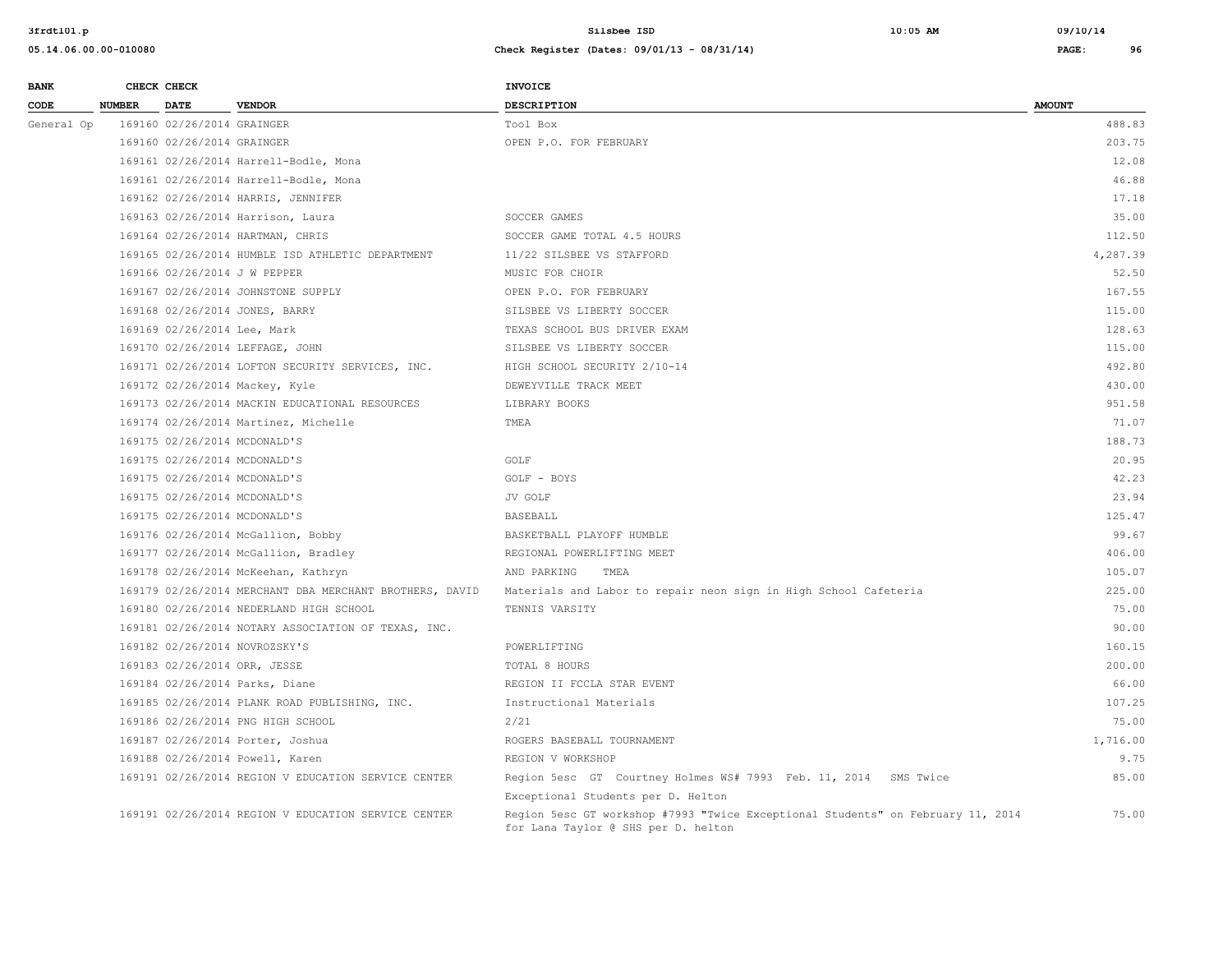| <b>BANK</b> |               | CHECK CHECK                 |                                                         | <b>INVOICE</b>                                                                                                         |               |
|-------------|---------------|-----------------------------|---------------------------------------------------------|------------------------------------------------------------------------------------------------------------------------|---------------|
| CODE        | <b>NUMBER</b> | <b>DATE</b>                 | <b>VENDOR</b>                                           | <b>DESCRIPTION</b>                                                                                                     | <b>AMOUNT</b> |
| General Op  |               | 169160 02/26/2014 GRAINGER  |                                                         | Tool Box                                                                                                               | 488.83        |
|             |               | 169160 02/26/2014 GRAINGER  |                                                         | OPEN P.O. FOR FEBRUARY                                                                                                 | 203.75        |
|             |               |                             | 169161 02/26/2014 Harrell-Bodle, Mona                   |                                                                                                                        | 12.08         |
|             |               |                             | 169161 02/26/2014 Harrell-Bodle, Mona                   |                                                                                                                        | 46.88         |
|             |               |                             | 169162 02/26/2014 HARRIS, JENNIFER                      |                                                                                                                        | 17.18         |
|             |               |                             | 169163 02/26/2014 Harrison, Laura                       | SOCCER GAMES                                                                                                           | 35.00         |
|             |               |                             | 169164 02/26/2014 HARTMAN, CHRIS                        | SOCCER GAME TOTAL 4.5 HOURS                                                                                            | 112.50        |
|             |               |                             | 169165 02/26/2014 HUMBLE ISD ATHLETIC DEPARTMENT        | 11/22 SILSBEE VS STAFFORD                                                                                              | 4,287.39      |
|             |               |                             | 169166 02/26/2014 J W PEPPER                            | MUSIC FOR CHOIR                                                                                                        | 52.50         |
|             |               |                             | 169167 02/26/2014 JOHNSTONE SUPPLY                      | OPEN P.O. FOR FEBRUARY                                                                                                 | 167.55        |
|             |               |                             | 169168 02/26/2014 JONES, BARRY                          | SILSBEE VS LIBERTY SOCCER                                                                                              | 115.00        |
|             |               | 169169 02/26/2014 Lee, Mark |                                                         | TEXAS SCHOOL BUS DRIVER EXAM                                                                                           | 128.63        |
|             |               |                             | 169170 02/26/2014 LEFFAGE, JOHN                         | SILSBEE VS LIBERTY SOCCER                                                                                              | 115.00        |
|             |               |                             | 169171 02/26/2014 LOFTON SECURITY SERVICES, INC.        | HIGH SCHOOL SECURITY 2/10-14                                                                                           | 492.80        |
|             |               |                             | 169172 02/26/2014 Mackey, Kyle                          | DEWEYVILLE TRACK MEET                                                                                                  | 430.00        |
|             |               |                             | 169173 02/26/2014 MACKIN EDUCATIONAL RESOURCES          | LIBRARY BOOKS                                                                                                          | 951.58        |
|             |               |                             | 169174 02/26/2014 Martinez, Michelle                    | TMEA                                                                                                                   | 71.07         |
|             |               |                             | 169175 02/26/2014 MCDONALD'S                            |                                                                                                                        | 188.73        |
|             |               |                             | 169175 02/26/2014 MCDONALD'S                            | GOLF                                                                                                                   | 20.95         |
|             |               |                             | 169175 02/26/2014 MCDONALD'S                            | GOLF - BOYS                                                                                                            | 42.23         |
|             |               |                             | 169175 02/26/2014 MCDONALD'S                            | JV GOLF                                                                                                                | 23.94         |
|             |               |                             | 169175 02/26/2014 MCDONALD'S                            | BASEBALL                                                                                                               | 125.47        |
|             |               |                             | 169176 02/26/2014 McGallion, Bobby                      | BASKETBALL PLAYOFF HUMBLE                                                                                              | 99.67         |
|             |               |                             | 169177 02/26/2014 McGallion, Bradley                    | REGIONAL POWERLIFTING MEET                                                                                             | 406.00        |
|             |               |                             | 169178 02/26/2014 McKeehan, Kathryn                     | AND PARKING<br>TMEA                                                                                                    | 105.07        |
|             |               |                             | 169179 02/26/2014 MERCHANT DBA MERCHANT BROTHERS, DAVID | Materials and Labor to repair neon sign in High School Cafeteria                                                       | 225.00        |
|             |               |                             | 169180 02/26/2014 NEDERLAND HIGH SCHOOL                 | TENNIS VARSITY                                                                                                         | 75.00         |
|             |               |                             | 169181 02/26/2014 NOTARY ASSOCIATION OF TEXAS, INC.     |                                                                                                                        | 90.00         |
|             |               |                             | 169182 02/26/2014 NOVROZSKY'S                           | POWERLIFTING                                                                                                           | 160.15        |
|             |               |                             | 169183 02/26/2014 ORR, JESSE                            | TOTAL 8 HOURS                                                                                                          | 200.00        |
|             |               |                             | 169184 02/26/2014 Parks, Diane                          | REGION II FCCLA STAR EVENT                                                                                             | 66.00         |
|             |               |                             | 169185 02/26/2014 PLANK ROAD PUBLISHING, INC.           | Instructional Materials                                                                                                | 107.25        |
|             |               |                             | 169186 02/26/2014 PNG HIGH SCHOOL                       | 2/21                                                                                                                   | 75.00         |
|             |               |                             | 169187 02/26/2014 Porter, Joshua                        | ROGERS BASEBALL TOURNAMENT                                                                                             | 1,716.00      |
|             |               |                             | 169188 02/26/2014 Powell, Karen                         | REGION V WORKSHOP                                                                                                      | 9.75          |
|             |               |                             | 169191 02/26/2014 REGION V EDUCATION SERVICE CENTER     | Region 5esc GT Courtney Holmes WS# 7993 Feb. 11, 2014 SMS Twice                                                        | 85.00         |
|             |               |                             |                                                         | Exceptional Students per D. Helton                                                                                     |               |
|             |               |                             | 169191 02/26/2014 REGION V EDUCATION SERVICE CENTER     | Region 5esc GT workshop #7993 "Twice Exceptional Students" on February 11, 2014<br>for Lana Taylor @ SHS per D. helton | 75.00         |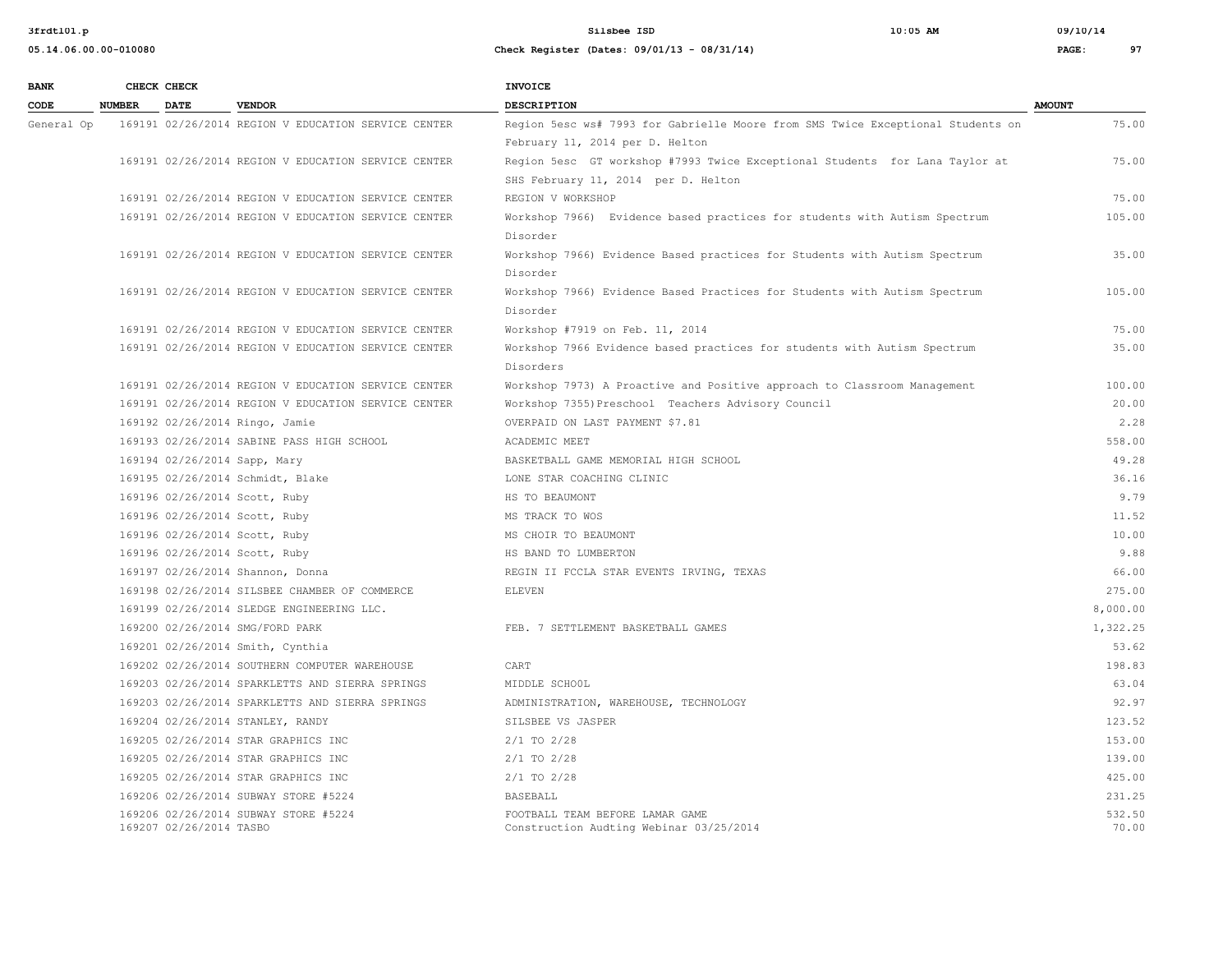| <b>BANK</b> | CHECK CHECK                    |                                                     | <b>INVOICE</b>                                                                  |                 |
|-------------|--------------------------------|-----------------------------------------------------|---------------------------------------------------------------------------------|-----------------|
| CODE        | <b>NUMBER</b><br><b>DATE</b>   | <b>VENDOR</b>                                       | <b>DESCRIPTION</b>                                                              | <b>AMOUNT</b>   |
| General Op  |                                | 169191 02/26/2014 REGION V EDUCATION SERVICE CENTER | Region 5esc ws# 7993 for Gabrielle Moore from SMS Twice Exceptional Students on | 75.00           |
|             |                                |                                                     | February 11, 2014 per D. Helton                                                 |                 |
|             |                                | 169191 02/26/2014 REGION V EDUCATION SERVICE CENTER | Region 5esc GT workshop #7993 Twice Exceptional Students for Lana Taylor at     | 75.00           |
|             |                                |                                                     | SHS February 11, 2014 per D. Helton                                             |                 |
|             |                                | 169191 02/26/2014 REGION V EDUCATION SERVICE CENTER | REGION V WORKSHOP                                                               | 75.00           |
|             |                                | 169191 02/26/2014 REGION V EDUCATION SERVICE CENTER | Workshop 7966) Evidence based practices for students with Autism Spectrum       | 105.00          |
|             |                                |                                                     | Disorder                                                                        |                 |
|             |                                | 169191 02/26/2014 REGION V EDUCATION SERVICE CENTER | Workshop 7966) Evidence Based practices for Students with Autism Spectrum       | 35.00           |
|             |                                |                                                     | Disorder                                                                        |                 |
|             |                                | 169191 02/26/2014 REGION V EDUCATION SERVICE CENTER | Workshop 7966) Evidence Based Practices for Students with Autism Spectrum       | 105.00          |
|             |                                |                                                     | Disorder                                                                        |                 |
|             |                                | 169191 02/26/2014 REGION V EDUCATION SERVICE CENTER | Workshop #7919 on Feb. 11, 2014                                                 | 75.00           |
|             |                                | 169191 02/26/2014 REGION V EDUCATION SERVICE CENTER | Workshop 7966 Evidence based practices for students with Autism Spectrum        | 35.00           |
|             |                                |                                                     | Disorders                                                                       |                 |
|             |                                | 169191 02/26/2014 REGION V EDUCATION SERVICE CENTER | Workshop 7973) A Proactive and Positive approach to Classroom Management        | 100.00          |
|             |                                | 169191 02/26/2014 REGION V EDUCATION SERVICE CENTER | Workshop 7355) Preschool Teachers Advisory Council                              | 20.00           |
|             | 169192 02/26/2014 Ringo, Jamie |                                                     | OVERPAID ON LAST PAYMENT \$7.81                                                 | 2.28            |
|             |                                | 169193 02/26/2014 SABINE PASS HIGH SCHOOL           | ACADEMIC MEET                                                                   | 558.00          |
|             | 169194 02/26/2014 Sapp, Mary   |                                                     | BASKETBALL GAME MEMORIAL HIGH SCHOOL                                            | 49.28           |
|             |                                | 169195 02/26/2014 Schmidt, Blake                    | LONE STAR COACHING CLINIC                                                       | 36.16           |
|             | 169196 02/26/2014 Scott, Ruby  |                                                     | HS TO BEAUMONT                                                                  | 9.79            |
|             | 169196 02/26/2014 Scott, Ruby  |                                                     | MS TRACK TO WOS                                                                 | 11.52           |
|             | 169196 02/26/2014 Scott, Ruby  |                                                     | MS CHOIR TO BEAUMONT                                                            | 10.00           |
|             | 169196 02/26/2014 Scott, Ruby  |                                                     | HS BAND TO LUMBERTON                                                            | 9.88            |
|             |                                | 169197 02/26/2014 Shannon, Donna                    | REGIN II FCCLA STAR EVENTS IRVING, TEXAS                                        | 66.00           |
|             |                                | 169198 02/26/2014 SILSBEE CHAMBER OF COMMERCE       | <b>ELEVEN</b>                                                                   | 275.00          |
|             |                                | 169199 02/26/2014 SLEDGE ENGINEERING LLC.           |                                                                                 | 8,000.00        |
|             |                                | 169200 02/26/2014 SMG/FORD PARK                     | FEB. 7 SETTLEMENT BASKETBALL GAMES                                              | 1,322.25        |
|             |                                | 169201 02/26/2014 Smith, Cynthia                    |                                                                                 | 53.62           |
|             |                                | 169202 02/26/2014 SOUTHERN COMPUTER WAREHOUSE       | CART                                                                            | 198.83          |
|             |                                | 169203 02/26/2014 SPARKLETTS AND SIERRA SPRINGS     | MIDDLE SCHOOL                                                                   | 63.04           |
|             |                                | 169203 02/26/2014 SPARKLETTS AND SIERRA SPRINGS     | ADMINISTRATION, WAREHOUSE, TECHNOLOGY                                           | 92.97           |
|             |                                | 169204 02/26/2014 STANLEY, RANDY                    | SILSBEE VS JASPER                                                               | 123.52          |
|             |                                | 169205 02/26/2014 STAR GRAPHICS INC                 | $2/1$ TO $2/28$                                                                 | 153.00          |
|             |                                | 169205 02/26/2014 STAR GRAPHICS INC                 | $2/1$ TO $2/28$                                                                 | 139.00          |
|             |                                | 169205 02/26/2014 STAR GRAPHICS INC                 | $2/1$ TO $2/28$                                                                 | 425.00          |
|             |                                | 169206 02/26/2014 SUBWAY STORE #5224                | <b>BASEBALL</b>                                                                 | 231.25          |
|             | 169207 02/26/2014 TASBO        | 169206 02/26/2014 SUBWAY STORE #5224                | FOOTBALL TEAM BEFORE LAMAR GAME<br>Construction Audting Webinar 03/25/2014      | 532.50<br>70.00 |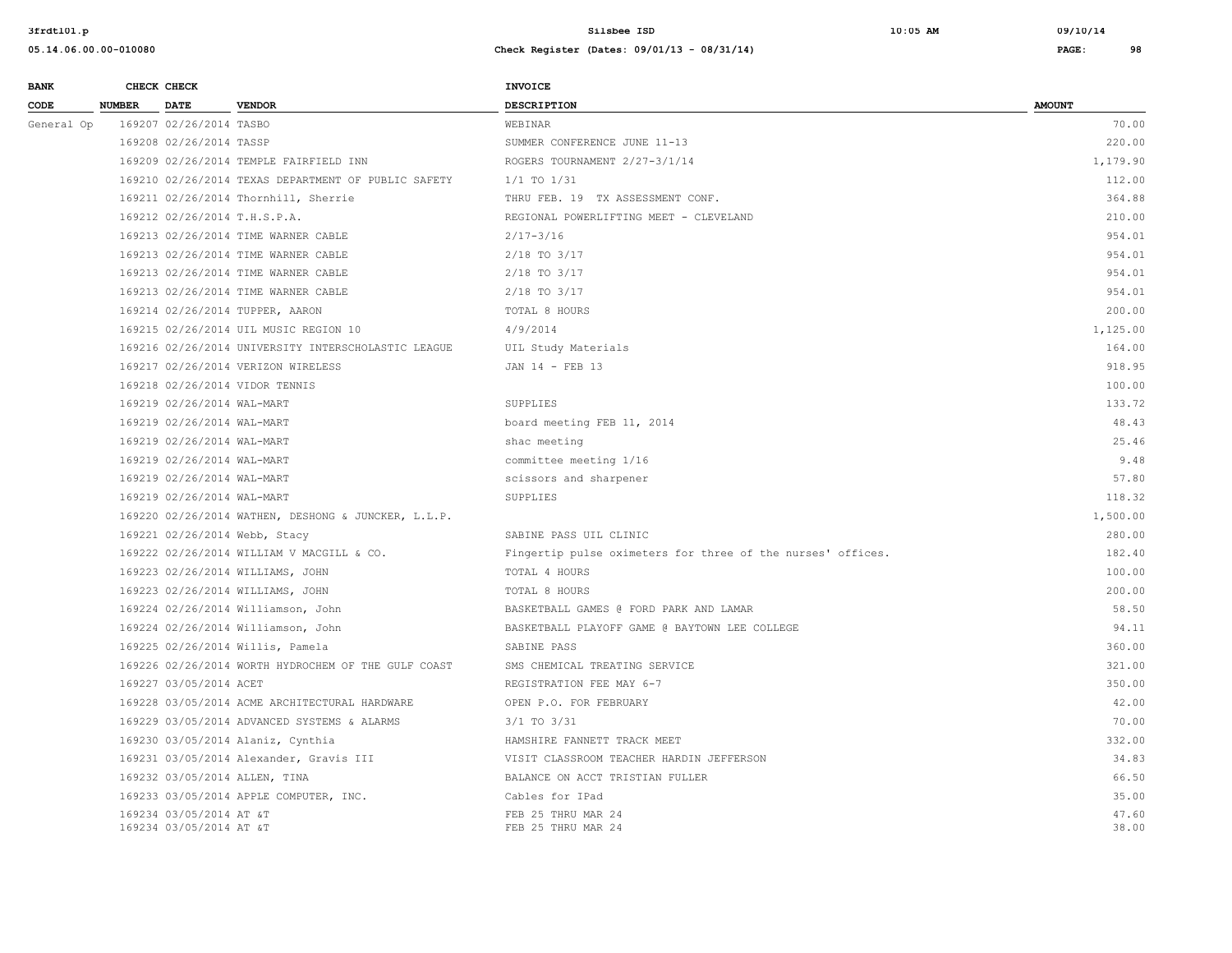**05.14.06.00.00-010080 Check Register (Dates: 09/01/13 - 08/31/14) PAGE: 98**

# **BANK** CHECK CHECK **CHECK CODE NUMBER DATE VENDOR DESCRIPTION AMOUNT**  General Op 169207 02/26/2014 TASBO 70.00 WEBINAR WEBINAR 70.00 WEBINAR 70.00 169208 02/26/2014 TASSP SUMMER CONFERENCE JUNE 11-13 220.00 169209 02/26/2014 TEMPLE FAIRFIELD INN ROGERS TOURNAMENT 2/27-3/1/14 1,179.90 169210 02/26/2014 TEXAS DEPARTMENT OF PUBLIC SAFETY 1/1 TO 1/31 112.00 169211 02/26/2014 Thornhill, Sherrie THRU FEB. 19 TX ASSESSMENT CONF. 364.88 169212 02/26/2014 T.H.S.P.A. REGIONAL POWERLIFTING MEET - CLEVELAND 210.00 169213 02/26/2014 TIME WARNER CABLE 2/17-3/16 954.01 169213 02/26/2014 TIME WARNER CABLE 2/18 TO 3/17 954.01 169213 02/26/2014 TIME WARNER CABLE 2/18 TO 3/17 954.01 169213 02/26/2014 TIME WARNER CABLE 2/18 TO 3/17 954.01 169214 02/26/2014 TUPPER, AARON TOTAL 8 HOURS 200.00 169215 02/26/2014 UIL MUSIC REGION 10 4/9/2014 1,125.00 169216 02/26/2014 UNIVERSITY INTERSCHOLASTIC LEAGUE UIL Study Materials 164.00 169217 02/26/2014 VERTZON WIRELESS **JAN 14 - FEB 13** 95 95 96 96 96 97 98 95 96 97 98 96 97 98 95 97 98 95 97 98 169218 02/26/2014 VIDOR TENNIS 100.00 169219 02/26/2014 WAL-MART 333.72 169219 02/26/2014 WAL-MART board meeting FEB 11, 2014 48.43 169219 02/26/2014 WAL-MART 25.46 Shac meeting shace the shace share in the shace share share and shace share share and the share share share share share share share share share share share share share share share share sha 169219 02/26/2014 WAL-MART committee meeting 1/16 9.48 169219 02/26/2014 WAL-MART scissors and sharpener 57.80 169219 02/26/2014 WAL-MART SUPPLIES 32 SUPPLIES 32 169220 02/26/2014 WATHEN, DESHONG & JUNCKER, L.L.P. 1,500.00 169221 02/26/2014 Webb, Stacy SABINE PASS UIL CLINIC 280.00 169222 02/26/2014 WILLIAM V MACGILL & CO. Fingertip pulse oximeters for three of the nurses' offices. 182.40 169223 02/26/2014 WILLIAMS, JOHN TOTAL 4 HOURS 100.00 169223 02/26/2014 WILLIAMS, JOHN TOTAL 8 HOURS 200.00 169224 02/26/2014 Williamson, John BASKETBALL GAMES @ FORD PARK AND LAMAR 58.50 169224 02/26/2014 Williamson, John BASKETBALL PLAYOFF GAME @ BAYTOWN LEE COLLEGE 94.11 169225 02/26/2014 Willis, Pamela SABINE PASS 360.00 169226 02/26/2014 WORTH HYDROCHEM OF THE GULF COAST SMS CHEMICAL TREATING SERVICE 321.00 169227 03/05/2014 ACET REGISTRATION FEE MAY 6-7 350.00 169228 03/05/2014 ACME ARCHITECTURAL HARDWARE OPEN P.O. FOR FEBRUARY 42.00 169229 03/05/2014 ADVANCED SYSTEMS & ALARMS 3/1 TO 3/31 70.00 169230 03/05/2014 Alaniz, Cynthia HAMSHIRE FANNETT TRACK MEET 332.00 169231 03/05/2014 Alexander, Gravis III VISIT CLASSROOM TEACHER HARDIN JEFFERSON 34.83 169232 03/05/2014 ALLEN, TINA BALANCE ON ACCT TRISTIAN FULLER 66.50 169233 03/05/2014 APPLE COMPUTER, INC. Cables for IPad 35.00 169234 03/05/2014 AT &T 47.60<br>169234 03/05/2014 AT &T 47.60 FEB 25 THRU MAR 24 FEB 25 THRU MAR 24 FEB 25 THRU MAR 24

169234 03/05/2014 AT &T 38.00 38.00 FEB 25 THRU MAR 24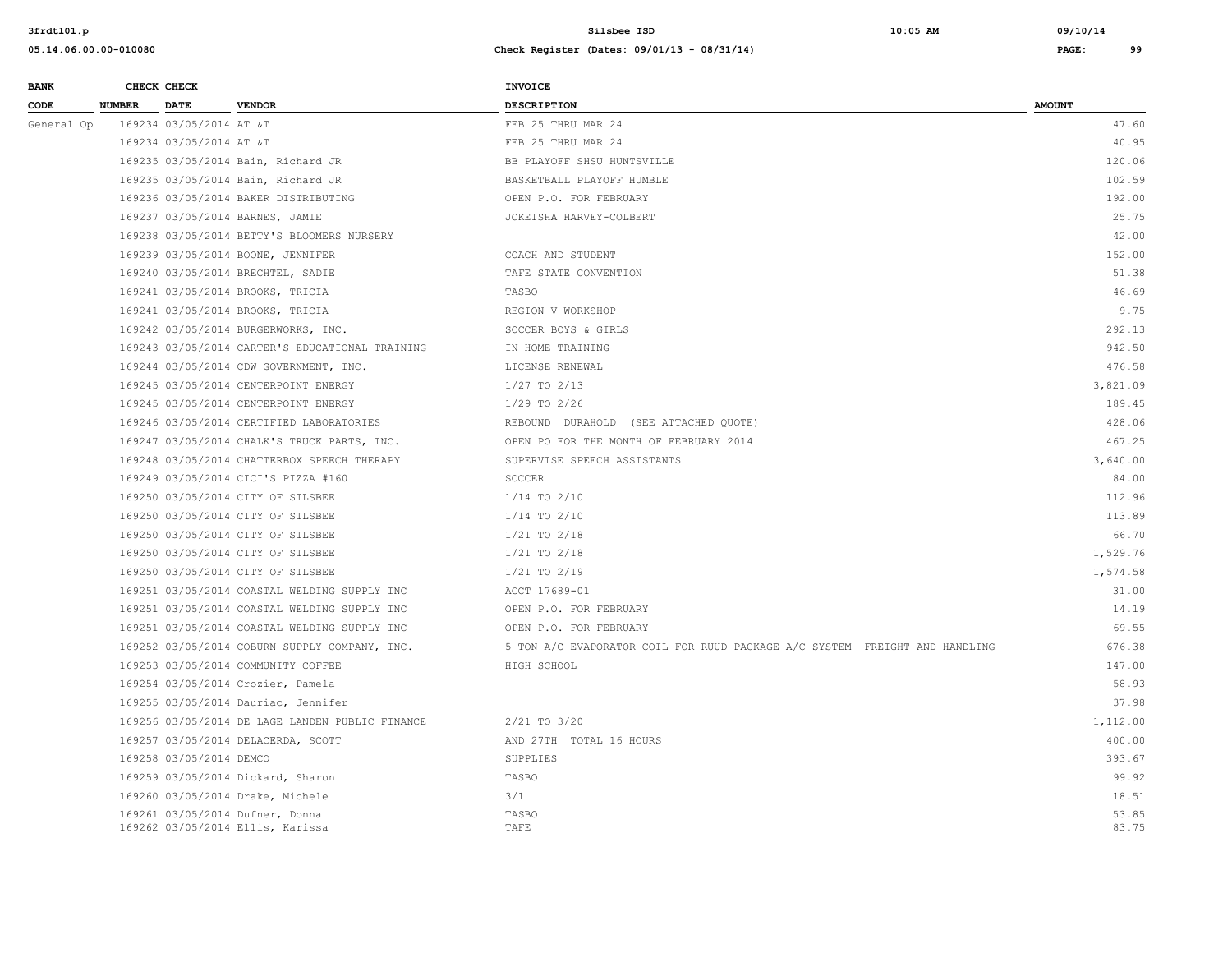| <b>BANK</b> |               | CHECK CHECK             |                                                                     | <b>INVOICE</b>                                                             |                |
|-------------|---------------|-------------------------|---------------------------------------------------------------------|----------------------------------------------------------------------------|----------------|
| CODE        | <b>NUMBER</b> | <b>DATE</b>             | <b>VENDOR</b>                                                       | DESCRIPTION                                                                | <b>AMOUNT</b>  |
| General Op  |               | 169234 03/05/2014 AT &T |                                                                     | FEB 25 THRU MAR 24                                                         | 47.60          |
|             |               | 169234 03/05/2014 AT &T |                                                                     | FEB 25 THRU MAR 24                                                         | 40.95          |
|             |               |                         | 169235 03/05/2014 Bain, Richard JR                                  | BB PLAYOFF SHSU HUNTSVILLE                                                 | 120.06         |
|             |               |                         | 169235 03/05/2014 Bain, Richard JR                                  | BASKETBALL PLAYOFF HUMBLE                                                  | 102.59         |
|             |               |                         | 169236 03/05/2014 BAKER DISTRIBUTING                                | OPEN P.O. FOR FEBRUARY                                                     | 192.00         |
|             |               |                         | 169237 03/05/2014 BARNES, JAMIE                                     | JOKEISHA HARVEY-COLBERT                                                    | 25.75          |
|             |               |                         | 169238 03/05/2014 BETTY'S BLOOMERS NURSERY                          |                                                                            | 42.00          |
|             |               |                         | 169239 03/05/2014 BOONE, JENNIFER                                   | COACH AND STUDENT                                                          | 152.00         |
|             |               |                         | 169240 03/05/2014 BRECHTEL, SADIE                                   | TAFE STATE CONVENTION                                                      | 51.38          |
|             |               |                         | 169241 03/05/2014 BROOKS, TRICIA                                    | TASBO                                                                      | 46.69          |
|             |               |                         | 169241 03/05/2014 BROOKS, TRICIA                                    | REGION V WORKSHOP                                                          | 9.75           |
|             |               |                         | 169242 03/05/2014 BURGERWORKS, INC.                                 | SOCCER BOYS & GIRLS                                                        | 292.13         |
|             |               |                         | 169243 03/05/2014 CARTER'S EDUCATIONAL TRAINING                     | IN HOME TRAINING                                                           | 942.50         |
|             |               |                         | 169244 03/05/2014 CDW GOVERNMENT, INC.                              | LICENSE RENEWAL                                                            | 476.58         |
|             |               |                         | 169245 03/05/2014 CENTERPOINT ENERGY                                | $1/27$ TO $2/13$                                                           | 3,821.09       |
|             |               |                         | 169245 03/05/2014 CENTERPOINT ENERGY                                | $1/29$ TO $2/26$                                                           | 189.45         |
|             |               |                         | 169246 03/05/2014 CERTIFIED LABORATORIES                            | REBOUND DURAHOLD (SEE ATTACHED QUOTE)                                      | 428.06         |
|             |               |                         | 169247 03/05/2014 CHALK'S TRUCK PARTS, INC.                         | OPEN PO FOR THE MONTH OF FEBRUARY 2014                                     | 467.25         |
|             |               |                         | 169248 03/05/2014 CHATTERBOX SPEECH THERAPY                         | SUPERVISE SPEECH ASSISTANTS                                                | 3,640.00       |
|             |               |                         | 169249 03/05/2014 CICI'S PIZZA #160                                 | SOCCER                                                                     | 84.00          |
|             |               |                         | 169250 03/05/2014 CITY OF SILSBEE                                   | 1/14 TO 2/10                                                               | 112.96         |
|             |               |                         | 169250 03/05/2014 CITY OF SILSBEE                                   | $1/14$ TO $2/10$                                                           | 113.89         |
|             |               |                         | 169250 03/05/2014 CITY OF SILSBEE                                   | $1/21$ TO $2/18$                                                           | 66.70          |
|             |               |                         | 169250 03/05/2014 CITY OF SILSBEE                                   | 1/21 TO 2/18                                                               | 1,529.76       |
|             |               |                         | 169250 03/05/2014 CITY OF SILSBEE                                   | 1/21 TO 2/19                                                               | 1,574.58       |
|             |               |                         | 169251 03/05/2014 COASTAL WELDING SUPPLY INC                        | ACCT 17689-01                                                              | 31.00          |
|             |               |                         | 169251 03/05/2014 COASTAL WELDING SUPPLY INC                        | OPEN P.O. FOR FEBRUARY                                                     | 14.19          |
|             |               |                         | 169251 03/05/2014 COASTAL WELDING SUPPLY INC                        | OPEN P.O. FOR FEBRUARY                                                     | 69.55          |
|             |               |                         | 169252 03/05/2014 COBURN SUPPLY COMPANY, INC.                       | 5 TON A/C EVAPORATOR COIL FOR RUUD PACKAGE A/C SYSTEM FREIGHT AND HANDLING | 676.38         |
|             |               |                         | 169253 03/05/2014 COMMUNITY COFFEE                                  | HIGH SCHOOL                                                                | 147.00         |
|             |               |                         | 169254 03/05/2014 Crozier, Pamela                                   |                                                                            | 58.93          |
|             |               |                         | 169255 03/05/2014 Dauriac, Jennifer                                 |                                                                            | 37.98          |
|             |               |                         | 169256 03/05/2014 DE LAGE LANDEN PUBLIC FINANCE                     | $2/21$ TO $3/20$                                                           | 1,112.00       |
|             |               |                         | 169257 03/05/2014 DELACERDA, SCOTT                                  | AND 27TH TOTAL 16 HOURS                                                    | 400.00         |
|             |               | 169258 03/05/2014 DEMCO |                                                                     | SUPPLIES                                                                   | 393.67         |
|             |               |                         | 169259 03/05/2014 Dickard, Sharon                                   | TASBO                                                                      | 99.92          |
|             |               |                         | 169260 03/05/2014 Drake, Michele                                    | 3/1                                                                        | 18.51          |
|             |               |                         | 169261 03/05/2014 Dufner, Donna<br>169262 03/05/2014 Ellis, Karissa | TASBO<br>TAFE                                                              | 53.85<br>83.75 |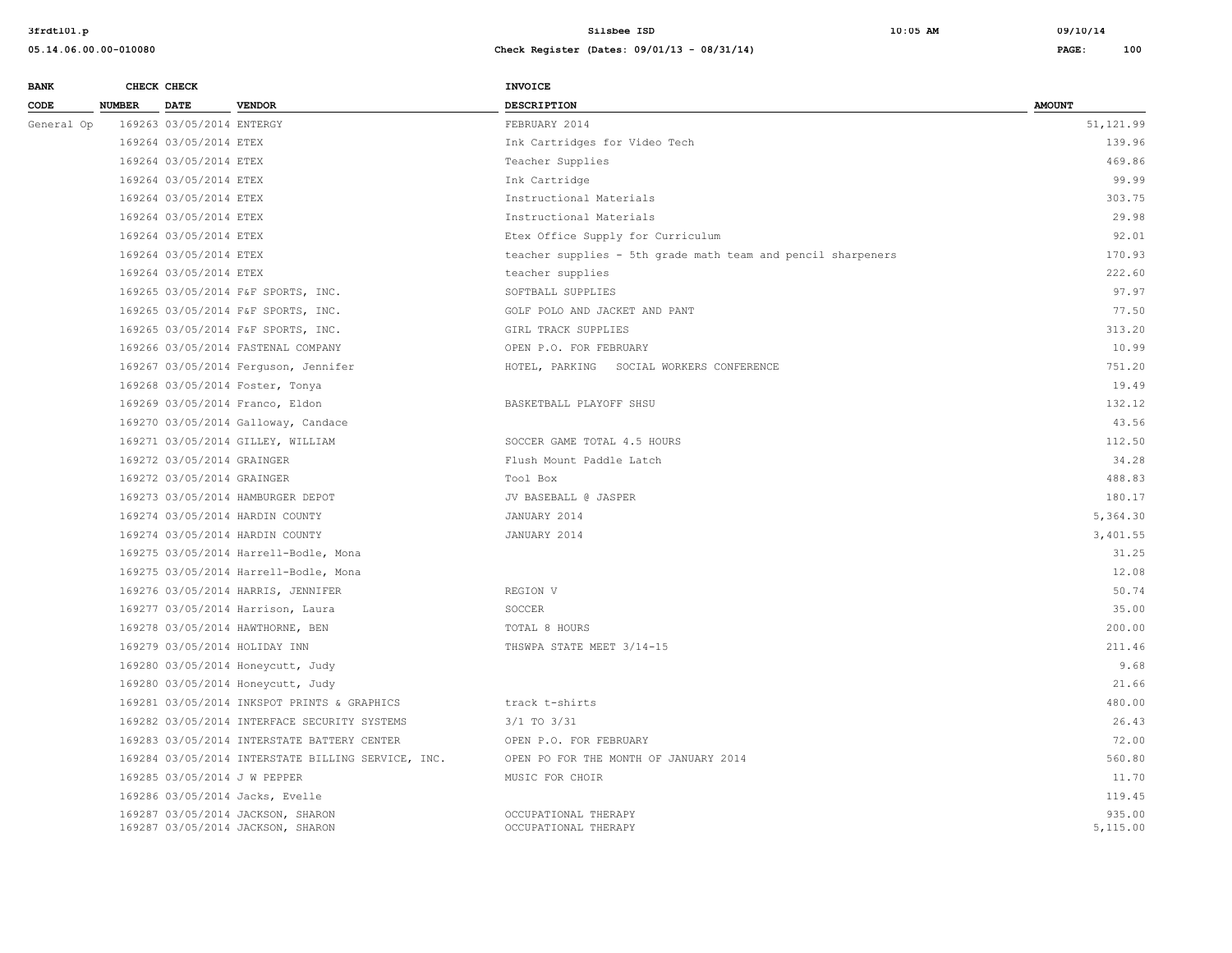| <b>BANK</b> | CHECK CHECK                  |                                                                        | <b>INVOICE</b>                                               |                    |
|-------------|------------------------------|------------------------------------------------------------------------|--------------------------------------------------------------|--------------------|
| CODE        | <b>NUMBER</b><br><b>DATE</b> | <b>VENDOR</b>                                                          | <b>DESCRIPTION</b>                                           | <b>AMOUNT</b>      |
| General Op  | 169263 03/05/2014 ENTERGY    |                                                                        | FEBRUARY 2014                                                | 51, 121.99         |
|             | 169264 03/05/2014 ETEX       |                                                                        | Ink Cartridges for Video Tech                                | 139.96             |
|             | 169264 03/05/2014 ETEX       |                                                                        | Teacher Supplies                                             | 469.86             |
|             | 169264 03/05/2014 ETEX       |                                                                        | Ink Cartridge                                                | 99.99              |
|             | 169264 03/05/2014 ETEX       |                                                                        | Instructional Materials                                      | 303.75             |
|             | 169264 03/05/2014 ETEX       |                                                                        | Instructional Materials                                      | 29.98              |
|             | 169264 03/05/2014 ETEX       |                                                                        | Etex Office Supply for Curriculum                            | 92.01              |
|             | 169264 03/05/2014 ETEX       |                                                                        | teacher supplies - 5th grade math team and pencil sharpeners | 170.93             |
|             | 169264 03/05/2014 ETEX       |                                                                        | teacher supplies                                             | 222.60             |
|             |                              | 169265 03/05/2014 F&F SPORTS, INC.                                     | SOFTBALL SUPPLIES                                            | 97.97              |
|             |                              | 169265 03/05/2014 F&F SPORTS, INC.                                     | GOLF POLO AND JACKET AND PANT                                | 77.50              |
|             |                              | 169265 03/05/2014 F&F SPORTS, INC.                                     | GIRL TRACK SUPPLIES                                          | 313.20             |
|             |                              | 169266 03/05/2014 FASTENAL COMPANY                                     | OPEN P.O. FOR FEBRUARY                                       | 10.99              |
|             |                              | 169267 03/05/2014 Ferguson, Jennifer                                   | HOTEL, PARKING SOCIAL WORKERS CONFERENCE                     | 751.20             |
|             |                              | 169268 03/05/2014 Foster, Tonya                                        |                                                              | 19.49              |
|             |                              | 169269 03/05/2014 Franco, Eldon                                        | BASKETBALL PLAYOFF SHSU                                      | 132.12             |
|             |                              | 169270 03/05/2014 Galloway, Candace                                    |                                                              | 43.56              |
|             |                              | 169271 03/05/2014 GILLEY, WILLIAM                                      | SOCCER GAME TOTAL 4.5 HOURS                                  | 112.50             |
|             | 169272 03/05/2014 GRAINGER   |                                                                        | Flush Mount Paddle Latch                                     | 34.28              |
|             | 169272 03/05/2014 GRAINGER   |                                                                        | Tool Box                                                     | 488.83             |
|             |                              | 169273 03/05/2014 HAMBURGER DEPOT                                      | JV BASEBALL @ JASPER                                         | 180.17             |
|             |                              | 169274 03/05/2014 HARDIN COUNTY                                        | JANUARY 2014                                                 | 5,364.30           |
|             |                              | 169274 03/05/2014 HARDIN COUNTY                                        | JANUARY 2014                                                 | 3,401.55           |
|             |                              | 169275 03/05/2014 Harrell-Bodle, Mona                                  |                                                              | 31.25              |
|             |                              | 169275 03/05/2014 Harrell-Bodle, Mona                                  |                                                              | 12.08              |
|             |                              | 169276 03/05/2014 HARRIS, JENNIFER                                     | REGION V                                                     | 50.74              |
|             |                              | 169277 03/05/2014 Harrison, Laura                                      | SOCCER                                                       | 35.00              |
|             |                              | 169278 03/05/2014 HAWTHORNE, BEN                                       | TOTAL 8 HOURS                                                | 200.00             |
|             |                              | 169279 03/05/2014 HOLIDAY INN                                          | THSWPA STATE MEET 3/14-15                                    | 211.46             |
|             |                              | 169280 03/05/2014 Honeycutt, Judy                                      |                                                              | 9.68               |
|             |                              | 169280 03/05/2014 Honeycutt, Judy                                      |                                                              | 21.66              |
|             |                              | 169281 03/05/2014 INKSPOT PRINTS & GRAPHICS                            | track t-shirts                                               | 480.00             |
|             |                              | 169282 03/05/2014 INTERFACE SECURITY SYSTEMS                           | $3/1$ TO $3/31$                                              | 26.43              |
|             |                              | 169283 03/05/2014 INTERSTATE BATTERY CENTER                            | OPEN P.O. FOR FEBRUARY                                       | 72.00              |
|             |                              | 169284 03/05/2014 INTERSTATE BILLING SERVICE, INC.                     | OPEN PO FOR THE MONTH OF JANUARY 2014                        | 560.80             |
|             |                              | 169285 03/05/2014 J W PEPPER                                           | MUSIC FOR CHOIR                                              | 11.70              |
|             |                              | 169286 03/05/2014 Jacks, Evelle                                        |                                                              | 119.45             |
|             |                              | 169287 03/05/2014 JACKSON, SHARON<br>169287 03/05/2014 JACKSON, SHARON | OCCUPATIONAL THERAPY<br>OCCUPATIONAL THERAPY                 | 935.00<br>5,115.00 |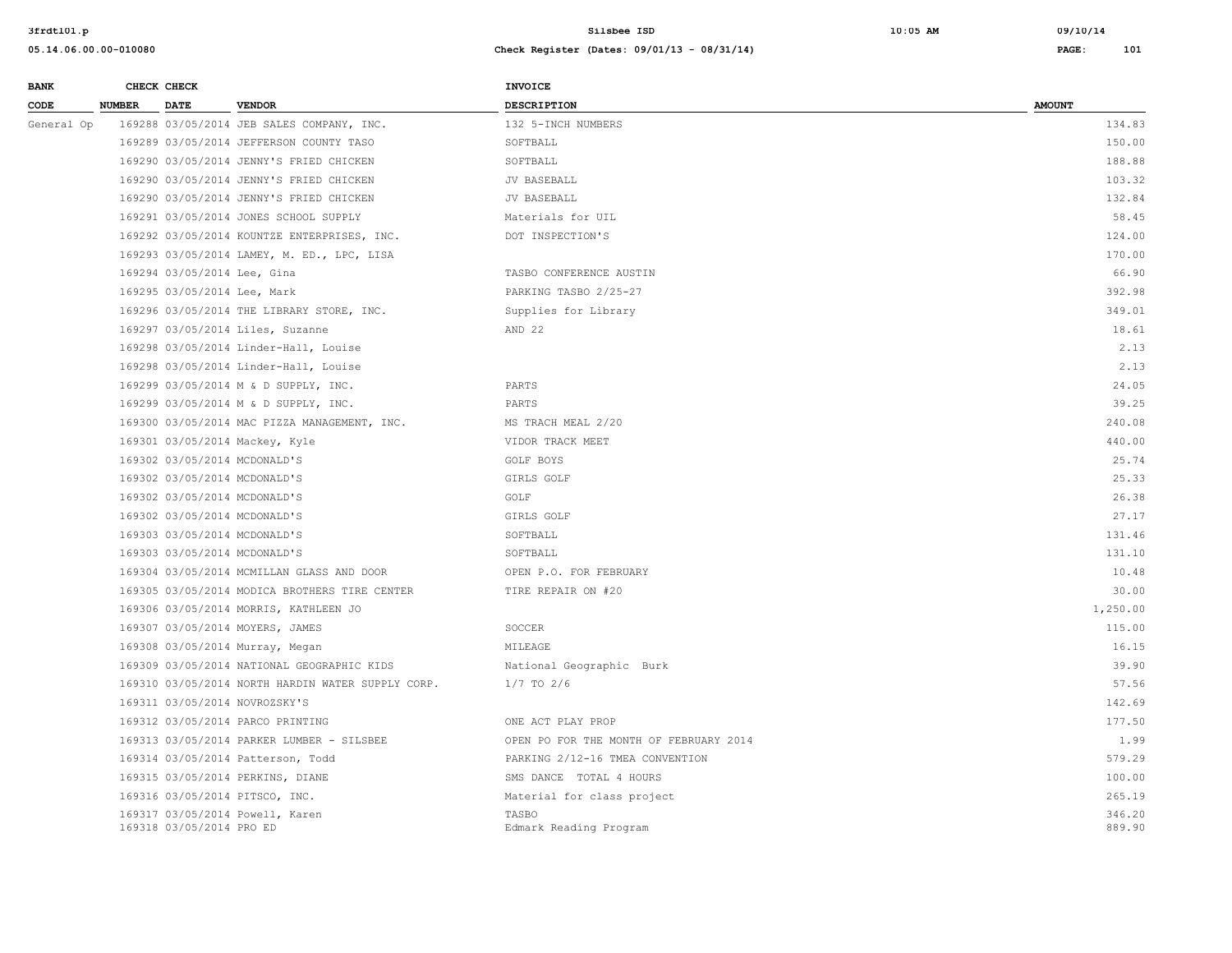| <b>BANK</b> |               | CHECK CHECK                 |                                                   | <b>INVOICE</b>                         |                  |
|-------------|---------------|-----------------------------|---------------------------------------------------|----------------------------------------|------------------|
| CODE        | <b>NUMBER</b> | <b>DATE</b>                 | <b>VENDOR</b>                                     | <b>DESCRIPTION</b>                     | <b>AMOUNT</b>    |
| General Op  |               |                             | 169288 03/05/2014 JEB SALES COMPANY, INC.         | 132 5-INCH NUMBERS                     | 134.83           |
|             |               |                             | 169289 03/05/2014 JEFFERSON COUNTY TASO           | SOFTBALL                               | 150.00           |
|             |               |                             | 169290 03/05/2014 JENNY'S FRIED CHICKEN           | SOFTBALL                               | 188.88           |
|             |               |                             | 169290 03/05/2014 JENNY'S FRIED CHICKEN           | JV BASEBALL                            | 103.32           |
|             |               |                             | 169290 03/05/2014 JENNY'S FRIED CHICKEN           | <b>JV BASEBALL</b>                     | 132.84           |
|             |               |                             | 169291 03/05/2014 JONES SCHOOL SUPPLY             | Materials for UIL                      | 58.45            |
|             |               |                             | 169292 03/05/2014 KOUNTZE ENTERPRISES, INC.       | DOT INSPECTION'S                       | 124.00           |
|             |               |                             | 169293 03/05/2014 LAMEY, M. ED., LPC, LISA        |                                        | 170.00           |
|             |               | 169294 03/05/2014 Lee, Gina |                                                   | TASBO CONFERENCE AUSTIN                | 66.90            |
|             |               | 169295 03/05/2014 Lee, Mark |                                                   | PARKING TASBO 2/25-27                  | 392.98           |
|             |               |                             | 169296 03/05/2014 THE LIBRARY STORE, INC.         | Supplies for Library                   | 349.01           |
|             |               |                             | 169297 03/05/2014 Liles, Suzanne                  | AND 22                                 | 18.61            |
|             |               |                             | 169298 03/05/2014 Linder-Hall, Louise             |                                        | 2.13             |
|             |               |                             | 169298 03/05/2014 Linder-Hall, Louise             |                                        | 2.13             |
|             |               |                             | 169299 03/05/2014 M & D SUPPLY, INC.              | PARTS                                  | 24.05            |
|             |               |                             | 169299 03/05/2014 M & D SUPPLY, INC.              | PARTS                                  | 39.25            |
|             |               |                             | 169300 03/05/2014 MAC PIZZA MANAGEMENT, INC.      | MS TRACH MEAL 2/20                     | 240.08           |
|             |               |                             | 169301 03/05/2014 Mackey, Kyle                    | VIDOR TRACK MEET                       | 440.00           |
|             |               |                             | 169302 03/05/2014 MCDONALD'S                      | GOLF BOYS                              | 25.74            |
|             |               |                             | 169302 03/05/2014 MCDONALD'S                      | GIRLS GOLF                             | 25.33            |
|             |               |                             | 169302 03/05/2014 MCDONALD'S                      | GOLF                                   | 26.38            |
|             |               |                             | 169302 03/05/2014 MCDONALD'S                      | GIRLS GOLF                             | 27.17            |
|             |               |                             | 169303 03/05/2014 MCDONALD'S                      | SOFTBALL                               | 131.46           |
|             |               |                             | 169303 03/05/2014 MCDONALD'S                      | SOFTBALL                               | 131.10           |
|             |               |                             | 169304 03/05/2014 MCMILLAN GLASS AND DOOR         | OPEN P.O. FOR FEBRUARY                 | 10.48            |
|             |               |                             | 169305 03/05/2014 MODICA BROTHERS TIRE CENTER     | TIRE REPAIR ON #20                     | 30.00            |
|             |               |                             | 169306 03/05/2014 MORRIS, KATHLEEN JO             |                                        | 1,250.00         |
|             |               |                             | 169307 03/05/2014 MOYERS, JAMES                   | SOCCER                                 | 115.00           |
|             |               |                             | 169308 03/05/2014 Murray, Megan                   | MILEAGE                                | 16.15            |
|             |               |                             | 169309 03/05/2014 NATIONAL GEOGRAPHIC KIDS        | National Geographic Burk               | 39.90            |
|             |               |                             | 169310 03/05/2014 NORTH HARDIN WATER SUPPLY CORP. | $1/7$ TO $2/6$                         | 57.56            |
|             |               |                             | 169311 03/05/2014 NOVROZSKY'S                     |                                        | 142.69           |
|             |               |                             | 169312 03/05/2014 PARCO PRINTING                  | ONE ACT PLAY PROP                      | 177.50           |
|             |               |                             | 169313 03/05/2014 PARKER LUMBER - SILSBEE         | OPEN PO FOR THE MONTH OF FEBRUARY 2014 | 1.99             |
|             |               |                             | 169314 03/05/2014 Patterson, Todd                 | PARKING 2/12-16 TMEA CONVENTION        | 579.29           |
|             |               |                             | 169315 03/05/2014 PERKINS, DIANE                  | SMS DANCE TOTAL 4 HOURS                | 100.00           |
|             |               |                             | 169316 03/05/2014 PITSCO, INC.                    | Material for class project             | 265.19           |
|             |               | 169318 03/05/2014 PRO ED    | 169317 03/05/2014 Powell, Karen                   | TASBO<br>Edmark Reading Program        | 346.20<br>889.90 |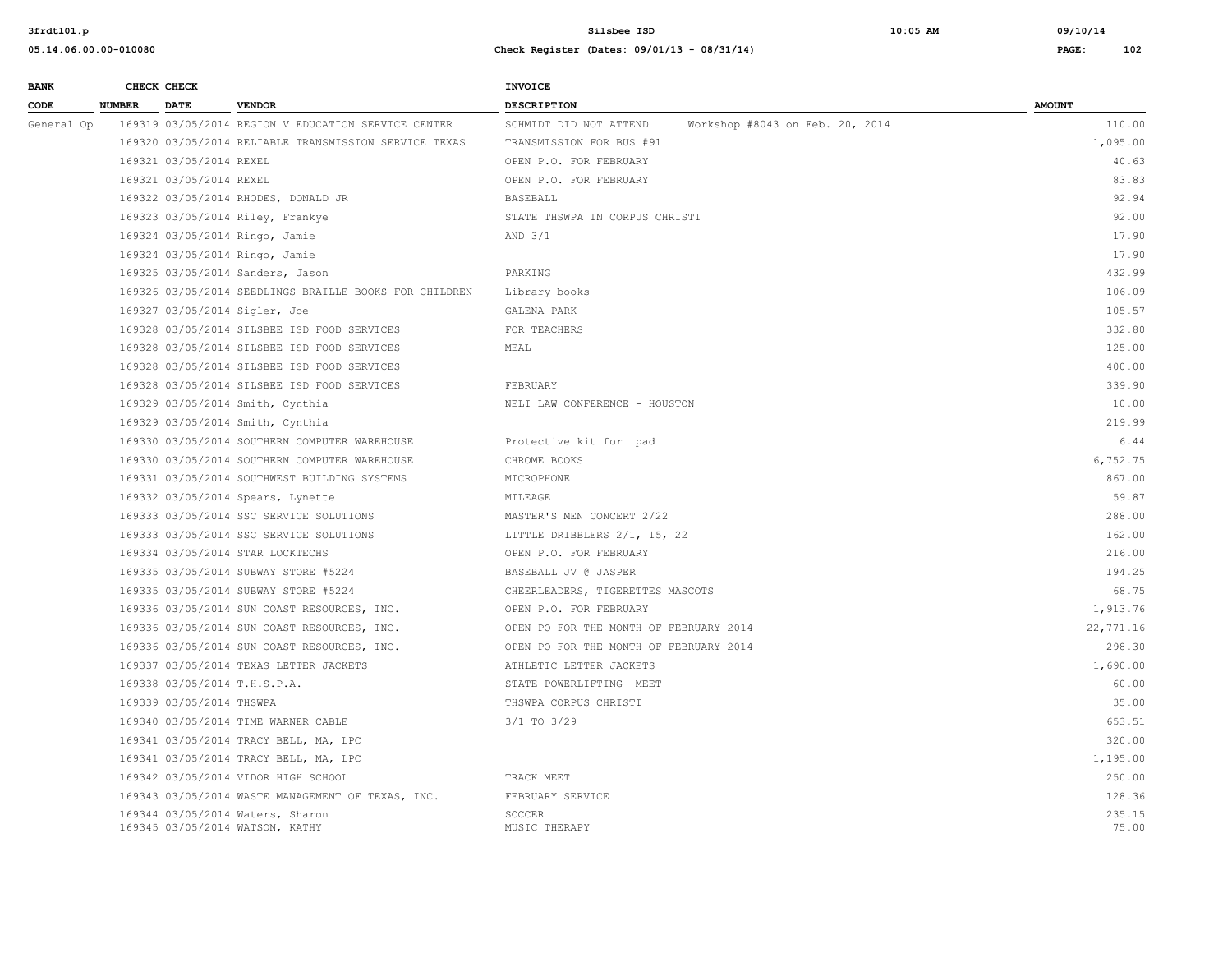| <b>BANK</b> | CHECK CHECK              |                                                                     | <b>INVOICE</b>                                            |                 |
|-------------|--------------------------|---------------------------------------------------------------------|-----------------------------------------------------------|-----------------|
| CODE        | <b>DATE</b><br>NUMBER    | <b>VENDOR</b>                                                       | <b>DESCRIPTION</b>                                        | <b>AMOUNT</b>   |
| General Op  |                          | 169319 03/05/2014 REGION V EDUCATION SERVICE CENTER                 | SCHMIDT DID NOT ATTEND<br>Workshop #8043 on Feb. 20, 2014 | 110.00          |
|             |                          | 169320 03/05/2014 RELIABLE TRANSMISSION SERVICE TEXAS               | TRANSMISSION FOR BUS #91                                  | 1,095.00        |
|             | 169321 03/05/2014 REXEL  |                                                                     | OPEN P.O. FOR FEBRUARY                                    | 40.63           |
|             | 169321 03/05/2014 REXEL  |                                                                     | OPEN P.O. FOR FEBRUARY                                    | 83.83           |
|             |                          | 169322 03/05/2014 RHODES, DONALD JR                                 | <b>BASEBALL</b>                                           | 92.94           |
|             |                          | 169323 03/05/2014 Riley, Frankye                                    | STATE THSWPA IN CORPUS CHRISTI                            | 92.00           |
|             |                          | 169324 03/05/2014 Ringo, Jamie                                      | AND $3/1$                                                 | 17.90           |
|             |                          | 169324 03/05/2014 Ringo, Jamie                                      |                                                           | 17.90           |
|             |                          | 169325 03/05/2014 Sanders, Jason                                    | PARKING                                                   | 432.99          |
|             |                          | 169326 03/05/2014 SEEDLINGS BRAILLE BOOKS FOR CHILDREN              | Library books                                             | 106.09          |
|             |                          | 169327 03/05/2014 Sigler, Joe                                       | GALENA PARK                                               | 105.57          |
|             |                          | 169328 03/05/2014 SILSBEE ISD FOOD SERVICES                         | FOR TEACHERS                                              | 332.80          |
|             |                          | 169328 03/05/2014 SILSBEE ISD FOOD SERVICES                         | MEAL                                                      | 125.00          |
|             |                          | 169328 03/05/2014 SILSBEE ISD FOOD SERVICES                         |                                                           | 400.00          |
|             |                          | 169328 03/05/2014 SILSBEE ISD FOOD SERVICES                         | FEBRUARY                                                  | 339.90          |
|             |                          | 169329 03/05/2014 Smith, Cynthia                                    | NELI LAW CONFERENCE - HOUSTON                             | 10.00           |
|             |                          | 169329 03/05/2014 Smith, Cynthia                                    |                                                           | 219.99          |
|             |                          | 169330 03/05/2014 SOUTHERN COMPUTER WAREHOUSE                       | Protective kit for ipad                                   | 6.44            |
|             |                          | 169330 03/05/2014 SOUTHERN COMPUTER WAREHOUSE                       | CHROME BOOKS                                              | 6,752.75        |
|             |                          | 169331 03/05/2014 SOUTHWEST BUILDING SYSTEMS                        | MICROPHONE                                                | 867.00          |
|             |                          | 169332 03/05/2014 Spears, Lynette                                   | MILEAGE                                                   | 59.87           |
|             |                          | 169333 03/05/2014 SSC SERVICE SOLUTIONS                             | MASTER'S MEN CONCERT 2/22                                 | 288.00          |
|             |                          | 169333 03/05/2014 SSC SERVICE SOLUTIONS                             | LITTLE DRIBBLERS 2/1, 15, 22                              | 162.00          |
|             |                          | 169334 03/05/2014 STAR LOCKTECHS                                    | OPEN P.O. FOR FEBRUARY                                    | 216.00          |
|             |                          | 169335 03/05/2014 SUBWAY STORE #5224                                | BASEBALL JV @ JASPER                                      | 194.25          |
|             |                          | 169335 03/05/2014 SUBWAY STORE #5224                                | CHEERLEADERS, TIGERETTES MASCOTS                          | 68.75           |
|             |                          | 169336 03/05/2014 SUN COAST RESOURCES, INC.                         | OPEN P.O. FOR FEBRUARY                                    | 1,913.76        |
|             |                          | 169336 03/05/2014 SUN COAST RESOURCES, INC.                         | OPEN PO FOR THE MONTH OF FEBRUARY 2014                    | 22,771.16       |
|             |                          | 169336 03/05/2014 SUN COAST RESOURCES, INC.                         | OPEN PO FOR THE MONTH OF FEBRUARY 2014                    | 298.30          |
|             |                          | 169337 03/05/2014 TEXAS LETTER JACKETS                              | ATHLETIC LETTER JACKETS                                   | 1,690.00        |
|             |                          | 169338 03/05/2014 T.H.S.P.A.                                        | STATE POWERLIFTING MEET                                   | 60.00           |
|             | 169339 03/05/2014 THSWPA |                                                                     | THSWPA CORPUS CHRISTI                                     | 35.00           |
|             |                          | 169340 03/05/2014 TIME WARNER CABLE                                 | 3/1 TO 3/29                                               | 653.51          |
|             |                          | 169341 03/05/2014 TRACY BELL, MA, LPC                               |                                                           | 320.00          |
|             |                          | 169341 03/05/2014 TRACY BELL, MA, LPC                               |                                                           | 1,195.00        |
|             |                          | 169342 03/05/2014 VIDOR HIGH SCHOOL                                 | TRACK MEET                                                | 250.00          |
|             |                          | 169343 03/05/2014 WASTE MANAGEMENT OF TEXAS, INC.                   | FEBRUARY SERVICE                                          | 128.36          |
|             |                          | 169344 03/05/2014 Waters, Sharon<br>169345 03/05/2014 WATSON, KATHY | <b>SOCCER</b><br>MUSIC THERAPY                            | 235.15<br>75.00 |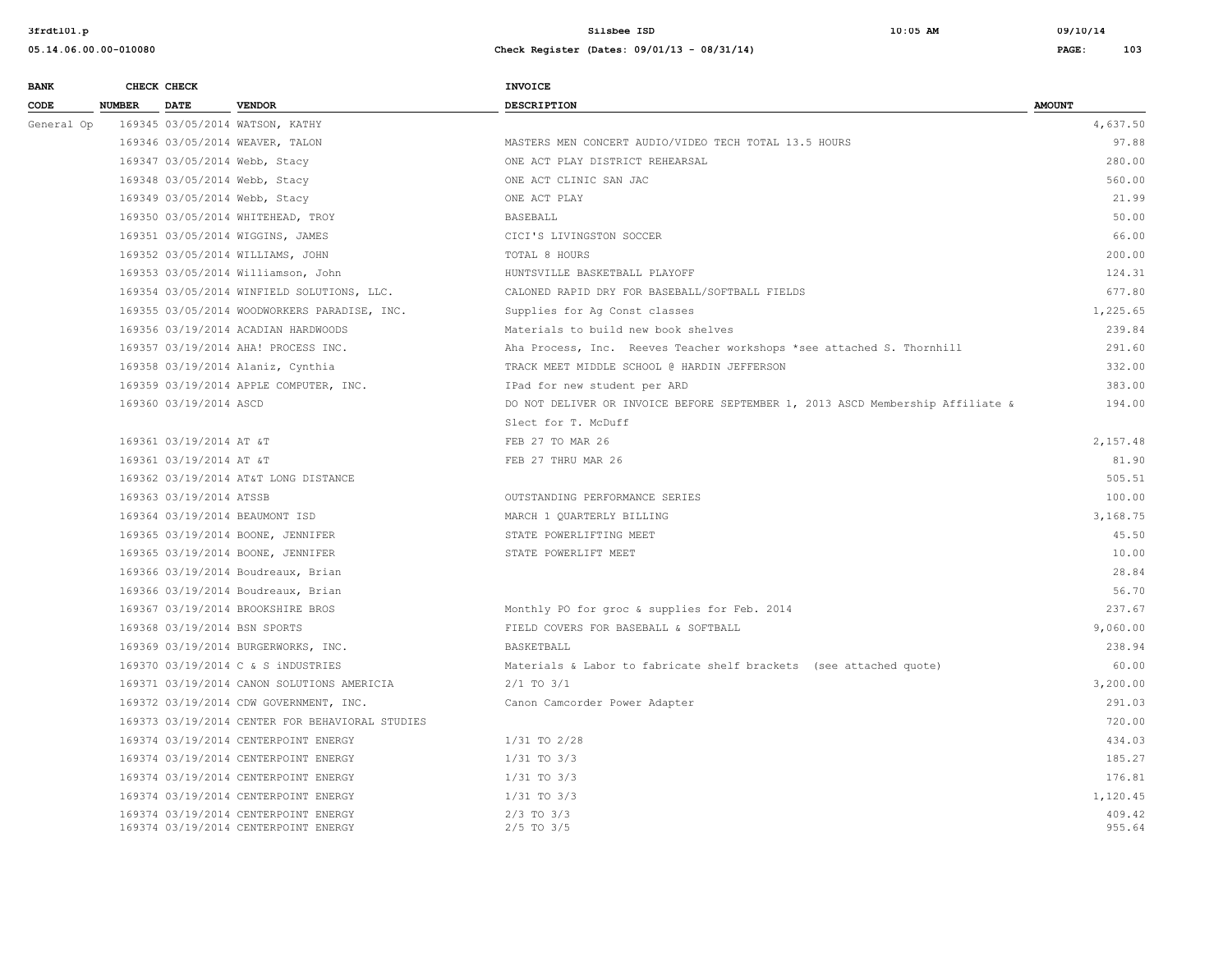| <b>BANK</b> |               | CHECK CHECK                  |                                                                              | <b>INVOICE</b>                                                                 |                  |
|-------------|---------------|------------------------------|------------------------------------------------------------------------------|--------------------------------------------------------------------------------|------------------|
| CODE        | <b>NUMBER</b> | <b>DATE</b>                  | <b>VENDOR</b>                                                                | <b>DESCRIPTION</b>                                                             | <b>AMOUNT</b>    |
| General Op  |               |                              | 169345 03/05/2014 WATSON, KATHY                                              |                                                                                | 4,637.50         |
|             |               |                              | 169346 03/05/2014 WEAVER, TALON                                              | MASTERS MEN CONCERT AUDIO/VIDEO TECH TOTAL 13.5 HOURS                          | 97.88            |
|             |               |                              | 169347 03/05/2014 Webb, Stacy                                                | ONE ACT PLAY DISTRICT REHEARSAL                                                | 280.00           |
|             |               |                              | 169348 03/05/2014 Webb, Stacy                                                | ONE ACT CLINIC SAN JAC                                                         | 560.00           |
|             |               |                              | 169349 03/05/2014 Webb, Stacy                                                | ONE ACT PLAY                                                                   | 21.99            |
|             |               |                              | 169350 03/05/2014 WHITEHEAD, TROY                                            | <b>BASEBALL</b>                                                                | 50.00            |
|             |               |                              | 169351 03/05/2014 WIGGINS, JAMES                                             | CICI'S LIVINGSTON SOCCER                                                       | 66.00            |
|             |               |                              | 169352 03/05/2014 WILLIAMS, JOHN                                             | TOTAL 8 HOURS                                                                  | 200.00           |
|             |               |                              | 169353 03/05/2014 Williamson, John                                           | HUNTSVILLE BASKETBALL PLAYOFF                                                  | 124.31           |
|             |               |                              | 169354 03/05/2014 WINFIELD SOLUTIONS, LLC.                                   | CALONED RAPID DRY FOR BASEBALL/SOFTBALL FIELDS                                 | 677.80           |
|             |               |                              | 169355 03/05/2014 WOODWORKERS PARADISE, INC.                                 | Supplies for Aq Const classes                                                  | 1,225.65         |
|             |               |                              | 169356 03/19/2014 ACADIAN HARDWOODS                                          | Materials to build new book shelves                                            | 239.84           |
|             |               |                              | 169357 03/19/2014 AHA! PROCESS INC.                                          | Aha Process, Inc. Reeves Teacher workshops *see attached S. Thornhill          | 291.60           |
|             |               |                              | 169358 03/19/2014 Alaniz, Cynthia                                            | TRACK MEET MIDDLE SCHOOL @ HARDIN JEFFERSON                                    | 332.00           |
|             |               |                              | 169359 03/19/2014 APPLE COMPUTER, INC.                                       | IPad for new student per ARD                                                   | 383.00           |
|             |               | 169360 03/19/2014 ASCD       |                                                                              | DO NOT DELIVER OR INVOICE BEFORE SEPTEMBER 1, 2013 ASCD Membership Affiliate & | 194.00           |
|             |               |                              |                                                                              | Slect for T. McDuff                                                            |                  |
|             |               | 169361 03/19/2014 AT &T      |                                                                              | FEB 27 TO MAR 26                                                               | 2.157.48         |
|             |               | 169361 03/19/2014 AT &T      |                                                                              | FEB 27 THRU MAR 26                                                             | 81.90            |
|             |               |                              | 169362 03/19/2014 AT&T LONG DISTANCE                                         |                                                                                | 505.51           |
|             |               | 169363 03/19/2014 ATSSB      |                                                                              | OUTSTANDING PERFORMANCE SERIES                                                 | 100.00           |
|             |               |                              | 169364 03/19/2014 BEAUMONT ISD                                               | MARCH 1 QUARTERLY BILLING                                                      | 3,168.75         |
|             |               |                              | 169365 03/19/2014 BOONE, JENNIFER                                            | STATE POWERLIFTING MEET                                                        | 45.50            |
|             |               |                              | 169365 03/19/2014 BOONE, JENNIFER                                            | STATE POWERLIFT MEET                                                           | 10.00            |
|             |               |                              | 169366 03/19/2014 Boudreaux, Brian                                           |                                                                                | 28.84            |
|             |               |                              | 169366 03/19/2014 Boudreaux, Brian                                           |                                                                                | 56.70            |
|             |               |                              | 169367 03/19/2014 BROOKSHIRE BROS                                            | Monthly PO for groc & supplies for Feb. 2014                                   | 237.67           |
|             |               | 169368 03/19/2014 BSN SPORTS |                                                                              | FIELD COVERS FOR BASEBALL & SOFTBALL                                           | 9,060.00         |
|             |               |                              | 169369 03/19/2014 BURGERWORKS, INC.                                          | BASKETBALL                                                                     | 238.94           |
|             |               |                              | 169370 03/19/2014 C & S iNDUSTRIES                                           | Materials & Labor to fabricate shelf brackets (see attached quote)             | 60.00            |
|             |               |                              | 169371 03/19/2014 CANON SOLUTIONS AMERICIA                                   | $2/1$ TO $3/1$                                                                 | 3,200.00         |
|             |               |                              | 169372 03/19/2014 CDW GOVERNMENT, INC.                                       | Canon Camcorder Power Adapter                                                  | 291.03           |
|             |               |                              | 169373 03/19/2014 CENTER FOR BEHAVIORAL STUDIES                              |                                                                                | 720.00           |
|             |               |                              | 169374 03/19/2014 CENTERPOINT ENERGY                                         | $1/31$ TO $2/28$                                                               | 434.03           |
|             |               |                              | 169374 03/19/2014 CENTERPOINT ENERGY                                         | $1/31$ TO $3/3$                                                                | 185.27           |
|             |               |                              | 169374 03/19/2014 CENTERPOINT ENERGY                                         | $1/31$ TO $3/3$                                                                | 176.81           |
|             |               |                              | 169374 03/19/2014 CENTERPOINT ENERGY                                         | $1/31$ TO $3/3$                                                                | 1,120.45         |
|             |               |                              | 169374 03/19/2014 CENTERPOINT ENERGY<br>169374 03/19/2014 CENTERPOINT ENERGY | $2/3$ TO $3/3$<br>$2/5$ TO $3/5$                                               | 409.42<br>955.64 |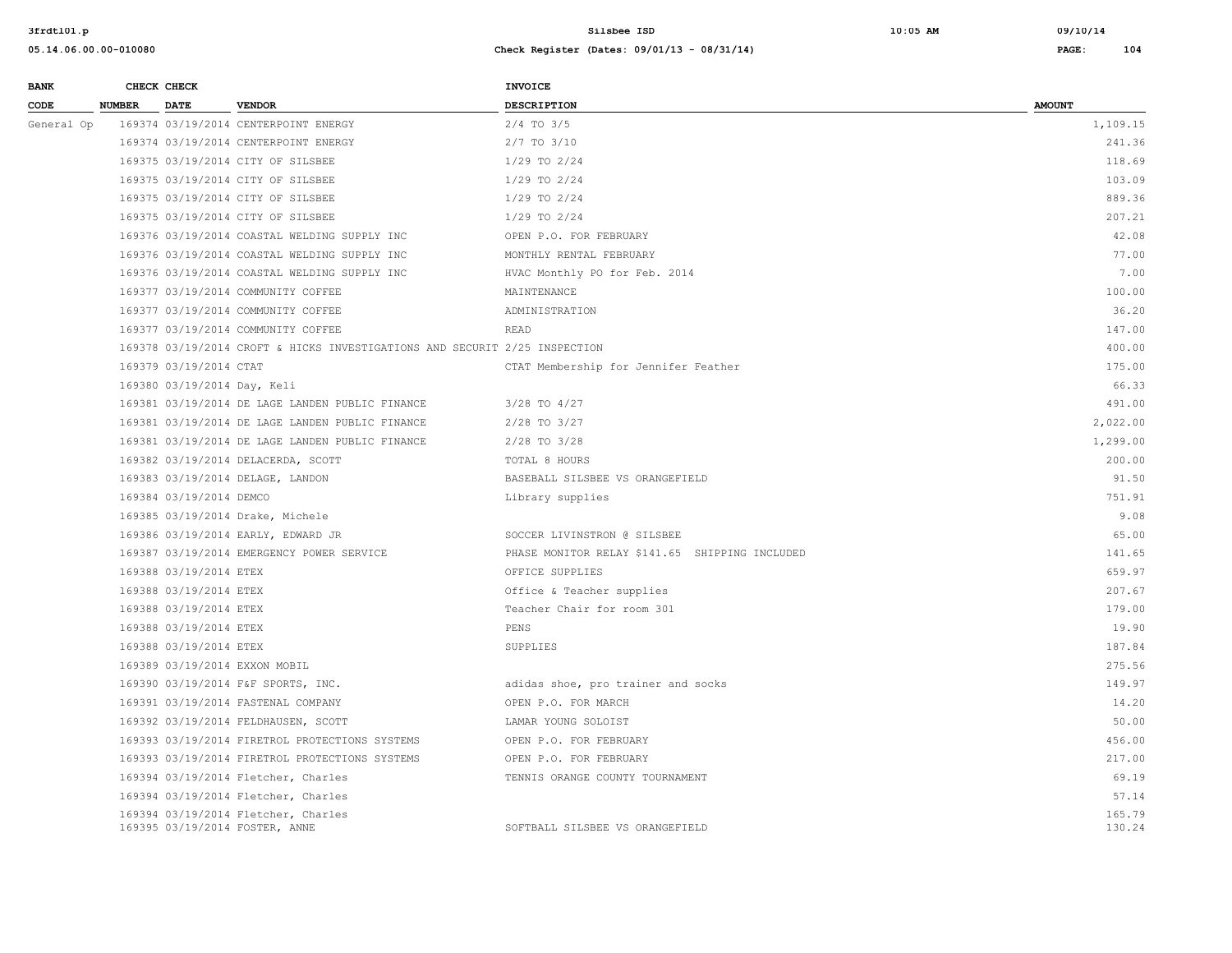| <b>BANK</b><br>CHECK CHECK |               |                             |                                                                            | <b>INVOICE</b>                                 |                  |  |
|----------------------------|---------------|-----------------------------|----------------------------------------------------------------------------|------------------------------------------------|------------------|--|
| CODE                       | <b>NUMBER</b> | <b>DATE</b>                 | <b>VENDOR</b>                                                              | <b>DESCRIPTION</b>                             | <b>AMOUNT</b>    |  |
| General Op                 |               |                             | 169374 03/19/2014 CENTERPOINT ENERGY                                       | $2/4$ TO $3/5$                                 | 1,109.15         |  |
|                            |               |                             | 169374 03/19/2014 CENTERPOINT ENERGY                                       | $2/7$ TO $3/10$                                | 241.36           |  |
|                            |               |                             | 169375 03/19/2014 CITY OF SILSBEE                                          | $1/29$ TO $2/24$                               | 118.69           |  |
|                            |               |                             | 169375 03/19/2014 CITY OF SILSBEE                                          | $1/29$ TO $2/24$                               | 103.09           |  |
|                            |               |                             | 169375 03/19/2014 CITY OF SILSBEE                                          | $1/29$ TO $2/24$                               | 889.36           |  |
|                            |               |                             | 169375 03/19/2014 CITY OF SILSBEE                                          | $1/29$ TO $2/24$                               | 207.21           |  |
|                            |               |                             | 169376 03/19/2014 COASTAL WELDING SUPPLY INC                               | OPEN P.O. FOR FEBRUARY                         | 42.08            |  |
|                            |               |                             | 169376 03/19/2014 COASTAL WELDING SUPPLY INC                               | MONTHLY RENTAL FEBRUARY                        | 77.00            |  |
|                            |               |                             | 169376 03/19/2014 COASTAL WELDING SUPPLY INC                               | HVAC Monthly PO for Feb. 2014                  | 7.00             |  |
|                            |               |                             | 169377 03/19/2014 COMMUNITY COFFEE                                         | MAINTENANCE                                    | 100.00           |  |
|                            |               |                             | 169377 03/19/2014 COMMUNITY COFFEE                                         | ADMINISTRATION                                 | 36.20            |  |
|                            |               |                             | 169377 03/19/2014 COMMUNITY COFFEE                                         | READ                                           | 147.00           |  |
|                            |               |                             | 169378 03/19/2014 CROFT & HICKS INVESTIGATIONS AND SECURIT 2/25 INSPECTION |                                                | 400.00           |  |
|                            |               | 169379 03/19/2014 CTAT      |                                                                            | CTAT Membership for Jennifer Feather           | 175.00           |  |
|                            |               | 169380 03/19/2014 Day, Keli |                                                                            |                                                | 66.33            |  |
|                            |               |                             | 169381 03/19/2014 DE LAGE LANDEN PUBLIC FINANCE                            | $3/28$ TO $4/27$                               | 491.00           |  |
|                            |               |                             | 169381 03/19/2014 DE LAGE LANDEN PUBLIC FINANCE                            | $2/28$ TO $3/27$                               | 2,022.00         |  |
|                            |               |                             | 169381 03/19/2014 DE LAGE LANDEN PUBLIC FINANCE                            | 2/28 TO 3/28                                   | 1,299.00         |  |
|                            |               |                             | 169382 03/19/2014 DELACERDA, SCOTT                                         | TOTAL 8 HOURS                                  | 200.00           |  |
|                            |               |                             | 169383 03/19/2014 DELAGE, LANDON                                           | BASEBALL SILSBEE VS ORANGEFIELD                | 91.50            |  |
|                            |               | 169384 03/19/2014 DEMCO     |                                                                            | Library supplies                               | 751.91           |  |
|                            |               |                             | 169385 03/19/2014 Drake, Michele                                           |                                                | 9.08             |  |
|                            |               |                             | 169386 03/19/2014 EARLY, EDWARD JR                                         | SOCCER LIVINSTRON @ SILSBEE                    | 65.00            |  |
|                            |               |                             | 169387 03/19/2014 EMERGENCY POWER SERVICE                                  | PHASE MONITOR RELAY \$141.65 SHIPPING INCLUDED | 141.65           |  |
|                            |               | 169388 03/19/2014 ETEX      |                                                                            | OFFICE SUPPLIES                                | 659.97           |  |
|                            |               | 169388 03/19/2014 ETEX      |                                                                            | Office & Teacher supplies                      | 207.67           |  |
|                            |               | 169388 03/19/2014 ETEX      |                                                                            | Teacher Chair for room 301                     | 179.00           |  |
|                            |               | 169388 03/19/2014 ETEX      |                                                                            | PENS                                           | 19.90            |  |
|                            |               | 169388 03/19/2014 ETEX      |                                                                            | SUPPLIES                                       | 187.84           |  |
|                            |               |                             | 169389 03/19/2014 EXXON MOBIL                                              |                                                | 275.56           |  |
|                            |               |                             | 169390 03/19/2014 F&F SPORTS, INC.                                         | adidas shoe, pro trainer and socks             | 149.97           |  |
|                            |               |                             | 169391 03/19/2014 FASTENAL COMPANY                                         | OPEN P.O. FOR MARCH                            | 14.20            |  |
|                            |               |                             | 169392 03/19/2014 FELDHAUSEN, SCOTT                                        | LAMAR YOUNG SOLOIST                            | 50.00            |  |
|                            |               |                             | 169393 03/19/2014 FIRETROL PROTECTIONS SYSTEMS                             | OPEN P.O. FOR FEBRUARY                         | 456.00           |  |
|                            |               |                             | 169393 03/19/2014 FIRETROL PROTECTIONS SYSTEMS                             | OPEN P.O. FOR FEBRUARY                         | 217.00           |  |
|                            |               |                             | 169394 03/19/2014 Fletcher, Charles                                        | TENNIS ORANGE COUNTY TOURNAMENT                | 69.19            |  |
|                            |               |                             | 169394 03/19/2014 Fletcher, Charles                                        |                                                | 57.14            |  |
|                            |               |                             | 169394 03/19/2014 Fletcher, Charles<br>169395 03/19/2014 FOSTER, ANNE      | SOFTBALL SILSBEE VS ORANGEFIELD                | 165.79<br>130.24 |  |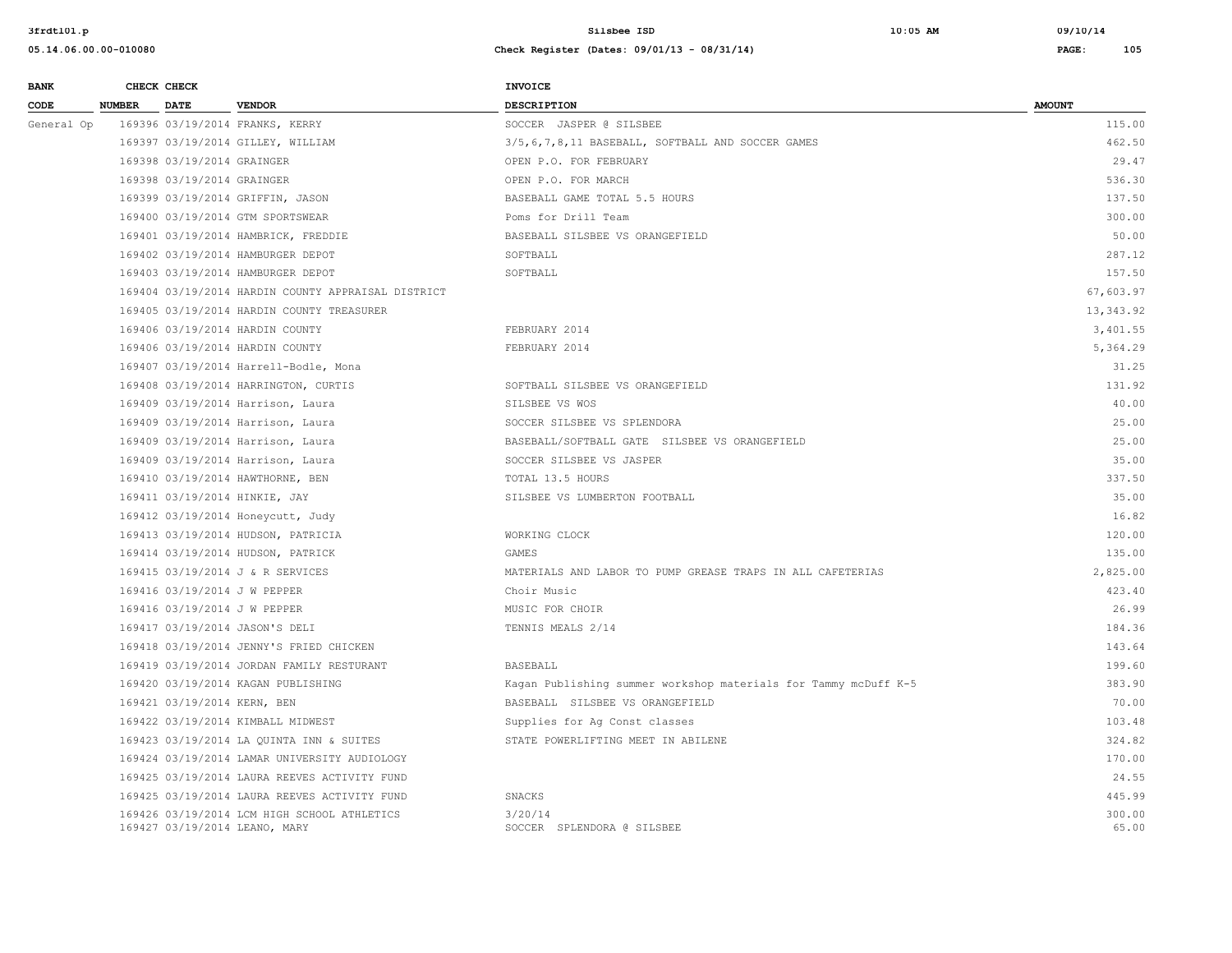| <b>BANK</b> |               | CHECK CHECK                 |                                                                              | <b>INVOICE</b>                                                  |                 |
|-------------|---------------|-----------------------------|------------------------------------------------------------------------------|-----------------------------------------------------------------|-----------------|
| CODE        | <b>NUMBER</b> | <b>DATE</b>                 | <b>VENDOR</b>                                                                | <b>DESCRIPTION</b>                                              | <b>AMOUNT</b>   |
| General Op  |               |                             | 169396 03/19/2014 FRANKS, KERRY                                              | SOCCER JASPER @ SILSBEE                                         | 115.00          |
|             |               |                             | 169397 03/19/2014 GILLEY, WILLIAM                                            | 3/5, 6, 7, 8, 11 BASEBALL, SOFTBALL AND SOCCER GAMES            | 462.50          |
|             |               | 169398 03/19/2014 GRAINGER  |                                                                              | OPEN P.O. FOR FEBRUARY                                          | 29.47           |
|             |               | 169398 03/19/2014 GRAINGER  |                                                                              | OPEN P.O. FOR MARCH                                             | 536.30          |
|             |               |                             | 169399 03/19/2014 GRIFFIN, JASON                                             | BASEBALL GAME TOTAL 5.5 HOURS                                   | 137.50          |
|             |               |                             | 169400 03/19/2014 GTM SPORTSWEAR                                             | Poms for Drill Team                                             | 300.00          |
|             |               |                             | 169401 03/19/2014 HAMBRICK, FREDDIE                                          | BASEBALL SILSBEE VS ORANGEFIELD                                 | 50.00           |
|             |               |                             | 169402 03/19/2014 HAMBURGER DEPOT                                            | SOFTBALL                                                        | 287.12          |
|             |               |                             | 169403 03/19/2014 HAMBURGER DEPOT                                            | SOFTBALL                                                        | 157.50          |
|             |               |                             | 169404 03/19/2014 HARDIN COUNTY APPRAISAL DISTRICT                           |                                                                 | 67,603.97       |
|             |               |                             | 169405 03/19/2014 HARDIN COUNTY TREASURER                                    |                                                                 | 13,343.92       |
|             |               |                             | 169406 03/19/2014 HARDIN COUNTY                                              | FEBRUARY 2014                                                   | 3,401.55        |
|             |               |                             | 169406 03/19/2014 HARDIN COUNTY                                              | FEBRUARY 2014                                                   | 5,364.29        |
|             |               |                             | 169407 03/19/2014 Harrell-Bodle, Mona                                        |                                                                 | 31.25           |
|             |               |                             | 169408 03/19/2014 HARRINGTON, CURTIS                                         | SOFTBALL SILSBEE VS ORANGEFIELD                                 | 131.92          |
|             |               |                             | 169409 03/19/2014 Harrison, Laura                                            | SILSBEE VS WOS                                                  | 40.00           |
|             |               |                             | 169409 03/19/2014 Harrison, Laura                                            | SOCCER SILSBEE VS SPLENDORA                                     | 25.00           |
|             |               |                             | 169409 03/19/2014 Harrison, Laura                                            | BASEBALL/SOFTBALL GATE SILSBEE VS ORANGEFIELD                   | 25.00           |
|             |               |                             | 169409 03/19/2014 Harrison, Laura                                            | SOCCER SILSBEE VS JASPER                                        | 35.00           |
|             |               |                             | 169410 03/19/2014 HAWTHORNE, BEN                                             | TOTAL 13.5 HOURS                                                | 337.50          |
|             |               |                             | 169411 03/19/2014 HINKIE, JAY                                                | SILSBEE VS LUMBERTON FOOTBALL                                   | 35.00           |
|             |               |                             | 169412 03/19/2014 Honeycutt, Judy                                            |                                                                 | 16.82           |
|             |               |                             | 169413 03/19/2014 HUDSON, PATRICIA                                           | WORKING CLOCK                                                   | 120.00          |
|             |               |                             | 169414 03/19/2014 HUDSON, PATRICK                                            | GAMES                                                           | 135.00          |
|             |               |                             | 169415 03/19/2014 J & R SERVICES                                             | MATERIALS AND LABOR TO PUMP GREASE TRAPS IN ALL CAFETERIAS      | 2,825.00        |
|             |               |                             | 169416 03/19/2014 J W PEPPER                                                 | Choir Music                                                     | 423.40          |
|             |               |                             | 169416 03/19/2014 J W PEPPER                                                 | MUSIC FOR CHOIR                                                 | 26.99           |
|             |               |                             | 169417 03/19/2014 JASON'S DELI                                               | TENNIS MEALS 2/14                                               | 184.36          |
|             |               |                             | 169418 03/19/2014 JENNY'S FRIED CHICKEN                                      |                                                                 | 143.64          |
|             |               |                             | 169419 03/19/2014 JORDAN FAMILY RESTURANT                                    | <b>BASEBALL</b>                                                 | 199.60          |
|             |               |                             | 169420 03/19/2014 KAGAN PUBLISHING                                           | Kagan Publishing summer workshop materials for Tammy mcDuff K-5 | 383.90          |
|             |               | 169421 03/19/2014 KERN, BEN |                                                                              | BASEBALL SILSBEE VS ORANGEFIELD                                 | 70.00           |
|             |               |                             | 169422 03/19/2014 KIMBALL MIDWEST                                            | Supplies for Ag Const classes                                   | 103.48          |
|             |               |                             | 169423 03/19/2014 LA QUINTA INN & SUITES                                     | STATE POWERLIFTING MEET IN ABILENE                              | 324.82          |
|             |               |                             | 169424 03/19/2014 LAMAR UNIVERSITY AUDIOLOGY                                 |                                                                 | 170.00          |
|             |               |                             | 169425 03/19/2014 LAURA REEVES ACTIVITY FUND                                 |                                                                 | 24.55           |
|             |               |                             | 169425 03/19/2014 LAURA REEVES ACTIVITY FUND                                 | SNACKS                                                          | 445.99          |
|             |               |                             | 169426 03/19/2014 LCM HIGH SCHOOL ATHLETICS<br>169427 03/19/2014 LEANO, MARY | 3/20/14<br>SOCCER SPLENDORA @ SILSBEE                           | 300.00<br>65.00 |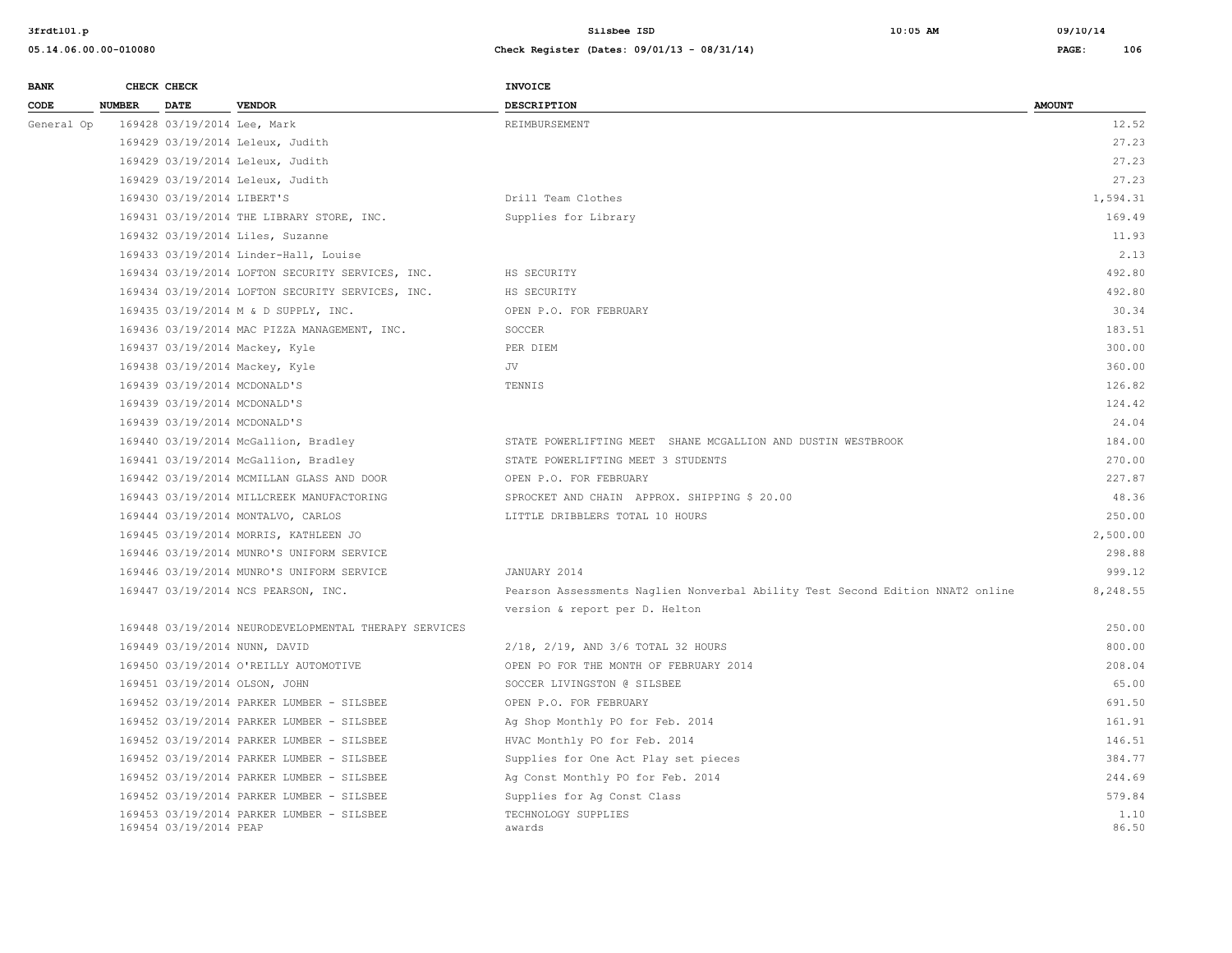| <b>BANK</b> |               | CHECK CHECK                 |                                                       | INVOICE                                                                        |               |
|-------------|---------------|-----------------------------|-------------------------------------------------------|--------------------------------------------------------------------------------|---------------|
| CODE        | <b>NUMBER</b> | <b>DATE</b>                 | <b>VENDOR</b>                                         | <b>DESCRIPTION</b>                                                             | <b>AMOUNT</b> |
| General Op  |               | 169428 03/19/2014 Lee, Mark |                                                       | REIMBURSEMENT                                                                  | 12.52         |
|             |               |                             | 169429 03/19/2014 Leleux, Judith                      |                                                                                | 27.23         |
|             |               |                             | 169429 03/19/2014 Leleux, Judith                      |                                                                                | 27.23         |
|             |               |                             | 169429 03/19/2014 Leleux, Judith                      |                                                                                | 27.23         |
|             |               | 169430 03/19/2014 LIBERT'S  |                                                       | Drill Team Clothes                                                             | 1,594.31      |
|             |               |                             | 169431 03/19/2014 THE LIBRARY STORE, INC.             | Supplies for Library                                                           | 169.49        |
|             |               |                             | 169432 03/19/2014 Liles, Suzanne                      |                                                                                | 11.93         |
|             |               |                             | 169433 03/19/2014 Linder-Hall, Louise                 |                                                                                | 2.13          |
|             |               |                             | 169434 03/19/2014 LOFTON SECURITY SERVICES, INC.      | HS SECURITY                                                                    | 492.80        |
|             |               |                             | 169434 03/19/2014 LOFTON SECURITY SERVICES, INC.      | HS SECURITY                                                                    | 492.80        |
|             |               |                             | 169435 03/19/2014 M & D SUPPLY, INC.                  | OPEN P.O. FOR FEBRUARY                                                         | 30.34         |
|             |               |                             | 169436 03/19/2014 MAC PIZZA MANAGEMENT, INC.          | SOCCER                                                                         | 183.51        |
|             |               |                             | 169437 03/19/2014 Mackey, Kyle                        | PER DIEM                                                                       | 300.00        |
|             |               |                             | 169438 03/19/2014 Mackey, Kyle                        | JV                                                                             | 360.00        |
|             |               |                             | 169439 03/19/2014 MCDONALD'S                          | TENNIS                                                                         | 126.82        |
|             |               |                             | 169439 03/19/2014 MCDONALD'S                          |                                                                                | 124.42        |
|             |               |                             | 169439 03/19/2014 MCDONALD'S                          |                                                                                | 24.04         |
|             |               |                             | 169440 03/19/2014 McGallion, Bradley                  | STATE POWERLIFTING MEET SHANE MCGALLION AND DUSTIN WESTBROOK                   | 184.00        |
|             |               |                             | 169441 03/19/2014 McGallion, Bradley                  | STATE POWERLIFTING MEET 3 STUDENTS                                             | 270.00        |
|             |               |                             | 169442 03/19/2014 MCMILLAN GLASS AND DOOR             | OPEN P.O. FOR FEBRUARY                                                         | 227.87        |
|             |               |                             | 169443 03/19/2014 MILLCREEK MANUFACTORING             | SPROCKET AND CHAIN APPROX. SHIPPING \$ 20.00                                   | 48.36         |
|             |               |                             | 169444 03/19/2014 MONTALVO, CARLOS                    | LITTLE DRIBBLERS TOTAL 10 HOURS                                                | 250.00        |
|             |               |                             | 169445 03/19/2014 MORRIS, KATHLEEN JO                 |                                                                                | 2,500.00      |
|             |               |                             | 169446 03/19/2014 MUNRO'S UNIFORM SERVICE             |                                                                                | 298.88        |
|             |               |                             | 169446 03/19/2014 MUNRO'S UNIFORM SERVICE             | JANUARY 2014                                                                   | 999.12        |
|             |               |                             | 169447 03/19/2014 NCS PEARSON, INC.                   | Pearson Assessments Naglien Nonverbal Ability Test Second Edition NNAT2 online | 8,248.55      |
|             |               |                             |                                                       | version & report per D. Helton                                                 |               |
|             |               |                             | 169448 03/19/2014 NEURODEVELOPMENTAL THERAPY SERVICES |                                                                                | 250.00        |
|             |               |                             | 169449 03/19/2014 NUNN, DAVID                         | 2/18, 2/19, AND 3/6 TOTAL 32 HOURS                                             | 800.00        |
|             |               |                             | 169450 03/19/2014 O'REILLY AUTOMOTIVE                 | OPEN PO FOR THE MONTH OF FEBRUARY 2014                                         | 208.04        |
|             |               |                             | 169451 03/19/2014 OLSON, JOHN                         | SOCCER LIVINGSTON @ SILSBEE                                                    | 65.00         |
|             |               |                             | 169452 03/19/2014 PARKER LUMBER - SILSBEE             | OPEN P.O. FOR FEBRUARY                                                         | 691.50        |
|             |               |                             | 169452 03/19/2014 PARKER LUMBER - SILSBEE             | Ag Shop Monthly PO for Feb. 2014                                               | 161.91        |
|             |               |                             | 169452 03/19/2014 PARKER LUMBER - SILSBEE             | HVAC Monthly PO for Feb. 2014                                                  | 146.51        |
|             |               |                             | 169452 03/19/2014 PARKER LUMBER - SILSBEE             | Supplies for One Act Play set pieces                                           | 384.77        |
|             |               |                             | 169452 03/19/2014 PARKER LUMBER - SILSBEE             | Ag Const Monthly PO for Feb. 2014                                              | 244.69        |
|             |               |                             | 169452 03/19/2014 PARKER LUMBER - SILSBEE             | Supplies for Ag Const Class                                                    | 579.84        |
|             |               | 169454 03/19/2014 PEAP      | 169453 03/19/2014 PARKER LUMBER - SILSBEE             | TECHNOLOGY SUPPLIES<br>awards                                                  | 1.10<br>86.50 |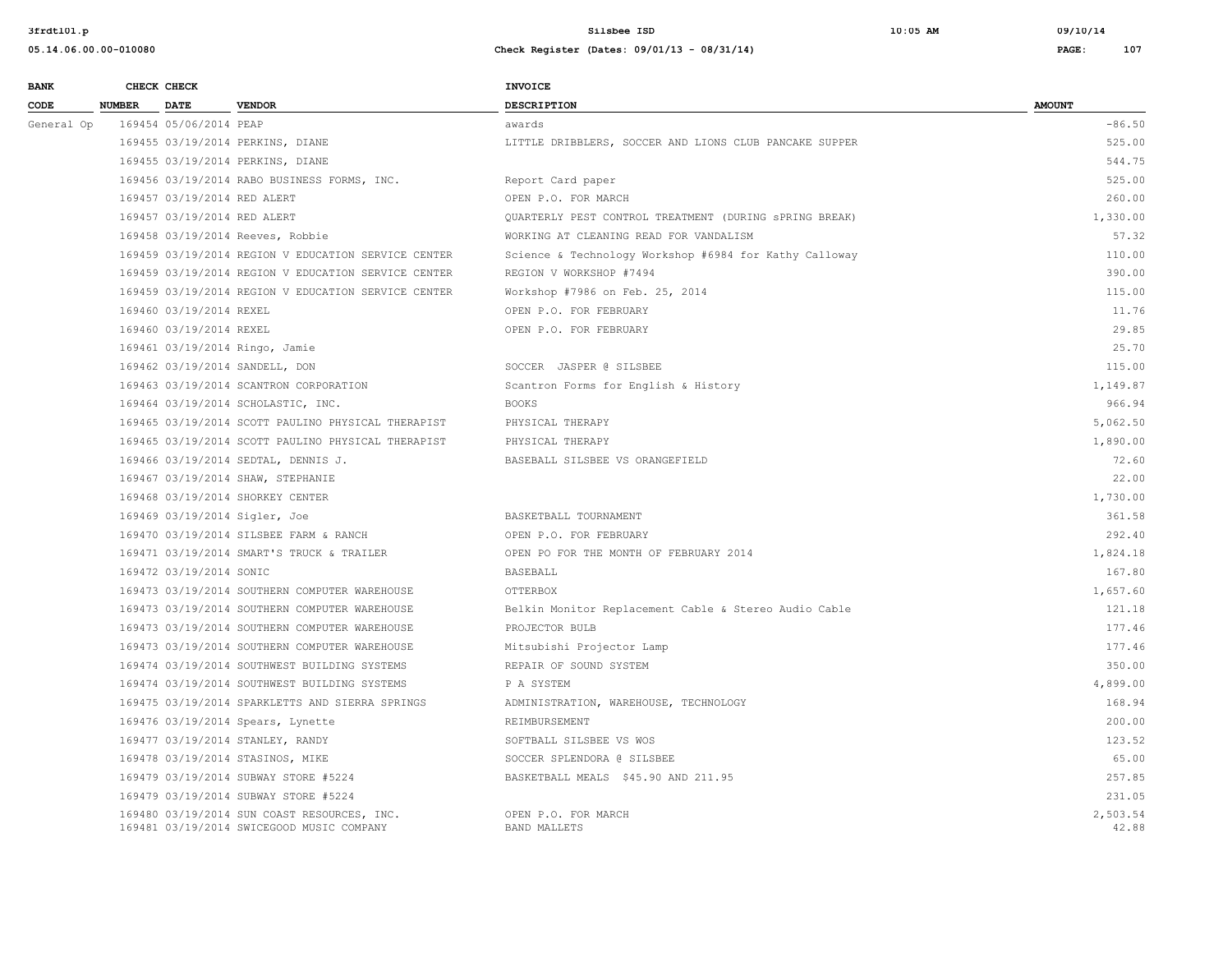**05.14.06.00.00-010080 Check Register (Dates: 09/01/13 - 08/31/14) PAGE: 107**

# **BANK** CHECK CHECK **CHECK CODE NUMBER DATE VENDOR DESCRIPTION AMOUNT**  General Op 169454 05/06/2014 PEAP -86.50 awards -86.50 awards -86.50 and the state of the state of the state of the state of the state of the state of the state of the state of the state of the state of the state of the st 169455 03/19/2014 PERKINS, DIANE LITTLE DRIBBLERS, SOCCER AND LIONS CLUB PANCAKE SUPPER 525.00 169455 03/19/2014 PERKINS, DIANE 544.75 169456 03/19/2014 RABO BUSINESS FORMS, INC. Report Card paper 525.00 169457 03/19/2014 RED ALERT OPEN P.O. FOR MARCH 260.00 169457 03/19/2014 RED ALERT QUARTERLY PEST CONTROL TREATMENT (DURING sPRING BREAK) 1,330.00 169458 03/19/2014 Reeves, Robbie WORKING AT CLEANING READ FOR VANDALISM 57.32 169459 03/19/2014 REGION V EDUCATION SERVICE CENTER Science & Technology Workshop #6984 for Kathy Calloway 110.00 169459 03/19/2014 REGION V EDUCATION SERVICE CENTER REGION V WORKSHOP #7494 390.00 169459 03/19/2014 REGION V EDUCATION SERVICE CENTER Workshop #7986 on Feb. 25, 2014 115.00 169460 03/19/2014 REXEL OPEN P.O. FOR FEBRUARY 11.76 169460 03/19/2014 REXEL OPEN P.O. FOR FEBRUARY 29.85 169461 03/19/2014 Ringo, Jamie 25.70 169462 03/19/2014 SANDELL, DON SOCCER JASPER @ SILSBEE 115.00 169463 03/19/2014 SCANTRON CORPORATION Scantron Forms for English & History 1,149.87 169464 03/19/2014 SCHOLASTIC, INC. BOOKS 966.94 169465 03/19/2014 SCOTT PAULINO PHYSICAL THERAPIST PHYSICAL THERAPY 5,062.50 169465 03/19/2014 SCOTT PAULINO PHYSICAL THERAPIST PHYSICAL THERAPY 1,890.00 169466 03/19/2014 SEDTAL, DENNIS J. BASEBALL SILSBEE VS ORANGEFIELD 72.60 169467 03/19/2014 SHAW, STEPHANIE 22.00 169468 03/19/2014 SHORKEY CENTER 1,730.00 169469 03/19/2014 Sigler, Joe BASKETBALL TOURNAMENT 361.58 169470 03/19/2014 SILSBEE FARM & RANCH OPEN P.O. FOR FEBRUARY 292.40 169471 03/19/2014 SMART'S TRUCK & TRAILER **COPEN PO FOR THE MONTH OF FEBRUARY 2014** 1,824.18 169472 03/19/2014 SONIC BASEBALL 167.80 169473 03/19/2014 SOUTHERN COMPUTER WAREHOUSE OTTERBOX 1,657.60 169473 03/19/2014 SOUTHERN COMPUTER WAREHOUSE Belkin Monitor Replacement Cable & Stereo Audio Cable 121.18 169473 03/19/2014 SOUTHERN COMPUTER WAREHOUSE PROJECTOR BULB 177.46 169473 03/19/2014 SOUTHERN COMPUTER WAREHOUSE Mitsubishi Projector Lamp 177.46 169474 03/19/2014 SOUTHWEST BUILDING SYSTEMS REPAIR OF SOUND SYSTEM 350.00 169474 03/19/2014 SOUTHWEST BUILDING SYSTEMS P A SYSTEM 4,899.00 169475 03/19/2014 SPARKLETTS AND SIERRA SPRINGS ADMINISTRATION, WAREHOUSE, TECHNOLOGY 168.94 169476 03/19/2014 Spears, Lynette REIMBURSEMENT 200.00 169477 03/19/2014 STANLEY, RANDY SOFTBALL SILSBEE VS WOS 123.52 169478 03/19/2014 STASINOS, MIKE SUN SOCCER SPLENDORA @ SILSBEE 65.00 169479 03/19/2014 SUBWAY STORE #5224 BASKETBALL MEALS \$45.90 AND 211.95 257.85 169479 03/19/2014 SUBWAY STORE #5224 231.05 169480 03/19/2014 SUN COAST RESOURCES, INC. OPEN P.O. FOR MARCH 2,503.54 169481 03/19/2014 SWICEGOOD MUSIC COMPANY BAND MALLETS 42.88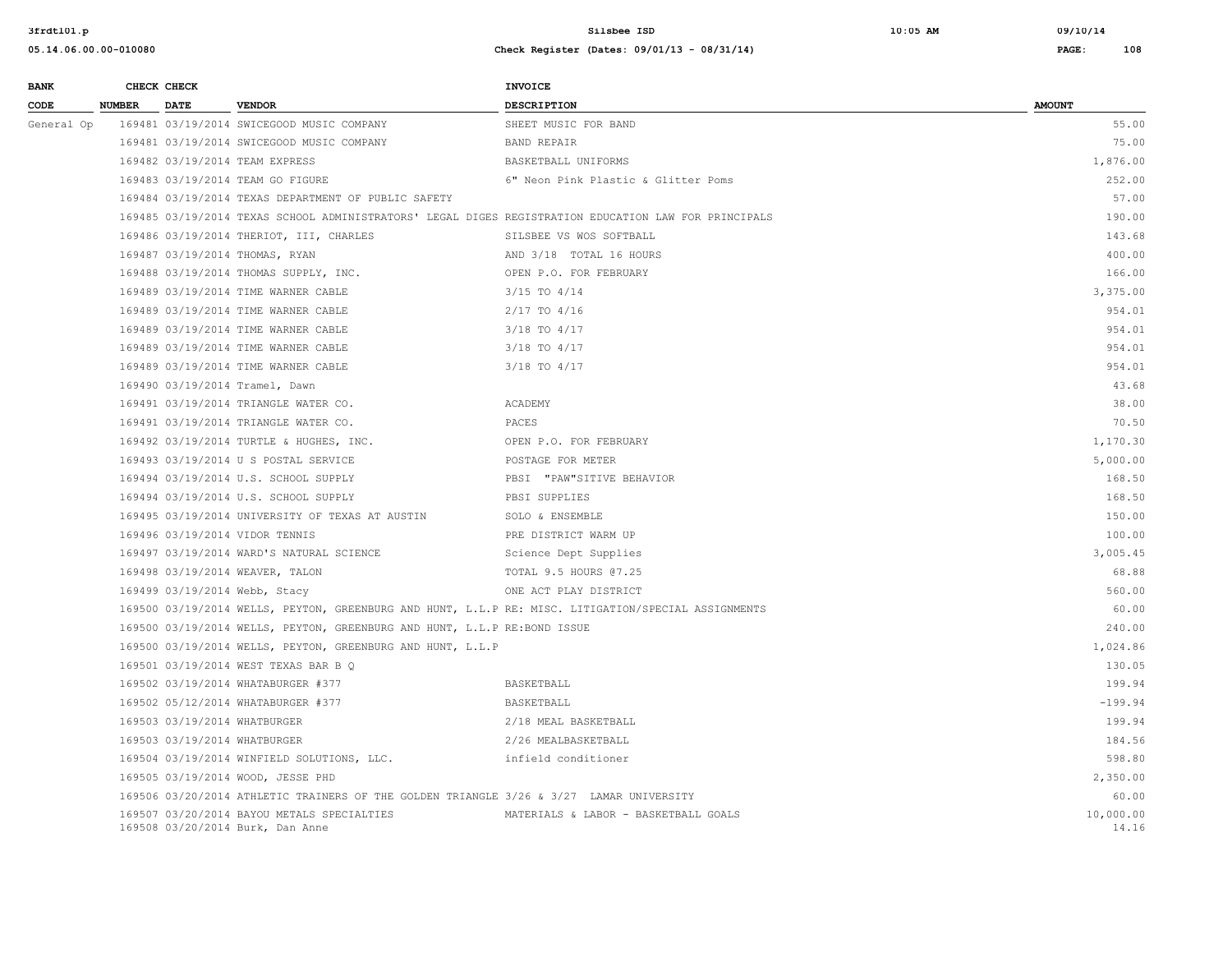| <b>BANK</b> |               | CHECK CHECK |                                                                                         | <b>INVOICE</b>                                                                                       |                    |
|-------------|---------------|-------------|-----------------------------------------------------------------------------------------|------------------------------------------------------------------------------------------------------|--------------------|
| CODE        | <b>NUMBER</b> | DATE        | <b>VENDOR</b>                                                                           | <b>DESCRIPTION</b>                                                                                   | <b>AMOUNT</b>      |
| General Op  |               |             | 169481 03/19/2014 SWICEGOOD MUSIC COMPANY                                               | SHEET MUSIC FOR BAND                                                                                 | 55.00              |
|             |               |             | 169481 03/19/2014 SWICEGOOD MUSIC COMPANY                                               | BAND REPAIR                                                                                          | 75.00              |
|             |               |             | 169482 03/19/2014 TEAM EXPRESS                                                          | BASKETBALL UNIFORMS                                                                                  | 1,876.00           |
|             |               |             | 169483 03/19/2014 TEAM GO FIGURE                                                        | 6" Neon Pink Plastic & Glitter Poms                                                                  | 252.00             |
|             |               |             | 169484 03/19/2014 TEXAS DEPARTMENT OF PUBLIC SAFETY                                     |                                                                                                      | 57.00              |
|             |               |             |                                                                                         | 169485 03/19/2014 TEXAS SCHOOL ADMINISTRATORS' LEGAL DIGES REGISTRATION EDUCATION LAW FOR PRINCIPALS | 190.00             |
|             |               |             | 169486 03/19/2014 THERIOT, III, CHARLES                                                 | SILSBEE VS WOS SOFTBALL                                                                              | 143.68             |
|             |               |             | 169487 03/19/2014 THOMAS, RYAN                                                          | AND 3/18 TOTAL 16 HOURS                                                                              | 400.00             |
|             |               |             | 169488 03/19/2014 THOMAS SUPPLY, INC.                                                   | OPEN P.O. FOR FEBRUARY                                                                               | 166.00             |
|             |               |             | 169489 03/19/2014 TIME WARNER CABLE                                                     | $3/15$ TO $4/14$                                                                                     | 3,375.00           |
|             |               |             | 169489 03/19/2014 TIME WARNER CABLE                                                     | $2/17$ TO $4/16$                                                                                     | 954.01             |
|             |               |             | 169489 03/19/2014 TIME WARNER CABLE                                                     | 3/18 TO 4/17                                                                                         | 954.01             |
|             |               |             | 169489 03/19/2014 TIME WARNER CABLE                                                     | $3/18$ TO $4/17$                                                                                     | 954.01             |
|             |               |             | 169489 03/19/2014 TIME WARNER CABLE                                                     | $3/18$ TO $4/17$                                                                                     | 954.01             |
|             |               |             | 169490 03/19/2014 Tramel, Dawn                                                          |                                                                                                      | 43.68              |
|             |               |             | 169491 03/19/2014 TRIANGLE WATER CO.                                                    | ACADEMY                                                                                              | 38.00              |
|             |               |             | 169491 03/19/2014 TRIANGLE WATER CO.                                                    | PACES                                                                                                | 70.50              |
|             |               |             | 169492 03/19/2014 TURTLE & HUGHES, INC.                                                 | OPEN P.O. FOR FEBRUARY                                                                               | 1,170.30           |
|             |               |             | 169493 03/19/2014 U S POSTAL SERVICE                                                    | POSTAGE FOR METER                                                                                    | 5,000.00           |
|             |               |             | 169494 03/19/2014 U.S. SCHOOL SUPPLY                                                    | PBSI "PAW"SITIVE BEHAVIOR                                                                            | 168.50             |
|             |               |             | 169494 03/19/2014 U.S. SCHOOL SUPPLY                                                    | PBSI SUPPLIES                                                                                        | 168.50             |
|             |               |             | 169495 03/19/2014 UNIVERSITY OF TEXAS AT AUSTIN                                         | SOLO & ENSEMBLE                                                                                      | 150.00             |
|             |               |             | 169496 03/19/2014 VIDOR TENNIS                                                          | PRE DISTRICT WARM UP                                                                                 | 100.00             |
|             |               |             | 169497 03/19/2014 WARD'S NATURAL SCIENCE                                                | Science Dept Supplies                                                                                | 3,005.45           |
|             |               |             | 169498 03/19/2014 WEAVER, TALON                                                         | TOTAL 9.5 HOURS 07.25                                                                                | 68.88              |
|             |               |             | 169499 03/19/2014 Webb, Stacy                                                           | ONE ACT PLAY DISTRICT                                                                                | 560.00             |
|             |               |             |                                                                                         | 169500 03/19/2014 WELLS, PEYTON, GREENBURG AND HUNT, L.L.P RE: MISC. LITIGATION/SPECIAL ASSIGNMENTS  | 60.00              |
|             |               |             | 169500 03/19/2014 WELLS, PEYTON, GREENBURG AND HUNT, L.L.P RE:BOND ISSUE                |                                                                                                      | 240.00             |
|             |               |             | 169500 03/19/2014 WELLS, PEYTON, GREENBURG AND HUNT, L.L.P                              |                                                                                                      | 1,024.86           |
|             |               |             | 169501 03/19/2014 WEST TEXAS BAR B Q                                                    |                                                                                                      | 130.05             |
|             |               |             | 169502 03/19/2014 WHATABURGER #377                                                      | BASKETBALL                                                                                           | 199.94             |
|             |               |             | 169502 05/12/2014 WHATABURGER #377                                                      | BASKETBALL                                                                                           | $-199.94$          |
|             |               |             | 169503 03/19/2014 WHATBURGER                                                            | 2/18 MEAL BASKETBALL                                                                                 | 199.94             |
|             |               |             | 169503 03/19/2014 WHATBURGER                                                            | 2/26 MEALBASKETBALL                                                                                  | 184.56             |
|             |               |             | 169504 03/19/2014 WINFIELD SOLUTIONS, LLC.                                              | infield conditioner                                                                                  | 598.80             |
|             |               |             | 169505 03/19/2014 WOOD, JESSE PHD                                                       |                                                                                                      | 2,350.00           |
|             |               |             | 169506 03/20/2014 ATHLETIC TRAINERS OF THE GOLDEN TRIANGLE 3/26 & 3/27 LAMAR UNIVERSITY |                                                                                                      | 60.00              |
|             |               |             | 169507 03/20/2014 BAYOU METALS SPECIALTIES<br>169508 03/20/2014 Burk, Dan Anne          | MATERIALS & LABOR - BASKETBALL GOALS                                                                 | 10,000.00<br>14.16 |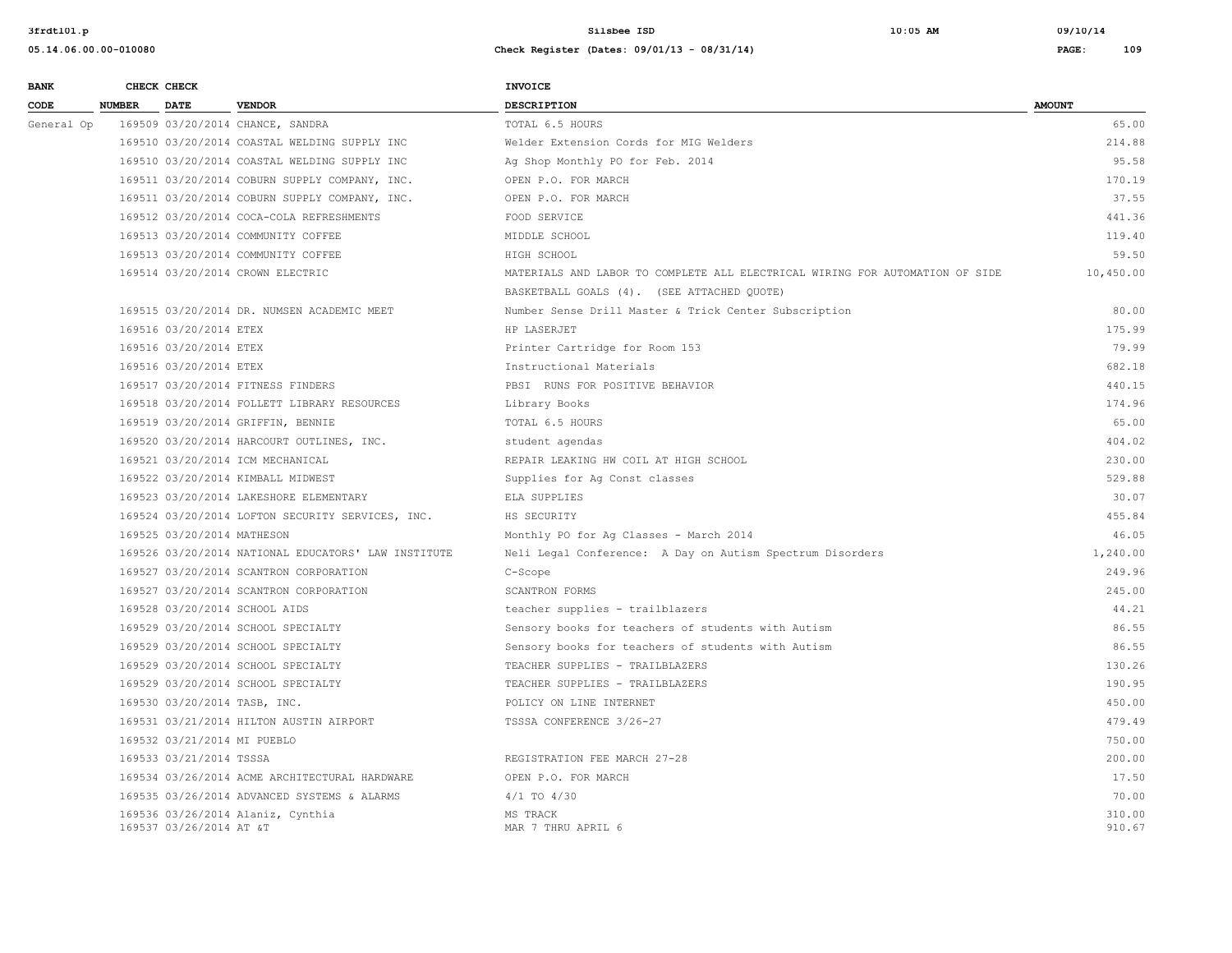| <b>BANK</b> |        | CHECK CHECK                 |                                                     | <b>INVOICE</b>                                                               |                  |
|-------------|--------|-----------------------------|-----------------------------------------------------|------------------------------------------------------------------------------|------------------|
| CODE        | NUMBER | <b>DATE</b>                 | <b>VENDOR</b>                                       | <b>DESCRIPTION</b>                                                           | <b>AMOUNT</b>    |
| General Op  |        |                             | 169509 03/20/2014 CHANCE, SANDRA                    | TOTAL 6.5 HOURS                                                              | 65.00            |
|             |        |                             | 169510 03/20/2014 COASTAL WELDING SUPPLY INC        | Welder Extension Cords for MIG Welders                                       | 214.88           |
|             |        |                             | 169510 03/20/2014 COASTAL WELDING SUPPLY INC        | Ag Shop Monthly PO for Feb. 2014                                             | 95.58            |
|             |        |                             | 169511 03/20/2014 COBURN SUPPLY COMPANY, INC.       | OPEN P.O. FOR MARCH                                                          | 170.19           |
|             |        |                             | 169511 03/20/2014 COBURN SUPPLY COMPANY, INC.       | OPEN P.O. FOR MARCH                                                          | 37.55            |
|             |        |                             | 169512 03/20/2014 COCA-COLA REFRESHMENTS            | FOOD SERVICE                                                                 | 441.36           |
|             |        |                             | 169513 03/20/2014 COMMUNITY COFFEE                  | MIDDLE SCHOOL                                                                | 119.40           |
|             |        |                             | 169513 03/20/2014 COMMUNITY COFFEE                  | HIGH SCHOOL                                                                  | 59.50            |
|             |        |                             | 169514 03/20/2014 CROWN ELECTRIC                    | MATERIALS AND LABOR TO COMPLETE ALL ELECTRICAL WIRING FOR AUTOMATION OF SIDE | 10,450.00        |
|             |        |                             |                                                     | BASKETBALL GOALS (4). (SEE ATTACHED QUOTE)                                   |                  |
|             |        |                             | 169515 03/20/2014 DR. NUMSEN ACADEMIC MEET          | Number Sense Drill Master & Trick Center Subscription                        | 80.00            |
|             |        | 169516 03/20/2014 ETEX      |                                                     | HP LASERJET                                                                  | 175.99           |
|             |        | 169516 03/20/2014 ETEX      |                                                     | Printer Cartridge for Room 153                                               | 79.99            |
|             |        | 169516 03/20/2014 ETEX      |                                                     | Instructional Materials                                                      | 682.18           |
|             |        |                             | 169517 03/20/2014 FITNESS FINDERS                   | PBSI RUNS FOR POSITIVE BEHAVIOR                                              | 440.15           |
|             |        |                             | 169518 03/20/2014 FOLLETT LIBRARY RESOURCES         | Library Books                                                                | 174.96           |
|             |        |                             | 169519 03/20/2014 GRIFFIN, BENNIE                   | TOTAL 6.5 HOURS                                                              | 65.00            |
|             |        |                             | 169520 03/20/2014 HARCOURT OUTLINES, INC.           | student agendas                                                              | 404.02           |
|             |        |                             | 169521 03/20/2014 ICM MECHANICAL                    | REPAIR LEAKING HW COIL AT HIGH SCHOOL                                        | 230.00           |
|             |        |                             | 169522 03/20/2014 KIMBALL MIDWEST                   | Supplies for Ag Const classes                                                | 529.88           |
|             |        |                             | 169523 03/20/2014 LAKESHORE ELEMENTARY              | ELA SUPPLIES                                                                 | 30.07            |
|             |        |                             | 169524 03/20/2014 LOFTON SECURITY SERVICES, INC.    | HS SECURITY                                                                  | 455.84           |
|             |        | 169525 03/20/2014 MATHESON  |                                                     | Monthly PO for Ag Classes - March 2014                                       | 46.05            |
|             |        |                             | 169526 03/20/2014 NATIONAL EDUCATORS' LAW INSTITUTE | Neli Legal Conference: A Day on Autism Spectrum Disorders                    | 1,240.00         |
|             |        |                             | 169527 03/20/2014 SCANTRON CORPORATION              | C-Scope                                                                      | 249.96           |
|             |        |                             | 169527 03/20/2014 SCANTRON CORPORATION              | SCANTRON FORMS                                                               | 245.00           |
|             |        |                             | 169528 03/20/2014 SCHOOL AIDS                       | teacher supplies - trailblazers                                              | 44.21            |
|             |        |                             | 169529 03/20/2014 SCHOOL SPECIALTY                  | Sensory books for teachers of students with Autism                           | 86.55            |
|             |        |                             | 169529 03/20/2014 SCHOOL SPECIALTY                  | Sensory books for teachers of students with Autism                           | 86.55            |
|             |        |                             | 169529 03/20/2014 SCHOOL SPECIALTY                  | TEACHER SUPPLIES - TRAILBLAZERS                                              | 130.26           |
|             |        |                             | 169529 03/20/2014 SCHOOL SPECIALTY                  | TEACHER SUPPLIES - TRAILBLAZERS                                              | 190.95           |
|             |        |                             | 169530 03/20/2014 TASB, INC.                        | POLICY ON LINE INTERNET                                                      | 450.00           |
|             |        |                             | 169531 03/21/2014 HILTON AUSTIN AIRPORT             | TSSSA CONFERENCE 3/26-27                                                     | 479.49           |
|             |        | 169532 03/21/2014 MI PUEBLO |                                                     |                                                                              | 750.00           |
|             |        | 169533 03/21/2014 TSSSA     |                                                     | REGISTRATION FEE MARCH 27-28                                                 | 200.00           |
|             |        |                             | 169534 03/26/2014 ACME ARCHITECTURAL HARDWARE       | OPEN P.O. FOR MARCH                                                          | 17.50            |
|             |        |                             | 169535 03/26/2014 ADVANCED SYSTEMS & ALARMS         | $4/1$ TO $4/30$                                                              | 70.00            |
|             |        | 169537 03/26/2014 AT &T     | 169536 03/26/2014 Alaniz, Cynthia                   | MS TRACK<br>MAR 7 THRU APRIL 6                                               | 310.00<br>910.67 |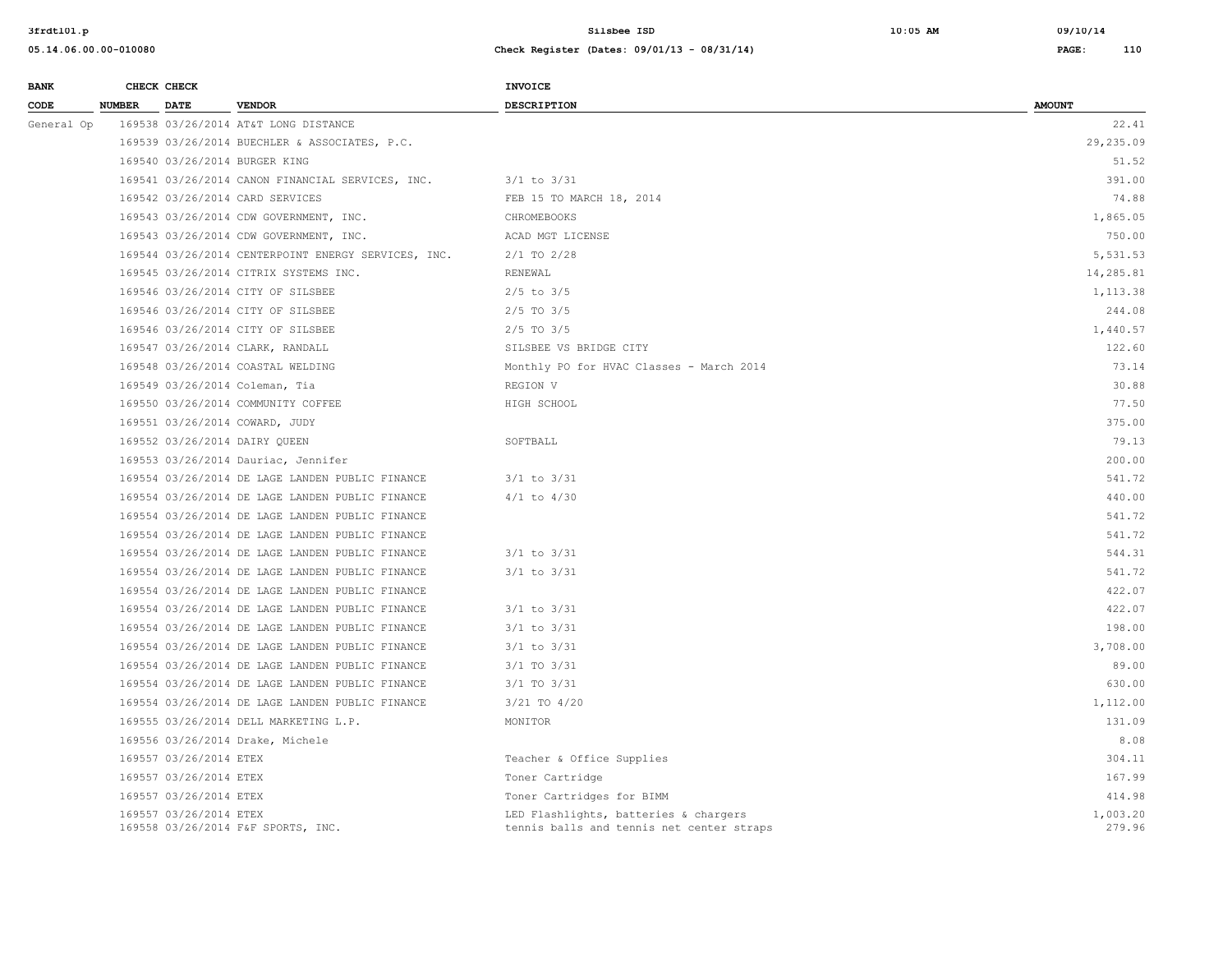| <b>BANK</b> |               | CHECK CHECK            |                                                     | <b>INVOICE</b>                                                                     |                    |
|-------------|---------------|------------------------|-----------------------------------------------------|------------------------------------------------------------------------------------|--------------------|
| CODE        | <b>NUMBER</b> | <b>DATE</b>            | <b>VENDOR</b>                                       | <b>DESCRIPTION</b>                                                                 | <b>AMOUNT</b>      |
| General Op  |               |                        | 169538 03/26/2014 AT&T LONG DISTANCE                |                                                                                    | 22.41              |
|             |               |                        | 169539 03/26/2014 BUECHLER & ASSOCIATES, P.C.       |                                                                                    | 29,235.09          |
|             |               |                        | 169540 03/26/2014 BURGER KING                       |                                                                                    | 51.52              |
|             |               |                        | 169541 03/26/2014 CANON FINANCIAL SERVICES, INC.    | $3/1$ to $3/31$                                                                    | 391.00             |
|             |               |                        | 169542 03/26/2014 CARD SERVICES                     | FEB 15 TO MARCH 18, 2014                                                           | 74.88              |
|             |               |                        | 169543 03/26/2014 CDW GOVERNMENT, INC.              | <b>CHROMEBOOKS</b>                                                                 | 1,865.05           |
|             |               |                        | 169543 03/26/2014 CDW GOVERNMENT, INC.              | ACAD MGT LICENSE                                                                   | 750.00             |
|             |               |                        | 169544 03/26/2014 CENTERPOINT ENERGY SERVICES, INC. | $2/1$ TO $2/28$                                                                    | 5,531.53           |
|             |               |                        | 169545 03/26/2014 CITRIX SYSTEMS INC.               | RENEWAL                                                                            | 14,285.81          |
|             |               |                        | 169546 03/26/2014 CITY OF SILSBEE                   | $2/5$ to $3/5$                                                                     | 1,113.38           |
|             |               |                        | 169546 03/26/2014 CITY OF SILSBEE                   | $2/5$ TO $3/5$                                                                     | 244.08             |
|             |               |                        | 169546 03/26/2014 CITY OF SILSBEE                   | $2/5$ TO $3/5$                                                                     | 1,440.57           |
|             |               |                        | 169547 03/26/2014 CLARK, RANDALL                    | SILSBEE VS BRIDGE CITY                                                             | 122.60             |
|             |               |                        | 169548 03/26/2014 COASTAL WELDING                   | Monthly PO for HVAC Classes - March 2014                                           | 73.14              |
|             |               |                        | 169549 03/26/2014 Coleman, Tia                      | REGION V                                                                           | 30.88              |
|             |               |                        | 169550 03/26/2014 COMMUNITY COFFEE                  | HIGH SCHOOL                                                                        | 77.50              |
|             |               |                        | 169551 03/26/2014 COWARD, JUDY                      |                                                                                    | 375.00             |
|             |               |                        | 169552 03/26/2014 DAIRY QUEEN                       | SOFTBALL                                                                           | 79.13              |
|             |               |                        | 169553 03/26/2014 Dauriac, Jennifer                 |                                                                                    | 200.00             |
|             |               |                        | 169554 03/26/2014 DE LAGE LANDEN PUBLIC FINANCE     | $3/1$ to $3/31$                                                                    | 541.72             |
|             |               |                        | 169554 03/26/2014 DE LAGE LANDEN PUBLIC FINANCE     | $4/1$ to $4/30$                                                                    | 440.00             |
|             |               |                        | 169554 03/26/2014 DE LAGE LANDEN PUBLIC FINANCE     |                                                                                    | 541.72             |
|             |               |                        | 169554 03/26/2014 DE LAGE LANDEN PUBLIC FINANCE     |                                                                                    | 541.72             |
|             |               |                        | 169554 03/26/2014 DE LAGE LANDEN PUBLIC FINANCE     | $3/1$ to $3/31$                                                                    | 544.31             |
|             |               |                        | 169554 03/26/2014 DE LAGE LANDEN PUBLIC FINANCE     | $3/1$ to $3/31$                                                                    | 541.72             |
|             |               |                        | 169554 03/26/2014 DE LAGE LANDEN PUBLIC FINANCE     |                                                                                    | 422.07             |
|             |               |                        | 169554 03/26/2014 DE LAGE LANDEN PUBLIC FINANCE     | $3/1$ to $3/31$                                                                    | 422.07             |
|             |               |                        | 169554 03/26/2014 DE LAGE LANDEN PUBLIC FINANCE     | $3/1$ to $3/31$                                                                    | 198.00             |
|             |               |                        | 169554 03/26/2014 DE LAGE LANDEN PUBLIC FINANCE     | $3/1$ to $3/31$                                                                    | 3,708.00           |
|             |               |                        | 169554 03/26/2014 DE LAGE LANDEN PUBLIC FINANCE     | 3/1 TO 3/31                                                                        | 89.00              |
|             |               |                        | 169554 03/26/2014 DE LAGE LANDEN PUBLIC FINANCE     | $3/1$ TO $3/31$                                                                    | 630.00             |
|             |               |                        | 169554 03/26/2014 DE LAGE LANDEN PUBLIC FINANCE     | 3/21 TO 4/20                                                                       | 1,112.00           |
|             |               |                        | 169555 03/26/2014 DELL MARKETING L.P.               | MONITOR                                                                            | 131.09             |
|             |               |                        | 169556 03/26/2014 Drake, Michele                    |                                                                                    | 8.08               |
|             |               | 169557 03/26/2014 ETEX |                                                     | Teacher & Office Supplies                                                          | 304.11             |
|             |               | 169557 03/26/2014 ETEX |                                                     | Toner Cartridge                                                                    | 167.99             |
|             |               | 169557 03/26/2014 ETEX |                                                     | Toner Cartridges for BIMM                                                          | 414.98             |
|             |               | 169557 03/26/2014 ETEX | 169558 03/26/2014 F&F SPORTS, INC.                  | LED Flashlights, batteries & chargers<br>tennis balls and tennis net center straps | 1,003.20<br>279.96 |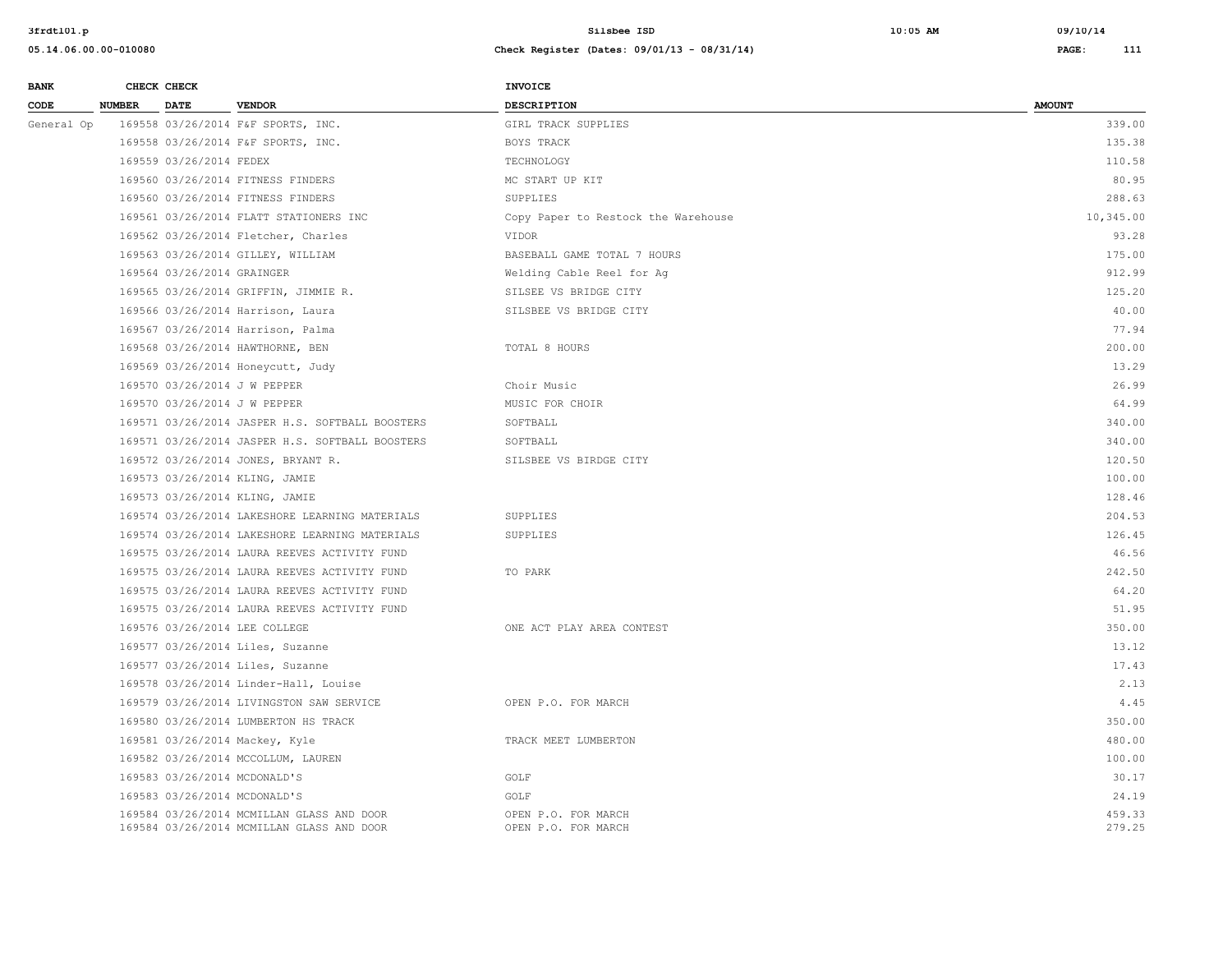| <b>BANK</b> | CHECK CHECK                                                                            | <b>INVOICE</b>                             |                  |
|-------------|----------------------------------------------------------------------------------------|--------------------------------------------|------------------|
| CODE        | NUMBER DATE<br><b>VENDOR</b>                                                           | <b>DESCRIPTION</b>                         | <b>AMOUNT</b>    |
| General Op  | 169558 03/26/2014 F&F SPORTS, INC.                                                     | GIRL TRACK SUPPLIES                        | 339.00           |
|             | 169558 03/26/2014 F&F SPORTS, INC.                                                     | BOYS TRACK                                 | 135.38           |
|             | 169559 03/26/2014 FEDEX                                                                | TECHNOLOGY                                 | 110.58           |
|             | 169560 03/26/2014 FITNESS FINDERS                                                      | MC START UP KIT                            | 80.95            |
|             | 169560 03/26/2014 FITNESS FINDERS                                                      | SUPPLIES                                   | 288.63           |
|             | 169561 03/26/2014 FLATT STATIONERS INC                                                 | Copy Paper to Restock the Warehouse        | 10,345.00        |
|             | 169562 03/26/2014 Fletcher, Charles                                                    | VIDOR                                      | 93.28            |
|             | 169563 03/26/2014 GILLEY, WILLIAM                                                      | BASEBALL GAME TOTAL 7 HOURS                | 175.00           |
|             | 169564 03/26/2014 GRAINGER                                                             | Welding Cable Reel for Ag                  | 912.99           |
|             | 169565 03/26/2014 GRIFFIN, JIMMIE R.                                                   | SILSEE VS BRIDGE CITY                      | 125.20           |
|             | 169566 03/26/2014 Harrison, Laura                                                      | SILSBEE VS BRIDGE CITY                     | 40.00            |
|             | 169567 03/26/2014 Harrison, Palma                                                      |                                            | 77.94            |
|             | 169568 03/26/2014 HAWTHORNE, BEN                                                       | TOTAL 8 HOURS                              | 200.00           |
|             | 169569 03/26/2014 Honeycutt, Judy                                                      |                                            | 13.29            |
|             | 169570 03/26/2014 J W PEPPER                                                           | Choir Music                                | 26.99            |
|             | 169570 03/26/2014 J W PEPPER                                                           | MUSIC FOR CHOIR                            | 64.99            |
|             | 169571 03/26/2014 JASPER H.S. SOFTBALL BOOSTERS                                        | SOFTBALL                                   | 340.00           |
|             | 169571 03/26/2014 JASPER H.S. SOFTBALL BOOSTERS                                        | SOFTBALL                                   | 340.00           |
|             | 169572 03/26/2014 JONES, BRYANT R.                                                     | SILSBEE VS BIRDGE CITY                     | 120.50           |
|             | 169573 03/26/2014 KLING, JAMIE                                                         |                                            | 100.00           |
|             | 169573 03/26/2014 KLING, JAMIE                                                         |                                            | 128.46           |
|             | 169574 03/26/2014 LAKESHORE LEARNING MATERIALS                                         | SUPPLIES                                   | 204.53           |
|             | 169574 03/26/2014 LAKESHORE LEARNING MATERIALS                                         | SUPPLIES                                   | 126.45           |
|             | 169575 03/26/2014 LAURA REEVES ACTIVITY FUND                                           |                                            | 46.56            |
|             | 169575 03/26/2014 LAURA REEVES ACTIVITY FUND                                           | TO PARK                                    | 242.50           |
|             | 169575 03/26/2014 LAURA REEVES ACTIVITY FUND                                           |                                            | 64.20            |
|             | 169575 03/26/2014 LAURA REEVES ACTIVITY FUND                                           |                                            | 51.95            |
|             | 169576 03/26/2014 LEE COLLEGE                                                          | ONE ACT PLAY AREA CONTEST                  | 350.00           |
|             | 169577 03/26/2014 Liles, Suzanne                                                       |                                            | 13.12            |
|             | 169577 03/26/2014 Liles, Suzanne                                                       |                                            | 17.43            |
|             | 169578 03/26/2014 Linder-Hall, Louise                                                  |                                            | 2.13             |
|             | 169579 03/26/2014 LIVINGSTON SAW SERVICE                                               | OPEN P.O. FOR MARCH                        | 4.45             |
|             | 169580 03/26/2014 LUMBERTON HS TRACK                                                   |                                            | 350.00           |
|             | 169581 03/26/2014 Mackey, Kyle                                                         | TRACK MEET LUMBERTON                       | 480.00           |
|             | 169582 03/26/2014 MCCOLLUM, LAUREN                                                     |                                            | 100.00           |
|             | 169583 03/26/2014 MCDONALD'S                                                           | GOLF                                       | 30.17            |
|             | 169583 03/26/2014 MCDONALD'S                                                           | GOLF                                       | 24.19            |
|             | 169584 03/26/2014 MCMILLAN GLASS AND DOOR<br>169584 03/26/2014 MCMILLAN GLASS AND DOOR | OPEN P.O. FOR MARCH<br>OPEN P.O. FOR MARCH | 459.33<br>279.25 |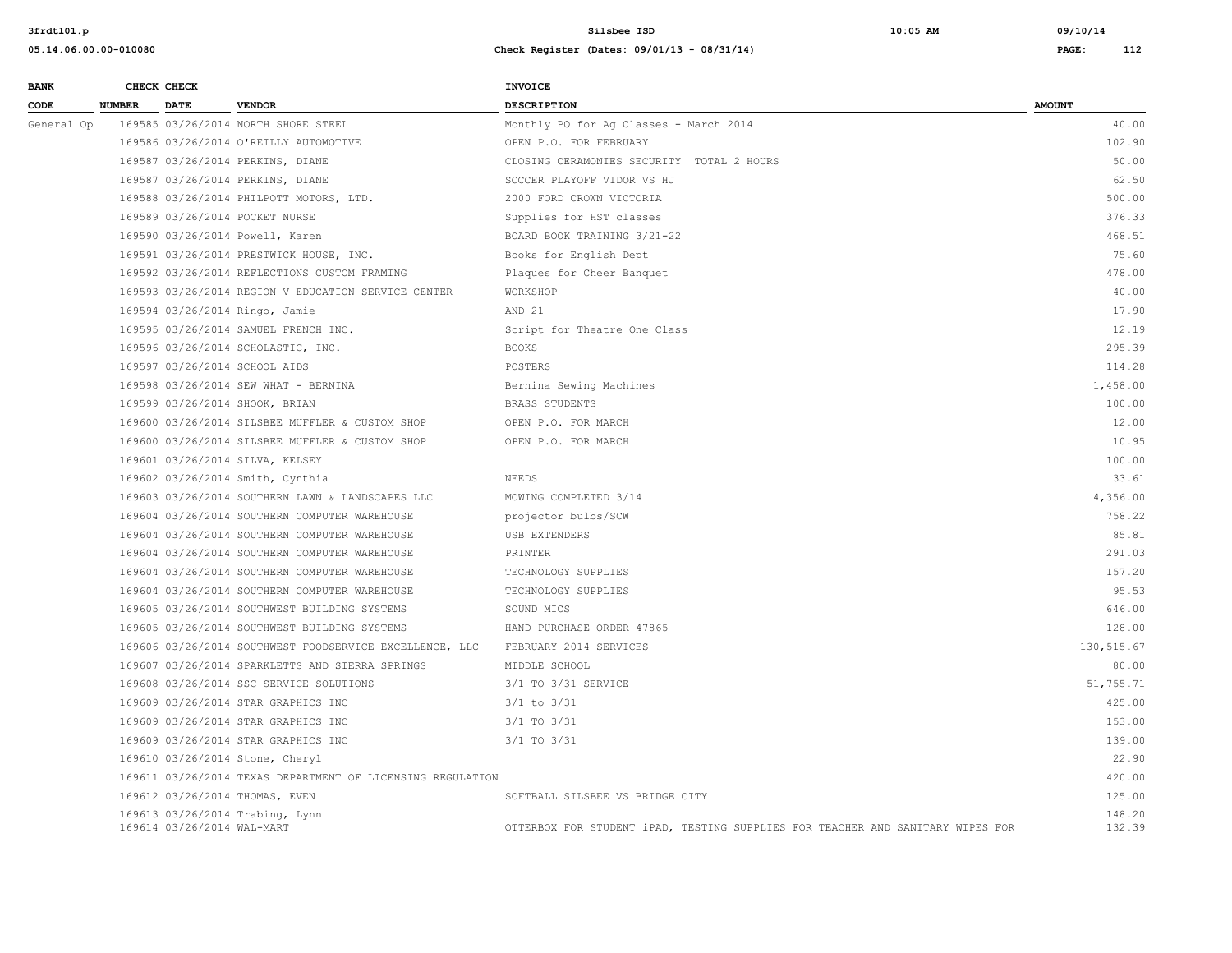| <b>BANK</b> |               | CHECK CHECK                |                                                            | <b>INVOICE</b>                                                                 |                  |
|-------------|---------------|----------------------------|------------------------------------------------------------|--------------------------------------------------------------------------------|------------------|
| CODE        | <b>NUMBER</b> | <b>DATE</b>                | <b>VENDOR</b>                                              | <b>DESCRIPTION</b>                                                             | <b>AMOUNT</b>    |
| General Op  |               |                            | 169585 03/26/2014 NORTH SHORE STEEL                        | Monthly PO for Ag Classes - March 2014                                         | 40.00            |
|             |               |                            | 169586 03/26/2014 O'REILLY AUTOMOTIVE                      | OPEN P.O. FOR FEBRUARY                                                         | 102.90           |
|             |               |                            | 169587 03/26/2014 PERKINS, DIANE                           | CLOSING CERAMONIES SECURITY TOTAL 2 HOURS                                      | 50.00            |
|             |               |                            | 169587 03/26/2014 PERKINS, DIANE                           | SOCCER PLAYOFF VIDOR VS HJ                                                     | 62.50            |
|             |               |                            | 169588 03/26/2014 PHILPOTT MOTORS, LTD.                    | 2000 FORD CROWN VICTORIA                                                       | 500.00           |
|             |               |                            | 169589 03/26/2014 POCKET NURSE                             | Supplies for HST classes                                                       | 376.33           |
|             |               |                            | 169590 03/26/2014 Powell, Karen                            | BOARD BOOK TRAINING 3/21-22                                                    | 468.51           |
|             |               |                            | 169591 03/26/2014 PRESTWICK HOUSE, INC.                    | Books for English Dept                                                         | 75.60            |
|             |               |                            | 169592 03/26/2014 REFLECTIONS CUSTOM FRAMING               | Plaques for Cheer Banquet                                                      | 478.00           |
|             |               |                            | 169593 03/26/2014 REGION V EDUCATION SERVICE CENTER        | WORKSHOP                                                                       | 40.00            |
|             |               |                            | 169594 03/26/2014 Ringo, Jamie                             | AND 21                                                                         | 17.90            |
|             |               |                            | 169595 03/26/2014 SAMUEL FRENCH INC.                       | Script for Theatre One Class                                                   | 12.19            |
|             |               |                            | 169596 03/26/2014 SCHOLASTIC, INC.                         | <b>BOOKS</b>                                                                   | 295.39           |
|             |               |                            | 169597 03/26/2014 SCHOOL AIDS                              | POSTERS                                                                        | 114.28           |
|             |               |                            | 169598 03/26/2014 SEW WHAT - BERNINA                       | Bernina Sewing Machines                                                        | 1,458.00         |
|             |               |                            | 169599 03/26/2014 SHOOK, BRIAN                             | BRASS STUDENTS                                                                 | 100.00           |
|             |               |                            | 169600 03/26/2014 SILSBEE MUFFLER & CUSTOM SHOP            | OPEN P.O. FOR MARCH                                                            | 12.00            |
|             |               |                            | 169600 03/26/2014 SILSBEE MUFFLER & CUSTOM SHOP            | OPEN P.O. FOR MARCH                                                            | 10.95            |
|             |               |                            | 169601 03/26/2014 SILVA, KELSEY                            |                                                                                | 100.00           |
|             |               |                            | 169602 03/26/2014 Smith, Cynthia                           | <b>NEEDS</b>                                                                   | 33.61            |
|             |               |                            | 169603 03/26/2014 SOUTHERN LAWN & LANDSCAPES LLC           | MOWING COMPLETED 3/14                                                          | 4,356.00         |
|             |               |                            | 169604 03/26/2014 SOUTHERN COMPUTER WAREHOUSE              | projector bulbs/SCW                                                            | 758.22           |
|             |               |                            | 169604 03/26/2014 SOUTHERN COMPUTER WAREHOUSE              | USB EXTENDERS                                                                  | 85.81            |
|             |               |                            | 169604 03/26/2014 SOUTHERN COMPUTER WAREHOUSE              | PRINTER                                                                        | 291.03           |
|             |               |                            | 169604 03/26/2014 SOUTHERN COMPUTER WAREHOUSE              | TECHNOLOGY SUPPLIES                                                            | 157.20           |
|             |               |                            | 169604 03/26/2014 SOUTHERN COMPUTER WAREHOUSE              | TECHNOLOGY SUPPLIES                                                            | 95.53            |
|             |               |                            | 169605 03/26/2014 SOUTHWEST BUILDING SYSTEMS               | SOUND MICS                                                                     | 646.00           |
|             |               |                            | 169605 03/26/2014 SOUTHWEST BUILDING SYSTEMS               | HAND PURCHASE ORDER 47865                                                      | 128.00           |
|             |               |                            | 169606 03/26/2014 SOUTHWEST FOODSERVICE EXCELLENCE, LLC    | FEBRUARY 2014 SERVICES                                                         | 130, 515.67      |
|             |               |                            | 169607 03/26/2014 SPARKLETTS AND SIERRA SPRINGS            | MIDDLE SCHOOL                                                                  | 80.00            |
|             |               |                            | 169608 03/26/2014 SSC SERVICE SOLUTIONS                    | 3/1 TO 3/31 SERVICE                                                            | 51,755.71        |
|             |               |                            | 169609 03/26/2014 STAR GRAPHICS INC                        | $3/1$ to $3/31$                                                                | 425.00           |
|             |               |                            | 169609 03/26/2014 STAR GRAPHICS INC                        | 3/1 TO 3/31                                                                    | 153.00           |
|             |               |                            | 169609 03/26/2014 STAR GRAPHICS INC                        | 3/1 TO 3/31                                                                    | 139.00           |
|             |               |                            | 169610 03/26/2014 Stone, Cheryl                            |                                                                                | 22.90            |
|             |               |                            | 169611 03/26/2014 TEXAS DEPARTMENT OF LICENSING REGULATION |                                                                                | 420.00           |
|             |               |                            | 169612 03/26/2014 THOMAS, EVEN                             | SOFTBALL SILSBEE VS BRIDGE CITY                                                | 125.00           |
|             |               | 169614 03/26/2014 WAL-MART | 169613 03/26/2014 Trabing, Lynn                            | OTTERBOX FOR STUDENT iPAD, TESTING SUPPLIES FOR TEACHER AND SANITARY WIPES FOR | 148.20<br>132.39 |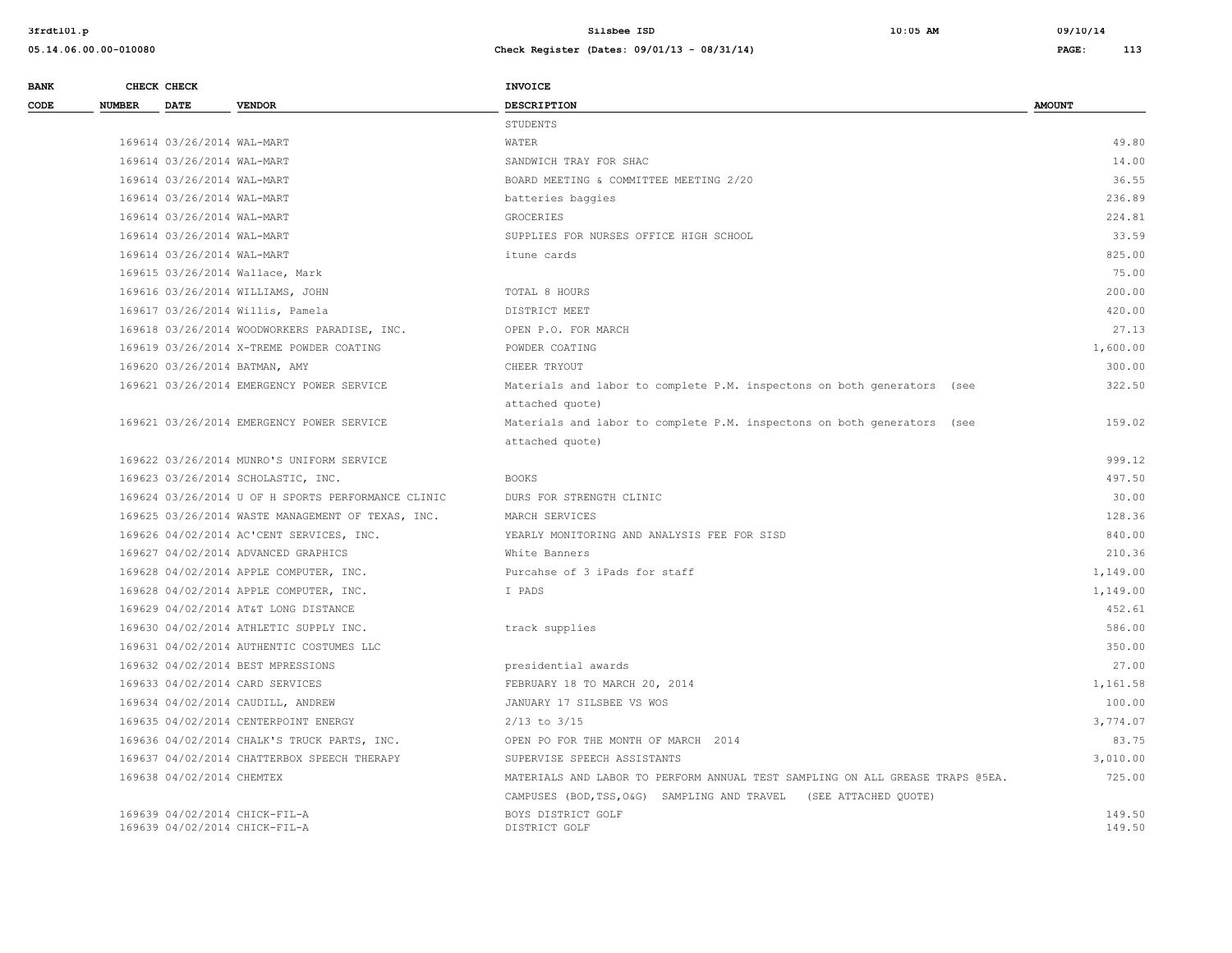| <b>BANK</b> |               | CHECK CHECK                |                                                                | <b>INVOICE</b>                                                                |                  |
|-------------|---------------|----------------------------|----------------------------------------------------------------|-------------------------------------------------------------------------------|------------------|
| CODE        | <b>NUMBER</b> | <b>DATE</b>                | <b>VENDOR</b>                                                  | <b>DESCRIPTION</b>                                                            | <b>AMOUNT</b>    |
|             |               |                            |                                                                | STUDENTS                                                                      |                  |
|             |               | 169614 03/26/2014 WAL-MART |                                                                | WATER                                                                         | 49.80            |
|             |               | 169614 03/26/2014 WAL-MART |                                                                | SANDWICH TRAY FOR SHAC                                                        | 14.00            |
|             |               | 169614 03/26/2014 WAL-MART |                                                                | BOARD MEETING & COMMITTEE MEETING 2/20                                        | 36.55            |
|             |               | 169614 03/26/2014 WAL-MART |                                                                | batteries baggies                                                             | 236.89           |
|             |               | 169614 03/26/2014 WAL-MART |                                                                | <b>GROCERIES</b>                                                              | 224.81           |
|             |               | 169614 03/26/2014 WAL-MART |                                                                | SUPPLIES FOR NURSES OFFICE HIGH SCHOOL                                        | 33.59            |
|             |               | 169614 03/26/2014 WAL-MART |                                                                | itune cards                                                                   | 825.00           |
|             |               |                            | 169615 03/26/2014 Wallace, Mark                                |                                                                               | 75.00            |
|             |               |                            | 169616 03/26/2014 WILLIAMS, JOHN                               | TOTAL 8 HOURS                                                                 | 200.00           |
|             |               |                            | 169617 03/26/2014 Willis, Pamela                               | DISTRICT MEET                                                                 | 420.00           |
|             |               |                            | 169618 03/26/2014 WOODWORKERS PARADISE, INC.                   | OPEN P.O. FOR MARCH                                                           | 27.13            |
|             |               |                            | 169619 03/26/2014 X-TREME POWDER COATING                       | POWDER COATING                                                                | 1,600.00         |
|             |               |                            | 169620 03/26/2014 BATMAN, AMY                                  | CHEER TRYOUT                                                                  | 300.00           |
|             |               |                            | 169621 03/26/2014 EMERGENCY POWER SERVICE                      | Materials and labor to complete P.M. inspectons on both generators (see       | 322.50           |
|             |               |                            |                                                                | attached quote)                                                               |                  |
|             |               |                            | 169621 03/26/2014 EMERGENCY POWER SERVICE                      | Materials and labor to complete P.M. inspectons on both generators (see       | 159.02           |
|             |               |                            |                                                                | attached quote)                                                               |                  |
|             |               |                            | 169622 03/26/2014 MUNRO'S UNIFORM SERVICE                      |                                                                               | 999.12           |
|             |               |                            | 169623 03/26/2014 SCHOLASTIC, INC.                             | <b>BOOKS</b>                                                                  | 497.50           |
|             |               |                            | 169624 03/26/2014 U OF H SPORTS PERFORMANCE CLINIC             | DURS FOR STRENGTH CLINIC                                                      | 30.00            |
|             |               |                            | 169625 03/26/2014 WASTE MANAGEMENT OF TEXAS, INC.              | MARCH SERVICES                                                                | 128.36           |
|             |               |                            | 169626 04/02/2014 AC'CENT SERVICES, INC.                       | YEARLY MONITORING AND ANALYSIS FEE FOR SISD                                   | 840.00           |
|             |               |                            | 169627 04/02/2014 ADVANCED GRAPHICS                            | White Banners                                                                 | 210.36           |
|             |               |                            | 169628 04/02/2014 APPLE COMPUTER, INC.                         | Purcahse of 3 iPads for staff                                                 | 1,149.00         |
|             |               |                            | 169628 04/02/2014 APPLE COMPUTER, INC.                         | I PADS                                                                        | 1,149.00         |
|             |               |                            | 169629 04/02/2014 AT&T LONG DISTANCE                           |                                                                               | 452.61           |
|             |               |                            | 169630 04/02/2014 ATHLETIC SUPPLY INC.                         | track supplies                                                                | 586.00           |
|             |               |                            | 169631 04/02/2014 AUTHENTIC COSTUMES LLC                       |                                                                               | 350.00           |
|             |               |                            | 169632 04/02/2014 BEST MPRESSIONS                              | presidential awards                                                           | 27.00            |
|             |               |                            | 169633 04/02/2014 CARD SERVICES                                | FEBRUARY 18 TO MARCH 20, 2014                                                 | 1,161.58         |
|             |               |                            | 169634 04/02/2014 CAUDILL, ANDREW                              | JANUARY 17 SILSBEE VS WOS                                                     | 100.00           |
|             |               |                            | 169635 04/02/2014 CENTERPOINT ENERGY                           | $2/13$ to $3/15$                                                              | 3,774.07         |
|             |               |                            | 169636 04/02/2014 CHALK'S TRUCK PARTS, INC.                    | OPEN PO FOR THE MONTH OF MARCH 2014                                           | 83.75            |
|             |               |                            | 169637 04/02/2014 CHATTERBOX SPEECH THERAPY                    | SUPERVISE SPEECH ASSISTANTS                                                   | 3,010.00         |
|             |               | 169638 04/02/2014 CHEMTEX  |                                                                | MATERIALS AND LABOR TO PERFORM ANNUAL TEST SAMPLING ON ALL GREASE TRAPS @5EA. | 725.00           |
|             |               |                            |                                                                | CAMPUSES (BOD, TSS, O&G) SAMPLING AND TRAVEL (SEE ATTACHED QUOTE)             |                  |
|             |               |                            | 169639 04/02/2014 CHICK-FIL-A<br>169639 04/02/2014 CHICK-FIL-A | BOYS DISTRICT GOLF<br>DISTRICT GOLF                                           | 149.50<br>149.50 |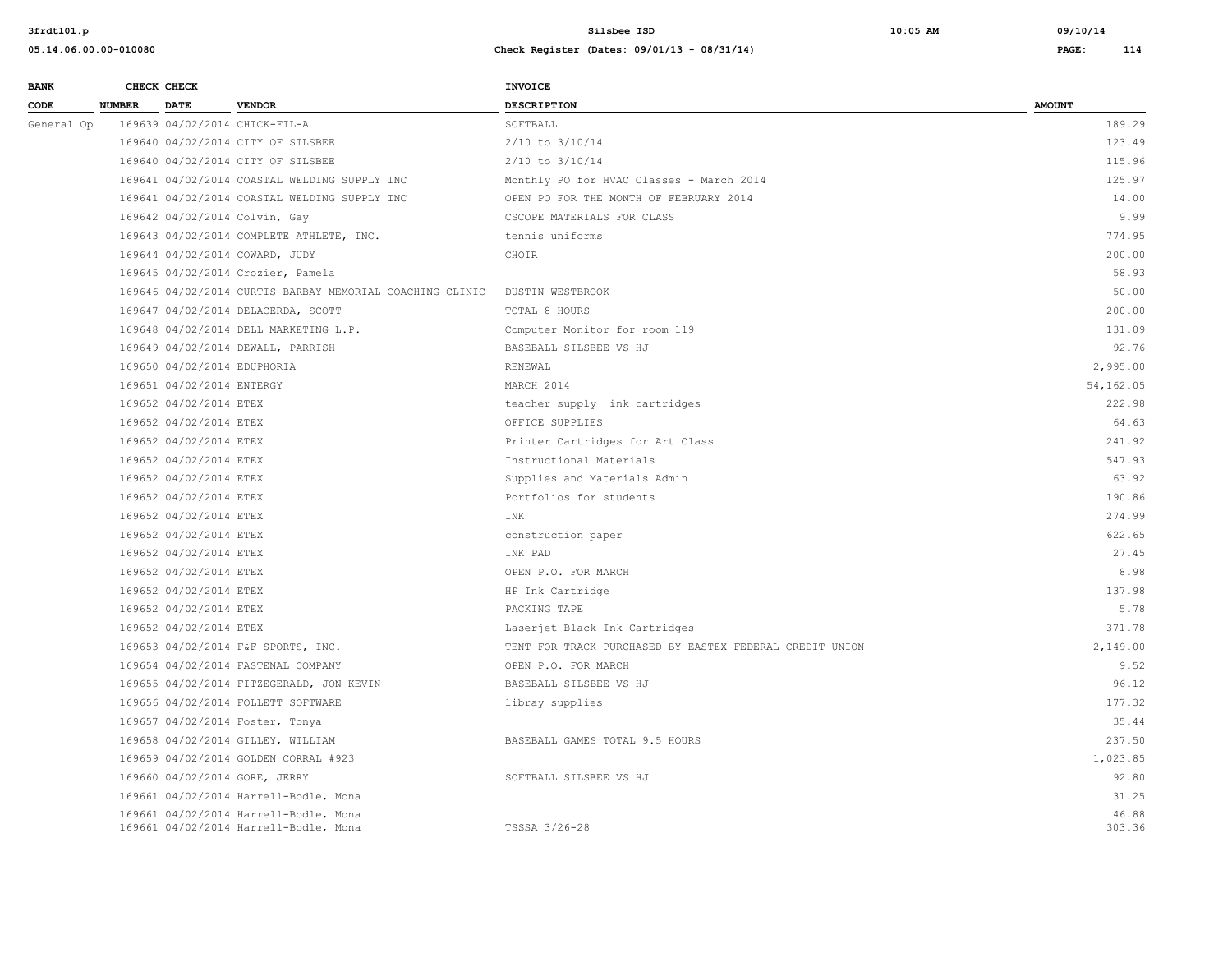| <b>BANK</b> |               | CHECK CHECK                 |                                                                                | <b>INVOICE</b>                                          |                 |
|-------------|---------------|-----------------------------|--------------------------------------------------------------------------------|---------------------------------------------------------|-----------------|
| CODE        | <b>NUMBER</b> | <b>DATE</b>                 | <b>VENDOR</b>                                                                  | <b>DESCRIPTION</b>                                      | <b>AMOUNT</b>   |
| General Op  |               |                             | 169639 04/02/2014 CHICK-FIL-A                                                  | SOFTBALL                                                | 189.29          |
|             |               |                             | 169640 04/02/2014 CITY OF SILSBEE                                              | $2/10$ to $3/10/14$                                     | 123.49          |
|             |               |                             | 169640 04/02/2014 CITY OF SILSBEE                                              | $2/10$ to $3/10/14$                                     | 115.96          |
|             |               |                             | 169641 04/02/2014 COASTAL WELDING SUPPLY INC                                   | Monthly PO for HVAC Classes - March 2014                | 125.97          |
|             |               |                             | 169641 04/02/2014 COASTAL WELDING SUPPLY INC                                   | OPEN PO FOR THE MONTH OF FEBRUARY 2014                  | 14.00           |
|             |               |                             | 169642 04/02/2014 Colvin, Gay                                                  | CSCOPE MATERIALS FOR CLASS                              | 9.99            |
|             |               |                             | 169643 04/02/2014 COMPLETE ATHLETE, INC.                                       | tennis uniforms                                         | 774.95          |
|             |               |                             | 169644 04/02/2014 COWARD, JUDY                                                 | CHOIR                                                   | 200.00          |
|             |               |                             | 169645 04/02/2014 Crozier, Pamela                                              |                                                         | 58.93           |
|             |               |                             | 169646 04/02/2014 CURTIS BARBAY MEMORIAL COACHING CLINIC                       | DUSTIN WESTBROOK                                        | 50.00           |
|             |               |                             | 169647 04/02/2014 DELACERDA, SCOTT                                             | TOTAL 8 HOURS                                           | 200.00          |
|             |               |                             | 169648 04/02/2014 DELL MARKETING L.P.                                          | Computer Monitor for room 119                           | 131.09          |
|             |               |                             | 169649 04/02/2014 DEWALL, PARRISH                                              | BASEBALL SILSBEE VS HJ                                  | 92.76           |
|             |               | 169650 04/02/2014 EDUPHORIA |                                                                                | RENEWAL                                                 | 2,995.00        |
|             |               | 169651 04/02/2014 ENTERGY   |                                                                                | MARCH 2014                                              | 54,162.05       |
|             |               | 169652 04/02/2014 ETEX      |                                                                                | teacher supply ink cartridges                           | 222.98          |
|             |               | 169652 04/02/2014 ETEX      |                                                                                | OFFICE SUPPLIES                                         | 64.63           |
|             |               | 169652 04/02/2014 ETEX      |                                                                                | Printer Cartridges for Art Class                        | 241.92          |
|             |               | 169652 04/02/2014 ETEX      |                                                                                | Instructional Materials                                 | 547.93          |
|             |               | 169652 04/02/2014 ETEX      |                                                                                | Supplies and Materials Admin                            | 63.92           |
|             |               | 169652 04/02/2014 ETEX      |                                                                                | Portfolios for students                                 | 190.86          |
|             |               | 169652 04/02/2014 ETEX      |                                                                                | INK                                                     | 274.99          |
|             |               | 169652 04/02/2014 ETEX      |                                                                                | construction paper                                      | 622.65          |
|             |               | 169652 04/02/2014 ETEX      |                                                                                | INK PAD                                                 | 27.45           |
|             |               | 169652 04/02/2014 ETEX      |                                                                                | OPEN P.O. FOR MARCH                                     | 8.98            |
|             |               | 169652 04/02/2014 ETEX      |                                                                                | HP Ink Cartridge                                        | 137.98          |
|             |               | 169652 04/02/2014 ETEX      |                                                                                | PACKING TAPE                                            | 5.78            |
|             |               | 169652 04/02/2014 ETEX      |                                                                                | Laserjet Black Ink Cartridges                           | 371.78          |
|             |               |                             | 169653 04/02/2014 F&F SPORTS, INC.                                             | TENT FOR TRACK PURCHASED BY EASTEX FEDERAL CREDIT UNION | 2,149.00        |
|             |               |                             | 169654 04/02/2014 FASTENAL COMPANY                                             | OPEN P.O. FOR MARCH                                     | 9.52            |
|             |               |                             | 169655 04/02/2014 FITZEGERALD, JON KEVIN                                       | BASEBALL SILSBEE VS HJ                                  | 96.12           |
|             |               |                             | 169656 04/02/2014 FOLLETT SOFTWARE                                             | libray supplies                                         | 177.32          |
|             |               |                             | 169657 04/02/2014 Foster, Tonya                                                |                                                         | 35.44           |
|             |               |                             | 169658 04/02/2014 GILLEY, WILLIAM                                              | BASEBALL GAMES TOTAL 9.5 HOURS                          | 237.50          |
|             |               |                             | 169659 04/02/2014 GOLDEN CORRAL #923                                           |                                                         | 1,023.85        |
|             |               |                             | 169660 04/02/2014 GORE, JERRY                                                  | SOFTBALL SILSBEE VS HJ                                  | 92.80           |
|             |               |                             | 169661 04/02/2014 Harrell-Bodle, Mona                                          |                                                         | 31.25           |
|             |               |                             | 169661 04/02/2014 Harrell-Bodle, Mona<br>169661 04/02/2014 Harrell-Bodle, Mona | TSSSA 3/26-28                                           | 46.88<br>303.36 |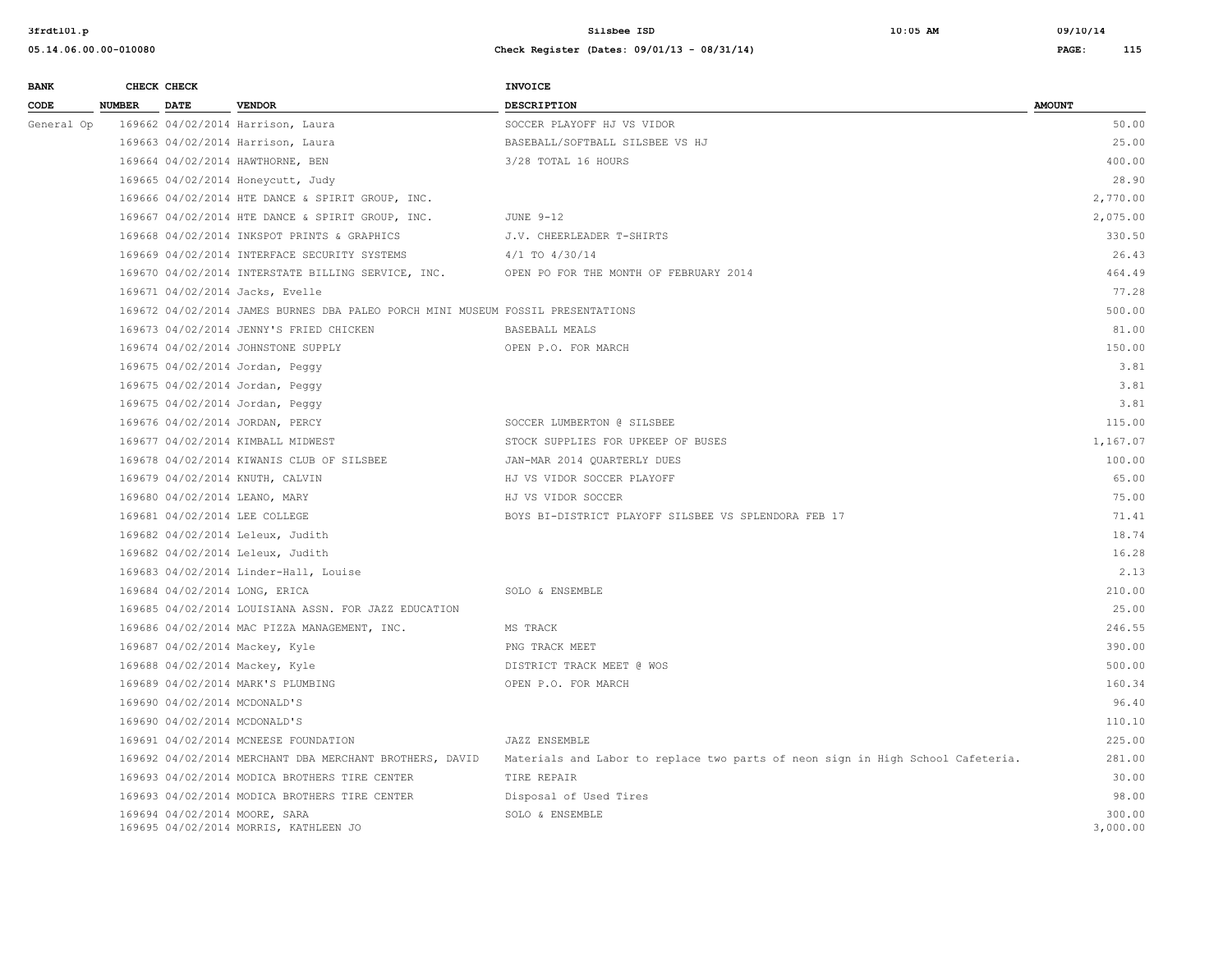| <b>BANK</b> |               | CHECK CHECK                  |                                                                                 | <b>INVOICE</b>                                                                  |                    |
|-------------|---------------|------------------------------|---------------------------------------------------------------------------------|---------------------------------------------------------------------------------|--------------------|
| CODE        | <b>NUMBER</b> | <b>DATE</b>                  | <b>VENDOR</b>                                                                   | <b>DESCRIPTION</b>                                                              | <b>AMOUNT</b>      |
| General Op  |               |                              | 169662 04/02/2014 Harrison, Laura                                               | SOCCER PLAYOFF HJ VS VIDOR                                                      | 50.00              |
|             |               |                              | 169663 04/02/2014 Harrison, Laura                                               | BASEBALL/SOFTBALL SILSBEE VS HJ                                                 | 25.00              |
|             |               |                              | 169664 04/02/2014 HAWTHORNE, BEN                                                | 3/28 TOTAL 16 HOURS                                                             | 400.00             |
|             |               |                              | 169665 04/02/2014 Honeycutt, Judy                                               |                                                                                 | 28.90              |
|             |               |                              | 169666 04/02/2014 HTE DANCE & SPIRIT GROUP, INC.                                |                                                                                 | 2,770.00           |
|             |               |                              | 169667 04/02/2014 HTE DANCE & SPIRIT GROUP, INC.                                | <b>JUNE 9-12</b>                                                                | 2,075.00           |
|             |               |                              | 169668 04/02/2014 INKSPOT PRINTS & GRAPHICS                                     | J.V. CHEERLEADER T-SHIRTS                                                       | 330.50             |
|             |               |                              | 169669 04/02/2014 INTERFACE SECURITY SYSTEMS                                    | $4/1$ TO $4/30/14$                                                              | 26.43              |
|             |               |                              | 169670 04/02/2014 INTERSTATE BILLING SERVICE, INC.                              | OPEN PO FOR THE MONTH OF FEBRUARY 2014                                          | 464.49             |
|             |               |                              | 169671 04/02/2014 Jacks, Evelle                                                 |                                                                                 | 77.28              |
|             |               |                              | 169672 04/02/2014 JAMES BURNES DBA PALEO PORCH MINI MUSEUM FOSSIL PRESENTATIONS |                                                                                 | 500.00             |
|             |               |                              | 169673 04/02/2014 JENNY'S FRIED CHICKEN                                         | BASEBALL MEALS                                                                  | 81.00              |
|             |               |                              | 169674 04/02/2014 JOHNSTONE SUPPLY                                              | OPEN P.O. FOR MARCH                                                             | 150.00             |
|             |               |                              | 169675 04/02/2014 Jordan, Peggy                                                 |                                                                                 | 3.81               |
|             |               |                              | 169675 04/02/2014 Jordan, Peggy                                                 |                                                                                 | 3.81               |
|             |               |                              | 169675 04/02/2014 Jordan, Peggy                                                 |                                                                                 | 3.81               |
|             |               |                              | 169676 04/02/2014 JORDAN, PERCY                                                 | SOCCER LUMBERTON @ SILSBEE                                                      | 115.00             |
|             |               |                              | 169677 04/02/2014 KIMBALL MIDWEST                                               | STOCK SUPPLIES FOR UPKEEP OF BUSES                                              | 1,167.07           |
|             |               |                              | 169678 04/02/2014 KIWANIS CLUB OF SILSBEE                                       | JAN-MAR 2014 QUARTERLY DUES                                                     | 100.00             |
|             |               |                              | 169679 04/02/2014 KNUTH, CALVIN                                                 | HJ VS VIDOR SOCCER PLAYOFF                                                      | 65.00              |
|             |               |                              | 169680 04/02/2014 LEANO, MARY                                                   | HJ VS VIDOR SOCCER                                                              | 75.00              |
|             |               |                              | 169681 04/02/2014 LEE COLLEGE                                                   | BOYS BI-DISTRICT PLAYOFF SILSBEE VS SPLENDORA FEB 17                            | 71.41              |
|             |               |                              | 169682 04/02/2014 Leleux, Judith                                                |                                                                                 | 18.74              |
|             |               |                              | 169682 04/02/2014 Leleux, Judith                                                |                                                                                 | 16.28              |
|             |               |                              | 169683 04/02/2014 Linder-Hall, Louise                                           |                                                                                 | 2.13               |
|             |               |                              | 169684 04/02/2014 LONG, ERICA                                                   | SOLO & ENSEMBLE                                                                 | 210.00             |
|             |               |                              | 169685 04/02/2014 LOUISIANA ASSN. FOR JAZZ EDUCATION                            |                                                                                 | 25.00              |
|             |               |                              | 169686 04/02/2014 MAC PIZZA MANAGEMENT, INC.                                    | MS TRACK                                                                        | 246.55             |
|             |               |                              | 169687 04/02/2014 Mackey, Kyle                                                  | PNG TRACK MEET                                                                  | 390.00             |
|             |               |                              | 169688 04/02/2014 Mackey, Kyle                                                  | DISTRICT TRACK MEET @ WOS                                                       | 500.00             |
|             |               |                              | 169689 04/02/2014 MARK'S PLUMBING                                               | OPEN P.O. FOR MARCH                                                             | 160.34             |
|             |               | 169690 04/02/2014 MCDONALD'S |                                                                                 |                                                                                 | 96.40              |
|             |               | 169690 04/02/2014 MCDONALD'S |                                                                                 |                                                                                 | 110.10             |
|             |               |                              | 169691 04/02/2014 MCNEESE FOUNDATION                                            | JAZZ ENSEMBLE                                                                   | 225.00             |
|             |               |                              | 169692 04/02/2014 MERCHANT DBA MERCHANT BROTHERS, DAVID                         | Materials and Labor to replace two parts of neon sign in High School Cafeteria. | 281.00             |
|             |               |                              | 169693 04/02/2014 MODICA BROTHERS TIRE CENTER                                   | TIRE REPAIR                                                                     | 30.00              |
|             |               |                              | 169693 04/02/2014 MODICA BROTHERS TIRE CENTER                                   | Disposal of Used Tires                                                          | 98.00              |
|             |               |                              | 169694 04/02/2014 MOORE, SARA<br>169695 04/02/2014 MORRIS, KATHLEEN JO          | SOLO & ENSEMBLE                                                                 | 300.00<br>3,000.00 |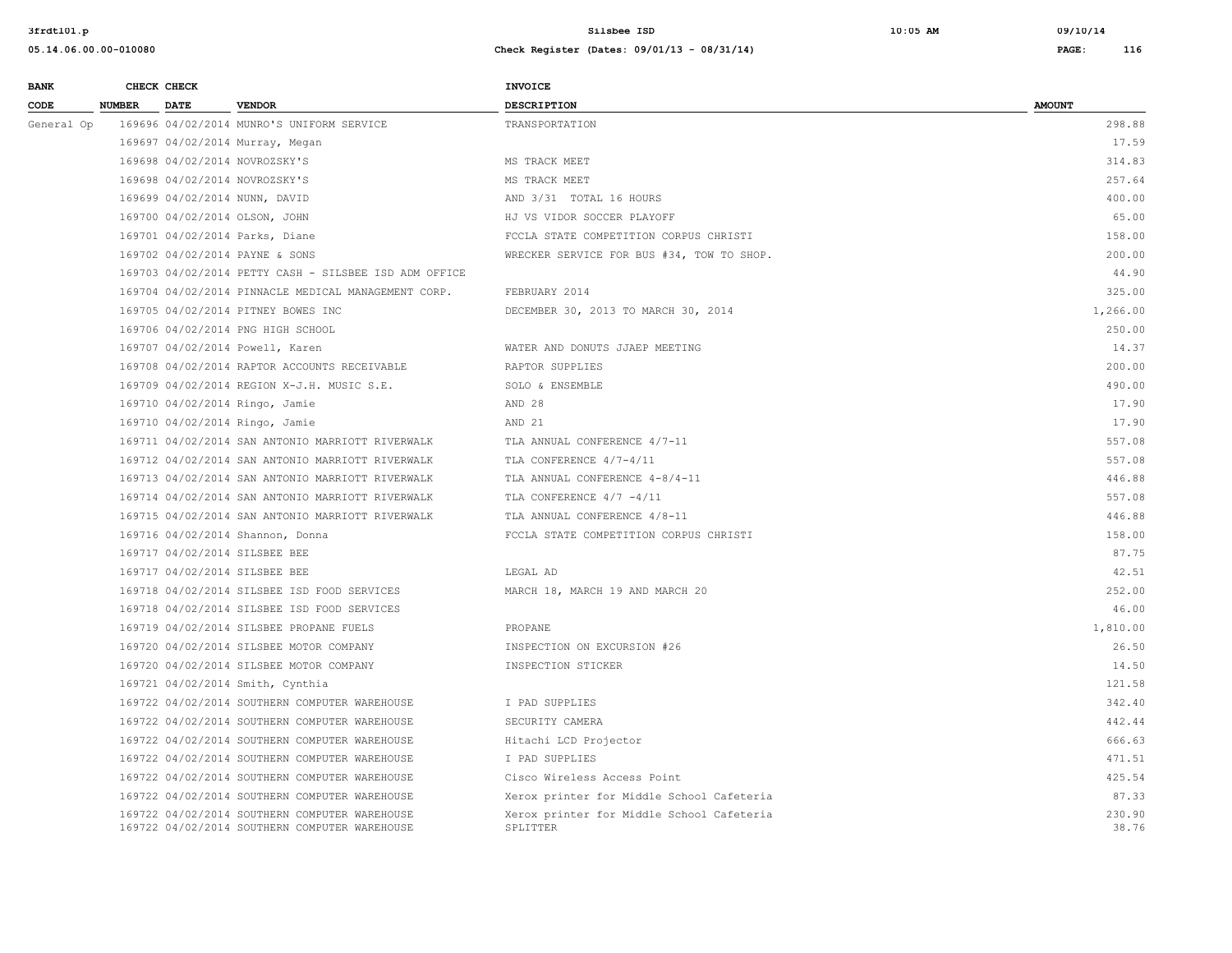| <b>BANK</b> |               | CHECK CHECK |                                                                                                | <b>INVOICE</b>                                        |                 |  |
|-------------|---------------|-------------|------------------------------------------------------------------------------------------------|-------------------------------------------------------|-----------------|--|
| CODE        | <b>NUMBER</b> | <b>DATE</b> | <b>VENDOR</b>                                                                                  | <b>DESCRIPTION</b>                                    | <b>AMOUNT</b>   |  |
| General Op  |               |             | 169696 04/02/2014 MUNRO'S UNIFORM SERVICE                                                      | TRANSPORTATION                                        | 298.88          |  |
|             |               |             | 169697 04/02/2014 Murray, Megan                                                                |                                                       | 17.59           |  |
|             |               |             | 169698 04/02/2014 NOVROZSKY'S                                                                  | MS TRACK MEET                                         | 314.83          |  |
|             |               |             | 169698 04/02/2014 NOVROZSKY'S                                                                  | MS TRACK MEET                                         | 257.64          |  |
|             |               |             | 169699 04/02/2014 NUNN, DAVID                                                                  | AND 3/31 TOTAL 16 HOURS                               | 400.00          |  |
|             |               |             | 169700 04/02/2014 OLSON, JOHN                                                                  | HJ VS VIDOR SOCCER PLAYOFF                            | 65.00           |  |
|             |               |             | 169701 04/02/2014 Parks, Diane                                                                 | FCCLA STATE COMPETITION CORPUS CHRISTI                | 158.00          |  |
|             |               |             | 169702 04/02/2014 PAYNE & SONS                                                                 | WRECKER SERVICE FOR BUS #34, TOW TO SHOP.             | 200.00          |  |
|             |               |             | 169703 04/02/2014 PETTY CASH - SILSBEE ISD ADM OFFICE                                          |                                                       | 44.90           |  |
|             |               |             | 169704 04/02/2014 PINNACLE MEDICAL MANAGEMENT CORP.                                            | FEBRUARY 2014                                         | 325.00          |  |
|             |               |             | 169705 04/02/2014 PITNEY BOWES INC                                                             | DECEMBER 30, 2013 TO MARCH 30, 2014                   | 1,266.00        |  |
|             |               |             | 169706 04/02/2014 PNG HIGH SCHOOL                                                              |                                                       | 250.00          |  |
|             |               |             | 169707 04/02/2014 Powell, Karen                                                                | WATER AND DONUTS JJAEP MEETING                        | 14.37           |  |
|             |               |             | 169708 04/02/2014 RAPTOR ACCOUNTS RECEIVABLE                                                   | RAPTOR SUPPLIES                                       | 200.00          |  |
|             |               |             | 169709 04/02/2014 REGION X-J.H. MUSIC S.E.                                                     | SOLO & ENSEMBLE                                       | 490.00          |  |
|             |               |             | 169710 04/02/2014 Ringo, Jamie                                                                 | AND 28                                                | 17.90           |  |
|             |               |             | 169710 04/02/2014 Ringo, Jamie                                                                 | AND 21                                                | 17.90           |  |
|             |               |             | 169711 04/02/2014 SAN ANTONIO MARRIOTT RIVERWALK                                               | TLA ANNUAL CONFERENCE 4/7-11                          | 557.08          |  |
|             |               |             | 169712 04/02/2014 SAN ANTONIO MARRIOTT RIVERWALK                                               | TLA CONFERENCE 4/7-4/11                               | 557.08          |  |
|             |               |             | 169713 04/02/2014 SAN ANTONIO MARRIOTT RIVERWALK                                               | TLA ANNUAL CONFERENCE 4-8/4-11                        | 446.88          |  |
|             |               |             | 169714 04/02/2014 SAN ANTONIO MARRIOTT RIVERWALK                                               | TLA CONFERENCE $4/7 - 4/11$                           | 557.08          |  |
|             |               |             | 169715 04/02/2014 SAN ANTONIO MARRIOTT RIVERWALK                                               | TLA ANNUAL CONFERENCE 4/8-11                          | 446.88          |  |
|             |               |             | 169716 04/02/2014 Shannon, Donna                                                               | FCCLA STATE COMPETITION CORPUS CHRISTI                | 158.00          |  |
|             |               |             | 169717 04/02/2014 SILSBEE BEE                                                                  |                                                       | 87.75           |  |
|             |               |             | 169717 04/02/2014 SILSBEE BEE                                                                  | LEGAL AD                                              | 42.51           |  |
|             |               |             | 169718 04/02/2014 SILSBEE ISD FOOD SERVICES                                                    | MARCH 18, MARCH 19 AND MARCH 20                       | 252.00          |  |
|             |               |             | 169718 04/02/2014 SILSBEE ISD FOOD SERVICES                                                    |                                                       | 46.00           |  |
|             |               |             | 169719 04/02/2014 SILSBEE PROPANE FUELS                                                        | PROPANE                                               | 1,810.00        |  |
|             |               |             | 169720 04/02/2014 SILSBEE MOTOR COMPANY                                                        | INSPECTION ON EXCURSION #26                           | 26.50           |  |
|             |               |             | 169720 04/02/2014 SILSBEE MOTOR COMPANY                                                        | INSPECTION STICKER                                    | 14.50           |  |
|             |               |             | 169721 04/02/2014 Smith, Cynthia                                                               |                                                       | 121.58          |  |
|             |               |             | 169722 04/02/2014 SOUTHERN COMPUTER WAREHOUSE                                                  | I PAD SUPPLIES                                        | 342.40          |  |
|             |               |             | 169722 04/02/2014 SOUTHERN COMPUTER WAREHOUSE                                                  | SECURITY CAMERA                                       | 442.44          |  |
|             |               |             | 169722 04/02/2014 SOUTHERN COMPUTER WAREHOUSE                                                  | Hitachi LCD Projector                                 | 666.63          |  |
|             |               |             | 169722 04/02/2014 SOUTHERN COMPUTER WAREHOUSE                                                  | I PAD SUPPLIES                                        | 471.51          |  |
|             |               |             | 169722 04/02/2014 SOUTHERN COMPUTER WAREHOUSE                                                  | Cisco Wireless Access Point                           | 425.54          |  |
|             |               |             | 169722 04/02/2014 SOUTHERN COMPUTER WAREHOUSE                                                  | Xerox printer for Middle School Cafeteria             | 87.33           |  |
|             |               |             | 169722 04/02/2014 SOUTHERN COMPUTER WAREHOUSE<br>169722 04/02/2014 SOUTHERN COMPUTER WAREHOUSE | Xerox printer for Middle School Cafeteria<br>SPLITTER | 230.90<br>38.76 |  |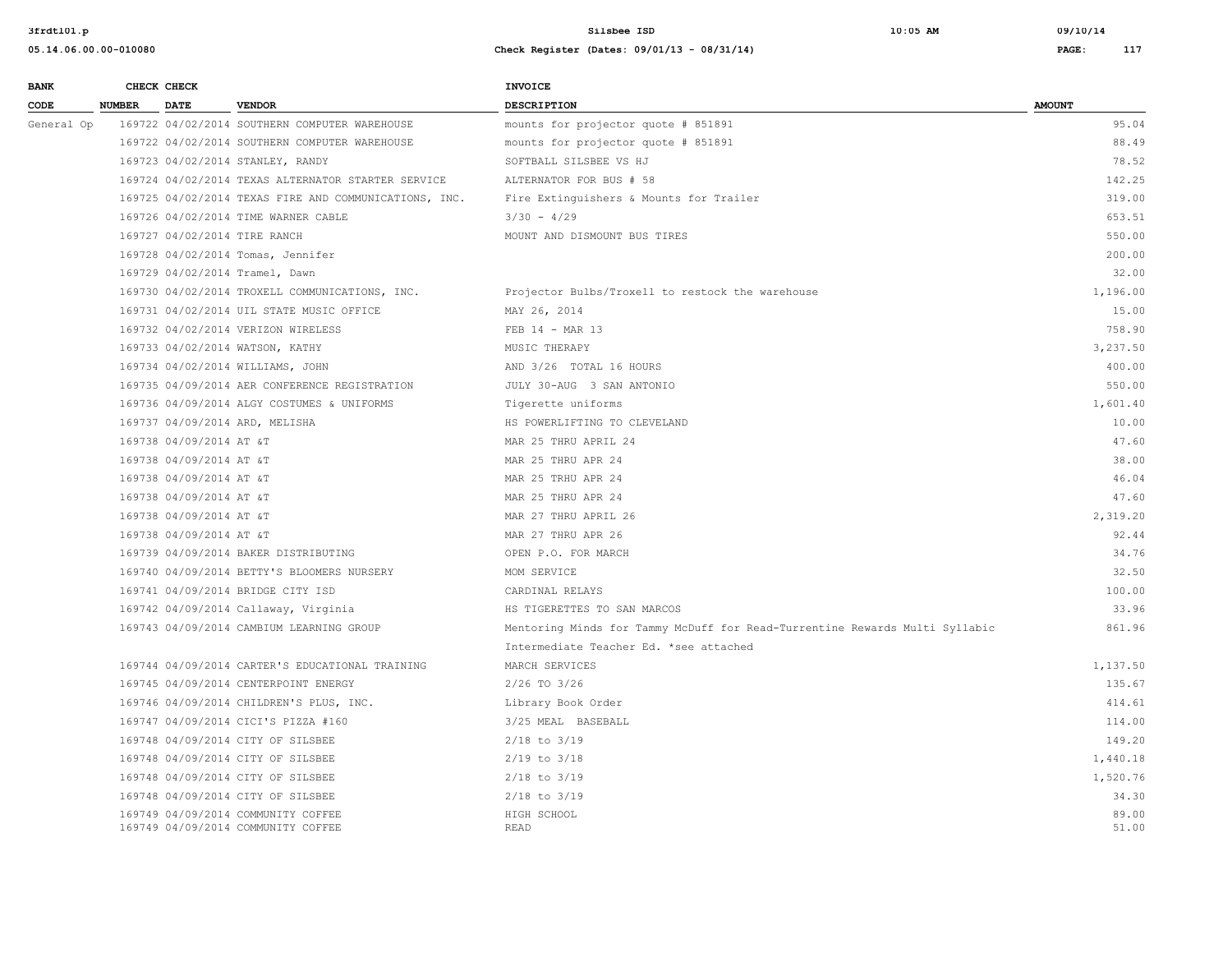| <b>BANK</b> |               | CHECK CHECK             |                                                                          | <b>INVOICE</b>                                                              |                |
|-------------|---------------|-------------------------|--------------------------------------------------------------------------|-----------------------------------------------------------------------------|----------------|
| <b>CODE</b> | <b>NUMBER</b> | <b>DATE</b>             | <b>VENDOR</b>                                                            | <b>DESCRIPTION</b>                                                          | <b>AMOUNT</b>  |
| General Op  |               |                         | 169722 04/02/2014 SOUTHERN COMPUTER WAREHOUSE                            | mounts for projector quote # 851891                                         | 95.04          |
|             |               |                         | 169722 04/02/2014 SOUTHERN COMPUTER WAREHOUSE                            | mounts for projector quote # 851891                                         | 88.49          |
|             |               |                         | 169723 04/02/2014 STANLEY, RANDY                                         | SOFTBALL SILSBEE VS HJ                                                      | 78.52          |
|             |               |                         | 169724 04/02/2014 TEXAS ALTERNATOR STARTER SERVICE                       | ALTERNATOR FOR BUS # 58                                                     | 142.25         |
|             |               |                         | 169725 04/02/2014 TEXAS FIRE AND COMMUNICATIONS, INC.                    | Fire Extinguishers & Mounts for Trailer                                     | 319.00         |
|             |               |                         | 169726 04/02/2014 TIME WARNER CABLE                                      | $3/30 - 4/29$                                                               | 653.51         |
|             |               |                         | 169727 04/02/2014 TIRE RANCH                                             | MOUNT AND DISMOUNT BUS TIRES                                                | 550.00         |
|             |               |                         | 169728 04/02/2014 Tomas, Jennifer                                        |                                                                             | 200.00         |
|             |               |                         | 169729 04/02/2014 Tramel, Dawn                                           |                                                                             | 32.00          |
|             |               |                         | 169730 04/02/2014 TROXELL COMMUNICATIONS, INC.                           | Projector Bulbs/Troxell to restock the warehouse                            | 1,196.00       |
|             |               |                         | 169731 04/02/2014 UIL STATE MUSIC OFFICE                                 | MAY 26, 2014                                                                | 15.00          |
|             |               |                         | 169732 04/02/2014 VERIZON WIRELESS                                       | $FEB$ 14 - MAR 13                                                           | 758.90         |
|             |               |                         | 169733 04/02/2014 WATSON, KATHY                                          | MUSIC THERAPY                                                               | 3,237.50       |
|             |               |                         | 169734 04/02/2014 WILLIAMS, JOHN                                         | AND 3/26 TOTAL 16 HOURS                                                     | 400.00         |
|             |               |                         | 169735 04/09/2014 AER CONFERENCE REGISTRATION                            | JULY 30-AUG 3 SAN ANTONIO                                                   | 550.00         |
|             |               |                         | 169736 04/09/2014 ALGY COSTUMES & UNIFORMS                               | Tigerette uniforms                                                          | 1,601.40       |
|             |               |                         | 169737 04/09/2014 ARD, MELISHA                                           | HS POWERLIFTING TO CLEVELAND                                                | 10.00          |
|             |               | 169738 04/09/2014 AT &T |                                                                          | MAR 25 THRU APRIL 24                                                        | 47.60          |
|             |               | 169738 04/09/2014 AT &T |                                                                          | MAR 25 THRU APR 24                                                          | 38.00          |
|             |               | 169738 04/09/2014 AT &T |                                                                          | MAR 25 TRHU APR 24                                                          | 46.04          |
|             |               | 169738 04/09/2014 AT &T |                                                                          | MAR 25 THRU APR 24                                                          | 47.60          |
|             |               | 169738 04/09/2014 AT &T |                                                                          | MAR 27 THRU APRIL 26                                                        | 2,319.20       |
|             |               | 169738 04/09/2014 AT &T |                                                                          | MAR 27 THRU APR 26                                                          | 92.44          |
|             |               |                         | 169739 04/09/2014 BAKER DISTRIBUTING                                     | OPEN P.O. FOR MARCH                                                         | 34.76          |
|             |               |                         | 169740 04/09/2014 BETTY'S BLOOMERS NURSERY                               | MOM SERVICE                                                                 | 32.50          |
|             |               |                         | 169741 04/09/2014 BRIDGE CITY ISD                                        | CARDINAL RELAYS                                                             | 100.00         |
|             |               |                         | 169742 04/09/2014 Callaway, Virginia                                     | HS TIGERETTES TO SAN MARCOS                                                 | 33.96          |
|             |               |                         | 169743 04/09/2014 CAMBIUM LEARNING GROUP                                 | Mentoring Minds for Tammy McDuff for Read-Turrentine Rewards Multi Syllabic | 861.96         |
|             |               |                         |                                                                          | Intermediate Teacher Ed. *see attached                                      |                |
|             |               |                         | 169744 04/09/2014 CARTER'S EDUCATIONAL TRAINING                          | MARCH SERVICES                                                              | 1,137.50       |
|             |               |                         | 169745 04/09/2014 CENTERPOINT ENERGY                                     | $2/26$ TO $3/26$                                                            | 135.67         |
|             |               |                         | 169746 04/09/2014 CHILDREN'S PLUS, INC.                                  | Library Book Order                                                          | 414.61         |
|             |               |                         | 169747 04/09/2014 CICI'S PIZZA #160                                      | 3/25 MEAL BASEBALL                                                          | 114.00         |
|             |               |                         | 169748 04/09/2014 CITY OF SILSBEE                                        | $2/18$ to $3/19$                                                            | 149.20         |
|             |               |                         | 169748 04/09/2014 CITY OF SILSBEE                                        | $2/19$ to $3/18$                                                            | 1,440.18       |
|             |               |                         | 169748 04/09/2014 CITY OF SILSBEE                                        | $2/18$ to $3/19$                                                            | 1,520.76       |
|             |               |                         | 169748 04/09/2014 CITY OF SILSBEE                                        | $2/18$ to $3/19$                                                            | 34.30          |
|             |               |                         | 169749 04/09/2014 COMMUNITY COFFEE<br>169749 04/09/2014 COMMUNITY COFFEE | HIGH SCHOOL<br><b>READ</b>                                                  | 89.00<br>51.00 |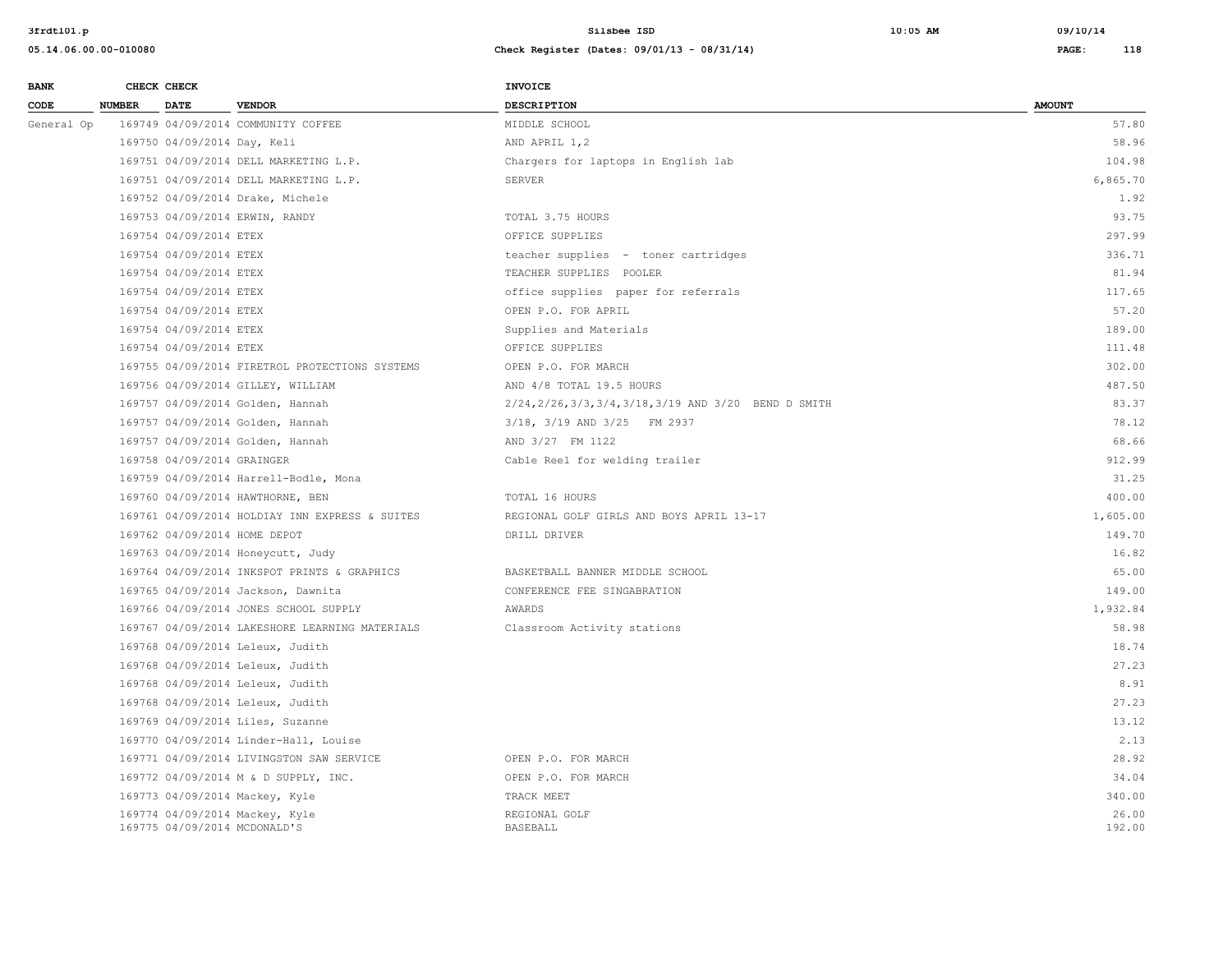| <b>BANK</b> |               | CHECK CHECK                 |                                                                | <b>INVOICE</b>                                         |                 |  |
|-------------|---------------|-----------------------------|----------------------------------------------------------------|--------------------------------------------------------|-----------------|--|
| CODE        | <b>NUMBER</b> | <b>DATE</b>                 | <b>VENDOR</b>                                                  | <b>DESCRIPTION</b>                                     | <b>AMOUNT</b>   |  |
| General Op  |               |                             | 169749 04/09/2014 COMMUNITY COFFEE                             | MIDDLE SCHOOL                                          | 57.80           |  |
|             |               | 169750 04/09/2014 Day, Keli |                                                                | AND APRIL 1,2                                          | 58.96           |  |
|             |               |                             | 169751 04/09/2014 DELL MARKETING L.P.                          | Chargers for laptops in English lab                    | 104.98          |  |
|             |               |                             | 169751 04/09/2014 DELL MARKETING L.P.                          | <b>SERVER</b>                                          | 6,865.70        |  |
|             |               |                             | 169752 04/09/2014 Drake, Michele                               |                                                        | 1.92            |  |
|             |               |                             | 169753 04/09/2014 ERWIN, RANDY                                 | TOTAL 3.75 HOURS                                       | 93.75           |  |
|             |               | 169754 04/09/2014 ETEX      |                                                                | OFFICE SUPPLIES                                        | 297.99          |  |
|             |               | 169754 04/09/2014 ETEX      |                                                                | teacher supplies - toner cartridges                    | 336.71          |  |
|             |               | 169754 04/09/2014 ETEX      |                                                                | TEACHER SUPPLIES POOLER                                | 81.94           |  |
|             |               | 169754 04/09/2014 ETEX      |                                                                | office supplies paper for referrals                    | 117.65          |  |
|             |               | 169754 04/09/2014 ETEX      |                                                                | OPEN P.O. FOR APRIL                                    | 57.20           |  |
|             |               | 169754 04/09/2014 ETEX      |                                                                | Supplies and Materials                                 | 189.00          |  |
|             |               | 169754 04/09/2014 ETEX      |                                                                | OFFICE SUPPLIES                                        | 111.48          |  |
|             |               |                             | 169755 04/09/2014 FIRETROL PROTECTIONS SYSTEMS                 | OPEN P.O. FOR MARCH                                    | 302.00          |  |
|             |               |                             | 169756 04/09/2014 GILLEY, WILLIAM                              | AND 4/8 TOTAL 19.5 HOURS                               | 487.50          |  |
|             |               |                             | 169757 04/09/2014 Golden, Hannah                               | 2/24, 2/26, 3/3, 3/4, 3/18, 3/19 AND 3/20 BEND D SMITH | 83.37           |  |
|             |               |                             | 169757 04/09/2014 Golden, Hannah                               | 3/18, 3/19 AND 3/25 FM 2937                            | 78.12           |  |
|             |               |                             | 169757 04/09/2014 Golden, Hannah                               | AND 3/27 FM 1122                                       | 68.66           |  |
|             |               | 169758 04/09/2014 GRAINGER  |                                                                | Cable Reel for welding trailer                         | 912.99          |  |
|             |               |                             | 169759 04/09/2014 Harrell-Bodle, Mona                          |                                                        | 31.25           |  |
|             |               |                             | 169760 04/09/2014 HAWTHORNE, BEN                               | TOTAL 16 HOURS                                         | 400.00          |  |
|             |               |                             | 169761 04/09/2014 HOLDIAY INN EXPRESS & SUITES                 | REGIONAL GOLF GIRLS AND BOYS APRIL 13-17               | 1,605.00        |  |
|             |               |                             | 169762 04/09/2014 HOME DEPOT                                   | DRILL DRIVER                                           | 149.70          |  |
|             |               |                             | 169763 04/09/2014 Honeycutt, Judy                              |                                                        | 16.82           |  |
|             |               |                             | 169764 04/09/2014 INKSPOT PRINTS & GRAPHICS                    | BASKETBALL BANNER MIDDLE SCHOOL                        | 65.00           |  |
|             |               |                             | 169765 04/09/2014 Jackson, Dawnita                             | CONFERENCE FEE SINGABRATION                            | 149.00          |  |
|             |               |                             | 169766 04/09/2014 JONES SCHOOL SUPPLY                          | AWARDS                                                 | 1,932.84        |  |
|             |               |                             | 169767 04/09/2014 LAKESHORE LEARNING MATERIALS                 | Classroom Activity stations                            | 58.98           |  |
|             |               |                             | 169768 04/09/2014 Leleux, Judith                               |                                                        | 18.74           |  |
|             |               |                             | 169768 04/09/2014 Leleux, Judith                               |                                                        | 27.23           |  |
|             |               |                             | 169768 04/09/2014 Leleux, Judith                               |                                                        | 8.91            |  |
|             |               |                             | 169768 04/09/2014 Leleux, Judith                               |                                                        | 27.23           |  |
|             |               |                             | 169769 04/09/2014 Liles, Suzanne                               |                                                        | 13.12           |  |
|             |               |                             | 169770 04/09/2014 Linder-Hall, Louise                          |                                                        | 2.13            |  |
|             |               |                             | 169771 04/09/2014 LIVINGSTON SAW SERVICE                       | OPEN P.O. FOR MARCH                                    | 28.92           |  |
|             |               |                             | 169772 04/09/2014 M & D SUPPLY, INC.                           | OPEN P.O. FOR MARCH                                    | 34.04           |  |
|             |               |                             | 169773 04/09/2014 Mackey, Kyle                                 | TRACK MEET                                             | 340.00          |  |
|             |               |                             | 169774 04/09/2014 Mackey, Kyle<br>169775 04/09/2014 MCDONALD'S | REGIONAL GOLF<br><b>BASEBALL</b>                       | 26.00<br>192.00 |  |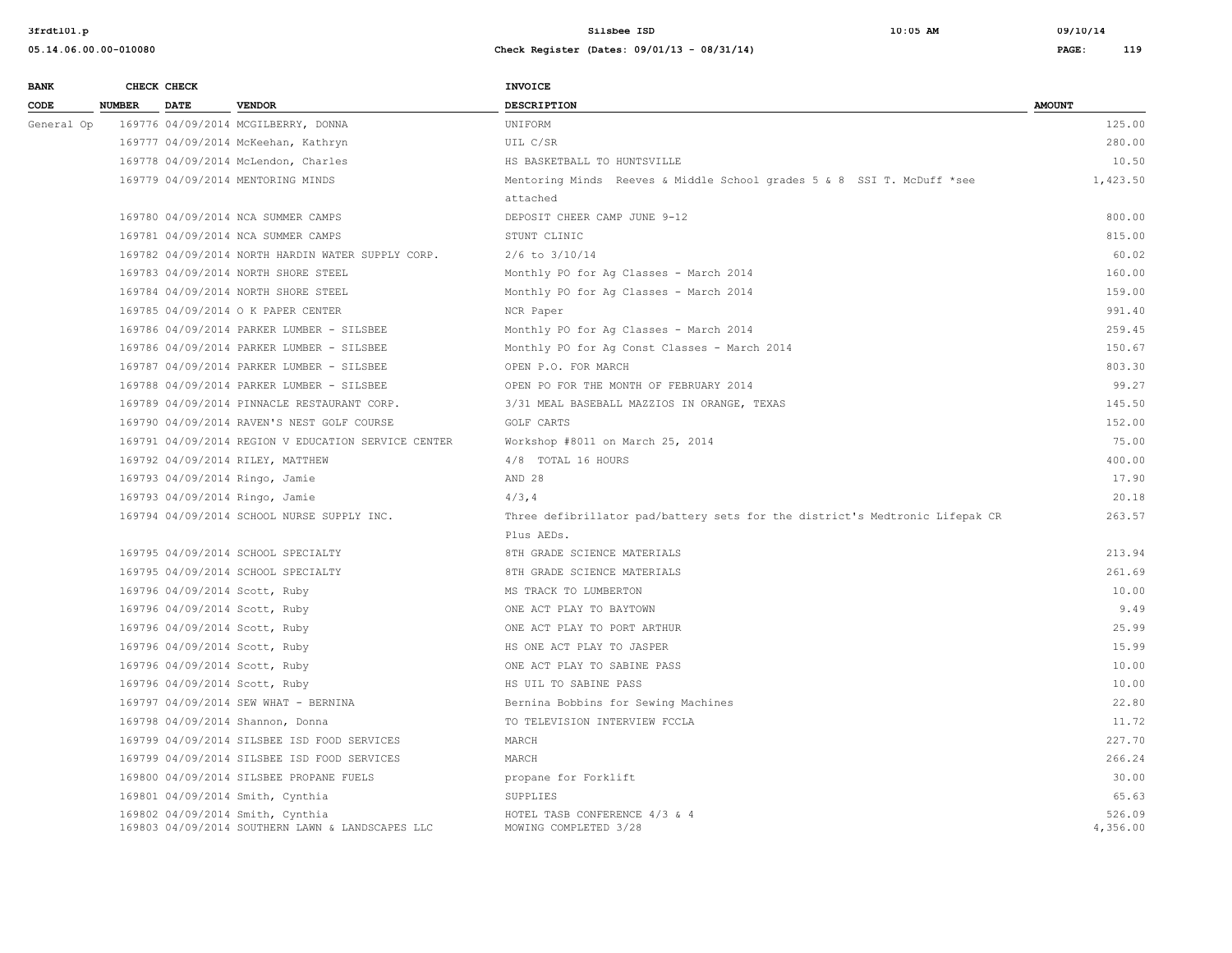| <b>BANK</b> |               | CHECK CHECK |                                                                                      | <b>INVOICE</b>                                                               |                    |
|-------------|---------------|-------------|--------------------------------------------------------------------------------------|------------------------------------------------------------------------------|--------------------|
| CODE        | <b>NUMBER</b> | <b>DATE</b> | <b>VENDOR</b>                                                                        | <b>DESCRIPTION</b>                                                           | <b>AMOUNT</b>      |
| General Op  |               |             | 169776 04/09/2014 MCGILBERRY, DONNA                                                  | UNIFORM                                                                      | 125.00             |
|             |               |             | 169777 04/09/2014 McKeehan, Kathryn                                                  | UIL C/SR                                                                     | 280.00             |
|             |               |             | 169778 04/09/2014 McLendon, Charles                                                  | HS BASKETBALL TO HUNTSVILLE                                                  | 10.50              |
|             |               |             | 169779 04/09/2014 MENTORING MINDS                                                    | Mentoring Minds Reeves & Middle School grades 5 & 8 SSI T. McDuff *see       | 1,423.50           |
|             |               |             |                                                                                      | attached                                                                     |                    |
|             |               |             | 169780 04/09/2014 NCA SUMMER CAMPS                                                   | DEPOSIT CHEER CAMP JUNE 9-12                                                 | 800.00             |
|             |               |             | 169781 04/09/2014 NCA SUMMER CAMPS                                                   | STUNT CLINIC                                                                 | 815.00             |
|             |               |             | 169782 04/09/2014 NORTH HARDIN WATER SUPPLY CORP.                                    | $2/6$ to $3/10/14$                                                           | 60.02              |
|             |               |             | 169783 04/09/2014 NORTH SHORE STEEL                                                  | Monthly PO for Ag Classes - March 2014                                       | 160.00             |
|             |               |             | 169784 04/09/2014 NORTH SHORE STEEL                                                  | Monthly PO for Ag Classes - March 2014                                       | 159.00             |
|             |               |             | 169785 04/09/2014 O K PAPER CENTER                                                   | NCR Paper                                                                    | 991.40             |
|             |               |             | 169786 04/09/2014 PARKER LUMBER - SILSBEE                                            | Monthly PO for Ag Classes - March 2014                                       | 259.45             |
|             |               |             | 169786 04/09/2014 PARKER LUMBER - SILSBEE                                            | Monthly PO for Ag Const Classes - March 2014                                 | 150.67             |
|             |               |             | 169787 04/09/2014 PARKER LUMBER - SILSBEE                                            | OPEN P.O. FOR MARCH                                                          | 803.30             |
|             |               |             | 169788 04/09/2014 PARKER LUMBER - SILSBEE                                            | OPEN PO FOR THE MONTH OF FEBRUARY 2014                                       | 99.27              |
|             |               |             | 169789 04/09/2014 PINNACLE RESTAURANT CORP.                                          | 3/31 MEAL BASEBALL MAZZIOS IN ORANGE, TEXAS                                  | 145.50             |
|             |               |             | 169790 04/09/2014 RAVEN'S NEST GOLF COURSE                                           | GOLF CARTS                                                                   | 152.00             |
|             |               |             | 169791 04/09/2014 REGION V EDUCATION SERVICE CENTER                                  | Workshop #8011 on March 25, 2014                                             | 75.00              |
|             |               |             | 169792 04/09/2014 RILEY, MATTHEW                                                     | 4/8 TOTAL 16 HOURS                                                           | 400.00             |
|             |               |             | 169793 04/09/2014 Ringo, Jamie                                                       | AND 28                                                                       | 17.90              |
|             |               |             | 169793 04/09/2014 Ringo, Jamie                                                       | 4/3, 4                                                                       | 20.18              |
|             |               |             | 169794 04/09/2014 SCHOOL NURSE SUPPLY INC.                                           | Three defibrillator pad/battery sets for the district's Medtronic Lifepak CR | 263.57             |
|             |               |             |                                                                                      | Plus AEDs.                                                                   |                    |
|             |               |             | 169795 04/09/2014 SCHOOL SPECIALTY                                                   | 8TH GRADE SCIENCE MATERIALS                                                  | 213.94             |
|             |               |             | 169795 04/09/2014 SCHOOL SPECIALTY                                                   | 8TH GRADE SCIENCE MATERIALS                                                  | 261.69             |
|             |               |             | 169796 04/09/2014 Scott, Ruby                                                        | MS TRACK TO LUMBERTON                                                        | 10.00              |
|             |               |             | 169796 04/09/2014 Scott, Ruby                                                        | ONE ACT PLAY TO BAYTOWN                                                      | 9.49               |
|             |               |             | 169796 04/09/2014 Scott, Ruby                                                        | ONE ACT PLAY TO PORT ARTHUR                                                  | 25.99              |
|             |               |             | 169796 04/09/2014 Scott, Ruby                                                        | HS ONE ACT PLAY TO JASPER                                                    | 15.99              |
|             |               |             | 169796 04/09/2014 Scott, Ruby                                                        | ONE ACT PLAY TO SABINE PASS                                                  | 10.00              |
|             |               |             | 169796 04/09/2014 Scott, Ruby                                                        | HS UIL TO SABINE PASS                                                        | 10.00              |
|             |               |             | 169797 04/09/2014 SEW WHAT - BERNINA                                                 | Bernina Bobbins for Sewing Machines                                          | 22.80              |
|             |               |             | 169798 04/09/2014 Shannon, Donna                                                     | TO TELEVISION INTERVIEW FCCLA                                                | 11.72              |
|             |               |             | 169799 04/09/2014 SILSBEE ISD FOOD SERVICES                                          | MARCH                                                                        | 227.70             |
|             |               |             | 169799 04/09/2014 SILSBEE ISD FOOD SERVICES                                          | MARCH                                                                        | 266.24             |
|             |               |             | 169800 04/09/2014 SILSBEE PROPANE FUELS                                              | propane for Forklift                                                         | 30.00              |
|             |               |             | 169801 04/09/2014 Smith, Cynthia                                                     | SUPPLIES                                                                     | 65.63              |
|             |               |             | 169802 04/09/2014 Smith, Cynthia<br>169803 04/09/2014 SOUTHERN LAWN & LANDSCAPES LLC | HOTEL TASB CONFERENCE 4/3 & 4<br>MOWING COMPLETED 3/28                       | 526.09<br>4,356.00 |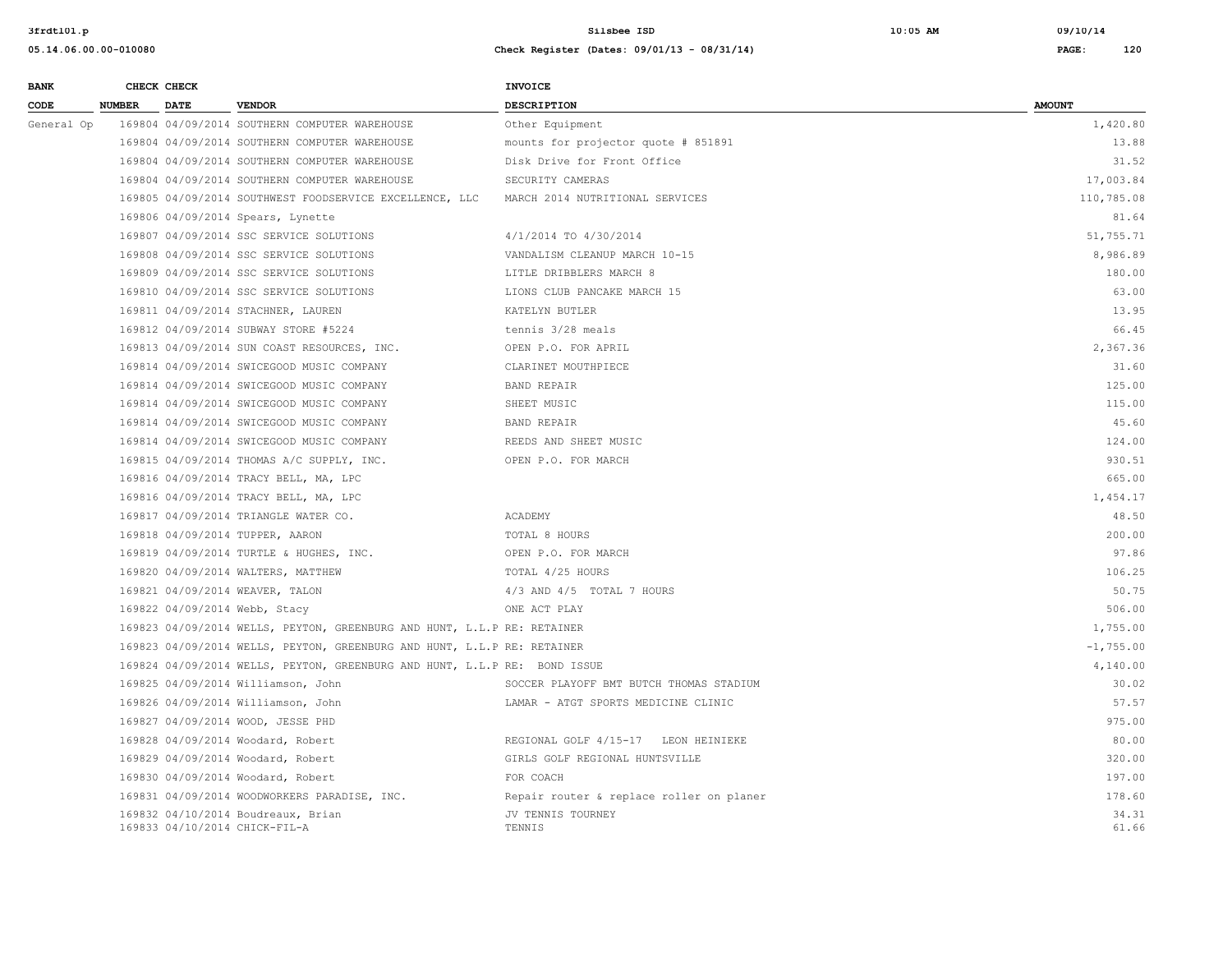| <b>BANK</b> |               | CHECK CHECK |                                                                           | <b>INVOICE</b>                           |                |
|-------------|---------------|-------------|---------------------------------------------------------------------------|------------------------------------------|----------------|
| CODE        | <b>NUMBER</b> | <b>DATE</b> | <b>VENDOR</b>                                                             | <b>DESCRIPTION</b>                       | <b>AMOUNT</b>  |
| General Op  |               |             | 169804 04/09/2014 SOUTHERN COMPUTER WAREHOUSE                             | Other Equipment                          | 1,420.80       |
|             |               |             | 169804 04/09/2014 SOUTHERN COMPUTER WAREHOUSE                             | mounts for projector quote # 851891      | 13.88          |
|             |               |             | 169804 04/09/2014 SOUTHERN COMPUTER WAREHOUSE                             | Disk Drive for Front Office              | 31.52          |
|             |               |             | 169804 04/09/2014 SOUTHERN COMPUTER WAREHOUSE                             | SECURITY CAMERAS                         | 17,003.84      |
|             |               |             | 169805 04/09/2014 SOUTHWEST FOODSERVICE EXCELLENCE, LLC                   | MARCH 2014 NUTRITIONAL SERVICES          | 110,785.08     |
|             |               |             | 169806 04/09/2014 Spears, Lynette                                         |                                          | 81.64          |
|             |               |             | 169807 04/09/2014 SSC SERVICE SOLUTIONS                                   | 4/1/2014 TO 4/30/2014                    | 51,755.71      |
|             |               |             | 169808 04/09/2014 SSC SERVICE SOLUTIONS                                   | VANDALISM CLEANUP MARCH 10-15            | 8,986.89       |
|             |               |             | 169809 04/09/2014 SSC SERVICE SOLUTIONS                                   | LITLE DRIBBLERS MARCH 8                  | 180.00         |
|             |               |             | 169810 04/09/2014 SSC SERVICE SOLUTIONS                                   | LIONS CLUB PANCAKE MARCH 15              | 63.00          |
|             |               |             | 169811 04/09/2014 STACHNER, LAUREN                                        | KATELYN BUTLER                           | 13.95          |
|             |               |             | 169812 04/09/2014 SUBWAY STORE #5224                                      | tennis 3/28 meals                        | 66.45          |
|             |               |             | 169813 04/09/2014 SUN COAST RESOURCES, INC.                               | OPEN P.O. FOR APRIL                      | 2,367.36       |
|             |               |             | 169814 04/09/2014 SWICEGOOD MUSIC COMPANY                                 | CLARINET MOUTHPIECE                      | 31.60          |
|             |               |             | 169814 04/09/2014 SWICEGOOD MUSIC COMPANY                                 | BAND REPAIR                              | 125.00         |
|             |               |             | 169814 04/09/2014 SWICEGOOD MUSIC COMPANY                                 | SHEET MUSIC                              | 115.00         |
|             |               |             | 169814 04/09/2014 SWICEGOOD MUSIC COMPANY                                 | BAND REPAIR                              | 45.60          |
|             |               |             | 169814 04/09/2014 SWICEGOOD MUSIC COMPANY                                 | REEDS AND SHEET MUSIC                    | 124.00         |
|             |               |             | 169815 04/09/2014 THOMAS A/C SUPPLY, INC.                                 | OPEN P.O. FOR MARCH                      | 930.51         |
|             |               |             | 169816 04/09/2014 TRACY BELL, MA, LPC                                     |                                          | 665.00         |
|             |               |             | 169816 04/09/2014 TRACY BELL, MA, LPC                                     |                                          | 1,454.17       |
|             |               |             | 169817 04/09/2014 TRIANGLE WATER CO.                                      | ACADEMY                                  | 48.50          |
|             |               |             | 169818 04/09/2014 TUPPER, AARON                                           | TOTAL 8 HOURS                            | 200.00         |
|             |               |             | 169819 04/09/2014 TURTLE & HUGHES, INC.                                   | OPEN P.O. FOR MARCH                      | 97.86          |
|             |               |             | 169820 04/09/2014 WALTERS, MATTHEW                                        | TOTAL 4/25 HOURS                         | 106.25         |
|             |               |             | 169821 04/09/2014 WEAVER, TALON                                           | 4/3 AND 4/5 TOTAL 7 HOURS                | 50.75          |
|             |               |             | 169822 04/09/2014 Webb, Stacy                                             | ONE ACT PLAY                             | 506.00         |
|             |               |             | 169823 04/09/2014 WELLS, PEYTON, GREENBURG AND HUNT, L.L.P RE: RETAINER   |                                          | 1,755.00       |
|             |               |             | 169823 04/09/2014 WELLS, PEYTON, GREENBURG AND HUNT, L.L.P RE: RETAINER   |                                          | $-1,755.00$    |
|             |               |             | 169824 04/09/2014 WELLS, PEYTON, GREENBURG AND HUNT, L.L.P RE: BOND ISSUE |                                          | 4,140.00       |
|             |               |             | 169825 04/09/2014 Williamson, John                                        | SOCCER PLAYOFF BMT BUTCH THOMAS STADIUM  | 30.02          |
|             |               |             | 169826 04/09/2014 Williamson, John                                        | LAMAR - ATGT SPORTS MEDICINE CLINIC      | 57.57          |
|             |               |             | 169827 04/09/2014 WOOD, JESSE PHD                                         |                                          | 975.00         |
|             |               |             | 169828 04/09/2014 Woodard, Robert                                         | REGIONAL GOLF 4/15-17 LEON HEINIEKE      | 80.00          |
|             |               |             | 169829 04/09/2014 Woodard, Robert                                         | GIRLS GOLF REGIONAL HUNTSVILLE           | 320.00         |
|             |               |             | 169830 04/09/2014 Woodard, Robert                                         | FOR COACH                                | 197.00         |
|             |               |             | 169831 04/09/2014 WOODWORKERS PARADISE, INC.                              | Repair router & replace roller on planer | 178.60         |
|             |               |             | 169832 04/10/2014 Boudreaux, Brian<br>169833 04/10/2014 CHICK-FIL-A       | JV TENNIS TOURNEY<br>TENNIS              | 34.31<br>61.66 |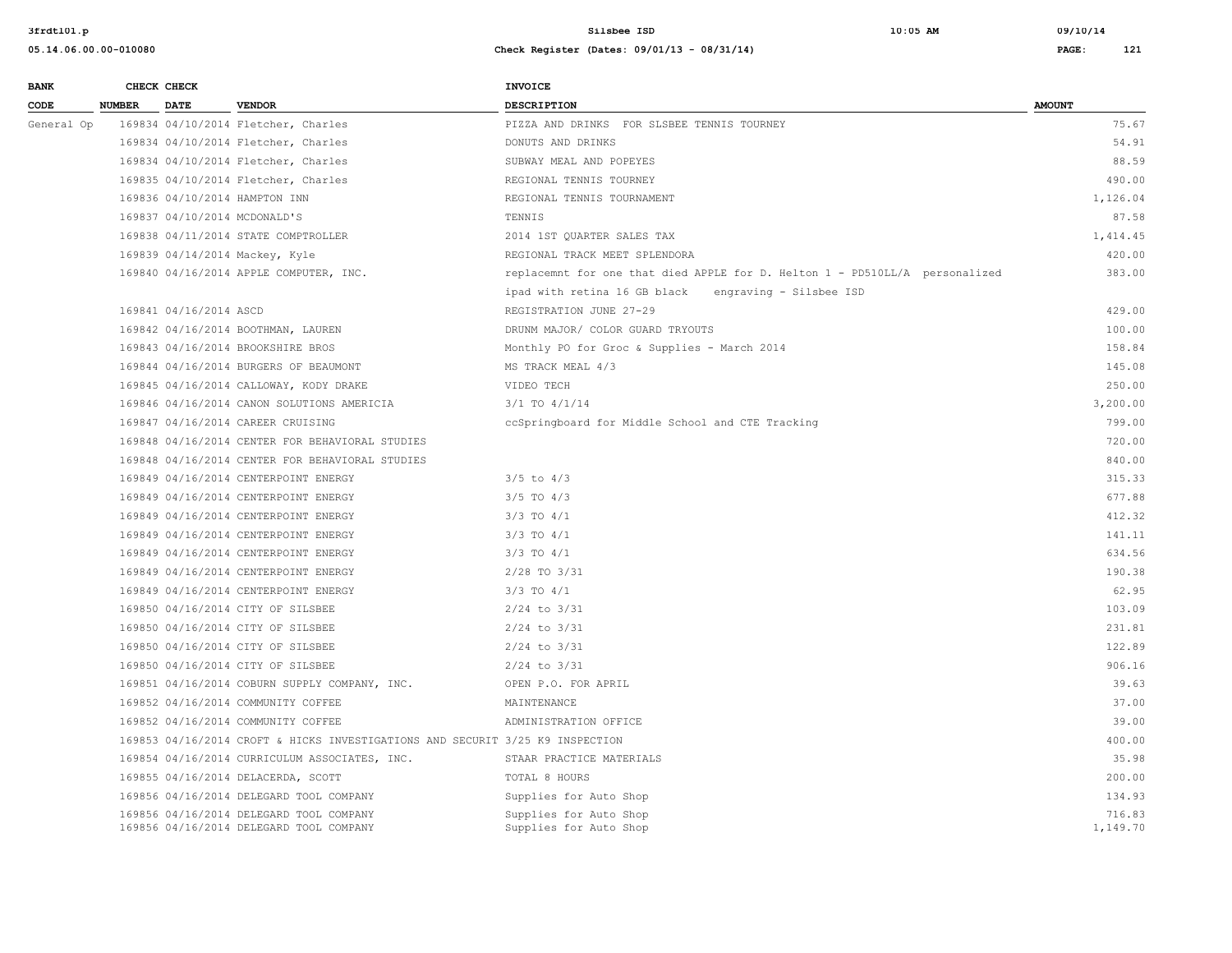| <b>BANK</b> |               | CHECK CHECK            |                                                                                    | <b>INVOICE</b>                                                              |                    |
|-------------|---------------|------------------------|------------------------------------------------------------------------------------|-----------------------------------------------------------------------------|--------------------|
| CODE        | <b>NUMBER</b> | <b>DATE</b>            | <b>VENDOR</b>                                                                      | <b>DESCRIPTION</b>                                                          | <b>AMOUNT</b>      |
| General Op  |               |                        | 169834 04/10/2014 Fletcher, Charles                                                | PIZZA AND DRINKS FOR SLSBEE TENNIS TOURNEY                                  | 75.67              |
|             |               |                        | 169834 04/10/2014 Fletcher, Charles                                                | DONUTS AND DRINKS                                                           | 54.91              |
|             |               |                        | 169834 04/10/2014 Fletcher, Charles                                                | SUBWAY MEAL AND POPEYES                                                     | 88.59              |
|             |               |                        | 169835 04/10/2014 Fletcher, Charles                                                | REGIONAL TENNIS TOURNEY                                                     | 490.00             |
|             |               |                        | 169836 04/10/2014 HAMPTON INN                                                      | REGIONAL TENNIS TOURNAMENT                                                  | 1,126.04           |
|             |               |                        | 169837 04/10/2014 MCDONALD'S                                                       | TENNIS                                                                      | 87.58              |
|             |               |                        | 169838 04/11/2014 STATE COMPTROLLER                                                | 2014 1ST QUARTER SALES TAX                                                  | 1,414.45           |
|             |               |                        | 169839 04/14/2014 Mackey, Kyle                                                     | REGIONAL TRACK MEET SPLENDORA                                               | 420.00             |
|             |               |                        | 169840 04/16/2014 APPLE COMPUTER, INC.                                             | replacemnt for one that died APPLE for D. Helton 1 - PD510LL/A personalized | 383.00             |
|             |               |                        |                                                                                    | ipad with retina 16 GB black engraving - Silsbee ISD                        |                    |
|             |               | 169841 04/16/2014 ASCD |                                                                                    | REGISTRATION JUNE 27-29                                                     | 429.00             |
|             |               |                        | 169842 04/16/2014 BOOTHMAN, LAUREN                                                 | DRUNM MAJOR/ COLOR GUARD TRYOUTS                                            | 100.00             |
|             |               |                        | 169843 04/16/2014 BROOKSHIRE BROS                                                  | Monthly PO for Groc & Supplies - March 2014                                 | 158.84             |
|             |               |                        | 169844 04/16/2014 BURGERS OF BEAUMONT                                              | MS TRACK MEAL 4/3                                                           | 145.08             |
|             |               |                        | 169845 04/16/2014 CALLOWAY, KODY DRAKE                                             | VIDEO TECH                                                                  | 250.00             |
|             |               |                        | 169846 04/16/2014 CANON SOLUTIONS AMERICIA                                         | $3/1$ TO $4/1/14$                                                           | 3,200.00           |
|             |               |                        | 169847 04/16/2014 CAREER CRUISING                                                  | ccSpringboard for Middle School and CTE Tracking                            | 799.00             |
|             |               |                        | 169848 04/16/2014 CENTER FOR BEHAVIORAL STUDIES                                    |                                                                             | 720.00             |
|             |               |                        | 169848 04/16/2014 CENTER FOR BEHAVIORAL STUDIES                                    |                                                                             | 840.00             |
|             |               |                        | 169849 04/16/2014 CENTERPOINT ENERGY                                               | $3/5$ to $4/3$                                                              | 315.33             |
|             |               |                        | 169849 04/16/2014 CENTERPOINT ENERGY                                               | $3/5$ TO $4/3$                                                              | 677.88             |
|             |               |                        | 169849 04/16/2014 CENTERPOINT ENERGY                                               | $3/3$ TO $4/1$                                                              | 412.32             |
|             |               |                        | 169849 04/16/2014 CENTERPOINT ENERGY                                               | $3/3$ TO $4/1$                                                              | 141.11             |
|             |               |                        | 169849 04/16/2014 CENTERPOINT ENERGY                                               | $3/3$ TO $4/1$                                                              | 634.56             |
|             |               |                        | 169849 04/16/2014 CENTERPOINT ENERGY                                               | $2/28$ TO $3/31$                                                            | 190.38             |
|             |               |                        | 169849 04/16/2014 CENTERPOINT ENERGY                                               | $3/3$ TO $4/1$                                                              | 62.95              |
|             |               |                        | 169850 04/16/2014 CITY OF SILSBEE                                                  | $2/24$ to $3/31$                                                            | 103.09             |
|             |               |                        | 169850 04/16/2014 CITY OF SILSBEE                                                  | $2/24$ to $3/31$                                                            | 231.81             |
|             |               |                        | 169850 04/16/2014 CITY OF SILSBEE                                                  | $2/24$ to $3/31$                                                            | 122.89             |
|             |               |                        | 169850 04/16/2014 CITY OF SILSBEE                                                  | $2/24$ to $3/31$                                                            | 906.16             |
|             |               |                        | 169851 04/16/2014 COBURN SUPPLY COMPANY, INC.                                      | OPEN P.O. FOR APRIL                                                         | 39.63              |
|             |               |                        | 169852 04/16/2014 COMMUNITY COFFEE                                                 | MAINTENANCE                                                                 | 37.00              |
|             |               |                        | 169852 04/16/2014 COMMUNITY COFFEE                                                 | ADMINISTRATION OFFICE                                                       | 39.00              |
|             |               |                        | 169853 04/16/2014 CROFT & HICKS INVESTIGATIONS AND SECURIT 3/25 K9 INSPECTION      |                                                                             | 400.00             |
|             |               |                        | 169854 04/16/2014 CURRICULUM ASSOCIATES, INC.                                      | STAAR PRACTICE MATERIALS                                                    | 35.98              |
|             |               |                        | 169855 04/16/2014 DELACERDA, SCOTT                                                 | TOTAL 8 HOURS                                                               | 200.00             |
|             |               |                        | 169856 04/16/2014 DELEGARD TOOL COMPANY                                            | Supplies for Auto Shop                                                      | 134.93             |
|             |               |                        | 169856 04/16/2014 DELEGARD TOOL COMPANY<br>169856 04/16/2014 DELEGARD TOOL COMPANY | Supplies for Auto Shop<br>Supplies for Auto Shop                            | 716.83<br>1,149.70 |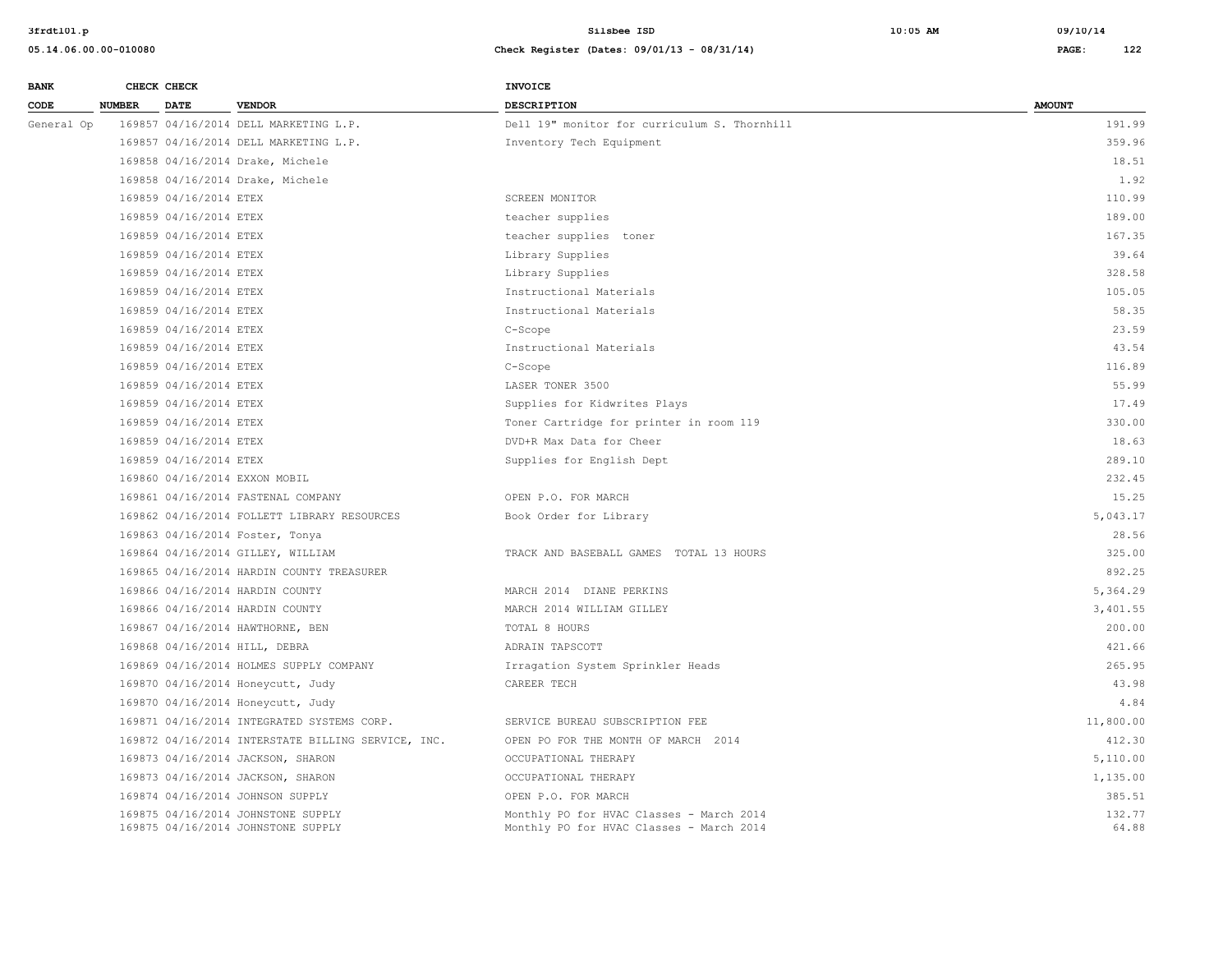| <b>BANK</b> |               | CHECK CHECK            |                                                                          | INVOICE                                                                              |                 |
|-------------|---------------|------------------------|--------------------------------------------------------------------------|--------------------------------------------------------------------------------------|-----------------|
| CODE        | <b>NUMBER</b> | DATE                   | <b>VENDOR</b>                                                            | <b>DESCRIPTION</b>                                                                   | <b>AMOUNT</b>   |
| General Op  |               |                        | 169857 04/16/2014 DELL MARKETING L.P.                                    | Dell 19" monitor for curriculum S. Thornhill                                         | 191.99          |
|             |               |                        | 169857 04/16/2014 DELL MARKETING L.P.                                    | Inventory Tech Equipment                                                             | 359.96          |
|             |               |                        | 169858 04/16/2014 Drake, Michele                                         |                                                                                      | 18.51           |
|             |               |                        | 169858 04/16/2014 Drake, Michele                                         |                                                                                      | 1.92            |
|             |               | 169859 04/16/2014 ETEX |                                                                          | SCREEN MONITOR                                                                       | 110.99          |
|             |               | 169859 04/16/2014 ETEX |                                                                          | teacher supplies                                                                     | 189.00          |
|             |               | 169859 04/16/2014 ETEX |                                                                          | teacher supplies toner                                                               | 167.35          |
|             |               | 169859 04/16/2014 ETEX |                                                                          | Library Supplies                                                                     | 39.64           |
|             |               | 169859 04/16/2014 ETEX |                                                                          | Library Supplies                                                                     | 328.58          |
|             |               | 169859 04/16/2014 ETEX |                                                                          | Instructional Materials                                                              | 105.05          |
|             |               | 169859 04/16/2014 ETEX |                                                                          | Instructional Materials                                                              | 58.35           |
|             |               | 169859 04/16/2014 ETEX |                                                                          | C-Scope                                                                              | 23.59           |
|             |               | 169859 04/16/2014 ETEX |                                                                          | Instructional Materials                                                              | 43.54           |
|             |               | 169859 04/16/2014 ETEX |                                                                          | C-Scope                                                                              | 116.89          |
|             |               | 169859 04/16/2014 ETEX |                                                                          | LASER TONER 3500                                                                     | 55.99           |
|             |               | 169859 04/16/2014 ETEX |                                                                          | Supplies for Kidwrites Plays                                                         | 17.49           |
|             |               | 169859 04/16/2014 ETEX |                                                                          | Toner Cartridge for printer in room 119                                              | 330.00          |
|             |               | 169859 04/16/2014 ETEX |                                                                          | DVD+R Max Data for Cheer                                                             | 18.63           |
|             |               | 169859 04/16/2014 ETEX |                                                                          | Supplies for English Dept                                                            | 289.10          |
|             |               |                        | 169860 04/16/2014 EXXON MOBIL                                            |                                                                                      | 232.45          |
|             |               |                        | 169861 04/16/2014 FASTENAL COMPANY                                       | OPEN P.O. FOR MARCH                                                                  | 15.25           |
|             |               |                        | 169862 04/16/2014 FOLLETT LIBRARY RESOURCES                              | Book Order for Library                                                               | 5,043.17        |
|             |               |                        | 169863 04/16/2014 Foster, Tonya                                          |                                                                                      | 28.56           |
|             |               |                        | 169864 04/16/2014 GILLEY, WILLIAM                                        | TRACK AND BASEBALL GAMES TOTAL 13 HOURS                                              | 325.00          |
|             |               |                        | 169865 04/16/2014 HARDIN COUNTY TREASURER                                |                                                                                      | 892.25          |
|             |               |                        | 169866 04/16/2014 HARDIN COUNTY                                          | MARCH 2014 DIANE PERKINS                                                             | 5,364.29        |
|             |               |                        | 169866 04/16/2014 HARDIN COUNTY                                          | MARCH 2014 WILLIAM GILLEY                                                            | 3,401.55        |
|             |               |                        | 169867 04/16/2014 HAWTHORNE, BEN                                         | TOTAL 8 HOURS                                                                        | 200.00          |
|             |               |                        | 169868 04/16/2014 HILL, DEBRA                                            | ADRAIN TAPSCOTT                                                                      | 421.66          |
|             |               |                        | 169869 04/16/2014 HOLMES SUPPLY COMPANY                                  | Irragation System Sprinkler Heads                                                    | 265.95          |
|             |               |                        | 169870 04/16/2014 Honeycutt, Judy                                        | CAREER TECH                                                                          | 43.98           |
|             |               |                        | 169870 04/16/2014 Honeycutt, Judy                                        |                                                                                      | 4.84            |
|             |               |                        | 169871 04/16/2014 INTEGRATED SYSTEMS CORP.                               | SERVICE BUREAU SUBSCRIPTION FEE                                                      | 11,800.00       |
|             |               |                        | 169872 04/16/2014 INTERSTATE BILLING SERVICE, INC.                       | OPEN PO FOR THE MONTH OF MARCH 2014                                                  | 412.30          |
|             |               |                        | 169873 04/16/2014 JACKSON, SHARON                                        | OCCUPATIONAL THERAPY                                                                 | 5,110.00        |
|             |               |                        | 169873 04/16/2014 JACKSON, SHARON                                        | OCCUPATIONAL THERAPY                                                                 | 1,135.00        |
|             |               |                        | 169874 04/16/2014 JOHNSON SUPPLY                                         | OPEN P.O. FOR MARCH                                                                  | 385.51          |
|             |               |                        | 169875 04/16/2014 JOHNSTONE SUPPLY<br>169875 04/16/2014 JOHNSTONE SUPPLY | Monthly PO for HVAC Classes - March 2014<br>Monthly PO for HVAC Classes - March 2014 | 132.77<br>64.88 |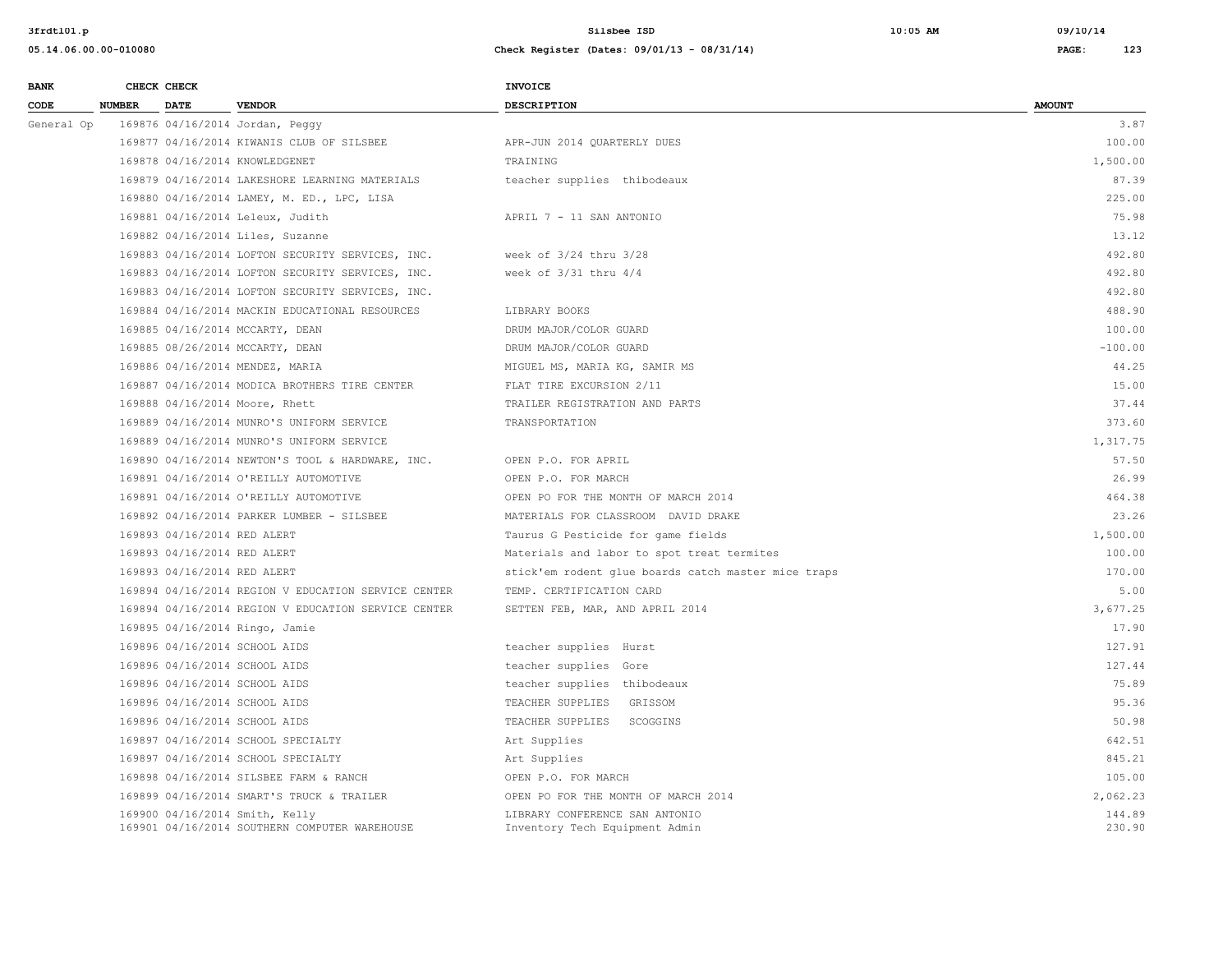| <b>BANK</b> |               | CHECK CHECK                 |                                                                                 | <b>INVOICE</b>                                                   |                  |
|-------------|---------------|-----------------------------|---------------------------------------------------------------------------------|------------------------------------------------------------------|------------------|
| CODE        | <b>NUMBER</b> | <b>DATE</b>                 | <b>VENDOR</b>                                                                   | <b>DESCRIPTION</b>                                               | <b>AMOUNT</b>    |
| General Op  |               |                             | 169876 04/16/2014 Jordan, Peggy                                                 |                                                                  | 3.87             |
|             |               |                             | 169877 04/16/2014 KIWANIS CLUB OF SILSBEE                                       | APR-JUN 2014 QUARTERLY DUES                                      | 100.00           |
|             |               |                             | 169878 04/16/2014 KNOWLEDGENET                                                  | TRAINING                                                         | 1,500.00         |
|             |               |                             | 169879 04/16/2014 LAKESHORE LEARNING MATERIALS                                  | teacher supplies thibodeaux                                      | 87.39            |
|             |               |                             | 169880 04/16/2014 LAMEY, M. ED., LPC, LISA                                      |                                                                  | 225.00           |
|             |               |                             | 169881 04/16/2014 Leleux, Judith                                                | APRIL 7 - 11 SAN ANTONIO                                         | 75.98            |
|             |               |                             | 169882 04/16/2014 Liles, Suzanne                                                |                                                                  | 13.12            |
|             |               |                             | 169883 04/16/2014 LOFTON SECURITY SERVICES, INC.                                | week of 3/24 thru 3/28                                           | 492.80           |
|             |               |                             | 169883 04/16/2014 LOFTON SECURITY SERVICES, INC.                                | week of $3/31$ thru $4/4$                                        | 492.80           |
|             |               |                             | 169883 04/16/2014 LOFTON SECURITY SERVICES, INC.                                |                                                                  | 492.80           |
|             |               |                             | 169884 04/16/2014 MACKIN EDUCATIONAL RESOURCES                                  | LIBRARY BOOKS                                                    | 488.90           |
|             |               |                             | 169885 04/16/2014 MCCARTY, DEAN                                                 | DRUM MAJOR/COLOR GUARD                                           | 100.00           |
|             |               |                             | 169885 08/26/2014 MCCARTY, DEAN                                                 | DRUM MAJOR/COLOR GUARD                                           | $-100.00$        |
|             |               |                             | 169886 04/16/2014 MENDEZ, MARIA                                                 | MIGUEL MS, MARIA KG, SAMIR MS                                    | 44.25            |
|             |               |                             | 169887 04/16/2014 MODICA BROTHERS TIRE CENTER                                   | FLAT TIRE EXCURSION 2/11                                         | 15.00            |
|             |               |                             | 169888 04/16/2014 Moore, Rhett                                                  | TRAILER REGISTRATION AND PARTS                                   | 37.44            |
|             |               |                             | 169889 04/16/2014 MUNRO'S UNIFORM SERVICE                                       | TRANSPORTATION                                                   | 373.60           |
|             |               |                             | 169889 04/16/2014 MUNRO'S UNIFORM SERVICE                                       |                                                                  | 1,317.75         |
|             |               |                             | 169890 04/16/2014 NEWTON'S TOOL & HARDWARE, INC.                                | OPEN P.O. FOR APRIL                                              | 57.50            |
|             |               |                             | 169891 04/16/2014 O'REILLY AUTOMOTIVE                                           | OPEN P.O. FOR MARCH                                              | 26.99            |
|             |               |                             | 169891 04/16/2014 O'REILLY AUTOMOTIVE                                           | OPEN PO FOR THE MONTH OF MARCH 2014                              | 464.38           |
|             |               |                             | 169892 04/16/2014 PARKER LUMBER - SILSBEE                                       | MATERIALS FOR CLASSROOM DAVID DRAKE                              | 23.26            |
|             |               | 169893 04/16/2014 RED ALERT |                                                                                 | Taurus G Pesticide for game fields                               | 1,500.00         |
|             |               | 169893 04/16/2014 RED ALERT |                                                                                 | Materials and labor to spot treat termites                       | 100.00           |
|             |               | 169893 04/16/2014 RED ALERT |                                                                                 | stick'em rodent glue boards catch master mice traps              | 170.00           |
|             |               |                             | 169894 04/16/2014 REGION V EDUCATION SERVICE CENTER                             | TEMP. CERTIFICATION CARD                                         | 5.00             |
|             |               |                             | 169894 04/16/2014 REGION V EDUCATION SERVICE CENTER                             | SETTEN FEB, MAR, AND APRIL 2014                                  | 3,677.25         |
|             |               |                             | 169895 04/16/2014 Ringo, Jamie                                                  |                                                                  | 17.90            |
|             |               |                             | 169896 04/16/2014 SCHOOL AIDS                                                   | teacher supplies Hurst                                           | 127.91           |
|             |               |                             | 169896 04/16/2014 SCHOOL AIDS                                                   | teacher supplies Gore                                            | 127.44           |
|             |               |                             | 169896 04/16/2014 SCHOOL AIDS                                                   | teacher supplies thibodeaux                                      | 75.89            |
|             |               |                             | 169896 04/16/2014 SCHOOL AIDS                                                   | TEACHER SUPPLIES GRISSOM                                         | 95.36            |
|             |               |                             | 169896 04/16/2014 SCHOOL AIDS                                                   | TEACHER SUPPLIES SCOGGINS                                        | 50.98            |
|             |               |                             | 169897 04/16/2014 SCHOOL SPECIALTY                                              | Art Supplies                                                     | 642.51           |
|             |               |                             | 169897 04/16/2014 SCHOOL SPECIALTY                                              | Art Supplies                                                     | 845.21           |
|             |               |                             | 169898 04/16/2014 SILSBEE FARM & RANCH                                          | OPEN P.O. FOR MARCH                                              | 105.00           |
|             |               |                             | 169899 04/16/2014 SMART'S TRUCK & TRAILER                                       | OPEN PO FOR THE MONTH OF MARCH 2014                              | 2,062.23         |
|             |               |                             | 169900 04/16/2014 Smith, Kelly<br>169901 04/16/2014 SOUTHERN COMPUTER WAREHOUSE | LIBRARY CONFERENCE SAN ANTONIO<br>Inventory Tech Equipment Admin | 144.89<br>230.90 |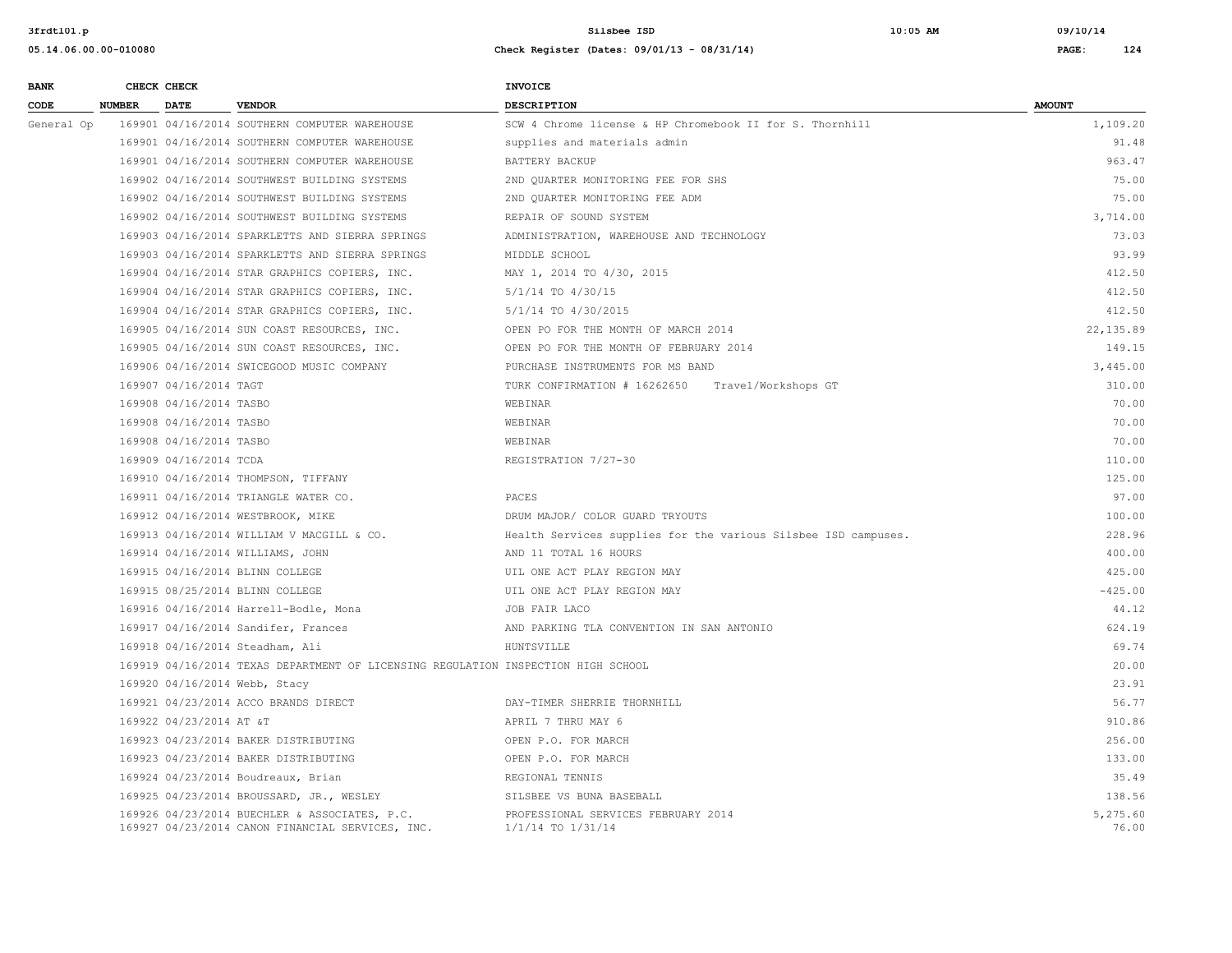| <b>BANK</b> |             | CHECK CHECK             |                                                                                                   | INVOICE                                                        |                   |
|-------------|-------------|-------------------------|---------------------------------------------------------------------------------------------------|----------------------------------------------------------------|-------------------|
| CODE        | NUMBER DATE |                         | <b>VENDOR</b>                                                                                     | <b>DESCRIPTION</b>                                             | <b>AMOUNT</b>     |
| General Op  |             |                         | 169901 04/16/2014 SOUTHERN COMPUTER WAREHOUSE                                                     | SCW 4 Chrome license & HP Chromebook II for S. Thornhill       | 1,109.20          |
|             |             |                         | 169901 04/16/2014 SOUTHERN COMPUTER WAREHOUSE                                                     | supplies and materials admin                                   | 91.48             |
|             |             |                         | 169901 04/16/2014 SOUTHERN COMPUTER WAREHOUSE                                                     | BATTERY BACKUP                                                 | 963.47            |
|             |             |                         | 169902 04/16/2014 SOUTHWEST BUILDING SYSTEMS                                                      | 2ND QUARTER MONITORING FEE FOR SHS                             | 75.00             |
|             |             |                         | 169902 04/16/2014 SOUTHWEST BUILDING SYSTEMS                                                      | 2ND QUARTER MONITORING FEE ADM                                 | 75.00             |
|             |             |                         | 169902 04/16/2014 SOUTHWEST BUILDING SYSTEMS                                                      | REPAIR OF SOUND SYSTEM                                         | 3,714.00          |
|             |             |                         | 169903 04/16/2014 SPARKLETTS AND SIERRA SPRINGS                                                   | ADMINISTRATION, WAREHOUSE AND TECHNOLOGY                       | 73.03             |
|             |             |                         | 169903 04/16/2014 SPARKLETTS AND SIERRA SPRINGS                                                   | MIDDLE SCHOOL                                                  | 93.99             |
|             |             |                         | 169904 04/16/2014 STAR GRAPHICS COPIERS, INC.                                                     | MAY 1, 2014 TO 4/30, 2015                                      | 412.50            |
|             |             |                         | 169904 04/16/2014 STAR GRAPHICS COPIERS, INC.                                                     | 5/1/14 TO 4/30/15                                              | 412.50            |
|             |             |                         | 169904 04/16/2014 STAR GRAPHICS COPIERS, INC.                                                     | 5/1/14 TO 4/30/2015                                            | 412.50            |
|             |             |                         | 169905 04/16/2014 SUN COAST RESOURCES, INC.                                                       | OPEN PO FOR THE MONTH OF MARCH 2014                            | 22, 135.89        |
|             |             |                         | 169905 04/16/2014 SUN COAST RESOURCES, INC.                                                       | OPEN PO FOR THE MONTH OF FEBRUARY 2014                         | 149.15            |
|             |             |                         | 169906 04/16/2014 SWICEGOOD MUSIC COMPANY                                                         | PURCHASE INSTRUMENTS FOR MS BAND                               | 3,445.00          |
|             |             | 169907 04/16/2014 TAGT  |                                                                                                   | TURK CONFIRMATION # 16262650 Travel/Workshops GT               | 310.00            |
|             |             | 169908 04/16/2014 TASBO |                                                                                                   | WEBINAR                                                        | 70.00             |
|             |             | 169908 04/16/2014 TASBO |                                                                                                   | WEBINAR                                                        | 70.00             |
|             |             | 169908 04/16/2014 TASBO |                                                                                                   | WEBINAR                                                        | 70.00             |
|             |             | 169909 04/16/2014 TCDA  |                                                                                                   | REGISTRATION 7/27-30                                           | 110.00            |
|             |             |                         | 169910 04/16/2014 THOMPSON, TIFFANY                                                               |                                                                | 125.00            |
|             |             |                         | 169911 04/16/2014 TRIANGLE WATER CO.                                                              | PACES                                                          | 97.00             |
|             |             |                         | 169912 04/16/2014 WESTBROOK, MIKE                                                                 | DRUM MAJOR/ COLOR GUARD TRYOUTS                                | 100.00            |
|             |             |                         | 169913 04/16/2014 WILLIAM V MACGILL & CO.                                                         | Health Services supplies for the various Silsbee ISD campuses. | 228.96            |
|             |             |                         | 169914 04/16/2014 WILLIAMS, JOHN                                                                  | AND 11 TOTAL 16 HOURS                                          | 400.00            |
|             |             |                         | 169915 04/16/2014 BLINN COLLEGE                                                                   | UIL ONE ACT PLAY REGION MAY                                    | 425.00            |
|             |             |                         | 169915 08/25/2014 BLINN COLLEGE                                                                   | UIL ONE ACT PLAY REGION MAY                                    | $-425.00$         |
|             |             |                         | 169916 04/16/2014 Harrell-Bodle, Mona                                                             | JOB FAIR LACO                                                  | 44.12             |
|             |             |                         | 169917 04/16/2014 Sandifer, Frances                                                               | AND PARKING TLA CONVENTION IN SAN ANTONIO                      | 624.19            |
|             |             |                         | 169918 04/16/2014 Steadham, Ali                                                                   | HUNTSVILLE                                                     | 69.74             |
|             |             |                         | 169919 04/16/2014 TEXAS DEPARTMENT OF LICENSING REGULATION INSPECTION HIGH SCHOOL                 |                                                                | 20.00             |
|             |             |                         | 169920 04/16/2014 Webb, Stacy                                                                     |                                                                | 23.91             |
|             |             |                         | 169921 04/23/2014 ACCO BRANDS DIRECT                                                              | DAY-TIMER SHERRIE THORNHILL                                    | 56.77             |
|             |             | 169922 04/23/2014 AT &T |                                                                                                   | APRIL 7 THRU MAY 6                                             | 910.86            |
|             |             |                         | 169923 04/23/2014 BAKER DISTRIBUTING                                                              | OPEN P.O. FOR MARCH                                            | 256.00            |
|             |             |                         | 169923 04/23/2014 BAKER DISTRIBUTING                                                              | OPEN P.O. FOR MARCH                                            | 133.00            |
|             |             |                         | 169924 04/23/2014 Boudreaux, Brian                                                                | REGIONAL TENNIS                                                | 35.49             |
|             |             |                         | 169925 04/23/2014 BROUSSARD, JR., WESLEY                                                          | SILSBEE VS BUNA BASEBALL                                       | 138.56            |
|             |             |                         | 169926 04/23/2014 BUECHLER & ASSOCIATES, P.C.<br>169927 04/23/2014 CANON FINANCIAL SERVICES, INC. | PROFESSIONAL SERVICES FEBRUARY 2014<br>$1/1/14$ TO $1/31/14$   | 5,275.60<br>76.00 |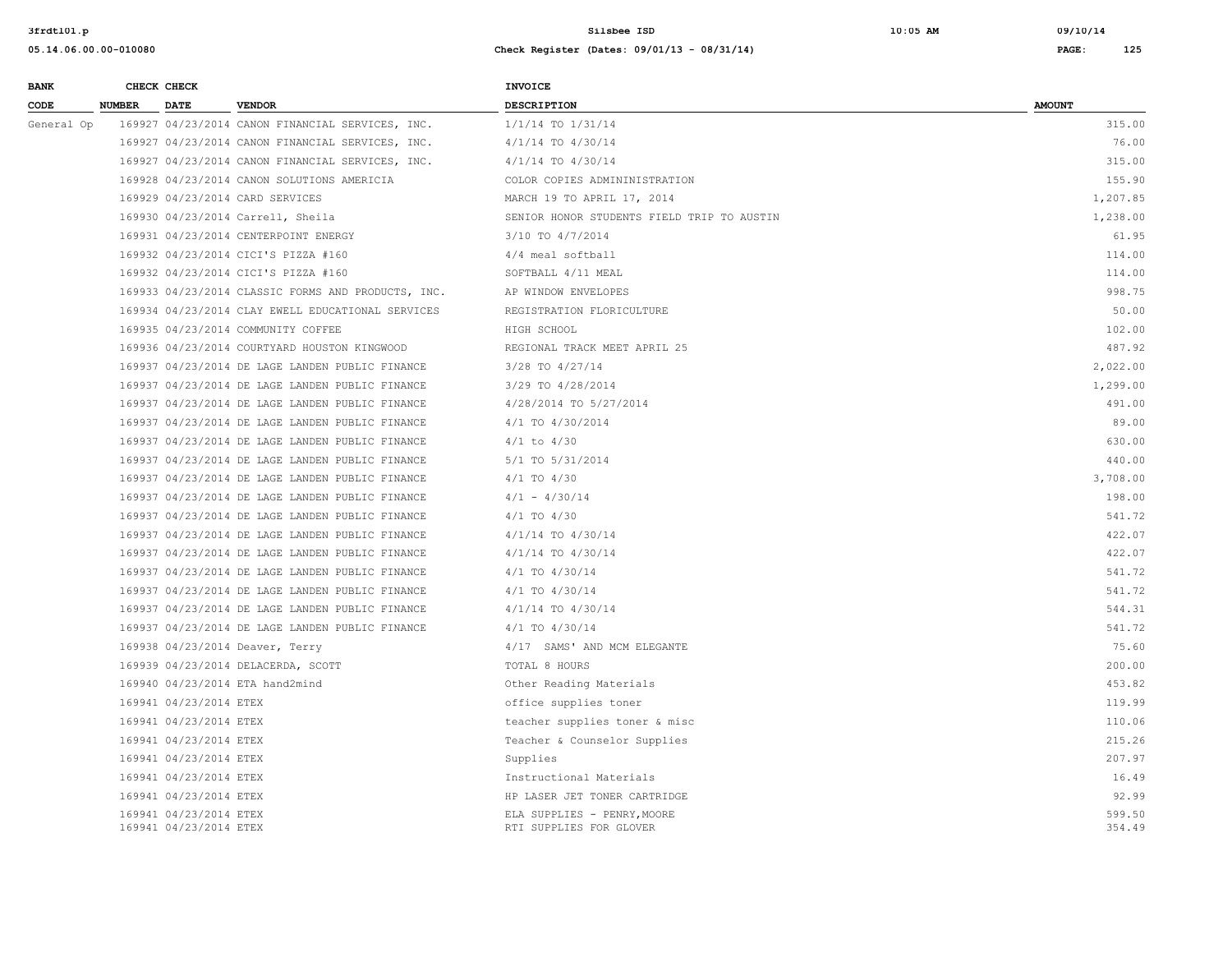| <b>BANK</b> |               | CHECK CHECK                                      |                                                    | <b>INVOICE</b>                                         |                  |
|-------------|---------------|--------------------------------------------------|----------------------------------------------------|--------------------------------------------------------|------------------|
| CODE        | <b>NUMBER</b> | <b>DATE</b>                                      | <b>VENDOR</b>                                      | <b>DESCRIPTION</b>                                     | <b>AMOUNT</b>    |
| General Op  |               |                                                  | 169927 04/23/2014 CANON FINANCIAL SERVICES, INC.   | 1/1/14 TO 1/31/14                                      | 315.00           |
|             |               |                                                  | 169927 04/23/2014 CANON FINANCIAL SERVICES, INC.   | 4/1/14 TO 4/30/14                                      | 76.00            |
|             |               |                                                  | 169927 04/23/2014 CANON FINANCIAL SERVICES, INC.   | $4/1/14$ TO $4/30/14$                                  | 315.00           |
|             |               |                                                  | 169928 04/23/2014 CANON SOLUTIONS AMERICIA         | COLOR COPIES ADMININISTRATION                          | 155.90           |
|             |               |                                                  | 169929 04/23/2014 CARD SERVICES                    | MARCH 19 TO APRIL 17, 2014                             | 1,207.85         |
|             |               |                                                  | 169930 04/23/2014 Carrell, Sheila                  | SENIOR HONOR STUDENTS FIELD TRIP TO AUSTIN             | 1,238.00         |
|             |               |                                                  | 169931 04/23/2014 CENTERPOINT ENERGY               | 3/10 TO 4/7/2014                                       | 61.95            |
|             |               |                                                  | 169932 04/23/2014 CICI'S PIZZA #160                | 4/4 meal softball                                      | 114.00           |
|             |               |                                                  | 169932 04/23/2014 CICI'S PIZZA #160                | SOFTBALL 4/11 MEAL                                     | 114.00           |
|             |               |                                                  | 169933 04/23/2014 CLASSIC FORMS AND PRODUCTS, INC. | AP WINDOW ENVELOPES                                    | 998.75           |
|             |               |                                                  | 169934 04/23/2014 CLAY EWELL EDUCATIONAL SERVICES  | REGISTRATION FLORICULTURE                              | 50.00            |
|             |               |                                                  | 169935 04/23/2014 COMMUNITY COFFEE                 | HIGH SCHOOL                                            | 102.00           |
|             |               |                                                  | 169936 04/23/2014 COURTYARD HOUSTON KINGWOOD       | REGIONAL TRACK MEET APRIL 25                           | 487.92           |
|             |               |                                                  | 169937 04/23/2014 DE LAGE LANDEN PUBLIC FINANCE    | 3/28 TO 4/27/14                                        | 2,022.00         |
|             |               |                                                  | 169937 04/23/2014 DE LAGE LANDEN PUBLIC FINANCE    | 3/29 TO 4/28/2014                                      | 1,299.00         |
|             |               |                                                  | 169937 04/23/2014 DE LAGE LANDEN PUBLIC FINANCE    | 4/28/2014 TO 5/27/2014                                 | 491.00           |
|             |               |                                                  | 169937 04/23/2014 DE LAGE LANDEN PUBLIC FINANCE    | 4/1 TO 4/30/2014                                       | 89.00            |
|             |               |                                                  | 169937 04/23/2014 DE LAGE LANDEN PUBLIC FINANCE    | $4/1$ to $4/30$                                        | 630.00           |
|             |               |                                                  | 169937 04/23/2014 DE LAGE LANDEN PUBLIC FINANCE    | 5/1 TO 5/31/2014                                       | 440.00           |
|             |               |                                                  | 169937 04/23/2014 DE LAGE LANDEN PUBLIC FINANCE    | $4/1$ TO $4/30$                                        | 3,708.00         |
|             |               |                                                  | 169937 04/23/2014 DE LAGE LANDEN PUBLIC FINANCE    | $4/1 - 4/30/14$                                        | 198.00           |
|             |               |                                                  | 169937 04/23/2014 DE LAGE LANDEN PUBLIC FINANCE    | $4/1$ TO $4/30$                                        | 541.72           |
|             |               |                                                  | 169937 04/23/2014 DE LAGE LANDEN PUBLIC FINANCE    | 4/1/14 TO 4/30/14                                      | 422.07           |
|             |               |                                                  | 169937 04/23/2014 DE LAGE LANDEN PUBLIC FINANCE    | 4/1/14 TO 4/30/14                                      | 422.07           |
|             |               |                                                  | 169937 04/23/2014 DE LAGE LANDEN PUBLIC FINANCE    | $4/1$ TO $4/30/14$                                     | 541.72           |
|             |               |                                                  | 169937 04/23/2014 DE LAGE LANDEN PUBLIC FINANCE    | 4/1 TO 4/30/14                                         | 541.72           |
|             |               |                                                  | 169937 04/23/2014 DE LAGE LANDEN PUBLIC FINANCE    | $4/1/14$ TO $4/30/14$                                  | 544.31           |
|             |               |                                                  | 169937 04/23/2014 DE LAGE LANDEN PUBLIC FINANCE    | $4/1$ TO $4/30/14$                                     | 541.72           |
|             |               |                                                  | 169938 04/23/2014 Deaver, Terry                    | 4/17 SAMS' AND MCM ELEGANTE                            | 75.60            |
|             |               |                                                  | 169939 04/23/2014 DELACERDA, SCOTT                 | TOTAL 8 HOURS                                          | 200.00           |
|             |               |                                                  | 169940 04/23/2014 ETA hand2mind                    | Other Reading Materials                                | 453.82           |
|             |               | 169941 04/23/2014 ETEX                           |                                                    | office supplies toner                                  | 119.99           |
|             |               | 169941 04/23/2014 ETEX                           |                                                    | teacher supplies toner & misc                          | 110.06           |
|             |               | 169941 04/23/2014 ETEX                           |                                                    | Teacher & Counselor Supplies                           | 215.26           |
|             |               | 169941 04/23/2014 ETEX                           |                                                    | Supplies                                               | 207.97           |
|             |               | 169941 04/23/2014 ETEX                           |                                                    | Instructional Materials                                | 16.49            |
|             |               | 169941 04/23/2014 ETEX                           |                                                    | HP LASER JET TONER CARTRIDGE                           | 92.99            |
|             |               | 169941 04/23/2014 ETEX<br>169941 04/23/2014 ETEX |                                                    | ELA SUPPLIES - PENRY, MOORE<br>RTI SUPPLIES FOR GLOVER | 599.50<br>354.49 |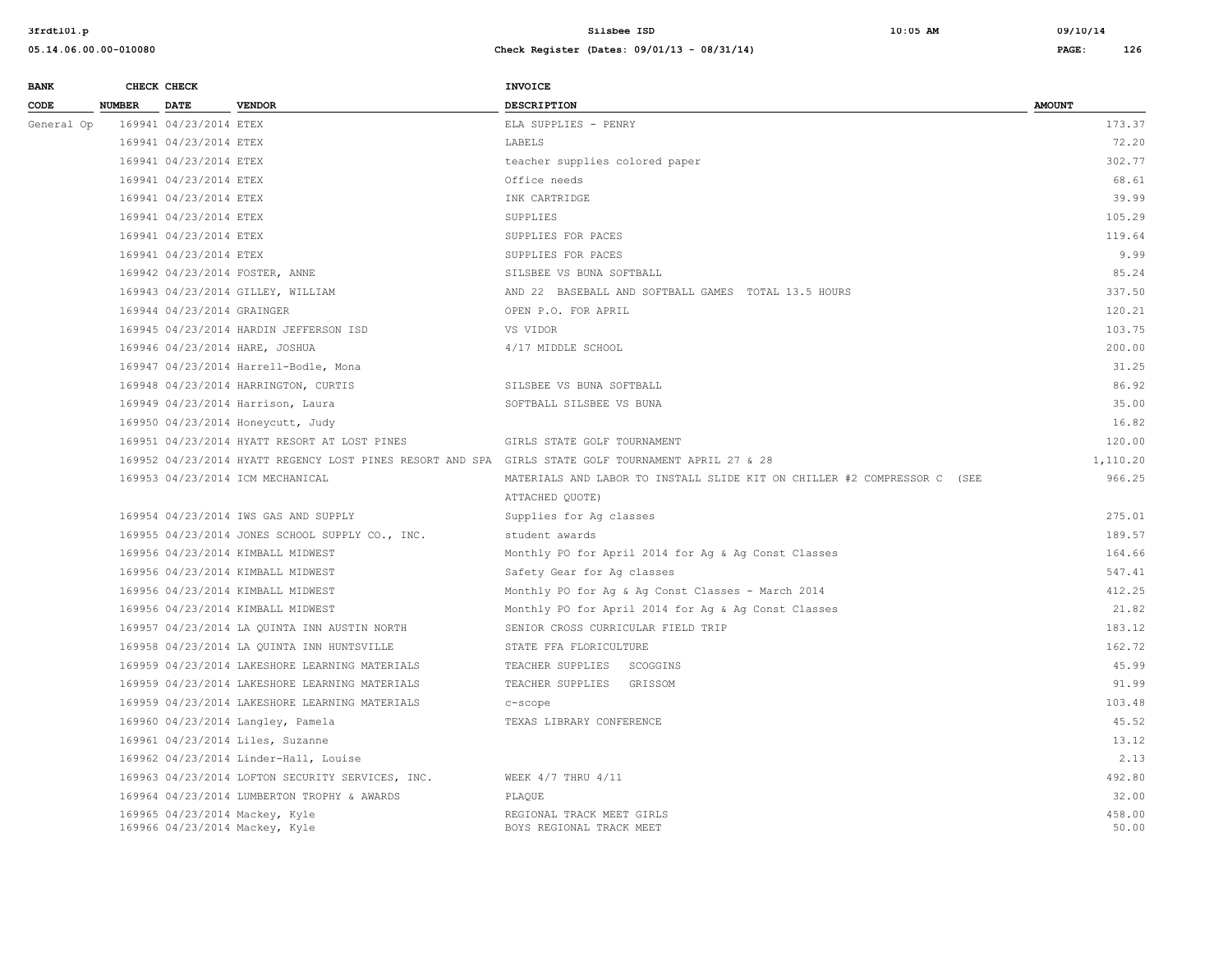| <b>BANK</b> |               | CHECK CHECK                |                                                                  | <b>INVOICE</b>                                                                                      |                 |
|-------------|---------------|----------------------------|------------------------------------------------------------------|-----------------------------------------------------------------------------------------------------|-----------------|
| CODE        | <b>NUMBER</b> | <b>DATE</b>                | <b>VENDOR</b>                                                    | <b>DESCRIPTION</b>                                                                                  | <b>AMOUNT</b>   |
| General Op  |               | 169941 04/23/2014 ETEX     |                                                                  | ELA SUPPLIES - PENRY                                                                                | 173.37          |
|             |               | 169941 04/23/2014 ETEX     |                                                                  | LABELS                                                                                              | 72.20           |
|             |               | 169941 04/23/2014 ETEX     |                                                                  | teacher supplies colored paper                                                                      | 302.77          |
|             |               | 169941 04/23/2014 ETEX     |                                                                  | Office needs                                                                                        | 68.61           |
|             |               | 169941 04/23/2014 ETEX     |                                                                  | INK CARTRIDGE                                                                                       | 39.99           |
|             |               | 169941 04/23/2014 ETEX     |                                                                  | SUPPLIES                                                                                            | 105.29          |
|             |               | 169941 04/23/2014 ETEX     |                                                                  | SUPPLIES FOR PACES                                                                                  | 119.64          |
|             |               | 169941 04/23/2014 ETEX     |                                                                  | SUPPLIES FOR PACES                                                                                  | 9.99            |
|             |               |                            | 169942 04/23/2014 FOSTER, ANNE                                   | SILSBEE VS BUNA SOFTBALL                                                                            | 85.24           |
|             |               |                            | 169943 04/23/2014 GILLEY, WILLIAM                                | AND 22 BASEBALL AND SOFTBALL GAMES TOTAL 13.5 HOURS                                                 | 337.50          |
|             |               | 169944 04/23/2014 GRAINGER |                                                                  | OPEN P.O. FOR APRIL                                                                                 | 120.21          |
|             |               |                            | 169945 04/23/2014 HARDIN JEFFERSON ISD                           | VS VIDOR                                                                                            | 103.75          |
|             |               |                            | 169946 04/23/2014 HARE, JOSHUA                                   | 4/17 MIDDLE SCHOOL                                                                                  | 200.00          |
|             |               |                            | 169947 04/23/2014 Harrell-Bodle, Mona                            |                                                                                                     | 31.25           |
|             |               |                            | 169948 04/23/2014 HARRINGTON, CURTIS                             | SILSBEE VS BUNA SOFTBALL                                                                            | 86.92           |
|             |               |                            | 169949 04/23/2014 Harrison, Laura                                | SOFTBALL SILSBEE VS BUNA                                                                            | 35.00           |
|             |               |                            | 169950 04/23/2014 Honeycutt, Judy                                |                                                                                                     | 16.82           |
|             |               |                            | 169951 04/23/2014 HYATT RESORT AT LOST PINES                     | GIRLS STATE GOLF TOURNAMENT                                                                         | 120.00          |
|             |               |                            |                                                                  | 169952 04/23/2014 HYATT REGENCY LOST PINES RESORT AND SPA GIRLS STATE GOLF TOURNAMENT APRIL 27 & 28 | 1,110.20        |
|             |               |                            | 169953 04/23/2014 ICM MECHANICAL                                 | MATERIALS AND LABOR TO INSTALL SLIDE KIT ON CHILLER #2 COMPRESSOR C (SEE                            | 966.25          |
|             |               |                            |                                                                  | ATTACHED QUOTE)                                                                                     |                 |
|             |               |                            | 169954 04/23/2014 IWS GAS AND SUPPLY                             | Supplies for Aq classes                                                                             | 275.01          |
|             |               |                            | 169955 04/23/2014 JONES SCHOOL SUPPLY CO., INC.                  | student awards                                                                                      | 189.57          |
|             |               |                            | 169956 04/23/2014 KIMBALL MIDWEST                                | Monthly PO for April 2014 for Ag & Ag Const Classes                                                 | 164.66          |
|             |               |                            | 169956 04/23/2014 KIMBALL MIDWEST                                | Safety Gear for Aq classes                                                                          | 547.41          |
|             |               |                            | 169956 04/23/2014 KIMBALL MIDWEST                                | Monthly PO for Ag & Ag Const Classes - March 2014                                                   | 412.25          |
|             |               |                            | 169956 04/23/2014 KIMBALL MIDWEST                                | Monthly PO for April 2014 for Ag & Ag Const Classes                                                 | 21.82           |
|             |               |                            | 169957 04/23/2014 LA QUINTA INN AUSTIN NORTH                     | SENIOR CROSS CURRICULAR FIELD TRIP                                                                  | 183.12          |
|             |               |                            | 169958 04/23/2014 LA QUINTA INN HUNTSVILLE                       | STATE FFA FLORICULTURE                                                                              | 162.72          |
|             |               |                            | 169959 04/23/2014 LAKESHORE LEARNING MATERIALS                   | TEACHER SUPPLIES SCOGGINS                                                                           | 45.99           |
|             |               |                            | 169959 04/23/2014 LAKESHORE LEARNING MATERIALS                   | TEACHER SUPPLIES GRISSOM                                                                            | 91.99           |
|             |               |                            | 169959 04/23/2014 LAKESHORE LEARNING MATERIALS                   | c-scope                                                                                             | 103.48          |
|             |               |                            | 169960 04/23/2014 Langley, Pamela                                | TEXAS LIBRARY CONFERENCE                                                                            | 45.52           |
|             |               |                            | 169961 04/23/2014 Liles, Suzanne                                 |                                                                                                     | 13.12           |
|             |               |                            | 169962 04/23/2014 Linder-Hall, Louise                            |                                                                                                     | 2.13            |
|             |               |                            | 169963 04/23/2014 LOFTON SECURITY SERVICES, INC.                 | WEEK 4/7 THRU 4/11                                                                                  | 492.80          |
|             |               |                            | 169964 04/23/2014 LUMBERTON TROPHY & AWARDS                      | PLAQUE                                                                                              | 32.00           |
|             |               |                            | 169965 04/23/2014 Mackey, Kyle<br>169966 04/23/2014 Mackey, Kyle | REGIONAL TRACK MEET GIRLS<br>BOYS REGIONAL TRACK MEET                                               | 458.00<br>50.00 |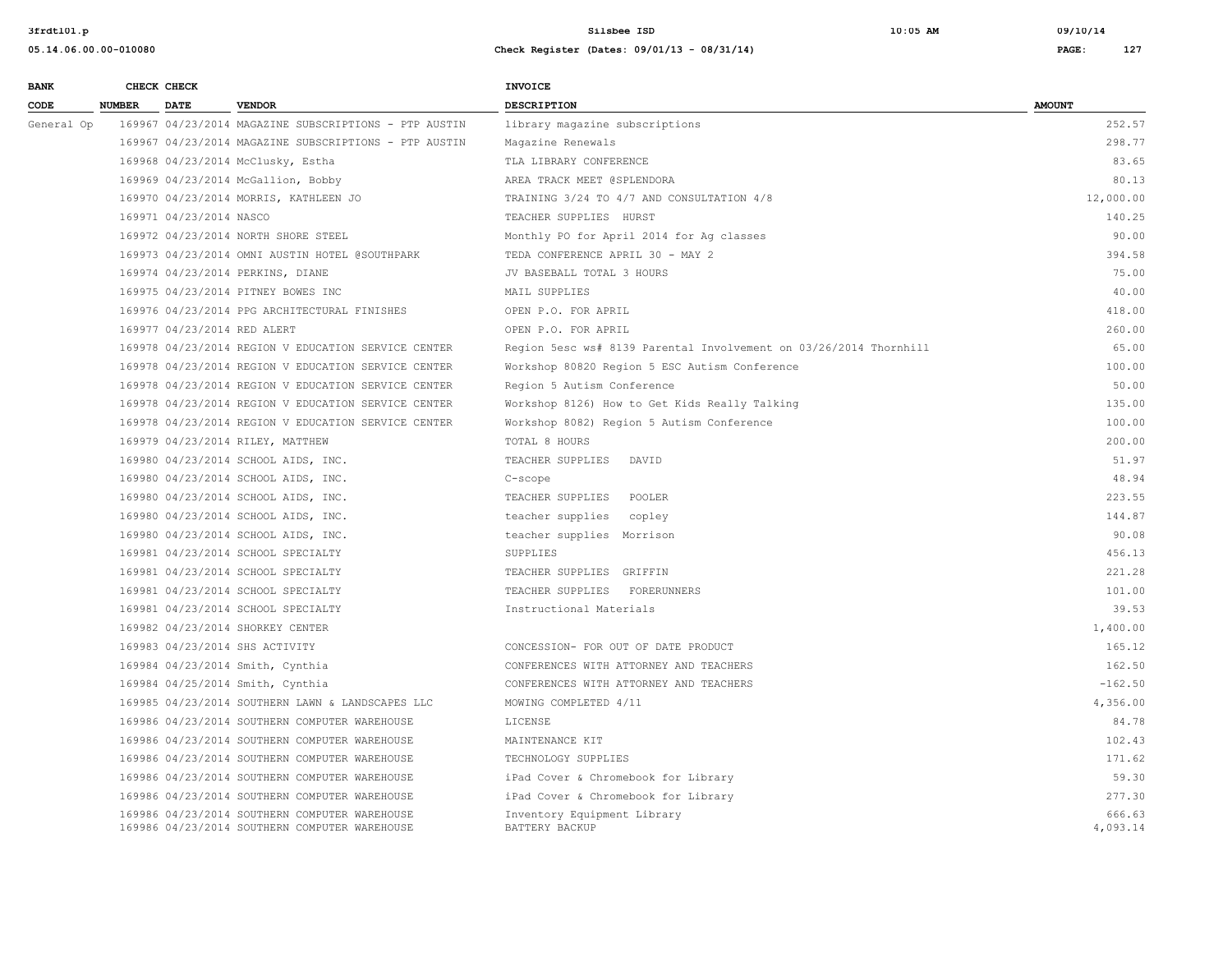**3frdtl01.p Silsbee ISD 10:05 AM 09/10/14**

# **BANK** CHECK CHECK **CHECK CODE NUMBER DATE VENDOR DESCRIPTION AMOUNT**  General Op 169967 04/23/2014 MAGAZINE SUBSCRIPTIONS - PTP AUSTIN library magazine subscriptions 252.57 169967 04/23/2014 MAGAZINE SUBSCRIPTIONS - PTP AUSTIN Magazine Renewals 298.77 169968 04/23/2014 McClusky, Estha TLA LIBRARY CONFERENCE 83.65 169969 04/23/2014 McGallion, Bobby AREA TRACK MEET @SPLENDORA 80.13 169970 04/23/2014 MORRIS, KATHLEEN JO TRAINING 3/24 TO 4/7 AND CONSULTATION 4/8 12,000.00 169971 04/23/2014 NASCO TEACHER SUPPLIES HURST 140.25 169972 04/23/2014 NORTH SHORE STEEL Monthly PO for April 2014 for Ag classes 90.00 169973 04/23/2014 OMNI AUSTIN HOTEL @SOUTHPARK TEDA CONFERENCE APRIL 30 - MAY 2 394.58 169974 04/23/2014 PERKINS, DIANE JV BASEBALL TOTAL 3 HOURS 75.00 169975 04/23/2014 PITNEY BOWES INC MAIL SUPPLIES 40.00 169976 04/23/2014 PPG ARCHITECTURAL FINISHES OPEN P.O. FOR APRIL 418.00 169977 04/23/2014 RED ALERT OPEN P.O. FOR APRIL 260.00 169978 04/23/2014 REGION V EDUCATION SERVICE CENTER Region 5esc ws# 8139 Parental Involvement on 03/26/2014 Thornhill 65.00 169978 04/23/2014 REGION V EDUCATION SERVICE CENTER Workshop 80820 Region 5 ESC Autism Conference 100.00 169978 04/23/2014 REGION V EDUCATION SERVICE CENTER Region 5 Autism Conference 50.00 169978 04/23/2014 REGION V EDUCATION SERVICE CENTER Workshop 8126) How to Get Kids Really Talking 135.00 169978 04/23/2014 REGION V EDUCATION SERVICE CENTER Workshop 8082) Region 5 Autism Conference 100.00 169979 04/23/2014 RILEY, MATTHEW TOTAL 8 HOURS 200.00 169980 04/23/2014 SCHOOL AIDS, INC. THE STRICHER SUPPLIES DAVID STRICHER SUPPLIES SAN SERVICE SUPPLIES STRICH 169980 04/23/2014 SCHOOL AIDS, INC. C-scope 48.94 169980 04/23/2014 SCHOOL AIDS, INC. TEACHER SUPPLIES POOLER 223.55 169980 04/23/2014 SCHOOL AIDS, INC. teacher supplies copley 144.87 169980 04/23/2014 SCHOOL AIDS, INC. teacher supplies Morrison 90.08 169981 04/23/2014 SCHOOL SPECIALTY SUPPLIES 456.13 169981 04/23/2014 SCHOOL SPECIALTY TEACHER SUPPLIES GRIFFIN 221.28 169981 04/23/2014 SCHOOL SPECIALTY TEACHER SUPPLIES FORERUNNERS 101.00 169981 04/23/2014 SCHOOL SPECIALTY Instructional Materials 39.53 169982 04/23/2014 SHORKEY CENTER 1,400.00 169983 04/23/2014 SHS ACTIVITY CONCESSION- FOR OUT OF DATE PRODUCT 165.12 169984 04/23/2014 Smith, Cynthia CONFERENCES WITH ATTORNEY AND TEACHERS 162.50 169984 04/25/2014 Smith, Cynthia **Conferences WITH ATTORNEY AND TEACHERS** -162.50 169985 04/23/2014 SOUTHERN LAWN & LANDSCAPES LLC MOWING COMPLETED 4/11 4,356.00 169986 04/23/2014 SOUTHERN COMPUTER WAREHOUSE LICENSE 84.78 169986 04/23/2014 SOUTHERN COMPUTER WAREHOUSE MAINTENANCE KIT 102.43

 169986 04/23/2014 SOUTHERN COMPUTER WAREHOUSE TECHNOLOGY SUPPLIES 171.62 169986 04/23/2014 SOUTHERN COMPUTER WAREHOUSE iPad Cover & Chromebook for Library 59.30 169986 04/23/2014 SOUTHERN COMPUTER WAREHOUSE iPad Cover & Chromebook for Library 277.30 169986 04/23/2014 SOUTHERN COMPUTER WAREHOUSE Inventory Equipment Library 666.63 169986 04/23/2014 SOUTHERN COMPUTER WAREHOUSE BATTERY BACKUP 4,093.14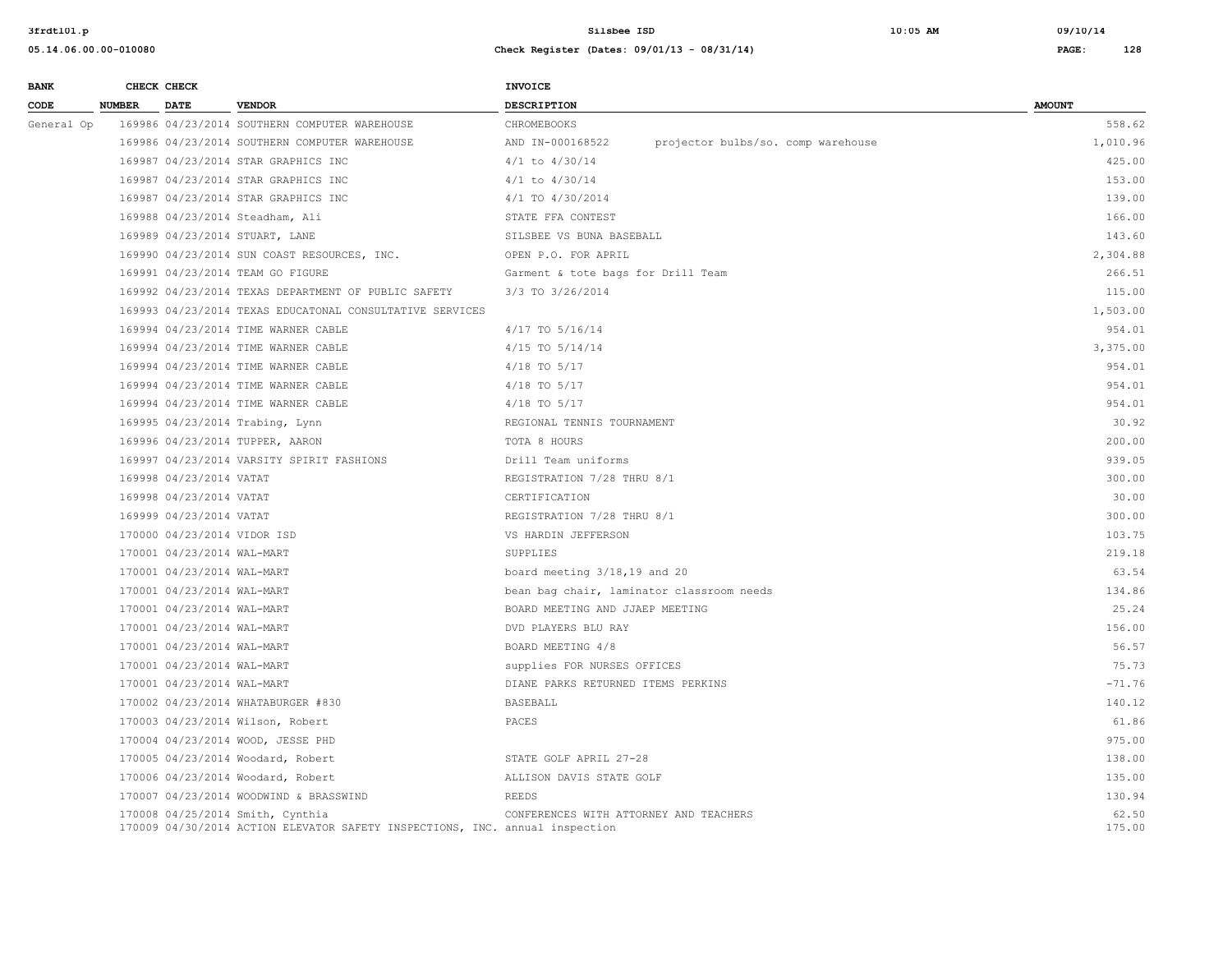| <b>BANK</b> |        | CHECK CHECK                 |                                                                                                                  | <b>INVOICE</b>                            |                                    |                 |
|-------------|--------|-----------------------------|------------------------------------------------------------------------------------------------------------------|-------------------------------------------|------------------------------------|-----------------|
| CODE        | NUMBER | <b>DATE</b>                 | <b>VENDOR</b>                                                                                                    | <b>DESCRIPTION</b>                        |                                    | <b>AMOUNT</b>   |
| General Op  |        |                             | 169986 04/23/2014 SOUTHERN COMPUTER WAREHOUSE                                                                    | CHROMEBOOKS                               |                                    | 558.62          |
|             |        |                             | 169986 04/23/2014 SOUTHERN COMPUTER WAREHOUSE                                                                    | AND IN-000168522                          | projector bulbs/so. comp warehouse | 1,010.96        |
|             |        |                             | 169987 04/23/2014 STAR GRAPHICS INC                                                                              | $4/1$ to $4/30/14$                        |                                    | 425.00          |
|             |        |                             | 169987 04/23/2014 STAR GRAPHICS INC                                                                              | $4/1$ to $4/30/14$                        |                                    | 153.00          |
|             |        |                             | 169987 04/23/2014 STAR GRAPHICS INC                                                                              | 4/1 TO 4/30/2014                          |                                    | 139.00          |
|             |        |                             | 169988 04/23/2014 Steadham, Ali                                                                                  | STATE FFA CONTEST                         |                                    | 166.00          |
|             |        |                             | 169989 04/23/2014 STUART, LANE                                                                                   | SILSBEE VS BUNA BASEBALL                  |                                    | 143.60          |
|             |        |                             | 169990 04/23/2014 SUN COAST RESOURCES, INC.                                                                      | OPEN P.O. FOR APRIL                       |                                    | 2,304.88        |
|             |        |                             | 169991 04/23/2014 TEAM GO FIGURE                                                                                 | Garment & tote bags for Drill Team        |                                    | 266.51          |
|             |        |                             | 169992 04/23/2014 TEXAS DEPARTMENT OF PUBLIC SAFETY                                                              | 3/3 TO 3/26/2014                          |                                    | 115.00          |
|             |        |                             | 169993 04/23/2014 TEXAS EDUCATONAL CONSULTATIVE SERVICES                                                         |                                           |                                    | 1,503.00        |
|             |        |                             | 169994 04/23/2014 TIME WARNER CABLE                                                                              | 4/17 TO 5/16/14                           |                                    | 954.01          |
|             |        |                             | 169994 04/23/2014 TIME WARNER CABLE                                                                              | $4/15$ TO $5/14/14$                       |                                    | 3,375.00        |
|             |        |                             | 169994 04/23/2014 TIME WARNER CABLE                                                                              | $4/18$ TO $5/17$                          |                                    | 954.01          |
|             |        |                             | 169994 04/23/2014 TIME WARNER CABLE                                                                              | $4/18$ TO $5/17$                          |                                    | 954.01          |
|             |        |                             | 169994 04/23/2014 TIME WARNER CABLE                                                                              | $4/18$ TO $5/17$                          |                                    | 954.01          |
|             |        |                             | 169995 04/23/2014 Trabing, Lynn                                                                                  | REGIONAL TENNIS TOURNAMENT                |                                    | 30.92           |
|             |        |                             | 169996 04/23/2014 TUPPER, AARON                                                                                  | TOTA 8 HOURS                              |                                    | 200.00          |
|             |        |                             | 169997 04/23/2014 VARSITY SPIRIT FASHIONS                                                                        | Drill Team uniforms                       |                                    | 939.05          |
|             |        | 169998 04/23/2014 VATAT     |                                                                                                                  | REGISTRATION 7/28 THRU 8/1                |                                    | 300.00          |
|             |        | 169998 04/23/2014 VATAT     |                                                                                                                  | CERTIFICATION                             |                                    | 30.00           |
|             |        | 169999 04/23/2014 VATAT     |                                                                                                                  | REGISTRATION 7/28 THRU 8/1                |                                    | 300.00          |
|             |        | 170000 04/23/2014 VIDOR ISD |                                                                                                                  | VS HARDIN JEFFERSON                       |                                    | 103.75          |
|             |        | 170001 04/23/2014 WAL-MART  |                                                                                                                  | <b>SUPPLIES</b>                           |                                    | 219.18          |
|             |        | 170001 04/23/2014 WAL-MART  |                                                                                                                  | board meeting 3/18,19 and 20              |                                    | 63.54           |
|             |        | 170001 04/23/2014 WAL-MART  |                                                                                                                  | bean bag chair, laminator classroom needs |                                    | 134.86          |
|             |        | 170001 04/23/2014 WAL-MART  |                                                                                                                  | BOARD MEETING AND JJAEP MEETING           |                                    | 25.24           |
|             |        | 170001 04/23/2014 WAL-MART  |                                                                                                                  | DVD PLAYERS BLU RAY                       |                                    | 156.00          |
|             |        | 170001 04/23/2014 WAL-MART  |                                                                                                                  | BOARD MEETING 4/8                         |                                    | 56.57           |
|             |        | 170001 04/23/2014 WAL-MART  |                                                                                                                  | supplies FOR NURSES OFFICES               |                                    | 75.73           |
|             |        | 170001 04/23/2014 WAL-MART  |                                                                                                                  | DIANE PARKS RETURNED ITEMS PERKINS        |                                    | $-71.76$        |
|             |        |                             | 170002 04/23/2014 WHATABURGER #830                                                                               | <b>BASEBALL</b>                           |                                    | 140.12          |
|             |        |                             | 170003 04/23/2014 Wilson, Robert                                                                                 | PACES                                     |                                    | 61.86           |
|             |        |                             | 170004 04/23/2014 WOOD, JESSE PHD                                                                                |                                           |                                    | 975.00          |
|             |        |                             | 170005 04/23/2014 Woodard, Robert                                                                                | STATE GOLF APRIL 27-28                    |                                    | 138.00          |
|             |        |                             | 170006 04/23/2014 Woodard, Robert                                                                                | ALLISON DAVIS STATE GOLF                  |                                    | 135.00          |
|             |        |                             | 170007 04/23/2014 WOODWIND & BRASSWIND                                                                           | <b>REEDS</b>                              |                                    | 130.94          |
|             |        |                             | 170008 04/25/2014 Smith, Cynthia<br>170009 04/30/2014 ACTION ELEVATOR SAFETY INSPECTIONS, INC. annual inspection | CONFERENCES WITH ATTORNEY AND TEACHERS    |                                    | 62.50<br>175.00 |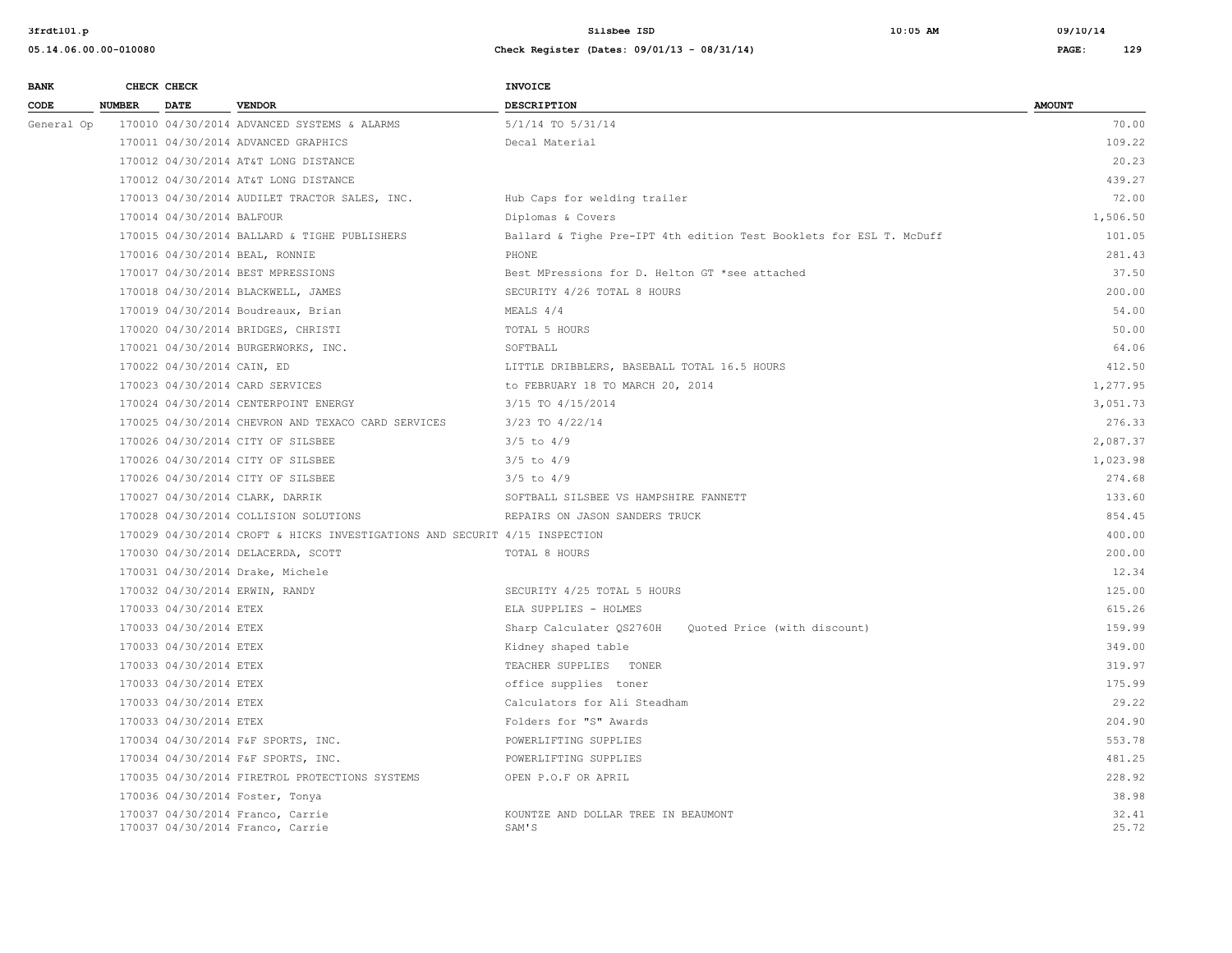| <b>BANK</b> |               | CHECK CHECK                |                                                                            | INVOICE                                                             |                |
|-------------|---------------|----------------------------|----------------------------------------------------------------------------|---------------------------------------------------------------------|----------------|
| CODE        | <b>NUMBER</b> | <b>DATE</b>                | <b>VENDOR</b>                                                              | <b>DESCRIPTION</b>                                                  | <b>AMOUNT</b>  |
| General Op  |               |                            | 170010 04/30/2014 ADVANCED SYSTEMS & ALARMS                                | 5/1/14 TO 5/31/14                                                   | 70.00          |
|             |               |                            | 170011 04/30/2014 ADVANCED GRAPHICS                                        | Decal Material                                                      | 109.22         |
|             |               |                            | 170012 04/30/2014 AT&T LONG DISTANCE                                       |                                                                     | 20.23          |
|             |               |                            | 170012 04/30/2014 AT&T LONG DISTANCE                                       |                                                                     | 439.27         |
|             |               |                            | 170013 04/30/2014 AUDILET TRACTOR SALES, INC.                              | Hub Caps for welding trailer                                        | 72.00          |
|             |               | 170014 04/30/2014 BALFOUR  |                                                                            | Diplomas & Covers                                                   | 1,506.50       |
|             |               |                            | 170015 04/30/2014 BALLARD & TIGHE PUBLISHERS                               | Ballard & Tighe Pre-IPT 4th edition Test Booklets for ESL T. McDuff | 101.05         |
|             |               |                            | 170016 04/30/2014 BEAL, RONNIE                                             | PHONE                                                               | 281.43         |
|             |               |                            | 170017 04/30/2014 BEST MPRESSIONS                                          | Best MPressions for D. Helton GT *see attached                      | 37.50          |
|             |               |                            | 170018 04/30/2014 BLACKWELL, JAMES                                         | SECURITY 4/26 TOTAL 8 HOURS                                         | 200.00         |
|             |               |                            | 170019 04/30/2014 Boudreaux, Brian                                         | MEALS 4/4                                                           | 54.00          |
|             |               |                            | 170020 04/30/2014 BRIDGES, CHRISTI                                         | TOTAL 5 HOURS                                                       | 50.00          |
|             |               |                            | 170021 04/30/2014 BURGERWORKS, INC.                                        | SOFTBALL                                                            | 64.06          |
|             |               | 170022 04/30/2014 CAIN, ED |                                                                            | LITTLE DRIBBLERS, BASEBALL TOTAL 16.5 HOURS                         | 412.50         |
|             |               |                            | 170023 04/30/2014 CARD SERVICES                                            | to FEBRUARY 18 TO MARCH 20, 2014                                    | 1,277.95       |
|             |               |                            | 170024 04/30/2014 CENTERPOINT ENERGY                                       | 3/15 TO 4/15/2014                                                   | 3,051.73       |
|             |               |                            | 170025 04/30/2014 CHEVRON AND TEXACO CARD SERVICES                         | 3/23 TO 4/22/14                                                     | 276.33         |
|             |               |                            | 170026 04/30/2014 CITY OF SILSBEE                                          | $3/5$ to $4/9$                                                      | 2,087.37       |
|             |               |                            | 170026 04/30/2014 CITY OF SILSBEE                                          | $3/5$ to $4/9$                                                      | 1,023.98       |
|             |               |                            | 170026 04/30/2014 CITY OF SILSBEE                                          | $3/5$ to $4/9$                                                      | 274.68         |
|             |               |                            | 170027 04/30/2014 CLARK, DARRIK                                            | SOFTBALL SILSBEE VS HAMPSHIRE FANNETT                               | 133.60         |
|             |               |                            | 170028 04/30/2014 COLLISION SOLUTIONS                                      | REPAIRS ON JASON SANDERS TRUCK                                      | 854.45         |
|             |               |                            | 170029 04/30/2014 CROFT & HICKS INVESTIGATIONS AND SECURIT 4/15 INSPECTION |                                                                     | 400.00         |
|             |               |                            | 170030 04/30/2014 DELACERDA, SCOTT                                         | TOTAL 8 HOURS                                                       | 200.00         |
|             |               |                            | 170031 04/30/2014 Drake, Michele                                           |                                                                     | 12.34          |
|             |               |                            | 170032 04/30/2014 ERWIN, RANDY                                             | SECURITY 4/25 TOTAL 5 HOURS                                         | 125.00         |
|             |               | 170033 04/30/2014 ETEX     |                                                                            | ELA SUPPLIES - HOLMES                                               | 615.26         |
|             |               | 170033 04/30/2014 ETEX     |                                                                            | Sharp Calculater QS2760H<br>Quoted Price (with discount)            | 159.99         |
|             |               | 170033 04/30/2014 ETEX     |                                                                            | Kidney shaped table                                                 | 349.00         |
|             |               | 170033 04/30/2014 ETEX     |                                                                            | TEACHER SUPPLIES TONER                                              | 319.97         |
|             |               | 170033 04/30/2014 ETEX     |                                                                            | office supplies toner                                               | 175.99         |
|             |               | 170033 04/30/2014 ETEX     |                                                                            | Calculators for Ali Steadham                                        | 29.22          |
|             |               | 170033 04/30/2014 ETEX     |                                                                            | Folders for "S" Awards                                              | 204.90         |
|             |               |                            | 170034 04/30/2014 F&F SPORTS, INC.                                         | POWERLIFTING SUPPLIES                                               | 553.78         |
|             |               |                            | 170034 04/30/2014 F&F SPORTS, INC.                                         | POWERLIFTING SUPPLIES                                               | 481.25         |
|             |               |                            | 170035 04/30/2014 FIRETROL PROTECTIONS SYSTEMS                             | OPEN P.O.F OR APRIL                                                 | 228.92         |
|             |               |                            | 170036 04/30/2014 Foster, Tonya                                            |                                                                     | 38.98          |
|             |               |                            | 170037 04/30/2014 Franco, Carrie<br>170037 04/30/2014 Franco, Carrie       | KOUNTZE AND DOLLAR TREE IN BEAUMONT<br>SAM'S                        | 32.41<br>25.72 |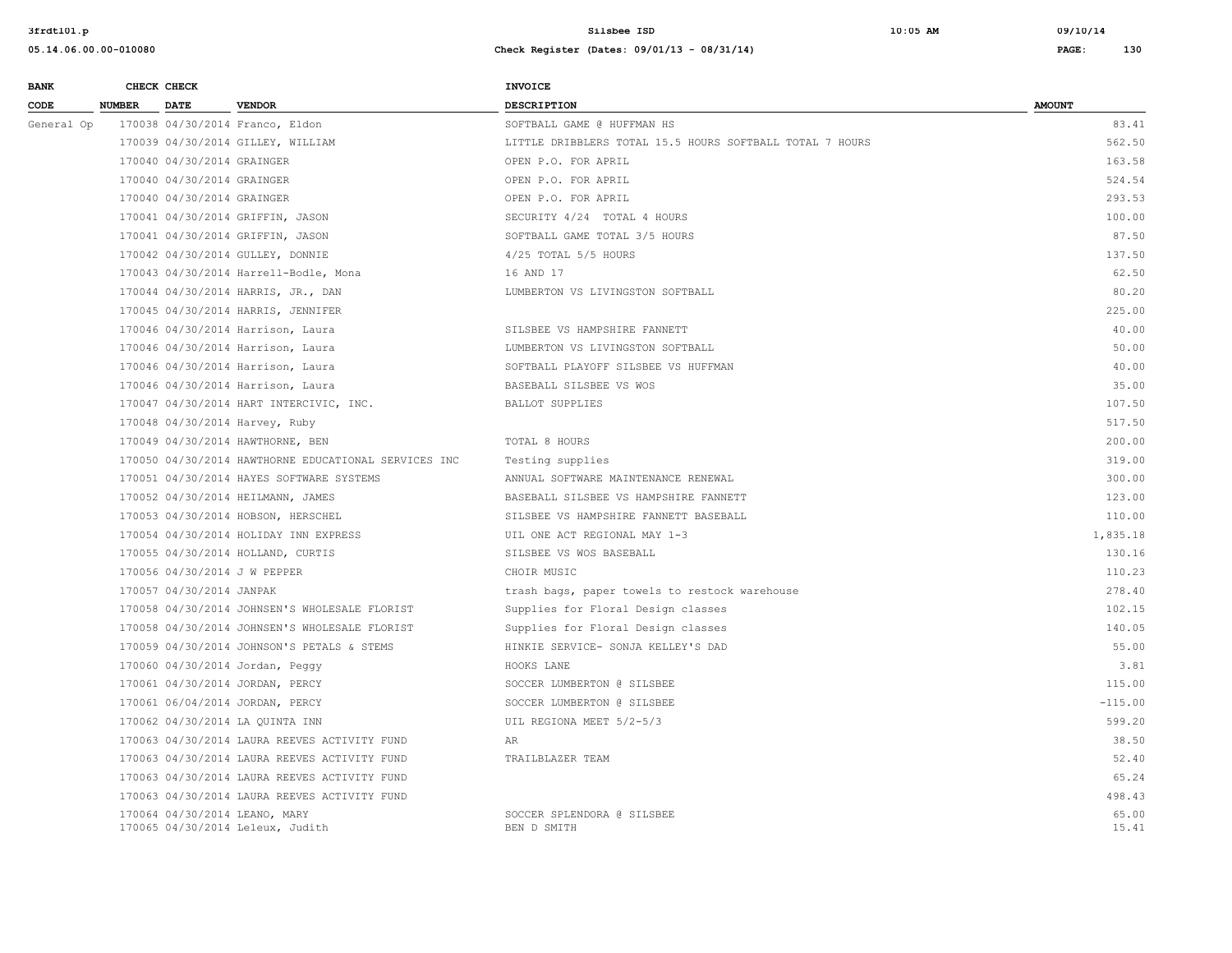| <b>BANK</b> |               | CHECK CHECK                |                                                                   | <b>INVOICE</b>                                           |                |
|-------------|---------------|----------------------------|-------------------------------------------------------------------|----------------------------------------------------------|----------------|
| CODE        | <b>NUMBER</b> | <b>DATE</b>                | <b>VENDOR</b>                                                     | <b>DESCRIPTION</b>                                       | <b>AMOUNT</b>  |
| General Op  |               |                            | 170038 04/30/2014 Franco, Eldon                                   | SOFTBALL GAME @ HUFFMAN HS                               | 83.41          |
|             |               |                            | 170039 04/30/2014 GILLEY, WILLIAM                                 | LITTLE DRIBBLERS TOTAL 15.5 HOURS SOFTBALL TOTAL 7 HOURS | 562.50         |
|             |               | 170040 04/30/2014 GRAINGER |                                                                   | OPEN P.O. FOR APRIL                                      | 163.58         |
|             |               | 170040 04/30/2014 GRAINGER |                                                                   | OPEN P.O. FOR APRIL                                      | 524.54         |
|             |               | 170040 04/30/2014 GRAINGER |                                                                   | OPEN P.O. FOR APRIL                                      | 293.53         |
|             |               |                            | 170041 04/30/2014 GRIFFIN, JASON                                  | SECURITY 4/24 TOTAL 4 HOURS                              | 100.00         |
|             |               |                            | 170041 04/30/2014 GRIFFIN, JASON                                  | SOFTBALL GAME TOTAL 3/5 HOURS                            | 87.50          |
|             |               |                            | 170042 04/30/2014 GULLEY, DONNIE                                  | 4/25 TOTAL 5/5 HOURS                                     | 137.50         |
|             |               |                            | 170043 04/30/2014 Harrell-Bodle, Mona                             | 16 AND 17                                                | 62.50          |
|             |               |                            | 170044 04/30/2014 HARRIS, JR., DAN                                | LUMBERTON VS LIVINGSTON SOFTBALL                         | 80.20          |
|             |               |                            | 170045 04/30/2014 HARRIS, JENNIFER                                |                                                          | 225.00         |
|             |               |                            | 170046 04/30/2014 Harrison, Laura                                 | SILSBEE VS HAMPSHIRE FANNETT                             | 40.00          |
|             |               |                            | 170046 04/30/2014 Harrison, Laura                                 | LUMBERTON VS LIVINGSTON SOFTBALL                         | 50.00          |
|             |               |                            | 170046 04/30/2014 Harrison, Laura                                 | SOFTBALL PLAYOFF SILSBEE VS HUFFMAN                      | 40.00          |
|             |               |                            | 170046 04/30/2014 Harrison, Laura                                 | BASEBALL SILSBEE VS WOS                                  | 35.00          |
|             |               |                            | 170047 04/30/2014 HART INTERCIVIC, INC.                           | <b>BALLOT SUPPLIES</b>                                   | 107.50         |
|             |               |                            | 170048 04/30/2014 Harvey, Ruby                                    |                                                          | 517.50         |
|             |               |                            | 170049 04/30/2014 HAWTHORNE, BEN                                  | TOTAL 8 HOURS                                            | 200.00         |
|             |               |                            | 170050 04/30/2014 HAWTHORNE EDUCATIONAL SERVICES INC              | Testing supplies                                         | 319.00         |
|             |               |                            | 170051 04/30/2014 HAYES SOFTWARE SYSTEMS                          | ANNUAL SOFTWARE MAINTENANCE RENEWAL                      | 300.00         |
|             |               |                            | 170052 04/30/2014 HEILMANN, JAMES                                 | BASEBALL SILSBEE VS HAMPSHIRE FANNETT                    | 123.00         |
|             |               |                            | 170053 04/30/2014 HOBSON, HERSCHEL                                | SILSBEE VS HAMPSHIRE FANNETT BASEBALL                    | 110.00         |
|             |               |                            | 170054 04/30/2014 HOLIDAY INN EXPRESS                             | UIL ONE ACT REGIONAL MAY 1-3                             | 1,835.18       |
|             |               |                            | 170055 04/30/2014 HOLLAND, CURTIS                                 | SILSBEE VS WOS BASEBALL                                  | 130.16         |
|             |               |                            | 170056 04/30/2014 J W PEPPER                                      | CHOIR MUSIC                                              | 110.23         |
|             |               | 170057 04/30/2014 JANPAK   |                                                                   | trash bags, paper towels to restock warehouse            | 278.40         |
|             |               |                            | 170058 04/30/2014 JOHNSEN'S WHOLESALE FLORIST                     | Supplies for Floral Design classes                       | 102.15         |
|             |               |                            | 170058 04/30/2014 JOHNSEN'S WHOLESALE FLORIST                     | Supplies for Floral Design classes                       | 140.05         |
|             |               |                            | 170059 04/30/2014 JOHNSON'S PETALS & STEMS                        | HINKIE SERVICE- SONJA KELLEY'S DAD                       | 55.00          |
|             |               |                            | 170060 04/30/2014 Jordan, Peggy                                   | HOOKS LANE                                               | 3.81           |
|             |               |                            | 170061 04/30/2014 JORDAN, PERCY                                   | SOCCER LUMBERTON @ SILSBEE                               | 115.00         |
|             |               |                            | 170061 06/04/2014 JORDAN, PERCY                                   | SOCCER LUMBERTON @ SILSBEE                               | $-115.00$      |
|             |               |                            | 170062 04/30/2014 LA QUINTA INN                                   | UIL REGIONA MEET 5/2-5/3                                 | 599.20         |
|             |               |                            | 170063 04/30/2014 LAURA REEVES ACTIVITY FUND                      | AR                                                       | 38.50          |
|             |               |                            | 170063 04/30/2014 LAURA REEVES ACTIVITY FUND                      | TRAILBLAZER TEAM                                         | 52.40          |
|             |               |                            | 170063 04/30/2014 LAURA REEVES ACTIVITY FUND                      |                                                          | 65.24          |
|             |               |                            | 170063 04/30/2014 LAURA REEVES ACTIVITY FUND                      |                                                          | 498.43         |
|             |               |                            | 170064 04/30/2014 LEANO, MARY<br>170065 04/30/2014 Leleux, Judith | SOCCER SPLENDORA @ SILSBEE<br>BEN D SMITH                | 65.00<br>15.41 |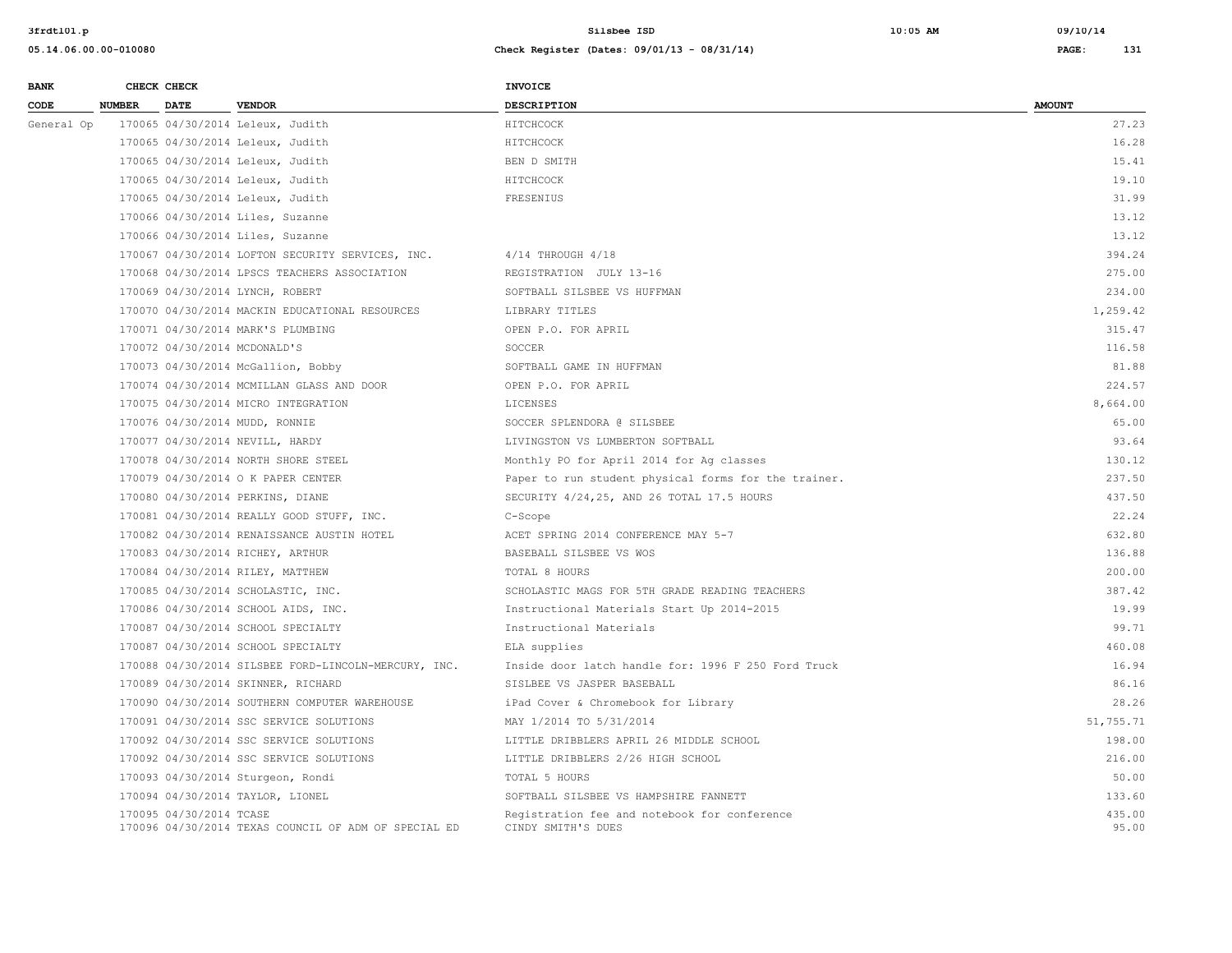| <b>BANK</b> |               | CHECK CHECK             |                                                      | INVOICE                                                            |                 |
|-------------|---------------|-------------------------|------------------------------------------------------|--------------------------------------------------------------------|-----------------|
| CODE        | <b>NUMBER</b> | <b>DATE</b>             | <b>VENDOR</b>                                        | <b>DESCRIPTION</b>                                                 | <b>AMOUNT</b>   |
| General Op  |               |                         | 170065 04/30/2014 Leleux, Judith                     | HITCHCOCK                                                          | 27.23           |
|             |               |                         | 170065 04/30/2014 Leleux, Judith                     | HITCHCOCK                                                          | 16.28           |
|             |               |                         | 170065 04/30/2014 Leleux, Judith                     | BEN D SMITH                                                        | 15.41           |
|             |               |                         | 170065 04/30/2014 Leleux, Judith                     | HITCHCOCK                                                          | 19.10           |
|             |               |                         | 170065 04/30/2014 Leleux, Judith                     | FRESENIUS                                                          | 31.99           |
|             |               |                         | 170066 04/30/2014 Liles, Suzanne                     |                                                                    | 13.12           |
|             |               |                         | 170066 04/30/2014 Liles, Suzanne                     |                                                                    | 13.12           |
|             |               |                         | 170067 04/30/2014 LOFTON SECURITY SERVICES, INC.     | $4/14$ THROUGH $4/18$                                              | 394.24          |
|             |               |                         | 170068 04/30/2014 LPSCS TEACHERS ASSOCIATION         | REGISTRATION JULY 13-16                                            | 275.00          |
|             |               |                         | 170069 04/30/2014 LYNCH, ROBERT                      | SOFTBALL SILSBEE VS HUFFMAN                                        | 234.00          |
|             |               |                         | 170070 04/30/2014 MACKIN EDUCATIONAL RESOURCES       | LIBRARY TITLES                                                     | 1,259.42        |
|             |               |                         | 170071 04/30/2014 MARK'S PLUMBING                    | OPEN P.O. FOR APRIL                                                | 315.47          |
|             |               |                         | 170072 04/30/2014 MCDONALD'S                         | SOCCER                                                             | 116.58          |
|             |               |                         | 170073 04/30/2014 McGallion, Bobby                   | SOFTBALL GAME IN HUFFMAN                                           | 81.88           |
|             |               |                         | 170074 04/30/2014 MCMILLAN GLASS AND DOOR            | OPEN P.O. FOR APRIL                                                | 224.57          |
|             |               |                         | 170075 04/30/2014 MICRO INTEGRATION                  | LICENSES                                                           | 8,664.00        |
|             |               |                         | 170076 04/30/2014 MUDD, RONNIE                       | SOCCER SPLENDORA @ SILSBEE                                         | 65.00           |
|             |               |                         | 170077 04/30/2014 NEVILL, HARDY                      | LIVINGSTON VS LUMBERTON SOFTBALL                                   | 93.64           |
|             |               |                         | 170078 04/30/2014 NORTH SHORE STEEL                  | Monthly PO for April 2014 for Ag classes                           | 130.12          |
|             |               |                         | 170079 04/30/2014 O K PAPER CENTER                   | Paper to run student physical forms for the trainer.               | 237.50          |
|             |               |                         | 170080 04/30/2014 PERKINS, DIANE                     | SECURITY 4/24,25, AND 26 TOTAL 17.5 HOURS                          | 437.50          |
|             |               |                         | 170081 04/30/2014 REALLY GOOD STUFF, INC.            | C-Scope                                                            | 22.24           |
|             |               |                         | 170082 04/30/2014 RENAISSANCE AUSTIN HOTEL           | ACET SPRING 2014 CONFERENCE MAY 5-7                                | 632.80          |
|             |               |                         | 170083 04/30/2014 RICHEY, ARTHUR                     | BASEBALL SILSBEE VS WOS                                            | 136.88          |
|             |               |                         | 170084 04/30/2014 RILEY, MATTHEW                     | TOTAL 8 HOURS                                                      | 200.00          |
|             |               |                         | 170085 04/30/2014 SCHOLASTIC, INC.                   | SCHOLASTIC MAGS FOR 5TH GRADE READING TEACHERS                     | 387.42          |
|             |               |                         | 170086 04/30/2014 SCHOOL AIDS, INC.                  | Instructional Materials Start Up 2014-2015                         | 19.99           |
|             |               |                         | 170087 04/30/2014 SCHOOL SPECIALTY                   | Instructional Materials                                            | 99.71           |
|             |               |                         | 170087 04/30/2014 SCHOOL SPECIALTY                   | ELA supplies                                                       | 460.08          |
|             |               |                         | 170088 04/30/2014 SILSBEE FORD-LINCOLN-MERCURY, INC. | Inside door latch handle for: 1996 F 250 Ford Truck                | 16.94           |
|             |               |                         | 170089 04/30/2014 SKINNER, RICHARD                   | SISLBEE VS JASPER BASEBALL                                         | 86.16           |
|             |               |                         | 170090 04/30/2014 SOUTHERN COMPUTER WAREHOUSE        | iPad Cover & Chromebook for Library                                | 28.26           |
|             |               |                         | 170091 04/30/2014 SSC SERVICE SOLUTIONS              | MAY 1/2014 TO 5/31/2014                                            | 51,755.71       |
|             |               |                         | 170092 04/30/2014 SSC SERVICE SOLUTIONS              | LITTLE DRIBBLERS APRIL 26 MIDDLE SCHOOL                            | 198.00          |
|             |               |                         | 170092 04/30/2014 SSC SERVICE SOLUTIONS              | LITTLE DRIBBLERS 2/26 HIGH SCHOOL                                  | 216.00          |
|             |               |                         | 170093 04/30/2014 Sturgeon, Rondi                    | TOTAL 5 HOURS                                                      | 50.00           |
|             |               |                         | 170094 04/30/2014 TAYLOR, LIONEL                     | SOFTBALL SILSBEE VS HAMPSHIRE FANNETT                              | 133.60          |
|             |               | 170095 04/30/2014 TCASE | 170096 04/30/2014 TEXAS COUNCIL OF ADM OF SPECIAL ED | Registration fee and notebook for conference<br>CINDY SMITH'S DUES | 435.00<br>95.00 |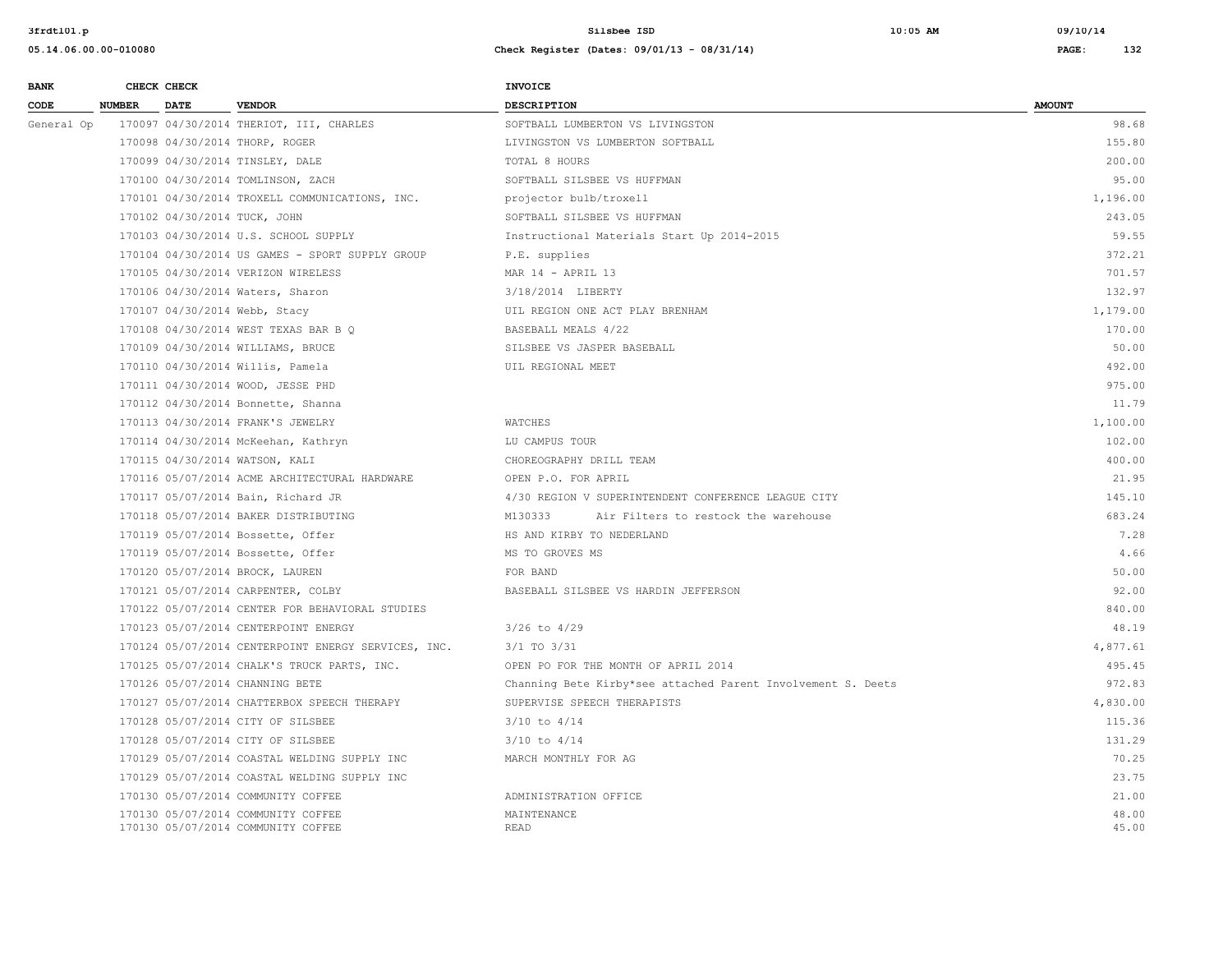| <b>BANK</b> | CHECK CHECK   |             |                                                                          | INVOICE                                                      |                |
|-------------|---------------|-------------|--------------------------------------------------------------------------|--------------------------------------------------------------|----------------|
| CODE        | <b>NUMBER</b> | <b>DATE</b> | <b>VENDOR</b>                                                            | <b>DESCRIPTION</b>                                           | <b>AMOUNT</b>  |
| General Op  |               |             | 170097 04/30/2014 THERIOT, III, CHARLES                                  | SOFTBALL LUMBERTON VS LIVINGSTON                             | 98.68          |
|             |               |             | 170098 04/30/2014 THORP, ROGER                                           | LIVINGSTON VS LUMBERTON SOFTBALL                             | 155.80         |
|             |               |             | 170099 04/30/2014 TINSLEY, DALE                                          | TOTAL 8 HOURS                                                | 200.00         |
|             |               |             | 170100 04/30/2014 TOMLINSON, ZACH                                        | SOFTBALL SILSBEE VS HUFFMAN                                  | 95.00          |
|             |               |             | 170101 04/30/2014 TROXELL COMMUNICATIONS, INC.                           | projector bulb/troxell                                       | 1,196.00       |
|             |               |             | 170102 04/30/2014 TUCK, JOHN                                             | SOFTBALL SILSBEE VS HUFFMAN                                  | 243.05         |
|             |               |             | 170103 04/30/2014 U.S. SCHOOL SUPPLY                                     | Instructional Materials Start Up 2014-2015                   | 59.55          |
|             |               |             | 170104 04/30/2014 US GAMES - SPORT SUPPLY GROUP                          | P.E. supplies                                                | 372.21         |
|             |               |             | 170105 04/30/2014 VERIZON WIRELESS                                       | MAR 14 - APRIL 13                                            | 701.57         |
|             |               |             | 170106 04/30/2014 Waters, Sharon                                         | 3/18/2014 LIBERTY                                            | 132.97         |
|             |               |             | 170107 04/30/2014 Webb, Stacy                                            | UIL REGION ONE ACT PLAY BRENHAM                              | 1,179.00       |
|             |               |             | 170108 04/30/2014 WEST TEXAS BAR B Q                                     | BASEBALL MEALS 4/22                                          | 170.00         |
|             |               |             | 170109 04/30/2014 WILLIAMS, BRUCE                                        | SILSBEE VS JASPER BASEBALL                                   | 50.00          |
|             |               |             | 170110 04/30/2014 Willis, Pamela                                         | UIL REGIONAL MEET                                            | 492.00         |
|             |               |             | 170111 04/30/2014 WOOD, JESSE PHD                                        |                                                              | 975.00         |
|             |               |             | 170112 04/30/2014 Bonnette, Shanna                                       |                                                              | 11.79          |
|             |               |             | 170113 04/30/2014 FRANK'S JEWELRY                                        | WATCHES                                                      | 1,100.00       |
|             |               |             | 170114 04/30/2014 McKeehan, Kathryn                                      | LU CAMPUS TOUR                                               | 102.00         |
|             |               |             | 170115 04/30/2014 WATSON, KALI                                           | CHOREOGRAPHY DRILL TEAM                                      | 400.00         |
|             |               |             | 170116 05/07/2014 ACME ARCHITECTURAL HARDWARE                            | OPEN P.O. FOR APRIL                                          | 21.95          |
|             |               |             | 170117 05/07/2014 Bain, Richard JR                                       | 4/30 REGION V SUPERINTENDENT CONFERENCE LEAGUE CITY          | 145.10         |
|             |               |             | 170118 05/07/2014 BAKER DISTRIBUTING                                     | M130333<br>Air Filters to restock the warehouse              | 683.24         |
|             |               |             | 170119 05/07/2014 Bossette, Offer                                        | HS AND KIRBY TO NEDERLAND                                    | 7.28           |
|             |               |             | 170119 05/07/2014 Bossette, Offer                                        | MS TO GROVES MS                                              | 4.66           |
|             |               |             | 170120 05/07/2014 BROCK, LAUREN                                          | FOR BAND                                                     | 50.00          |
|             |               |             | 170121 05/07/2014 CARPENTER, COLBY                                       | BASEBALL SILSBEE VS HARDIN JEFFERSON                         | 92.00          |
|             |               |             | 170122 05/07/2014 CENTER FOR BEHAVIORAL STUDIES                          |                                                              | 840.00         |
|             |               |             | 170123 05/07/2014 CENTERPOINT ENERGY                                     | $3/26$ to $4/29$                                             | 48.19          |
|             |               |             | 170124 05/07/2014 CENTERPOINT ENERGY SERVICES, INC.                      | 3/1 TO 3/31                                                  | 4,877.61       |
|             |               |             | 170125 05/07/2014 CHALK'S TRUCK PARTS, INC.                              | OPEN PO FOR THE MONTH OF APRIL 2014                          | 495.45         |
|             |               |             | 170126 05/07/2014 CHANNING BETE                                          | Channing Bete Kirby*see attached Parent Involvement S. Deets | 972.83         |
|             |               |             | 170127 05/07/2014 CHATTERBOX SPEECH THERAPY                              | SUPERVISE SPEECH THERAPISTS                                  | 4,830.00       |
|             |               |             | 170128 05/07/2014 CITY OF SILSBEE                                        | $3/10$ to $4/14$                                             | 115.36         |
|             |               |             | 170128 05/07/2014 CITY OF SILSBEE                                        | $3/10$ to $4/14$                                             | 131.29         |
|             |               |             | 170129 05/07/2014 COASTAL WELDING SUPPLY INC                             | MARCH MONTHLY FOR AG                                         | 70.25          |
|             |               |             | 170129 05/07/2014 COASTAL WELDING SUPPLY INC                             |                                                              | 23.75          |
|             |               |             | 170130 05/07/2014 COMMUNITY COFFEE                                       | ADMINISTRATION OFFICE                                        | 21.00          |
|             |               |             | 170130 05/07/2014 COMMUNITY COFFEE<br>170130 05/07/2014 COMMUNITY COFFEE | MAINTENANCE<br><b>READ</b>                                   | 48.00<br>45.00 |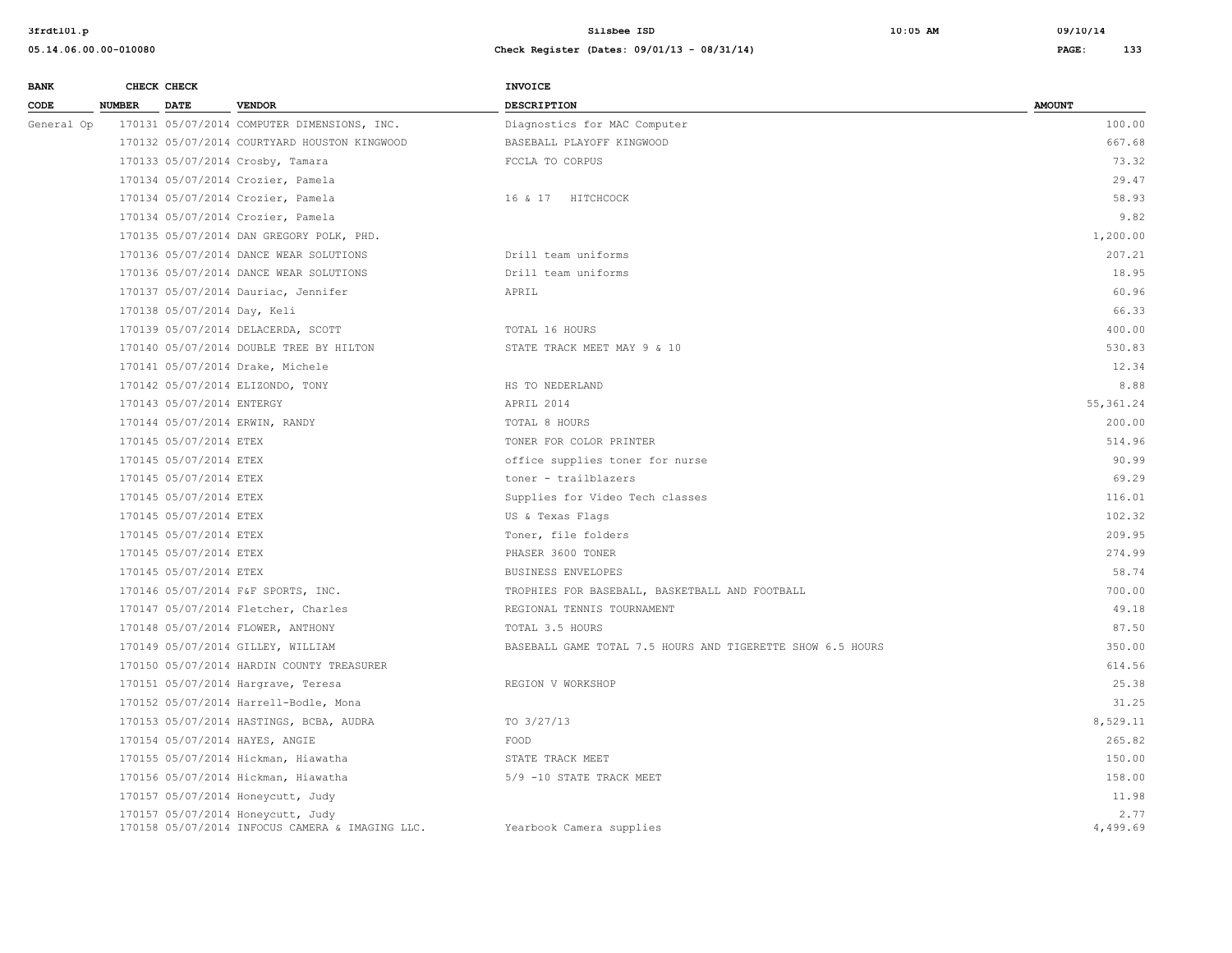**3frdtl01.p Silsbee ISD 10:05 AM 09/10/14**

| <b>BANK</b> |               | CHECK CHECK                 |                                                                                      | <b>INVOICE</b>                                             |                  |
|-------------|---------------|-----------------------------|--------------------------------------------------------------------------------------|------------------------------------------------------------|------------------|
| CODE        | <b>NUMBER</b> | <b>DATE</b>                 | <b>VENDOR</b>                                                                        | <b>DESCRIPTION</b>                                         | <b>AMOUNT</b>    |
| General Op  |               |                             | 170131 05/07/2014 COMPUTER DIMENSIONS, INC.                                          | Diagnostics for MAC Computer                               | 100.00           |
|             |               |                             | 170132 05/07/2014 COURTYARD HOUSTON KINGWOOD                                         | BASEBALL PLAYOFF KINGWOOD                                  | 667.68           |
|             |               |                             | 170133 05/07/2014 Crosby, Tamara                                                     | FCCLA TO CORPUS                                            | 73.32            |
|             |               |                             | 170134 05/07/2014 Crozier, Pamela                                                    |                                                            | 29.47            |
|             |               |                             | 170134 05/07/2014 Crozier, Pamela                                                    | 16 & 17 HITCHCOCK                                          | 58.93            |
|             |               |                             | 170134 05/07/2014 Crozier, Pamela                                                    |                                                            | 9.82             |
|             |               |                             | 170135 05/07/2014 DAN GREGORY POLK, PHD.                                             |                                                            | 1,200.00         |
|             |               |                             | 170136 05/07/2014 DANCE WEAR SOLUTIONS                                               | Drill team uniforms                                        | 207.21           |
|             |               |                             | 170136 05/07/2014 DANCE WEAR SOLUTIONS                                               | Drill team uniforms                                        | 18.95            |
|             |               |                             | 170137 05/07/2014 Dauriac, Jennifer                                                  | APRIL                                                      | 60.96            |
|             |               | 170138 05/07/2014 Day, Keli |                                                                                      |                                                            | 66.33            |
|             |               |                             | 170139 05/07/2014 DELACERDA, SCOTT                                                   | TOTAL 16 HOURS                                             | 400.00           |
|             |               |                             | 170140 05/07/2014 DOUBLE TREE BY HILTON                                              | STATE TRACK MEET MAY 9 & 10                                | 530.83           |
|             |               |                             | 170141 05/07/2014 Drake, Michele                                                     |                                                            | 12.34            |
|             |               |                             | 170142 05/07/2014 ELIZONDO, TONY                                                     | HS TO NEDERLAND                                            | 8.88             |
|             |               | 170143 05/07/2014 ENTERGY   |                                                                                      | APRIL 2014                                                 | 55, 361.24       |
|             |               |                             | 170144 05/07/2014 ERWIN, RANDY                                                       | TOTAL 8 HOURS                                              | 200.00           |
|             |               | 170145 05/07/2014 ETEX      |                                                                                      | TONER FOR COLOR PRINTER                                    | 514.96           |
|             |               | 170145 05/07/2014 ETEX      |                                                                                      | office supplies toner for nurse                            | 90.99            |
|             |               | 170145 05/07/2014 ETEX      |                                                                                      | toner - trailblazers                                       | 69.29            |
|             |               | 170145 05/07/2014 ETEX      |                                                                                      | Supplies for Video Tech classes                            | 116.01           |
|             |               | 170145 05/07/2014 ETEX      |                                                                                      | US & Texas Flags                                           | 102.32           |
|             |               | 170145 05/07/2014 ETEX      |                                                                                      | Toner, file folders                                        | 209.95           |
|             |               | 170145 05/07/2014 ETEX      |                                                                                      | PHASER 3600 TONER                                          | 274.99           |
|             |               | 170145 05/07/2014 ETEX      |                                                                                      | <b>BUSINESS ENVELOPES</b>                                  | 58.74            |
|             |               |                             | 170146 05/07/2014 F&F SPORTS, INC.                                                   | TROPHIES FOR BASEBALL, BASKETBALL AND FOOTBALL             | 700.00           |
|             |               |                             | 170147 05/07/2014 Fletcher, Charles                                                  | REGIONAL TENNIS TOURNAMENT                                 | 49.18            |
|             |               |                             | 170148 05/07/2014 FLOWER, ANTHONY                                                    | TOTAL 3.5 HOURS                                            | 87.50            |
|             |               |                             | 170149 05/07/2014 GILLEY, WILLIAM                                                    | BASEBALL GAME TOTAL 7.5 HOURS AND TIGERETTE SHOW 6.5 HOURS | 350.00           |
|             |               |                             | 170150 05/07/2014 HARDIN COUNTY TREASURER                                            |                                                            | 614.56           |
|             |               |                             | 170151 05/07/2014 Hargrave, Teresa                                                   | REGION V WORKSHOP                                          | 25.38            |
|             |               |                             | 170152 05/07/2014 Harrell-Bodle, Mona                                                |                                                            | 31.25            |
|             |               |                             | 170153 05/07/2014 HASTINGS, BCBA, AUDRA                                              | TO 3/27/13                                                 | 8,529.11         |
|             |               |                             | 170154 05/07/2014 HAYES, ANGIE                                                       | FOOD                                                       | 265.82           |
|             |               |                             | 170155 05/07/2014 Hickman, Hiawatha                                                  | STATE TRACK MEET                                           | 150.00           |
|             |               |                             | 170156 05/07/2014 Hickman, Hiawatha                                                  | 5/9 -10 STATE TRACK MEET                                   | 158.00           |
|             |               |                             | 170157 05/07/2014 Honeycutt, Judy                                                    |                                                            | 11.98            |
|             |               |                             | 170157 05/07/2014 Honeycutt, Judy<br>170158 05/07/2014 INFOCUS CAMERA & IMAGING LLC. | Yearbook Camera supplies                                   | 2.77<br>4,499.69 |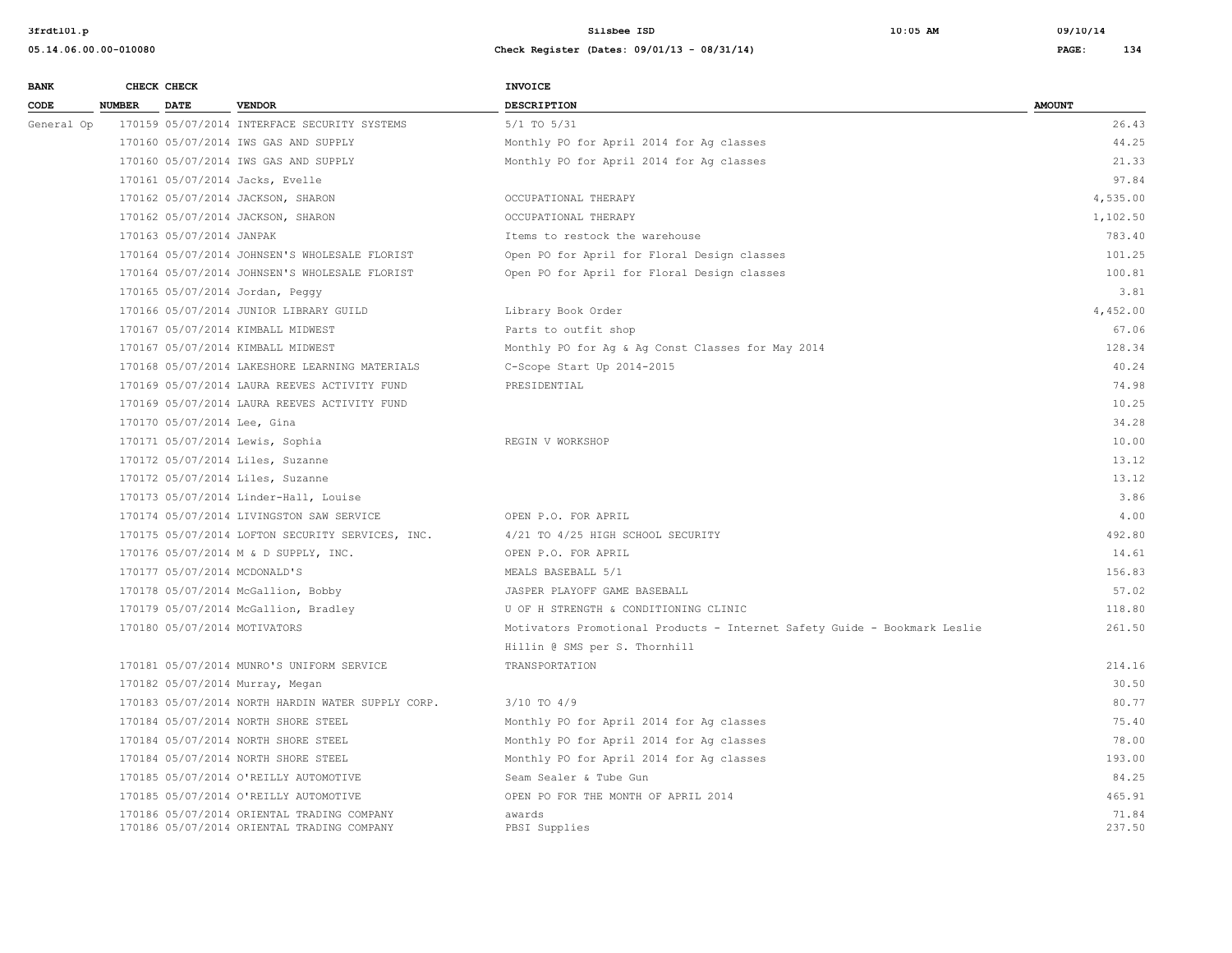| <b>BANK</b> |               | CHECK CHECK              |                                                   | <b>INVOICE</b>                                                            |               |
|-------------|---------------|--------------------------|---------------------------------------------------|---------------------------------------------------------------------------|---------------|
| CODE        | <b>NUMBER</b> | <b>DATE</b>              | <b>VENDOR</b>                                     | DESCRIPTION                                                               | <b>AMOUNT</b> |
| General Op  |               |                          | 170159 05/07/2014 INTERFACE SECURITY SYSTEMS      | $5/1$ TO $5/31$                                                           | 26.43         |
|             |               |                          | 170160 05/07/2014 IWS GAS AND SUPPLY              | Monthly PO for April 2014 for Ag classes                                  | 44.25         |
|             |               |                          | 170160 05/07/2014 IWS GAS AND SUPPLY              | Monthly PO for April 2014 for Aq classes                                  | 21.33         |
|             |               |                          | 170161 05/07/2014 Jacks, Evelle                   |                                                                           | 97.84         |
|             |               |                          | 170162 05/07/2014 JACKSON, SHARON                 | OCCUPATIONAL THERAPY                                                      | 4,535.00      |
|             |               |                          | 170162 05/07/2014 JACKSON, SHARON                 | OCCUPATIONAL THERAPY                                                      | 1,102.50      |
|             |               | 170163 05/07/2014 JANPAK |                                                   | Items to restock the warehouse                                            | 783.40        |
|             |               |                          | 170164 05/07/2014 JOHNSEN'S WHOLESALE FLORIST     | Open PO for April for Floral Design classes                               | 101.25        |
|             |               |                          | 170164 05/07/2014 JOHNSEN'S WHOLESALE FLORIST     | Open PO for April for Floral Design classes                               | 100.81        |
|             |               |                          | 170165 05/07/2014 Jordan, Peggy                   |                                                                           | 3.81          |
|             |               |                          | 170166 05/07/2014 JUNIOR LIBRARY GUILD            | Library Book Order                                                        | 4,452.00      |
|             |               |                          | 170167 05/07/2014 KIMBALL MIDWEST                 | Parts to outfit shop                                                      | 67.06         |
|             |               |                          | 170167 05/07/2014 KIMBALL MIDWEST                 | Monthly PO for Ag & Ag Const Classes for May 2014                         | 128.34        |
|             |               |                          | 170168 05/07/2014 LAKESHORE LEARNING MATERIALS    | C-Scope Start Up 2014-2015                                                | 40.24         |
|             |               |                          | 170169 05/07/2014 LAURA REEVES ACTIVITY FUND      | PRESIDENTIAL                                                              | 74.98         |
|             |               |                          | 170169 05/07/2014 LAURA REEVES ACTIVITY FUND      |                                                                           | 10.25         |
|             |               |                          | 170170 05/07/2014 Lee, Gina                       |                                                                           | 34.28         |
|             |               |                          | 170171 05/07/2014 Lewis, Sophia                   | REGIN V WORKSHOP                                                          | 10.00         |
|             |               |                          | 170172 05/07/2014 Liles, Suzanne                  |                                                                           | 13.12         |
|             |               |                          | 170172 05/07/2014 Liles, Suzanne                  |                                                                           | 13.12         |
|             |               |                          | 170173 05/07/2014 Linder-Hall, Louise             |                                                                           | 3.86          |
|             |               |                          | 170174 05/07/2014 LIVINGSTON SAW SERVICE          | OPEN P.O. FOR APRIL                                                       | 4.00          |
|             |               |                          | 170175 05/07/2014 LOFTON SECURITY SERVICES, INC.  | 4/21 TO 4/25 HIGH SCHOOL SECURITY                                         | 492.80        |
|             |               |                          | 170176 05/07/2014 M & D SUPPLY, INC.              | OPEN P.O. FOR APRIL                                                       | 14.61         |
|             |               |                          | 170177 05/07/2014 MCDONALD'S                      | MEALS BASEBALL 5/1                                                        | 156.83        |
|             |               |                          | 170178 05/07/2014 McGallion, Bobby                | JASPER PLAYOFF GAME BASEBALL                                              | 57.02         |
|             |               |                          | 170179 05/07/2014 McGallion, Bradley              | U OF H STRENGTH & CONDITIONING CLINIC                                     | 118.80        |
|             |               |                          | 170180 05/07/2014 MOTIVATORS                      | Motivators Promotional Products - Internet Safety Guide - Bookmark Leslie | 261.50        |
|             |               |                          |                                                   | Hillin @ SMS per S. Thornhill                                             |               |
|             |               |                          | 170181 05/07/2014 MUNRO'S UNIFORM SERVICE         | TRANSPORTATION                                                            | 214.16        |
|             |               |                          | 170182 05/07/2014 Murray, Megan                   |                                                                           | 30.50         |
|             |               |                          | 170183 05/07/2014 NORTH HARDIN WATER SUPPLY CORP. | $3/10$ TO $4/9$                                                           | 80.77         |
|             |               |                          | 170184 05/07/2014 NORTH SHORE STEEL               | Monthly PO for April 2014 for Ag classes                                  | 75.40         |
|             |               |                          | 170184 05/07/2014 NORTH SHORE STEEL               | Monthly PO for April 2014 for Ag classes                                  | 78.00         |
|             |               |                          | 170184 05/07/2014 NORTH SHORE STEEL               | Monthly PO for April 2014 for Ag classes                                  | 193.00        |
|             |               |                          | 170185 05/07/2014 O'REILLY AUTOMOTIVE             | Seam Sealer & Tube Gun                                                    | 84.25         |
|             |               |                          | 170185 05/07/2014 O'REILLY AUTOMOTIVE             | OPEN PO FOR THE MONTH OF APRIL 2014                                       | 465.91        |
|             |               |                          | 170186 05/07/2014 ORIENTAL TRADING COMPANY        | awards                                                                    | 71.84         |
|             |               |                          | 170186 05/07/2014 ORIENTAL TRADING COMPANY        | PBSI Supplies                                                             | 237.50        |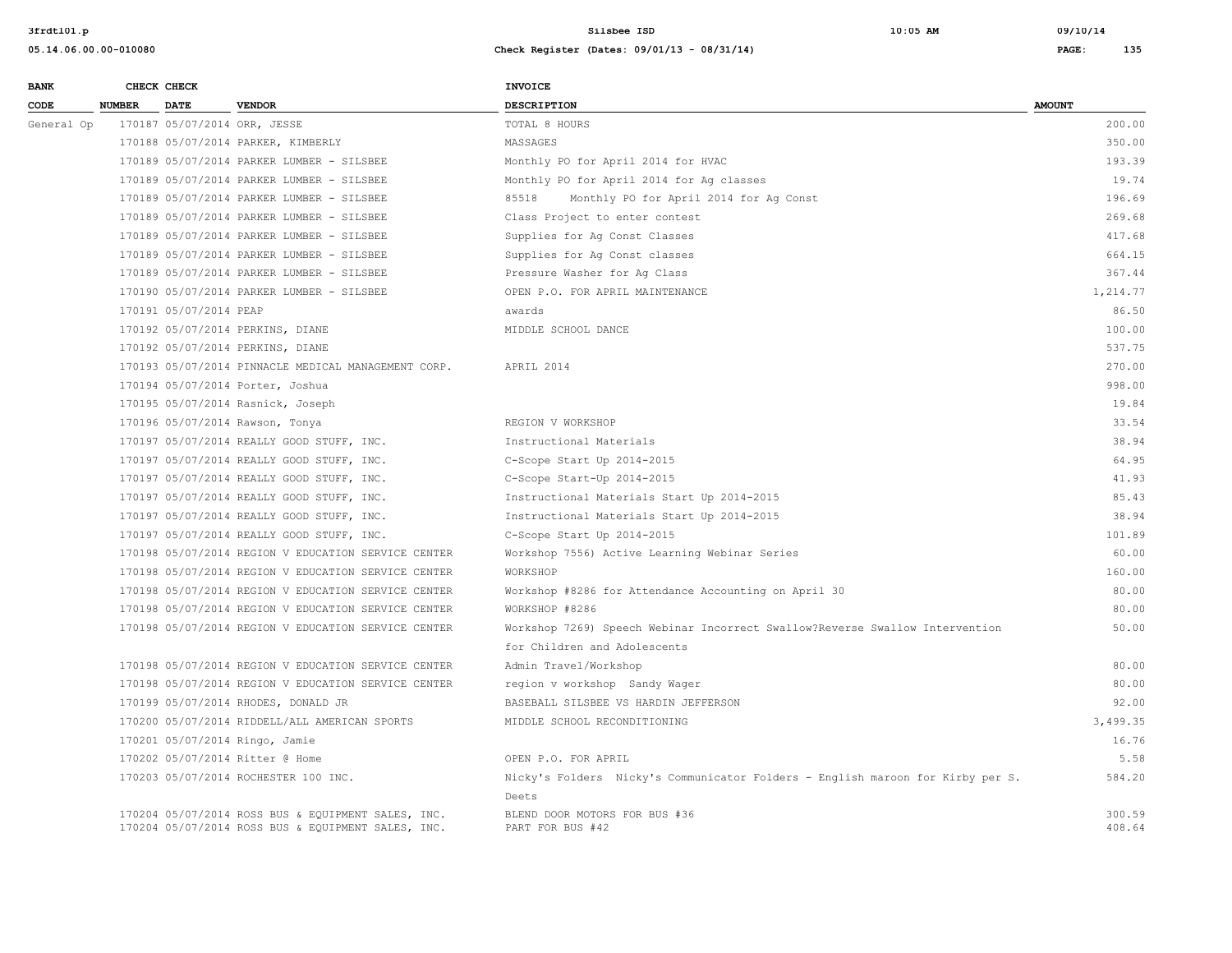| <b>BANK</b> | CHECK CHECK   |                        |                                                                                                          | <b>INVOICE</b>                                                                 |                  |
|-------------|---------------|------------------------|----------------------------------------------------------------------------------------------------------|--------------------------------------------------------------------------------|------------------|
| CODE        | <b>NUMBER</b> | <b>DATE</b>            | <b>VENDOR</b>                                                                                            | <b>DESCRIPTION</b>                                                             | <b>AMOUNT</b>    |
| General Op  |               |                        | 170187 05/07/2014 ORR, JESSE                                                                             | TOTAL 8 HOURS                                                                  | 200.00           |
|             |               |                        | 170188 05/07/2014 PARKER, KIMBERLY                                                                       | MASSAGES                                                                       | 350.00           |
|             |               |                        | 170189 05/07/2014 PARKER LUMBER - SILSBEE                                                                | Monthly PO for April 2014 for HVAC                                             | 193.39           |
|             |               |                        | 170189 05/07/2014 PARKER LUMBER - SILSBEE                                                                | Monthly PO for April 2014 for Ag classes                                       | 19.74            |
|             |               |                        | 170189 05/07/2014 PARKER LUMBER - SILSBEE                                                                | 85518<br>Monthly PO for April 2014 for Ag Const                                | 196.69           |
|             |               |                        | 170189 05/07/2014 PARKER LUMBER - SILSBEE                                                                | Class Project to enter contest                                                 | 269.68           |
|             |               |                        | 170189 05/07/2014 PARKER LUMBER - SILSBEE                                                                | Supplies for Aq Const Classes                                                  | 417.68           |
|             |               |                        | 170189 05/07/2014 PARKER LUMBER - SILSBEE                                                                | Supplies for Ag Const classes                                                  | 664.15           |
|             |               |                        | 170189 05/07/2014 PARKER LUMBER - SILSBEE                                                                | Pressure Washer for Aq Class                                                   | 367.44           |
|             |               |                        | 170190 05/07/2014 PARKER LUMBER - SILSBEE                                                                | OPEN P.O. FOR APRIL MAINTENANCE                                                | 1,214.77         |
|             |               | 170191 05/07/2014 PEAP |                                                                                                          | awards                                                                         | 86.50            |
|             |               |                        | 170192 05/07/2014 PERKINS, DIANE                                                                         | MIDDLE SCHOOL DANCE                                                            | 100.00           |
|             |               |                        | 170192 05/07/2014 PERKINS, DIANE                                                                         |                                                                                | 537.75           |
|             |               |                        | 170193 05/07/2014 PINNACLE MEDICAL MANAGEMENT CORP.                                                      | APRIL 2014                                                                     | 270.00           |
|             |               |                        | 170194 05/07/2014 Porter, Joshua                                                                         |                                                                                | 998.00           |
|             |               |                        | 170195 05/07/2014 Rasnick, Joseph                                                                        |                                                                                | 19.84            |
|             |               |                        | 170196 05/07/2014 Rawson, Tonya                                                                          | REGION V WORKSHOP                                                              | 33.54            |
|             |               |                        | 170197 05/07/2014 REALLY GOOD STUFF, INC.                                                                | Instructional Materials                                                        | 38.94            |
|             |               |                        | 170197 05/07/2014 REALLY GOOD STUFF, INC.                                                                | C-Scope Start Up 2014-2015                                                     | 64.95            |
|             |               |                        | 170197 05/07/2014 REALLY GOOD STUFF, INC.                                                                | C-Scope Start-Up 2014-2015                                                     | 41.93            |
|             |               |                        | 170197 05/07/2014 REALLY GOOD STUFF, INC.                                                                | Instructional Materials Start Up 2014-2015                                     | 85.43            |
|             |               |                        | 170197 05/07/2014 REALLY GOOD STUFF, INC.                                                                | Instructional Materials Start Up 2014-2015                                     | 38.94            |
|             |               |                        | 170197 05/07/2014 REALLY GOOD STUFF, INC.                                                                | C-Scope Start Up 2014-2015                                                     | 101.89           |
|             |               |                        | 170198 05/07/2014 REGION V EDUCATION SERVICE CENTER                                                      | Workshop 7556) Active Learning Webinar Series                                  | 60.00            |
|             |               |                        | 170198 05/07/2014 REGION V EDUCATION SERVICE CENTER                                                      | WORKSHOP                                                                       | 160.00           |
|             |               |                        | 170198 05/07/2014 REGION V EDUCATION SERVICE CENTER                                                      | Workshop #8286 for Attendance Accounting on April 30                           | 80.00            |
|             |               |                        | 170198 05/07/2014 REGION V EDUCATION SERVICE CENTER                                                      | WORKSHOP #8286                                                                 | 80.00            |
|             |               |                        | 170198 05/07/2014 REGION V EDUCATION SERVICE CENTER                                                      | Workshop 7269) Speech Webinar Incorrect Swallow?Reverse Swallow Intervention   | 50.00            |
|             |               |                        |                                                                                                          | for Children and Adolescents                                                   |                  |
|             |               |                        | 170198 05/07/2014 REGION V EDUCATION SERVICE CENTER                                                      | Admin Travel/Workshop                                                          | 80.00            |
|             |               |                        | 170198 05/07/2014 REGION V EDUCATION SERVICE CENTER                                                      | region v workshop Sandy Wager                                                  | 80.00            |
|             |               |                        | 170199 05/07/2014 RHODES, DONALD JR                                                                      | BASEBALL SILSBEE VS HARDIN JEFFERSON                                           | 92.00            |
|             |               |                        | 170200 05/07/2014 RIDDELL/ALL AMERICAN SPORTS                                                            | MIDDLE SCHOOL RECONDITIONING                                                   | 3,499.35         |
|             |               |                        | 170201 05/07/2014 Ringo, Jamie                                                                           |                                                                                | 16.76            |
|             |               |                        | 170202 05/07/2014 Ritter @ Home                                                                          | OPEN P.O. FOR APRIL                                                            | 5.58             |
|             |               |                        | 170203 05/07/2014 ROCHESTER 100 INC.                                                                     | Nicky's Folders Nicky's Communicator Folders - English maroon for Kirby per S. | 584.20           |
|             |               |                        |                                                                                                          | Deets                                                                          |                  |
|             |               |                        | 170204 05/07/2014 ROSS BUS & EQUIPMENT SALES, INC.<br>170204 05/07/2014 ROSS BUS & EQUIPMENT SALES, INC. | BLEND DOOR MOTORS FOR BUS #36<br>PART FOR BUS #42                              | 300.59<br>408.64 |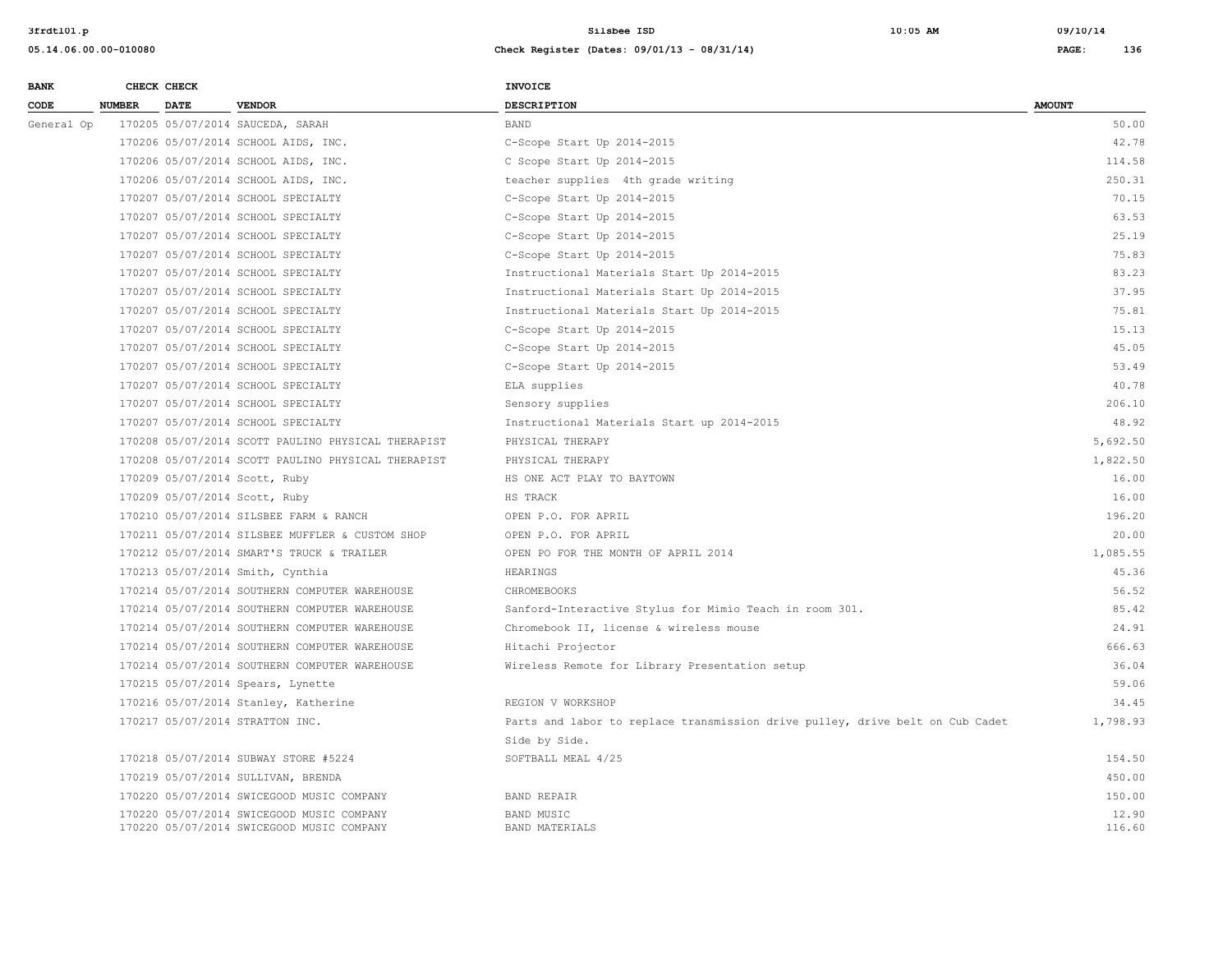| <b>BANK</b> |               | CHECK CHECK |                                                                                        | INVOICE                                                                       |                 |
|-------------|---------------|-------------|----------------------------------------------------------------------------------------|-------------------------------------------------------------------------------|-----------------|
| CODE        | <b>NUMBER</b> | <b>DATE</b> | <b>VENDOR</b>                                                                          | <b>DESCRIPTION</b>                                                            | <b>AMOUNT</b>   |
| General Op  |               |             | 170205 05/07/2014 SAUCEDA, SARAH                                                       | <b>BAND</b>                                                                   | 50.00           |
|             |               |             | 170206 05/07/2014 SCHOOL AIDS, INC.                                                    | C-Scope Start Up 2014-2015                                                    | 42.78           |
|             |               |             | 170206 05/07/2014 SCHOOL AIDS, INC.                                                    | C Scope Start Up 2014-2015                                                    | 114.58          |
|             |               |             | 170206 05/07/2014 SCHOOL AIDS, INC.                                                    | teacher supplies 4th grade writing                                            | 250.31          |
|             |               |             | 170207 05/07/2014 SCHOOL SPECIALTY                                                     | C-Scope Start Up 2014-2015                                                    | 70.15           |
|             |               |             | 170207 05/07/2014 SCHOOL SPECIALTY                                                     | C-Scope Start Up 2014-2015                                                    | 63.53           |
|             |               |             | 170207 05/07/2014 SCHOOL SPECIALTY                                                     | C-Scope Start Up 2014-2015                                                    | 25.19           |
|             |               |             | 170207 05/07/2014 SCHOOL SPECIALTY                                                     | C-Scope Start Up 2014-2015                                                    | 75.83           |
|             |               |             | 170207 05/07/2014 SCHOOL SPECIALTY                                                     | Instructional Materials Start Up 2014-2015                                    | 83.23           |
|             |               |             | 170207 05/07/2014 SCHOOL SPECIALTY                                                     | Instructional Materials Start Up 2014-2015                                    | 37.95           |
|             |               |             | 170207 05/07/2014 SCHOOL SPECIALTY                                                     | Instructional Materials Start Up 2014-2015                                    | 75.81           |
|             |               |             | 170207 05/07/2014 SCHOOL SPECIALTY                                                     | C-Scope Start Up 2014-2015                                                    | 15.13           |
|             |               |             | 170207 05/07/2014 SCHOOL SPECIALTY                                                     | C-Scope Start Up 2014-2015                                                    | 45.05           |
|             |               |             | 170207 05/07/2014 SCHOOL SPECIALTY                                                     | C-Scope Start Up 2014-2015                                                    | 53.49           |
|             |               |             | 170207 05/07/2014 SCHOOL SPECIALTY                                                     | ELA supplies                                                                  | 40.78           |
|             |               |             | 170207 05/07/2014 SCHOOL SPECIALTY                                                     | Sensory supplies                                                              | 206.10          |
|             |               |             | 170207 05/07/2014 SCHOOL SPECIALTY                                                     | Instructional Materials Start up 2014-2015                                    | 48.92           |
|             |               |             | 170208 05/07/2014 SCOTT PAULINO PHYSICAL THERAPIST                                     | PHYSICAL THERAPY                                                              | 5,692.50        |
|             |               |             | 170208 05/07/2014 SCOTT PAULINO PHYSICAL THERAPIST                                     | PHYSICAL THERAPY                                                              | 1,822.50        |
|             |               |             | 170209 05/07/2014 Scott, Ruby                                                          | HS ONE ACT PLAY TO BAYTOWN                                                    | 16.00           |
|             |               |             | 170209 05/07/2014 Scott, Ruby                                                          | HS TRACK                                                                      | 16.00           |
|             |               |             | 170210 05/07/2014 SILSBEE FARM & RANCH                                                 | OPEN P.O. FOR APRIL                                                           | 196.20          |
|             |               |             | 170211 05/07/2014 SILSBEE MUFFLER & CUSTOM SHOP                                        | OPEN P.O. FOR APRIL                                                           | 20.00           |
|             |               |             | 170212 05/07/2014 SMART'S TRUCK & TRAILER                                              | OPEN PO FOR THE MONTH OF APRIL 2014                                           | 1,085.55        |
|             |               |             | 170213 05/07/2014 Smith, Cynthia                                                       | HEARINGS                                                                      | 45.36           |
|             |               |             | 170214 05/07/2014 SOUTHERN COMPUTER WAREHOUSE                                          | CHROMEBOOKS                                                                   | 56.52           |
|             |               |             | 170214 05/07/2014 SOUTHERN COMPUTER WAREHOUSE                                          | Sanford-Interactive Stylus for Mimio Teach in room 301.                       | 85.42           |
|             |               |             | 170214 05/07/2014 SOUTHERN COMPUTER WAREHOUSE                                          | Chromebook II, license & wireless mouse                                       | 24.91           |
|             |               |             | 170214 05/07/2014 SOUTHERN COMPUTER WAREHOUSE                                          | Hitachi Projector                                                             | 666.63          |
|             |               |             | 170214 05/07/2014 SOUTHERN COMPUTER WAREHOUSE                                          | Wireless Remote for Library Presentation setup                                | 36.04           |
|             |               |             | 170215 05/07/2014 Spears, Lynette                                                      |                                                                               | 59.06           |
|             |               |             | 170216 05/07/2014 Stanley, Katherine                                                   | REGION V WORKSHOP                                                             | 34.45           |
|             |               |             | 170217 05/07/2014 STRATTON INC.                                                        | Parts and labor to replace transmission drive pulley, drive belt on Cub Cadet | 1,798.93        |
|             |               |             |                                                                                        | Side by Side.                                                                 |                 |
|             |               |             | 170218 05/07/2014 SUBWAY STORE #5224                                                   | SOFTBALL MEAL 4/25                                                            | 154.50          |
|             |               |             | 170219 05/07/2014 SULLIVAN, BRENDA                                                     |                                                                               | 450.00          |
|             |               |             | 170220 05/07/2014 SWICEGOOD MUSIC COMPANY                                              | <b>BAND REPAIR</b>                                                            | 150.00          |
|             |               |             | 170220 05/07/2014 SWICEGOOD MUSIC COMPANY<br>170220 05/07/2014 SWICEGOOD MUSIC COMPANY | BAND MUSIC<br><b>BAND MATERIALS</b>                                           | 12.90<br>116.60 |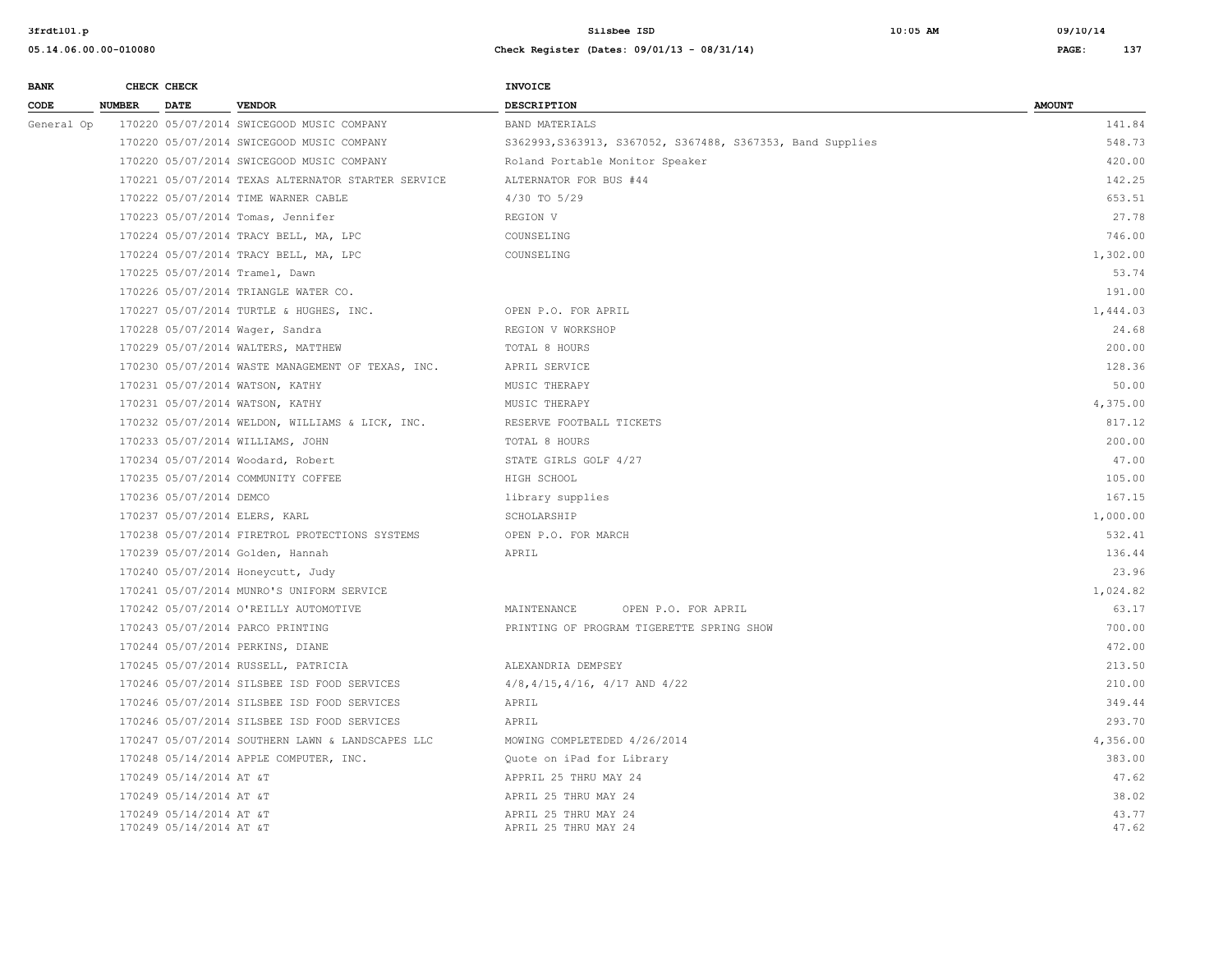| <b>BANK</b> |               | CHECK CHECK                                        |                                                    | <b>INVOICE</b>                                             |                |  |
|-------------|---------------|----------------------------------------------------|----------------------------------------------------|------------------------------------------------------------|----------------|--|
| CODE        | <b>NUMBER</b> | <b>DATE</b>                                        | <b>VENDOR</b>                                      | <b>DESCRIPTION</b>                                         | <b>AMOUNT</b>  |  |
| General Op  |               |                                                    | 170220 05/07/2014 SWICEGOOD MUSIC COMPANY          | BAND MATERIALS                                             | 141.84         |  |
|             |               |                                                    | 170220 05/07/2014 SWICEGOOD MUSIC COMPANY          | S362993, S363913, S367052, S367488, S367353, Band Supplies | 548.73         |  |
|             |               |                                                    | 170220 05/07/2014 SWICEGOOD MUSIC COMPANY          | Roland Portable Monitor Speaker                            | 420.00         |  |
|             |               |                                                    | 170221 05/07/2014 TEXAS ALTERNATOR STARTER SERVICE | ALTERNATOR FOR BUS #44                                     | 142.25         |  |
|             |               |                                                    | 170222 05/07/2014 TIME WARNER CABLE                | 4/30 TO 5/29                                               | 653.51         |  |
|             |               |                                                    | 170223 05/07/2014 Tomas, Jennifer                  | REGION V                                                   | 27.78          |  |
|             |               |                                                    | 170224 05/07/2014 TRACY BELL, MA, LPC              | COUNSELING                                                 | 746.00         |  |
|             |               |                                                    | 170224 05/07/2014 TRACY BELL, MA, LPC              | COUNSELING                                                 | 1,302.00       |  |
|             |               |                                                    | 170225 05/07/2014 Tramel, Dawn                     |                                                            | 53.74          |  |
|             |               |                                                    | 170226 05/07/2014 TRIANGLE WATER CO.               |                                                            | 191.00         |  |
|             |               |                                                    | 170227 05/07/2014 TURTLE & HUGHES, INC.            | OPEN P.O. FOR APRIL                                        | 1,444.03       |  |
|             |               |                                                    | 170228 05/07/2014 Wager, Sandra                    | REGION V WORKSHOP                                          | 24.68          |  |
|             |               |                                                    | 170229 05/07/2014 WALTERS, MATTHEW                 | TOTAL 8 HOURS                                              | 200.00         |  |
|             |               |                                                    | 170230 05/07/2014 WASTE MANAGEMENT OF TEXAS, INC.  | APRIL SERVICE                                              | 128.36         |  |
|             |               |                                                    | 170231 05/07/2014 WATSON, KATHY                    | MUSIC THERAPY                                              | 50.00          |  |
|             |               |                                                    | 170231 05/07/2014 WATSON, KATHY                    | MUSIC THERAPY                                              | 4,375.00       |  |
|             |               |                                                    | 170232 05/07/2014 WELDON, WILLIAMS & LICK, INC.    | RESERVE FOOTBALL TICKETS                                   | 817.12         |  |
|             |               |                                                    | 170233 05/07/2014 WILLIAMS, JOHN                   | TOTAL 8 HOURS                                              | 200.00         |  |
|             |               |                                                    | 170234 05/07/2014 Woodard, Robert                  | STATE GIRLS GOLF 4/27                                      | 47.00          |  |
|             |               |                                                    | 170235 05/07/2014 COMMUNITY COFFEE                 | HIGH SCHOOL                                                | 105.00         |  |
|             |               | 170236 05/07/2014 DEMCO                            |                                                    | library supplies                                           | 167.15         |  |
|             |               |                                                    | 170237 05/07/2014 ELERS, KARL                      | SCHOLARSHIP                                                | 1,000.00       |  |
|             |               |                                                    | 170238 05/07/2014 FIRETROL PROTECTIONS SYSTEMS     | OPEN P.O. FOR MARCH                                        | 532.41         |  |
|             |               |                                                    | 170239 05/07/2014 Golden, Hannah                   | APRIL                                                      | 136.44         |  |
|             |               |                                                    | 170240 05/07/2014 Honeycutt, Judy                  |                                                            | 23.96          |  |
|             |               |                                                    | 170241 05/07/2014 MUNRO'S UNIFORM SERVICE          |                                                            | 1,024.82       |  |
|             |               |                                                    | 170242 05/07/2014 O'REILLY AUTOMOTIVE              | MAINTENANCE<br>OPEN P.O. FOR APRIL                         | 63.17          |  |
|             |               |                                                    | 170243 05/07/2014 PARCO PRINTING                   | PRINTING OF PROGRAM TIGERETTE SPRING SHOW                  | 700.00         |  |
|             |               |                                                    | 170244 05/07/2014 PERKINS, DIANE                   |                                                            | 472.00         |  |
|             |               |                                                    | 170245 05/07/2014 RUSSELL, PATRICIA                | ALEXANDRIA DEMPSEY                                         | 213.50         |  |
|             |               |                                                    | 170246 05/07/2014 SILSBEE ISD FOOD SERVICES        | $4/8$ , $4/15$ , $4/16$ , $4/17$ AND $4/22$                | 210.00         |  |
|             |               |                                                    | 170246 05/07/2014 SILSBEE ISD FOOD SERVICES        | APRIL                                                      | 349.44         |  |
|             |               |                                                    | 170246 05/07/2014 SILSBEE ISD FOOD SERVICES        | APRIL                                                      | 293.70         |  |
|             |               |                                                    | 170247 05/07/2014 SOUTHERN LAWN & LANDSCAPES LLC   | MOWING COMPLETEDED 4/26/2014                               | 4,356.00       |  |
|             |               |                                                    | 170248 05/14/2014 APPLE COMPUTER, INC.             | Quote on iPad for Library                                  | 383.00         |  |
|             |               | 170249 05/14/2014 AT &T                            |                                                    | APPRIL 25 THRU MAY 24                                      | 47.62          |  |
|             |               | 170249 05/14/2014 AT &T                            |                                                    | APRIL 25 THRU MAY 24                                       | 38.02          |  |
|             |               | 170249 05/14/2014 AT &T<br>170249 05/14/2014 AT &T |                                                    | APRIL 25 THRU MAY 24<br>APRIL 25 THRU MAY 24               | 43.77<br>47.62 |  |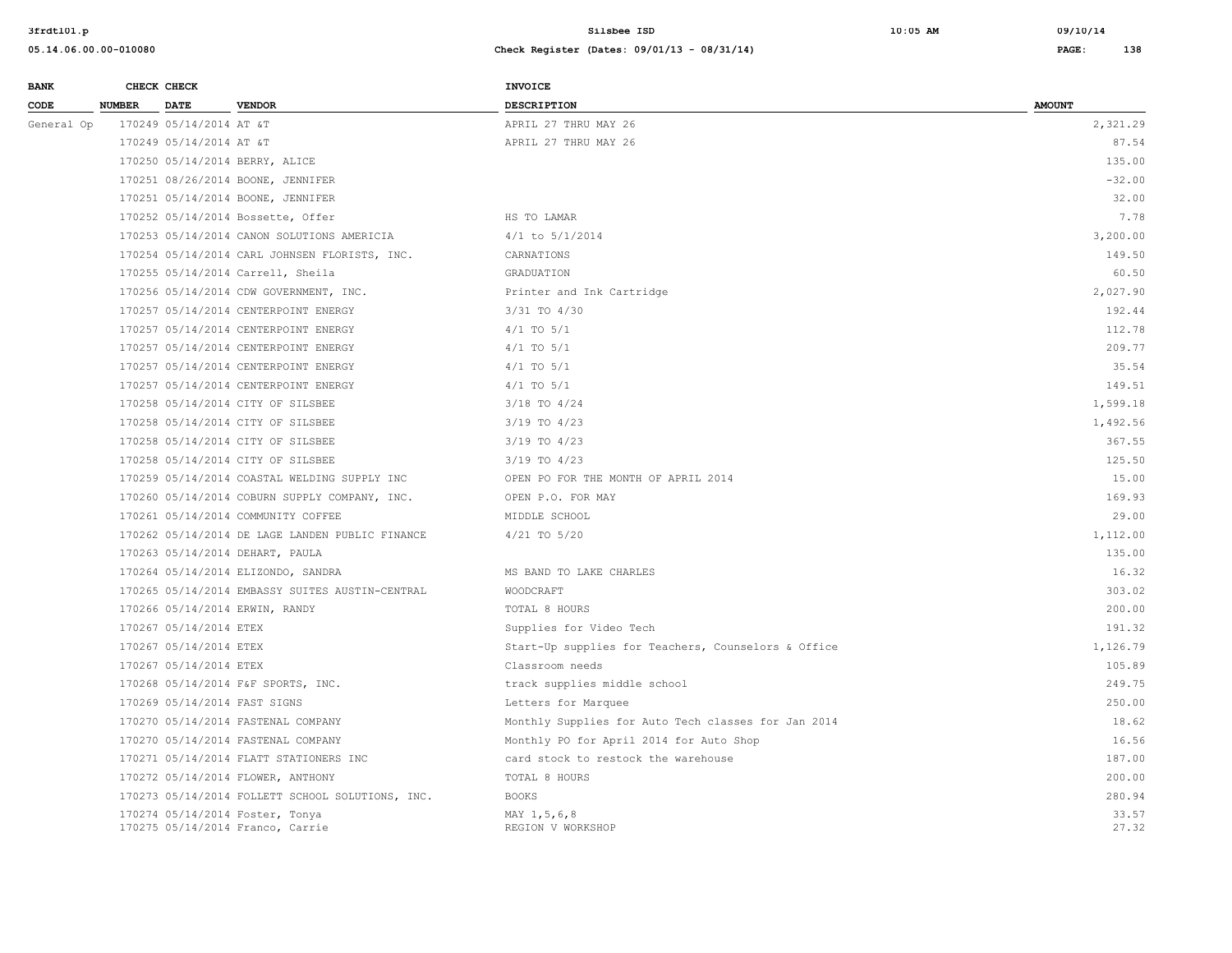### **05.14.06.00.00-010080 Check Register (Dates: 09/01/13 - 08/31/14) PAGE: 138**

**BANK CHECK CHECK CHECK** 

| CODE       | <b>NUMBER</b> | <b>DATE</b>             | <b>VENDOR</b>                                                       | <b>DESCRIPTION</b>                                  | <b>AMOUNT</b>  |
|------------|---------------|-------------------------|---------------------------------------------------------------------|-----------------------------------------------------|----------------|
| General Op |               | 170249 05/14/2014 AT &T |                                                                     | APRIL 27 THRU MAY 26                                | 2,321.29       |
|            |               | 170249 05/14/2014 AT &T |                                                                     | APRIL 27 THRU MAY 26                                | 87.54          |
|            |               |                         | 170250 05/14/2014 BERRY, ALICE                                      |                                                     | 135.00         |
|            |               |                         | 170251 08/26/2014 BOONE, JENNIFER                                   |                                                     | $-32.00$       |
|            |               |                         | 170251 05/14/2014 BOONE, JENNIFER                                   |                                                     | 32.00          |
|            |               |                         | 170252 05/14/2014 Bossette, Offer                                   | HS TO LAMAR                                         | 7.78           |
|            |               |                         | 170253 05/14/2014 CANON SOLUTIONS AMERICIA                          | $4/1$ to $5/1/2014$                                 | 3,200.00       |
|            |               |                         | 170254 05/14/2014 CARL JOHNSEN FLORISTS, INC.                       | CARNATIONS                                          | 149.50         |
|            |               |                         | 170255 05/14/2014 Carrell, Sheila                                   | <b>GRADUATION</b>                                   | 60.50          |
|            |               |                         | 170256 05/14/2014 CDW GOVERNMENT, INC.                              | Printer and Ink Cartridge                           | 2,027.90       |
|            |               |                         | 170257 05/14/2014 CENTERPOINT ENERGY                                | 3/31 TO 4/30                                        | 192.44         |
|            |               |                         | 170257 05/14/2014 CENTERPOINT ENERGY                                | $4/1$ TO $5/1$                                      | 112.78         |
|            |               |                         | 170257 05/14/2014 CENTERPOINT ENERGY                                | $4/1$ TO $5/1$                                      | 209.77         |
|            |               |                         | 170257 05/14/2014 CENTERPOINT ENERGY                                | $4/1$ TO $5/1$                                      | 35.54          |
|            |               |                         | 170257 05/14/2014 CENTERPOINT ENERGY                                | $4/1$ TO $5/1$                                      | 149.51         |
|            |               |                         | 170258 05/14/2014 CITY OF SILSBEE                                   | 3/18 TO 4/24                                        | 1,599.18       |
|            |               |                         | 170258 05/14/2014 CITY OF SILSBEE                                   | $3/19$ TO $4/23$                                    | 1,492.56       |
|            |               |                         | 170258 05/14/2014 CITY OF SILSBEE                                   | $3/19$ TO $4/23$                                    | 367.55         |
|            |               |                         | 170258 05/14/2014 CITY OF SILSBEE                                   | $3/19$ TO $4/23$                                    | 125.50         |
|            |               |                         | 170259 05/14/2014 COASTAL WELDING SUPPLY INC                        | OPEN PO FOR THE MONTH OF APRIL 2014                 | 15.00          |
|            |               |                         | 170260 05/14/2014 COBURN SUPPLY COMPANY, INC.                       | OPEN P.O. FOR MAY                                   | 169.93         |
|            |               |                         | 170261 05/14/2014 COMMUNITY COFFEE                                  | MIDDLE SCHOOL                                       | 29.00          |
|            |               |                         | 170262 05/14/2014 DE LAGE LANDEN PUBLIC FINANCE                     | 4/21 TO 5/20                                        | 1,112.00       |
|            |               |                         | 170263 05/14/2014 DEHART, PAULA                                     |                                                     | 135.00         |
|            |               |                         | 170264 05/14/2014 ELIZONDO, SANDRA                                  | MS BAND TO LAKE CHARLES                             | 16.32          |
|            |               |                         | 170265 05/14/2014 EMBASSY SUITES AUSTIN-CENTRAL                     | WOODCRAFT                                           | 303.02         |
|            |               |                         | 170266 05/14/2014 ERWIN, RANDY                                      | TOTAL 8 HOURS                                       | 200.00         |
|            |               | 170267 05/14/2014 ETEX  |                                                                     | Supplies for Video Tech                             | 191.32         |
|            |               | 170267 05/14/2014 ETEX  |                                                                     | Start-Up supplies for Teachers, Counselors & Office | 1,126.79       |
|            |               | 170267 05/14/2014 ETEX  |                                                                     | Classroom needs                                     | 105.89         |
|            |               |                         | 170268 05/14/2014 F&F SPORTS, INC.                                  | track supplies middle school                        | 249.75         |
|            |               |                         | 170269 05/14/2014 FAST SIGNS                                        | Letters for Marquee                                 | 250.00         |
|            |               |                         | 170270 05/14/2014 FASTENAL COMPANY                                  | Monthly Supplies for Auto Tech classes for Jan 2014 | 18.62          |
|            |               |                         | 170270 05/14/2014 FASTENAL COMPANY                                  | Monthly PO for April 2014 for Auto Shop             | 16.56          |
|            |               |                         | 170271 05/14/2014 FLATT STATIONERS INC                              | card stock to restock the warehouse                 | 187.00         |
|            |               |                         | 170272 05/14/2014 FLOWER, ANTHONY                                   | TOTAL 8 HOURS                                       | 200.00         |
|            |               |                         | 170273 05/14/2014 FOLLETT SCHOOL SOLUTIONS, INC.                    | <b>BOOKS</b>                                        | 280.94         |
|            |               |                         | 170274 05/14/2014 Foster, Tonya<br>170275 05/14/2014 Franco, Carrie | MAY 1,5,6,8<br>REGION V WORKSHOP                    | 33.57<br>27.32 |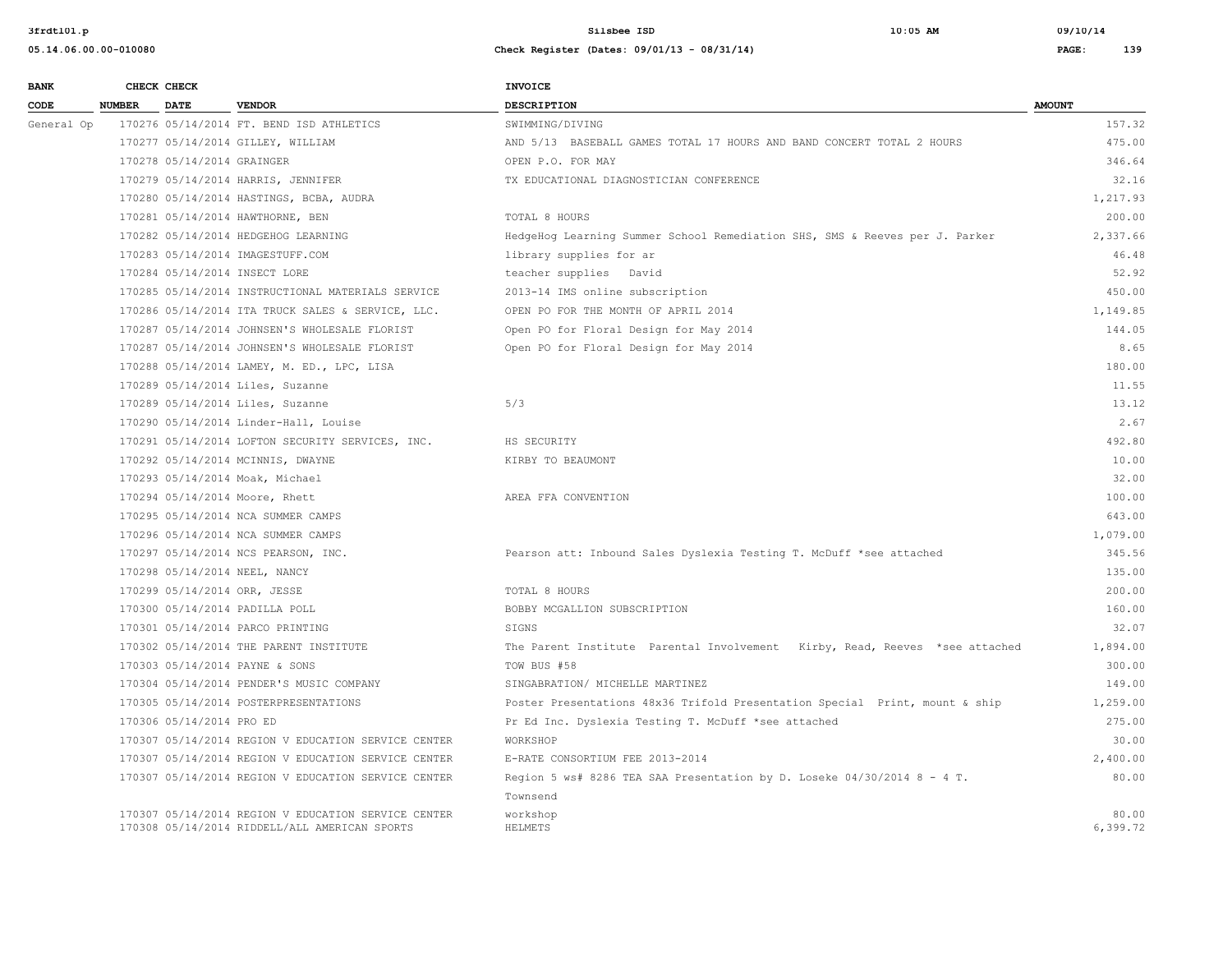| <b>BANK</b> |               | CHECK CHECK                  |                                                                                                      | <b>INVOICE</b>                                                              |                   |
|-------------|---------------|------------------------------|------------------------------------------------------------------------------------------------------|-----------------------------------------------------------------------------|-------------------|
| CODE        | <b>NUMBER</b> | <b>DATE</b>                  | <b>VENDOR</b>                                                                                        | DESCRIPTION                                                                 | <b>AMOUNT</b>     |
| General Op  |               |                              | 170276 05/14/2014 FT. BEND ISD ATHLETICS                                                             | SWIMMING/DIVING                                                             | 157.32            |
|             |               |                              | 170277 05/14/2014 GILLEY, WILLIAM                                                                    | AND 5/13 BASEBALL GAMES TOTAL 17 HOURS AND BAND CONCERT TOTAL 2 HOURS       | 475.00            |
|             |               | 170278 05/14/2014 GRAINGER   |                                                                                                      | OPEN P.O. FOR MAY                                                           | 346.64            |
|             |               |                              | 170279 05/14/2014 HARRIS, JENNIFER                                                                   | TX EDUCATIONAL DIAGNOSTICIAN CONFERENCE                                     | 32.16             |
|             |               |                              | 170280 05/14/2014 HASTINGS, BCBA, AUDRA                                                              |                                                                             | 1,217.93          |
|             |               |                              | 170281 05/14/2014 HAWTHORNE, BEN                                                                     | TOTAL 8 HOURS                                                               | 200.00            |
|             |               |                              | 170282 05/14/2014 HEDGEHOG LEARNING                                                                  | HedgeHog Learning Summer School Remediation SHS, SMS & Reeves per J. Parker | 2,337.66          |
|             |               |                              | 170283 05/14/2014 IMAGESTUFF.COM                                                                     | library supplies for ar                                                     | 46.48             |
|             |               |                              | 170284 05/14/2014 INSECT LORE                                                                        | teacher supplies David                                                      | 52.92             |
|             |               |                              | 170285 05/14/2014 INSTRUCTIONAL MATERIALS SERVICE                                                    | 2013-14 IMS online subscription                                             | 450.00            |
|             |               |                              | 170286 05/14/2014 ITA TRUCK SALES & SERVICE, LLC.                                                    | OPEN PO FOR THE MONTH OF APRIL 2014                                         | 1,149.85          |
|             |               |                              | 170287 05/14/2014 JOHNSEN'S WHOLESALE FLORIST                                                        | Open PO for Floral Design for May 2014                                      | 144.05            |
|             |               |                              | 170287 05/14/2014 JOHNSEN'S WHOLESALE FLORIST                                                        | Open PO for Floral Design for May 2014                                      | 8.65              |
|             |               |                              | 170288 05/14/2014 LAMEY, M. ED., LPC, LISA                                                           |                                                                             | 180.00            |
|             |               |                              | 170289 05/14/2014 Liles, Suzanne                                                                     |                                                                             | 11.55             |
|             |               |                              | 170289 05/14/2014 Liles, Suzanne                                                                     | 5/3                                                                         | 13.12             |
|             |               |                              | 170290 05/14/2014 Linder-Hall, Louise                                                                |                                                                             | 2.67              |
|             |               |                              | 170291 05/14/2014 LOFTON SECURITY SERVICES, INC.                                                     | HS SECURITY                                                                 | 492.80            |
|             |               |                              | 170292 05/14/2014 MCINNIS, DWAYNE                                                                    | KIRBY TO BEAUMONT                                                           | 10.00             |
|             |               |                              | 170293 05/14/2014 Moak, Michael                                                                      |                                                                             | 32.00             |
|             |               |                              | 170294 05/14/2014 Moore, Rhett                                                                       | AREA FFA CONVENTION                                                         | 100.00            |
|             |               |                              | 170295 05/14/2014 NCA SUMMER CAMPS                                                                   |                                                                             | 643.00            |
|             |               |                              | 170296 05/14/2014 NCA SUMMER CAMPS                                                                   |                                                                             | 1,079.00          |
|             |               |                              | 170297 05/14/2014 NCS PEARSON, INC.                                                                  | Pearson att: Inbound Sales Dyslexia Testing T. McDuff *see attached         | 345.56            |
|             |               |                              | 170298 05/14/2014 NEEL, NANCY                                                                        |                                                                             | 135.00            |
|             |               | 170299 05/14/2014 ORR, JESSE |                                                                                                      | TOTAL 8 HOURS                                                               | 200.00            |
|             |               |                              | 170300 05/14/2014 PADILLA POLL                                                                       | BOBBY MCGALLION SUBSCRIPTION                                                | 160.00            |
|             |               |                              | 170301 05/14/2014 PARCO PRINTING                                                                     | SIGNS                                                                       | 32.07             |
|             |               |                              | 170302 05/14/2014 THE PARENT INSTITUTE                                                               | The Parent Institute Parental Involvement Kirby, Read, Reeves *see attached | 1,894.00          |
|             |               |                              | 170303 05/14/2014 PAYNE & SONS                                                                       | TOW BUS #58                                                                 | 300.00            |
|             |               |                              | 170304 05/14/2014 PENDER'S MUSIC COMPANY                                                             | SINGABRATION/ MICHELLE MARTINEZ                                             | 149.00            |
|             |               |                              | 170305 05/14/2014 POSTERPRESENTATIONS                                                                | Poster Presentations 48x36 Trifold Presentation Special Print, mount & ship | 1,259.00          |
|             |               | 170306 05/14/2014 PRO ED     |                                                                                                      | Pr Ed Inc. Dyslexia Testing T. McDuff *see attached                         | 275.00            |
|             |               |                              | 170307 05/14/2014 REGION V EDUCATION SERVICE CENTER                                                  | WORKSHOP                                                                    | 30.00             |
|             |               |                              | 170307 05/14/2014 REGION V EDUCATION SERVICE CENTER                                                  | E-RATE CONSORTIUM FEE 2013-2014                                             | 2,400.00          |
|             |               |                              | 170307 05/14/2014 REGION V EDUCATION SERVICE CENTER                                                  | Region 5 $ws#$ 8286 TEA SAA Presentation by D. Loseke 04/30/2014 8 - 4 T.   | 80.00             |
|             |               |                              |                                                                                                      | Townsend                                                                    |                   |
|             |               |                              | 170307 05/14/2014 REGION V EDUCATION SERVICE CENTER<br>170308 05/14/2014 RIDDELL/ALL AMERICAN SPORTS | workshop<br>HELMETS                                                         | 80.00<br>6,399.72 |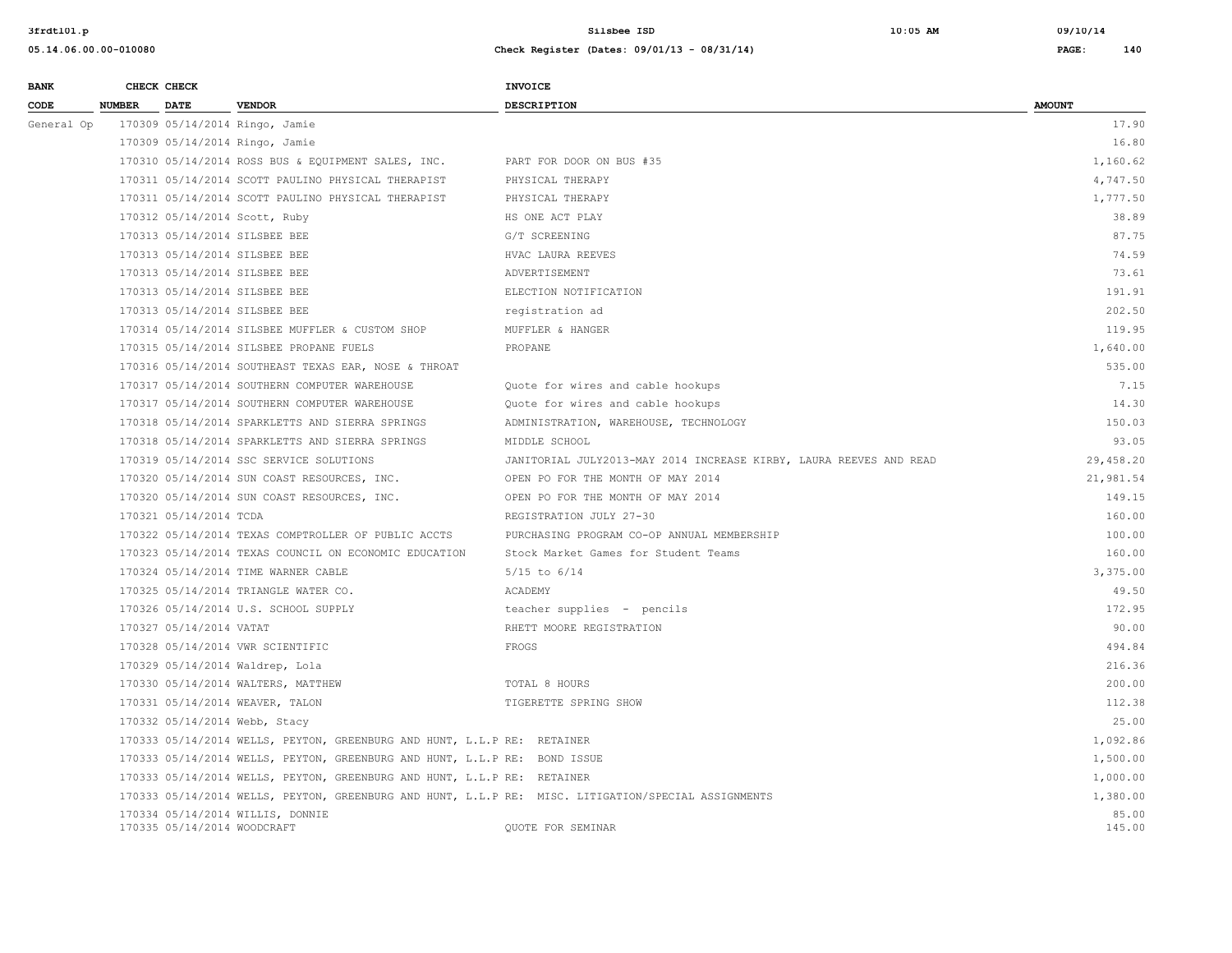| <b>BANK</b> |               | CHECK CHECK                 |                                                                           | <b>INVOICE</b>                                                                                      |                 |
|-------------|---------------|-----------------------------|---------------------------------------------------------------------------|-----------------------------------------------------------------------------------------------------|-----------------|
| CODE        | <b>NUMBER</b> | <b>DATE</b>                 | <b>VENDOR</b>                                                             | <b>DESCRIPTION</b>                                                                                  | <b>AMOUNT</b>   |
| General Op  |               |                             | 170309 05/14/2014 Ringo, Jamie                                            |                                                                                                     | 17.90           |
|             |               |                             | 170309 05/14/2014 Ringo, Jamie                                            |                                                                                                     | 16.80           |
|             |               |                             | 170310 05/14/2014 ROSS BUS & EQUIPMENT SALES, INC.                        | PART FOR DOOR ON BUS #35                                                                            | 1,160.62        |
|             |               |                             | 170311 05/14/2014 SCOTT PAULINO PHYSICAL THERAPIST                        | PHYSICAL THERAPY                                                                                    | 4,747.50        |
|             |               |                             | 170311 05/14/2014 SCOTT PAULINO PHYSICAL THERAPIST                        | PHYSICAL THERAPY                                                                                    | 1,777.50        |
|             |               |                             | 170312 05/14/2014 Scott, Ruby                                             | HS ONE ACT PLAY                                                                                     | 38.89           |
|             |               |                             | 170313 05/14/2014 SILSBEE BEE                                             | G/T SCREENING                                                                                       | 87.75           |
|             |               |                             | 170313 05/14/2014 SILSBEE BEE                                             | HVAC LAURA REEVES                                                                                   | 74.59           |
|             |               |                             | 170313 05/14/2014 SILSBEE BEE                                             | ADVERTISEMENT                                                                                       | 73.61           |
|             |               |                             | 170313 05/14/2014 SILSBEE BEE                                             | ELECTION NOTIFICATION                                                                               | 191.91          |
|             |               |                             | 170313 05/14/2014 SILSBEE BEE                                             | registration ad                                                                                     | 202.50          |
|             |               |                             | 170314 05/14/2014 SILSBEE MUFFLER & CUSTOM SHOP                           | MUFFLER & HANGER                                                                                    | 119.95          |
|             |               |                             | 170315 05/14/2014 SILSBEE PROPANE FUELS                                   | PROPANE                                                                                             | 1,640.00        |
|             |               |                             | 170316 05/14/2014 SOUTHEAST TEXAS EAR, NOSE & THROAT                      |                                                                                                     | 535.00          |
|             |               |                             | 170317 05/14/2014 SOUTHERN COMPUTER WAREHOUSE                             | Quote for wires and cable hookups                                                                   | 7.15            |
|             |               |                             | 170317 05/14/2014 SOUTHERN COMPUTER WAREHOUSE                             | Quote for wires and cable hookups                                                                   | 14.30           |
|             |               |                             | 170318 05/14/2014 SPARKLETTS AND SIERRA SPRINGS                           | ADMINISTRATION, WAREHOUSE, TECHNOLOGY                                                               | 150.03          |
|             |               |                             | 170318 05/14/2014 SPARKLETTS AND SIERRA SPRINGS                           | MIDDLE SCHOOL                                                                                       | 93.05           |
|             |               |                             | 170319 05/14/2014 SSC SERVICE SOLUTIONS                                   | JANITORIAL JULY2013-MAY 2014 INCREASE KIRBY, LAURA REEVES AND READ                                  | 29,458.20       |
|             |               |                             | 170320 05/14/2014 SUN COAST RESOURCES, INC.                               | OPEN PO FOR THE MONTH OF MAY 2014                                                                   | 21,981.54       |
|             |               |                             | 170320 05/14/2014 SUN COAST RESOURCES, INC.                               | OPEN PO FOR THE MONTH OF MAY 2014                                                                   | 149.15          |
|             |               | 170321 05/14/2014 TCDA      |                                                                           | REGISTRATION JULY 27-30                                                                             | 160.00          |
|             |               |                             | 170322 05/14/2014 TEXAS COMPTROLLER OF PUBLIC ACCTS                       | PURCHASING PROGRAM CO-OP ANNUAL MEMBERSHIP                                                          | 100.00          |
|             |               |                             | 170323 05/14/2014 TEXAS COUNCIL ON ECONOMIC EDUCATION                     | Stock Market Games for Student Teams                                                                | 160.00          |
|             |               |                             | 170324 05/14/2014 TIME WARNER CABLE                                       | $5/15$ to $6/14$                                                                                    | 3,375.00        |
|             |               |                             | 170325 05/14/2014 TRIANGLE WATER CO.                                      | <b>ACADEMY</b>                                                                                      | 49.50           |
|             |               |                             | 170326 05/14/2014 U.S. SCHOOL SUPPLY                                      | teacher supplies - pencils                                                                          | 172.95          |
|             |               | 170327 05/14/2014 VATAT     |                                                                           | RHETT MOORE REGISTRATION                                                                            | 90.00           |
|             |               |                             | 170328 05/14/2014 VWR SCIENTIFIC                                          | FROGS                                                                                               | 494.84          |
|             |               |                             | 170329 05/14/2014 Waldrep, Lola                                           |                                                                                                     | 216.36          |
|             |               |                             | 170330 05/14/2014 WALTERS, MATTHEW                                        | TOTAL 8 HOURS                                                                                       | 200.00          |
|             |               |                             | 170331 05/14/2014 WEAVER, TALON                                           | TIGERETTE SPRING SHOW                                                                               | 112.38          |
|             |               |                             | 170332 05/14/2014 Webb, Stacy                                             |                                                                                                     | 25.00           |
|             |               |                             | 170333 05/14/2014 WELLS, PEYTON, GREENBURG AND HUNT, L.L.P RE: RETAINER   |                                                                                                     | 1,092.86        |
|             |               |                             | 170333 05/14/2014 WELLS, PEYTON, GREENBURG AND HUNT, L.L.P RE: BOND ISSUE |                                                                                                     | 1,500.00        |
|             |               |                             | 170333 05/14/2014 WELLS, PEYTON, GREENBURG AND HUNT, L.L.P RE: RETAINER   |                                                                                                     | 1,000.00        |
|             |               |                             |                                                                           | 170333 05/14/2014 WELLS, PEYTON, GREENBURG AND HUNT, L.L.P RE: MISC. LITIGATION/SPECIAL ASSIGNMENTS | 1,380.00        |
|             |               | 170335 05/14/2014 WOODCRAFT | 170334 05/14/2014 WILLIS, DONNIE                                          | <b>OUOTE FOR SEMINAR</b>                                                                            | 85.00<br>145.00 |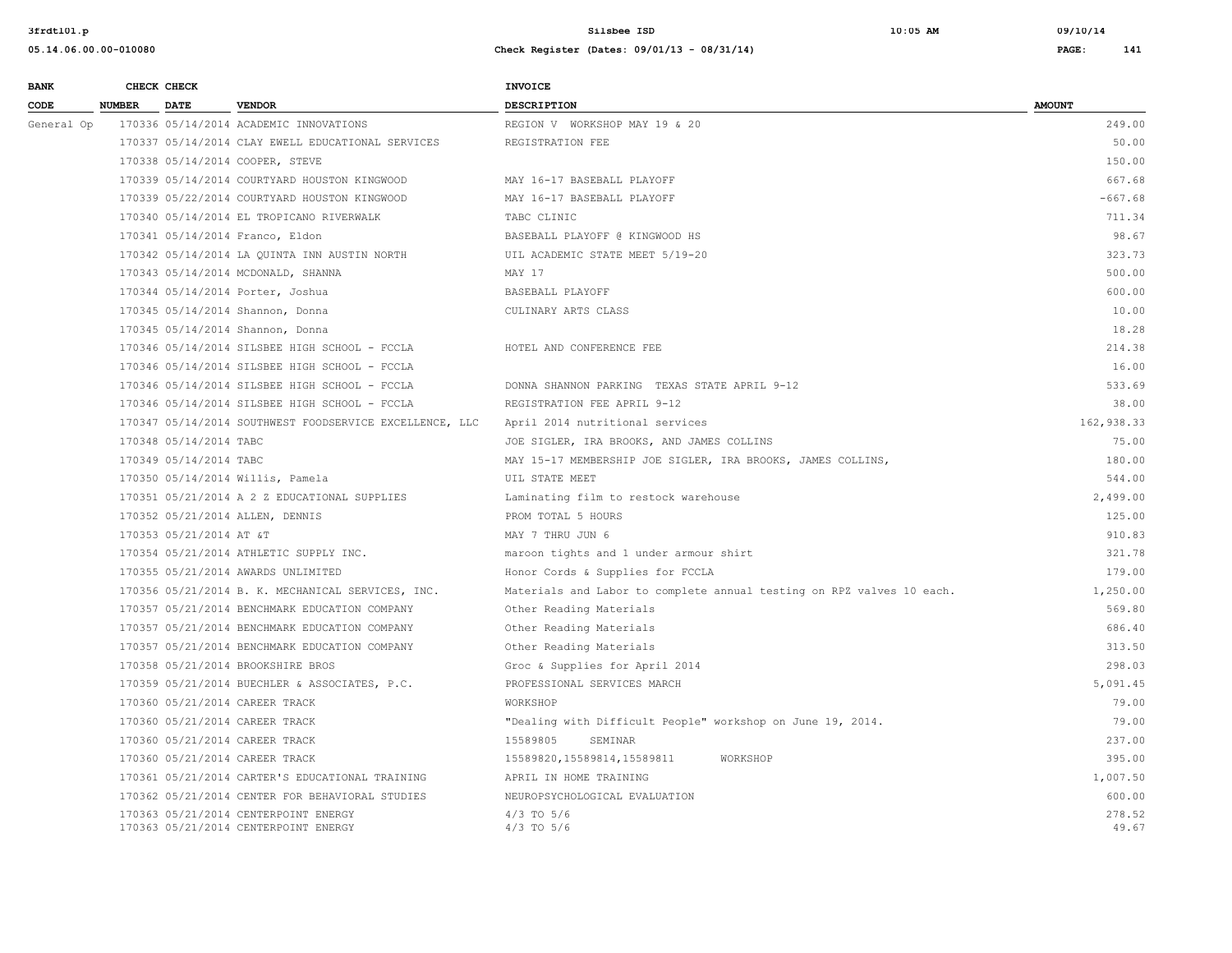| <b>BANK</b> |               | CHECK CHECK             |                                                                              | INVOICE                                                               |                 |
|-------------|---------------|-------------------------|------------------------------------------------------------------------------|-----------------------------------------------------------------------|-----------------|
| CODE        | <b>NUMBER</b> | <b>DATE</b>             | <b>VENDOR</b>                                                                | <b>DESCRIPTION</b>                                                    | <b>AMOUNT</b>   |
| General Op  |               |                         | 170336 05/14/2014 ACADEMIC INNOVATIONS                                       | REGION V WORKSHOP MAY 19 & 20                                         | 249.00          |
|             |               |                         | 170337 05/14/2014 CLAY EWELL EDUCATIONAL SERVICES                            | REGISTRATION FEE                                                      | 50.00           |
|             |               |                         | 170338 05/14/2014 COOPER, STEVE                                              |                                                                       | 150.00          |
|             |               |                         | 170339 05/14/2014 COURTYARD HOUSTON KINGWOOD                                 | MAY 16-17 BASEBALL PLAYOFF                                            | 667.68          |
|             |               |                         | 170339 05/22/2014 COURTYARD HOUSTON KINGWOOD                                 | MAY 16-17 BASEBALL PLAYOFF                                            | $-667.68$       |
|             |               |                         | 170340 05/14/2014 EL TROPICANO RIVERWALK                                     | TABC CLINIC                                                           | 711.34          |
|             |               |                         | 170341 05/14/2014 Franco, Eldon                                              | BASEBALL PLAYOFF @ KINGWOOD HS                                        | 98.67           |
|             |               |                         | 170342 05/14/2014 LA QUINTA INN AUSTIN NORTH                                 | UIL ACADEMIC STATE MEET 5/19-20                                       | 323.73          |
|             |               |                         | 170343 05/14/2014 MCDONALD, SHANNA                                           | MAY 17                                                                | 500.00          |
|             |               |                         | 170344 05/14/2014 Porter, Joshua                                             | BASEBALL PLAYOFF                                                      | 600.00          |
|             |               |                         | 170345 05/14/2014 Shannon, Donna                                             | CULINARY ARTS CLASS                                                   | 10.00           |
|             |               |                         | 170345 05/14/2014 Shannon, Donna                                             |                                                                       | 18.28           |
|             |               |                         | 170346 05/14/2014 SILSBEE HIGH SCHOOL - FCCLA                                | HOTEL AND CONFERENCE FEE                                              | 214.38          |
|             |               |                         | 170346 05/14/2014 SILSBEE HIGH SCHOOL - FCCLA                                |                                                                       | 16.00           |
|             |               |                         | 170346 05/14/2014 SILSBEE HIGH SCHOOL - FCCLA                                | DONNA SHANNON PARKING TEXAS STATE APRIL 9-12                          | 533.69          |
|             |               |                         | 170346 05/14/2014 SILSBEE HIGH SCHOOL - FCCLA                                | REGISTRATION FEE APRIL 9-12                                           | 38.00           |
|             |               |                         | 170347 05/14/2014 SOUTHWEST FOODSERVICE EXCELLENCE, LLC                      | April 2014 nutritional services                                       | 162,938.33      |
|             |               | 170348 05/14/2014 TABC  |                                                                              | JOE SIGLER, IRA BROOKS, AND JAMES COLLINS                             | 75.00           |
|             |               | 170349 05/14/2014 TABC  |                                                                              | MAY 15-17 MEMBERSHIP JOE SIGLER, IRA BROOKS, JAMES COLLINS,           | 180.00          |
|             |               |                         | 170350 05/14/2014 Willis, Pamela                                             | UIL STATE MEET                                                        | 544.00          |
|             |               |                         | 170351 05/21/2014 A 2 Z EDUCATIONAL SUPPLIES                                 | Laminating film to restock warehouse                                  | 2,499.00        |
|             |               |                         | 170352 05/21/2014 ALLEN, DENNIS                                              | PROM TOTAL 5 HOURS                                                    | 125.00          |
|             |               | 170353 05/21/2014 AT &T |                                                                              | MAY 7 THRU JUN 6                                                      | 910.83          |
|             |               |                         | 170354 05/21/2014 ATHLETIC SUPPLY INC.                                       | maroon tights and 1 under armour shirt                                | 321.78          |
|             |               |                         | 170355 05/21/2014 AWARDS UNLIMITED                                           | Honor Cords & Supplies for FCCLA                                      | 179.00          |
|             |               |                         | 170356 05/21/2014 B. K. MECHANICAL SERVICES, INC.                            | Materials and Labor to complete annual testing on RPZ valves 10 each. | 1,250.00        |
|             |               |                         | 170357 05/21/2014 BENCHMARK EDUCATION COMPANY                                | Other Reading Materials                                               | 569.80          |
|             |               |                         | 170357 05/21/2014 BENCHMARK EDUCATION COMPANY                                | Other Reading Materials                                               | 686.40          |
|             |               |                         | 170357 05/21/2014 BENCHMARK EDUCATION COMPANY                                | Other Reading Materials                                               | 313.50          |
|             |               |                         | 170358 05/21/2014 BROOKSHIRE BROS                                            | Groc & Supplies for April 2014                                        | 298.03          |
|             |               |                         | 170359 05/21/2014 BUECHLER & ASSOCIATES, P.C.                                | PROFESSIONAL SERVICES MARCH                                           | 5,091.45        |
|             |               |                         | 170360 05/21/2014 CAREER TRACK                                               | WORKSHOP                                                              | 79.00           |
|             |               |                         | 170360 05/21/2014 CAREER TRACK                                               | "Dealing with Difficult People" workshop on June 19, 2014.            | 79.00           |
|             |               |                         | 170360 05/21/2014 CAREER TRACK                                               | SEMINAR<br>15589805                                                   | 237.00          |
|             |               |                         | 170360 05/21/2014 CAREER TRACK                                               | 15589820, 15589814, 15589811<br>WORKSHOP                              | 395.00          |
|             |               |                         | 170361 05/21/2014 CARTER'S EDUCATIONAL TRAINING                              | APRIL IN HOME TRAINING                                                | 1,007.50        |
|             |               |                         | 170362 05/21/2014 CENTER FOR BEHAVIORAL STUDIES                              | NEUROPSYCHOLOGICAL EVALUATION                                         | 600.00          |
|             |               |                         | 170363 05/21/2014 CENTERPOINT ENERGY<br>170363 05/21/2014 CENTERPOINT ENERGY | $4/3$ TO $5/6$<br>$4/3$ TO $5/6$                                      | 278.52<br>49.67 |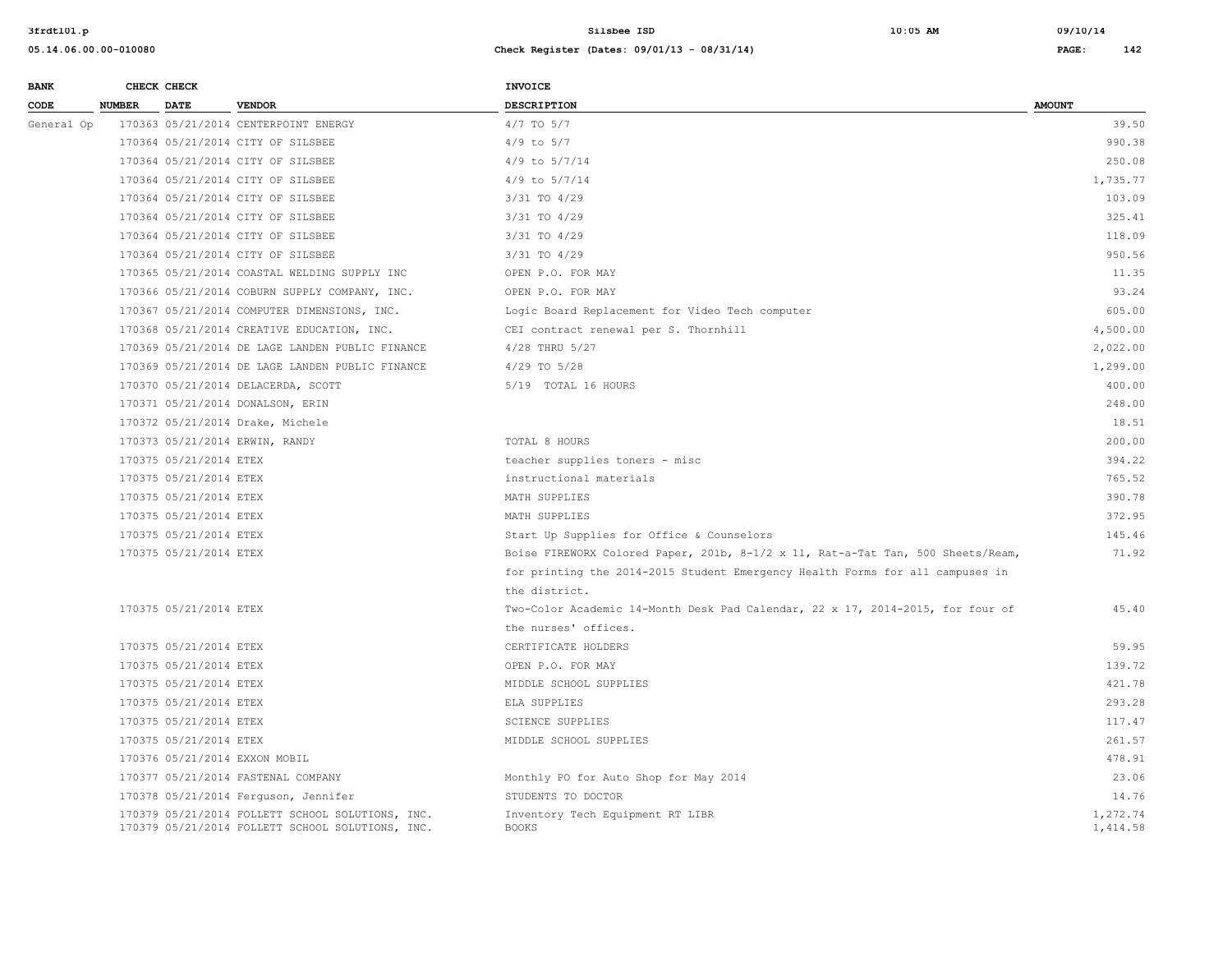| <b>BANK</b> |        | CHECK CHECK            |                                                                                                      | INVOICE                                                                         |                      |
|-------------|--------|------------------------|------------------------------------------------------------------------------------------------------|---------------------------------------------------------------------------------|----------------------|
| CODE        | NUMBER | <b>DATE</b>            | <b>VENDOR</b>                                                                                        | <b>DESCRIPTION</b>                                                              | <b>AMOUNT</b>        |
| General Op  |        |                        | 170363 05/21/2014 CENTERPOINT ENERGY                                                                 | $4/7$ TO $5/7$                                                                  | 39.50                |
|             |        |                        | 170364 05/21/2014 CITY OF SILSBEE                                                                    | $4/9$ to $5/7$                                                                  | 990.38               |
|             |        |                        | 170364 05/21/2014 CITY OF SILSBEE                                                                    | $4/9$ to $5/7/14$                                                               | 250.08               |
|             |        |                        | 170364 05/21/2014 CITY OF SILSBEE                                                                    | $4/9$ to $5/7/14$                                                               | 1,735.77             |
|             |        |                        | 170364 05/21/2014 CITY OF SILSBEE                                                                    | 3/31 TO 4/29                                                                    | 103.09               |
|             |        |                        | 170364 05/21/2014 CITY OF SILSBEE                                                                    | 3/31 TO 4/29                                                                    | 325.41               |
|             |        |                        | 170364 05/21/2014 CITY OF SILSBEE                                                                    | 3/31 TO 4/29                                                                    | 118.09               |
|             |        |                        | 170364 05/21/2014 CITY OF SILSBEE                                                                    | 3/31 TO 4/29                                                                    | 950.56               |
|             |        |                        | 170365 05/21/2014 COASTAL WELDING SUPPLY INC                                                         | OPEN P.O. FOR MAY                                                               | 11.35                |
|             |        |                        | 170366 05/21/2014 COBURN SUPPLY COMPANY, INC.                                                        | OPEN P.O. FOR MAY                                                               | 93.24                |
|             |        |                        | 170367 05/21/2014 COMPUTER DIMENSIONS, INC.                                                          | Logic Board Replacement for Video Tech computer                                 | 605.00               |
|             |        |                        | 170368 05/21/2014 CREATIVE EDUCATION, INC.                                                           | CEI contract renewal per S. Thornhill                                           | 4,500.00             |
|             |        |                        | 170369 05/21/2014 DE LAGE LANDEN PUBLIC FINANCE                                                      | 4/28 THRU 5/27                                                                  | 2,022.00             |
|             |        |                        | 170369 05/21/2014 DE LAGE LANDEN PUBLIC FINANCE                                                      | 4/29 TO 5/28                                                                    | 1,299.00             |
|             |        |                        | 170370 05/21/2014 DELACERDA, SCOTT                                                                   | 5/19 TOTAL 16 HOURS                                                             | 400.00               |
|             |        |                        | 170371 05/21/2014 DONALSON, ERIN                                                                     |                                                                                 | 248.00               |
|             |        |                        | 170372 05/21/2014 Drake, Michele                                                                     |                                                                                 | 18.51                |
|             |        |                        | 170373 05/21/2014 ERWIN, RANDY                                                                       | TOTAL 8 HOURS                                                                   | 200.00               |
|             |        | 170375 05/21/2014 ETEX |                                                                                                      | teacher supplies toners - misc                                                  | 394.22               |
|             |        | 170375 05/21/2014 ETEX |                                                                                                      | instructional materials                                                         | 765.52               |
|             |        | 170375 05/21/2014 ETEX |                                                                                                      | MATH SUPPLIES                                                                   | 390.78               |
|             |        | 170375 05/21/2014 ETEX |                                                                                                      | MATH SUPPLIES                                                                   | 372.95               |
|             |        | 170375 05/21/2014 ETEX |                                                                                                      | Start Up Supplies for Office & Counselors                                       | 145.46               |
|             |        | 170375 05/21/2014 ETEX |                                                                                                      | Boise FIREWORX Colored Paper, 201b, 8-1/2 x 11, Rat-a-Tat Tan, 500 Sheets/Ream, | 71.92                |
|             |        |                        |                                                                                                      | for printing the 2014-2015 Student Emergency Health Forms for all campuses in   |                      |
|             |        |                        |                                                                                                      | the district.                                                                   |                      |
|             |        | 170375 05/21/2014 ETEX |                                                                                                      | Two-Color Academic 14-Month Desk Pad Calendar, 22 x 17, 2014-2015, for four of  | 45.40                |
|             |        |                        |                                                                                                      | the nurses' offices.                                                            |                      |
|             |        | 170375 05/21/2014 ETEX |                                                                                                      | CERTIFICATE HOLDERS                                                             | 59.95                |
|             |        | 170375 05/21/2014 ETEX |                                                                                                      | OPEN P.O. FOR MAY                                                               | 139.72               |
|             |        | 170375 05/21/2014 ETEX |                                                                                                      | MIDDLE SCHOOL SUPPLIES                                                          | 421.78               |
|             |        | 170375 05/21/2014 ETEX |                                                                                                      | ELA SUPPLIES                                                                    | 293.28               |
|             |        | 170375 05/21/2014 ETEX |                                                                                                      | SCIENCE SUPPLIES                                                                | 117.47               |
|             |        | 170375 05/21/2014 ETEX |                                                                                                      | MIDDLE SCHOOL SUPPLIES                                                          | 261.57               |
|             |        |                        | 170376 05/21/2014 EXXON MOBIL                                                                        |                                                                                 | 478.91               |
|             |        |                        | 170377 05/21/2014 FASTENAL COMPANY                                                                   | Monthly PO for Auto Shop for May 2014                                           | 23.06                |
|             |        |                        | 170378 05/21/2014 Ferguson, Jennifer                                                                 | STUDENTS TO DOCTOR                                                              | 14.76                |
|             |        |                        | 170379 05/21/2014 FOLLETT SCHOOL SOLUTIONS, INC.<br>170379 05/21/2014 FOLLETT SCHOOL SOLUTIONS, INC. | Inventory Tech Equipment RT LIBR<br><b>BOOKS</b>                                | 1,272.74<br>1,414.58 |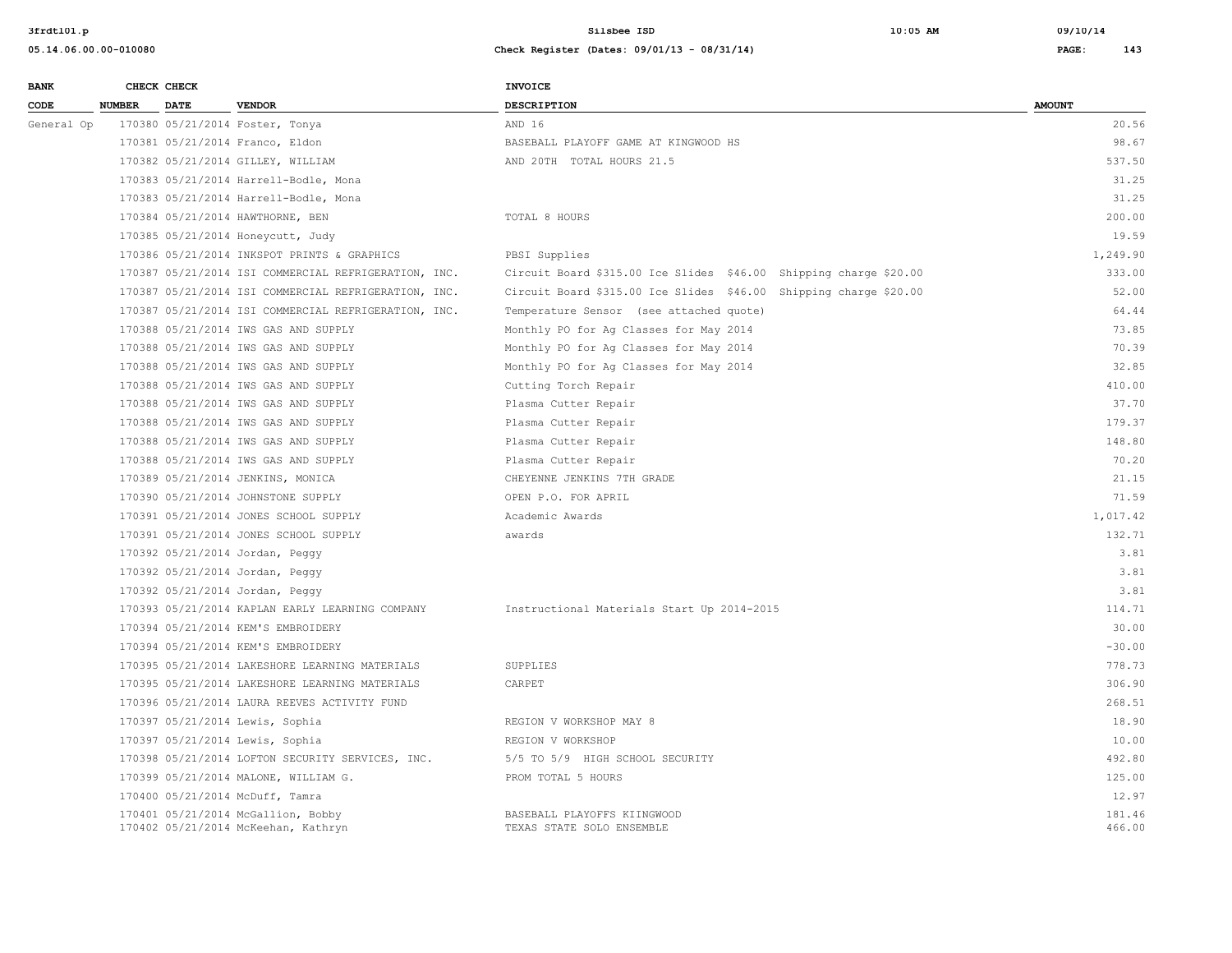| <b>BANK</b> |               | CHECK CHECK |                                                                           | <b>INVOICE</b>                                                    |                  |
|-------------|---------------|-------------|---------------------------------------------------------------------------|-------------------------------------------------------------------|------------------|
| CODE        | <b>NUMBER</b> | <b>DATE</b> | <b>VENDOR</b>                                                             | <b>DESCRIPTION</b>                                                | <b>AMOUNT</b>    |
| General Op  |               |             | 170380 05/21/2014 Foster, Tonya                                           | AND 16                                                            | 20.56            |
|             |               |             | 170381 05/21/2014 Franco, Eldon                                           | BASEBALL PLAYOFF GAME AT KINGWOOD HS                              | 98.67            |
|             |               |             | 170382 05/21/2014 GILLEY, WILLIAM                                         | AND 20TH TOTAL HOURS 21.5                                         | 537.50           |
|             |               |             | 170383 05/21/2014 Harrell-Bodle, Mona                                     |                                                                   | 31.25            |
|             |               |             | 170383 05/21/2014 Harrell-Bodle, Mona                                     |                                                                   | 31.25            |
|             |               |             | 170384 05/21/2014 HAWTHORNE, BEN                                          | TOTAL 8 HOURS                                                     | 200.00           |
|             |               |             | 170385 05/21/2014 Honeycutt, Judy                                         |                                                                   | 19.59            |
|             |               |             | 170386 05/21/2014 INKSPOT PRINTS & GRAPHICS                               | PBSI Supplies                                                     | 1,249.90         |
|             |               |             | 170387 05/21/2014 ISI COMMERCIAL REFRIGERATION, INC.                      | Circuit Board \$315.00 Ice Slides \$46.00 Shipping charge \$20.00 | 333.00           |
|             |               |             | 170387 05/21/2014 ISI COMMERCIAL REFRIGERATION, INC.                      | Circuit Board \$315.00 Ice Slides \$46.00 Shipping charge \$20.00 | 52.00            |
|             |               |             | 170387 05/21/2014 ISI COMMERCIAL REFRIGERATION, INC.                      | Temperature Sensor (see attached quote)                           | 64.44            |
|             |               |             | 170388 05/21/2014 IWS GAS AND SUPPLY                                      | Monthly PO for Ag Classes for May 2014                            | 73.85            |
|             |               |             | 170388 05/21/2014 IWS GAS AND SUPPLY                                      | Monthly PO for Ag Classes for May 2014                            | 70.39            |
|             |               |             | 170388 05/21/2014 IWS GAS AND SUPPLY                                      | Monthly PO for Ag Classes for May 2014                            | 32.85            |
|             |               |             | 170388 05/21/2014 IWS GAS AND SUPPLY                                      | Cutting Torch Repair                                              | 410.00           |
|             |               |             | 170388 05/21/2014 IWS GAS AND SUPPLY                                      | Plasma Cutter Repair                                              | 37.70            |
|             |               |             | 170388 05/21/2014 IWS GAS AND SUPPLY                                      | Plasma Cutter Repair                                              | 179.37           |
|             |               |             | 170388 05/21/2014 IWS GAS AND SUPPLY                                      | Plasma Cutter Repair                                              | 148.80           |
|             |               |             | 170388 05/21/2014 IWS GAS AND SUPPLY                                      | Plasma Cutter Repair                                              | 70.20            |
|             |               |             | 170389 05/21/2014 JENKINS, MONICA                                         | CHEYENNE JENKINS 7TH GRADE                                        | 21.15            |
|             |               |             | 170390 05/21/2014 JOHNSTONE SUPPLY                                        | OPEN P.O. FOR APRIL                                               | 71.59            |
|             |               |             | 170391 05/21/2014 JONES SCHOOL SUPPLY                                     | Academic Awards                                                   | 1,017.42         |
|             |               |             | 170391 05/21/2014 JONES SCHOOL SUPPLY                                     | awards                                                            | 132.71           |
|             |               |             | 170392 05/21/2014 Jordan, Peggy                                           |                                                                   | 3.81             |
|             |               |             | 170392 05/21/2014 Jordan, Peggy                                           |                                                                   | 3.81             |
|             |               |             | 170392 05/21/2014 Jordan, Peggy                                           |                                                                   | 3.81             |
|             |               |             | 170393 05/21/2014 KAPLAN EARLY LEARNING COMPANY                           | Instructional Materials Start Up 2014-2015                        | 114.71           |
|             |               |             | 170394 05/21/2014 KEM'S EMBROIDERY                                        |                                                                   | 30.00            |
|             |               |             | 170394 05/21/2014 KEM'S EMBROIDERY                                        |                                                                   | $-30.00$         |
|             |               |             | 170395 05/21/2014 LAKESHORE LEARNING MATERIALS                            | SUPPLIES                                                          | 778.73           |
|             |               |             | 170395 05/21/2014 LAKESHORE LEARNING MATERIALS                            | CARPET                                                            | 306.90           |
|             |               |             | 170396 05/21/2014 LAURA REEVES ACTIVITY FUND                              |                                                                   | 268.51           |
|             |               |             | 170397 05/21/2014 Lewis, Sophia                                           | REGION V WORKSHOP MAY 8                                           | 18.90            |
|             |               |             | 170397 05/21/2014 Lewis, Sophia                                           | REGION V WORKSHOP                                                 | 10.00            |
|             |               |             | 170398 05/21/2014 LOFTON SECURITY SERVICES, INC.                          | 5/5 TO 5/9 HIGH SCHOOL SECURITY                                   | 492.80           |
|             |               |             | 170399 05/21/2014 MALONE, WILLIAM G.                                      | PROM TOTAL 5 HOURS                                                | 125.00           |
|             |               |             | 170400 05/21/2014 McDuff, Tamra                                           |                                                                   | 12.97            |
|             |               |             | 170401 05/21/2014 McGallion, Bobby<br>170402 05/21/2014 McKeehan, Kathryn | BASEBALL PLAYOFFS KIINGWOOD<br>TEXAS STATE SOLO ENSEMBLE          | 181.46<br>466.00 |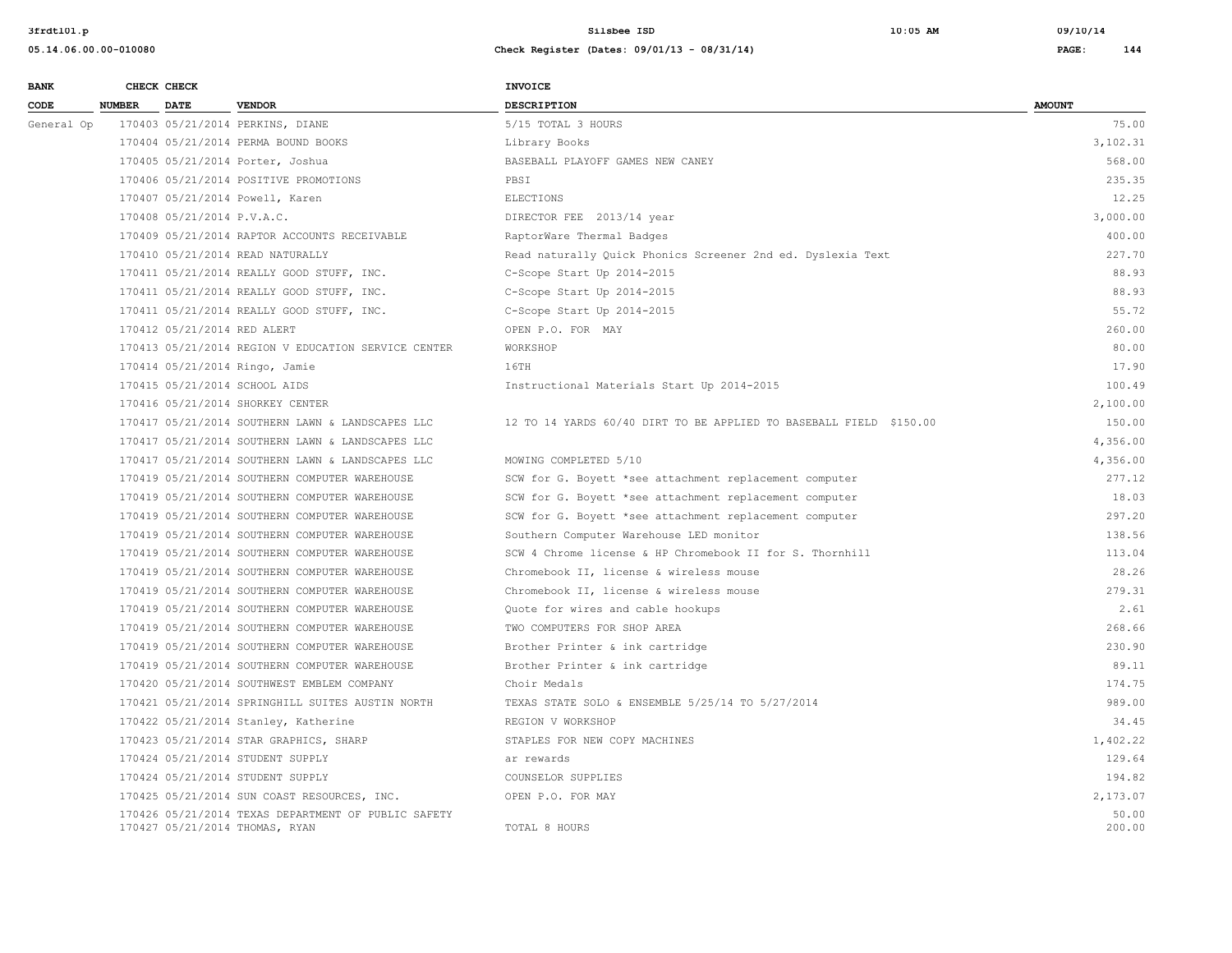| <b>BANK</b> | CHECK CHECK   |                             |                                                                                       | INVOICE                                                            |                 |
|-------------|---------------|-----------------------------|---------------------------------------------------------------------------------------|--------------------------------------------------------------------|-----------------|
| CODE        | <b>NUMBER</b> | <b>DATE</b>                 | <b>VENDOR</b>                                                                         | <b>DESCRIPTION</b>                                                 | <b>AMOUNT</b>   |
| General Op  |               |                             | 170403 05/21/2014 PERKINS, DIANE                                                      | 5/15 TOTAL 3 HOURS                                                 | 75.00           |
|             |               |                             | 170404 05/21/2014 PERMA BOUND BOOKS                                                   | Library Books                                                      | 3,102.31        |
|             |               |                             | 170405 05/21/2014 Porter, Joshua                                                      | BASEBALL PLAYOFF GAMES NEW CANEY                                   | 568.00          |
|             |               |                             | 170406 05/21/2014 POSITIVE PROMOTIONS                                                 | PBSI                                                               | 235.35          |
|             |               |                             | 170407 05/21/2014 Powell, Karen                                                       | ELECTIONS                                                          | 12.25           |
|             |               | 170408 05/21/2014 P.V.A.C.  |                                                                                       | DIRECTOR FEE 2013/14 year                                          | 3,000.00        |
|             |               |                             | 170409 05/21/2014 RAPTOR ACCOUNTS RECEIVABLE                                          | RaptorWare Thermal Badges                                          | 400.00          |
|             |               |                             | 170410 05/21/2014 READ NATURALLY                                                      | Read naturally Quick Phonics Screener 2nd ed. Dyslexia Text        | 227.70          |
|             |               |                             | 170411 05/21/2014 REALLY GOOD STUFF, INC.                                             | C-Scope Start Up 2014-2015                                         | 88.93           |
|             |               |                             | 170411 05/21/2014 REALLY GOOD STUFF, INC.                                             | C-Scope Start Up 2014-2015                                         | 88.93           |
|             |               |                             | 170411 05/21/2014 REALLY GOOD STUFF, INC.                                             | C-Scope Start Up 2014-2015                                         | 55.72           |
|             |               | 170412 05/21/2014 RED ALERT |                                                                                       | OPEN P.O. FOR MAY                                                  | 260.00          |
|             |               |                             | 170413 05/21/2014 REGION V EDUCATION SERVICE CENTER                                   | WORKSHOP                                                           | 80.00           |
|             |               |                             | 170414 05/21/2014 Ringo, Jamie                                                        | 16TH                                                               | 17.90           |
|             |               |                             | 170415 05/21/2014 SCHOOL AIDS                                                         | Instructional Materials Start Up 2014-2015                         | 100.49          |
|             |               |                             | 170416 05/21/2014 SHORKEY CENTER                                                      |                                                                    | 2,100.00        |
|             |               |                             | 170417 05/21/2014 SOUTHERN LAWN & LANDSCAPES LLC                                      | 12 TO 14 YARDS 60/40 DIRT TO BE APPLIED TO BASEBALL FIELD \$150.00 | 150.00          |
|             |               |                             | 170417 05/21/2014 SOUTHERN LAWN & LANDSCAPES LLC                                      |                                                                    | 4,356.00        |
|             |               |                             | 170417 05/21/2014 SOUTHERN LAWN & LANDSCAPES LLC                                      | MOWING COMPLETED 5/10                                              | 4,356.00        |
|             |               |                             | 170419 05/21/2014 SOUTHERN COMPUTER WAREHOUSE                                         | SCW for G. Boyett *see attachment replacement computer             | 277.12          |
|             |               |                             | 170419 05/21/2014 SOUTHERN COMPUTER WAREHOUSE                                         | SCW for G. Boyett *see attachment replacement computer             | 18.03           |
|             |               |                             | 170419 05/21/2014 SOUTHERN COMPUTER WAREHOUSE                                         | SCW for G. Boyett *see attachment replacement computer             | 297.20          |
|             |               |                             | 170419 05/21/2014 SOUTHERN COMPUTER WAREHOUSE                                         | Southern Computer Warehouse LED monitor                            | 138.56          |
|             |               |                             | 170419 05/21/2014 SOUTHERN COMPUTER WAREHOUSE                                         | SCW 4 Chrome license & HP Chromebook II for S. Thornhill           | 113.04          |
|             |               |                             | 170419 05/21/2014 SOUTHERN COMPUTER WAREHOUSE                                         | Chromebook II, license & wireless mouse                            | 28.26           |
|             |               |                             | 170419 05/21/2014 SOUTHERN COMPUTER WAREHOUSE                                         | Chromebook II, license & wireless mouse                            | 279.31          |
|             |               |                             | 170419 05/21/2014 SOUTHERN COMPUTER WAREHOUSE                                         | Quote for wires and cable hookups                                  | 2.61            |
|             |               |                             | 170419 05/21/2014 SOUTHERN COMPUTER WAREHOUSE                                         | TWO COMPUTERS FOR SHOP AREA                                        | 268.66          |
|             |               |                             | 170419 05/21/2014 SOUTHERN COMPUTER WAREHOUSE                                         | Brother Printer & ink cartridge                                    | 230.90          |
|             |               |                             | 170419 05/21/2014 SOUTHERN COMPUTER WAREHOUSE                                         | Brother Printer & ink cartridge                                    | 89.11           |
|             |               |                             | 170420 05/21/2014 SOUTHWEST EMBLEM COMPANY                                            | Choir Medals                                                       | 174.75          |
|             |               |                             | 170421 05/21/2014 SPRINGHILL SUITES AUSTIN NORTH                                      | TEXAS STATE SOLO & ENSEMBLE 5/25/14 TO 5/27/2014                   | 989.00          |
|             |               |                             | 170422 05/21/2014 Stanley, Katherine                                                  | REGION V WORKSHOP                                                  | 34.45           |
|             |               |                             | 170423 05/21/2014 STAR GRAPHICS, SHARP                                                | STAPLES FOR NEW COPY MACHINES                                      | 1,402.22        |
|             |               |                             | 170424 05/21/2014 STUDENT SUPPLY                                                      | ar rewards                                                         | 129.64          |
|             |               |                             | 170424 05/21/2014 STUDENT SUPPLY                                                      | COUNSELOR SUPPLIES                                                 | 194.82          |
|             |               |                             | 170425 05/21/2014 SUN COAST RESOURCES, INC.                                           | OPEN P.O. FOR MAY                                                  | 2,173.07        |
|             |               |                             | 170426 05/21/2014 TEXAS DEPARTMENT OF PUBLIC SAFETY<br>170427 05/21/2014 THOMAS, RYAN | TOTAL 8 HOURS                                                      | 50.00<br>200.00 |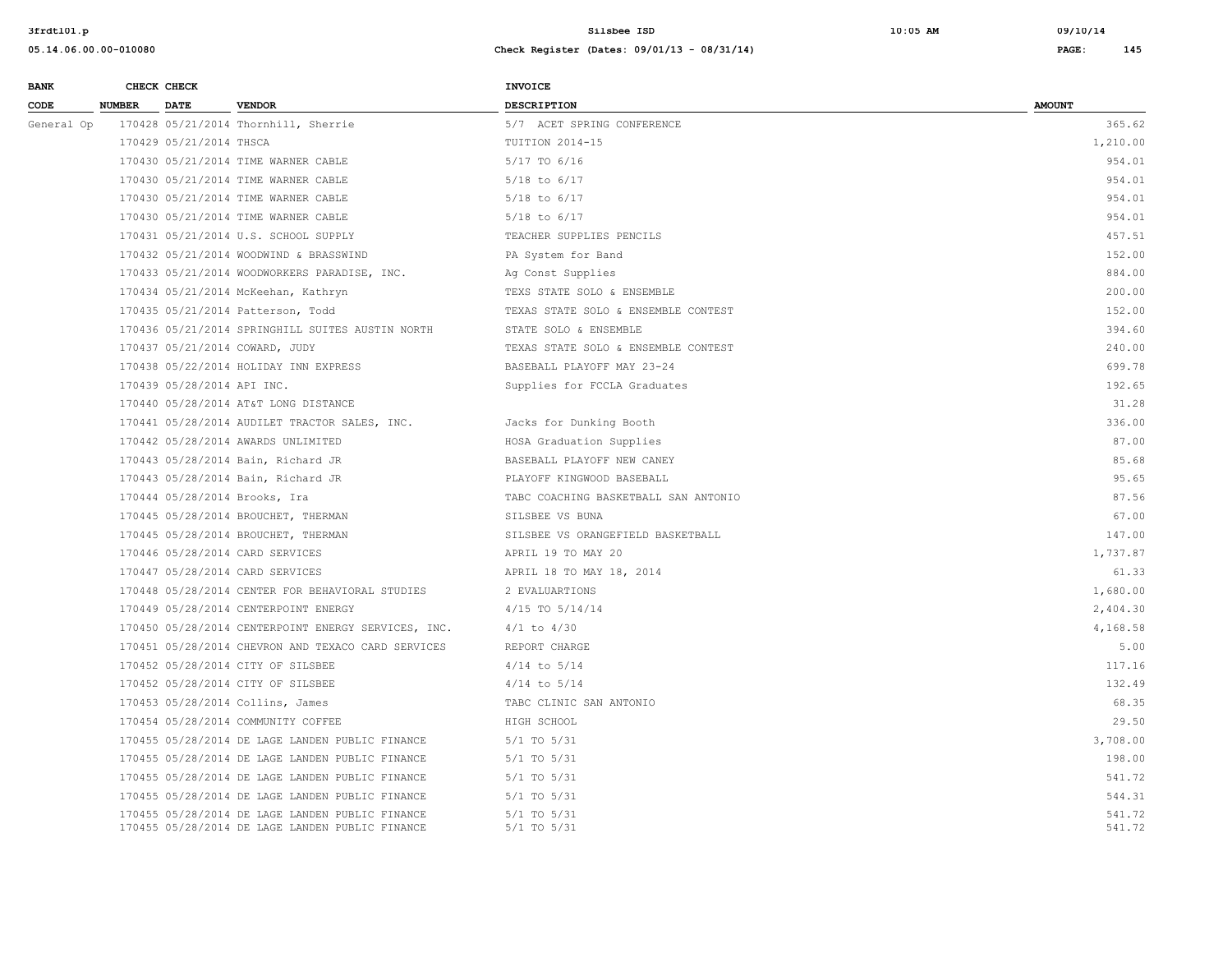| <b>BANK</b> |               | CHECK CHECK                |                                                                                                    | <b>INVOICE</b>                       |                  |
|-------------|---------------|----------------------------|----------------------------------------------------------------------------------------------------|--------------------------------------|------------------|
| CODE        | <b>NUMBER</b> | <b>DATE</b>                | <b>VENDOR</b>                                                                                      | <b>DESCRIPTION</b>                   | <b>AMOUNT</b>    |
| General Op  |               |                            | 170428 05/21/2014 Thornhill, Sherrie                                                               | 5/7 ACET SPRING CONFERENCE           | 365.62           |
|             |               | 170429 05/21/2014 THSCA    |                                                                                                    | TUITION 2014-15                      | 1,210.00         |
|             |               |                            | 170430 05/21/2014 TIME WARNER CABLE                                                                | 5/17 TO 6/16                         | 954.01           |
|             |               |                            | 170430 05/21/2014 TIME WARNER CABLE                                                                | $5/18$ to $6/17$                     | 954.01           |
|             |               |                            | 170430 05/21/2014 TIME WARNER CABLE                                                                | $5/18$ to $6/17$                     | 954.01           |
|             |               |                            | 170430 05/21/2014 TIME WARNER CABLE                                                                | $5/18$ to $6/17$                     | 954.01           |
|             |               |                            | 170431 05/21/2014 U.S. SCHOOL SUPPLY                                                               | TEACHER SUPPLIES PENCILS             | 457.51           |
|             |               |                            | 170432 05/21/2014 WOODWIND & BRASSWIND                                                             | PA System for Band                   | 152.00           |
|             |               |                            | 170433 05/21/2014 WOODWORKERS PARADISE, INC.                                                       | Ag Const Supplies                    | 884.00           |
|             |               |                            | 170434 05/21/2014 McKeehan, Kathryn                                                                | TEXS STATE SOLO & ENSEMBLE           | 200.00           |
|             |               |                            | 170435 05/21/2014 Patterson, Todd                                                                  | TEXAS STATE SOLO & ENSEMBLE CONTEST  | 152.00           |
|             |               |                            | 170436 05/21/2014 SPRINGHILL SUITES AUSTIN NORTH                                                   | STATE SOLO & ENSEMBLE                | 394.60           |
|             |               |                            | 170437 05/21/2014 COWARD, JUDY                                                                     | TEXAS STATE SOLO & ENSEMBLE CONTEST  | 240.00           |
|             |               |                            | 170438 05/22/2014 HOLIDAY INN EXPRESS                                                              | BASEBALL PLAYOFF MAY 23-24           | 699.78           |
|             |               | 170439 05/28/2014 API INC. |                                                                                                    | Supplies for FCCLA Graduates         | 192.65           |
|             |               |                            | 170440 05/28/2014 AT&T LONG DISTANCE                                                               |                                      | 31.28            |
|             |               |                            | 170441 05/28/2014 AUDILET TRACTOR SALES, INC.                                                      | Jacks for Dunking Booth              | 336.00           |
|             |               |                            | 170442 05/28/2014 AWARDS UNLIMITED                                                                 | HOSA Graduation Supplies             | 87.00            |
|             |               |                            | 170443 05/28/2014 Bain, Richard JR                                                                 | BASEBALL PLAYOFF NEW CANEY           | 85.68            |
|             |               |                            | 170443 05/28/2014 Bain, Richard JR                                                                 | PLAYOFF KINGWOOD BASEBALL            | 95.65            |
|             |               |                            | 170444 05/28/2014 Brooks, Ira                                                                      | TABC COACHING BASKETBALL SAN ANTONIO | 87.56            |
|             |               |                            | 170445 05/28/2014 BROUCHET, THERMAN                                                                | SILSBEE VS BUNA                      | 67.00            |
|             |               |                            | 170445 05/28/2014 BROUCHET, THERMAN                                                                | SILSBEE VS ORANGEFIELD BASKETBALL    | 147.00           |
|             |               |                            | 170446 05/28/2014 CARD SERVICES                                                                    | APRIL 19 TO MAY 20                   | 1,737.87         |
|             |               |                            | 170447 05/28/2014 CARD SERVICES                                                                    | APRIL 18 TO MAY 18, 2014             | 61.33            |
|             |               |                            | 170448 05/28/2014 CENTER FOR BEHAVIORAL STUDIES                                                    | 2 EVALUARTIONS                       | 1,680.00         |
|             |               |                            | 170449 05/28/2014 CENTERPOINT ENERGY                                                               | $4/15$ TO $5/14/14$                  | 2,404.30         |
|             |               |                            | 170450 05/28/2014 CENTERPOINT ENERGY SERVICES, INC.                                                | $4/1$ to $4/30$                      | 4,168.58         |
|             |               |                            | 170451 05/28/2014 CHEVRON AND TEXACO CARD SERVICES                                                 | REPORT CHARGE                        | 5.00             |
|             |               |                            | 170452 05/28/2014 CITY OF SILSBEE                                                                  | $4/14$ to $5/14$                     | 117.16           |
|             |               |                            | 170452 05/28/2014 CITY OF SILSBEE                                                                  | $4/14$ to $5/14$                     | 132.49           |
|             |               |                            | 170453 05/28/2014 Collins, James                                                                   | TABC CLINIC SAN ANTONIO              | 68.35            |
|             |               |                            | 170454 05/28/2014 COMMUNITY COFFEE                                                                 | HIGH SCHOOL                          | 29.50            |
|             |               |                            | 170455 05/28/2014 DE LAGE LANDEN PUBLIC FINANCE                                                    | 5/1 TO 5/31                          | 3,708.00         |
|             |               |                            | 170455 05/28/2014 DE LAGE LANDEN PUBLIC FINANCE                                                    | 5/1 TO 5/31                          | 198.00           |
|             |               |                            | 170455 05/28/2014 DE LAGE LANDEN PUBLIC FINANCE                                                    | 5/1 TO 5/31                          | 541.72           |
|             |               |                            | 170455 05/28/2014 DE LAGE LANDEN PUBLIC FINANCE                                                    | $5/1$ TO $5/31$                      | 544.31           |
|             |               |                            | 170455 05/28/2014 DE LAGE LANDEN PUBLIC FINANCE<br>170455 05/28/2014 DE LAGE LANDEN PUBLIC FINANCE | $5/1$ TO $5/31$<br>$5/1$ TO $5/31$   | 541.72<br>541.72 |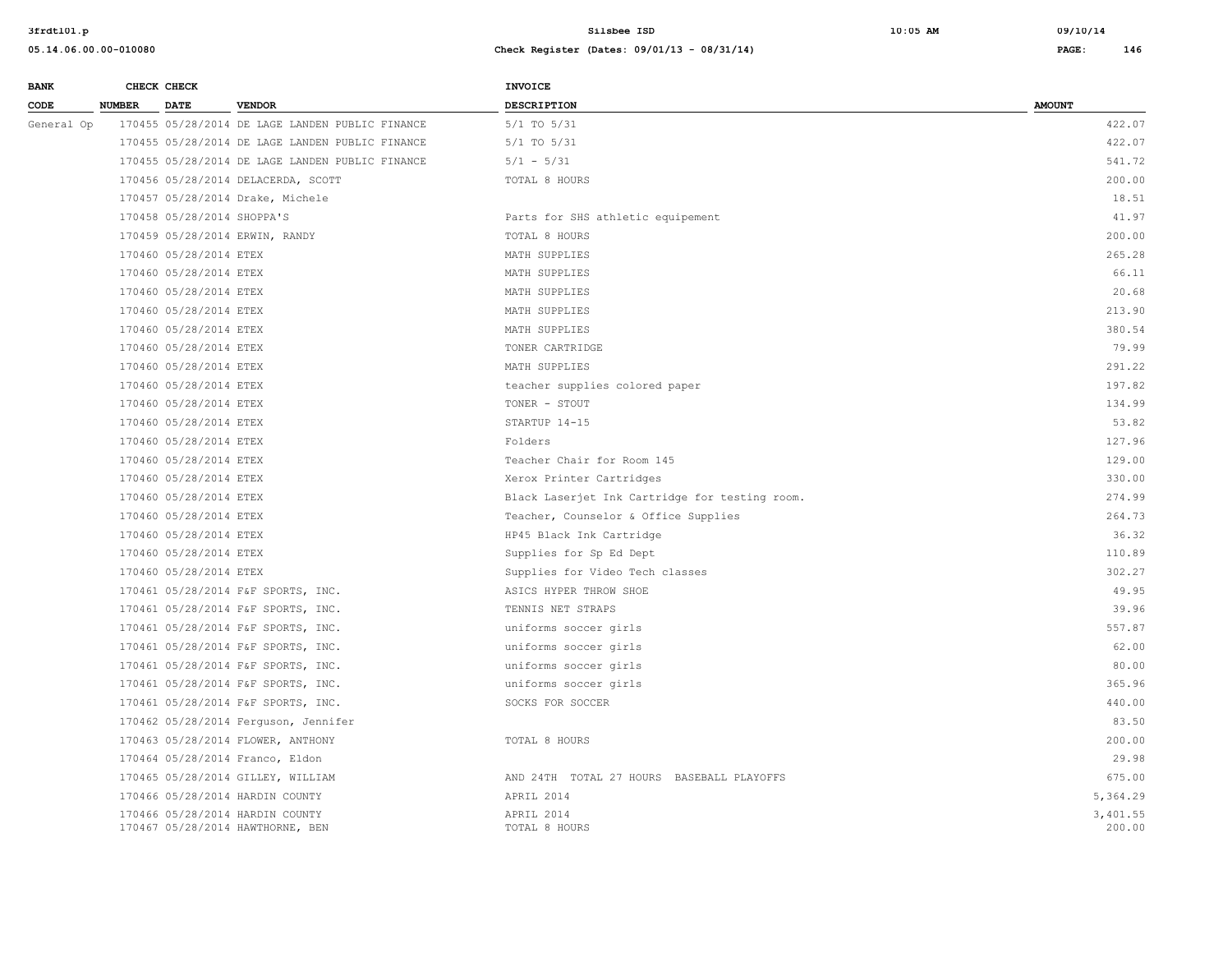| <b>BANK</b> |               | CHECK CHECK                |                                                                     | <b>INVOICE</b>                                 |                    |
|-------------|---------------|----------------------------|---------------------------------------------------------------------|------------------------------------------------|--------------------|
| CODE        | <b>NUMBER</b> | <b>DATE</b>                | <b>VENDOR</b>                                                       | DESCRIPTION                                    | <b>AMOUNT</b>      |
| General Op  |               |                            | 170455 05/28/2014 DE LAGE LANDEN PUBLIC FINANCE                     | 5/1 TO 5/31                                    | 422.07             |
|             |               |                            | 170455 05/28/2014 DE LAGE LANDEN PUBLIC FINANCE                     | 5/1 TO 5/31                                    | 422.07             |
|             |               |                            | 170455 05/28/2014 DE LAGE LANDEN PUBLIC FINANCE                     | $5/1 - 5/31$                                   | 541.72             |
|             |               |                            | 170456 05/28/2014 DELACERDA, SCOTT                                  | TOTAL 8 HOURS                                  | 200.00             |
|             |               |                            | 170457 05/28/2014 Drake, Michele                                    |                                                | 18.51              |
|             |               | 170458 05/28/2014 SHOPPA'S |                                                                     | Parts for SHS athletic equipement              | 41.97              |
|             |               |                            | 170459 05/28/2014 ERWIN, RANDY                                      | TOTAL 8 HOURS                                  | 200.00             |
|             |               | 170460 05/28/2014 ETEX     |                                                                     | MATH SUPPLIES                                  | 265.28             |
|             |               | 170460 05/28/2014 ETEX     |                                                                     | MATH SUPPLIES                                  | 66.11              |
|             |               | 170460 05/28/2014 ETEX     |                                                                     | MATH SUPPLIES                                  | 20.68              |
|             |               | 170460 05/28/2014 ETEX     |                                                                     | MATH SUPPLIES                                  | 213.90             |
|             |               | 170460 05/28/2014 ETEX     |                                                                     | MATH SUPPLIES                                  | 380.54             |
|             |               | 170460 05/28/2014 ETEX     |                                                                     | TONER CARTRIDGE                                | 79.99              |
|             |               | 170460 05/28/2014 ETEX     |                                                                     | MATH SUPPLIES                                  | 291.22             |
|             |               | 170460 05/28/2014 ETEX     |                                                                     | teacher supplies colored paper                 | 197.82             |
|             |               | 170460 05/28/2014 ETEX     |                                                                     | TONER - STOUT                                  | 134.99             |
|             |               | 170460 05/28/2014 ETEX     |                                                                     | STARTUP 14-15                                  | 53.82              |
|             |               | 170460 05/28/2014 ETEX     |                                                                     | Folders                                        | 127.96             |
|             |               | 170460 05/28/2014 ETEX     |                                                                     | Teacher Chair for Room 145                     | 129.00             |
|             |               | 170460 05/28/2014 ETEX     |                                                                     | Xerox Printer Cartridges                       | 330.00             |
|             |               | 170460 05/28/2014 ETEX     |                                                                     | Black Laserjet Ink Cartridge for testing room. | 274.99             |
|             |               | 170460 05/28/2014 ETEX     |                                                                     | Teacher, Counselor & Office Supplies           | 264.73             |
|             |               | 170460 05/28/2014 ETEX     |                                                                     | HP45 Black Ink Cartridge                       | 36.32              |
|             |               | 170460 05/28/2014 ETEX     |                                                                     | Supplies for Sp Ed Dept                        | 110.89             |
|             |               | 170460 05/28/2014 ETEX     |                                                                     | Supplies for Video Tech classes                | 302.27             |
|             |               |                            | 170461 05/28/2014 F&F SPORTS, INC.                                  | ASICS HYPER THROW SHOE                         | 49.95              |
|             |               |                            | 170461 05/28/2014 F&F SPORTS, INC.                                  | TENNIS NET STRAPS                              | 39.96              |
|             |               |                            | 170461 05/28/2014 F&F SPORTS, INC.                                  | uniforms soccer girls                          | 557.87             |
|             |               |                            | 170461 05/28/2014 F&F SPORTS, INC.                                  | uniforms soccer girls                          | 62.00              |
|             |               |                            | 170461 05/28/2014 F&F SPORTS, INC.                                  | uniforms soccer girls                          | 80.00              |
|             |               |                            | 170461 05/28/2014 F&F SPORTS, INC.                                  | uniforms soccer girls                          | 365.96             |
|             |               |                            | 170461 05/28/2014 F&F SPORTS, INC.                                  | SOCKS FOR SOCCER                               | 440.00             |
|             |               |                            | 170462 05/28/2014 Ferguson, Jennifer                                |                                                | 83.50              |
|             |               |                            | 170463 05/28/2014 FLOWER, ANTHONY                                   | TOTAL 8 HOURS                                  | 200.00             |
|             |               |                            | 170464 05/28/2014 Franco, Eldon                                     |                                                | 29.98              |
|             |               |                            | 170465 05/28/2014 GILLEY, WILLIAM                                   | AND 24TH TOTAL 27 HOURS BASEBALL PLAYOFFS      | 675.00             |
|             |               |                            | 170466 05/28/2014 HARDIN COUNTY                                     | APRIL 2014                                     | 5,364.29           |
|             |               |                            | 170466 05/28/2014 HARDIN COUNTY<br>170467 05/28/2014 HAWTHORNE, BEN | APRIL 2014<br>TOTAL 8 HOURS                    | 3,401.55<br>200.00 |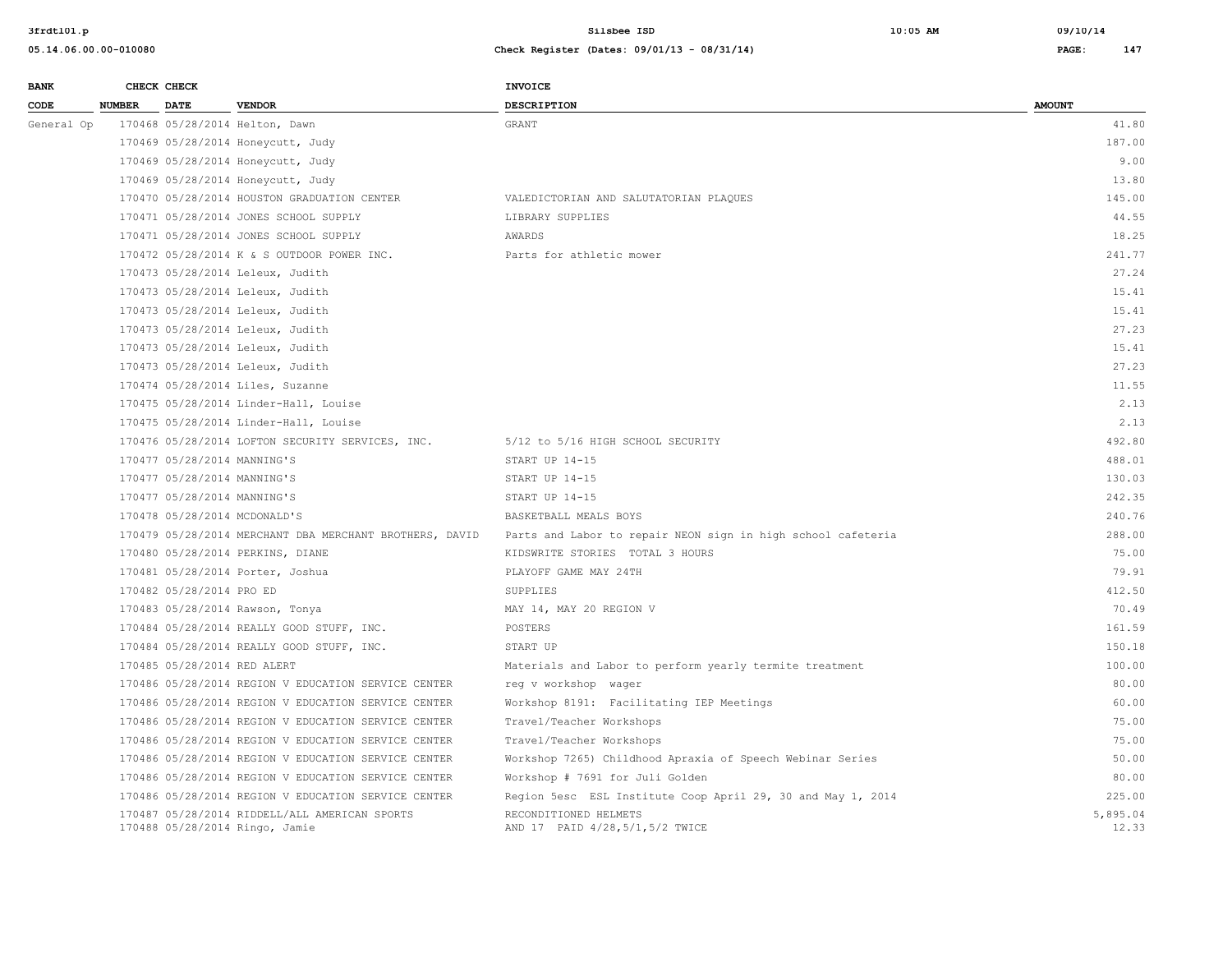| <b>BANK</b> |               | CHECK CHECK                 |                                                                                 | <b>INVOICE</b>                                               |                   |
|-------------|---------------|-----------------------------|---------------------------------------------------------------------------------|--------------------------------------------------------------|-------------------|
| CODE        | <b>NUMBER</b> | <b>DATE</b>                 | <b>VENDOR</b>                                                                   | <b>DESCRIPTION</b>                                           | <b>AMOUNT</b>     |
| General Op  |               |                             | 170468 05/28/2014 Helton, Dawn                                                  | <b>GRANT</b>                                                 | 41.80             |
|             |               |                             | 170469 05/28/2014 Honeycutt, Judy                                               |                                                              | 187.00            |
|             |               |                             | 170469 05/28/2014 Honeycutt, Judy                                               |                                                              | 9.00              |
|             |               |                             | 170469 05/28/2014 Honeycutt, Judy                                               |                                                              | 13.80             |
|             |               |                             | 170470 05/28/2014 HOUSTON GRADUATION CENTER                                     | VALEDICTORIAN AND SALUTATORIAN PLAQUES                       | 145.00            |
|             |               |                             | 170471 05/28/2014 JONES SCHOOL SUPPLY                                           | LIBRARY SUPPLIES                                             | 44.55             |
|             |               |                             | 170471 05/28/2014 JONES SCHOOL SUPPLY                                           | AWARDS                                                       | 18.25             |
|             |               |                             | 170472 05/28/2014 K & S OUTDOOR POWER INC.                                      | Parts for athletic mower                                     | 241.77            |
|             |               |                             | 170473 05/28/2014 Leleux, Judith                                                |                                                              | 27.24             |
|             |               |                             | 170473 05/28/2014 Leleux, Judith                                                |                                                              | 15.41             |
|             |               |                             | 170473 05/28/2014 Leleux, Judith                                                |                                                              | 15.41             |
|             |               |                             | 170473 05/28/2014 Leleux, Judith                                                |                                                              | 27.23             |
|             |               |                             | 170473 05/28/2014 Leleux, Judith                                                |                                                              | 15.41             |
|             |               |                             | 170473 05/28/2014 Leleux, Judith                                                |                                                              | 27.23             |
|             |               |                             | 170474 05/28/2014 Liles, Suzanne                                                |                                                              | 11.55             |
|             |               |                             | 170475 05/28/2014 Linder-Hall, Louise                                           |                                                              | 2.13              |
|             |               |                             | 170475 05/28/2014 Linder-Hall, Louise                                           |                                                              | 2.13              |
|             |               |                             | 170476 05/28/2014 LOFTON SECURITY SERVICES, INC.                                | 5/12 to 5/16 HIGH SCHOOL SECURITY                            | 492.80            |
|             |               | 170477 05/28/2014 MANNING'S |                                                                                 | START UP 14-15                                               | 488.01            |
|             |               | 170477 05/28/2014 MANNING'S |                                                                                 | START UP 14-15                                               | 130.03            |
|             |               | 170477 05/28/2014 MANNING'S |                                                                                 | START UP 14-15                                               | 242.35            |
|             |               |                             | 170478 05/28/2014 MCDONALD'S                                                    | BASKETBALL MEALS BOYS                                        | 240.76            |
|             |               |                             | 170479 05/28/2014 MERCHANT DBA MERCHANT BROTHERS, DAVID                         | Parts and Labor to repair NEON sign in high school cafeteria | 288.00            |
|             |               |                             | 170480 05/28/2014 PERKINS, DIANE                                                | KIDSWRITE STORIES TOTAL 3 HOURS                              | 75.00             |
|             |               |                             | 170481 05/28/2014 Porter, Joshua                                                | PLAYOFF GAME MAY 24TH                                        | 79.91             |
|             |               | 170482 05/28/2014 PRO ED    |                                                                                 | SUPPLIES                                                     | 412.50            |
|             |               |                             | 170483 05/28/2014 Rawson, Tonya                                                 | MAY 14, MAY 20 REGION V                                      | 70.49             |
|             |               |                             | 170484 05/28/2014 REALLY GOOD STUFF, INC.                                       | POSTERS                                                      | 161.59            |
|             |               |                             | 170484 05/28/2014 REALLY GOOD STUFF, INC.                                       | START UP                                                     | 150.18            |
|             |               | 170485 05/28/2014 RED ALERT |                                                                                 | Materials and Labor to perform yearly termite treatment      | 100.00            |
|             |               |                             | 170486 05/28/2014 REGION V EDUCATION SERVICE CENTER                             | reg v workshop wager                                         | 80.00             |
|             |               |                             | 170486 05/28/2014 REGION V EDUCATION SERVICE CENTER                             | Workshop 8191: Facilitating IEP Meetings                     | 60.00             |
|             |               |                             | 170486 05/28/2014 REGION V EDUCATION SERVICE CENTER                             | Travel/Teacher Workshops                                     | 75.00             |
|             |               |                             | 170486 05/28/2014 REGION V EDUCATION SERVICE CENTER                             | Travel/Teacher Workshops                                     | 75.00             |
|             |               |                             | 170486 05/28/2014 REGION V EDUCATION SERVICE CENTER                             | Workshop 7265) Childhood Apraxia of Speech Webinar Series    | 50.00             |
|             |               |                             | 170486 05/28/2014 REGION V EDUCATION SERVICE CENTER                             | Workshop # 7691 for Juli Golden                              | 80.00             |
|             |               |                             | 170486 05/28/2014 REGION V EDUCATION SERVICE CENTER                             | Region 5esc ESL Institute Coop April 29, 30 and May 1, 2014  | 225.00            |
|             |               |                             | 170487 05/28/2014 RIDDELL/ALL AMERICAN SPORTS<br>170488 05/28/2014 Ringo, Jamie | RECONDITIONED HELMETS<br>AND 17 PAID 4/28, 5/1, 5/2 TWICE    | 5,895.04<br>12.33 |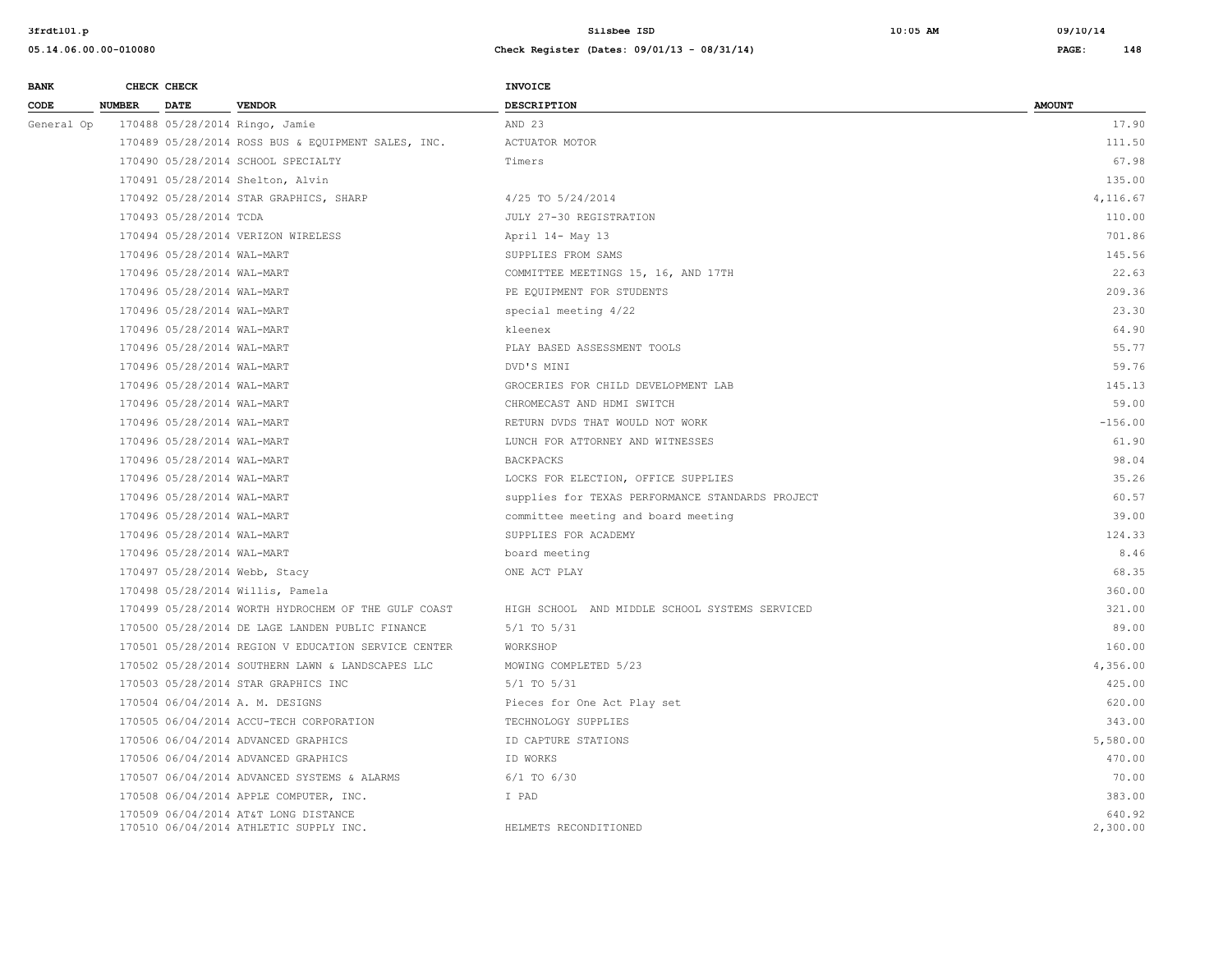| <b>BANK</b> |               | CHECK CHECK                |                                                                                | <b>INVOICE</b>                                   |                    |
|-------------|---------------|----------------------------|--------------------------------------------------------------------------------|--------------------------------------------------|--------------------|
| CODE        | <b>NUMBER</b> | <b>DATE</b>                | <b>VENDOR</b>                                                                  | <b>DESCRIPTION</b>                               | <b>AMOUNT</b>      |
| General Op  |               |                            | 170488 05/28/2014 Ringo, Jamie                                                 | AND 23                                           | 17.90              |
|             |               |                            | 170489 05/28/2014 ROSS BUS & EQUIPMENT SALES, INC.                             | ACTUATOR MOTOR                                   | 111.50             |
|             |               |                            | 170490 05/28/2014 SCHOOL SPECIALTY                                             | Timers                                           | 67.98              |
|             |               |                            | 170491 05/28/2014 Shelton, Alvin                                               |                                                  | 135.00             |
|             |               |                            | 170492 05/28/2014 STAR GRAPHICS, SHARP                                         | 4/25 TO 5/24/2014                                | 4,116.67           |
|             |               | 170493 05/28/2014 TCDA     |                                                                                | JULY 27-30 REGISTRATION                          | 110.00             |
|             |               |                            | 170494 05/28/2014 VERIZON WIRELESS                                             | April 14- May 13                                 | 701.86             |
|             |               | 170496 05/28/2014 WAL-MART |                                                                                | SUPPLIES FROM SAMS                               | 145.56             |
|             |               | 170496 05/28/2014 WAL-MART |                                                                                | COMMITTEE MEETINGS 15, 16, AND 17TH              | 22.63              |
|             |               | 170496 05/28/2014 WAL-MART |                                                                                | PE EQUIPMENT FOR STUDENTS                        | 209.36             |
|             |               | 170496 05/28/2014 WAL-MART |                                                                                | special meeting 4/22                             | 23.30              |
|             |               | 170496 05/28/2014 WAL-MART |                                                                                | kleenex                                          | 64.90              |
|             |               | 170496 05/28/2014 WAL-MART |                                                                                | PLAY BASED ASSESSMENT TOOLS                      | 55.77              |
|             |               | 170496 05/28/2014 WAL-MART |                                                                                | DVD'S MINI                                       | 59.76              |
|             |               | 170496 05/28/2014 WAL-MART |                                                                                | GROCERIES FOR CHILD DEVELOPMENT LAB              | 145.13             |
|             |               | 170496 05/28/2014 WAL-MART |                                                                                | CHROMECAST AND HDMI SWITCH                       | 59.00              |
|             |               | 170496 05/28/2014 WAL-MART |                                                                                | RETURN DVDS THAT WOULD NOT WORK                  | $-156.00$          |
|             |               | 170496 05/28/2014 WAL-MART |                                                                                | LUNCH FOR ATTORNEY AND WITNESSES                 | 61.90              |
|             |               | 170496 05/28/2014 WAL-MART |                                                                                | <b>BACKPACKS</b>                                 | 98.04              |
|             |               | 170496 05/28/2014 WAL-MART |                                                                                | LOCKS FOR ELECTION, OFFICE SUPPLIES              | 35.26              |
|             |               | 170496 05/28/2014 WAL-MART |                                                                                | supplies for TEXAS PERFORMANCE STANDARDS PROJECT | 60.57              |
|             |               | 170496 05/28/2014 WAL-MART |                                                                                | committee meeting and board meeting              | 39.00              |
|             |               | 170496 05/28/2014 WAL-MART |                                                                                | SUPPLIES FOR ACADEMY                             | 124.33             |
|             |               | 170496 05/28/2014 WAL-MART |                                                                                | board meeting                                    | 8.46               |
|             |               |                            | 170497 05/28/2014 Webb, Stacy                                                  | ONE ACT PLAY                                     | 68.35              |
|             |               |                            | 170498 05/28/2014 Willis, Pamela                                               |                                                  | 360.00             |
|             |               |                            | 170499 05/28/2014 WORTH HYDROCHEM OF THE GULF COAST                            | HIGH SCHOOL AND MIDDLE SCHOOL SYSTEMS SERVICED   | 321.00             |
|             |               |                            | 170500 05/28/2014 DE LAGE LANDEN PUBLIC FINANCE                                | $5/1$ TO $5/31$                                  | 89.00              |
|             |               |                            | 170501 05/28/2014 REGION V EDUCATION SERVICE CENTER                            | WORKSHOP                                         | 160.00             |
|             |               |                            | 170502 05/28/2014 SOUTHERN LAWN & LANDSCAPES LLC                               | MOWING COMPLETED 5/23                            | 4,356.00           |
|             |               |                            | 170503 05/28/2014 STAR GRAPHICS INC                                            | $5/1$ TO $5/31$                                  | 425.00             |
|             |               |                            | 170504 06/04/2014 A. M. DESIGNS                                                | Pieces for One Act Play set                      | 620.00             |
|             |               |                            | 170505 06/04/2014 ACCU-TECH CORPORATION                                        | TECHNOLOGY SUPPLIES                              | 343.00             |
|             |               |                            | 170506 06/04/2014 ADVANCED GRAPHICS                                            | ID CAPTURE STATIONS                              | 5,580.00           |
|             |               |                            | 170506 06/04/2014 ADVANCED GRAPHICS                                            | ID WORKS                                         | 470.00             |
|             |               |                            | 170507 06/04/2014 ADVANCED SYSTEMS & ALARMS                                    | $6/1$ TO $6/30$                                  | 70.00              |
|             |               |                            | 170508 06/04/2014 APPLE COMPUTER, INC.                                         | I PAD                                            | 383.00             |
|             |               |                            | 170509 06/04/2014 AT&T LONG DISTANCE<br>170510 06/04/2014 ATHLETIC SUPPLY INC. | HELMETS RECONDITIONED                            | 640.92<br>2,300.00 |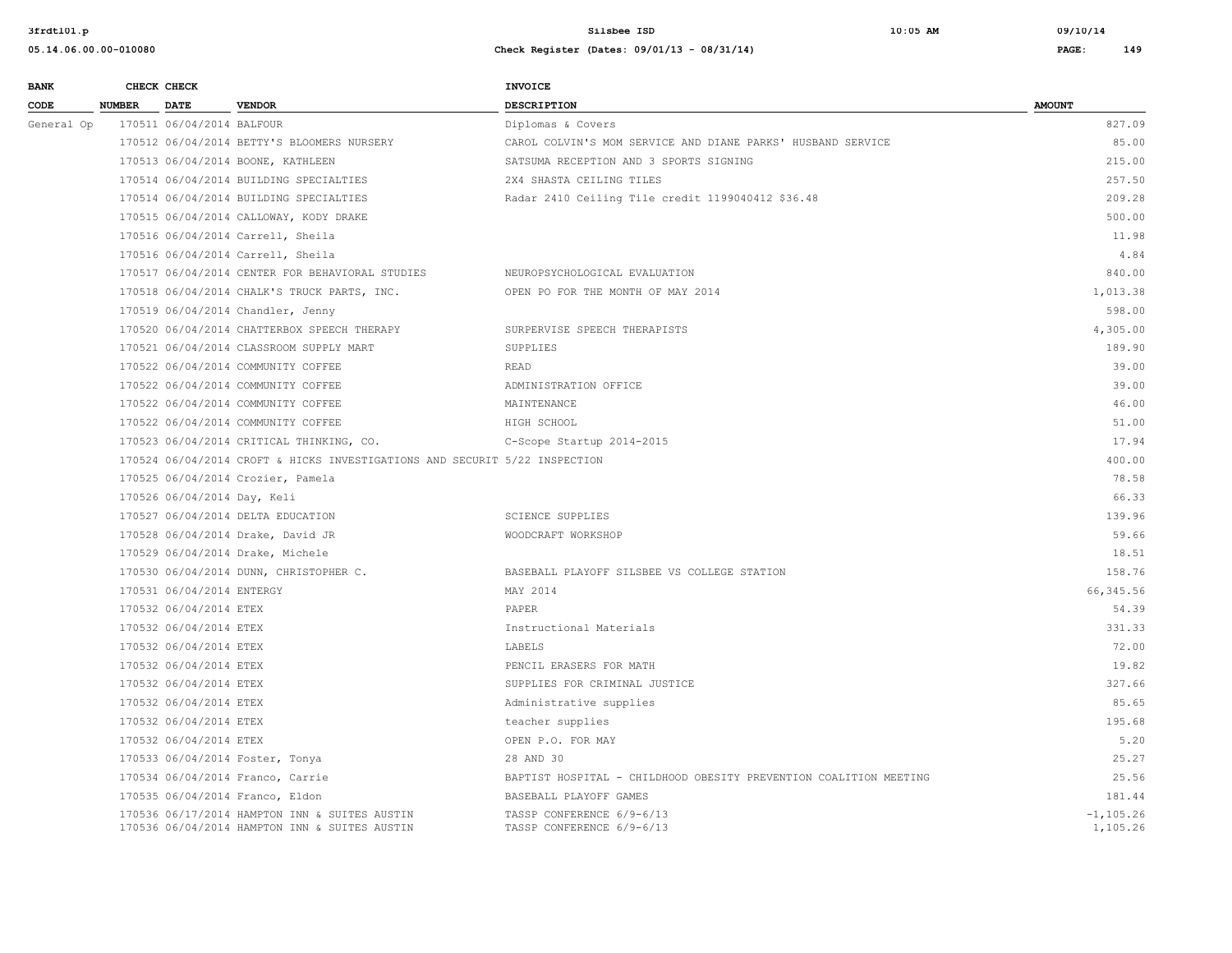| <b>BANK</b> |               | CHECK CHECK                 |                                                                                                | <b>INVOICE</b>                                                    |                          |
|-------------|---------------|-----------------------------|------------------------------------------------------------------------------------------------|-------------------------------------------------------------------|--------------------------|
| CODE        | <b>NUMBER</b> | <b>DATE</b>                 | <b>VENDOR</b>                                                                                  | <b>DESCRIPTION</b>                                                | <b>AMOUNT</b>            |
| General Op  |               | 170511 06/04/2014 BALFOUR   |                                                                                                | Diplomas & Covers                                                 | 827.09                   |
|             |               |                             | 170512 06/04/2014 BETTY'S BLOOMERS NURSERY                                                     | CAROL COLVIN'S MOM SERVICE AND DIANE PARKS' HUSBAND SERVICE       | 85.00                    |
|             |               |                             | 170513 06/04/2014 BOONE, KATHLEEN                                                              | SATSUMA RECEPTION AND 3 SPORTS SIGNING                            | 215.00                   |
|             |               |                             | 170514 06/04/2014 BUILDING SPECIALTIES                                                         | 2X4 SHASTA CEILING TILES                                          | 257.50                   |
|             |               |                             | 170514 06/04/2014 BUILDING SPECIALTIES                                                         | Radar 2410 Ceiling Tile credit 1199040412 \$36.48                 | 209.28                   |
|             |               |                             | 170515 06/04/2014 CALLOWAY, KODY DRAKE                                                         |                                                                   | 500.00                   |
|             |               |                             | 170516 06/04/2014 Carrell, Sheila                                                              |                                                                   | 11.98                    |
|             |               |                             | 170516 06/04/2014 Carrell, Sheila                                                              |                                                                   | 4.84                     |
|             |               |                             | 170517 06/04/2014 CENTER FOR BEHAVIORAL STUDIES                                                | NEUROPSYCHOLOGICAL EVALUATION                                     | 840.00                   |
|             |               |                             | 170518 06/04/2014 CHALK'S TRUCK PARTS, INC.                                                    | OPEN PO FOR THE MONTH OF MAY 2014                                 | 1,013.38                 |
|             |               |                             | 170519 06/04/2014 Chandler, Jenny                                                              |                                                                   | 598.00                   |
|             |               |                             | 170520 06/04/2014 CHATTERBOX SPEECH THERAPY                                                    | SURPERVISE SPEECH THERAPISTS                                      | 4,305.00                 |
|             |               |                             | 170521 06/04/2014 CLASSROOM SUPPLY MART                                                        | SUPPLIES                                                          | 189.90                   |
|             |               |                             | 170522 06/04/2014 COMMUNITY COFFEE                                                             | <b>READ</b>                                                       | 39.00                    |
|             |               |                             | 170522 06/04/2014 COMMUNITY COFFEE                                                             | ADMINISTRATION OFFICE                                             | 39.00                    |
|             |               |                             | 170522 06/04/2014 COMMUNITY COFFEE                                                             | MAINTENANCE                                                       | 46.00                    |
|             |               |                             | 170522 06/04/2014 COMMUNITY COFFEE                                                             | HIGH SCHOOL                                                       | 51.00                    |
|             |               |                             | 170523 06/04/2014 CRITICAL THINKING, CO.                                                       | C-Scope Startup 2014-2015                                         | 17.94                    |
|             |               |                             | 170524 06/04/2014 CROFT & HICKS INVESTIGATIONS AND SECURIT 5/22 INSPECTION                     |                                                                   | 400.00                   |
|             |               |                             | 170525 06/04/2014 Crozier, Pamela                                                              |                                                                   | 78.58                    |
|             |               | 170526 06/04/2014 Day, Keli |                                                                                                |                                                                   | 66.33                    |
|             |               |                             | 170527 06/04/2014 DELTA EDUCATION                                                              | <b>SCIENCE SUPPLIES</b>                                           | 139.96                   |
|             |               |                             | 170528 06/04/2014 Drake, David JR                                                              | WOODCRAFT WORKSHOP                                                | 59.66                    |
|             |               |                             | 170529 06/04/2014 Drake, Michele                                                               |                                                                   | 18.51                    |
|             |               |                             | 170530 06/04/2014 DUNN, CHRISTOPHER C.                                                         | BASEBALL PLAYOFF SILSBEE VS COLLEGE STATION                       | 158.76                   |
|             |               | 170531 06/04/2014 ENTERGY   |                                                                                                | MAY 2014                                                          | 66, 345.56               |
|             |               | 170532 06/04/2014 ETEX      |                                                                                                | PAPER                                                             | 54.39                    |
|             |               | 170532 06/04/2014 ETEX      |                                                                                                | Instructional Materials                                           | 331.33                   |
|             |               | 170532 06/04/2014 ETEX      |                                                                                                | LABELS                                                            | 72.00                    |
|             |               | 170532 06/04/2014 ETEX      |                                                                                                | PENCIL ERASERS FOR MATH                                           | 19.82                    |
|             |               | 170532 06/04/2014 ETEX      |                                                                                                | SUPPLIES FOR CRIMINAL JUSTICE                                     | 327.66                   |
|             |               | 170532 06/04/2014 ETEX      |                                                                                                | Administrative supplies                                           | 85.65                    |
|             |               | 170532 06/04/2014 ETEX      |                                                                                                | teacher supplies                                                  | 195.68                   |
|             |               | 170532 06/04/2014 ETEX      |                                                                                                | OPEN P.O. FOR MAY                                                 | 5.20                     |
|             |               |                             | 170533 06/04/2014 Foster, Tonya                                                                | 28 AND 30                                                         | 25.27                    |
|             |               |                             | 170534 06/04/2014 Franco, Carrie                                                               | BAPTIST HOSPITAL - CHILDHOOD OBESITY PREVENTION COALITION MEETING | 25.56                    |
|             |               |                             | 170535 06/04/2014 Franco, Eldon                                                                | BASEBALL PLAYOFF GAMES                                            | 181.44                   |
|             |               |                             | 170536 06/17/2014 HAMPTON INN & SUITES AUSTIN<br>170536 06/04/2014 HAMPTON INN & SUITES AUSTIN | TASSP CONFERENCE 6/9-6/13<br>TASSP CONFERENCE 6/9-6/13            | $-1, 105.26$<br>1,105.26 |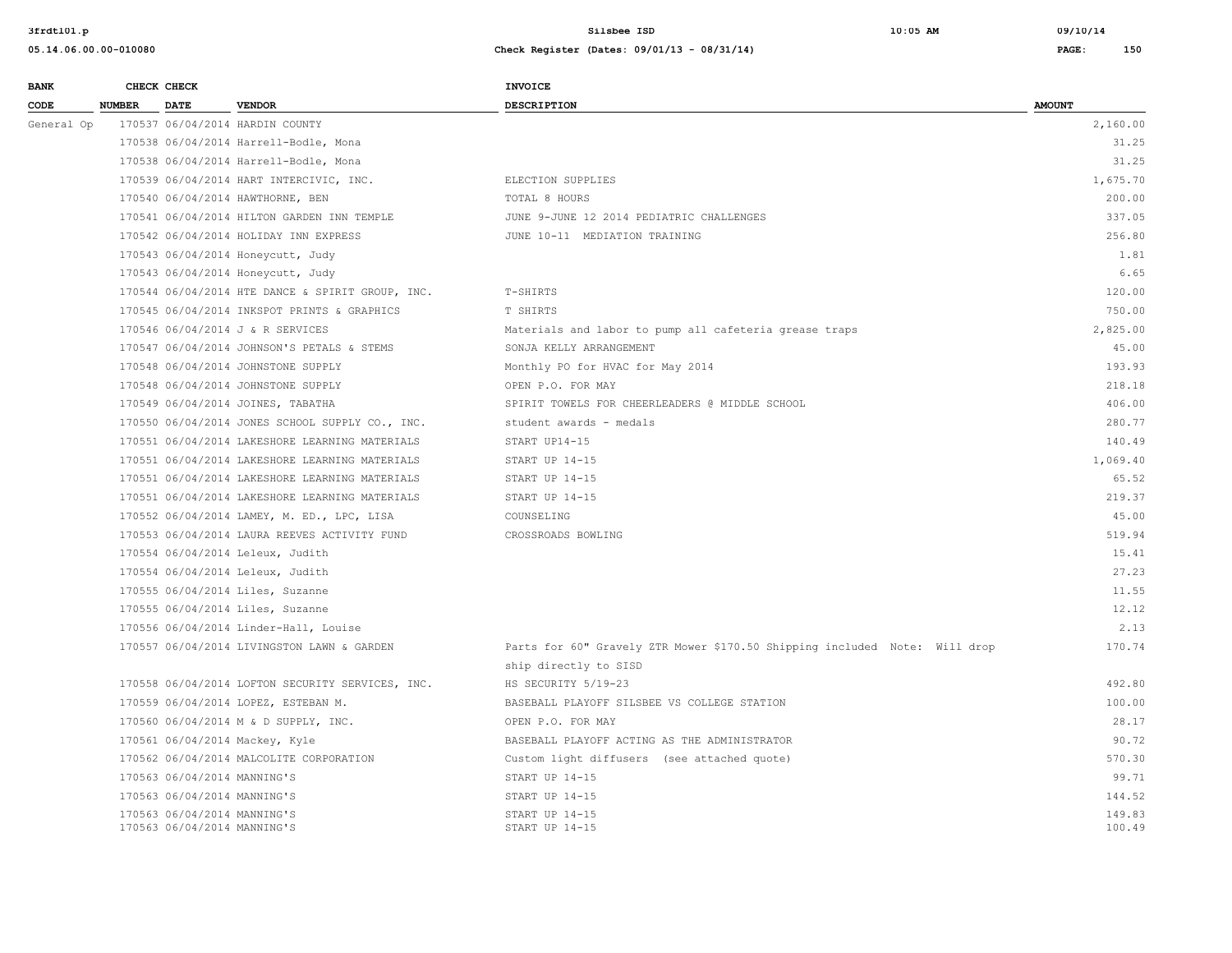| <b>BANK</b> |               | CHECK CHECK                                                |                                                  | INVOICE                                                                    |                  |
|-------------|---------------|------------------------------------------------------------|--------------------------------------------------|----------------------------------------------------------------------------|------------------|
| CODE        | <b>NUMBER</b> | <b>DATE</b>                                                | <b>VENDOR</b>                                    | <b>DESCRIPTION</b>                                                         | <b>AMOUNT</b>    |
| General Op  |               |                                                            | 170537 06/04/2014 HARDIN COUNTY                  |                                                                            | 2,160.00         |
|             |               |                                                            | 170538 06/04/2014 Harrell-Bodle, Mona            |                                                                            | 31.25            |
|             |               |                                                            | 170538 06/04/2014 Harrell-Bodle, Mona            |                                                                            | 31.25            |
|             |               |                                                            | 170539 06/04/2014 HART INTERCIVIC, INC.          | ELECTION SUPPLIES                                                          | 1,675.70         |
|             |               |                                                            | 170540 06/04/2014 HAWTHORNE, BEN                 | TOTAL 8 HOURS                                                              | 200.00           |
|             |               |                                                            | 170541 06/04/2014 HILTON GARDEN INN TEMPLE       | JUNE 9-JUNE 12 2014 PEDIATRIC CHALLENGES                                   | 337.05           |
|             |               |                                                            | 170542 06/04/2014 HOLIDAY INN EXPRESS            | JUNE 10-11 MEDIATION TRAINING                                              | 256.80           |
|             |               |                                                            | 170543 06/04/2014 Honeycutt, Judy                |                                                                            | 1.81             |
|             |               |                                                            | 170543 06/04/2014 Honeycutt, Judy                |                                                                            | 6.65             |
|             |               |                                                            | 170544 06/04/2014 HTE DANCE & SPIRIT GROUP, INC. | T-SHIRTS                                                                   | 120.00           |
|             |               |                                                            | 170545 06/04/2014 INKSPOT PRINTS & GRAPHICS      | T SHIRTS                                                                   | 750.00           |
|             |               |                                                            | 170546 06/04/2014 J & R SERVICES                 | Materials and labor to pump all cafeteria grease traps                     | 2,825.00         |
|             |               |                                                            | 170547 06/04/2014 JOHNSON'S PETALS & STEMS       | SONJA KELLY ARRANGEMENT                                                    | 45.00            |
|             |               |                                                            | 170548 06/04/2014 JOHNSTONE SUPPLY               | Monthly PO for HVAC for May 2014                                           | 193.93           |
|             |               |                                                            | 170548 06/04/2014 JOHNSTONE SUPPLY               | OPEN P.O. FOR MAY                                                          | 218.18           |
|             |               |                                                            | 170549 06/04/2014 JOINES, TABATHA                | SPIRIT TOWELS FOR CHEERLEADERS @ MIDDLE SCHOOL                             | 406.00           |
|             |               |                                                            | 170550 06/04/2014 JONES SCHOOL SUPPLY CO., INC.  | student awards - medals                                                    | 280.77           |
|             |               |                                                            | 170551 06/04/2014 LAKESHORE LEARNING MATERIALS   | START UP14-15                                                              | 140.49           |
|             |               |                                                            | 170551 06/04/2014 LAKESHORE LEARNING MATERIALS   | START UP 14-15                                                             | 1,069.40         |
|             |               |                                                            | 170551 06/04/2014 LAKESHORE LEARNING MATERIALS   | START UP 14-15                                                             | 65.52            |
|             |               |                                                            | 170551 06/04/2014 LAKESHORE LEARNING MATERIALS   | START UP 14-15                                                             | 219.37           |
|             |               |                                                            | 170552 06/04/2014 LAMEY, M. ED., LPC, LISA       | COUNSELING                                                                 | 45.00            |
|             |               |                                                            | 170553 06/04/2014 LAURA REEVES ACTIVITY FUND     | CROSSROADS BOWLING                                                         | 519.94           |
|             |               |                                                            | 170554 06/04/2014 Leleux, Judith                 |                                                                            | 15.41            |
|             |               |                                                            | 170554 06/04/2014 Leleux, Judith                 |                                                                            | 27.23            |
|             |               |                                                            | 170555 06/04/2014 Liles, Suzanne                 |                                                                            | 11.55            |
|             |               |                                                            | 170555 06/04/2014 Liles, Suzanne                 |                                                                            | 12.12            |
|             |               |                                                            | 170556 06/04/2014 Linder-Hall, Louise            |                                                                            | 2.13             |
|             |               |                                                            | 170557 06/04/2014 LIVINGSTON LAWN & GARDEN       | Parts for 60" Gravely ZTR Mower \$170.50 Shipping included Note: Will drop | 170.74           |
|             |               |                                                            |                                                  | ship directly to SISD                                                      |                  |
|             |               |                                                            | 170558 06/04/2014 LOFTON SECURITY SERVICES, INC. | HS SECURITY 5/19-23                                                        | 492.80           |
|             |               |                                                            | 170559 06/04/2014 LOPEZ, ESTEBAN M.              | BASEBALL PLAYOFF SILSBEE VS COLLEGE STATION                                | 100.00           |
|             |               |                                                            | 170560 06/04/2014 M & D SUPPLY, INC.             | OPEN P.O. FOR MAY                                                          | 28.17            |
|             |               |                                                            | 170561 06/04/2014 Mackey, Kyle                   | BASEBALL PLAYOFF ACTING AS THE ADMINISTRATOR                               | 90.72            |
|             |               |                                                            | 170562 06/04/2014 MALCOLITE CORPORATION          | Custom light diffusers (see attached quote)                                | 570.30           |
|             |               | 170563 06/04/2014 MANNING'S                                |                                                  | START UP 14-15                                                             | 99.71            |
|             |               | 170563 06/04/2014 MANNING'S                                |                                                  | START UP 14-15                                                             | 144.52           |
|             |               | 170563 06/04/2014 MANNING'S<br>170563 06/04/2014 MANNING'S |                                                  | START UP 14-15<br>START UP 14-15                                           | 149.83<br>100.49 |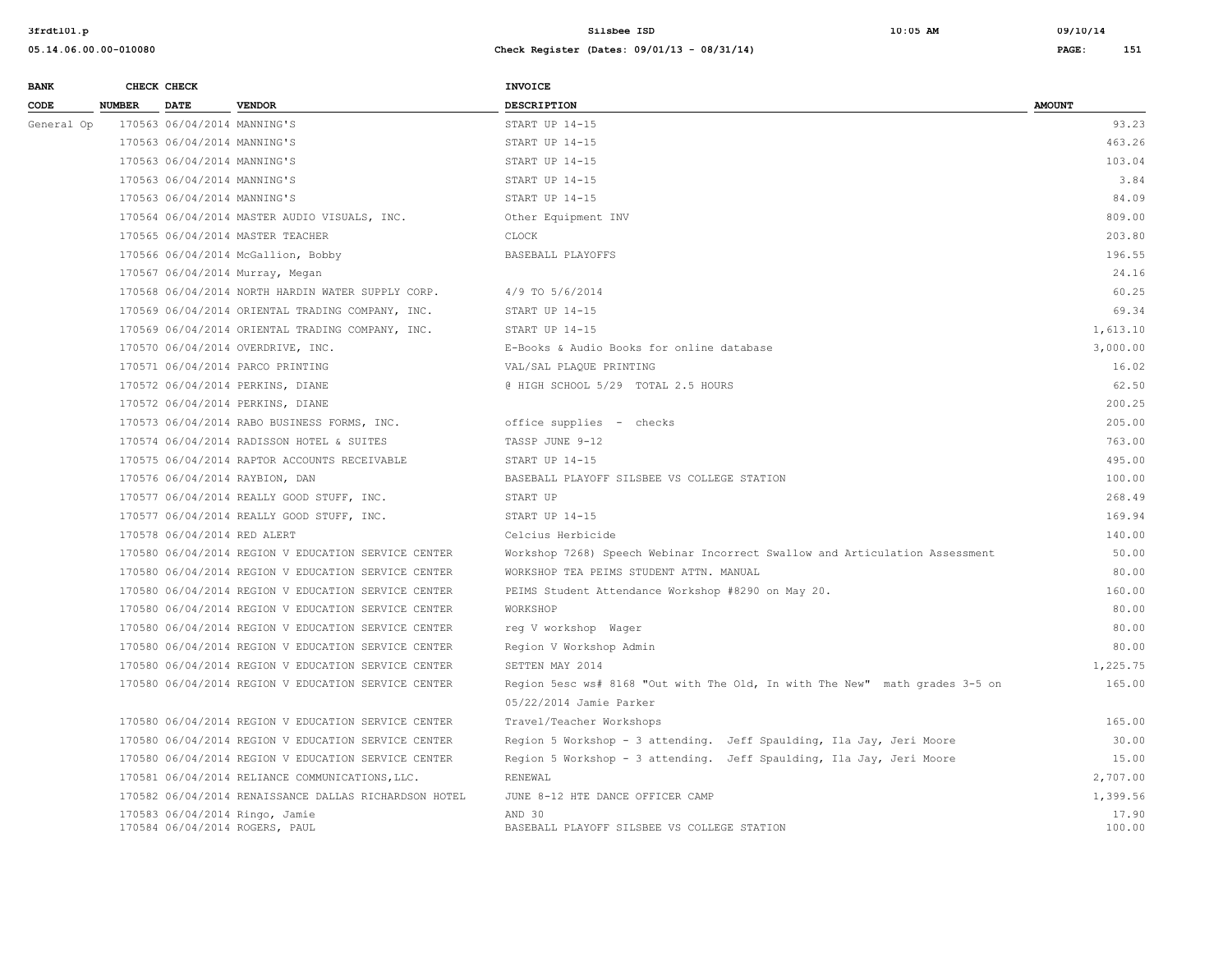| <b>BANK</b> |               | CHECK CHECK                 |                                                                  | <b>INVOICE</b>                                                              |                 |
|-------------|---------------|-----------------------------|------------------------------------------------------------------|-----------------------------------------------------------------------------|-----------------|
| CODE        | <b>NUMBER</b> | <b>DATE</b>                 | <b>VENDOR</b>                                                    | <b>DESCRIPTION</b>                                                          | <b>AMOUNT</b>   |
| General Op  |               | 170563 06/04/2014 MANNING'S |                                                                  | START UP 14-15                                                              | 93.23           |
|             |               | 170563 06/04/2014 MANNING'S |                                                                  | START UP 14-15                                                              | 463.26          |
|             |               | 170563 06/04/2014 MANNING'S |                                                                  | START UP 14-15                                                              | 103.04          |
|             |               | 170563 06/04/2014 MANNING'S |                                                                  | START UP 14-15                                                              | 3.84            |
|             |               | 170563 06/04/2014 MANNING'S |                                                                  | START UP 14-15                                                              | 84.09           |
|             |               |                             | 170564 06/04/2014 MASTER AUDIO VISUALS, INC.                     | Other Equipment INV                                                         | 809.00          |
|             |               |                             | 170565 06/04/2014 MASTER TEACHER                                 | CLOCK                                                                       | 203.80          |
|             |               |                             | 170566 06/04/2014 McGallion, Bobby                               | BASEBALL PLAYOFFS                                                           | 196.55          |
|             |               |                             | 170567 06/04/2014 Murray, Megan                                  |                                                                             | 24.16           |
|             |               |                             | 170568 06/04/2014 NORTH HARDIN WATER SUPPLY CORP.                | 4/9 TO 5/6/2014                                                             | 60.25           |
|             |               |                             | 170569 06/04/2014 ORIENTAL TRADING COMPANY, INC.                 | START UP 14-15                                                              | 69.34           |
|             |               |                             | 170569 06/04/2014 ORIENTAL TRADING COMPANY, INC.                 | START UP 14-15                                                              | 1,613.10        |
|             |               |                             | 170570 06/04/2014 OVERDRIVE, INC.                                | E-Books & Audio Books for online database                                   | 3,000.00        |
|             |               |                             | 170571 06/04/2014 PARCO PRINTING                                 | VAL/SAL PLAQUE PRINTING                                                     | 16.02           |
|             |               |                             | 170572 06/04/2014 PERKINS, DIANE                                 | @ HIGH SCHOOL 5/29 TOTAL 2.5 HOURS                                          | 62.50           |
|             |               |                             | 170572 06/04/2014 PERKINS, DIANE                                 |                                                                             | 200.25          |
|             |               |                             | 170573 06/04/2014 RABO BUSINESS FORMS, INC.                      | office supplies - checks                                                    | 205.00          |
|             |               |                             | 170574 06/04/2014 RADISSON HOTEL & SUITES                        | TASSP JUNE 9-12                                                             | 763.00          |
|             |               |                             | 170575 06/04/2014 RAPTOR ACCOUNTS RECEIVABLE                     | START UP 14-15                                                              | 495.00          |
|             |               |                             | 170576 06/04/2014 RAYBION, DAN                                   | BASEBALL PLAYOFF SILSBEE VS COLLEGE STATION                                 | 100.00          |
|             |               |                             | 170577 06/04/2014 REALLY GOOD STUFF, INC.                        | START UP                                                                    | 268.49          |
|             |               |                             | 170577 06/04/2014 REALLY GOOD STUFF, INC.                        | START UP 14-15                                                              | 169.94          |
|             |               | 170578 06/04/2014 RED ALERT |                                                                  | Celcius Herbicide                                                           | 140.00          |
|             |               |                             | 170580 06/04/2014 REGION V EDUCATION SERVICE CENTER              | Workshop 7268) Speech Webinar Incorrect Swallow and Articulation Assessment | 50.00           |
|             |               |                             | 170580 06/04/2014 REGION V EDUCATION SERVICE CENTER              | WORKSHOP TEA PEIMS STUDENT ATTN. MANUAL                                     | 80.00           |
|             |               |                             | 170580 06/04/2014 REGION V EDUCATION SERVICE CENTER              | PEIMS Student Attendance Workshop #8290 on May 20.                          | 160.00          |
|             |               |                             | 170580 06/04/2014 REGION V EDUCATION SERVICE CENTER              | WORKSHOP                                                                    | 80.00           |
|             |               |                             | 170580 06/04/2014 REGION V EDUCATION SERVICE CENTER              | reg V workshop Wager                                                        | 80.00           |
|             |               |                             | 170580 06/04/2014 REGION V EDUCATION SERVICE CENTER              | Region V Workshop Admin                                                     | 80.00           |
|             |               |                             | 170580 06/04/2014 REGION V EDUCATION SERVICE CENTER              | SETTEN MAY 2014                                                             | 1,225.75        |
|             |               |                             | 170580 06/04/2014 REGION V EDUCATION SERVICE CENTER              | Region 5esc ws# 8168 "Out with The Old, In with The New" math grades 3-5 on | 165.00          |
|             |               |                             |                                                                  | 05/22/2014 Jamie Parker                                                     |                 |
|             |               |                             | 170580 06/04/2014 REGION V EDUCATION SERVICE CENTER              | Travel/Teacher Workshops                                                    | 165.00          |
|             |               |                             | 170580 06/04/2014 REGION V EDUCATION SERVICE CENTER              | Region 5 Workshop - 3 attending. Jeff Spaulding, Ila Jay, Jeri Moore        | 30.00           |
|             |               |                             | 170580 06/04/2014 REGION V EDUCATION SERVICE CENTER              | Region 5 Workshop - 3 attending. Jeff Spaulding, Ila Jay, Jeri Moore        | 15.00           |
|             |               |                             | 170581 06/04/2014 RELIANCE COMMUNICATIONS, LLC.                  | <b>RENEWAL</b>                                                              | 2,707.00        |
|             |               |                             | 170582 06/04/2014 RENAISSANCE DALLAS RICHARDSON HOTEL            | JUNE 8-12 HTE DANCE OFFICER CAMP                                            | 1,399.56        |
|             |               |                             | 170583 06/04/2014 Ringo, Jamie<br>170584 06/04/2014 ROGERS, PAUL | AND 30<br>BASEBALL PLAYOFF SILSBEE VS COLLEGE STATION                       | 17.90<br>100.00 |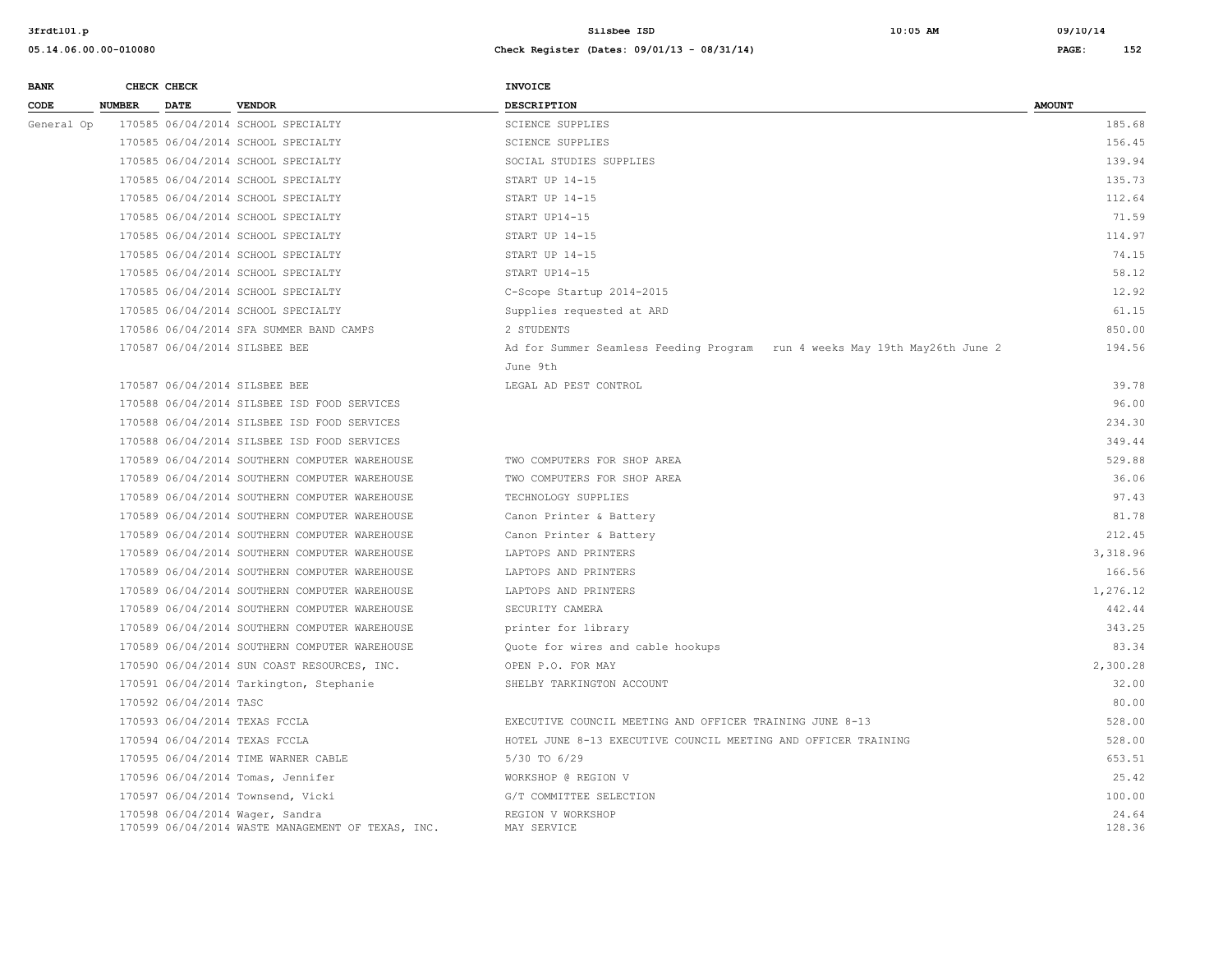| <b>BANK</b> |               | CHECK CHECK            |                                                                                      | <b>INVOICE</b>                                                             |                 |
|-------------|---------------|------------------------|--------------------------------------------------------------------------------------|----------------------------------------------------------------------------|-----------------|
| CODE        | <b>NUMBER</b> | <b>DATE</b>            | <b>VENDOR</b>                                                                        | <b>DESCRIPTION</b>                                                         | <b>AMOUNT</b>   |
| General Op  |               |                        | 170585 06/04/2014 SCHOOL SPECIALTY                                                   | <b>SCIENCE SUPPLIES</b>                                                    | 185.68          |
|             |               |                        | 170585 06/04/2014 SCHOOL SPECIALTY                                                   | <b>SCIENCE SUPPLIES</b>                                                    | 156.45          |
|             |               |                        | 170585 06/04/2014 SCHOOL SPECIALTY                                                   | SOCIAL STUDIES SUPPLIES                                                    | 139.94          |
|             |               |                        | 170585 06/04/2014 SCHOOL SPECIALTY                                                   | START UP 14-15                                                             | 135.73          |
|             |               |                        | 170585 06/04/2014 SCHOOL SPECIALTY                                                   | START UP 14-15                                                             | 112.64          |
|             |               |                        | 170585 06/04/2014 SCHOOL SPECIALTY                                                   | START UP14-15                                                              | 71.59           |
|             |               |                        | 170585 06/04/2014 SCHOOL SPECIALTY                                                   | START UP 14-15                                                             | 114.97          |
|             |               |                        | 170585 06/04/2014 SCHOOL SPECIALTY                                                   | START UP 14-15                                                             | 74.15           |
|             |               |                        | 170585 06/04/2014 SCHOOL SPECIALTY                                                   | START UP14-15                                                              | 58.12           |
|             |               |                        | 170585 06/04/2014 SCHOOL SPECIALTY                                                   | C-Scope Startup 2014-2015                                                  | 12.92           |
|             |               |                        | 170585 06/04/2014 SCHOOL SPECIALTY                                                   | Supplies requested at ARD                                                  | 61.15           |
|             |               |                        | 170586 06/04/2014 SFA SUMMER BAND CAMPS                                              | 2 STUDENTS                                                                 | 850.00          |
|             |               |                        | 170587 06/04/2014 SILSBEE BEE                                                        | Ad for Summer Seamless Feeding Program run 4 weeks May 19th May26th June 2 | 194.56          |
|             |               |                        |                                                                                      | June 9th                                                                   |                 |
|             |               |                        | 170587 06/04/2014 SILSBEE BEE                                                        | LEGAL AD PEST CONTROL                                                      | 39.78           |
|             |               |                        | 170588 06/04/2014 SILSBEE ISD FOOD SERVICES                                          |                                                                            | 96.00           |
|             |               |                        | 170588 06/04/2014 SILSBEE ISD FOOD SERVICES                                          |                                                                            | 234.30          |
|             |               |                        | 170588 06/04/2014 SILSBEE ISD FOOD SERVICES                                          |                                                                            | 349.44          |
|             |               |                        | 170589 06/04/2014 SOUTHERN COMPUTER WAREHOUSE                                        | TWO COMPUTERS FOR SHOP AREA                                                | 529.88          |
|             |               |                        | 170589 06/04/2014 SOUTHERN COMPUTER WAREHOUSE                                        | TWO COMPUTERS FOR SHOP AREA                                                | 36.06           |
|             |               |                        | 170589 06/04/2014 SOUTHERN COMPUTER WAREHOUSE                                        | TECHNOLOGY SUPPLIES                                                        | 97.43           |
|             |               |                        | 170589 06/04/2014 SOUTHERN COMPUTER WAREHOUSE                                        | Canon Printer & Battery                                                    | 81.78           |
|             |               |                        | 170589 06/04/2014 SOUTHERN COMPUTER WAREHOUSE                                        | Canon Printer & Battery                                                    | 212.45          |
|             |               |                        | 170589 06/04/2014 SOUTHERN COMPUTER WAREHOUSE                                        | LAPTOPS AND PRINTERS                                                       | 3,318.96        |
|             |               |                        | 170589 06/04/2014 SOUTHERN COMPUTER WAREHOUSE                                        | LAPTOPS AND PRINTERS                                                       | 166.56          |
|             |               |                        | 170589 06/04/2014 SOUTHERN COMPUTER WAREHOUSE                                        | LAPTOPS AND PRINTERS                                                       | 1,276.12        |
|             |               |                        | 170589 06/04/2014 SOUTHERN COMPUTER WAREHOUSE                                        | SECURITY CAMERA                                                            | 442.44          |
|             |               |                        | 170589 06/04/2014 SOUTHERN COMPUTER WAREHOUSE                                        | printer for library                                                        | 343.25          |
|             |               |                        | 170589 06/04/2014 SOUTHERN COMPUTER WAREHOUSE                                        | Quote for wires and cable hookups                                          | 83.34           |
|             |               |                        | 170590 06/04/2014 SUN COAST RESOURCES, INC.                                          | OPEN P.O. FOR MAY                                                          | 2,300.28        |
|             |               |                        | 170591 06/04/2014 Tarkington, Stephanie                                              | SHELBY TARKINGTON ACCOUNT                                                  | 32.00           |
|             |               | 170592 06/04/2014 TASC |                                                                                      |                                                                            | 80.00           |
|             |               |                        | 170593 06/04/2014 TEXAS FCCLA                                                        | EXECUTIVE COUNCIL MEETING AND OFFICER TRAINING JUNE 8-13                   | 528.00          |
|             |               |                        | 170594 06/04/2014 TEXAS FCCLA                                                        | HOTEL JUNE 8-13 EXECUTIVE COUNCIL MEETING AND OFFICER TRAINING             | 528.00          |
|             |               |                        | 170595 06/04/2014 TIME WARNER CABLE                                                  | 5/30 TO 6/29                                                               | 653.51          |
|             |               |                        | 170596 06/04/2014 Tomas, Jennifer                                                    | WORKSHOP @ REGION V                                                        | 25.42           |
|             |               |                        | 170597 06/04/2014 Townsend, Vicki                                                    | G/T COMMITTEE SELECTION                                                    | 100.00          |
|             |               |                        | 170598 06/04/2014 Wager, Sandra<br>170599 06/04/2014 WASTE MANAGEMENT OF TEXAS, INC. | REGION V WORKSHOP<br>MAY SERVICE                                           | 24.64<br>128.36 |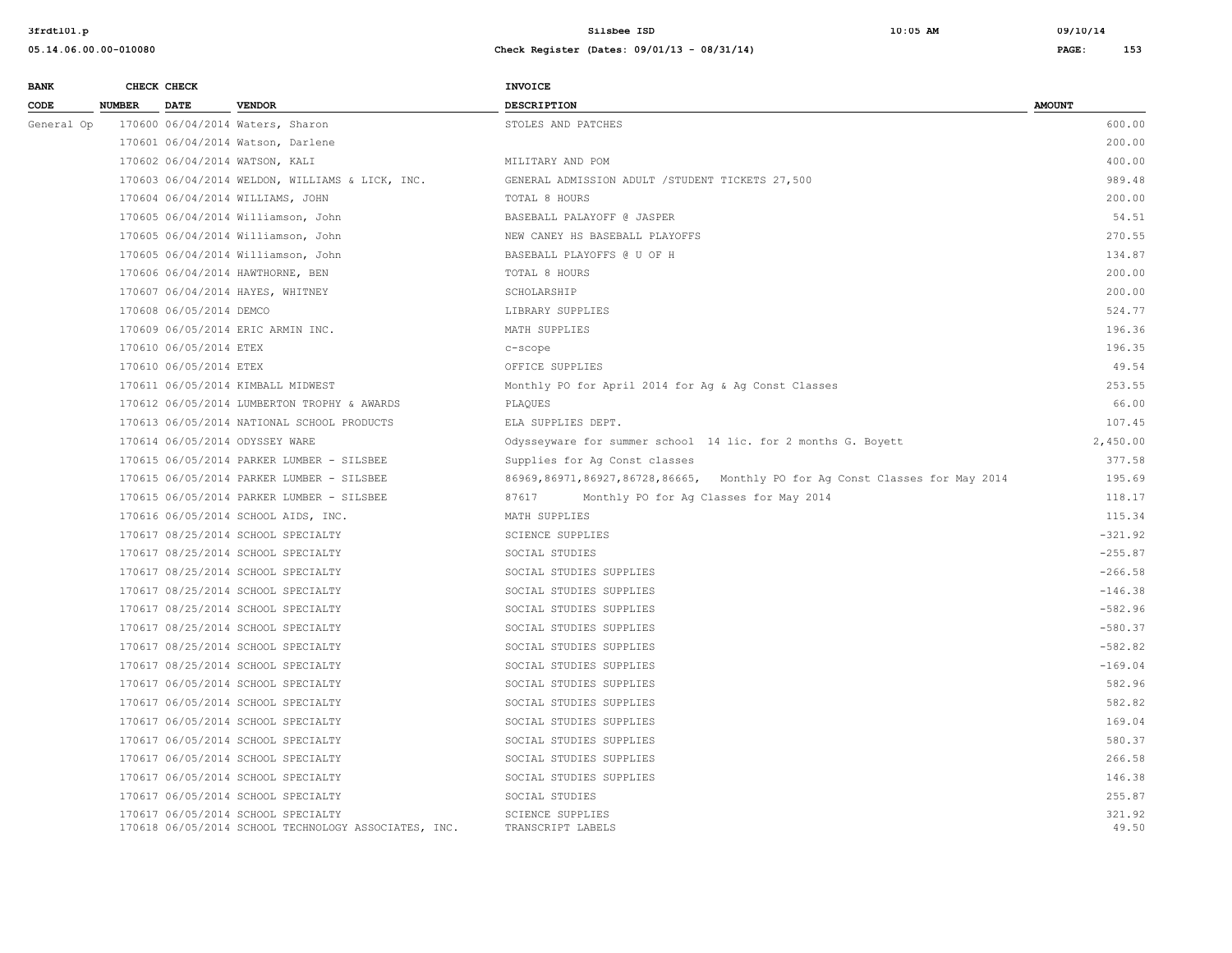| <b>BANK</b> |               | CHECK CHECK             |                                                                                            | <b>INVOICE</b>                                                              |                 |
|-------------|---------------|-------------------------|--------------------------------------------------------------------------------------------|-----------------------------------------------------------------------------|-----------------|
| CODE        | <b>NUMBER</b> | <b>DATE</b>             | <b>VENDOR</b>                                                                              | DESCRIPTION                                                                 | <b>AMOUNT</b>   |
| General Op  |               |                         | 170600 06/04/2014 Waters, Sharon                                                           | STOLES AND PATCHES                                                          | 600.00          |
|             |               |                         | 170601 06/04/2014 Watson, Darlene                                                          |                                                                             | 200.00          |
|             |               |                         | 170602 06/04/2014 WATSON, KALI                                                             | MILITARY AND POM                                                            | 400.00          |
|             |               |                         | 170603 06/04/2014 WELDON, WILLIAMS & LICK, INC.                                            | GENERAL ADMISSION ADULT / STUDENT TICKETS 27,500                            | 989.48          |
|             |               |                         | 170604 06/04/2014 WILLIAMS, JOHN                                                           | TOTAL 8 HOURS                                                               | 200.00          |
|             |               |                         | 170605 06/04/2014 Williamson, John                                                         | BASEBALL PALAYOFF @ JASPER                                                  | 54.51           |
|             |               |                         | 170605 06/04/2014 Williamson, John                                                         | NEW CANEY HS BASEBALL PLAYOFFS                                              | 270.55          |
|             |               |                         | 170605 06/04/2014 Williamson, John                                                         | BASEBALL PLAYOFFS @ U OF H                                                  | 134.87          |
|             |               |                         | 170606 06/04/2014 HAWTHORNE, BEN                                                           | TOTAL 8 HOURS                                                               | 200.00          |
|             |               |                         | 170607 06/04/2014 HAYES, WHITNEY                                                           | SCHOLARSHIP                                                                 | 200.00          |
|             |               | 170608 06/05/2014 DEMCO |                                                                                            | LIBRARY SUPPLIES                                                            | 524.77          |
|             |               |                         | 170609 06/05/2014 ERIC ARMIN INC.                                                          | MATH SUPPLIES                                                               | 196.36          |
|             |               | 170610 06/05/2014 ETEX  |                                                                                            | c-scope                                                                     | 196.35          |
|             |               | 170610 06/05/2014 ETEX  |                                                                                            | OFFICE SUPPLIES                                                             | 49.54           |
|             |               |                         | 170611 06/05/2014 KIMBALL MIDWEST                                                          | Monthly PO for April 2014 for Aq & Aq Const Classes                         | 253.55          |
|             |               |                         | 170612 06/05/2014 LUMBERTON TROPHY & AWARDS                                                | PLAQUES                                                                     | 66.00           |
|             |               |                         | 170613 06/05/2014 NATIONAL SCHOOL PRODUCTS                                                 | ELA SUPPLIES DEPT.                                                          | 107.45          |
|             |               |                         | 170614 06/05/2014 ODYSSEY WARE                                                             | Odysseyware for summer school 14 lic. for 2 months G. Boyett                | 2,450.00        |
|             |               |                         | 170615 06/05/2014 PARKER LUMBER - SILSBEE                                                  | Supplies for Aq Const classes                                               | 377.58          |
|             |               |                         | 170615 06/05/2014 PARKER LUMBER - SILSBEE                                                  | 86969,86971,86927,86728,86665, Monthly PO for Aq Const Classes for May 2014 | 195.69          |
|             |               |                         | 170615 06/05/2014 PARKER LUMBER - SILSBEE                                                  | 87617<br>Monthly PO for Ag Classes for May 2014                             | 118.17          |
|             |               |                         | 170616 06/05/2014 SCHOOL AIDS, INC.                                                        | MATH SUPPLIES                                                               | 115.34          |
|             |               |                         | 170617 08/25/2014 SCHOOL SPECIALTY                                                         | <b>SCIENCE SUPPLIES</b>                                                     | $-321.92$       |
|             |               |                         | 170617 08/25/2014 SCHOOL SPECIALTY                                                         | SOCIAL STUDIES                                                              | $-255.87$       |
|             |               |                         | 170617 08/25/2014 SCHOOL SPECIALTY                                                         | SOCIAL STUDIES SUPPLIES                                                     | $-266.58$       |
|             |               |                         | 170617 08/25/2014 SCHOOL SPECIALTY                                                         | SOCIAL STUDIES SUPPLIES                                                     | $-146.38$       |
|             |               |                         | 170617 08/25/2014 SCHOOL SPECIALTY                                                         | SOCIAL STUDIES SUPPLIES                                                     | $-582.96$       |
|             |               |                         | 170617 08/25/2014 SCHOOL SPECIALTY                                                         | SOCIAL STUDIES SUPPLIES                                                     | $-580.37$       |
|             |               |                         | 170617 08/25/2014 SCHOOL SPECIALTY                                                         | SOCIAL STUDIES SUPPLIES                                                     | $-582.82$       |
|             |               |                         | 170617 08/25/2014 SCHOOL SPECIALTY                                                         | SOCIAL STUDIES SUPPLIES                                                     | $-169.04$       |
|             |               |                         | 170617 06/05/2014 SCHOOL SPECIALTY                                                         | SOCIAL STUDIES SUPPLIES                                                     | 582.96          |
|             |               |                         | 170617 06/05/2014 SCHOOL SPECIALTY                                                         | SOCIAL STUDIES SUPPLIES                                                     | 582.82          |
|             |               |                         | 170617 06/05/2014 SCHOOL SPECIALTY                                                         | SOCIAL STUDIES SUPPLIES                                                     | 169.04          |
|             |               |                         | 170617 06/05/2014 SCHOOL SPECIALTY                                                         | SOCIAL STUDIES SUPPLIES                                                     | 580.37          |
|             |               |                         | 170617 06/05/2014 SCHOOL SPECIALTY                                                         | SOCIAL STUDIES SUPPLIES                                                     | 266.58          |
|             |               |                         | 170617 06/05/2014 SCHOOL SPECIALTY                                                         | SOCIAL STUDIES SUPPLIES                                                     | 146.38          |
|             |               |                         | 170617 06/05/2014 SCHOOL SPECIALTY                                                         | SOCIAL STUDIES                                                              | 255.87          |
|             |               |                         | 170617 06/05/2014 SCHOOL SPECIALTY<br>170618 06/05/2014 SCHOOL TECHNOLOGY ASSOCIATES, INC. | <b>SCIENCE SUPPLIES</b><br>TRANSCRIPT LABELS                                | 321.92<br>49.50 |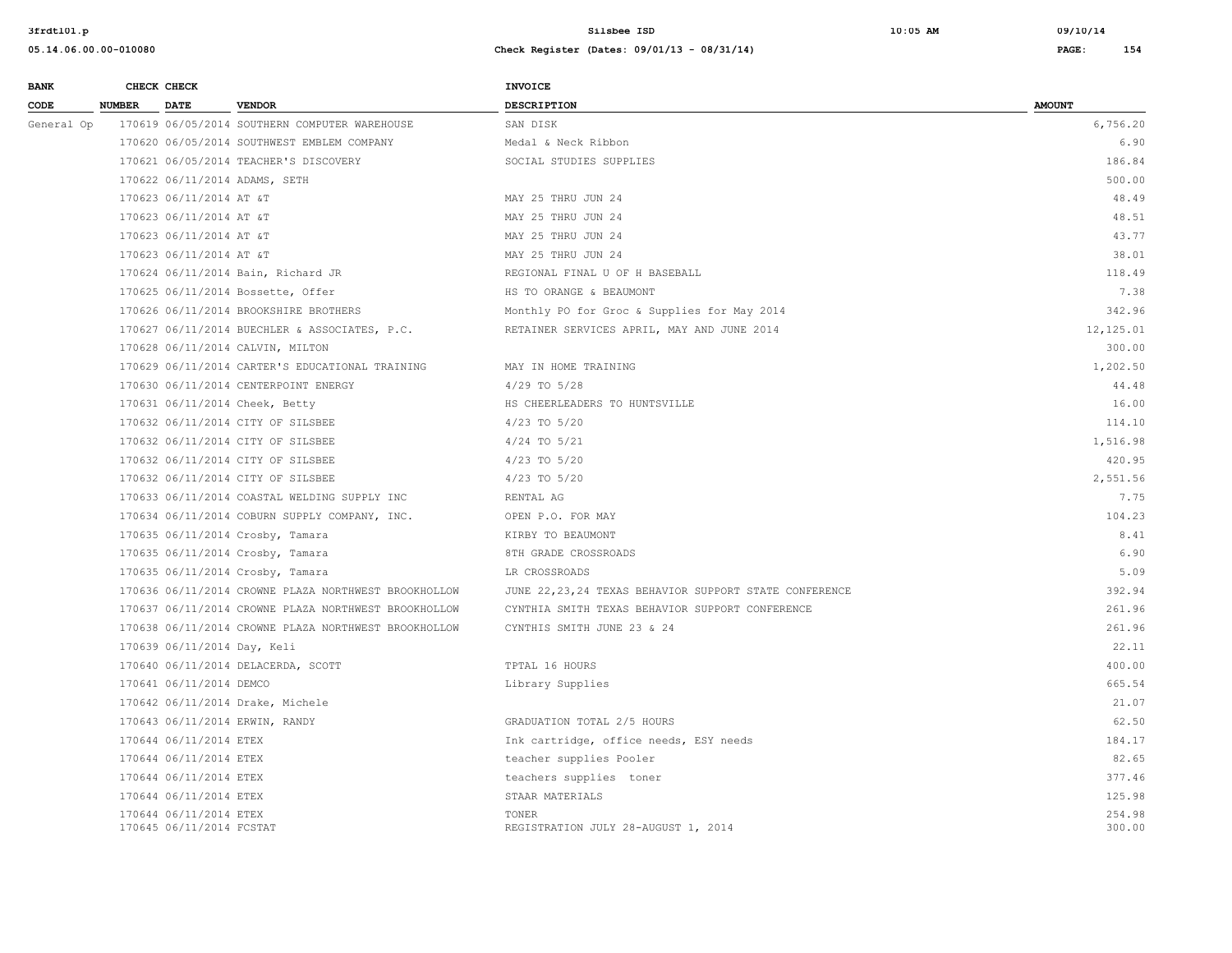| <b>DATE</b><br><b>DESCRIPTION</b><br><b>AMOUNT</b><br>CODE<br><b>NUMBER</b><br><b>VENDOR</b><br>170619 06/05/2014 SOUTHERN COMPUTER WAREHOUSE<br>General Op<br>SAN DISK<br>170620 06/05/2014 SOUTHWEST EMBLEM COMPANY<br>Medal & Neck Ribbon<br>170621 06/05/2014 TEACHER'S DISCOVERY<br>SOCIAL STUDIES SUPPLIES<br>170622 06/11/2014 ADAMS, SETH<br>170623 06/11/2014 AT &T<br>MAY 25 THRU JUN 24<br>170623 06/11/2014 AT &T<br>MAY 25 THRU JUN 24<br>170623 06/11/2014 AT &T<br>MAY 25 THRU JUN 24<br>170623 06/11/2014 AT &T<br>MAY 25 THRU JUN 24<br>170624 06/11/2014 Bain, Richard JR<br>REGIONAL FINAL U OF H BASEBALL<br>170625 06/11/2014 Bossette, Offer<br>HS TO ORANGE & BEAUMONT<br>170626 06/11/2014 BROOKSHIRE BROTHERS<br>Monthly PO for Groc & Supplies for May 2014<br>170627 06/11/2014 BUECHLER & ASSOCIATES, P.C.<br>RETAINER SERVICES APRIL, MAY AND JUNE 2014<br>170628 06/11/2014 CALVIN, MILTON<br>170629 06/11/2014 CARTER'S EDUCATIONAL TRAINING<br>MAY IN HOME TRAINING<br>170630 06/11/2014 CENTERPOINT ENERGY<br>$4/29$ TO $5/28$<br>170631 06/11/2014 Cheek, Betty<br>HS CHEERLEADERS TO HUNTSVILLE<br>170632 06/11/2014 CITY OF SILSBEE<br>4/23 TO 5/20<br>170632 06/11/2014 CITY OF SILSBEE<br>$4/24$ TO $5/21$<br>170632 06/11/2014 CITY OF SILSBEE<br>$4/23$ TO $5/20$<br>170632 06/11/2014 CITY OF SILSBEE<br>4/23 TO 5/20<br>170633 06/11/2014 COASTAL WELDING SUPPLY INC<br>RENTAL AG<br>170634 06/11/2014 COBURN SUPPLY COMPANY, INC.<br>OPEN P.O. FOR MAY<br>170635 06/11/2014 Crosby, Tamara<br>KIRBY TO BEAUMONT<br>170635 06/11/2014 Crosby, Tamara<br>8TH GRADE CROSSROADS<br>170635 06/11/2014 Crosby, Tamara<br>LR CROSSROADS |  |                  |
|-----------------------------------------------------------------------------------------------------------------------------------------------------------------------------------------------------------------------------------------------------------------------------------------------------------------------------------------------------------------------------------------------------------------------------------------------------------------------------------------------------------------------------------------------------------------------------------------------------------------------------------------------------------------------------------------------------------------------------------------------------------------------------------------------------------------------------------------------------------------------------------------------------------------------------------------------------------------------------------------------------------------------------------------------------------------------------------------------------------------------------------------------------------------------------------------------------------------------------------------------------------------------------------------------------------------------------------------------------------------------------------------------------------------------------------------------------------------------------------------------------------------------------------------------------------------------------------------------------------------------------------------------------------------------------|--|------------------|
|                                                                                                                                                                                                                                                                                                                                                                                                                                                                                                                                                                                                                                                                                                                                                                                                                                                                                                                                                                                                                                                                                                                                                                                                                                                                                                                                                                                                                                                                                                                                                                                                                                                                             |  |                  |
|                                                                                                                                                                                                                                                                                                                                                                                                                                                                                                                                                                                                                                                                                                                                                                                                                                                                                                                                                                                                                                                                                                                                                                                                                                                                                                                                                                                                                                                                                                                                                                                                                                                                             |  | 6,756.20         |
|                                                                                                                                                                                                                                                                                                                                                                                                                                                                                                                                                                                                                                                                                                                                                                                                                                                                                                                                                                                                                                                                                                                                                                                                                                                                                                                                                                                                                                                                                                                                                                                                                                                                             |  | 6.90             |
|                                                                                                                                                                                                                                                                                                                                                                                                                                                                                                                                                                                                                                                                                                                                                                                                                                                                                                                                                                                                                                                                                                                                                                                                                                                                                                                                                                                                                                                                                                                                                                                                                                                                             |  | 186.84           |
|                                                                                                                                                                                                                                                                                                                                                                                                                                                                                                                                                                                                                                                                                                                                                                                                                                                                                                                                                                                                                                                                                                                                                                                                                                                                                                                                                                                                                                                                                                                                                                                                                                                                             |  | 500.00           |
|                                                                                                                                                                                                                                                                                                                                                                                                                                                                                                                                                                                                                                                                                                                                                                                                                                                                                                                                                                                                                                                                                                                                                                                                                                                                                                                                                                                                                                                                                                                                                                                                                                                                             |  | 48.49            |
|                                                                                                                                                                                                                                                                                                                                                                                                                                                                                                                                                                                                                                                                                                                                                                                                                                                                                                                                                                                                                                                                                                                                                                                                                                                                                                                                                                                                                                                                                                                                                                                                                                                                             |  | 48.51            |
|                                                                                                                                                                                                                                                                                                                                                                                                                                                                                                                                                                                                                                                                                                                                                                                                                                                                                                                                                                                                                                                                                                                                                                                                                                                                                                                                                                                                                                                                                                                                                                                                                                                                             |  | 43.77            |
|                                                                                                                                                                                                                                                                                                                                                                                                                                                                                                                                                                                                                                                                                                                                                                                                                                                                                                                                                                                                                                                                                                                                                                                                                                                                                                                                                                                                                                                                                                                                                                                                                                                                             |  | 38.01            |
|                                                                                                                                                                                                                                                                                                                                                                                                                                                                                                                                                                                                                                                                                                                                                                                                                                                                                                                                                                                                                                                                                                                                                                                                                                                                                                                                                                                                                                                                                                                                                                                                                                                                             |  | 118.49           |
|                                                                                                                                                                                                                                                                                                                                                                                                                                                                                                                                                                                                                                                                                                                                                                                                                                                                                                                                                                                                                                                                                                                                                                                                                                                                                                                                                                                                                                                                                                                                                                                                                                                                             |  | 7.38             |
|                                                                                                                                                                                                                                                                                                                                                                                                                                                                                                                                                                                                                                                                                                                                                                                                                                                                                                                                                                                                                                                                                                                                                                                                                                                                                                                                                                                                                                                                                                                                                                                                                                                                             |  | 342.96           |
|                                                                                                                                                                                                                                                                                                                                                                                                                                                                                                                                                                                                                                                                                                                                                                                                                                                                                                                                                                                                                                                                                                                                                                                                                                                                                                                                                                                                                                                                                                                                                                                                                                                                             |  | 12,125.01        |
|                                                                                                                                                                                                                                                                                                                                                                                                                                                                                                                                                                                                                                                                                                                                                                                                                                                                                                                                                                                                                                                                                                                                                                                                                                                                                                                                                                                                                                                                                                                                                                                                                                                                             |  | 300.00           |
|                                                                                                                                                                                                                                                                                                                                                                                                                                                                                                                                                                                                                                                                                                                                                                                                                                                                                                                                                                                                                                                                                                                                                                                                                                                                                                                                                                                                                                                                                                                                                                                                                                                                             |  | 1,202.50         |
|                                                                                                                                                                                                                                                                                                                                                                                                                                                                                                                                                                                                                                                                                                                                                                                                                                                                                                                                                                                                                                                                                                                                                                                                                                                                                                                                                                                                                                                                                                                                                                                                                                                                             |  | 44.48            |
|                                                                                                                                                                                                                                                                                                                                                                                                                                                                                                                                                                                                                                                                                                                                                                                                                                                                                                                                                                                                                                                                                                                                                                                                                                                                                                                                                                                                                                                                                                                                                                                                                                                                             |  | 16.00            |
|                                                                                                                                                                                                                                                                                                                                                                                                                                                                                                                                                                                                                                                                                                                                                                                                                                                                                                                                                                                                                                                                                                                                                                                                                                                                                                                                                                                                                                                                                                                                                                                                                                                                             |  | 114.10           |
|                                                                                                                                                                                                                                                                                                                                                                                                                                                                                                                                                                                                                                                                                                                                                                                                                                                                                                                                                                                                                                                                                                                                                                                                                                                                                                                                                                                                                                                                                                                                                                                                                                                                             |  | 1,516.98         |
|                                                                                                                                                                                                                                                                                                                                                                                                                                                                                                                                                                                                                                                                                                                                                                                                                                                                                                                                                                                                                                                                                                                                                                                                                                                                                                                                                                                                                                                                                                                                                                                                                                                                             |  | 420.95           |
|                                                                                                                                                                                                                                                                                                                                                                                                                                                                                                                                                                                                                                                                                                                                                                                                                                                                                                                                                                                                                                                                                                                                                                                                                                                                                                                                                                                                                                                                                                                                                                                                                                                                             |  | 2,551.56         |
|                                                                                                                                                                                                                                                                                                                                                                                                                                                                                                                                                                                                                                                                                                                                                                                                                                                                                                                                                                                                                                                                                                                                                                                                                                                                                                                                                                                                                                                                                                                                                                                                                                                                             |  | 7.75             |
|                                                                                                                                                                                                                                                                                                                                                                                                                                                                                                                                                                                                                                                                                                                                                                                                                                                                                                                                                                                                                                                                                                                                                                                                                                                                                                                                                                                                                                                                                                                                                                                                                                                                             |  | 104.23           |
|                                                                                                                                                                                                                                                                                                                                                                                                                                                                                                                                                                                                                                                                                                                                                                                                                                                                                                                                                                                                                                                                                                                                                                                                                                                                                                                                                                                                                                                                                                                                                                                                                                                                             |  | 8.41             |
|                                                                                                                                                                                                                                                                                                                                                                                                                                                                                                                                                                                                                                                                                                                                                                                                                                                                                                                                                                                                                                                                                                                                                                                                                                                                                                                                                                                                                                                                                                                                                                                                                                                                             |  | 6.90             |
|                                                                                                                                                                                                                                                                                                                                                                                                                                                                                                                                                                                                                                                                                                                                                                                                                                                                                                                                                                                                                                                                                                                                                                                                                                                                                                                                                                                                                                                                                                                                                                                                                                                                             |  | 5.09             |
| 170636 06/11/2014 CROWNE PLAZA NORTHWEST BROOKHOLLOW<br>JUNE 22, 23, 24 TEXAS BEHAVIOR SUPPORT STATE CONFERENCE                                                                                                                                                                                                                                                                                                                                                                                                                                                                                                                                                                                                                                                                                                                                                                                                                                                                                                                                                                                                                                                                                                                                                                                                                                                                                                                                                                                                                                                                                                                                                             |  | 392.94           |
| 170637 06/11/2014 CROWNE PLAZA NORTHWEST BROOKHOLLOW<br>CYNTHIA SMITH TEXAS BEHAVIOR SUPPORT CONFERENCE                                                                                                                                                                                                                                                                                                                                                                                                                                                                                                                                                                                                                                                                                                                                                                                                                                                                                                                                                                                                                                                                                                                                                                                                                                                                                                                                                                                                                                                                                                                                                                     |  | 261.96           |
| 170638 06/11/2014 CROWNE PLAZA NORTHWEST BROOKHOLLOW<br>CYNTHIS SMITH JUNE 23 & 24                                                                                                                                                                                                                                                                                                                                                                                                                                                                                                                                                                                                                                                                                                                                                                                                                                                                                                                                                                                                                                                                                                                                                                                                                                                                                                                                                                                                                                                                                                                                                                                          |  | 261.96           |
| 170639 06/11/2014 Day, Keli                                                                                                                                                                                                                                                                                                                                                                                                                                                                                                                                                                                                                                                                                                                                                                                                                                                                                                                                                                                                                                                                                                                                                                                                                                                                                                                                                                                                                                                                                                                                                                                                                                                 |  | 22.11            |
| 170640 06/11/2014 DELACERDA, SCOTT<br>TPTAL 16 HOURS                                                                                                                                                                                                                                                                                                                                                                                                                                                                                                                                                                                                                                                                                                                                                                                                                                                                                                                                                                                                                                                                                                                                                                                                                                                                                                                                                                                                                                                                                                                                                                                                                        |  | 400.00           |
| 170641 06/11/2014 DEMCO<br>Library Supplies                                                                                                                                                                                                                                                                                                                                                                                                                                                                                                                                                                                                                                                                                                                                                                                                                                                                                                                                                                                                                                                                                                                                                                                                                                                                                                                                                                                                                                                                                                                                                                                                                                 |  | 665.54           |
| 170642 06/11/2014 Drake, Michele                                                                                                                                                                                                                                                                                                                                                                                                                                                                                                                                                                                                                                                                                                                                                                                                                                                                                                                                                                                                                                                                                                                                                                                                                                                                                                                                                                                                                                                                                                                                                                                                                                            |  | 21.07            |
| 170643 06/11/2014 ERWIN, RANDY<br>GRADUATION TOTAL 2/5 HOURS                                                                                                                                                                                                                                                                                                                                                                                                                                                                                                                                                                                                                                                                                                                                                                                                                                                                                                                                                                                                                                                                                                                                                                                                                                                                                                                                                                                                                                                                                                                                                                                                                |  | 62.50            |
| 170644 06/11/2014 ETEX<br>Ink cartridge, office needs, ESY needs                                                                                                                                                                                                                                                                                                                                                                                                                                                                                                                                                                                                                                                                                                                                                                                                                                                                                                                                                                                                                                                                                                                                                                                                                                                                                                                                                                                                                                                                                                                                                                                                            |  | 184.17           |
| 170644 06/11/2014 ETEX<br>teacher supplies Pooler                                                                                                                                                                                                                                                                                                                                                                                                                                                                                                                                                                                                                                                                                                                                                                                                                                                                                                                                                                                                                                                                                                                                                                                                                                                                                                                                                                                                                                                                                                                                                                                                                           |  | 82.65            |
| 170644 06/11/2014 ETEX<br>teachers supplies toner                                                                                                                                                                                                                                                                                                                                                                                                                                                                                                                                                                                                                                                                                                                                                                                                                                                                                                                                                                                                                                                                                                                                                                                                                                                                                                                                                                                                                                                                                                                                                                                                                           |  | 377.46           |
| 170644 06/11/2014 ETEX<br>STAAR MATERIALS                                                                                                                                                                                                                                                                                                                                                                                                                                                                                                                                                                                                                                                                                                                                                                                                                                                                                                                                                                                                                                                                                                                                                                                                                                                                                                                                                                                                                                                                                                                                                                                                                                   |  | 125.98           |
| 170644 06/11/2014 ETEX<br><b>TONER</b><br>170645 06/11/2014 FCSTAT<br>REGISTRATION JULY 28-AUGUST 1, 2014                                                                                                                                                                                                                                                                                                                                                                                                                                                                                                                                                                                                                                                                                                                                                                                                                                                                                                                                                                                                                                                                                                                                                                                                                                                                                                                                                                                                                                                                                                                                                                   |  | 254.98<br>300.00 |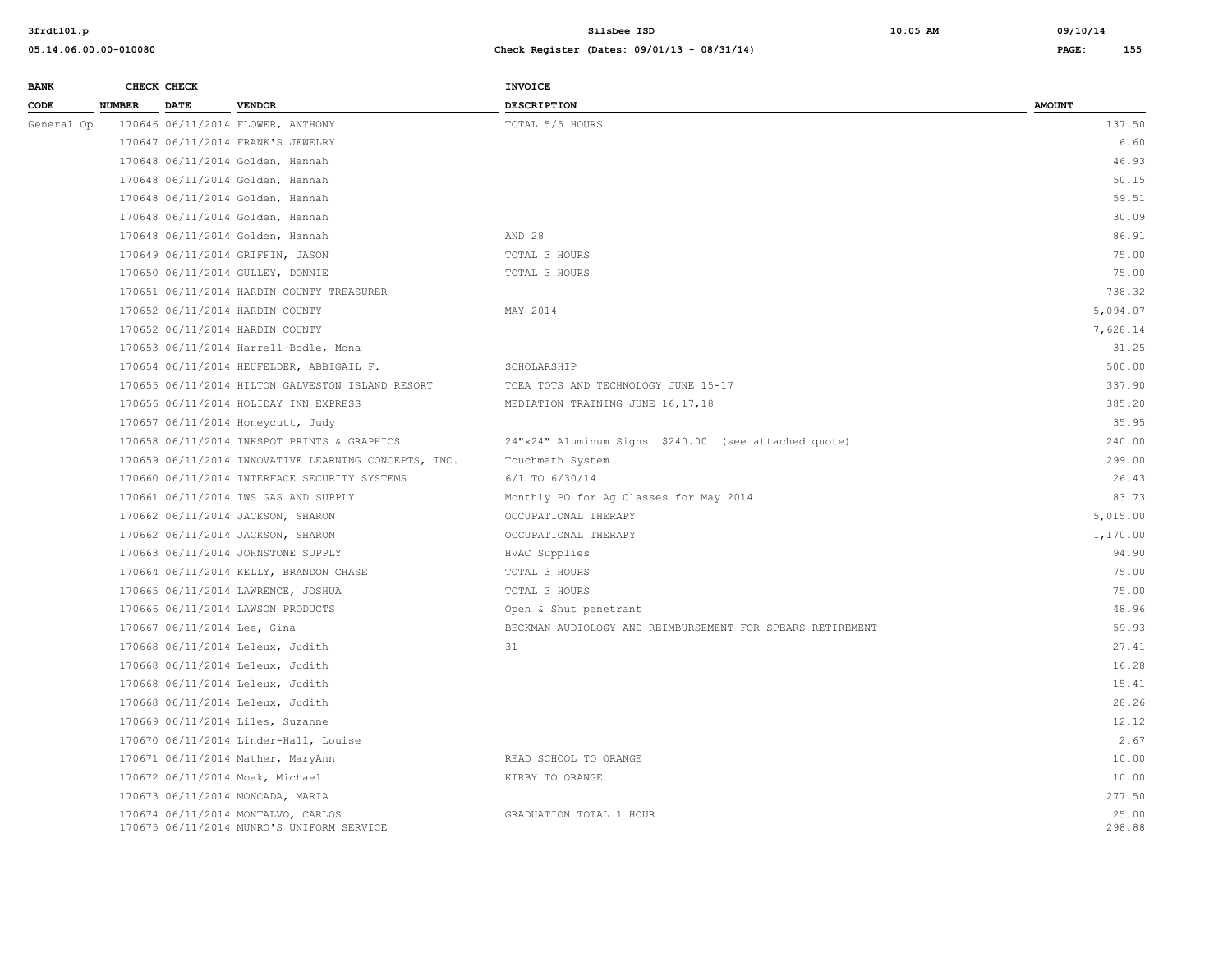**05.14.06.00.00-010080 Check Register (Dates: 09/01/13 - 08/31/14) PAGE: 155**

| <b>BANK</b> |               | CHECK CHECK                 |                                                      | <b>INVOICE</b>                                            |               |
|-------------|---------------|-----------------------------|------------------------------------------------------|-----------------------------------------------------------|---------------|
| CODE        | <b>NUMBER</b> | <b>DATE</b>                 | <b>VENDOR</b>                                        | DESCRIPTION                                               | <b>AMOUNT</b> |
| General Op  |               |                             | 170646 06/11/2014 FLOWER, ANTHONY                    | TOTAL 5/5 HOURS                                           | 137.50        |
|             |               |                             | 170647 06/11/2014 FRANK'S JEWELRY                    |                                                           | 6.60          |
|             |               |                             | 170648 06/11/2014 Golden, Hannah                     |                                                           | 46.93         |
|             |               |                             | 170648 06/11/2014 Golden, Hannah                     |                                                           | 50.15         |
|             |               |                             | 170648 06/11/2014 Golden, Hannah                     |                                                           | 59.51         |
|             |               |                             | 170648 06/11/2014 Golden, Hannah                     |                                                           | 30.09         |
|             |               |                             | 170648 06/11/2014 Golden, Hannah                     | AND 28                                                    | 86.91         |
|             |               |                             | 170649 06/11/2014 GRIFFIN, JASON                     | TOTAL 3 HOURS                                             | 75.00         |
|             |               |                             | 170650 06/11/2014 GULLEY, DONNIE                     | TOTAL 3 HOURS                                             | 75.00         |
|             |               |                             | 170651 06/11/2014 HARDIN COUNTY TREASURER            |                                                           | 738.32        |
|             |               |                             | 170652 06/11/2014 HARDIN COUNTY                      | MAY 2014                                                  | 5,094.07      |
|             |               |                             | 170652 06/11/2014 HARDIN COUNTY                      |                                                           | 7,628.14      |
|             |               |                             | 170653 06/11/2014 Harrell-Bodle, Mona                |                                                           | 31.25         |
|             |               |                             | 170654 06/11/2014 HEUFELDER, ABBIGAIL F.             | SCHOLARSHIP                                               | 500.00        |
|             |               |                             | 170655 06/11/2014 HILTON GALVESTON ISLAND RESORT     | TCEA TOTS AND TECHNOLOGY JUNE 15-17                       | 337.90        |
|             |               |                             | 170656 06/11/2014 HOLIDAY INN EXPRESS                | MEDIATION TRAINING JUNE 16, 17, 18                        | 385.20        |
|             |               |                             | 170657 06/11/2014 Honeycutt, Judy                    |                                                           | 35.95         |
|             |               |                             | 170658 06/11/2014 INKSPOT PRINTS & GRAPHICS          | 24"x24" Aluminum Signs \$240.00 (see attached quote)      | 240.00        |
|             |               |                             | 170659 06/11/2014 INNOVATIVE LEARNING CONCEPTS, INC. | Touchmath System                                          | 299.00        |
|             |               |                             | 170660 06/11/2014 INTERFACE SECURITY SYSTEMS         | 6/1 TO 6/30/14                                            | 26.43         |
|             |               |                             | 170661 06/11/2014 IWS GAS AND SUPPLY                 | Monthly PO for Ag Classes for May 2014                    | 83.73         |
|             |               |                             | 170662 06/11/2014 JACKSON, SHARON                    | OCCUPATIONAL THERAPY                                      | 5,015.00      |
|             |               |                             | 170662 06/11/2014 JACKSON, SHARON                    | OCCUPATIONAL THERAPY                                      | 1,170.00      |
|             |               |                             | 170663 06/11/2014 JOHNSTONE SUPPLY                   | HVAC Supplies                                             | 94.90         |
|             |               |                             | 170664 06/11/2014 KELLY, BRANDON CHASE               | TOTAL 3 HOURS                                             | 75.00         |
|             |               |                             | 170665 06/11/2014 LAWRENCE, JOSHUA                   | TOTAL 3 HOURS                                             | 75.00         |
|             |               |                             | 170666 06/11/2014 LAWSON PRODUCTS                    | Open & Shut penetrant                                     | 48.96         |
|             |               | 170667 06/11/2014 Lee, Gina |                                                      | BECKMAN AUDIOLOGY AND REIMBURSEMENT FOR SPEARS RETIREMENT | 59.93         |
|             |               |                             | 170668 06/11/2014 Leleux, Judith                     | 31                                                        | 27.41         |
|             |               |                             | 170668 06/11/2014 Leleux, Judith                     |                                                           | 16.28         |
|             |               |                             | 170668 06/11/2014 Leleux, Judith                     |                                                           | 15.41         |
|             |               |                             | 170668 06/11/2014 Leleux, Judith                     |                                                           | 28.26         |
|             |               |                             | 170669 06/11/2014 Liles, Suzanne                     |                                                           | 12.12         |
|             |               |                             | 170670 06/11/2014 Linder-Hall, Louise                |                                                           | 2.67          |
|             |               |                             | 170671 06/11/2014 Mather, MaryAnn                    | READ SCHOOL TO ORANGE                                     | 10.00         |
|             |               |                             | 170672 06/11/2014 Moak, Michael                      | KIRBY TO ORANGE                                           | 10.00         |
|             |               |                             | 170673 06/11/2014 MONCADA, MARIA                     |                                                           | 277.50        |

170674 06/11/2014 MONTALVO, CARLOS GRADUATION TOTAL 1 HOUR 25.00

170675 06/11/2014 MUNRO'S UNIFORM SERVICE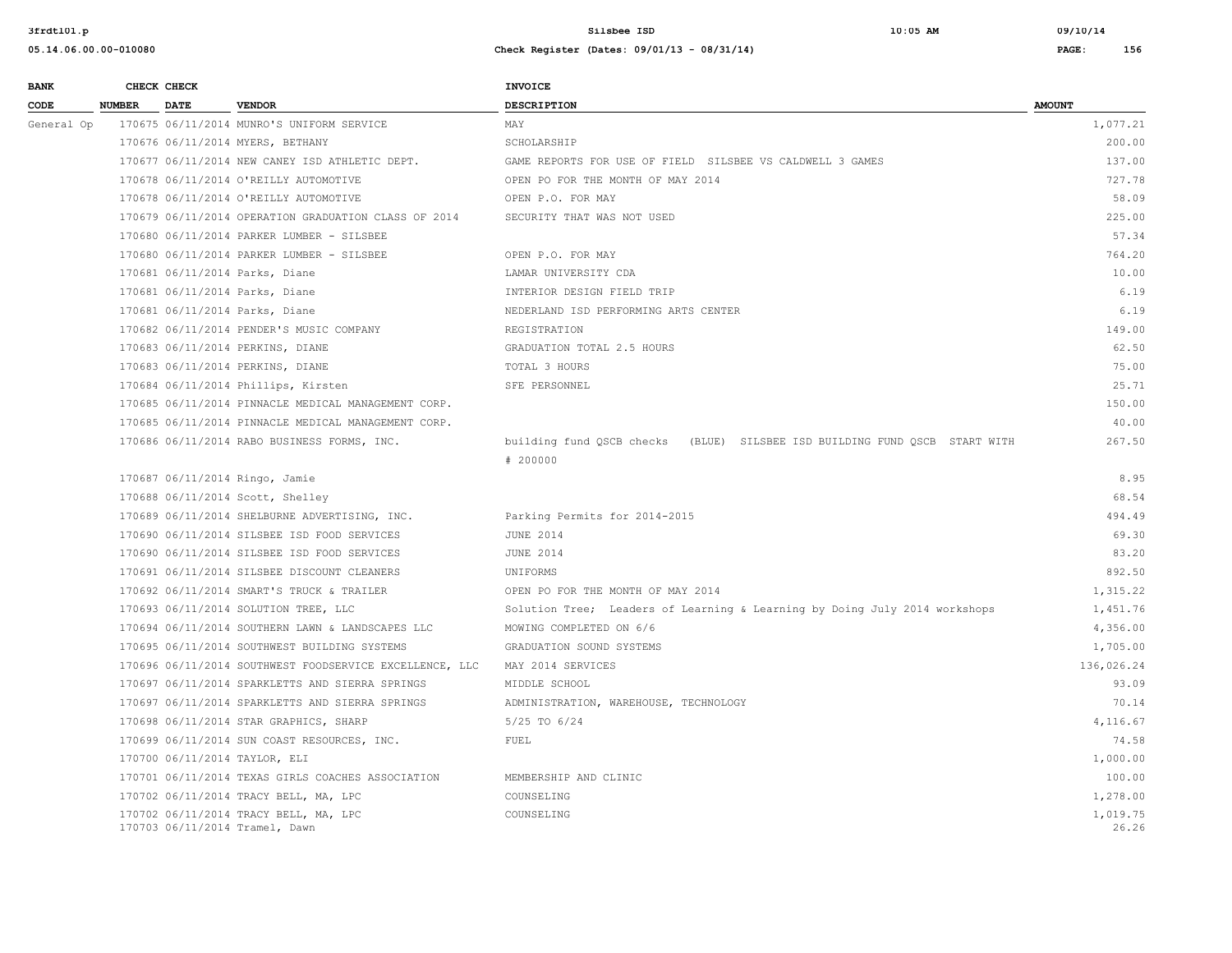| <b>BANK</b> |               | CHECK CHECK |                                                                         | <b>INVOICE</b>                                                             |                   |
|-------------|---------------|-------------|-------------------------------------------------------------------------|----------------------------------------------------------------------------|-------------------|
| CODE        | <b>NUMBER</b> | DATE        | <b>VENDOR</b>                                                           | <b>DESCRIPTION</b>                                                         | <b>AMOUNT</b>     |
| General Op  |               |             | 170675 06/11/2014 MUNRO'S UNIFORM SERVICE                               | MAY                                                                        | 1,077.21          |
|             |               |             | 170676 06/11/2014 MYERS, BETHANY                                        | SCHOLARSHIP                                                                | 200.00            |
|             |               |             | 170677 06/11/2014 NEW CANEY ISD ATHLETIC DEPT.                          | GAME REPORTS FOR USE OF FIELD SILSBEE VS CALDWELL 3 GAMES                  | 137.00            |
|             |               |             | 170678 06/11/2014 O'REILLY AUTOMOTIVE                                   | OPEN PO FOR THE MONTH OF MAY 2014                                          | 727.78            |
|             |               |             | 170678 06/11/2014 O'REILLY AUTOMOTIVE                                   | OPEN P.O. FOR MAY                                                          | 58.09             |
|             |               |             | 170679 06/11/2014 OPERATION GRADUATION CLASS OF 2014                    | SECURITY THAT WAS NOT USED                                                 | 225.00            |
|             |               |             | 170680 06/11/2014 PARKER LUMBER - SILSBEE                               |                                                                            | 57.34             |
|             |               |             | 170680 06/11/2014 PARKER LUMBER - SILSBEE                               | OPEN P.O. FOR MAY                                                          | 764.20            |
|             |               |             | 170681 06/11/2014 Parks, Diane                                          | LAMAR UNIVERSITY CDA                                                       | 10.00             |
|             |               |             | 170681 06/11/2014 Parks, Diane                                          | INTERIOR DESIGN FIELD TRIP                                                 | 6.19              |
|             |               |             | 170681 06/11/2014 Parks, Diane                                          | NEDERLAND ISD PERFORMING ARTS CENTER                                       | 6.19              |
|             |               |             | 170682 06/11/2014 PENDER'S MUSIC COMPANY                                | REGISTRATION                                                               | 149.00            |
|             |               |             | 170683 06/11/2014 PERKINS, DIANE                                        | GRADUATION TOTAL 2.5 HOURS                                                 | 62.50             |
|             |               |             | 170683 06/11/2014 PERKINS, DIANE                                        | TOTAL 3 HOURS                                                              | 75.00             |
|             |               |             | 170684 06/11/2014 Phillips, Kirsten                                     | SFE PERSONNEL                                                              | 25.71             |
|             |               |             | 170685 06/11/2014 PINNACLE MEDICAL MANAGEMENT CORP.                     |                                                                            | 150.00            |
|             |               |             | 170685 06/11/2014 PINNACLE MEDICAL MANAGEMENT CORP.                     |                                                                            | 40.00             |
|             |               |             | 170686 06/11/2014 RABO BUSINESS FORMS, INC.                             | building fund QSCB checks (BLUE) SILSBEE ISD BUILDING FUND QSCB START WITH | 267.50            |
|             |               |             |                                                                         | # 200000                                                                   |                   |
|             |               |             | 170687 06/11/2014 Ringo, Jamie                                          |                                                                            | 8.95              |
|             |               |             | 170688 06/11/2014 Scott, Shelley                                        |                                                                            | 68.54             |
|             |               |             | 170689 06/11/2014 SHELBURNE ADVERTISING, INC.                           | Parking Permits for 2014-2015                                              | 494.49            |
|             |               |             | 170690 06/11/2014 SILSBEE ISD FOOD SERVICES                             | <b>JUNE 2014</b>                                                           | 69.30             |
|             |               |             | 170690 06/11/2014 SILSBEE ISD FOOD SERVICES                             | <b>JUNE 2014</b>                                                           | 83.20             |
|             |               |             | 170691 06/11/2014 SILSBEE DISCOUNT CLEANERS                             | UNIFORMS                                                                   | 892.50            |
|             |               |             | 170692 06/11/2014 SMART'S TRUCK & TRAILER                               | OPEN PO FOR THE MONTH OF MAY 2014                                          | 1,315.22          |
|             |               |             | 170693 06/11/2014 SOLUTION TREE, LLC                                    | Solution Tree; Leaders of Learning & Learning by Doing July 2014 workshops | 1,451.76          |
|             |               |             | 170694 06/11/2014 SOUTHERN LAWN & LANDSCAPES LLC                        | MOWING COMPLETED ON 6/6                                                    | 4,356.00          |
|             |               |             | 170695 06/11/2014 SOUTHWEST BUILDING SYSTEMS                            | GRADUATION SOUND SYSTEMS                                                   | 1,705.00          |
|             |               |             | 170696 06/11/2014 SOUTHWEST FOODSERVICE EXCELLENCE, LLC                 | MAY 2014 SERVICES                                                          | 136,026.24        |
|             |               |             | 170697 06/11/2014 SPARKLETTS AND SIERRA SPRINGS                         | MIDDLE SCHOOL                                                              | 93.09             |
|             |               |             | 170697 06/11/2014 SPARKLETTS AND SIERRA SPRINGS                         | ADMINISTRATION, WAREHOUSE, TECHNOLOGY                                      | 70.14             |
|             |               |             | 170698 06/11/2014 STAR GRAPHICS, SHARP                                  | $5/25$ TO $6/24$                                                           | 4,116.67          |
|             |               |             | 170699 06/11/2014 SUN COAST RESOURCES, INC.                             | FUEL                                                                       | 74.58             |
|             |               |             | 170700 06/11/2014 TAYLOR, ELI                                           |                                                                            | 1,000.00          |
|             |               |             | 170701 06/11/2014 TEXAS GIRLS COACHES ASSOCIATION                       | MEMBERSHIP AND CLINIC                                                      | 100.00            |
|             |               |             | 170702 06/11/2014 TRACY BELL, MA, LPC                                   | COUNSELING                                                                 | 1,278.00          |
|             |               |             | 170702 06/11/2014 TRACY BELL, MA, LPC<br>170703 06/11/2014 Tramel, Dawn | COUNSELING                                                                 | 1,019.75<br>26.26 |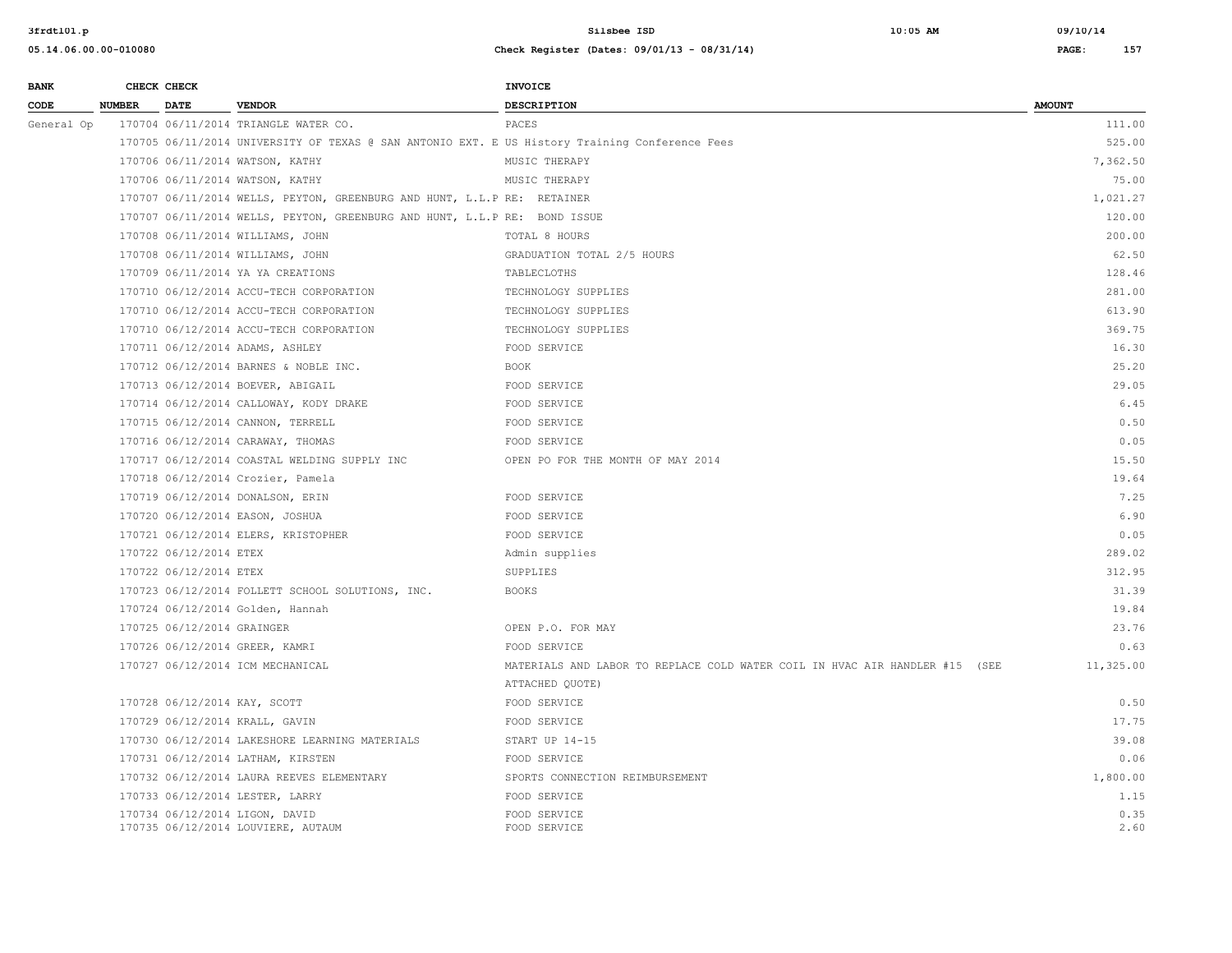| <b>BANK</b> |               | CHECK CHECK                |                                                                                                | <b>INVOICE</b>                                                                                 |               |
|-------------|---------------|----------------------------|------------------------------------------------------------------------------------------------|------------------------------------------------------------------------------------------------|---------------|
| CODE        | <b>NUMBER</b> | <b>DATE</b>                | <b>VENDOR</b>                                                                                  | <b>DESCRIPTION</b>                                                                             | <b>AMOUNT</b> |
| General Op  |               |                            | 170704 06/11/2014 TRIANGLE WATER CO.                                                           | PACES                                                                                          | 111.00        |
|             |               |                            | 170705 06/11/2014 UNIVERSITY OF TEXAS @ SAN ANTONIO EXT. E US History Training Conference Fees |                                                                                                | 525.00        |
|             |               |                            | 170706 06/11/2014 WATSON, KATHY                                                                | MUSIC THERAPY                                                                                  | 7,362.50      |
|             |               |                            | 170706 06/11/2014 WATSON, KATHY                                                                | MUSIC THERAPY                                                                                  | 75.00         |
|             |               |                            | 170707 06/11/2014 WELLS, PEYTON, GREENBURG AND HUNT, L.L.P RE: RETAINER                        |                                                                                                | 1,021.27      |
|             |               |                            | 170707 06/11/2014 WELLS, PEYTON, GREENBURG AND HUNT, L.L.P RE: BOND ISSUE                      |                                                                                                | 120.00        |
|             |               |                            | 170708 06/11/2014 WILLIAMS, JOHN                                                               | TOTAL 8 HOURS                                                                                  | 200.00        |
|             |               |                            | 170708 06/11/2014 WILLIAMS, JOHN                                                               | GRADUATION TOTAL 2/5 HOURS                                                                     | 62.50         |
|             |               |                            | 170709 06/11/2014 YA YA CREATIONS                                                              | TABLECLOTHS                                                                                    | 128.46        |
|             |               |                            | 170710 06/12/2014 ACCU-TECH CORPORATION                                                        | TECHNOLOGY SUPPLIES                                                                            | 281.00        |
|             |               |                            | 170710 06/12/2014 ACCU-TECH CORPORATION                                                        | TECHNOLOGY SUPPLIES                                                                            | 613.90        |
|             |               |                            | 170710 06/12/2014 ACCU-TECH CORPORATION                                                        | TECHNOLOGY SUPPLIES                                                                            | 369.75        |
|             |               |                            | 170711 06/12/2014 ADAMS, ASHLEY                                                                | FOOD SERVICE                                                                                   | 16.30         |
|             |               |                            | 170712 06/12/2014 BARNES & NOBLE INC.                                                          | <b>BOOK</b>                                                                                    | 25.20         |
|             |               |                            | 170713 06/12/2014 BOEVER, ABIGAIL                                                              | FOOD SERVICE                                                                                   | 29.05         |
|             |               |                            | 170714 06/12/2014 CALLOWAY, KODY DRAKE                                                         | FOOD SERVICE                                                                                   | 6.45          |
|             |               |                            | 170715 06/12/2014 CANNON, TERRELL                                                              | FOOD SERVICE                                                                                   | 0.50          |
|             |               |                            | 170716 06/12/2014 CARAWAY, THOMAS                                                              | FOOD SERVICE                                                                                   | 0.05          |
|             |               |                            | 170717 06/12/2014 COASTAL WELDING SUPPLY INC                                                   | OPEN PO FOR THE MONTH OF MAY 2014                                                              | 15.50         |
|             |               |                            | 170718 06/12/2014 Crozier, Pamela                                                              |                                                                                                | 19.64         |
|             |               |                            | 170719 06/12/2014 DONALSON, ERIN                                                               | FOOD SERVICE                                                                                   | 7.25          |
|             |               |                            | 170720 06/12/2014 EASON, JOSHUA                                                                | FOOD SERVICE                                                                                   | 6.90          |
|             |               |                            | 170721 06/12/2014 ELERS, KRISTOPHER                                                            | FOOD SERVICE                                                                                   | 0.05          |
|             |               | 170722 06/12/2014 ETEX     |                                                                                                | Admin supplies                                                                                 | 289.02        |
|             |               | 170722 06/12/2014 ETEX     |                                                                                                | <b>SUPPLIES</b>                                                                                | 312.95        |
|             |               |                            | 170723 06/12/2014 FOLLETT SCHOOL SOLUTIONS, INC.                                               | <b>BOOKS</b>                                                                                   | 31.39         |
|             |               |                            | 170724 06/12/2014 Golden, Hannah                                                               |                                                                                                | 19.84         |
|             |               | 170725 06/12/2014 GRAINGER |                                                                                                | OPEN P.O. FOR MAY                                                                              | 23.76         |
|             |               |                            | 170726 06/12/2014 GREER, KAMRI                                                                 | FOOD SERVICE                                                                                   | 0.63          |
|             |               |                            | 170727 06/12/2014 ICM MECHANICAL                                                               | MATERIALS AND LABOR TO REPLACE COLD WATER COIL IN HVAC AIR HANDLER #15 (SEE<br>ATTACHED QUOTE) | 11,325.00     |
|             |               |                            | 170728 06/12/2014 KAY, SCOTT                                                                   | FOOD SERVICE                                                                                   | 0.50          |
|             |               |                            | 170729 06/12/2014 KRALL, GAVIN                                                                 | FOOD SERVICE                                                                                   | 17.75         |
|             |               |                            | 170730 06/12/2014 LAKESHORE LEARNING MATERIALS                                                 | START UP 14-15                                                                                 | 39.08         |
|             |               |                            | 170731 06/12/2014 LATHAM, KIRSTEN                                                              | FOOD SERVICE                                                                                   | 0.06          |
|             |               |                            | 170732 06/12/2014 LAURA REEVES ELEMENTARY                                                      | SPORTS CONNECTION REIMBURSEMENT                                                                | 1,800.00      |
|             |               |                            | 170733 06/12/2014 LESTER, LARRY                                                                | FOOD SERVICE                                                                                   | 1.15          |
|             |               |                            | 170734 06/12/2014 LIGON, DAVID                                                                 | FOOD SERVICE                                                                                   | 0.35          |
|             |               |                            | 170735 06/12/2014 LOUVIERE, AUTAUM                                                             | FOOD SERVICE                                                                                   | 2.60          |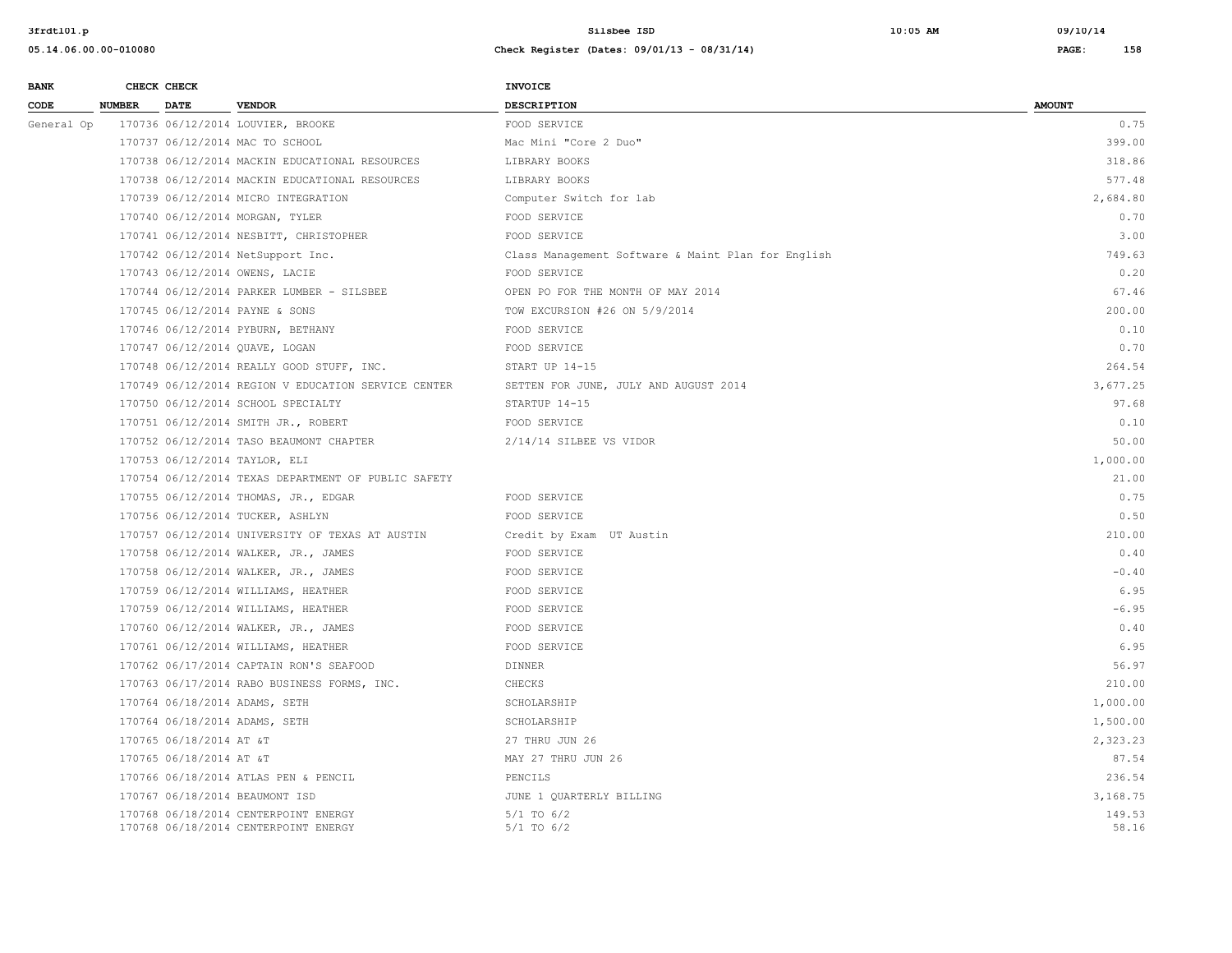| <b>BANK</b> |               | CHECK CHECK             |                                                                              | <b>INVOICE</b>                                     |                 |
|-------------|---------------|-------------------------|------------------------------------------------------------------------------|----------------------------------------------------|-----------------|
| CODE        | <b>NUMBER</b> | <b>DATE</b>             | <b>VENDOR</b>                                                                | <b>DESCRIPTION</b>                                 | <b>AMOUNT</b>   |
| General Op  |               |                         | 170736 06/12/2014 LOUVIER, BROOKE                                            | FOOD SERVICE                                       | 0.75            |
|             |               |                         | 170737 06/12/2014 MAC TO SCHOOL                                              | Mac Mini "Core 2 Duo"                              | 399.00          |
|             |               |                         | 170738 06/12/2014 MACKIN EDUCATIONAL RESOURCES                               | LIBRARY BOOKS                                      | 318.86          |
|             |               |                         | 170738 06/12/2014 MACKIN EDUCATIONAL RESOURCES                               | LIBRARY BOOKS                                      | 577.48          |
|             |               |                         | 170739 06/12/2014 MICRO INTEGRATION                                          | Computer Switch for lab                            | 2,684.80        |
|             |               |                         | 170740 06/12/2014 MORGAN, TYLER                                              | FOOD SERVICE                                       | 0.70            |
|             |               |                         | 170741 06/12/2014 NESBITT, CHRISTOPHER                                       | FOOD SERVICE                                       | 3.00            |
|             |               |                         | 170742 06/12/2014 NetSupport Inc.                                            | Class Management Software & Maint Plan for English | 749.63          |
|             |               |                         | 170743 06/12/2014 OWENS, LACIE                                               | FOOD SERVICE                                       | 0.20            |
|             |               |                         | 170744 06/12/2014 PARKER LUMBER - SILSBEE                                    | OPEN PO FOR THE MONTH OF MAY 2014                  | 67.46           |
|             |               |                         | 170745 06/12/2014 PAYNE & SONS                                               | TOW EXCURSION #26 ON 5/9/2014                      | 200.00          |
|             |               |                         | 170746 06/12/2014 PYBURN, BETHANY                                            | FOOD SERVICE                                       | 0.10            |
|             |               |                         | 170747 06/12/2014 OUAVE, LOGAN                                               | FOOD SERVICE                                       | 0.70            |
|             |               |                         | 170748 06/12/2014 REALLY GOOD STUFF, INC.                                    | START UP 14-15                                     | 264.54          |
|             |               |                         | 170749 06/12/2014 REGION V EDUCATION SERVICE CENTER                          | SETTEN FOR JUNE, JULY AND AUGUST 2014              | 3,677.25        |
|             |               |                         | 170750 06/12/2014 SCHOOL SPECIALTY                                           | STARTUP 14-15                                      | 97.68           |
|             |               |                         | 170751 06/12/2014 SMITH JR., ROBERT                                          | FOOD SERVICE                                       | 0.10            |
|             |               |                         | 170752 06/12/2014 TASO BEAUMONT CHAPTER                                      | 2/14/14 SILBEE VS VIDOR                            | 50.00           |
|             |               |                         | 170753 06/12/2014 TAYLOR, ELI                                                |                                                    | 1,000.00        |
|             |               |                         | 170754 06/12/2014 TEXAS DEPARTMENT OF PUBLIC SAFETY                          |                                                    | 21.00           |
|             |               |                         | 170755 06/12/2014 THOMAS, JR., EDGAR                                         | FOOD SERVICE                                       | 0.75            |
|             |               |                         | 170756 06/12/2014 TUCKER, ASHLYN                                             | FOOD SERVICE                                       | 0.50            |
|             |               |                         | 170757 06/12/2014 UNIVERSITY OF TEXAS AT AUSTIN                              | Credit by Exam UT Austin                           | 210.00          |
|             |               |                         | 170758 06/12/2014 WALKER, JR., JAMES                                         | FOOD SERVICE                                       | 0.40            |
|             |               |                         | 170758 06/12/2014 WALKER, JR., JAMES                                         | FOOD SERVICE                                       | $-0.40$         |
|             |               |                         | 170759 06/12/2014 WILLIAMS, HEATHER                                          | FOOD SERVICE                                       | 6.95            |
|             |               |                         | 170759 06/12/2014 WILLIAMS, HEATHER                                          | FOOD SERVICE                                       | $-6.95$         |
|             |               |                         | 170760 06/12/2014 WALKER, JR., JAMES                                         | FOOD SERVICE                                       | 0.40            |
|             |               |                         | 170761 06/12/2014 WILLIAMS, HEATHER                                          | FOOD SERVICE                                       | 6.95            |
|             |               |                         | 170762 06/17/2014 CAPTAIN RON'S SEAFOOD                                      | <b>DINNER</b>                                      | 56.97           |
|             |               |                         | 170763 06/17/2014 RABO BUSINESS FORMS, INC.                                  | CHECKS                                             | 210.00          |
|             |               |                         | 170764 06/18/2014 ADAMS, SETH                                                | SCHOLARSHIP                                        | 1,000.00        |
|             |               |                         | 170764 06/18/2014 ADAMS, SETH                                                | SCHOLARSHIP                                        | 1,500.00        |
|             |               | 170765 06/18/2014 AT &T |                                                                              | 27 THRU JUN 26                                     | 2,323.23        |
|             |               | 170765 06/18/2014 AT &T |                                                                              | MAY 27 THRU JUN 26                                 | 87.54           |
|             |               |                         | 170766 06/18/2014 ATLAS PEN & PENCIL                                         | PENCILS                                            | 236.54          |
|             |               |                         | 170767 06/18/2014 BEAUMONT ISD                                               | JUNE 1 OUARTERLY BILLING                           | 3,168.75        |
|             |               |                         | 170768 06/18/2014 CENTERPOINT ENERGY<br>170768 06/18/2014 CENTERPOINT ENERGY | $5/1$ TO $6/2$<br>$5/1$ TO $6/2$                   | 149.53<br>58.16 |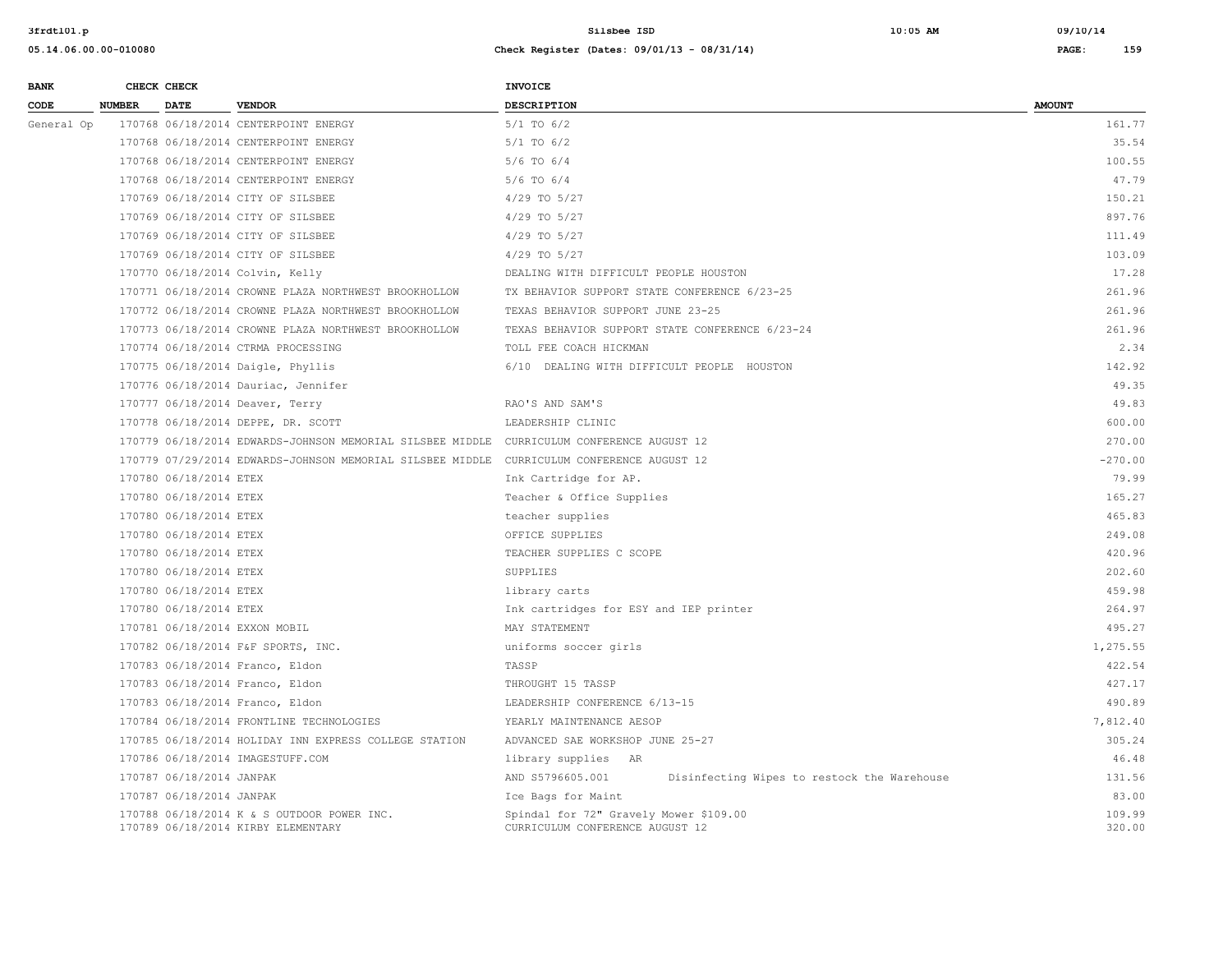| <b>BANK</b> |               | CHECK CHECK              |                                                                                           | <b>INVOICE</b>                                                            |                  |
|-------------|---------------|--------------------------|-------------------------------------------------------------------------------------------|---------------------------------------------------------------------------|------------------|
| CODE        | <b>NUMBER</b> | <b>DATE</b>              | <b>VENDOR</b>                                                                             | <b>DESCRIPTION</b>                                                        | <b>AMOUNT</b>    |
| General Op  |               |                          | 170768 06/18/2014 CENTERPOINT ENERGY                                                      | $5/1$ TO $6/2$                                                            | 161.77           |
|             |               |                          | 170768 06/18/2014 CENTERPOINT ENERGY                                                      | $5/1$ TO $6/2$                                                            | 35.54            |
|             |               |                          | 170768 06/18/2014 CENTERPOINT ENERGY                                                      | $5/6$ TO $6/4$                                                            | 100.55           |
|             |               |                          | 170768 06/18/2014 CENTERPOINT ENERGY                                                      | $5/6$ TO $6/4$                                                            | 47.79            |
|             |               |                          | 170769 06/18/2014 CITY OF SILSBEE                                                         | $4/29$ TO $5/27$                                                          | 150.21           |
|             |               |                          | 170769 06/18/2014 CITY OF SILSBEE                                                         | 4/29 TO 5/27                                                              | 897.76           |
|             |               |                          | 170769 06/18/2014 CITY OF SILSBEE                                                         | $4/29$ TO $5/27$                                                          | 111.49           |
|             |               |                          | 170769 06/18/2014 CITY OF SILSBEE                                                         | $4/29$ TO $5/27$                                                          | 103.09           |
|             |               |                          | 170770 06/18/2014 Colvin, Kelly                                                           | DEALING WITH DIFFICULT PEOPLE HOUSTON                                     | 17.28            |
|             |               |                          | 170771 06/18/2014 CROWNE PLAZA NORTHWEST BROOKHOLLOW                                      | TX BEHAVIOR SUPPORT STATE CONFERENCE 6/23-25                              | 261.96           |
|             |               |                          | 170772 06/18/2014 CROWNE PLAZA NORTHWEST BROOKHOLLOW                                      | TEXAS BEHAVIOR SUPPORT JUNE 23-25                                         | 261.96           |
|             |               |                          | 170773 06/18/2014 CROWNE PLAZA NORTHWEST BROOKHOLLOW                                      | TEXAS BEHAVIOR SUPPORT STATE CONFERENCE 6/23-24                           | 261.96           |
|             |               |                          | 170774 06/18/2014 CTRMA PROCESSING                                                        | TOLL FEE COACH HICKMAN                                                    | 2.34             |
|             |               |                          | 170775 06/18/2014 Daigle, Phyllis                                                         | 6/10 DEALING WITH DIFFICULT PEOPLE HOUSTON                                | 142.92           |
|             |               |                          | 170776 06/18/2014 Dauriac, Jennifer                                                       |                                                                           | 49.35            |
|             |               |                          | 170777 06/18/2014 Deaver, Terry                                                           | RAO'S AND SAM'S                                                           | 49.83            |
|             |               |                          | 170778 06/18/2014 DEPPE, DR. SCOTT                                                        | LEADERSHIP CLINIC                                                         | 600.00           |
|             |               |                          | 170779 06/18/2014 EDWARDS-JOHNSON MEMORIAL SILSBEE MIDDLE CURRICULUM CONFERENCE AUGUST 12 |                                                                           | 270.00           |
|             |               |                          | 170779 07/29/2014 EDWARDS-JOHNSON MEMORIAL SILSBEE MIDDLE                                 | CURRICULUM CONFERENCE AUGUST 12                                           | $-270.00$        |
|             |               | 170780 06/18/2014 ETEX   |                                                                                           | Ink Cartridge for AP.                                                     | 79.99            |
|             |               | 170780 06/18/2014 ETEX   |                                                                                           | Teacher & Office Supplies                                                 | 165.27           |
|             |               | 170780 06/18/2014 ETEX   |                                                                                           | teacher supplies                                                          | 465.83           |
|             |               | 170780 06/18/2014 ETEX   |                                                                                           | OFFICE SUPPLIES                                                           | 249.08           |
|             |               | 170780 06/18/2014 ETEX   |                                                                                           | TEACHER SUPPLIES C SCOPE                                                  | 420.96           |
|             |               | 170780 06/18/2014 ETEX   |                                                                                           | SUPPLIES                                                                  | 202.60           |
|             |               | 170780 06/18/2014 ETEX   |                                                                                           | library carts                                                             | 459.98           |
|             |               | 170780 06/18/2014 ETEX   |                                                                                           | Ink cartridges for ESY and IEP printer                                    | 264.97           |
|             |               |                          | 170781 06/18/2014 EXXON MOBIL                                                             | MAY STATEMENT                                                             | 495.27           |
|             |               |                          | 170782 06/18/2014 F&F SPORTS, INC.                                                        | uniforms soccer girls                                                     | 1,275.55         |
|             |               |                          | 170783 06/18/2014 Franco, Eldon                                                           | TASSP                                                                     | 422.54           |
|             |               |                          | 170783 06/18/2014 Franco, Eldon                                                           | THROUGHT 15 TASSP                                                         | 427.17           |
|             |               |                          | 170783 06/18/2014 Franco, Eldon                                                           | LEADERSHIP CONFERENCE 6/13-15                                             | 490.89           |
|             |               |                          | 170784 06/18/2014 FRONTLINE TECHNOLOGIES                                                  | YEARLY MAINTENANCE AESOP                                                  | 7,812.40         |
|             |               |                          | 170785 06/18/2014 HOLIDAY INN EXPRESS COLLEGE STATION                                     | ADVANCED SAE WORKSHOP JUNE 25-27                                          | 305.24           |
|             |               |                          | 170786 06/18/2014 IMAGESTUFF.COM                                                          | library supplies AR                                                       | 46.48            |
|             |               | 170787 06/18/2014 JANPAK |                                                                                           | AND S5796605.001<br>Disinfecting Wipes to restock the Warehouse           | 131.56           |
|             |               | 170787 06/18/2014 JANPAK |                                                                                           | Ice Bags for Maint                                                        | 83.00            |
|             |               |                          | 170788 06/18/2014 K & S OUTDOOR POWER INC.<br>170789 06/18/2014 KIRBY ELEMENTARY          | Spindal for 72" Gravely Mower \$109.00<br>CURRICULUM CONFERENCE AUGUST 12 | 109.99<br>320.00 |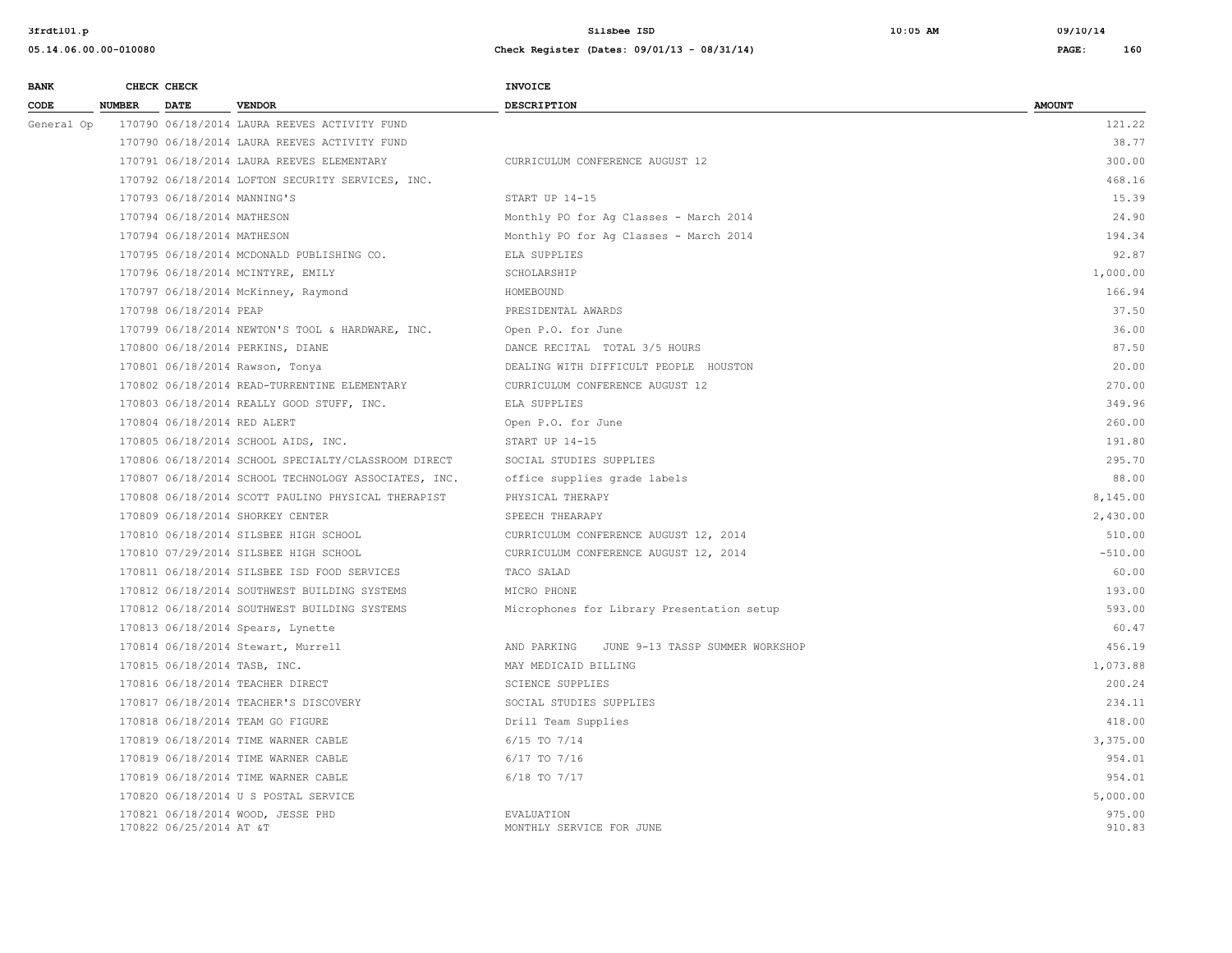| <b>BANK</b> | CHECK CHECK                  |                                                              | <b>INVOICE</b>                                 |                  |
|-------------|------------------------------|--------------------------------------------------------------|------------------------------------------------|------------------|
| CODE        | <b>NUMBER</b><br><b>DATE</b> | <b>VENDOR</b>                                                | <b>DESCRIPTION</b>                             | <b>AMOUNT</b>    |
| General Op  |                              | 170790 06/18/2014 LAURA REEVES ACTIVITY FUND                 |                                                | 121.22           |
|             |                              | 170790 06/18/2014 LAURA REEVES ACTIVITY FUND                 |                                                | 38.77            |
|             |                              | 170791 06/18/2014 LAURA REEVES ELEMENTARY                    | CURRICULUM CONFERENCE AUGUST 12                | 300.00           |
|             |                              | 170792 06/18/2014 LOFTON SECURITY SERVICES, INC.             |                                                | 468.16           |
|             |                              | 170793 06/18/2014 MANNING'S                                  | START UP 14-15                                 | 15.39            |
|             |                              | 170794 06/18/2014 MATHESON                                   | Monthly PO for Ag Classes - March 2014         | 24.90            |
|             |                              | 170794 06/18/2014 MATHESON                                   | Monthly PO for Ag Classes - March 2014         | 194.34           |
|             |                              | 170795 06/18/2014 MCDONALD PUBLISHING CO.                    | ELA SUPPLIES                                   | 92.87            |
|             |                              | 170796 06/18/2014 MCINTYRE, EMILY                            | SCHOLARSHIP                                    | 1,000.00         |
|             |                              | 170797 06/18/2014 McKinney, Raymond                          | HOMEBOUND                                      | 166.94           |
|             |                              | 170798 06/18/2014 PEAP                                       | PRESIDENTAL AWARDS                             | 37.50            |
|             |                              | 170799 06/18/2014 NEWTON'S TOOL & HARDWARE, INC.             | Open P.O. for June                             | 36.00            |
|             |                              | 170800 06/18/2014 PERKINS, DIANE                             | DANCE RECITAL TOTAL 3/5 HOURS                  | 87.50            |
|             |                              | 170801 06/18/2014 Rawson, Tonya                              | DEALING WITH DIFFICULT PEOPLE HOUSTON          | 20.00            |
|             |                              | 170802 06/18/2014 READ-TURRENTINE ELEMENTARY                 | CURRICULUM CONFERENCE AUGUST 12                | 270.00           |
|             |                              | 170803 06/18/2014 REALLY GOOD STUFF, INC.                    | ELA SUPPLIES                                   | 349.96           |
|             |                              | 170804 06/18/2014 RED ALERT                                  | Open P.O. for June                             | 260.00           |
|             |                              | 170805 06/18/2014 SCHOOL AIDS, INC.                          | START UP 14-15                                 | 191.80           |
|             |                              | 170806 06/18/2014 SCHOOL SPECIALTY/CLASSROOM DIRECT          | SOCIAL STUDIES SUPPLIES                        | 295.70           |
|             |                              | 170807 06/18/2014 SCHOOL TECHNOLOGY ASSOCIATES, INC.         | office supplies grade labels                   | 88.00            |
|             |                              | 170808 06/18/2014 SCOTT PAULINO PHYSICAL THERAPIST           | PHYSICAL THERAPY                               | 8,145.00         |
|             |                              | 170809 06/18/2014 SHORKEY CENTER                             | SPEECH THEARAPY                                | 2,430.00         |
|             |                              | 170810 06/18/2014 SILSBEE HIGH SCHOOL                        | CURRICULUM CONFERENCE AUGUST 12, 2014          | 510.00           |
|             |                              | 170810 07/29/2014 SILSBEE HIGH SCHOOL                        | CURRICULUM CONFERENCE AUGUST 12, 2014          | $-510.00$        |
|             |                              | 170811 06/18/2014 SILSBEE ISD FOOD SERVICES                  | TACO SALAD                                     | 60.00            |
|             |                              | 170812 06/18/2014 SOUTHWEST BUILDING SYSTEMS                 | MICRO PHONE                                    | 193.00           |
|             |                              | 170812 06/18/2014 SOUTHWEST BUILDING SYSTEMS                 | Microphones for Library Presentation setup     | 593.00           |
|             |                              | 170813 06/18/2014 Spears, Lynette                            |                                                | 60.47            |
|             |                              | 170814 06/18/2014 Stewart, Murrell                           | AND PARKING<br>JUNE 9-13 TASSP SUMMER WORKSHOP | 456.19           |
|             |                              | 170815 06/18/2014 TASB, INC.                                 | MAY MEDICAID BILLING                           | 1,073.88         |
|             |                              | 170816 06/18/2014 TEACHER DIRECT                             | <b>SCIENCE SUPPLIES</b>                        | 200.24           |
|             |                              | 170817 06/18/2014 TEACHER'S DISCOVERY                        | SOCIAL STUDIES SUPPLIES                        | 234.11           |
|             |                              | 170818 06/18/2014 TEAM GO FIGURE                             | Drill Team Supplies                            | 418.00           |
|             |                              | 170819 06/18/2014 TIME WARNER CABLE                          | $6/15$ TO $7/14$                               | 3,375.00         |
|             |                              | 170819 06/18/2014 TIME WARNER CABLE                          | $6/17$ TO $7/16$                               | 954.01           |
|             |                              | 170819 06/18/2014 TIME WARNER CABLE                          | 6/18 TO 7/17                                   | 954.01           |
|             |                              | 170820 06/18/2014 U S POSTAL SERVICE                         |                                                | 5,000.00         |
|             |                              | 170821 06/18/2014 WOOD, JESSE PHD<br>170822 06/25/2014 AT &T | EVALUATION<br>MONTHLY SERVICE FOR JUNE         | 975.00<br>910.83 |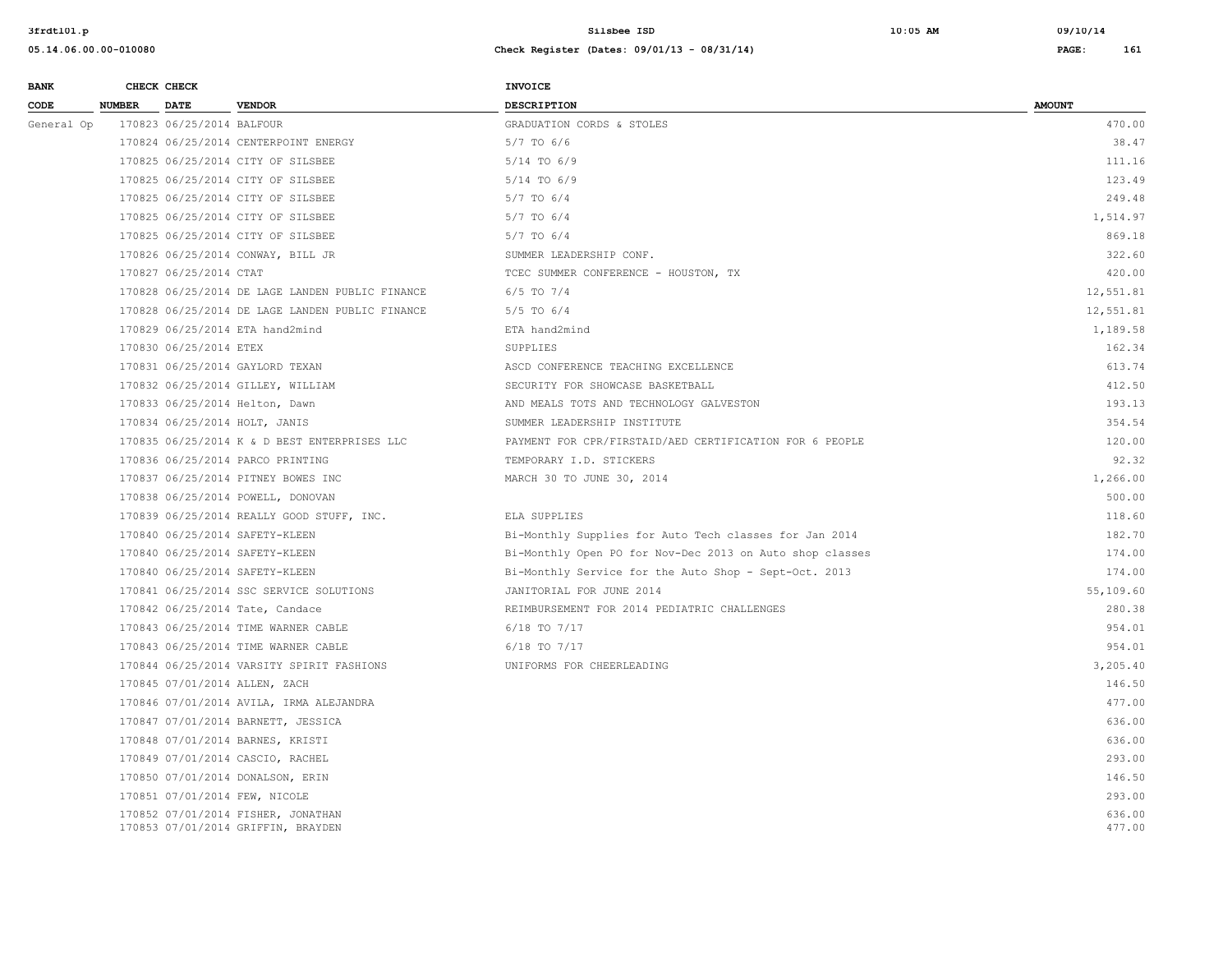| <b>BANK</b> |               | CHECK CHECK               |                                                                          | <b>INVOICE</b>                                           |                  |
|-------------|---------------|---------------------------|--------------------------------------------------------------------------|----------------------------------------------------------|------------------|
| CODE        | <b>NUMBER</b> | <b>DATE</b>               | <b>VENDOR</b>                                                            | <b>DESCRIPTION</b>                                       | <b>AMOUNT</b>    |
| General Op  |               | 170823 06/25/2014 BALFOUR |                                                                          | GRADUATION CORDS & STOLES                                | 470.00           |
|             |               |                           | 170824 06/25/2014 CENTERPOINT ENERGY                                     | 5/7 TO 6/6                                               | 38.47            |
|             |               |                           | 170825 06/25/2014 CITY OF SILSBEE                                        | $5/14$ TO $6/9$                                          | 111.16           |
|             |               |                           | 170825 06/25/2014 CITY OF SILSBEE                                        | $5/14$ TO $6/9$                                          | 123.49           |
|             |               |                           | 170825 06/25/2014 CITY OF SILSBEE                                        | $5/7$ TO $6/4$                                           | 249.48           |
|             |               |                           | 170825 06/25/2014 CITY OF SILSBEE                                        | $5/7$ TO $6/4$                                           | 1,514.97         |
|             |               |                           | 170825 06/25/2014 CITY OF SILSBEE                                        | $5/7$ TO $6/4$                                           | 869.18           |
|             |               |                           | 170826 06/25/2014 CONWAY, BILL JR                                        | SUMMER LEADERSHIP CONF.                                  | 322.60           |
|             |               | 170827 06/25/2014 CTAT    |                                                                          | TCEC SUMMER CONFERENCE - HOUSTON, TX                     | 420.00           |
|             |               |                           | 170828 06/25/2014 DE LAGE LANDEN PUBLIC FINANCE                          | $6/5$ TO $7/4$                                           | 12,551.81        |
|             |               |                           | 170828 06/25/2014 DE LAGE LANDEN PUBLIC FINANCE                          | $5/5$ TO $6/4$                                           | 12,551.81        |
|             |               |                           | 170829 06/25/2014 ETA hand2mind                                          | ETA hand2mind                                            | 1,189.58         |
|             |               | 170830 06/25/2014 ETEX    |                                                                          | SUPPLIES                                                 | 162.34           |
|             |               |                           | 170831 06/25/2014 GAYLORD TEXAN                                          | ASCD CONFERENCE TEACHING EXCELLENCE                      | 613.74           |
|             |               |                           | 170832 06/25/2014 GILLEY, WILLIAM                                        | SECURITY FOR SHOWCASE BASKETBALL                         | 412.50           |
|             |               |                           | 170833 06/25/2014 Helton, Dawn                                           | AND MEALS TOTS AND TECHNOLOGY GALVESTON                  | 193.13           |
|             |               |                           | 170834 06/25/2014 HOLT, JANIS                                            | SUMMER LEADERSHIP INSTITUTE                              | 354.54           |
|             |               |                           | 170835 06/25/2014 K & D BEST ENTERPRISES LLC                             | PAYMENT FOR CPR/FIRSTAID/AED CERTIFICATION FOR 6 PEOPLE  | 120.00           |
|             |               |                           | 170836 06/25/2014 PARCO PRINTING                                         | TEMPORARY I.D. STICKERS                                  | 92.32            |
|             |               |                           | 170837 06/25/2014 PITNEY BOWES INC                                       | MARCH 30 TO JUNE 30, 2014                                | 1,266.00         |
|             |               |                           | 170838 06/25/2014 POWELL, DONOVAN                                        |                                                          | 500.00           |
|             |               |                           | 170839 06/25/2014 REALLY GOOD STUFF, INC.                                | ELA SUPPLIES                                             | 118.60           |
|             |               |                           | 170840 06/25/2014 SAFETY-KLEEN                                           | Bi-Monthly Supplies for Auto Tech classes for Jan 2014   | 182.70           |
|             |               |                           | 170840 06/25/2014 SAFETY-KLEEN                                           | Bi-Monthly Open PO for Nov-Dec 2013 on Auto shop classes | 174.00           |
|             |               |                           | 170840 06/25/2014 SAFETY-KLEEN                                           | Bi-Monthly Service for the Auto Shop - Sept-Oct. 2013    | 174.00           |
|             |               |                           | 170841 06/25/2014 SSC SERVICE SOLUTIONS                                  | JANITORIAL FOR JUNE 2014                                 | 55,109.60        |
|             |               |                           | 170842 06/25/2014 Tate, Candace                                          | REIMBURSEMENT FOR 2014 PEDIATRIC CHALLENGES              | 280.38           |
|             |               |                           | 170843 06/25/2014 TIME WARNER CABLE                                      | $6/18$ TO $7/17$                                         | 954.01           |
|             |               |                           | 170843 06/25/2014 TIME WARNER CABLE                                      | $6/18$ TO $7/17$                                         | 954.01           |
|             |               |                           | 170844 06/25/2014 VARSITY SPIRIT FASHIONS                                | UNIFORMS FOR CHEERLEADING                                | 3,205.40         |
|             |               |                           | 170845 07/01/2014 ALLEN, ZACH                                            |                                                          | 146.50           |
|             |               |                           | 170846 07/01/2014 AVILA, IRMA ALEJANDRA                                  |                                                          | 477.00           |
|             |               |                           | 170847 07/01/2014 BARNETT, JESSICA                                       |                                                          | 636.00           |
|             |               |                           | 170848 07/01/2014 BARNES, KRISTI                                         |                                                          | 636.00           |
|             |               |                           | 170849 07/01/2014 CASCIO, RACHEL                                         |                                                          | 293.00           |
|             |               |                           | 170850 07/01/2014 DONALSON, ERIN                                         |                                                          | 146.50           |
|             |               |                           | 170851 07/01/2014 FEW, NICOLE                                            |                                                          | 293.00           |
|             |               |                           | 170852 07/01/2014 FISHER, JONATHAN<br>170853 07/01/2014 GRIFFIN, BRAYDEN |                                                          | 636.00<br>477.00 |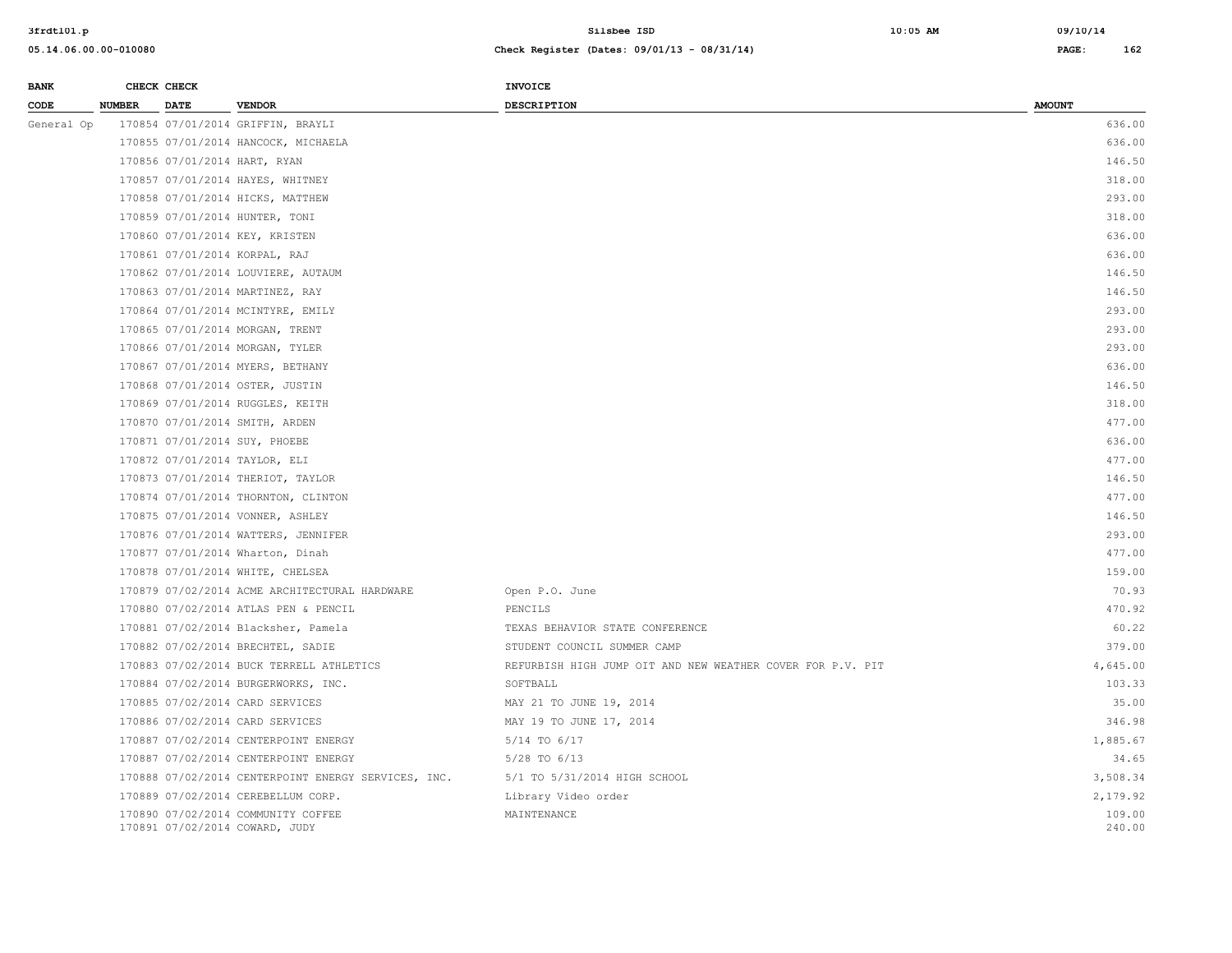| <b>BANK</b> |               | CHECK CHECK |                                                                      | <b>INVOICE</b>                                             |                  |
|-------------|---------------|-------------|----------------------------------------------------------------------|------------------------------------------------------------|------------------|
| CODE        | <b>NUMBER</b> | <b>DATE</b> | <b>VENDOR</b>                                                        | <b>DESCRIPTION</b>                                         | <b>AMOUNT</b>    |
| General Op  |               |             | 170854 07/01/2014 GRIFFIN, BRAYLI                                    |                                                            | 636.00           |
|             |               |             | 170855 07/01/2014 HANCOCK, MICHAELA                                  |                                                            | 636.00           |
|             |               |             | 170856 07/01/2014 HART, RYAN                                         |                                                            | 146.50           |
|             |               |             | 170857 07/01/2014 HAYES, WHITNEY                                     |                                                            | 318.00           |
|             |               |             | 170858 07/01/2014 HICKS, MATTHEW                                     |                                                            | 293.00           |
|             |               |             | 170859 07/01/2014 HUNTER, TONI                                       |                                                            | 318.00           |
|             |               |             | 170860 07/01/2014 KEY, KRISTEN                                       |                                                            | 636.00           |
|             |               |             | 170861 07/01/2014 KORPAL, RAJ                                        |                                                            | 636.00           |
|             |               |             | 170862 07/01/2014 LOUVIERE, AUTAUM                                   |                                                            | 146.50           |
|             |               |             | 170863 07/01/2014 MARTINEZ, RAY                                      |                                                            | 146.50           |
|             |               |             | 170864 07/01/2014 MCINTYRE, EMILY                                    |                                                            | 293.00           |
|             |               |             | 170865 07/01/2014 MORGAN, TRENT                                      |                                                            | 293.00           |
|             |               |             | 170866 07/01/2014 MORGAN, TYLER                                      |                                                            | 293.00           |
|             |               |             | 170867 07/01/2014 MYERS, BETHANY                                     |                                                            | 636.00           |
|             |               |             | 170868 07/01/2014 OSTER, JUSTIN                                      |                                                            | 146.50           |
|             |               |             | 170869 07/01/2014 RUGGLES, KEITH                                     |                                                            | 318.00           |
|             |               |             | 170870 07/01/2014 SMITH, ARDEN                                       |                                                            | 477.00           |
|             |               |             | 170871 07/01/2014 SUY, PHOEBE                                        |                                                            | 636.00           |
|             |               |             | 170872 07/01/2014 TAYLOR, ELI                                        |                                                            | 477.00           |
|             |               |             | 170873 07/01/2014 THERIOT, TAYLOR                                    |                                                            | 146.50           |
|             |               |             | 170874 07/01/2014 THORNTON, CLINTON                                  |                                                            | 477.00           |
|             |               |             | 170875 07/01/2014 VONNER, ASHLEY                                     |                                                            | 146.50           |
|             |               |             | 170876 07/01/2014 WATTERS, JENNIFER                                  |                                                            | 293.00           |
|             |               |             | 170877 07/01/2014 Wharton, Dinah                                     |                                                            | 477.00           |
|             |               |             | 170878 07/01/2014 WHITE, CHELSEA                                     |                                                            | 159.00           |
|             |               |             | 170879 07/02/2014 ACME ARCHITECTURAL HARDWARE                        | Open P.O. June                                             | 70.93            |
|             |               |             | 170880 07/02/2014 ATLAS PEN & PENCIL                                 | PENCILS                                                    | 470.92           |
|             |               |             | 170881 07/02/2014 Blacksher, Pamela                                  | TEXAS BEHAVIOR STATE CONFERENCE                            | 60.22            |
|             |               |             | 170882 07/02/2014 BRECHTEL, SADIE                                    | STUDENT COUNCIL SUMMER CAMP                                | 379.00           |
|             |               |             | 170883 07/02/2014 BUCK TERRELL ATHLETICS                             | REFURBISH HIGH JUMP OIT AND NEW WEATHER COVER FOR P.V. PIT | 4,645.00         |
|             |               |             | 170884 07/02/2014 BURGERWORKS, INC.                                  | SOFTBALL                                                   | 103.33           |
|             |               |             | 170885 07/02/2014 CARD SERVICES                                      | MAY 21 TO JUNE 19, 2014                                    | 35.00            |
|             |               |             | 170886 07/02/2014 CARD SERVICES                                      | MAY 19 TO JUNE 17, 2014                                    | 346.98           |
|             |               |             | 170887 07/02/2014 CENTERPOINT ENERGY                                 | 5/14 TO 6/17                                               | 1,885.67         |
|             |               |             | 170887 07/02/2014 CENTERPOINT ENERGY                                 | 5/28 TO 6/13                                               | 34.65            |
|             |               |             | 170888 07/02/2014 CENTERPOINT ENERGY SERVICES, INC.                  | 5/1 TO 5/31/2014 HIGH SCHOOL                               | 3,508.34         |
|             |               |             | 170889 07/02/2014 CEREBELLUM CORP.                                   | Library Video order                                        | 2,179.92         |
|             |               |             | 170890 07/02/2014 COMMUNITY COFFEE<br>170891 07/02/2014 COWARD, JUDY | MAINTENANCE                                                | 109.00<br>240.00 |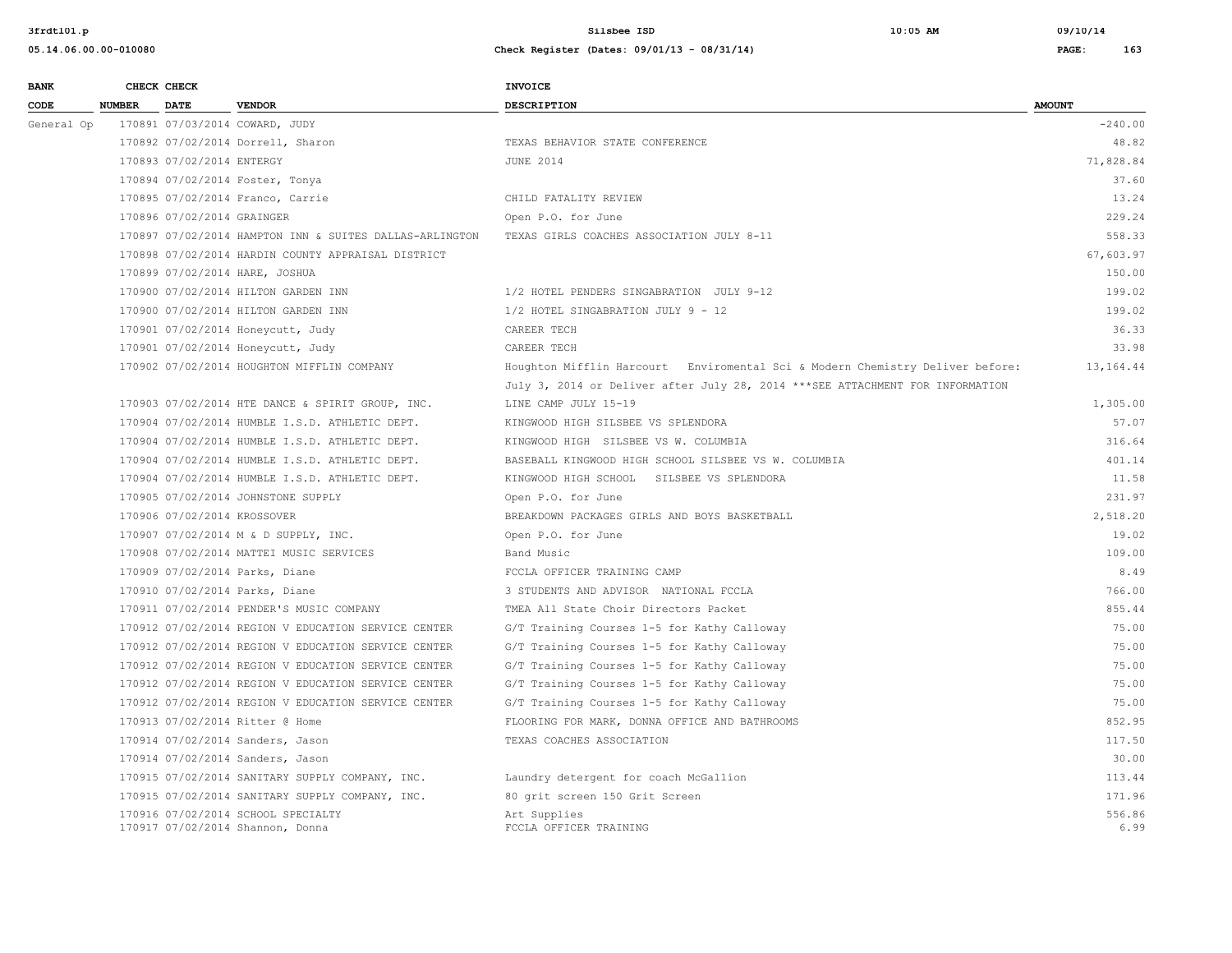| <b>BANK</b> |               | CHECK CHECK                 |                                                                        | <b>INVOICE</b>                                                                 |                |
|-------------|---------------|-----------------------------|------------------------------------------------------------------------|--------------------------------------------------------------------------------|----------------|
| CODE        | <b>NUMBER</b> | <b>DATE</b>                 | <b>VENDOR</b>                                                          | <b>DESCRIPTION</b>                                                             | <b>AMOUNT</b>  |
| General Op  |               |                             | 170891 07/03/2014 COWARD, JUDY                                         |                                                                                | $-240.00$      |
|             |               |                             | 170892 07/02/2014 Dorrell, Sharon                                      | TEXAS BEHAVIOR STATE CONFERENCE                                                | 48.82          |
|             |               | 170893 07/02/2014 ENTERGY   |                                                                        | <b>JUNE 2014</b>                                                               | 71,828.84      |
|             |               |                             | 170894 07/02/2014 Foster, Tonya                                        |                                                                                | 37.60          |
|             |               |                             | 170895 07/02/2014 Franco, Carrie                                       | CHILD FATALITY REVIEW                                                          | 13.24          |
|             |               | 170896 07/02/2014 GRAINGER  |                                                                        | Open P.O. for June                                                             | 229.24         |
|             |               |                             | 170897 07/02/2014 HAMPTON INN & SUITES DALLAS-ARLINGTON                | TEXAS GIRLS COACHES ASSOCIATION JULY 8-11                                      | 558.33         |
|             |               |                             | 170898 07/02/2014 HARDIN COUNTY APPRAISAL DISTRICT                     |                                                                                | 67,603.97      |
|             |               |                             | 170899 07/02/2014 HARE, JOSHUA                                         |                                                                                | 150.00         |
|             |               |                             | 170900 07/02/2014 HILTON GARDEN INN                                    | 1/2 HOTEL PENDERS SINGABRATION JULY 9-12                                       | 199.02         |
|             |               |                             | 170900 07/02/2014 HILTON GARDEN INN                                    | 1/2 HOTEL SINGABRATION JULY 9 - 12                                             | 199.02         |
|             |               |                             | 170901 07/02/2014 Honeycutt, Judy                                      | CAREER TECH                                                                    | 36.33          |
|             |               |                             | 170901 07/02/2014 Honeycutt, Judy                                      | CAREER TECH                                                                    | 33.98          |
|             |               |                             | 170902 07/02/2014 HOUGHTON MIFFLIN COMPANY                             | Houghton Mifflin Harcourt Enviromental Sci & Modern Chemistry Deliver before:  | 13,164.44      |
|             |               |                             |                                                                        | July 3, 2014 or Deliver after July 28, 2014 *** SEE ATTACHMENT FOR INFORMATION |                |
|             |               |                             | 170903 07/02/2014 HTE DANCE & SPIRIT GROUP, INC.                       | LINE CAMP JULY 15-19                                                           | 1,305.00       |
|             |               |                             | 170904 07/02/2014 HUMBLE I.S.D. ATHLETIC DEPT.                         | KINGWOOD HIGH SILSBEE VS SPLENDORA                                             | 57.07          |
|             |               |                             | 170904 07/02/2014 HUMBLE I.S.D. ATHLETIC DEPT.                         | KINGWOOD HIGH SILSBEE VS W. COLUMBIA                                           | 316.64         |
|             |               |                             | 170904 07/02/2014 HUMBLE I.S.D. ATHLETIC DEPT.                         | BASEBALL KINGWOOD HIGH SCHOOL SILSBEE VS W. COLUMBIA                           | 401.14         |
|             |               |                             | 170904 07/02/2014 HUMBLE I.S.D. ATHLETIC DEPT.                         | KINGWOOD HIGH SCHOOL SILSBEE VS SPLENDORA                                      | 11.58          |
|             |               |                             | 170905 07/02/2014 JOHNSTONE SUPPLY                                     | Open P.O. for June                                                             | 231.97         |
|             |               | 170906 07/02/2014 KROSSOVER |                                                                        | BREAKDOWN PACKAGES GIRLS AND BOYS BASKETBALL                                   | 2,518.20       |
|             |               |                             | 170907 07/02/2014 M & D SUPPLY, INC.                                   | Open P.O. for June                                                             | 19.02          |
|             |               |                             | 170908 07/02/2014 MATTEI MUSIC SERVICES                                | Band Music                                                                     | 109.00         |
|             |               |                             | 170909 07/02/2014 Parks, Diane                                         | FCCLA OFFICER TRAINING CAMP                                                    | 8.49           |
|             |               |                             | 170910 07/02/2014 Parks, Diane                                         | 3 STUDENTS AND ADVISOR NATIONAL FCCLA                                          | 766.00         |
|             |               |                             | 170911 07/02/2014 PENDER'S MUSIC COMPANY                               | TMEA All State Choir Directors Packet                                          | 855.44         |
|             |               |                             | 170912 07/02/2014 REGION V EDUCATION SERVICE CENTER                    | G/T Training Courses 1-5 for Kathy Calloway                                    | 75.00          |
|             |               |                             | 170912 07/02/2014 REGION V EDUCATION SERVICE CENTER                    | G/T Training Courses 1-5 for Kathy Calloway                                    | 75.00          |
|             |               |                             | 170912 07/02/2014 REGION V EDUCATION SERVICE CENTER                    | G/T Training Courses 1-5 for Kathy Calloway                                    | 75.00          |
|             |               |                             | 170912 07/02/2014 REGION V EDUCATION SERVICE CENTER                    | G/T Training Courses 1-5 for Kathy Calloway                                    | 75.00          |
|             |               |                             | 170912 07/02/2014 REGION V EDUCATION SERVICE CENTER                    | G/T Training Courses 1-5 for Kathy Calloway                                    | 75.00          |
|             |               |                             | 170913 07/02/2014 Ritter @ Home                                        | FLOORING FOR MARK, DONNA OFFICE AND BATHROOMS                                  | 852.95         |
|             |               |                             | 170914 07/02/2014 Sanders, Jason                                       | TEXAS COACHES ASSOCIATION                                                      | 117.50         |
|             |               |                             | 170914 07/02/2014 Sanders, Jason                                       |                                                                                | 30.00          |
|             |               |                             | 170915 07/02/2014 SANITARY SUPPLY COMPANY, INC.                        | Laundry detergent for coach McGallion                                          | 113.44         |
|             |               |                             | 170915 07/02/2014 SANITARY SUPPLY COMPANY, INC.                        | 80 grit screen 150 Grit Screen                                                 | 171.96         |
|             |               |                             | 170916 07/02/2014 SCHOOL SPECIALTY<br>170917 07/02/2014 Shannon, Donna | Art Supplies<br>FCCLA OFFICER TRAINING                                         | 556.86<br>6.99 |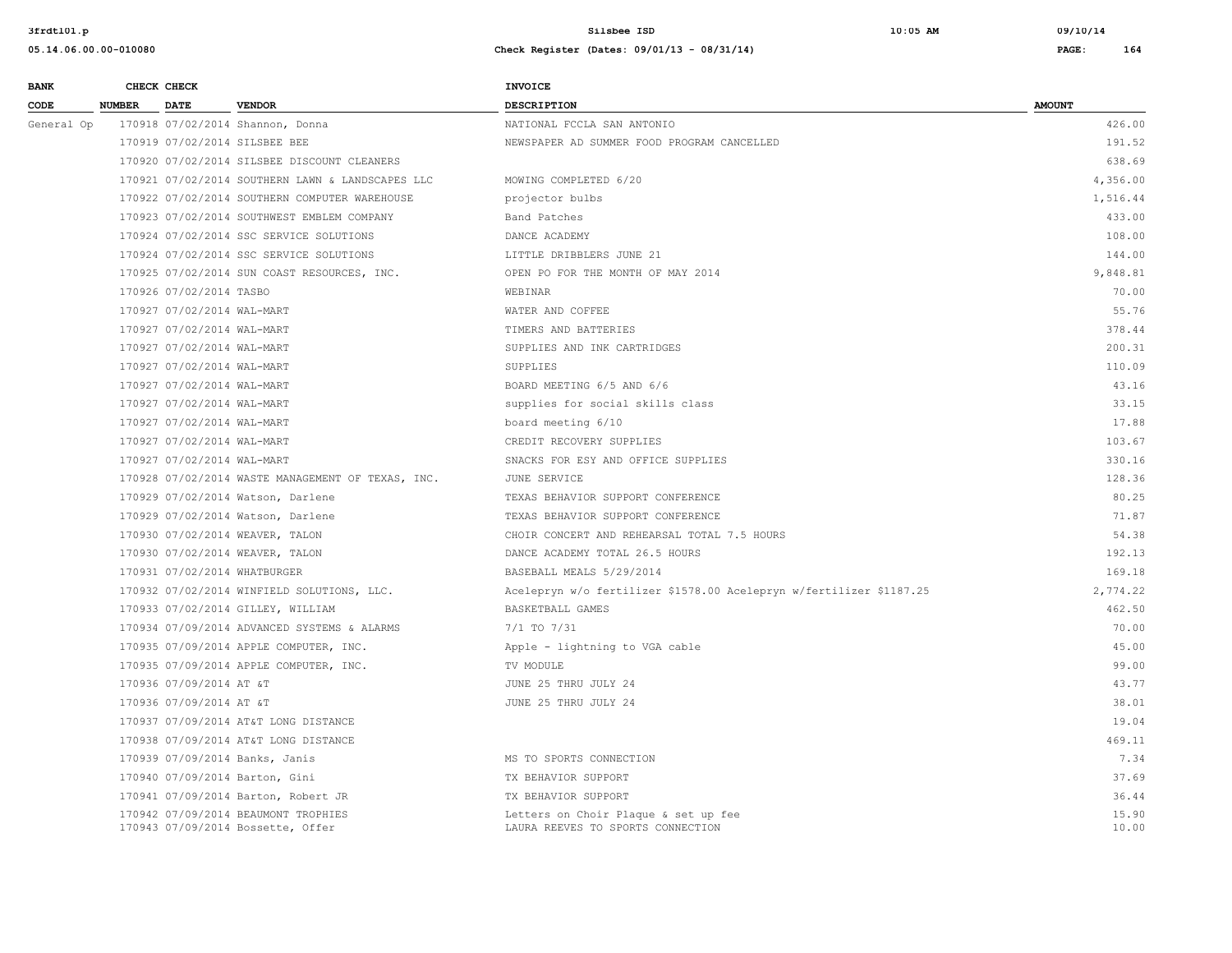| 05.14.06.00.00-010080 |             | Check Register (Dates: 09/01/13 - 08/31/14) | PAGE | 164 |
|-----------------------|-------------|---------------------------------------------|------|-----|
|                       |             |                                             |      |     |
| <b>BANK</b>           | CHECK CHECK | <b>INVOICE</b>                              |      |     |

| CODE       | <b>NUMBER</b> | DATE                       | <b>VENDOR</b>                                                            | <b>DESCRIPTION</b>                                                        | <b>AMOUNT</b>  |
|------------|---------------|----------------------------|--------------------------------------------------------------------------|---------------------------------------------------------------------------|----------------|
| General Op |               |                            | 170918 07/02/2014 Shannon, Donna                                         | NATIONAL FCCLA SAN ANTONIO                                                | 426.00         |
|            |               |                            | 170919 07/02/2014 SILSBEE BEE                                            | NEWSPAPER AD SUMMER FOOD PROGRAM CANCELLED                                | 191.52         |
|            |               |                            | 170920 07/02/2014 SILSBEE DISCOUNT CLEANERS                              |                                                                           | 638.69         |
|            |               |                            | 170921 07/02/2014 SOUTHERN LAWN & LANDSCAPES LLC                         | MOWING COMPLETED 6/20                                                     | 4,356.00       |
|            |               |                            | 170922 07/02/2014 SOUTHERN COMPUTER WAREHOUSE                            | projector bulbs                                                           | 1,516.44       |
|            |               |                            | 170923 07/02/2014 SOUTHWEST EMBLEM COMPANY                               | Band Patches                                                              | 433.00         |
|            |               |                            | 170924 07/02/2014 SSC SERVICE SOLUTIONS                                  | DANCE ACADEMY                                                             | 108.00         |
|            |               |                            | 170924 07/02/2014 SSC SERVICE SOLUTIONS                                  | LITTLE DRIBBLERS JUNE 21                                                  | 144.00         |
|            |               |                            | 170925 07/02/2014 SUN COAST RESOURCES, INC.                              | OPEN PO FOR THE MONTH OF MAY 2014                                         | 9,848.81       |
|            |               | 170926 07/02/2014 TASBO    |                                                                          | WEBINAR                                                                   | 70.00          |
|            |               | 170927 07/02/2014 WAL-MART |                                                                          | WATER AND COFFEE                                                          | 55.76          |
|            |               | 170927 07/02/2014 WAL-MART |                                                                          | TIMERS AND BATTERIES                                                      | 378.44         |
|            |               | 170927 07/02/2014 WAL-MART |                                                                          | SUPPLIES AND INK CARTRIDGES                                               | 200.31         |
|            |               | 170927 07/02/2014 WAL-MART |                                                                          | SUPPLIES                                                                  | 110.09         |
|            |               | 170927 07/02/2014 WAL-MART |                                                                          | BOARD MEETING 6/5 AND 6/6                                                 | 43.16          |
|            |               | 170927 07/02/2014 WAL-MART |                                                                          | supplies for social skills class                                          | 33.15          |
|            |               | 170927 07/02/2014 WAL-MART |                                                                          | board meeting 6/10                                                        | 17.88          |
|            |               | 170927 07/02/2014 WAL-MART |                                                                          | CREDIT RECOVERY SUPPLIES                                                  | 103.67         |
|            |               | 170927 07/02/2014 WAL-MART |                                                                          | SNACKS FOR ESY AND OFFICE SUPPLIES                                        | 330.16         |
|            |               |                            | 170928 07/02/2014 WASTE MANAGEMENT OF TEXAS, INC.                        | JUNE SERVICE                                                              | 128.36         |
|            |               |                            | 170929 07/02/2014 Watson, Darlene                                        | TEXAS BEHAVIOR SUPPORT CONFERENCE                                         | 80.25          |
|            |               |                            | 170929 07/02/2014 Watson, Darlene                                        | TEXAS BEHAVIOR SUPPORT CONFERENCE                                         | 71.87          |
|            |               |                            | 170930 07/02/2014 WEAVER, TALON                                          | CHOIR CONCERT AND REHEARSAL TOTAL 7.5 HOURS                               | 54.38          |
|            |               |                            | 170930 07/02/2014 WEAVER, TALON                                          | DANCE ACADEMY TOTAL 26.5 HOURS                                            | 192.13         |
|            |               |                            | 170931 07/02/2014 WHATBURGER                                             | BASEBALL MEALS 5/29/2014                                                  | 169.18         |
|            |               |                            | 170932 07/02/2014 WINFIELD SOLUTIONS, LLC.                               | Acelepryn w/o fertilizer \$1578.00 Acelepryn w/fertilizer \$1187.25       | 2,774.22       |
|            |               |                            | 170933 07/02/2014 GILLEY, WILLIAM                                        | BASKETBALL GAMES                                                          | 462.50         |
|            |               |                            | 170934 07/09/2014 ADVANCED SYSTEMS & ALARMS                              | $7/1$ TO $7/31$                                                           | 70.00          |
|            |               |                            | 170935 07/09/2014 APPLE COMPUTER, INC.                                   | Apple - lightning to VGA cable                                            | 45.00          |
|            |               |                            | 170935 07/09/2014 APPLE COMPUTER, INC.                                   | TV MODULE                                                                 | 99.00          |
|            |               | 170936 07/09/2014 AT &T    |                                                                          | JUNE 25 THRU JULY 24                                                      | 43.77          |
|            |               | 170936 07/09/2014 AT &T    |                                                                          | JUNE 25 THRU JULY 24                                                      | 38.01          |
|            |               |                            | 170937 07/09/2014 AT&T LONG DISTANCE                                     |                                                                           | 19.04          |
|            |               |                            | 170938 07/09/2014 AT&T LONG DISTANCE                                     |                                                                           | 469.11         |
|            |               |                            | 170939 07/09/2014 Banks, Janis                                           | MS TO SPORTS CONNECTION                                                   | 7.34           |
|            |               |                            | 170940 07/09/2014 Barton, Gini                                           | TX BEHAVIOR SUPPORT                                                       | 37.69          |
|            |               |                            | 170941 07/09/2014 Barton, Robert JR                                      | TX BEHAVIOR SUPPORT                                                       | 36.44          |
|            |               |                            | 170942 07/09/2014 BEAUMONT TROPHIES<br>170943 07/09/2014 Bossette, Offer | Letters on Choir Plaque & set up fee<br>LAURA REEVES TO SPORTS CONNECTION | 15.90<br>10.00 |
|            |               |                            |                                                                          |                                                                           |                |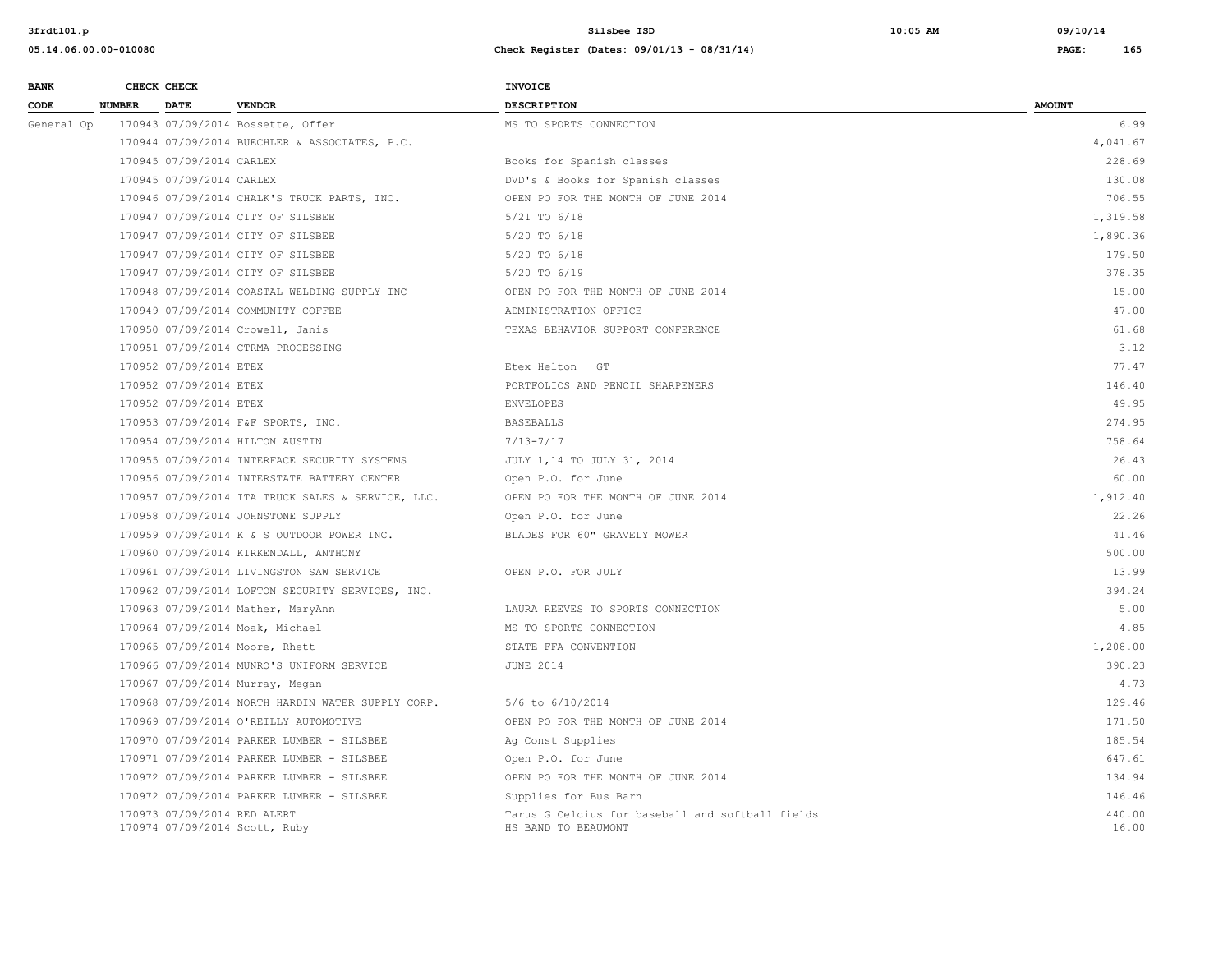| <b>BANK</b> |               | CHECK CHECK                 |                                                   | <b>INVOICE</b>                                                          |                 |
|-------------|---------------|-----------------------------|---------------------------------------------------|-------------------------------------------------------------------------|-----------------|
| CODE        | <b>NUMBER</b> | <b>DATE</b>                 | <b>VENDOR</b>                                     | <b>DESCRIPTION</b>                                                      | <b>AMOUNT</b>   |
| General Op  |               |                             | 170943 07/09/2014 Bossette, Offer                 | MS TO SPORTS CONNECTION                                                 | 6.99            |
|             |               |                             | 170944 07/09/2014 BUECHLER & ASSOCIATES, P.C.     |                                                                         | 4,041.67        |
|             |               | 170945 07/09/2014 CARLEX    |                                                   | Books for Spanish classes                                               | 228.69          |
|             |               | 170945 07/09/2014 CARLEX    |                                                   | DVD's & Books for Spanish classes                                       | 130.08          |
|             |               |                             | 170946 07/09/2014 CHALK'S TRUCK PARTS, INC.       | OPEN PO FOR THE MONTH OF JUNE 2014                                      | 706.55          |
|             |               |                             | 170947 07/09/2014 CITY OF SILSBEE                 | 5/21 TO 6/18                                                            | 1,319.58        |
|             |               |                             | 170947 07/09/2014 CITY OF SILSBEE                 | 5/20 TO 6/18                                                            | 1,890.36        |
|             |               |                             | 170947 07/09/2014 CITY OF SILSBEE                 | 5/20 TO 6/18                                                            | 179.50          |
|             |               |                             | 170947 07/09/2014 CITY OF SILSBEE                 | 5/20 TO 6/19                                                            | 378.35          |
|             |               |                             | 170948 07/09/2014 COASTAL WELDING SUPPLY INC      | OPEN PO FOR THE MONTH OF JUNE 2014                                      | 15.00           |
|             |               |                             | 170949 07/09/2014 COMMUNITY COFFEE                | ADMINISTRATION OFFICE                                                   | 47.00           |
|             |               |                             | 170950 07/09/2014 Crowell, Janis                  | TEXAS BEHAVIOR SUPPORT CONFERENCE                                       | 61.68           |
|             |               |                             | 170951 07/09/2014 CTRMA PROCESSING                |                                                                         | 3.12            |
|             |               | 170952 07/09/2014 ETEX      |                                                   | Etex Helton GT                                                          | 77.47           |
|             |               | 170952 07/09/2014 ETEX      |                                                   | PORTFOLIOS AND PENCIL SHARPENERS                                        | 146.40          |
|             |               | 170952 07/09/2014 ETEX      |                                                   | <b>ENVELOPES</b>                                                        | 49.95           |
|             |               |                             | 170953 07/09/2014 F&F SPORTS, INC.                | <b>BASEBALLS</b>                                                        | 274.95          |
|             |               |                             | 170954 07/09/2014 HILTON AUSTIN                   | $7/13 - 7/17$                                                           | 758.64          |
|             |               |                             | 170955 07/09/2014 INTERFACE SECURITY SYSTEMS      | JULY 1,14 TO JULY 31, 2014                                              | 26.43           |
|             |               |                             | 170956 07/09/2014 INTERSTATE BATTERY CENTER       | Open P.O. for June                                                      | 60.00           |
|             |               |                             | 170957 07/09/2014 ITA TRUCK SALES & SERVICE, LLC. | OPEN PO FOR THE MONTH OF JUNE 2014                                      | 1,912.40        |
|             |               |                             | 170958 07/09/2014 JOHNSTONE SUPPLY                | Open P.O. for June                                                      | 22.26           |
|             |               |                             | 170959 07/09/2014 K & S OUTDOOR POWER INC.        | BLADES FOR 60" GRAVELY MOWER                                            | 41.46           |
|             |               |                             | 170960 07/09/2014 KIRKENDALL, ANTHONY             |                                                                         | 500.00          |
|             |               |                             | 170961 07/09/2014 LIVINGSTON SAW SERVICE          | OPEN P.O. FOR JULY                                                      | 13.99           |
|             |               |                             | 170962 07/09/2014 LOFTON SECURITY SERVICES, INC.  |                                                                         | 394.24          |
|             |               |                             | 170963 07/09/2014 Mather, MaryAnn                 | LAURA REEVES TO SPORTS CONNECTION                                       | 5.00            |
|             |               |                             | 170964 07/09/2014 Moak, Michael                   | MS TO SPORTS CONNECTION                                                 | 4.85            |
|             |               |                             | 170965 07/09/2014 Moore, Rhett                    | STATE FFA CONVENTION                                                    | 1,208.00        |
|             |               |                             | 170966 07/09/2014 MUNRO'S UNIFORM SERVICE         | <b>JUNE 2014</b>                                                        | 390.23          |
|             |               |                             | 170967 07/09/2014 Murray, Megan                   |                                                                         | 4.73            |
|             |               |                             | 170968 07/09/2014 NORTH HARDIN WATER SUPPLY CORP. | 5/6 to 6/10/2014                                                        | 129.46          |
|             |               |                             | 170969 07/09/2014 O'REILLY AUTOMOTIVE             | OPEN PO FOR THE MONTH OF JUNE 2014                                      | 171.50          |
|             |               |                             | 170970 07/09/2014 PARKER LUMBER - SILSBEE         | Ag Const Supplies                                                       | 185.54          |
|             |               |                             | 170971 07/09/2014 PARKER LUMBER - SILSBEE         | Open P.O. for June                                                      | 647.61          |
|             |               |                             | 170972 07/09/2014 PARKER LUMBER - SILSBEE         | OPEN PO FOR THE MONTH OF JUNE 2014                                      | 134.94          |
|             |               |                             | 170972 07/09/2014 PARKER LUMBER - SILSBEE         | Supplies for Bus Barn                                                   | 146.46          |
|             |               | 170973 07/09/2014 RED ALERT | 170974 07/09/2014 Scott, Ruby                     | Tarus G Celcius for baseball and softball fields<br>HS BAND TO BEAUMONT | 440.00<br>16.00 |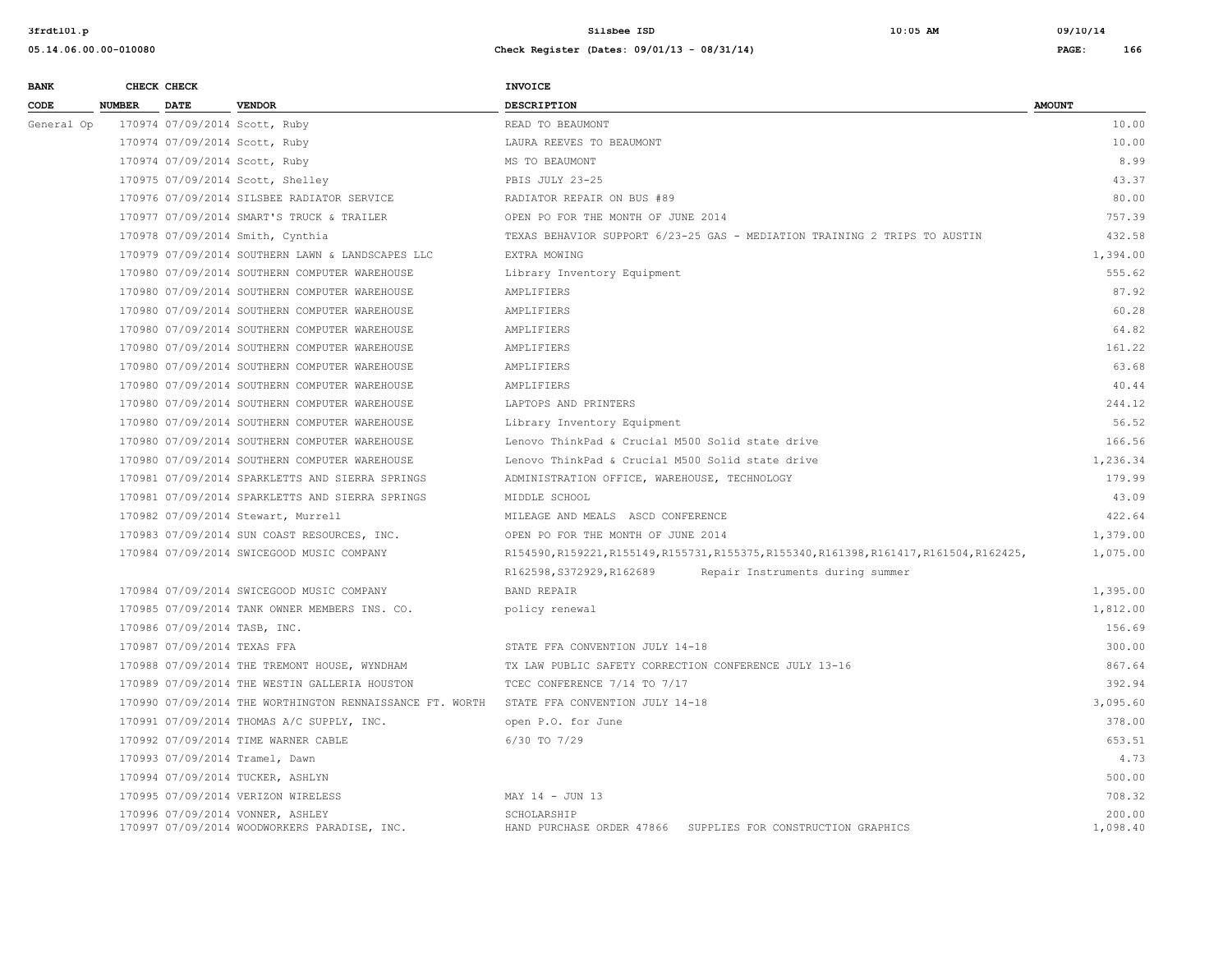| <b>BANK</b> |               | CHECK CHECK                  |                                                                                  | INVOICE                                                                                   |                    |
|-------------|---------------|------------------------------|----------------------------------------------------------------------------------|-------------------------------------------------------------------------------------------|--------------------|
| CODE        | <b>NUMBER</b> | <b>DATE</b>                  | <b>VENDOR</b>                                                                    | <b>DESCRIPTION</b>                                                                        | <b>AMOUNT</b>      |
| General Op  |               |                              | 170974 07/09/2014 Scott, Ruby                                                    | READ TO BEAUMONT                                                                          | 10.00              |
|             |               |                              | 170974 07/09/2014 Scott, Ruby                                                    | LAURA REEVES TO BEAUMONT                                                                  | 10.00              |
|             |               |                              | 170974 07/09/2014 Scott, Ruby                                                    | MS TO BEAUMONT                                                                            | 8.99               |
|             |               |                              | 170975 07/09/2014 Scott, Shelley                                                 | PBIS JULY 23-25                                                                           | 43.37              |
|             |               |                              | 170976 07/09/2014 SILSBEE RADIATOR SERVICE                                       | RADIATOR REPAIR ON BUS #89                                                                | 80.00              |
|             |               |                              | 170977 07/09/2014 SMART'S TRUCK & TRAILER                                        | OPEN PO FOR THE MONTH OF JUNE 2014                                                        | 757.39             |
|             |               |                              | 170978 07/09/2014 Smith, Cynthia                                                 | TEXAS BEHAVIOR SUPPORT 6/23-25 GAS - MEDIATION TRAINING 2 TRIPS TO AUSTIN                 | 432.58             |
|             |               |                              | 170979 07/09/2014 SOUTHERN LAWN & LANDSCAPES LLC                                 | EXTRA MOWING                                                                              | 1,394.00           |
|             |               |                              | 170980 07/09/2014 SOUTHERN COMPUTER WAREHOUSE                                    | Library Inventory Equipment                                                               | 555.62             |
|             |               |                              | 170980 07/09/2014 SOUTHERN COMPUTER WAREHOUSE                                    | AMPLIFIERS                                                                                | 87.92              |
|             |               |                              | 170980 07/09/2014 SOUTHERN COMPUTER WAREHOUSE                                    | AMPLIFIERS                                                                                | 60.28              |
|             |               |                              | 170980 07/09/2014 SOUTHERN COMPUTER WAREHOUSE                                    | AMPLIFIERS                                                                                | 64.82              |
|             |               |                              | 170980 07/09/2014 SOUTHERN COMPUTER WAREHOUSE                                    | AMPLIFIERS                                                                                | 161.22             |
|             |               |                              | 170980 07/09/2014 SOUTHERN COMPUTER WAREHOUSE                                    | AMPLIFIERS                                                                                | 63.68              |
|             |               |                              | 170980 07/09/2014 SOUTHERN COMPUTER WAREHOUSE                                    | AMPLIFIERS                                                                                | 40.44              |
|             |               |                              | 170980 07/09/2014 SOUTHERN COMPUTER WAREHOUSE                                    | LAPTOPS AND PRINTERS                                                                      | 244.12             |
|             |               |                              | 170980 07/09/2014 SOUTHERN COMPUTER WAREHOUSE                                    | Library Inventory Equipment                                                               | 56.52              |
|             |               |                              | 170980 07/09/2014 SOUTHERN COMPUTER WAREHOUSE                                    | Lenovo ThinkPad & Crucial M500 Solid state drive                                          | 166.56             |
|             |               |                              | 170980 07/09/2014 SOUTHERN COMPUTER WAREHOUSE                                    | Lenovo ThinkPad & Crucial M500 Solid state drive                                          | 1,236.34           |
|             |               |                              | 170981 07/09/2014 SPARKLETTS AND SIERRA SPRINGS                                  | ADMINISTRATION OFFICE, WAREHOUSE, TECHNOLOGY                                              | 179.99             |
|             |               |                              | 170981 07/09/2014 SPARKLETTS AND SIERRA SPRINGS                                  | MIDDLE SCHOOL                                                                             | 43.09              |
|             |               |                              | 170982 07/09/2014 Stewart, Murrell                                               | MILEAGE AND MEALS ASCD CONFERENCE                                                         | 422.64             |
|             |               |                              | 170983 07/09/2014 SUN COAST RESOURCES, INC.                                      | OPEN PO FOR THE MONTH OF JUNE 2014                                                        | 1,379.00           |
|             |               |                              | 170984 07/09/2014 SWICEGOOD MUSIC COMPANY                                        | R154590, R159221, R155149, R155731, R155375, R155340, R161398, R161417, R161504, R162425, | 1,075.00           |
|             |               |                              |                                                                                  | R162598, S372929, R162689<br>Repair Instruments during summer                             |                    |
|             |               |                              | 170984 07/09/2014 SWICEGOOD MUSIC COMPANY                                        | BAND REPAIR                                                                               | 1,395.00           |
|             |               |                              | 170985 07/09/2014 TANK OWNER MEMBERS INS. CO.                                    | policy renewal                                                                            | 1,812.00           |
|             |               | 170986 07/09/2014 TASB, INC. |                                                                                  |                                                                                           | 156.69             |
|             |               | 170987 07/09/2014 TEXAS FFA  |                                                                                  | STATE FFA CONVENTION JULY 14-18                                                           | 300.00             |
|             |               |                              | 170988 07/09/2014 THE TREMONT HOUSE, WYNDHAM                                     | TX LAW PUBLIC SAFETY CORRECTION CONFERENCE JULY 13-16                                     | 867.64             |
|             |               |                              | 170989 07/09/2014 THE WESTIN GALLERIA HOUSTON                                    | TCEC CONFERENCE 7/14 TO 7/17                                                              | 392.94             |
|             |               |                              | 170990 07/09/2014 THE WORTHINGTON RENNAISSANCE FT. WORTH                         | STATE FFA CONVENTION JULY 14-18                                                           | 3,095.60           |
|             |               |                              | 170991 07/09/2014 THOMAS A/C SUPPLY, INC.                                        | open P.O. for June                                                                        | 378.00             |
|             |               |                              | 170992 07/09/2014 TIME WARNER CABLE                                              | 6/30 TO 7/29                                                                              | 653.51             |
|             |               |                              | 170993 07/09/2014 Tramel, Dawn                                                   |                                                                                           | 4.73               |
|             |               |                              | 170994 07/09/2014 TUCKER, ASHLYN                                                 |                                                                                           | 500.00             |
|             |               |                              | 170995 07/09/2014 VERIZON WIRELESS                                               | MAY 14 - JUN 13                                                                           | 708.32             |
|             |               |                              | 170996 07/09/2014 VONNER, ASHLEY<br>170997 07/09/2014 WOODWORKERS PARADISE, INC. | SCHOLARSHIP<br>HAND PURCHASE ORDER 47866 SUPPLIES FOR CONSTRUCTION GRAPHICS               | 200.00<br>1,098.40 |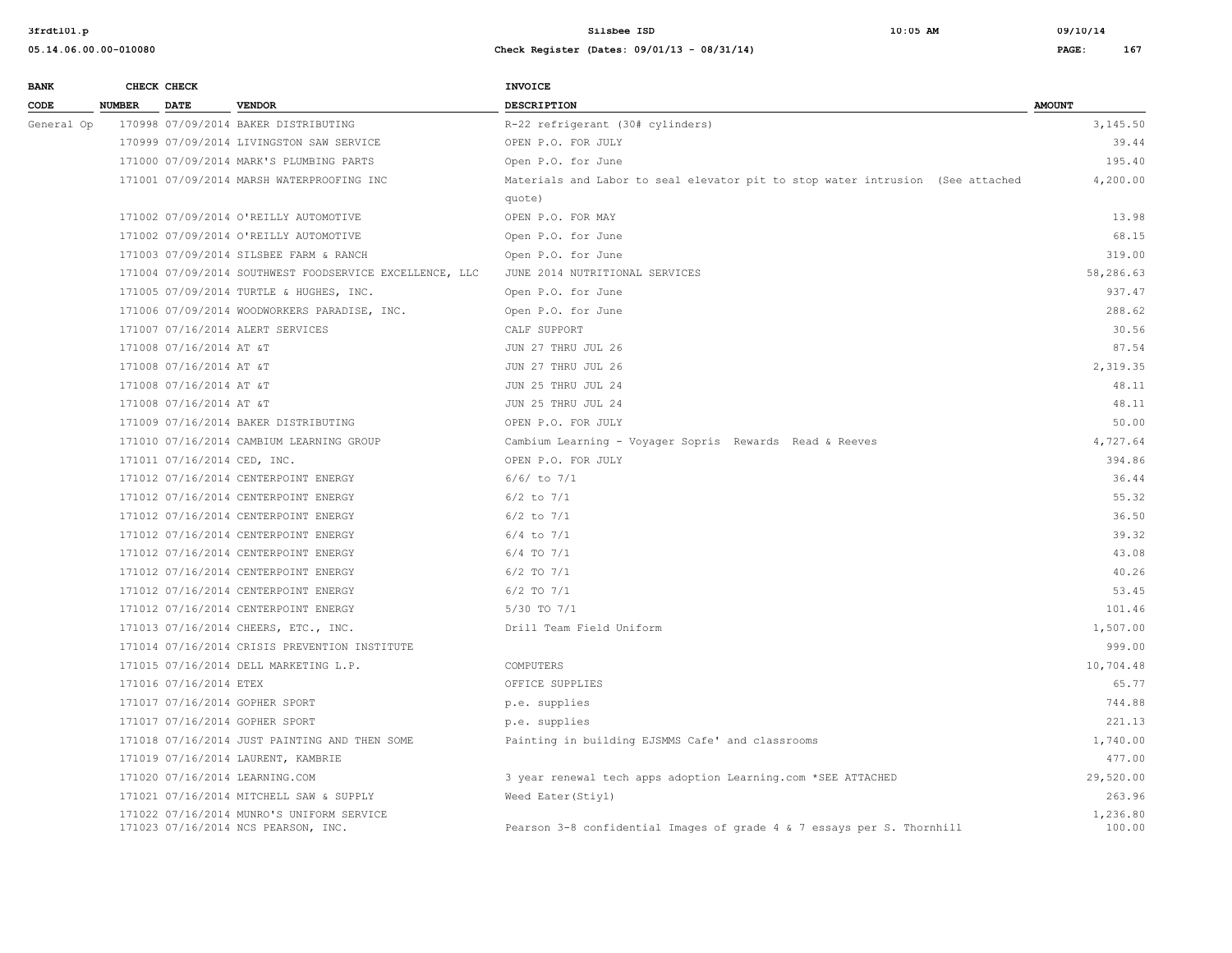| <b>BANK</b> |               | CHECK CHECK                 |                                                                                  | <b>INVOICE</b>                                                                 |                    |
|-------------|---------------|-----------------------------|----------------------------------------------------------------------------------|--------------------------------------------------------------------------------|--------------------|
| CODE        | <b>NUMBER</b> | <b>DATE</b>                 | <b>VENDOR</b>                                                                    | <b>DESCRIPTION</b>                                                             | <b>AMOUNT</b>      |
| General Op  |               |                             | 170998 07/09/2014 BAKER DISTRIBUTING                                             | R-22 refrigerant (30# cylinders)                                               | 3,145.50           |
|             |               |                             | 170999 07/09/2014 LIVINGSTON SAW SERVICE                                         | OPEN P.O. FOR JULY                                                             | 39.44              |
|             |               |                             | 171000 07/09/2014 MARK'S PLUMBING PARTS                                          | Open P.O. for June                                                             | 195.40             |
|             |               |                             | 171001 07/09/2014 MARSH WATERPROOFING INC                                        | Materials and Labor to seal elevator pit to stop water intrusion (See attached | 4,200.00           |
|             |               |                             |                                                                                  | quote)                                                                         |                    |
|             |               |                             | 171002 07/09/2014 O'REILLY AUTOMOTIVE                                            | OPEN P.O. FOR MAY                                                              | 13.98              |
|             |               |                             | 171002 07/09/2014 O'REILLY AUTOMOTIVE                                            | Open P.O. for June                                                             | 68.15              |
|             |               |                             | 171003 07/09/2014 SILSBEE FARM & RANCH                                           | Open P.O. for June                                                             | 319.00             |
|             |               |                             | 171004 07/09/2014 SOUTHWEST FOODSERVICE EXCELLENCE, LLC                          | JUNE 2014 NUTRITIONAL SERVICES                                                 | 58,286.63          |
|             |               |                             | 171005 07/09/2014 TURTLE & HUGHES, INC.                                          | Open P.O. for June                                                             | 937.47             |
|             |               |                             | 171006 07/09/2014 WOODWORKERS PARADISE, INC.                                     | Open P.O. for June                                                             | 288.62             |
|             |               |                             | 171007 07/16/2014 ALERT SERVICES                                                 | CALF SUPPORT                                                                   | 30.56              |
|             |               | 171008 07/16/2014 AT &T     |                                                                                  | JUN 27 THRU JUL 26                                                             | 87.54              |
|             |               | 171008 07/16/2014 AT &T     |                                                                                  | JUN 27 THRU JUL 26                                                             | 2,319.35           |
|             |               | 171008 07/16/2014 AT &T     |                                                                                  | JUN 25 THRU JUL 24                                                             | 48.11              |
|             |               | 171008 07/16/2014 AT &T     |                                                                                  | JUN 25 THRU JUL 24                                                             | 48.11              |
|             |               |                             | 171009 07/16/2014 BAKER DISTRIBUTING                                             | OPEN P.O. FOR JULY                                                             | 50.00              |
|             |               |                             | 171010 07/16/2014 CAMBIUM LEARNING GROUP                                         | Cambium Learning - Voyager Sopris Rewards Read & Reeves                        | 4,727.64           |
|             |               | 171011 07/16/2014 CED, INC. |                                                                                  | OPEN P.O. FOR JULY                                                             | 394.86             |
|             |               |                             | 171012 07/16/2014 CENTERPOINT ENERGY                                             | $6/6/$ to $7/1$                                                                | 36.44              |
|             |               |                             | 171012 07/16/2014 CENTERPOINT ENERGY                                             | $6/2$ to $7/1$                                                                 | 55.32              |
|             |               |                             | 171012 07/16/2014 CENTERPOINT ENERGY                                             | $6/2$ to $7/1$                                                                 | 36.50              |
|             |               |                             | 171012 07/16/2014 CENTERPOINT ENERGY                                             | $6/4$ to $7/1$                                                                 | 39.32              |
|             |               |                             | 171012 07/16/2014 CENTERPOINT ENERGY                                             | $6/4$ TO $7/1$                                                                 | 43.08              |
|             |               |                             | 171012 07/16/2014 CENTERPOINT ENERGY                                             | $6/2$ TO $7/1$                                                                 | 40.26              |
|             |               |                             | 171012 07/16/2014 CENTERPOINT ENERGY                                             | $6/2$ TO $7/1$                                                                 | 53.45              |
|             |               |                             | 171012 07/16/2014 CENTERPOINT ENERGY                                             | $5/30$ TO $7/1$                                                                | 101.46             |
|             |               |                             | 171013 07/16/2014 CHEERS, ETC., INC.                                             | Drill Team Field Uniform                                                       | 1,507.00           |
|             |               |                             | 171014 07/16/2014 CRISIS PREVENTION INSTITUTE                                    |                                                                                | 999.00             |
|             |               |                             | 171015 07/16/2014 DELL MARKETING L.P.                                            | COMPUTERS                                                                      | 10,704.48          |
|             |               | 171016 07/16/2014 ETEX      |                                                                                  | OFFICE SUPPLIES                                                                | 65.77              |
|             |               |                             | 171017 07/16/2014 GOPHER SPORT                                                   | p.e. supplies                                                                  | 744.88             |
|             |               |                             | 171017 07/16/2014 GOPHER SPORT                                                   | p.e. supplies                                                                  | 221.13             |
|             |               |                             | 171018 07/16/2014 JUST PAINTING AND THEN SOME                                    | Painting in building EJSMMS Cafe' and classrooms                               | 1,740.00           |
|             |               |                             | 171019 07/16/2014 LAURENT, KAMBRIE                                               |                                                                                | 477.00             |
|             |               |                             | 171020 07/16/2014 LEARNING.COM                                                   | 3 year renewal tech apps adoption Learning.com *SEE ATTACHED                   | 29,520.00          |
|             |               |                             | 171021 07/16/2014 MITCHELL SAW & SUPPLY                                          | Weed Eater (Stiyl)                                                             | 263.96             |
|             |               |                             | 171022 07/16/2014 MUNRO'S UNIFORM SERVICE<br>171023 07/16/2014 NCS PEARSON, INC. | Pearson 3-8 confidential Images of grade 4 & 7 essays per S. Thornhill         | 1,236.80<br>100.00 |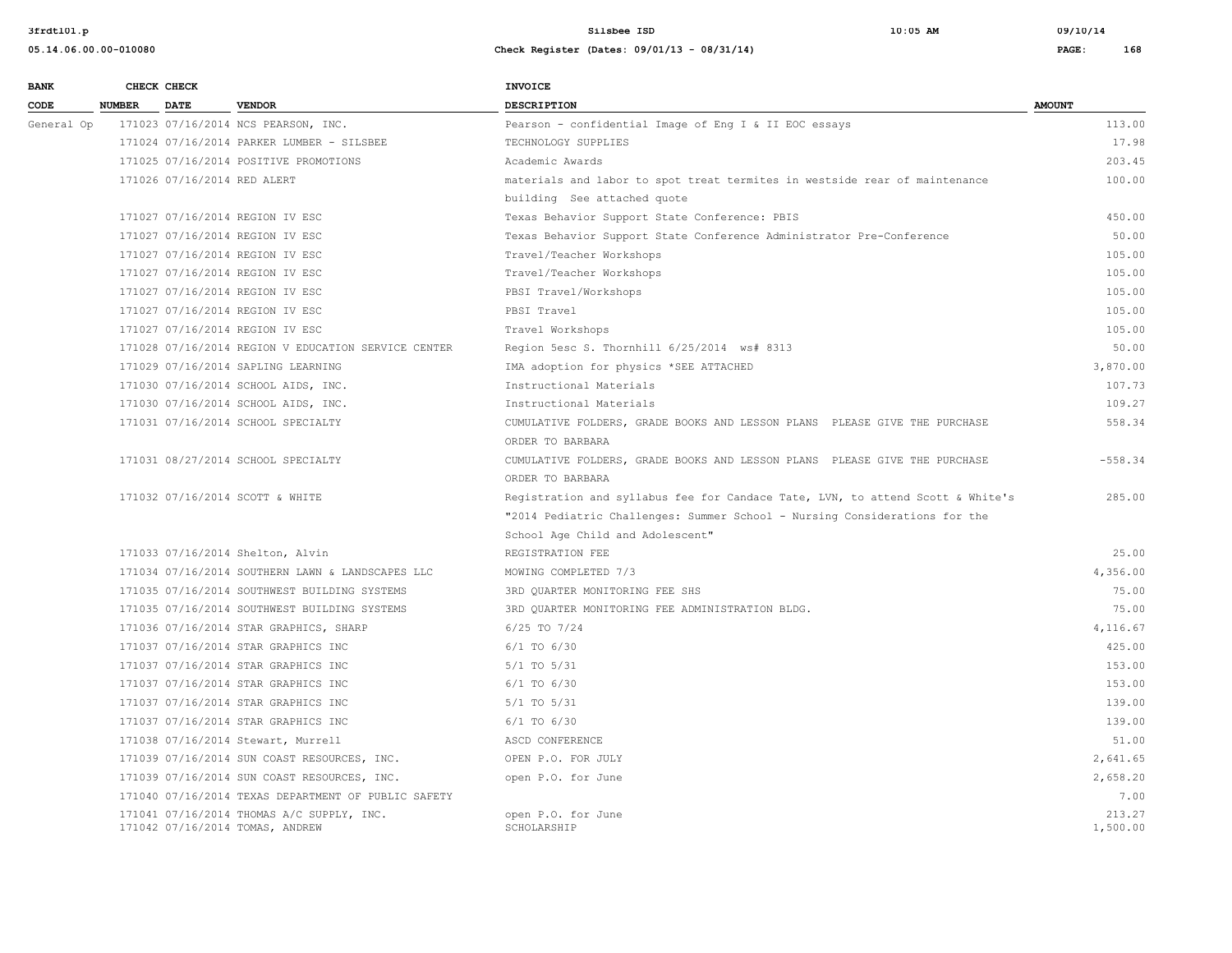| 05.14.06.00.00-010080 | Check Register (Dates: 09/01/13 - 08/31/14) | PAGE: | 168 |
|-----------------------|---------------------------------------------|-------|-----|
|                       |                                             |       |     |

| <b>BANK</b> | CHECK CHECK   |                             |                                                     | <b>INVOICE</b>                                                                 |               |
|-------------|---------------|-----------------------------|-----------------------------------------------------|--------------------------------------------------------------------------------|---------------|
| CODE        | <b>NUMBER</b> | <b>DATE</b>                 | <b>VENDOR</b>                                       | <b>DESCRIPTION</b>                                                             | <b>AMOUNT</b> |
| General Op  |               |                             | 171023 07/16/2014 NCS PEARSON, INC.                 | Pearson - confidential Image of Eng I & II EOC essays                          | 113.00        |
|             |               |                             | 171024 07/16/2014 PARKER LUMBER - SILSBEE           | TECHNOLOGY SUPPLIES                                                            | 17.98         |
|             |               |                             | 171025 07/16/2014 POSITIVE PROMOTIONS               | Academic Awards                                                                | 203.45        |
|             |               | 171026 07/16/2014 RED ALERT |                                                     | materials and labor to spot treat termites in westside rear of maintenance     | 100.00        |
|             |               |                             |                                                     | building See attached quote                                                    |               |
|             |               |                             | 171027 07/16/2014 REGION IV ESC                     | Texas Behavior Support State Conference: PBIS                                  | 450.00        |
|             |               |                             | 171027 07/16/2014 REGION IV ESC                     | Texas Behavior Support State Conference Administrator Pre-Conference           | 50.00         |
|             |               |                             | 171027 07/16/2014 REGION IV ESC                     | Travel/Teacher Workshops                                                       | 105.00        |
|             |               |                             | 171027 07/16/2014 REGION IV ESC                     | Travel/Teacher Workshops                                                       | 105.00        |
|             |               |                             | 171027 07/16/2014 REGION IV ESC                     | PBSI Travel/Workshops                                                          | 105.00        |
|             |               |                             | 171027 07/16/2014 REGION IV ESC                     | PBSI Travel                                                                    | 105.00        |
|             |               |                             | 171027 07/16/2014 REGION IV ESC                     | Travel Workshops                                                               | 105.00        |
|             |               |                             | 171028 07/16/2014 REGION V EDUCATION SERVICE CENTER | Region 5esc S. Thornhill 6/25/2014 ws# 8313                                    | 50.00         |
|             |               |                             | 171029 07/16/2014 SAPLING LEARNING                  | IMA adoption for physics *SEE ATTACHED                                         | 3,870.00      |
|             |               |                             | 171030 07/16/2014 SCHOOL AIDS, INC.                 | Instructional Materials                                                        | 107.73        |
|             |               |                             | 171030 07/16/2014 SCHOOL AIDS, INC.                 | Instructional Materials                                                        | 109.27        |
|             |               |                             | 171031 07/16/2014 SCHOOL SPECIALTY                  | CUMULATIVE FOLDERS, GRADE BOOKS AND LESSON PLANS PLEASE GIVE THE PURCHASE      | 558.34        |
|             |               |                             |                                                     | ORDER TO BARBARA                                                               |               |
|             |               |                             | 171031 08/27/2014 SCHOOL SPECIALTY                  | CUMULATIVE FOLDERS, GRADE BOOKS AND LESSON PLANS PLEASE GIVE THE PURCHASE      | $-558.34$     |
|             |               |                             |                                                     | ORDER TO BARBARA                                                               |               |
|             |               |                             | 171032 07/16/2014 SCOTT & WHITE                     | Registration and syllabus fee for Candace Tate, LVN, to attend Scott & White's | 285.00        |
|             |               |                             |                                                     | "2014 Pediatric Challenges: Summer School - Nursing Considerations for the     |               |
|             |               |                             |                                                     | School Age Child and Adolescent"                                               |               |
|             |               |                             | 171033 07/16/2014 Shelton, Alvin                    | REGISTRATION FEE                                                               | 25.00         |
|             |               |                             | 171034 07/16/2014 SOUTHERN LAWN & LANDSCAPES LLC    | MOWING COMPLETED 7/3                                                           | 4,356.00      |
|             |               |                             | 171035 07/16/2014 SOUTHWEST BUILDING SYSTEMS        | 3RD QUARTER MONITORING FEE SHS                                                 | 75.00         |
|             |               |                             | 171035 07/16/2014 SOUTHWEST BUILDING SYSTEMS        | 3RD QUARTER MONITORING FEE ADMINISTRATION BLDG.                                | 75.00         |
|             |               |                             | 171036 07/16/2014 STAR GRAPHICS, SHARP              | 6/25 TO 7/24                                                                   | 4,116.67      |
|             |               |                             | 171037 07/16/2014 STAR GRAPHICS INC                 | $6/1$ TO $6/30$                                                                | 425.00        |
|             |               |                             | 171037 07/16/2014 STAR GRAPHICS INC                 | $5/1$ TO $5/31$                                                                | 153.00        |
|             |               |                             | 171037 07/16/2014 STAR GRAPHICS INC                 | $6/1$ TO $6/30$                                                                | 153.00        |
|             |               |                             | 171037 07/16/2014 STAR GRAPHICS INC                 | $5/1$ TO $5/31$                                                                | 139.00        |
|             |               |                             | 171037 07/16/2014 STAR GRAPHICS INC                 | $6/1$ TO $6/30$                                                                | 139.00        |
|             |               |                             | 171038 07/16/2014 Stewart, Murrell                  | ASCD CONFERENCE                                                                | 51.00         |
|             |               |                             | 171039 07/16/2014 SUN COAST RESOURCES, INC.         | OPEN P.O. FOR JULY                                                             | 2,641.65      |
|             |               |                             | 171039 07/16/2014 SUN COAST RESOURCES, INC.         | open P.O. for June                                                             | 2,658.20      |
|             |               |                             | 171040 07/16/2014 TEXAS DEPARTMENT OF PUBLIC SAFETY |                                                                                | 7.00          |
|             |               |                             | 171041 07/16/2014 THOMAS A/C SUPPLY, INC.           | open P.O. for June                                                             | 213.27        |
|             |               |                             | 171042 07/16/2014 TOMAS, ANDREW                     | SCHOLARSHIP                                                                    | 1,500.00      |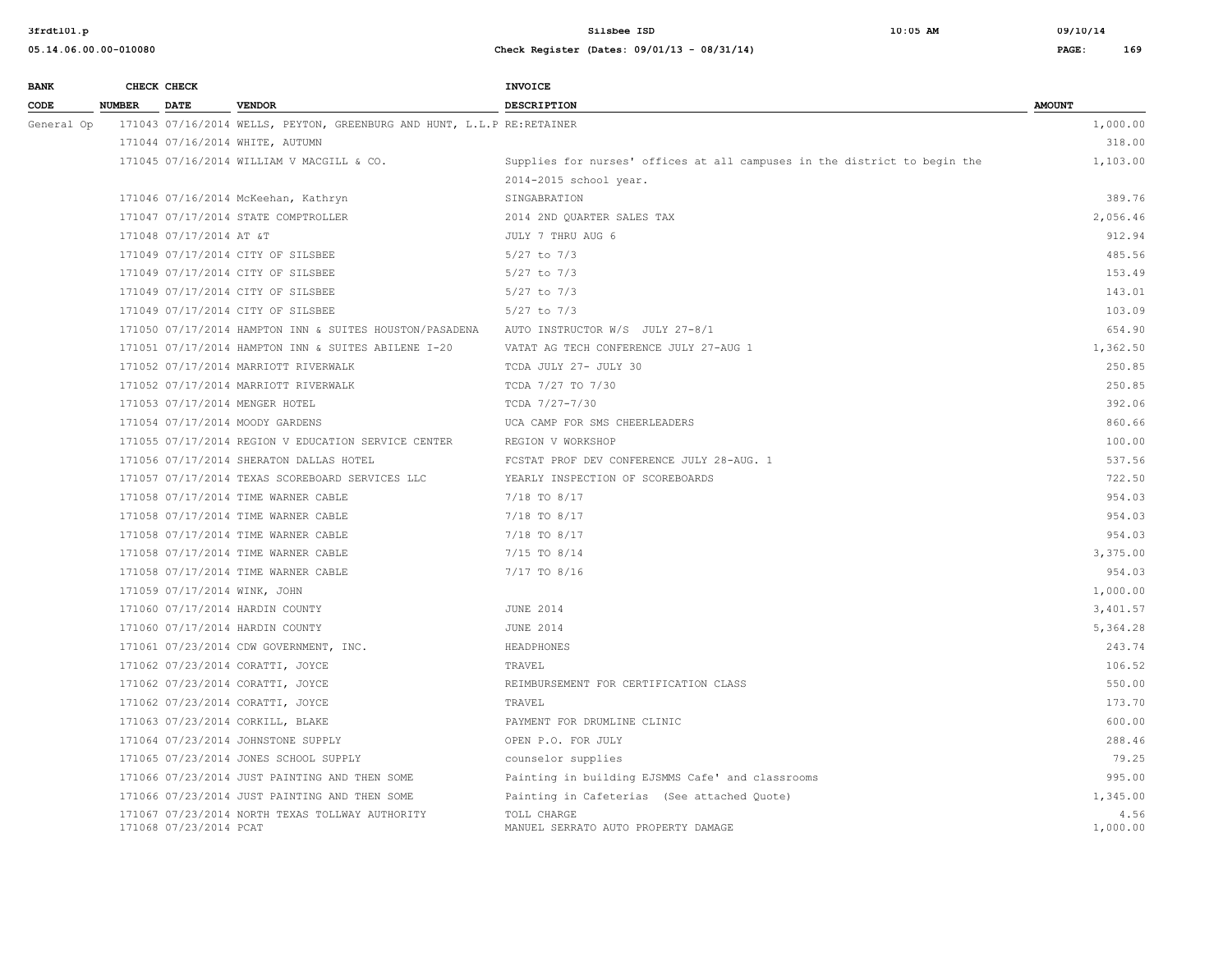| <b>BANK</b> |               | CHECK CHECK             |                                                                        | <b>INVOICE</b>                                                            |                  |
|-------------|---------------|-------------------------|------------------------------------------------------------------------|---------------------------------------------------------------------------|------------------|
| CODE        | <b>NUMBER</b> | <b>DATE</b>             | <b>VENDOR</b>                                                          | <b>DESCRIPTION</b>                                                        | <b>AMOUNT</b>    |
| General Op  |               |                         | 171043 07/16/2014 WELLS, PEYTON, GREENBURG AND HUNT, L.L.P RE:RETAINER |                                                                           | 1,000.00         |
|             |               |                         | 171044 07/16/2014 WHITE, AUTUMN                                        |                                                                           | 318.00           |
|             |               |                         | 171045 07/16/2014 WILLIAM V MACGILL & CO.                              | Supplies for nurses' offices at all campuses in the district to begin the | 1,103.00         |
|             |               |                         |                                                                        | 2014-2015 school year.                                                    |                  |
|             |               |                         | 171046 07/16/2014 McKeehan, Kathryn                                    | SINGABRATION                                                              | 389.76           |
|             |               |                         | 171047 07/17/2014 STATE COMPTROLLER                                    | 2014 2ND QUARTER SALES TAX                                                | 2,056.46         |
|             |               | 171048 07/17/2014 AT &T |                                                                        | JULY 7 THRU AUG 6                                                         | 912.94           |
|             |               |                         | 171049 07/17/2014 CITY OF SILSBEE                                      | $5/27$ to $7/3$                                                           | 485.56           |
|             |               |                         | 171049 07/17/2014 CITY OF SILSBEE                                      | $5/27$ to $7/3$                                                           | 153.49           |
|             |               |                         | 171049 07/17/2014 CITY OF SILSBEE                                      | $5/27$ to $7/3$                                                           | 143.01           |
|             |               |                         | 171049 07/17/2014 CITY OF SILSBEE                                      | $5/27$ to $7/3$                                                           | 103.09           |
|             |               |                         | 171050 07/17/2014 HAMPTON INN & SUITES HOUSTON/PASADENA                | AUTO INSTRUCTOR W/S JULY 27-8/1                                           | 654.90           |
|             |               |                         | 171051 07/17/2014 HAMPTON INN & SUITES ABILENE I-20                    | VATAT AG TECH CONFERENCE JULY 27-AUG 1                                    | 1,362.50         |
|             |               |                         | 171052 07/17/2014 MARRIOTT RIVERWALK                                   | TCDA JULY 27- JULY 30                                                     | 250.85           |
|             |               |                         | 171052 07/17/2014 MARRIOTT RIVERWALK                                   | TCDA 7/27 TO 7/30                                                         | 250.85           |
|             |               |                         | 171053 07/17/2014 MENGER HOTEL                                         | TCDA 7/27-7/30                                                            | 392.06           |
|             |               |                         | 171054 07/17/2014 MOODY GARDENS                                        | UCA CAMP FOR SMS CHEERLEADERS                                             | 860.66           |
|             |               |                         | 171055 07/17/2014 REGION V EDUCATION SERVICE CENTER                    | REGION V WORKSHOP                                                         | 100.00           |
|             |               |                         | 171056 07/17/2014 SHERATON DALLAS HOTEL                                | FCSTAT PROF DEV CONFERENCE JULY 28-AUG. 1                                 | 537.56           |
|             |               |                         | 171057 07/17/2014 TEXAS SCOREBOARD SERVICES LLC                        | YEARLY INSPECTION OF SCOREBOARDS                                          | 722.50           |
|             |               |                         | 171058 07/17/2014 TIME WARNER CABLE                                    | 7/18 TO 8/17                                                              | 954.03           |
|             |               |                         | 171058 07/17/2014 TIME WARNER CABLE                                    | 7/18 TO 8/17                                                              | 954.03           |
|             |               |                         | 171058 07/17/2014 TIME WARNER CABLE                                    | 7/18 TO 8/17                                                              | 954.03           |
|             |               |                         | 171058 07/17/2014 TIME WARNER CABLE                                    | 7/15 TO 8/14                                                              | 3,375.00         |
|             |               |                         | 171058 07/17/2014 TIME WARNER CABLE                                    | 7/17 TO 8/16                                                              | 954.03           |
|             |               |                         | 171059 07/17/2014 WINK, JOHN                                           |                                                                           | 1,000.00         |
|             |               |                         | 171060 07/17/2014 HARDIN COUNTY                                        | <b>JUNE 2014</b>                                                          | 3,401.57         |
|             |               |                         | 171060 07/17/2014 HARDIN COUNTY                                        | <b>JUNE 2014</b>                                                          | 5,364.28         |
|             |               |                         | 171061 07/23/2014 CDW GOVERNMENT, INC.                                 | HEADPHONES                                                                | 243.74           |
|             |               |                         | 171062 07/23/2014 CORATTI, JOYCE                                       | TRAVEL                                                                    | 106.52           |
|             |               |                         | 171062 07/23/2014 CORATTI, JOYCE                                       | REIMBURSEMENT FOR CERTIFICATION CLASS                                     | 550.00           |
|             |               |                         | 171062 07/23/2014 CORATTI, JOYCE                                       | TRAVEL                                                                    | 173.70           |
|             |               |                         | 171063 07/23/2014 CORKILL, BLAKE                                       | PAYMENT FOR DRUMLINE CLINIC                                               | 600.00           |
|             |               |                         | 171064 07/23/2014 JOHNSTONE SUPPLY                                     | OPEN P.O. FOR JULY                                                        | 288.46           |
|             |               |                         | 171065 07/23/2014 JONES SCHOOL SUPPLY                                  | counselor supplies                                                        | 79.25            |
|             |               |                         | 171066 07/23/2014 JUST PAINTING AND THEN SOME                          | Painting in building EJSMMS Cafe' and classrooms                          | 995.00           |
|             |               |                         | 171066 07/23/2014 JUST PAINTING AND THEN SOME                          | Painting in Cafeterias (See attached Quote)                               | 1,345.00         |
|             |               | 171068 07/23/2014 PCAT  | 171067 07/23/2014 NORTH TEXAS TOLLWAY AUTHORITY                        | TOLL CHARGE<br>MANUEL SERRATO AUTO PROPERTY DAMAGE                        | 4.56<br>1,000.00 |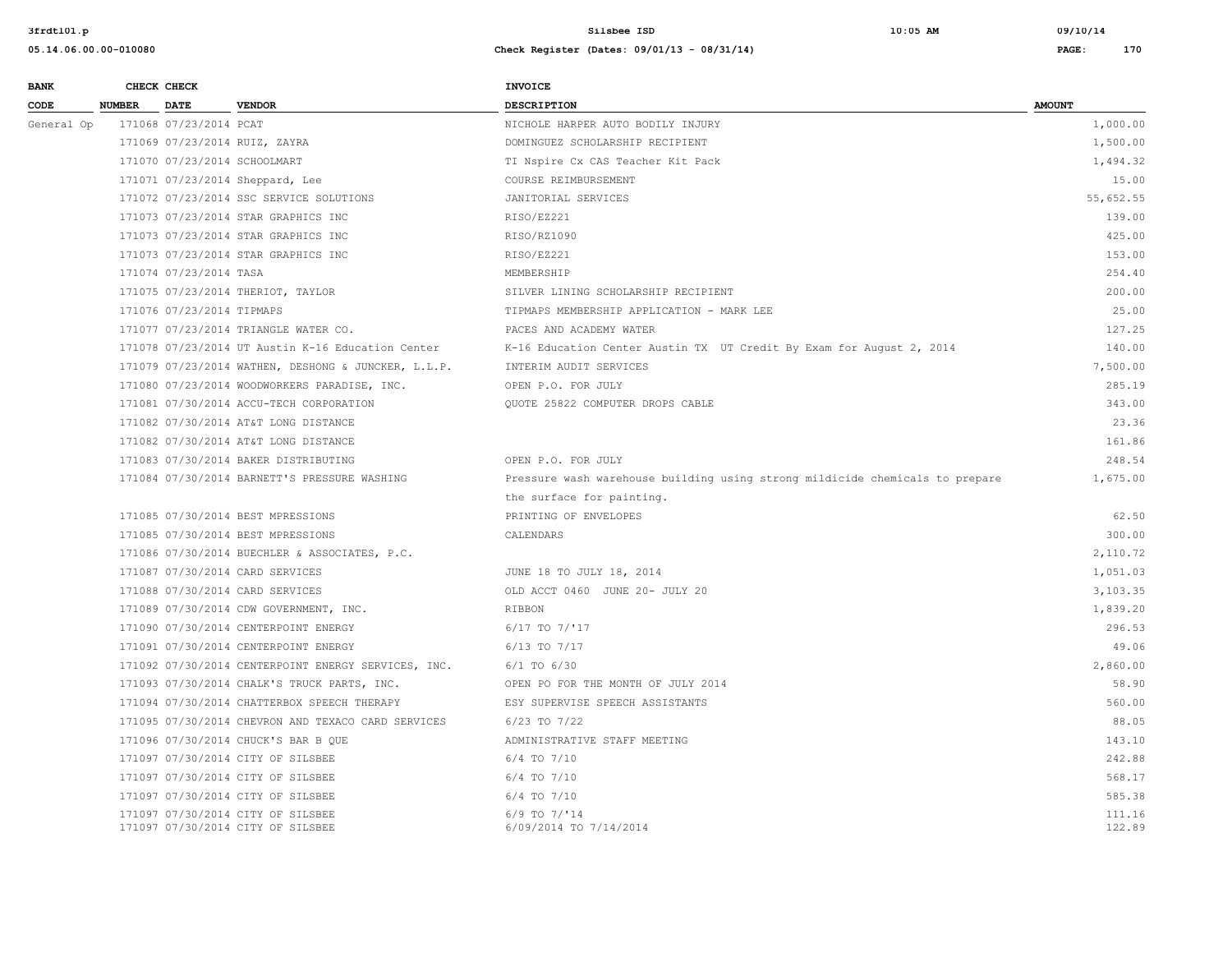| <b>BANK</b> |               | CHECK CHECK               |                                                                        | <b>INVOICE</b>                                                               |                  |
|-------------|---------------|---------------------------|------------------------------------------------------------------------|------------------------------------------------------------------------------|------------------|
| CODE        | <b>NUMBER</b> | <b>DATE</b>               | <b>VENDOR</b>                                                          | <b>DESCRIPTION</b>                                                           | <b>AMOUNT</b>    |
| General Op  |               | 171068 07/23/2014 PCAT    |                                                                        | NICHOLE HARPER AUTO BODILY INJURY                                            | 1,000.00         |
|             |               |                           | 171069 07/23/2014 RUIZ, ZAYRA                                          | DOMINGUEZ SCHOLARSHIP RECIPIENT                                              | 1,500.00         |
|             |               |                           | 171070 07/23/2014 SCHOOLMART                                           | TI Nspire Cx CAS Teacher Kit Pack                                            | 1,494.32         |
|             |               |                           | 171071 07/23/2014 Sheppard, Lee                                        | COURSE REIMBURSEMENT                                                         | 15.00            |
|             |               |                           | 171072 07/23/2014 SSC SERVICE SOLUTIONS                                | JANITORIAL SERVICES                                                          | 55,652.55        |
|             |               |                           | 171073 07/23/2014 STAR GRAPHICS INC                                    | RISO/EZ221                                                                   | 139.00           |
|             |               |                           | 171073 07/23/2014 STAR GRAPHICS INC                                    | RISO/RZ1090                                                                  | 425.00           |
|             |               |                           | 171073 07/23/2014 STAR GRAPHICS INC                                    | RISO/EZ221                                                                   | 153.00           |
|             |               | 171074 07/23/2014 TASA    |                                                                        | MEMBERSHIP                                                                   | 254.40           |
|             |               |                           | 171075 07/23/2014 THERIOT, TAYLOR                                      | SILVER LINING SCHOLARSHIP RECIPIENT                                          | 200.00           |
|             |               | 171076 07/23/2014 TIPMAPS |                                                                        | TIPMAPS MEMBERSHIP APPLICATION - MARK LEE                                    | 25.00            |
|             |               |                           | 171077 07/23/2014 TRIANGLE WATER CO.                                   | PACES AND ACADEMY WATER                                                      | 127.25           |
|             |               |                           | 171078 07/23/2014 UT Austin K-16 Education Center                      | K-16 Education Center Austin TX UT Credit By Exam for August 2, 2014         | 140.00           |
|             |               |                           | 171079 07/23/2014 WATHEN, DESHONG & JUNCKER, L.L.P.                    | INTERIM AUDIT SERVICES                                                       | 7,500.00         |
|             |               |                           | 171080 07/23/2014 WOODWORKERS PARADISE, INC.                           | OPEN P.O. FOR JULY                                                           | 285.19           |
|             |               |                           | 171081 07/30/2014 ACCU-TECH CORPORATION                                | QUOTE 25822 COMPUTER DROPS CABLE                                             | 343.00           |
|             |               |                           | 171082 07/30/2014 AT&T LONG DISTANCE                                   |                                                                              | 23.36            |
|             |               |                           | 171082 07/30/2014 AT&T LONG DISTANCE                                   |                                                                              | 161.86           |
|             |               |                           | 171083 07/30/2014 BAKER DISTRIBUTING                                   | OPEN P.O. FOR JULY                                                           | 248.54           |
|             |               |                           | 171084 07/30/2014 BARNETT'S PRESSURE WASHING                           | Pressure wash warehouse building using strong mildicide chemicals to prepare | 1,675.00         |
|             |               |                           |                                                                        | the surface for painting.                                                    |                  |
|             |               |                           | 171085 07/30/2014 BEST MPRESSIONS                                      | PRINTING OF ENVELOPES                                                        | 62.50            |
|             |               |                           | 171085 07/30/2014 BEST MPRESSIONS                                      | CALENDARS                                                                    | 300.00           |
|             |               |                           | 171086 07/30/2014 BUECHLER & ASSOCIATES, P.C.                          |                                                                              | 2,110.72         |
|             |               |                           | 171087 07/30/2014 CARD SERVICES                                        | JUNE 18 TO JULY 18, 2014                                                     | 1,051.03         |
|             |               |                           | 171088 07/30/2014 CARD SERVICES                                        | OLD ACCT 0460 JUNE 20- JULY 20                                               | 3,103.35         |
|             |               |                           | 171089 07/30/2014 CDW GOVERNMENT, INC.                                 | RIBBON                                                                       | 1,839.20         |
|             |               |                           | 171090 07/30/2014 CENTERPOINT ENERGY                                   | $6/17$ TO $7/17$                                                             | 296.53           |
|             |               |                           | 171091 07/30/2014 CENTERPOINT ENERGY                                   | $6/13$ TO $7/17$                                                             | 49.06            |
|             |               |                           | 171092 07/30/2014 CENTERPOINT ENERGY SERVICES, INC.                    | $6/1$ TO $6/30$                                                              | 2,860.00         |
|             |               |                           | 171093 07/30/2014 CHALK'S TRUCK PARTS, INC.                            | OPEN PO FOR THE MONTH OF JULY 2014                                           | 58.90            |
|             |               |                           | 171094 07/30/2014 CHATTERBOX SPEECH THERAPY                            | ESY SUPERVISE SPEECH ASSISTANTS                                              | 560.00           |
|             |               |                           | 171095 07/30/2014 CHEVRON AND TEXACO CARD SERVICES                     | $6/23$ TO $7/22$                                                             | 88.05            |
|             |               |                           | 171096 07/30/2014 CHUCK'S BAR B OUE                                    | ADMINISTRATIVE STAFF MEETING                                                 | 143.10           |
|             |               |                           | 171097 07/30/2014 CITY OF SILSBEE                                      | $6/4$ TO $7/10$                                                              | 242.88           |
|             |               |                           | 171097 07/30/2014 CITY OF SILSBEE                                      | $6/4$ TO $7/10$                                                              | 568.17           |
|             |               |                           | 171097 07/30/2014 CITY OF SILSBEE                                      | $6/4$ TO $7/10$                                                              | 585.38           |
|             |               |                           | 171097 07/30/2014 CITY OF SILSBEE<br>171097 07/30/2014 CITY OF SILSBEE | $6/9$ TO $7/14$<br>6/09/2014 TO 7/14/2014                                    | 111.16<br>122.89 |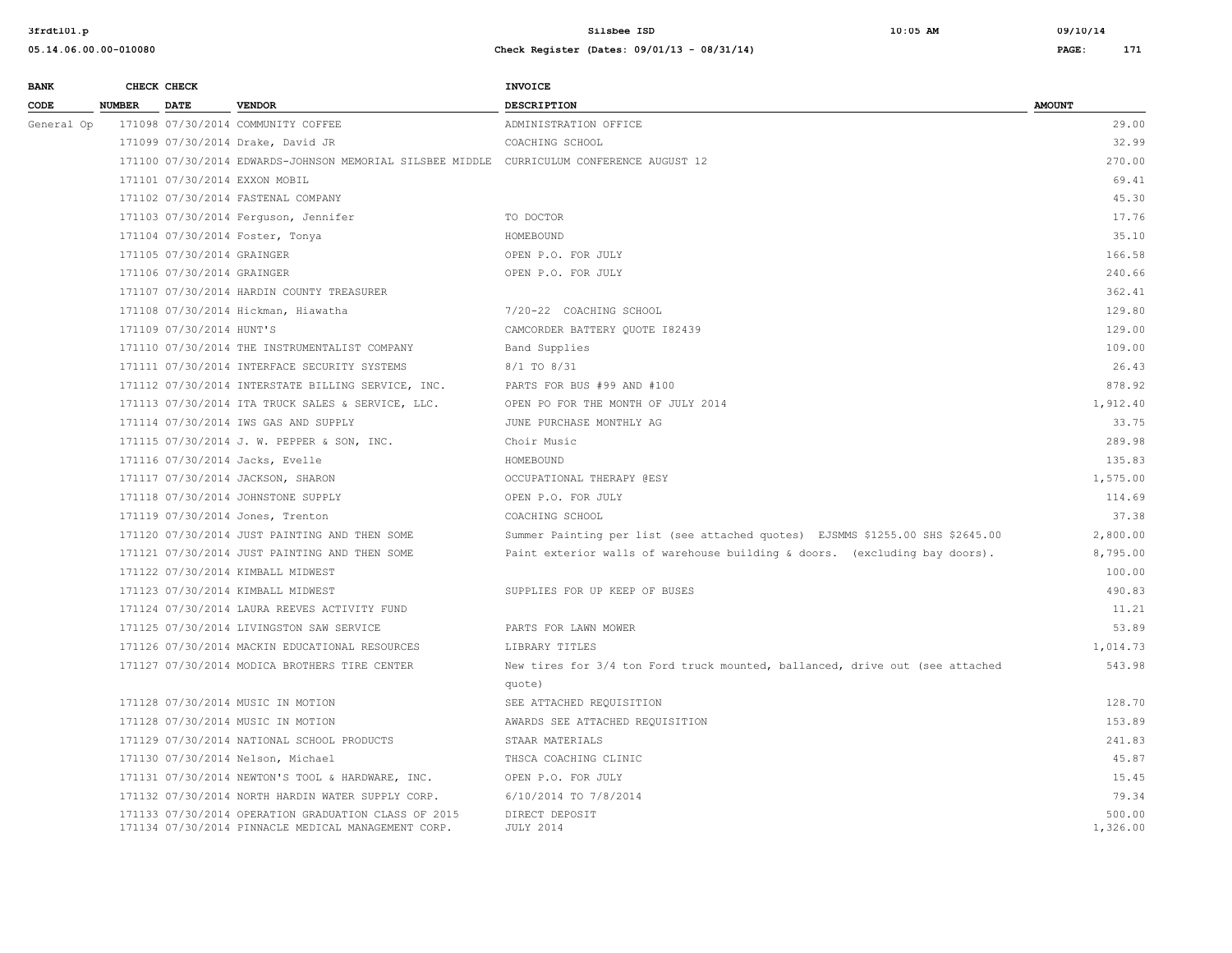| <b>BANK</b> |               | CHECK CHECK                |                                                                                                             | INVOICE                                                                       |                    |
|-------------|---------------|----------------------------|-------------------------------------------------------------------------------------------------------------|-------------------------------------------------------------------------------|--------------------|
| CODE        | <b>NUMBER</b> | <b>DATE</b>                | <b>VENDOR</b>                                                                                               | <b>DESCRIPTION</b>                                                            | <b>AMOUNT</b>      |
| General Op  |               |                            | 171098 07/30/2014 COMMUNITY COFFEE                                                                          | ADMINISTRATION OFFICE                                                         | 29.00              |
|             |               |                            | 171099 07/30/2014 Drake, David JR                                                                           | COACHING SCHOOL                                                               | 32.99              |
|             |               |                            | 171100 07/30/2014 EDWARDS-JOHNSON MEMORIAL SILSBEE MIDDLE CURRICULUM CONFERENCE AUGUST 12                   |                                                                               | 270.00             |
|             |               |                            | 171101 07/30/2014 EXXON MOBIL                                                                               |                                                                               | 69.41              |
|             |               |                            | 171102 07/30/2014 FASTENAL COMPANY                                                                          |                                                                               | 45.30              |
|             |               |                            | 171103 07/30/2014 Ferguson, Jennifer                                                                        | TO DOCTOR                                                                     | 17.76              |
|             |               |                            | 171104 07/30/2014 Foster, Tonya                                                                             | HOMEBOUND                                                                     | 35.10              |
|             |               | 171105 07/30/2014 GRAINGER |                                                                                                             | OPEN P.O. FOR JULY                                                            | 166.58             |
|             |               | 171106 07/30/2014 GRAINGER |                                                                                                             | OPEN P.O. FOR JULY                                                            | 240.66             |
|             |               |                            | 171107 07/30/2014 HARDIN COUNTY TREASURER                                                                   |                                                                               | 362.41             |
|             |               |                            | 171108 07/30/2014 Hickman, Hiawatha                                                                         | 7/20-22 COACHING SCHOOL                                                       | 129.80             |
|             |               | 171109 07/30/2014 HUNT'S   |                                                                                                             | CAMCORDER BATTERY QUOTE 182439                                                | 129.00             |
|             |               |                            | 171110 07/30/2014 THE INSTRUMENTALIST COMPANY                                                               | Band Supplies                                                                 | 109.00             |
|             |               |                            | 171111 07/30/2014 INTERFACE SECURITY SYSTEMS                                                                | 8/1 TO 8/31                                                                   | 26.43              |
|             |               |                            | 171112 07/30/2014 INTERSTATE BILLING SERVICE, INC.                                                          | PARTS FOR BUS #99 AND #100                                                    | 878.92             |
|             |               |                            | 171113 07/30/2014 ITA TRUCK SALES & SERVICE, LLC.                                                           | OPEN PO FOR THE MONTH OF JULY 2014                                            | 1,912.40           |
|             |               |                            | 171114 07/30/2014 IWS GAS AND SUPPLY                                                                        | JUNE PURCHASE MONTHLY AG                                                      | 33.75              |
|             |               |                            | 171115 07/30/2014 J. W. PEPPER & SON, INC.                                                                  | Choir Music                                                                   | 289.98             |
|             |               |                            | 171116 07/30/2014 Jacks, Evelle                                                                             | HOMEBOUND                                                                     | 135.83             |
|             |               |                            | 171117 07/30/2014 JACKSON, SHARON                                                                           | OCCUPATIONAL THERAPY @ESY                                                     | 1,575.00           |
|             |               |                            | 171118 07/30/2014 JOHNSTONE SUPPLY                                                                          | OPEN P.O. FOR JULY                                                            | 114.69             |
|             |               |                            | 171119 07/30/2014 Jones, Trenton                                                                            | COACHING SCHOOL                                                               | 37.38              |
|             |               |                            | 171120 07/30/2014 JUST PAINTING AND THEN SOME                                                               | Summer Painting per list (see attached quotes) EJSMMS \$1255.00 SHS \$2645.00 | 2,800.00           |
|             |               |                            | 171121 07/30/2014 JUST PAINTING AND THEN SOME                                                               | Paint exterior walls of warehouse building & doors. (excluding bay doors).    | 8,795.00           |
|             |               |                            | 171122 07/30/2014 KIMBALL MIDWEST                                                                           |                                                                               | 100.00             |
|             |               |                            | 171123 07/30/2014 KIMBALL MIDWEST                                                                           | SUPPLIES FOR UP KEEP OF BUSES                                                 | 490.83             |
|             |               |                            | 171124 07/30/2014 LAURA REEVES ACTIVITY FUND                                                                |                                                                               | 11.21              |
|             |               |                            | 171125 07/30/2014 LIVINGSTON SAW SERVICE                                                                    | PARTS FOR LAWN MOWER                                                          | 53.89              |
|             |               |                            | 171126 07/30/2014 MACKIN EDUCATIONAL RESOURCES                                                              | LIBRARY TITLES                                                                | 1,014.73           |
|             |               |                            | 171127 07/30/2014 MODICA BROTHERS TIRE CENTER                                                               | New tires for 3/4 ton Ford truck mounted, ballanced, drive out (see attached  | 543.98             |
|             |               |                            |                                                                                                             | quote)                                                                        |                    |
|             |               |                            | 171128 07/30/2014 MUSIC IN MOTION                                                                           | SEE ATTACHED REQUISITION                                                      | 128.70             |
|             |               |                            | 171128 07/30/2014 MUSIC IN MOTION                                                                           | AWARDS SEE ATTACHED REQUISITION                                               | 153.89             |
|             |               |                            | 171129 07/30/2014 NATIONAL SCHOOL PRODUCTS                                                                  | STAAR MATERIALS                                                               | 241.83             |
|             |               |                            | 171130 07/30/2014 Nelson, Michael                                                                           | THSCA COACHING CLINIC                                                         | 45.87              |
|             |               |                            | 171131 07/30/2014 NEWTON'S TOOL & HARDWARE, INC.                                                            | OPEN P.O. FOR JULY                                                            | 15.45              |
|             |               |                            | 171132 07/30/2014 NORTH HARDIN WATER SUPPLY CORP.                                                           | 6/10/2014 TO 7/8/2014                                                         | 79.34              |
|             |               |                            | 171133 07/30/2014 OPERATION GRADUATION CLASS OF 2015<br>171134 07/30/2014 PINNACLE MEDICAL MANAGEMENT CORP. | DIRECT DEPOSIT<br><b>JULY 2014</b>                                            | 500.00<br>1,326.00 |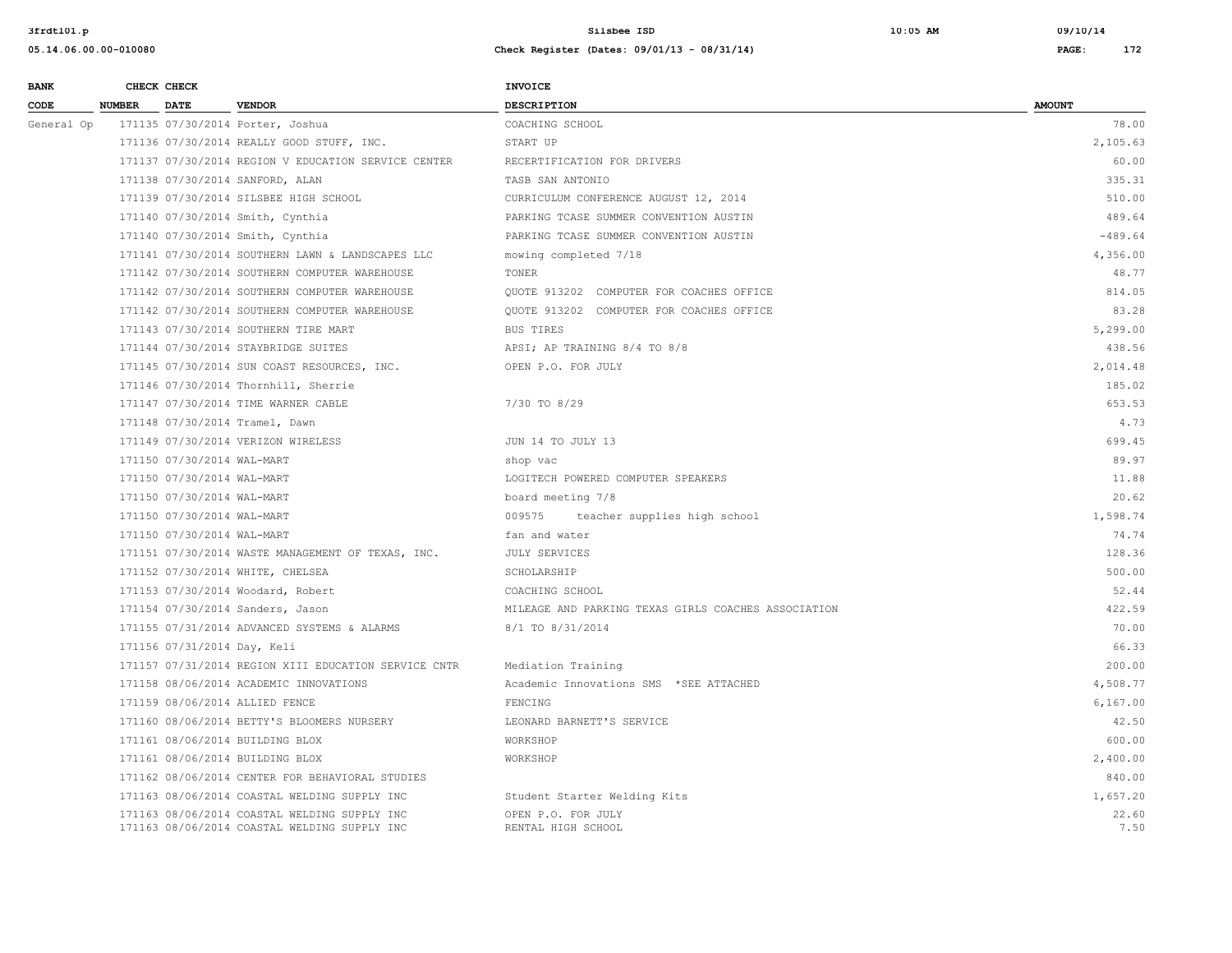| <b>BANK</b> |               | CHECK CHECK                 |                                                                                              | <b>INVOICE</b>                                      |               |
|-------------|---------------|-----------------------------|----------------------------------------------------------------------------------------------|-----------------------------------------------------|---------------|
| CODE        | <b>NUMBER</b> | <b>DATE</b>                 | <b>VENDOR</b>                                                                                | <b>DESCRIPTION</b>                                  | <b>AMOUNT</b> |
| General Op  |               |                             | 171135 07/30/2014 Porter, Joshua                                                             | COACHING SCHOOL                                     | 78.00         |
|             |               |                             | 171136 07/30/2014 REALLY GOOD STUFF, INC.                                                    | START UP                                            | 2,105.63      |
|             |               |                             | 171137 07/30/2014 REGION V EDUCATION SERVICE CENTER                                          | RECERTIFICATION FOR DRIVERS                         | 60.00         |
|             |               |                             | 171138 07/30/2014 SANFORD, ALAN                                                              | TASB SAN ANTONIO                                    | 335.31        |
|             |               |                             | 171139 07/30/2014 SILSBEE HIGH SCHOOL                                                        | CURRICULUM CONFERENCE AUGUST 12, 2014               | 510.00        |
|             |               |                             | 171140 07/30/2014 Smith, Cynthia                                                             | PARKING TCASE SUMMER CONVENTION AUSTIN              | 489.64        |
|             |               |                             | 171140 07/30/2014 Smith, Cynthia                                                             | PARKING TCASE SUMMER CONVENTION AUSTIN              | $-489.64$     |
|             |               |                             | 171141 07/30/2014 SOUTHERN LAWN & LANDSCAPES LLC                                             | mowing completed 7/18                               | 4,356.00      |
|             |               |                             | 171142 07/30/2014 SOUTHERN COMPUTER WAREHOUSE                                                | TONER                                               | 48.77         |
|             |               |                             | 171142 07/30/2014 SOUTHERN COMPUTER WAREHOUSE                                                | QUOTE 913202 COMPUTER FOR COACHES OFFICE            | 814.05        |
|             |               |                             | 171142 07/30/2014 SOUTHERN COMPUTER WAREHOUSE                                                | QUOTE 913202 COMPUTER FOR COACHES OFFICE            | 83.28         |
|             |               |                             | 171143 07/30/2014 SOUTHERN TIRE MART                                                         | <b>BUS TIRES</b>                                    | 5,299.00      |
|             |               |                             | 171144 07/30/2014 STAYBRIDGE SUITES                                                          | APSI; AP TRAINING 8/4 TO 8/8                        | 438.56        |
|             |               |                             | 171145 07/30/2014 SUN COAST RESOURCES, INC.                                                  | OPEN P.O. FOR JULY                                  | 2,014.48      |
|             |               |                             | 171146 07/30/2014 Thornhill, Sherrie                                                         |                                                     | 185.02        |
|             |               |                             | 171147 07/30/2014 TIME WARNER CABLE                                                          | 7/30 TO 8/29                                        | 653.53        |
|             |               |                             | 171148 07/30/2014 Tramel, Dawn                                                               |                                                     | 4.73          |
|             |               |                             | 171149 07/30/2014 VERIZON WIRELESS                                                           | JUN 14 TO JULY 13                                   | 699.45        |
|             |               | 171150 07/30/2014 WAL-MART  |                                                                                              | shop vac                                            | 89.97         |
|             |               | 171150 07/30/2014 WAL-MART  |                                                                                              | LOGITECH POWERED COMPUTER SPEAKERS                  | 11.88         |
|             |               | 171150 07/30/2014 WAL-MART  |                                                                                              | board meeting 7/8                                   | 20.62         |
|             |               | 171150 07/30/2014 WAL-MART  |                                                                                              | 009575<br>teacher supplies high school              | 1,598.74      |
|             |               | 171150 07/30/2014 WAL-MART  |                                                                                              | fan and water                                       | 74.74         |
|             |               |                             | 171151 07/30/2014 WASTE MANAGEMENT OF TEXAS, INC.                                            | <b>JULY SERVICES</b>                                | 128.36        |
|             |               |                             | 171152 07/30/2014 WHITE, CHELSEA                                                             | SCHOLARSHIP                                         | 500.00        |
|             |               |                             | 171153 07/30/2014 Woodard, Robert                                                            | COACHING SCHOOL                                     | 52.44         |
|             |               |                             | 171154 07/30/2014 Sanders, Jason                                                             | MILEAGE AND PARKING TEXAS GIRLS COACHES ASSOCIATION | 422.59        |
|             |               |                             | 171155 07/31/2014 ADVANCED SYSTEMS & ALARMS                                                  | 8/1 TO 8/31/2014                                    | 70.00         |
|             |               | 171156 07/31/2014 Day, Keli |                                                                                              |                                                     | 66.33         |
|             |               |                             | 171157 07/31/2014 REGION XIII EDUCATION SERVICE CNTR                                         | Mediation Training                                  | 200.00        |
|             |               |                             | 171158 08/06/2014 ACADEMIC INNOVATIONS                                                       | Academic Innovations SMS *SEE ATTACHED              | 4,508.77      |
|             |               |                             | 171159 08/06/2014 ALLIED FENCE                                                               | FENCING                                             | 6,167.00      |
|             |               |                             | 171160 08/06/2014 BETTY'S BLOOMERS NURSERY                                                   | LEONARD BARNETT'S SERVICE                           | 42.50         |
|             |               |                             | 171161 08/06/2014 BUILDING BLOX                                                              | WORKSHOP                                            | 600.00        |
|             |               |                             | 171161 08/06/2014 BUILDING BLOX                                                              | WORKSHOP                                            | 2,400.00      |
|             |               |                             | 171162 08/06/2014 CENTER FOR BEHAVIORAL STUDIES                                              |                                                     | 840.00        |
|             |               |                             | 171163 08/06/2014 COASTAL WELDING SUPPLY INC                                                 | Student Starter Welding Kits                        | 1,657.20      |
|             |               |                             | 171163 08/06/2014 COASTAL WELDING SUPPLY INC<br>171163 08/06/2014 COASTAL WELDING SUPPLY INC | OPEN P.O. FOR JULY<br>RENTAL HIGH SCHOOL            | 22.60<br>7.50 |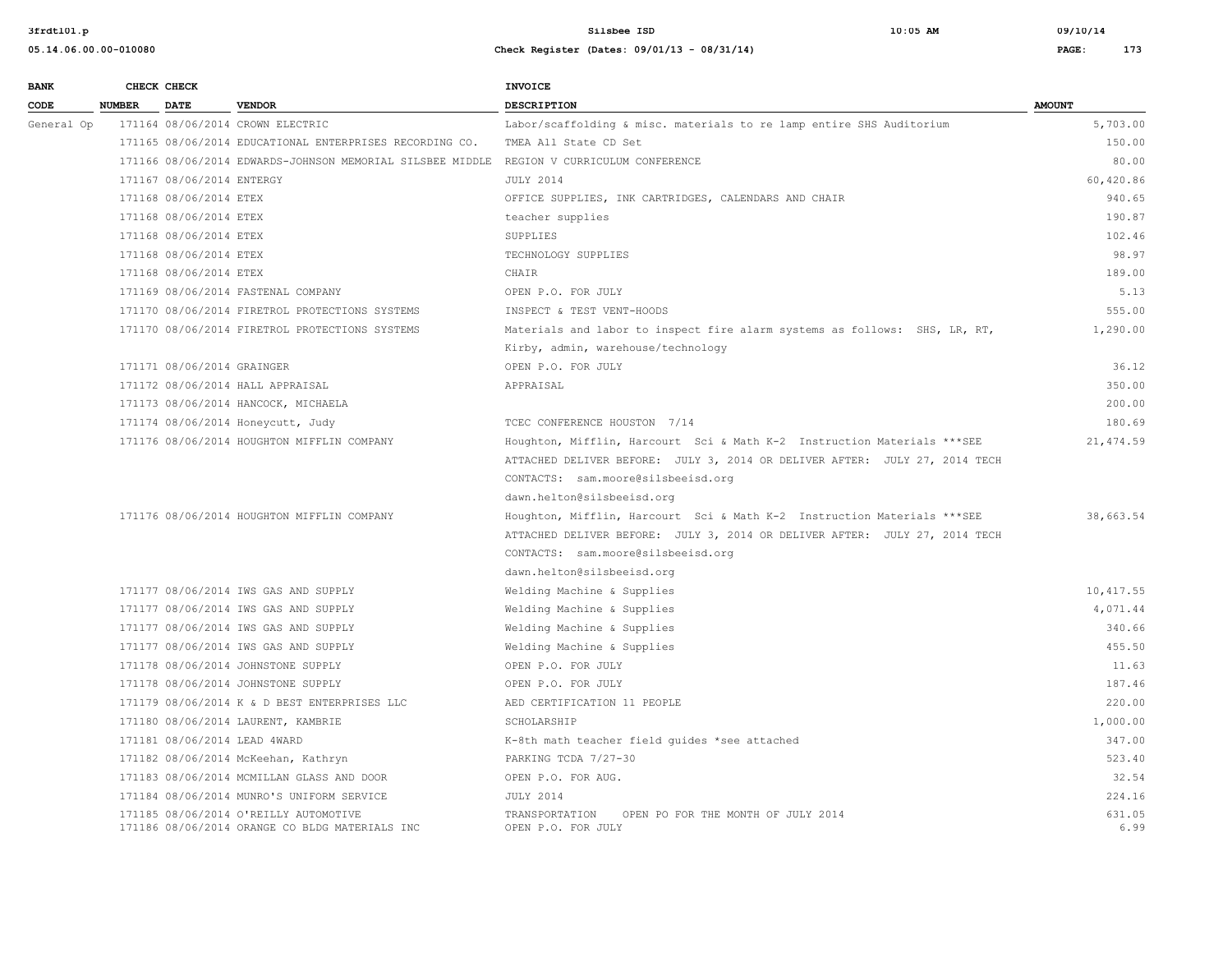| 05.14.06.00.00-010080 | Check Register (Dates: 09/01/13 - 08/31/14) | PAGE: | 173 |
|-----------------------|---------------------------------------------|-------|-----|
|                       |                                             |       |     |

| <b>BANK</b> |               | CHECK CHECK                |                                                                                         | <b>INVOICE</b>                                                             |                |
|-------------|---------------|----------------------------|-----------------------------------------------------------------------------------------|----------------------------------------------------------------------------|----------------|
| CODE        | <b>NUMBER</b> | <b>DATE</b>                | <b>VENDOR</b>                                                                           | <b>DESCRIPTION</b>                                                         | <b>AMOUNT</b>  |
| General Op  |               |                            | 171164 08/06/2014 CROWN ELECTRIC                                                        | Labor/scaffolding & misc. materials to re lamp entire SHS Auditorium       | 5,703.00       |
|             |               |                            | 171165 08/06/2014 EDUCATIONAL ENTERPRISES RECORDING CO.                                 | TMEA All State CD Set                                                      | 150.00         |
|             |               |                            | 171166 08/06/2014 EDWARDS-JOHNSON MEMORIAL SILSBEE MIDDLE                               | REGION V CURRICULUM CONFERENCE                                             | 80.00          |
|             |               | 171167 08/06/2014 ENTERGY  |                                                                                         | <b>JULY 2014</b>                                                           | 60,420.86      |
|             |               | 171168 08/06/2014 ETEX     |                                                                                         | OFFICE SUPPLIES, INK CARTRIDGES, CALENDARS AND CHAIR                       | 940.65         |
|             |               | 171168 08/06/2014 ETEX     |                                                                                         | teacher supplies                                                           | 190.87         |
|             |               | 171168 08/06/2014 ETEX     |                                                                                         | SUPPLIES                                                                   | 102.46         |
|             |               | 171168 08/06/2014 ETEX     |                                                                                         | TECHNOLOGY SUPPLIES                                                        | 98.97          |
|             |               | 171168 08/06/2014 ETEX     |                                                                                         | CHAIR                                                                      | 189.00         |
|             |               |                            | 171169 08/06/2014 FASTENAL COMPANY                                                      | OPEN P.O. FOR JULY                                                         | 5.13           |
|             |               |                            | 171170 08/06/2014 FIRETROL PROTECTIONS SYSTEMS                                          | INSPECT & TEST VENT-HOODS                                                  | 555.00         |
|             |               |                            | 171170 08/06/2014 FIRETROL PROTECTIONS SYSTEMS                                          | Materials and labor to inspect fire alarm systems as follows: SHS, LR, RT, | 1,290.00       |
|             |               |                            |                                                                                         | Kirby, admin, warehouse/technology                                         |                |
|             |               | 171171 08/06/2014 GRAINGER |                                                                                         | OPEN P.O. FOR JULY                                                         | 36.12          |
|             |               |                            | 171172 08/06/2014 HALL APPRAISAL                                                        | APPRAISAL                                                                  | 350.00         |
|             |               |                            | 171173 08/06/2014 HANCOCK, MICHAELA                                                     |                                                                            | 200.00         |
|             |               |                            | 171174 08/06/2014 Honeycutt, Judy                                                       | TCEC CONFERENCE HOUSTON 7/14                                               | 180.69         |
|             |               |                            | 171176 08/06/2014 HOUGHTON MIFFLIN COMPANY                                              | Houghton, Mifflin, Harcourt Sci & Math K-2 Instruction Materials *** SEE   | 21, 474.59     |
|             |               |                            |                                                                                         | ATTACHED DELIVER BEFORE: JULY 3, 2014 OR DELIVER AFTER: JULY 27, 2014 TECH |                |
|             |               |                            |                                                                                         | CONTACTS: sam.moore@silsbeeisd.org                                         |                |
|             |               |                            |                                                                                         | dawn.helton@silsbeeisd.org                                                 |                |
|             |               |                            | 171176 08/06/2014 HOUGHTON MIFFLIN COMPANY                                              | Houghton, Mifflin, Harcourt Sci & Math K-2 Instruction Materials *** SEE   | 38,663.54      |
|             |               |                            |                                                                                         | ATTACHED DELIVER BEFORE: JULY 3, 2014 OR DELIVER AFTER: JULY 27, 2014 TECH |                |
|             |               |                            |                                                                                         | CONTACTS: sam.moore@silsbeeisd.org                                         |                |
|             |               |                            |                                                                                         | dawn.helton@silsbeeisd.org                                                 |                |
|             |               |                            | 171177 08/06/2014 IWS GAS AND SUPPLY                                                    | Welding Machine & Supplies                                                 | 10,417.55      |
|             |               |                            | 171177 08/06/2014 IWS GAS AND SUPPLY                                                    | Welding Machine & Supplies                                                 | 4,071.44       |
|             |               |                            | 171177 08/06/2014 IWS GAS AND SUPPLY                                                    | Welding Machine & Supplies                                                 | 340.66         |
|             |               |                            | 171177 08/06/2014 IWS GAS AND SUPPLY                                                    | Welding Machine & Supplies                                                 | 455.50         |
|             |               |                            | 171178 08/06/2014 JOHNSTONE SUPPLY                                                      | OPEN P.O. FOR JULY                                                         | 11.63          |
|             |               |                            | 171178 08/06/2014 JOHNSTONE SUPPLY                                                      | OPEN P.O. FOR JULY                                                         | 187.46         |
|             |               |                            | 171179 08/06/2014 K & D BEST ENTERPRISES LLC                                            | AED CERTIFICATION 11 PEOPLE                                                | 220.00         |
|             |               |                            | 171180 08/06/2014 LAURENT, KAMBRIE                                                      | SCHOLARSHIP                                                                | 1,000.00       |
|             |               |                            | 171181 08/06/2014 LEAD 4WARD                                                            | K-8th math teacher field guides *see attached                              | 347.00         |
|             |               |                            | 171182 08/06/2014 McKeehan, Kathryn                                                     | PARKING TCDA 7/27-30                                                       | 523.40         |
|             |               |                            | 171183 08/06/2014 MCMILLAN GLASS AND DOOR                                               | OPEN P.O. FOR AUG.                                                         | 32.54          |
|             |               |                            | 171184 08/06/2014 MUNRO'S UNIFORM SERVICE                                               | <b>JULY 2014</b>                                                           | 224.16         |
|             |               |                            | 171185 08/06/2014 O'REILLY AUTOMOTIVE<br>171186 08/06/2014 ORANGE CO BLDG MATERIALS INC | TRANSPORTATION<br>OPEN PO FOR THE MONTH OF JULY 2014<br>OPEN P.O. FOR JULY | 631.05<br>6.99 |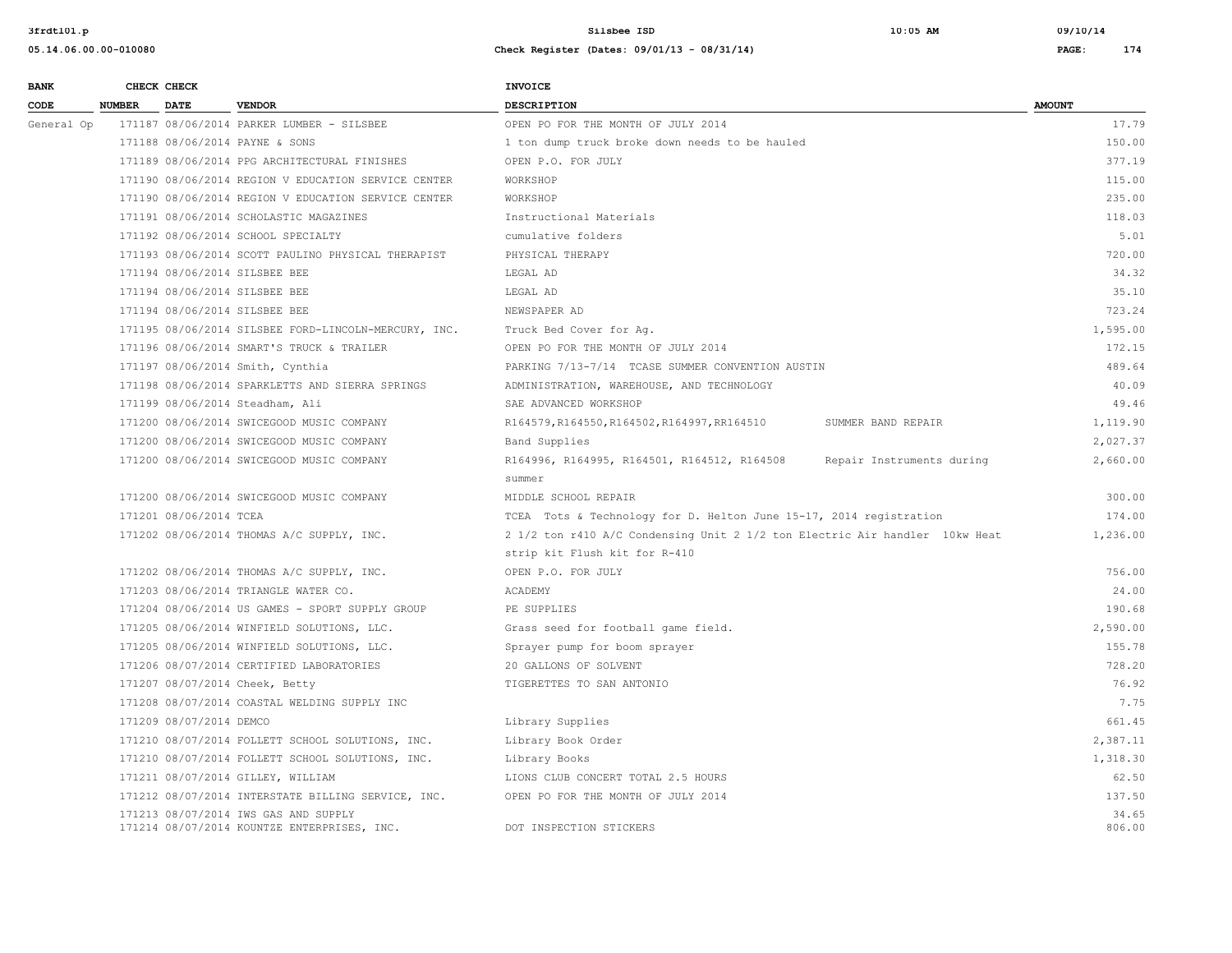| <b>BANK</b> |               | CHECK CHECK             |                                                      | <b>INVOICE</b>                                                              |               |
|-------------|---------------|-------------------------|------------------------------------------------------|-----------------------------------------------------------------------------|---------------|
| CODE        | <b>NUMBER</b> | <b>DATE</b>             | <b>VENDOR</b>                                        | <b>DESCRIPTION</b>                                                          | <b>AMOUNT</b> |
| General Op  |               |                         | 171187 08/06/2014 PARKER LUMBER - SILSBEE            | OPEN PO FOR THE MONTH OF JULY 2014                                          | 17.79         |
|             |               |                         | 171188 08/06/2014 PAYNE & SONS                       | 1 ton dump truck broke down needs to be hauled                              | 150.00        |
|             |               |                         | 171189 08/06/2014 PPG ARCHITECTURAL FINISHES         | OPEN P.O. FOR JULY                                                          | 377.19        |
|             |               |                         | 171190 08/06/2014 REGION V EDUCATION SERVICE CENTER  | WORKSHOP                                                                    | 115.00        |
|             |               |                         | 171190 08/06/2014 REGION V EDUCATION SERVICE CENTER  | WORKSHOP                                                                    | 235.00        |
|             |               |                         | 171191 08/06/2014 SCHOLASTIC MAGAZINES               | Instructional Materials                                                     | 118.03        |
|             |               |                         | 171192 08/06/2014 SCHOOL SPECIALTY                   | cumulative folders                                                          | 5.01          |
|             |               |                         | 171193 08/06/2014 SCOTT PAULINO PHYSICAL THERAPIST   | PHYSICAL THERAPY                                                            | 720.00        |
|             |               |                         | 171194 08/06/2014 SILSBEE BEE                        | LEGAL AD                                                                    | 34.32         |
|             |               |                         | 171194 08/06/2014 SILSBEE BEE                        | LEGAL AD                                                                    | 35.10         |
|             |               |                         | 171194 08/06/2014 SILSBEE BEE                        | NEWSPAPER AD                                                                | 723.24        |
|             |               |                         | 171195 08/06/2014 SILSBEE FORD-LINCOLN-MERCURY, INC. | Truck Bed Cover for Aq.                                                     | 1,595.00      |
|             |               |                         | 171196 08/06/2014 SMART'S TRUCK & TRAILER            | OPEN PO FOR THE MONTH OF JULY 2014                                          | 172.15        |
|             |               |                         | 171197 08/06/2014 Smith, Cynthia                     | PARKING 7/13-7/14 TCASE SUMMER CONVENTION AUSTIN                            | 489.64        |
|             |               |                         | 171198 08/06/2014 SPARKLETTS AND SIERRA SPRINGS      | ADMINISTRATION, WAREHOUSE, AND TECHNOLOGY                                   | 40.09         |
|             |               |                         | 171199 08/06/2014 Steadham, Ali                      | SAE ADVANCED WORKSHOP                                                       | 49.46         |
|             |               |                         | 171200 08/06/2014 SWICEGOOD MUSIC COMPANY            | R164579, R164550, R164502, R164997, RR164510<br>SUMMER BAND REPAIR          | 1,119.90      |
|             |               |                         | 171200 08/06/2014 SWICEGOOD MUSIC COMPANY            | Band Supplies                                                               | 2,027.37      |
|             |               |                         | 171200 08/06/2014 SWICEGOOD MUSIC COMPANY            | R164996, R164995, R164501, R164512, R164508<br>Repair Instruments during    | 2,660.00      |
|             |               |                         |                                                      | summer                                                                      |               |
|             |               |                         | 171200 08/06/2014 SWICEGOOD MUSIC COMPANY            | MIDDLE SCHOOL REPAIR                                                        | 300.00        |
|             |               | 171201 08/06/2014 TCEA  |                                                      | TCEA Tots & Technology for D. Helton June 15-17, 2014 registration          | 174.00        |
|             |               |                         | 171202 08/06/2014 THOMAS A/C SUPPLY, INC.            | 2 1/2 ton r410 A/C Condensing Unit 2 1/2 ton Electric Air handler 10kw Heat | 1,236.00      |
|             |               |                         |                                                      | strip kit Flush kit for R-410                                               |               |
|             |               |                         | 171202 08/06/2014 THOMAS A/C SUPPLY, INC.            | OPEN P.O. FOR JULY                                                          | 756.00        |
|             |               |                         | 171203 08/06/2014 TRIANGLE WATER CO.                 | <b>ACADEMY</b>                                                              | 24.00         |
|             |               |                         | 171204 08/06/2014 US GAMES - SPORT SUPPLY GROUP      | PE SUPPLIES                                                                 | 190.68        |
|             |               |                         | 171205 08/06/2014 WINFIELD SOLUTIONS, LLC.           | Grass seed for football game field.                                         | 2,590.00      |
|             |               |                         | 171205 08/06/2014 WINFIELD SOLUTIONS, LLC.           | Sprayer pump for boom sprayer                                               | 155.78        |
|             |               |                         | 171206 08/07/2014 CERTIFIED LABORATORIES             | 20 GALLONS OF SOLVENT                                                       | 728.20        |
|             |               |                         | 171207 08/07/2014 Cheek, Betty                       | TIGERETTES TO SAN ANTONIO                                                   | 76.92         |
|             |               |                         | 171208 08/07/2014 COASTAL WELDING SUPPLY INC         |                                                                             | 7.75          |
|             |               | 171209 08/07/2014 DEMCO |                                                      | Library Supplies                                                            | 661.45        |
|             |               |                         | 171210 08/07/2014 FOLLETT SCHOOL SOLUTIONS, INC.     | Library Book Order                                                          | 2,387.11      |
|             |               |                         | 171210 08/07/2014 FOLLETT SCHOOL SOLUTIONS, INC.     | Library Books                                                               | 1,318.30      |
|             |               |                         | 171211 08/07/2014 GILLEY, WILLIAM                    | LIONS CLUB CONCERT TOTAL 2.5 HOURS                                          | 62.50         |
|             |               |                         | 171212 08/07/2014 INTERSTATE BILLING SERVICE, INC.   | OPEN PO FOR THE MONTH OF JULY 2014                                          | 137.50        |
|             |               |                         | 171213 08/07/2014 IWS GAS AND SUPPLY                 |                                                                             | 34.65         |
|             |               |                         | 171214 08/07/2014 KOUNTZE ENTERPRISES, INC.          | DOT INSPECTION STICKERS                                                     | 806.00        |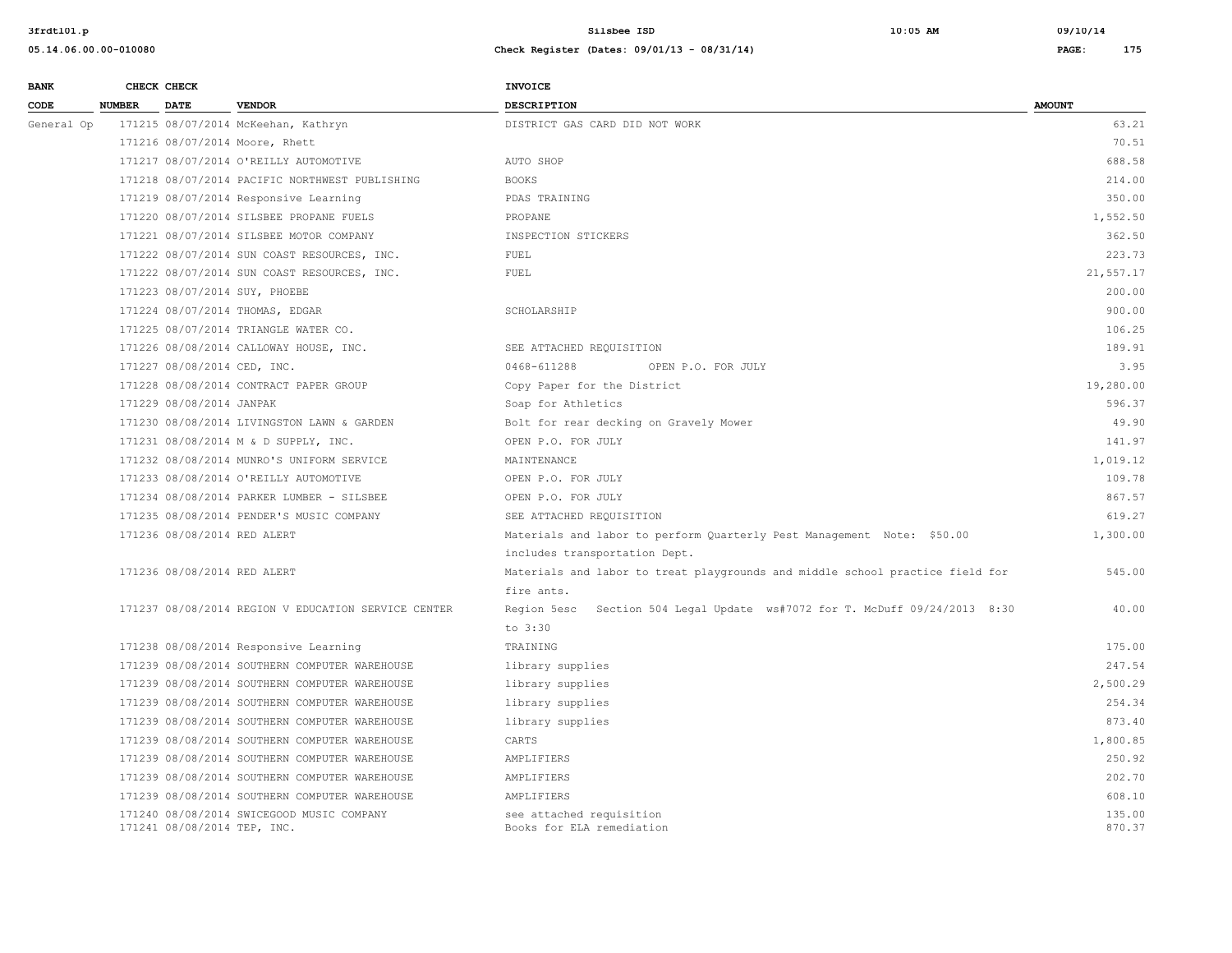| <b>BANK</b> |               | CHECK CHECK                 |                                                     | <b>INVOICE</b>                                                                                          |                  |
|-------------|---------------|-----------------------------|-----------------------------------------------------|---------------------------------------------------------------------------------------------------------|------------------|
| CODE        | <b>NUMBER</b> | DATE                        | <b>VENDOR</b>                                       | <b>DESCRIPTION</b>                                                                                      | <b>AMOUNT</b>    |
| General Op  |               |                             | 171215 08/07/2014 McKeehan, Kathryn                 | DISTRICT GAS CARD DID NOT WORK                                                                          | 63.21            |
|             |               |                             | 171216 08/07/2014 Moore, Rhett                      |                                                                                                         | 70.51            |
|             |               |                             | 171217 08/07/2014 O'REILLY AUTOMOTIVE               | AUTO SHOP                                                                                               | 688.58           |
|             |               |                             | 171218 08/07/2014 PACIFIC NORTHWEST PUBLISHING      | <b>BOOKS</b>                                                                                            | 214.00           |
|             |               |                             | 171219 08/07/2014 Responsive Learning               | PDAS TRAINING                                                                                           | 350.00           |
|             |               |                             | 171220 08/07/2014 SILSBEE PROPANE FUELS             | PROPANE                                                                                                 | 1,552.50         |
|             |               |                             | 171221 08/07/2014 SILSBEE MOTOR COMPANY             | INSPECTION STICKERS                                                                                     | 362.50           |
|             |               |                             | 171222 08/07/2014 SUN COAST RESOURCES, INC.         | FUEL                                                                                                    | 223.73           |
|             |               |                             | 171222 08/07/2014 SUN COAST RESOURCES, INC.         | FUEL                                                                                                    | 21,557.17        |
|             |               |                             | 171223 08/07/2014 SUY, PHOEBE                       |                                                                                                         | 200.00           |
|             |               |                             | 171224 08/07/2014 THOMAS, EDGAR                     | SCHOLARSHIP                                                                                             | 900.00           |
|             |               |                             | 171225 08/07/2014 TRIANGLE WATER CO.                |                                                                                                         | 106.25           |
|             |               |                             | 171226 08/08/2014 CALLOWAY HOUSE, INC.              | SEE ATTACHED REQUISITION                                                                                | 189.91           |
|             |               | 171227 08/08/2014 CED, INC. |                                                     | 0468-611288<br>OPEN P.O. FOR JULY                                                                       | 3.95             |
|             |               |                             | 171228 08/08/2014 CONTRACT PAPER GROUP              | Copy Paper for the District                                                                             | 19,280.00        |
|             |               | 171229 08/08/2014 JANPAK    |                                                     | Soap for Athletics                                                                                      | 596.37           |
|             |               |                             | 171230 08/08/2014 LIVINGSTON LAWN & GARDEN          | Bolt for rear decking on Gravely Mower                                                                  | 49.90            |
|             |               |                             | 171231 08/08/2014 M & D SUPPLY, INC.                | OPEN P.O. FOR JULY                                                                                      | 141.97           |
|             |               |                             | 171232 08/08/2014 MUNRO'S UNIFORM SERVICE           | MAINTENANCE                                                                                             | 1,019.12         |
|             |               |                             | 171233 08/08/2014 O'REILLY AUTOMOTIVE               | OPEN P.O. FOR JULY                                                                                      | 109.78           |
|             |               |                             | 171234 08/08/2014 PARKER LUMBER - SILSBEE           | OPEN P.O. FOR JULY                                                                                      | 867.57           |
|             |               |                             | 171235 08/08/2014 PENDER'S MUSIC COMPANY            | SEE ATTACHED REQUISITION                                                                                | 619.27           |
|             |               | 171236 08/08/2014 RED ALERT |                                                     | Materials and labor to perform Quarterly Pest Management Note: \$50.00<br>includes transportation Dept. | 1,300.00         |
|             |               | 171236 08/08/2014 RED ALERT |                                                     | Materials and labor to treat playgrounds and middle school practice field for<br>fire ants.             | 545.00           |
|             |               |                             | 171237 08/08/2014 REGION V EDUCATION SERVICE CENTER | Region 5esc Section 504 Legal Update ws#7072 for T. McDuff 09/24/2013 8:30<br>to $3:30$                 | 40.00            |
|             |               |                             | 171238 08/08/2014 Responsive Learning               | TRAINING                                                                                                | 175.00           |
|             |               |                             | 171239 08/08/2014 SOUTHERN COMPUTER WAREHOUSE       | library supplies                                                                                        | 247.54           |
|             |               |                             | 171239 08/08/2014 SOUTHERN COMPUTER WAREHOUSE       | library supplies                                                                                        | 2,500.29         |
|             |               |                             | 171239 08/08/2014 SOUTHERN COMPUTER WAREHOUSE       | library supplies                                                                                        | 254.34           |
|             |               |                             | 171239 08/08/2014 SOUTHERN COMPUTER WAREHOUSE       | library supplies                                                                                        | 873.40           |
|             |               |                             | 171239 08/08/2014 SOUTHERN COMPUTER WAREHOUSE       | CARTS                                                                                                   | 1,800.85         |
|             |               |                             | 171239 08/08/2014 SOUTHERN COMPUTER WAREHOUSE       | AMPLIFIERS                                                                                              | 250.92           |
|             |               |                             | 171239 08/08/2014 SOUTHERN COMPUTER WAREHOUSE       | AMPLIFIERS                                                                                              | 202.70           |
|             |               |                             | 171239 08/08/2014 SOUTHERN COMPUTER WAREHOUSE       | AMPLIFIERS                                                                                              | 608.10           |
|             |               | 171241 08/08/2014 TEP, INC. | 171240 08/08/2014 SWICEGOOD MUSIC COMPANY           | see attached requisition<br>Books for ELA remediation                                                   | 135.00<br>870.37 |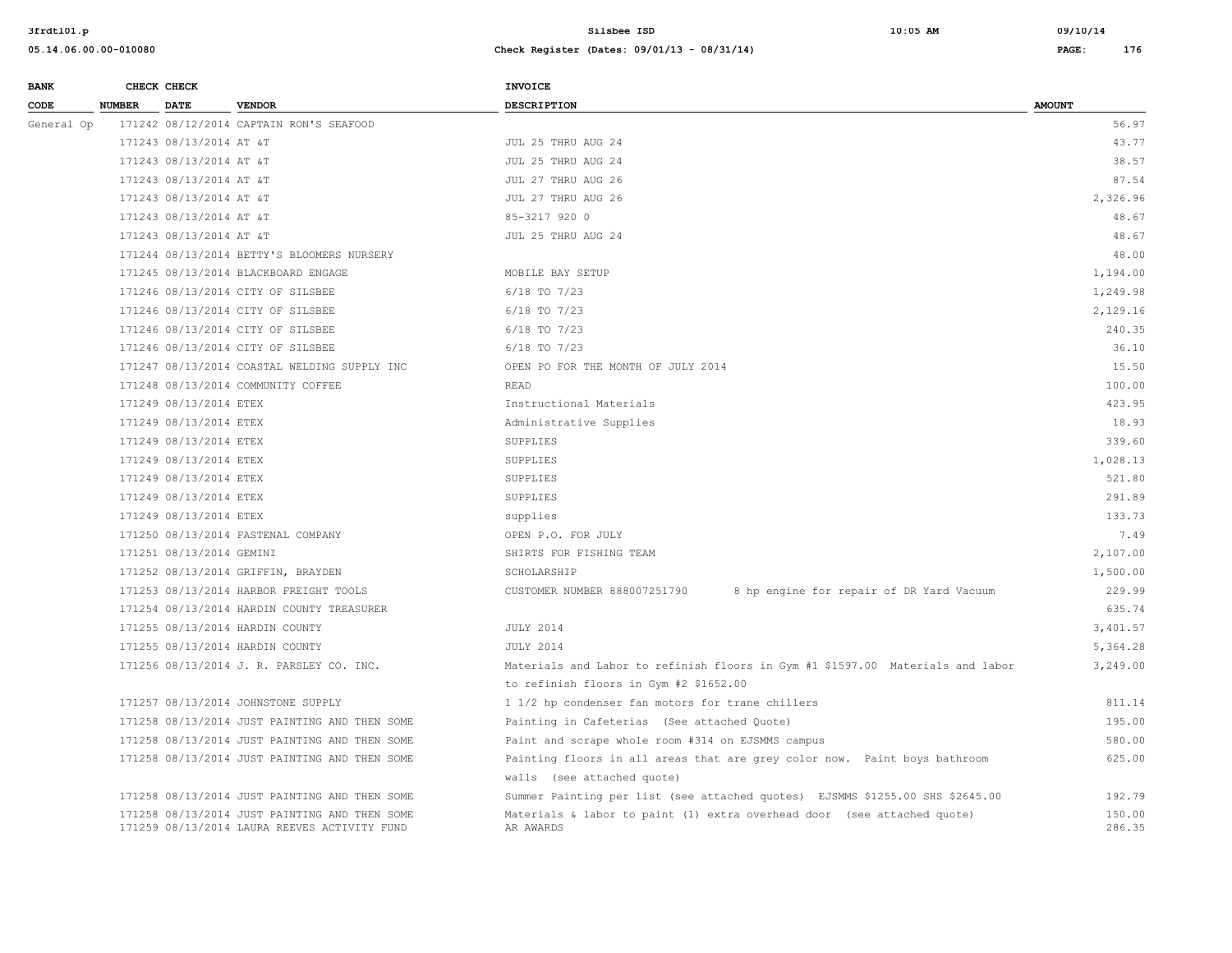| <b>BANK</b> |               | CHECK CHECK              |                                                                                               | <b>INVOICE</b>                                                                       |                  |
|-------------|---------------|--------------------------|-----------------------------------------------------------------------------------------------|--------------------------------------------------------------------------------------|------------------|
| CODE        | <b>NUMBER</b> | <b>DATE</b>              | <b>VENDOR</b>                                                                                 | <b>DESCRIPTION</b>                                                                   | <b>AMOUNT</b>    |
| General Op  |               |                          | 171242 08/12/2014 CAPTAIN RON'S SEAFOOD                                                       |                                                                                      | 56.97            |
|             |               | 171243 08/13/2014 AT &T  |                                                                                               | JUL 25 THRU AUG 24                                                                   | 43.77            |
|             |               | 171243 08/13/2014 AT &T  |                                                                                               | JUL 25 THRU AUG 24                                                                   | 38.57            |
|             |               | 171243 08/13/2014 AT &T  |                                                                                               | JUL 27 THRU AUG 26                                                                   | 87.54            |
|             |               | 171243 08/13/2014 AT &T  |                                                                                               | JUL 27 THRU AUG 26                                                                   | 2,326.96         |
|             |               | 171243 08/13/2014 AT &T  |                                                                                               | 85-3217 920 0                                                                        | 48.67            |
|             |               | 171243 08/13/2014 AT &T  |                                                                                               | JUL 25 THRU AUG 24                                                                   | 48.67            |
|             |               |                          | 171244 08/13/2014 BETTY'S BLOOMERS NURSERY                                                    |                                                                                      | 48.00            |
|             |               |                          | 171245 08/13/2014 BLACKBOARD ENGAGE                                                           | MOBILE BAY SETUP                                                                     | 1,194.00         |
|             |               |                          | 171246 08/13/2014 CITY OF SILSBEE                                                             | 6/18 TO 7/23                                                                         | 1,249.98         |
|             |               |                          | 171246 08/13/2014 CITY OF SILSBEE                                                             | 6/18 TO 7/23                                                                         | 2,129.16         |
|             |               |                          | 171246 08/13/2014 CITY OF SILSBEE                                                             | $6/18$ TO $7/23$                                                                     | 240.35           |
|             |               |                          | 171246 08/13/2014 CITY OF SILSBEE                                                             | 6/18 TO 7/23                                                                         | 36.10            |
|             |               |                          | 171247 08/13/2014 COASTAL WELDING SUPPLY INC                                                  | OPEN PO FOR THE MONTH OF JULY 2014                                                   | 15.50            |
|             |               |                          | 171248 08/13/2014 COMMUNITY COFFEE                                                            | <b>READ</b>                                                                          | 100.00           |
|             |               | 171249 08/13/2014 ETEX   |                                                                                               | Instructional Materials                                                              | 423.95           |
|             |               | 171249 08/13/2014 ETEX   |                                                                                               | Administrative Supplies                                                              | 18.93            |
|             |               | 171249 08/13/2014 ETEX   |                                                                                               | SUPPLIES                                                                             | 339.60           |
|             |               | 171249 08/13/2014 ETEX   |                                                                                               | SUPPLIES                                                                             | 1,028.13         |
|             |               | 171249 08/13/2014 ETEX   |                                                                                               | <b>SUPPLIES</b>                                                                      | 521.80           |
|             |               | 171249 08/13/2014 ETEX   |                                                                                               | SUPPLIES                                                                             | 291.89           |
|             |               | 171249 08/13/2014 ETEX   |                                                                                               | supplies                                                                             | 133.73           |
|             |               |                          | 171250 08/13/2014 FASTENAL COMPANY                                                            | OPEN P.O. FOR JULY                                                                   | 7.49             |
|             |               | 171251 08/13/2014 GEMINI |                                                                                               | SHIRTS FOR FISHING TEAM                                                              | 2,107.00         |
|             |               |                          | 171252 08/13/2014 GRIFFIN, BRAYDEN                                                            | SCHOLARSHIP                                                                          | 1,500.00         |
|             |               |                          | 171253 08/13/2014 HARBOR FREIGHT TOOLS                                                        | 8 hp engine for repair of DR Yard Vacuum<br>CUSTOMER NUMBER 888007251790             | 229.99           |
|             |               |                          | 171254 08/13/2014 HARDIN COUNTY TREASURER                                                     |                                                                                      | 635.74           |
|             |               |                          | 171255 08/13/2014 HARDIN COUNTY                                                               | <b>JULY 2014</b>                                                                     | 3,401.57         |
|             |               |                          | 171255 08/13/2014 HARDIN COUNTY                                                               | <b>JULY 2014</b>                                                                     | 5,364.28         |
|             |               |                          | 171256 08/13/2014 J. R. PARSLEY CO. INC.                                                      | Materials and Labor to refinish floors in Gym #1 \$1597.00 Materials and labor       | 3,249.00         |
|             |               |                          |                                                                                               | to refinish floors in Gym #2 \$1652.00                                               |                  |
|             |               |                          | 171257 08/13/2014 JOHNSTONE SUPPLY                                                            | 1 1/2 hp condenser fan motors for trane chillers                                     | 811.14           |
|             |               |                          | 171258 08/13/2014 JUST PAINTING AND THEN SOME                                                 | Painting in Cafeterias (See attached Quote)                                          | 195.00           |
|             |               |                          | 171258 08/13/2014 JUST PAINTING AND THEN SOME                                                 | Paint and scrape whole room #314 on EJSMMS campus                                    | 580.00           |
|             |               |                          | 171258 08/13/2014 JUST PAINTING AND THEN SOME                                                 | Painting floors in all areas that are grey color now. Paint boys bathroom            | 625.00           |
|             |               |                          |                                                                                               | walls (see attached quote)                                                           |                  |
|             |               |                          | 171258 08/13/2014 JUST PAINTING AND THEN SOME                                                 | Summer Painting per list (see attached quotes) EJSMMS \$1255.00 SHS \$2645.00        | 192.79           |
|             |               |                          | 171258 08/13/2014 JUST PAINTING AND THEN SOME<br>171259 08/13/2014 LAURA REEVES ACTIVITY FUND | Materials & labor to paint (1) extra overhead door (see attached quote)<br>AR AWARDS | 150.00<br>286.35 |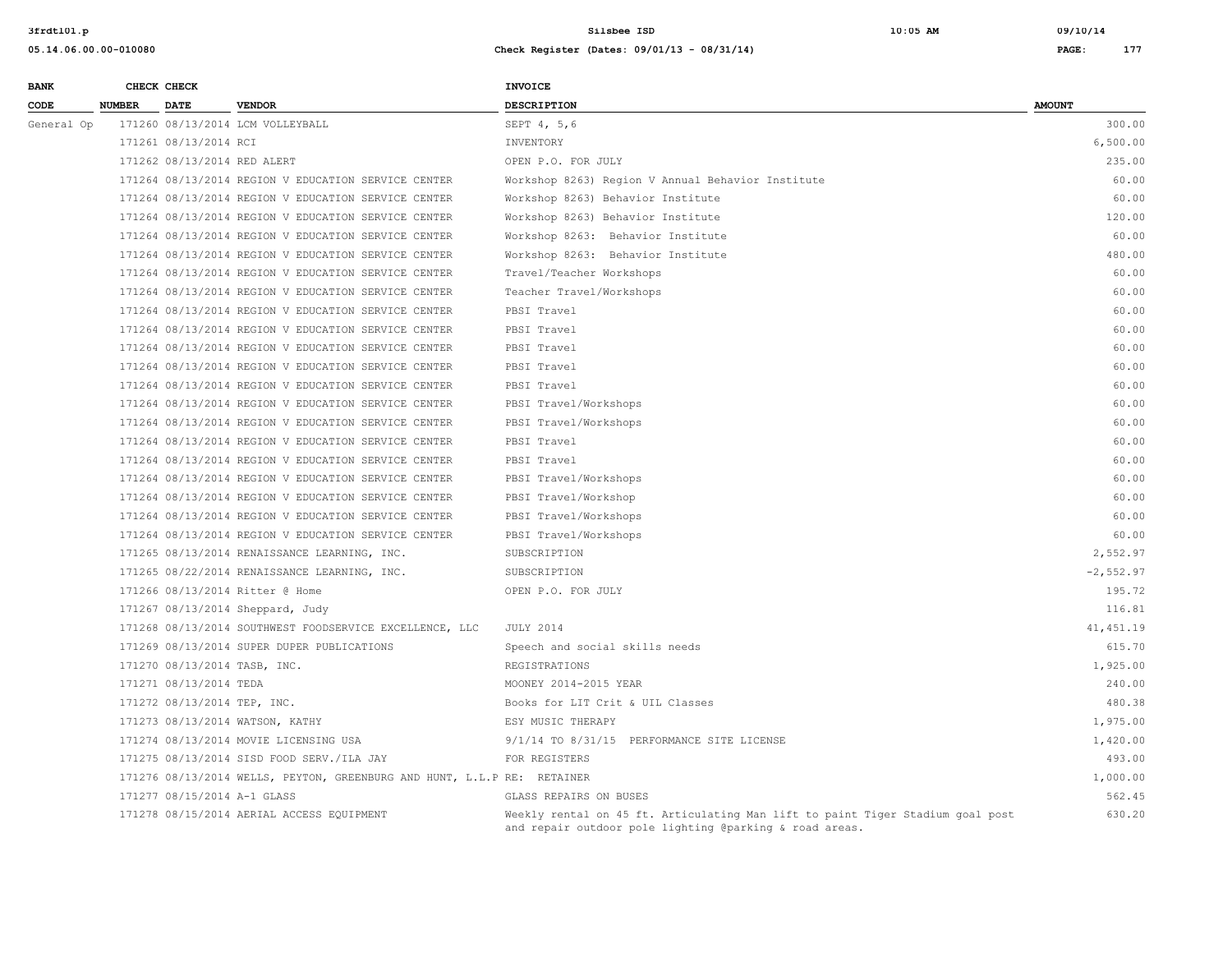| <b>BANK</b> |               | CHECK CHECK                  |                                                                         | <b>INVOICE</b>                                                                                                                            |               |
|-------------|---------------|------------------------------|-------------------------------------------------------------------------|-------------------------------------------------------------------------------------------------------------------------------------------|---------------|
| CODE        | <b>NUMBER</b> | <b>DATE</b>                  | <b>VENDOR</b>                                                           | <b>DESCRIPTION</b>                                                                                                                        | <b>AMOUNT</b> |
| General Op  |               |                              | 171260 08/13/2014 LCM VOLLEYBALL                                        | SEPT 4, 5,6                                                                                                                               | 300.00        |
|             |               | 171261 08/13/2014 RCI        |                                                                         | INVENTORY                                                                                                                                 | 6,500.00      |
|             |               | 171262 08/13/2014 RED ALERT  |                                                                         | OPEN P.O. FOR JULY                                                                                                                        | 235.00        |
|             |               |                              | 171264 08/13/2014 REGION V EDUCATION SERVICE CENTER                     | Workshop 8263) Region V Annual Behavior Institute                                                                                         | 60.00         |
|             |               |                              | 171264 08/13/2014 REGION V EDUCATION SERVICE CENTER                     | Workshop 8263) Behavior Institute                                                                                                         | 60.00         |
|             |               |                              | 171264 08/13/2014 REGION V EDUCATION SERVICE CENTER                     | Workshop 8263) Behavior Institute                                                                                                         | 120.00        |
|             |               |                              | 171264 08/13/2014 REGION V EDUCATION SERVICE CENTER                     | Workshop 8263: Behavior Institute                                                                                                         | 60.00         |
|             |               |                              | 171264 08/13/2014 REGION V EDUCATION SERVICE CENTER                     | Workshop 8263: Behavior Institute                                                                                                         | 480.00        |
|             |               |                              | 171264 08/13/2014 REGION V EDUCATION SERVICE CENTER                     | Travel/Teacher Workshops                                                                                                                  | 60.00         |
|             |               |                              | 171264 08/13/2014 REGION V EDUCATION SERVICE CENTER                     | Teacher Travel/Workshops                                                                                                                  | 60.00         |
|             |               |                              | 171264 08/13/2014 REGION V EDUCATION SERVICE CENTER                     | PBSI Travel                                                                                                                               | 60.00         |
|             |               |                              | 171264 08/13/2014 REGION V EDUCATION SERVICE CENTER                     | PBSI Travel                                                                                                                               | 60.00         |
|             |               |                              | 171264 08/13/2014 REGION V EDUCATION SERVICE CENTER                     | PBSI Travel                                                                                                                               | 60.00         |
|             |               |                              | 171264 08/13/2014 REGION V EDUCATION SERVICE CENTER                     | PBSI Travel                                                                                                                               | 60.00         |
|             |               |                              | 171264 08/13/2014 REGION V EDUCATION SERVICE CENTER                     | PBSI Travel                                                                                                                               | 60.00         |
|             |               |                              | 171264 08/13/2014 REGION V EDUCATION SERVICE CENTER                     | PBSI Travel/Workshops                                                                                                                     | 60.00         |
|             |               |                              | 171264 08/13/2014 REGION V EDUCATION SERVICE CENTER                     | PBSI Travel/Workshops                                                                                                                     | 60.00         |
|             |               |                              | 171264 08/13/2014 REGION V EDUCATION SERVICE CENTER                     | PBSI Travel                                                                                                                               | 60.00         |
|             |               |                              | 171264 08/13/2014 REGION V EDUCATION SERVICE CENTER                     | PBSI Travel                                                                                                                               | 60.00         |
|             |               |                              | 171264 08/13/2014 REGION V EDUCATION SERVICE CENTER                     | PBSI Travel/Workshops                                                                                                                     | 60.00         |
|             |               |                              | 171264 08/13/2014 REGION V EDUCATION SERVICE CENTER                     | PBSI Travel/Workshop                                                                                                                      | 60.00         |
|             |               |                              | 171264 08/13/2014 REGION V EDUCATION SERVICE CENTER                     | PBSI Travel/Workshops                                                                                                                     | 60.00         |
|             |               |                              | 171264 08/13/2014 REGION V EDUCATION SERVICE CENTER                     | PBSI Travel/Workshops                                                                                                                     | 60.00         |
|             |               |                              | 171265 08/13/2014 RENAISSANCE LEARNING, INC.                            | SUBSCRIPTION                                                                                                                              | 2,552.97      |
|             |               |                              | 171265 08/22/2014 RENAISSANCE LEARNING, INC.                            | SUBSCRIPTION                                                                                                                              | $-2, 552.97$  |
|             |               |                              | 171266 08/13/2014 Ritter @ Home                                         | OPEN P.O. FOR JULY                                                                                                                        | 195.72        |
|             |               |                              | 171267 08/13/2014 Sheppard, Judy                                        |                                                                                                                                           | 116.81        |
|             |               |                              | 171268 08/13/2014 SOUTHWEST FOODSERVICE EXCELLENCE, LLC                 | <b>JULY 2014</b>                                                                                                                          | 41, 451.19    |
|             |               |                              | 171269 08/13/2014 SUPER DUPER PUBLICATIONS                              | Speech and social skills needs                                                                                                            | 615.70        |
|             |               | 171270 08/13/2014 TASB, INC. |                                                                         | REGISTRATIONS                                                                                                                             | 1,925.00      |
|             |               | 171271 08/13/2014 TEDA       |                                                                         | MOONEY 2014-2015 YEAR                                                                                                                     | 240.00        |
|             |               | 171272 08/13/2014 TEP, INC.  |                                                                         | Books for LIT Crit & UIL Classes                                                                                                          | 480.38        |
|             |               |                              | 171273 08/13/2014 WATSON, KATHY                                         | ESY MUSIC THERAPY                                                                                                                         | 1,975.00      |
|             |               |                              | 171274 08/13/2014 MOVIE LICENSING USA                                   | 9/1/14 TO 8/31/15 PERFORMANCE SITE LICENSE                                                                                                | 1,420.00      |
|             |               |                              | 171275 08/13/2014 SISD FOOD SERV./ILA JAY                               | FOR REGISTERS                                                                                                                             | 493.00        |
|             |               |                              | 171276 08/13/2014 WELLS, PEYTON, GREENBURG AND HUNT, L.L.P RE: RETAINER |                                                                                                                                           | 1,000.00      |
|             |               | 171277 08/15/2014 A-1 GLASS  |                                                                         | GLASS REPAIRS ON BUSES                                                                                                                    | 562.45        |
|             |               |                              | 171278 08/15/2014 AERIAL ACCESS EQUIPMENT                               | Weekly rental on 45 ft. Articulating Man lift to paint Tiger Stadium goal post<br>and repair outdoor pole lighting @parking & road areas. | 630.20        |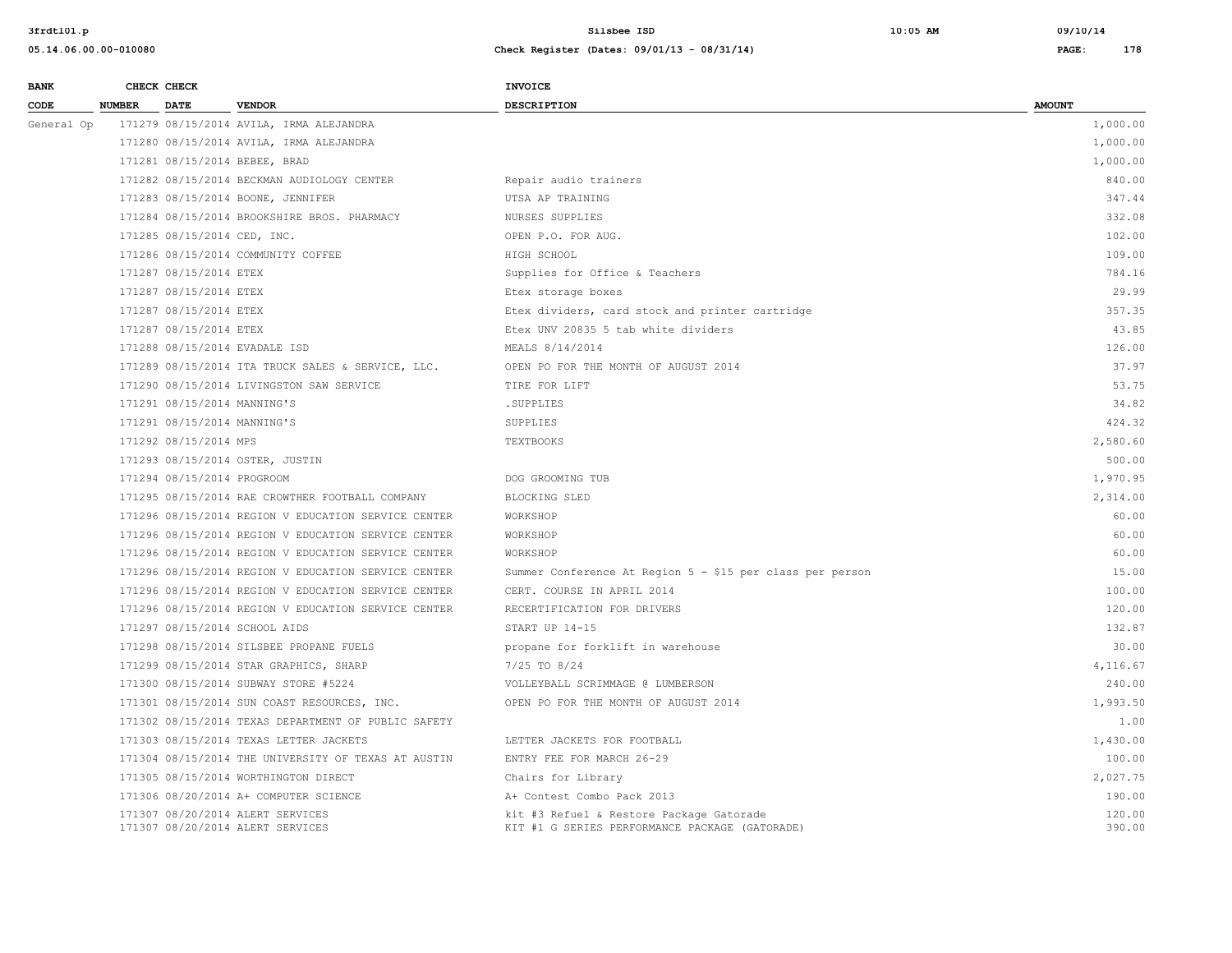| <b>BANK</b> | CHECK CHECK                   |                                                                      | <b>INVOICE</b>                                                                             |                  |
|-------------|-------------------------------|----------------------------------------------------------------------|--------------------------------------------------------------------------------------------|------------------|
| CODE        | <b>NUMBER</b><br><b>DATE</b>  | <b>VENDOR</b>                                                        | DESCRIPTION                                                                                | <b>AMOUNT</b>    |
| General Op  |                               | 171279 08/15/2014 AVILA, IRMA ALEJANDRA                              |                                                                                            | 1,000.00         |
|             |                               | 171280 08/15/2014 AVILA, IRMA ALEJANDRA                              |                                                                                            | 1,000.00         |
|             | 171281 08/15/2014 BEBEE, BRAD |                                                                      |                                                                                            | 1,000.00         |
|             |                               | 171282 08/15/2014 BECKMAN AUDIOLOGY CENTER                           | Repair audio trainers                                                                      | 840.00           |
|             |                               | 171283 08/15/2014 BOONE, JENNIFER                                    | UTSA AP TRAINING                                                                           | 347.44           |
|             |                               | 171284 08/15/2014 BROOKSHIRE BROS. PHARMACY                          | NURSES SUPPLIES                                                                            | 332.08           |
|             | 171285 08/15/2014 CED, INC.   |                                                                      | OPEN P.O. FOR AUG.                                                                         | 102.00           |
|             |                               | 171286 08/15/2014 COMMUNITY COFFEE                                   | HIGH SCHOOL                                                                                | 109.00           |
|             | 171287 08/15/2014 ETEX        |                                                                      | Supplies for Office & Teachers                                                             | 784.16           |
|             | 171287 08/15/2014 ETEX        |                                                                      | Etex storage boxes                                                                         | 29.99            |
|             | 171287 08/15/2014 ETEX        |                                                                      | Etex dividers, card stock and printer cartridge                                            | 357.35           |
|             | 171287 08/15/2014 ETEX        |                                                                      | Etex UNV 20835 5 tab white dividers                                                        | 43.85            |
|             | 171288 08/15/2014 EVADALE ISD |                                                                      | MEALS 8/14/2014                                                                            | 126.00           |
|             |                               | 171289 08/15/2014 ITA TRUCK SALES & SERVICE, LLC.                    | OPEN PO FOR THE MONTH OF AUGUST 2014                                                       | 37.97            |
|             |                               | 171290 08/15/2014 LIVINGSTON SAW SERVICE                             | TIRE FOR LIFT                                                                              | 53.75            |
|             | 171291 08/15/2014 MANNING'S   |                                                                      | .SUPPLIES                                                                                  | 34.82            |
|             | 171291 08/15/2014 MANNING'S   |                                                                      | SUPPLIES                                                                                   | 424.32           |
|             | 171292 08/15/2014 MPS         |                                                                      | TEXTBOOKS                                                                                  | 2,580.60         |
|             |                               | 171293 08/15/2014 OSTER, JUSTIN                                      |                                                                                            | 500.00           |
|             | 171294 08/15/2014 PROGROOM    |                                                                      | DOG GROOMING TUB                                                                           | 1,970.95         |
|             |                               | 171295 08/15/2014 RAE CROWTHER FOOTBALL COMPANY                      | BLOCKING SLED                                                                              | 2,314.00         |
|             |                               | 171296 08/15/2014 REGION V EDUCATION SERVICE CENTER                  | WORKSHOP                                                                                   | 60.00            |
|             |                               | 171296 08/15/2014 REGION V EDUCATION SERVICE CENTER                  | WORKSHOP                                                                                   | 60.00            |
|             |                               | 171296 08/15/2014 REGION V EDUCATION SERVICE CENTER                  | WORKSHOP                                                                                   | 60.00            |
|             |                               | 171296 08/15/2014 REGION V EDUCATION SERVICE CENTER                  | Summer Conference At Region 5 - \$15 per class per person                                  | 15.00            |
|             |                               | 171296 08/15/2014 REGION V EDUCATION SERVICE CENTER                  | CERT. COURSE IN APRIL 2014                                                                 | 100.00           |
|             |                               | 171296 08/15/2014 REGION V EDUCATION SERVICE CENTER                  | RECERTIFICATION FOR DRIVERS                                                                | 120.00           |
|             | 171297 08/15/2014 SCHOOL AIDS |                                                                      | START UP 14-15                                                                             | 132.87           |
|             |                               | 171298 08/15/2014 SILSBEE PROPANE FUELS                              | propane for forklift in warehouse                                                          | 30.00            |
|             |                               | 171299 08/15/2014 STAR GRAPHICS, SHARP                               | 7/25 TO 8/24                                                                               | 4,116.67         |
|             |                               | 171300 08/15/2014 SUBWAY STORE #5224                                 | VOLLEYBALL SCRIMMAGE @ LUMBERSON                                                           | 240.00           |
|             |                               | 171301 08/15/2014 SUN COAST RESOURCES, INC.                          | OPEN PO FOR THE MONTH OF AUGUST 2014                                                       | 1,993.50         |
|             |                               | 171302 08/15/2014 TEXAS DEPARTMENT OF PUBLIC SAFETY                  |                                                                                            | 1.00             |
|             |                               | 171303 08/15/2014 TEXAS LETTER JACKETS                               | LETTER JACKETS FOR FOOTBALL                                                                | 1,430.00         |
|             |                               | 171304 08/15/2014 THE UNIVERSITY OF TEXAS AT AUSTIN                  | ENTRY FEE FOR MARCH 26-29                                                                  | 100.00           |
|             |                               | 171305 08/15/2014 WORTHINGTON DIRECT                                 | Chairs for Library                                                                         | 2,027.75         |
|             |                               | 171306 08/20/2014 A+ COMPUTER SCIENCE                                | A+ Contest Combo Pack 2013                                                                 | 190.00           |
|             |                               | 171307 08/20/2014 ALERT SERVICES<br>171307 08/20/2014 ALERT SERVICES | kit #3 Refuel & Restore Package Gatorade<br>KIT #1 G SERIES PERFORMANCE PACKAGE (GATORADE) | 120.00<br>390.00 |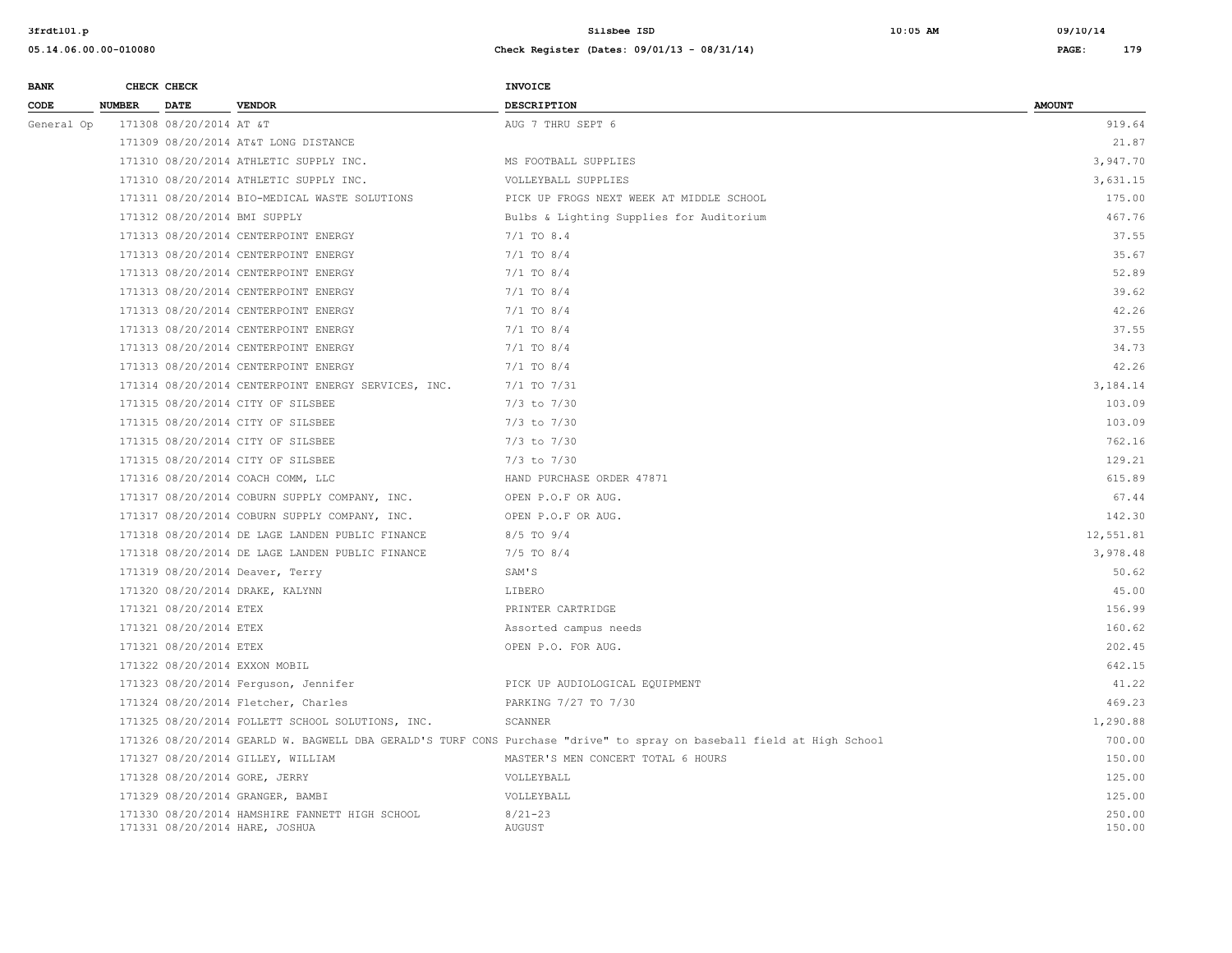| <b>BANK</b><br>CODE | <b>NUMBER</b> | CHECK CHECK<br><b>DATE</b> | <b>VENDOR</b>                                                                    | <b>INVOICE</b>                                                                                                        |                  |  |
|---------------------|---------------|----------------------------|----------------------------------------------------------------------------------|-----------------------------------------------------------------------------------------------------------------------|------------------|--|
|                     |               |                            |                                                                                  | <b>DESCRIPTION</b>                                                                                                    | <b>AMOUNT</b>    |  |
| General Op          |               | 171308 08/20/2014 AT &T    |                                                                                  | AUG 7 THRU SEPT 6                                                                                                     | 919.64           |  |
|                     |               |                            | 171309 08/20/2014 AT&T LONG DISTANCE                                             |                                                                                                                       | 21.87            |  |
|                     |               |                            | 171310 08/20/2014 ATHLETIC SUPPLY INC.                                           | MS FOOTBALL SUPPLIES                                                                                                  | 3,947.70         |  |
|                     |               |                            | 171310 08/20/2014 ATHLETIC SUPPLY INC.                                           | VOLLEYBALL SUPPLIES                                                                                                   | 3,631.15         |  |
|                     |               |                            | 171311 08/20/2014 BIO-MEDICAL WASTE SOLUTIONS                                    | PICK UP FROGS NEXT WEEK AT MIDDLE SCHOOL                                                                              | 175.00           |  |
|                     |               |                            | 171312 08/20/2014 BMI SUPPLY                                                     | Bulbs & Lighting Supplies for Auditorium                                                                              | 467.76           |  |
|                     |               |                            | 171313 08/20/2014 CENTERPOINT ENERGY                                             | $7/1$ TO 8.4                                                                                                          | 37.55            |  |
|                     |               |                            | 171313 08/20/2014 CENTERPOINT ENERGY                                             | $7/1$ TO $8/4$                                                                                                        | 35.67            |  |
|                     |               |                            | 171313 08/20/2014 CENTERPOINT ENERGY                                             | $7/1$ TO $8/4$                                                                                                        | 52.89            |  |
|                     |               |                            | 171313 08/20/2014 CENTERPOINT ENERGY                                             | $7/1$ TO 8/4                                                                                                          | 39.62            |  |
|                     |               |                            | 171313 08/20/2014 CENTERPOINT ENERGY                                             | $7/1$ TO 8/4                                                                                                          | 42.26            |  |
|                     |               |                            | 171313 08/20/2014 CENTERPOINT ENERGY                                             | $7/1$ TO 8/4                                                                                                          | 37.55            |  |
|                     |               |                            | 171313 08/20/2014 CENTERPOINT ENERGY                                             | $7/1$ TO $8/4$                                                                                                        | 34.73            |  |
|                     |               |                            | 171313 08/20/2014 CENTERPOINT ENERGY                                             | $7/1$ TO $8/4$                                                                                                        | 42.26            |  |
|                     |               |                            | 171314 08/20/2014 CENTERPOINT ENERGY SERVICES, INC.                              | $7/1$ TO $7/31$                                                                                                       | 3,184.14         |  |
|                     |               |                            | 171315 08/20/2014 CITY OF SILSBEE                                                | $7/3$ to $7/30$                                                                                                       | 103.09           |  |
|                     |               |                            | 171315 08/20/2014 CITY OF SILSBEE                                                | $7/3$ to $7/30$                                                                                                       | 103.09           |  |
|                     |               |                            | 171315 08/20/2014 CITY OF SILSBEE                                                | $7/3$ to $7/30$                                                                                                       | 762.16           |  |
|                     |               |                            | 171315 08/20/2014 CITY OF SILSBEE                                                | $7/3$ to $7/30$                                                                                                       | 129.21           |  |
|                     |               |                            | 171316 08/20/2014 COACH COMM, LLC                                                | HAND PURCHASE ORDER 47871                                                                                             | 615.89           |  |
|                     |               |                            | 171317 08/20/2014 COBURN SUPPLY COMPANY, INC.                                    | OPEN P.O.F OR AUG.                                                                                                    | 67.44            |  |
|                     |               |                            | 171317 08/20/2014 COBURN SUPPLY COMPANY, INC.                                    | OPEN P.O.F OR AUG.                                                                                                    | 142.30           |  |
|                     |               |                            | 171318 08/20/2014 DE LAGE LANDEN PUBLIC FINANCE                                  | 8/5 TO 9/4                                                                                                            | 12,551.81        |  |
|                     |               |                            | 171318 08/20/2014 DE LAGE LANDEN PUBLIC FINANCE                                  | $7/5$ TO $8/4$                                                                                                        | 3,978.48         |  |
|                     |               |                            | 171319 08/20/2014 Deaver, Terry                                                  | SAM'S                                                                                                                 | 50.62            |  |
|                     |               |                            | 171320 08/20/2014 DRAKE, KALYNN                                                  | LIBERO                                                                                                                | 45.00            |  |
|                     |               | 171321 08/20/2014 ETEX     |                                                                                  | PRINTER CARTRIDGE                                                                                                     | 156.99           |  |
|                     |               | 171321 08/20/2014 ETEX     |                                                                                  | Assorted campus needs                                                                                                 | 160.62           |  |
|                     |               | 171321 08/20/2014 ETEX     |                                                                                  | OPEN P.O. FOR AUG.                                                                                                    | 202.45           |  |
|                     |               |                            | 171322 08/20/2014 EXXON MOBIL                                                    |                                                                                                                       | 642.15           |  |
|                     |               |                            | 171323 08/20/2014 Ferguson, Jennifer                                             | PICK UP AUDIOLOGICAL EQUIPMENT                                                                                        | 41.22            |  |
|                     |               |                            | 171324 08/20/2014 Fletcher, Charles                                              | PARKING 7/27 TO 7/30                                                                                                  | 469.23           |  |
|                     |               |                            | 171325 08/20/2014 FOLLETT SCHOOL SOLUTIONS, INC.                                 | <b>SCANNER</b>                                                                                                        | 1,290.88         |  |
|                     |               |                            |                                                                                  | 171326 08/20/2014 GEARLD W. BAGWELL DBA GERALD'S TURF CONS Purchase "drive" to spray on baseball field at High School | 700.00           |  |
|                     |               |                            | 171327 08/20/2014 GILLEY, WILLIAM                                                | MASTER'S MEN CONCERT TOTAL 6 HOURS                                                                                    | 150.00           |  |
|                     |               |                            | 171328 08/20/2014 GORE, JERRY                                                    | VOLLEYBALL                                                                                                            | 125.00           |  |
|                     |               |                            | 171329 08/20/2014 GRANGER, BAMBI                                                 | VOLLEYBALL                                                                                                            | 125.00           |  |
|                     |               |                            | 171330 08/20/2014 HAMSHIRE FANNETT HIGH SCHOOL<br>171331 08/20/2014 HARE, JOSHUA | $8/21 - 23$<br><b>AUGUST</b>                                                                                          | 250.00<br>150.00 |  |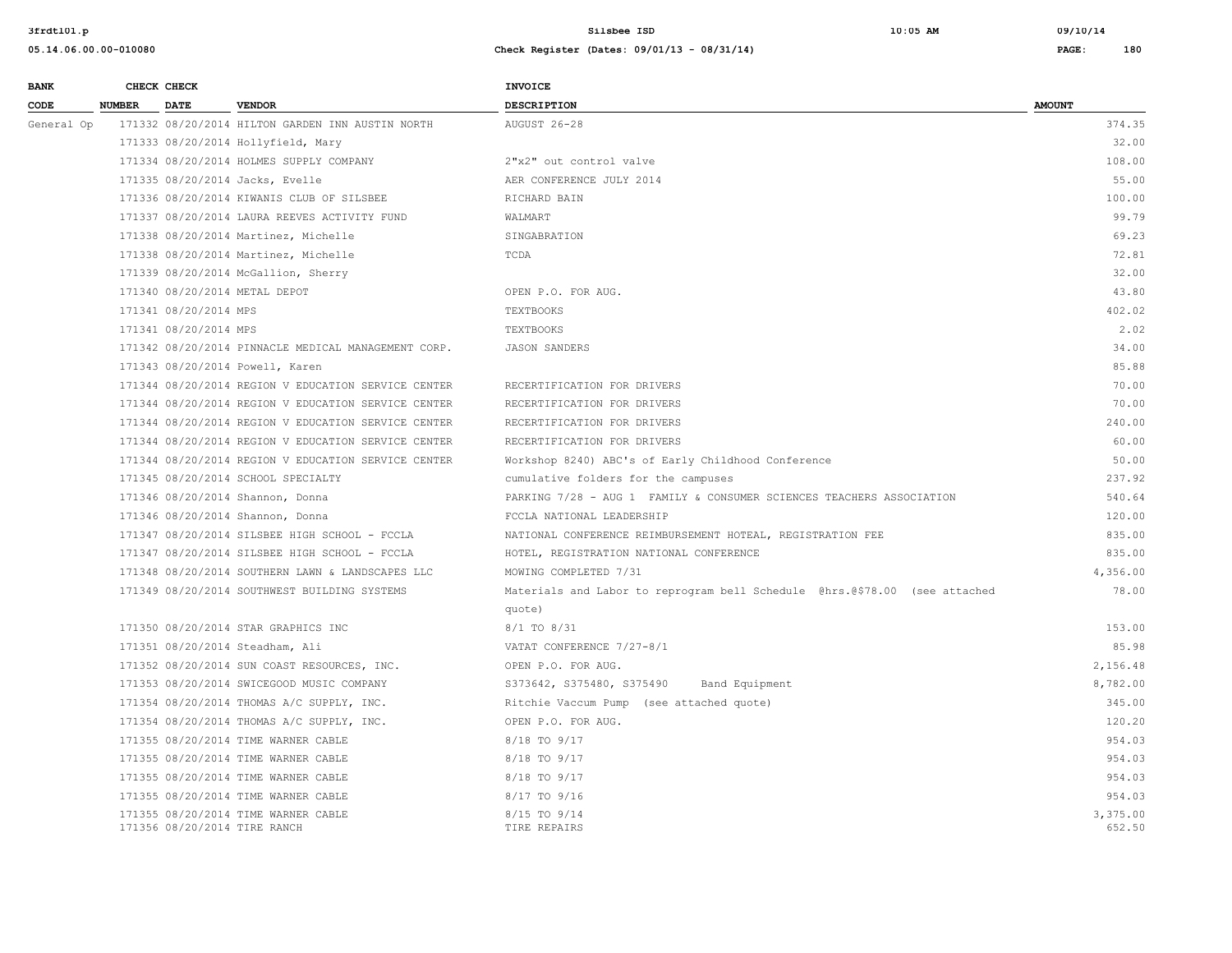| <b>BANK</b> |               | CHECK CHECK           |                                                                     | <b>INVOICE</b>                                                             |                    |
|-------------|---------------|-----------------------|---------------------------------------------------------------------|----------------------------------------------------------------------------|--------------------|
| CODE        | <b>NUMBER</b> | <b>DATE</b>           | <b>VENDOR</b>                                                       | <b>DESCRIPTION</b>                                                         | <b>AMOUNT</b>      |
| General Op  |               |                       | 171332 08/20/2014 HILTON GARDEN INN AUSTIN NORTH                    | AUGUST 26-28                                                               | 374.35             |
|             |               |                       | 171333 08/20/2014 Hollyfield, Mary                                  |                                                                            | 32.00              |
|             |               |                       | 171334 08/20/2014 HOLMES SUPPLY COMPANY                             | 2"x2" out control valve                                                    | 108.00             |
|             |               |                       | 171335 08/20/2014 Jacks, Evelle                                     | AER CONFERENCE JULY 2014                                                   | 55.00              |
|             |               |                       | 171336 08/20/2014 KIWANIS CLUB OF SILSBEE                           | RICHARD BAIN                                                               | 100.00             |
|             |               |                       | 171337 08/20/2014 LAURA REEVES ACTIVITY FUND                        | WALMART                                                                    | 99.79              |
|             |               |                       | 171338 08/20/2014 Martinez, Michelle                                | SINGABRATION                                                               | 69.23              |
|             |               |                       | 171338 08/20/2014 Martinez, Michelle                                | TCDA                                                                       | 72.81              |
|             |               |                       | 171339 08/20/2014 McGallion, Sherry                                 |                                                                            | 32.00              |
|             |               |                       | 171340 08/20/2014 METAL DEPOT                                       | OPEN P.O. FOR AUG.                                                         | 43.80              |
|             |               | 171341 08/20/2014 MPS |                                                                     | TEXTBOOKS                                                                  | 402.02             |
|             |               | 171341 08/20/2014 MPS |                                                                     | TEXTBOOKS                                                                  | 2.02               |
|             |               |                       | 171342 08/20/2014 PINNACLE MEDICAL MANAGEMENT CORP.                 | <b>JASON SANDERS</b>                                                       | 34.00              |
|             |               |                       | 171343 08/20/2014 Powell, Karen                                     |                                                                            | 85.88              |
|             |               |                       | 171344 08/20/2014 REGION V EDUCATION SERVICE CENTER                 | RECERTIFICATION FOR DRIVERS                                                | 70.00              |
|             |               |                       | 171344 08/20/2014 REGION V EDUCATION SERVICE CENTER                 | RECERTIFICATION FOR DRIVERS                                                | 70.00              |
|             |               |                       | 171344 08/20/2014 REGION V EDUCATION SERVICE CENTER                 | RECERTIFICATION FOR DRIVERS                                                | 240.00             |
|             |               |                       | 171344 08/20/2014 REGION V EDUCATION SERVICE CENTER                 | RECERTIFICATION FOR DRIVERS                                                | 60.00              |
|             |               |                       | 171344 08/20/2014 REGION V EDUCATION SERVICE CENTER                 | Workshop 8240) ABC's of Early Childhood Conference                         | 50.00              |
|             |               |                       | 171345 08/20/2014 SCHOOL SPECIALTY                                  | cumulative folders for the campuses                                        | 237.92             |
|             |               |                       | 171346 08/20/2014 Shannon, Donna                                    | PARKING 7/28 - AUG 1 FAMILY & CONSUMER SCIENCES TEACHERS ASSOCIATION       | 540.64             |
|             |               |                       | 171346 08/20/2014 Shannon, Donna                                    | FCCLA NATIONAL LEADERSHIP                                                  | 120.00             |
|             |               |                       | 171347 08/20/2014 SILSBEE HIGH SCHOOL - FCCLA                       | NATIONAL CONFERENCE REIMBURSEMENT HOTEAL, REGISTRATION FEE                 | 835.00             |
|             |               |                       | 171347 08/20/2014 SILSBEE HIGH SCHOOL - FCCLA                       | HOTEL, REGISTRATION NATIONAL CONFERENCE                                    | 835.00             |
|             |               |                       | 171348 08/20/2014 SOUTHERN LAWN & LANDSCAPES LLC                    | MOWING COMPLETED 7/31                                                      | 4,356.00           |
|             |               |                       | 171349 08/20/2014 SOUTHWEST BUILDING SYSTEMS                        | Materials and Labor to reprogram bell Schedule @hrs.@\$78.00 (see attached | 78.00              |
|             |               |                       |                                                                     | quote)                                                                     |                    |
|             |               |                       | 171350 08/20/2014 STAR GRAPHICS INC                                 | 8/1 TO 8/31                                                                | 153.00             |
|             |               |                       | 171351 08/20/2014 Steadham, Ali                                     | VATAT CONFERENCE 7/27-8/1                                                  | 85.98              |
|             |               |                       | 171352 08/20/2014 SUN COAST RESOURCES, INC.                         | OPEN P.O. FOR AUG.                                                         | 2,156.48           |
|             |               |                       | 171353 08/20/2014 SWICEGOOD MUSIC COMPANY                           | \$373642, \$375480, \$375490<br>Band Equipment                             | 8,782.00           |
|             |               |                       | 171354 08/20/2014 THOMAS A/C SUPPLY, INC.                           | Ritchie Vaccum Pump (see attached quote)                                   | 345.00             |
|             |               |                       | 171354 08/20/2014 THOMAS A/C SUPPLY, INC.                           | OPEN P.O. FOR AUG.                                                         | 120.20             |
|             |               |                       | 171355 08/20/2014 TIME WARNER CABLE                                 | 8/18 TO 9/17                                                               | 954.03             |
|             |               |                       | 171355 08/20/2014 TIME WARNER CABLE                                 | 8/18 TO 9/17                                                               | 954.03             |
|             |               |                       | 171355 08/20/2014 TIME WARNER CABLE                                 | 8/18 TO 9/17                                                               | 954.03             |
|             |               |                       | 171355 08/20/2014 TIME WARNER CABLE                                 | 8/17 TO 9/16                                                               | 954.03             |
|             |               |                       | 171355 08/20/2014 TIME WARNER CABLE<br>171356 08/20/2014 TIRE RANCH | 8/15 TO 9/14<br>TIRE REPAIRS                                               | 3,375.00<br>652.50 |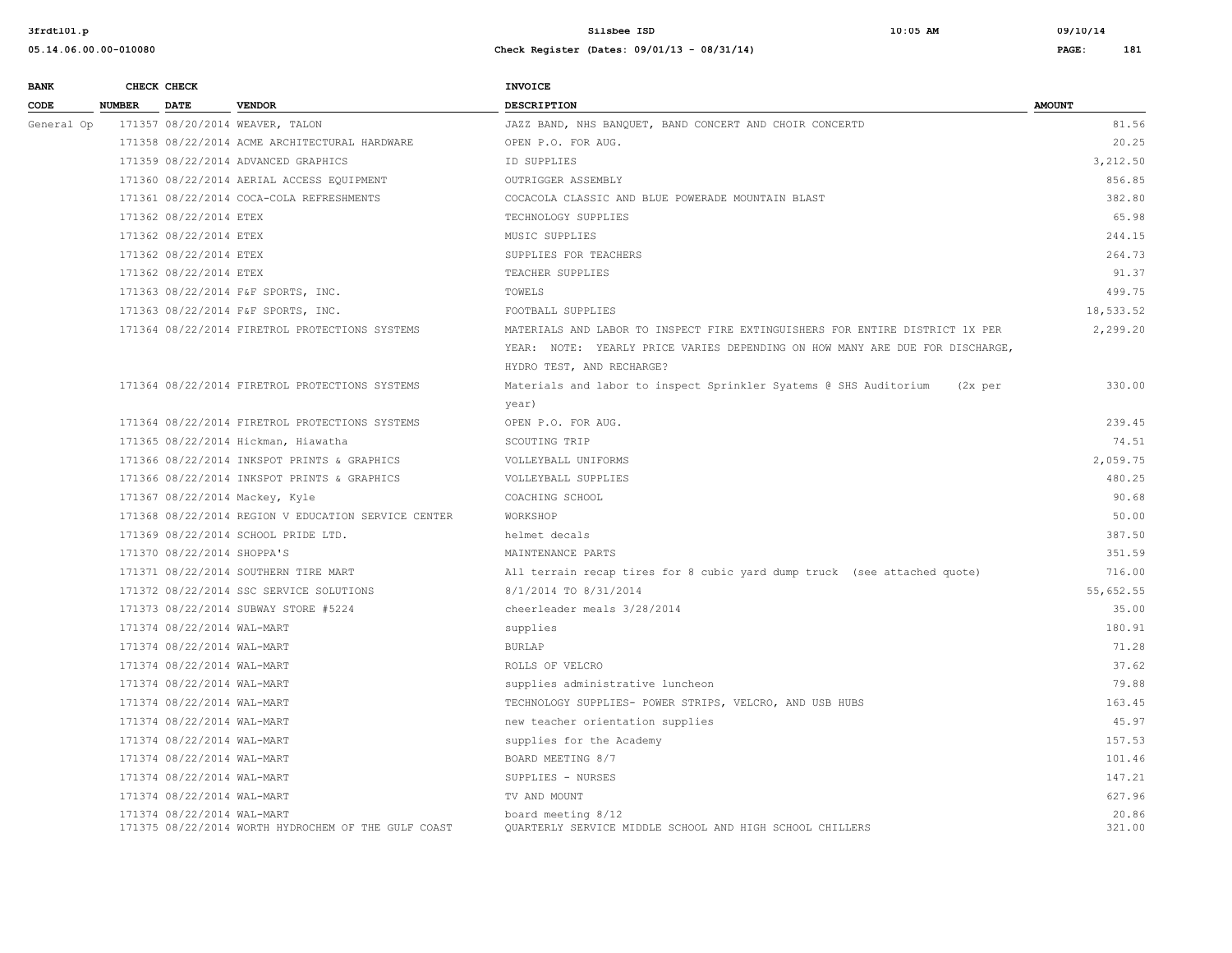# **05.14.06.00.00-010080 Check Register (Dates: 09/01/13 - 08/31/14) PAGE: 181**

| <b>DATE</b>   | <b>VENDOR</b> | <b>DESCRIPTION</b>                                                                                                                                                                                                                                                                                                                                                                                                                                                                                                                                                                                                                                                                                                                                                                                                                                                                                                                                                                                                                                                                                                                                                                                                                                                                                                                                                                        | <b>AMOUNT</b>   |
|---------------|---------------|-------------------------------------------------------------------------------------------------------------------------------------------------------------------------------------------------------------------------------------------------------------------------------------------------------------------------------------------------------------------------------------------------------------------------------------------------------------------------------------------------------------------------------------------------------------------------------------------------------------------------------------------------------------------------------------------------------------------------------------------------------------------------------------------------------------------------------------------------------------------------------------------------------------------------------------------------------------------------------------------------------------------------------------------------------------------------------------------------------------------------------------------------------------------------------------------------------------------------------------------------------------------------------------------------------------------------------------------------------------------------------------------|-----------------|
|               |               | JAZZ BAND, NHS BANQUET, BAND CONCERT AND CHOIR CONCERTD                                                                                                                                                                                                                                                                                                                                                                                                                                                                                                                                                                                                                                                                                                                                                                                                                                                                                                                                                                                                                                                                                                                                                                                                                                                                                                                                   | 81.56           |
|               |               | OPEN P.O. FOR AUG.                                                                                                                                                                                                                                                                                                                                                                                                                                                                                                                                                                                                                                                                                                                                                                                                                                                                                                                                                                                                                                                                                                                                                                                                                                                                                                                                                                        | 20.25           |
|               |               | ID SUPPLIES                                                                                                                                                                                                                                                                                                                                                                                                                                                                                                                                                                                                                                                                                                                                                                                                                                                                                                                                                                                                                                                                                                                                                                                                                                                                                                                                                                               | 3,212.50        |
|               |               | OUTRIGGER ASSEMBLY                                                                                                                                                                                                                                                                                                                                                                                                                                                                                                                                                                                                                                                                                                                                                                                                                                                                                                                                                                                                                                                                                                                                                                                                                                                                                                                                                                        | 856.85          |
|               |               | COCACOLA CLASSIC AND BLUE POWERADE MOUNTAIN BLAST                                                                                                                                                                                                                                                                                                                                                                                                                                                                                                                                                                                                                                                                                                                                                                                                                                                                                                                                                                                                                                                                                                                                                                                                                                                                                                                                         | 382.80          |
|               |               | TECHNOLOGY SUPPLIES                                                                                                                                                                                                                                                                                                                                                                                                                                                                                                                                                                                                                                                                                                                                                                                                                                                                                                                                                                                                                                                                                                                                                                                                                                                                                                                                                                       | 65.98           |
|               |               | MUSIC SUPPLIES                                                                                                                                                                                                                                                                                                                                                                                                                                                                                                                                                                                                                                                                                                                                                                                                                                                                                                                                                                                                                                                                                                                                                                                                                                                                                                                                                                            | 244.15          |
|               |               | SUPPLIES FOR TEACHERS                                                                                                                                                                                                                                                                                                                                                                                                                                                                                                                                                                                                                                                                                                                                                                                                                                                                                                                                                                                                                                                                                                                                                                                                                                                                                                                                                                     | 264.73          |
|               |               | TEACHER SUPPLIES                                                                                                                                                                                                                                                                                                                                                                                                                                                                                                                                                                                                                                                                                                                                                                                                                                                                                                                                                                                                                                                                                                                                                                                                                                                                                                                                                                          | 91.37           |
|               |               | TOWELS                                                                                                                                                                                                                                                                                                                                                                                                                                                                                                                                                                                                                                                                                                                                                                                                                                                                                                                                                                                                                                                                                                                                                                                                                                                                                                                                                                                    | 499.75          |
|               |               | FOOTBALL SUPPLIES                                                                                                                                                                                                                                                                                                                                                                                                                                                                                                                                                                                                                                                                                                                                                                                                                                                                                                                                                                                                                                                                                                                                                                                                                                                                                                                                                                         | 18,533.52       |
|               |               | MATERIALS AND LABOR TO INSPECT FIRE EXTINGUISHERS FOR ENTIRE DISTRICT 1X PER                                                                                                                                                                                                                                                                                                                                                                                                                                                                                                                                                                                                                                                                                                                                                                                                                                                                                                                                                                                                                                                                                                                                                                                                                                                                                                              | 2,299.20        |
|               |               | YEAR: NOTE: YEARLY PRICE VARIES DEPENDING ON HOW MANY ARE DUE FOR DISCHARGE,                                                                                                                                                                                                                                                                                                                                                                                                                                                                                                                                                                                                                                                                                                                                                                                                                                                                                                                                                                                                                                                                                                                                                                                                                                                                                                              |                 |
|               |               | HYDRO TEST, AND RECHARGE?                                                                                                                                                                                                                                                                                                                                                                                                                                                                                                                                                                                                                                                                                                                                                                                                                                                                                                                                                                                                                                                                                                                                                                                                                                                                                                                                                                 |                 |
|               |               | Materials and labor to inspect Sprinkler Syatems @ SHS Auditorium<br>(2x per                                                                                                                                                                                                                                                                                                                                                                                                                                                                                                                                                                                                                                                                                                                                                                                                                                                                                                                                                                                                                                                                                                                                                                                                                                                                                                              | 330.00          |
|               |               | year)                                                                                                                                                                                                                                                                                                                                                                                                                                                                                                                                                                                                                                                                                                                                                                                                                                                                                                                                                                                                                                                                                                                                                                                                                                                                                                                                                                                     |                 |
|               |               | OPEN P.O. FOR AUG.                                                                                                                                                                                                                                                                                                                                                                                                                                                                                                                                                                                                                                                                                                                                                                                                                                                                                                                                                                                                                                                                                                                                                                                                                                                                                                                                                                        | 239.45          |
|               |               | SCOUTING TRIP                                                                                                                                                                                                                                                                                                                                                                                                                                                                                                                                                                                                                                                                                                                                                                                                                                                                                                                                                                                                                                                                                                                                                                                                                                                                                                                                                                             | 74.51           |
|               |               | VOLLEYBALL UNIFORMS                                                                                                                                                                                                                                                                                                                                                                                                                                                                                                                                                                                                                                                                                                                                                                                                                                                                                                                                                                                                                                                                                                                                                                                                                                                                                                                                                                       | 2,059.75        |
|               |               | VOLLEYBALL SUPPLIES                                                                                                                                                                                                                                                                                                                                                                                                                                                                                                                                                                                                                                                                                                                                                                                                                                                                                                                                                                                                                                                                                                                                                                                                                                                                                                                                                                       | 480.25          |
|               |               | COACHING SCHOOL                                                                                                                                                                                                                                                                                                                                                                                                                                                                                                                                                                                                                                                                                                                                                                                                                                                                                                                                                                                                                                                                                                                                                                                                                                                                                                                                                                           | 90.68           |
|               |               | WORKSHOP                                                                                                                                                                                                                                                                                                                                                                                                                                                                                                                                                                                                                                                                                                                                                                                                                                                                                                                                                                                                                                                                                                                                                                                                                                                                                                                                                                                  | 50.00           |
|               |               | helmet decals                                                                                                                                                                                                                                                                                                                                                                                                                                                                                                                                                                                                                                                                                                                                                                                                                                                                                                                                                                                                                                                                                                                                                                                                                                                                                                                                                                             | 387.50          |
|               |               | MAINTENANCE PARTS                                                                                                                                                                                                                                                                                                                                                                                                                                                                                                                                                                                                                                                                                                                                                                                                                                                                                                                                                                                                                                                                                                                                                                                                                                                                                                                                                                         | 351.59          |
|               |               | All terrain recap tires for 8 cubic yard dump truck (see attached quote)                                                                                                                                                                                                                                                                                                                                                                                                                                                                                                                                                                                                                                                                                                                                                                                                                                                                                                                                                                                                                                                                                                                                                                                                                                                                                                                  | 716.00          |
|               |               | 8/1/2014 TO 8/31/2014                                                                                                                                                                                                                                                                                                                                                                                                                                                                                                                                                                                                                                                                                                                                                                                                                                                                                                                                                                                                                                                                                                                                                                                                                                                                                                                                                                     | 55,652.55       |
|               |               | cheerleader meals 3/28/2014                                                                                                                                                                                                                                                                                                                                                                                                                                                                                                                                                                                                                                                                                                                                                                                                                                                                                                                                                                                                                                                                                                                                                                                                                                                                                                                                                               | 35.00           |
|               |               | supplies                                                                                                                                                                                                                                                                                                                                                                                                                                                                                                                                                                                                                                                                                                                                                                                                                                                                                                                                                                                                                                                                                                                                                                                                                                                                                                                                                                                  | 180.91          |
|               |               | <b>BURLAP</b>                                                                                                                                                                                                                                                                                                                                                                                                                                                                                                                                                                                                                                                                                                                                                                                                                                                                                                                                                                                                                                                                                                                                                                                                                                                                                                                                                                             | 71.28           |
|               |               | ROLLS OF VELCRO                                                                                                                                                                                                                                                                                                                                                                                                                                                                                                                                                                                                                                                                                                                                                                                                                                                                                                                                                                                                                                                                                                                                                                                                                                                                                                                                                                           | 37.62           |
|               |               | supplies administrative luncheon                                                                                                                                                                                                                                                                                                                                                                                                                                                                                                                                                                                                                                                                                                                                                                                                                                                                                                                                                                                                                                                                                                                                                                                                                                                                                                                                                          | 79.88           |
|               |               | TECHNOLOGY SUPPLIES- POWER STRIPS, VELCRO, AND USB HUBS                                                                                                                                                                                                                                                                                                                                                                                                                                                                                                                                                                                                                                                                                                                                                                                                                                                                                                                                                                                                                                                                                                                                                                                                                                                                                                                                   | 163.45          |
|               |               | new teacher orientation supplies                                                                                                                                                                                                                                                                                                                                                                                                                                                                                                                                                                                                                                                                                                                                                                                                                                                                                                                                                                                                                                                                                                                                                                                                                                                                                                                                                          | 45.97           |
|               |               | supplies for the Academy                                                                                                                                                                                                                                                                                                                                                                                                                                                                                                                                                                                                                                                                                                                                                                                                                                                                                                                                                                                                                                                                                                                                                                                                                                                                                                                                                                  | 157.53          |
|               |               | BOARD MEETING 8/7                                                                                                                                                                                                                                                                                                                                                                                                                                                                                                                                                                                                                                                                                                                                                                                                                                                                                                                                                                                                                                                                                                                                                                                                                                                                                                                                                                         | 101.46          |
|               |               | SUPPLIES - NURSES                                                                                                                                                                                                                                                                                                                                                                                                                                                                                                                                                                                                                                                                                                                                                                                                                                                                                                                                                                                                                                                                                                                                                                                                                                                                                                                                                                         | 147.21          |
|               |               | TV AND MOUNT                                                                                                                                                                                                                                                                                                                                                                                                                                                                                                                                                                                                                                                                                                                                                                                                                                                                                                                                                                                                                                                                                                                                                                                                                                                                                                                                                                              | 627.96          |
|               |               | board meeting 8/12<br>OUARTERLY SERVICE MIDDLE SCHOOL AND HIGH SCHOOL CHILLERS                                                                                                                                                                                                                                                                                                                                                                                                                                                                                                                                                                                                                                                                                                                                                                                                                                                                                                                                                                                                                                                                                                                                                                                                                                                                                                            | 20.86<br>321.00 |
| <b>NUMBER</b> | CHECK CHECK   | 171357 08/20/2014 WEAVER, TALON<br>171358 08/22/2014 ACME ARCHITECTURAL HARDWARE<br>171359 08/22/2014 ADVANCED GRAPHICS<br>171360 08/22/2014 AERIAL ACCESS EQUIPMENT<br>171361 08/22/2014 COCA-COLA REFRESHMENTS<br>171362 08/22/2014 ETEX<br>171362 08/22/2014 ETEX<br>171362 08/22/2014 ETEX<br>171362 08/22/2014 ETEX<br>171363 08/22/2014 F&F SPORTS, INC.<br>171363 08/22/2014 F&F SPORTS, INC.<br>171364 08/22/2014 FIRETROL PROTECTIONS SYSTEMS<br>171364 08/22/2014 FIRETROL PROTECTIONS SYSTEMS<br>171364 08/22/2014 FIRETROL PROTECTIONS SYSTEMS<br>171365 08/22/2014 Hickman, Hiawatha<br>171366 08/22/2014 INKSPOT PRINTS & GRAPHICS<br>171366 08/22/2014 INKSPOT PRINTS & GRAPHICS<br>171367 08/22/2014 Mackey, Kyle<br>171368 08/22/2014 REGION V EDUCATION SERVICE CENTER<br>171369 08/22/2014 SCHOOL PRIDE LTD.<br>171370 08/22/2014 SHOPPA'S<br>171371 08/22/2014 SOUTHERN TIRE MART<br>171372 08/22/2014 SSC SERVICE SOLUTIONS<br>171373 08/22/2014 SUBWAY STORE #5224<br>171374 08/22/2014 WAL-MART<br>171374 08/22/2014 WAL-MART<br>171374 08/22/2014 WAL-MART<br>171374 08/22/2014 WAL-MART<br>171374 08/22/2014 WAL-MART<br>171374 08/22/2014 WAL-MART<br>171374 08/22/2014 WAL-MART<br>171374 08/22/2014 WAL-MART<br>171374 08/22/2014 WAL-MART<br>171374 08/22/2014 WAL-MART<br>171374 08/22/2014 WAL-MART<br>171375 08/22/2014 WORTH HYDROCHEM OF THE GULF COAST | <b>INVOICE</b>  |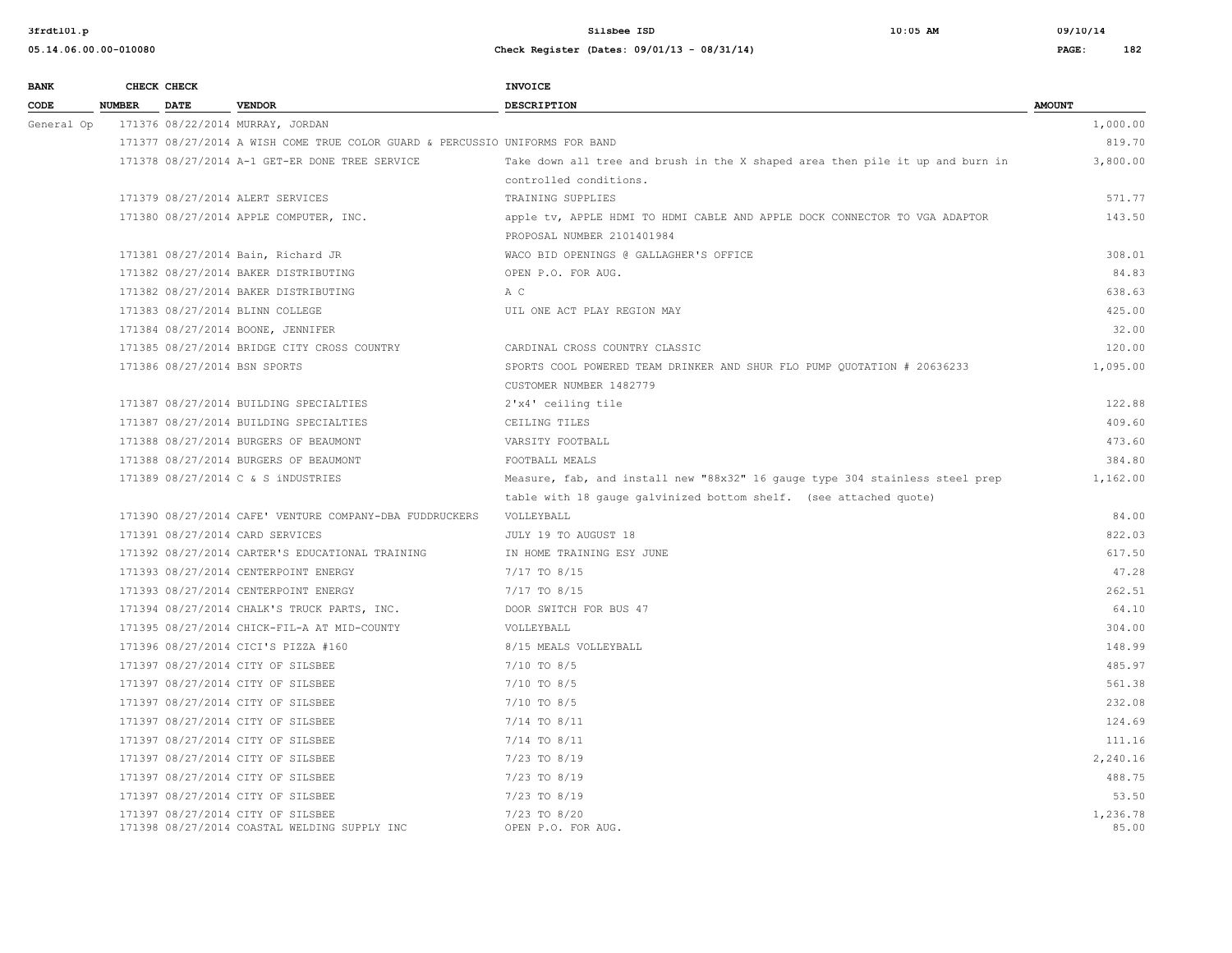| <b>BANK</b> |               | CHECK CHECK |                                                                                   | <b>INVOICE</b>                                                                |                   |
|-------------|---------------|-------------|-----------------------------------------------------------------------------------|-------------------------------------------------------------------------------|-------------------|
| CODE        | <b>NUMBER</b> | <b>DATE</b> | <b>VENDOR</b>                                                                     | <b>DESCRIPTION</b>                                                            | <b>AMOUNT</b>     |
| General Op  |               |             | 171376 08/22/2014 MURRAY, JORDAN                                                  |                                                                               | 1,000.00          |
|             |               |             | 171377 08/27/2014 A WISH COME TRUE COLOR GUARD & PERCUSSIO UNIFORMS FOR BAND      |                                                                               | 819.70            |
|             |               |             | 171378 08/27/2014 A-1 GET-ER DONE TREE SERVICE                                    | Take down all tree and brush in the X shaped area then pile it up and burn in | 3,800.00          |
|             |               |             |                                                                                   | controlled conditions.                                                        |                   |
|             |               |             | 171379 08/27/2014 ALERT SERVICES                                                  | TRAINING SUPPLIES                                                             | 571.77            |
|             |               |             | 171380 08/27/2014 APPLE COMPUTER, INC.                                            | apple tv, APPLE HDMI TO HDMI CABLE AND APPLE DOCK CONNECTOR TO VGA ADAPTOR    | 143.50            |
|             |               |             |                                                                                   | PROPOSAL NUMBER 2101401984                                                    |                   |
|             |               |             | 171381 08/27/2014 Bain, Richard JR                                                | WACO BID OPENINGS @ GALLAGHER'S OFFICE                                        | 308.01            |
|             |               |             | 171382 08/27/2014 BAKER DISTRIBUTING                                              | OPEN P.O. FOR AUG.                                                            | 84.83             |
|             |               |             | 171382 08/27/2014 BAKER DISTRIBUTING                                              | A C                                                                           | 638.63            |
|             |               |             | 171383 08/27/2014 BLINN COLLEGE                                                   | UIL ONE ACT PLAY REGION MAY                                                   | 425.00            |
|             |               |             | 171384 08/27/2014 BOONE, JENNIFER                                                 |                                                                               | 32.00             |
|             |               |             | 171385 08/27/2014 BRIDGE CITY CROSS COUNTRY                                       | CARDINAL CROSS COUNTRY CLASSIC                                                | 120.00            |
|             |               |             | 171386 08/27/2014 BSN SPORTS                                                      | SPORTS COOL POWERED TEAM DRINKER AND SHUR FLO PUMP QUOTATION # 20636233       | 1,095.00          |
|             |               |             |                                                                                   | CUSTOMER NUMBER 1482779                                                       |                   |
|             |               |             | 171387 08/27/2014 BUILDING SPECIALTIES                                            | 2'x4' ceiling tile                                                            | 122.88            |
|             |               |             | 171387 08/27/2014 BUILDING SPECIALTIES                                            | CEILING TILES                                                                 | 409.60            |
|             |               |             | 171388 08/27/2014 BURGERS OF BEAUMONT                                             | VARSITY FOOTBALL                                                              | 473.60            |
|             |               |             | 171388 08/27/2014 BURGERS OF BEAUMONT                                             | FOOTBALL MEALS                                                                | 384.80            |
|             |               |             | 171389 08/27/2014 C & S iNDUSTRIES                                                | Measure, fab, and install new "88x32" 16 gauge type 304 stainless steel prep  | 1,162.00          |
|             |               |             |                                                                                   | table with 18 gauge galvinized bottom shelf. (see attached quote)             |                   |
|             |               |             | 171390 08/27/2014 CAFE' VENTURE COMPANY-DBA FUDDRUCKERS                           | VOLLEYBALL                                                                    | 84.00             |
|             |               |             | 171391 08/27/2014 CARD SERVICES                                                   | JULY 19 TO AUGUST 18                                                          | 822.03            |
|             |               |             | 171392 08/27/2014 CARTER'S EDUCATIONAL TRAINING                                   | IN HOME TRAINING ESY JUNE                                                     | 617.50            |
|             |               |             | 171393 08/27/2014 CENTERPOINT ENERGY                                              | 7/17 TO 8/15                                                                  | 47.28             |
|             |               |             | 171393 08/27/2014 CENTERPOINT ENERGY                                              | 7/17 TO 8/15                                                                  | 262.51            |
|             |               |             | 171394 08/27/2014 CHALK'S TRUCK PARTS, INC.                                       | DOOR SWITCH FOR BUS 47                                                        | 64.10             |
|             |               |             | 171395 08/27/2014 CHICK-FIL-A AT MID-COUNTY                                       | VOLLEYBALL                                                                    | 304.00            |
|             |               |             | 171396 08/27/2014 CICI'S PIZZA #160                                               | 8/15 MEALS VOLLEYBALL                                                         | 148.99            |
|             |               |             | 171397 08/27/2014 CITY OF SILSBEE                                                 | $7/10$ TO 8/5                                                                 | 485.97            |
|             |               |             | 171397 08/27/2014 CITY OF SILSBEE                                                 | $7/10$ TO 8/5                                                                 | 561.38            |
|             |               |             | 171397 08/27/2014 CITY OF SILSBEE                                                 | $7/10$ TO 8/5                                                                 | 232.08            |
|             |               |             | 171397 08/27/2014 CITY OF SILSBEE                                                 | 7/14 TO 8/11                                                                  | 124.69            |
|             |               |             | 171397 08/27/2014 CITY OF SILSBEE                                                 | 7/14 TO 8/11                                                                  | 111.16            |
|             |               |             | 171397 08/27/2014 CITY OF SILSBEE                                                 | $7/23$ TO $8/19$                                                              | 2,240.16          |
|             |               |             | 171397 08/27/2014 CITY OF SILSBEE                                                 | 7/23 TO 8/19                                                                  | 488.75            |
|             |               |             | 171397 08/27/2014 CITY OF SILSBEE                                                 | 7/23 TO 8/19                                                                  | 53.50             |
|             |               |             | 171397 08/27/2014 CITY OF SILSBEE<br>171398 08/27/2014 COASTAL WELDING SUPPLY INC | 7/23 TO 8/20<br>OPEN P.O. FOR AUG.                                            | 1,236.78<br>85.00 |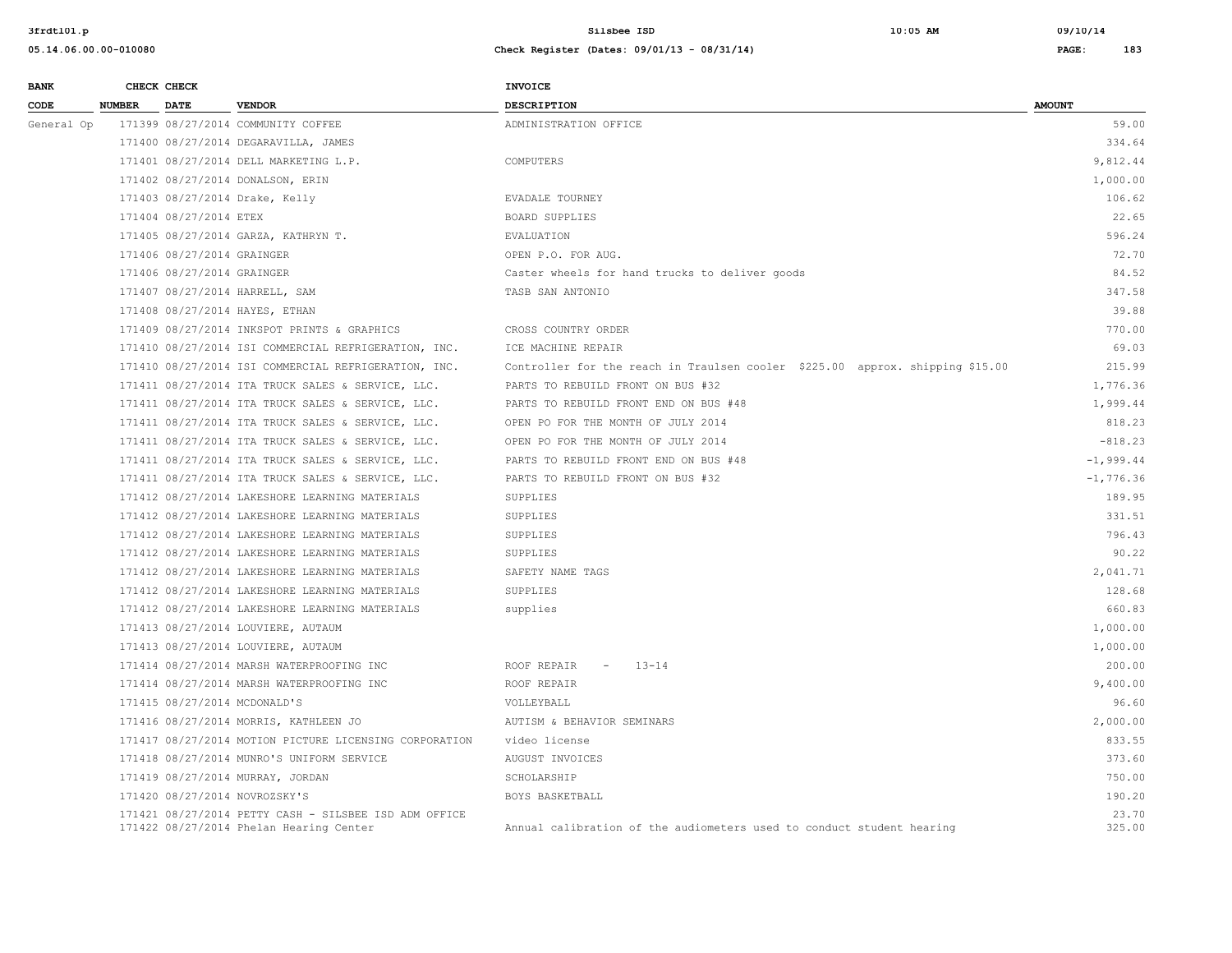## **05.14.06.00.00-010080 Check Register (Dates: 09/01/13 - 08/31/14) PAGE: 183**

| <b>BANK</b> | CHECK CHECK   |                            |                                                                                                  | <b>INVOICE</b>                                                                |                 |
|-------------|---------------|----------------------------|--------------------------------------------------------------------------------------------------|-------------------------------------------------------------------------------|-----------------|
| CODE        | <b>NUMBER</b> | <b>DATE</b>                | <b>VENDOR</b>                                                                                    | <b>DESCRIPTION</b>                                                            | <b>AMOUNT</b>   |
| General Op  |               |                            | 171399 08/27/2014 COMMUNITY COFFEE                                                               | ADMINISTRATION OFFICE                                                         | 59.00           |
|             |               |                            | 171400 08/27/2014 DEGARAVILLA, JAMES                                                             |                                                                               | 334.64          |
|             |               |                            | 171401 08/27/2014 DELL MARKETING L.P.                                                            | COMPUTERS                                                                     | 9,812.44        |
|             |               |                            | 171402 08/27/2014 DONALSON, ERIN                                                                 |                                                                               | 1,000.00        |
|             |               |                            | 171403 08/27/2014 Drake, Kelly                                                                   | EVADALE TOURNEY                                                               | 106.62          |
|             |               | 171404 08/27/2014 ETEX     |                                                                                                  | <b>BOARD SUPPLIES</b>                                                         | 22.65           |
|             |               |                            | 171405 08/27/2014 GARZA, KATHRYN T.                                                              | EVALUATION                                                                    | 596.24          |
|             |               | 171406 08/27/2014 GRAINGER |                                                                                                  | OPEN P.O. FOR AUG.                                                            | 72.70           |
|             |               | 171406 08/27/2014 GRAINGER |                                                                                                  | Caster wheels for hand trucks to deliver goods                                | 84.52           |
|             |               |                            | 171407 08/27/2014 HARRELL, SAM                                                                   | TASB SAN ANTONIO                                                              | 347.58          |
|             |               |                            | 171408 08/27/2014 HAYES, ETHAN                                                                   |                                                                               | 39.88           |
|             |               |                            | 171409 08/27/2014 INKSPOT PRINTS & GRAPHICS                                                      | CROSS COUNTRY ORDER                                                           | 770.00          |
|             |               |                            | 171410 08/27/2014 ISI COMMERCIAL REFRIGERATION, INC.                                             | ICE MACHINE REPAIR                                                            | 69.03           |
|             |               |                            | 171410 08/27/2014 ISI COMMERCIAL REFRIGERATION, INC.                                             | Controller for the reach in Traulsen cooler \$225.00 approx. shipping \$15.00 | 215.99          |
|             |               |                            | 171411 08/27/2014 ITA TRUCK SALES & SERVICE, LLC.                                                | PARTS TO REBUILD FRONT ON BUS #32                                             | 1,776.36        |
|             |               |                            | 171411 08/27/2014 ITA TRUCK SALES & SERVICE, LLC.                                                | PARTS TO REBUILD FRONT END ON BUS #48                                         | 1,999.44        |
|             |               |                            | 171411 08/27/2014 ITA TRUCK SALES & SERVICE, LLC.                                                | OPEN PO FOR THE MONTH OF JULY 2014                                            | 818.23          |
|             |               |                            | 171411 08/27/2014 ITA TRUCK SALES & SERVICE, LLC.                                                | OPEN PO FOR THE MONTH OF JULY 2014                                            | $-818.23$       |
|             |               |                            | 171411 08/27/2014 ITA TRUCK SALES & SERVICE, LLC.                                                | PARTS TO REBUILD FRONT END ON BUS #48                                         | $-1,999.44$     |
|             |               |                            | 171411 08/27/2014 ITA TRUCK SALES & SERVICE, LLC.                                                | PARTS TO REBUILD FRONT ON BUS #32                                             | $-1,776.36$     |
|             |               |                            | 171412 08/27/2014 LAKESHORE LEARNING MATERIALS                                                   | SUPPLIES                                                                      | 189.95          |
|             |               |                            | 171412 08/27/2014 LAKESHORE LEARNING MATERIALS                                                   | SUPPLIES                                                                      | 331.51          |
|             |               |                            | 171412 08/27/2014 LAKESHORE LEARNING MATERIALS                                                   | SUPPLIES                                                                      | 796.43          |
|             |               |                            | 171412 08/27/2014 LAKESHORE LEARNING MATERIALS                                                   | SUPPLIES                                                                      | 90.22           |
|             |               |                            | 171412 08/27/2014 LAKESHORE LEARNING MATERIALS                                                   | SAFETY NAME TAGS                                                              | 2,041.71        |
|             |               |                            | 171412 08/27/2014 LAKESHORE LEARNING MATERIALS                                                   | SUPPLIES                                                                      | 128.68          |
|             |               |                            | 171412 08/27/2014 LAKESHORE LEARNING MATERIALS                                                   | supplies                                                                      | 660.83          |
|             |               |                            | 171413 08/27/2014 LOUVIERE, AUTAUM                                                               |                                                                               | 1,000.00        |
|             |               |                            | 171413 08/27/2014 LOUVIERE, AUTAUM                                                               |                                                                               | 1,000.00        |
|             |               |                            | 171414 08/27/2014 MARSH WATERPROOFING INC                                                        | $13 - 14$<br>ROOF REPAIR<br>$\sim$ 100 $\sim$                                 | 200.00          |
|             |               |                            | 171414 08/27/2014 MARSH WATERPROOFING INC                                                        | ROOF REPAIR                                                                   | 9,400.00        |
|             |               |                            | 171415 08/27/2014 MCDONALD'S                                                                     | VOLLEYBALL                                                                    | 96.60           |
|             |               |                            | 171416 08/27/2014 MORRIS, KATHLEEN JO                                                            | AUTISM & BEHAVIOR SEMINARS                                                    | 2,000.00        |
|             |               |                            | 171417 08/27/2014 MOTION PICTURE LICENSING CORPORATION                                           | video license                                                                 | 833.55          |
|             |               |                            | 171418 08/27/2014 MUNRO'S UNIFORM SERVICE                                                        | AUGUST INVOICES                                                               | 373.60          |
|             |               |                            | 171419 08/27/2014 MURRAY, JORDAN                                                                 | SCHOLARSHIP                                                                   | 750.00          |
|             |               |                            | 171420 08/27/2014 NOVROZSKY'S                                                                    | BOYS BASKETBALL                                                               | 190.20          |
|             |               |                            | 171421 08/27/2014 PETTY CASH - SILSBEE ISD ADM OFFICE<br>171422 08/27/2014 Phelan Hearing Center | Annual calibration of the audiometers used to conduct student hearing         | 23.70<br>325.00 |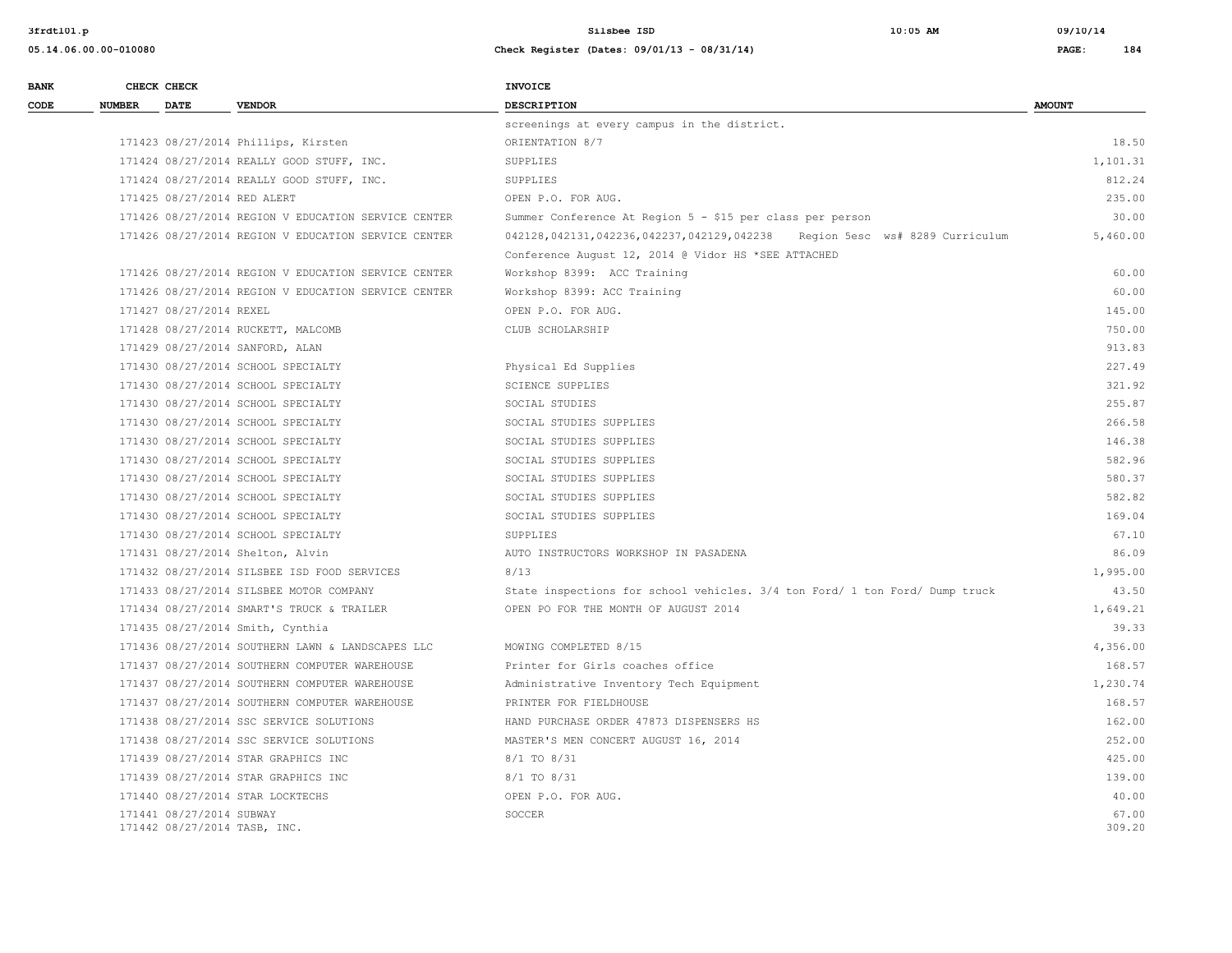| <b>BANK</b> |               | CHECK CHECK                  |                                                     | <b>INVOICE</b>                                                               |               |
|-------------|---------------|------------------------------|-----------------------------------------------------|------------------------------------------------------------------------------|---------------|
| CODE        | <b>NUMBER</b> | <b>DATE</b>                  | <b>VENDOR</b>                                       | <b>DESCRIPTION</b>                                                           | <b>AMOUNT</b> |
|             |               |                              |                                                     | screenings at every campus in the district.                                  |               |
|             |               |                              | 171423 08/27/2014 Phillips, Kirsten                 | ORIENTATION 8/7                                                              | 18.50         |
|             |               |                              | 171424 08/27/2014 REALLY GOOD STUFF, INC.           | SUPPLIES                                                                     | 1,101.31      |
|             |               |                              | 171424 08/27/2014 REALLY GOOD STUFF, INC.           | SUPPLIES                                                                     | 812.24        |
|             |               | 171425 08/27/2014 RED ALERT  |                                                     | OPEN P.O. FOR AUG.                                                           | 235.00        |
|             |               |                              | 171426 08/27/2014 REGION V EDUCATION SERVICE CENTER | Summer Conference At Region 5 - \$15 per class per person                    | 30.00         |
|             |               |                              | 171426 08/27/2014 REGION V EDUCATION SERVICE CENTER | 042128,042131,042236,042237,042129,042238<br>Region 5esc ws# 8289 Curriculum | 5,460.00      |
|             |               |                              |                                                     | Conference August 12, 2014 @ Vidor HS *SEE ATTACHED                          |               |
|             |               |                              | 171426 08/27/2014 REGION V EDUCATION SERVICE CENTER | Workshop 8399: ACC Training                                                  | 60.00         |
|             |               |                              | 171426 08/27/2014 REGION V EDUCATION SERVICE CENTER | Workshop 8399: ACC Training                                                  | 60.00         |
|             |               | 171427 08/27/2014 REXEL      |                                                     | OPEN P.O. FOR AUG.                                                           | 145.00        |
|             |               |                              | 171428 08/27/2014 RUCKETT, MALCOMB                  | CLUB SCHOLARSHIP                                                             | 750.00        |
|             |               |                              | 171429 08/27/2014 SANFORD, ALAN                     |                                                                              | 913.83        |
|             |               |                              | 171430 08/27/2014 SCHOOL SPECIALTY                  | Physical Ed Supplies                                                         | 227.49        |
|             |               |                              | 171430 08/27/2014 SCHOOL SPECIALTY                  | <b>SCIENCE SUPPLIES</b>                                                      | 321.92        |
|             |               |                              | 171430 08/27/2014 SCHOOL SPECIALTY                  | SOCIAL STUDIES                                                               | 255.87        |
|             |               |                              | 171430 08/27/2014 SCHOOL SPECIALTY                  | SOCIAL STUDIES SUPPLIES                                                      | 266.58        |
|             |               |                              | 171430 08/27/2014 SCHOOL SPECIALTY                  | SOCIAL STUDIES SUPPLIES                                                      | 146.38        |
|             |               |                              | 171430 08/27/2014 SCHOOL SPECIALTY                  | SOCIAL STUDIES SUPPLIES                                                      | 582.96        |
|             |               |                              | 171430 08/27/2014 SCHOOL SPECIALTY                  | SOCIAL STUDIES SUPPLIES                                                      | 580.37        |
|             |               |                              | 171430 08/27/2014 SCHOOL SPECIALTY                  | SOCIAL STUDIES SUPPLIES                                                      | 582.82        |
|             |               |                              | 171430 08/27/2014 SCHOOL SPECIALTY                  | SOCIAL STUDIES SUPPLIES                                                      | 169.04        |
|             |               |                              | 171430 08/27/2014 SCHOOL SPECIALTY                  | SUPPLIES                                                                     | 67.10         |
|             |               |                              | 171431 08/27/2014 Shelton, Alvin                    | AUTO INSTRUCTORS WORKSHOP IN PASADENA                                        | 86.09         |
|             |               |                              | 171432 08/27/2014 SILSBEE ISD FOOD SERVICES         | 8/13                                                                         | 1,995.00      |
|             |               |                              | 171433 08/27/2014 SILSBEE MOTOR COMPANY             | State inspections for school vehicles. 3/4 ton Ford/ 1 ton Ford/ Dump truck  | 43.50         |
|             |               |                              | 171434 08/27/2014 SMART'S TRUCK & TRAILER           | OPEN PO FOR THE MONTH OF AUGUST 2014                                         | 1,649.21      |
|             |               |                              | 171435 08/27/2014 Smith, Cynthia                    |                                                                              | 39.33         |
|             |               |                              | 171436 08/27/2014 SOUTHERN LAWN & LANDSCAPES LLC    | MOWING COMPLETED 8/15                                                        | 4,356.00      |
|             |               |                              | 171437 08/27/2014 SOUTHERN COMPUTER WAREHOUSE       | Printer for Girls coaches office                                             | 168.57        |
|             |               |                              | 171437 08/27/2014 SOUTHERN COMPUTER WAREHOUSE       | Administrative Inventory Tech Equipment                                      | 1,230.74      |
|             |               |                              | 171437 08/27/2014 SOUTHERN COMPUTER WAREHOUSE       | PRINTER FOR FIELDHOUSE                                                       | 168.57        |
|             |               |                              | 171438 08/27/2014 SSC SERVICE SOLUTIONS             | HAND PURCHASE ORDER 47873 DISPENSERS HS                                      | 162.00        |
|             |               |                              | 171438 08/27/2014 SSC SERVICE SOLUTIONS             | MASTER'S MEN CONCERT AUGUST 16, 2014                                         | 252.00        |
|             |               |                              | 171439 08/27/2014 STAR GRAPHICS INC                 | 8/1 TO 8/31                                                                  | 425.00        |
|             |               |                              | 171439 08/27/2014 STAR GRAPHICS INC                 | 8/1 TO 8/31                                                                  | 139.00        |
|             |               |                              | 171440 08/27/2014 STAR LOCKTECHS                    | OPEN P.O. FOR AUG.                                                           | 40.00         |
|             |               | 171441 08/27/2014 SUBWAY     |                                                     | SOCCER                                                                       | 67.00         |
|             |               | 171442 08/27/2014 TASB, INC. |                                                     |                                                                              | 309.20        |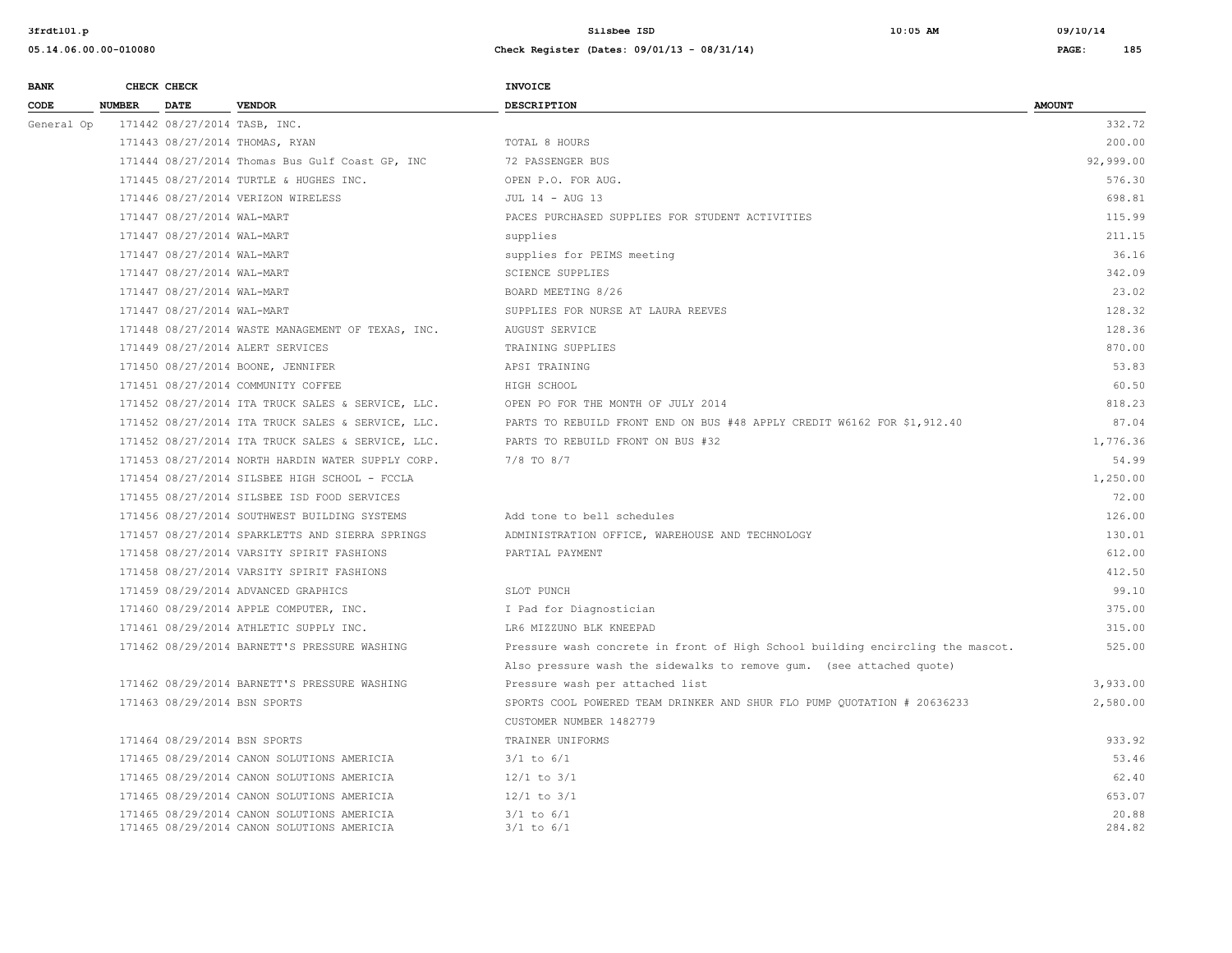## **05.14.06.00.00-010080 Check Register (Dates: 09/01/13 - 08/31/14) PAGE: 185**

| <b>BANK</b> |               | CHECK CHECK                |                                                   | <b>INVOICE</b>                                                                 |               |
|-------------|---------------|----------------------------|---------------------------------------------------|--------------------------------------------------------------------------------|---------------|
| CODE        | <b>NUMBER</b> | <b>DATE</b>                | <b>VENDOR</b>                                     | <b>DESCRIPTION</b>                                                             | <b>AMOUNT</b> |
| General Op  |               |                            | 171442 08/27/2014 TASB, INC.                      |                                                                                | 332.72        |
|             |               |                            | 171443 08/27/2014 THOMAS, RYAN                    | TOTAL 8 HOURS                                                                  | 200.00        |
|             |               |                            | 171444 08/27/2014 Thomas Bus Gulf Coast GP, INC   | 72 PASSENGER BUS                                                               | 92,999.00     |
|             |               |                            | 171445 08/27/2014 TURTLE & HUGHES INC.            | OPEN P.O. FOR AUG.                                                             | 576.30        |
|             |               |                            | 171446 08/27/2014 VERIZON WIRELESS                | JUL 14 - AUG 13                                                                | 698.81        |
|             |               | 171447 08/27/2014 WAL-MART |                                                   | PACES PURCHASED SUPPLIES FOR STUDENT ACTIVITIES                                | 115.99        |
|             |               | 171447 08/27/2014 WAL-MART |                                                   | supplies                                                                       | 211.15        |
|             |               | 171447 08/27/2014 WAL-MART |                                                   | supplies for PEIMS meeting                                                     | 36.16         |
|             |               | 171447 08/27/2014 WAL-MART |                                                   | <b>SCIENCE SUPPLIES</b>                                                        | 342.09        |
|             |               | 171447 08/27/2014 WAL-MART |                                                   | BOARD MEETING 8/26                                                             | 23.02         |
|             |               | 171447 08/27/2014 WAL-MART |                                                   | SUPPLIES FOR NURSE AT LAURA REEVES                                             | 128.32        |
|             |               |                            | 171448 08/27/2014 WASTE MANAGEMENT OF TEXAS, INC. | <b>AUGUST SERVICE</b>                                                          | 128.36        |
|             |               |                            | 171449 08/27/2014 ALERT SERVICES                  | TRAINING SUPPLIES                                                              | 870.00        |
|             |               |                            | 171450 08/27/2014 BOONE, JENNIFER                 | APSI TRAINING                                                                  | 53.83         |
|             |               |                            | 171451 08/27/2014 COMMUNITY COFFEE                | HIGH SCHOOL                                                                    | 60.50         |
|             |               |                            | 171452 08/27/2014 ITA TRUCK SALES & SERVICE, LLC. | OPEN PO FOR THE MONTH OF JULY 2014                                             | 818.23        |
|             |               |                            | 171452 08/27/2014 ITA TRUCK SALES & SERVICE, LLC. | PARTS TO REBUILD FRONT END ON BUS #48 APPLY CREDIT W6162 FOR \$1,912.40        | 87.04         |
|             |               |                            | 171452 08/27/2014 ITA TRUCK SALES & SERVICE, LLC. | PARTS TO REBUILD FRONT ON BUS #32                                              | 1,776.36      |
|             |               |                            | 171453 08/27/2014 NORTH HARDIN WATER SUPPLY CORP. | 7/8 TO 8/7                                                                     | 54.99         |
|             |               |                            | 171454 08/27/2014 SILSBEE HIGH SCHOOL - FCCLA     |                                                                                | 1,250.00      |
|             |               |                            | 171455 08/27/2014 SILSBEE ISD FOOD SERVICES       |                                                                                | 72.00         |
|             |               |                            | 171456 08/27/2014 SOUTHWEST BUILDING SYSTEMS      | Add tone to bell schedules                                                     | 126.00        |
|             |               |                            | 171457 08/27/2014 SPARKLETTS AND SIERRA SPRINGS   | ADMINISTRATION OFFICE, WAREHOUSE AND TECHNOLOGY                                | 130.01        |
|             |               |                            | 171458 08/27/2014 VARSITY SPIRIT FASHIONS         | PARTIAL PAYMENT                                                                | 612.00        |
|             |               |                            | 171458 08/27/2014 VARSITY SPIRIT FASHIONS         |                                                                                | 412.50        |
|             |               |                            | 171459 08/29/2014 ADVANCED GRAPHICS               | SLOT PUNCH                                                                     | 99.10         |
|             |               |                            | 171460 08/29/2014 APPLE COMPUTER, INC.            | I Pad for Diagnostician                                                        | 375.00        |
|             |               |                            | 171461 08/29/2014 ATHLETIC SUPPLY INC.            | LR6 MIZZUNO BLK KNEEPAD                                                        | 315.00        |
|             |               |                            | 171462 08/29/2014 BARNETT'S PRESSURE WASHING      | Pressure wash concrete in front of High School building encircling the mascot. | 525.00        |
|             |               |                            |                                                   | Also pressure wash the sidewalks to remove qum. (see attached quote)           |               |
|             |               |                            | 171462 08/29/2014 BARNETT'S PRESSURE WASHING      | Pressure wash per attached list                                                | 3,933.00      |
|             |               |                            | 171463 08/29/2014 BSN SPORTS                      | SPORTS COOL POWERED TEAM DRINKER AND SHUR FLO PUMP QUOTATION # 20636233        | 2,580.00      |
|             |               |                            |                                                   | CUSTOMER NUMBER 1482779                                                        |               |
|             |               |                            | 171464 08/29/2014 BSN SPORTS                      | TRAINER UNIFORMS                                                               | 933.92        |
|             |               |                            | 171465 08/29/2014 CANON SOLUTIONS AMERICIA        | $3/1$ to $6/1$                                                                 | 53.46         |
|             |               |                            | 171465 08/29/2014 CANON SOLUTIONS AMERICIA        | $12/1$ to $3/1$                                                                | 62.40         |
|             |               |                            | 171465 08/29/2014 CANON SOLUTIONS AMERICIA        | $12/1$ to $3/1$                                                                | 653.07        |
|             |               |                            | 171465 08/29/2014 CANON SOLUTIONS AMERICIA        | $3/1$ to $6/1$                                                                 | 20.88         |
|             |               |                            | 171465 08/29/2014 CANON SOLUTIONS AMERICIA        | $3/1$ to $6/1$                                                                 | 284.82        |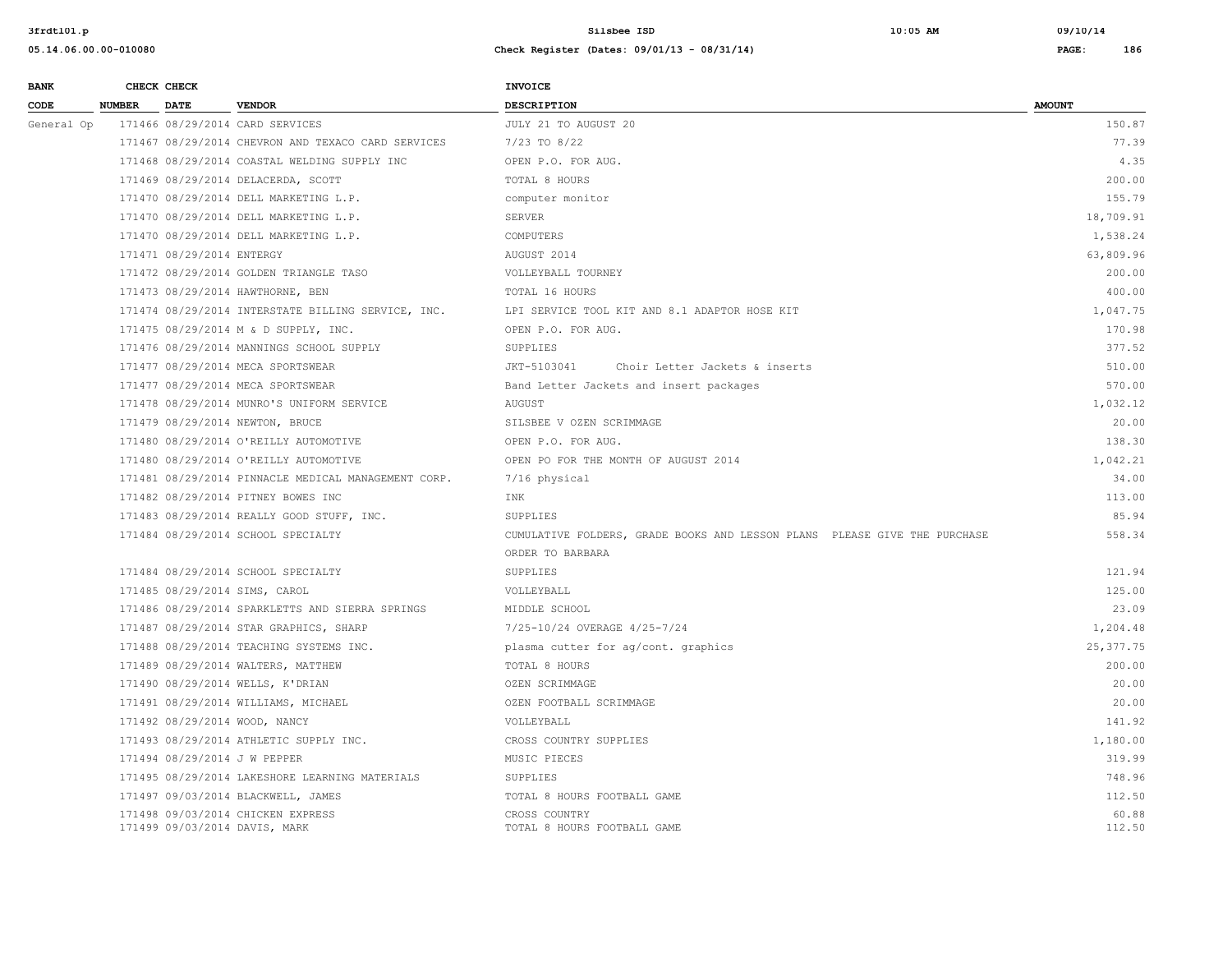| <b>BANK</b> |               | CHECK CHECK               |                                                                    | <b>INVOICE</b>                                                            |                 |  |
|-------------|---------------|---------------------------|--------------------------------------------------------------------|---------------------------------------------------------------------------|-----------------|--|
| CODE        | <b>NUMBER</b> | DATE                      | <b>VENDOR</b>                                                      | <b>DESCRIPTION</b>                                                        | <b>AMOUNT</b>   |  |
| General Op  |               |                           | 171466 08/29/2014 CARD SERVICES                                    | JULY 21 TO AUGUST 20                                                      | 150.87          |  |
|             |               |                           | 171467 08/29/2014 CHEVRON AND TEXACO CARD SERVICES                 | 7/23 TO 8/22                                                              | 77.39           |  |
|             |               |                           | 171468 08/29/2014 COASTAL WELDING SUPPLY INC                       | OPEN P.O. FOR AUG.                                                        | 4.35            |  |
|             |               |                           | 171469 08/29/2014 DELACERDA, SCOTT                                 | TOTAL 8 HOURS                                                             | 200.00          |  |
|             |               |                           | 171470 08/29/2014 DELL MARKETING L.P.                              | computer monitor                                                          | 155.79          |  |
|             |               |                           | 171470 08/29/2014 DELL MARKETING L.P.                              | SERVER                                                                    | 18,709.91       |  |
|             |               |                           | 171470 08/29/2014 DELL MARKETING L.P.                              | COMPUTERS                                                                 | 1,538.24        |  |
|             |               | 171471 08/29/2014 ENTERGY |                                                                    | AUGUST 2014                                                               | 63,809.96       |  |
|             |               |                           | 171472 08/29/2014 GOLDEN TRIANGLE TASO                             | VOLLEYBALL TOURNEY                                                        | 200.00          |  |
|             |               |                           | 171473 08/29/2014 HAWTHORNE, BEN                                   | TOTAL 16 HOURS                                                            | 400.00          |  |
|             |               |                           | 171474 08/29/2014 INTERSTATE BILLING SERVICE, INC.                 | LPI SERVICE TOOL KIT AND 8.1 ADAPTOR HOSE KIT                             | 1,047.75        |  |
|             |               |                           | 171475 08/29/2014 M & D SUPPLY, INC.                               | OPEN P.O. FOR AUG.                                                        | 170.98          |  |
|             |               |                           | 171476 08/29/2014 MANNINGS SCHOOL SUPPLY                           | SUPPLIES                                                                  | 377.52          |  |
|             |               |                           | 171477 08/29/2014 MECA SPORTSWEAR                                  | JKT-5103041<br>Choir Letter Jackets & inserts                             | 510.00          |  |
|             |               |                           | 171477 08/29/2014 MECA SPORTSWEAR                                  | Band Letter Jackets and insert packages                                   | 570.00          |  |
|             |               |                           | 171478 08/29/2014 MUNRO'S UNIFORM SERVICE                          | AUGUST                                                                    | 1,032.12        |  |
|             |               |                           | 171479 08/29/2014 NEWTON, BRUCE                                    | SILSBEE V OZEN SCRIMMAGE                                                  | 20.00           |  |
|             |               |                           | 171480 08/29/2014 O'REILLY AUTOMOTIVE                              | OPEN P.O. FOR AUG.                                                        | 138.30          |  |
|             |               |                           | 171480 08/29/2014 O'REILLY AUTOMOTIVE                              | OPEN PO FOR THE MONTH OF AUGUST 2014                                      | 1,042.21        |  |
|             |               |                           | 171481 08/29/2014 PINNACLE MEDICAL MANAGEMENT CORP.                | 7/16 physical                                                             | 34.00           |  |
|             |               |                           | 171482 08/29/2014 PITNEY BOWES INC                                 | INK                                                                       | 113.00          |  |
|             |               |                           | 171483 08/29/2014 REALLY GOOD STUFF, INC.                          | SUPPLIES                                                                  | 85.94           |  |
|             |               |                           | 171484 08/29/2014 SCHOOL SPECIALTY                                 | CUMULATIVE FOLDERS, GRADE BOOKS AND LESSON PLANS PLEASE GIVE THE PURCHASE | 558.34          |  |
|             |               |                           |                                                                    | ORDER TO BARBARA                                                          |                 |  |
|             |               |                           | 171484 08/29/2014 SCHOOL SPECIALTY                                 | SUPPLIES                                                                  | 121.94          |  |
|             |               |                           | 171485 08/29/2014 SIMS, CAROL                                      | VOLLEYBALL                                                                | 125.00          |  |
|             |               |                           | 171486 08/29/2014 SPARKLETTS AND SIERRA SPRINGS                    | MIDDLE SCHOOL                                                             | 23.09           |  |
|             |               |                           | 171487 08/29/2014 STAR GRAPHICS, SHARP                             | 7/25-10/24 OVERAGE 4/25-7/24                                              | 1,204.48        |  |
|             |               |                           | 171488 08/29/2014 TEACHING SYSTEMS INC.                            | plasma cutter for ag/cont. graphics                                       | 25, 377.75      |  |
|             |               |                           | 171489 08/29/2014 WALTERS, MATTHEW                                 | TOTAL 8 HOURS                                                             | 200.00          |  |
|             |               |                           | 171490 08/29/2014 WELLS, K'DRIAN                                   | OZEN SCRIMMAGE                                                            | 20.00           |  |
|             |               |                           | 171491 08/29/2014 WILLIAMS, MICHAEL                                | OZEN FOOTBALL SCRIMMAGE                                                   | 20.00           |  |
|             |               |                           | 171492 08/29/2014 WOOD, NANCY                                      | VOLLEYBALL                                                                | 141.92          |  |
|             |               |                           | 171493 08/29/2014 ATHLETIC SUPPLY INC.                             | CROSS COUNTRY SUPPLIES                                                    | 1,180.00        |  |
|             |               |                           | 171494 08/29/2014 J W PEPPER                                       | MUSIC PIECES                                                              | 319.99          |  |
|             |               |                           | 171495 08/29/2014 LAKESHORE LEARNING MATERIALS                     | SUPPLIES                                                                  | 748.96          |  |
|             |               |                           | 171497 09/03/2014 BLACKWELL, JAMES                                 | TOTAL 8 HOURS FOOTBALL GAME                                               | 112.50          |  |
|             |               |                           | 171498 09/03/2014 CHICKEN EXPRESS<br>171499 09/03/2014 DAVIS, MARK | CROSS COUNTRY<br>TOTAL 8 HOURS FOOTBALL GAME                              | 60.88<br>112.50 |  |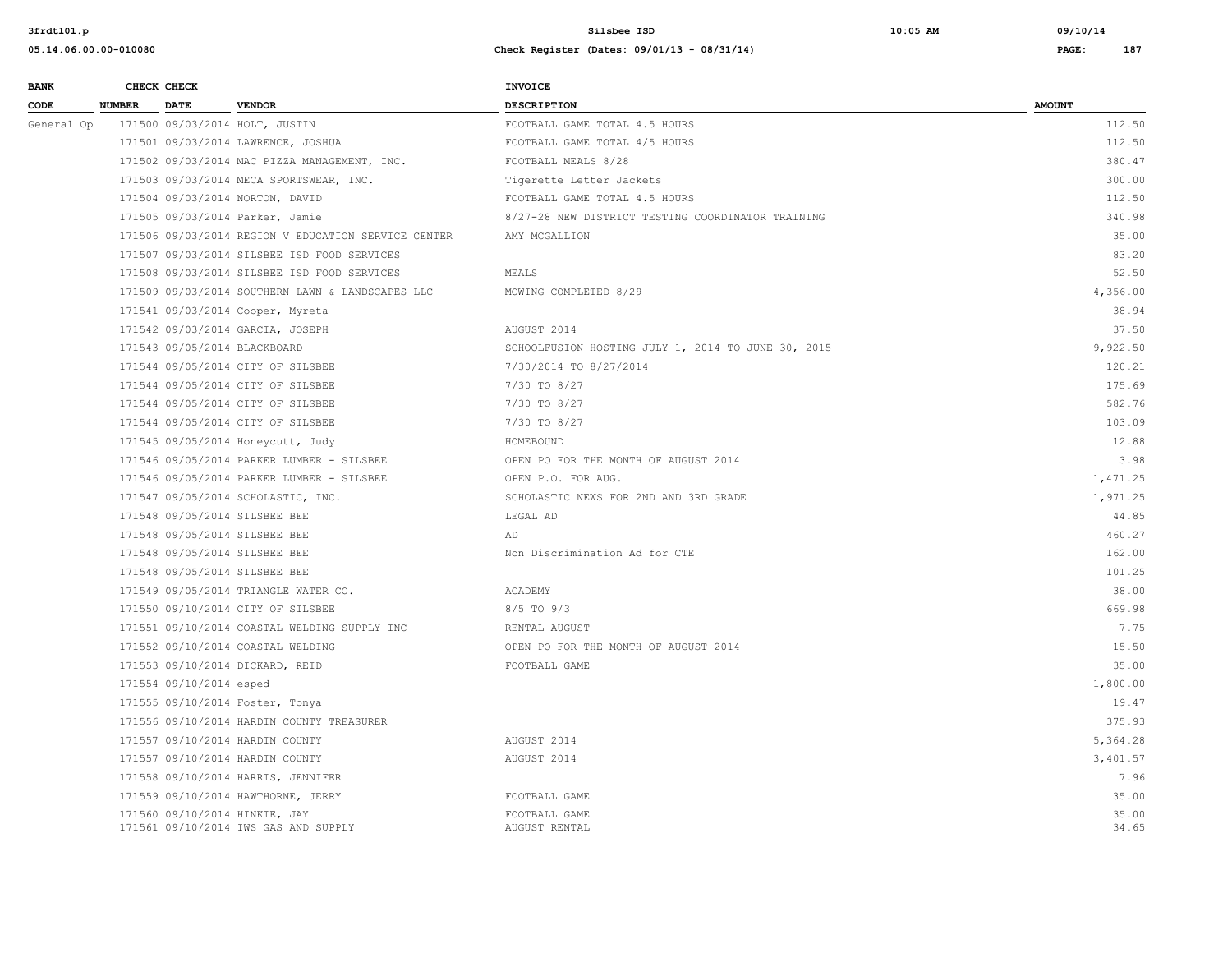| <b>BANK</b> |               | CHECK CHECK             |                                                                       | <b>INVOICE</b>                                     |                |
|-------------|---------------|-------------------------|-----------------------------------------------------------------------|----------------------------------------------------|----------------|
| CODE        | <b>NUMBER</b> | <b>DATE</b>             | <b>VENDOR</b>                                                         | <b>DESCRIPTION</b>                                 | <b>AMOUNT</b>  |
| General Op  |               |                         | 171500 09/03/2014 HOLT, JUSTIN                                        | FOOTBALL GAME TOTAL 4.5 HOURS                      | 112.50         |
|             |               |                         | 171501 09/03/2014 LAWRENCE, JOSHUA                                    | FOOTBALL GAME TOTAL 4/5 HOURS                      | 112.50         |
|             |               |                         | 171502 09/03/2014 MAC PIZZA MANAGEMENT, INC.                          | FOOTBALL MEALS 8/28                                | 380.47         |
|             |               |                         | 171503 09/03/2014 MECA SPORTSWEAR, INC.                               | Tigerette Letter Jackets                           | 300.00         |
|             |               |                         | 171504 09/03/2014 NORTON, DAVID                                       | FOOTBALL GAME TOTAL 4.5 HOURS                      | 112.50         |
|             |               |                         | 171505 09/03/2014 Parker, Jamie                                       | 8/27-28 NEW DISTRICT TESTING COORDINATOR TRAINING  | 340.98         |
|             |               |                         | 171506 09/03/2014 REGION V EDUCATION SERVICE CENTER                   | AMY MCGALLION                                      | 35.00          |
|             |               |                         | 171507 09/03/2014 SILSBEE ISD FOOD SERVICES                           |                                                    | 83.20          |
|             |               |                         | 171508 09/03/2014 SILSBEE ISD FOOD SERVICES                           | MEALS                                              | 52.50          |
|             |               |                         | 171509 09/03/2014 SOUTHERN LAWN & LANDSCAPES LLC                      | MOWING COMPLETED 8/29                              | 4,356.00       |
|             |               |                         | 171541 09/03/2014 Cooper, Myreta                                      |                                                    | 38.94          |
|             |               |                         | 171542 09/03/2014 GARCIA, JOSEPH                                      | AUGUST 2014                                        | 37.50          |
|             |               |                         | 171543 09/05/2014 BLACKBOARD                                          | SCHOOLFUSION HOSTING JULY 1, 2014 TO JUNE 30, 2015 | 9,922.50       |
|             |               |                         | 171544 09/05/2014 CITY OF SILSBEE                                     | 7/30/2014 TO 8/27/2014                             | 120.21         |
|             |               |                         | 171544 09/05/2014 CITY OF SILSBEE                                     | 7/30 TO 8/27                                       | 175.69         |
|             |               |                         | 171544 09/05/2014 CITY OF SILSBEE                                     | 7/30 TO 8/27                                       | 582.76         |
|             |               |                         | 171544 09/05/2014 CITY OF SILSBEE                                     | 7/30 TO 8/27                                       | 103.09         |
|             |               |                         | 171545 09/05/2014 Honeycutt, Judy                                     | HOMEBOUND                                          | 12.88          |
|             |               |                         | 171546 09/05/2014 PARKER LUMBER - SILSBEE                             | OPEN PO FOR THE MONTH OF AUGUST 2014               | 3.98           |
|             |               |                         | 171546 09/05/2014 PARKER LUMBER - SILSBEE                             | OPEN P.O. FOR AUG.                                 | 1,471.25       |
|             |               |                         | 171547 09/05/2014 SCHOLASTIC, INC.                                    | SCHOLASTIC NEWS FOR 2ND AND 3RD GRADE              | 1,971.25       |
|             |               |                         | 171548 09/05/2014 SILSBEE BEE                                         | LEGAL AD                                           | 44.85          |
|             |               |                         | 171548 09/05/2014 SILSBEE BEE                                         | AD                                                 | 460.27         |
|             |               |                         | 171548 09/05/2014 SILSBEE BEE                                         | Non Discrimination Ad for CTE                      | 162.00         |
|             |               |                         | 171548 09/05/2014 SILSBEE BEE                                         |                                                    | 101.25         |
|             |               |                         | 171549 09/05/2014 TRIANGLE WATER CO.                                  | <b>ACADEMY</b>                                     | 38.00          |
|             |               |                         | 171550 09/10/2014 CITY OF SILSBEE                                     | $8/5$ TO $9/3$                                     | 669.98         |
|             |               |                         | 171551 09/10/2014 COASTAL WELDING SUPPLY INC                          | RENTAL AUGUST                                      | 7.75           |
|             |               |                         | 171552 09/10/2014 COASTAL WELDING                                     | OPEN PO FOR THE MONTH OF AUGUST 2014               | 15.50          |
|             |               |                         | 171553 09/10/2014 DICKARD, REID                                       | FOOTBALL GAME                                      | 35.00          |
|             |               | 171554 09/10/2014 esped |                                                                       |                                                    | 1,800.00       |
|             |               |                         | 171555 09/10/2014 Foster, Tonya                                       |                                                    | 19.47          |
|             |               |                         | 171556 09/10/2014 HARDIN COUNTY TREASURER                             |                                                    | 375.93         |
|             |               |                         | 171557 09/10/2014 HARDIN COUNTY                                       | AUGUST 2014                                        | 5,364.28       |
|             |               |                         | 171557 09/10/2014 HARDIN COUNTY                                       | AUGUST 2014                                        | 3,401.57       |
|             |               |                         | 171558 09/10/2014 HARRIS, JENNIFER                                    |                                                    | 7.96           |
|             |               |                         | 171559 09/10/2014 HAWTHORNE, JERRY                                    | FOOTBALL GAME                                      | 35.00          |
|             |               |                         | 171560 09/10/2014 HINKIE, JAY<br>171561 09/10/2014 IWS GAS AND SUPPLY | FOOTBALL GAME<br>AUGUST RENTAL                     | 35.00<br>34.65 |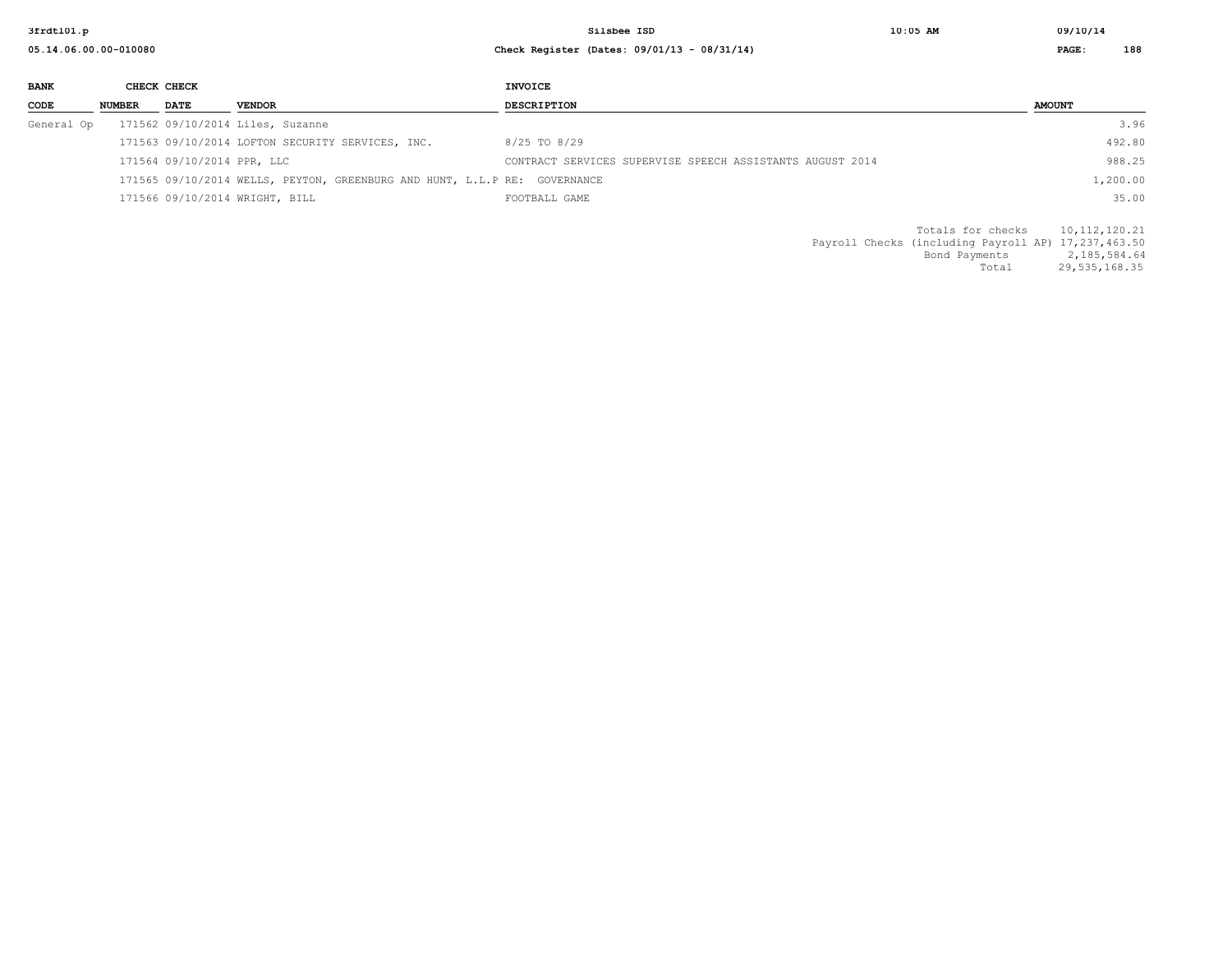| 3frdt101.p            | Silsbee ISD                                 | $10:05$ AM | 09/10/14 |     |
|-----------------------|---------------------------------------------|------------|----------|-----|
| 05.14.06.00.00-010080 | Check Register (Dates: 09/01/13 - 08/31/14) |            | PAGE:    | 188 |

|               |                            | <b>INVOICE</b>                                                                                                                                       |                                                                           |
|---------------|----------------------------|------------------------------------------------------------------------------------------------------------------------------------------------------|---------------------------------------------------------------------------|
| <b>NUMBER</b> | <b>VENDOR</b>              | <b>DESCRIPTION</b>                                                                                                                                   | <b>AMOUNT</b>                                                             |
|               |                            |                                                                                                                                                      | 3.96                                                                      |
|               |                            | 8/25 TO 8/29                                                                                                                                         | 492.80                                                                    |
|               |                            | CONTRACT SERVICES SUPERVISE SPEECH ASSISTANTS AUGUST 2014                                                                                            | 988.25                                                                    |
|               |                            |                                                                                                                                                      | 1,200.00                                                                  |
|               |                            | FOOTBALL GAME                                                                                                                                        | 35.00                                                                     |
|               | CHECK CHECK<br><b>DATE</b> | 171562 09/10/2014 Liles, Suzanne<br>171563 09/10/2014 LOFTON SECURITY SERVICES, INC.<br>171564 09/10/2014 PPR, LLC<br>171566 09/10/2014 WRIGHT, BILL | 171565 09/10/2014 WELLS, PEYTON, GREENBURG AND HUNT, L.L.P RE: GOVERNANCE |

|  |               | Totals for checks | 10,112,120.21                                       |
|--|---------------|-------------------|-----------------------------------------------------|
|  |               |                   | Payroll Checks (including Payroll AP) 17,237,463.50 |
|  | Bond Payments |                   | 2,185,584.64                                        |
|  |               | Total             | 29, 535, 168.35                                     |